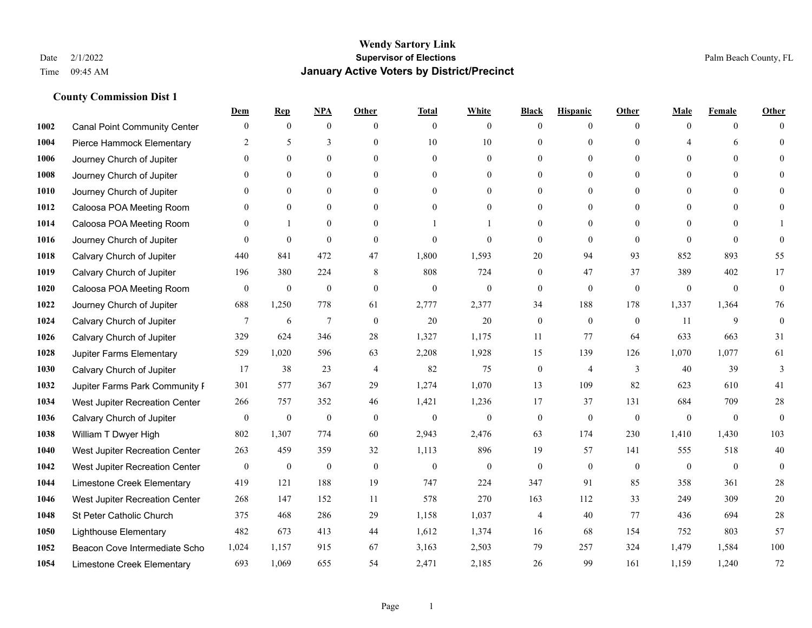|      |                                     | Dem              | <b>Rep</b>       | NPA              | <b>Other</b>   | <b>Total</b>     | <b>White</b>     | <b>Black</b>     | <b>Hispanic</b> | <b>Other</b>   | <b>Male</b>           | <b>Female</b>  | <b>Other</b>     |
|------|-------------------------------------|------------------|------------------|------------------|----------------|------------------|------------------|------------------|-----------------|----------------|-----------------------|----------------|------------------|
| 1002 | <b>Canal Point Community Center</b> | $\mathbf{0}$     | $\mathbf{0}$     | $\boldsymbol{0}$ | $\theta$       | $\mathbf{0}$     | $\overline{0}$   | $\mathbf{0}$     | $\mathbf{0}$    | $\theta$       | $\mathbf{0}$          | $\mathbf{0}$   | $\Omega$         |
| 1004 | Pierce Hammock Elementary           | 2                | 5                | 3                | $\theta$       | 10               | 10               | $\theta$         | $\mathbf{0}$    | $\Omega$       | $\boldsymbol{\Delta}$ | 6              | $\theta$         |
| 1006 | Journey Church of Jupiter           | $\Omega$         | $\theta$         | $\theta$         | $\Omega$       | $\theta$         | $\theta$         | $\Omega$         | $\theta$        | $\Omega$       | $\Omega$              | $\Omega$       | $\Omega$         |
| 1008 | Journey Church of Jupiter           | $\mathbf{0}$     | $\mathbf{0}$     | $\mathbf{0}$     | $\mathbf{0}$   | $\theta$         | $\overline{0}$   | $\overline{0}$   | $\mathbf{0}$    | $\Omega$       | $\mathbf{0}$          | $\mathbf{0}$   |                  |
| 1010 | Journey Church of Jupiter           | $\Omega$         | $\theta$         | $\mathbf{0}$     | $\theta$       | $\Omega$         | $\overline{0}$   | $\theta$         | $\mathbf{0}$    | $\Omega$       | $\theta$              | $\theta$       | $\theta$         |
| 1012 | Caloosa POA Meeting Room            | $\Omega$         | $\mathbf{0}$     | $\mathbf{0}$     | $\theta$       | $\theta$         | $\mathbf{0}$     | $\theta$         | $\mathbf{0}$    | $\Omega$       | $\mathbf{0}$          | $\theta$       | $\Omega$         |
| 1014 | Caloosa POA Meeting Room            | $\mathbf{0}$     | $\mathbf{1}$     | $\mathbf{0}$     | $\mathbf{0}$   |                  |                  | $\mathbf{0}$     | $\mathbf{0}$    | $\Omega$       | $\mathbf{0}$          | $\theta$       |                  |
| 1016 | Journey Church of Jupiter           | $\Omega$         | $\mathbf{0}$     | $\theta$         | $\theta$       | $\theta$         | $\theta$         | $\mathbf{0}$     | $\theta$        | $\Omega$       | $\Omega$              | $\Omega$       | $\theta$         |
| 1018 | Calvary Church of Jupiter           | 440              | 841              | 472              | 47             | 1,800            | 1,593            | 20               | 94              | 93             | 852                   | 893            | 55               |
| 1019 | Calvary Church of Jupiter           | 196              | 380              | 224              | 8              | 808              | 724              | $\mathbf{0}$     | 47              | 37             | 389                   | 402            | 17               |
| 1020 | Caloosa POA Meeting Room            | $\overline{0}$   | $\boldsymbol{0}$ | $\boldsymbol{0}$ | $\theta$       | $\mathbf{0}$     | $\mathbf{0}$     | $\mathbf{0}$     | $\mathbf{0}$    | $\mathbf{0}$   | $\mathbf{0}$          | $\overline{0}$ | $\boldsymbol{0}$ |
| 1022 | Journey Church of Jupiter           | 688              | 1,250            | 778              | 61             | 2,777            | 2,377            | 34               | 188             | 178            | 1,337                 | 1,364          | 76               |
| 1024 | Calvary Church of Jupiter           | $7\phantom{.0}$  | 6                | $\overline{7}$   | $\theta$       | 20               | 20               | $\mathbf{0}$     | $\mathbf{0}$    | $\theta$       | 11                    | 9              | $\mathbf{0}$     |
| 1026 | Calvary Church of Jupiter           | 329              | 624              | 346              | 28             | 1,327            | 1,175            | 11               | 77              | 64             | 633                   | 663            | 31               |
| 1028 | Jupiter Farms Elementary            | 529              | 1,020            | 596              | 63             | 2,208            | 1,928            | 15               | 139             | 126            | 1,070                 | 1,077          | 61               |
| 1030 | Calvary Church of Jupiter           | 17               | 38               | 23               | $\overline{4}$ | 82               | 75               | $\boldsymbol{0}$ | $\overline{4}$  | 3              | 40                    | 39             | 3                |
| 1032 | Jupiter Farms Park Community F      | 301              | 577              | 367              | 29             | 1,274            | 1,070            | 13               | 109             | 82             | 623                   | 610            | 41               |
| 1034 | West Jupiter Recreation Center      | 266              | 757              | 352              | 46             | 1,421            | 1,236            | 17               | 37              | 131            | 684                   | 709            | $28\,$           |
| 1036 | Calvary Church of Jupiter           | $\mathbf{0}$     | $\boldsymbol{0}$ | $\boldsymbol{0}$ | $\mathbf{0}$   | $\boldsymbol{0}$ | $\boldsymbol{0}$ | $\boldsymbol{0}$ | $\mathbf{0}$    | $\mathbf{0}$   | $\mathbf{0}$          | $\overline{0}$ | $\mathbf{0}$     |
| 1038 | William T Dwyer High                | 802              | 1,307            | 774              | 60             | 2,943            | 2,476            | 63               | 174             | 230            | 1,410                 | 1,430          | 103              |
| 1040 | West Jupiter Recreation Center      | 263              | 459              | 359              | 32             | 1,113            | 896              | 19               | 57              | 141            | 555                   | 518            | 40               |
| 1042 | West Jupiter Recreation Center      | $\boldsymbol{0}$ | $\boldsymbol{0}$ | $\boldsymbol{0}$ | $\mathbf{0}$   | $\boldsymbol{0}$ | $\mathbf{0}$     | $\boldsymbol{0}$ | $\mathbf{0}$    | $\overline{0}$ | $\boldsymbol{0}$      | $\mathbf{0}$   | $\mathbf{0}$     |
| 1044 | Limestone Creek Elementary          | 419              | 121              | 188              | 19             | 747              | 224              | 347              | 91              | 85             | 358                   | 361            | $28\,$           |
| 1046 | West Jupiter Recreation Center      | 268              | 147              | 152              | 11             | 578              | 270              | 163              | 112             | 33             | 249                   | 309            | 20               |
| 1048 | St Peter Catholic Church            | 375              | 468              | 286              | 29             | 1,158            | 1,037            | 4                | 40              | 77             | 436                   | 694            | $28\,$           |
| 1050 | <b>Lighthouse Elementary</b>        | 482              | 673              | 413              | 44             | 1,612            | 1,374            | 16               | 68              | 154            | 752                   | 803            | 57               |
| 1052 | Beacon Cove Intermediate Scho       | 1,024            | 1,157            | 915              | 67             | 3,163            | 2,503            | 79               | 257             | 324            | 1,479                 | 1,584          | 100              |
| 1054 | Limestone Creek Elementary          | 693              | 1,069            | 655              | 54             | 2,471            | 2,185            | 26               | 99              | 161            | 1,159                 | 1,240          | 72               |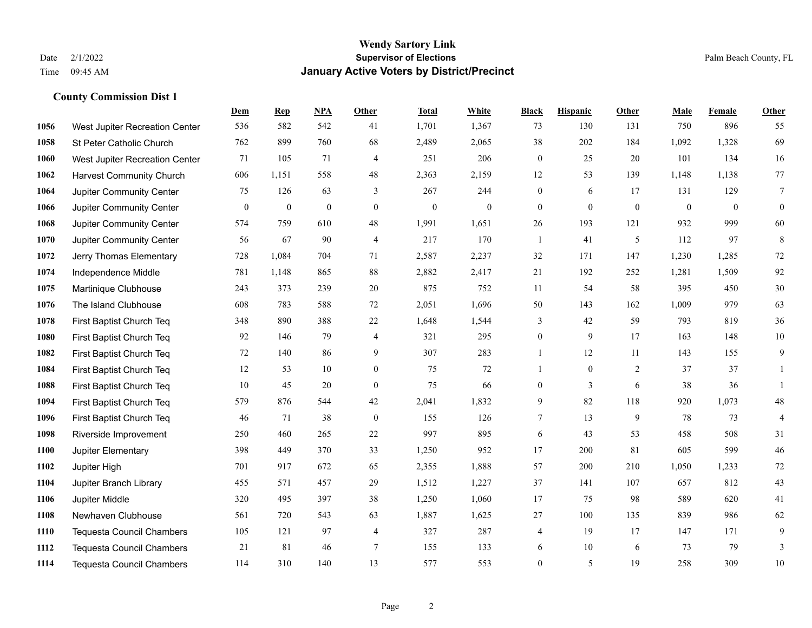|      |                                  | Dem              | <b>Rep</b>       | NPA              | <b>Other</b>   | <b>Total</b>     | <b>White</b>     | <b>Black</b>     | <b>Hispanic</b>  | <b>Other</b>     | <b>Male</b>  | <b>Female</b> | Other            |
|------|----------------------------------|------------------|------------------|------------------|----------------|------------------|------------------|------------------|------------------|------------------|--------------|---------------|------------------|
| 1056 | West Jupiter Recreation Center   | 536              | 582              | 542              | 41             | 1,701            | 1,367            | 73               | 130              | 131              | 750          | 896           | 55               |
| 1058 | St Peter Catholic Church         | 762              | 899              | 760              | 68             | 2,489            | 2,065            | 38               | 202              | 184              | 1,092        | 1,328         | 69               |
| 1060 | West Jupiter Recreation Center   | 71               | 105              | 71               | 4              | 251              | 206              | $\mathbf{0}$     | 25               | 20               | 101          | 134           | 16               |
| 1062 | <b>Harvest Community Church</b>  | 606              | 1,151            | 558              | 48             | 2,363            | 2,159            | 12               | 53               | 139              | 1,148        | 1,138         | 77               |
| 1064 | <b>Jupiter Community Center</b>  | 75               | 126              | 63               | 3              | 267              | 244              | $\boldsymbol{0}$ | 6                | 17               | 131          | 129           | $\overline{7}$   |
| 1066 | Jupiter Community Center         | $\boldsymbol{0}$ | $\boldsymbol{0}$ | $\boldsymbol{0}$ | $\overline{0}$ | $\boldsymbol{0}$ | $\boldsymbol{0}$ | $\mathbf{0}$     | $\boldsymbol{0}$ | $\boldsymbol{0}$ | $\mathbf{0}$ | $\mathbf{0}$  | $\boldsymbol{0}$ |
| 1068 | Jupiter Community Center         | 574              | 759              | 610              | 48             | 1,991            | 1,651            | 26               | 193              | 121              | 932          | 999           | 60               |
| 1070 | Jupiter Community Center         | 56               | 67               | 90               | $\overline{4}$ | 217              | 170              | $\mathbf{1}$     | 41               | 5                | 112          | 97            | $\,8\,$          |
| 1072 | Jerry Thomas Elementary          | 728              | 1,084            | 704              | 71             | 2,587            | 2,237            | 32               | 171              | 147              | 1,230        | 1,285         | 72               |
| 1074 | Independence Middle              | 781              | 1,148            | 865              | 88             | 2,882            | 2,417            | 21               | 192              | 252              | 1,281        | 1,509         | 92               |
| 1075 | Martinique Clubhouse             | 243              | 373              | 239              | 20             | 875              | 752              | 11               | 54               | 58               | 395          | 450           | $30\,$           |
| 1076 | The Island Clubhouse             | 608              | 783              | 588              | 72             | 2,051            | 1,696            | 50               | 143              | 162              | 1,009        | 979           | 63               |
| 1078 | First Baptist Church Teq         | 348              | 890              | 388              | 22             | 1,648            | 1,544            | 3                | 42               | 59               | 793          | 819           | 36               |
| 1080 | First Baptist Church Teq         | 92               | 146              | 79               | $\overline{4}$ | 321              | 295              | $\boldsymbol{0}$ | 9                | 17               | 163          | 148           | $10\,$           |
| 1082 | First Baptist Church Teq         | 72               | 140              | 86               | 9              | 307              | 283              | 1                | 12               | 11               | 143          | 155           | 9                |
| 1084 | First Baptist Church Teq         | 12               | 53               | 10               | $\overline{0}$ | 75               | 72               | $\mathbf{1}$     | $\mathbf{0}$     | 2                | 37           | 37            | 1                |
| 1088 | First Baptist Church Teq         | 10               | 45               | 20               | $\mathbf{0}$   | 75               | 66               | $\boldsymbol{0}$ | 3                | 6                | 38           | 36            | $\mathbf{1}$     |
| 1094 | First Baptist Church Teq         | 579              | 876              | 544              | 42             | 2,041            | 1,832            | 9                | 82               | 118              | 920          | 1,073         | $48\,$           |
| 1096 | First Baptist Church Teq         | 46               | 71               | 38               | $\overline{0}$ | 155              | 126              | 7                | 13               | 9                | 78           | 73            | $\overline{4}$   |
| 1098 | Riverside Improvement            | 250              | 460              | 265              | $22\,$         | 997              | 895              | 6                | 43               | 53               | 458          | 508           | 31               |
| 1100 | Jupiter Elementary               | 398              | 449              | 370              | 33             | 1,250            | 952              | 17               | 200              | 81               | 605          | 599           | $46\,$           |
| 1102 | Jupiter High                     | 701              | 917              | 672              | 65             | 2,355            | 1,888            | 57               | 200              | 210              | 1,050        | 1,233         | $72\,$           |
| 1104 | Jupiter Branch Library           | 455              | 571              | 457              | 29             | 1,512            | 1,227            | 37               | 141              | 107              | 657          | 812           | 43               |
| 1106 | Jupiter Middle                   | 320              | 495              | 397              | 38             | 1,250            | 1,060            | 17               | 75               | 98               | 589          | 620           | 41               |
| 1108 | Newhaven Clubhouse               | 561              | 720              | 543              | 63             | 1,887            | 1,625            | 27               | 100              | 135              | 839          | 986           | 62               |
| 1110 | <b>Tequesta Council Chambers</b> | 105              | 121              | 97               | 4              | 327              | 287              | 4                | 19               | 17               | 147          | 171           | 9                |
| 1112 | <b>Tequesta Council Chambers</b> | 21               | 81               | 46               | $\tau$         | 155              | 133              | 6                | 10               | 6                | 73           | 79            | 3                |
| 1114 | <b>Tequesta Council Chambers</b> | 114              | 310              | 140              | 13             | 577              | 553              | $\overline{0}$   | 5                | 19               | 258          | 309           | $10\,$           |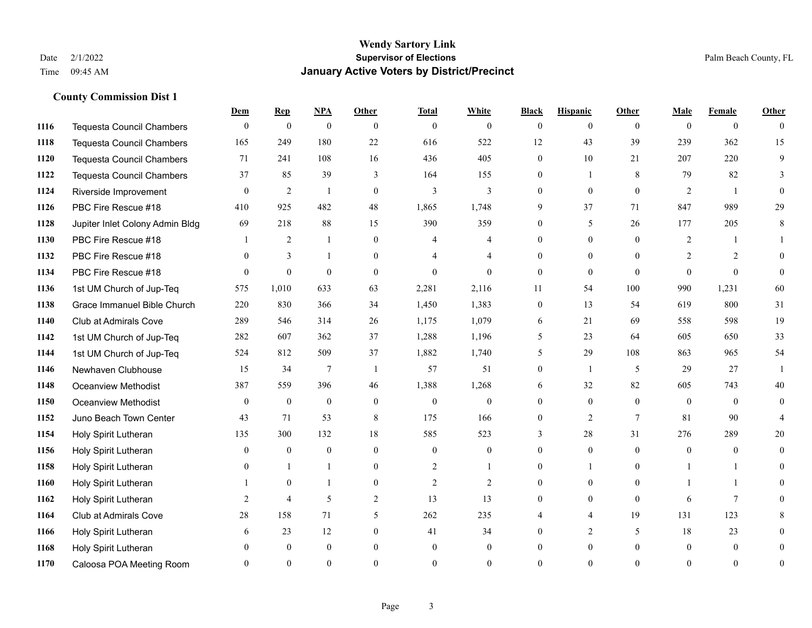|      |                                  | Dem            | <b>Rep</b>       | NPA              | <b>Other</b>   | <b>Total</b>   | <b>White</b>   | <b>Black</b>   | <b>Hispanic</b> | <b>Other</b> | <b>Male</b>    | <b>Female</b>  | <b>Other</b>   |
|------|----------------------------------|----------------|------------------|------------------|----------------|----------------|----------------|----------------|-----------------|--------------|----------------|----------------|----------------|
| 1116 | <b>Tequesta Council Chambers</b> | $\mathbf{0}$   | $\boldsymbol{0}$ | $\boldsymbol{0}$ | $\theta$       | $\mathbf{0}$   | $\overline{0}$ | $\overline{0}$ | $\overline{0}$  | $\theta$     | $\theta$       | $\overline{0}$ | $\theta$       |
| 1118 | Tequesta Council Chambers        | 165            | 249              | 180              | 22             | 616            | 522            | 12             | 43              | 39           | 239            | 362            | 15             |
| 1120 | <b>Tequesta Council Chambers</b> | 71             | 241              | 108              | 16             | 436            | 405            | $\Omega$       | 10              | 21           | 207            | 220            | 9              |
| 1122 | Tequesta Council Chambers        | 37             | 85               | 39               | 3              | 164            | 155            | 0              | 1               | 8            | 79             | 82             | 3              |
| 1124 | Riverside Improvement            | $\theta$       | 2                | $\overline{1}$   | $\theta$       | 3              | 3              | $\theta$       | $\theta$        | $\theta$     | 2              | $\overline{1}$ | 0              |
| 1126 | PBC Fire Rescue #18              | 410            | 925              | 482              | 48             | 1,865          | 1,748          | 9              | 37              | 71           | 847            | 989            | 29             |
| 1128 | Jupiter Inlet Colony Admin Bldg  | 69             | 218              | 88               | 15             | 390            | 359            | $\overline{0}$ | 5               | 26           | 177            | 205            | 8              |
| 1130 | PBC Fire Rescue #18              |                | 2                | $\mathbf{1}$     | $\Omega$       | 4              | 4              | $\theta$       | $\overline{0}$  | $\Omega$     | 2              |                |                |
| 1132 | PBC Fire Rescue #18              | $\theta$       | $\overline{3}$   |                  | $\overline{0}$ |                | 4              | 0              | $\overline{0}$  | $\Omega$     | $\overline{2}$ | 2              | $\Omega$       |
| 1134 | PBC Fire Rescue #18              | $\theta$       | $\overline{0}$   | $\theta$         | $\theta$       | $\theta$       | $\overline{0}$ | $\overline{0}$ | $\overline{0}$  | $\theta$     | $\Omega$       | $\theta$       | $\theta$       |
| 1136 | 1st UM Church of Jup-Teq         | 575            | 1,010            | 633              | 63             | 2,281          | 2,116          | 11             | 54              | 100          | 990            | 1,231          | 60             |
| 1138 | Grace Immanuel Bible Church      | 220            | 830              | 366              | 34             | 1,450          | 1,383          | $\overline{0}$ | 13              | 54           | 619            | 800            | 31             |
| 1140 | Club at Admirals Cove            | 289            | 546              | 314              | 26             | 1,175          | 1,079          | 6              | 21              | 69           | 558            | 598            | 19             |
| 1142 | 1st UM Church of Jup-Teq         | 282            | 607              | 362              | 37             | 1,288          | 1,196          | 5              | 23              | 64           | 605            | 650            | 33             |
| 1144 | 1st UM Church of Jup-Teq         | 524            | 812              | 509              | 37             | 1,882          | 1,740          | 5              | 29              | 108          | 863            | 965            | 54             |
| 1146 | Newhaven Clubhouse               | 15             | 34               | 7                | $\overline{1}$ | 57             | 51             | $\overline{0}$ | $\mathbf{1}$    | 5            | 29             | 27             | $\mathbf{1}$   |
| 1148 | <b>Oceanview Methodist</b>       | 387            | 559              | 396              | 46             | 1,388          | 1,268          | 6              | 32              | 82           | 605            | 743            | 40             |
| 1150 | Oceanview Methodist              | $\theta$       | $\mathbf{0}$     | $\boldsymbol{0}$ | $\overline{0}$ | $\mathbf{0}$   | 0              | 0              | $\overline{0}$  | $\theta$     | $\theta$       | $\theta$       | $\theta$       |
| 1152 | Juno Beach Town Center           | 43             | 71               | 53               | 8              | 175            | 166            | $\overline{0}$ | $\overline{2}$  | $\tau$       | 81             | 90             | $\overline{4}$ |
| 1154 | Holy Spirit Lutheran             | 135            | 300              | 132              | 18             | 585            | 523            | 3              | 28              | 31           | 276            | 289            | 20             |
| 1156 | Holy Spirit Lutheran             | $\theta$       | $\overline{0}$   | $\theta$         | $\theta$       | $\theta$       | $\theta$       | $\Omega$       | $\Omega$        | $\Omega$     | $\theta$       | $\Omega$       | $\Omega$       |
| 1158 | Holy Spirit Lutheran             | $\overline{0}$ | $\mathbf{1}$     |                  | $\overline{0}$ | $\overline{c}$ | $\mathbf{1}$   | 0              | 1               | $\theta$     |                |                | 0              |
| 1160 | Holy Spirit Lutheran             |                | $\mathbf{0}$     |                  | $\overline{0}$ | $\overline{2}$ | $\overline{2}$ | 0              | $\overline{0}$  | $\theta$     |                |                | 0              |
| 1162 | Holy Spirit Lutheran             | 2              | $\overline{4}$   | 5                | $\overline{2}$ | 13             | 13             | $\theta$       | $\Omega$        | $\theta$     | 6              | $\tau$         | 0              |
| 1164 | Club at Admirals Cove            | $28\,$         | 158              | 71               | 5              | 262            | 235            |                | $\overline{4}$  | 19           | 131            | 123            | 8              |
| 1166 | Holy Spirit Lutheran             | 6              | 23               | 12               | $\overline{0}$ | 41             | 34             | 0              | 2               | 5            | 18             | 23             | 0              |
| 1168 | Holy Spirit Lutheran             | $\Omega$       | $\mathbf{0}$     | $\mathbf{0}$     | $\theta$       | $\theta$       | $\overline{0}$ | $\theta$       | $\overline{0}$  | $\theta$     | $\theta$       | $\overline{0}$ | 0              |
| 1170 | Caloosa POA Meeting Room         | $\Omega$       | $\Omega$         | $\Omega$         | $\Omega$       | $\Omega$       | $\Omega$       | $\Omega$       | $\Omega$        | $\Omega$     | $\Omega$       | $\Omega$       | $\overline{0}$ |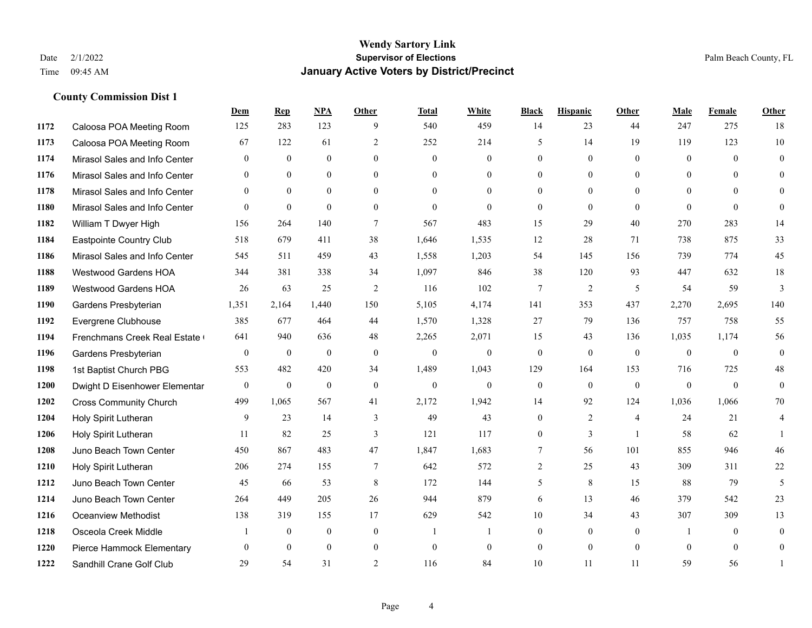|      |                               | Dem          | <b>Rep</b>   | NPA          | <b>Other</b>   | <b>Total</b>   | <b>White</b>     | <b>Black</b>   | <b>Hispanic</b> | Other          | <b>Male</b>    | Female         | <b>Other</b>     |
|------|-------------------------------|--------------|--------------|--------------|----------------|----------------|------------------|----------------|-----------------|----------------|----------------|----------------|------------------|
| 1172 | Caloosa POA Meeting Room      | 125          | 283          | 123          | 9              | 540            | 459              | 14             | 23              | 44             | 247            | 275            | 18               |
| 1173 | Caloosa POA Meeting Room      | 67           | 122          | 61           | 2              | 252            | 214              | 5              | 14              | 19             | 119            | 123            | $10\,$           |
| 1174 | Mirasol Sales and Info Center | $\Omega$     | $\mathbf{0}$ | $\theta$     | $\Omega$       | $\theta$       | $\Omega$         | $\Omega$       | $\Omega$        | $\Omega$       | $\theta$       | $\Omega$       | $\Omega$         |
| 1176 | Mirasol Sales and Info Center | $\Omega$     | $\mathbf{0}$ | $\mathbf{0}$ | $\mathbf{0}$   | $\overline{0}$ | $\overline{0}$   | $\overline{0}$ | $\overline{0}$  | $\mathbf{0}$   | $\overline{0}$ | $\theta$       | $\theta$         |
| 1178 | Mirasol Sales and Info Center | $\theta$     | $\theta$     | $\theta$     | $\theta$       | $\Omega$       | $\overline{0}$   | $\theta$       | $\Omega$        | $\theta$       | $\theta$       | $\Omega$       | $\overline{0}$   |
| 1180 | Mirasol Sales and Info Center | $\Omega$     | $\mathbf{0}$ | $\theta$     | $\theta$       | $\mathbf{0}$   | $\theta$         | $\Omega$       | $\overline{0}$  | $\Omega$       | $\Omega$       | $\theta$       | $\theta$         |
| 1182 | William T Dwyer High          | 156          | 264          | 140          | $\tau$         | 567            | 483              | 15             | 29              | 40             | 270            | 283            | 14               |
| 1184 | Eastpointe Country Club       | 518          | 679          | 411          | 38             | 1,646          | 1,535            | 12             | 28              | 71             | 738            | 875            | 33               |
| 1186 | Mirasol Sales and Info Center | 545          | 511          | 459          | 43             | 1,558          | 1,203            | 54             | 145             | 156            | 739            | 774            | 45               |
| 1188 | <b>Westwood Gardens HOA</b>   | 344          | 381          | 338          | 34             | 1,097          | 846              | 38             | 120             | 93             | 447            | 632            | 18               |
| 1189 | Westwood Gardens HOA          | 26           | 63           | 25           | 2              | 116            | 102              | 7              | 2               | 5              | 54             | 59             | 3                |
| 1190 | Gardens Presbyterian          | 1,351        | 2,164        | 1,440        | 150            | 5,105          | 4,174            | 141            | 353             | 437            | 2,270          | 2,695          | 140              |
| 1192 | Evergrene Clubhouse           | 385          | 677          | 464          | 44             | 1,570          | 1,328            | 27             | 79              | 136            | 757            | 758            | 55               |
| 1194 | Frenchmans Creek Real Estate  | 641          | 940          | 636          | 48             | 2,265          | 2,071            | 15             | 43              | 136            | 1,035          | 1,174          | 56               |
| 1196 | Gardens Presbyterian          | $\mathbf{0}$ | $\mathbf{0}$ | $\mathbf{0}$ | $\mathbf{0}$   | $\mathbf{0}$   | $\boldsymbol{0}$ | $\mathbf{0}$   | $\overline{0}$  | $\mathbf{0}$   | $\mathbf{0}$   | $\overline{0}$ | $\boldsymbol{0}$ |
| 1198 | 1st Baptist Church PBG        | 553          | 482          | 420          | 34             | 1,489          | 1,043            | 129            | 164             | 153            | 716            | 725            | 48               |
| 1200 | Dwight D Eisenhower Elementar | $\theta$     | $\mathbf{0}$ | $\mathbf{0}$ | $\mathbf{0}$   | $\mathbf{0}$   | $\overline{0}$   | $\mathbf{0}$   | $\Omega$        | $\theta$       | $\theta$       | $\theta$       | $\overline{0}$   |
| 1202 | <b>Cross Community Church</b> | 499          | 1,065        | 567          | 41             | 2,172          | 1,942            | 14             | 92              | 124            | 1,036          | 1,066          | 70               |
| 1204 | Holy Spirit Lutheran          | 9            | 23           | 14           | 3              | 49             | 43               | $\overline{0}$ | $\overline{2}$  | $\overline{4}$ | 24             | 21             | 4                |
| 1206 | Holy Spirit Lutheran          | 11           | 82           | 25           | 3              | 121            | 117              | $\overline{0}$ | 3               | $\overline{1}$ | 58             | 62             |                  |
| 1208 | Juno Beach Town Center        | 450          | 867          | 483          | 47             | 1,847          | 1,683            | $\tau$         | 56              | 101            | 855            | 946            | 46               |
| 1210 | Holy Spirit Lutheran          | 206          | 274          | 155          | $\tau$         | 642            | 572              | $\overline{2}$ | 25              | 43             | 309            | 311            | $22\,$           |
| 1212 | Juno Beach Town Center        | 45           | 66           | 53           | 8              | 172            | 144              | 5              | 8               | 15             | 88             | 79             | 5                |
| 1214 | Juno Beach Town Center        | 264          | 449          | 205          | 26             | 944            | 879              | 6              | 13              | 46             | 379            | 542            | 23               |
| 1216 | Oceanview Methodist           | 138          | 319          | 155          | 17             | 629            | 542              | $10\,$         | 34              | 43             | 307            | 309            | 13               |
| 1218 | Osceola Creek Middle          |              | $\mathbf{0}$ | $\mathbf{0}$ | $\mathbf{0}$   | $\overline{1}$ | $\mathbf{1}$     | $\overline{0}$ | $\overline{0}$  | $\theta$       | $\overline{1}$ | $\theta$       | $\overline{0}$   |
| 1220 | Pierce Hammock Elementary     | $\Omega$     | $\theta$     | $\theta$     | $\mathbf{0}$   | $\mathbf{0}$   | $\overline{0}$   | $\mathbf{0}$   | $\Omega$        | $\Omega$       | $\theta$       | $\theta$       | $\overline{0}$   |
| 1222 | Sandhill Crane Golf Club      | 29           | 54           | 31           | $\mathfrak{D}$ | 116            | 84               | 10             | 11              | 11             | 59             | 56             | 1                |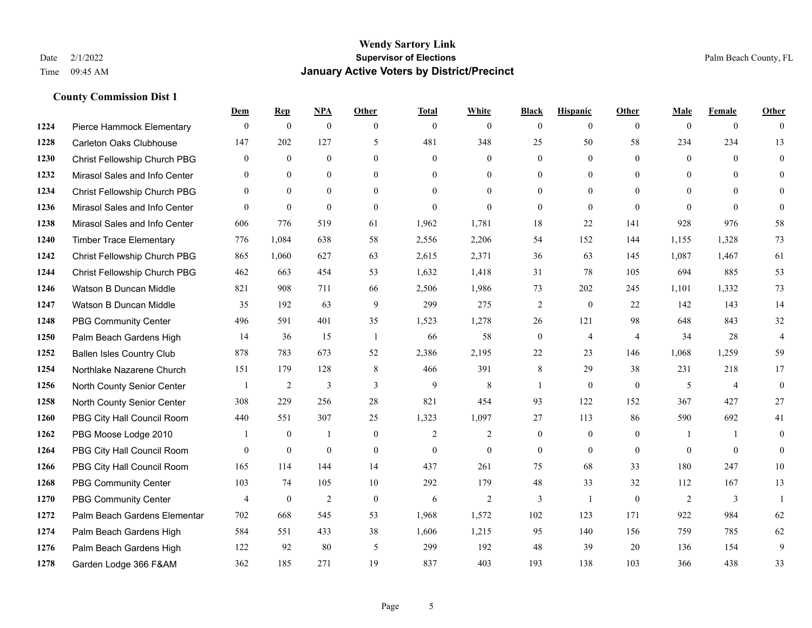|      |                                  | Dem            | <b>Rep</b>       | NPA              | <b>Other</b>   | <b>Total</b>   | <b>White</b>   | <b>Black</b>     | <b>Hispanic</b> | <b>Other</b>   | <b>Male</b>  | <b>Female</b>  | <b>Other</b>   |
|------|----------------------------------|----------------|------------------|------------------|----------------|----------------|----------------|------------------|-----------------|----------------|--------------|----------------|----------------|
| 1224 | Pierce Hammock Elementary        | $\mathbf{0}$   | $\mathbf{0}$     | $\boldsymbol{0}$ | $\theta$       | $\mathbf{0}$   | $\overline{0}$ | $\mathbf{0}$     | $\overline{0}$  | $\theta$       | $\mathbf{0}$ | $\overline{0}$ | $\theta$       |
| 1228 | <b>Carleton Oaks Clubhouse</b>   | 147            | 202              | 127              | 5              | 481            | 348            | 25               | 50              | 58             | 234          | 234            | 13             |
| 1230 | Christ Fellowship Church PBG     | $\overline{0}$ | $\mathbf{0}$     | $\mathbf{0}$     | $\theta$       | $\mathbf{0}$   | $\overline{0}$ | $\mathbf{0}$     | $\mathbf{0}$    | $\theta$       | $\mathbf{0}$ | $\theta$       | $\mathbf{0}$   |
| 1232 | Mirasol Sales and Info Center    | $\mathbf{0}$   | $\mathbf{0}$     | $\mathbf{0}$     | $\overline{0}$ | $\mathbf{0}$   | $\overline{0}$ | $\boldsymbol{0}$ | $\mathbf{0}$    | $\overline{0}$ | $\mathbf{0}$ | $\theta$       | $\theta$       |
| 1234 | Christ Fellowship Church PBG     | $\theta$       | $\theta$         | $\theta$         | $\theta$       | $\Omega$       | $\Omega$       | $\mathbf{0}$     | $\theta$        | $\Omega$       | $\theta$     | $\theta$       | $\theta$       |
| 1236 | Mirasol Sales and Info Center    | $\mathbf{0}$   | $\boldsymbol{0}$ | $\boldsymbol{0}$ | $\mathbf{0}$   | $\overline{0}$ | $\mathbf{0}$   | $\mathbf{0}$     | $\mathbf{0}$    | $\mathbf{0}$   | $\theta$     | $\theta$       | $\mathbf{0}$   |
| 1238 | Mirasol Sales and Info Center    | 606            | 776              | 519              | 61             | 1,962          | 1,781          | 18               | 22              | 141            | 928          | 976            | 58             |
| 1240 | <b>Timber Trace Elementary</b>   | 776            | 1,084            | 638              | 58             | 2,556          | 2,206          | 54               | 152             | 144            | 1,155        | 1,328          | 73             |
| 1242 | Christ Fellowship Church PBG     | 865            | 1,060            | 627              | 63             | 2,615          | 2,371          | 36               | 63              | 145            | 1,087        | 1,467          | 61             |
| 1244 | Christ Fellowship Church PBG     | 462            | 663              | 454              | 53             | 1,632          | 1,418          | 31               | 78              | 105            | 694          | 885            | 53             |
| 1246 | Watson B Duncan Middle           | 821            | 908              | 711              | 66             | 2,506          | 1,986          | 73               | 202             | 245            | 1,101        | 1,332          | 73             |
| 1247 | Watson B Duncan Middle           | 35             | 192              | 63               | 9              | 299            | 275            | $\overline{2}$   | $\mathbf{0}$    | 22             | 142          | 143            | 14             |
| 1248 | <b>PBG Community Center</b>      | 496            | 591              | 401              | 35             | 1,523          | 1,278          | 26               | 121             | 98             | 648          | 843            | 32             |
| 1250 | Palm Beach Gardens High          | 14             | 36               | 15               | -1             | 66             | 58             | $\boldsymbol{0}$ | $\overline{4}$  | $\overline{4}$ | 34           | 28             | $\overline{4}$ |
| 1252 | <b>Ballen Isles Country Club</b> | 878            | 783              | 673              | 52             | 2,386          | 2,195          | 22               | 23              | 146            | 1,068        | 1,259          | 59             |
| 1254 | Northlake Nazarene Church        | 151            | 179              | 128              | 8              | 466            | 391            | 8                | 29              | 38             | 231          | 218            | 17             |
| 1256 | North County Senior Center       | $\mathbf{1}$   | 2                | 3                | 3              | 9              | $\,8\,$        | 1                | $\mathbf{0}$    | $\overline{0}$ | 5            | $\overline{4}$ | $\mathbf{0}$   |
| 1258 | North County Senior Center       | 308            | 229              | 256              | 28             | 821            | 454            | 93               | 122             | 152            | 367          | 427            | 27             |
| 1260 | PBG City Hall Council Room       | 440            | 551              | 307              | 25             | 1,323          | 1,097          | 27               | 113             | 86             | 590          | 692            | 41             |
| 1262 | PBG Moose Lodge 2010             |                | $\boldsymbol{0}$ | 1                | $\mathbf{0}$   | 2              | $\overline{2}$ | $\boldsymbol{0}$ | $\mathbf{0}$    | $\mathbf{0}$   | 1            | $\mathbf{1}$   | $\mathbf{0}$   |
| 1264 | PBG City Hall Council Room       | $\theta$       | $\mathbf{0}$     | $\mathbf{0}$     | $\theta$       | $\theta$       | $\overline{0}$ | $\mathbf{0}$     | $\theta$        | $\theta$       | $\theta$     | $\theta$       | $\theta$       |
| 1266 | PBG City Hall Council Room       | 165            | 114              | 144              | 14             | 437            | 261            | 75               | 68              | 33             | 180          | 247            | $10\,$         |
| 1268 | <b>PBG Community Center</b>      | 103            | 74               | 105              | 10             | 292            | 179            | 48               | 33              | 32             | 112          | 167            | 13             |
| 1270 | <b>PBG Community Center</b>      | $\overline{4}$ | $\mathbf{0}$     | $\overline{c}$   | $\mathbf{0}$   | 6              | $\mathfrak{2}$ | 3                | $\mathbf{1}$    | $\theta$       | 2            | 3              | $\mathbf{1}$   |
| 1272 | Palm Beach Gardens Elementar     | 702            | 668              | 545              | 53             | 1,968          | 1,572          | 102              | 123             | 171            | 922          | 984            | 62             |
| 1274 | Palm Beach Gardens High          | 584            | 551              | 433              | 38             | 1,606          | 1,215          | 95               | 140             | 156            | 759          | 785            | 62             |
| 1276 | Palm Beach Gardens High          | 122            | 92               | 80               | 5              | 299            | 192            | 48               | 39              | 20             | 136          | 154            | 9              |
| 1278 | Garden Lodge 366 F&AM            | 362            | 185              | 271              | 19             | 837            | 403            | 193              | 138             | 103            | 366          | 438            | 33             |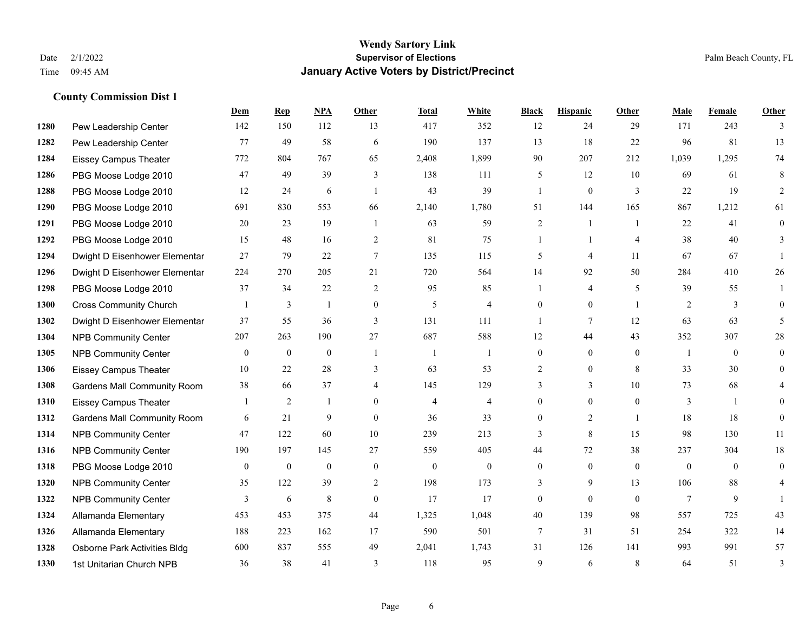|      |                                    | Dem            | <b>Rep</b>       | NPA          | <b>Other</b>   | <b>Total</b>   | <b>White</b>   | <b>Black</b>   | <b>Hispanic</b> | <b>Other</b>   | <b>Male</b>  | Female       | <b>Other</b>   |
|------|------------------------------------|----------------|------------------|--------------|----------------|----------------|----------------|----------------|-----------------|----------------|--------------|--------------|----------------|
| 1280 | Pew Leadership Center              | 142            | 150              | 112          | 13             | 417            | 352            | 12             | 24              | 29             | 171          | 243          | 3              |
| 1282 | Pew Leadership Center              | 77             | 49               | 58           | 6              | 190            | 137            | 13             | 18              | 22             | 96           | 81           | 13             |
| 1284 | <b>Eissey Campus Theater</b>       | 772            | 804              | 767          | 65             | 2,408          | 1,899          | 90             | 207             | 212            | 1,039        | 1,295        | 74             |
| 1286 | PBG Moose Lodge 2010               | 47             | 49               | 39           | 3              | 138            | 111            | 5              | 12              | 10             | 69           | 61           | 8              |
| 1288 | PBG Moose Lodge 2010               | 12             | 24               | 6            | $\overline{1}$ | 43             | 39             | $\mathbf{1}$   | $\overline{0}$  | 3              | 22           | 19           | 2              |
| 1290 | PBG Moose Lodge 2010               | 691            | 830              | 553          | 66             | 2,140          | 1,780          | 51             | 144             | 165            | 867          | 1,212        | 61             |
| 1291 | PBG Moose Lodge 2010               | 20             | 23               | 19           | -1             | 63             | 59             | $\overline{c}$ | $\mathbf{1}$    | $\overline{1}$ | 22           | 41           | $\overline{0}$ |
| 1292 | PBG Moose Lodge 2010               | 15             | 48               | 16           | 2              | 81             | 75             | $\mathbf{1}$   | $\mathbf{1}$    | $\overline{4}$ | 38           | 40           | 3              |
| 1294 | Dwight D Eisenhower Elementar      | 27             | 79               | 22           | $\tau$         | 135            | 115            | 5              | 4               | 11             | 67           | 67           |                |
| 1296 | Dwight D Eisenhower Elementar      | 224            | 270              | 205          | 21             | 720            | 564            | 14             | 92              | 50             | 284          | 410          | 26             |
| 1298 | PBG Moose Lodge 2010               | 37             | 34               | 22           | 2              | 95             | 85             | $\mathbf{1}$   | 4               | 5              | 39           | 55           | $\mathbf{1}$   |
| 1300 | <b>Cross Community Church</b>      |                | 3                | 1            | $\mathbf{0}$   | 5              | $\overline{4}$ | $\overline{0}$ | $\overline{0}$  | $\mathbf{1}$   | 2            | 3            | $\Omega$       |
| 1302 | Dwight D Eisenhower Elementar      | 37             | 55               | 36           | 3              | 131            | 111            | $\mathbf{1}$   | 7               | 12             | 63           | 63           | 5              |
| 1304 | <b>NPB Community Center</b>        | 207            | 263              | 190          | 27             | 687            | 588            | 12             | 44              | 43             | 352          | 307          | $28\,$         |
| 1305 | <b>NPB Community Center</b>        | $\overline{0}$ | $\mathbf{0}$     | $\mathbf{0}$ | $\overline{1}$ | -1             | 1              | $\overline{0}$ | $\overline{0}$  | $\theta$       | -1           | $\theta$     | $\overline{0}$ |
| 1306 | <b>Eissey Campus Theater</b>       | 10             | 22               | 28           | 3              | 63             | 53             | $\overline{2}$ | $\overline{0}$  | 8              | 33           | 30           | $\overline{0}$ |
| 1308 | <b>Gardens Mall Community Room</b> | 38             | 66               | 37           | $\overline{4}$ | 145            | 129            | 3              | 3               | 10             | 73           | 68           | 4              |
| 1310 | <b>Eissey Campus Theater</b>       |                | 2                |              | $\theta$       | $\overline{4}$ | $\overline{4}$ | $\overline{0}$ | $\overline{0}$  | $\theta$       | 3            | $\mathbf{1}$ | $\theta$       |
| 1312 | <b>Gardens Mall Community Room</b> | 6              | 21               | 9            | $\Omega$       | 36             | 33             | $\Omega$       | $\overline{2}$  | $\overline{1}$ | 18           | 18           | $\overline{0}$ |
| 1314 | NPB Community Center               | 47             | 122              | 60           | 10             | 239            | 213            | $\overline{3}$ | 8               | 15             | 98           | 130          | 11             |
| 1316 | <b>NPB Community Center</b>        | 190            | 197              | 145          | 27             | 559            | 405            | 44             | 72              | 38             | 237          | 304          | $18\,$         |
| 1318 | PBG Moose Lodge 2010               | $\mathbf{0}$   | $\boldsymbol{0}$ | $\mathbf{0}$ | $\mathbf{0}$   | $\mathbf{0}$   | $\mathbf{0}$   | $\overline{0}$ | $\mathbf{0}$    | $\theta$       | $\mathbf{0}$ | $\theta$     | $\overline{0}$ |
| 1320 | <b>NPB Community Center</b>        | 35             | 122              | 39           | 2              | 198            | 173            | 3              | 9               | 13             | 106          | 88           | 4              |
| 1322 | <b>NPB Community Center</b>        | 3              | 6                | $\,$ 8 $\,$  | $\mathbf{0}$   | 17             | 17             | $\overline{0}$ | $\overline{0}$  | $\theta$       | $\tau$       | 9            |                |
| 1324 | Allamanda Elementary               | 453            | 453              | 375          | 44             | 1,325          | 1,048          | 40             | 139             | 98             | 557          | 725          | 43             |
| 1326 | Allamanda Elementary               | 188            | 223              | 162          | 17             | 590            | 501            | 7              | 31              | 51             | 254          | 322          | 14             |
| 1328 | Osborne Park Activities Bldg       | 600            | 837              | 555          | 49             | 2,041          | 1,743          | 31             | 126             | 141            | 993          | 991          | 57             |
| 1330 | 1st Unitarian Church NPB           | 36             | 38               | 41           | 3              | 118            | 95             | 9              | 6               | 8              | 64           | 51           | 3              |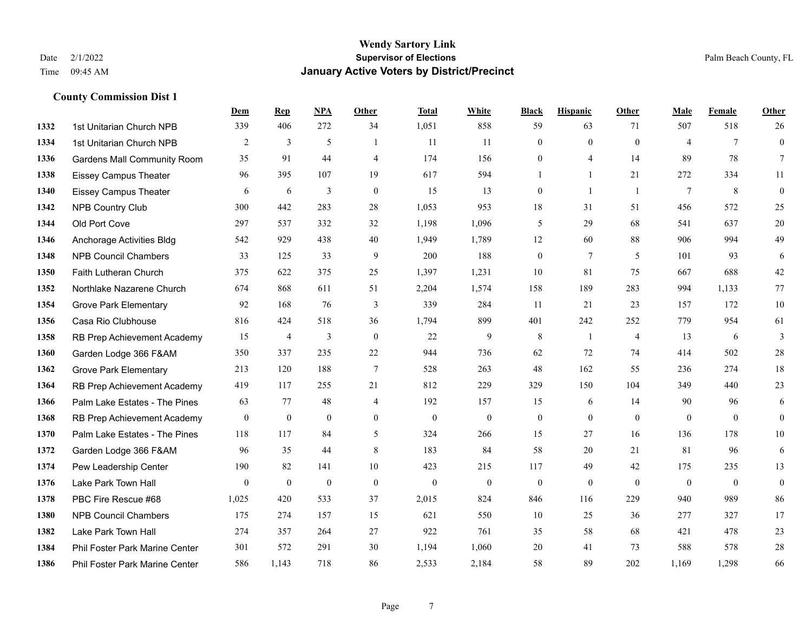|      |                                    | Dem          | <b>Rep</b>     | NPA          | <b>Other</b>     | <b>Total</b>     | <b>White</b>     | <b>Black</b>     | <b>Hispanic</b> | <b>Other</b>   | <b>Male</b>    | <b>Female</b>   | <b>Other</b>     |
|------|------------------------------------|--------------|----------------|--------------|------------------|------------------|------------------|------------------|-----------------|----------------|----------------|-----------------|------------------|
| 1332 | 1st Unitarian Church NPB           | 339          | 406            | 272          | 34               | 1,051            | 858              | 59               | 63              | 71             | 507            | 518             | 26               |
| 1334 | 1st Unitarian Church NPB           | 2            | 3              | 5            |                  | 11               | 11               | $\mathbf{0}$     | $\mathbf{0}$    | $\theta$       | $\overline{4}$ | $7\phantom{.0}$ | $\mathbf{0}$     |
| 1336 | <b>Gardens Mall Community Room</b> | 35           | 91             | 44           | $\overline{4}$   | 174              | 156              | $\mathbf{0}$     | $\overline{4}$  | 14             | 89             | 78              | $\tau$           |
| 1338 | <b>Eissey Campus Theater</b>       | 96           | 395            | 107          | 19               | 617              | 594              |                  | $\mathbf{1}$    | 21             | 272            | 334             | 11               |
| 1340 | <b>Eissey Campus Theater</b>       | 6            | 6              | 3            | $\mathbf{0}$     | 15               | 13               | $\boldsymbol{0}$ | $\mathbf{1}$    | $\overline{1}$ | $\tau$         | 8               | $\boldsymbol{0}$ |
| 1342 | NPB Country Club                   | 300          | 442            | 283          | 28               | 1,053            | 953              | 18               | 31              | 51             | 456            | 572             | 25               |
| 1344 | Old Port Cove                      | 297          | 537            | 332          | 32               | 1,198            | 1,096            | 5                | 29              | 68             | 541            | 637             | 20               |
| 1346 | Anchorage Activities Bldg          | 542          | 929            | 438          | 40               | 1,949            | 1,789            | 12               | 60              | 88             | 906            | 994             | 49               |
| 1348 | <b>NPB Council Chambers</b>        | 33           | 125            | 33           | 9                | 200              | 188              | $\boldsymbol{0}$ | $\tau$          | 5              | 101            | 93              | 6                |
| 1350 | Faith Lutheran Church              | 375          | 622            | 375          | 25               | 1,397            | 1,231            | 10               | 81              | 75             | 667            | 688             | $42\,$           |
| 1352 | Northlake Nazarene Church          | 674          | 868            | 611          | 51               | 2,204            | 1,574            | 158              | 189             | 283            | 994            | 1,133           | 77               |
| 1354 | <b>Grove Park Elementary</b>       | 92           | 168            | 76           | 3                | 339              | 284              | 11               | 21              | 23             | 157            | 172             | 10               |
| 1356 | Casa Rio Clubhouse                 | 816          | 424            | 518          | 36               | 1,794            | 899              | 401              | 242             | 252            | 779            | 954             | 61               |
| 1358 | RB Prep Achievement Academy        | 15           | $\overline{4}$ | 3            | $\boldsymbol{0}$ | 22               | 9                | $\,$ 8 $\,$      | 1               | $\overline{4}$ | 13             | 6               | $\mathfrak{Z}$   |
| 1360 | Garden Lodge 366 F&AM              | 350          | 337            | 235          | $22\,$           | 944              | 736              | 62               | 72              | 74             | 414            | 502             | $28\,$           |
| 1362 | <b>Grove Park Elementary</b>       | 213          | 120            | 188          | $\overline{7}$   | 528              | 263              | 48               | 162             | 55             | 236            | 274             | 18               |
| 1364 | RB Prep Achievement Academy        | 419          | 117            | 255          | 21               | 812              | 229              | 329              | 150             | 104            | 349            | 440             | 23               |
| 1366 | Palm Lake Estates - The Pines      | 63           | 77             | 48           | $\overline{4}$   | 192              | 157              | 15               | 6               | 14             | 90             | 96              | 6                |
| 1368 | RB Prep Achievement Academy        | $\mathbf{0}$ | $\bf{0}$       | $\mathbf{0}$ | $\mathbf{0}$     | $\boldsymbol{0}$ | $\boldsymbol{0}$ | $\boldsymbol{0}$ | $\mathbf{0}$    | $\mathbf{0}$   | $\overline{0}$ | $\mathbf{0}$    | $\bf{0}$         |
| 1370 | Palm Lake Estates - The Pines      | 118          | 117            | 84           | 5                | 324              | 266              | 15               | 27              | 16             | 136            | 178             | $10\,$           |
| 1372 | Garden Lodge 366 F&AM              | 96           | 35             | 44           | 8                | 183              | 84               | 58               | 20              | 21             | 81             | 96              | 6                |
| 1374 | Pew Leadership Center              | 190          | 82             | 141          | 10               | 423              | 215              | 117              | 49              | 42             | 175            | 235             | 13               |
| 1376 | Lake Park Town Hall                | $\mathbf{0}$ | $\bf{0}$       | $\mathbf{0}$ | $\mathbf{0}$     | $\mathbf{0}$     | $\overline{0}$   | $\boldsymbol{0}$ | $\mathbf{0}$    | $\theta$       | $\mathbf{0}$   | $\mathbf{0}$    | $\boldsymbol{0}$ |
| 1378 | PBC Fire Rescue #68                | 1,025        | 420            | 533          | 37               | 2,015            | 824              | 846              | 116             | 229            | 940            | 989             | 86               |
| 1380 | <b>NPB Council Chambers</b>        | 175          | 274            | 157          | 15               | 621              | 550              | 10               | 25              | 36             | 277            | 327             | 17               |
| 1382 | Lake Park Town Hall                | 274          | 357            | 264          | 27               | 922              | 761              | 35               | 58              | 68             | 421            | 478             | $23\,$           |
| 1384 | Phil Foster Park Marine Center     | 301          | 572            | 291          | 30               | 1,194            | 1,060            | 20               | 41              | 73             | 588            | 578             | $28\,$           |
| 1386 | Phil Foster Park Marine Center     | 586          | 1,143          | 718          | 86               | 2,533            | 2,184            | 58               | 89              | 202            | 1,169          | 1,298           | 66               |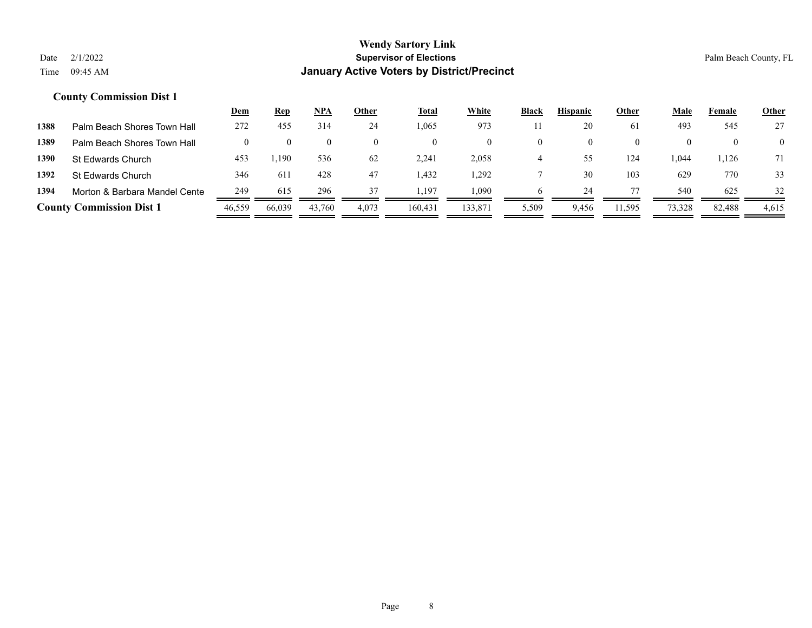|      |                                 | <u>Dem</u> | <u>Rep</u> | <u>NPA</u> | Other | <u>Total</u> | <b>White</b> | <b>Black</b> | <b>Hispanic</b> | Other    | Male   | Female | <b>Other</b>   |
|------|---------------------------------|------------|------------|------------|-------|--------------|--------------|--------------|-----------------|----------|--------|--------|----------------|
| 1388 | Palm Beach Shores Town Hall     | 272        | 455        | 314        | 24    | .065         | 973          |              | 20              | 61       | 493    | 545    | 27             |
| 1389 | Palm Beach Shores Town Hall     |            |            |            |       |              | $\theta$     |              |                 | $\theta$ |        |        | $\overline{0}$ |
| 1390 | <b>St Edwards Church</b>        | 453        | 1,190      | 536        | 62    | 2,241        | 2,058        |              | 55              | 124      | .044   | 1,126  | 71             |
| 1392 | St Edwards Church               | 346        | 611        | 428        | 47    | .432         | 1,292        |              | 30              | 103      | 629    | 770    | 33             |
| 1394 | Morton & Barbara Mandel Cente   | 249        | 615        | 296        | 37    | .197         | 1.090        |              | 24              |          | 540    | 625    | 32             |
|      | <b>County Commission Dist 1</b> | 46,559     | 66,039     | 43,760     | 4,073 | 160.431      | 133,871      | 5,509        | 9,456           | 11,595   | 73,328 | 82,488 | 4,615          |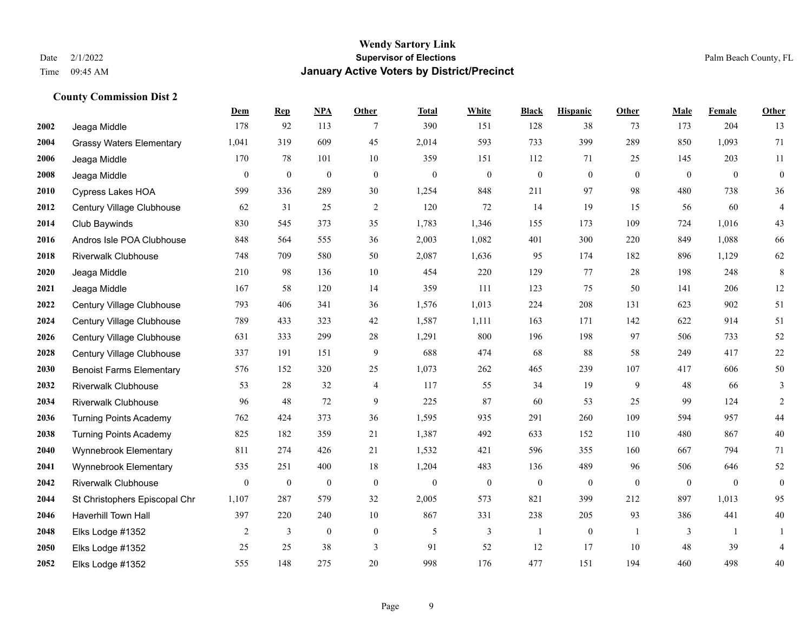|      |                                 | Dem      | <b>Rep</b>       | NPA              | <b>Other</b> | <b>Total</b>     | <b>White</b>     | <b>Black</b>     | <b>Hispanic</b>  | <b>Other</b>   | <b>Male</b>  | <b>Female</b>  | Other            |
|------|---------------------------------|----------|------------------|------------------|--------------|------------------|------------------|------------------|------------------|----------------|--------------|----------------|------------------|
| 2002 | Jeaga Middle                    | 178      | 92               | 113              | 7            | 390              | 151              | 128              | 38               | 73             | 173          | 204            | 13               |
| 2004 | <b>Grassy Waters Elementary</b> | 1,041    | 319              | 609              | 45           | 2,014            | 593              | 733              | 399              | 289            | 850          | 1,093          | 71               |
| 2006 | Jeaga Middle                    | 170      | 78               | 101              | 10           | 359              | 151              | 112              | 71               | 25             | 145          | 203            | 11               |
| 2008 | Jeaga Middle                    | $\bf{0}$ | $\boldsymbol{0}$ | $\boldsymbol{0}$ | $\mathbf{0}$ | $\theta$         | $\boldsymbol{0}$ | $\boldsymbol{0}$ | $\mathbf{0}$     | $\mathbf{0}$   | $\mathbf{0}$ | $\mathbf{0}$   | $\boldsymbol{0}$ |
| 2010 | Cypress Lakes HOA               | 599      | 336              | 289              | 30           | 1,254            | 848              | 211              | 97               | 98             | 480          | 738            | 36               |
| 2012 | Century Village Clubhouse       | 62       | 31               | 25               | 2            | 120              | 72               | 14               | 19               | 15             | 56           | 60             | $\overline{4}$   |
| 2014 | Club Baywinds                   | 830      | 545              | 373              | 35           | 1,783            | 1,346            | 155              | 173              | 109            | 724          | 1,016          | 43               |
| 2016 | Andros Isle POA Clubhouse       | 848      | 564              | 555              | 36           | 2,003            | 1,082            | 401              | 300              | 220            | 849          | 1,088          | 66               |
| 2018 | <b>Riverwalk Clubhouse</b>      | 748      | 709              | 580              | 50           | 2,087            | 1,636            | 95               | 174              | 182            | 896          | 1,129          | 62               |
| 2020 | Jeaga Middle                    | 210      | 98               | 136              | 10           | 454              | 220              | 129              | 77               | 28             | 198          | 248            | $\,8\,$          |
| 2021 | Jeaga Middle                    | 167      | 58               | 120              | 14           | 359              | 111              | 123              | 75               | 50             | 141          | 206            | 12               |
| 2022 | Century Village Clubhouse       | 793      | 406              | 341              | 36           | 1,576            | 1,013            | 224              | 208              | 131            | 623          | 902            | 51               |
| 2024 | Century Village Clubhouse       | 789      | 433              | 323              | 42           | 1,587            | 1,111            | 163              | 171              | 142            | 622          | 914            | 51               |
| 2026 | Century Village Clubhouse       | 631      | 333              | 299              | $28\,$       | 1,291            | 800              | 196              | 198              | 97             | 506          | 733            | $52\,$           |
| 2028 | Century Village Clubhouse       | 337      | 191              | 151              | 9            | 688              | 474              | 68               | 88               | 58             | 249          | 417            | $22\,$           |
| 2030 | <b>Benoist Farms Elementary</b> | 576      | 152              | 320              | 25           | 1,073            | 262              | 465              | 239              | 107            | 417          | 606            | 50               |
| 2032 | <b>Riverwalk Clubhouse</b>      | 53       | 28               | 32               | 4            | 117              | 55               | 34               | 19               | 9              | 48           | 66             | 3                |
| 2034 | <b>Riverwalk Clubhouse</b>      | 96       | 48               | 72               | 9            | 225              | 87               | 60               | 53               | 25             | 99           | 124            | 2                |
| 2036 | <b>Turning Points Academy</b>   | 762      | 424              | 373              | 36           | 1,595            | 935              | 291              | 260              | 109            | 594          | 957            | $44\,$           |
| 2038 | <b>Turning Points Academy</b>   | 825      | 182              | 359              | 21           | 1,387            | 492              | 633              | 152              | 110            | 480          | 867            | $40\,$           |
| 2040 | Wynnebrook Elementary           | 811      | 274              | 426              | 21           | 1,532            | 421              | 596              | 355              | 160            | 667          | 794            | 71               |
| 2041 | Wynnebrook Elementary           | 535      | 251              | 400              | 18           | 1,204            | 483              | 136              | 489              | 96             | 506          | 646            | $52\,$           |
| 2042 | <b>Riverwalk Clubhouse</b>      | $\bf{0}$ | $\boldsymbol{0}$ | $\boldsymbol{0}$ | $\mathbf{0}$ | $\boldsymbol{0}$ | $\boldsymbol{0}$ | $\boldsymbol{0}$ | $\boldsymbol{0}$ | $\overline{0}$ | $\mathbf{0}$ | $\overline{0}$ | $\boldsymbol{0}$ |
| 2044 | St Christophers Episcopal Chr   | 1,107    | 287              | 579              | 32           | 2,005            | 573              | 821              | 399              | 212            | 897          | 1,013          | 95               |
| 2046 | Haverhill Town Hall             | 397      | 220              | 240              | 10           | 867              | 331              | 238              | 205              | 93             | 386          | 441            | 40               |
| 2048 | Elks Lodge #1352                | 2        | 3                | $\boldsymbol{0}$ | $\mathbf{0}$ | 5                | 3                | 1                | $\boldsymbol{0}$ | $\overline{1}$ | 3            | -1             | 1                |
| 2050 | Elks Lodge #1352                | 25       | 25               | 38               | 3            | 91               | 52               | 12               | 17               | 10             | 48           | 39             | $\overline{4}$   |
| 2052 | Elks Lodge #1352                | 555      | 148              | 275              | 20           | 998              | 176              | 477              | 151              | 194            | 460          | 498            | 40               |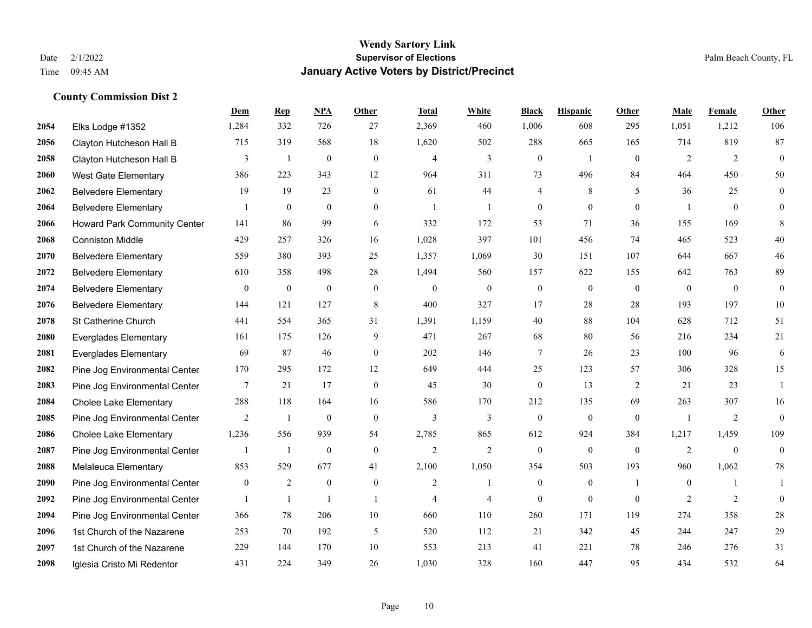**County Commission Dist 2**

#### **Wendy Sartory Link** Date 2/1/2022 **Supervisor of Elections** Palm Beach County, FL Time 09:45 AM **January Active Voters by District/Precinct**

# **Dem Rep NPA Other Total White Black Hispanic Other Male Female Other** Elks Lodge #1352 1,284 332 726 27 2,369 460 1,006 608 295 1,051 1,212 106 Clayton Hutcheson Hall B 715 319 568 18 1,620 502 288 665 165 714 819 87 Clayton Hutcheson Hall B 3 1 0 0 4 3 0 1 0 2 2 0 West Gate Elementary 386 223 343 12 964 311 73 496 84 464 450 50 Belvedere Elementary 19 19 23 0 61 44 4 8 5 36 25 0 Belvedere Elementary 1 0 0 0 1 1 0 0 0 1 0 0 Howard Park Community Center 141 86 99 6 332 172 53 71 36 155 169 8 Conniston Middle 429 257 326 16 1,028 397 101 456 74 465 523 40 Belvedere Elementary 559 380 393 25 1,357 1,069 30 151 107 644 667 46 Belvedere Elementary 610 358 498 28 1,494 560 157 622 155 642 763 89 Belvedere Elementary 0 0 0 0 0 0 0 0 0 0 0 0 Belvedere Elementary 144 121 127 8 400 327 17 28 28 193 197 10 St Catherine Church 441 554 365 31 1,391 1,159 40 88 104 628 712 51 Everglades Elementary 161 175 126 9 471 267 68 80 56 216 234 21 Everglades Elementary 69 87 46 0 202 146 7 26 23 100 96 6 Pine Jog Environmental Center 170 295 172 12 649 444 25 123 57 306 328 15 Pine Jog Environmental Center 7 21 17 0 45 30 0 13 2 21 23 1 Cholee Lake Elementary 288 118 164 16 586 170 212 135 69 263 307 16 Pine Jog Environmental Center  $\begin{array}{ccccccccccccc}\n2 & 1 & 0 & 0 & 3 & 3 & 0 & 0 & 1 & 2 & 0\n\end{array}$  Cholee Lake Elementary 1,236 556 939 54 2,785 865 612 924 384 1,217 1,459 109 Pine Jog Environmental Center  $\begin{array}{ccccccccc} & 1 & 1 & 0 & 0 & 2 & 2 & 0 & 0 & 0 & 2 & 0 & 0 \end{array}$  Melaleuca Elementary 853 529 677 41 2,100 1,050 354 503 193 960 1,062 78 Pine Jog Environmental Center  $\begin{array}{cccccccc} 0 & 2 & 0 & 0 & 2 & 1 & 0 & 1 & 0 & 1 \end{array}$ **2092** Pine Jog Environmental Center  $\begin{array}{ccccccccccccc} & 1 & 1 & 1 & 1 & 4 & 4 & 0 & 0 & 0 & 2 & 2 & 0 \end{array}$  Pine Jog Environmental Center 366 78 206 10 660 110 260 171 119 274 358 28 1st Church of the Nazarene 253 70 192 5 520 112 21 342 45 244 247 29 1st Church of the Nazarene 229 144 170 10 553 213 41 221 78 246 276 31

Iglesia Cristo Mi Redentor 431 224 349 26 1,030 328 160 447 95 434 532 64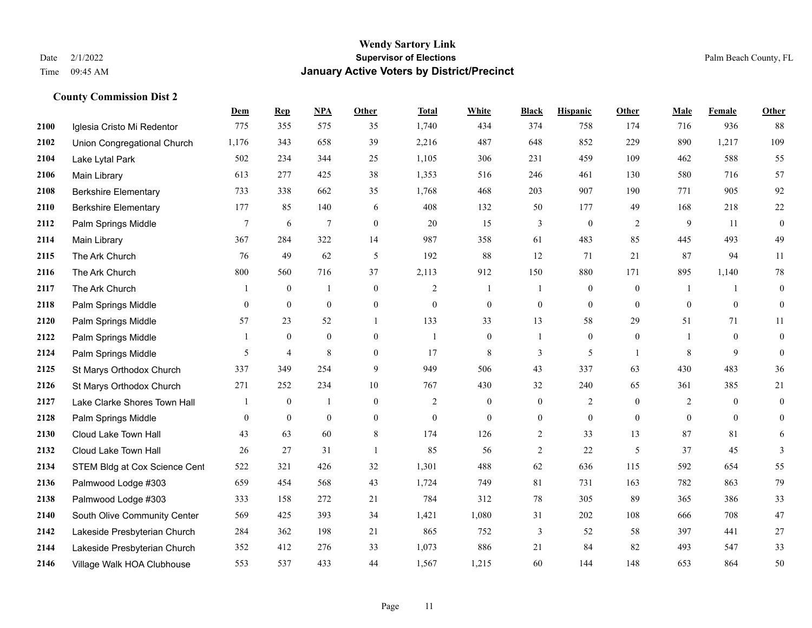|      |                               | Dem              | <b>Rep</b>     | NPA              | <b>Other</b>     | <b>Total</b> | <b>White</b>     | <b>Black</b>     | <b>Hispanic</b>  | <b>Other</b>   | <b>Male</b>  | <b>Female</b>  | Other            |
|------|-------------------------------|------------------|----------------|------------------|------------------|--------------|------------------|------------------|------------------|----------------|--------------|----------------|------------------|
| 2100 | Iglesia Cristo Mi Redentor    | 775              | 355            | 575              | 35               | 1,740        | 434              | 374              | 758              | 174            | 716          | 936            | 88               |
| 2102 | Union Congregational Church   | 1,176            | 343            | 658              | 39               | 2,216        | 487              | 648              | 852              | 229            | 890          | 1,217          | 109              |
| 2104 | Lake Lytal Park               | 502              | 234            | 344              | 25               | 1,105        | 306              | 231              | 459              | 109            | 462          | 588            | 55               |
| 2106 | Main Library                  | 613              | 277            | 425              | 38               | 1,353        | 516              | 246              | 461              | 130            | 580          | 716            | 57               |
| 2108 | <b>Berkshire Elementary</b>   | 733              | 338            | 662              | 35               | 1,768        | 468              | 203              | 907              | 190            | 771          | 905            | 92               |
| 2110 | <b>Berkshire Elementary</b>   | 177              | 85             | 140              | 6                | 408          | 132              | 50               | 177              | 49             | 168          | 218            | $22\,$           |
| 2112 | Palm Springs Middle           | $\boldsymbol{7}$ | 6              | $\overline{7}$   | $\boldsymbol{0}$ | 20           | 15               | 3                | $\boldsymbol{0}$ | $\sqrt{2}$     | 9            | 11             | $\boldsymbol{0}$ |
| 2114 | Main Library                  | 367              | 284            | 322              | 14               | 987          | 358              | 61               | 483              | 85             | 445          | 493            | 49               |
| 2115 | The Ark Church                | 76               | 49             | 62               | 5                | 192          | 88               | 12               | 71               | 21             | 87           | 94             | 11               |
| 2116 | The Ark Church                | 800              | 560            | 716              | 37               | 2,113        | 912              | 150              | 880              | 171            | 895          | 1,140          | $78\,$           |
| 2117 | The Ark Church                | -1               | $\mathbf{0}$   | $\mathbf{1}$     | $\overline{0}$   | 2            | -1               | 1                | $\boldsymbol{0}$ | $\overline{0}$ | -1           | -1             | $\boldsymbol{0}$ |
| 2118 | Palm Springs Middle           | $\overline{0}$   | $\mathbf{0}$   | $\boldsymbol{0}$ | $\boldsymbol{0}$ | $\mathbf{0}$ | $\boldsymbol{0}$ | $\boldsymbol{0}$ | $\mathbf{0}$     | $\mathbf{0}$   | $\mathbf{0}$ | $\mathbf{0}$   | $\boldsymbol{0}$ |
| 2120 | Palm Springs Middle           | 57               | 23             | 52               | $\mathbf{1}$     | 133          | 33               | 13               | 58               | 29             | 51           | 71             | 11               |
| 2122 | Palm Springs Middle           |                  | $\bf{0}$       | $\boldsymbol{0}$ | $\boldsymbol{0}$ | -1           | $\boldsymbol{0}$ | 1                | $\boldsymbol{0}$ | $\bf{0}$       |              | $\bf{0}$       | $\boldsymbol{0}$ |
| 2124 | Palm Springs Middle           | 5                | $\overline{4}$ | 8                | $\overline{0}$   | 17           | 8                | 3                | 5                | -1             | 8            | 9              | $\boldsymbol{0}$ |
| 2125 | St Marys Orthodox Church      | 337              | 349            | 254              | 9                | 949          | 506              | 43               | 337              | 63             | 430          | 483            | 36               |
| 2126 | St Marys Orthodox Church      | 271              | 252            | 234              | 10               | 767          | 430              | 32               | 240              | 65             | 361          | 385            | 21               |
| 2127 | Lake Clarke Shores Town Hall  |                  | $\mathbf{0}$   | $\overline{1}$   | $\overline{0}$   | 2            | $\boldsymbol{0}$ | $\boldsymbol{0}$ | $\overline{2}$   | $\theta$       | 2            | $\overline{0}$ | $\boldsymbol{0}$ |
| 2128 | Palm Springs Middle           | $\boldsymbol{0}$ | $\bf{0}$       | $\boldsymbol{0}$ | $\overline{0}$   | $\mathbf{0}$ | $\mathbf{0}$     | $\boldsymbol{0}$ | $\boldsymbol{0}$ | $\mathbf{0}$   | $\mathbf{0}$ | $\mathbf{0}$   | $\boldsymbol{0}$ |
| 2130 | Cloud Lake Town Hall          | 43               | 63             | 60               | 8                | 174          | 126              | $\overline{2}$   | 33               | 13             | 87           | 81             | 6                |
| 2132 | Cloud Lake Town Hall          | 26               | 27             | 31               | $\overline{1}$   | 85           | 56               | $\overline{c}$   | 22               | 5              | 37           | 45             | 3                |
| 2134 | STEM Bldg at Cox Science Cent | 522              | 321            | 426              | 32               | 1,301        | 488              | 62               | 636              | 115            | 592          | 654            | 55               |
| 2136 | Palmwood Lodge #303           | 659              | 454            | 568              | 43               | 1,724        | 749              | 81               | 731              | 163            | 782          | 863            | 79               |
| 2138 | Palmwood Lodge #303           | 333              | 158            | 272              | 21               | 784          | 312              | 78               | 305              | 89             | 365          | 386            | 33               |
| 2140 | South Olive Community Center  | 569              | 425            | 393              | 34               | 1,421        | 1,080            | 31               | 202              | 108            | 666          | 708            | $47\,$           |
| 2142 | Lakeside Presbyterian Church  | 284              | 362            | 198              | 21               | 865          | 752              | 3                | 52               | 58             | 397          | 441            | $27\,$           |
| 2144 | Lakeside Presbyterian Church  | 352              | 412            | 276              | 33               | 1,073        | 886              | 21               | 84               | 82             | 493          | 547            | 33               |
| 2146 | Village Walk HOA Clubhouse    | 553              | 537            | 433              | 44               | 1,567        | 1,215            | 60               | 144              | 148            | 653          | 864            | 50               |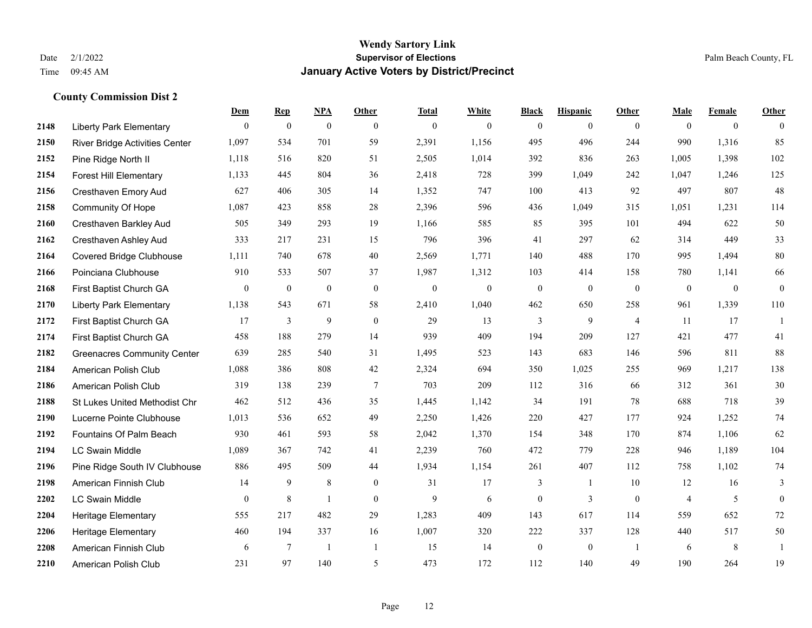**County Commission Dist 2**

### **Wendy Sartory Link** Date 2/1/2022 **Supervisor of Elections** Palm Beach County, FL Time 09:45 AM **January Active Voters by District/Precinct**

|      |                                       | Dem            | <b>Rep</b>     | <u>NPA</u>       | Other            | <b>Total</b>     | White            | <b>Black</b>   | <b>Hispanic</b> | Other          | Male           | Female         | Other            |
|------|---------------------------------------|----------------|----------------|------------------|------------------|------------------|------------------|----------------|-----------------|----------------|----------------|----------------|------------------|
| 2148 | <b>Liberty Park Elementary</b>        | $\theta$       | $\overline{0}$ | $\mathbf{0}$     | $\theta$         | $\mathbf{0}$     | $\overline{0}$   | $\mathbf{0}$   | $\overline{0}$  | $\theta$       | $\theta$       | $\overline{0}$ | $\theta$         |
| 2150 | <b>River Bridge Activities Center</b> | 1,097          | 534            | 701              | 59               | 2,391            | 1,156            | 495            | 496             | 244            | 990            | 1,316          | 85               |
| 2152 | Pine Ridge North II                   | 1,118          | 516            | 820              | 51               | 2,505            | 1,014            | 392            | 836             | 263            | 1,005          | 1,398          | $102\,$          |
| 2154 | <b>Forest Hill Elementary</b>         | 1,133          | 445            | 804              | 36               | 2,418            | 728              | 399            | 1,049           | 242            | 1,047          | 1,246          | 125              |
| 2156 | Cresthaven Emory Aud                  | 627            | 406            | 305              | 14               | 1,352            | 747              | 100            | 413             | 92             | 497            | 807            | 48               |
| 2158 | Community Of Hope                     | 1,087          | 423            | 858              | 28               | 2,396            | 596              | 436            | 1,049           | 315            | 1,051          | 1,231          | 114              |
| 2160 | Cresthaven Barkley Aud                | 505            | 349            | 293              | 19               | 1,166            | 585              | 85             | 395             | 101            | 494            | 622            | 50               |
| 2162 | Cresthaven Ashley Aud                 | 333            | 217            | 231              | 15               | 796              | 396              | 41             | 297             | 62             | 314            | 449            | 33               |
| 2164 | <b>Covered Bridge Clubhouse</b>       | 1,111          | 740            | 678              | 40               | 2,569            | 1,771            | 140            | 488             | 170            | 995            | 1,494          | 80               |
| 2166 | Poinciana Clubhouse                   | 910            | 533            | 507              | 37               | 1,987            | 1,312            | 103            | 414             | 158            | 780            | 1,141          | 66               |
| 2168 | First Baptist Church GA               | $\overline{0}$ | $\overline{0}$ | $\boldsymbol{0}$ | $\theta$         | $\boldsymbol{0}$ | $\boldsymbol{0}$ | $\mathbf{0}$   | $\mathbf{0}$    | $\mathbf{0}$   | $\overline{0}$ | $\mathbf{0}$   | $\boldsymbol{0}$ |
| 2170 | <b>Liberty Park Elementary</b>        | 1,138          | 543            | 671              | 58               | 2,410            | 1,040            | 462            | 650             | 258            | 961            | 1,339          | 110              |
| 2172 | First Baptist Church GA               | 17             | 3              | 9                | $\mathbf{0}$     | 29               | 13               | $\overline{3}$ | 9               | $\overline{4}$ | 11             | 17             | 1                |
| 2174 | First Baptist Church GA               | 458            | 188            | 279              | 14               | 939              | 409              | 194            | 209             | 127            | 421            | 477            | 41               |
| 2182 | <b>Greenacres Community Center</b>    | 639            | 285            | 540              | 31               | 1,495            | 523              | 143            | 683             | 146            | 596            | 811            | 88               |
| 2184 | American Polish Club                  | 1,088          | 386            | 808              | 42               | 2,324            | 694              | 350            | 1,025           | 255            | 969            | 1,217          | 138              |
| 2186 | American Polish Club                  | 319            | 138            | 239              | $\overline{7}$   | 703              | 209              | 112            | 316             | 66             | 312            | 361            | 30               |
| 2188 | St Lukes United Methodist Chr         | 462            | 512            | 436              | 35               | 1,445            | 1,142            | 34             | 191             | 78             | 688            | 718            | 39               |
| 2190 | Lucerne Pointe Clubhouse              | 1,013          | 536            | 652              | 49               | 2,250            | 1,426            | 220            | 427             | 177            | 924            | 1,252          | $74\,$           |
| 2192 | Fountains Of Palm Beach               | 930            | 461            | 593              | 58               | 2,042            | 1,370            | 154            | 348             | 170            | 874            | 1,106          | 62               |
| 2194 | <b>LC Swain Middle</b>                | 1,089          | 367            | 742              | 41               | 2,239            | 760              | 472            | 779             | 228            | 946            | 1,189          | 104              |
| 2196 | Pine Ridge South IV Clubhouse         | 886            | 495            | 509              | 44               | 1,934            | 1,154            | 261            | 407             | 112            | 758            | 1,102          | 74               |
| 2198 | American Finnish Club                 | 14             | 9              | $\,$ 8 $\,$      | $\boldsymbol{0}$ | 31               | 17               | 3              | 1               | 10             | 12             | 16             | 3                |
| 2202 | <b>LC Swain Middle</b>                | $\Omega$       | $\,$ 8 $\,$    | 1                | $\theta$         | 9                | 6                | $\mathbf{0}$   | 3               | $\mathbf{0}$   | $\overline{4}$ | 5              | $\mathbf{0}$     |
| 2204 | Heritage Elementary                   | 555            | 217            | 482              | 29               | 1,283            | 409              | 143            | 617             | 114            | 559            | 652            | $72\,$           |
| 2206 | <b>Heritage Elementary</b>            | 460            | 194            | 337              | 16               | 1,007            | 320              | 222            | 337             | 128            | 440            | 517            | 50               |
| 2208 | American Finnish Club                 | 6              | $\tau$         | $\overline{1}$   | $\mathbf{1}$     | 15               | 14               | $\mathbf{0}$   | $\mathbf{0}$    | $\overline{1}$ | 6              | 8              | $\mathbf{1}$     |
| 2210 | American Polish Club                  | 231            | 97             | 140              | 5                | 473              | 172              | 112            | 140             | 49             | 190            | 264            | 19               |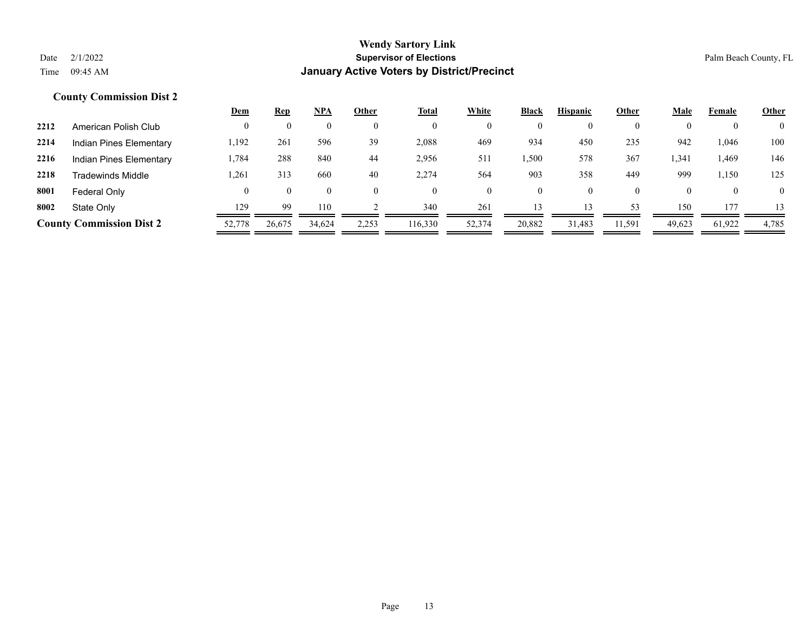|      |                                 | <u>Dem</u> | <u>Rep</u> | <b>NPA</b> | Other | <b>Total</b> | White  | <b>Black</b> | <b>Hispanic</b> | Other  | <b>Male</b>  | Female | <b>Other</b>   |
|------|---------------------------------|------------|------------|------------|-------|--------------|--------|--------------|-----------------|--------|--------------|--------|----------------|
| 2212 | American Polish Club            |            |            |            |       | $\mathbf{0}$ |        | $\mathbf{0}$ | $\Omega$        |        |              |        | $\overline{0}$ |
| 2214 | Indian Pines Elementary         | 1,192      | 261        | 596        | 39    | 2,088        | 469    | 934          | 450             | 235    | 942          | .046   | 100            |
| 2216 | Indian Pines Elementary         | 1,784      | 288        | 840        | 44    | 2,956        | 511    | .500         | 578             | 367    | 1,341        | 1,469  | 146            |
| 2218 | Tradewinds Middle               | 1,261      | 313        | 660        | 40    | 2,274        | 564    | 903          | 358             | 449    | 999          | 1,150  | 125            |
| 8001 | Federal Only                    |            |            | $\theta$   |       | $\theta$     |        | $\mathbf{0}$ | $\theta$        |        | $\mathbf{U}$ |        | $\overline{0}$ |
| 8002 | State Only                      | 129        | 99         | 110        |       | 340          | 261    | 13           | 13              | 53     | 150          | 177    | 13             |
|      | <b>County Commission Dist 2</b> | 52,778     | 26,675     | 34,624     | 2,253 | 116,330      | 52,374 | 20,882       | 31,483          | 11,591 | 49,623       | 61,922 | 4,785          |
|      |                                 |            |            |            |       |              |        |              |                 |        |              |        |                |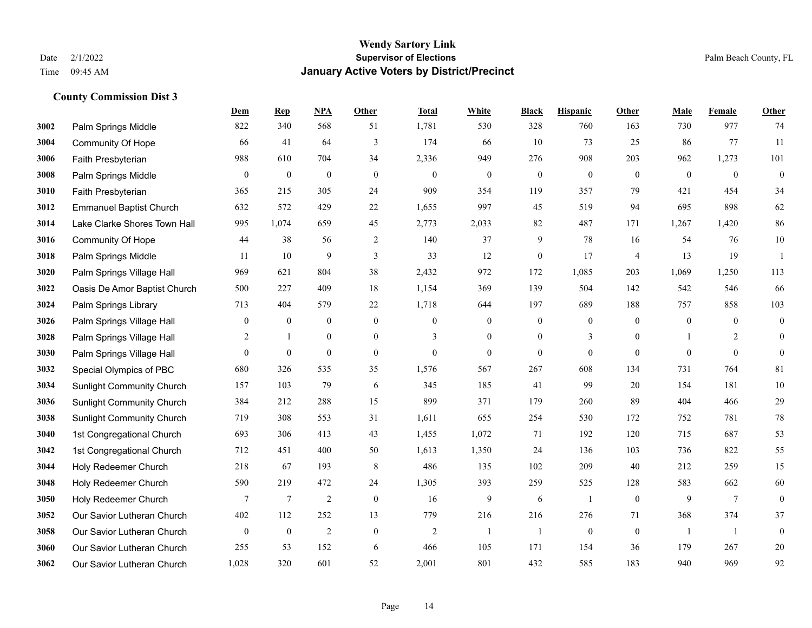|      |                                  | Dem              | <b>Rep</b>       | NPA              | <b>Other</b>     | <b>Total</b>   | <b>White</b>     | <b>Black</b>     | <b>Hispanic</b>  | <b>Other</b>   | <b>Male</b>    | <b>Female</b>  | <b>Other</b>     |
|------|----------------------------------|------------------|------------------|------------------|------------------|----------------|------------------|------------------|------------------|----------------|----------------|----------------|------------------|
| 3002 | Palm Springs Middle              | 822              | 340              | 568              | 51               | 1,781          | 530              | 328              | 760              | 163            | 730            | 977            | 74               |
| 3004 | <b>Community Of Hope</b>         | 66               | 41               | 64               | 3                | 174            | 66               | 10               | 73               | 25             | 86             | 77             | 11               |
| 3006 | Faith Presbyterian               | 988              | 610              | 704              | 34               | 2,336          | 949              | 276              | 908              | 203            | 962            | 1,273          | 101              |
| 3008 | Palm Springs Middle              | $\boldsymbol{0}$ | $\boldsymbol{0}$ | $\boldsymbol{0}$ | $\boldsymbol{0}$ | $\mathbf{0}$   | $\boldsymbol{0}$ | $\boldsymbol{0}$ | $\boldsymbol{0}$ | $\mathbf{0}$   | $\mathbf{0}$   | $\mathbf{0}$   | $\boldsymbol{0}$ |
| 3010 | Faith Presbyterian               | 365              | 215              | 305              | 24               | 909            | 354              | 119              | 357              | 79             | 421            | 454            | 34               |
| 3012 | <b>Emmanuel Baptist Church</b>   | 632              | 572              | 429              | 22               | 1,655          | 997              | 45               | 519              | 94             | 695            | 898            | 62               |
| 3014 | Lake Clarke Shores Town Hall     | 995              | 1,074            | 659              | 45               | 2,773          | 2,033            | 82               | 487              | 171            | 1,267          | 1,420          | 86               |
| 3016 | <b>Community Of Hope</b>         | 44               | 38               | 56               | 2                | 140            | 37               | 9                | 78               | 16             | 54             | 76             | $10\,$           |
| 3018 | Palm Springs Middle              | 11               | 10               | 9                | $\overline{3}$   | 33             | 12               | $\boldsymbol{0}$ | 17               | $\overline{4}$ | 13             | 19             | $\overline{1}$   |
| 3020 | Palm Springs Village Hall        | 969              | 621              | 804              | 38               | 2,432          | 972              | 172              | 1,085            | 203            | 1,069          | 1,250          | 113              |
| 3022 | Oasis De Amor Baptist Church     | 500              | 227              | 409              | 18               | 1,154          | 369              | 139              | 504              | 142            | 542            | 546            | 66               |
| 3024 | Palm Springs Library             | 713              | 404              | 579              | 22               | 1,718          | 644              | 197              | 689              | 188            | 757            | 858            | 103              |
| 3026 | Palm Springs Village Hall        | $\boldsymbol{0}$ | $\bf{0}$         | $\boldsymbol{0}$ | $\boldsymbol{0}$ | $\mathbf{0}$   | $\boldsymbol{0}$ | $\boldsymbol{0}$ | $\boldsymbol{0}$ | $\theta$       | $\overline{0}$ | $\overline{0}$ | $\boldsymbol{0}$ |
| 3028 | Palm Springs Village Hall        | 2                | -1               | $\boldsymbol{0}$ | $\boldsymbol{0}$ | 3              | $\boldsymbol{0}$ | $\boldsymbol{0}$ | 3                | $\overline{0}$ |                | 2              | $\mathbf{0}$     |
| 3030 | Palm Springs Village Hall        | $\overline{0}$   | $\mathbf{0}$     | $\mathbf{0}$     | $\overline{0}$   | $\theta$       | $\mathbf{0}$     | $\mathbf{0}$     | $\mathbf{0}$     | $\theta$       | $\Omega$       | $\theta$       | $\mathbf{0}$     |
| 3032 | Special Olympics of PBC          | 680              | 326              | 535              | 35               | 1,576          | 567              | 267              | 608              | 134            | 731            | 764            | 81               |
| 3034 | <b>Sunlight Community Church</b> | 157              | 103              | 79               | 6                | 345            | 185              | 41               | 99               | 20             | 154            | 181            | $10\,$           |
| 3036 | <b>Sunlight Community Church</b> | 384              | 212              | 288              | 15               | 899            | 371              | 179              | 260              | 89             | 404            | 466            | 29               |
| 3038 | <b>Sunlight Community Church</b> | 719              | 308              | 553              | 31               | 1,611          | 655              | 254              | 530              | 172            | 752            | 781            | $78\,$           |
| 3040 | 1st Congregational Church        | 693              | 306              | 413              | 43               | 1,455          | 1,072            | 71               | 192              | 120            | 715            | 687            | 53               |
| 3042 | 1st Congregational Church        | 712              | 451              | 400              | 50               | 1,613          | 1,350            | 24               | 136              | 103            | 736            | 822            | 55               |
| 3044 | Holy Redeemer Church             | 218              | 67               | 193              | $\,8\,$          | 486            | 135              | 102              | 209              | 40             | 212            | 259            | 15               |
| 3048 | Holy Redeemer Church             | 590              | 219              | 472              | 24               | 1,305          | 393              | 259              | 525              | 128            | 583            | 662            | 60               |
| 3050 | Holy Redeemer Church             | $\tau$           | $\tau$           | $\overline{2}$   | $\mathbf{0}$     | 16             | 9                | 6                | 1                | $\mathbf{0}$   | 9              | $\overline{7}$ | $\mathbf{0}$     |
| 3052 | Our Savior Lutheran Church       | 402              | 112              | 252              | 13               | 779            | 216              | 216              | 276              | 71             | 368            | 374            | 37               |
| 3058 | Our Savior Lutheran Church       | $\mathbf{0}$     | $\boldsymbol{0}$ | $\overline{2}$   | $\overline{0}$   | $\overline{2}$ | $\mathbf{1}$     | $\mathbf{1}$     | $\mathbf{0}$     | $\mathbf{0}$   |                | -1             | $\boldsymbol{0}$ |
| 3060 | Our Savior Lutheran Church       | 255              | 53               | 152              | 6                | 466            | 105              | 171              | 154              | 36             | 179            | 267            | $20\,$           |
| 3062 | Our Savior Lutheran Church       | 1,028            | 320              | 601              | 52               | 2,001          | 801              | 432              | 585              | 183            | 940            | 969            | 92               |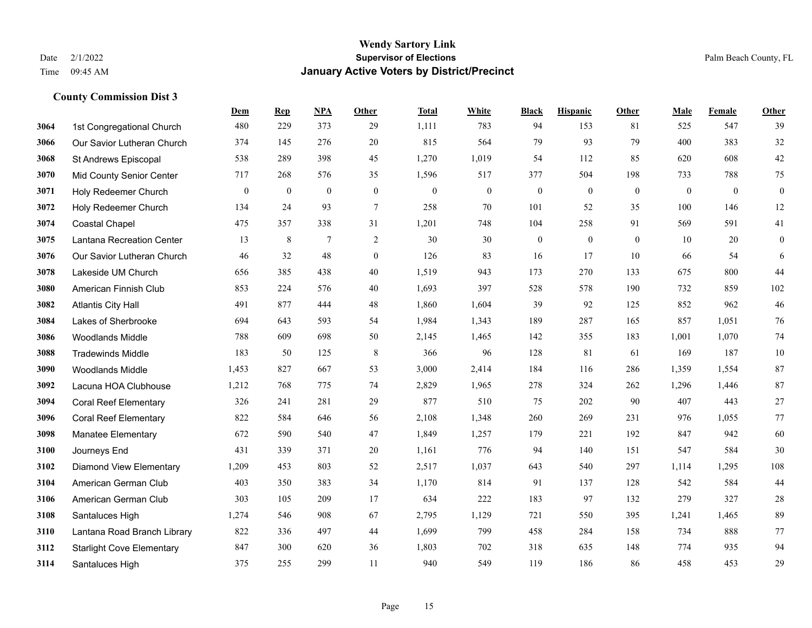|      |                                  | Dem          | <b>Rep</b>   | NPA            | <b>Other</b>     | <b>Total</b> | <b>White</b> | <b>Black</b> | <b>Hispanic</b> | <b>Other</b> | <b>Male</b> | Female   | <b>Other</b>     |
|------|----------------------------------|--------------|--------------|----------------|------------------|--------------|--------------|--------------|-----------------|--------------|-------------|----------|------------------|
| 3064 | 1st Congregational Church        | 480          | 229          | 373            | 29               | 1,111        | 783          | 94           | 153             | 81           | 525         | 547      | 39               |
| 3066 | Our Savior Lutheran Church       | 374          | 145          | 276            | 20               | 815          | 564          | 79           | 93              | 79           | 400         | 383      | 32               |
| 3068 | St Andrews Episcopal             | 538          | 289          | 398            | 45               | 1,270        | 1,019        | 54           | 112             | 85           | 620         | 608      | $42\,$           |
| 3070 | <b>Mid County Senior Center</b>  | 717          | 268          | 576            | 35               | 1,596        | 517          | 377          | 504             | 198          | 733         | 788      | 75               |
| 3071 | Holy Redeemer Church             | $\mathbf{0}$ | $\mathbf{0}$ | $\overline{0}$ | $\theta$         | $\theta$     | $\mathbf{0}$ | $\mathbf{0}$ | $\overline{0}$  | $\theta$     | $\theta$    | $\theta$ | $\boldsymbol{0}$ |
| 3072 | Holy Redeemer Church             | 134          | 24           | 93             | $\tau$           | 258          | 70           | 101          | 52              | 35           | 100         | 146      | $12\,$           |
| 3074 | <b>Coastal Chapel</b>            | 475          | 357          | 338            | 31               | 1,201        | 748          | 104          | 258             | 91           | 569         | 591      | 41               |
| 3075 | Lantana Recreation Center        | 13           | 8            | $\tau$         | 2                | 30           | 30           | $\mathbf{0}$ | $\theta$        | $\theta$     | 10          | 20       | $\boldsymbol{0}$ |
| 3076 | Our Savior Lutheran Church       | 46           | 32           | 48             | $\boldsymbol{0}$ | 126          | 83           | 16           | 17              | 10           | 66          | 54       | 6                |
| 3078 | Lakeside UM Church               | 656          | 385          | 438            | 40               | 1,519        | 943          | 173          | 270             | 133          | 675         | 800      | 44               |
| 3080 | American Finnish Club            | 853          | 224          | 576            | 40               | 1,693        | 397          | 528          | 578             | 190          | 732         | 859      | 102              |
| 3082 | <b>Atlantis City Hall</b>        | 491          | 877          | 444            | 48               | 1,860        | 1,604        | 39           | 92              | 125          | 852         | 962      | 46               |
| 3084 | Lakes of Sherbrooke              | 694          | 643          | 593            | 54               | 1,984        | 1,343        | 189          | 287             | 165          | 857         | 1,051    | 76               |
| 3086 | Woodlands Middle                 | 788          | 609          | 698            | 50               | 2,145        | 1,465        | 142          | 355             | 183          | 1,001       | 1,070    | $74\,$           |
| 3088 | <b>Tradewinds Middle</b>         | 183          | 50           | 125            | 8                | 366          | 96           | 128          | 81              | 61           | 169         | 187      | $10\,$           |
| 3090 | <b>Woodlands Middle</b>          | 1,453        | 827          | 667            | 53               | 3,000        | 2,414        | 184          | 116             | 286          | 1,359       | 1,554    | 87               |
| 3092 | Lacuna HOA Clubhouse             | 1,212        | 768          | 775            | 74               | 2,829        | 1,965        | 278          | 324             | 262          | 1,296       | 1,446    | 87               |
| 3094 | <b>Coral Reef Elementary</b>     | 326          | 241          | 281            | 29               | 877          | 510          | 75           | 202             | 90           | 407         | 443      | $27\,$           |
| 3096 | <b>Coral Reef Elementary</b>     | 822          | 584          | 646            | 56               | 2,108        | 1,348        | 260          | 269             | 231          | 976         | 1,055    | 77               |
| 3098 | <b>Manatee Elementary</b>        | 672          | 590          | 540            | 47               | 1,849        | 1,257        | 179          | 221             | 192          | 847         | 942      | 60               |
| 3100 | Journeys End                     | 431          | 339          | 371            | 20               | 1,161        | 776          | 94           | 140             | 151          | 547         | 584      | 30               |
| 3102 | <b>Diamond View Elementary</b>   | 1,209        | 453          | 803            | 52               | 2,517        | 1,037        | 643          | 540             | 297          | 1,114       | 1,295    | 108              |
| 3104 | American German Club             | 403          | 350          | 383            | 34               | 1,170        | 814          | 91           | 137             | 128          | 542         | 584      | 44               |
| 3106 | American German Club             | 303          | 105          | 209            | 17               | 634          | 222          | 183          | 97              | 132          | 279         | 327      | $28\,$           |
| 3108 | Santaluces High                  | 1,274        | 546          | 908            | 67               | 2,795        | 1,129        | 721          | 550             | 395          | 1,241       | 1.465    | 89               |
| 3110 | Lantana Road Branch Library      | 822          | 336          | 497            | 44               | 1,699        | 799          | 458          | 284             | 158          | 734         | 888      | 77               |
| 3112 | <b>Starlight Cove Elementary</b> | 847          | 300          | 620            | 36               | 1,803        | 702          | 318          | 635             | 148          | 774         | 935      | 94               |
| 3114 | Santaluces High                  | 375          | 255          | 299            | 11               | 940          | 549          | 119          | 186             | 86           | 458         | 453      | 29               |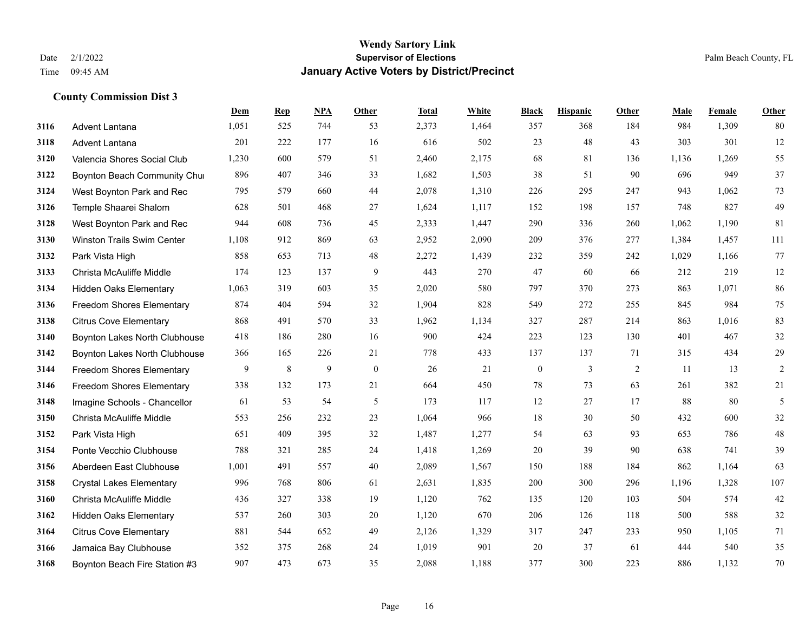|      |                                  | Dem   | <b>Rep</b> | NPA | <b>Other</b> | <b>Total</b> | <b>White</b> | <b>Black</b>     | <b>Hispanic</b> | Other | <b>Male</b> | Female | <b>Other</b> |
|------|----------------------------------|-------|------------|-----|--------------|--------------|--------------|------------------|-----------------|-------|-------------|--------|--------------|
| 3116 | <b>Advent Lantana</b>            | 1,051 | 525        | 744 | 53           | 2,373        | 1,464        | 357              | 368             | 184   | 984         | 1,309  | 80           |
| 3118 | Advent Lantana                   | 201   | 222        | 177 | 16           | 616          | 502          | 23               | 48              | 43    | 303         | 301    | 12           |
| 3120 | Valencia Shores Social Club      | 1,230 | 600        | 579 | 51           | 2,460        | 2,175        | 68               | 81              | 136   | 1,136       | 1,269  | 55           |
| 3122 | Boynton Beach Community Chui     | 896   | 407        | 346 | 33           | 1,682        | 1,503        | 38               | 51              | 90    | 696         | 949    | 37           |
| 3124 | West Boynton Park and Rec        | 795   | 579        | 660 | 44           | 2,078        | 1,310        | 226              | 295             | 247   | 943         | 1.062  | 73           |
| 3126 | Temple Shaarei Shalom            | 628   | 501        | 468 | 27           | 1,624        | 1,117        | 152              | 198             | 157   | 748         | 827    | 49           |
| 3128 | West Boynton Park and Rec        | 944   | 608        | 736 | 45           | 2,333        | 1,447        | 290              | 336             | 260   | 1,062       | 1,190  | 81           |
| 3130 | Winston Trails Swim Center       | 1,108 | 912        | 869 | 63           | 2,952        | 2,090        | 209              | 376             | 277   | 1,384       | 1,457  | 111          |
| 3132 | Park Vista High                  | 858   | 653        | 713 | 48           | 2,272        | 1,439        | 232              | 359             | 242   | 1,029       | 1,166  | 77           |
| 3133 | Christa McAuliffe Middle         | 174   | 123        | 137 | 9            | 443          | 270          | 47               | 60              | 66    | 212         | 219    | 12           |
| 3134 | <b>Hidden Oaks Elementary</b>    | 1,063 | 319        | 603 | 35           | 2,020        | 580          | 797              | 370             | 273   | 863         | 1.071  | 86           |
| 3136 | Freedom Shores Elementary        | 874   | 404        | 594 | 32           | 1,904        | 828          | 549              | 272             | 255   | 845         | 984    | 75           |
| 3138 | <b>Citrus Cove Elementary</b>    | 868   | 491        | 570 | 33           | 1,962        | 1,134        | 327              | 287             | 214   | 863         | 1,016  | 83           |
| 3140 | Boynton Lakes North Clubhouse    | 418   | 186        | 280 | 16           | 900          | 424          | 223              | 123             | 130   | 401         | 467    | $32\,$       |
| 3142 | Boynton Lakes North Clubhouse    | 366   | 165        | 226 | 21           | 778          | 433          | 137              | 137             | 71    | 315         | 434    | 29           |
| 3144 | Freedom Shores Elementary        | 9     | 8          | 9   | $\mathbf{0}$ | 26           | 21           | $\boldsymbol{0}$ | 3               | 2     | 11          | 13     | $\sqrt{2}$   |
| 3146 | <b>Freedom Shores Elementary</b> | 338   | 132        | 173 | 21           | 664          | 450          | 78               | 73              | 63    | 261         | 382    | $21\,$       |
| 3148 | Imagine Schools - Chancellor     | 61    | 53         | 54  | 5            | 173          | 117          | 12               | 27              | 17    | 88          | 80     | 5            |
| 3150 | Christa McAuliffe Middle         | 553   | 256        | 232 | 23           | 1,064        | 966          | 18               | 30              | 50    | 432         | 600    | 32           |
| 3152 | Park Vista High                  | 651   | 409        | 395 | 32           | 1,487        | 1,277        | 54               | 63              | 93    | 653         | 786    | 48           |
| 3154 | Ponte Vecchio Clubhouse          | 788   | 321        | 285 | 24           | 1,418        | 1,269        | 20               | 39              | 90    | 638         | 741    | 39           |
| 3156 | Aberdeen East Clubhouse          | 1,001 | 491        | 557 | 40           | 2,089        | 1,567        | 150              | 188             | 184   | 862         | 1,164  | 63           |
| 3158 | <b>Crystal Lakes Elementary</b>  | 996   | 768        | 806 | 61           | 2,631        | 1,835        | 200              | 300             | 296   | 1,196       | 1,328  | 107          |
| 3160 | Christa McAuliffe Middle         | 436   | 327        | 338 | 19           | 1,120        | 762          | 135              | 120             | 103   | 504         | 574    | 42           |
| 3162 | <b>Hidden Oaks Elementary</b>    | 537   | 260        | 303 | 20           | 1,120        | 670          | 206              | 126             | 118   | 500         | 588    | 32           |
| 3164 | <b>Citrus Cove Elementary</b>    | 881   | 544        | 652 | 49           | 2,126        | 1,329        | 317              | 247             | 233   | 950         | 1,105  | 71           |
| 3166 | Jamaica Bay Clubhouse            | 352   | 375        | 268 | 24           | 1,019        | 901          | 20               | 37              | 61    | 444         | 540    | 35           |
| 3168 | Boynton Beach Fire Station #3    | 907   | 473        | 673 | 35           | 2,088        | 1,188        | 377              | 300             | 223   | 886         | 1,132  | 70           |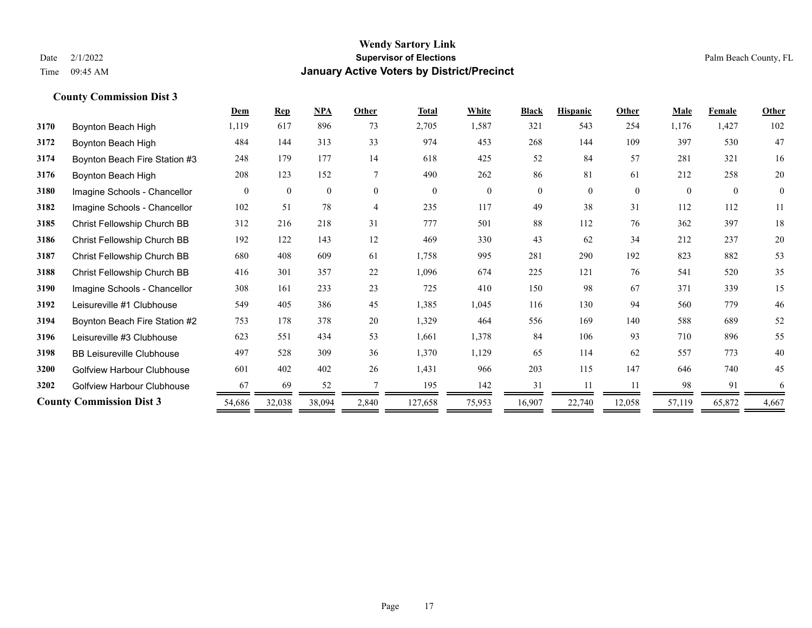|      |                                  | Dem      | <b>Rep</b>   | NPA      | Other          | <b>Total</b> | White    | <b>Black</b> | <b>Hispanic</b> | Other    | <b>Male</b> | Female   | Other        |
|------|----------------------------------|----------|--------------|----------|----------------|--------------|----------|--------------|-----------------|----------|-------------|----------|--------------|
| 3170 | Boynton Beach High               | 1,119    | 617          | 896      | 73             | 2,705        | 1,587    | 321          | 543             | 254      | 1,176       | 1,427    | 102          |
| 3172 | Boynton Beach High               | 484      | 144          | 313      | 33             | 974          | 453      | 268          | 144             | 109      | 397         | 530      | 47           |
| 3174 | Boynton Beach Fire Station #3    | 248      | 179          | 177      | 14             | 618          | 425      | 52           | 84              | 57       | 281         | 321      | 16           |
| 3176 | Boynton Beach High               | 208      | 123          | 152      | 7              | 490          | 262      | 86           | 81              | 61       | 212         | 258      | 20           |
| 3180 | Imagine Schools - Chancellor     | $\theta$ | $\mathbf{0}$ | $\theta$ | $\theta$       | $\theta$     | $\theta$ | $\theta$     | $\theta$        | $\theta$ | $\theta$    | $\theta$ | $\mathbf{0}$ |
| 3182 | Imagine Schools - Chancellor     | 102      | 51           | 78       | $\overline{4}$ | 235          | 117      | 49           | 38              | 31       | 112         | 112      | 11           |
| 3185 | Christ Fellowship Church BB      | 312      | 216          | 218      | 31             | 777          | 501      | 88           | 112             | 76       | 362         | 397      | 18           |
| 3186 | Christ Fellowship Church BB      | 192      | 122          | 143      | 12             | 469          | 330      | 43           | 62              | 34       | 212         | 237      | 20           |
| 3187 | Christ Fellowship Church BB      | 680      | 408          | 609      | 61             | 1,758        | 995      | 281          | 290             | 192      | 823         | 882      | 53           |
| 3188 | Christ Fellowship Church BB      | 416      | 301          | 357      | 22             | 1,096        | 674      | 225          | 121             | 76       | 541         | 520      | 35           |
| 3190 | Imagine Schools - Chancellor     | 308      | 161          | 233      | 23             | 725          | 410      | 150          | 98              | 67       | 371         | 339      | 15           |
| 3192 | Leisureville #1 Clubhouse        | 549      | 405          | 386      | 45             | 1,385        | 1,045    | 116          | 130             | 94       | 560         | 779      | 46           |
| 3194 | Boynton Beach Fire Station #2    | 753      | 178          | 378      | 20             | 1,329        | 464      | 556          | 169             | 140      | 588         | 689      | 52           |
| 3196 | Leisureville #3 Clubhouse        | 623      | 551          | 434      | 53             | 1,661        | 1,378    | 84           | 106             | 93       | 710         | 896      | 55           |
| 3198 | <b>BB Leisureville Clubhouse</b> | 497      | 528          | 309      | 36             | 1,370        | 1,129    | 65           | 114             | 62       | 557         | 773      | 40           |
| 3200 | Golfview Harbour Clubhouse       | 601      | 402          | 402      | 26             | 1,431        | 966      | 203          | 115             | 147      | 646         | 740      | 45           |
| 3202 | Golfview Harbour Clubhouse       | 67       | 69           | 52       |                | 195          | 142      | 31           | 11              | 11       | 98          | 91       | 6            |
|      | <b>County Commission Dist 3</b>  | 54,686   | 32,038       | 38,094   | 2,840          | 127,658      | 75,953   | 16,907       | 22,740          | 12,058   | 57,119      | 65,872   | 4,667        |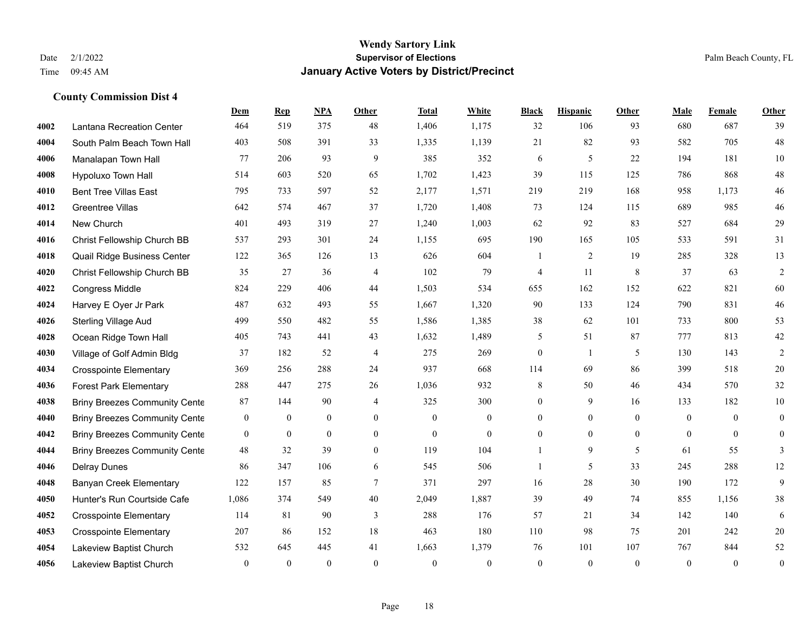|      |                                      | Dem              | <b>Rep</b>       | NPA              | <b>Other</b>   | <b>Total</b>     | <b>White</b>     | <b>Black</b>     | <b>Hispanic</b>  | <b>Other</b>   | <b>Male</b>      | Female       | <b>Other</b>     |
|------|--------------------------------------|------------------|------------------|------------------|----------------|------------------|------------------|------------------|------------------|----------------|------------------|--------------|------------------|
| 4002 | Lantana Recreation Center            | 464              | 519              | 375              | 48             | 1,406            | 1,175            | 32               | 106              | 93             | 680              | 687          | 39               |
| 4004 | South Palm Beach Town Hall           | 403              | 508              | 391              | 33             | 1,335            | 1,139            | 21               | 82               | 93             | 582              | 705          | $48\,$           |
| 4006 | Manalapan Town Hall                  | 77               | 206              | 93               | 9              | 385              | 352              | 6                | 5                | 22             | 194              | 181          | $10\,$           |
| 4008 | Hypoluxo Town Hall                   | 514              | 603              | 520              | 65             | 1,702            | 1,423            | 39               | 115              | 125            | 786              | 868          | $48\,$           |
| 4010 | <b>Bent Tree Villas East</b>         | 795              | 733              | 597              | 52             | 2,177            | 1,571            | 219              | 219              | 168            | 958              | 1.173        | $46\,$           |
| 4012 | Greentree Villas                     | 642              | 574              | 467              | 37             | 1,720            | 1,408            | 73               | 124              | 115            | 689              | 985          | $46\,$           |
| 4014 | New Church                           | 401              | 493              | 319              | 27             | 1,240            | 1,003            | 62               | 92               | 83             | 527              | 684          | 29               |
| 4016 | Christ Fellowship Church BB          | 537              | 293              | 301              | 24             | 1,155            | 695              | 190              | 165              | 105            | 533              | 591          | 31               |
| 4018 | Quail Ridge Business Center          | 122              | 365              | 126              | 13             | 626              | 604              | 1                | $\overline{2}$   | 19             | 285              | 328          | 13               |
| 4020 | Christ Fellowship Church BB          | 35               | 27               | 36               | 4              | 102              | 79               | 4                | 11               | 8              | 37               | 63           | $\overline{c}$   |
| 4022 | Congress Middle                      | 824              | 229              | 406              | 44             | 1,503            | 534              | 655              | 162              | 152            | 622              | 821          | 60               |
| 4024 | Harvey E Oyer Jr Park                | 487              | 632              | 493              | 55             | 1,667            | 1,320            | 90               | 133              | 124            | 790              | 831          | $46\,$           |
| 4026 | <b>Sterling Village Aud</b>          | 499              | 550              | 482              | 55             | 1,586            | 1,385            | 38               | 62               | 101            | 733              | 800          | 53               |
| 4028 | Ocean Ridge Town Hall                | 405              | 743              | 441              | 43             | 1,632            | 1,489            | 5                | 51               | 87             | 777              | 813          | $42\,$           |
| 4030 | Village of Golf Admin Bldg           | 37               | 182              | 52               | 4              | 275              | 269              | $\boldsymbol{0}$ | 1                | 5              | 130              | 143          | $\overline{2}$   |
| 4034 | <b>Crosspointe Elementary</b>        | 369              | 256              | 288              | 24             | 937              | 668              | 114              | 69               | 86             | 399              | 518          | $20\,$           |
| 4036 | <b>Forest Park Elementary</b>        | 288              | 447              | 275              | 26             | 1,036            | 932              | 8                | 50               | 46             | 434              | 570          | 32               |
| 4038 | <b>Briny Breezes Community Cente</b> | 87               | 144              | 90               | $\overline{4}$ | 325              | 300              | $\boldsymbol{0}$ | 9                | 16             | 133              | 182          | $10\,$           |
| 4040 | <b>Briny Breezes Community Cente</b> | $\boldsymbol{0}$ | $\boldsymbol{0}$ | $\boldsymbol{0}$ | $\overline{0}$ | $\boldsymbol{0}$ | $\boldsymbol{0}$ | $\boldsymbol{0}$ | $\boldsymbol{0}$ | $\mathbf{0}$   | $\boldsymbol{0}$ | $\mathbf{0}$ | $\boldsymbol{0}$ |
| 4042 | <b>Briny Breezes Community Cente</b> | $\overline{0}$   | $\mathbf{0}$     | $\mathbf{0}$     | $\overline{0}$ | $\theta$         | $\mathbf{0}$     | $\boldsymbol{0}$ | $\mathbf{0}$     | $\overline{0}$ | $\overline{0}$   | $\theta$     | $\boldsymbol{0}$ |
| 4044 | <b>Briny Breezes Community Cente</b> | 48               | 32               | 39               | $\theta$       | 119              | 104              | 1                | 9                | 5              | 61               | 55           | 3                |
| 4046 | <b>Delray Dunes</b>                  | 86               | 347              | 106              | 6              | 545              | 506              |                  | 5                | 33             | 245              | 288          | $12\,$           |
| 4048 | <b>Banyan Creek Elementary</b>       | 122              | 157              | 85               | 7              | 371              | 297              | 16               | 28               | 30             | 190              | 172          | 9                |
| 4050 | Hunter's Run Courtside Cafe          | 1,086            | 374              | 549              | 40             | 2,049            | 1,887            | 39               | 49               | 74             | 855              | 1,156        | 38               |
| 4052 | <b>Crosspointe Elementary</b>        | 114              | 81               | 90               | 3              | 288              | 176              | 57               | 21               | 34             | 142              | 140          | 6                |
| 4053 | <b>Crosspointe Elementary</b>        | 207              | 86               | 152              | 18             | 463              | 180              | 110              | 98               | 75             | 201              | 242          | $20\,$           |
| 4054 | Lakeview Baptist Church              | 532              | 645              | 445              | 41             | 1,663            | 1,379            | 76               | 101              | 107            | 767              | 844          | 52               |
| 4056 | Lakeview Baptist Church              | $\mathbf{0}$     | $\mathbf{0}$     | $\theta$         | $\theta$       | $\theta$         | $\mathbf{0}$     | $\mathbf{0}$     | $\mathbf{0}$     | $\mathbf{0}$   | $\theta$         | $\mathbf{0}$ | $\boldsymbol{0}$ |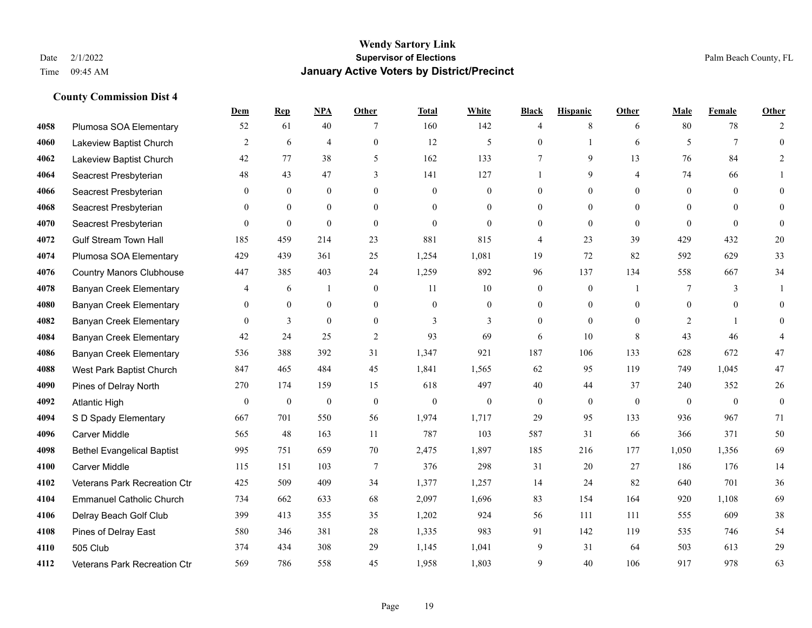|      |                                   | Dem          | <b>Rep</b>       | NPA              | <b>Other</b>   | <b>Total</b> | <b>White</b>     | <b>Black</b>     | <b>Hispanic</b> | <b>Other</b> | <b>Male</b>    | <b>Female</b> | <b>Other</b>     |
|------|-----------------------------------|--------------|------------------|------------------|----------------|--------------|------------------|------------------|-----------------|--------------|----------------|---------------|------------------|
| 4058 | Plumosa SOA Elementary            | 52           | 61               | 40               | 7              | 160          | 142              | $\overline{4}$   | 8               | 6            | 80             | 78            | $\overline{2}$   |
| 4060 | Lakeview Baptist Church           | 2            | 6                | $\overline{4}$   | $\overline{0}$ | 12           | 5                | $\mathbf{0}$     | $\mathbf{1}$    | 6            | 5              | $\tau$        | $\mathbf{0}$     |
| 4062 | Lakeview Baptist Church           | 42           | 77               | 38               | 5              | 162          | 133              | 7                | 9               | 13           | 76             | 84            | $\overline{2}$   |
| 4064 | Seacrest Presbyterian             | 48           | 43               | 47               | 3              | 141          | 127              |                  | 9               | 4            | 74             | 66            |                  |
| 4066 | Seacrest Presbyterian             | $\mathbf{0}$ | $\mathbf{0}$     | $\mathbf{0}$     | $\mathbf{0}$   | $\mathbf{0}$ | $\boldsymbol{0}$ | $\boldsymbol{0}$ | $\overline{0}$  | $\theta$     | $\overline{0}$ | $\theta$      | $\mathbf{0}$     |
| 4068 | Seacrest Presbyterian             | $\mathbf{0}$ | $\mathbf{0}$     | $\mathbf{0}$     | $\theta$       | $\theta$     | $\overline{0}$   | $\mathbf{0}$     | $\mathbf{0}$    | $\theta$     | $\overline{0}$ | $\Omega$      | $\mathbf{0}$     |
| 4070 | Seacrest Presbyterian             | $\theta$     | $\mathbf{0}$     | $\mathbf{0}$     | $\Omega$       | $\theta$     | $\mathbf{0}$     | $\mathbf{0}$     | $\theta$        | $\theta$     | $\theta$       | $\theta$      | $\mathbf{0}$     |
| 4072 | <b>Gulf Stream Town Hall</b>      | 185          | 459              | 214              | 23             | 881          | 815              | 4                | 23              | 39           | 429            | 432           | 20               |
| 4074 | Plumosa SOA Elementary            | 429          | 439              | 361              | 25             | 1,254        | 1,081            | 19               | 72              | 82           | 592            | 629           | 33               |
| 4076 | <b>Country Manors Clubhouse</b>   | 447          | 385              | 403              | 24             | 1,259        | 892              | 96               | 137             | 134          | 558            | 667           | 34               |
| 4078 | <b>Banyan Creek Elementary</b>    | 4            | 6                | 1                | $\mathbf{0}$   | 11           | 10               | $\boldsymbol{0}$ | $\mathbf{0}$    | -1           | 7              | 3             |                  |
| 4080 | <b>Banyan Creek Elementary</b>    | $\theta$     | $\mathbf{0}$     | $\mathbf{0}$     | $\overline{0}$ | $\theta$     | $\overline{0}$   | $\mathbf{0}$     | $\mathbf{0}$    | $\theta$     | $\theta$       | $\theta$      | $\theta$         |
| 4082 | <b>Banyan Creek Elementary</b>    | $\mathbf{0}$ | 3                | $\overline{0}$   | $\mathbf{0}$   | 3            | 3                | $\mathbf{0}$     | $\mathbf{0}$    | $\theta$     | 2              |               | $\theta$         |
| 4084 | <b>Banyan Creek Elementary</b>    | 42           | 24               | 25               | 2              | 93           | 69               | 6                | 10              | 8            | 43             | 46            |                  |
| 4086 | <b>Banyan Creek Elementary</b>    | 536          | 388              | 392              | 31             | 1,347        | 921              | 187              | 106             | 133          | 628            | 672           | 47               |
| 4088 | West Park Baptist Church          | 847          | 465              | 484              | 45             | 1,841        | 1,565            | 62               | 95              | 119          | 749            | 1,045         | 47               |
| 4090 | Pines of Delray North             | 270          | 174              | 159              | 15             | 618          | 497              | 40               | 44              | 37           | 240            | 352           | $26\,$           |
| 4092 | <b>Atlantic High</b>              | $\mathbf{0}$ | $\boldsymbol{0}$ | $\boldsymbol{0}$ | $\mathbf{0}$   | $\mathbf{0}$ | $\boldsymbol{0}$ | $\boldsymbol{0}$ | $\overline{0}$  | $\theta$     | $\mathbf{0}$   | $\mathbf{0}$  | $\boldsymbol{0}$ |
| 4094 | S D Spady Elementary              | 667          | 701              | 550              | 56             | 1,974        | 1,717            | 29               | 95              | 133          | 936            | 967           | 71               |
| 4096 | <b>Carver Middle</b>              | 565          | 48               | 163              | 11             | 787          | 103              | 587              | 31              | 66           | 366            | 371           | 50               |
| 4098 | <b>Bethel Evangelical Baptist</b> | 995          | 751              | 659              | 70             | 2,475        | 1,897            | 185              | 216             | 177          | 1,050          | 1,356         | 69               |
| 4100 | <b>Carver Middle</b>              | 115          | 151              | 103              | $\tau$         | 376          | 298              | 31               | 20              | 27           | 186            | 176           | 14               |
| 4102 | Veterans Park Recreation Ctr      | 425          | 509              | 409              | 34             | 1,377        | 1,257            | 14               | 24              | 82           | 640            | 701           | 36               |
| 4104 | <b>Emmanuel Catholic Church</b>   | 734          | 662              | 633              | 68             | 2,097        | 1,696            | 83               | 154             | 164          | 920            | 1,108         | 69               |
| 4106 | Delray Beach Golf Club            | 399          | 413              | 355              | 35             | 1,202        | 924              | 56               | 111             | 111          | 555            | 609           | 38               |
| 4108 | Pines of Delray East              | 580          | 346              | 381              | 28             | 1,335        | 983              | 91               | 142             | 119          | 535            | 746           | 54               |
| 4110 | 505 Club                          | 374          | 434              | 308              | 29             | 1,145        | 1,041            | 9                | 31              | 64           | 503            | 613           | 29               |
| 4112 | Veterans Park Recreation Ctr      | 569          | 786              | 558              | 45             | 1,958        | 1,803            | 9                | 40              | 106          | 917            | 978           | 63               |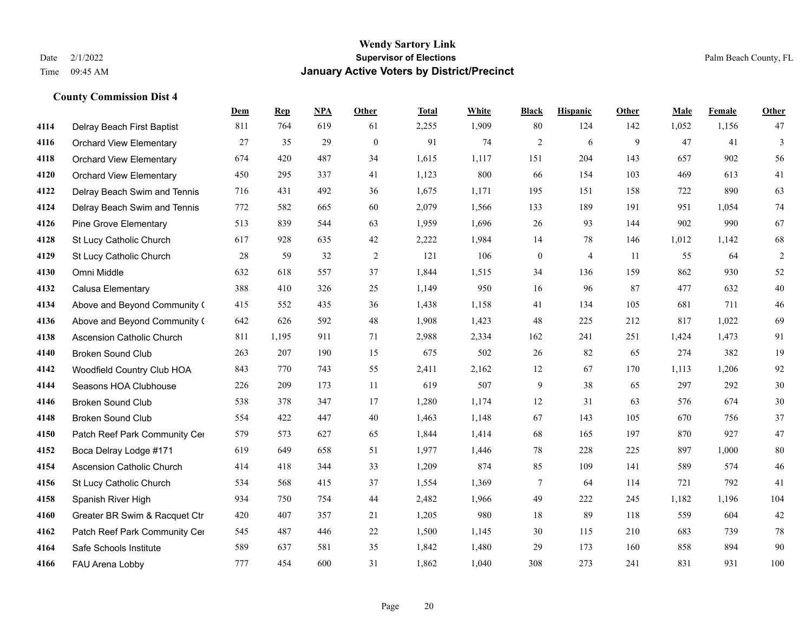|      |                                  | Dem | <b>Rep</b> | NPA | <b>Other</b> | <b>Total</b> | White | <b>Black</b>     | <b>Hispanic</b> | <b>Other</b> | <b>Male</b> | Female | <b>Other</b>   |
|------|----------------------------------|-----|------------|-----|--------------|--------------|-------|------------------|-----------------|--------------|-------------|--------|----------------|
| 4114 | Delray Beach First Baptist       | 811 | 764        | 619 | 61           | 2,255        | 1,909 | 80               | 124             | 142          | 1,052       | 1,156  | 47             |
| 4116 | <b>Orchard View Elementary</b>   | 27  | 35         | 29  | $\mathbf{0}$ | 91           | 74    | $\overline{2}$   | 6               | 9            | 47          | 41     | $\overline{3}$ |
| 4118 | <b>Orchard View Elementary</b>   | 674 | 420        | 487 | 34           | 1,615        | 1,117 | 151              | 204             | 143          | 657         | 902    | 56             |
| 4120 | <b>Orchard View Elementary</b>   | 450 | 295        | 337 | 41           | 1,123        | 800   | 66               | 154             | 103          | 469         | 613    | 41             |
| 4122 | Delray Beach Swim and Tennis     | 716 | 431        | 492 | 36           | 1,675        | 1,171 | 195              | 151             | 158          | 722         | 890    | 63             |
| 4124 | Delray Beach Swim and Tennis     | 772 | 582        | 665 | 60           | 2,079        | 1,566 | 133              | 189             | 191          | 951         | 1,054  | 74             |
| 4126 | <b>Pine Grove Elementary</b>     | 513 | 839        | 544 | 63           | 1,959        | 1,696 | 26               | 93              | 144          | 902         | 990    | 67             |
| 4128 | St Lucy Catholic Church          | 617 | 928        | 635 | 42           | 2,222        | 1,984 | 14               | 78              | 146          | 1,012       | 1,142  | 68             |
| 4129 | St Lucy Catholic Church          | 28  | 59         | 32  | 2            | 121          | 106   | $\boldsymbol{0}$ | $\overline{4}$  | -11          | 55          | 64     | $\overline{c}$ |
| 4130 | Omni Middle                      | 632 | 618        | 557 | 37           | 1,844        | 1,515 | 34               | 136             | 159          | 862         | 930    | 52             |
| 4132 | Calusa Elementary                | 388 | 410        | 326 | 25           | 1,149        | 950   | 16               | 96              | 87           | 477         | 632    | $40\,$         |
| 4134 | Above and Beyond Community (     | 415 | 552        | 435 | 36           | 1,438        | 1,158 | 41               | 134             | 105          | 681         | 711    | $46\,$         |
| 4136 | Above and Beyond Community (     | 642 | 626        | 592 | 48           | 1,908        | 1,423 | 48               | 225             | 212          | 817         | 1,022  | 69             |
| 4138 | <b>Ascension Catholic Church</b> | 811 | 1,195      | 911 | 71           | 2,988        | 2,334 | 162              | 241             | 251          | 1,424       | 1,473  | 91             |
| 4140 | <b>Broken Sound Club</b>         | 263 | 207        | 190 | 15           | 675          | 502   | 26               | 82              | 65           | 274         | 382    | 19             |
| 4142 | Woodfield Country Club HOA       | 843 | 770        | 743 | 55           | 2,411        | 2,162 | 12               | 67              | 170          | 1,113       | 1,206  | 92             |
| 4144 | Seasons HOA Clubhouse            | 226 | 209        | 173 | 11           | 619          | 507   | 9                | 38              | 65           | 297         | 292    | $30\,$         |
| 4146 | <b>Broken Sound Club</b>         | 538 | 378        | 347 | 17           | 1,280        | 1,174 | 12               | 31              | 63           | 576         | 674    | $30\,$         |
| 4148 | <b>Broken Sound Club</b>         | 554 | 422        | 447 | 40           | 1,463        | 1,148 | 67               | 143             | 105          | 670         | 756    | 37             |
| 4150 | Patch Reef Park Community Cer    | 579 | 573        | 627 | 65           | 1,844        | 1,414 | 68               | 165             | 197          | 870         | 927    | $47\,$         |
| 4152 | Boca Delray Lodge #171           | 619 | 649        | 658 | 51           | 1,977        | 1,446 | 78               | 228             | 225          | 897         | 1,000  | $80\,$         |
| 4154 | <b>Ascension Catholic Church</b> | 414 | 418        | 344 | 33           | 1,209        | 874   | 85               | 109             | 141          | 589         | 574    | $46\,$         |
| 4156 | St Lucy Catholic Church          | 534 | 568        | 415 | 37           | 1,554        | 1,369 | 7                | 64              | 114          | 721         | 792    | 41             |
| 4158 | Spanish River High               | 934 | 750        | 754 | 44           | 2,482        | 1,966 | 49               | 222             | 245          | 1,182       | 1,196  | 104            |
| 4160 | Greater BR Swim & Racquet Ctr    | 420 | 407        | 357 | 21           | 1,205        | 980   | 18               | 89              | 118          | 559         | 604    | 42             |
| 4162 | Patch Reef Park Community Cer    | 545 | 487        | 446 | $22\,$       | 1,500        | 1,145 | 30               | 115             | 210          | 683         | 739    | $78\,$         |
| 4164 | Safe Schools Institute           | 589 | 637        | 581 | 35           | 1,842        | 1,480 | 29               | 173             | 160          | 858         | 894    | 90             |
| 4166 | FAU Arena Lobby                  | 777 | 454        | 600 | 31           | 1,862        | 1,040 | 308              | 273             | 241          | 831         | 931    | 100            |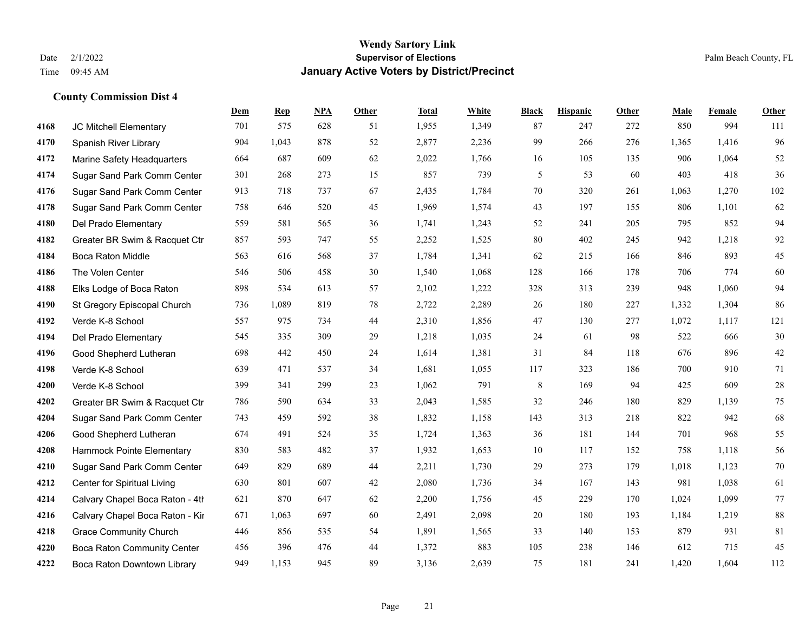**County Commission Dist 4**

#### **Wendy Sartory Link** Date 2/1/2022 **Supervisor of Elections** Palm Beach County, FL Time 09:45 AM **January Active Voters by District/Precinct**

# **Dem Rep NPA Other Total White Black Hispanic Other Male Female Other** JC Mitchell Elementary 701 575 628 51 1,955 1,349 87 247 272 850 994 111 Spanish River Library 904 1,043 878 52 2,877 2,236 99 266 276 1,365 1,416 96 Marine Safety Headquarters 664 687 609 62 2,022 1,766 16 105 135 906 1,064 52 Sugar Sand Park Comm Center 301 268 273 15 857 739 5 53 60 403 418 36 Sugar Sand Park Comm Center 913 718 737 67 2,435 1,784 70 320 261 1,063 1,270 102 Sugar Sand Park Comm Center 758 646 520 45 1,969 1,574 43 197 155 806 1,101 62 Del Prado Elementary 559 581 565 36 1,741 1,243 52 241 205 795 852 94 Greater BR Swim & Racquet Ctr 857 593 747 55 2,252 1,525 80 402 245 942 1,218 92 Boca Raton Middle 563 616 568 37 1,784 1,341 62 215 166 846 893 45 The Volen Center 546 506 458 30 1,540 1,068 128 166 178 706 774 60 Elks Lodge of Boca Raton 898 534 613 57 2,102 1,222 328 313 239 948 1,060 94 St Gregory Episcopal Church 736 1,089 819 78 2,722 2,289 26 180 227 1,332 1,304 86 Verde K-8 School 557 975 734 44 2,310 1,856 47 130 277 1,072 1,117 121 Del Prado Elementary 545 335 309 29 1,218 1,035 24 61 98 522 666 30 Good Shepherd Lutheran 698 442 450 24 1,614 1,381 31 84 118 676 896 42 Verde K-8 School 639 471 537 34 1,681 1,055 117 323 186 700 910 71 Verde K-8 School 399 341 299 23 1,062 791 8 169 94 425 609 28 Greater BR Swim & Racquet Ctr 786 590 634 33 2,043 1,585 32 246 180 829 1,139 75 Sugar Sand Park Comm Center 743 459 592 38 1,832 1,158 143 313 218 822 942 68 Good Shepherd Lutheran 674 491 524 35 1,724 1,363 36 181 144 701 968 55 Hammock Pointe Elementary 830 583 482 37 1,932 1,653 10 117 152 758 1,118 56 Sugar Sand Park Comm Center 649 829 689 44 2,211 1,730 29 273 179 1,018 1,123 70 Center for Spiritual Living 630 801 607 42 2,080 1,736 34 167 143 981 1,038 61 4214 Calvary Chapel Boca Raton - 4th $621$  870  $647$   $62$   $2,200$   $1,756$   $45$   $229$   $170$   $1,024$   $1,099$  77 4216 Calvary Chapel Boca Raton - Kir 671 1,063 697 60 2,491 2,098 20 180 193 1,184 1,219 88 Grace Community Church 446 856 535 54 1,891 1,565 33 140 153 879 931 81 Boca Raton Community Center 456 396 476 44 1,372 883 105 238 146 612 715 45 Boca Raton Downtown Library 949 1,153 945 89 3,136 2,639 75 181 241 1,420 1,604 112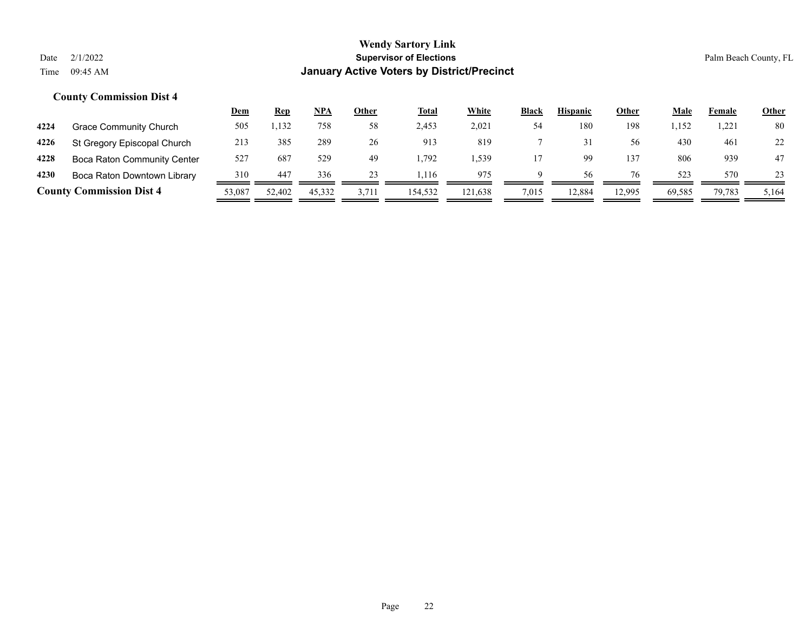|      |                                 | Dem    | <u>Rep</u> | NPA    | Other | <b>Total</b> | White   | <b>Black</b> | <b>Hispanic</b> | Other  | Male   | Female | <b>Other</b> |
|------|---------------------------------|--------|------------|--------|-------|--------------|---------|--------------|-----------------|--------|--------|--------|--------------|
| 4224 | <b>Grace Community Church</b>   | 505    | 1,132      | 758    | 58    | 2,453        | 2,021   | 54           | 180             | 198    | 1,152  | 1.221  | 80           |
| 4226 | St Gregory Episcopal Church     | 213    | 385        | 289    | 26    | 913          | 819     |              |                 | 56     | 430    | 461    | 22           |
| 4228 | Boca Raton Community Center     | 527    | 687        | 529    | 49    | 1.792        | .539    |              | 99              | 137    | 806    | 939    | 47           |
| 4230 | Boca Raton Downtown Library     | 310    | 447        | 336    | 23    | .116         | 975     | a            | 56              | 76     | 523    | 570    | 23           |
|      | <b>County Commission Dist 4</b> | 53,087 | 52,402     | 45.332 | 3,711 | 154.532      | 121.638 | 7,015        | 12.884          | 12,995 | 69.585 | 79,783 | 5,164        |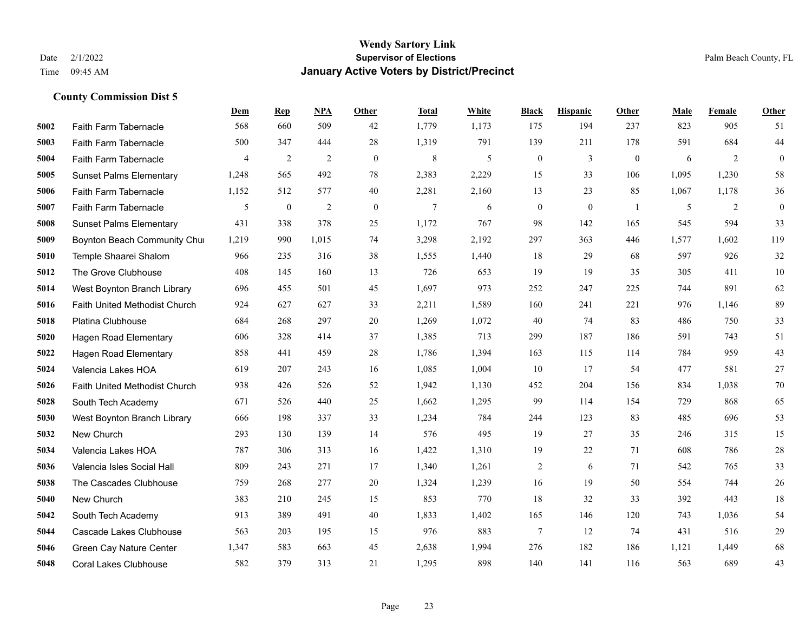|      |                                | Dem            | <b>Rep</b>       | NPA            | <b>Other</b> | <b>Total</b> | White | <b>Black</b>     | <b>Hispanic</b> | Other          | <b>Male</b> | Female | <b>Other</b> |
|------|--------------------------------|----------------|------------------|----------------|--------------|--------------|-------|------------------|-----------------|----------------|-------------|--------|--------------|
| 5002 | Faith Farm Tabernacle          | 568            | 660              | 509            | 42           | 1,779        | 1,173 | 175              | 194             | 237            | 823         | 905    | 51           |
| 5003 | Faith Farm Tabernacle          | 500            | 347              | 444            | 28           | 1,319        | 791   | 139              | 211             | 178            | 591         | 684    | 44           |
| 5004 | Faith Farm Tabernacle          | $\overline{4}$ | 2                | $\overline{2}$ | $\mathbf{0}$ | $\,$ 8 $\,$  | 5     | $\boldsymbol{0}$ | 3               | $\mathbf{0}$   | 6           | 2      | $\mathbf{0}$ |
| 5005 | <b>Sunset Palms Elementary</b> | 1,248          | 565              | 492            | 78           | 2,383        | 2,229 | 15               | 33              | 106            | 1,095       | 1,230  | 58           |
| 5006 | Faith Farm Tabernacle          | 1,152          | 512              | 577            | 40           | 2,281        | 2,160 | 13               | 23              | 85             | 1,067       | 1,178  | 36           |
| 5007 | Faith Farm Tabernacle          | 5              | $\boldsymbol{0}$ | $\overline{2}$ | $\mathbf{0}$ | 7            | 6     | $\boldsymbol{0}$ | $\mathbf{0}$    | $\overline{1}$ | 5           | 2      | $\mathbf{0}$ |
| 5008 | <b>Sunset Palms Elementary</b> | 431            | 338              | 378            | 25           | 1,172        | 767   | 98               | 142             | 165            | 545         | 594    | 33           |
| 5009 | Boynton Beach Community Chur   | 1,219          | 990              | 1,015          | 74           | 3,298        | 2,192 | 297              | 363             | 446            | 1,577       | 1,602  | 119          |
| 5010 | Temple Shaarei Shalom          | 966            | 235              | 316            | 38           | 1,555        | 1,440 | 18               | 29              | 68             | 597         | 926    | 32           |
| 5012 | The Grove Clubhouse            | 408            | 145              | 160            | 13           | 726          | 653   | 19               | 19              | 35             | 305         | 411    | 10           |
| 5014 | West Boynton Branch Library    | 696            | 455              | 501            | 45           | 1,697        | 973   | 252              | 247             | 225            | 744         | 891    | 62           |
| 5016 | Faith United Methodist Church  | 924            | 627              | 627            | 33           | 2,211        | 1,589 | 160              | 241             | 221            | 976         | 1,146  | 89           |
| 5018 | Platina Clubhouse              | 684            | 268              | 297            | 20           | 1,269        | 1,072 | 40               | 74              | 83             | 486         | 750    | 33           |
| 5020 | <b>Hagen Road Elementary</b>   | 606            | 328              | 414            | 37           | 1,385        | 713   | 299              | 187             | 186            | 591         | 743    | 51           |
| 5022 | Hagen Road Elementary          | 858            | 441              | 459            | 28           | 1,786        | 1,394 | 163              | 115             | 114            | 784         | 959    | 43           |
| 5024 | Valencia Lakes HOA             | 619            | 207              | 243            | 16           | 1,085        | 1,004 | 10               | 17              | 54             | 477         | 581    | 27           |
| 5026 | Faith United Methodist Church  | 938            | 426              | 526            | 52           | 1,942        | 1,130 | 452              | 204             | 156            | 834         | 1,038  | 70           |
| 5028 | South Tech Academy             | 671            | 526              | 440            | 25           | 1,662        | 1,295 | 99               | 114             | 154            | 729         | 868    | 65           |
| 5030 | West Boynton Branch Library    | 666            | 198              | 337            | 33           | 1,234        | 784   | 244              | 123             | 83             | 485         | 696    | 53           |
| 5032 | New Church                     | 293            | 130              | 139            | 14           | 576          | 495   | 19               | 27              | 35             | 246         | 315    | 15           |
| 5034 | Valencia Lakes HOA             | 787            | 306              | 313            | 16           | 1,422        | 1,310 | 19               | 22              | 71             | 608         | 786    | 28           |
| 5036 | Valencia Isles Social Hall     | 809            | 243              | 271            | 17           | 1,340        | 1,261 | $\overline{c}$   | 6               | 71             | 542         | 765    | 33           |
| 5038 | The Cascades Clubhouse         | 759            | 268              | 277            | 20           | 1,324        | 1,239 | 16               | 19              | 50             | 554         | 744    | 26           |
| 5040 | New Church                     | 383            | 210              | 245            | 15           | 853          | 770   | 18               | 32              | 33             | 392         | 443    | 18           |
| 5042 | South Tech Academy             | 913            | 389              | 491            | 40           | 1,833        | 1,402 | 165              | 146             | 120            | 743         | 1,036  | 54           |
| 5044 | Cascade Lakes Clubhouse        | 563            | 203              | 195            | 15           | 976          | 883   | $7\phantom{.0}$  | 12              | 74             | 431         | 516    | 29           |
| 5046 | Green Cay Nature Center        | 1,347          | 583              | 663            | 45           | 2,638        | 1,994 | 276              | 182             | 186            | 1,121       | 1,449  | 68           |
| 5048 | <b>Coral Lakes Clubhouse</b>   | 582            | 379              | 313            | 21           | 1,295        | 898   | 140              | 141             | 116            | 563         | 689    | 43           |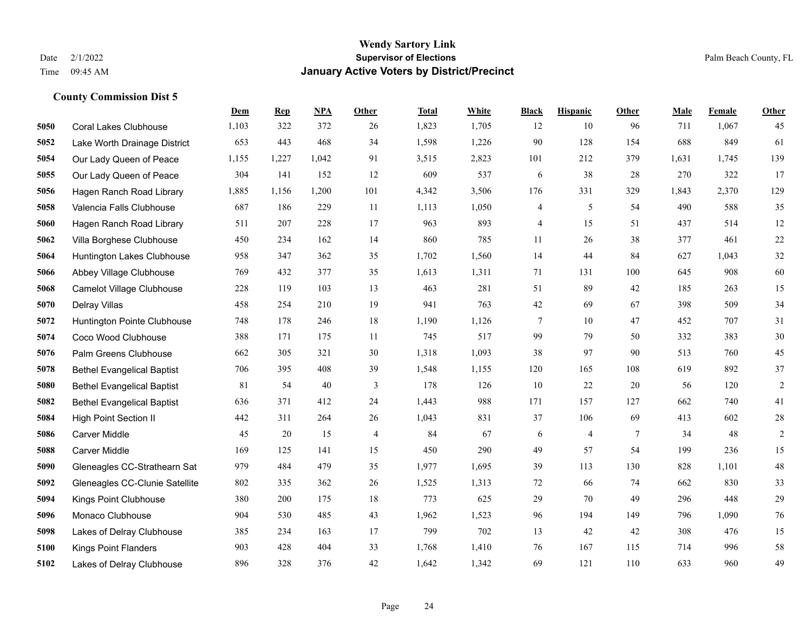|      |                                   | Dem   | <b>Rep</b> | NPA    | <b>Other</b>   | <b>Total</b> | <b>White</b> | <b>Black</b> | <b>Hispanic</b> | <b>Other</b>   | <b>Male</b> | Female | <b>Other</b> |
|------|-----------------------------------|-------|------------|--------|----------------|--------------|--------------|--------------|-----------------|----------------|-------------|--------|--------------|
| 5050 | <b>Coral Lakes Clubhouse</b>      | 1,103 | 322        | 372    | 26             | 1,823        | 1,705        | 12           | 10              | 96             | 711         | 1,067  | 45           |
| 5052 | Lake Worth Drainage District      | 653   | 443        | 468    | 34             | 1,598        | 1,226        | 90           | 128             | 154            | 688         | 849    | 61           |
| 5054 | Our Lady Queen of Peace           | 1,155 | 1,227      | 1,042  | 91             | 3,515        | 2,823        | 101          | 212             | 379            | 1,631       | 1,745  | 139          |
| 5055 | Our Lady Queen of Peace           | 304   | 141        | 152    | 12             | 609          | 537          | 6            | 38              | 28             | 270         | 322    | 17           |
| 5056 | Hagen Ranch Road Library          | 1,885 | 1,156      | 1,200  | 101            | 4,342        | 3,506        | 176          | 331             | 329            | 1,843       | 2.370  | 129          |
| 5058 | Valencia Falls Clubhouse          | 687   | 186        | 229    | 11             | 1,113        | 1,050        | 4            | 5               | 54             | 490         | 588    | 35           |
| 5060 | Hagen Ranch Road Library          | 511   | 207        | 228    | 17             | 963          | 893          | 4            | 15              | 51             | 437         | 514    | 12           |
| 5062 | Villa Borghese Clubhouse          | 450   | 234        | 162    | 14             | 860          | 785          | 11           | 26              | 38             | 377         | 461    | 22           |
| 5064 | Huntington Lakes Clubhouse        | 958   | 347        | 362    | 35             | 1,702        | 1,560        | 14           | 44              | 84             | 627         | 1,043  | $32\,$       |
| 5066 | Abbey Village Clubhouse           | 769   | 432        | 377    | 35             | 1,613        | 1,311        | 71           | 131             | 100            | 645         | 908    | 60           |
| 5068 | <b>Camelot Village Clubhouse</b>  | 228   | 119        | 103    | 13             | 463          | 281          | 51           | 89              | 42             | 185         | 263    | 15           |
| 5070 | Delray Villas                     | 458   | 254        | 210    | 19             | 941          | 763          | 42           | 69              | 67             | 398         | 509    | 34           |
| 5072 | Huntington Pointe Clubhouse       | 748   | 178        | 246    | 18             | 1,190        | 1,126        | $\tau$       | 10              | 47             | 452         | 707    | 31           |
| 5074 | Coco Wood Clubhouse               | 388   | 171        | 175    | 11             | 745          | 517          | 99           | 79              | 50             | 332         | 383    | 30           |
| 5076 | Palm Greens Clubhouse             | 662   | 305        | 321    | 30             | 1,318        | 1,093        | 38           | 97              | 90             | 513         | 760    | 45           |
| 5078 | <b>Bethel Evangelical Baptist</b> | 706   | 395        | 408    | 39             | 1,548        | 1,155        | 120          | 165             | 108            | 619         | 892    | 37           |
| 5080 | <b>Bethel Evangelical Baptist</b> | 81    | 54         | $40\,$ | 3              | 178          | 126          | 10           | 22              | 20             | 56          | 120    | $\sqrt{2}$   |
| 5082 | <b>Bethel Evangelical Baptist</b> | 636   | 371        | 412    | 24             | 1,443        | 988          | 171          | 157             | 127            | 662         | 740    | 41           |
| 5084 | High Point Section II             | 442   | 311        | 264    | 26             | 1,043        | 831          | 37           | 106             | 69             | 413         | 602    | $28\,$       |
| 5086 | Carver Middle                     | 45    | 20         | 15     | $\overline{4}$ | 84           | 67           | 6            | $\overline{4}$  | $\overline{7}$ | 34          | 48     | $\sqrt{2}$   |
| 5088 | <b>Carver Middle</b>              | 169   | 125        | 141    | 15             | 450          | 290          | 49           | 57              | 54             | 199         | 236    | 15           |
| 5090 | Gleneagles CC-Strathearn Sat      | 979   | 484        | 479    | 35             | 1,977        | 1,695        | 39           | 113             | 130            | 828         | 1,101  | 48           |
| 5092 | Gleneagles CC-Clunie Satellite    | 802   | 335        | 362    | 26             | 1,525        | 1,313        | 72           | 66              | 74             | 662         | 830    | 33           |
| 5094 | Kings Point Clubhouse             | 380   | 200        | 175    | 18             | 773          | 625          | 29           | 70              | 49             | 296         | 448    | 29           |
| 5096 | Monaco Clubhouse                  | 904   | 530        | 485    | 43             | 1,962        | 1,523        | 96           | 194             | 149            | 796         | 1,090  | 76           |
| 5098 | Lakes of Delray Clubhouse         | 385   | 234        | 163    | 17             | 799          | 702          | 13           | 42              | 42             | 308         | 476    | 15           |
| 5100 | <b>Kings Point Flanders</b>       | 903   | 428        | 404    | 33             | 1,768        | 1,410        | 76           | 167             | 115            | 714         | 996    | 58           |
| 5102 | Lakes of Delray Clubhouse         | 896   | 328        | 376    | 42             | 1,642        | 1,342        | 69           | 121             | 110            | 633         | 960    | 49           |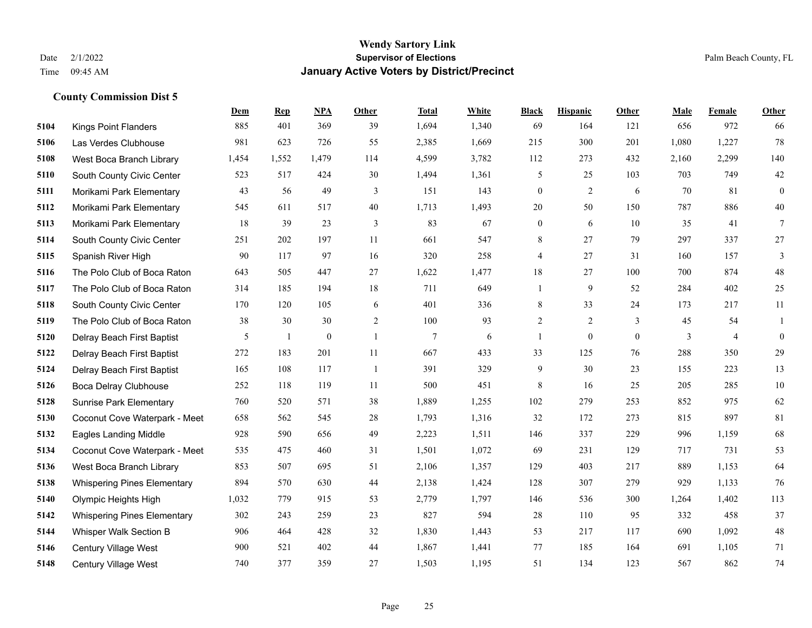|      |                                    | Dem   | <b>Rep</b>   | NPA              | <b>Other</b> | <b>Total</b>   | <b>White</b> | <b>Black</b>     | <b>Hispanic</b>  | <b>Other</b> | <b>Male</b> | <b>Female</b>  | <b>Other</b>     |
|------|------------------------------------|-------|--------------|------------------|--------------|----------------|--------------|------------------|------------------|--------------|-------------|----------------|------------------|
| 5104 | <b>Kings Point Flanders</b>        | 885   | 401          | 369              | 39           | 1,694          | 1,340        | 69               | 164              | 121          | 656         | 972            | 66               |
| 5106 | Las Verdes Clubhouse               | 981   | 623          | 726              | 55           | 2,385          | 1,669        | 215              | 300              | 201          | 1,080       | 1,227          | 78               |
| 5108 | West Boca Branch Library           | 1,454 | 1,552        | 1,479            | 114          | 4,599          | 3,782        | 112              | 273              | 432          | 2,160       | 2,299          | 140              |
| 5110 | South County Civic Center          | 523   | 517          | 424              | 30           | 1,494          | 1,361        | 5                | 25               | 103          | 703         | 749            | $42\,$           |
| 5111 | Morikami Park Elementary           | 43    | 56           | 49               | 3            | 151            | 143          | $\boldsymbol{0}$ | $\overline{2}$   | 6            | 70          | 81             | $\boldsymbol{0}$ |
| 5112 | Morikami Park Elementary           | 545   | 611          | 517              | 40           | 1,713          | 1,493        | 20               | 50               | 150          | 787         | 886            | 40               |
| 5113 | Morikami Park Elementary           | 18    | 39           | 23               | 3            | 83             | 67           | $\boldsymbol{0}$ | 6                | 10           | 35          | 41             | $\tau$           |
| 5114 | South County Civic Center          | 251   | 202          | 197              | 11           | 661            | 547          | 8                | 27               | 79           | 297         | 337            | 27               |
| 5115 | Spanish River High                 | 90    | 117          | 97               | 16           | 320            | 258          | 4                | 27               | 31           | 160         | 157            | 3                |
| 5116 | The Polo Club of Boca Raton        | 643   | 505          | 447              | 27           | 1,622          | 1,477        | 18               | 27               | 100          | 700         | 874            | $48\,$           |
| 5117 | The Polo Club of Boca Raton        | 314   | 185          | 194              | 18           | 711            | 649          | 1                | 9                | 52           | 284         | 402            | 25               |
| 5118 | South County Civic Center          | 170   | 120          | 105              | 6            | 401            | 336          | 8                | 33               | 24           | 173         | 217            | 11               |
| 5119 | The Polo Club of Boca Raton        | 38    | 30           | 30               | 2            | 100            | 93           | $\overline{2}$   | 2                | 3            | 45          | 54             | 1                |
| 5120 | Delray Beach First Baptist         | 5     | $\mathbf{1}$ | $\boldsymbol{0}$ | $\mathbf{1}$ | $\overline{7}$ | 6            | $\mathbf{1}$     | $\boldsymbol{0}$ | $\mathbf{0}$ | 3           | $\overline{4}$ | $\boldsymbol{0}$ |
| 5122 | Delray Beach First Baptist         | 272   | 183          | 201              | 11           | 667            | 433          | 33               | 125              | 76           | 288         | 350            | 29               |
| 5124 | Delray Beach First Baptist         | 165   | 108          | 117              | -1           | 391            | 329          | 9                | 30               | 23           | 155         | 223            | 13               |
| 5126 | <b>Boca Delray Clubhouse</b>       | 252   | 118          | 119              | 11           | 500            | 451          | $\,8\,$          | 16               | 25           | 205         | 285            | 10               |
| 5128 | <b>Sunrise Park Elementary</b>     | 760   | 520          | 571              | 38           | 1,889          | 1,255        | 102              | 279              | 253          | 852         | 975            | 62               |
| 5130 | Coconut Cove Waterpark - Meet      | 658   | 562          | 545              | 28           | 1,793          | 1,316        | 32               | 172              | 273          | 815         | 897            | 81               |
| 5132 | <b>Eagles Landing Middle</b>       | 928   | 590          | 656              | 49           | 2,223          | 1,511        | 146              | 337              | 229          | 996         | 1,159          | 68               |
| 5134 | Coconut Cove Waterpark - Meet      | 535   | 475          | 460              | 31           | 1,501          | 1,072        | 69               | 231              | 129          | 717         | 731            | 53               |
| 5136 | West Boca Branch Library           | 853   | 507          | 695              | 51           | 2,106          | 1,357        | 129              | 403              | 217          | 889         | 1,153          | 64               |
| 5138 | <b>Whispering Pines Elementary</b> | 894   | 570          | 630              | 44           | 2,138          | 1,424        | 128              | 307              | 279          | 929         | 1,133          | 76               |
| 5140 | Olympic Heights High               | 1,032 | 779          | 915              | 53           | 2,779          | 1,797        | 146              | 536              | 300          | 1,264       | 1,402          | 113              |
| 5142 | <b>Whispering Pines Elementary</b> | 302   | 243          | 259              | 23           | 827            | 594          | 28               | 110              | 95           | 332         | 458            | 37               |
| 5144 | Whisper Walk Section B             | 906   | 464          | 428              | 32           | 1,830          | 1,443        | 53               | 217              | 117          | 690         | 1,092          | $48\,$           |
| 5146 | Century Village West               | 900   | 521          | 402              | 44           | 1,867          | 1,441        | 77               | 185              | 164          | 691         | 1,105          | 71               |
| 5148 | <b>Century Village West</b>        | 740   | 377          | 359              | 27           | 1,503          | 1,195        | 51               | 134              | 123          | 567         | 862            | 74               |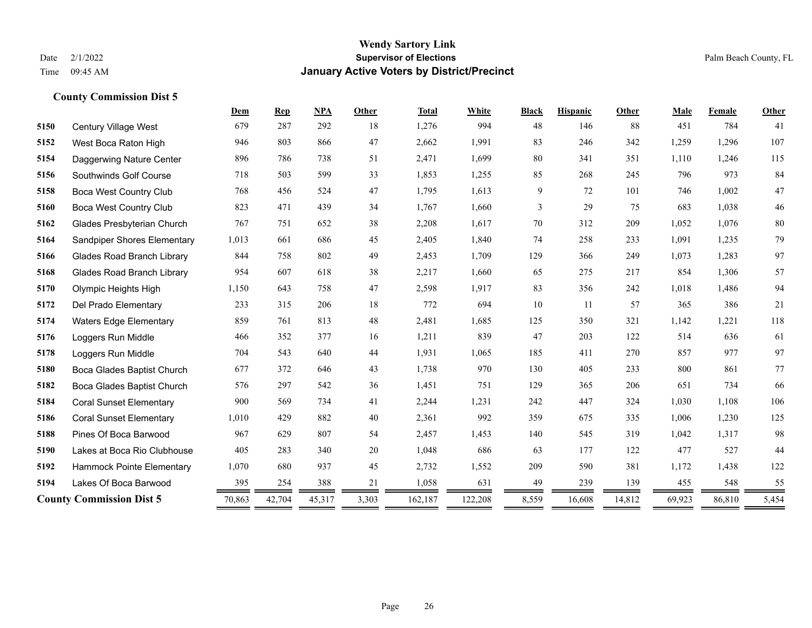|      |                                   | Dem    | <b>Rep</b> | <b>NPA</b> | Other | <b>Total</b> | White   | <b>Black</b> | <b>Hispanic</b> | Other  | Male   | Female | <b>Other</b> |
|------|-----------------------------------|--------|------------|------------|-------|--------------|---------|--------------|-----------------|--------|--------|--------|--------------|
| 5150 | Century Village West              | 679    | 287        | 292        | 18    | 1,276        | 994     | 48           | 146             | 88     | 451    | 784    | 41           |
| 5152 | West Boca Raton High              | 946    | 803        | 866        | 47    | 2,662        | 1,991   | 83           | 246             | 342    | 1,259  | 1,296  | 107          |
| 5154 | Daggerwing Nature Center          | 896    | 786        | 738        | 51    | 2,471        | 1,699   | 80           | 341             | 351    | 1,110  | 1,246  | 115          |
| 5156 | Southwinds Golf Course            | 718    | 503        | 599        | 33    | 1,853        | 1,255   | 85           | 268             | 245    | 796    | 973    | 84           |
| 5158 | Boca West Country Club            | 768    | 456        | 524        | 47    | 1,795        | 1,613   | 9            | 72              | 101    | 746    | 1.002  | $47\,$       |
| 5160 | Boca West Country Club            | 823    | 471        | 439        | 34    | 1,767        | 1,660   | 3            | 29              | 75     | 683    | 1,038  | $46\,$       |
| 5162 | Glades Presbyterian Church        | 767    | 751        | 652        | 38    | 2,208        | 1,617   | 70           | 312             | 209    | 1,052  | 1,076  | $80\,$       |
| 5164 | Sandpiper Shores Elementary       | 1,013  | 661        | 686        | 45    | 2,405        | 1,840   | 74           | 258             | 233    | 1.091  | 1,235  | 79           |
| 5166 | <b>Glades Road Branch Library</b> | 844    | 758        | 802        | 49    | 2,453        | 1,709   | 129          | 366             | 249    | 1,073  | 1,283  | 97           |
| 5168 | <b>Glades Road Branch Library</b> | 954    | 607        | 618        | 38    | 2,217        | 1,660   | 65           | 275             | 217    | 854    | 1,306  | 57           |
| 5170 | Olympic Heights High              | 1,150  | 643        | 758        | 47    | 2,598        | 1,917   | 83           | 356             | 242    | 1,018  | 1,486  | 94           |
| 5172 | Del Prado Elementary              | 233    | 315        | 206        | 18    | 772          | 694     | 10           | 11              | 57     | 365    | 386    | 21           |
| 5174 | <b>Waters Edge Elementary</b>     | 859    | 761        | 813        | 48    | 2,481        | 1,685   | 125          | 350             | 321    | 1,142  | 1,221  | 118          |
| 5176 | Loggers Run Middle                | 466    | 352        | 377        | 16    | 1,211        | 839     | 47           | 203             | 122    | 514    | 636    | 61           |
| 5178 | Loggers Run Middle                | 704    | 543        | 640        | 44    | 1,931        | 1,065   | 185          | 411             | 270    | 857    | 977    | 97           |
| 5180 | Boca Glades Baptist Church        | 677    | 372        | 646        | 43    | 1,738        | 970     | 130          | 405             | 233    | 800    | 861    | 77           |
| 5182 | Boca Glades Baptist Church        | 576    | 297        | 542        | 36    | 1,451        | 751     | 129          | 365             | 206    | 651    | 734    | 66           |
| 5184 | <b>Coral Sunset Elementary</b>    | 900    | 569        | 734        | 41    | 2,244        | 1,231   | 242          | 447             | 324    | 1,030  | 1,108  | 106          |
| 5186 | <b>Coral Sunset Elementary</b>    | 1,010  | 429        | 882        | 40    | 2,361        | 992     | 359          | 675             | 335    | 1,006  | 1,230  | 125          |
| 5188 | Pines Of Boca Barwood             | 967    | 629        | 807        | 54    | 2,457        | 1,453   | 140          | 545             | 319    | 1,042  | 1,317  | 98           |
| 5190 | Lakes at Boca Rio Clubhouse       | 405    | 283        | 340        | 20    | 1,048        | 686     | 63           | 177             | 122    | 477    | 527    | 44           |
| 5192 | Hammock Pointe Elementary         | 1,070  | 680        | 937        | 45    | 2,732        | 1,552   | 209          | 590             | 381    | 1,172  | 1,438  | 122          |
| 5194 | Lakes Of Boca Barwood             | 395    | 254        | 388        | 21    | 1,058        | 631     | 49           | 239             | 139    | 455    | 548    | 55           |
|      | <b>County Commission Dist 5</b>   | 70,863 | 42,704     | 45,317     | 3,303 | 162,187      | 122,208 | 8,559        | 16,608          | 14,812 | 69,923 | 86,810 | 5,454        |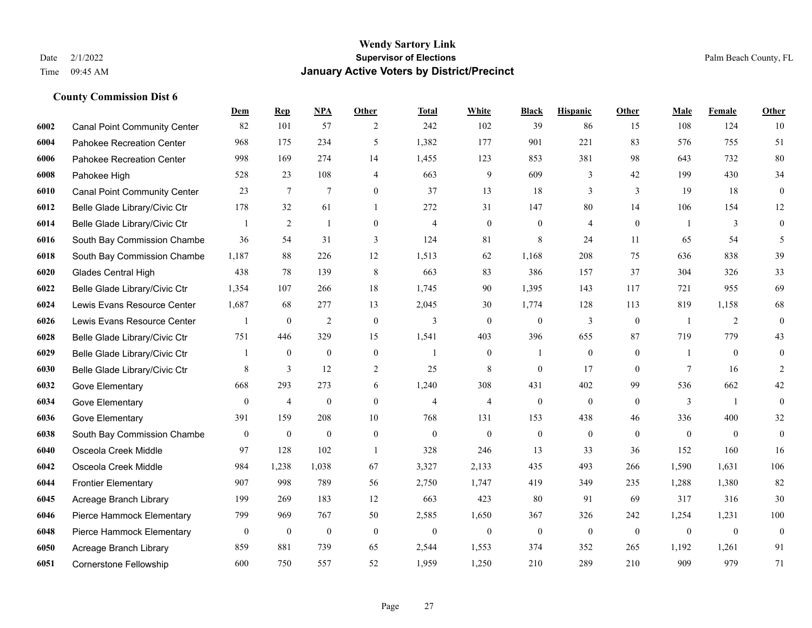|      |                                     | Dem              | <b>Rep</b>       | NPA              | <b>Other</b>   | <b>Total</b>   | <b>White</b>     | <b>Black</b>     | <b>Hispanic</b> | <b>Other</b> | <b>Male</b>    | Female         | <b>Other</b>     |
|------|-------------------------------------|------------------|------------------|------------------|----------------|----------------|------------------|------------------|-----------------|--------------|----------------|----------------|------------------|
| 6002 | <b>Canal Point Community Center</b> | 82               | 101              | 57               | 2              | 242            | 102              | 39               | 86              | 15           | 108            | 124            | 10               |
| 6004 | Pahokee Recreation Center           | 968              | 175              | 234              | 5              | 1,382          | 177              | 901              | 221             | 83           | 576            | 755            | 51               |
| 6006 | Pahokee Recreation Center           | 998              | 169              | 274              | 14             | 1,455          | 123              | 853              | 381             | 98           | 643            | 732            | $80\,$           |
| 6008 | Pahokee High                        | 528              | 23               | 108              | $\overline{4}$ | 663            | 9                | 609              | 3               | 42           | 199            | 430            | 34               |
| 6010 | <b>Canal Point Community Center</b> | 23               | $\tau$           | $\overline{7}$   | $\Omega$       | 37             | 13               | 18               | 3               | 3            | 19             | 18             | $\mathbf{0}$     |
| 6012 | Belle Glade Library/Civic Ctr       | 178              | 32               | 61               | $\overline{1}$ | 272            | 31               | 147              | 80              | 14           | 106            | 154            | 12               |
| 6014 | Belle Glade Library/Civic Ctr       | $\mathbf{1}$     | 2                | $\mathbf{1}$     | $\overline{0}$ | $\overline{4}$ | $\overline{0}$   | $\boldsymbol{0}$ | $\overline{4}$  | $\mathbf{0}$ | $\overline{1}$ | 3              | $\boldsymbol{0}$ |
| 6016 | South Bay Commission Chambe         | 36               | 54               | 31               | 3              | 124            | 81               | 8                | 24              | 11           | 65             | 54             | 5                |
| 6018 | South Bay Commission Chambe         | 1,187            | 88               | 226              | 12             | 1,513          | 62               | 1,168            | 208             | 75           | 636            | 838            | 39               |
| 6020 | <b>Glades Central High</b>          | 438              | 78               | 139              | 8              | 663            | 83               | 386              | 157             | 37           | 304            | 326            | 33               |
| 6022 | Belle Glade Library/Civic Ctr       | 1,354            | 107              | 266              | 18             | 1,745          | 90               | 1,395            | 143             | 117          | 721            | 955            | 69               |
| 6024 | Lewis Evans Resource Center         | 1,687            | 68               | 277              | 13             | 2,045          | 30               | 1,774            | 128             | 113          | 819            | 1,158          | 68               |
| 6026 | Lewis Evans Resource Center         |                  | $\boldsymbol{0}$ | $\overline{2}$   | $\theta$       | 3              | $\overline{0}$   | $\mathbf{0}$     | 3               | $\theta$     | $\overline{1}$ | 2              | $\mathbf{0}$     |
| 6028 | Belle Glade Library/Civic Ctr       | 751              | 446              | 329              | 15             | 1,541          | 403              | 396              | 655             | 87           | 719            | 779            | 43               |
| 6029 | Belle Glade Library/Civic Ctr       |                  | $\boldsymbol{0}$ | $\mathbf{0}$     | $\overline{0}$ |                | $\overline{0}$   | 1                | $\mathbf{0}$    | $\theta$     |                | $\theta$       | $\mathbf{0}$     |
| 6030 | Belle Glade Library/Civic Ctr       | 8                | $\overline{3}$   | 12               | 2              | 25             | 8                | $\mathbf{0}$     | 17              | $\theta$     | 7              | 16             | 2                |
| 6032 | Gove Elementary                     | 668              | 293              | 273              | 6              | 1,240          | 308              | 431              | 402             | 99           | 536            | 662            | $42\,$           |
| 6034 | Gove Elementary                     | $\overline{0}$   | $\overline{4}$   | $\boldsymbol{0}$ | $\Omega$       | $\overline{4}$ | $\overline{4}$   | $\boldsymbol{0}$ | $\mathbf{0}$    | $\theta$     | 3              | $\overline{1}$ | $\mathbf{0}$     |
| 6036 | Gove Elementary                     | 391              | 159              | 208              | 10             | 768            | 131              | 153              | 438             | 46           | 336            | 400            | 32               |
| 6038 | South Bay Commission Chambe         | $\mathbf{0}$     | $\boldsymbol{0}$ | $\overline{0}$   | $\overline{0}$ | $\mathbf{0}$   | $\mathbf{0}$     | $\boldsymbol{0}$ | $\mathbf{0}$    | $\theta$     | $\mathbf{0}$   | $\mathbf{0}$   | $\boldsymbol{0}$ |
| 6040 | Osceola Creek Middle                | 97               | 128              | 102              | $\overline{1}$ | 328            | 246              | 13               | 33              | 36           | 152            | 160            | 16               |
| 6042 | Osceola Creek Middle                | 984              | 1,238            | 1,038            | 67             | 3,327          | 2,133            | 435              | 493             | 266          | 1,590          | 1,631          | 106              |
| 6044 | <b>Frontier Elementary</b>          | 907              | 998              | 789              | 56             | 2,750          | 1,747            | 419              | 349             | 235          | 1,288          | 1,380          | 82               |
| 6045 | Acreage Branch Library              | 199              | 269              | 183              | 12             | 663            | 423              | 80               | 91              | 69           | 317            | 316            | 30               |
| 6046 | Pierce Hammock Elementary           | 799              | 969              | 767              | 50             | 2,585          | 1,650            | 367              | 326             | 242          | 1,254          | 1,231          | 100              |
| 6048 | Pierce Hammock Elementary           | $\boldsymbol{0}$ | $\boldsymbol{0}$ | $\boldsymbol{0}$ | $\mathbf{0}$   | $\mathbf{0}$   | $\boldsymbol{0}$ | $\boldsymbol{0}$ | $\mathbf{0}$    | $\theta$     | $\mathbf{0}$   | $\mathbf{0}$   | $\boldsymbol{0}$ |
| 6050 | Acreage Branch Library              | 859              | 881              | 739              | 65             | 2,544          | 1,553            | 374              | 352             | 265          | 1,192          | 1,261          | 91               |
| 6051 | Cornerstone Fellowship              | 600              | 750              | 557              | 52             | 1,959          | 1,250            | 210              | 289             | 210          | 909            | 979            | 71               |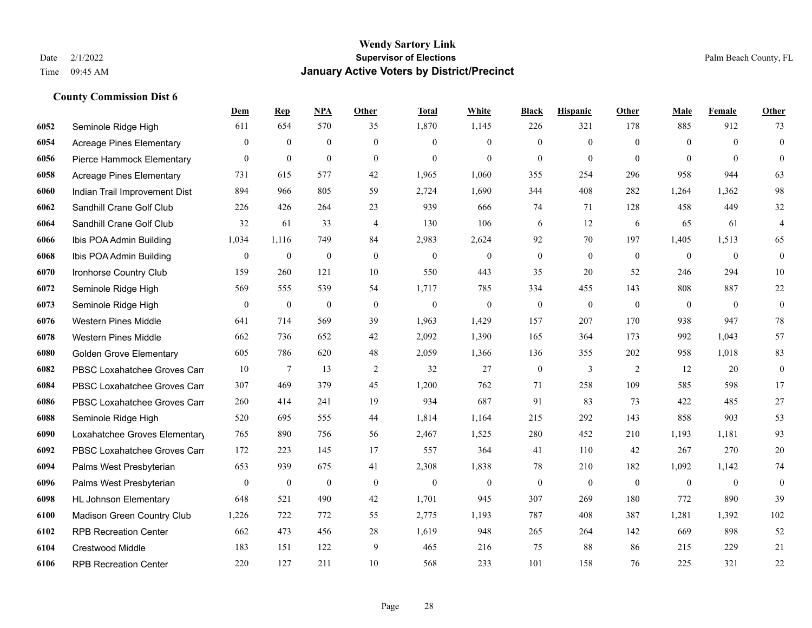|      |                                 | Dem              | <b>Rep</b>       | NPA              | <b>Other</b>     | <b>Total</b>     | White            | <b>Black</b>     | <b>Hispanic</b>  | <b>Other</b> | <b>Male</b>  | Female       | <b>Other</b>     |
|------|---------------------------------|------------------|------------------|------------------|------------------|------------------|------------------|------------------|------------------|--------------|--------------|--------------|------------------|
| 6052 | Seminole Ridge High             | 611              | 654              | 570              | 35               | 1,870            | 1,145            | 226              | 321              | 178          | 885          | 912          | 73               |
| 6054 | Acreage Pines Elementary        | $\mathbf{0}$     | $\mathbf{0}$     | $\overline{0}$   | $\overline{0}$   | $\theta$         | $\overline{0}$   | $\mathbf{0}$     | $\mathbf{0}$     | $\theta$     | $\Omega$     | $\theta$     | $\mathbf{0}$     |
| 6056 | Pierce Hammock Elementary       | $\overline{0}$   | $\mathbf{0}$     | $\mathbf{0}$     | $\Omega$         | $\theta$         | $\Omega$         | $\theta$         | $\mathbf{0}$     | $\theta$     | $\theta$     | $\Omega$     | $\theta$         |
| 6058 | <b>Acreage Pines Elementary</b> | 731              | 615              | 577              | 42               | 1,965            | 1,060            | 355              | 254              | 296          | 958          | 944          | 63               |
| 6060 | Indian Trail Improvement Dist   | 894              | 966              | 805              | 59               | 2,724            | 1,690            | 344              | 408              | 282          | 1,264        | 1,362        | 98               |
| 6062 | Sandhill Crane Golf Club        | 226              | 426              | 264              | 23               | 939              | 666              | 74               | 71               | 128          | 458          | 449          | $32\,$           |
| 6064 | Sandhill Crane Golf Club        | 32               | 61               | 33               | $\overline{4}$   | 130              | 106              | 6                | 12               | 6            | 65           | 61           | $\overline{4}$   |
| 6066 | Ibis POA Admin Building         | 1,034            | 1,116            | 749              | 84               | 2,983            | 2,624            | 92               | 70               | 197          | 1,405        | 1,513        | 65               |
| 6068 | Ibis POA Admin Building         | $\overline{0}$   | $\boldsymbol{0}$ | $\boldsymbol{0}$ | $\mathbf{0}$     | $\boldsymbol{0}$ | $\boldsymbol{0}$ | $\boldsymbol{0}$ | $\boldsymbol{0}$ | $\mathbf{0}$ | $\mathbf{0}$ | $\mathbf{0}$ | $\boldsymbol{0}$ |
| 6070 | Ironhorse Country Club          | 159              | 260              | 121              | 10               | 550              | 443              | 35               | 20               | 52           | 246          | 294          | $10\,$           |
| 6072 | Seminole Ridge High             | 569              | 555              | 539              | 54               | 1,717            | 785              | 334              | 455              | 143          | 808          | 887          | $22\,$           |
| 6073 | Seminole Ridge High             | $\boldsymbol{0}$ | $\boldsymbol{0}$ | $\boldsymbol{0}$ | $\boldsymbol{0}$ | $\boldsymbol{0}$ | $\boldsymbol{0}$ | $\boldsymbol{0}$ | $\boldsymbol{0}$ | $\mathbf{0}$ | $\mathbf{0}$ | $\mathbf{0}$ | $\boldsymbol{0}$ |
| 6076 | <b>Western Pines Middle</b>     | 641              | 714              | 569              | 39               | 1,963            | 1,429            | 157              | 207              | 170          | 938          | 947          | $78\,$           |
| 6078 | <b>Western Pines Middle</b>     | 662              | 736              | 652              | 42               | 2,092            | 1,390            | 165              | 364              | 173          | 992          | 1,043        | 57               |
| 6080 | <b>Golden Grove Elementary</b>  | 605              | 786              | 620              | 48               | 2,059            | 1,366            | 136              | 355              | 202          | 958          | 1,018        | 83               |
| 6082 | PBSC Loxahatchee Groves Can     | 10               | $\tau$           | 13               | $\sqrt{2}$       | 32               | 27               | $\boldsymbol{0}$ | 3                | 2            | 12           | 20           | $\boldsymbol{0}$ |
| 6084 | PBSC Loxahatchee Groves Can     | 307              | 469              | 379              | 45               | 1,200            | 762              | 71               | 258              | 109          | 585          | 598          | 17               |
| 6086 | PBSC Loxahatchee Groves Can     | 260              | 414              | 241              | 19               | 934              | 687              | 91               | 83               | 73           | 422          | 485          | 27               |
| 6088 | Seminole Ridge High             | 520              | 695              | 555              | 44               | 1,814            | 1,164            | 215              | 292              | 143          | 858          | 903          | 53               |
| 6090 | Loxahatchee Groves Elementary   | 765              | 890              | 756              | 56               | 2,467            | 1,525            | 280              | 452              | 210          | 1,193        | 1,181        | 93               |
| 6092 | PBSC Loxahatchee Groves Can     | 172              | 223              | 145              | 17               | 557              | 364              | 41               | 110              | 42           | 267          | 270          | $20\,$           |
| 6094 | Palms West Presbyterian         | 653              | 939              | 675              | 41               | 2,308            | 1,838            | 78               | 210              | 182          | 1,092        | 1,142        | 74               |
| 6096 | Palms West Presbyterian         | $\overline{0}$   | $\bf{0}$         | $\theta$         | $\mathbf{0}$     | $\mathbf{0}$     | $\overline{0}$   | $\boldsymbol{0}$ | $\mathbf{0}$     | $\theta$     | $\theta$     | $\mathbf{0}$ | $\boldsymbol{0}$ |
| 6098 | <b>HL Johnson Elementary</b>    | 648              | 521              | 490              | 42               | 1,701            | 945              | 307              | 269              | 180          | 772          | 890          | 39               |
| 6100 | Madison Green Country Club      | 1,226            | 722              | 772              | 55               | 2,775            | 1,193            | 787              | 408              | 387          | 1,281        | 1,392        | 102              |
| 6102 | <b>RPB Recreation Center</b>    | 662              | 473              | 456              | 28               | 1,619            | 948              | 265              | 264              | 142          | 669          | 898          | 52               |
| 6104 | <b>Crestwood Middle</b>         | 183              | 151              | 122              | 9                | 465              | 216              | 75               | 88               | 86           | 215          | 229          | 21               |
| 6106 | <b>RPB Recreation Center</b>    | 220              | 127              | 211              | 10               | 568              | 233              | 101              | 158              | 76           | 225          | 321          | 22               |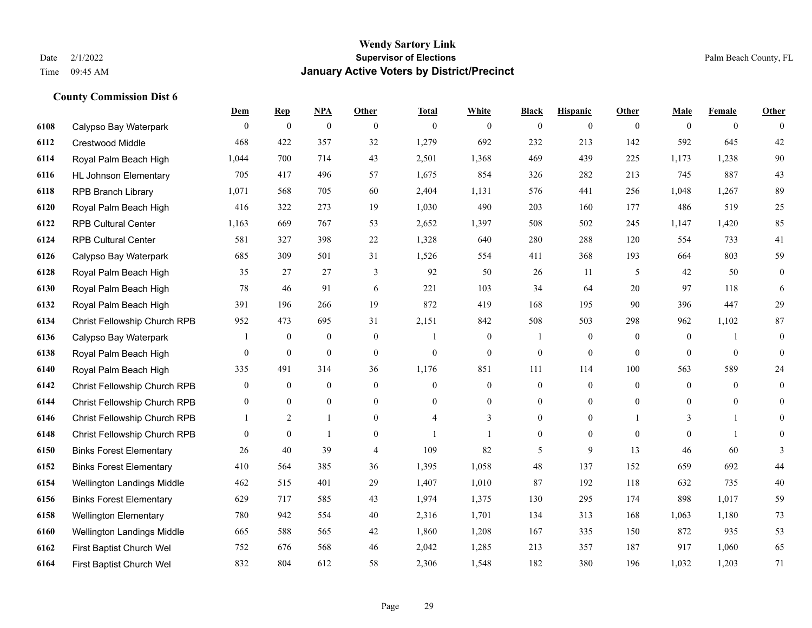**County Commission Dist 6**

### **Wendy Sartory Link** Date 2/1/2022 **Supervisor of Elections** Palm Beach County, FL Time 09:45 AM **January Active Voters by District/Precinct**

|      |                                | Dem            | $\mathbf{Rep}$   | <b>NPA</b>       | Other            | <b>Total</b>     | White          | <b>Black</b>     | <b>Hispanic</b> | <b>Other</b> | Male         | Female         | Other            |
|------|--------------------------------|----------------|------------------|------------------|------------------|------------------|----------------|------------------|-----------------|--------------|--------------|----------------|------------------|
| 6108 | Calypso Bay Waterpark          | $\theta$       | $\mathbf{0}$     | $\mathbf{0}$     | $\theta$         | $\mathbf{0}$     | $\overline{0}$ | $\mathbf{0}$     | $\overline{0}$  | $\theta$     | $\theta$     | $\theta$       | $\theta$         |
| 6112 | Crestwood Middle               | 468            | 422              | 357              | 32               | 1,279            | 692            | 232              | 213             | 142          | 592          | 645            | 42               |
| 6114 | Royal Palm Beach High          | 1,044          | 700              | 714              | 43               | 2,501            | 1,368          | 469              | 439             | 225          | 1,173        | 1,238          | 90               |
| 6116 | <b>HL Johnson Elementary</b>   | 705            | 417              | 496              | 57               | 1,675            | 854            | 326              | 282             | 213          | 745          | 887            | 43               |
| 6118 | <b>RPB Branch Library</b>      | 1,071          | 568              | 705              | 60               | 2,404            | 1,131          | 576              | 441             | 256          | 1,048        | 1,267          | 89               |
| 6120 | Royal Palm Beach High          | 416            | 322              | 273              | 19               | 1,030            | 490            | 203              | 160             | 177          | 486          | 519            | 25               |
| 6122 | <b>RPB Cultural Center</b>     | 1,163          | 669              | 767              | 53               | 2,652            | 1,397          | 508              | 502             | 245          | 1,147        | 1,420          | 85               |
| 6124 | <b>RPB Cultural Center</b>     | 581            | 327              | 398              | 22               | 1,328            | 640            | 280              | 288             | 120          | 554          | 733            | 41               |
| 6126 | Calypso Bay Waterpark          | 685            | 309              | 501              | 31               | 1,526            | 554            | 411              | 368             | 193          | 664          | 803            | 59               |
| 6128 | Royal Palm Beach High          | 35             | 27               | 27               | 3                | 92               | 50             | 26               | 11              | 5            | 42           | 50             | $\boldsymbol{0}$ |
| 6130 | Royal Palm Beach High          | 78             | 46               | 91               | 6                | 221              | 103            | 34               | 64              | 20           | 97           | 118            | 6                |
| 6132 | Royal Palm Beach High          | 391            | 196              | 266              | 19               | 872              | 419            | 168              | 195             | 90           | 396          | 447            | 29               |
| 6134 | Christ Fellowship Church RPB   | 952            | 473              | 695              | 31               | 2,151            | 842            | 508              | 503             | 298          | 962          | 1,102          | 87               |
| 6136 | Calypso Bay Waterpark          | 1              | $\boldsymbol{0}$ | $\boldsymbol{0}$ | $\mathbf{0}$     | $\mathbf{1}$     | $\overline{0}$ | 1                | $\overline{0}$  | $\theta$     | $\mathbf{0}$ |                | $\mathbf{0}$     |
| 6138 | Royal Palm Beach High          | $\mathbf{0}$   | $\boldsymbol{0}$ | $\mathbf{0}$     | $\mathbf{0}$     | $\boldsymbol{0}$ | $\overline{0}$ | $\boldsymbol{0}$ | $\overline{0}$  | $\mathbf{0}$ | $\mathbf{0}$ | $\mathbf{0}$   | $\theta$         |
| 6140 | Royal Palm Beach High          | 335            | 491              | 314              | 36               | 1,176            | 851            | 111              | 114             | 100          | 563          | 589            | 24               |
| 6142 | Christ Fellowship Church RPB   | $\mathbf{0}$   | $\boldsymbol{0}$ | $\mathbf{0}$     | $\mathbf{0}$     | $\overline{0}$   | $\overline{0}$ | $\boldsymbol{0}$ | $\overline{0}$  | $\mathbf{0}$ | $\mathbf{0}$ | $\overline{0}$ | $\mathbf{0}$     |
| 6144 | Christ Fellowship Church RPB   | $\mathbf{0}$   | $\mathbf{0}$     | $\overline{0}$   | $\mathbf{0}$     | $\theta$         | $\overline{0}$ | $\overline{0}$   | $\overline{0}$  | $\theta$     | $\mathbf{0}$ | $\Omega$       | $\mathbf{0}$     |
| 6146 | Christ Fellowship Church RPB   |                | $\overline{2}$   | 1                | $\theta$         | 4                | 3              | $\overline{0}$   | $\overline{0}$  |              | 3            | 1              | $\Omega$         |
| 6148 | Christ Fellowship Church RPB   | $\overline{0}$ | $\mathbf{0}$     | $\mathbf{1}$     | $\boldsymbol{0}$ |                  |                | $\boldsymbol{0}$ | $\overline{0}$  | $\mathbf{0}$ | $\mathbf{0}$ | $\mathbf{1}$   | $\theta$         |
| 6150 | <b>Binks Forest Elementary</b> | 26             | 40               | 39               | $\overline{4}$   | 109              | 82             | 5                | 9               | 13           | 46           | 60             | 3                |
| 6152 | <b>Binks Forest Elementary</b> | 410            | 564              | 385              | 36               | 1,395            | 1,058          | 48               | 137             | 152          | 659          | 692            | 44               |
| 6154 | Wellington Landings Middle     | 462            | 515              | 401              | 29               | 1,407            | 1,010          | 87               | 192             | 118          | 632          | 735            | $40\,$           |
| 6156 | <b>Binks Forest Elementary</b> | 629            | 717              | 585              | 43               | 1,974            | 1,375          | 130              | 295             | 174          | 898          | 1,017          | 59               |
| 6158 | <b>Wellington Elementary</b>   | 780            | 942              | 554              | 40               | 2,316            | 1,701          | 134              | 313             | 168          | 1,063        | 1,180          | 73               |
| 6160 | Wellington Landings Middle     | 665            | 588              | 565              | 42               | 1,860            | 1,208          | 167              | 335             | 150          | 872          | 935            | 53               |
| 6162 | First Baptist Church Wel       | 752            | 676              | 568              | 46               | 2,042            | 1,285          | 213              | 357             | 187          | 917          | 1,060          | 65               |
| 6164 | First Baptist Church Wel       | 832            | 804              | 612              | 58               | 2,306            | 1,548          | 182              | 380             | 196          | 1.032        | 1.203          | 71               |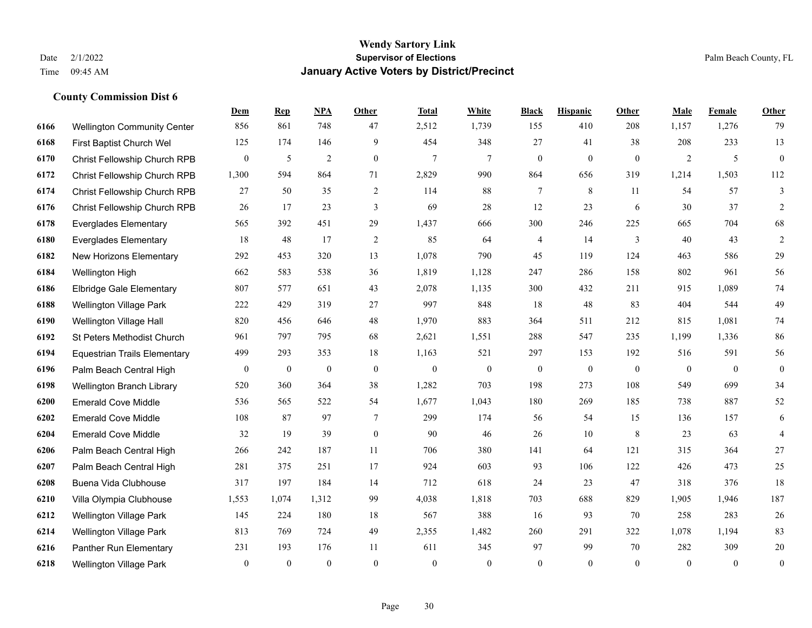|      |                                     | Dem          | <b>Rep</b>       | NPA              | <b>Other</b>     | <b>Total</b>   | White            | <b>Black</b>     | <b>Hispanic</b>  | Other          | <b>Male</b>    | Female         | <b>Other</b>     |
|------|-------------------------------------|--------------|------------------|------------------|------------------|----------------|------------------|------------------|------------------|----------------|----------------|----------------|------------------|
| 6166 | <b>Wellington Community Center</b>  | 856          | 861              | 748              | 47               | 2,512          | 1,739            | 155              | 410              | 208            | 1,157          | 1,276          | 79               |
| 6168 | First Baptist Church Wel            | 125          | 174              | 146              | 9                | 454            | 348              | 27               | 41               | 38             | 208            | 233            | 13               |
| 6170 | Christ Fellowship Church RPB        | $\mathbf{0}$ | 5                | $\sqrt{2}$       | $\mathbf{0}$     | $\overline{7}$ | $\tau$           | $\boldsymbol{0}$ | $\boldsymbol{0}$ | $\mathbf{0}$   | $\overline{2}$ | 5              | $\boldsymbol{0}$ |
| 6172 | Christ Fellowship Church RPB        | 1,300        | 594              | 864              | 71               | 2,829          | 990              | 864              | 656              | 319            | 1,214          | 1,503          | 112              |
| 6174 | Christ Fellowship Church RPB        | 27           | 50               | 35               | $\overline{2}$   | 114            | 88               | $\tau$           | 8                | 11             | 54             | 57             | 3                |
| 6176 | Christ Fellowship Church RPB        | 26           | 17               | 23               | 3                | 69             | $28\,$           | 12               | 23               | 6              | 30             | 37             | $\sqrt{2}$       |
| 6178 | <b>Everglades Elementary</b>        | 565          | 392              | 451              | 29               | 1,437          | 666              | 300              | 246              | 225            | 665            | 704            | 68               |
| 6180 | <b>Everglades Elementary</b>        | 18           | 48               | 17               | 2                | 85             | 64               | 4                | 14               | 3              | 40             | 43             | $\overline{2}$   |
| 6182 | New Horizons Elementary             | 292          | 453              | 320              | 13               | 1,078          | 790              | 45               | 119              | 124            | 463            | 586            | 29               |
| 6184 | Wellington High                     | 662          | 583              | 538              | 36               | 1,819          | 1,128            | 247              | 286              | 158            | 802            | 961            | 56               |
| 6186 | <b>Elbridge Gale Elementary</b>     | 807          | 577              | 651              | 43               | 2,078          | 1,135            | 300              | 432              | 211            | 915            | 1.089          | 74               |
| 6188 | <b>Wellington Village Park</b>      | 222          | 429              | 319              | 27               | 997            | 848              | 18               | 48               | 83             | 404            | 544            | 49               |
| 6190 | Wellington Village Hall             | 820          | 456              | 646              | 48               | 1,970          | 883              | 364              | 511              | 212            | 815            | 1,081          | 74               |
| 6192 | St Peters Methodist Church          | 961          | 797              | 795              | 68               | 2,621          | 1,551            | 288              | 547              | 235            | 1,199          | 1,336          | 86               |
| 6194 | <b>Equestrian Trails Elementary</b> | 499          | 293              | 353              | 18               | 1,163          | 521              | 297              | 153              | 192            | 516            | 591            | 56               |
| 6196 | Palm Beach Central High             | $\mathbf{0}$ | $\boldsymbol{0}$ | $\boldsymbol{0}$ | $\boldsymbol{0}$ | $\mathbf{0}$   | $\boldsymbol{0}$ | $\boldsymbol{0}$ | $\boldsymbol{0}$ | $\overline{0}$ | $\overline{0}$ | $\overline{0}$ | $\bf{0}$         |
| 6198 | Wellington Branch Library           | 520          | 360              | 364              | 38               | 1,282          | 703              | 198              | 273              | 108            | 549            | 699            | 34               |
| 6200 | <b>Emerald Cove Middle</b>          | 536          | 565              | 522              | 54               | 1,677          | 1,043            | 180              | 269              | 185            | 738            | 887            | 52               |
| 6202 | <b>Emerald Cove Middle</b>          | 108          | 87               | 97               | $\tau$           | 299            | 174              | 56               | 54               | 15             | 136            | 157            | $\sqrt{6}$       |
| 6204 | <b>Emerald Cove Middle</b>          | 32           | 19               | 39               | $\boldsymbol{0}$ | 90             | 46               | 26               | 10               | 8              | 23             | 63             | $\overline{4}$   |
| 6206 | Palm Beach Central High             | 266          | 242              | 187              | 11               | 706            | 380              | 141              | 64               | 121            | 315            | 364            | $27\,$           |
| 6207 | Palm Beach Central High             | 281          | 375              | 251              | 17               | 924            | 603              | 93               | 106              | 122            | 426            | 473            | 25               |
| 6208 | Buena Vida Clubhouse                | 317          | 197              | 184              | 14               | 712            | 618              | 24               | 23               | 47             | 318            | 376            | 18               |
| 6210 | Villa Olympia Clubhouse             | 1,553        | 1,074            | 1,312            | 99               | 4,038          | 1,818            | 703              | 688              | 829            | 1,905          | 1,946          | 187              |
| 6212 | Wellington Village Park             | 145          | 224              | 180              | 18               | 567            | 388              | 16               | 93               | 70             | 258            | 283            | 26               |
| 6214 | <b>Wellington Village Park</b>      | 813          | 769              | 724              | 49               | 2,355          | 1,482            | 260              | 291              | 322            | 1,078          | 1,194          | 83               |
| 6216 | Panther Run Elementary              | 231          | 193              | 176              | 11               | 611            | 345              | 97               | 99               | 70             | 282            | 309            | $20\,$           |
| 6218 | <b>Wellington Village Park</b>      | $\mathbf{0}$ | $\mathbf{0}$     | $\theta$         | $\Omega$         | $\theta$       | $\overline{0}$   | $\mathbf{0}$     | $\theta$         | $\theta$       | $\theta$       | $\mathbf{0}$   | $\boldsymbol{0}$ |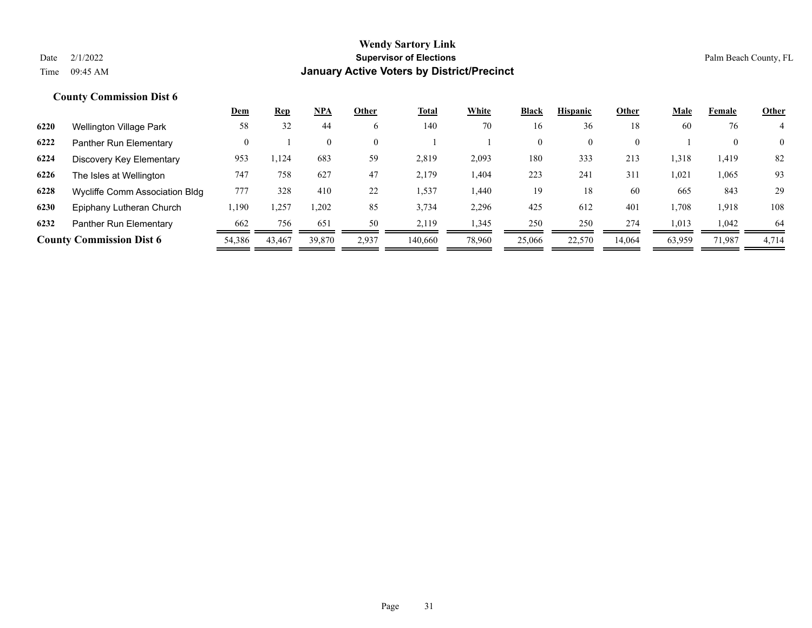|      |                                 | <u>Dem</u> | <b>Rep</b> | $NPA$        | Other    | Total   | White  | <b>Black</b> | <b>Hispanic</b> | Other          | Male   | Female       | <b>Other</b>   |
|------|---------------------------------|------------|------------|--------------|----------|---------|--------|--------------|-----------------|----------------|--------|--------------|----------------|
| 6220 | Wellington Village Park         | 58         | 32         | 44           | 6        | 140     | 70     | 16           | 36              | 18             | 60     | 76           |                |
| 6222 | Panther Run Elementary          | $\Omega$   |            | $\mathbf{0}$ | $\Omega$ |         |        | $\mathbf{0}$ |                 | $\overline{0}$ |        | $\mathbf{0}$ | $\overline{0}$ |
| 6224 | Discovery Key Elementary        | 953        | 1,124      | 683          | 59       | 2,819   | 2,093  | 180          | 333             | 213            | 1,318  | 1.419        | 82             |
| 6226 | The Isles at Wellington         | 747        | 758        | 627          | 47       | 2,179   | 1,404  | 223          | 241             | 311            | 1,021  | 1,065        | 93             |
| 6228 | Wycliffe Comm Association Bldg  | 777        | 328        | 410          | 22       | .537    | 1,440  | 19           | 18              | 60             | 665    | 843          | 29             |
| 6230 | Epiphany Lutheran Church        | 1,190      | .,257      | ,202         | 85       | 3,734   | 2,296  | 425          | 612             | 401            | 1,708  | 1,918        | 108            |
| 6232 | Panther Run Elementary          | 662        | 756        | 651          | 50       | 2,119   | 1,345  | 250          | 250             | 274            | 1,013  | 1,042        | 64             |
|      | <b>County Commission Dist 6</b> | 54,386     | 43.467     | 39,870       | 2,937    | 140,660 | 78,960 | 25,066       | 22,570          | 14,064         | 63,959 | 71,987       | 4,714          |
|      |                                 |            |            |              |          |         |        |              |                 |                |        |              |                |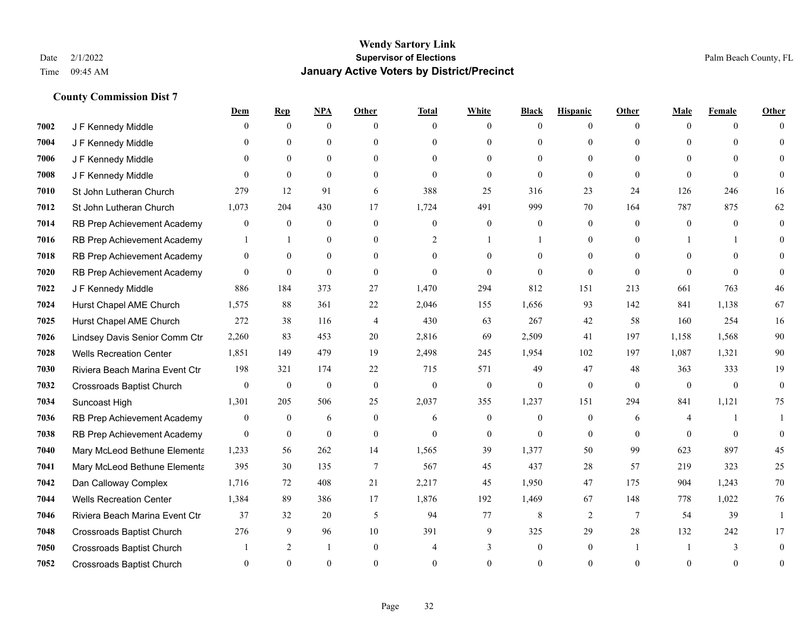|      |                                  | <u>Dem</u>       | <b>Rep</b>     | NPA            | <b>Other</b>     | <b>Total</b>     | <b>White</b>     | <b>Black</b>     | <b>Hispanic</b> | <b>Other</b>    | <b>Male</b>  | <b>Female</b> | <b>Other</b> |
|------|----------------------------------|------------------|----------------|----------------|------------------|------------------|------------------|------------------|-----------------|-----------------|--------------|---------------|--------------|
| 7002 | J F Kennedy Middle               | 0                | $\overline{0}$ | $\overline{0}$ | $\Omega$         | $\theta$         | $\mathbf{0}$     | $\theta$         | $\overline{0}$  | $\theta$        | $\theta$     | $\theta$      | $\Omega$     |
| 7004 | J F Kennedy Middle               | 0                | $\theta$       | $\theta$       | $\theta$         | $\Omega$         | $\theta$         | $\theta$         | $\theta$        | $\Omega$        | $\theta$     | $\Omega$      | $\Omega$     |
| 7006 | J F Kennedy Middle               | $\theta$         | $\theta$       | $\overline{0}$ | $\theta$         | $\Omega$         | $\mathbf{0}$     | $\Omega$         | $\theta$        | $\Omega$        | $\theta$     | $\Omega$      | $\Omega$     |
| 7008 | J F Kennedy Middle               | $\theta$         | $\theta$       | $\mathbf{0}$   | $\overline{0}$   | $\mathbf{0}$     | $\mathbf{0}$     | $\mathbf{0}$     | $\mathbf{0}$    | $\theta$        | $\theta$     | $\theta$      | $\Omega$     |
| 7010 | St John Lutheran Church          | 279              | 12             | 91             | 6                | 388              | 25               | 316              | 23              | 24              | 126          | 246           | 16           |
| 7012 | St John Lutheran Church          | 1,073            | 204            | 430            | 17               | 1,724            | 491              | 999              | 70              | 164             | 787          | 875           | 62           |
| 7014 | RB Prep Achievement Academy      | 0                | $\overline{0}$ | $\mathbf{0}$   | $\mathbf{0}$     | $\mathbf{0}$     | $\boldsymbol{0}$ | $\mathbf{0}$     | $\mathbf{0}$    | $\theta$        | $\mathbf{0}$ | $\theta$      | $\mathbf{0}$ |
| 7016 | RB Prep Achievement Academy      | 1                | $\mathbf{1}$   | $\theta$       | $\theta$         | 2                | $\mathbf{1}$     |                  | $\theta$        | $\Omega$        |              | 1             | $\Omega$     |
| 7018 | RB Prep Achievement Academy      | $\overline{0}$   | $\theta$       | $\overline{0}$ | $\theta$         | $\theta$         | $\theta$         | $\theta$         | $\theta$        | $\theta$        | $\Omega$     | $\Omega$      | $\Omega$     |
| 7020 | RB Prep Achievement Academy      | $\overline{0}$   | $\overline{0}$ | $\mathbf{0}$   | $\overline{0}$   | $\theta$         | $\theta$         | $\theta$         | $\theta$        | $\Omega$        | $\theta$     | $\theta$      | $\Omega$     |
| 7022 | J F Kennedy Middle               | 886              | 184            | 373            | 27               | 1,470            | 294              | 812              | 151             | 213             | 661          | 763           | 46           |
| 7024 | Hurst Chapel AME Church          | 1,575            | 88             | 361            | 22               | 2,046            | 155              | 1,656            | 93              | 142             | 841          | 1,138         | 67           |
| 7025 | Hurst Chapel AME Church          | 272              | 38             | 116            | 4                | 430              | 63               | 267              | 42              | 58              | 160          | 254           | 16           |
| 7026 | Lindsey Davis Senior Comm Ctr    | 2,260            | 83             | 453            | 20               | 2,816            | 69               | 2,509            | 41              | 197             | 1,158        | 1,568         | 90           |
| 7028 | <b>Wells Recreation Center</b>   | 1,851            | 149            | 479            | 19               | 2,498            | 245              | 1,954            | 102             | 197             | 1,087        | 1,321         | 90           |
| 7030 | Riviera Beach Marina Event Ctr   | 198              | 321            | 174            | 22               | 715              | 571              | 49               | 47              | 48              | 363          | 333           | 19           |
| 7032 | Crossroads Baptist Church        | $\overline{0}$   | $\mathbf{0}$   | $\mathbf{0}$   | $\mathbf{0}$     | $\boldsymbol{0}$ | $\boldsymbol{0}$ | $\boldsymbol{0}$ | $\mathbf{0}$    | $\mathbf{0}$    | $\mathbf{0}$ | $\mathbf{0}$  | $\mathbf{0}$ |
| 7034 | Suncoast High                    | 1,301            | 205            | 506            | 25               | 2,037            | 355              | 1,237            | 151             | 294             | 841          | 1,121         | 75           |
| 7036 | RB Prep Achievement Academy      | $\boldsymbol{0}$ | $\bf{0}$       | 6              | $\boldsymbol{0}$ | 6                | $\boldsymbol{0}$ | $\boldsymbol{0}$ | $\mathbf{0}$    | 6               | 4            | 1             |              |
| 7038 | RB Prep Achievement Academy      | $\overline{0}$   | $\overline{0}$ | $\mathbf{0}$   | $\overline{0}$   | $\theta$         | $\mathbf{0}$     | $\theta$         | $\mathbf{0}$    | $\theta$        | $\theta$     | $\theta$      | $\theta$     |
| 7040 | Mary McLeod Bethune Elementa     | 1,233            | 56             | 262            | 14               | 1,565            | 39               | 1,377            | 50              | 99              | 623          | 897           | 45           |
| 7041 | Mary McLeod Bethune Elementa     | 395              | 30             | 135            | $\overline{7}$   | 567              | 45               | 437              | 28              | 57              | 219          | 323           | 25           |
| 7042 | Dan Calloway Complex             | 1,716            | 72             | 408            | 21               | 2,217            | 45               | 1,950            | 47              | 175             | 904          | 1,243         | 70           |
| 7044 | <b>Wells Recreation Center</b>   | 1,384            | 89             | 386            | 17               | 1,876            | 192              | 1,469            | 67              | 148             | 778          | 1,022         | 76           |
| 7046 | Riviera Beach Marina Event Ctr   | 37               | 32             | 20             | 5                | 94               | 77               | 8                | 2               | $7\phantom{.0}$ | 54           | 39            | $\mathbf{1}$ |
| 7048 | Crossroads Baptist Church        | 276              | 9              | 96             | 10               | 391              | 9                | 325              | 29              | 28              | 132          | 242           | 17           |
| 7050 | <b>Crossroads Baptist Church</b> |                  | 2              | -1             | $\overline{0}$   |                  | 3                | $\mathbf{0}$     | $\mathbf{0}$    |                 |              | 3             | $\Omega$     |
| 7052 | <b>Crossroads Baptist Church</b> | $\theta$         | $\theta$       | $\theta$       | $\Omega$         | $\Omega$         | $\Omega$         | $\theta$         | $\Omega$        | $\Omega$        | $\Omega$     | $\theta$      | $\mathbf{0}$ |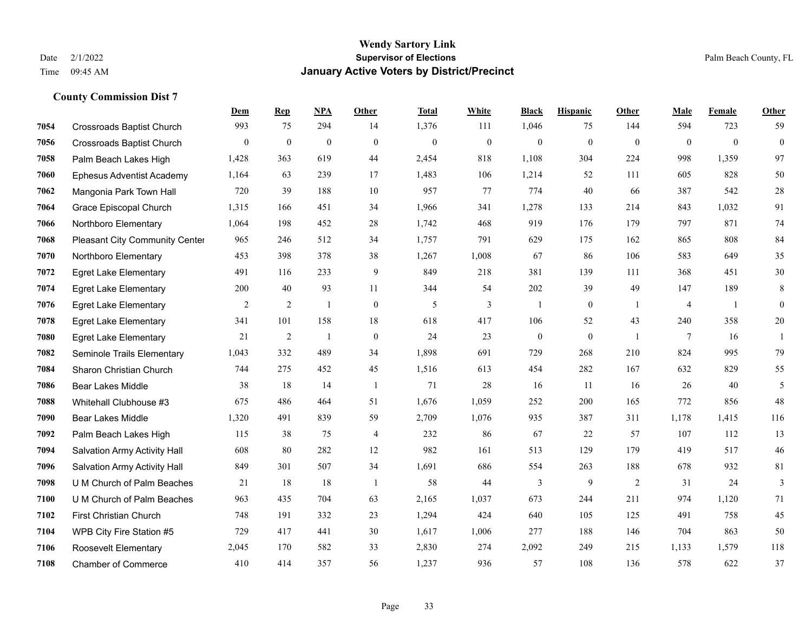|      |                                     | Dem            | <b>Rep</b>     | NPA            | <b>Other</b> | <b>Total</b> | <b>White</b>   | <b>Black</b>     | <b>Hispanic</b> | Other          | <b>Male</b>    | Female   | <b>Other</b> |
|------|-------------------------------------|----------------|----------------|----------------|--------------|--------------|----------------|------------------|-----------------|----------------|----------------|----------|--------------|
| 7054 | <b>Crossroads Baptist Church</b>    | 993            | 75             | 294            | 14           | 1,376        | 111            | 1,046            | 75              | 144            | 594            | 723      | 59           |
| 7056 | <b>Crossroads Baptist Church</b>    | $\overline{0}$ | $\mathbf{0}$   | $\mathbf{0}$   | $\Omega$     | $\mathbf{0}$ | $\overline{0}$ | $\mathbf{0}$     | $\mathbf{0}$    | $\theta$       | $\mathbf{0}$   | $\theta$ | $\mathbf{0}$ |
| 7058 | Palm Beach Lakes High               | 1,428          | 363            | 619            | 44           | 2,454        | 818            | 1,108            | 304             | 224            | 998            | 1,359    | 97           |
| 7060 | <b>Ephesus Adventist Academy</b>    | 1,164          | 63             | 239            | 17           | 1,483        | 106            | 1,214            | 52              | 111            | 605            | 828      | 50           |
| 7062 | Mangonia Park Town Hall             | 720            | 39             | 188            | 10           | 957          | 77             | 774              | 40              | 66             | 387            | 542      | $28\,$       |
| 7064 | Grace Episcopal Church              | 1,315          | 166            | 451            | 34           | 1,966        | 341            | 1,278            | 133             | 214            | 843            | 1,032    | 91           |
| 7066 | Northboro Elementary                | 1,064          | 198            | 452            | 28           | 1,742        | 468            | 919              | 176             | 179            | 797            | 871      | 74           |
| 7068 | Pleasant City Community Center      | 965            | 246            | 512            | 34           | 1,757        | 791            | 629              | 175             | 162            | 865            | 808      | 84           |
| 7070 | Northboro Elementary                | 453            | 398            | 378            | 38           | 1,267        | 1,008          | 67               | 86              | 106            | 583            | 649      | 35           |
| 7072 | <b>Egret Lake Elementary</b>        | 491            | 116            | 233            | 9            | 849          | 218            | 381              | 139             | 111            | 368            | 451      | $30\,$       |
| 7074 | <b>Egret Lake Elementary</b>        | 200            | 40             | 93             | 11           | 344          | 54             | 202              | 39              | 49             | 147            | 189      | 8            |
| 7076 | <b>Egret Lake Elementary</b>        | $\overline{2}$ | $\overline{2}$ | $\mathbf{1}$   | $\Omega$     | 5            | $\overline{3}$ | $\mathbf{1}$     | $\mathbf{0}$    | -1             | $\overline{4}$ | -1       | $\theta$     |
| 7078 | <b>Egret Lake Elementary</b>        | 341            | 101            | 158            | 18           | 618          | 417            | 106              | 52              | 43             | 240            | 358      | $20\,$       |
| 7080 | <b>Egret Lake Elementary</b>        | 21             | $\sqrt{2}$     | $\overline{1}$ | $\mathbf{0}$ | 24           | 23             | $\boldsymbol{0}$ | $\mathbf{0}$    | $\overline{1}$ | $\tau$         | 16       | -1           |
| 7082 | Seminole Trails Elementary          | 1,043          | 332            | 489            | 34           | 1,898        | 691            | 729              | 268             | 210            | 824            | 995      | 79           |
| 7084 | Sharon Christian Church             | 744            | 275            | 452            | 45           | 1,516        | 613            | 454              | 282             | 167            | 632            | 829      | 55           |
| 7086 | <b>Bear Lakes Middle</b>            | 38             | 18             | 14             | -1           | 71           | 28             | 16               | 11              | 16             | 26             | 40       | 5            |
| 7088 | Whitehall Clubhouse #3              | 675            | 486            | 464            | 51           | 1.676        | 1,059          | 252              | 200             | 165            | 772            | 856      | 48           |
| 7090 | Bear Lakes Middle                   | 1,320          | 491            | 839            | 59           | 2,709        | 1,076          | 935              | 387             | 311            | 1,178          | 1,415    | 116          |
| 7092 | Palm Beach Lakes High               | 115            | 38             | 75             | 4            | 232          | 86             | 67               | 22              | 57             | 107            | 112      | 13           |
| 7094 | <b>Salvation Army Activity Hall</b> | 608            | 80             | 282            | 12           | 982          | 161            | 513              | 129             | 179            | 419            | 517      | $46\,$       |
| 7096 | Salvation Army Activity Hall        | 849            | 301            | 507            | 34           | 1,691        | 686            | 554              | 263             | 188            | 678            | 932      | 81           |
| 7098 | U M Church of Palm Beaches          | 21             | 18             | 18             | -1           | 58           | 44             | 3                | 9               | 2              | 31             | 24       | 3            |
| 7100 | U M Church of Palm Beaches          | 963            | 435            | 704            | 63           | 2,165        | 1,037          | 673              | 244             | 211            | 974            | 1,120    | 71           |
| 7102 | First Christian Church              | 748            | 191            | 332            | 23           | 1,294        | 424            | 640              | 105             | 125            | 491            | 758      | 45           |
| 7104 | WPB City Fire Station #5            | 729            | 417            | 441            | 30           | 1,617        | 1,006          | 277              | 188             | 146            | 704            | 863      | 50           |
| 7106 | <b>Roosevelt Elementary</b>         | 2,045          | 170            | 582            | 33           | 2,830        | 274            | 2,092            | 249             | 215            | 1,133          | 1,579    | 118          |
| 7108 | <b>Chamber of Commerce</b>          | 410            | 414            | 357            | 56           | 1,237        | 936            | 57               | 108             | 136            | 578            | 622      | 37           |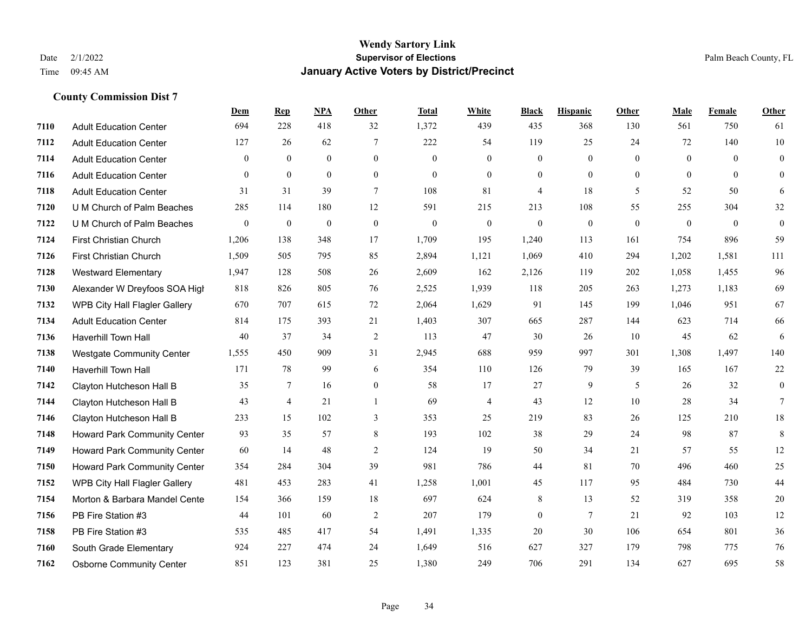|      |                                      | Dem              | <b>Rep</b>       | NPA              | <b>Other</b>   | <b>Total</b> | <b>White</b>     | <b>Black</b>     | <b>Hispanic</b> | <b>Other</b>   | <b>Male</b>    | <b>Female</b> | <b>Other</b>     |
|------|--------------------------------------|------------------|------------------|------------------|----------------|--------------|------------------|------------------|-----------------|----------------|----------------|---------------|------------------|
| 7110 | <b>Adult Education Center</b>        | 694              | 228              | 418              | 32             | 1,372        | 439              | 435              | 368             | 130            | 561            | 750           | 61               |
| 7112 | <b>Adult Education Center</b>        | 127              | 26               | 62               | $\overline{7}$ | 222          | 54               | 119              | 25              | 24             | 72             | 140           | 10               |
| 7114 | <b>Adult Education Center</b>        | $\theta$         | $\theta$         | $\theta$         | $\Omega$       | $\theta$     | $\Omega$         | $\mathbf{0}$     | $\Omega$        | $\Omega$       | $\theta$       | $\Omega$      | $\mathbf{0}$     |
| 7116 | <b>Adult Education Center</b>        | $\mathbf{0}$     | $\mathbf{0}$     | $\mathbf{0}$     | $\overline{0}$ | $\mathbf{0}$ | $\overline{0}$   | $\boldsymbol{0}$ | $\mathbf{0}$    | $\overline{0}$ | $\overline{0}$ | $\mathbf{0}$  | $\mathbf{0}$     |
| 7118 | <b>Adult Education Center</b>        | 31               | 31               | 39               | $\overline{7}$ | 108          | 81               | $\overline{4}$   | 18              | 5              | 52             | 50            | 6                |
| 7120 | U M Church of Palm Beaches           | 285              | 114              | 180              | 12             | 591          | 215              | 213              | 108             | 55             | 255            | 304           | 32               |
| 7122 | U M Church of Palm Beaches           | $\boldsymbol{0}$ | $\boldsymbol{0}$ | $\boldsymbol{0}$ | $\mathbf{0}$   | $\mathbf{0}$ | $\boldsymbol{0}$ | $\boldsymbol{0}$ | $\mathbf{0}$    | $\mathbf{0}$   | $\mathbf{0}$   | $\mathbf{0}$  | $\boldsymbol{0}$ |
| 7124 | First Christian Church               | 1,206            | 138              | 348              | 17             | 1,709        | 195              | 1,240            | 113             | 161            | 754            | 896           | 59               |
| 7126 | First Christian Church               | 1,509            | 505              | 795              | 85             | 2,894        | 1,121            | 1,069            | 410             | 294            | 1,202          | 1,581         | 111              |
| 7128 | <b>Westward Elementary</b>           | 1,947            | 128              | 508              | 26             | 2,609        | 162              | 2,126            | 119             | 202            | 1,058          | 1,455         | 96               |
| 7130 | Alexander W Dreyfoos SOA High        | 818              | 826              | 805              | 76             | 2,525        | 1,939            | 118              | 205             | 263            | 1,273          | 1,183         | 69               |
| 7132 | <b>WPB City Hall Flagler Gallery</b> | 670              | 707              | 615              | 72             | 2,064        | 1,629            | 91               | 145             | 199            | 1,046          | 951           | 67               |
| 7134 | <b>Adult Education Center</b>        | 814              | 175              | 393              | 21             | 1,403        | 307              | 665              | 287             | 144            | 623            | 714           | 66               |
| 7136 | Haverhill Town Hall                  | 40               | 37               | 34               | $\overline{2}$ | 113          | 47               | 30               | 26              | 10             | 45             | 62            | 6                |
| 7138 | Westgate Community Center            | 1,555            | 450              | 909              | 31             | 2,945        | 688              | 959              | 997             | 301            | 1,308          | 1,497         | 140              |
| 7140 | Haverhill Town Hall                  | 171              | 78               | 99               | 6              | 354          | 110              | 126              | 79              | 39             | 165            | 167           | $22\,$           |
| 7142 | Clayton Hutcheson Hall B             | 35               | $7\phantom{.0}$  | 16               | $\overline{0}$ | 58           | 17               | 27               | 9               | 5              | 26             | 32            | $\mathbf{0}$     |
| 7144 | Clayton Hutcheson Hall B             | 43               | 4                | 21               | $\mathbf{1}$   | 69           | 4                | 43               | 12              | 10             | 28             | 34            | 7                |
| 7146 | Clayton Hutcheson Hall B             | 233              | 15               | 102              | 3              | 353          | 25               | 219              | 83              | 26             | 125            | 210           | 18               |
| 7148 | Howard Park Community Center         | 93               | 35               | 57               | $\,$ 8 $\,$    | 193          | 102              | 38               | 29              | 24             | 98             | 87            | $\,8\,$          |
| 7149 | <b>Howard Park Community Center</b>  | 60               | 14               | 48               | 2              | 124          | 19               | 50               | 34              | 21             | 57             | 55            | 12               |
| 7150 | <b>Howard Park Community Center</b>  | 354              | 284              | 304              | 39             | 981          | 786              | 44               | 81              | 70             | 496            | 460           | 25               |
| 7152 | WPB City Hall Flagler Gallery        | 481              | 453              | 283              | 41             | 1,258        | 1,001            | 45               | 117             | 95             | 484            | 730           | $44$             |
| 7154 | Morton & Barbara Mandel Cente        | 154              | 366              | 159              | 18             | 697          | 624              | 8                | 13              | 52             | 319            | 358           | 20               |
| 7156 | PB Fire Station #3                   | 44               | 101              | 60               | $\overline{2}$ | 207          | 179              | $\boldsymbol{0}$ | $\overline{7}$  | 21             | 92             | 103           | 12               |
| 7158 | PB Fire Station #3                   | 535              | 485              | 417              | 54             | 1,491        | 1,335            | 20               | 30              | 106            | 654            | 801           | 36               |
| 7160 | South Grade Elementary               | 924              | 227              | 474              | 24             | 1,649        | 516              | 627              | 327             | 179            | 798            | 775           | 76               |
| 7162 | <b>Osborne Community Center</b>      | 851              | 123              | 381              | 25             | 1,380        | 249              | 706              | 291             | 134            | 627            | 695           | 58               |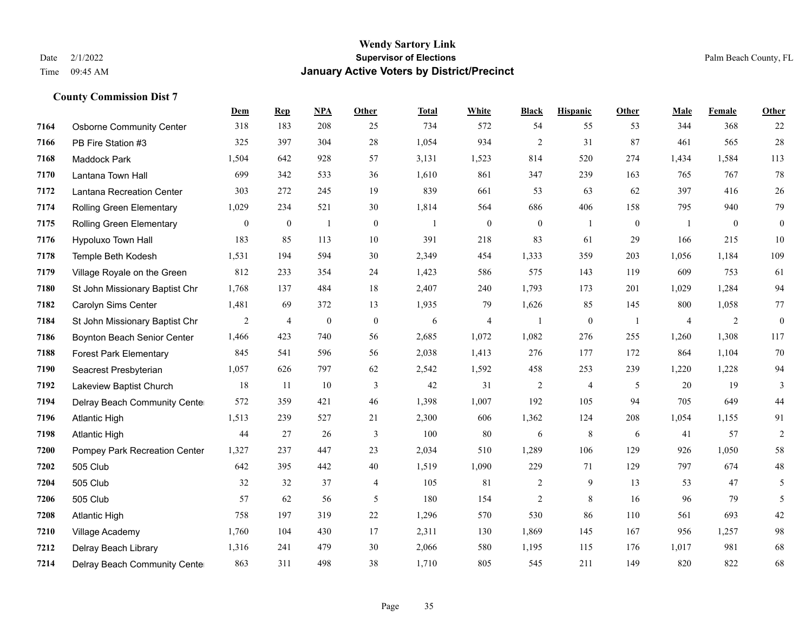**County Commission Dist 7**

#### **Wendy Sartory Link** Date 2/1/2022 **Supervisor of Elections** Palm Beach County, FL Time 09:45 AM **January Active Voters by District/Precinct**

# **Dem Rep NPA Other Total White Black Hispanic Other Male Female Other** Osborne Community Center 318 183 208 25 734 572 54 55 53 344 368 22 PB Fire Station #3 325 397 304 28 1,054 934 2 31 87 461 565 28 Maddock Park 1,504 642 928 57 3,131 1,523 814 520 274 1,434 1,584 113 Lantana Town Hall 699 342 533 36 1,610 861 347 239 163 765 767 78 Lantana Recreation Center 303 272 245 19 839 661 53 63 62 397 416 26 Rolling Green Elementary 1,029 234 521 30 1,814 564 686 406 158 795 940 79 Rolling Green Elementary 0 0 1 0 1 0 0 1 0 1 0 0 Hypoluxo Town Hall 183 85 113 10 391 218 83 61 29 166 215 10 Temple Beth Kodesh 1,531 194 594 30 2,349 454 1,333 359 203 1,056 1,184 109 Village Royale on the Green 812 233 354 24 1,423 586 575 143 119 609 753 61 St John Missionary Baptist Chr 1,768 137 484 18 2,407 240 1,793 173 201 1,029 1,284 94 Carolyn Sims Center 1,481 69 372 13 1,935 79 1,626 85 145 800 1,058 77 St John Missionary Baptist Chr 2 4 0 0 6 4 1 0 1 4 2 0 Boynton Beach Senior Center 1,466 423 740 56 2,685 1,072 1,082 276 255 1,260 1,308 117 Forest Park Elementary 845 541 596 56 2,038 1,413 276 177 172 864 1,104 70 Seacrest Presbyterian 1,057 626 797 62 2,542 1,592 458 253 239 1,220 1,228 94 Lakeview Baptist Church 18 11 10 3 42 31 2 4 5 20 19 3 Delray Beach Community Center 572 359 421 46 1,398 1,007 192 105 94 705 649 44 Atlantic High 1,513 239 527 21 2,300 606 1,362 124 208 1,054 1,155 91 Atlantic High 44 27 26 3 100 80 6 8 6 41 57 2 Pompey Park Recreation Center 1,327 237 447 23 2,034 510 1,289 106 129 926 1,050 58 505 Club 642 395 442 40 1,519 1,090 229 71 129 797 674 48 505 Club 32 32 37 4 105 81 2 9 13 53 47 5 505 Club 57 62 56 5 180 154 2 8 16 96 79 5 Atlantic High 758 197 319 22 1,296 570 530 86 110 561 693 42 Village Academy 1,760 104 430 17 2,311 130 1,869 145 167 956 1,257 98 Delray Beach Library 1,316 241 479 30 2,066 580 1,195 115 176 1,017 981 68 Delray Beach Community Center 863 311 498 38 1,710 805 545 211 149 820 822 68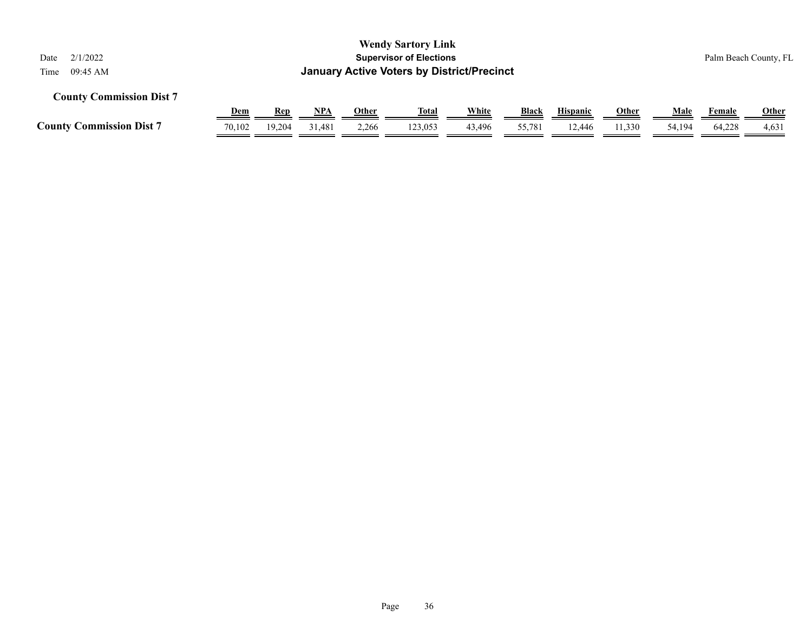| <b>Wendy Sartory Link</b><br>2/1/2022<br><b>Supervisor of Elections</b><br>Date<br><b>January Active Voters by District/Precinct</b><br>09:45 AM |            |            |            |       |              |        |        |                 |              |        |        | Palm Beach County, FL |  |
|--------------------------------------------------------------------------------------------------------------------------------------------------|------------|------------|------------|-------|--------------|--------|--------|-----------------|--------------|--------|--------|-----------------------|--|
| <b>County Commission Dist 7</b>                                                                                                                  | Time       |            |            |       |              |        |        |                 |              |        |        |                       |  |
|                                                                                                                                                  | <b>Dem</b> | <b>Rep</b> | <u>NPA</u> | Other | <u>Total</u> | White  | Black  | <b>Hispanic</b> | <u>Other</u> | Male   | Female | <b>Other</b>          |  |
| <b>County Commission Dist 7</b>                                                                                                                  | 70.102     | 19,204     | 31,481     | 2,266 | 123,053      | 43,496 | 55,781 | 12.446          | 11,330       | 54,194 | 64,228 | 4,631                 |  |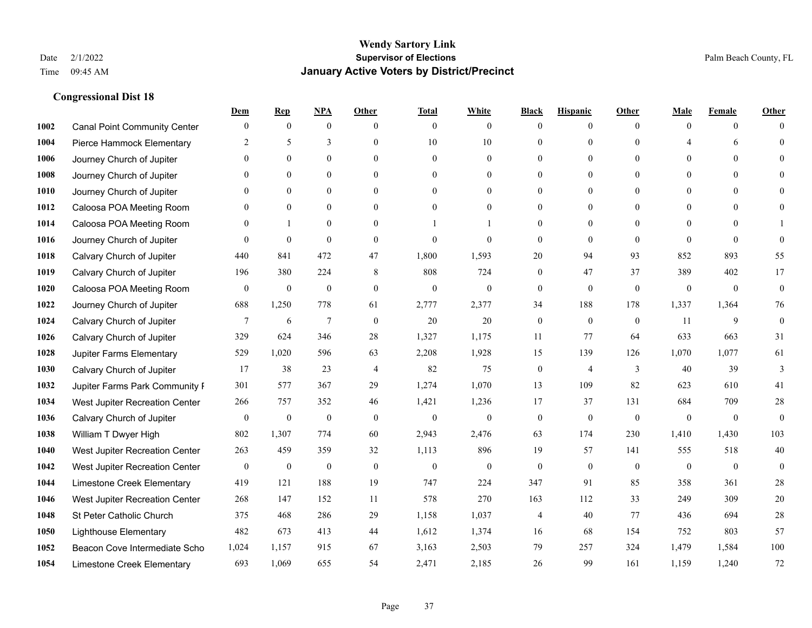|      |                                     | Dem              | <b>Rep</b>       | NPA              | <b>Other</b>   | <b>Total</b>     | <b>White</b>     | <b>Black</b>     | <b>Hispanic</b>  | <b>Other</b> | <b>Male</b>  | <b>Female</b> | <b>Other</b> |
|------|-------------------------------------|------------------|------------------|------------------|----------------|------------------|------------------|------------------|------------------|--------------|--------------|---------------|--------------|
| 1002 | <b>Canal Point Community Center</b> | $\mathbf{0}$     | $\mathbf{0}$     | $\boldsymbol{0}$ | $\theta$       | $\mathbf{0}$     | $\overline{0}$   | $\mathbf{0}$     | $\boldsymbol{0}$ | $\theta$     | $\theta$     | $\theta$      | $\Omega$     |
| 1004 | Pierce Hammock Elementary           | 2                | 5                | 3                | $\theta$       | 10               | 10               | $\theta$         | $\mathbf{0}$     | $\Omega$     | 4            | 6             | $\theta$     |
| 1006 | Journey Church of Jupiter           | $\Omega$         | $\theta$         | $\theta$         | $\Omega$       | $\theta$         | $\Omega$         | $\Omega$         | $\theta$         | $\Omega$     | $\Omega$     | $\Omega$      | $\Omega$     |
| 1008 | Journey Church of Jupiter           | $\theta$         | $\mathbf{0}$     | $\mathbf{0}$     | $\overline{0}$ | $\theta$         | $\overline{0}$   | $\overline{0}$   | $\mathbf{0}$     | $\theta$     | $\mathbf{0}$ | $\mathbf{0}$  |              |
| 1010 | Journey Church of Jupiter           | 0                | $\mathbf{0}$     | $\mathbf{0}$     | $\theta$       | $\Omega$         | $\overline{0}$   | $\overline{0}$   | $\mathbf{0}$     | $\Omega$     | $\theta$     | $\theta$      | $\Omega$     |
| 1012 | Caloosa POA Meeting Room            | $\theta$         | $\mathbf{0}$     | $\mathbf{0}$     | $\theta$       | $\Omega$         | $\mathbf{0}$     | $\overline{0}$   | $\mathbf{0}$     | $\Omega$     | $\theta$     | $\theta$      | $\Omega$     |
| 1014 | Caloosa POA Meeting Room            | $\theta$         |                  | $\mathbf{0}$     | $\overline{0}$ |                  | 1                | $\overline{0}$   | $\boldsymbol{0}$ | $\theta$     | $\mathbf{0}$ | $\theta$      |              |
| 1016 | Journey Church of Jupiter           | 0                | $\mathbf{0}$     | $\mathbf{0}$     | $\theta$       | $\Omega$         | $\theta$         | $\mathbf{0}$     | $\theta$         | $\theta$     | $\Omega$     | $\theta$      | $\theta$     |
| 1018 | Calvary Church of Jupiter           | 440              | 841              | 472              | 47             | 1,800            | 1,593            | 20               | 94               | 93           | 852          | 893           | 55           |
| 1019 | Calvary Church of Jupiter           | 196              | 380              | 224              | 8              | 808              | 724              | $\overline{0}$   | 47               | 37           | 389          | 402           | 17           |
| 1020 | Caloosa POA Meeting Room            | $\mathbf{0}$     | $\boldsymbol{0}$ | $\boldsymbol{0}$ | $\theta$       | $\mathbf{0}$     | $\mathbf{0}$     | $\boldsymbol{0}$ | $\mathbf{0}$     | $\mathbf{0}$ | $\mathbf{0}$ | $\mathbf{0}$  | $\mathbf{0}$ |
| 1022 | Journey Church of Jupiter           | 688              | 1,250            | 778              | 61             | 2,777            | 2,377            | 34               | 188              | 178          | 1,337        | 1,364         | 76           |
| 1024 | Calvary Church of Jupiter           | 7                | 6                | $\overline{7}$   | $\theta$       | 20               | 20               | $\mathbf{0}$     | $\mathbf{0}$     | $\theta$     | 11           | 9             | $\mathbf{0}$ |
| 1026 | Calvary Church of Jupiter           | 329              | 624              | 346              | 28             | 1,327            | 1,175            | 11               | 77               | 64           | 633          | 663           | 31           |
| 1028 | Jupiter Farms Elementary            | 529              | 1,020            | 596              | 63             | 2,208            | 1,928            | 15               | 139              | 126          | 1,070        | 1,077         | 61           |
| 1030 | Calvary Church of Jupiter           | 17               | 38               | 23               | $\overline{4}$ | 82               | 75               | $\boldsymbol{0}$ | $\overline{4}$   | 3            | 40           | 39            | 3            |
| 1032 | Jupiter Farms Park Community I      | 301              | 577              | 367              | 29             | 1,274            | 1,070            | 13               | 109              | 82           | 623          | 610           | 41           |
| 1034 | West Jupiter Recreation Center      | 266              | 757              | 352              | 46             | 1,421            | 1,236            | 17               | 37               | 131          | 684          | 709           | 28           |
| 1036 | Calvary Church of Jupiter           | $\boldsymbol{0}$ | $\boldsymbol{0}$ | $\boldsymbol{0}$ | $\mathbf{0}$   | $\boldsymbol{0}$ | $\boldsymbol{0}$ | $\boldsymbol{0}$ | $\mathbf{0}$     | $\mathbf{0}$ | $\mathbf{0}$ | $\mathbf{0}$  | $\mathbf{0}$ |
| 1038 | William T Dwyer High                | 802              | 1,307            | 774              | 60             | 2,943            | 2,476            | 63               | 174              | 230          | 1,410        | 1,430         | 103          |
| 1040 | West Jupiter Recreation Center      | 263              | 459              | 359              | 32             | 1,113            | 896              | 19               | 57               | 141          | 555          | 518           | 40           |
| 1042 | West Jupiter Recreation Center      | $\boldsymbol{0}$ | $\boldsymbol{0}$ | $\boldsymbol{0}$ | $\mathbf{0}$   | $\boldsymbol{0}$ | $\mathbf{0}$     | $\boldsymbol{0}$ | $\boldsymbol{0}$ | $\mathbf{0}$ | $\mathbf{0}$ | $\mathbf{0}$  | $\mathbf{0}$ |
| 1044 | Limestone Creek Elementary          | 419              | 121              | 188              | 19             | 747              | 224              | 347              | 91               | 85           | 358          | 361           | 28           |
| 1046 | West Jupiter Recreation Center      | 268              | 147              | 152              | 11             | 578              | 270              | 163              | 112              | 33           | 249          | 309           | $20\,$       |
| 1048 | St Peter Catholic Church            | 375              | 468              | 286              | 29             | 1,158            | 1,037            | $\overline{4}$   | 40               | 77           | 436          | 694           | 28           |
| 1050 | <b>Lighthouse Elementary</b>        | 482              | 673              | 413              | 44             | 1,612            | 1,374            | 16               | 68               | 154          | 752          | 803           | 57           |
| 1052 | Beacon Cove Intermediate Scho       | 1,024            | 1,157            | 915              | 67             | 3,163            | 2,503            | 79               | 257              | 324          | 1,479        | 1,584         | $100\,$      |
| 1054 | Limestone Creek Elementary          | 693              | 1,069            | 655              | 54             | 2,471            | 2,185            | 26               | 99               | 161          | 1,159        | 1,240         | 72           |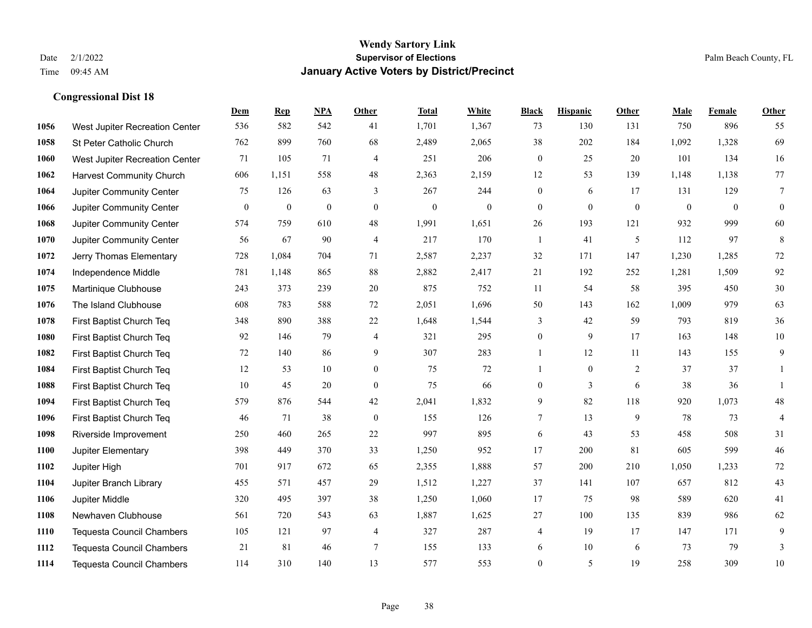|      |                                  | Dem          | <b>Rep</b> | NPA              | <b>Other</b>     | <b>Total</b> | <b>White</b>     | <b>Black</b>     | <b>Hispanic</b>  | Other        | <b>Male</b>  | <b>Female</b> | Other          |
|------|----------------------------------|--------------|------------|------------------|------------------|--------------|------------------|------------------|------------------|--------------|--------------|---------------|----------------|
| 1056 | West Jupiter Recreation Center   | 536          | 582        | 542              | 41               | 1,701        | 1,367            | 73               | 130              | 131          | 750          | 896           | 55             |
| 1058 | St Peter Catholic Church         | 762          | 899        | 760              | 68               | 2,489        | 2,065            | 38               | 202              | 184          | 1,092        | 1,328         | 69             |
| 1060 | West Jupiter Recreation Center   | 71           | 105        | 71               | 4                | 251          | 206              | $\boldsymbol{0}$ | 25               | 20           | 101          | 134           | 16             |
| 1062 | <b>Harvest Community Church</b>  | 606          | 1,151      | 558              | 48               | 2,363        | 2,159            | 12               | 53               | 139          | 1,148        | 1,138         | 77             |
| 1064 | Jupiter Community Center         | 75           | 126        | 63               | 3                | 267          | 244              | $\boldsymbol{0}$ | 6                | 17           | 131          | 129           | $\tau$         |
| 1066 | Jupiter Community Center         | $\mathbf{0}$ | $\bf{0}$   | $\boldsymbol{0}$ | $\mathbf{0}$     | $\mathbf{0}$ | $\boldsymbol{0}$ | $\boldsymbol{0}$ | $\mathbf{0}$     | $\mathbf{0}$ | $\mathbf{0}$ | $\mathbf{0}$  | $\mathbf{0}$   |
| 1068 | Jupiter Community Center         | 574          | 759        | 610              | 48               | 1,991        | 1,651            | 26               | 193              | 121          | 932          | 999           | 60             |
| 1070 | Jupiter Community Center         | 56           | 67         | 90               | $\overline{4}$   | 217          | 170              | $\mathbf{1}$     | 41               | 5            | 112          | 97            | $\,8\,$        |
| 1072 | Jerry Thomas Elementary          | 728          | 1,084      | 704              | 71               | 2,587        | 2,237            | 32               | 171              | 147          | 1,230        | 1,285         | 72             |
| 1074 | Independence Middle              | 781          | 1,148      | 865              | 88               | 2,882        | 2,417            | 21               | 192              | 252          | 1,281        | 1,509         | 92             |
| 1075 | Martinique Clubhouse             | 243          | 373        | 239              | 20               | 875          | 752              | 11               | 54               | 58           | 395          | 450           | 30             |
| 1076 | The Island Clubhouse             | 608          | 783        | 588              | 72               | 2,051        | 1,696            | 50               | 143              | 162          | 1,009        | 979           | 63             |
| 1078 | First Baptist Church Teq         | 348          | 890        | 388              | $22\,$           | 1,648        | 1,544            | 3                | 42               | 59           | 793          | 819           | 36             |
| 1080 | First Baptist Church Teq         | 92           | 146        | 79               | $\overline{4}$   | 321          | 295              | $\boldsymbol{0}$ | 9                | 17           | 163          | 148           | 10             |
| 1082 | First Baptist Church Teq         | 72           | 140        | 86               | 9                | 307          | 283              | $\mathbf{1}$     | 12               | 11           | 143          | 155           | 9              |
| 1084 | First Baptist Church Teq         | 12           | 53         | 10               | $\overline{0}$   | 75           | 72               | $\mathbf{1}$     | $\boldsymbol{0}$ | 2            | 37           | 37            | 1              |
| 1088 | First Baptist Church Teq         | 10           | 45         | 20               | $\overline{0}$   | 75           | 66               | $\overline{0}$   | 3                | 6            | 38           | 36            | 1              |
| 1094 | First Baptist Church Teq         | 579          | 876        | 544              | $42\,$           | 2,041        | 1,832            | 9                | 82               | 118          | 920          | 1,073         | $48\,$         |
| 1096 | First Baptist Church Teq         | 46           | 71         | 38               | $\boldsymbol{0}$ | 155          | 126              | $\tau$           | 13               | 9            | 78           | 73            | $\overline{4}$ |
| 1098 | Riverside Improvement            | 250          | 460        | 265              | 22               | 997          | 895              | 6                | 43               | 53           | 458          | 508           | 31             |
| 1100 | Jupiter Elementary               | 398          | 449        | 370              | 33               | 1,250        | 952              | 17               | 200              | 81           | 605          | 599           | 46             |
| 1102 | Jupiter High                     | 701          | 917        | 672              | 65               | 2,355        | 1,888            | 57               | 200              | 210          | 1,050        | 1,233         | 72             |
| 1104 | Jupiter Branch Library           | 455          | 571        | 457              | 29               | 1,512        | 1,227            | 37               | 141              | 107          | 657          | 812           | 43             |
| 1106 | Jupiter Middle                   | 320          | 495        | 397              | 38               | 1,250        | 1,060            | 17               | 75               | 98           | 589          | 620           | 41             |
| 1108 | Newhaven Clubhouse               | 561          | 720        | 543              | 63               | 1,887        | 1,625            | 27               | 100              | 135          | 839          | 986           | 62             |
| 1110 | <b>Tequesta Council Chambers</b> | 105          | 121        | 97               | 4                | 327          | 287              | 4                | 19               | 17           | 147          | 171           | 9              |
| 1112 | <b>Tequesta Council Chambers</b> | 21           | 81         | 46               | $\tau$           | 155          | 133              | 6                | 10               | 6            | 73           | 79            | 3              |
| 1114 | Tequesta Council Chambers        | 114          | 310        | 140              | 13               | 577          | 553              | $\boldsymbol{0}$ | 5                | 19           | 258          | 309           | $10\,$         |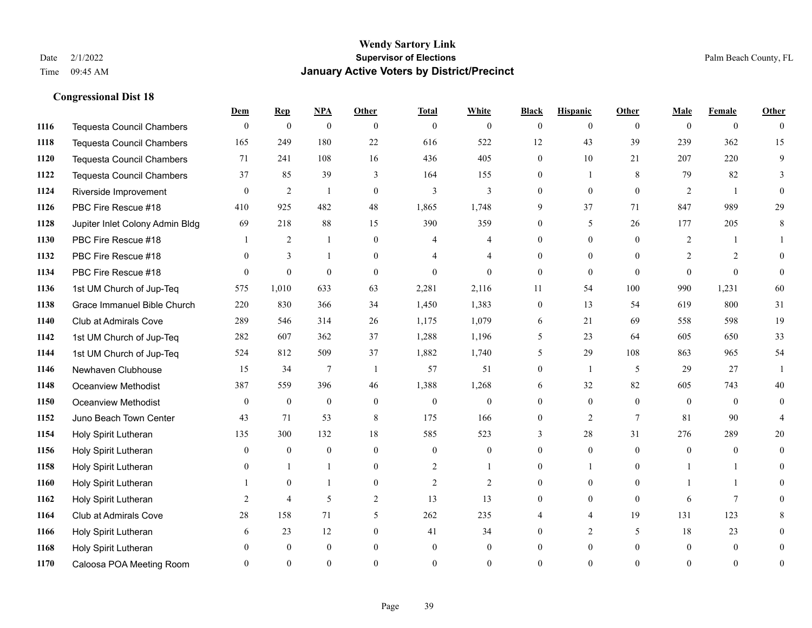|      |                                  | Dem            | <b>Rep</b>       | NPA              | <b>Other</b>   | <b>Total</b>   | <b>White</b>   | <b>Black</b>   | <b>Hispanic</b> | <b>Other</b> | <b>Male</b>    | <b>Female</b>  | <b>Other</b>   |
|------|----------------------------------|----------------|------------------|------------------|----------------|----------------|----------------|----------------|-----------------|--------------|----------------|----------------|----------------|
| 1116 | <b>Tequesta Council Chambers</b> | $\mathbf{0}$   | $\boldsymbol{0}$ | $\boldsymbol{0}$ | $\theta$       | $\mathbf{0}$   | $\overline{0}$ | $\overline{0}$ | $\overline{0}$  | $\theta$     | $\theta$       | $\overline{0}$ | $\theta$       |
| 1118 | Tequesta Council Chambers        | 165            | 249              | 180              | 22             | 616            | 522            | 12             | 43              | 39           | 239            | 362            | 15             |
| 1120 | <b>Tequesta Council Chambers</b> | 71             | 241              | 108              | 16             | 436            | 405            | $\Omega$       | 10              | 21           | 207            | 220            | 9              |
| 1122 | Tequesta Council Chambers        | 37             | 85               | 39               | 3              | 164            | 155            | 0              | 1               | 8            | 79             | 82             | 3              |
| 1124 | Riverside Improvement            | $\theta$       | 2                | $\overline{1}$   | $\theta$       | 3              | 3              | $\theta$       | $\theta$        | $\theta$     | 2              | $\overline{1}$ | 0              |
| 1126 | PBC Fire Rescue #18              | 410            | 925              | 482              | 48             | 1,865          | 1,748          | 9              | 37              | 71           | 847            | 989            | 29             |
| 1128 | Jupiter Inlet Colony Admin Bldg  | 69             | 218              | 88               | 15             | 390            | 359            | $\overline{0}$ | 5               | 26           | 177            | 205            | 8              |
| 1130 | PBC Fire Rescue #18              |                | 2                | $\mathbf{1}$     | $\Omega$       | 4              | 4              | $\theta$       | $\overline{0}$  | $\Omega$     | 2              |                |                |
| 1132 | PBC Fire Rescue #18              | $\theta$       | $\overline{3}$   |                  | $\overline{0}$ |                | 4              | 0              | $\overline{0}$  | $\Omega$     | $\overline{2}$ | 2              | $\Omega$       |
| 1134 | PBC Fire Rescue #18              | $\theta$       | $\overline{0}$   | $\theta$         | $\theta$       | $\theta$       | $\overline{0}$ | $\overline{0}$ | $\overline{0}$  | $\theta$     | $\Omega$       | $\theta$       | $\theta$       |
| 1136 | 1st UM Church of Jup-Teq         | 575            | 1,010            | 633              | 63             | 2,281          | 2,116          | 11             | 54              | 100          | 990            | 1,231          | 60             |
| 1138 | Grace Immanuel Bible Church      | 220            | 830              | 366              | 34             | 1,450          | 1,383          | $\overline{0}$ | 13              | 54           | 619            | 800            | 31             |
| 1140 | Club at Admirals Cove            | 289            | 546              | 314              | 26             | 1,175          | 1,079          | 6              | 21              | 69           | 558            | 598            | 19             |
| 1142 | 1st UM Church of Jup-Teq         | 282            | 607              | 362              | 37             | 1,288          | 1,196          | 5              | 23              | 64           | 605            | 650            | 33             |
| 1144 | 1st UM Church of Jup-Teq         | 524            | 812              | 509              | 37             | 1,882          | 1,740          | 5              | 29              | 108          | 863            | 965            | 54             |
| 1146 | Newhaven Clubhouse               | 15             | 34               | 7                | $\overline{1}$ | 57             | 51             | $\overline{0}$ | $\mathbf{1}$    | 5            | 29             | 27             | $\mathbf{1}$   |
| 1148 | <b>Oceanview Methodist</b>       | 387            | 559              | 396              | 46             | 1,388          | 1,268          | 6              | 32              | 82           | 605            | 743            | 40             |
| 1150 | Oceanview Methodist              | $\theta$       | $\mathbf{0}$     | $\boldsymbol{0}$ | $\overline{0}$ | $\mathbf{0}$   | 0              | 0              | $\overline{0}$  | $\theta$     | $\theta$       | $\theta$       | $\theta$       |
| 1152 | Juno Beach Town Center           | 43             | 71               | 53               | 8              | 175            | 166            | $\overline{0}$ | $\overline{2}$  | $\tau$       | 81             | 90             | $\overline{4}$ |
| 1154 | Holy Spirit Lutheran             | 135            | 300              | 132              | 18             | 585            | 523            | 3              | 28              | 31           | 276            | 289            | 20             |
| 1156 | Holy Spirit Lutheran             | $\theta$       | $\overline{0}$   | $\theta$         | $\theta$       | $\theta$       | $\theta$       | $\Omega$       | $\Omega$        | $\Omega$     | $\Omega$       | $\Omega$       | $\Omega$       |
| 1158 | Holy Spirit Lutheran             | $\overline{0}$ | $\mathbf{1}$     |                  | $\overline{0}$ | $\overline{c}$ | $\mathbf{1}$   | 0              | 1               | $\theta$     |                |                | 0              |
| 1160 | Holy Spirit Lutheran             |                | $\mathbf{0}$     |                  | $\overline{0}$ | $\overline{2}$ | $\overline{2}$ | 0              | $\overline{0}$  | $\theta$     |                |                | 0              |
| 1162 | Holy Spirit Lutheran             | 2              | $\overline{4}$   | 5                | $\overline{2}$ | 13             | 13             | $\theta$       | $\Omega$        | $\theta$     | 6              | $\tau$         | 0              |
| 1164 | Club at Admirals Cove            | $28\,$         | 158              | 71               | 5              | 262            | 235            |                | $\overline{4}$  | 19           | 131            | 123            | 8              |
| 1166 | Holy Spirit Lutheran             | 6              | 23               | 12               | $\overline{0}$ | 41             | 34             | 0              | 2               | 5            | 18             | 23             | 0              |
| 1168 | Holy Spirit Lutheran             | $\Omega$       | $\mathbf{0}$     | $\mathbf{0}$     | $\theta$       | $\theta$       | $\overline{0}$ | $\theta$       | $\overline{0}$  | $\theta$     | $\theta$       | $\overline{0}$ | 0              |
| 1170 | Caloosa POA Meeting Room         | $\Omega$       | $\Omega$         | $\Omega$         | $\Omega$       | $\Omega$       | $\Omega$       | $\Omega$       | $\Omega$        | $\Omega$     | $\Omega$       | $\Omega$       | $\overline{0}$ |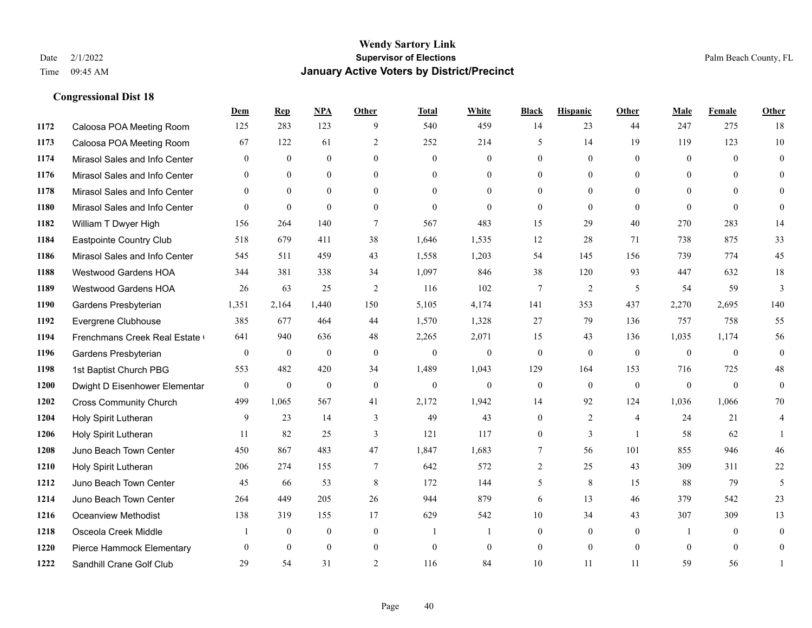**Congressional Dist 18**

#### **Wendy Sartory Link** Date 2/1/2022 **Supervisor of Elections** Palm Beach County, FL Time 09:45 AM **January Active Voters by District/Precinct**

# **Dem Rep NPA Other Total White Black Hispanic Other Male Female Other** Caloosa POA Meeting Room 125 283 123 9 540 459 14 23 44 247 275 18 Caloosa POA Meeting Room 67 122 61 2 252 214 5 14 19 119 123 10 Mirasol Sales and Info Center 0 0 0 0 0 0 0 0 0 0 0 0 Mirasol Sales and Info Center 0 0 0 0 0 0 0 0 0 0 0 0 Mirasol Sales and Info Center 0 0 0 0 0 0 0 0 0 0 0 0 Mirasol Sales and Info Center 0 0 0 0 0 0 0 0 0 0 0 0 William T Dwyer High 156 264 140 7 567 483 15 29 40 270 283 14 Eastpointe Country Club 518 679 411 38 1,646 1,535 12 28 71 738 875 33 Mirasol Sales and Info Center 545 511 459 43 1,558 1,203 54 145 156 739 774 45 Westwood Gardens HOA 344 381 338 34 1,097 846 38 120 93 447 632 18 Westwood Gardens HOA 26 63 25 2 116 102 7 2 5 54 59 3 Gardens Presbyterian 1,351 2,164 1,440 150 5,105 4,174 141 353 437 2,270 2,695 140 Evergrene Clubhouse 385 677 464 44 1,570 1,328 27 79 136 757 758 55 Frenchmans Creek Real Estate 641 940 636 48 2,265 2,071 15 43 136 1,035 1,174 56 Gardens Presbyterian 0 0 0 0 0 0 0 0 0 0 0 0 1st Baptist Church PBG 553 482 420 34 1,489 1,043 129 164 153 716 725 48 Dwight D Eisenhower Elementary 0 0 0 0 0 0 0 0 0 0 0 0 Cross Community Church 499 1,065 567 41 2,172 1,942 14 92 124 1,036 1,066 70 Holy Spirit Lutheran 9 23 14 3 49 43 0 2 4 24 21 4 Holy Spirit Lutheran **11** 82 25 3 121 117 0 3 1 58 62 1 Juno Beach Town Center 450 867 483 47 1,847 1,683 7 56 101 855 946 46 Holy Spirit Lutheran 206 274 155 7 642 572 2 25 43 309 311 22 1212 Juno Beach Town Center 45 66 53 8 172 144 5 8 15 88 79 5 Juno Beach Town Center 264 449 205 26 944 879 6 13 46 379 542 23 Oceanview Methodist 138 319 155 17 629 542 10 34 43 307 309 13 Osceola Creek Middle  $\begin{array}{cccccccc} 1 & 0 & 0 & 0 & 1 & 1 & 0 & 0 & 0 \end{array}$  Pierce Hammock Elementary 0 0 0 0 0 0 0 0 0 0 0 0 Sandhill Crane Golf Club 29 54 31 2 116 84 10 11 11 59 56 1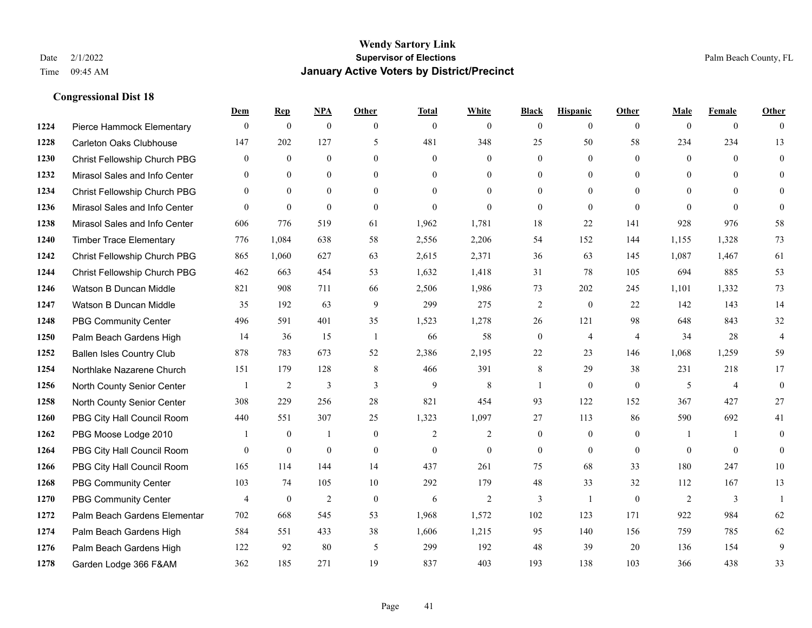**Congressional Dist 18**

#### **Wendy Sartory Link** Date 2/1/2022 **Supervisor of Elections** Palm Beach County, FL Time 09:45 AM **January Active Voters by District/Precinct**

# **Dem Rep NPA Other Total White Black Hispanic Other Male Female Other** Pierce Hammock Elementary 0 0 0 0 0 0 0 0 0 0 0 0 Carleton Oaks Clubhouse 147 202 127 5 481 348 25 50 58 234 234 13 Christ Fellowship Church PBG 0 0 0 0 0 0 0 0 0 0 0 0 Mirasol Sales and Info Center 0 0 0 0 0 0 0 0 0 0 0 0 Christ Fellowship Church PBG 0 0 0 0 0 0 0 0 0 0 0 0 Mirasol Sales and Info Center 0 0 0 0 0 0 0 0 0 0 0 0 Mirasol Sales and Info Center 606 776 519 61 1,962 1,781 18 22 141 928 976 58 Timber Trace Elementary 776 1,084 638 58 2,556 2,206 54 152 144 1,155 1,328 73 Christ Fellowship Church PBG 865 1,060 627 63 2,615 2,371 36 63 145 1,087 1,467 61 Christ Fellowship Church PBG 462 663 454 53 1,632 1,418 31 78 105 694 885 53 Watson B Duncan Middle 821 908 711 66 2,506 1,986 73 202 245 1,101 1,332 73 Watson B Duncan Middle 35 192 63 9 299 275 2 0 22 142 143 14 PBG Community Center 496 591 401 35 1,523 1,278 26 121 98 648 843 32 Palm Beach Gardens High 14 36 15 1 66 58 0 4 4 34 28 4 Ballen Isles Country Club 878 783 673 52 2,386 2,195 22 23 146 1,068 1,259 59 Northlake Nazarene Church 151 179 128 8 466 391 8 29 38 231 218 17 North County Senior Center 1 2 3 3 3 9 8 1 0 0 5 4 0 North County Senior Center 308 229 256 28 821 454 93 122 152 367 427 27 PBG City Hall Council Room 440 551 307 25 1,323 1,097 27 113 86 590 692 41 PBG Moose Lodge 2010 1 0 1 0 1 0 2 2 0 0 0 1 1 0 PBG City Hall Council Room 0 0 0 0 0 0 0 0 0 0 0 0 PBG City Hall Council Room 165 114 144 14 437 261 75 68 33 180 247 10 PBG Community Center 103 74 105 10 292 179 48 33 32 112 167 13 PBG Community Center  $\begin{array}{ccccccccccccc}\n4 & 0 & 2 & 0 & 6 & 2 & 3 & 1 & 0 & 2 & 3 & 1\n\end{array}$  Palm Beach Gardens Elementary 702 668 545 53 1,968 1,572 102 123 171 922 984 62 Palm Beach Gardens High 584 551 433 38 1,606 1,215 95 140 156 759 785 62 Palm Beach Gardens High 122 92 80 5 299 192 48 39 20 136 154 9 Garden Lodge 366 F&AM 362 185 271 19 837 403 193 138 103 366 438 33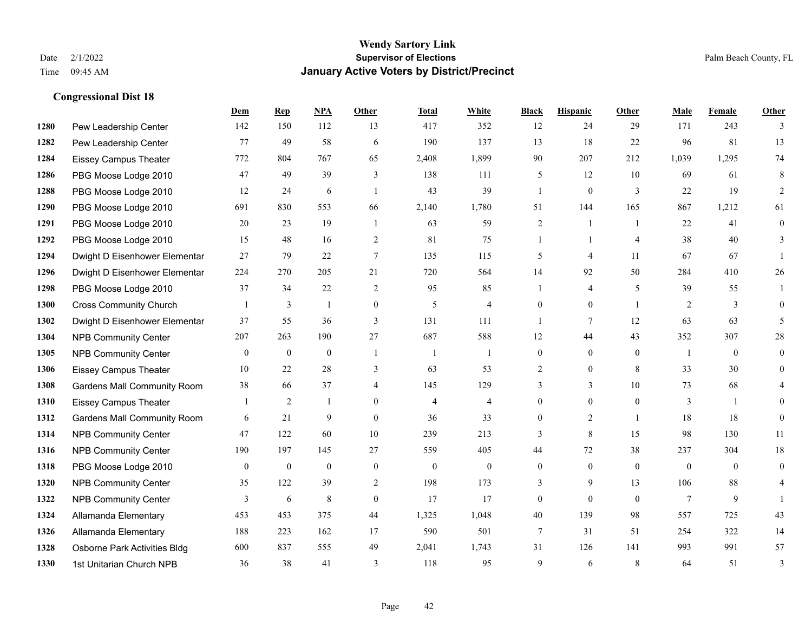|      |                                    | Dem          | <b>Rep</b>     | NPA          | <b>Other</b>   | <b>Total</b>   | <b>White</b>   | <b>Black</b>   | <b>Hispanic</b> | Other          | <b>Male</b>    | <b>Female</b> | <b>Other</b> |
|------|------------------------------------|--------------|----------------|--------------|----------------|----------------|----------------|----------------|-----------------|----------------|----------------|---------------|--------------|
| 1280 | Pew Leadership Center              | 142          | 150            | 112          | 13             | 417            | 352            | 12             | 24              | 29             | 171            | 243           | 3            |
| 1282 | Pew Leadership Center              | 77           | 49             | 58           | 6              | 190            | 137            | 13             | 18              | 22             | 96             | 81            | 13           |
| 1284 | <b>Eissey Campus Theater</b>       | 772          | 804            | 767          | 65             | 2,408          | 1,899          | 90             | 207             | 212            | 1,039          | 1,295         | 74           |
| 1286 | PBG Moose Lodge 2010               | 47           | 49             | 39           | 3              | 138            | 111            | 5              | 12              | 10             | 69             | 61            | 8            |
| 1288 | PBG Moose Lodge 2010               | 12           | 24             | 6            | $\overline{1}$ | 43             | 39             | 1              | $\mathbf{0}$    | 3              | 22             | 19            | 2            |
| 1290 | PBG Moose Lodge 2010               | 691          | 830            | 553          | 66             | 2,140          | 1,780          | 51             | 144             | 165            | 867            | 1,212         | 61           |
| 1291 | PBG Moose Lodge 2010               | 20           | 23             | 19           | $\mathbf{1}$   | 63             | 59             | $\overline{c}$ | 1               | $\overline{1}$ | 22             | 41            | $\mathbf{0}$ |
| 1292 | PBG Moose Lodge 2010               | 15           | 48             | 16           | 2              | 81             | 75             | $\mathbf{1}$   | $\mathbf{1}$    | $\overline{4}$ | 38             | 40            | 3            |
| 1294 | Dwight D Eisenhower Elementar      | 27           | 79             | $22\,$       | $\tau$         | 135            | 115            | 5              | 4               | 11             | 67             | 67            |              |
| 1296 | Dwight D Eisenhower Elementar      | 224          | 270            | 205          | 21             | 720            | 564            | 14             | 92              | 50             | 284            | 410           | 26           |
| 1298 | PBG Moose Lodge 2010               | 37           | 34             | 22           | 2              | 95             | 85             | 1              | 4               | 5              | 39             | 55            | 1            |
| 1300 | <b>Cross Community Church</b>      |              | 3              | 1            | $\mathbf{0}$   | 5              | $\overline{4}$ | $\overline{0}$ | $\overline{0}$  | $\overline{1}$ | 2              | 3             | $\theta$     |
| 1302 | Dwight D Eisenhower Elementar      | 37           | 55             | 36           | 3              | 131            | 111            | $\mathbf{1}$   | 7               | 12             | 63             | 63            | 5            |
| 1304 | <b>NPB Community Center</b>        | 207          | 263            | 190          | 27             | 687            | 588            | 12             | 44              | 43             | 352            | 307           | $28\,$       |
| 1305 | <b>NPB Community Center</b>        | $\mathbf{0}$ | $\mathbf{0}$   | $\mathbf{0}$ | $\overline{1}$ | -1             | 1              | $\overline{0}$ | $\overline{0}$  | $\theta$       | $\overline{1}$ | $\theta$      | $\mathbf{0}$ |
| 1306 | Eissey Campus Theater              | 10           | 22             | 28           | 3              | 63             | 53             | 2              | $\overline{0}$  | 8              | 33             | 30            | $\theta$     |
| 1308 | <b>Gardens Mall Community Room</b> | 38           | 66             | 37           | $\overline{4}$ | 145            | 129            | 3              | 3               | 10             | 73             | 68            | 4            |
| 1310 | <b>Eissey Campus Theater</b>       |              | $\overline{2}$ | -1           | $\theta$       | $\overline{4}$ | $\overline{4}$ | $\overline{0}$ | $\overline{0}$  | $\theta$       | 3              |               | $\Omega$     |
| 1312 | <b>Gardens Mall Community Room</b> | 6            | 21             | 9            | $\theta$       | 36             | 33             | $\overline{0}$ | $\overline{2}$  | $\overline{1}$ | 18             | 18            | $\theta$     |
| 1314 | <b>NPB Community Center</b>        | 47           | 122            | 60           | $10\,$         | 239            | 213            | 3              | 8               | 15             | 98             | 130           | 11           |
| 1316 | <b>NPB Community Center</b>        | 190          | 197            | 145          | 27             | 559            | 405            | 44             | 72              | 38             | 237            | 304           | $18\,$       |
| 1318 | PBG Moose Lodge 2010               | $\mathbf{0}$ | $\mathbf{0}$   | $\mathbf{0}$ | $\mathbf{0}$   | $\mathbf{0}$   | $\overline{0}$ | $\overline{0}$ | $\overline{0}$  | $\theta$       | $\mathbf{0}$   | $\theta$      | $\theta$     |
| 1320 | <b>NPB Community Center</b>        | 35           | 122            | 39           | 2              | 198            | 173            | 3              | 9               | 13             | 106            | 88            | 4            |
| 1322 | <b>NPB Community Center</b>        | 3            | 6              | $\,$ 8 $\,$  | $\mathbf{0}$   | 17             | 17             | 0              | $\overline{0}$  | $\theta$       | $\tau$         | 9             |              |
| 1324 | Allamanda Elementary               | 453          | 453            | 375          | 44             | 1,325          | 1,048          | 40             | 139             | 98             | 557            | 725           | 43           |
| 1326 | Allamanda Elementary               | 188          | 223            | 162          | 17             | 590            | 501            | 7              | 31              | 51             | 254            | 322           | 14           |
| 1328 | Osborne Park Activities Bldg       | 600          | 837            | 555          | 49             | 2,041          | 1,743          | 31             | 126             | 141            | 993            | 991           | 57           |
| 1330 | 1st Unitarian Church NPB           | 36           | 38             | 41           | 3              | 118            | 95             | 9              | 6               | 8              | 64             | 51            | 3            |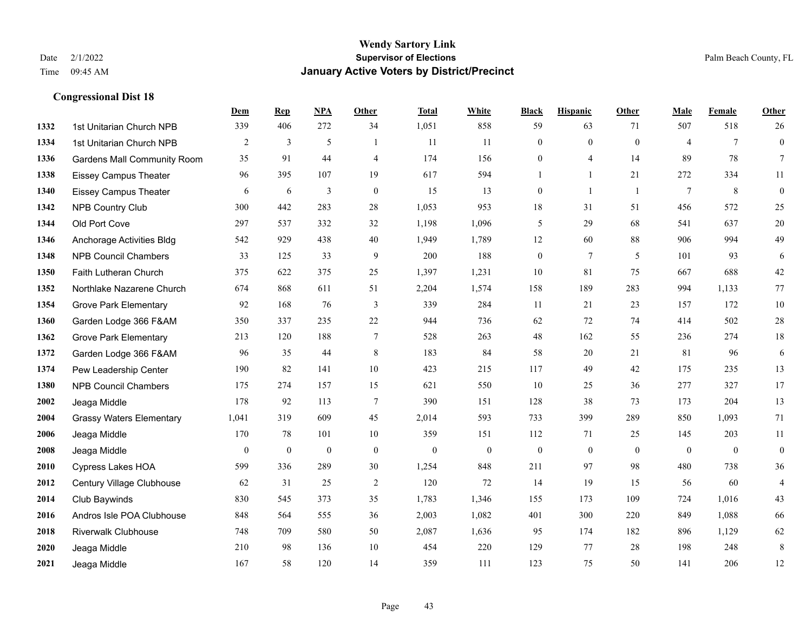|      |                                    | Dem          | <b>Rep</b>     | NPA            | <b>Other</b>   | <b>Total</b> | <b>White</b>   | <b>Black</b>     | <b>Hispanic</b> | <b>Other</b>   | <b>Male</b>    | <b>Female</b>   | <b>Other</b>     |
|------|------------------------------------|--------------|----------------|----------------|----------------|--------------|----------------|------------------|-----------------|----------------|----------------|-----------------|------------------|
| 1332 | 1st Unitarian Church NPB           | 339          | 406            | 272            | 34             | 1,051        | 858            | 59               | 63              | 71             | 507            | 518             | 26               |
| 1334 | 1st Unitarian Church NPB           | 2            | 3              | $\mathfrak{H}$ | $\overline{1}$ | 11           | 11             | $\mathbf{0}$     | $\mathbf{0}$    | $\theta$       | $\overline{4}$ | $7\phantom{.0}$ | $\boldsymbol{0}$ |
| 1336 | <b>Gardens Mall Community Room</b> | 35           | 91             | 44             | $\overline{4}$ | 174          | 156            | $\boldsymbol{0}$ | 4               | 14             | 89             | 78              | $7\phantom{.}$   |
| 1338 | <b>Eissey Campus Theater</b>       | 96           | 395            | 107            | 19             | 617          | 594            | $\mathbf{1}$     | $\mathbf{1}$    | 21             | 272            | 334             | 11               |
| 1340 | <b>Eissey Campus Theater</b>       | 6            | 6              | 3              | $\mathbf{0}$   | 15           | 13             | $\mathbf{0}$     | $\mathbf{1}$    | $\overline{1}$ | $\tau$         | 8               | $\boldsymbol{0}$ |
| 1342 | <b>NPB Country Club</b>            | 300          | 442            | 283            | $28\,$         | 1,053        | 953            | $18\,$           | 31              | 51             | 456            | 572             | $25\,$           |
| 1344 | Old Port Cove                      | 297          | 537            | 332            | 32             | 1,198        | 1,096          | 5                | 29              | 68             | 541            | 637             | $20\,$           |
| 1346 | Anchorage Activities Bldg          | 542          | 929            | 438            | 40             | 1,949        | 1,789          | 12               | 60              | 88             | 906            | 994             | 49               |
| 1348 | <b>NPB Council Chambers</b>        | 33           | 125            | 33             | 9              | 200          | 188            | $\boldsymbol{0}$ | $7\phantom{.0}$ | 5              | 101            | 93              | 6                |
| 1350 | Faith Lutheran Church              | 375          | 622            | 375            | 25             | 1,397        | 1,231          | 10               | 81              | 75             | 667            | 688             | $42\,$           |
| 1352 | Northlake Nazarene Church          | 674          | 868            | 611            | 51             | 2,204        | 1,574          | 158              | 189             | 283            | 994            | 1,133           | 77               |
| 1354 | <b>Grove Park Elementary</b>       | 92           | 168            | 76             | 3              | 339          | 284            | 11               | 21              | 23             | 157            | 172             | $10\,$           |
| 1360 | Garden Lodge 366 F&AM              | 350          | 337            | 235            | $22\,$         | 944          | 736            | 62               | 72              | 74             | 414            | 502             | $28\,$           |
| 1362 | <b>Grove Park Elementary</b>       | 213          | 120            | 188            | $\overline{7}$ | 528          | 263            | $48\,$           | 162             | 55             | 236            | 274             | $18\,$           |
| 1372 | Garden Lodge 366 F&AM              | 96           | 35             | 44             | 8              | 183          | 84             | 58               | 20              | 21             | 81             | 96              | $\sqrt{6}$       |
| 1374 | Pew Leadership Center              | 190          | 82             | 141            | 10             | 423          | 215            | 117              | 49              | 42             | 175            | 235             | 13               |
| 1380 | <b>NPB Council Chambers</b>        | 175          | 274            | 157            | 15             | 621          | 550            | 10               | 25              | 36             | 277            | 327             | 17               |
| 2002 | Jeaga Middle                       | 178          | 92             | 113            | $\overline{7}$ | 390          | 151            | 128              | 38              | 73             | 173            | 204             | 13               |
| 2004 | <b>Grassy Waters Elementary</b>    | 1,041        | 319            | 609            | 45             | 2,014        | 593            | 733              | 399             | 289            | 850            | 1,093           | 71               |
| 2006 | Jeaga Middle                       | 170          | 78             | 101            | 10             | 359          | 151            | 112              | 71              | 25             | 145            | 203             | 11               |
| 2008 | Jeaga Middle                       | $\mathbf{0}$ | $\overline{0}$ | $\mathbf{0}$   | $\mathbf{0}$   | $\mathbf{0}$ | $\overline{0}$ | $\mathbf{0}$     | $\mathbf{0}$    | $\theta$       | $\theta$       | $\mathbf{0}$    | $\boldsymbol{0}$ |
| 2010 | Cypress Lakes HOA                  | 599          | 336            | 289            | 30             | 1,254        | 848            | 211              | 97              | 98             | 480            | 738             | 36               |
| 2012 | Century Village Clubhouse          | 62           | 31             | 25             | 2              | 120          | 72             | 14               | 19              | 15             | 56             | 60              | $\overline{4}$   |
| 2014 | Club Baywinds                      | 830          | 545            | 373            | 35             | 1,783        | 1,346          | 155              | 173             | 109            | 724            | 1,016           | 43               |
| 2016 | Andros Isle POA Clubhouse          | 848          | 564            | 555            | 36             | 2,003        | 1,082          | 401              | 300             | 220            | 849            | 1,088           | 66               |
| 2018 | <b>Riverwalk Clubhouse</b>         | 748          | 709            | 580            | 50             | 2,087        | 1,636          | 95               | 174             | 182            | 896            | 1,129           | 62               |
| 2020 | Jeaga Middle                       | 210          | 98             | 136            | 10             | 454          | 220            | 129              | 77              | 28             | 198            | 248             | $\,8\,$          |
| 2021 | Jeaga Middle                       | 167          | 58             | 120            | 14             | 359          | 111            | 123              | 75              | 50             | 141            | 206             | 12               |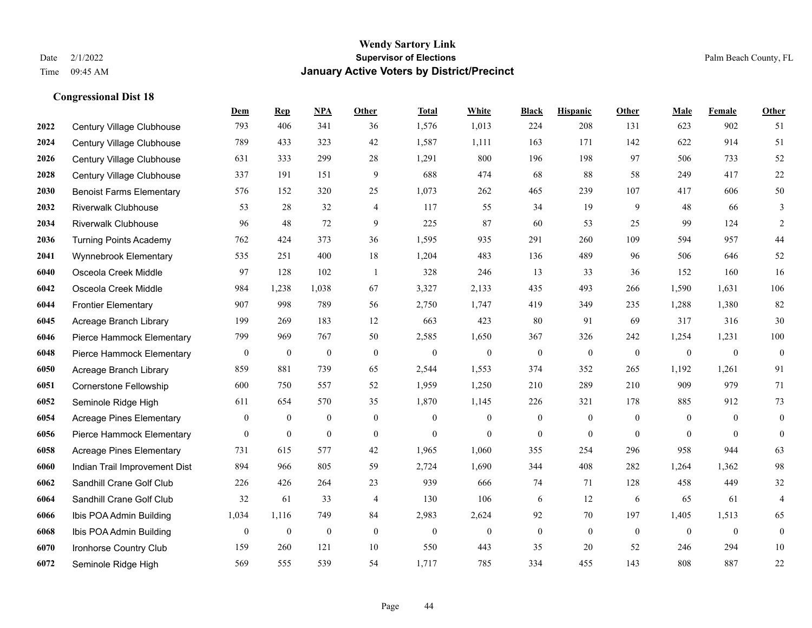|      |                                 | Dem              | <b>Rep</b>       | NPA              | <b>Other</b>     | <b>Total</b>     | White            | <b>Black</b>     | <b>Hispanic</b>  | <b>Other</b>     | <b>Male</b>  | Female           | <b>Other</b>     |
|------|---------------------------------|------------------|------------------|------------------|------------------|------------------|------------------|------------------|------------------|------------------|--------------|------------------|------------------|
| 2022 | Century Village Clubhouse       | 793              | 406              | 341              | 36               | 1,576            | 1,013            | 224              | 208              | 131              | 623          | 902              | 51               |
| 2024 | Century Village Clubhouse       | 789              | 433              | 323              | 42               | 1,587            | 1,111            | 163              | 171              | 142              | 622          | 914              | 51               |
| 2026 | Century Village Clubhouse       | 631              | 333              | 299              | 28               | 1,291            | 800              | 196              | 198              | 97               | 506          | 733              | 52               |
| 2028 | Century Village Clubhouse       | 337              | 191              | 151              | 9                | 688              | 474              | 68               | 88               | 58               | 249          | 417              | 22               |
| 2030 | <b>Benoist Farms Elementary</b> | 576              | 152              | 320              | 25               | 1,073            | 262              | 465              | 239              | 107              | 417          | 606              | 50               |
| 2032 | <b>Riverwalk Clubhouse</b>      | 53               | 28               | 32               | $\overline{4}$   | 117              | 55               | 34               | 19               | 9                | 48           | 66               | 3                |
| 2034 | <b>Riverwalk Clubhouse</b>      | 96               | 48               | 72               | 9                | 225              | 87               | 60               | 53               | 25               | 99           | 124              | $\sqrt{2}$       |
| 2036 | <b>Turning Points Academy</b>   | 762              | 424              | 373              | 36               | 1,595            | 935              | 291              | 260              | 109              | 594          | 957              | 44               |
| 2041 | Wynnebrook Elementary           | 535              | 251              | 400              | 18               | 1,204            | 483              | 136              | 489              | 96               | 506          | 646              | 52               |
| 6040 | Osceola Creek Middle            | 97               | 128              | 102              | -1               | 328              | 246              | 13               | 33               | 36               | 152          | 160              | 16               |
| 6042 | Osceola Creek Middle            | 984              | 1,238            | 1,038            | 67               | 3,327            | 2,133            | 435              | 493              | 266              | 1,590        | 1,631            | 106              |
| 6044 | <b>Frontier Elementary</b>      | 907              | 998              | 789              | 56               | 2,750            | 1,747            | 419              | 349              | 235              | 1,288        | 1,380            | 82               |
| 6045 | Acreage Branch Library          | 199              | 269              | 183              | 12               | 663              | 423              | 80               | 91               | 69               | 317          | 316              | 30               |
| 6046 | Pierce Hammock Elementary       | 799              | 969              | 767              | 50               | 2,585            | 1,650            | 367              | 326              | 242              | 1,254        | 1,231            | 100              |
| 6048 | Pierce Hammock Elementary       | $\boldsymbol{0}$ | $\bf{0}$         | $\boldsymbol{0}$ | $\mathbf{0}$     | $\mathbf{0}$     | $\boldsymbol{0}$ | $\boldsymbol{0}$ | $\boldsymbol{0}$ | $\overline{0}$   | $\mathbf{0}$ | $\mathbf{0}$     | $\boldsymbol{0}$ |
| 6050 | Acreage Branch Library          | 859              | 881              | 739              | 65               | 2,544            | 1,553            | 374              | 352              | 265              | 1,192        | 1,261            | 91               |
| 6051 | Cornerstone Fellowship          | 600              | 750              | 557              | 52               | 1,959            | 1,250            | 210              | 289              | 210              | 909          | 979              | 71               |
| 6052 | Seminole Ridge High             | 611              | 654              | 570              | 35               | 1,870            | 1,145            | 226              | 321              | 178              | 885          | 912              | 73               |
| 6054 | <b>Acreage Pines Elementary</b> | $\boldsymbol{0}$ | $\boldsymbol{0}$ | $\boldsymbol{0}$ | $\boldsymbol{0}$ | $\mathbf{0}$     | $\boldsymbol{0}$ | $\boldsymbol{0}$ | $\boldsymbol{0}$ | $\boldsymbol{0}$ | $\mathbf{0}$ | $\mathbf{0}$     | $\boldsymbol{0}$ |
| 6056 | Pierce Hammock Elementary       | $\mathbf{0}$     | $\mathbf{0}$     | $\mathbf{0}$     | $\mathbf{0}$     | $\theta$         | $\mathbf{0}$     | $\mathbf{0}$     | $\mathbf{0}$     | $\theta$         | $\theta$     | $\theta$         | $\mathbf{0}$     |
| 6058 | <b>Acreage Pines Elementary</b> | 731              | 615              | 577              | 42               | 1,965            | 1,060            | 355              | 254              | 296              | 958          | 944              | 63               |
| 6060 | Indian Trail Improvement Dist   | 894              | 966              | 805              | 59               | 2,724            | 1,690            | 344              | 408              | 282              | 1,264        | 1,362            | 98               |
| 6062 | Sandhill Crane Golf Club        | 226              | 426              | 264              | 23               | 939              | 666              | 74               | 71               | 128              | 458          | 449              | $32\,$           |
| 6064 | Sandhill Crane Golf Club        | 32               | 61               | 33               | $\overline{4}$   | 130              | 106              | 6                | 12               | 6                | 65           | 61               | $\overline{4}$   |
| 6066 | Ibis POA Admin Building         | 1,034            | 1,116            | 749              | 84               | 2,983            | 2,624            | 92               | 70               | 197              | 1,405        | 1,513            | 65               |
| 6068 | Ibis POA Admin Building         | $\mathbf{0}$     | $\boldsymbol{0}$ | $\boldsymbol{0}$ | $\boldsymbol{0}$ | $\boldsymbol{0}$ | $\boldsymbol{0}$ | $\boldsymbol{0}$ | $\mathbf{0}$     | $\overline{0}$   | $\mathbf{0}$ | $\boldsymbol{0}$ | $\boldsymbol{0}$ |
| 6070 | Ironhorse Country Club          | 159              | 260              | 121              | 10               | 550              | 443              | 35               | 20               | 52               | 246          | 294              | $10\,$           |
| 6072 | Seminole Ridge High             | 569              | 555              | 539              | 54               | 1,717            | 785              | 334              | 455              | 143              | 808          | 887              | 22               |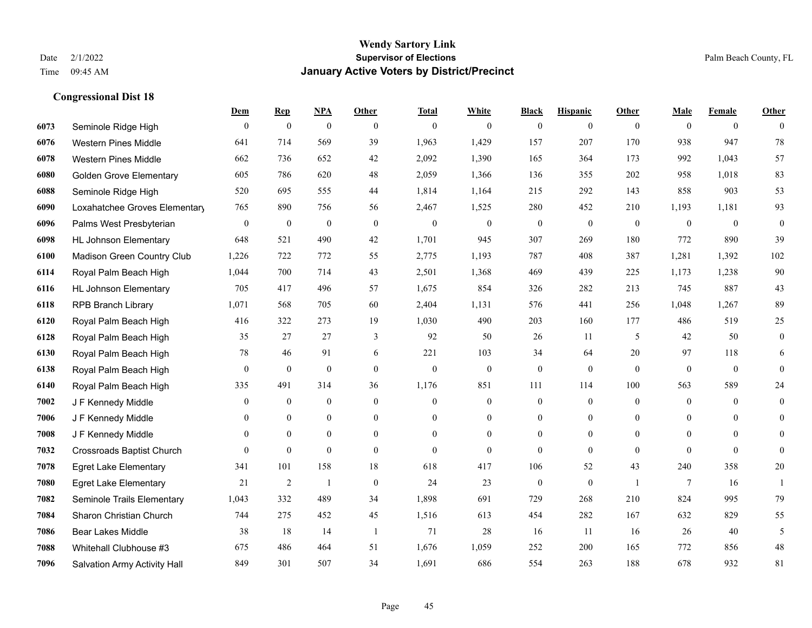|      |                                  | Dem              | <b>Rep</b>       | NPA              | <b>Other</b>   | <b>Total</b> | <b>White</b>     | <b>Black</b>     | <b>Hispanic</b>  | <b>Other</b>   | <b>Male</b>  | <b>Female</b>  | <b>Other</b>     |
|------|----------------------------------|------------------|------------------|------------------|----------------|--------------|------------------|------------------|------------------|----------------|--------------|----------------|------------------|
| 6073 | Seminole Ridge High              | $\mathbf{0}$     | $\mathbf{0}$     | $\boldsymbol{0}$ | $\theta$       | $\theta$     | $\overline{0}$   | $\mathbf{0}$     | $\mathbf{0}$     | $\theta$       | $\mathbf{0}$ | $\overline{0}$ | $\theta$         |
| 6076 | <b>Western Pines Middle</b>      | 641              | 714              | 569              | 39             | 1,963        | 1,429            | 157              | 207              | 170            | 938          | 947            | 78               |
| 6078 | <b>Western Pines Middle</b>      | 662              | 736              | 652              | 42             | 2,092        | 1,390            | 165              | 364              | 173            | 992          | 1,043          | 57               |
| 6080 | <b>Golden Grove Elementary</b>   | 605              | 786              | 620              | 48             | 2,059        | 1,366            | 136              | 355              | 202            | 958          | 1,018          | 83               |
| 6088 | Seminole Ridge High              | 520              | 695              | 555              | 44             | 1,814        | 1,164            | 215              | 292              | 143            | 858          | 903            | 53               |
| 6090 | Loxahatchee Groves Elementary    | 765              | 890              | 756              | 56             | 2,467        | 1,525            | 280              | 452              | 210            | 1,193        | 1,181          | 93               |
| 6096 | Palms West Presbyterian          | $\boldsymbol{0}$ | $\boldsymbol{0}$ | $\boldsymbol{0}$ | $\mathbf{0}$   | $\theta$     | $\mathbf{0}$     | $\boldsymbol{0}$ | $\mathbf{0}$     | $\mathbf{0}$   | $\mathbf{0}$ | $\mathbf{0}$   | $\boldsymbol{0}$ |
| 6098 | <b>HL Johnson Elementary</b>     | 648              | 521              | 490              | 42             | 1,701        | 945              | 307              | 269              | 180            | 772          | 890            | 39               |
| 6100 | Madison Green Country Club       | 1,226            | 722              | 772              | 55             | 2,775        | 1,193            | 787              | 408              | 387            | 1,281        | 1,392          | 102              |
| 6114 | Royal Palm Beach High            | 1,044            | 700              | 714              | 43             | 2,501        | 1,368            | 469              | 439              | 225            | 1,173        | 1,238          | 90               |
| 6116 | <b>HL Johnson Elementary</b>     | 705              | 417              | 496              | 57             | 1,675        | 854              | 326              | 282              | 213            | 745          | 887            | 43               |
| 6118 | <b>RPB Branch Library</b>        | 1,071            | 568              | 705              | 60             | 2,404        | 1,131            | 576              | 441              | 256            | 1,048        | 1,267          | 89               |
| 6120 | Royal Palm Beach High            | 416              | 322              | 273              | 19             | 1,030        | 490              | 203              | 160              | 177            | 486          | 519            | 25               |
| 6128 | Royal Palm Beach High            | 35               | 27               | 27               | 3              | 92           | 50               | 26               | 11               | 5              | 42           | 50             | $\boldsymbol{0}$ |
| 6130 | Royal Palm Beach High            | 78               | 46               | 91               | 6              | 221          | 103              | 34               | 64               | 20             | 97           | 118            | 6                |
| 6138 | Royal Palm Beach High            | $\mathbf{0}$     | $\mathbf{0}$     | $\mathbf{0}$     | $\theta$       | $\mathbf{0}$ | $\overline{0}$   | $\mathbf{0}$     | $\mathbf{0}$     | $\theta$       | $\mathbf{0}$ | $\mathbf{0}$   | $\theta$         |
| 6140 | Royal Palm Beach High            | 335              | 491              | 314              | 36             | 1,176        | 851              | 111              | 114              | 100            | 563          | 589            | $24\,$           |
| 7002 | J F Kennedy Middle               | $\mathbf{0}$     | $\overline{0}$   | $\mathbf{0}$     | $\theta$       | $\theta$     | $\overline{0}$   | $\boldsymbol{0}$ | $\mathbf{0}$     | $\theta$       | $\theta$     | $\theta$       | $\overline{0}$   |
| 7006 | J F Kennedy Middle               | $\mathbf{0}$     | $\mathbf{0}$     | $\mathbf{0}$     | $\overline{0}$ | $\theta$     | $\overline{0}$   | $\overline{0}$   | $\mathbf{0}$     | $\theta$       | $\mathbf{0}$ | $\theta$       | $\theta$         |
| 7008 | J F Kennedy Middle               | $\mathbf{0}$     | $\mathbf{0}$     | $\mathbf{0}$     | $\overline{0}$ | $\mathbf{0}$ | $\boldsymbol{0}$ | $\boldsymbol{0}$ | $\boldsymbol{0}$ | $\overline{0}$ | $\mathbf{0}$ | $\mathbf{0}$   | $\mathbf{0}$     |
| 7032 | <b>Crossroads Baptist Church</b> | $\theta$         | $\mathbf{0}$     | $\mathbf{0}$     | $\theta$       | $\Omega$     | $\Omega$         | $\mathbf{0}$     | $\theta$         | $\theta$       | $\theta$     | $\theta$       | $\theta$         |
| 7078 | <b>Egret Lake Elementary</b>     | 341              | 101              | 158              | 18             | 618          | 417              | 106              | 52               | 43             | 240          | 358            | $20\,$           |
| 7080 | <b>Egret Lake Elementary</b>     | 21               | 2                | -1               | $\mathbf{0}$   | 24           | 23               | $\boldsymbol{0}$ | $\mathbf{0}$     | $\overline{1}$ | 7            | 16             | -1               |
| 7082 | Seminole Trails Elementary       | 1,043            | 332              | 489              | 34             | 1,898        | 691              | 729              | 268              | 210            | 824          | 995            | 79               |
| 7084 | Sharon Christian Church          | 744              | 275              | 452              | 45             | 1,516        | 613              | 454              | 282              | 167            | 632          | 829            | 55               |
| 7086 | <b>Bear Lakes Middle</b>         | 38               | 18               | 14               | -1             | 71           | 28               | 16               | 11               | 16             | 26           | 40             | 5                |
| 7088 | Whitehall Clubhouse #3           | 675              | 486              | 464              | 51             | 1,676        | 1,059            | 252              | 200              | 165            | 772          | 856            | $48\,$           |
| 7096 | Salvation Army Activity Hall     | 849              | 301              | 507              | 34             | 1,691        | 686              | 554              | 263              | 188            | 678          | 932            | 81               |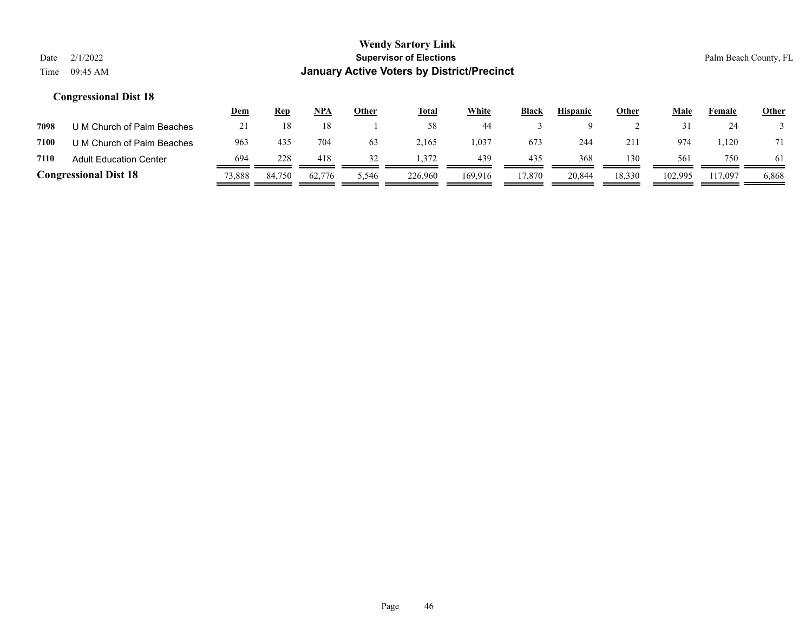|      |                               | <u>Dem</u> | <b>Rep</b> | NPA    | Other | <b>Total</b> | <u>White</u> | Black  | <b>Hispanic</b> | <b>Other</b> | Male    | Female  | <b>Other</b> |
|------|-------------------------------|------------|------------|--------|-------|--------------|--------------|--------|-----------------|--------------|---------|---------|--------------|
| 7098 | U M Church of Palm Beaches    | 21         |            |        |       | 58           | 44           |        |                 |              |         | 24      |              |
| 7100 | U M Church of Palm Beaches    | 963        | 435        | 704    | 63    | 2,165        | .037         | 673    | 244             | 211          | 974     | .120    | 71           |
| 7110 | <b>Adult Education Center</b> | 694        | 228        | 418    | 32    | 1.372        | 439          | 435    | 368             | 130          | 561     | 750     | 61           |
|      | <b>Congressional Dist 18</b>  | 73,888     | 84.750     | 62,776 | 5,546 | 226,960      | 169.916      | 17.870 | 20,844          | 18,330       | 102,995 | 117.097 | 6,868        |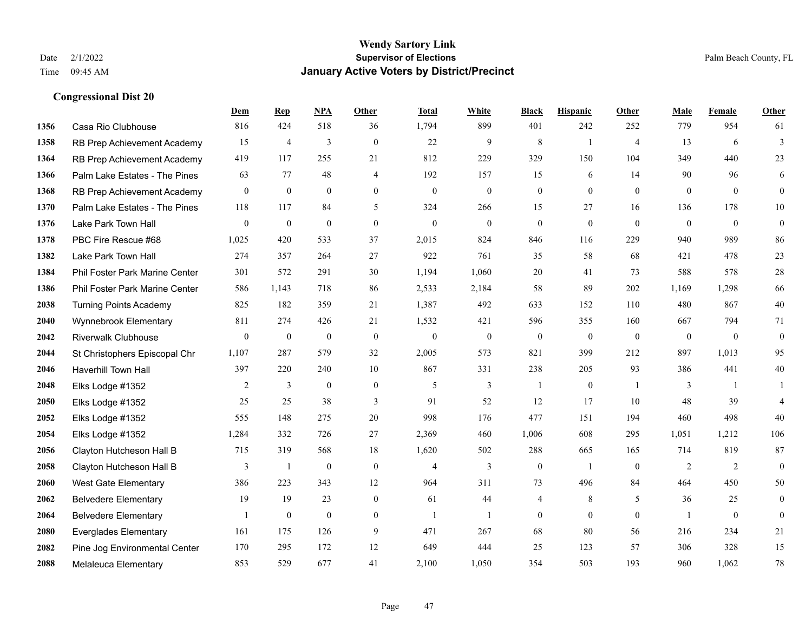|      |                                | Dem          | <b>Rep</b>       | NPA              | <b>Other</b>   | <b>Total</b>     | <b>White</b>     | <b>Black</b>     | <b>Hispanic</b>  | <b>Other</b>   | <b>Male</b>      | Female       | <b>Other</b>     |
|------|--------------------------------|--------------|------------------|------------------|----------------|------------------|------------------|------------------|------------------|----------------|------------------|--------------|------------------|
| 1356 | Casa Rio Clubhouse             | 816          | 424              | 518              | 36             | 1,794            | 899              | 401              | 242              | 252            | 779              | 954          | 61               |
| 1358 | RB Prep Achievement Academy    | 15           | $\overline{4}$   | 3                | $\theta$       | 22               | 9                | 8                | 1                | $\overline{4}$ | 13               | 6            | $\overline{3}$   |
| 1364 | RB Prep Achievement Academy    | 419          | 117              | 255              | 21             | 812              | 229              | 329              | 150              | 104            | 349              | 440          | 23               |
| 1366 | Palm Lake Estates - The Pines  | 63           | 77               | 48               | $\overline{4}$ | 192              | 157              | 15               | 6                | 14             | 90               | 96           | 6                |
| 1368 | RB Prep Achievement Academy    | $\mathbf{0}$ | $\mathbf{0}$     | $\mathbf{0}$     | $\theta$       | $\theta$         | $\overline{0}$   | $\boldsymbol{0}$ | $\mathbf{0}$     | $\theta$       | $\mathbf{0}$     | $\theta$     | $\mathbf{0}$     |
| 1370 | Palm Lake Estates - The Pines  | 118          | 117              | 84               | 5              | 324              | 266              | 15               | 27               | 16             | 136              | 178          | 10               |
| 1376 | Lake Park Town Hall            | $\mathbf{0}$ | $\boldsymbol{0}$ | $\mathbf{0}$     | $\overline{0}$ | $\mathbf{0}$     | $\boldsymbol{0}$ | $\boldsymbol{0}$ | $\mathbf{0}$     | $\mathbf{0}$   | $\mathbf{0}$     | $\mathbf{0}$ | $\boldsymbol{0}$ |
| 1378 | PBC Fire Rescue #68            | 1,025        | 420              | 533              | 37             | 2,015            | 824              | 846              | 116              | 229            | 940              | 989          | 86               |
| 1382 | Lake Park Town Hall            | 274          | 357              | 264              | 27             | 922              | 761              | 35               | 58               | 68             | 421              | 478          | 23               |
| 1384 | Phil Foster Park Marine Center | 301          | 572              | 291              | 30             | 1,194            | 1,060            | 20               | 41               | 73             | 588              | 578          | $28\,$           |
| 1386 | Phil Foster Park Marine Center | 586          | 1,143            | 718              | 86             | 2,533            | 2,184            | 58               | 89               | 202            | 1,169            | 1,298        | 66               |
| 2038 | <b>Turning Points Academy</b>  | 825          | 182              | 359              | 21             | 1,387            | 492              | 633              | 152              | 110            | 480              | 867          | $40\,$           |
| 2040 | Wynnebrook Elementary          | 811          | 274              | 426              | 21             | 1,532            | 421              | 596              | 355              | 160            | 667              | 794          | 71               |
| 2042 | <b>Riverwalk Clubhouse</b>     | $\mathbf{0}$ | $\boldsymbol{0}$ | $\boldsymbol{0}$ | $\mathbf{0}$   | $\boldsymbol{0}$ | $\boldsymbol{0}$ | $\boldsymbol{0}$ | $\boldsymbol{0}$ | $\mathbf{0}$   | $\boldsymbol{0}$ | $\mathbf{0}$ | $\boldsymbol{0}$ |
| 2044 | St Christophers Episcopal Chr  | 1,107        | 287              | 579              | 32             | 2,005            | 573              | 821              | 399              | 212            | 897              | 1,013        | 95               |
| 2046 | Haverhill Town Hall            | 397          | 220              | 240              | 10             | 867              | 331              | 238              | 205              | 93             | 386              | 441          | 40               |
| 2048 | Elks Lodge #1352               | 2            | 3                | $\mathbf{0}$     | $\overline{0}$ | 5                | 3                | $\mathbf{1}$     | $\mathbf{0}$     | $\overline{1}$ | 3                | $\mathbf{1}$ | 1                |
| 2050 | Elks Lodge #1352               | 25           | 25               | 38               | 3              | 91               | 52               | 12               | 17               | 10             | 48               | 39           | 4                |
| 2052 | Elks Lodge #1352               | 555          | 148              | 275              | 20             | 998              | 176              | 477              | 151              | 194            | 460              | 498          | 40               |
| 2054 | Elks Lodge #1352               | 1,284        | 332              | 726              | 27             | 2,369            | 460              | 1,006            | 608              | 295            | 1,051            | 1,212        | 106              |
| 2056 | Clayton Hutcheson Hall B       | 715          | 319              | 568              | 18             | 1,620            | 502              | 288              | 665              | 165            | 714              | 819          | 87               |
| 2058 | Clayton Hutcheson Hall B       | 3            | 1                | $\boldsymbol{0}$ | $\mathbf{0}$   | $\overline{4}$   | 3                | $\boldsymbol{0}$ | 1                | $\overline{0}$ | 2                | 2            | $\mathbf{0}$     |
| 2060 | West Gate Elementary           | 386          | 223              | 343              | 12             | 964              | 311              | 73               | 496              | 84             | 464              | 450          | 50               |
| 2062 | <b>Belvedere Elementary</b>    | 19           | 19               | 23               | $\theta$       | 61               | 44               | 4                | 8                | 5              | 36               | 25           | $\mathbf{0}$     |
| 2064 | <b>Belvedere Elementary</b>    |              | $\boldsymbol{0}$ | $\boldsymbol{0}$ | $\overline{0}$ | $\overline{1}$   | $\mathbf{1}$     | $\boldsymbol{0}$ | $\mathbf{0}$     | $\mathbf{0}$   | $\mathbf{1}$     | $\mathbf{0}$ | $\mathbf{0}$     |
| 2080 | <b>Everglades Elementary</b>   | 161          | 175              | 126              | 9              | 471              | 267              | 68               | 80               | 56             | 216              | 234          | 21               |
| 2082 | Pine Jog Environmental Center  | 170          | 295              | 172              | 12             | 649              | 444              | 25               | 123              | 57             | 306              | 328          | 15               |
| 2088 | <b>Melaleuca Elementary</b>    | 853          | 529              | 677              | 41             | 2,100            | 1,050            | 354              | 503              | 193            | 960              | 1,062        | 78               |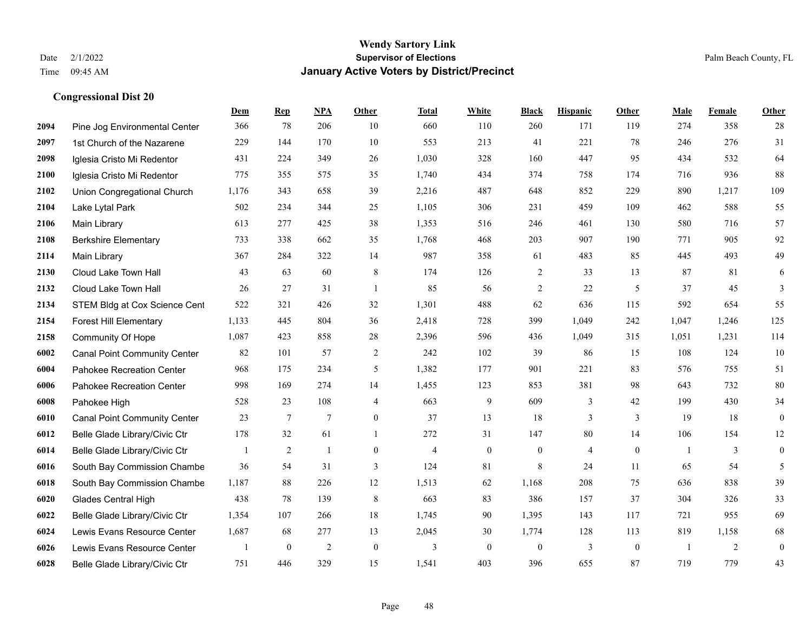|      |                                     | Dem   | <b>Rep</b>       | NPA             | <b>Other</b>     | <b>Total</b>   | <b>White</b>   | <b>Black</b>     | <b>Hispanic</b> | Other        | <b>Male</b>    | Female | <b>Other</b>     |
|------|-------------------------------------|-------|------------------|-----------------|------------------|----------------|----------------|------------------|-----------------|--------------|----------------|--------|------------------|
| 2094 | Pine Jog Environmental Center       | 366   | 78               | 206             | 10               | 660            | 110            | 260              | 171             | 119          | 274            | 358    | 28               |
| 2097 | 1st Church of the Nazarene          | 229   | 144              | 170             | 10               | 553            | 213            | 41               | 221             | 78           | 246            | 276    | 31               |
| 2098 | Iglesia Cristo Mi Redentor          | 431   | 224              | 349             | 26               | 1,030          | 328            | 160              | 447             | 95           | 434            | 532    | 64               |
| 2100 | Iglesia Cristo Mi Redentor          | 775   | 355              | 575             | 35               | 1,740          | 434            | 374              | 758             | 174          | 716            | 936    | 88               |
| 2102 | Union Congregational Church         | 1,176 | 343              | 658             | 39               | 2,216          | 487            | 648              | 852             | 229          | 890            | 1,217  | 109              |
| 2104 | Lake Lytal Park                     | 502   | 234              | 344             | 25               | 1,105          | 306            | 231              | 459             | 109          | 462            | 588    | 55               |
| 2106 | Main Library                        | 613   | 277              | 425             | 38               | 1,353          | 516            | 246              | 461             | 130          | 580            | 716    | 57               |
| 2108 | <b>Berkshire Elementary</b>         | 733   | 338              | 662             | 35               | 1,768          | 468            | 203              | 907             | 190          | 771            | 905    | 92               |
| 2114 | Main Library                        | 367   | 284              | 322             | 14               | 987            | 358            | 61               | 483             | 85           | 445            | 493    | 49               |
| 2130 | Cloud Lake Town Hall                | 43    | 63               | 60              | 8                | 174            | 126            | 2                | 33              | 13           | 87             | 81     | 6                |
| 2132 | Cloud Lake Town Hall                | 26    | 27               | 31              | $\overline{1}$   | 85             | 56             | $\overline{2}$   | 22              | 5            | 37             | 45     | 3                |
| 2134 | STEM Bldg at Cox Science Cent       | 522   | 321              | 426             | 32               | 1,301          | 488            | 62               | 636             | 115          | 592            | 654    | 55               |
| 2154 | <b>Forest Hill Elementary</b>       | 1,133 | 445              | 804             | 36               | 2,418          | 728            | 399              | 1,049           | 242          | 1,047          | 1,246  | 125              |
| 2158 | <b>Community Of Hope</b>            | 1,087 | 423              | 858             | 28               | 2,396          | 596            | 436              | 1,049           | 315          | 1,051          | 1,231  | 114              |
| 6002 | <b>Canal Point Community Center</b> | 82    | 101              | 57              | 2                | 242            | 102            | 39               | 86              | 15           | 108            | 124    | 10               |
| 6004 | Pahokee Recreation Center           | 968   | 175              | 234             | 5                | 1,382          | 177            | 901              | 221             | 83           | 576            | 755    | 51               |
| 6006 | Pahokee Recreation Center           | 998   | 169              | 274             | 14               | 1,455          | 123            | 853              | 381             | 98           | 643            | 732    | 80               |
| 6008 | Pahokee High                        | 528   | 23               | 108             | $\overline{4}$   | 663            | 9              | 609              | 3               | 42           | 199            | 430    | 34               |
| 6010 | <b>Canal Point Community Center</b> | 23    | $7\phantom{.0}$  | $7\phantom{.0}$ | $\boldsymbol{0}$ | 37             | 13             | 18               | 3               | $\mathbf{3}$ | 19             | 18     | $\boldsymbol{0}$ |
| 6012 | Belle Glade Library/Civic Ctr       | 178   | 32               | 61              | $\overline{1}$   | 272            | 31             | 147              | 80              | 14           | 106            | 154    | $12\,$           |
| 6014 | Belle Glade Library/Civic Ctr       | 1     | 2                | $\mathbf{1}$    | $\Omega$         | $\overline{4}$ | $\overline{0}$ | $\mathbf{0}$     | $\overline{4}$  | $\theta$     | $\overline{1}$ | 3      | $\mathbf{0}$     |
| 6016 | South Bay Commission Chambe         | 36    | 54               | 31              | 3                | 124            | 81             | 8                | 24              | 11           | 65             | 54     | 5                |
| 6018 | South Bay Commission Chambe         | 1,187 | 88               | 226             | 12               | 1,513          | 62             | 1,168            | 208             | 75           | 636            | 838    | 39               |
| 6020 | <b>Glades Central High</b>          | 438   | 78               | 139             | $\,8\,$          | 663            | 83             | 386              | 157             | 37           | 304            | 326    | 33               |
| 6022 | Belle Glade Library/Civic Ctr       | 1,354 | 107              | 266             | 18               | 1,745          | 90             | 1,395            | 143             | 117          | 721            | 955    | 69               |
| 6024 | Lewis Evans Resource Center         | 1,687 | 68               | 277             | 13               | 2,045          | 30             | 1,774            | 128             | 113          | 819            | 1,158  | 68               |
| 6026 | Lewis Evans Resource Center         | 1     | $\boldsymbol{0}$ | $\overline{2}$  | $\mathbf{0}$     | 3              | $\overline{0}$ | $\boldsymbol{0}$ | 3               | $\mathbf{0}$ | $\overline{1}$ | 2      | $\boldsymbol{0}$ |
| 6028 | Belle Glade Library/Civic Ctr       | 751   | 446              | 329             | 15               | 1,541          | 403            | 396              | 655             | 87           | 719            | 779    | 43               |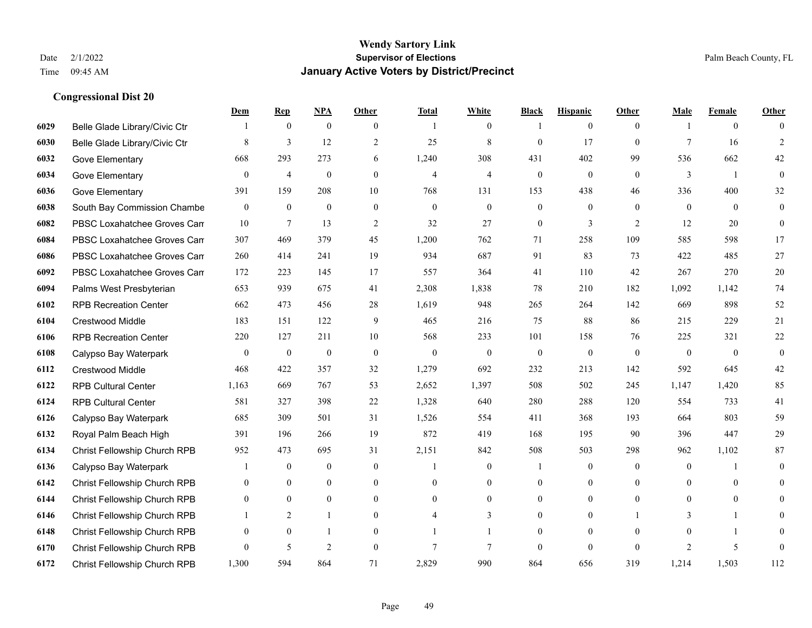|      |                                     | Dem              | <b>Rep</b>       | NPA              | <b>Other</b>     | <b>Total</b>   | <b>White</b>     | <b>Black</b>     | <b>Hispanic</b>  | <b>Other</b>   | <b>Male</b>    | <b>Female</b>  | <b>Other</b>     |
|------|-------------------------------------|------------------|------------------|------------------|------------------|----------------|------------------|------------------|------------------|----------------|----------------|----------------|------------------|
| 6029 | Belle Glade Library/Civic Ctr       |                  | $\boldsymbol{0}$ | $\boldsymbol{0}$ | $\overline{0}$   |                | $\overline{0}$   |                  | $\mathbf{0}$     | $\theta$       |                | $\overline{0}$ | $\Omega$         |
| 6030 | Belle Glade Library/Civic Ctr       | 8                | $\overline{3}$   | 12               | 2                | 25             | $\,$ 8 $\,$      | $\mathbf{0}$     | 17               | $\theta$       | $\tau$         | 16             | 2                |
| 6032 | Gove Elementary                     | 668              | 293              | 273              | 6                | 1,240          | 308              | 431              | 402              | 99             | 536            | 662            | 42               |
| 6034 | Gove Elementary                     | $\boldsymbol{0}$ | $\overline{4}$   | $\boldsymbol{0}$ | $\overline{0}$   | $\overline{4}$ | $\overline{4}$   | $\boldsymbol{0}$ | $\boldsymbol{0}$ | $\mathbf{0}$   | $\mathfrak{Z}$ | -1             | $\mathbf{0}$     |
| 6036 | Gove Elementary                     | 391              | 159              | 208              | 10               | 768            | 131              | 153              | 438              | 46             | 336            | 400            | 32               |
| 6038 | South Bay Commission Chambe         | $\mathbf{0}$     | $\boldsymbol{0}$ | $\boldsymbol{0}$ | $\mathbf{0}$     | $\mathbf{0}$   | $\overline{0}$   | $\boldsymbol{0}$ | $\mathbf{0}$     | $\theta$       | $\mathbf{0}$   | $\overline{0}$ | $\boldsymbol{0}$ |
| 6082 | PBSC Loxahatchee Groves Can         | 10               | $\tau$           | 13               | 2                | 32             | 27               | $\boldsymbol{0}$ | 3                | 2              | 12             | 20             | $\mathbf{0}$     |
| 6084 | PBSC Loxahatchee Groves Can         | 307              | 469              | 379              | 45               | 1,200          | 762              | 71               | 258              | 109            | 585            | 598            | 17               |
| 6086 | PBSC Loxahatchee Groves Can         | 260              | 414              | 241              | 19               | 934            | 687              | 91               | 83               | 73             | 422            | 485            | $27\,$           |
| 6092 | PBSC Loxahatchee Groves Can         | 172              | 223              | 145              | 17               | 557            | 364              | 41               | 110              | 42             | 267            | 270            | $20\,$           |
| 6094 | Palms West Presbyterian             | 653              | 939              | 675              | 41               | 2,308          | 1,838            | 78               | 210              | 182            | 1,092          | 1,142          | $74\,$           |
| 6102 | <b>RPB Recreation Center</b>        | 662              | 473              | 456              | 28               | 1,619          | 948              | 265              | 264              | 142            | 669            | 898            | 52               |
| 6104 | Crestwood Middle                    | 183              | 151              | 122              | 9                | 465            | 216              | 75               | 88               | 86             | 215            | 229            | 21               |
| 6106 | <b>RPB Recreation Center</b>        | 220              | 127              | 211              | 10               | 568            | 233              | 101              | 158              | 76             | 225            | 321            | $22\,$           |
| 6108 | Calypso Bay Waterpark               | $\mathbf{0}$     | $\mathbf{0}$     | $\overline{0}$   | $\Omega$         | $\mathbf{0}$   | $\mathbf{0}$     | $\mathbf{0}$     | $\mathbf{0}$     | $\theta$       | $\theta$       | $\theta$       | $\mathbf{0}$     |
| 6112 | Crestwood Middle                    | 468              | 422              | 357              | 32               | 1,279          | 692              | 232              | 213              | 142            | 592            | 645            | $42\,$           |
| 6122 | <b>RPB Cultural Center</b>          | 1,163            | 669              | 767              | 53               | 2,652          | 1,397            | 508              | 502              | 245            | 1,147          | 1,420          | 85               |
| 6124 | <b>RPB Cultural Center</b>          | 581              | 327              | 398              | 22               | 1,328          | 640              | 280              | 288              | 120            | 554            | 733            | 41               |
| 6126 | Calypso Bay Waterpark               | 685              | 309              | 501              | 31               | 1,526          | 554              | 411              | 368              | 193            | 664            | 803            | 59               |
| 6132 | Royal Palm Beach High               | 391              | 196              | 266              | 19               | 872            | 419              | 168              | 195              | 90             | 396            | 447            | $29\,$           |
| 6134 | Christ Fellowship Church RPB        | 952              | 473              | 695              | 31               | 2,151          | 842              | 508              | 503              | 298            | 962            | 1,102          | 87               |
| 6136 | Calypso Bay Waterpark               |                  | $\bf{0}$         | $\boldsymbol{0}$ | $\boldsymbol{0}$ |                | $\boldsymbol{0}$ |                  | $\boldsymbol{0}$ | $\overline{0}$ | $\mathbf{0}$   |                | $\mathbf{0}$     |
| 6142 | Christ Fellowship Church RPB        | $\overline{0}$   | $\mathbf{0}$     | $\overline{0}$   | $\overline{0}$   | $\theta$       | $\overline{0}$   | $\mathbf{0}$     | $\mathbf{0}$     | $\theta$       | $\theta$       | $\theta$       | $\mathbf{0}$     |
| 6144 | <b>Christ Fellowship Church RPB</b> | $\theta$         | $\theta$         | $\theta$         | $\Omega$         | $\theta$       | $\Omega$         | $\mathbf{0}$     | $\theta$         | $\theta$       | $\Omega$       | $\theta$       | $\Omega$         |
| 6146 | Christ Fellowship Church RPB        |                  | 2                | 1                | $\overline{0}$   |                | 3                | $\boldsymbol{0}$ | $\boldsymbol{0}$ |                | 3              | 1              | $\theta$         |
| 6148 | Christ Fellowship Church RPB        | $\mathbf{0}$     | $\mathbf{0}$     | 1                | $\overline{0}$   |                |                  | $\mathbf{0}$     | $\mathbf{0}$     | $\theta$       | $\theta$       |                | $\overline{0}$   |
| 6170 | Christ Fellowship Church RPB        | $\Omega$         | 5                | $\overline{2}$   | $\theta$         | $\overline{7}$ | 7                | $\mathbf{0}$     | $\theta$         | $\theta$       | $\overline{c}$ | 5              | $\mathbf{0}$     |
| 6172 | <b>Christ Fellowship Church RPB</b> | 1.300            | 594              | 864              | 71               | 2,829          | 990              | 864              | 656              | 319            | 1,214          | 1,503          | 112              |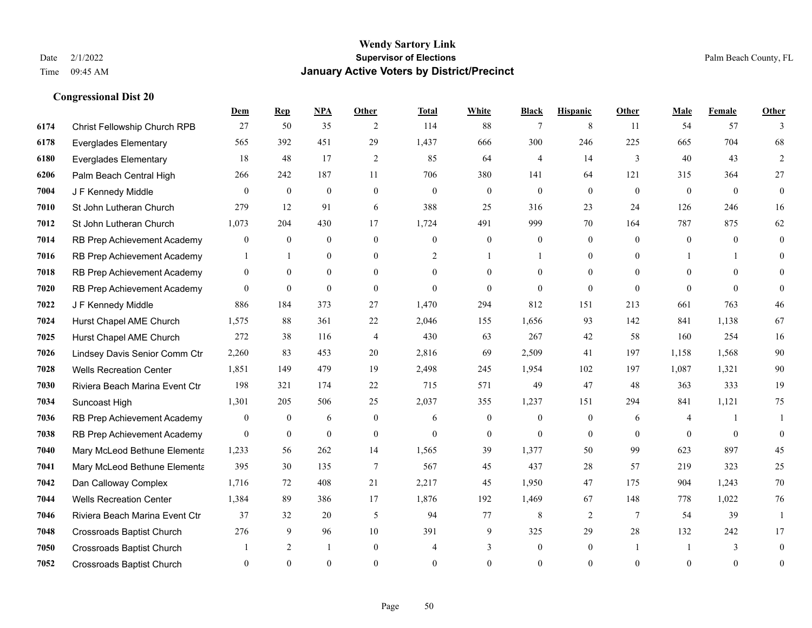|      |                                  | Dem              | <b>Rep</b>       | NPA            | <b>Other</b>   | <b>Total</b>   | <b>White</b>     | <b>Black</b>     | <b>Hispanic</b> | <b>Other</b>    | <b>Male</b> | Female       | <b>Other</b>     |
|------|----------------------------------|------------------|------------------|----------------|----------------|----------------|------------------|------------------|-----------------|-----------------|-------------|--------------|------------------|
| 6174 | Christ Fellowship Church RPB     | 27               | 50               | 35             | 2              | 114            | 88               | 7                | 8               | 11              | 54          | 57           | 3                |
| 6178 | <b>Everglades Elementary</b>     | 565              | 392              | 451            | 29             | 1,437          | 666              | 300              | 246             | 225             | 665         | 704          | 68               |
| 6180 | <b>Everglades Elementary</b>     | 18               | 48               | 17             | 2              | 85             | 64               | 4                | 14              | 3               | 40          | 43           | 2                |
| 6206 | Palm Beach Central High          | 266              | 242              | 187            | 11             | 706            | 380              | 141              | 64              | 121             | 315         | 364          | 27               |
| 7004 | J F Kennedy Middle               | $\theta$         | $\overline{0}$   | $\theta$       | $\Omega$       | $\theta$       | $\overline{0}$   | $\theta$         | $\theta$        | $\Omega$        | $\theta$    | $\Omega$     | $\mathbf{0}$     |
| 7010 | St John Lutheran Church          | 279              | 12               | 91             | 6              | 388            | 25               | 316              | 23              | 24              | 126         | 246          | 16               |
| 7012 | St John Lutheran Church          | 1,073            | 204              | 430            | 17             | 1,724          | 491              | 999              | 70              | 164             | 787         | 875          | 62               |
| 7014 | RB Prep Achievement Academy      | $\overline{0}$   | $\theta$         | $\theta$       | $\Omega$       | $\Omega$       | $\overline{0}$   | $\Omega$         | $\theta$        | $\theta$        | $\Omega$    | $\theta$     | $\theta$         |
| 7016 | RB Prep Achievement Academy      |                  | 1                | $\mathbf{0}$   | $\overline{0}$ | 2              |                  |                  | $\mathbf{0}$    | $\theta$        |             |              | $\theta$         |
| 7018 | RB Prep Achievement Academy      | $\overline{0}$   | $\theta$         | $\overline{0}$ | $\theta$       | $\Omega$       | $\theta$         | $\Omega$         | $\theta$        | $\Omega$        | $\theta$    | $\theta$     | $\theta$         |
| 7020 | RB Prep Achievement Academy      | $\Omega$         | $\theta$         | $\theta$       | $\Omega$       | $\Omega$       | $\Omega$         | $\theta$         | $\theta$        | $\Omega$        | $\Omega$    | $\Omega$     | $\Omega$         |
| 7022 | J F Kennedy Middle               | 886              | 184              | 373            | 27             | 1,470          | 294              | 812              | 151             | 213             | 661         | 763          | 46               |
| 7024 | Hurst Chapel AME Church          | 1,575            | 88               | 361            | 22             | 2,046          | 155              | 1,656            | 93              | 142             | 841         | 1,138        | 67               |
| 7025 | Hurst Chapel AME Church          | 272              | 38               | 116            | $\overline{4}$ | 430            | 63               | 267              | 42              | 58              | 160         | 254          | 16               |
| 7026 | Lindsey Davis Senior Comm Ctr    | 2,260            | 83               | 453            | 20             | 2,816          | 69               | 2,509            | 41              | 197             | 1,158       | 1,568        | 90               |
| 7028 | <b>Wells Recreation Center</b>   | 1,851            | 149              | 479            | 19             | 2,498          | 245              | 1,954            | 102             | 197             | 1,087       | 1,321        | 90               |
| 7030 | Riviera Beach Marina Event Ctr   | 198              | 321              | 174            | 22             | 715            | 571              | 49               | 47              | 48              | 363         | 333          | 19               |
| 7034 | Suncoast High                    | 1,301            | 205              | 506            | 25             | 2,037          | 355              | 1,237            | 151             | 294             | 841         | 1,121        | 75               |
| 7036 | RB Prep Achievement Academy      | $\boldsymbol{0}$ | $\boldsymbol{0}$ | 6              | $\overline{0}$ | 6              | $\boldsymbol{0}$ | $\mathbf{0}$     | $\mathbf{0}$    | 6               | 4           | $\mathbf{1}$ |                  |
| 7038 | RB Prep Achievement Academy      | $\overline{0}$   | $\boldsymbol{0}$ | $\mathbf{0}$   | $\mathbf{0}$   | $\mathbf{0}$   | $\boldsymbol{0}$ | $\mathbf{0}$     | $\mathbf{0}$    | $\theta$        | $\theta$    | $\mathbf{0}$ | $\boldsymbol{0}$ |
| 7040 | Mary McLeod Bethune Elementa     | 1,233            | 56               | 262            | 14             | 1,565          | 39               | 1,377            | 50              | 99              | 623         | 897          | 45               |
| 7041 | Mary McLeod Bethune Elementa     | 395              | 30               | 135            | $\tau$         | 567            | 45               | 437              | 28              | 57              | 219         | 323          | 25               |
| 7042 | Dan Calloway Complex             | 1,716            | 72               | 408            | 21             | 2,217          | 45               | 1,950            | 47              | 175             | 904         | 1,243        | $70\,$           |
| 7044 | <b>Wells Recreation Center</b>   | 1,384            | 89               | 386            | 17             | 1,876          | 192              | 1,469            | 67              | 148             | 778         | 1,022        | 76               |
| 7046 | Riviera Beach Marina Event Ctr   | 37               | 32               | 20             | 5              | 94             | 77               | 8                | 2               | $7\phantom{.0}$ | 54          | 39           | $\mathbf{1}$     |
| 7048 | <b>Crossroads Baptist Church</b> | 276              | 9                | 96             | 10             | 391            | 9                | 325              | 29              | 28              | 132         | 242          | 17               |
| 7050 | <b>Crossroads Baptist Church</b> |                  | 2                | -1             | $\overline{0}$ | $\overline{4}$ | 3                | $\boldsymbol{0}$ | $\mathbf{0}$    |                 |             | 3            | $\overline{0}$   |
| 7052 | <b>Crossroads Baptist Church</b> | $\Omega$         | $\Omega$         | $\theta$       | $\Omega$       | $\Omega$       | $\theta$         | $\theta$         | $\Omega$        | $\Omega$        | $\Omega$    | $\theta$     | $\mathbf{0}$     |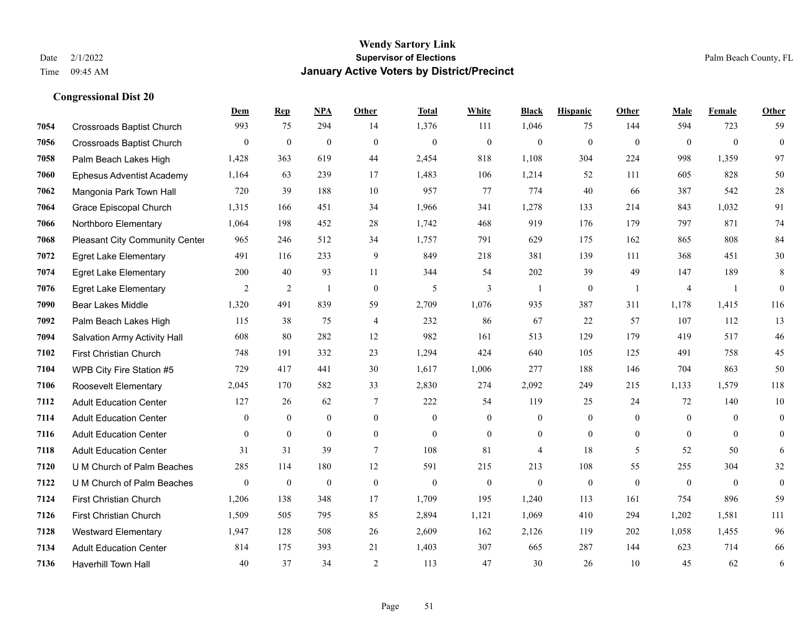|      |                                  | Dem              | <b>Rep</b>       | NPA              | <b>Other</b>   | <b>Total</b> | <b>White</b>     | <b>Black</b>     | <b>Hispanic</b> | <b>Other</b>   | <b>Male</b>    | Female         | <b>Other</b>     |
|------|----------------------------------|------------------|------------------|------------------|----------------|--------------|------------------|------------------|-----------------|----------------|----------------|----------------|------------------|
| 7054 | <b>Crossroads Baptist Church</b> | 993              | 75               | 294              | 14             | 1,376        | 111              | 1,046            | 75              | 144            | 594            | 723            | 59               |
| 7056 | <b>Crossroads Baptist Church</b> | $\overline{0}$   | $\mathbf{0}$     | $\overline{0}$   | $\Omega$       | $\mathbf{0}$ | $\overline{0}$   | $\mathbf{0}$     | $\mathbf{0}$    | $\theta$       | $\mathbf{0}$   | $\theta$       | $\mathbf{0}$     |
| 7058 | Palm Beach Lakes High            | 1,428            | 363              | 619              | 44             | 2,454        | 818              | 1,108            | 304             | 224            | 998            | 1,359          | 97               |
| 7060 | <b>Ephesus Adventist Academy</b> | 1,164            | 63               | 239              | 17             | 1,483        | 106              | 1,214            | 52              | 111            | 605            | 828            | 50               |
| 7062 | Mangonia Park Town Hall          | 720              | 39               | 188              | 10             | 957          | 77               | 774              | 40              | 66             | 387            | 542            | $28\,$           |
| 7064 | Grace Episcopal Church           | 1,315            | 166              | 451              | 34             | 1,966        | 341              | 1,278            | 133             | 214            | 843            | 1,032          | 91               |
| 7066 | Northboro Elementary             | 1,064            | 198              | 452              | 28             | 1,742        | 468              | 919              | 176             | 179            | 797            | 871            | 74               |
| 7068 | Pleasant City Community Center   | 965              | 246              | 512              | 34             | 1,757        | 791              | 629              | 175             | 162            | 865            | 808            | 84               |
| 7072 | <b>Egret Lake Elementary</b>     | 491              | 116              | 233              | 9              | 849          | 218              | 381              | 139             | 111            | 368            | 451            | 30               |
| 7074 | <b>Egret Lake Elementary</b>     | 200              | 40               | 93               | 11             | 344          | 54               | 202              | 39              | 49             | 147            | 189            | 8                |
| 7076 | <b>Egret Lake Elementary</b>     | 2                | $\overline{2}$   | $\mathbf{1}$     | $\theta$       | 5            | $\overline{3}$   | $\mathbf{1}$     | $\mathbf{0}$    | $\overline{1}$ | $\overline{4}$ | -1             | $\mathbf{0}$     |
| 7090 | <b>Bear Lakes Middle</b>         | 1,320            | 491              | 839              | 59             | 2,709        | 1,076            | 935              | 387             | 311            | 1,178          | 1,415          | 116              |
| 7092 | Palm Beach Lakes High            | 115              | 38               | 75               | 4              | 232          | 86               | 67               | 22              | 57             | 107            | 112            | 13               |
| 7094 | Salvation Army Activity Hall     | 608              | 80               | 282              | 12             | 982          | 161              | 513              | 129             | 179            | 419            | 517            | $46\,$           |
| 7102 | First Christian Church           | 748              | 191              | 332              | 23             | 1,294        | 424              | 640              | 105             | 125            | 491            | 758            | 45               |
| 7104 | WPB City Fire Station #5         | 729              | 417              | 441              | 30             | 1,617        | 1,006            | 277              | 188             | 146            | 704            | 863            | 50               |
| 7106 | Roosevelt Elementary             | 2,045            | 170              | 582              | 33             | 2,830        | 274              | 2,092            | 249             | 215            | 1,133          | 1,579          | 118              |
| 7112 | <b>Adult Education Center</b>    | 127              | 26               | 62               | 7              | 222          | 54               | 119              | 25              | 24             | 72             | 140            | $10\,$           |
| 7114 | <b>Adult Education Center</b>    | $\overline{0}$   | $\boldsymbol{0}$ | $\boldsymbol{0}$ | $\overline{0}$ | $\mathbf{0}$ | $\boldsymbol{0}$ | $\boldsymbol{0}$ | $\mathbf{0}$    | $\mathbf{0}$   | $\mathbf{0}$   | $\overline{0}$ | $\boldsymbol{0}$ |
| 7116 | <b>Adult Education Center</b>    | $\overline{0}$   | $\mathbf{0}$     | $\overline{0}$   | $\overline{0}$ | $\theta$     | $\overline{0}$   | $\boldsymbol{0}$ | $\mathbf{0}$    | $\overline{0}$ | $\theta$       | $\theta$       | $\boldsymbol{0}$ |
| 7118 | <b>Adult Education Center</b>    | 31               | 31               | 39               | $\tau$         | 108          | 81               | $\overline{4}$   | 18              | 5              | 52             | 50             | 6                |
| 7120 | U M Church of Palm Beaches       | 285              | 114              | 180              | 12             | 591          | 215              | 213              | 108             | 55             | 255            | 304            | $32\,$           |
| 7122 | U M Church of Palm Beaches       | $\boldsymbol{0}$ | $\boldsymbol{0}$ | $\boldsymbol{0}$ | $\mathbf{0}$   | $\mathbf{0}$ | $\boldsymbol{0}$ | $\mathbf{0}$     | $\mathbf{0}$    | $\overline{0}$ | $\mathbf{0}$   | $\overline{0}$ | $\boldsymbol{0}$ |
| 7124 | First Christian Church           | 1,206            | 138              | 348              | 17             | 1,709        | 195              | 1,240            | 113             | 161            | 754            | 896            | 59               |
| 7126 | First Christian Church           | 1,509            | 505              | 795              | 85             | 2,894        | 1,121            | 1,069            | 410             | 294            | 1,202          | 1.581          | 111              |
| 7128 | <b>Westward Elementary</b>       | 1,947            | 128              | 508              | 26             | 2,609        | 162              | 2,126            | 119             | 202            | 1,058          | 1,455          | 96               |
| 7134 | <b>Adult Education Center</b>    | 814              | 175              | 393              | 21             | 1,403        | 307              | 665              | 287             | 144            | 623            | 714            | 66               |
| 7136 | <b>Haverhill Town Hall</b>       | 40               | 37               | 34               | $\overline{2}$ | 113          | 47               | 30               | 26              | 10             | 45             | 62             | 6                |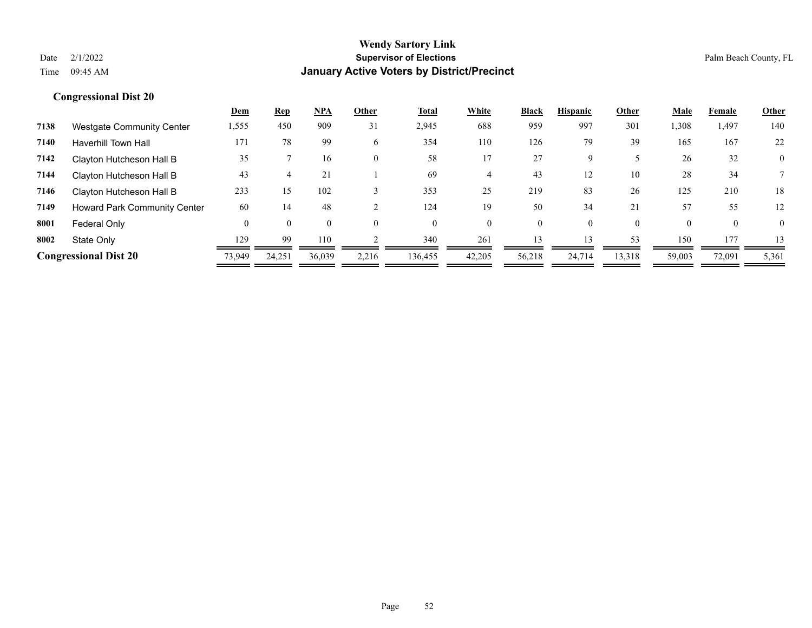|      |                                     | <b>Dem</b> | <b>Rep</b> | <u>NPA</u> | Other | Total    | White    | <b>Black</b> | <b>Hispanic</b> | Other    | Male     | Female   | <b>Other</b>   |
|------|-------------------------------------|------------|------------|------------|-------|----------|----------|--------------|-----------------|----------|----------|----------|----------------|
| 7138 | <b>Westgate Community Center</b>    | 1,555      | 450        | 909        | 31    | 2,945    | 688      | 959          | 997             | 301      | 1,308    | 1,497    | 140            |
| 7140 | <b>Haverhill Town Hall</b>          | 171        | 78         | 99         | 6     | 354      | 110      | 126          | 79              | 39       | 165      | 167      | 22             |
| 7142 | Clayton Hutcheson Hall B            | 35         |            | 16         |       | 58       | 17       | 27           | 9               |          | 26       | 32       | $\overline{0}$ |
| 7144 | Clayton Hutcheson Hall B            | 43         |            | 21         |       | 69       | 4        | 43           | 12              | 10       | 28       | 34       |                |
| 7146 | Clayton Hutcheson Hall B            | 233        | 15         | 102        |       | 353      | 25       | 219          | 83              | 26       | 125      | 210      | 18             |
| 7149 | <b>Howard Park Community Center</b> | 60         | 14         | 48         |       | 124      | 19       | 50           | 34              | 21       | 57       | 55       | 12             |
| 8001 | Federal Only                        | $\Omega$   |            |            |       | $\theta$ | $\Omega$ | $\theta$     | 0               | $\theta$ | $\theta$ | $\theta$ | $\overline{0}$ |
| 8002 | State Only                          | 129        | 99         | 110        |       | 340      | 261      | 13           |                 | 53       | 150      | 177      | 13             |
|      | <b>Congressional Dist 20</b>        | 73,949     | 24,251     | 36,039     | 2,216 | 136,455  | 42,205   | 56,218       | 24,714          | 13,318   | 59,003   | 72,091   | 5,361          |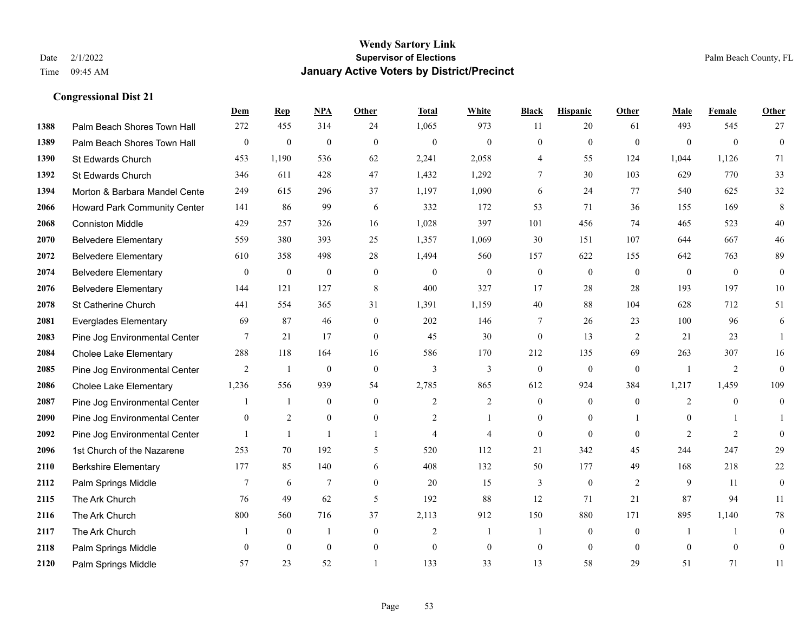|      |                               | Dem              | <b>Rep</b>       | NPA              | <b>Other</b>   | <b>Total</b>   | <b>White</b>     | <b>Black</b>     | <b>Hispanic</b>  | <b>Other</b>   | <b>Male</b>    | <b>Female</b> | Other            |
|------|-------------------------------|------------------|------------------|------------------|----------------|----------------|------------------|------------------|------------------|----------------|----------------|---------------|------------------|
| 1388 | Palm Beach Shores Town Hall   | 272              | 455              | 314              | 24             | 1,065          | 973              | 11               | 20               | 61             | 493            | 545           | 27               |
| 1389 | Palm Beach Shores Town Hall   | $\boldsymbol{0}$ | $\mathbf{0}$     | $\mathbf{0}$     | $\theta$       | $\mathbf{0}$   | $\mathbf{0}$     | $\mathbf{0}$     | $\mathbf{0}$     | $\theta$       | $\theta$       | $\theta$      | $\boldsymbol{0}$ |
| 1390 | St Edwards Church             | 453              | 1,190            | 536              | 62             | 2,241          | 2,058            | 4                | 55               | 124            | 1,044          | 1,126         | 71               |
| 1392 | St Edwards Church             | 346              | 611              | 428              | 47             | 1,432          | 1,292            | 7                | 30               | 103            | 629            | 770           | 33               |
| 1394 | Morton & Barbara Mandel Cente | 249              | 615              | 296              | 37             | 1,197          | 1,090            | 6                | 24               | 77             | 540            | 625           | 32               |
| 2066 | Howard Park Community Center  | 141              | 86               | 99               | 6              | 332            | 172              | 53               | 71               | 36             | 155            | 169           | 8                |
| 2068 | <b>Conniston Middle</b>       | 429              | 257              | 326              | 16             | 1,028          | 397              | 101              | 456              | 74             | 465            | 523           | 40               |
| 2070 | <b>Belvedere Elementary</b>   | 559              | 380              | 393              | 25             | 1,357          | 1,069            | 30               | 151              | 107            | 644            | 667           | 46               |
| 2072 | <b>Belvedere Elementary</b>   | 610              | 358              | 498              | 28             | 1,494          | 560              | 157              | 622              | 155            | 642            | 763           | 89               |
| 2074 | <b>Belvedere Elementary</b>   | $\mathbf{0}$     | $\boldsymbol{0}$ | $\boldsymbol{0}$ | $\mathbf{0}$   | $\mathbf{0}$   | $\boldsymbol{0}$ | $\boldsymbol{0}$ | $\overline{0}$   | $\theta$       | $\mathbf{0}$   | $\theta$      | $\overline{0}$   |
| 2076 | <b>Belvedere Elementary</b>   | 144              | 121              | 127              | 8              | 400            | 327              | 17               | 28               | 28             | 193            | 197           | $10\,$           |
| 2078 | St Catherine Church           | 441              | 554              | 365              | 31             | 1,391          | 1,159            | 40               | 88               | 104            | 628            | 712           | 51               |
| 2081 | <b>Everglades Elementary</b>  | 69               | 87               | 46               | $\mathbf{0}$   | 202            | 146              | 7                | 26               | 23             | 100            | 96            | 6                |
| 2083 | Pine Jog Environmental Center | 7                | 21               | 17               | $\mathbf{0}$   | 45             | 30               | $\boldsymbol{0}$ | 13               | $\overline{2}$ | 21             | 23            | $\overline{1}$   |
| 2084 | <b>Cholee Lake Elementary</b> | 288              | 118              | 164              | 16             | 586            | 170              | 212              | 135              | 69             | 263            | 307           | 16               |
| 2085 | Pine Jog Environmental Center | 2                | -1               | $\mathbf{0}$     | $\theta$       | $\overline{3}$ | 3                | $\overline{0}$   | $\mathbf{0}$     | $\theta$       | $\overline{1}$ | 2             | $\overline{0}$   |
| 2086 | <b>Cholee Lake Elementary</b> | 1,236            | 556              | 939              | 54             | 2,785          | 865              | 612              | 924              | 384            | 1,217          | 1,459         | 109              |
| 2087 | Pine Jog Environmental Center |                  | -1               | $\mathbf{0}$     | $\theta$       | $\overline{2}$ | $\overline{c}$   | $\overline{0}$   | $\overline{0}$   | $\mathbf{0}$   | 2              | $\theta$      | $\overline{0}$   |
| 2090 | Pine Jog Environmental Center | $\mathbf{0}$     | $\overline{2}$   | $\mathbf{0}$     | $\mathbf{0}$   | $\overline{2}$ | 1                | $\overline{0}$   | $\overline{0}$   |                | $\mathbf{0}$   |               |                  |
| 2092 | Pine Jog Environmental Center |                  | $\mathbf{1}$     | $\overline{1}$   | $\mathbf{1}$   | $\overline{4}$ | $\overline{4}$   | $\mathbf{0}$     | $\mathbf{0}$     | $\mathbf{0}$   | $\overline{2}$ | 2             | $\boldsymbol{0}$ |
| 2096 | 1st Church of the Nazarene    | 253              | 70               | 192              | 5              | 520            | 112              | 21               | 342              | 45             | 244            | 247           | 29               |
| 2110 | <b>Berkshire Elementary</b>   | 177              | 85               | 140              | 6              | 408            | 132              | 50               | 177              | 49             | 168            | 218           | $22\,$           |
| 2112 | Palm Springs Middle           | 7                | 6                | $\tau$           | $\overline{0}$ | 20             | 15               | 3                | $\boldsymbol{0}$ | $\overline{2}$ | 9              | 11            | $\boldsymbol{0}$ |
| 2115 | The Ark Church                | 76               | 49               | 62               | 5              | 192            | 88               | 12               | 71               | 21             | 87             | 94            | 11               |
| 2116 | The Ark Church                | 800              | 560              | 716              | 37             | 2,113          | 912              | 150              | 880              | 171            | 895            | 1.140         | 78               |
| 2117 | The Ark Church                |                  | $\mathbf{0}$     | $\mathbf{1}$     | $\mathbf{0}$   | $\overline{2}$ | 1                | 1                | $\overline{0}$   | $\overline{0}$ | -1             | $\mathbf{1}$  | $\boldsymbol{0}$ |
| 2118 | Palm Springs Middle           | $\mathbf{0}$     | $\mathbf{0}$     | $\mathbf{0}$     | $\mathbf{0}$   | $\theta$       | $\mathbf{0}$     | $\boldsymbol{0}$ | $\overline{0}$   | $\mathbf{0}$   | $\theta$       | $\mathbf{0}$  | $\overline{0}$   |
| 2120 | Palm Springs Middle           | 57               | 23               | 52               |                | 133            | 33               | 13               | 58               | 29             | 51             | 71            | 11               |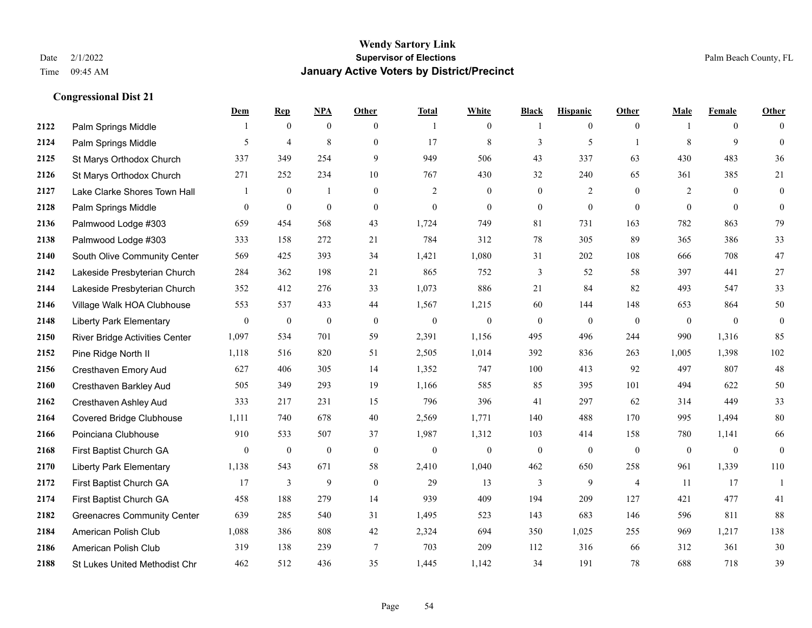|      |                                      | Dem            | <b>Rep</b>       | NPA              | <b>Other</b>   | <b>Total</b> | <b>White</b>   | <b>Black</b>     | <b>Hispanic</b>  | <b>Other</b>   | <b>Male</b>    | <b>Female</b>  | <b>Other</b>     |
|------|--------------------------------------|----------------|------------------|------------------|----------------|--------------|----------------|------------------|------------------|----------------|----------------|----------------|------------------|
| 2122 | Palm Springs Middle                  | -1             | $\mathbf{0}$     | $\mathbf{0}$     | $\overline{0}$ | -1           | $\mathbf{0}$   | -1               | $\boldsymbol{0}$ | $\overline{0}$ |                | $\overline{0}$ | $\theta$         |
| 2124 | Palm Springs Middle                  | 5              | $\overline{4}$   | 8                | $\overline{0}$ | 17           | $\,$ 8 $\,$    | 3                | 5                | $\overline{1}$ | 8              | 9              | $\mathbf{0}$     |
| 2125 | St Marys Orthodox Church             | 337            | 349              | 254              | 9              | 949          | 506            | 43               | 337              | 63             | 430            | 483            | 36               |
| 2126 | St Marys Orthodox Church             | 271            | 252              | 234              | 10             | 767          | 430            | 32               | 240              | 65             | 361            | 385            | 21               |
| 2127 | Lake Clarke Shores Town Hall         | 1              | $\mathbf{0}$     | $\mathbf{1}$     | $\Omega$       | 2            | $\overline{0}$ | $\mathbf{0}$     | 2                | $\theta$       | 2              | $\theta$       | $\boldsymbol{0}$ |
| 2128 | Palm Springs Middle                  | $\mathbf{0}$   | $\boldsymbol{0}$ | $\mathbf{0}$     | $\overline{0}$ | $\mathbf{0}$ | $\overline{0}$ | $\boldsymbol{0}$ | $\mathbf{0}$     | $\theta$       | $\overline{0}$ | $\mathbf{0}$   | $\mathbf{0}$     |
| 2136 | Palmwood Lodge #303                  | 659            | 454              | 568              | 43             | 1,724        | 749            | 81               | 731              | 163            | 782            | 863            | 79               |
| 2138 | Palmwood Lodge #303                  | 333            | 158              | 272              | 21             | 784          | 312            | 78               | 305              | 89             | 365            | 386            | 33               |
| 2140 | South Olive Community Center         | 569            | 425              | 393              | 34             | 1,421        | 1,080          | 31               | 202              | 108            | 666            | 708            | 47               |
| 2142 | Lakeside Presbyterian Church         | 284            | 362              | 198              | 21             | 865          | 752            | 3                | 52               | 58             | 397            | 441            | 27               |
| 2144 | Lakeside Presbyterian Church         | 352            | 412              | 276              | 33             | 1,073        | 886            | 21               | 84               | 82             | 493            | 547            | 33               |
| 2146 | Village Walk HOA Clubhouse           | 553            | 537              | 433              | 44             | 1,567        | 1,215          | 60               | 144              | 148            | 653            | 864            | 50               |
| 2148 | <b>Liberty Park Elementary</b>       | $\mathbf{0}$   | $\boldsymbol{0}$ | $\boldsymbol{0}$ | $\mathbf{0}$   | $\mathbf{0}$ | $\mathbf{0}$   | $\boldsymbol{0}$ | $\mathbf{0}$     | $\theta$       | $\mathbf{0}$   | $\theta$       | $\boldsymbol{0}$ |
| 2150 | River Bridge Activities Center       | 1,097          | 534              | 701              | 59             | 2,391        | 1,156          | 495              | 496              | 244            | 990            | 1,316          | 85               |
| 2152 | Pine Ridge North II                  | 1,118          | 516              | 820              | 51             | 2,505        | 1,014          | 392              | 836              | 263            | 1,005          | 1,398          | 102              |
| 2156 | Cresthaven Emory Aud                 | 627            | 406              | 305              | 14             | 1,352        | 747            | 100              | 413              | 92             | 497            | 807            | 48               |
| 2160 | <b>Cresthaven Barkley Aud</b>        | 505            | 349              | 293              | 19             | 1,166        | 585            | 85               | 395              | 101            | 494            | 622            | 50               |
| 2162 | Cresthaven Ashley Aud                | 333            | 217              | 231              | 15             | 796          | 396            | 41               | 297              | 62             | 314            | 449            | 33               |
| 2164 | <b>Covered Bridge Clubhouse</b>      | 1,111          | 740              | 678              | 40             | 2,569        | 1,771          | 140              | 488              | 170            | 995            | 1,494          | $80\,$           |
| 2166 | Poinciana Clubhouse                  | 910            | 533              | 507              | 37             | 1,987        | 1,312          | 103              | 414              | 158            | 780            | 1,141          | 66               |
| 2168 | First Baptist Church GA              | $\overline{0}$ | $\boldsymbol{0}$ | $\mathbf{0}$     | $\Omega$       | $\mathbf{0}$ | $\mathbf{0}$   | $\mathbf{0}$     | $\mathbf{0}$     | $\theta$       | $\theta$       | $\mathbf{0}$   | $\boldsymbol{0}$ |
| 2170 | <b>Liberty Park Elementary</b>       | 1,138          | 543              | 671              | 58             | 2,410        | 1,040          | 462              | 650              | 258            | 961            | 1,339          | 110              |
| 2172 | First Baptist Church GA              | 17             | 3                | 9                | $\theta$       | 29           | 13             | 3                | 9                | $\overline{4}$ | 11             | 17             | 1                |
| 2174 | First Baptist Church GA              | 458            | 188              | 279              | 14             | 939          | 409            | 194              | 209              | 127            | 421            | 477            | 41               |
| 2182 | <b>Greenacres Community Center</b>   | 639            | 285              | 540              | 31             | 1,495        | 523            | 143              | 683              | 146            | 596            | 811            | 88               |
| 2184 | American Polish Club                 | 1,088          | 386              | 808              | 42             | 2,324        | 694            | 350              | 1,025            | 255            | 969            | 1,217          | 138              |
| 2186 | American Polish Club                 | 319            | 138              | 239              | $\tau$         | 703          | 209            | 112              | 316              | 66             | 312            | 361            | $30\,$           |
| 2188 | <b>St Lukes United Methodist Chr</b> | 462            | 512              | 436              | 35             | 1,445        | 1,142          | 34               | 191              | 78             | 688            | 718            | 39               |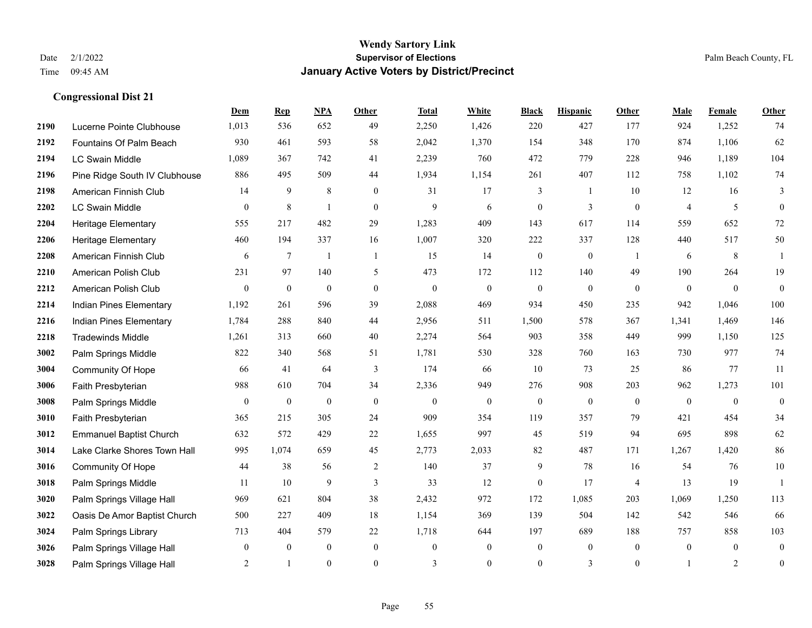|      |                                | Dem              | <b>Rep</b>      | NPA              | <b>Other</b>     | <b>Total</b> | <b>White</b>     | <b>Black</b>     | <b>Hispanic</b> | <b>Other</b>   | <b>Male</b>    | <b>Female</b>  | Other            |
|------|--------------------------------|------------------|-----------------|------------------|------------------|--------------|------------------|------------------|-----------------|----------------|----------------|----------------|------------------|
| 2190 | Lucerne Pointe Clubhouse       | 1,013            | 536             | 652              | 49               | 2,250        | 1,426            | 220              | 427             | 177            | 924            | 1,252          | 74               |
| 2192 | Fountains Of Palm Beach        | 930              | 461             | 593              | 58               | 2,042        | 1,370            | 154              | 348             | 170            | 874            | 1,106          | 62               |
| 2194 | <b>LC Swain Middle</b>         | 1,089            | 367             | 742              | 41               | 2,239        | 760              | 472              | 779             | 228            | 946            | 1,189          | 104              |
| 2196 | Pine Ridge South IV Clubhouse  | 886              | 495             | 509              | 44               | 1,934        | 1,154            | 261              | 407             | 112            | 758            | 1,102          | 74               |
| 2198 | American Finnish Club          | 14               | 9               | 8                | $\overline{0}$   | 31           | 17               | 3                | 1               | 10             | 12             | 16             | 3                |
| 2202 | <b>LC Swain Middle</b>         | $\boldsymbol{0}$ | $8\phantom{.0}$ | $\overline{1}$   | $\mathbf{0}$     | 9            | 6                | $\boldsymbol{0}$ | 3               | $\mathbf{0}$   | $\overline{4}$ | 5              | $\mathbf{0}$     |
| 2204 | Heritage Elementary            | 555              | 217             | 482              | 29               | 1,283        | 409              | 143              | 617             | 114            | 559            | 652            | $72\,$           |
| 2206 | <b>Heritage Elementary</b>     | 460              | 194             | 337              | 16               | 1,007        | 320              | 222              | 337             | 128            | 440            | 517            | 50               |
| 2208 | American Finnish Club          | 6                | $\tau$          | $\overline{1}$   | $\mathbf{1}$     | 15           | 14               | $\boldsymbol{0}$ | $\mathbf{0}$    | -1             | 6              | $\,8\,$        | $\mathbf{1}$     |
| 2210 | American Polish Club           | 231              | 97              | 140              | 5                | 473          | 172              | 112              | 140             | 49             | 190            | 264            | 19               |
| 2212 | American Polish Club           | $\overline{0}$   | $\overline{0}$  | $\mathbf{0}$     | $\overline{0}$   | $\mathbf{0}$ | $\overline{0}$   | $\mathbf{0}$     | $\overline{0}$  | $\theta$       | $\mathbf{0}$   | $\mathbf{0}$   | $\mathbf{0}$     |
| 2214 | Indian Pines Elementary        | 1,192            | 261             | 596              | 39               | 2,088        | 469              | 934              | 450             | 235            | 942            | 1,046          | 100              |
| 2216 | Indian Pines Elementary        | 1,784            | 288             | 840              | 44               | 2,956        | 511              | 1,500            | 578             | 367            | 1,341          | 1,469          | 146              |
| 2218 | <b>Tradewinds Middle</b>       | 1,261            | 313             | 660              | 40               | 2,274        | 564              | 903              | 358             | 449            | 999            | 1,150          | 125              |
| 3002 | Palm Springs Middle            | 822              | 340             | 568              | 51               | 1,781        | 530              | 328              | 760             | 163            | 730            | 977            | 74               |
| 3004 | Community Of Hope              | 66               | 41              | 64               | 3                | 174          | 66               | 10               | 73              | 25             | 86             | 77             | 11               |
| 3006 | Faith Presbyterian             | 988              | 610             | 704              | 34               | 2,336        | 949              | 276              | 908             | 203            | 962            | 1,273          | 101              |
| 3008 | Palm Springs Middle            | $\overline{0}$   | $\overline{0}$  | $\mathbf{0}$     | $\theta$         | $\theta$     | $\overline{0}$   | $\mathbf{0}$     | $\mathbf{0}$    | $\theta$       | $\theta$       | $\theta$       | $\mathbf{0}$     |
| 3010 | Faith Presbyterian             | 365              | 215             | 305              | 24               | 909          | 354              | 119              | 357             | 79             | 421            | 454            | 34               |
| 3012 | <b>Emmanuel Baptist Church</b> | 632              | 572             | 429              | 22               | 1,655        | 997              | 45               | 519             | 94             | 695            | 898            | 62               |
| 3014 | Lake Clarke Shores Town Hall   | 995              | 1.074           | 659              | 45               | 2,773        | 2,033            | 82               | 487             | 171            | 1,267          | 1,420          | 86               |
| 3016 | Community Of Hope              | 44               | 38              | 56               | $\overline{c}$   | 140          | 37               | 9                | 78              | 16             | 54             | 76             | $10\,$           |
| 3018 | Palm Springs Middle            | 11               | 10              | 9                | 3                | 33           | 12               | $\mathbf{0}$     | 17              | $\overline{4}$ | 13             | 19             | $\mathbf{1}$     |
| 3020 | Palm Springs Village Hall      | 969              | 621             | 804              | 38               | 2,432        | 972              | 172              | 1,085           | 203            | 1,069          | 1,250          | 113              |
| 3022 | Oasis De Amor Baptist Church   | 500              | 227             | 409              | 18               | 1,154        | 369              | 139              | 504             | 142            | 542            | 546            | 66               |
| 3024 | Palm Springs Library           | 713              | 404             | 579              | 22               | 1,718        | 644              | 197              | 689             | 188            | 757            | 858            | 103              |
| 3026 | Palm Springs Village Hall      | $\overline{0}$   | $\mathbf{0}$    | $\boldsymbol{0}$ | $\boldsymbol{0}$ | $\theta$     | $\boldsymbol{0}$ | $\boldsymbol{0}$ | $\mathbf{0}$    | $\overline{0}$ | $\mathbf{0}$   | $\overline{0}$ | $\boldsymbol{0}$ |
| 3028 | Palm Springs Village Hall      | $\overline{2}$   | $\mathbf{1}$    | $\theta$         | $\overline{0}$   | 3            | $\Omega$         | $\boldsymbol{0}$ | 3               | $\theta$       |                | $\overline{2}$ | $\boldsymbol{0}$ |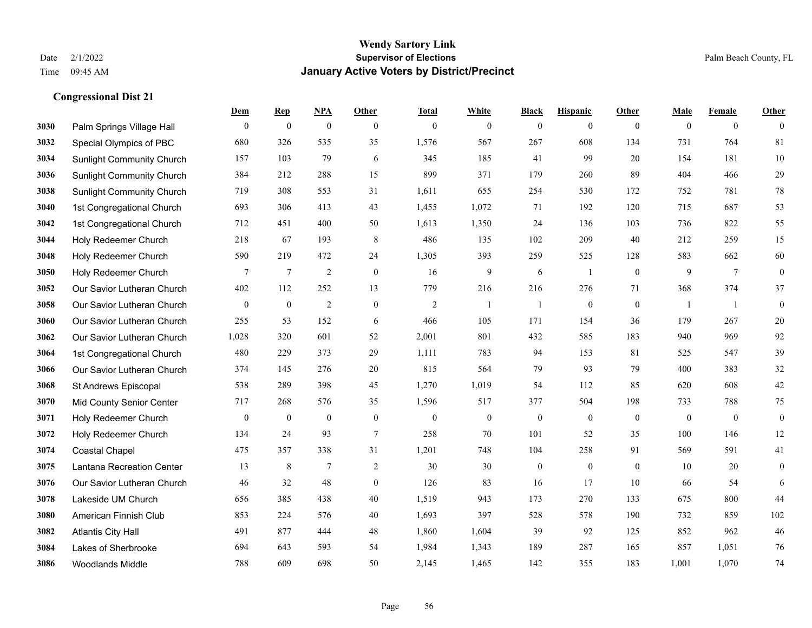**Congressional Dist 21**

#### **Wendy Sartory Link** Date 2/1/2022 **Supervisor of Elections** Palm Beach County, FL Time 09:45 AM **January Active Voters by District/Precinct**

# **Dem Rep NPA Other Total White Black Hispanic Other Male Female Other** Palm Springs Village Hall 0 0 0 0 0 0 0 0 0 0 0 0 Special Olympics of PBC 680 326 535 35 1,576 567 267 608 134 731 764 81 Sunlight Community Church 157 103 79 6 345 185 41 99 20 154 181 10 Sunlight Community Church 384 212 288 15 899 371 179 260 89 404 466 29 Sunlight Community Church 719 308 553 31 1,611 655 254 530 172 752 781 78 1st Congregational Church 693 306 413 43 1,455 1,072 71 192 120 715 687 53 1st Congregational Church 712 451 400 50 1,613 1,350 24 136 103 736 822 55 Holy Redeemer Church 218 67 193 8 486 135 102 209 40 212 259 15 Holy Redeemer Church 590 219 472 24 1,305 393 259 525 128 583 662 60 Holy Redeemer Church **7** 7 7 2 0 16 9 6 1 0 9 7 0 Our Savior Lutheran Church 402 112 252 13 779 216 216 276 71 368 374 37 Our Savior Lutheran Church 0 0 0 2 0 0 2 1 1 0 0 0 1 1 0 Our Savior Lutheran Church 255 53 152 6 466 105 171 154 36 179 267 20 Our Savior Lutheran Church 1,028 320 601 52 2,001 801 432 585 183 940 969 92 1st Congregational Church 480 229 373 29 1,111 783 94 153 81 525 547 39 Our Savior Lutheran Church 374 145 276 20 815 564 79 93 79 400 383 32 St Andrews Episcopal 538 289 398 45 1,270 1,019 54 112 85 620 608 42 Mid County Senior Center 717 268 576 35 1,596 517 377 504 198 733 788 75 Holy Redeemer Church 0 0 0 0 0 0 0 0 0 0 0 0 Holy Redeemer Church 134 24 93 7 258 70 101 52 35 100 146 12 Coastal Chapel 475 357 338 31 1,201 748 104 258 91 569 591 41 Lantana Recreation Center 13 8 7 2 30 30 0 0 0 10 20 0 Our Savior Lutheran Church 46 32 48 0 126 83 16 17 10 66 54 6 Lakeside UM Church 656 385 438 40 1,519 943 173 270 133 675 800 44 American Finnish Club 853 224 576 40 1,693 397 528 578 190 732 859 102 Atlantis City Hall 491 877 444 48 1,860 1,604 39 92 125 852 962 46 Lakes of Sherbrooke 694 643 593 54 1,984 1,343 189 287 165 857 1,051 76 Woodlands Middle 788 609 698 50 2,145 1,465 142 355 183 1,001 1,070 74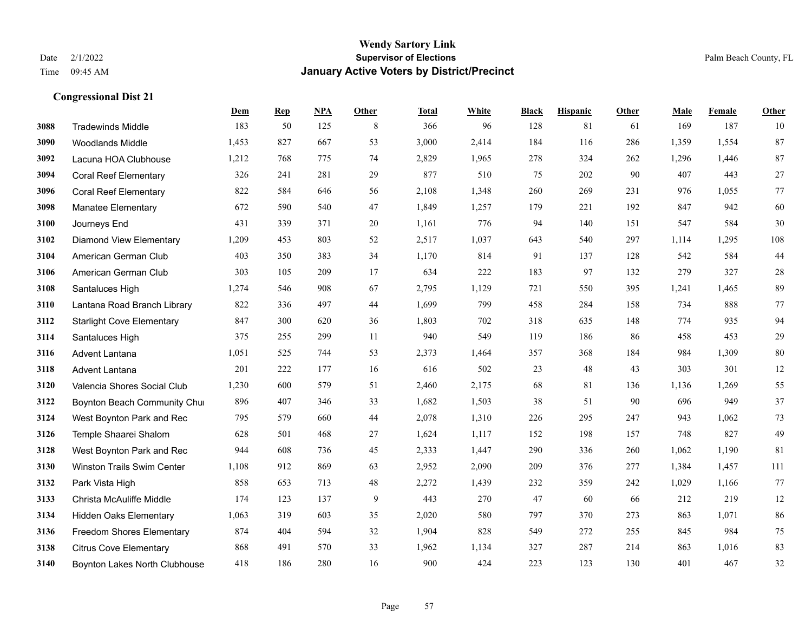|      |                                  | Dem   | <b>Rep</b> | NPA | <b>Other</b> | <b>Total</b> | <b>White</b> | <b>Black</b> | <b>Hispanic</b> | Other | <b>Male</b> | Female | <b>Other</b> |
|------|----------------------------------|-------|------------|-----|--------------|--------------|--------------|--------------|-----------------|-------|-------------|--------|--------------|
| 3088 | <b>Tradewinds Middle</b>         | 183   | 50         | 125 | 8            | 366          | 96           | 128          | 81              | 61    | 169         | 187    | 10           |
| 3090 | <b>Woodlands Middle</b>          | 1,453 | 827        | 667 | 53           | 3,000        | 2,414        | 184          | 116             | 286   | 1,359       | 1,554  | 87           |
| 3092 | Lacuna HOA Clubhouse             | 1,212 | 768        | 775 | 74           | 2,829        | 1,965        | 278          | 324             | 262   | 1,296       | 1,446  | 87           |
| 3094 | <b>Coral Reef Elementary</b>     | 326   | 241        | 281 | 29           | 877          | 510          | 75           | 202             | 90    | 407         | 443    | $27\,$       |
| 3096 | <b>Coral Reef Elementary</b>     | 822   | 584        | 646 | 56           | 2,108        | 1,348        | 260          | 269             | 231   | 976         | 1,055  | $77\,$       |
| 3098 | <b>Manatee Elementary</b>        | 672   | 590        | 540 | 47           | 1,849        | 1,257        | 179          | 221             | 192   | 847         | 942    | 60           |
| 3100 | Journeys End                     | 431   | 339        | 371 | 20           | 1,161        | 776          | 94           | 140             | 151   | 547         | 584    | 30           |
| 3102 | <b>Diamond View Elementary</b>   | 1,209 | 453        | 803 | 52           | 2,517        | 1,037        | 643          | 540             | 297   | 1,114       | 1,295  | 108          |
| 3104 | American German Club             | 403   | 350        | 383 | 34           | 1,170        | 814          | 91           | 137             | 128   | 542         | 584    | 44           |
| 3106 | American German Club             | 303   | 105        | 209 | 17           | 634          | 222          | 183          | 97              | 132   | 279         | 327    | $28\,$       |
| 3108 | Santaluces High                  | 1,274 | 546        | 908 | 67           | 2,795        | 1,129        | 721          | 550             | 395   | 1,241       | 1,465  | 89           |
| 3110 | Lantana Road Branch Library      | 822   | 336        | 497 | 44           | 1,699        | 799          | 458          | 284             | 158   | 734         | 888    | 77           |
| 3112 | <b>Starlight Cove Elementary</b> | 847   | 300        | 620 | 36           | 1,803        | 702          | 318          | 635             | 148   | 774         | 935    | 94           |
| 3114 | Santaluces High                  | 375   | 255        | 299 | 11           | 940          | 549          | 119          | 186             | 86    | 458         | 453    | 29           |
| 3116 | Advent Lantana                   | 1,051 | 525        | 744 | 53           | 2,373        | 1,464        | 357          | 368             | 184   | 984         | 1,309  | $80\,$       |
| 3118 | Advent Lantana                   | 201   | 222        | 177 | 16           | 616          | 502          | 23           | 48              | 43    | 303         | 301    | $12\,$       |
| 3120 | Valencia Shores Social Club      | 1,230 | 600        | 579 | 51           | 2,460        | 2,175        | 68           | 81              | 136   | 1,136       | 1,269  | 55           |
| 3122 | Boynton Beach Community Chur     | 896   | 407        | 346 | 33           | 1,682        | 1,503        | 38           | 51              | 90    | 696         | 949    | 37           |
| 3124 | West Boynton Park and Rec        | 795   | 579        | 660 | 44           | 2,078        | 1,310        | 226          | 295             | 247   | 943         | 1,062  | $73\,$       |
| 3126 | Temple Shaarei Shalom            | 628   | 501        | 468 | 27           | 1,624        | 1,117        | 152          | 198             | 157   | 748         | 827    | 49           |
| 3128 | West Boynton Park and Rec        | 944   | 608        | 736 | 45           | 2,333        | 1,447        | 290          | 336             | 260   | 1,062       | 1,190  | 81           |
| 3130 | Winston Trails Swim Center       | 1,108 | 912        | 869 | 63           | 2,952        | 2,090        | 209          | 376             | 277   | 1,384       | 1,457  | 111          |
| 3132 | Park Vista High                  | 858   | 653        | 713 | 48           | 2,272        | 1,439        | 232          | 359             | 242   | 1,029       | 1,166  | 77           |
| 3133 | Christa McAuliffe Middle         | 174   | 123        | 137 | 9            | 443          | 270          | 47           | 60              | 66    | 212         | 219    | 12           |
| 3134 | <b>Hidden Oaks Elementary</b>    | 1,063 | 319        | 603 | 35           | 2,020        | 580          | 797          | 370             | 273   | 863         | 1,071  | 86           |
| 3136 | <b>Freedom Shores Elementary</b> | 874   | 404        | 594 | 32           | 1,904        | 828          | 549          | 272             | 255   | 845         | 984    | 75           |
| 3138 | <b>Citrus Cove Elementary</b>    | 868   | 491        | 570 | 33           | 1,962        | 1,134        | 327          | 287             | 214   | 863         | 1,016  | 83           |
| 3140 | Boynton Lakes North Clubhouse    | 418   | 186        | 280 | 16           | 900          | 424          | 223          | 123             | 130   | 401         | 467    | 32           |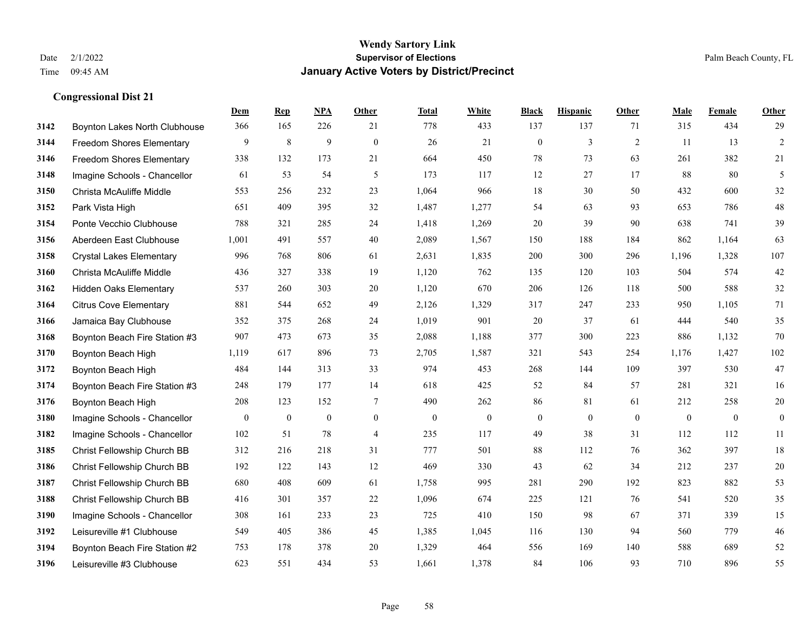|      |                                  | Dem          | <b>Rep</b>       | NPA              | <b>Other</b>   | <b>Total</b> | <b>White</b>     | <b>Black</b>     | <b>Hispanic</b> | <b>Other</b> | <b>Male</b>  | Female       | <b>Other</b>     |
|------|----------------------------------|--------------|------------------|------------------|----------------|--------------|------------------|------------------|-----------------|--------------|--------------|--------------|------------------|
| 3142 | Boynton Lakes North Clubhouse    | 366          | 165              | 226              | 21             | 778          | 433              | 137              | 137             | 71           | 315          | 434          | 29               |
| 3144 | <b>Freedom Shores Elementary</b> | 9            | 8                | 9                | $\mathbf{0}$   | 26           | 21               | $\mathbf{0}$     | 3               | 2            | 11           | 13           | $\overline{2}$   |
| 3146 | Freedom Shores Elementary        | 338          | 132              | 173              | 21             | 664          | 450              | 78               | 73              | 63           | 261          | 382          | 21               |
| 3148 | Imagine Schools - Chancellor     | 61           | 53               | 54               | 5              | 173          | 117              | 12               | 27              | 17           | 88           | 80           | 5                |
| 3150 | Christa McAuliffe Middle         | 553          | 256              | 232              | 23             | 1.064        | 966              | 18               | 30              | 50           | 432          | 600          | 32               |
| 3152 | Park Vista High                  | 651          | 409              | 395              | 32             | 1,487        | 1,277            | 54               | 63              | 93           | 653          | 786          | $48\,$           |
| 3154 | Ponte Vecchio Clubhouse          | 788          | 321              | 285              | 24             | 1,418        | 1,269            | 20               | 39              | 90           | 638          | 741          | 39               |
| 3156 | Aberdeen East Clubhouse          | 1,001        | 491              | 557              | 40             | 2,089        | 1,567            | 150              | 188             | 184          | 862          | 1,164        | 63               |
| 3158 | <b>Crystal Lakes Elementary</b>  | 996          | 768              | 806              | 61             | 2,631        | 1,835            | 200              | 300             | 296          | 1,196        | 1,328        | 107              |
| 3160 | Christa McAuliffe Middle         | 436          | 327              | 338              | 19             | 1,120        | 762              | 135              | 120             | 103          | 504          | 574          | $42\,$           |
| 3162 | <b>Hidden Oaks Elementary</b>    | 537          | 260              | 303              | 20             | 1,120        | 670              | 206              | 126             | 118          | 500          | 588          | $32\,$           |
| 3164 | <b>Citrus Cove Elementary</b>    | 881          | 544              | 652              | 49             | 2,126        | 1,329            | 317              | 247             | 233          | 950          | 1,105        | 71               |
| 3166 | Jamaica Bay Clubhouse            | 352          | 375              | 268              | 24             | 1,019        | 901              | 20               | 37              | 61           | 444          | 540          | 35               |
| 3168 | Boynton Beach Fire Station #3    | 907          | 473              | 673              | 35             | 2,088        | 1,188            | 377              | 300             | 223          | 886          | 1,132        | 70               |
| 3170 | Boynton Beach High               | 1,119        | 617              | 896              | 73             | 2,705        | 1,587            | 321              | 543             | 254          | 1,176        | 1,427        | 102              |
| 3172 | Boynton Beach High               | 484          | 144              | 313              | 33             | 974          | 453              | 268              | 144             | 109          | 397          | 530          | 47               |
| 3174 | Boynton Beach Fire Station #3    | 248          | 179              | 177              | 14             | 618          | 425              | 52               | 84              | 57           | 281          | 321          | 16               |
| 3176 | Boynton Beach High               | 208          | 123              | 152              | $\overline{7}$ | 490          | 262              | 86               | 81              | 61           | 212          | 258          | $20\,$           |
| 3180 | Imagine Schools - Chancellor     | $\mathbf{0}$ | $\boldsymbol{0}$ | $\boldsymbol{0}$ | $\overline{0}$ | $\mathbf{0}$ | $\boldsymbol{0}$ | $\boldsymbol{0}$ | $\mathbf{0}$    | $\mathbf{0}$ | $\mathbf{0}$ | $\mathbf{0}$ | $\boldsymbol{0}$ |
| 3182 | Imagine Schools - Chancellor     | 102          | 51               | 78               | $\overline{4}$ | 235          | 117              | 49               | 38              | 31           | 112          | 112          | $11\,$           |
| 3185 | Christ Fellowship Church BB      | 312          | 216              | 218              | 31             | 777          | 501              | 88               | 112             | 76           | 362          | 397          | $18\,$           |
| 3186 | Christ Fellowship Church BB      | 192          | 122              | 143              | 12             | 469          | 330              | 43               | 62              | 34           | 212          | 237          | $20\,$           |
| 3187 | Christ Fellowship Church BB      | 680          | 408              | 609              | 61             | 1,758        | 995              | 281              | 290             | 192          | 823          | 882          | 53               |
| 3188 | Christ Fellowship Church BB      | 416          | 301              | 357              | 22             | 1,096        | 674              | 225              | 121             | 76           | 541          | 520          | 35               |
| 3190 | Imagine Schools - Chancellor     | 308          | 161              | 233              | 23             | 725          | 410              | 150              | 98              | 67           | 371          | 339          | 15               |
| 3192 | Leisureville #1 Clubhouse        | 549          | 405              | 386              | 45             | 1,385        | 1,045            | 116              | 130             | 94           | 560          | 779          | $46\,$           |
| 3194 | Boynton Beach Fire Station #2    | 753          | 178              | 378              | 20             | 1,329        | 464              | 556              | 169             | 140          | 588          | 689          | $52\,$           |
| 3196 | Leisureville #3 Clubhouse        | 623          | 551              | 434              | 53             | 1,661        | 1,378            | 84               | 106             | 93           | 710          | 896          | 55               |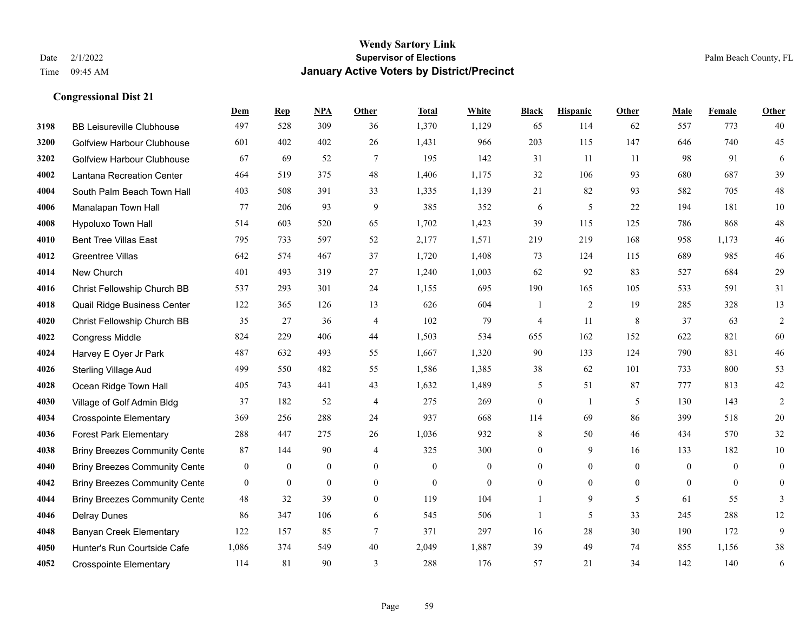|      |                                      | Dem            | <b>Rep</b>       | NPA              | <b>Other</b>   | <b>Total</b> | White          | <b>Black</b>     | <b>Hispanic</b> | <b>Other</b>   | <b>Male</b>    | Female         | <b>Other</b>     |
|------|--------------------------------------|----------------|------------------|------------------|----------------|--------------|----------------|------------------|-----------------|----------------|----------------|----------------|------------------|
| 3198 | <b>BB Leisureville Clubhouse</b>     | 497            | 528              | 309              | 36             | 1,370        | 1,129          | 65               | 114             | 62             | 557            | 773            | 40               |
| 3200 | <b>Golfview Harbour Clubhouse</b>    | 601            | 402              | 402              | 26             | 1,431        | 966            | 203              | 115             | 147            | 646            | 740            | 45               |
| 3202 | Golfview Harbour Clubhouse           | 67             | 69               | 52               | 7              | 195          | 142            | 31               | 11              | -11            | 98             | 91             | 6                |
| 4002 | Lantana Recreation Center            | 464            | 519              | 375              | 48             | 1,406        | 1,175          | 32               | 106             | 93             | 680            | 687            | 39               |
| 4004 | South Palm Beach Town Hall           | 403            | 508              | 391              | 33             | 1,335        | 1,139          | 21               | 82              | 93             | 582            | 705            | $48\,$           |
| 4006 | Manalapan Town Hall                  | 77             | 206              | 93               | 9              | 385          | 352            | 6                | 5               | 22             | 194            | 181            | $10\,$           |
| 4008 | Hypoluxo Town Hall                   | 514            | 603              | 520              | 65             | 1,702        | 1,423          | 39               | 115             | 125            | 786            | 868            | $48\,$           |
| 4010 | <b>Bent Tree Villas East</b>         | 795            | 733              | 597              | 52             | 2,177        | 1,571          | 219              | 219             | 168            | 958            | 1,173          | $46\,$           |
| 4012 | <b>Greentree Villas</b>              | 642            | 574              | 467              | 37             | 1,720        | 1,408          | 73               | 124             | 115            | 689            | 985            | $46\,$           |
| 4014 | New Church                           | 401            | 493              | 319              | 27             | 1,240        | 1,003          | 62               | 92              | 83             | 527            | 684            | 29               |
| 4016 | Christ Fellowship Church BB          | 537            | 293              | 301              | 24             | 1,155        | 695            | 190              | 165             | 105            | 533            | 591            | 31               |
| 4018 | Quail Ridge Business Center          | 122            | 365              | 126              | 13             | 626          | 604            | 1                | $\overline{2}$  | 19             | 285            | 328            | 13               |
| 4020 | Christ Fellowship Church BB          | 35             | 27               | 36               | $\overline{4}$ | 102          | 79             | $\overline{4}$   | 11              | 8              | 37             | 63             | $\overline{c}$   |
| 4022 | <b>Congress Middle</b>               | 824            | 229              | 406              | 44             | 1,503        | 534            | 655              | 162             | 152            | 622            | 821            | 60               |
| 4024 | Harvey E Oyer Jr Park                | 487            | 632              | 493              | 55             | 1,667        | 1,320          | 90               | 133             | 124            | 790            | 831            | $46\,$           |
| 4026 | <b>Sterling Village Aud</b>          | 499            | 550              | 482              | 55             | 1,586        | 1,385          | 38               | 62              | 101            | 733            | 800            | 53               |
| 4028 | Ocean Ridge Town Hall                | 405            | 743              | 441              | 43             | 1,632        | 1,489          | 5                | 51              | 87             | 777            | 813            | $42\,$           |
| 4030 | Village of Golf Admin Bldg           | 37             | 182              | 52               | $\overline{4}$ | 275          | 269            | $\boldsymbol{0}$ | $\mathbf{1}$    | 5              | 130            | 143            | 2                |
| 4034 | <b>Crosspointe Elementary</b>        | 369            | 256              | 288              | 24             | 937          | 668            | 114              | 69              | 86             | 399            | 518            | $20\,$           |
| 4036 | <b>Forest Park Elementary</b>        | 288            | 447              | 275              | 26             | 1,036        | 932            | 8                | 50              | 46             | 434            | 570            | 32               |
| 4038 | <b>Briny Breezes Community Cente</b> | 87             | 144              | 90               | $\overline{4}$ | 325          | 300            | $\mathbf{0}$     | 9               | 16             | 133            | 182            | $10\,$           |
| 4040 | <b>Briny Breezes Community Cente</b> | $\mathbf{0}$   | $\boldsymbol{0}$ | $\mathbf{0}$     | $\overline{0}$ | $\mathbf{0}$ | $\mathbf{0}$   | $\overline{0}$   | $\mathbf{0}$    | $\theta$       | $\mathbf{0}$   | $\theta$       | $\boldsymbol{0}$ |
| 4042 | <b>Briny Breezes Community Cente</b> | $\overline{0}$ | $\bf{0}$         | $\boldsymbol{0}$ | $\overline{0}$ | $\theta$     | $\overline{0}$ | 0                | $\mathbf{0}$    | $\overline{0}$ | $\overline{0}$ | $\overline{0}$ | $\boldsymbol{0}$ |
| 4044 | <b>Briny Breezes Community Cente</b> | 48             | 32               | 39               | $\overline{0}$ | 119          | 104            | 1                | 9               | 5              | 61             | 55             | 3                |
| 4046 | <b>Delray Dunes</b>                  | 86             | 347              | 106              | 6              | 545          | 506            | 1                | 5               | 33             | 245            | 288            | 12               |
| 4048 | <b>Banyan Creek Elementary</b>       | 122            | 157              | 85               | 7              | 371          | 297            | 16               | 28              | 30             | 190            | 172            | 9                |
| 4050 | Hunter's Run Courtside Cafe          | 1,086          | 374              | 549              | 40             | 2,049        | 1,887          | 39               | 49              | 74             | 855            | 1,156          | 38               |
| 4052 | <b>Crosspointe Elementary</b>        | 114            | 81               | 90               | 3              | 288          | 176            | 57               | 21              | 34             | 142            | 140            | $\sqrt{6}$       |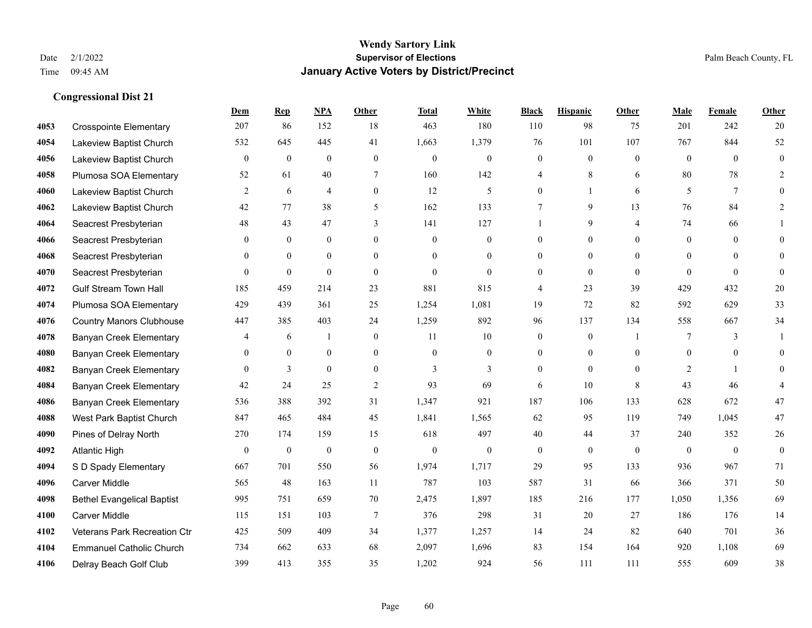**Congressional Dist 21**

#### **Wendy Sartory Link** Date 2/1/2022 **Supervisor of Elections** Palm Beach County, FL Time 09:45 AM **January Active Voters by District/Precinct**

# **Dem Rep NPA Other Total White Black Hispanic Other Male Female Other** Crosspointe Elementary 207 86 152 18 463 180 110 98 75 201 242 20 Lakeview Baptist Church 532 645 445 41 1,663 1,379 76 101 107 767 844 52 Lakeview Baptist Church 0 0 0 0 0 0 0 0 0 0 0 0 Plumosa SOA Elementary 52 61 40 7 160 142 4 8 6 80 78 2 Lakeview Baptist Church 2 6 4 0 12 5 0 1 6 5 7 0 Lakeview Baptist Church 42 77 38 5 162 133 7 9 13 76 84 2 Seacrest Presbyterian **48** 43 47 3 141 127 1 9 4 74 66 1 Seacrest Presbyterian 0 0 0 0 0 0 0 0 0 0 0 0 Seacrest Presbyterian 0 0 0 0 0 0 0 0 0 0 0 0 Seacrest Presbyterian 0 0 0 0 0 0 0 0 0 0 0 0 Gulf Stream Town Hall 185 459 214 23 881 815 4 23 39 429 432 20 Plumosa SOA Elementary 429 439 361 25 1,254 1,081 19 72 82 592 629 33 Country Manors Clubhouse 447 385 403 24 1,259 892 96 137 134 558 667 34 Banyan Creek Elementary 4 6 1 0 11 10 0 0 1 7 3 1 Banyan Creek Elementary 0 0 0 0 0 0 0 0 0 0 0 0 **4082 Banyan Creek Elementary 0 3 0 0 3 3 3 0 0 0 2 1 0**  Banyan Creek Elementary 42 24 25 2 93 69 6 10 8 43 46 4 Banyan Creek Elementary 536 388 392 31 1,347 921 187 106 133 628 672 47 West Park Baptist Church 847 465 484 45 1,841 1,565 62 95 119 749 1,045 47 Pines of Delray North 270 174 159 15 618 497 40 44 37 240 352 26 Atlantic High 0 0 0 0 0 0 0 0 0 0 0 0 S D Spady Elementary 667 701 550 56 1,974 1,717 29 95 133 936 967 71 Carver Middle 565 48 163 11 787 103 587 31 66 366 371 50 Bethel Evangelical Baptist 995 751 659 70 2,475 1,897 185 216 177 1,050 1,356 69 Carver Middle 115 151 103 7 376 298 31 20 27 186 176 14 Veterans Park Recreation Ctr 425 509 409 34 1,377 1,257 14 24 82 640 701 36 Emmanuel Catholic Church 734 662 633 68 2,097 1,696 83 154 164 920 1,108 69 Delray Beach Golf Club 399 413 355 35 1,202 924 56 111 111 555 609 38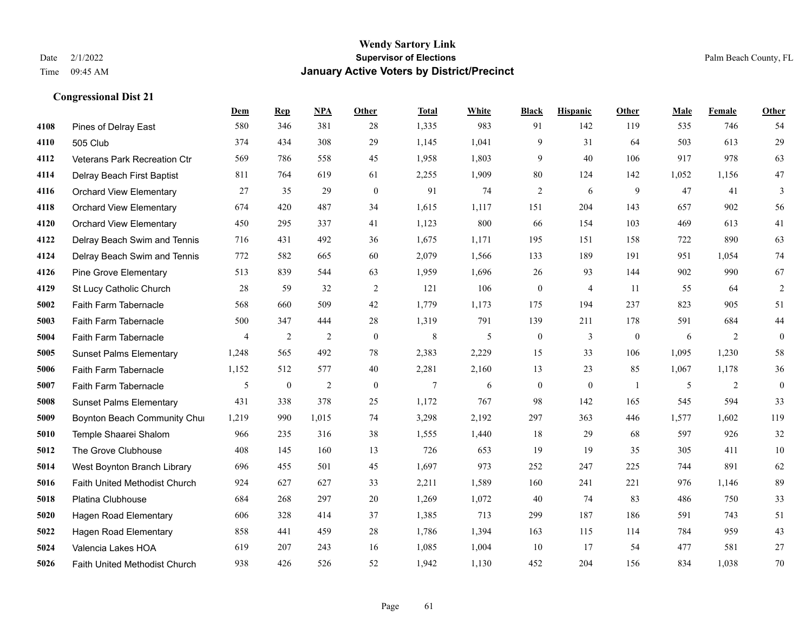|      |                                | Dem            | <b>Rep</b>     | NPA            | <b>Other</b>   | <b>Total</b> | White         | <b>Black</b>     | <b>Hispanic</b> | Other        | <b>Male</b> | Female         | <b>Other</b>     |
|------|--------------------------------|----------------|----------------|----------------|----------------|--------------|---------------|------------------|-----------------|--------------|-------------|----------------|------------------|
| 4108 | Pines of Delray East           | 580            | 346            | 381            | 28             | 1,335        | 983           | 91               | 142             | 119          | 535         | 746            | 54               |
| 4110 | 505 Club                       | 374            | 434            | 308            | 29             | 1,145        | 1,041         | 9                | 31              | 64           | 503         | 613            | 29               |
| 4112 | Veterans Park Recreation Ctr   | 569            | 786            | 558            | 45             | 1,958        | 1,803         | 9                | 40              | 106          | 917         | 978            | 63               |
| 4114 | Delray Beach First Baptist     | 811            | 764            | 619            | 61             | 2,255        | 1,909         | 80               | 124             | 142          | 1,052       | 1,156          | 47               |
| 4116 | <b>Orchard View Elementary</b> | 27             | 35             | 29             | $\overline{0}$ | 91           | 74            | $\overline{2}$   | 6               | 9            | 47          | 41             | 3                |
| 4118 | <b>Orchard View Elementary</b> | 674            | 420            | 487            | 34             | 1,615        | 1,117         | 151              | 204             | 143          | 657         | 902            | 56               |
| 4120 | <b>Orchard View Elementary</b> | 450            | 295            | 337            | 41             | 1,123        | 800           | 66               | 154             | 103          | 469         | 613            | 41               |
| 4122 | Delray Beach Swim and Tennis   | 716            | 431            | 492            | 36             | 1,675        | 1,171         | 195              | 151             | 158          | 722         | 890            | 63               |
| 4124 | Delray Beach Swim and Tennis   | 772            | 582            | 665            | 60             | 2,079        | 1,566         | 133              | 189             | 191          | 951         | 1.054          | $74\,$           |
| 4126 | <b>Pine Grove Elementary</b>   | 513            | 839            | 544            | 63             | 1,959        | 1,696         | 26               | 93              | 144          | 902         | 990            | 67               |
| 4129 | St Lucy Catholic Church        | 28             | 59             | 32             | 2              | 121          | 106           | $\boldsymbol{0}$ | $\overline{4}$  | -11          | 55          | 64             | $\overline{2}$   |
| 5002 | Faith Farm Tabernacle          | 568            | 660            | 509            | 42             | 1,779        | 1,173         | 175              | 194             | 237          | 823         | 905            | 51               |
| 5003 | Faith Farm Tabernacle          | 500            | 347            | 444            | 28             | 1,319        | 791           | 139              | 211             | 178          | 591         | 684            | $44\,$           |
| 5004 | Faith Farm Tabernacle          | $\overline{4}$ | $\overline{2}$ | $\overline{2}$ | $\mathbf{0}$   | $\,$ 8 $\,$  | $\mathfrak s$ | $\boldsymbol{0}$ | 3               | $\mathbf{0}$ | 6           | $\overline{2}$ | $\boldsymbol{0}$ |
| 5005 | <b>Sunset Palms Elementary</b> | 1,248          | 565            | 492            | 78             | 2,383        | 2,229         | 15               | 33              | 106          | 1,095       | 1,230          | 58               |
| 5006 | Faith Farm Tabernacle          | 1,152          | 512            | 577            | 40             | 2,281        | 2,160         | 13               | 23              | 85           | 1,067       | 1,178          | 36               |
| 5007 | Faith Farm Tabernacle          | 5              | $\bf{0}$       | $\overline{2}$ | $\overline{0}$ | 7            | 6             | $\boldsymbol{0}$ | $\mathbf{0}$    | -1           | 5           | 2              | $\mathbf{0}$     |
| 5008 | <b>Sunset Palms Elementary</b> | 431            | 338            | 378            | 25             | 1,172        | 767           | 98               | 142             | 165          | 545         | 594            | 33               |
| 5009 | Boynton Beach Community Chur   | 1,219          | 990            | 1,015          | 74             | 3,298        | 2,192         | 297              | 363             | 446          | 1,577       | 1,602          | 119              |
| 5010 | Temple Shaarei Shalom          | 966            | 235            | 316            | 38             | 1,555        | 1,440         | 18               | 29              | 68           | 597         | 926            | $32\,$           |
| 5012 | The Grove Clubhouse            | 408            | 145            | 160            | 13             | 726          | 653           | 19               | 19              | 35           | 305         | 411            | 10               |
| 5014 | West Boynton Branch Library    | 696            | 455            | 501            | 45             | 1,697        | 973           | 252              | 247             | 225          | 744         | 891            | 62               |
| 5016 | Faith United Methodist Church  | 924            | 627            | 627            | 33             | 2,211        | 1,589         | 160              | 241             | 221          | 976         | 1,146          | 89               |
| 5018 | Platina Clubhouse              | 684            | 268            | 297            | 20             | 1,269        | 1,072         | 40               | 74              | 83           | 486         | 750            | 33               |
| 5020 | <b>Hagen Road Elementary</b>   | 606            | 328            | 414            | 37             | 1,385        | 713           | 299              | 187             | 186          | 591         | 743            | 51               |
| 5022 | Hagen Road Elementary          | 858            | 441            | 459            | 28             | 1,786        | 1,394         | 163              | 115             | 114          | 784         | 959            | 43               |
| 5024 | Valencia Lakes HOA             | 619            | 207            | 243            | 16             | 1,085        | 1,004         | 10               | 17              | 54           | 477         | 581            | 27               |
| 5026 | Faith United Methodist Church  | 938            | 426            | 526            | 52             | 1,942        | 1,130         | 452              | 204             | 156          | 834         | 1,038          | 70               |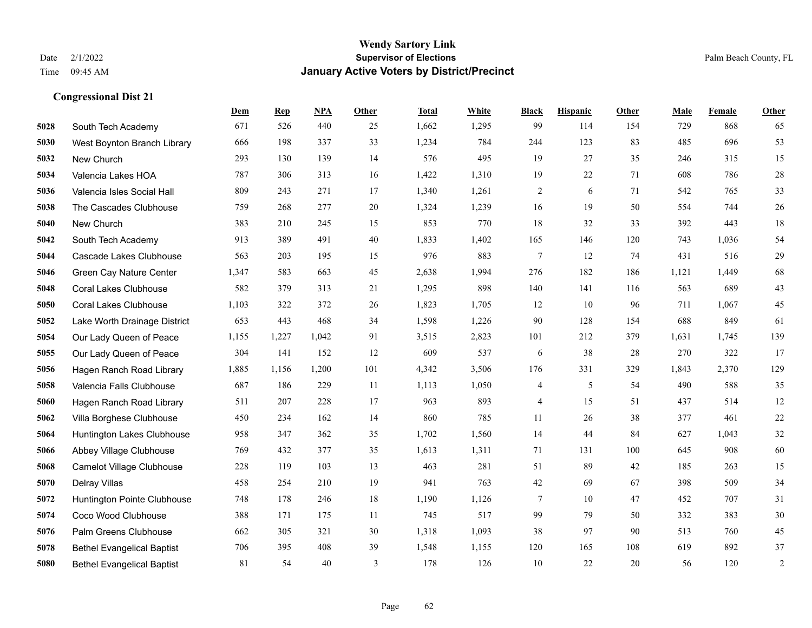**Congressional Dist 21**

#### **Wendy Sartory Link** Date 2/1/2022 **Supervisor of Elections** Palm Beach County, FL Time 09:45 AM **January Active Voters by District/Precinct**

# **Dem Rep NPA Other Total White Black Hispanic Other Male Female Other** South Tech Academy 671 526 440 25 1,662 1,295 99 114 154 729 868 65 West Boynton Branch Library 666 198 337 33 1,234 784 244 123 83 485 696 53 New Church 293 130 139 14 576 495 19 27 35 246 315 15 Valencia Lakes HOA 787 306 313 16 1,422 1,310 19 22 71 608 786 28 Valencia Isles Social Hall 809 243 271 17 1,340 1,261 2 6 71 542 765 33 The Cascades Clubhouse 759 268 277 20 1,324 1,239 16 19 50 554 744 26 New Church 383 210 245 15 853 770 18 32 33 392 443 18 South Tech Academy 913 389 491 40 1,833 1,402 165 146 120 743 1,036 54 Cascade Lakes Clubhouse 563 203 195 15 976 883 7 12 74 431 516 29 Green Cay Nature Center 1,347 583 663 45 2,638 1,994 276 182 186 1,121 1,449 68 Coral Lakes Clubhouse 582 379 313 21 1,295 898 140 141 116 563 689 43 Coral Lakes Clubhouse 1,103 322 372 26 1,823 1,705 12 10 96 711 1,067 45 Lake Worth Drainage District 653 443 468 34 1,598 1,226 90 128 154 688 849 61 Our Lady Queen of Peace 1,155 1,227 1,042 91 3,515 2,823 101 212 379 1,631 1,745 139 Our Lady Queen of Peace 304 141 152 12 609 537 6 38 28 270 322 17 Hagen Ranch Road Library 1,885 1,156 1,200 101 4,342 3,506 176 331 329 1,843 2,370 129 Valencia Falls Clubhouse 687 186 229 11 1,113 1,050 4 5 54 490 588 35 Hagen Ranch Road Library 511 207 228 17 963 893 4 15 51 437 514 12 Villa Borghese Clubhouse 450 234 162 14 860 785 11 26 38 377 461 22 Huntington Lakes Clubhouse 958 347 362 35 1,702 1,560 14 44 84 627 1,043 32 Abbey Village Clubhouse 769 432 377 35 1,613 1,311 71 131 100 645 908 60 Camelot Village Clubhouse 228 119 103 13 463 281 51 89 42 185 263 15 Delray Villas 458 254 210 19 941 763 42 69 67 398 509 34 Huntington Pointe Clubhouse 748 178 246 18 1,190 1,126 7 10 47 452 707 31 Coco Wood Clubhouse 388 171 175 11 745 517 99 79 50 332 383 30 Palm Greens Clubhouse 662 305 321 30 1,318 1,093 38 97 90 513 760 45 Bethel Evangelical Baptist 706 395 408 39 1,548 1,155 120 165 108 619 892 37 Bethel Evangelical Baptist 81 54 40 3 178 126 10 22 20 56 120 2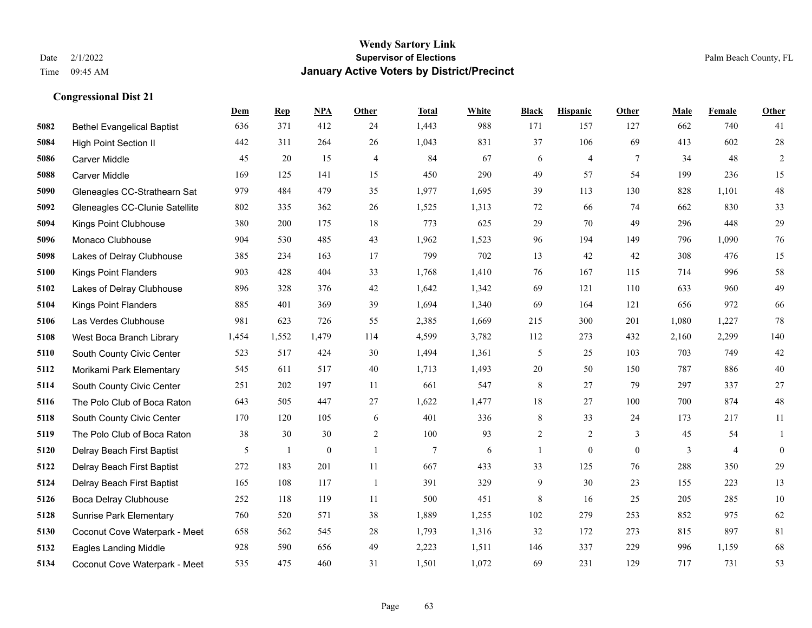|      |                                   | Dem   | <b>Rep</b>   | NPA          | <b>Other</b>   | <b>Total</b>   | <b>White</b> | <b>Black</b>   | <b>Hispanic</b> | <b>Other</b> | <b>Male</b> | <b>Female</b>  | <b>Other</b>     |
|------|-----------------------------------|-------|--------------|--------------|----------------|----------------|--------------|----------------|-----------------|--------------|-------------|----------------|------------------|
| 5082 | <b>Bethel Evangelical Baptist</b> | 636   | 371          | 412          | 24             | 1,443          | 988          | 171            | 157             | 127          | 662         | 740            | 41               |
| 5084 | <b>High Point Section II</b>      | 442   | 311          | 264          | 26             | 1,043          | 831          | 37             | 106             | 69           | 413         | 602            | $28\,$           |
| 5086 | <b>Carver Middle</b>              | 45    | 20           | 15           | $\overline{4}$ | 84             | 67           | 6              | $\overline{4}$  | $\tau$       | 34          | 48             | $\overline{2}$   |
| 5088 | Carver Middle                     | 169   | 125          | 141          | 15             | 450            | 290          | 49             | 57              | 54           | 199         | 236            | 15               |
| 5090 | Gleneagles CC-Strathearn Sat      | 979   | 484          | 479          | 35             | 1,977          | 1,695        | 39             | 113             | 130          | 828         | 1,101          | $48\,$           |
| 5092 | Gleneagles CC-Clunie Satellite    | 802   | 335          | 362          | 26             | 1,525          | 1,313        | 72             | 66              | 74           | 662         | 830            | 33               |
| 5094 | Kings Point Clubhouse             | 380   | 200          | 175          | 18             | 773            | 625          | 29             | 70              | 49           | 296         | 448            | $29\,$           |
| 5096 | Monaco Clubhouse                  | 904   | 530          | 485          | 43             | 1,962          | 1,523        | 96             | 194             | 149          | 796         | 1,090          | $76\,$           |
| 5098 | Lakes of Delray Clubhouse         | 385   | 234          | 163          | 17             | 799            | 702          | 13             | 42              | 42           | 308         | 476            | 15               |
| 5100 | <b>Kings Point Flanders</b>       | 903   | 428          | 404          | 33             | 1,768          | 1,410        | 76             | 167             | 115          | 714         | 996            | 58               |
| 5102 | Lakes of Delray Clubhouse         | 896   | 328          | 376          | 42             | 1,642          | 1,342        | 69             | 121             | 110          | 633         | 960            | 49               |
| 5104 | <b>Kings Point Flanders</b>       | 885   | 401          | 369          | 39             | 1,694          | 1,340        | 69             | 164             | 121          | 656         | 972            | 66               |
| 5106 | Las Verdes Clubhouse              | 981   | 623          | 726          | 55             | 2,385          | 1,669        | 215            | 300             | 201          | 1,080       | 1,227          | 78               |
| 5108 | West Boca Branch Library          | 1,454 | 1,552        | 1,479        | 114            | 4,599          | 3,782        | 112            | 273             | 432          | 2,160       | 2,299          | 140              |
| 5110 | South County Civic Center         | 523   | 517          | 424          | 30             | 1,494          | 1,361        | 5              | 25              | 103          | 703         | 749            | $42\,$           |
| 5112 | Morikami Park Elementary          | 545   | 611          | 517          | 40             | 1,713          | 1,493        | 20             | 50              | 150          | 787         | 886            | $40\,$           |
| 5114 | South County Civic Center         | 251   | 202          | 197          | 11             | 661            | 547          | $\,$ 8 $\,$    | 27              | 79           | 297         | 337            | $27\,$           |
| 5116 | The Polo Club of Boca Raton       | 643   | 505          | 447          | 27             | 1,622          | 1,477        | 18             | 27              | 100          | 700         | 874            | $48\,$           |
| 5118 | South County Civic Center         | 170   | 120          | 105          | 6              | 401            | 336          | 8              | 33              | 24           | 173         | 217            | 11               |
| 5119 | The Polo Club of Boca Raton       | 38    | 30           | 30           | $\overline{2}$ | 100            | 93           | $\overline{2}$ | 2               | 3            | 45          | 54             | 1                |
| 5120 | Delray Beach First Baptist        | 5     | $\mathbf{1}$ | $\mathbf{0}$ | $\overline{1}$ | $\overline{7}$ | 6            | $\mathbf{1}$   | $\mathbf{0}$    | $\theta$     | 3           | $\overline{4}$ | $\boldsymbol{0}$ |
| 5122 | Delray Beach First Baptist        | 272   | 183          | 201          | 11             | 667            | 433          | 33             | 125             | 76           | 288         | 350            | $29\,$           |
| 5124 | Delray Beach First Baptist        | 165   | 108          | 117          | -1             | 391            | 329          | 9              | 30              | 23           | 155         | 223            | 13               |
| 5126 | Boca Delray Clubhouse             | 252   | 118          | 119          | 11             | 500            | 451          | $\,$ 8 $\,$    | 16              | 25           | 205         | 285            | $10\,$           |
| 5128 | Sunrise Park Elementary           | 760   | 520          | 571          | 38             | 1,889          | 1,255        | 102            | 279             | 253          | 852         | 975            | 62               |
| 5130 | Coconut Cove Waterpark - Meet     | 658   | 562          | 545          | 28             | 1,793          | 1,316        | 32             | 172             | 273          | 815         | 897            | 81               |
| 5132 | <b>Eagles Landing Middle</b>      | 928   | 590          | 656          | 49             | 2,223          | 1,511        | 146            | 337             | 229          | 996         | 1,159          | 68               |
| 5134 | Coconut Cove Waterpark - Meet     | 535   | 475          | 460          | 31             | 1,501          | 1,072        | 69             | 231             | 129          | 717         | 731            | 53               |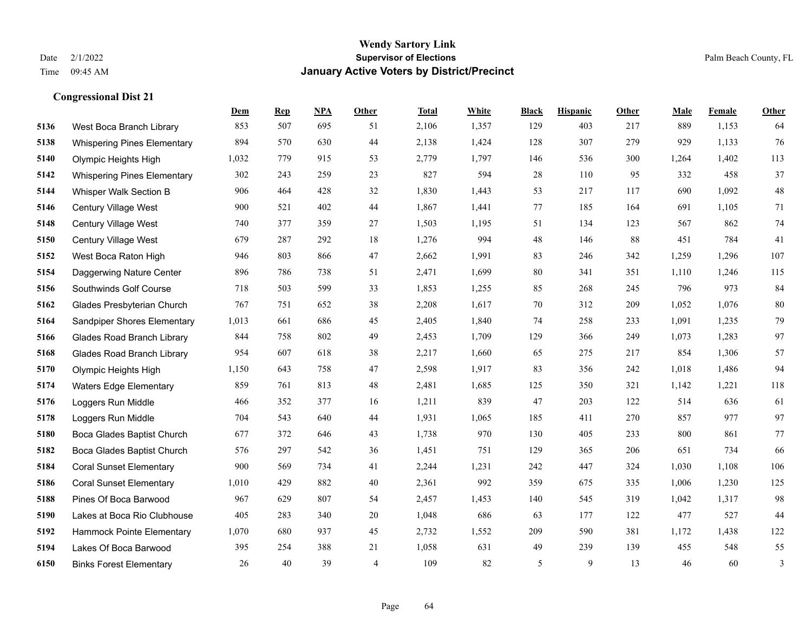**Congressional Dist 21**

#### **Wendy Sartory Link** Date 2/1/2022 **Supervisor of Elections** Palm Beach County, FL Time 09:45 AM **January Active Voters by District/Precinct**

# **Dem Rep NPA Other Total White Black Hispanic Other Male Female Other** West Boca Branch Library 853 507 695 51 2,106 1,357 129 403 217 889 1,153 64 Whispering Pines Elementary 894 570 630 44 2,138 1,424 128 307 279 929 1,133 76 Olympic Heights High 1,032 779 915 53 2,779 1,797 146 536 300 1,264 1,402 113 Whispering Pines Elementary 302 243 259 23 827 594 28 110 95 332 458 37 Whisper Walk Section B 906 464 428 32 1,830 1,443 53 217 117 690 1,092 48 Century Village West 900 521 402 44 1,867 1,441 77 185 164 691 1,105 71 Century Village West 740 377 359 27 1,503 1,195 51 134 123 567 862 74 Century Village West 679 287 292 18 1,276 994 48 146 88 451 784 41 West Boca Raton High 946 803 866 47 2,662 1,991 83 246 342 1,259 1,296 107 Daggerwing Nature Center 896 786 738 51 2,471 1,699 80 341 351 1,110 1,246 115 Southwinds Golf Course 718 503 599 33 1,853 1,255 85 268 245 796 973 84 Glades Presbyterian Church 767 751 652 38 2,208 1,617 70 312 209 1,052 1,076 80 Sandpiper Shores Elementary 1,013 661 686 45 2,405 1,840 74 258 233 1,091 1,235 79 Glades Road Branch Library 844 758 802 49 2,453 1,709 129 366 249 1,073 1,283 97 Glades Road Branch Library 954 607 618 38 2,217 1,660 65 275 217 854 1,306 57 Olympic Heights High 1,150 643 758 47 2,598 1,917 83 356 242 1,018 1,486 94 Waters Edge Elementary 859 761 813 48 2,481 1,685 125 350 321 1,142 1,221 118 Loggers Run Middle 466 352 377 16 1,211 839 47 203 122 514 636 61 Loggers Run Middle 704 543 640 44 1,931 1,065 185 411 270 857 977 97 Boca Glades Baptist Church 677 372 646 43 1,738 970 130 405 233 800 861 77 Boca Glades Baptist Church 576 297 542 36 1,451 751 129 365 206 651 734 66 Coral Sunset Elementary 900 569 734 41 2,244 1,231 242 447 324 1,030 1,108 106 Coral Sunset Elementary 1,010 429 882 40 2,361 992 359 675 335 1,006 1,230 125 Pines Of Boca Barwood 967 629 807 54 2,457 1,453 140 545 319 1,042 1,317 98 Lakes at Boca Rio Clubhouse 405 283 340 20 1,048 686 63 177 122 477 527 44 Hammock Pointe Elementary 1,070 680 937 45 2,732 1,552 209 590 381 1,172 1,438 122 Lakes Of Boca Barwood 395 254 388 21 1,058 631 49 239 139 455 548 55

Binks Forest Elementary 26 40 39 4 109 82 5 9 13 46 60 3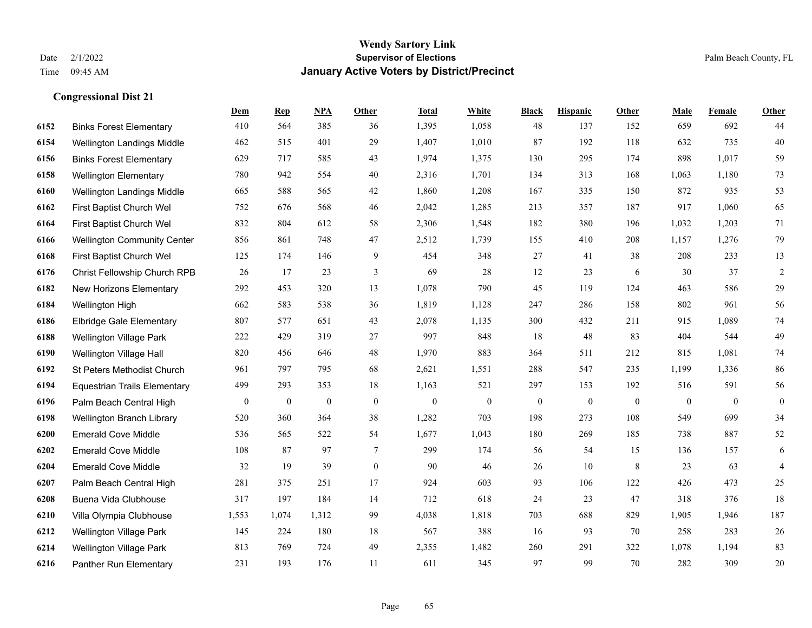**Congressional Dist 21**

## **Wendy Sartory Link** Date 2/1/2022 **Supervisor of Elections** Palm Beach County, FL Time 09:45 AM **January Active Voters by District/Precinct**

|      |                                     | Dem              | <b>Rep</b>       | NPA              | Other          | <b>Total</b>     | White            | <b>Black</b>     | <b>Hispanic</b> | Other        | Male           | Female       | Other            |
|------|-------------------------------------|------------------|------------------|------------------|----------------|------------------|------------------|------------------|-----------------|--------------|----------------|--------------|------------------|
| 6152 | <b>Binks Forest Elementary</b>      | 410              | 564              | 385              | 36             | 1,395            | 1,058            | 48               | 137             | 152          | 659            | 692          | 44               |
| 6154 | Wellington Landings Middle          | 462              | 515              | 401              | 29             | 1,407            | 1,010            | 87               | 192             | 118          | 632            | 735          | 40               |
| 6156 | <b>Binks Forest Elementary</b>      | 629              | 717              | 585              | 43             | 1,974            | 1,375            | 130              | 295             | 174          | 898            | 1,017        | 59               |
| 6158 | <b>Wellington Elementary</b>        | 780              | 942              | 554              | 40             | 2,316            | 1,701            | 134              | 313             | 168          | 1,063          | 1,180        | 73               |
| 6160 | Wellington Landings Middle          | 665              | 588              | 565              | 42             | 1,860            | 1,208            | 167              | 335             | 150          | 872            | 935          | 53               |
| 6162 | First Baptist Church Wel            | 752              | 676              | 568              | 46             | 2,042            | 1,285            | 213              | 357             | 187          | 917            | 1,060        | 65               |
| 6164 | First Baptist Church Wel            | 832              | 804              | 612              | 58             | 2,306            | 1,548            | 182              | 380             | 196          | 1,032          | 1,203        | 71               |
| 6166 | <b>Wellington Community Center</b>  | 856              | 861              | 748              | 47             | 2,512            | 1,739            | 155              | 410             | 208          | 1,157          | 1,276        | 79               |
| 6168 | First Baptist Church Wel            | 125              | 174              | 146              | 9              | 454              | 348              | 27               | 41              | 38           | 208            | 233          | 13               |
| 6176 | Christ Fellowship Church RPB        | 26               | 17               | 23               | $\mathfrak{Z}$ | 69               | 28               | 12               | 23              | 6            | 30             | 37           | $\sqrt{2}$       |
| 6182 | New Horizons Elementary             | 292              | 453              | 320              | 13             | 1,078            | 790              | 45               | 119             | 124          | 463            | 586          | 29               |
| 6184 | Wellington High                     | 662              | 583              | 538              | 36             | 1,819            | 1,128            | 247              | 286             | 158          | 802            | 961          | 56               |
| 6186 | <b>Elbridge Gale Elementary</b>     | 807              | 577              | 651              | 43             | 2,078            | 1,135            | 300              | 432             | 211          | 915            | 1,089        | 74               |
| 6188 | <b>Wellington Village Park</b>      | 222              | 429              | 319              | 27             | 997              | 848              | 18               | 48              | 83           | 404            | 544          | 49               |
| 6190 | Wellington Village Hall             | 820              | 456              | 646              | 48             | 1,970            | 883              | 364              | 511             | 212          | 815            | 1,081        | 74               |
| 6192 | St Peters Methodist Church          | 961              | 797              | 795              | 68             | 2,621            | 1,551            | 288              | 547             | 235          | 1,199          | 1,336        | 86               |
| 6194 | <b>Equestrian Trails Elementary</b> | 499              | 293              | 353              | 18             | 1,163            | 521              | 297              | 153             | 192          | 516            | 591          | 56               |
| 6196 | Palm Beach Central High             | $\boldsymbol{0}$ | $\boldsymbol{0}$ | $\boldsymbol{0}$ | $\mathbf{0}$   | $\boldsymbol{0}$ | $\boldsymbol{0}$ | $\boldsymbol{0}$ | $\theta$        | $\mathbf{0}$ | $\overline{0}$ | $\mathbf{0}$ | $\boldsymbol{0}$ |
| 6198 | Wellington Branch Library           | 520              | 360              | 364              | 38             | 1,282            | 703              | 198              | 273             | 108          | 549            | 699          | 34               |
| 6200 | <b>Emerald Cove Middle</b>          | 536              | 565              | 522              | 54             | 1,677            | 1,043            | 180              | 269             | 185          | 738            | 887          | $52\,$           |
| 6202 | <b>Emerald Cove Middle</b>          | 108              | 87               | 97               | $\tau$         | 299              | 174              | 56               | 54              | 15           | 136            | 157          | 6                |
| 6204 | <b>Emerald Cove Middle</b>          | 32               | 19               | 39               | $\mathbf{0}$   | 90               | 46               | 26               | 10              | 8            | 23             | 63           | $\overline{4}$   |
| 6207 | Palm Beach Central High             | 281              | 375              | 251              | 17             | 924              | 603              | 93               | 106             | 122          | 426            | 473          | 25               |
| 6208 | Buena Vida Clubhouse                | 317              | 197              | 184              | 14             | 712              | 618              | 24               | 23              | 47           | 318            | 376          | 18               |
| 6210 | Villa Olympia Clubhouse             | 1,553            | 1,074            | 1,312            | 99             | 4,038            | 1,818            | 703              | 688             | 829          | 1,905          | 1,946        | 187              |
| 6212 | Wellington Village Park             | 145              | 224              | 180              | 18             | 567              | 388              | 16               | 93              | 70           | 258            | 283          | $26\,$           |
| 6214 | <b>Wellington Village Park</b>      | 813              | 769              | 724              | 49             | 2,355            | 1,482            | 260              | 291             | 322          | 1,078          | 1,194        | 83               |
| 6216 | Panther Run Elementary              | 231              | 193              | 176              | 11             | 611              | 345              | 97               | 99              | 70           | 282            | 309          | 20               |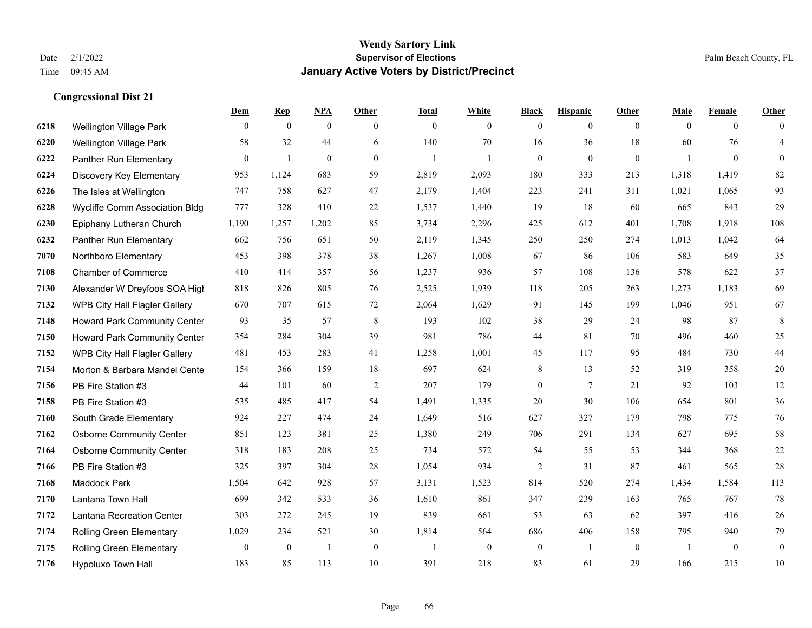|      |                                       | Dem            | <b>Rep</b>       | NPA              | <b>Other</b> | <b>Total</b>   | <b>White</b>   | <b>Black</b>     | <b>Hispanic</b> | <b>Other</b> | <b>Male</b>  | <b>Female</b>  | <b>Other</b>     |
|------|---------------------------------------|----------------|------------------|------------------|--------------|----------------|----------------|------------------|-----------------|--------------|--------------|----------------|------------------|
| 6218 | <b>Wellington Village Park</b>        | $\mathbf{0}$   | $\mathbf{0}$     | $\boldsymbol{0}$ | $\theta$     | $\mathbf{0}$   | $\overline{0}$ | $\overline{0}$   | $\overline{0}$  | $\theta$     | $\mathbf{0}$ | $\overline{0}$ | $\Omega$         |
| 6220 | Wellington Village Park               | 58             | 32               | 44               | 6            | 140            | 70             | 16               | 36              | 18           | 60           | 76             | $\overline{4}$   |
| 6222 | Panther Run Elementary                | $\overline{0}$ | 1                | $\theta$         | $\theta$     | 1              | 1              | $\overline{0}$   | $\overline{0}$  | $\mathbf{0}$ | -1           | $\overline{0}$ | $\overline{0}$   |
| 6224 | Discovery Key Elementary              | 953            | 1,124            | 683              | 59           | 2,819          | 2,093          | 180              | 333             | 213          | 1,318        | 1,419          | 82               |
| 6226 | The Isles at Wellington               | 747            | 758              | 627              | 47           | 2,179          | 1,404          | 223              | 241             | 311          | 1,021        | 1,065          | 93               |
| 6228 | <b>Wycliffe Comm Association Bldg</b> | 777            | 328              | 410              | 22           | 1,537          | 1,440          | 19               | 18              | 60           | 665          | 843            | 29               |
| 6230 | Epiphany Lutheran Church              | 1,190          | 1,257            | 1,202            | 85           | 3,734          | 2,296          | 425              | 612             | 401          | 1,708        | 1,918          | 108              |
| 6232 | Panther Run Elementary                | 662            | 756              | 651              | 50           | 2,119          | 1,345          | 250              | 250             | 274          | 1,013        | 1,042          | 64               |
| 7070 | Northboro Elementary                  | 453            | 398              | 378              | 38           | 1,267          | 1,008          | 67               | 86              | 106          | 583          | 649            | 35               |
| 7108 | <b>Chamber of Commerce</b>            | 410            | 414              | 357              | 56           | 1,237          | 936            | 57               | 108             | 136          | 578          | 622            | 37               |
| 7130 | Alexander W Dreyfoos SOA High         | 818            | 826              | 805              | 76           | 2,525          | 1,939          | 118              | 205             | 263          | 1,273        | 1,183          | 69               |
| 7132 | WPB City Hall Flagler Gallery         | 670            | 707              | 615              | 72           | 2,064          | 1,629          | 91               | 145             | 199          | 1,046        | 951            | 67               |
| 7148 | <b>Howard Park Community Center</b>   | 93             | 35               | 57               | $\,8\,$      | 193            | 102            | 38               | 29              | 24           | 98           | 87             | $\,8\,$          |
| 7150 | Howard Park Community Center          | 354            | 284              | 304              | 39           | 981            | 786            | 44               | 81              | 70           | 496          | 460            | 25               |
| 7152 | <b>WPB City Hall Flagler Gallery</b>  | 481            | 453              | 283              | 41           | 1,258          | 1,001          | 45               | 117             | 95           | 484          | 730            | 44               |
| 7154 | Morton & Barbara Mandel Cente         | 154            | 366              | 159              | 18           | 697            | 624            | 8                | 13              | 52           | 319          | 358            | $20\,$           |
| 7156 | PB Fire Station #3                    | 44             | 101              | 60               | 2            | 207            | 179            | $\overline{0}$   | 7               | 21           | 92           | 103            | $12\,$           |
| 7158 | PB Fire Station #3                    | 535            | 485              | 417              | 54           | 1,491          | 1,335          | 20               | 30              | 106          | 654          | 801            | 36               |
| 7160 | South Grade Elementary                | 924            | 227              | 474              | 24           | 1,649          | 516            | 627              | 327             | 179          | 798          | 775            | 76               |
| 7162 | <b>Osborne Community Center</b>       | 851            | 123              | 381              | 25           | 1,380          | 249            | 706              | 291             | 134          | 627          | 695            | 58               |
| 7164 | <b>Osborne Community Center</b>       | 318            | 183              | 208              | 25           | 734            | 572            | 54               | 55              | 53           | 344          | 368            | $22\,$           |
| 7166 | PB Fire Station #3                    | 325            | 397              | 304              | 28           | 1,054          | 934            | $\overline{c}$   | 31              | 87           | 461          | 565            | $28\,$           |
| 7168 | <b>Maddock Park</b>                   | 1,504          | 642              | 928              | 57           | 3,131          | 1,523          | 814              | 520             | 274          | 1,434        | 1,584          | 113              |
| 7170 | Lantana Town Hall                     | 699            | 342              | 533              | 36           | 1,610          | 861            | 347              | 239             | 163          | 765          | 767            | 78               |
| 7172 | Lantana Recreation Center             | 303            | 272              | 245              | 19           | 839            | 661            | 53               | 63              | 62           | 397          | 416            | 26               |
| 7174 | Rolling Green Elementary              | 1,029          | 234              | 521              | $30\,$       | 1,814          | 564            | 686              | 406             | 158          | 795          | 940            | 79               |
| 7175 | Rolling Green Elementary              | $\bf{0}$       | $\boldsymbol{0}$ | -1               | $\mathbf{0}$ | $\overline{1}$ | $\mathbf{0}$   | $\boldsymbol{0}$ | $\overline{1}$  | $\mathbf{0}$ | -1           | $\mathbf{0}$   | $\boldsymbol{0}$ |
| 7176 | Hypoluxo Town Hall                    | 183            | 85               | 113              | 10           | 391            | 218            | 83               | 61              | 29           | 166          | 215            | 10               |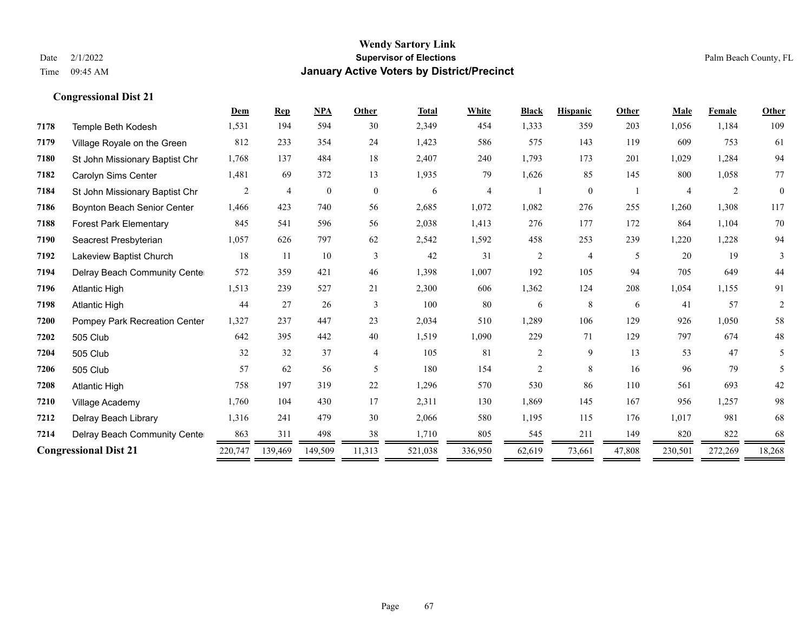|      |                                | Dem     | <b>Rep</b>     | <b>NPA</b>   | Other          | <b>Total</b> | White   | <b>Black</b>   | <b>Hispanic</b> | Other  | Male    | <b>Female</b> | Other        |
|------|--------------------------------|---------|----------------|--------------|----------------|--------------|---------|----------------|-----------------|--------|---------|---------------|--------------|
| 7178 | Temple Beth Kodesh             | 1,531   | 194            | 594          | 30             | 2,349        | 454     | 1,333          | 359             | 203    | 1,056   | 1,184         | 109          |
| 7179 | Village Royale on the Green    | 812     | 233            | 354          | 24             | 1,423        | 586     | 575            | 143             | 119    | 609     | 753           | 61           |
| 7180 | St John Missionary Baptist Chr | 1,768   | 137            | 484          | 18             | 2,407        | 240     | 1,793          | 173             | 201    | 1,029   | 1,284         | 94           |
| 7182 | Carolyn Sims Center            | 1,481   | 69             | 372          | 13             | 1,935        | 79      | 1,626          | 85              | 145    | 800     | 1,058         | 77           |
| 7184 | St John Missionary Baptist Chr | 2       | $\overline{4}$ | $\mathbf{0}$ | $\overline{0}$ | 6            | 4       |                | $\mathbf{0}$    |        |         | 2             | $\mathbf{0}$ |
| 7186 | Boynton Beach Senior Center    | 1,466   | 423            | 740          | 56             | 2,685        | 1,072   | 1,082          | 276             | 255    | 1,260   | 1,308         | 117          |
| 7188 | <b>Forest Park Elementary</b>  | 845     | 541            | 596          | 56             | 2,038        | 1,413   | 276            | 177             | 172    | 864     | 1,104         | 70           |
| 7190 | Seacrest Presbyterian          | 1,057   | 626            | 797          | 62             | 2,542        | 1,592   | 458            | 253             | 239    | 1,220   | 1,228         | 94           |
| 7192 | Lakeview Baptist Church        | 18      | 11             | 10           | 3              | 42           | 31      | $\overline{c}$ | $\overline{4}$  | 5      | 20      | 19            | 3            |
| 7194 | Delray Beach Community Cente   | 572     | 359            | 421          | 46             | 1,398        | 1,007   | 192            | 105             | 94     | 705     | 649           | 44           |
| 7196 | <b>Atlantic High</b>           | 1,513   | 239            | 527          | 21             | 2,300        | 606     | 1,362          | 124             | 208    | 1,054   | 1,155         | 91           |
| 7198 | <b>Atlantic High</b>           | 44      | 27             | 26           | 3              | 100          | 80      | 6              | 8               | 6      | 41      | 57            | 2            |
| 7200 | Pompey Park Recreation Center  | 1,327   | 237            | 447          | 23             | 2,034        | 510     | 1,289          | 106             | 129    | 926     | 1,050         | 58           |
| 7202 | 505 Club                       | 642     | 395            | 442          | 40             | 1,519        | 1,090   | 229            | 71              | 129    | 797     | 674           | 48           |
| 7204 | 505 Club                       | 32      | 32             | 37           | $\overline{4}$ | 105          | 81      | $\overline{c}$ | 9               | 13     | 53      | 47            | 5            |
| 7206 | 505 Club                       | 57      | 62             | 56           | 5              | 180          | 154     | $\overline{c}$ | 8               | 16     | 96      | 79            | 5            |
| 7208 | <b>Atlantic High</b>           | 758     | 197            | 319          | 22             | 1,296        | 570     | 530            | 86              | 110    | 561     | 693           | 42           |
| 7210 | Village Academy                | 1,760   | 104            | 430          | 17             | 2,311        | 130     | 1,869          | 145             | 167    | 956     | 1,257         | 98           |
| 7212 | Delray Beach Library           | 1,316   | 241            | 479          | 30             | 2,066        | 580     | 1,195          | 115             | 176    | 1,017   | 981           | 68           |
| 7214 | Delray Beach Community Cente   | 863     | 311            | 498          | 38             | 1,710        | 805     | 545            | 211             | 149    | 820     | 822           | 68           |
|      | <b>Congressional Dist 21</b>   | 220,747 | 139,469        | 149,509      | 11,313         | 521,038      | 336,950 | 62,619         | 73,661          | 47,808 | 230,501 | 272,269       | 18,268       |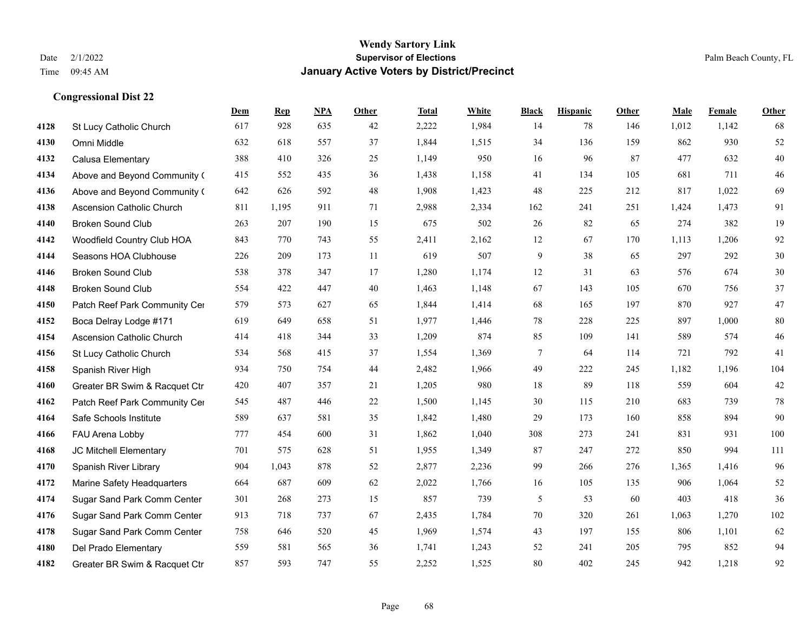|      |                               | Dem | <b>Rep</b> | NPA | <b>Other</b> | <b>Total</b> | <b>White</b> | <b>Black</b>    | <b>Hispanic</b> | Other | <b>Male</b> | Female | <b>Other</b> |
|------|-------------------------------|-----|------------|-----|--------------|--------------|--------------|-----------------|-----------------|-------|-------------|--------|--------------|
| 4128 | St Lucy Catholic Church       | 617 | 928        | 635 | 42           | 2,222        | 1,984        | 14              | 78              | 146   | 1,012       | 1,142  | 68           |
| 4130 | Omni Middle                   | 632 | 618        | 557 | 37           | 1,844        | 1,515        | 34              | 136             | 159   | 862         | 930    | 52           |
| 4132 | Calusa Elementary             | 388 | 410        | 326 | 25           | 1,149        | 950          | 16              | 96              | 87    | 477         | 632    | 40           |
| 4134 | Above and Beyond Community (  | 415 | 552        | 435 | 36           | 1,438        | 1,158        | 41              | 134             | 105   | 681         | 711    | 46           |
| 4136 | Above and Beyond Community (  | 642 | 626        | 592 | 48           | 1.908        | 1,423        | 48              | 225             | 212   | 817         | 1,022  | 69           |
| 4138 | Ascension Catholic Church     | 811 | 1,195      | 911 | 71           | 2,988        | 2,334        | 162             | 241             | 251   | 1,424       | 1,473  | 91           |
| 4140 | <b>Broken Sound Club</b>      | 263 | 207        | 190 | 15           | 675          | 502          | 26              | 82              | 65    | 274         | 382    | 19           |
| 4142 | Woodfield Country Club HOA    | 843 | 770        | 743 | 55           | 2,411        | 2,162        | 12              | 67              | 170   | 1,113       | 1,206  | 92           |
| 4144 | Seasons HOA Clubhouse         | 226 | 209        | 173 | 11           | 619          | 507          | 9               | 38              | 65    | 297         | 292    | $30\,$       |
| 4146 | <b>Broken Sound Club</b>      | 538 | 378        | 347 | 17           | 1,280        | 1,174        | 12              | 31              | 63    | 576         | 674    | $30\,$       |
| 4148 | <b>Broken Sound Club</b>      | 554 | 422        | 447 | 40           | 1,463        | 1,148        | 67              | 143             | 105   | 670         | 756    | 37           |
| 4150 | Patch Reef Park Community Cer | 579 | 573        | 627 | 65           | 1,844        | 1,414        | 68              | 165             | 197   | 870         | 927    | 47           |
| 4152 | Boca Delray Lodge #171        | 619 | 649        | 658 | 51           | 1,977        | 1,446        | 78              | 228             | 225   | 897         | 1,000  | 80           |
| 4154 | Ascension Catholic Church     | 414 | 418        | 344 | 33           | 1,209        | 874          | 85              | 109             | 141   | 589         | 574    | 46           |
| 4156 | St Lucy Catholic Church       | 534 | 568        | 415 | 37           | 1,554        | 1,369        | $7\phantom{.0}$ | 64              | 114   | 721         | 792    | 41           |
| 4158 | Spanish River High            | 934 | 750        | 754 | 44           | 2,482        | 1,966        | 49              | 222             | 245   | 1,182       | 1,196  | 104          |
| 4160 | Greater BR Swim & Racquet Ctr | 420 | 407        | 357 | 21           | 1,205        | 980          | 18              | 89              | 118   | 559         | 604    | 42           |
| 4162 | Patch Reef Park Community Cer | 545 | 487        | 446 | 22           | 1,500        | 1,145        | 30              | 115             | 210   | 683         | 739    | 78           |
| 4164 | Safe Schools Institute        | 589 | 637        | 581 | 35           | 1,842        | 1,480        | 29              | 173             | 160   | 858         | 894    | 90           |
| 4166 | FAU Arena Lobby               | 777 | 454        | 600 | 31           | 1,862        | 1,040        | 308             | 273             | 241   | 831         | 931    | 100          |
| 4168 | JC Mitchell Elementary        | 701 | 575        | 628 | 51           | 1,955        | 1,349        | 87              | 247             | 272   | 850         | 994    | 111          |
| 4170 | Spanish River Library         | 904 | 1,043      | 878 | 52           | 2,877        | 2,236        | 99              | 266             | 276   | 1,365       | 1,416  | 96           |
| 4172 | Marine Safety Headquarters    | 664 | 687        | 609 | 62           | 2,022        | 1,766        | 16              | 105             | 135   | 906         | 1,064  | 52           |
| 4174 | Sugar Sand Park Comm Center   | 301 | 268        | 273 | 15           | 857          | 739          | 5               | 53              | 60    | 403         | 418    | 36           |
| 4176 | Sugar Sand Park Comm Center   | 913 | 718        | 737 | 67           | 2,435        | 1,784        | 70              | 320             | 261   | 1.063       | 1.270  | 102          |
| 4178 | Sugar Sand Park Comm Center   | 758 | 646        | 520 | 45           | 1,969        | 1,574        | 43              | 197             | 155   | 806         | 1,101  | 62           |
| 4180 | Del Prado Elementary          | 559 | 581        | 565 | 36           | 1,741        | 1,243        | 52              | 241             | 205   | 795         | 852    | 94           |
| 4182 | Greater BR Swim & Racquet Ctr | 857 | 593        | 747 | 55           | 2,252        | 1,525        | 80              | 402             | 245   | 942         | 1,218  | 92           |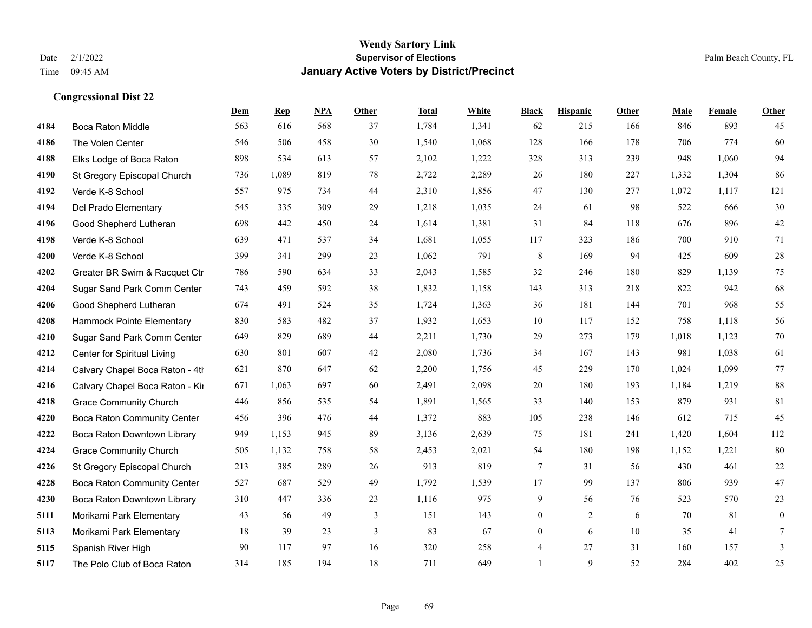|      |                                    | Dem | <b>Rep</b> | NPA | <b>Other</b> | <b>Total</b> | <b>White</b> | <b>Black</b>   | <b>Hispanic</b> | <b>Other</b> | <b>Male</b> | <b>Female</b> | <b>Other</b> |
|------|------------------------------------|-----|------------|-----|--------------|--------------|--------------|----------------|-----------------|--------------|-------------|---------------|--------------|
| 4184 | Boca Raton Middle                  | 563 | 616        | 568 | 37           | 1,784        | 1,341        | 62             | 215             | 166          | 846         | 893           | 45           |
| 4186 | The Volen Center                   | 546 | 506        | 458 | 30           | 1,540        | 1,068        | 128            | 166             | 178          | 706         | 774           | 60           |
| 4188 | Elks Lodge of Boca Raton           | 898 | 534        | 613 | 57           | 2,102        | 1,222        | 328            | 313             | 239          | 948         | 1,060         | 94           |
| 4190 | St Gregory Episcopal Church        | 736 | 1,089      | 819 | 78           | 2,722        | 2,289        | 26             | 180             | 227          | 1,332       | 1,304         | 86           |
| 4192 | Verde K-8 School                   | 557 | 975        | 734 | 44           | 2,310        | 1,856        | 47             | 130             | 277          | 1,072       | 1,117         | 121          |
| 4194 | Del Prado Elementary               | 545 | 335        | 309 | 29           | 1,218        | 1,035        | 24             | 61              | 98           | 522         | 666           | 30           |
| 4196 | Good Shepherd Lutheran             | 698 | 442        | 450 | 24           | 1,614        | 1,381        | 31             | 84              | 118          | 676         | 896           | $42\,$       |
| 4198 | Verde K-8 School                   | 639 | 471        | 537 | 34           | 1,681        | 1,055        | 117            | 323             | 186          | 700         | 910           | 71           |
| 4200 | Verde K-8 School                   | 399 | 341        | 299 | 23           | 1,062        | 791          | $\,$ 8 $\,$    | 169             | 94           | 425         | 609           | 28           |
| 4202 | Greater BR Swim & Racquet Ctr      | 786 | 590        | 634 | 33           | 2,043        | 1,585        | 32             | 246             | 180          | 829         | 1,139         | 75           |
| 4204 | Sugar Sand Park Comm Center        | 743 | 459        | 592 | 38           | 1,832        | 1,158        | 143            | 313             | 218          | 822         | 942           | 68           |
| 4206 | Good Shepherd Lutheran             | 674 | 491        | 524 | 35           | 1,724        | 1,363        | 36             | 181             | 144          | 701         | 968           | 55           |
| 4208 | Hammock Pointe Elementary          | 830 | 583        | 482 | 37           | 1,932        | 1,653        | 10             | 117             | 152          | 758         | 1,118         | 56           |
| 4210 | Sugar Sand Park Comm Center        | 649 | 829        | 689 | 44           | 2,211        | 1,730        | 29             | 273             | 179          | 1,018       | 1,123         | 70           |
| 4212 | Center for Spiritual Living        | 630 | 801        | 607 | 42           | 2,080        | 1,736        | 34             | 167             | 143          | 981         | 1,038         | 61           |
| 4214 | Calvary Chapel Boca Raton - 4th    | 621 | 870        | 647 | 62           | 2,200        | 1,756        | 45             | 229             | 170          | 1,024       | 1,099         | 77           |
| 4216 | Calvary Chapel Boca Raton - Kir    | 671 | 1,063      | 697 | 60           | 2,491        | 2,098        | 20             | 180             | 193          | 1,184       | 1,219         | $88\,$       |
| 4218 | <b>Grace Community Church</b>      | 446 | 856        | 535 | 54           | 1,891        | 1,565        | 33             | 140             | 153          | 879         | 931           | 81           |
| 4220 | <b>Boca Raton Community Center</b> | 456 | 396        | 476 | 44           | 1,372        | 883          | 105            | 238             | 146          | 612         | 715           | 45           |
| 4222 | Boca Raton Downtown Library        | 949 | 1,153      | 945 | 89           | 3,136        | 2,639        | 75             | 181             | 241          | 1,420       | 1,604         | 112          |
| 4224 | <b>Grace Community Church</b>      | 505 | 1,132      | 758 | 58           | 2,453        | 2,021        | 54             | 180             | 198          | 1,152       | 1,221         | 80           |
| 4226 | St Gregory Episcopal Church        | 213 | 385        | 289 | 26           | 913          | 819          | $\tau$         | 31              | 56           | 430         | 461           | $22\,$       |
| 4228 | Boca Raton Community Center        | 527 | 687        | 529 | 49           | 1,792        | 1,539        | 17             | 99              | 137          | 806         | 939           | 47           |
| 4230 | Boca Raton Downtown Library        | 310 | 447        | 336 | 23           | 1,116        | 975          | 9              | 56              | 76           | 523         | 570           | 23           |
| 5111 | Morikami Park Elementary           | 43  | 56         | 49  | 3            | 151          | 143          | $\overline{0}$ | $\overline{2}$  | 6            | 70          | 81            | $\mathbf{0}$ |
| 5113 | Morikami Park Elementary           | 18  | 39         | 23  | 3            | 83           | 67           | $\overline{0}$ | 6               | 10           | 35          | 41            | 7            |
| 5115 | Spanish River High                 | 90  | 117        | 97  | 16           | 320          | 258          | 4              | 27              | 31           | 160         | 157           | 3            |
| 5117 | The Polo Club of Boca Raton        | 314 | 185        | 194 | 18           | 711          | 649          | $\mathbf{1}$   | 9               | 52           | 284         | 402           | 25           |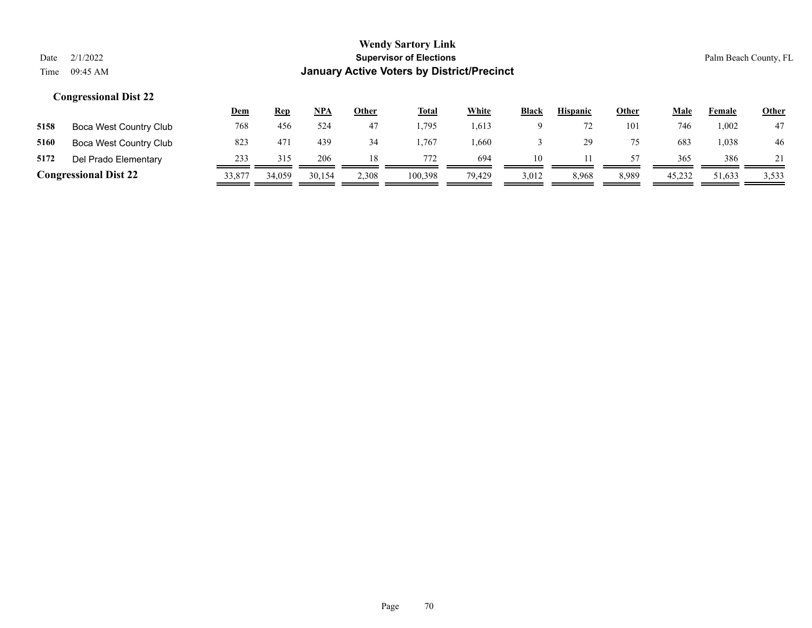|                              |                        | <u>Dem</u> | <b>Rep</b> | <u>NPA</u> | <b>Other</b> | <b>Total</b> | White  | <b>Black</b> | <b>Hispanic</b> | <b>Other</b> | <b>Male</b> | Female | <b>Other</b> |
|------------------------------|------------------------|------------|------------|------------|--------------|--------------|--------|--------------|-----------------|--------------|-------------|--------|--------------|
| 5158                         | Boca West Country Club | 768        | 456        | 524        | 47           | .795         | 1,613  |              |                 | 101          | 746         | .002   | 47           |
| 5160                         | Boca West Country Club | 823        | 471        | 439        | 34           | .767         | .660   |              |                 | 75           | 683         | .038   | 46           |
| 5172                         | Del Prado Elementary   | 233        | 315        | 206        |              | 772          | 694    | 10           |                 | 57           | 365         | 386    |              |
| <b>Congressional Dist 22</b> |                        | 33,877     | 34,059     | 30,154     | 2,308        | 100,398      | 79,429 | 3,012        | 8,968           | 8,989        | 45,232      | 51,633 | 3,533        |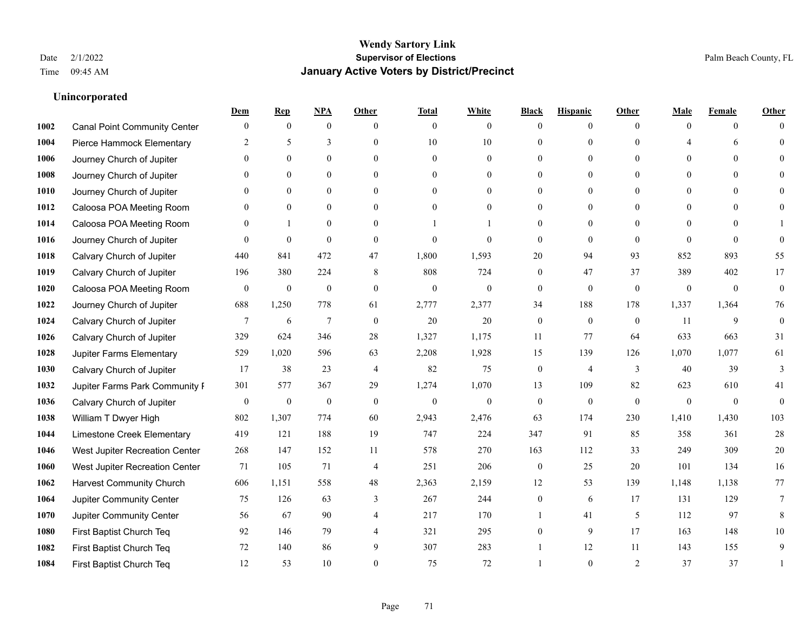## **Unincorporated**

|      |                                     | Dem              | <b>Rep</b>       | NPA              | <b>Other</b>   | <b>Total</b>     | <b>White</b>   | <b>Black</b>     | <b>Hispanic</b>  | <b>Other</b> | Male           | <b>Female</b>  | <b>Other</b>     |
|------|-------------------------------------|------------------|------------------|------------------|----------------|------------------|----------------|------------------|------------------|--------------|----------------|----------------|------------------|
| 1002 | <b>Canal Point Community Center</b> | $\mathbf{0}$     | $\mathbf{0}$     | $\mathbf{0}$     | $\theta$       | $\overline{0}$   | $\overline{0}$ | $\Omega$         | $\overline{0}$   | $\theta$     | $\theta$       | $\overline{0}$ | $\Omega$         |
| 1004 | Pierce Hammock Elementary           | 2                | 5                | 3                | $\theta$       | 10               | 10             | $\theta$         | $\overline{0}$   | $\Omega$     |                | 6              | $\theta$         |
| 1006 | Journey Church of Jupiter           | $\Omega$         | $\theta$         | $\theta$         | $\Omega$       | $\Omega$         | $\theta$       | $\Omega$         | $\Omega$         | $\Omega$     | $\Omega$       | $\Omega$       |                  |
| 1008 | Journey Church of Jupiter           |                  | $\mathbf{0}$     | $\mathbf{0}$     | $\mathbf{0}$   | $\mathbf{0}$     | $\overline{0}$ | $\theta$         | $\overline{0}$   | $\theta$     | $\mathbf{0}$   | $\theta$       |                  |
| 1010 | Journey Church of Jupiter           | $\Omega$         | $\theta$         | $\mathbf{0}$     | $\theta$       | $\theta$         | $\overline{0}$ | 0                | $\overline{0}$   | $\Omega$     | $\theta$       | $\theta$       | $\Omega$         |
| 1012 | Caloosa POA Meeting Room            | 0                | $\mathbf{0}$     | $\mathbf{0}$     | $\theta$       | $\theta$         | $\overline{0}$ | $\theta$         | $\overline{0}$   | $\Omega$     | $\overline{0}$ | $\Omega$       |                  |
| 1014 | Caloosa POA Meeting Room            | $\theta$         | $\mathbf{1}$     | $\mathbf{0}$     | $\mathbf{0}$   |                  |                | $\theta$         | $\mathbf{0}$     | $\theta$     | $\overline{0}$ | $\theta$       |                  |
| 1016 | Journey Church of Jupiter           | $\Omega$         | $\mathbf{0}$     | $\theta$         | $\theta$       | $\theta$         | $\theta$       | $\mathbf{0}$     | $\overline{0}$   | $\Omega$     | $\Omega$       | $\Omega$       | $\theta$         |
| 1018 | Calvary Church of Jupiter           | 440              | 841              | 472              | 47             | 1,800            | 1,593          | 20               | 94               | 93           | 852            | 893            | 55               |
| 1019 | Calvary Church of Jupiter           | 196              | 380              | 224              | 8              | 808              | 724            | $\theta$         | 47               | 37           | 389            | 402            | 17               |
| 1020 | Caloosa POA Meeting Room            | $\mathbf{0}$     | $\boldsymbol{0}$ | $\boldsymbol{0}$ | $\mathbf{0}$   | $\mathbf{0}$     | $\overline{0}$ | $\mathbf{0}$     | $\overline{0}$   | $\mathbf{0}$ | $\mathbf{0}$   | $\overline{0}$ | $\boldsymbol{0}$ |
| 1022 | Journey Church of Jupiter           | 688              | 1,250            | 778              | 61             | 2,777            | 2,377          | 34               | 188              | 178          | 1,337          | 1,364          | 76               |
| 1024 | Calvary Church of Jupiter           | 7                | 6                | $\overline{7}$   | $\mathbf{0}$   | 20               | 20             | $\mathbf{0}$     | $\mathbf{0}$     | $\theta$     | 11             | 9              | $\mathbf{0}$     |
| 1026 | Calvary Church of Jupiter           | 329              | 624              | 346              | $28\,$         | 1,327            | 1,175          | 11               | 77               | 64           | 633            | 663            | 31               |
| 1028 | Jupiter Farms Elementary            | 529              | 1,020            | 596              | 63             | 2,208            | 1,928          | 15               | 139              | 126          | 1,070          | 1,077          | 61               |
| 1030 | Calvary Church of Jupiter           | 17               | 38               | 23               | $\overline{4}$ | 82               | 75             | $\overline{0}$   | 4                | 3            | 40             | 39             | 3                |
| 1032 | Jupiter Farms Park Community I      | 301              | 577              | 367              | 29             | 1,274            | 1,070          | 13               | 109              | 82           | 623            | 610            | 41               |
| 1036 | Calvary Church of Jupiter           | $\boldsymbol{0}$ | $\boldsymbol{0}$ | $\boldsymbol{0}$ | $\mathbf{0}$   | $\boldsymbol{0}$ | $\mathbf{0}$   | $\boldsymbol{0}$ | $\boldsymbol{0}$ | $\mathbf{0}$ | $\mathbf{0}$   | $\overline{0}$ | $\mathbf{0}$     |
| 1038 | William T Dwyer High                | 802              | 1,307            | 774              | 60             | 2,943            | 2,476          | 63               | 174              | 230          | 1,410          | 1,430          | 103              |
| 1044 | Limestone Creek Elementary          | 419              | 121              | 188              | 19             | 747              | 224            | 347              | 91               | 85           | 358            | 361            | 28               |
| 1046 | West Jupiter Recreation Center      | 268              | 147              | 152              | 11             | 578              | 270            | 163              | 112              | 33           | 249            | 309            | $20\,$           |
| 1060 | West Jupiter Recreation Center      | 71               | 105              | 71               | $\overline{4}$ | 251              | 206            | $\boldsymbol{0}$ | 25               | 20           | 101            | 134            | 16               |
| 1062 | <b>Harvest Community Church</b>     | 606              | 1,151            | 558              | 48             | 2,363            | 2,159          | 12               | 53               | 139          | 1,148          | 1,138          | 77               |
| 1064 | Jupiter Community Center            | 75               | 126              | 63               | 3              | 267              | 244            | $\overline{0}$   | 6                | 17           | 131            | 129            | $\tau$           |
| 1070 | <b>Jupiter Community Center</b>     | 56               | 67               | 90               | $\overline{4}$ | 217              | 170            |                  | 41               | 5            | 112            | 97             | 8                |
| 1080 | First Baptist Church Teq            | 92               | 146              | 79               | $\overline{4}$ | 321              | 295            | 0                | 9                | 17           | 163            | 148            | 10               |
| 1082 | First Baptist Church Teq            | 72               | 140              | 86               | 9              | 307              | 283            |                  | 12               | 11           | 143            | 155            | 9                |
| 1084 | First Baptist Church Teq            | 12               | 53               | 10               | $\Omega$       | 75               | 72             |                  | $\theta$         | 2            | 37             | 37             |                  |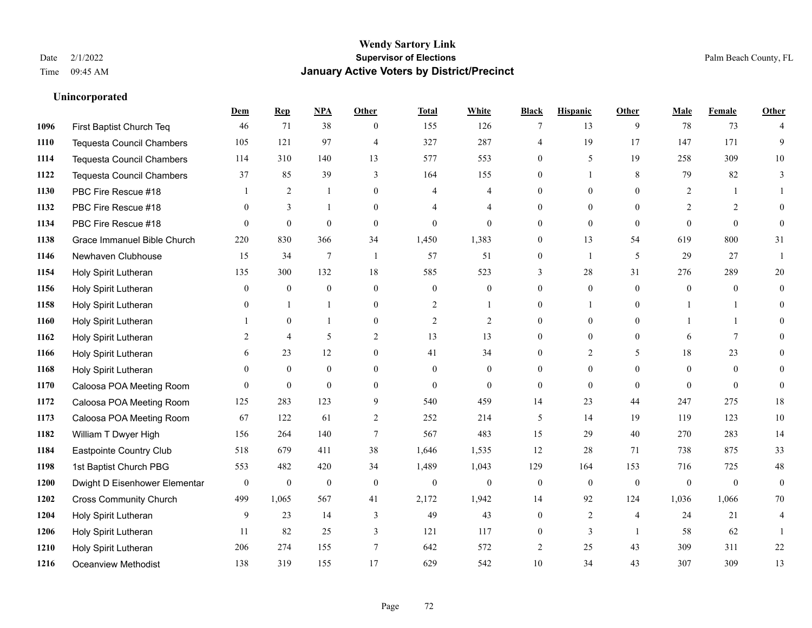## **Unincorporated**

|      |                                  | Dem              | <b>Rep</b>       | NPA              | <b>Other</b>    | <b>Total</b>     | <b>White</b>     | <b>Black</b>     | <b>Hispanic</b>  | <b>Other</b>   | <b>Male</b>  | <b>Female</b> | <b>Other</b>   |
|------|----------------------------------|------------------|------------------|------------------|-----------------|------------------|------------------|------------------|------------------|----------------|--------------|---------------|----------------|
| 1096 | First Baptist Church Teq         | 46               | 71               | 38               | $\mathbf{0}$    | 155              | 126              | 7                | 13               | 9              | 78           | 73            | $\overline{4}$ |
| 1110 | <b>Tequesta Council Chambers</b> | 105              | 121              | 97               | $\overline{4}$  | 327              | 287              | 4                | 19               | 17             | 147          | 171           | 9              |
| 1114 | <b>Tequesta Council Chambers</b> | 114              | 310              | 140              | 13              | 577              | 553              | $\overline{0}$   | 5                | 19             | 258          | 309           | 10             |
| 1122 | <b>Tequesta Council Chambers</b> | 37               | 85               | 39               | $\mathfrak{Z}$  | 164              | 155              | $\overline{0}$   | 1                | 8              | 79           | 82            | 3              |
| 1130 | PBC Fire Rescue #18              |                  | 2                | $\mathbf{1}$     | $\Omega$        | $\overline{4}$   | $\overline{4}$   | $\Omega$         | $\Omega$         | $\Omega$       | 2            |               |                |
| 1132 | PBC Fire Rescue #18              | $\mathbf{0}$     | 3                | -1               | $\overline{0}$  | 4                | $\overline{4}$   | $\overline{0}$   | $\overline{0}$   | $\Omega$       | 2            | 2             | 0              |
| 1134 | PBC Fire Rescue #18              | $\theta$         | $\mathbf{0}$     | $\mathbf{0}$     | $\mathbf{0}$    | $\mathbf{0}$     | $\overline{0}$   | $\overline{0}$   | $\mathbf{0}$     | $\theta$       | $\Omega$     | $\theta$      | $\theta$       |
| 1138 | Grace Immanuel Bible Church      | 220              | 830              | 366              | 34              | 1,450            | 1,383            | $\Omega$         | 13               | 54             | 619          | 800           | 31             |
| 1146 | Newhaven Clubhouse               | 15               | 34               | $\overline{7}$   | $\mathbf{1}$    | 57               | 51               | 0                | 1                | 5              | 29           | 27            |                |
| 1154 | Holy Spirit Lutheran             | 135              | 300              | 132              | 18              | 585              | 523              | 3                | 28               | 31             | 276          | 289           | $20\,$         |
| 1156 | Holy Spirit Lutheran             | $\mathbf{0}$     | $\mathbf{0}$     | $\theta$         | $\theta$        | $\mathbf{0}$     | $\overline{0}$   | $\overline{0}$   | $\overline{0}$   | $\theta$       | $\theta$     | $\theta$      | $\theta$       |
| 1158 | Holy Spirit Lutheran             | $\theta$         |                  | $\mathbf{1}$     | $\mathbf{0}$    | 2                | 1                | $\overline{0}$   | 1                | $\Omega$       | -1           |               | $\theta$       |
| 1160 | Holy Spirit Lutheran             |                  | $\mathbf{0}$     | $\mathbf{1}$     | $\theta$        | $\overline{2}$   | $\overline{2}$   | $\overline{0}$   | $\overline{0}$   | $\Omega$       |              |               | 0              |
| 1162 | Holy Spirit Lutheran             | 2                | $\overline{4}$   | 5                | $\overline{2}$  | 13               | 13               | $\overline{0}$   | $\boldsymbol{0}$ | $\mathbf{0}$   | 6            | $\tau$        | $\theta$       |
| 1166 | Holy Spirit Lutheran             | 6                | 23               | 12               | $\overline{0}$  | 41               | 34               | $\overline{0}$   | $\overline{2}$   | 5              | 18           | 23            | 0              |
| 1168 | Holy Spirit Lutheran             | $\theta$         | $\mathbf{0}$     | $\mathbf{0}$     | $\theta$        | $\Omega$         | $\overline{0}$   | $\theta$         | $\overline{0}$   | $\Omega$       | $\theta$     | $\theta$      | 0              |
| 1170 | Caloosa POA Meeting Room         | $\theta$         | $\mathbf{0}$     | $\mathbf{0}$     | $\mathbf{0}$    | $\mathbf{0}$     | $\overline{0}$   | $\boldsymbol{0}$ | $\overline{0}$   | $\mathbf{0}$   | $\Omega$     | $\mathbf{0}$  | $\mathbf{0}$   |
| 1172 | Caloosa POA Meeting Room         | 125              | 283              | 123              | 9               | 540              | 459              | 14               | 23               | 44             | 247          | 275           | $18\,$         |
| 1173 | Caloosa POA Meeting Room         | 67               | 122              | 61               | 2               | 252              | 214              | 5                | 14               | 19             | 119          | 123           | $10\,$         |
| 1182 | William T Dwyer High             | 156              | 264              | 140              | $7\phantom{.0}$ | 567              | 483              | 15               | 29               | 40             | 270          | 283           | 14             |
| 1184 | Eastpointe Country Club          | 518              | 679              | 411              | 38              | 1,646            | 1,535            | 12               | 28               | 71             | 738          | 875           | 33             |
| 1198 | 1st Baptist Church PBG           | 553              | 482              | 420              | 34              | 1,489            | 1,043            | 129              | 164              | 153            | 716          | 725           | $48\,$         |
| 1200 | Dwight D Eisenhower Elementar    | $\boldsymbol{0}$ | $\boldsymbol{0}$ | $\boldsymbol{0}$ | $\mathbf{0}$    | $\boldsymbol{0}$ | $\boldsymbol{0}$ | $\mathbf{0}$     | $\overline{0}$   | $\theta$       | $\mathbf{0}$ | $\mathbf{0}$  | $\mathbf{0}$   |
| 1202 | <b>Cross Community Church</b>    | 499              | 1,065            | 567              | 41              | 2,172            | 1,942            | 14               | 92               | 124            | 1,036        | 1,066         | 70             |
| 1204 | Holy Spirit Lutheran             | 9                | 23               | 14               | 3               | 49               | 43               | $\Omega$         | 2                | $\overline{4}$ | 24           | 21            | 4              |
| 1206 | Holy Spirit Lutheran             | 11               | 82               | 25               | 3               | 121              | 117              | 0                | 3                | $\overline{1}$ | 58           | 62            |                |
| 1210 | Holy Spirit Lutheran             | 206              | 274              | 155              | $\overline{7}$  | 642              | 572              | 2                | 25               | 43             | 309          | 311           | $22\,$         |
| 1216 | <b>Oceanview Methodist</b>       | 138              | 319              | 155              | 17              | 629              | 542              | 10               | 34               | 43             | 307          | 309           | 13             |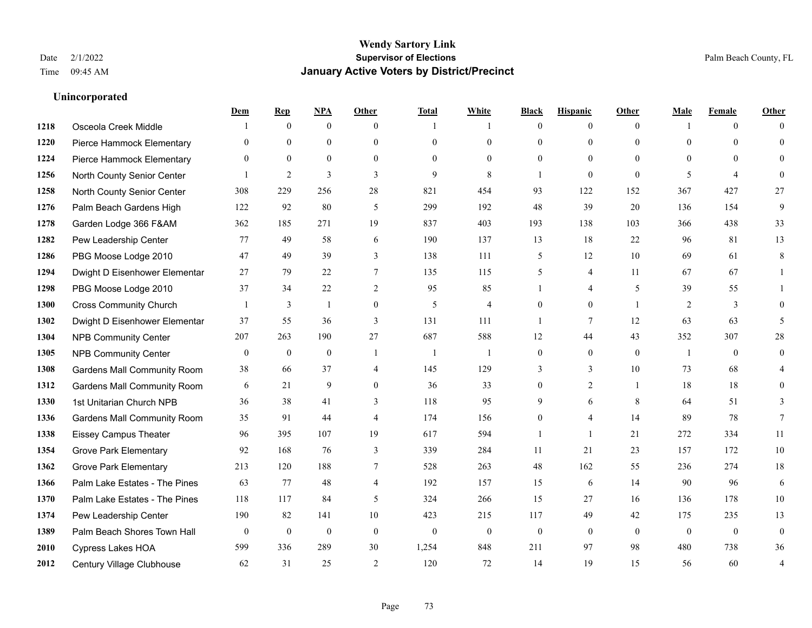|      |                                    | Dem              | <b>Rep</b>       | NPA              | <b>Other</b>   | <b>Total</b> | <b>White</b>   | <b>Black</b>   | <b>Hispanic</b> | <b>Other</b>   | <b>Male</b>    | <b>Female</b>  | <b>Other</b>     |
|------|------------------------------------|------------------|------------------|------------------|----------------|--------------|----------------|----------------|-----------------|----------------|----------------|----------------|------------------|
| 1218 | Osceola Creek Middle               |                  | $\mathbf{0}$     | $\boldsymbol{0}$ | $\theta$       | 1            | 1              | $\mathbf{0}$   | $\overline{0}$  | $\theta$       | $\mathbf{1}$   | $\overline{0}$ | $\Omega$         |
| 1220 | Pierce Hammock Elementary          | $\theta$         | $\mathbf{0}$     | $\mathbf{0}$     | $\theta$       | $\theta$     | $\overline{0}$ | $\theta$       | $\mathbf{0}$    | $\Omega$       | $\theta$       | $\theta$       | $\theta$         |
| 1224 | Pierce Hammock Elementary          | $\Omega$         | $\theta$         | $\theta$         | $\Omega$       | $\Omega$     | $\Omega$       | $\Omega$       | $\theta$        | $\Omega$       | $\Omega$       | $\Omega$       | $\Omega$         |
| 1256 | North County Senior Center         |                  | $\overline{2}$   | 3                | 3              | 9            | 8              | $\overline{1}$ | $\mathbf{0}$    | $\theta$       | 5              | $\overline{4}$ | $\theta$         |
| 1258 | North County Senior Center         | 308              | 229              | 256              | 28             | 821          | 454            | 93             | 122             | 152            | 367            | 427            | 27               |
| 1276 | Palm Beach Gardens High            | 122              | 92               | 80               | 5              | 299          | 192            | 48             | 39              | 20             | 136            | 154            | 9                |
| 1278 | Garden Lodge 366 F&AM              | 362              | 185              | 271              | 19             | 837          | 403            | 193            | 138             | 103            | 366            | 438            | 33               |
| 1282 | Pew Leadership Center              | 77               | 49               | 58               | 6              | 190          | 137            | 13             | 18              | 22             | 96             | 81             | 13               |
| 1286 | PBG Moose Lodge 2010               | 47               | 49               | 39               | 3              | 138          | 111            | 5              | 12              | 10             | 69             | 61             | 8                |
| 1294 | Dwight D Eisenhower Elementar      | 27               | 79               | 22               | $\tau$         | 135          | 115            | 5              | 4               | 11             | 67             | 67             | 1                |
| 1298 | PBG Moose Lodge 2010               | 37               | 34               | 22               | 2              | 95           | 85             | $\mathbf{1}$   | $\overline{4}$  | 5              | 39             | 55             | 1                |
| 1300 | <b>Cross Community Church</b>      |                  | 3                | $\mathbf{1}$     | $\mathbf{0}$   | 5            | $\overline{4}$ | $\theta$       | $\theta$        | $\overline{1}$ | $\overline{2}$ | 3              | $\theta$         |
| 1302 | Dwight D Eisenhower Elementar      | 37               | 55               | 36               | 3              | 131          | 111            | $\mathbf{1}$   | $\tau$          | 12             | 63             | 63             | 5                |
| 1304 | <b>NPB Community Center</b>        | 207              | 263              | 190              | 27             | 687          | 588            | 12             | 44              | 43             | 352            | 307            | $28\,$           |
| 1305 | <b>NPB Community Center</b>        | $\boldsymbol{0}$ | $\mathbf{0}$     | $\mathbf{0}$     | -1             | $\mathbf{1}$ | $\mathbf{1}$   | $\mathbf{0}$   | $\mathbf{0}$    | $\mathbf{0}$   | -1             | $\theta$       | $\boldsymbol{0}$ |
| 1308 | <b>Gardens Mall Community Room</b> | 38               | 66               | 37               | 4              | 145          | 129            | 3              | 3               | 10             | 73             | 68             | 4                |
| 1312 | <b>Gardens Mall Community Room</b> | 6                | 21               | 9                | $\overline{0}$ | 36           | 33             | $\mathbf{0}$   | $\overline{2}$  | $\overline{1}$ | 18             | 18             | $\theta$         |
| 1330 | 1st Unitarian Church NPB           | 36               | 38               | 41               | 3              | 118          | 95             | 9              | 6               | 8              | 64             | 51             | 3                |
| 1336 | <b>Gardens Mall Community Room</b> | 35               | 91               | 44               | $\overline{4}$ | 174          | 156            | $\mathbf{0}$   | 4               | 14             | 89             | 78             | 7                |
| 1338 | <b>Eissey Campus Theater</b>       | 96               | 395              | 107              | 19             | 617          | 594            | $\mathbf{1}$   | $\mathbf{1}$    | 21             | 272            | 334            | 11               |
| 1354 | <b>Grove Park Elementary</b>       | 92               | 168              | 76               | 3              | 339          | 284            | 11             | 21              | 23             | 157            | 172            | 10               |
| 1362 | <b>Grove Park Elementary</b>       | 213              | 120              | 188              | 7              | 528          | 263            | $48\,$         | 162             | 55             | 236            | 274            | $18\,$           |
| 1366 | Palm Lake Estates - The Pines      | 63               | 77               | 48               | $\overline{4}$ | 192          | 157            | 15             | 6               | 14             | 90             | 96             | 6                |
| 1370 | Palm Lake Estates - The Pines      | 118              | 117              | 84               | 5              | 324          | 266            | 15             | 27              | 16             | 136            | 178            | 10               |
| 1374 | Pew Leadership Center              | 190              | 82               | 141              | 10             | 423          | 215            | 117            | 49              | 42             | 175            | 235            | 13               |
| 1389 | Palm Beach Shores Town Hall        | $\mathbf{0}$     | $\boldsymbol{0}$ | $\mathbf{0}$     | $\mathbf{0}$   | $\mathbf{0}$ | $\mathbf{0}$   | $\mathbf{0}$   | $\mathbf{0}$    | $\theta$       | $\mathbf{0}$   | $\mathbf{0}$   | $\boldsymbol{0}$ |
| 2010 | Cypress Lakes HOA                  | 599              | 336              | 289              | 30             | 1,254        | 848            | 211            | 97              | 98             | 480            | 738            | 36               |
| 2012 | Century Village Clubhouse          | 62               | 31               | 25               | $\overline{2}$ | 120          | 72             | 14             | 19              | 15             | 56             | 60             | 4                |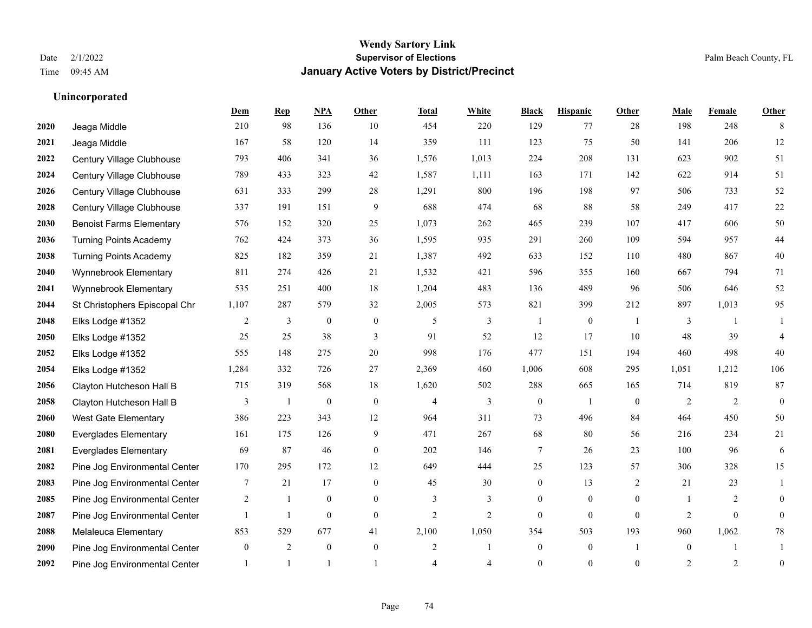|      |                                 | Dem            | <b>Rep</b>     | NPA              | <b>Other</b>   | <b>Total</b>   | <b>White</b>   | <b>Black</b>            | <b>Hispanic</b>  | <b>Other</b>   | <b>Male</b>    | <b>Female</b> | <b>Other</b>     |
|------|---------------------------------|----------------|----------------|------------------|----------------|----------------|----------------|-------------------------|------------------|----------------|----------------|---------------|------------------|
| 2020 | Jeaga Middle                    | 210            | 98             | 136              | 10             | 454            | 220            | 129                     | 77               | 28             | 198            | 248           | 8                |
| 2021 | Jeaga Middle                    | 167            | 58             | 120              | 14             | 359            | 111            | 123                     | 75               | 50             | 141            | 206           | 12               |
| 2022 | Century Village Clubhouse       | 793            | 406            | 341              | 36             | 1,576          | 1,013          | 224                     | 208              | 131            | 623            | 902           | 51               |
| 2024 | Century Village Clubhouse       | 789            | 433            | 323              | 42             | 1,587          | 1,111          | 163                     | 171              | 142            | 622            | 914           | 51               |
| 2026 | Century Village Clubhouse       | 631            | 333            | 299              | 28             | 1,291          | 800            | 196                     | 198              | 97             | 506            | 733           | 52               |
| 2028 | Century Village Clubhouse       | 337            | 191            | 151              | 9              | 688            | 474            | 68                      | 88               | 58             | 249            | 417           | $22\,$           |
| 2030 | <b>Benoist Farms Elementary</b> | 576            | 152            | 320              | 25             | 1,073          | 262            | 465                     | 239              | 107            | 417            | 606           | 50               |
| 2036 | <b>Turning Points Academy</b>   | 762            | 424            | 373              | 36             | 1,595          | 935            | 291                     | 260              | 109            | 594            | 957           | $44\,$           |
| 2038 | <b>Turning Points Academy</b>   | 825            | 182            | 359              | 21             | 1,387          | 492            | 633                     | 152              | 110            | 480            | 867           | $40\,$           |
| 2040 | Wynnebrook Elementary           | 811            | 274            | 426              | 21             | 1,532          | 421            | 596                     | 355              | 160            | 667            | 794           | 71               |
| 2041 | Wynnebrook Elementary           | 535            | 251            | 400              | 18             | 1,204          | 483            | 136                     | 489              | 96             | 506            | 646           | $52\,$           |
| 2044 | St Christophers Episcopal Chr   | 1,107          | 287            | 579              | 32             | 2,005          | 573            | 821                     | 399              | 212            | 897            | 1,013         | 95               |
| 2048 | Elks Lodge #1352                | 2              | 3              | $\boldsymbol{0}$ | $\mathbf{0}$   | 5              | 3              | $\overline{\mathbf{1}}$ | $\overline{0}$   | $\overline{1}$ | 3              |               |                  |
| 2050 | Elks Lodge #1352                | 25             | 25             | 38               | 3              | 91             | 52             | 12                      | 17               | 10             | 48             | 39            | $\overline{4}$   |
| 2052 | Elks Lodge #1352                | 555            | 148            | 275              | 20             | 998            | 176            | 477                     | 151              | 194            | 460            | 498           | 40               |
| 2054 | Elks Lodge #1352                | 1,284          | 332            | 726              | 27             | 2,369          | 460            | 1,006                   | 608              | 295            | 1,051          | 1,212         | 106              |
| 2056 | Clayton Hutcheson Hall B        | 715            | 319            | 568              | 18             | 1,620          | 502            | 288                     | 665              | 165            | 714            | 819           | $87\,$           |
| 2058 | Clayton Hutcheson Hall B        | 3              | 1              | $\boldsymbol{0}$ | $\theta$       | 4              | $\overline{3}$ | $\mathbf{0}$            | $\mathbf{1}$     | $\theta$       | 2              | 2             | $\theta$         |
| 2060 | <b>West Gate Elementary</b>     | 386            | 223            | 343              | 12             | 964            | 311            | 73                      | 496              | 84             | 464            | 450           | 50               |
| 2080 | <b>Everglades Elementary</b>    | 161            | 175            | 126              | 9              | 471            | 267            | 68                      | 80               | 56             | 216            | 234           | 21               |
| 2081 | <b>Everglades Elementary</b>    | 69             | 87             | 46               | $\theta$       | 202            | 146            | $\tau$                  | 26               | 23             | 100            | 96            | 6                |
| 2082 | Pine Jog Environmental Center   | 170            | 295            | 172              | 12             | 649            | 444            | 25                      | 123              | 57             | 306            | 328           | 15               |
| 2083 | Pine Jog Environmental Center   | 7              | 21             | 17               | $\overline{0}$ | 45             | 30             | $\boldsymbol{0}$        | 13               | 2              | 21             | 23            | 1                |
| 2085 | Pine Jog Environmental Center   | $\overline{2}$ | 1              | $\mathbf{0}$     | $\overline{0}$ | 3              | 3              | $\overline{0}$          | $\overline{0}$   | $\mathbf{0}$   | $\overline{1}$ | 2             | $\theta$         |
| 2087 | Pine Jog Environmental Center   |                | $\mathbf{1}$   | $\theta$         | $\theta$       | $\overline{2}$ | $\overline{2}$ | $\Omega$                | $\Omega$         | $\theta$       | $\overline{2}$ | $\Omega$      | $\theta$         |
| 2088 | Melaleuca Elementary            | 853            | 529            | 677              | 41             | 2,100          | 1,050          | 354                     | 503              | 193            | 960            | 1,062         | $78\,$           |
| 2090 | Pine Jog Environmental Center   | $\mathbf{0}$   | 2              | $\mathbf{0}$     | $\mathbf{0}$   | $\overline{c}$ | 1              | $\boldsymbol{0}$        | $\boldsymbol{0}$ | $\overline{1}$ | $\overline{0}$ |               | -1               |
| 2092 | Pine Jog Environmental Center   |                | $\overline{1}$ |                  |                | $\overline{4}$ | 4              | $\mathbf{0}$            | $\overline{0}$   | $\theta$       | 2              | 2             | $\boldsymbol{0}$ |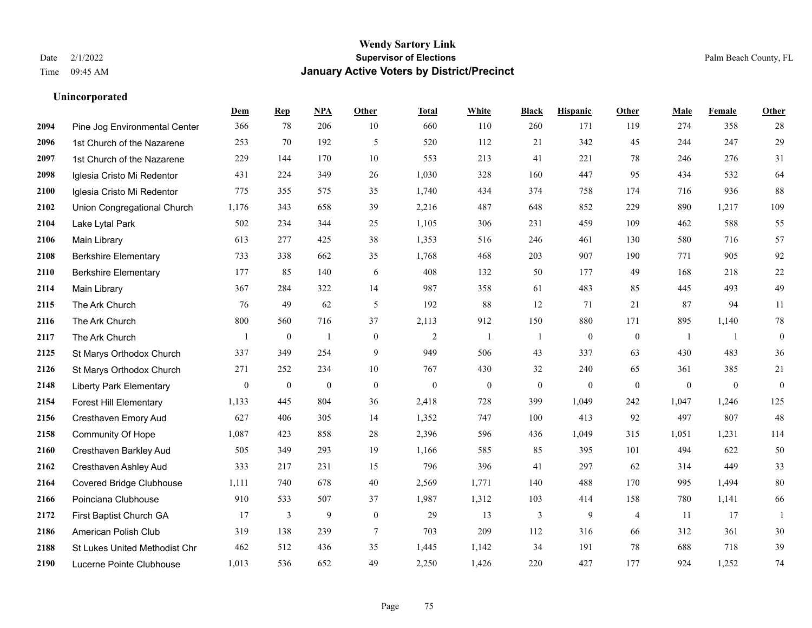|      |                                | Dem          | <b>Rep</b>       | NPA              | <b>Other</b>   | <b>Total</b>     | <b>White</b>     | <b>Black</b>     | <b>Hispanic</b>  | <b>Other</b>     | <b>Male</b>      | Female           | <b>Other</b>     |
|------|--------------------------------|--------------|------------------|------------------|----------------|------------------|------------------|------------------|------------------|------------------|------------------|------------------|------------------|
| 2094 | Pine Jog Environmental Center  | 366          | 78               | 206              | 10             | 660              | 110              | 260              | 171              | 119              | 274              | 358              | 28               |
| 2096 | 1st Church of the Nazarene     | 253          | 70               | 192              | 5              | 520              | 112              | 21               | 342              | 45               | 244              | 247              | 29               |
| 2097 | 1st Church of the Nazarene     | 229          | 144              | 170              | 10             | 553              | 213              | 41               | 221              | 78               | 246              | 276              | 31               |
| 2098 | Iglesia Cristo Mi Redentor     | 431          | 224              | 349              | 26             | 1,030            | 328              | 160              | 447              | 95               | 434              | 532              | 64               |
| 2100 | Iglesia Cristo Mi Redentor     | 775          | 355              | 575              | 35             | 1,740            | 434              | 374              | 758              | 174              | 716              | 936              | 88               |
| 2102 | Union Congregational Church    | 1,176        | 343              | 658              | 39             | 2,216            | 487              | 648              | 852              | 229              | 890              | 1,217            | 109              |
| 2104 | Lake Lytal Park                | 502          | 234              | 344              | 25             | 1,105            | 306              | 231              | 459              | 109              | 462              | 588              | 55               |
| 2106 | Main Library                   | 613          | 277              | 425              | 38             | 1,353            | 516              | 246              | 461              | 130              | 580              | 716              | 57               |
| 2108 | <b>Berkshire Elementary</b>    | 733          | 338              | 662              | 35             | 1,768            | 468              | 203              | 907              | 190              | 771              | 905              | 92               |
| 2110 | <b>Berkshire Elementary</b>    | 177          | 85               | 140              | 6              | 408              | 132              | 50               | 177              | 49               | 168              | 218              | $22\,$           |
| 2114 | Main Library                   | 367          | 284              | 322              | 14             | 987              | 358              | 61               | 483              | 85               | 445              | 493              | 49               |
| 2115 | The Ark Church                 | 76           | 49               | 62               | $\mathfrak{H}$ | 192              | 88               | 12               | 71               | 21               | 87               | 94               | 11               |
| 2116 | The Ark Church                 | 800          | 560              | 716              | 37             | 2,113            | 912              | 150              | 880              | 171              | 895              | 1,140            | $78\,$           |
| 2117 | The Ark Church                 |              | $\boldsymbol{0}$ | $\mathbf{1}$     | $\mathbf{0}$   | $\sqrt{2}$       | $\mathbf{1}$     | 1                | $\boldsymbol{0}$ | $\boldsymbol{0}$ | -1               | -1               | $\boldsymbol{0}$ |
| 2125 | St Marys Orthodox Church       | 337          | 349              | 254              | 9              | 949              | 506              | 43               | 337              | 63               | 430              | 483              | 36               |
| 2126 | St Marys Orthodox Church       | 271          | 252              | 234              | 10             | 767              | 430              | 32               | 240              | 65               | 361              | 385              | 21               |
| 2148 | <b>Liberty Park Elementary</b> | $\mathbf{0}$ | $\boldsymbol{0}$ | $\boldsymbol{0}$ | $\mathbf{0}$   | $\boldsymbol{0}$ | $\boldsymbol{0}$ | $\boldsymbol{0}$ | $\mathbf{0}$     | $\boldsymbol{0}$ | $\boldsymbol{0}$ | $\boldsymbol{0}$ | $\boldsymbol{0}$ |
| 2154 | <b>Forest Hill Elementary</b>  | 1,133        | 445              | 804              | 36             | 2,418            | 728              | 399              | 1,049            | 242              | 1,047            | 1,246            | 125              |
| 2156 | Cresthaven Emory Aud           | 627          | 406              | 305              | 14             | 1,352            | 747              | 100              | 413              | 92               | 497              | 807              | 48               |
| 2158 | <b>Community Of Hope</b>       | 1,087        | 423              | 858              | 28             | 2,396            | 596              | 436              | 1,049            | 315              | 1,051            | 1,231            | 114              |
| 2160 | Cresthaven Barkley Aud         | 505          | 349              | 293              | 19             | 1,166            | 585              | 85               | 395              | 101              | 494              | 622              | 50               |
| 2162 | Cresthaven Ashley Aud          | 333          | 217              | 231              | 15             | 796              | 396              | 41               | 297              | 62               | 314              | 449              | 33               |
| 2164 | Covered Bridge Clubhouse       | 1,111        | 740              | 678              | 40             | 2,569            | 1,771            | 140              | 488              | 170              | 995              | 1,494            | $80\,$           |
| 2166 | Poinciana Clubhouse            | 910          | 533              | 507              | 37             | 1,987            | 1,312            | 103              | 414              | 158              | 780              | 1,141            | 66               |
| 2172 | First Baptist Church GA        | 17           | 3                | 9                | $\overline{0}$ | 29               | 13               | 3                | 9                | $\overline{4}$   | 11               | 17               | $\mathbf{1}$     |
| 2186 | American Polish Club           | 319          | 138              | 239              | 7              | 703              | 209              | 112              | 316              | 66               | 312              | 361              | $30\,$           |
| 2188 | St Lukes United Methodist Chr  | 462          | 512              | 436              | 35             | 1,445            | 1,142            | 34               | 191              | 78               | 688              | 718              | 39               |
| 2190 | Lucerne Pointe Clubhouse       | 1,013        | 536              | 652              | 49             | 2,250            | 1,426            | 220              | 427              | 177              | 924              | 1,252            | 74               |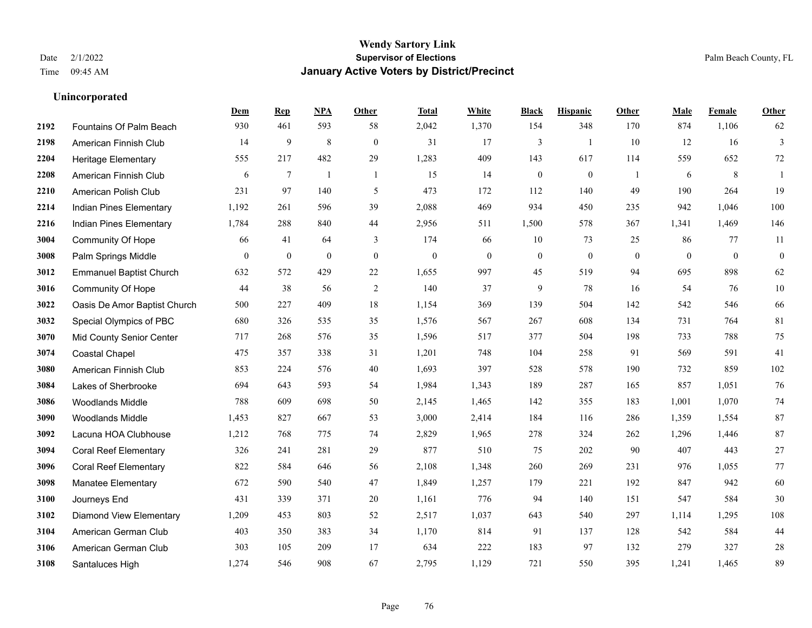|      |                                | Dem      | <b>Rep</b>       | NPA            | <b>Other</b>     | <b>Total</b>     | White          | <b>Black</b>     | <b>Hispanic</b>  | Other        | <b>Male</b>  | Female       | <b>Other</b>     |
|------|--------------------------------|----------|------------------|----------------|------------------|------------------|----------------|------------------|------------------|--------------|--------------|--------------|------------------|
| 2192 | Fountains Of Palm Beach        | 930      | 461              | 593            | 58               | 2,042            | 1,370          | 154              | 348              | 170          | 874          | 1,106        | 62               |
| 2198 | American Finnish Club          | 14       | 9                | 8              | $\mathbf{0}$     | 31               | 17             | $\overline{3}$   | 1                | 10           | 12           | 16           | 3                |
| 2204 | <b>Heritage Elementary</b>     | 555      | 217              | 482            | 29               | 1,283            | 409            | 143              | 617              | 114          | 559          | 652          | $72\,$           |
| 2208 | American Finnish Club          | 6        | $\overline{7}$   | $\overline{1}$ | $\overline{1}$   | 15               | 14             | $\boldsymbol{0}$ | $\mathbf{0}$     | -1           | 6            | 8            | -1               |
| 2210 | American Polish Club           | 231      | 97               | 140            | 5                | 473              | 172            | 112              | 140              | 49           | 190          | 264          | 19               |
| 2214 | Indian Pines Elementary        | 1,192    | 261              | 596            | 39               | 2,088            | 469            | 934              | 450              | 235          | 942          | 1,046        | 100              |
| 2216 | <b>Indian Pines Elementary</b> | 1,784    | 288              | 840            | 44               | 2,956            | 511            | 1,500            | 578              | 367          | 1,341        | 1,469        | 146              |
| 3004 | <b>Community Of Hope</b>       | 66       | 41               | 64             | 3                | 174              | 66             | 10               | 73               | 25           | 86           | 77           | 11               |
| 3008 | Palm Springs Middle            | $\bf{0}$ | $\boldsymbol{0}$ | $\mathbf{0}$   | $\boldsymbol{0}$ | $\boldsymbol{0}$ | $\overline{0}$ | $\boldsymbol{0}$ | $\boldsymbol{0}$ | $\mathbf{0}$ | $\mathbf{0}$ | $\mathbf{0}$ | $\boldsymbol{0}$ |
| 3012 | <b>Emmanuel Baptist Church</b> | 632      | 572              | 429            | $22\,$           | 1,655            | 997            | 45               | 519              | 94           | 695          | 898          | 62               |
| 3016 | <b>Community Of Hope</b>       | 44       | 38               | 56             | 2                | 140              | 37             | 9                | 78               | 16           | 54           | 76           | $10\,$           |
| 3022 | Oasis De Amor Baptist Church   | 500      | 227              | 409            | 18               | 1,154            | 369            | 139              | 504              | 142          | 542          | 546          | 66               |
| 3032 | Special Olympics of PBC        | 680      | 326              | 535            | 35               | 1,576            | 567            | 267              | 608              | 134          | 731          | 764          | 81               |
| 3070 | Mid County Senior Center       | 717      | 268              | 576            | 35               | 1,596            | 517            | 377              | 504              | 198          | 733          | 788          | 75               |
| 3074 | Coastal Chapel                 | 475      | 357              | 338            | 31               | 1,201            | 748            | 104              | 258              | 91           | 569          | 591          | 41               |
| 3080 | American Finnish Club          | 853      | 224              | 576            | 40               | 1,693            | 397            | 528              | 578              | 190          | 732          | 859          | 102              |
| 3084 | Lakes of Sherbrooke            | 694      | 643              | 593            | 54               | 1,984            | 1,343          | 189              | 287              | 165          | 857          | 1,051        | 76               |
| 3086 | Woodlands Middle               | 788      | 609              | 698            | 50               | 2,145            | 1,465          | 142              | 355              | 183          | 1,001        | 1,070        | $74\,$           |
| 3090 | <b>Woodlands Middle</b>        | 1,453    | 827              | 667            | 53               | 3,000            | 2,414          | 184              | 116              | 286          | 1,359        | 1,554        | 87               |
| 3092 | Lacuna HOA Clubhouse           | 1,212    | 768              | 775            | 74               | 2,829            | 1,965          | 278              | 324              | 262          | 1,296        | 1,446        | 87               |
| 3094 | <b>Coral Reef Elementary</b>   | 326      | 241              | 281            | 29               | 877              | 510            | 75               | 202              | 90           | 407          | 443          | $27\,$           |
| 3096 | <b>Coral Reef Elementary</b>   | 822      | 584              | 646            | 56               | 2,108            | 1,348          | 260              | 269              | 231          | 976          | 1,055        | $77\,$           |
| 3098 | <b>Manatee Elementary</b>      | 672      | 590              | 540            | 47               | 1,849            | 1,257          | 179              | 221              | 192          | 847          | 942          | 60               |
| 3100 | Journeys End                   | 431      | 339              | 371            | 20               | 1,161            | 776            | 94               | 140              | 151          | 547          | 584          | $30\,$           |
| 3102 | Diamond View Elementary        | 1,209    | 453              | 803            | 52               | 2,517            | 1,037          | 643              | 540              | 297          | 1,114        | 1,295        | 108              |
| 3104 | American German Club           | 403      | 350              | 383            | 34               | 1,170            | 814            | 91               | 137              | 128          | 542          | 584          | 44               |
| 3106 | American German Club           | 303      | 105              | 209            | 17               | 634              | 222            | 183              | 97               | 132          | 279          | 327          | $28\,$           |
| 3108 | Santaluces High                | 1,274    | 546              | 908            | 67               | 2,795            | 1,129          | 721              | 550              | 395          | 1,241        | 1,465        | 89               |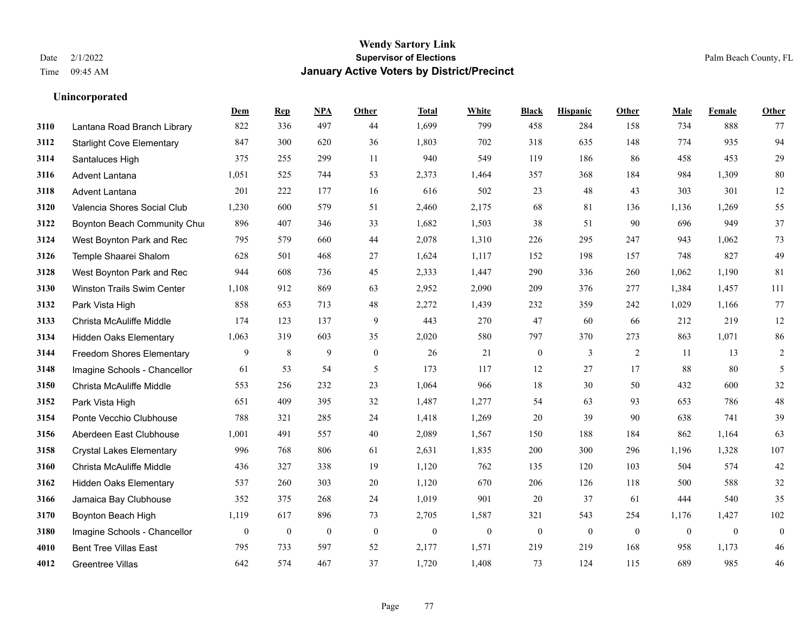|      |                                   | Dem      | <b>Rep</b>       | NPA              | <b>Other</b>   | <b>Total</b>     | <b>White</b>     | <b>Black</b>     | <b>Hispanic</b>  | <b>Other</b> | <b>Male</b>  | Female       | Other            |
|------|-----------------------------------|----------|------------------|------------------|----------------|------------------|------------------|------------------|------------------|--------------|--------------|--------------|------------------|
| 3110 | Lantana Road Branch Library       | 822      | 336              | 497              | 44             | 1,699            | 799              | 458              | 284              | 158          | 734          | 888          | 77               |
| 3112 | <b>Starlight Cove Elementary</b>  | 847      | 300              | 620              | 36             | 1,803            | 702              | 318              | 635              | 148          | 774          | 935          | 94               |
| 3114 | Santaluces High                   | 375      | 255              | 299              | 11             | 940              | 549              | 119              | 186              | 86           | 458          | 453          | $29\,$           |
| 3116 | Advent Lantana                    | 1,051    | 525              | 744              | 53             | 2,373            | 1,464            | 357              | 368              | 184          | 984          | 1,309        | $80\,$           |
| 3118 | <b>Advent Lantana</b>             | 201      | 222              | 177              | 16             | 616              | 502              | 23               | 48               | 43           | 303          | 301          | $12\,$           |
| 3120 | Valencia Shores Social Club       | 1,230    | 600              | 579              | 51             | 2,460            | 2,175            | 68               | 81               | 136          | 1,136        | 1,269        | 55               |
| 3122 | Boynton Beach Community Chur      | 896      | 407              | 346              | 33             | 1,682            | 1,503            | 38               | 51               | 90           | 696          | 949          | 37               |
| 3124 | West Boynton Park and Rec         | 795      | 579              | 660              | 44             | 2,078            | 1,310            | 226              | 295              | 247          | 943          | 1,062        | 73               |
| 3126 | Temple Shaarei Shalom             | 628      | 501              | 468              | 27             | 1,624            | 1,117            | 152              | 198              | 157          | 748          | 827          | 49               |
| 3128 | West Boynton Park and Rec         | 944      | 608              | 736              | 45             | 2,333            | 1,447            | 290              | 336              | 260          | 1,062        | 1,190        | 81               |
| 3130 | <b>Winston Trails Swim Center</b> | 1,108    | 912              | 869              | 63             | 2,952            | 2,090            | 209              | 376              | 277          | 1,384        | 1,457        | 111              |
| 3132 | Park Vista High                   | 858      | 653              | 713              | 48             | 2,272            | 1,439            | 232              | 359              | 242          | 1,029        | 1,166        | 77               |
| 3133 | Christa McAuliffe Middle          | 174      | 123              | 137              | 9              | 443              | 270              | 47               | 60               | 66           | 212          | 219          | $12\,$           |
| 3134 | <b>Hidden Oaks Elementary</b>     | 1,063    | 319              | 603              | 35             | 2,020            | 580              | 797              | 370              | 273          | 863          | 1,071        | $86\,$           |
| 3144 | Freedom Shores Elementary         | 9        | 8                | 9                | $\overline{0}$ | 26               | 21               | $\boldsymbol{0}$ | 3                | 2            | 11           | 13           | $\overline{c}$   |
| 3148 | Imagine Schools - Chancellor      | 61       | 53               | 54               | 5              | 173              | 117              | 12               | 27               | 17           | 88           | 80           | 5                |
| 3150 | Christa McAuliffe Middle          | 553      | 256              | 232              | 23             | 1,064            | 966              | 18               | 30               | 50           | 432          | 600          | $32\,$           |
| 3152 | Park Vista High                   | 651      | 409              | 395              | 32             | 1,487            | 1,277            | 54               | 63               | 93           | 653          | 786          | $48\,$           |
| 3154 | Ponte Vecchio Clubhouse           | 788      | 321              | 285              | 24             | 1,418            | 1,269            | $20\,$           | 39               | 90           | 638          | 741          | 39               |
| 3156 | Aberdeen East Clubhouse           | 1,001    | 491              | 557              | 40             | 2,089            | 1,567            | 150              | 188              | 184          | 862          | 1,164        | 63               |
| 3158 | <b>Crystal Lakes Elementary</b>   | 996      | 768              | 806              | 61             | 2,631            | 1,835            | 200              | 300              | 296          | 1,196        | 1,328        | 107              |
| 3160 | Christa McAuliffe Middle          | 436      | 327              | 338              | 19             | 1,120            | 762              | 135              | 120              | 103          | 504          | 574          | $42\,$           |
| 3162 | <b>Hidden Oaks Elementary</b>     | 537      | 260              | 303              | 20             | 1,120            | 670              | 206              | 126              | 118          | 500          | 588          | 32               |
| 3166 | Jamaica Bay Clubhouse             | 352      | 375              | 268              | 24             | 1,019            | 901              | 20               | 37               | 61           | 444          | 540          | 35               |
| 3170 | Boynton Beach High                | 1,119    | 617              | 896              | 73             | 2,705            | 1,587            | 321              | 543              | 254          | 1,176        | 1,427        | 102              |
| 3180 | Imagine Schools - Chancellor      | $\bf{0}$ | $\boldsymbol{0}$ | $\boldsymbol{0}$ | $\mathbf{0}$   | $\boldsymbol{0}$ | $\boldsymbol{0}$ | $\boldsymbol{0}$ | $\boldsymbol{0}$ | $\mathbf{0}$ | $\mathbf{0}$ | $\mathbf{0}$ | $\boldsymbol{0}$ |
| 4010 | <b>Bent Tree Villas East</b>      | 795      | 733              | 597              | 52             | 2,177            | 1,571            | 219              | 219              | 168          | 958          | 1,173        | 46               |
| 4012 | Greentree Villas                  | 642      | 574              | 467              | 37             | 1,720            | 1,408            | 73               | 124              | 115          | 689          | 985          | 46               |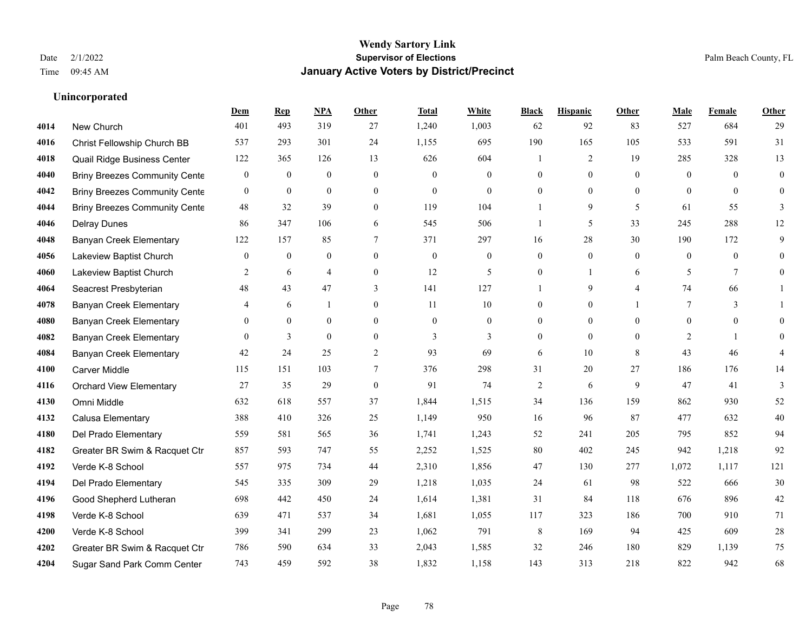**Unincorporated**

## **Wendy Sartory Link** Date 2/1/2022 **Supervisor of Elections** Palm Beach County, FL Time 09:45 AM **January Active Voters by District/Precinct**

# **Dem Rep NPA Other Total White Black Hispanic Other Male Female Other** New Church 401 493 319 27 1,240 1,003 62 92 83 527 684 29 Christ Fellowship Church BB 537 293 301 24 1,155 695 190 165 105 533 591 31 Quail Ridge Business Center 122 365 126 13 626 604 1 2 19 285 328 13 Briny Breezes Community Center 0 0 0 0 0 0 0 0 0 0 0 0 Briny Breezes Community Center 0 0 0 0 0 0 0 0 0 0 0 0 Briny Breezes Community Cente 48 32 39 0 119 104 1 9 5 61 55 3 Delray Dunes 86 347 106 6 545 506 1 5 33 245 288 12 Banyan Creek Elementary 122 157 85 7 371 297 16 28 30 190 172 9 Lakeview Baptist Church 0 0 0 0 0 0 0 0 0 0 0 0 Lakeview Baptist Church 2 6 4 0 12 5 0 1 6 5 7 0 Seacrest Presbyterian **48** 43 47 3 141 127 1 9 4 74 66 1 Banyan Creek Elementary 4 6 1 0 11 10 0 0 1 7 3 1 Banyan Creek Elementary 0 0 0 0 0 0 0 0 0 0 0 0 **4082 Banyan Creek Elementary 0 3 0 0 3 3 3 0 0 0 2 1 0**  Banyan Creek Elementary 42 24 25 2 93 69 6 10 8 43 46 4 Carver Middle 115 151 103 7 376 298 31 20 27 186 176 14 Orchard View Elementary 27 35 29 0 91 74 2 6 9 47 41 3 Omni Middle 632 618 557 37 1,844 1,515 34 136 159 862 930 52 Calusa Elementary 388 410 326 25 1,149 950 16 96 87 477 632 40 Del Prado Elementary 559 581 565 36 1,741 1,243 52 241 205 795 852 94 Greater BR Swim & Racquet Ctr 857 593 747 55 2,252 1,525 80 402 245 942 1,218 92 Verde K-8 School 557 975 734 44 2,310 1,856 47 130 277 1,072 1,117 121 Del Prado Elementary 545 335 309 29 1,218 1,035 24 61 98 522 666 30 Good Shepherd Lutheran 698 442 450 24 1,614 1,381 31 84 118 676 896 42 Verde K-8 School 639 471 537 34 1,681 1,055 117 323 186 700 910 71 Verde K-8 School 399 341 299 23 1,062 791 8 169 94 425 609 28 Greater BR Swim & Racquet Ctr 786 590 634 33 2,043 1,585 32 246 180 829 1,139 75 Sugar Sand Park Comm Center 743 459 592 38 1,832 1,158 143 313 218 822 942 68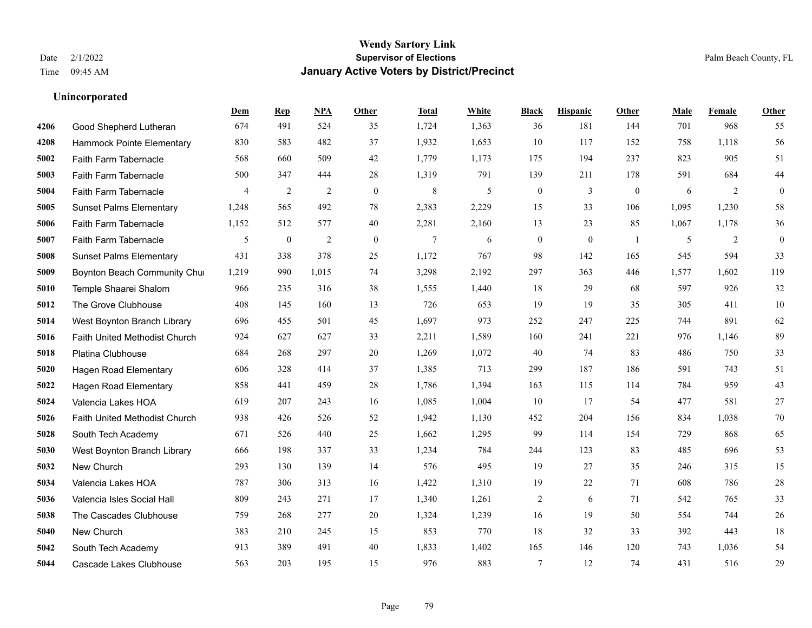|      |                                | Dem            | <b>Rep</b>   | NPA            | <b>Other</b> | <b>Total</b> | <b>White</b> | <b>Black</b>     | <b>Hispanic</b> | Other          | <b>Male</b> | <b>Female</b> | Other            |
|------|--------------------------------|----------------|--------------|----------------|--------------|--------------|--------------|------------------|-----------------|----------------|-------------|---------------|------------------|
| 4206 | Good Shepherd Lutheran         | 674            | 491          | 524            | 35           | 1,724        | 1,363        | 36               | 181             | 144            | 701         | 968           | 55               |
| 4208 | Hammock Pointe Elementary      | 830            | 583          | 482            | 37           | 1,932        | 1,653        | 10               | 117             | 152            | 758         | 1,118         | 56               |
| 5002 | Faith Farm Tabernacle          | 568            | 660          | 509            | 42           | 1,779        | 1,173        | 175              | 194             | 237            | 823         | 905           | 51               |
| 5003 | Faith Farm Tabernacle          | 500            | 347          | 444            | 28           | 1,319        | 791          | 139              | 211             | 178            | 591         | 684           | 44               |
| 5004 | Faith Farm Tabernacle          | $\overline{4}$ | 2            | $\overline{2}$ | $\theta$     | $\,8\,$      | 5            | $\boldsymbol{0}$ | 3               | $\overline{0}$ | 6           | 2             | $\boldsymbol{0}$ |
| 5005 | <b>Sunset Palms Elementary</b> | 1,248          | 565          | 492            | 78           | 2,383        | 2,229        | 15               | 33              | 106            | 1,095       | 1,230         | 58               |
| 5006 | Faith Farm Tabernacle          | 1,152          | 512          | 577            | 40           | 2,281        | 2,160        | 13               | 23              | 85             | 1,067       | 1,178         | 36               |
| 5007 | Faith Farm Tabernacle          | 5              | $\mathbf{0}$ | $\overline{2}$ | $\theta$     | $\tau$       | 6            | $\overline{0}$   | $\mathbf{0}$    | $\overline{1}$ | 5           | 2             | $\overline{0}$   |
| 5008 | <b>Sunset Palms Elementary</b> | 431            | 338          | 378            | 25           | 1,172        | 767          | 98               | 142             | 165            | 545         | 594           | 33               |
| 5009 | Boynton Beach Community Chur   | 1,219          | 990          | 1,015          | 74           | 3,298        | 2,192        | 297              | 363             | 446            | 1,577       | 1,602         | 119              |
| 5010 | Temple Shaarei Shalom          | 966            | 235          | 316            | 38           | 1,555        | 1,440        | 18               | 29              | 68             | 597         | 926           | $32\,$           |
| 5012 | The Grove Clubhouse            | 408            | 145          | 160            | 13           | 726          | 653          | 19               | 19              | 35             | 305         | 411           | $10\,$           |
| 5014 | West Boynton Branch Library    | 696            | 455          | 501            | 45           | 1,697        | 973          | 252              | 247             | 225            | 744         | 891           | 62               |
| 5016 | Faith United Methodist Church  | 924            | 627          | 627            | 33           | 2,211        | 1,589        | 160              | 241             | 221            | 976         | 1,146         | 89               |
| 5018 | Platina Clubhouse              | 684            | 268          | 297            | 20           | 1,269        | 1,072        | 40               | 74              | 83             | 486         | 750           | 33               |
| 5020 | Hagen Road Elementary          | 606            | 328          | 414            | 37           | 1,385        | 713          | 299              | 187             | 186            | 591         | 743           | 51               |
| 5022 | <b>Hagen Road Elementary</b>   | 858            | 441          | 459            | 28           | 1,786        | 1,394        | 163              | 115             | 114            | 784         | 959           | 43               |
| 5024 | Valencia Lakes HOA             | 619            | 207          | 243            | 16           | 1,085        | 1,004        | 10               | 17              | 54             | 477         | 581           | 27               |
| 5026 | Faith United Methodist Church  | 938            | 426          | 526            | 52           | 1,942        | 1,130        | 452              | 204             | 156            | 834         | 1,038         | $70\,$           |
| 5028 | South Tech Academy             | 671            | 526          | 440            | 25           | 1,662        | 1,295        | 99               | 114             | 154            | 729         | 868           | 65               |
| 5030 | West Boynton Branch Library    | 666            | 198          | 337            | 33           | 1,234        | 784          | 244              | 123             | 83             | 485         | 696           | 53               |
| 5032 | New Church                     | 293            | 130          | 139            | 14           | 576          | 495          | 19               | 27              | 35             | 246         | 315           | 15               |
| 5034 | Valencia Lakes HOA             | 787            | 306          | 313            | 16           | 1,422        | 1,310        | 19               | 22              | 71             | 608         | 786           | $28\,$           |
| 5036 | Valencia Isles Social Hall     | 809            | 243          | 271            | 17           | 1,340        | 1,261        | $\overline{c}$   | 6               | 71             | 542         | 765           | 33               |
| 5038 | The Cascades Clubhouse         | 759            | 268          | 277            | 20           | 1,324        | 1,239        | 16               | 19              | 50             | 554         | 744           | 26               |
| 5040 | New Church                     | 383            | 210          | 245            | 15           | 853          | 770          | 18               | 32              | 33             | 392         | 443           | $18\,$           |
| 5042 | South Tech Academy             | 913            | 389          | 491            | 40           | 1,833        | 1,402        | 165              | 146             | 120            | 743         | 1,036         | 54               |
| 5044 | Cascade Lakes Clubhouse        | 563            | 203          | 195            | 15           | 976          | 883          | 7                | 12              | 74             | 431         | 516           | 29               |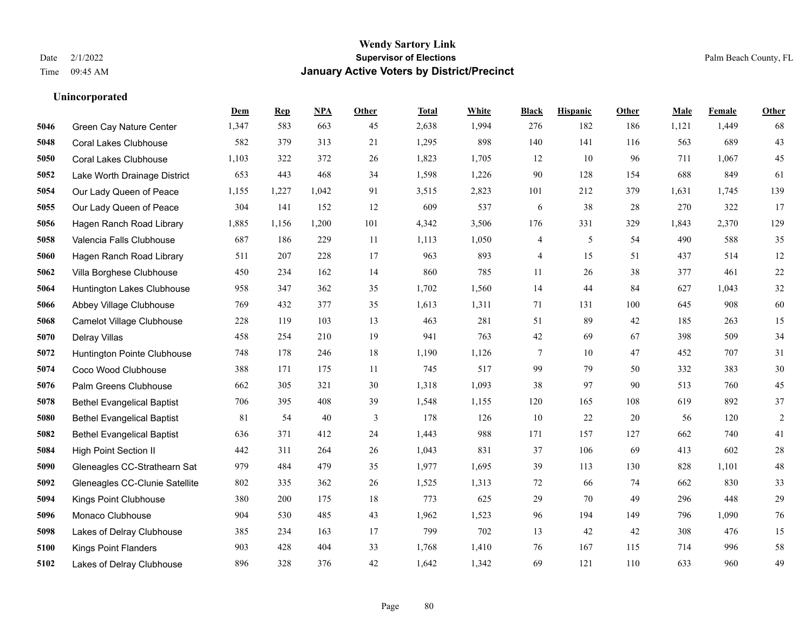**Unincorporated**

# **Wendy Sartory Link** Date 2/1/2022 **Supervisor of Elections** Palm Beach County, FL Time 09:45 AM **January Active Voters by District/Precinct**

|      |                                   | Dem   | <b>Rep</b> | <b>NPA</b> | Other | <b>Total</b> | White | <b>Black</b> | <b>Hispanic</b> | Other | Male  | Female | Other          |
|------|-----------------------------------|-------|------------|------------|-------|--------------|-------|--------------|-----------------|-------|-------|--------|----------------|
| 5046 | <b>Green Cay Nature Center</b>    | 1,347 | 583        | 663        | 45    | 2,638        | 1,994 | 276          | 182             | 186   | 1,121 | 1,449  | 68             |
| 5048 | <b>Coral Lakes Clubhouse</b>      | 582   | 379        | 313        | 21    | 1,295        | 898   | 140          | 141             | 116   | 563   | 689    | 43             |
| 5050 | <b>Coral Lakes Clubhouse</b>      | 1,103 | 322        | 372        | 26    | 1,823        | 1,705 | 12           | 10              | 96    | 711   | 1,067  | 45             |
| 5052 | Lake Worth Drainage District      | 653   | 443        | 468        | 34    | 1,598        | 1,226 | 90           | 128             | 154   | 688   | 849    | 61             |
| 5054 | Our Lady Queen of Peace           | 1,155 | 1,227      | 1,042      | 91    | 3,515        | 2,823 | 101          | 212             | 379   | 1,631 | 1,745  | 139            |
| 5055 | Our Lady Queen of Peace           | 304   | 141        | 152        | 12    | 609          | 537   | 6            | 38              | 28    | 270   | 322    | 17             |
| 5056 | Hagen Ranch Road Library          | 1,885 | 1,156      | 1,200      | 101   | 4,342        | 3,506 | 176          | 331             | 329   | 1,843 | 2,370  | 129            |
| 5058 | Valencia Falls Clubhouse          | 687   | 186        | 229        | 11    | 1,113        | 1,050 | 4            | 5               | 54    | 490   | 588    | 35             |
| 5060 | Hagen Ranch Road Library          | 511   | 207        | 228        | 17    | 963          | 893   | 4            | 15              | 51    | 437   | 514    | 12             |
| 5062 | Villa Borghese Clubhouse          | 450   | 234        | 162        | 14    | 860          | 785   | 11           | 26              | 38    | 377   | 461    | 22             |
| 5064 | Huntington Lakes Clubhouse        | 958   | 347        | 362        | 35    | 1,702        | 1,560 | 14           | 44              | 84    | 627   | 1,043  | $32\,$         |
| 5066 | Abbey Village Clubhouse           | 769   | 432        | 377        | 35    | 1,613        | 1,311 | 71           | 131             | 100   | 645   | 908    | 60             |
| 5068 | <b>Camelot Village Clubhouse</b>  | 228   | 119        | 103        | 13    | 463          | 281   | 51           | 89              | 42    | 185   | 263    | 15             |
| 5070 | Delray Villas                     | 458   | 254        | 210        | 19    | 941          | 763   | 42           | 69              | 67    | 398   | 509    | 34             |
| 5072 | Huntington Pointe Clubhouse       | 748   | 178        | 246        | 18    | 1,190        | 1,126 | 7            | 10              | 47    | 452   | 707    | 31             |
| 5074 | Coco Wood Clubhouse               | 388   | 171        | 175        | 11    | 745          | 517   | 99           | 79              | 50    | 332   | 383    | 30             |
| 5076 | Palm Greens Clubhouse             | 662   | 305        | 321        | 30    | 1,318        | 1,093 | 38           | 97              | 90    | 513   | 760    | 45             |
| 5078 | <b>Bethel Evangelical Baptist</b> | 706   | 395        | 408        | 39    | 1,548        | 1,155 | 120          | 165             | 108   | 619   | 892    | 37             |
| 5080 | <b>Bethel Evangelical Baptist</b> | 81    | 54         | 40         | 3     | 178          | 126   | 10           | 22              | 20    | 56    | 120    | $\overline{2}$ |
| 5082 | <b>Bethel Evangelical Baptist</b> | 636   | 371        | 412        | 24    | 1,443        | 988   | 171          | 157             | 127   | 662   | 740    | 41             |
| 5084 | <b>High Point Section II</b>      | 442   | 311        | 264        | 26    | 1,043        | 831   | 37           | 106             | 69    | 413   | 602    | 28             |
| 5090 | Gleneagles CC-Strathearn Sat      | 979   | 484        | 479        | 35    | 1,977        | 1,695 | 39           | 113             | 130   | 828   | 1,101  | 48             |
| 5092 | Gleneagles CC-Clunie Satellite    | 802   | 335        | 362        | 26    | 1,525        | 1,313 | 72           | 66              | 74    | 662   | 830    | 33             |
| 5094 | Kings Point Clubhouse             | 380   | 200        | 175        | 18    | 773          | 625   | 29           | 70              | 49    | 296   | 448    | 29             |
| 5096 | Monaco Clubhouse                  | 904   | 530        | 485        | 43    | 1,962        | 1,523 | 96           | 194             | 149   | 796   | 1,090  | 76             |
| 5098 | Lakes of Delray Clubhouse         | 385   | 234        | 163        | 17    | 799          | 702   | 13           | 42              | 42    | 308   | 476    | 15             |
| 5100 | <b>Kings Point Flanders</b>       | 903   | 428        | 404        | 33    | 1,768        | 1,410 | 76           | 167             | 115   | 714   | 996    | 58             |
| 5102 | Lakes of Delray Clubhouse         | 896   | 328        | 376        | 42    | 1,642        | 1,342 | 69           | 121             | 110   | 633   | 960    | 49             |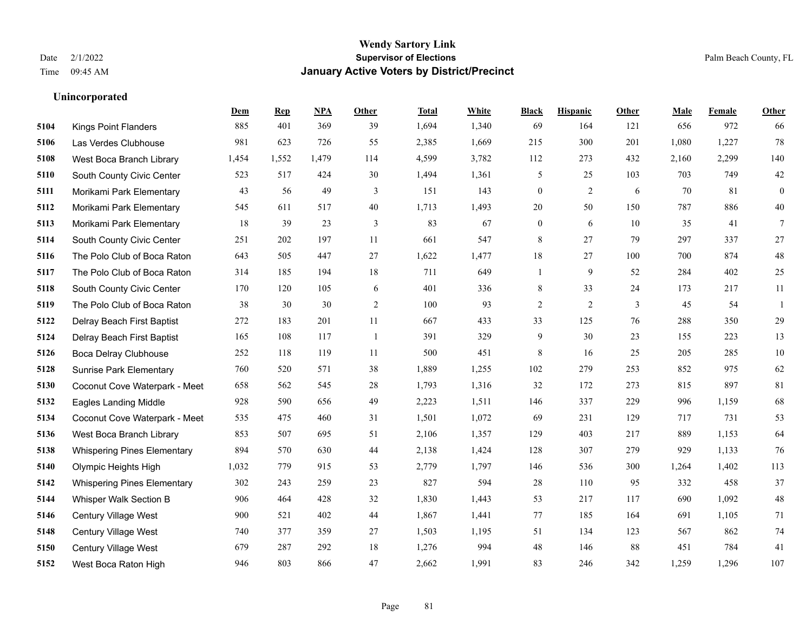|      |                                    | Dem   | <b>Rep</b> | NPA   | <b>Other</b> | <b>Total</b> | White | <b>Black</b>     | <b>Hispanic</b> | <b>Other</b> | <b>Male</b> | <b>Female</b> | <b>Other</b>   |
|------|------------------------------------|-------|------------|-------|--------------|--------------|-------|------------------|-----------------|--------------|-------------|---------------|----------------|
| 5104 | <b>Kings Point Flanders</b>        | 885   | 401        | 369   | 39           | 1,694        | 1,340 | 69               | 164             | 121          | 656         | 972           | 66             |
| 5106 | Las Verdes Clubhouse               | 981   | 623        | 726   | 55           | 2,385        | 1,669 | 215              | 300             | 201          | 1,080       | 1,227         | 78             |
| 5108 | West Boca Branch Library           | 1,454 | 1,552      | 1,479 | 114          | 4,599        | 3,782 | 112              | 273             | 432          | 2,160       | 2,299         | 140            |
| 5110 | South County Civic Center          | 523   | 517        | 424   | 30           | 1,494        | 1,361 | 5                | 25              | 103          | 703         | 749           | $42\,$         |
| 5111 | Morikami Park Elementary           | 43    | 56         | 49    | 3            | 151          | 143   | $\mathbf{0}$     | 2               | 6            | 70          | 81            | $\overline{0}$ |
| 5112 | Morikami Park Elementary           | 545   | 611        | 517   | 40           | 1,713        | 1,493 | $20\,$           | 50              | 150          | 787         | 886           | 40             |
| 5113 | Morikami Park Elementary           | 18    | 39         | 23    | 3            | 83           | 67    | $\boldsymbol{0}$ | 6               | 10           | 35          | 41            | $\tau$         |
| 5114 | South County Civic Center          | 251   | 202        | 197   | 11           | 661          | 547   | 8                | 27              | 79           | 297         | 337           | 27             |
| 5116 | The Polo Club of Boca Raton        | 643   | 505        | 447   | 27           | 1,622        | 1,477 | 18               | 27              | 100          | 700         | 874           | $48\,$         |
| 5117 | The Polo Club of Boca Raton        | 314   | 185        | 194   | 18           | 711          | 649   | $\mathbf{1}$     | 9               | 52           | 284         | 402           | 25             |
| 5118 | South County Civic Center          | 170   | 120        | 105   | 6            | 401          | 336   | 8                | 33              | 24           | 173         | 217           | 11             |
| 5119 | The Polo Club of Boca Raton        | 38    | 30         | 30    | 2            | 100          | 93    | $\sqrt{2}$       | $\overline{2}$  | 3            | 45          | 54            | -1             |
| 5122 | Delray Beach First Baptist         | 272   | 183        | 201   | 11           | 667          | 433   | 33               | 125             | 76           | 288         | 350           | 29             |
| 5124 | Delray Beach First Baptist         | 165   | 108        | 117   | $\mathbf{1}$ | 391          | 329   | $\mathbf{9}$     | 30              | 23           | 155         | 223           | 13             |
| 5126 | <b>Boca Delray Clubhouse</b>       | 252   | 118        | 119   | 11           | 500          | 451   | 8                | 16              | 25           | 205         | 285           | $10\,$         |
| 5128 | <b>Sunrise Park Elementary</b>     | 760   | 520        | 571   | 38           | 1,889        | 1,255 | 102              | 279             | 253          | 852         | 975           | 62             |
| 5130 | Coconut Cove Waterpark - Meet      | 658   | 562        | 545   | $28\,$       | 1,793        | 1,316 | 32               | 172             | 273          | 815         | 897           | 81             |
| 5132 | <b>Eagles Landing Middle</b>       | 928   | 590        | 656   | 49           | 2,223        | 1,511 | 146              | 337             | 229          | 996         | 1,159         | 68             |
| 5134 | Coconut Cove Waterpark - Meet      | 535   | 475        | 460   | 31           | 1,501        | 1,072 | 69               | 231             | 129          | 717         | 731           | 53             |
| 5136 | West Boca Branch Library           | 853   | 507        | 695   | 51           | 2,106        | 1,357 | 129              | 403             | 217          | 889         | 1,153         | 64             |
| 5138 | <b>Whispering Pines Elementary</b> | 894   | 570        | 630   | 44           | 2,138        | 1,424 | 128              | 307             | 279          | 929         | 1,133         | 76             |
| 5140 | Olympic Heights High               | 1,032 | 779        | 915   | 53           | 2,779        | 1,797 | 146              | 536             | 300          | 1,264       | 1,402         | 113            |
| 5142 | <b>Whispering Pines Elementary</b> | 302   | 243        | 259   | 23           | 827          | 594   | $28\,$           | 110             | 95           | 332         | 458           | 37             |
| 5144 | Whisper Walk Section B             | 906   | 464        | 428   | 32           | 1,830        | 1,443 | 53               | 217             | 117          | 690         | 1,092         | $48\,$         |
| 5146 | Century Village West               | 900   | 521        | 402   | 44           | 1,867        | 1,441 | 77               | 185             | 164          | 691         | 1.105         | 71             |
| 5148 | Century Village West               | 740   | 377        | 359   | 27           | 1,503        | 1,195 | 51               | 134             | 123          | 567         | 862           | 74             |
| 5150 | Century Village West               | 679   | 287        | 292   | 18           | 1,276        | 994   | 48               | 146             | 88           | 451         | 784           | 41             |
| 5152 | West Boca Raton High               | 946   | 803        | 866   | 47           | 2,662        | 1,991 | 83               | 246             | 342          | 1,259       | 1,296         | 107            |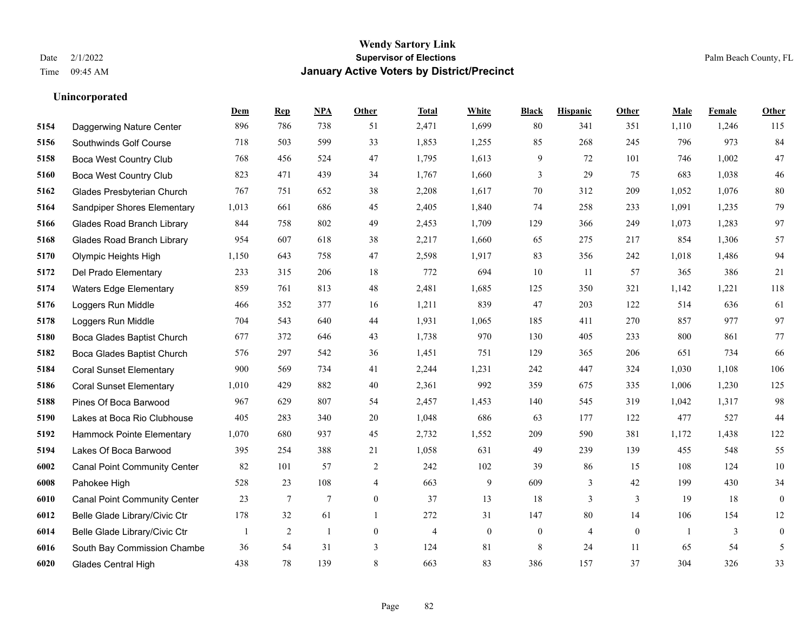**Unincorporated**

## **Wendy Sartory Link** Date 2/1/2022 **Supervisor of Elections** Palm Beach County, FL Time 09:45 AM **January Active Voters by District/Precinct**

# **Dem Rep NPA Other Total White Black Hispanic Other Male Female Other** Daggerwing Nature Center 896 786 738 51 2,471 1,699 80 341 351 1,110 1,246 115 Southwinds Golf Course 718 503 599 33 1,853 1,255 85 268 245 796 973 84 Boca West Country Club 768 456 524 47 1,795 1,613 9 72 101 746 1,002 47 Boca West Country Club 823 471 439 34 1,767 1,660 3 29 75 683 1,038 46 Glades Presbyterian Church 767 751 652 38 2,208 1,617 70 312 209 1,052 1,076 80 Sandpiper Shores Elementary 1,013 661 686 45 2,405 1,840 74 258 233 1,091 1,235 79 Glades Road Branch Library 844 758 802 49 2,453 1,709 129 366 249 1,073 1,283 97 Glades Road Branch Library 954 607 618 38 2,217 1,660 65 275 217 854 1,306 57 Olympic Heights High 1,150 643 758 47 2,598 1,917 83 356 242 1,018 1,486 94 Del Prado Elementary 233 315 206 18 772 694 10 11 57 365 386 21 Waters Edge Elementary 859 761 813 48 2,481 1,685 125 350 321 1,142 1,221 118 Loggers Run Middle 466 352 377 16 1,211 839 47 203 122 514 636 61 Loggers Run Middle 704 543 640 44 1,931 1,065 185 411 270 857 977 97 Boca Glades Baptist Church 677 372 646 43 1,738 970 130 405 233 800 861 77 Boca Glades Baptist Church 576 297 542 36 1,451 751 129 365 206 651 734 66 Coral Sunset Elementary 900 569 734 41 2,244 1,231 242 447 324 1,030 1,108 106 Coral Sunset Elementary 1,010 429 882 40 2,361 992 359 675 335 1,006 1,230 125 Pines Of Boca Barwood 967 629 807 54 2,457 1,453 140 545 319 1,042 1,317 98 Lakes at Boca Rio Clubhouse 405 283 340 20 1,048 686 63 177 122 477 527 44 Hammock Pointe Elementary 1,070 680 937 45 2,732 1,552 209 590 381 1,172 1,438 122 Lakes Of Boca Barwood 395 254 388 21 1,058 631 49 239 139 455 548 55 Canal Point Community Center 82 101 57 2 242 102 39 86 15 108 124 10 Pahokee High 528 23 108 4 663 9 609 3 42 199 430 34 Canal Point Community Center 23 7 7 0 37 13 18 3 3 19 18 0 Belle Glade Library/Civic Ctr 178 32 61 1 272 31 147 80 14 106 154 12 Belle Glade Library/Civic Ctr  $\begin{array}{cccccccc} 1 & 2 & 1 & 0 & 4 & 0 & 0 & 4 & 0 & 1 & 3 & 0 \end{array}$  South Bay Commission Chambe 36 54 31 3 124 81 8 24 11 65 54 5 Glades Central High 438 78 139 8 663 83 386 157 37 304 326 33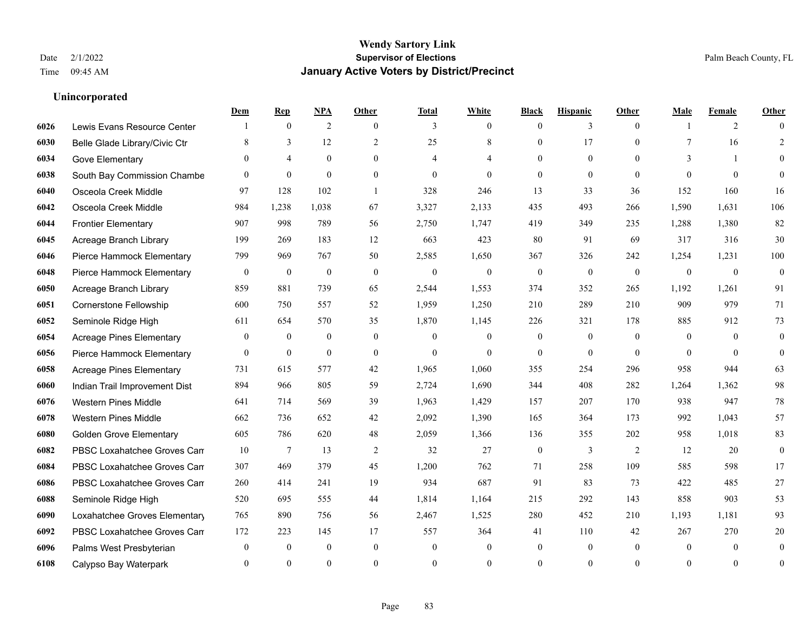|      |                                 | Dem              | <b>Rep</b>     | NPA              | <b>Other</b>     | <b>Total</b>     | <b>White</b>     | <b>Black</b>     | <b>Hispanic</b>  | <b>Other</b>   | <b>Male</b>  | <b>Female</b> | <b>Other</b>     |
|------|---------------------------------|------------------|----------------|------------------|------------------|------------------|------------------|------------------|------------------|----------------|--------------|---------------|------------------|
| 6026 | Lewis Evans Resource Center     |                  | $\mathbf{0}$   | 2                | $\theta$         | 3                | $\overline{0}$   | $\mathbf{0}$     | 3                | $\theta$       |              | 2             | $\Omega$         |
| 6030 | Belle Glade Library/Civic Ctr   | 8                | 3              | 12               | 2                | 25               | $\,$ 8 $\,$      | $\mathbf{0}$     | 17               | $\theta$       | $\tau$       | 16            | $\overline{2}$   |
| 6034 | Gove Elementary                 | $\Omega$         | $\overline{4}$ | $\overline{0}$   | $\Omega$         | 4                | 4                | $\Omega$         | $\mathbf{0}$     | $\theta$       | 3            | $\mathbf{1}$  | $\Omega$         |
| 6038 | South Bay Commission Chambe     | $\Omega$         | $\mathbf{0}$   | $\mathbf{0}$     | $\overline{0}$   | $\mathbf{0}$     | $\overline{0}$   | $\mathbf{0}$     | $\mathbf{0}$     | $\theta$       | $\theta$     | $\theta$      | $\theta$         |
| 6040 | Osceola Creek Middle            | 97               | 128            | 102              | $\overline{1}$   | 328              | 246              | 13               | 33               | 36             | 152          | 160           | 16               |
| 6042 | Osceola Creek Middle            | 984              | 1,238          | 1,038            | 67               | 3,327            | 2,133            | 435              | 493              | 266            | 1,590        | 1,631         | 106              |
| 6044 | <b>Frontier Elementary</b>      | 907              | 998            | 789              | 56               | 2,750            | 1,747            | 419              | 349              | 235            | 1,288        | 1,380         | 82               |
| 6045 | Acreage Branch Library          | 199              | 269            | 183              | 12               | 663              | 423              | 80               | 91               | 69             | 317          | 316           | 30               |
| 6046 | Pierce Hammock Elementary       | 799              | 969            | 767              | 50               | 2,585            | 1,650            | 367              | 326              | 242            | 1,254        | 1,231         | 100              |
| 6048 | Pierce Hammock Elementary       | $\mathbf{0}$     | $\bf{0}$       | $\overline{0}$   | $\theta$         | $\mathbf{0}$     | $\overline{0}$   | $\boldsymbol{0}$ | $\mathbf{0}$     | $\mathbf{0}$   | $\mathbf{0}$ | $\mathbf{0}$  | $\boldsymbol{0}$ |
| 6050 | Acreage Branch Library          | 859              | 881            | 739              | 65               | 2,544            | 1,553            | 374              | 352              | 265            | 1,192        | 1,261         | 91               |
| 6051 | Cornerstone Fellowship          | 600              | 750            | 557              | 52               | 1,959            | 1,250            | 210              | 289              | 210            | 909          | 979           | 71               |
| 6052 | Seminole Ridge High             | 611              | 654            | 570              | 35               | 1,870            | 1,145            | 226              | 321              | 178            | 885          | 912           | 73               |
| 6054 | <b>Acreage Pines Elementary</b> | $\boldsymbol{0}$ | $\bf{0}$       | $\boldsymbol{0}$ | $\boldsymbol{0}$ | $\mathbf{0}$     | $\boldsymbol{0}$ | $\boldsymbol{0}$ | $\boldsymbol{0}$ | $\overline{0}$ | $\mathbf{0}$ | $\mathbf{0}$  | $\boldsymbol{0}$ |
| 6056 | Pierce Hammock Elementary       | $\overline{0}$   | $\bf{0}$       | $\mathbf{0}$     | $\overline{0}$   | $\theta$         | $\overline{0}$   | $\mathbf{0}$     | $\mathbf{0}$     | $\theta$       | $\Omega$     | $\theta$      | $\mathbf{0}$     |
| 6058 | <b>Acreage Pines Elementary</b> | 731              | 615            | 577              | 42               | 1,965            | 1,060            | 355              | 254              | 296            | 958          | 944           | 63               |
| 6060 | Indian Trail Improvement Dist   | 894              | 966            | 805              | 59               | 2,724            | 1,690            | 344              | 408              | 282            | 1,264        | 1,362         | 98               |
| 6076 | <b>Western Pines Middle</b>     | 641              | 714            | 569              | 39               | 1,963            | 1,429            | 157              | 207              | 170            | 938          | 947           | $78\,$           |
| 6078 | <b>Western Pines Middle</b>     | 662              | 736            | 652              | 42               | 2,092            | 1,390            | 165              | 364              | 173            | 992          | 1,043         | 57               |
| 6080 | <b>Golden Grove Elementary</b>  | 605              | 786            | 620              | 48               | 2,059            | 1,366            | 136              | 355              | 202            | 958          | 1,018         | 83               |
| 6082 | PBSC Loxahatchee Groves Can     | 10               | 7              | 13               | 2                | 32               | 27               | $\boldsymbol{0}$ | 3                | 2              | 12           | 20            | $\mathbf{0}$     |
| 6084 | PBSC Loxahatchee Groves Can     | 307              | 469            | 379              | 45               | 1,200            | 762              | 71               | 258              | 109            | 585          | 598           | 17               |
| 6086 | PBSC Loxahatchee Groves Can     | 260              | 414            | 241              | 19               | 934              | 687              | 91               | 83               | 73             | 422          | 485           | 27               |
| 6088 | Seminole Ridge High             | 520              | 695            | 555              | 44               | 1,814            | 1,164            | 215              | 292              | 143            | 858          | 903           | 53               |
| 6090 | Loxahatchee Groves Elementary   | 765              | 890            | 756              | 56               | 2,467            | 1,525            | 280              | 452              | 210            | 1,193        | 1.181         | 93               |
| 6092 | PBSC Loxahatchee Groves Can     | 172              | 223            | 145              | 17               | 557              | 364              | 41               | 110              | 42             | 267          | 270           | $20\,$           |
| 6096 | Palms West Presbyterian         | $\mathbf{0}$     | $\mathbf{0}$   | $\mathbf{0}$     | $\overline{0}$   | $\boldsymbol{0}$ | $\mathbf{0}$     | $\boldsymbol{0}$ | $\mathbf{0}$     | $\overline{0}$ | $\mathbf{0}$ | $\mathbf{0}$  | $\mathbf{0}$     |
| 6108 | Calypso Bay Waterpark           | 0                | $\theta$       | $\theta$         | $\Omega$         | $\Omega$         | $\theta$         | $\theta$         | $\theta$         | $\theta$       | $\Omega$     | $\theta$      | $\boldsymbol{0}$ |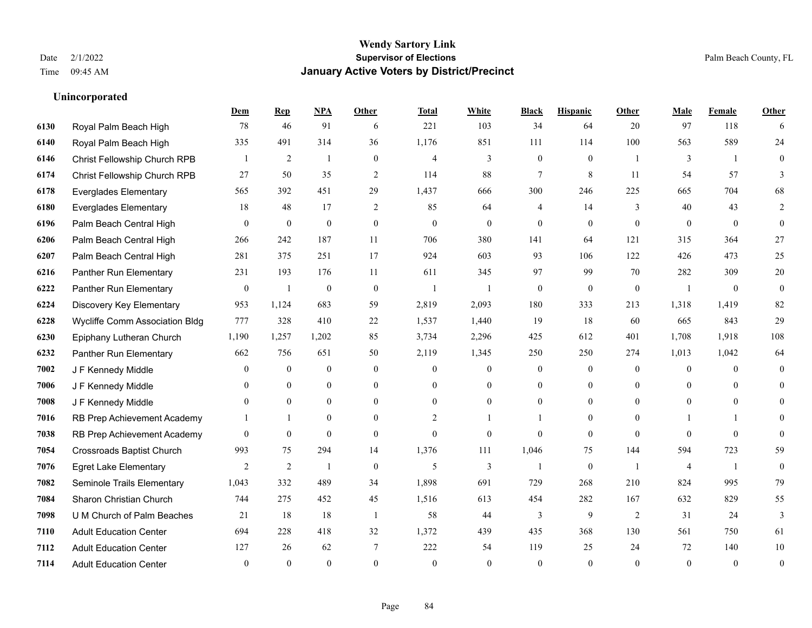**Unincorporated**

## **Wendy Sartory Link** Date 2/1/2022 **Supervisor of Elections** Palm Beach County, FL Time 09:45 AM **January Active Voters by District/Precinct**

**Dem Rep NPA Other Total White Black Hispanic Other Male Female Other**

# Royal Palm Beach High 78 46 91 6 221 103 34 64 20 97 118 6 Royal Palm Beach High 335 491 314 36 1,176 851 111 114 100 563 589 24 Christ Fellowship Church RPB 1 2 1 0 4 3 0 0 1 3 1 0 Christ Fellowship Church RPB 27 50 35 2 114 88 7 8 11 54 57 3 Everglades Elementary 565 392 451 29 1,437 666 300 246 225 665 704 68 Everglades Elementary 18 48 17 2 85 64 4 14 3 40 43 2 Palm Beach Central High 0 0 0 0 0 0 0 0 0 0 0 0 Palm Beach Central High 266 242 187 11 706 380 141 64 121 315 364 27 Palm Beach Central High 281 375 251 17 924 603 93 106 122 426 473 25 Panther Run Elementary 231 193 176 11 611 345 97 99 70 282 309 20 Panther Run Elementary 0 1 0 0 1 1 0 0 0 1 0 0 Discovery Key Elementary 953 1,124 683 59 2,819 2,093 180 333 213 1,318 1,419 82 Wycliffe Comm Association Bldg 777 328 410 22 1,537 1,440 19 18 60 665 843 29 Epiphany Lutheran Church 1,190 1,257 1,202 85 3,734 2,296 425 612 401 1,708 1,918 108 Panther Run Elementary 662 756 651 50 2,119 1,345 250 250 274 1,013 1,042 64 J F Kennedy Middle 0 0 0 0 0 0 0 0 0 0 J F Kennedy Middle 0 0 0 0 0 0 0 0 0 0 J F Kennedy Middle 0 0 0 0 0 0 0 0 0 0 RB Prep Achievement Academy 1 1 0 0 0 2 1 1 0 1 0 0 1 1 0 RB Prep Achievement Academy 0 0 0 0 0 0 0 0 0 0 0 0 Crossroads Baptist Church 993 75 294 14 1,376 111 1,046 75 144 594 723 59 Egret Lake Elementary 2 2 1 0 5 3 1 0 1 4 1 0 Seminole Trails Elementary 1,043 332 489 34 1,898 691 729 268 210 824 995 79 Sharon Christian Church 744 275 452 45 1,516 613 454 282 167 632 829 55 U M Church of Palm Beaches 21 18 18 1 58 44 3 9 2 31 24 3 Adult Education Center 694 228 418 32 1,372 439 435 368 130 561 750 61

 Adult Education Center 127 26 62 7 222 54 119 25 24 72 140 10 Adult Education Center 0 0 0 0 0 0 0 0 0 0 0 0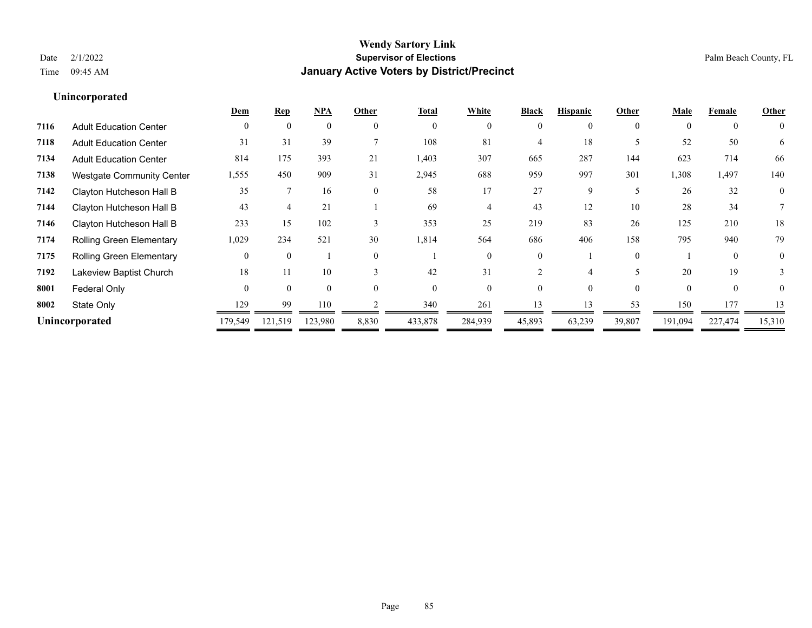|                                  | Dem            | <b>Rep</b> | <b>NPA</b> | Other         | <b>Total</b> | White    | <b>Black</b> | <b>Hispanic</b> | Other    | <b>Male</b> | Female   | Other    |
|----------------------------------|----------------|------------|------------|---------------|--------------|----------|--------------|-----------------|----------|-------------|----------|----------|
| <b>Adult Education Center</b>    | $\Omega$       | $\theta$   | $\theta$   | $\Omega$      | $\theta$     | $\theta$ | $\theta$     | 0               | $\theta$ | $\theta$    | $\theta$ | $\theta$ |
| <b>Adult Education Center</b>    | 31             | 31         | 39         |               | 108          | 81       | 4            | 18              |          | 52          | 50       | 6        |
| <b>Adult Education Center</b>    | 814            | 175        | 393        | 21            | 1,403        | 307      | 665          | 287             | 144      | 623         | 714      | 66       |
| <b>Westgate Community Center</b> | 1,555          | 450        | 909        | 31            | 2,945        | 688      | 959          | 997             | 301      | 1,308       | 1,497    | 140      |
| Clayton Hutcheson Hall B         | 35             |            | 16         | $\theta$      | 58           | 17       | 27           | 9               | 5        | 26          | 32       | $\theta$ |
| Clayton Hutcheson Hall B         | 43             |            | 21         |               | 69           |          | 43           | 12              | 10       | 28          | 34       |          |
| Clayton Hutcheson Hall B         | 233            | 15         | 102        | $\mathcal{E}$ | 353          | 25       | 219          | 83              | 26       | 125         | 210      | 18       |
| Rolling Green Elementary         | 1,029          | 234        | 521        | 30            | 1,814        | 564      | 686          | 406             | 158      | 795         | 940      | 79       |
| <b>Rolling Green Elementary</b>  |                | $\theta$   |            | $\theta$      |              | 0        | 0            |                 | $\theta$ |             | $\Omega$ | $\theta$ |
| Lakeview Baptist Church          | 18             | 11         | 10         | $\mathcal{R}$ | 42           | 31       |              |                 |          | 20          | 19       | 3        |
| Federal Only                     | $\Omega$       | $\Omega$   | $\Omega$   | $\Omega$      | $\Omega$     | 0        |              |                 | $\Omega$ | $\Omega$    | $\theta$ | 0        |
| State Only                       | 129            | 99         | 110        |               | 340          | 261      | 13           | 13              | 53       | 150         | 177      | 13       |
|                                  | 179,549        | 121,519    | 123,980    | 8,830         | 433,878      | 284,939  | 45,893       | 63,239          | 39,807   | 191,094     | 227,474  | 15,310   |
|                                  | Unincorporated |            |            |               |              |          |              |                 |          |             |          |          |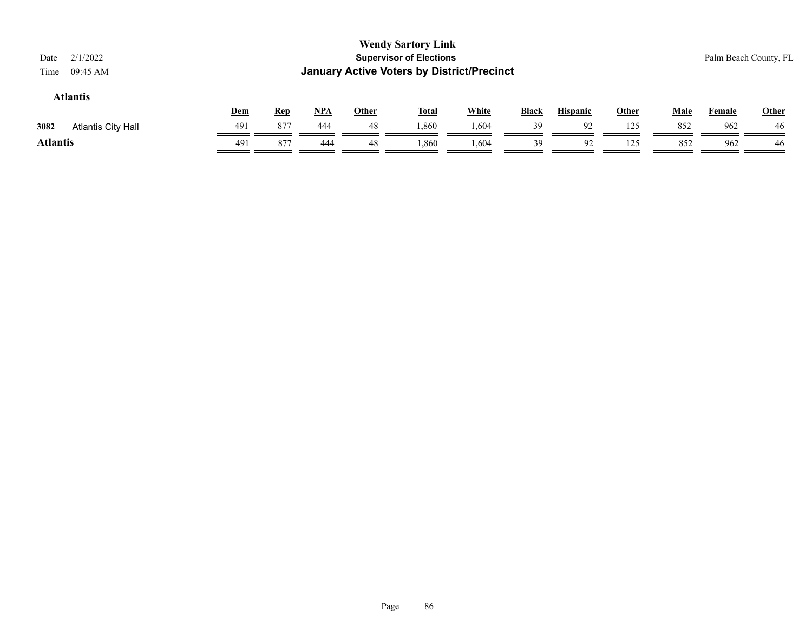| <b>Wendy Sartory Link</b><br><b>Supervisor of Elections</b><br>2/1/2022<br>Date<br><b>January Active Voters by District/Precinct</b><br>09:45 AM<br>Time |     |            |       |              |              |              |              |                 |              |             |               | Palm Beach County, FL |
|----------------------------------------------------------------------------------------------------------------------------------------------------------|-----|------------|-------|--------------|--------------|--------------|--------------|-----------------|--------------|-------------|---------------|-----------------------|
| <b>Atlantis</b>                                                                                                                                          | Dem | <u>Rep</u> | $NPA$ | <b>Other</b> | <u>Total</u> | <b>White</b> | <b>Black</b> | <b>Hispanic</b> | <u>Other</u> | <b>Male</b> | <b>Female</b> | <b>Other</b>          |
| 3082<br>Atlantis City Hall                                                                                                                               | 491 | 877        | 444   | 48           | 1.860        | 1,604        | 39           | 92              | 125          | 852         | 962           | 46                    |
| <b>Atlantis</b>                                                                                                                                          | 491 | 877        | 444   | 48           | 1,860        | 1.604        | 39           | 92              | 125          | 852         | 962           | 46                    |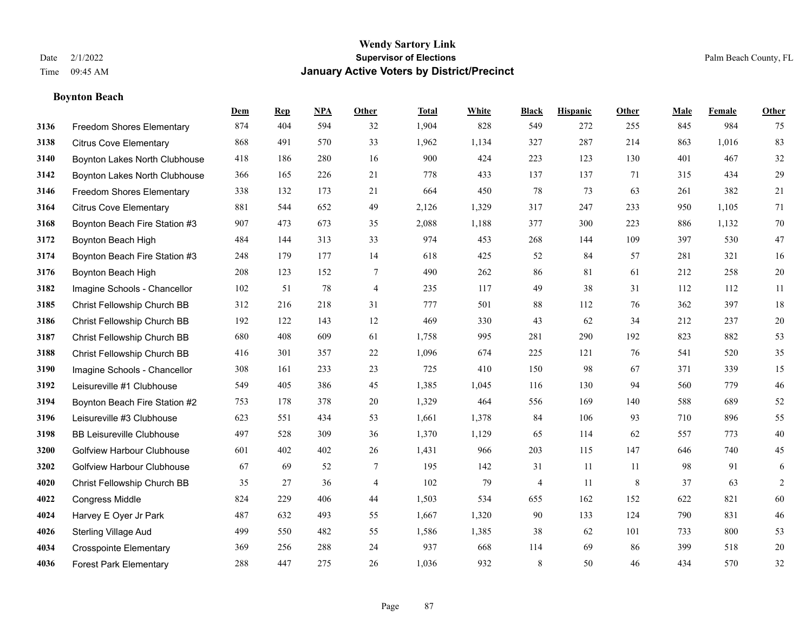# **Boynton Beach**

|      |                                   | Dem | <b>Rep</b> | NPA | <b>Other</b>   | <b>Total</b> | <b>White</b> | <b>Black</b> | <b>Hispanic</b> | <b>Other</b> | <b>Male</b> | <b>Female</b> | Other          |
|------|-----------------------------------|-----|------------|-----|----------------|--------------|--------------|--------------|-----------------|--------------|-------------|---------------|----------------|
| 3136 | Freedom Shores Elementary         | 874 | 404        | 594 | 32             | 1,904        | 828          | 549          | 272             | 255          | 845         | 984           | 75             |
| 3138 | <b>Citrus Cove Elementary</b>     | 868 | 491        | 570 | 33             | 1,962        | 1,134        | 327          | 287             | 214          | 863         | 1,016         | 83             |
| 3140 | Boynton Lakes North Clubhouse     | 418 | 186        | 280 | 16             | 900          | 424          | 223          | 123             | 130          | 401         | 467           | $32\,$         |
| 3142 | Boynton Lakes North Clubhouse     | 366 | 165        | 226 | 21             | 778          | 433          | 137          | 137             | 71           | 315         | 434           | 29             |
| 3146 | <b>Freedom Shores Elementary</b>  | 338 | 132        | 173 | 21             | 664          | 450          | 78           | 73              | 63           | 261         | 382           | 21             |
| 3164 | <b>Citrus Cove Elementary</b>     | 881 | 544        | 652 | 49             | 2,126        | 1,329        | 317          | 247             | 233          | 950         | 1,105         | 71             |
| 3168 | Boynton Beach Fire Station #3     | 907 | 473        | 673 | 35             | 2,088        | 1,188        | 377          | 300             | 223          | 886         | 1,132         | 70             |
| 3172 | Boynton Beach High                | 484 | 144        | 313 | 33             | 974          | 453          | 268          | 144             | 109          | 397         | 530           | $47\,$         |
| 3174 | Boynton Beach Fire Station #3     | 248 | 179        | 177 | 14             | 618          | 425          | 52           | 84              | 57           | 281         | 321           | 16             |
| 3176 | Boynton Beach High                | 208 | 123        | 152 | 7              | 490          | 262          | 86           | 81              | 61           | 212         | 258           | $20\,$         |
| 3182 | Imagine Schools - Chancellor      | 102 | 51         | 78  | $\overline{4}$ | 235          | 117          | 49           | 38              | 31           | 112         | 112           | 11             |
| 3185 | Christ Fellowship Church BB       | 312 | 216        | 218 | 31             | 777          | 501          | 88           | 112             | 76           | 362         | 397           | $18\,$         |
| 3186 | Christ Fellowship Church BB       | 192 | 122        | 143 | 12             | 469          | 330          | 43           | 62              | 34           | 212         | 237           | $20\,$         |
| 3187 | Christ Fellowship Church BB       | 680 | 408        | 609 | 61             | 1,758        | 995          | 281          | 290             | 192          | 823         | 882           | 53             |
| 3188 | Christ Fellowship Church BB       | 416 | 301        | 357 | 22             | 1,096        | 674          | 225          | 121             | 76           | 541         | 520           | 35             |
| 3190 | Imagine Schools - Chancellor      | 308 | 161        | 233 | 23             | 725          | 410          | 150          | 98              | 67           | 371         | 339           | 15             |
| 3192 | Leisureville #1 Clubhouse         | 549 | 405        | 386 | 45             | 1,385        | 1,045        | 116          | 130             | 94           | 560         | 779           | $46\,$         |
| 3194 | Boynton Beach Fire Station #2     | 753 | 178        | 378 | 20             | 1,329        | 464          | 556          | 169             | 140          | 588         | 689           | 52             |
| 3196 | Leisureville #3 Clubhouse         | 623 | 551        | 434 | 53             | 1,661        | 1,378        | 84           | 106             | 93           | 710         | 896           | 55             |
| 3198 | <b>BB Leisureville Clubhouse</b>  | 497 | 528        | 309 | 36             | 1,370        | 1,129        | 65           | 114             | 62           | 557         | 773           | $40\,$         |
| 3200 | Golfview Harbour Clubhouse        | 601 | 402        | 402 | 26             | 1,431        | 966          | 203          | 115             | 147          | 646         | 740           | 45             |
| 3202 | <b>Golfview Harbour Clubhouse</b> | 67  | 69         | 52  | $\tau$         | 195          | 142          | 31           | 11              | 11           | 98          | 91            | 6              |
| 4020 | Christ Fellowship Church BB       | 35  | 27         | 36  | $\overline{4}$ | 102          | 79           | 4            | 11              | 8            | 37          | 63            | $\overline{c}$ |
| 4022 | <b>Congress Middle</b>            | 824 | 229        | 406 | 44             | 1,503        | 534          | 655          | 162             | 152          | 622         | 821           | 60             |
| 4024 | Harvey E Oyer Jr Park             | 487 | 632        | 493 | 55             | 1,667        | 1,320        | 90           | 133             | 124          | 790         | 831           | 46             |
| 4026 | <b>Sterling Village Aud</b>       | 499 | 550        | 482 | 55             | 1,586        | 1,385        | 38           | 62              | 101          | 733         | 800           | 53             |
| 4034 | <b>Crosspointe Elementary</b>     | 369 | 256        | 288 | 24             | 937          | 668          | 114          | 69              | 86           | 399         | 518           | $20\,$         |
| 4036 | <b>Forest Park Elementary</b>     | 288 | 447        | 275 | 26             | 1,036        | 932          | $\,8\,$      | 50              | 46           | 434         | 570           | 32             |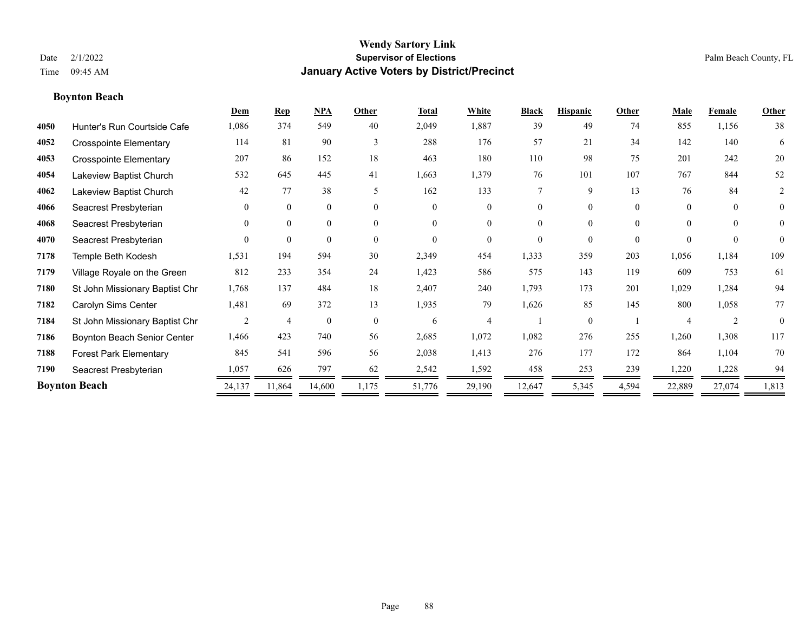# **Boynton Beach**

|      |                                | Dem      | <b>Rep</b>     | NPA          | Other    | <b>Total</b> | White          | <b>Black</b> | <b>Hispanic</b> | Other    | Male     | Female   | Other          |
|------|--------------------------------|----------|----------------|--------------|----------|--------------|----------------|--------------|-----------------|----------|----------|----------|----------------|
| 4050 | Hunter's Run Courtside Cafe    | 1,086    | 374            | 549          | 40       | 2,049        | 1,887          | 39           | 49              | 74       | 855      | 1,156    | 38             |
| 4052 | <b>Crosspointe Elementary</b>  | 114      | 81             | 90           | 3        | 288          | 176            | 57           | 21              | 34       | 142      | 140      | 6              |
| 4053 | <b>Crosspointe Elementary</b>  | 207      | 86             | 152          | 18       | 463          | 180            | 110          | 98              | 75       | 201      | 242      | 20             |
| 4054 | Lakeview Baptist Church        | 532      | 645            | 445          | 41       | 1,663        | 1,379          | 76           | 101             | 107      | 767      | 844      | 52             |
| 4062 | Lakeview Baptist Church        | 42       | 77             | 38           | 5        | 162          | 133            | $\tau$       | 9               | 13       | 76       | 84       | 2              |
| 4066 | Seacrest Presbyterian          | $\theta$ | $\mathbf{0}$   | $\mathbf{0}$ | $\Omega$ | $\Omega$     | $\mathbf{0}$   | $\Omega$     | $\Omega$        | $\theta$ | $\Omega$ | $\theta$ | $\overline{0}$ |
| 4068 | Seacrest Presbyterian          | $\theta$ | $\mathbf{0}$   | $\mathbf{0}$ | $\theta$ | $\Omega$     | $\overline{0}$ | $\theta$     | $\theta$        | $\Omega$ | $\Omega$ | $\theta$ | $\overline{0}$ |
| 4070 | Seacrest Presbyterian          | $\Omega$ | $\theta$       | $\mathbf{0}$ | $\Omega$ | $\theta$     | $\theta$       | $\Omega$     | $\theta$        | $\theta$ | $\Omega$ | $\theta$ | $\theta$       |
| 7178 | Temple Beth Kodesh             | 1,531    | 194            | 594          | 30       | 2,349        | 454            | 1,333        | 359             | 203      | 1,056    | 1,184    | 109            |
| 7179 | Village Royale on the Green    | 812      | 233            | 354          | 24       | 1,423        | 586            | 575          | 143             | 119      | 609      | 753      | 61             |
| 7180 | St John Missionary Baptist Chr | 1,768    | 137            | 484          | 18       | 2,407        | 240            | 1,793        | 173             | 201      | 1,029    | 1,284    | 94             |
| 7182 | Carolyn Sims Center            | 1,481    | 69             | 372          | 13       | 1,935        | 79             | 1,626        | 85              | 145      | 800      | 1,058    | 77             |
| 7184 | St John Missionary Baptist Chr | 2        | $\overline{4}$ | $\mathbf{0}$ | $\theta$ | 6            | $\Delta$       |              | $\theta$        |          |          | 2        | $\theta$       |
| 7186 | Boynton Beach Senior Center    | 1,466    | 423            | 740          | 56       | 2,685        | 1,072          | 1,082        | 276             | 255      | 1,260    | 1,308    | 117            |
| 7188 | <b>Forest Park Elementary</b>  | 845      | 541            | 596          | 56       | 2,038        | 1,413          | 276          | 177             | 172      | 864      | 1,104    | 70             |
| 7190 | Seacrest Presbyterian          | 1,057    | 626            | 797          | 62       | 2,542        | 1,592          | 458          | 253             | 239      | 1,220    | 1,228    | 94             |
|      | <b>Boynton Beach</b>           | 24,137   | 11,864         | 14,600       | 1,175    | 51,776       | 29,190         | 12,647       | 5,345           | 4,594    | 22,889   | 27,074   | 1,813          |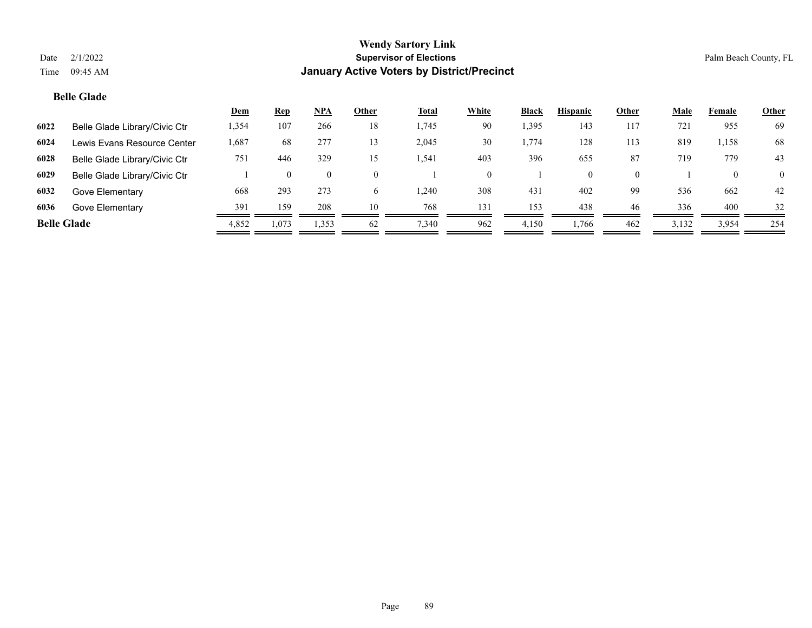# **Belle Glade**

|                    |                               | <u>Dem</u> | <u>Rep</u> | NPA   | Other    | <u>Total</u> | White    | <b>Black</b> | <b>Hispanic</b> | Other | <u>Male</u> | Female   | <b>Other</b> |
|--------------------|-------------------------------|------------|------------|-------|----------|--------------|----------|--------------|-----------------|-------|-------------|----------|--------------|
| 6022               | Belle Glade Library/Civic Ctr | 1,354      | 107        | 266   | 18       | 1,745        | 90       | 1,395        | 143             | 117   | 721         | 955      | 69           |
| 6024               | Lewis Evans Resource Center   | 1,687      | 68         | 277   | 13       | 2,045        | 30       | 1,774        | 128             | 113   | 819         | 1,158    | 68           |
| 6028               | Belle Glade Library/Civic Ctr | 751        | 446        | 329   | 15       | 1,541        | 403      | 396          | 655             | 87    | 719         | 779      | 43           |
| 6029               | Belle Glade Library/Civic Ctr |            |            |       | $\Omega$ |              | $\Omega$ |              |                 |       |             | $\theta$ | $\Omega$     |
| 6032               | Gove Elementary               | 668        | 293        | 273   | 6.       | .240         | 308      | 431          | 402             | 99    | 536         | 662      | 42           |
| 6036               | Gove Elementary               | 391        | 159        | 208   | 10       | 768          | 131      | 153          | 438             | 46    | 336         | 400      | 32           |
| <b>Belle Glade</b> |                               | 4,852      | 1,073      | 1,353 | 62       | 7,340        | 962      | 4,150        | 1,766           | 462   | 3,132       | 3,954    | 254          |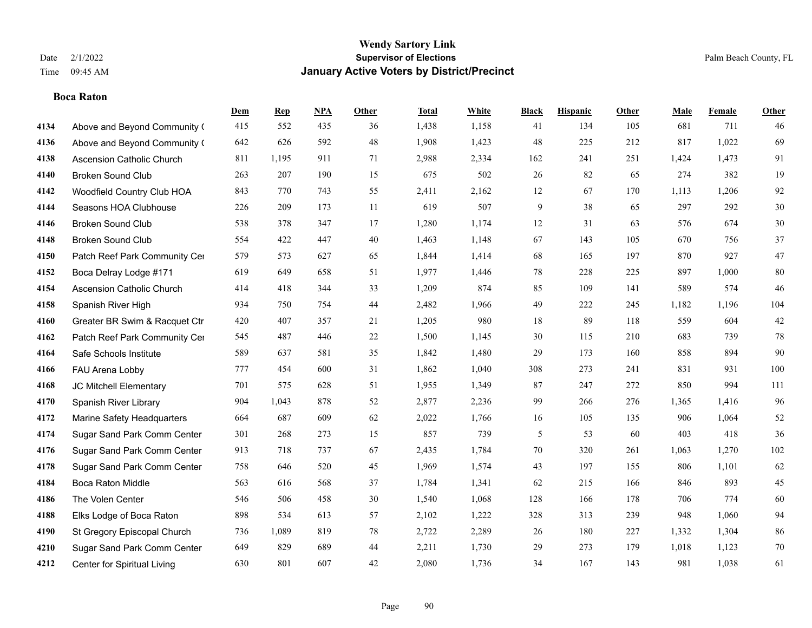#### **Boca Raton**

|      |                               | Dem | <b>Rep</b> | NPA | <b>Other</b> | <b>Total</b> | <b>White</b> | <b>Black</b> | <b>Hispanic</b> | <b>Other</b> | <b>Male</b> | <b>Female</b> | <b>Other</b> |
|------|-------------------------------|-----|------------|-----|--------------|--------------|--------------|--------------|-----------------|--------------|-------------|---------------|--------------|
| 4134 | Above and Beyond Community (  | 415 | 552        | 435 | 36           | 1,438        | 1,158        | 41           | 134             | 105          | 681         | 711           | 46           |
| 4136 | Above and Beyond Community (  | 642 | 626        | 592 | 48           | 1,908        | 1,423        | 48           | 225             | 212          | 817         | 1,022         | 69           |
| 4138 | Ascension Catholic Church     | 811 | 1,195      | 911 | 71           | 2,988        | 2,334        | 162          | 241             | 251          | 1,424       | 1,473         | 91           |
| 4140 | <b>Broken Sound Club</b>      | 263 | 207        | 190 | 15           | 675          | 502          | 26           | 82              | 65           | 274         | 382           | 19           |
| 4142 | Woodfield Country Club HOA    | 843 | 770        | 743 | 55           | 2,411        | 2,162        | 12           | 67              | 170          | 1,113       | 1,206         | 92           |
| 4144 | Seasons HOA Clubhouse         | 226 | 209        | 173 | 11           | 619          | 507          | 9            | 38              | 65           | 297         | 292           | $30\,$       |
| 4146 | <b>Broken Sound Club</b>      | 538 | 378        | 347 | 17           | 1,280        | 1,174        | $12\,$       | 31              | 63           | 576         | 674           | $30\,$       |
| 4148 | <b>Broken Sound Club</b>      | 554 | 422        | 447 | 40           | 1,463        | 1,148        | 67           | 143             | 105          | 670         | 756           | 37           |
| 4150 | Patch Reef Park Community Cer | 579 | 573        | 627 | 65           | 1,844        | 1,414        | 68           | 165             | 197          | 870         | 927           | 47           |
| 4152 | Boca Delray Lodge #171        | 619 | 649        | 658 | 51           | 1,977        | 1,446        | 78           | 228             | 225          | 897         | 1,000         | $80\,$       |
| 4154 | Ascension Catholic Church     | 414 | 418        | 344 | 33           | 1,209        | 874          | 85           | 109             | 141          | 589         | 574           | 46           |
| 4158 | Spanish River High            | 934 | 750        | 754 | 44           | 2,482        | 1,966        | 49           | 222             | 245          | 1,182       | 1,196         | 104          |
| 4160 | Greater BR Swim & Racquet Ctr | 420 | 407        | 357 | 21           | 1,205        | 980          | 18           | 89              | 118          | 559         | 604           | $42\,$       |
| 4162 | Patch Reef Park Community Cer | 545 | 487        | 446 | $22\,$       | 1,500        | 1,145        | $30\,$       | 115             | 210          | 683         | 739           | $78\,$       |
| 4164 | Safe Schools Institute        | 589 | 637        | 581 | 35           | 1,842        | 1,480        | 29           | 173             | 160          | 858         | 894           | 90           |
| 4166 | FAU Arena Lobby               | 777 | 454        | 600 | 31           | 1,862        | 1,040        | 308          | 273             | 241          | 831         | 931           | 100          |
| 4168 | JC Mitchell Elementary        | 701 | 575        | 628 | 51           | 1,955        | 1,349        | 87           | 247             | 272          | 850         | 994           | 111          |
| 4170 | Spanish River Library         | 904 | 1,043      | 878 | 52           | 2,877        | 2,236        | 99           | 266             | 276          | 1,365       | 1,416         | 96           |
| 4172 | Marine Safety Headquarters    | 664 | 687        | 609 | 62           | 2,022        | 1,766        | 16           | 105             | 135          | 906         | 1,064         | 52           |
| 4174 | Sugar Sand Park Comm Center   | 301 | 268        | 273 | 15           | 857          | 739          | 5            | 53              | 60           | 403         | 418           | 36           |
| 4176 | Sugar Sand Park Comm Center   | 913 | 718        | 737 | 67           | 2,435        | 1,784        | 70           | 320             | 261          | 1,063       | 1,270         | 102          |
| 4178 | Sugar Sand Park Comm Center   | 758 | 646        | 520 | 45           | 1,969        | 1,574        | 43           | 197             | 155          | 806         | 1,101         | 62           |
| 4184 | <b>Boca Raton Middle</b>      | 563 | 616        | 568 | 37           | 1,784        | 1,341        | 62           | 215             | 166          | 846         | 893           | 45           |
| 4186 | The Volen Center              | 546 | 506        | 458 | 30           | 1,540        | 1,068        | 128          | 166             | 178          | 706         | 774           | 60           |
| 4188 | Elks Lodge of Boca Raton      | 898 | 534        | 613 | 57           | 2,102        | 1,222        | 328          | 313             | 239          | 948         | 1,060         | 94           |
| 4190 | St Gregory Episcopal Church   | 736 | 1,089      | 819 | $78\,$       | 2,722        | 2,289        | 26           | 180             | 227          | 1,332       | 1,304         | 86           |
| 4210 | Sugar Sand Park Comm Center   | 649 | 829        | 689 | 44           | 2,211        | 1,730        | 29           | 273             | 179          | 1,018       | 1,123         | $70\,$       |
| 4212 | Center for Spiritual Living   | 630 | 801        | 607 | 42           | 2,080        | 1,736        | 34           | 167             | 143          | 981         | 1,038         | 61           |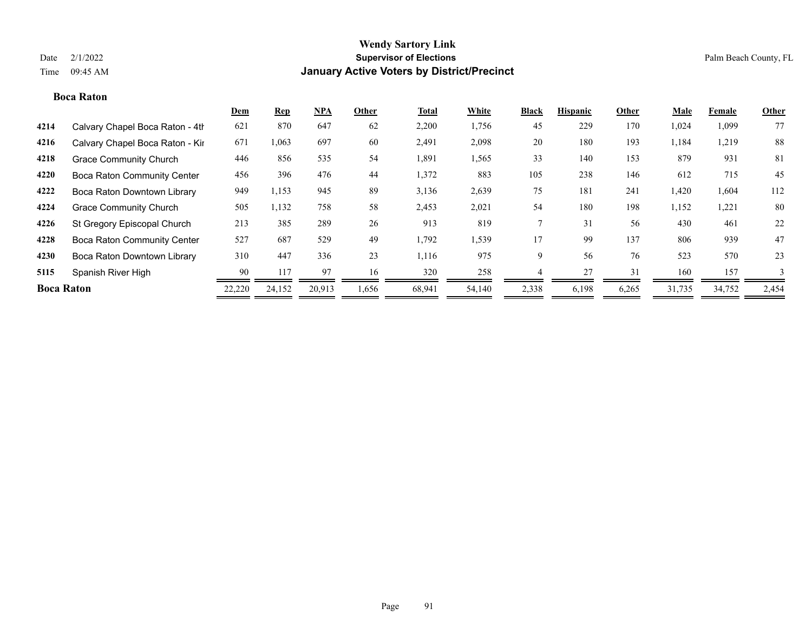## **Boca Raton**

|                   |                                    | <b>Dem</b> | <b>Rep</b> | <b>NPA</b> | Other | <b>Total</b> | White  | <b>Black</b> | <b>Hispanic</b> | Other | Male   | Female | Other |
|-------------------|------------------------------------|------------|------------|------------|-------|--------------|--------|--------------|-----------------|-------|--------|--------|-------|
| 4214              | Calvary Chapel Boca Raton - 4th    | 621        | 870        | 647        | 62    | 2,200        | 1,756  | 45           | 229             | 170   | 1,024  | 1,099  | 77    |
| 4216              | Calvary Chapel Boca Raton - Kir    | 671        | 1,063      | 697        | 60    | 2,491        | 2,098  | 20           | 180             | 193   | 1,184  | 1,219  | 88    |
| 4218              | <b>Grace Community Church</b>      | 446        | 856        | 535        | 54    | 1,891        | 1,565  | 33           | 140             | 153   | 879    | 931    | 81    |
| 4220              | <b>Boca Raton Community Center</b> | 456        | 396        | 476        | 44    | 1,372        | 883    | 105          | 238             | 146   | 612    | 715    | 45    |
| 4222              | Boca Raton Downtown Library        | 949        | 1,153      | 945        | 89    | 3,136        | 2,639  | 75           | 181             | 241   | 1,420  | 1,604  | 112   |
| 4224              | <b>Grace Community Church</b>      | 505        | 1,132      | 758        | 58    | 2,453        | 2,021  | 54           | 180             | 198   | 1,152  | 1,221  | 80    |
| 4226              | St Gregory Episcopal Church        | 213        | 385        | 289        | 26    | 913          | 819    |              | 31              | 56    | 430    | 461    | 22    |
| 4228              | <b>Boca Raton Community Center</b> | 527        | 687        | 529        | 49    | 1,792        | 1,539  | 17           | 99              | 137   | 806    | 939    | 47    |
| 4230              | Boca Raton Downtown Library        | 310        | 447        | 336        | 23    | 1,116        | 975    | 9            | 56              | 76    | 523    | 570    | 23    |
| 5115              | Spanish River High                 | 90         | 117        | 97         | 16    | 320          | 258    |              | 27              | 31    | 160    | 157    |       |
| <b>Boca Raton</b> |                                    | 22,220     | 24,152     | 20,913     | 1,656 | 68,941       | 54,140 | 2,338        | 6,198           | 6,265 | 31,735 | 34,752 | 2,454 |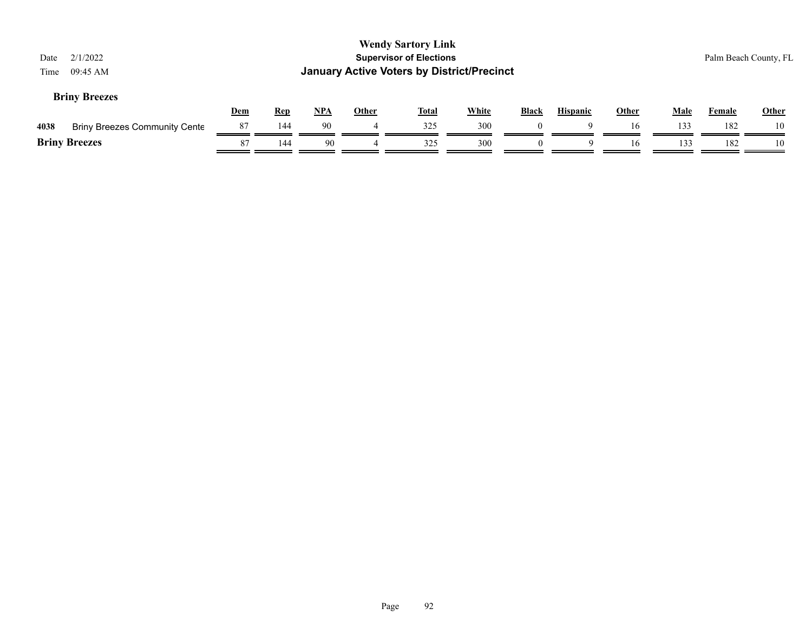| Date<br>Time | 2/1/2022<br>$09:45$ AM               |            |            |            |              | <b>Wendy Sartory Link</b><br><b>Supervisor of Elections</b><br><b>January Active Voters by District/Precinct</b> |              |              |                 |              |             | Palm Beach County, FL |              |
|--------------|--------------------------------------|------------|------------|------------|--------------|------------------------------------------------------------------------------------------------------------------|--------------|--------------|-----------------|--------------|-------------|-----------------------|--------------|
|              | <b>Briny Breezes</b>                 | <u>Dem</u> | <b>Rep</b> | <u>NPA</u> | <b>Other</b> | <u>Total</u>                                                                                                     | <b>White</b> | <b>Black</b> | <b>Hispanic</b> | <b>Other</b> | <b>Male</b> | Female                | <b>Other</b> |
| 4038         | <b>Briny Breezes Community Cente</b> | 87         | 144        | 90         |              | 325                                                                                                              | 300          | $\theta$     |                 | 16           | 133         | 182                   | 10           |
|              | <b>Briny Breezes</b>                 | 87         | 144        | 90         |              | 325                                                                                                              | 300          | $\theta$     | $\Omega$        | 16           | 133         | 182                   | 10           |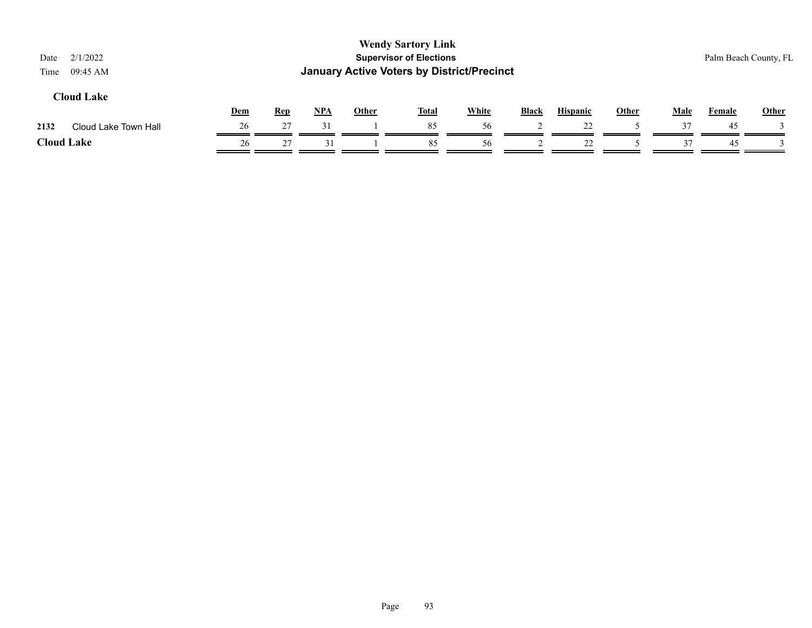| 2/1/2022<br>Date<br>09:45 AM<br>Time |     |            |     |              | <b>Wendy Sartory Link</b><br><b>Supervisor of Elections</b><br><b>January Active Voters by District/Precinct</b> |              |       |                 |              |             |               | Palm Beach County, FL |
|--------------------------------------|-----|------------|-----|--------------|------------------------------------------------------------------------------------------------------------------|--------------|-------|-----------------|--------------|-------------|---------------|-----------------------|
| <b>Cloud Lake</b>                    | Dem | <b>Rep</b> | NPA | <b>Other</b> | <b>Total</b>                                                                                                     | <b>White</b> | Black | <b>Hispanic</b> | <b>Other</b> | <b>Male</b> | <b>Female</b> | <b>Other</b>          |
| 2132<br>Cloud Lake Town Hall         | 26  | 27         | 31  |              | 85                                                                                                               | 56           |       | 22              |              | 37          | 45            |                       |
| <b>Cloud Lake</b>                    | 26  | 27         | 31  |              | 85                                                                                                               | 56           |       | 22              |              | 37          | 45            |                       |
|                                      |     |            |     |              |                                                                                                                  |              |       |                 |              |             |               |                       |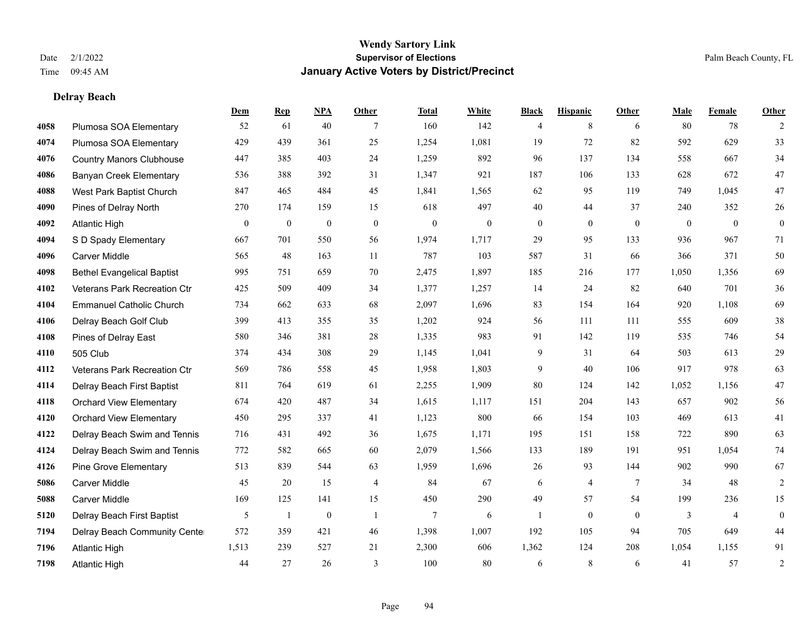**Delray Beach**

## **Wendy Sartory Link** Date 2/1/2022 **Supervisor of Elections** Palm Beach County, FL Time 09:45 AM **January Active Voters by District/Precinct**

# **Dem Rep NPA Other Total White Black Hispanic Other Male Female Other** Plumosa SOA Elementary 52 61 40 7 160 142 4 8 6 80 78 2 Plumosa SOA Elementary 429 439 361 25 1,254 1,081 19 72 82 592 629 33 Country Manors Clubhouse 447 385 403 24 1,259 892 96 137 134 558 667 34 Banyan Creek Elementary 536 388 392 31 1,347 921 187 106 133 628 672 47 West Park Baptist Church 847 465 484 45 1,841 1,565 62 95 119 749 1,045 47 Pines of Delray North 270 174 159 15 618 497 40 44 37 240 352 26 Atlantic High 0 0 0 0 0 0 0 0 0 0 0 0 S D Spady Elementary 667 701 550 56 1,974 1,717 29 95 133 936 967 71 Carver Middle 565 48 163 11 787 103 587 31 66 366 371 50 Bethel Evangelical Baptist 995 751 659 70 2,475 1,897 185 216 177 1,050 1,356 69 Veterans Park Recreation Ctr 425 509 409 34 1,377 1,257 14 24 82 640 701 36 Emmanuel Catholic Church 734 662 633 68 2,097 1,696 83 154 164 920 1,108 69 Delray Beach Golf Club 399 413 355 35 1,202 924 56 111 111 555 609 38 Pines of Delray East 580 346 381 28 1,335 983 91 142 119 535 746 54 505 Club 374 434 308 29 1,145 1,041 9 31 64 503 613 29 Veterans Park Recreation Ctr 569 786 558 45 1,958 1,803 9 40 106 917 978 63 Delray Beach First Baptist 811 764 619 61 2,255 1,909 80 124 142 1,052 1,156 47 Orchard View Elementary 674 420 487 34 1,615 1,117 151 204 143 657 902 56 Orchard View Elementary 450 295 337 41 1,123 800 66 154 103 469 613 41 Delray Beach Swim and Tennis 716 431 492 36 1,675 1,171 195 151 158 722 890 63 Delray Beach Swim and Tennis 772 582 665 60 2,079 1,566 133 189 191 951 1,054 74 Pine Grove Elementary 513 839 544 63 1,959 1,696 26 93 144 902 990 67 Carver Middle 45 20 15 4 84 67 6 4 7 34 48 2 Carver Middle 169 125 141 15 450 290 49 57 54 199 236 15 Delray Beach First Baptist 5 1 0 1 7 6 1 0 0 3 4 0 Delray Beach Community Center 572 359 421 46 1,398 1,007 192 105 94 705 649 44 Atlantic High 1,513 239 527 21 2,300 606 1,362 124 208 1,054 1,155 91 Atlantic High 44 27 26 3 100 80 6 8 6 41 57 2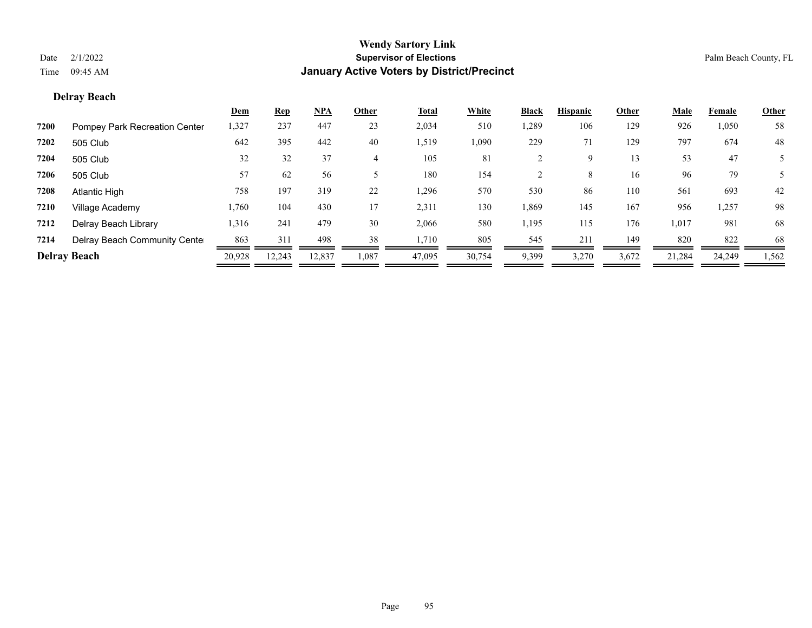# **Delray Beach**

|      |                               | <u>Dem</u> | <b>Rep</b> | <u>NPA</u> | Other | <u>Total</u> | White  | <b>Black</b> | <b>Hispanic</b> | Other | <b>Male</b> | Female | <b>Other</b> |
|------|-------------------------------|------------|------------|------------|-------|--------------|--------|--------------|-----------------|-------|-------------|--------|--------------|
| 7200 | Pompey Park Recreation Center | 1,327      | 237        | 447        | 23    | 2,034        | 510    | 1,289        | 106             | 129   | 926         | 1,050  | 58           |
| 7202 | 505 Club                      | 642        | 395        | 442        | 40    | 1,519        | 1,090  | 229          | 71              | 129   | 797         | 674    | 48           |
| 7204 | 505 Club                      | 32         | 32         | 37         | 4     | 105          | 81     |              | 9               | 13    | 53          | 47     |              |
| 7206 | 505 Club                      | 57         | 62         | 56         |       | 180          | 154    |              | 8               | 16    | 96          | 79     |              |
| 7208 | Atlantic High                 | 758        | 197        | 319        | 22    | 1,296        | 570    | 530          | 86              | 110   | 561         | 693    | 42           |
| 7210 | Village Academy               | 1,760      | 104        | 430        | 17    | 2,311        | 130    | 1,869        | 145             | 167   | 956         | 1,257  | 98           |
| 7212 | Delray Beach Library          | 1,316      | 241        | 479        | 30    | 2,066        | 580    | 1,195        | 115             | 176   | 1,017       | 981    | 68           |
| 7214 | Delray Beach Community Cente  | 863        | 311        | 498        | 38    | 1,710        | 805    | 545          | 211             | 149   | 820         | 822    | 68           |
|      | <b>Delray Beach</b>           | 20,928     | 12.243     | 12,837     | 1,087 | 47,095       | 30,754 | 9,399        | 3,270           | 3,672 | 21,284      | 24,249 | 1,562        |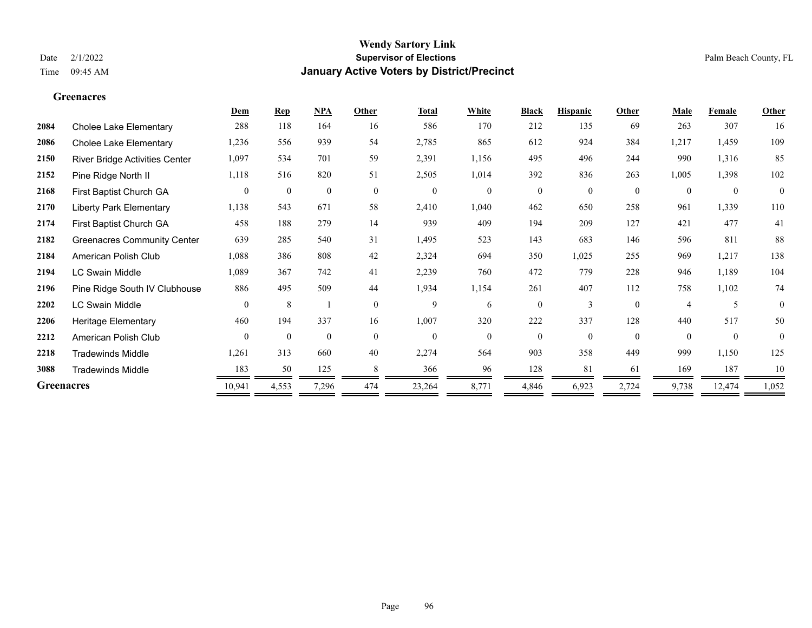# **Dem Rep NPA Other Total White Black Hispanic Other Male Female Other Greenacres**

| 2084              | Cholee Lake Elementary             | 288            | 118          | 164            | 16           | 586            | 170      | 212            | 135      | 69             | 263            | 307      | 16             |
|-------------------|------------------------------------|----------------|--------------|----------------|--------------|----------------|----------|----------------|----------|----------------|----------------|----------|----------------|
| 2086              | Cholee Lake Elementary             | 1,236          | 556          | 939            | 54           | 2,785          | 865      | 612            | 924      | 384            | 1,217          | 1,459    | 109            |
| 2150              | River Bridge Activities Center     | 1,097          | 534          | 701            | 59           | 2,391          | 1,156    | 495            | 496      | 244            | 990            | 1,316    | 85             |
| 2152              | Pine Ridge North II                | 1,118          | 516          | 820            | 51           | 2,505          | 1,014    | 392            | 836      | 263            | 1,005          | 1,398    | 102            |
| 2168              | First Baptist Church GA            | $\overline{0}$ | $\mathbf{0}$ | $\overline{0}$ | $\mathbf{0}$ | $\overline{0}$ | $\theta$ | $\overline{0}$ | $\theta$ | $\mathbf{0}$   | $\theta$       | $\theta$ | $\overline{0}$ |
| 2170              | <b>Liberty Park Elementary</b>     | 1,138          | 543          | 671            | 58           | 2,410          | 1,040    | 462            | 650      | 258            | 961            | 1,339    | 110            |
| 2174              | First Baptist Church GA            | 458            | 188          | 279            | 14           | 939            | 409      | 194            | 209      | 127            | 421            | 477      | 41             |
| 2182              | <b>Greenacres Community Center</b> | 639            | 285          | 540            | 31           | 1,495          | 523      | 143            | 683      | 146            | 596            | 811      | 88             |
| 2184              | American Polish Club               | 1,088          | 386          | 808            | 42           | 2,324          | 694      | 350            | 1,025    | 255            | 969            | 1,217    | 138            |
| 2194              | <b>LC Swain Middle</b>             | 1,089          | 367          | 742            | 41           | 2,239          | 760      | 472            | 779      | 228            | 946            | 1,189    | 104            |
| 2196              | Pine Ridge South IV Clubhouse      | 886            | 495          | 509            | 44           | 1,934          | 1,154    | 261            | 407      | 112            | 758            | 1,102    | 74             |
| 2202              | LC Swain Middle                    | $\overline{0}$ | 8            |                | $\mathbf{0}$ | 9              | 6        | $\overline{0}$ | 3        | $\overline{0}$ | $\overline{4}$ | 5        | $\theta$       |
| 2206              | <b>Heritage Elementary</b>         | 460            | 194          | 337            | 16           | 1,007          | 320      | 222            | 337      | 128            | 440            | 517      | 50             |
| 2212              | American Polish Club               | $\Omega$       | $\theta$     | $\theta$       | $\theta$     | $\Omega$       | $\Omega$ | $\Omega$       | $\Omega$ | $\Omega$       | $\Omega$       | $\theta$ | $\theta$       |
| 2218              | <b>Tradewinds Middle</b>           | 1,261          | 313          | 660            | 40           | 2,274          | 564      | 903            | 358      | 449            | 999            | 1,150    | 125            |
| 3088              | <b>Tradewinds Middle</b>           | 183            | 50           | 125            |              | 366            | 96       | 128            | 81       | 61             | 169            | 187      | 10             |
| <b>Greenacres</b> |                                    | 10,941         | 4,553        | 7,296          | 474          | 23,264         | 8,771    | 4,846          | 6,923    | 2,724          | 9,738          | 12,474   | 1,052          |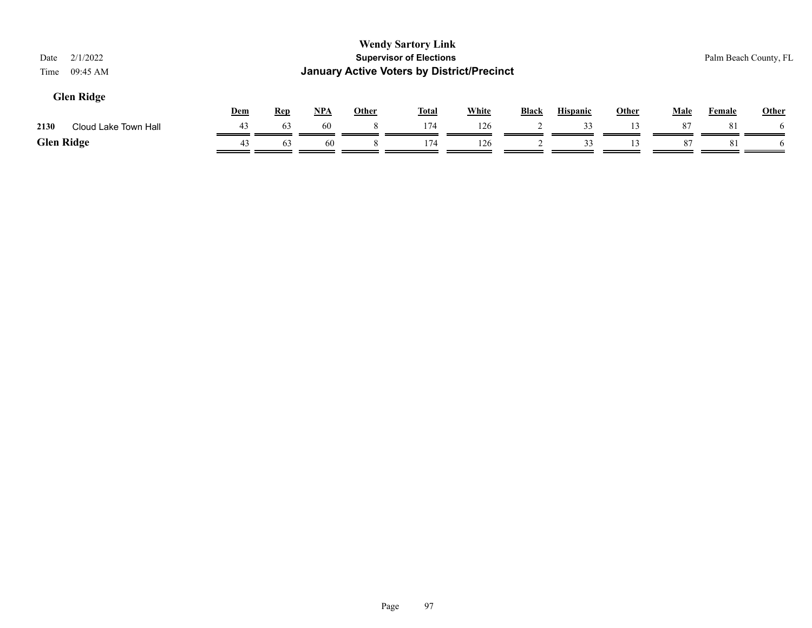| 2/1/2022<br>Date<br>09:45 AM<br>Time |            |            |            |              | <b>Wendy Sartory Link</b><br><b>Supervisor of Elections</b><br><b>January Active Voters by District/Precinct</b> |       |              |                 |       |             |               | Palm Beach County, FL |
|--------------------------------------|------------|------------|------------|--------------|------------------------------------------------------------------------------------------------------------------|-------|--------------|-----------------|-------|-------------|---------------|-----------------------|
| <b>Glen Ridge</b>                    | <b>Dem</b> | <b>Rep</b> | <u>NPA</u> | <b>Other</b> | <b>Total</b>                                                                                                     | White | <b>Black</b> | <b>Hispanic</b> | Other | <b>Male</b> | <b>Female</b> | Other                 |
| 2130<br>Cloud Lake Town Hall         | 43         | 63         | 60         |              | 174                                                                                                              | 126   |              | 33              | 13    | 87          | 81            | $\mathfrak{b}$        |
| <b>Glen Ridge</b>                    | 43         | 63         | 60         |              | 174                                                                                                              | 126   |              | 33              | 13    | 87          | 81            |                       |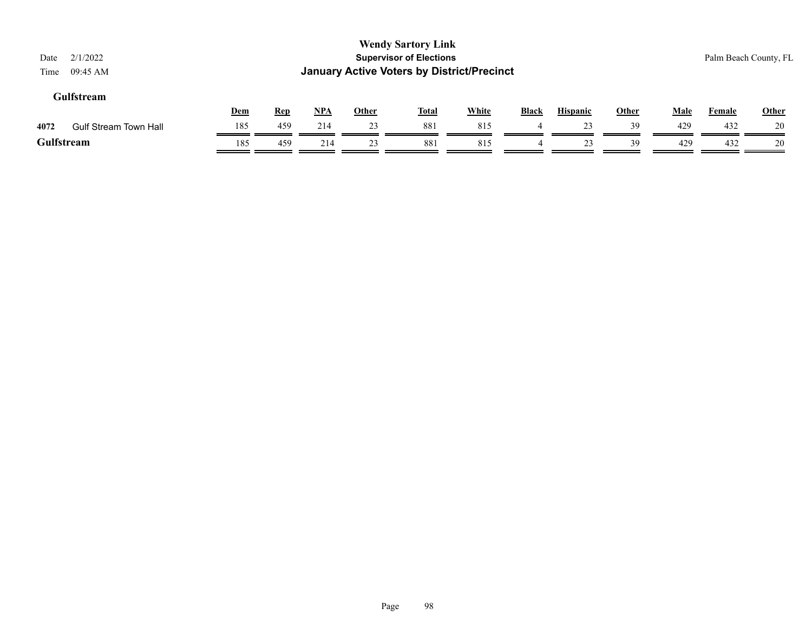|     |            |            |              |     |              |                                                                             |                                                   |                 |              | Palm Beach County, FL |              |
|-----|------------|------------|--------------|-----|--------------|-----------------------------------------------------------------------------|---------------------------------------------------|-----------------|--------------|-----------------------|--------------|
|     |            |            | <b>Other</b> |     |              | <b>Black</b>                                                                |                                                   |                 | <b>Male</b>  | <b>Female</b>         | <b>Other</b> |
| 185 | 459        | 214        | 23           | 881 | 815          |                                                                             | 23                                                | 39              | 429          | 432                   | 20           |
| 185 | 459        | 214        | 23           | 881 | 815          | 4                                                                           | 23                                                | 39              | 429          | 432                   | 20           |
|     | <b>Dem</b> | <b>Rep</b> | $NPA$        |     | <b>Total</b> | <b>Wendy Sartory Link</b><br><b>Supervisor of Elections</b><br><b>White</b> | <b>January Active Voters by District/Precinct</b> | <b>Hispanic</b> | <b>Other</b> |                       |              |

# Page 98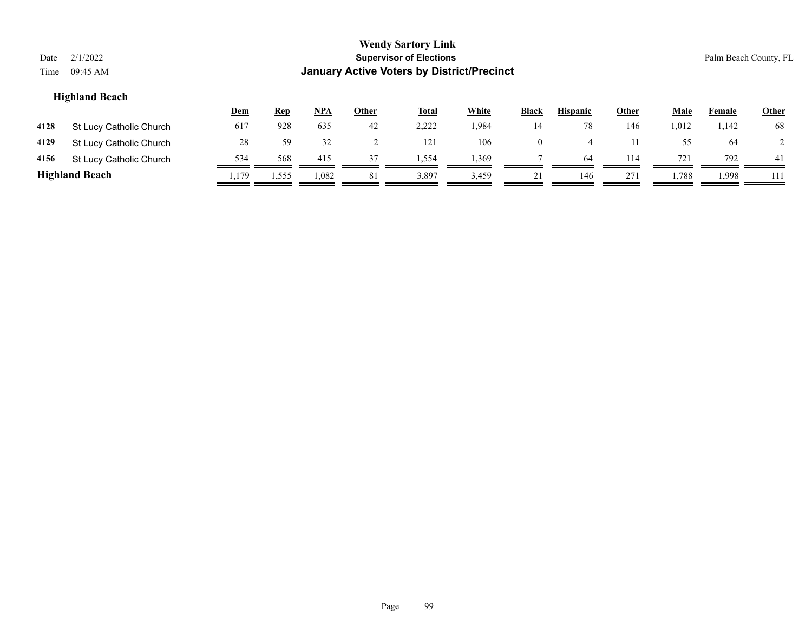| Date<br>Time | 2/1/2022<br>$09:45 \text{ AM}$                                                                                                                                         |      |       |       |    | <b>Wendy Sartory Link</b><br><b>Supervisor of Elections</b><br><b>January Active Voters by District/Precinct</b> |       |                |     |     |       |       | Palm Beach County, FL |  |
|--------------|------------------------------------------------------------------------------------------------------------------------------------------------------------------------|------|-------|-------|----|------------------------------------------------------------------------------------------------------------------|-------|----------------|-----|-----|-------|-------|-----------------------|--|
|              | <b>Highland Beach</b><br>NPA<br><b>White</b><br><b>Hispanic</b><br><b>Male</b><br><b>Rep</b><br><b>Other</b><br><b>Total</b><br>Black<br>Other<br>Dem<br><b>Female</b> |      |       |       |    |                                                                                                                  |       |                |     |     |       |       |                       |  |
| 4128         | St Lucy Catholic Church                                                                                                                                                | 617  | 928   | 635   | 42 | 2,222                                                                                                            | 1,984 | 14             | 78  | 146 | 1,012 | 1,142 | 68                    |  |
| 4129         | St Lucy Catholic Church                                                                                                                                                | 28   | 59    | 32    | 2  | 121                                                                                                              | 106   | $\overline{0}$ | 4   | 11  | 55    | 64    |                       |  |
| 4156         | St Lucy Catholic Church                                                                                                                                                | 534  | 568   | 415   | 37 | 1,554                                                                                                            | 1,369 |                | 64  | 114 | 721   | 792   | -41                   |  |
|              | <b>Highland Beach</b>                                                                                                                                                  | ,179 | 1,555 | 1,082 | 81 | 3,897                                                                                                            | 3,459 | 21             | 146 | 271 | 1,788 | 1,998 | 111                   |  |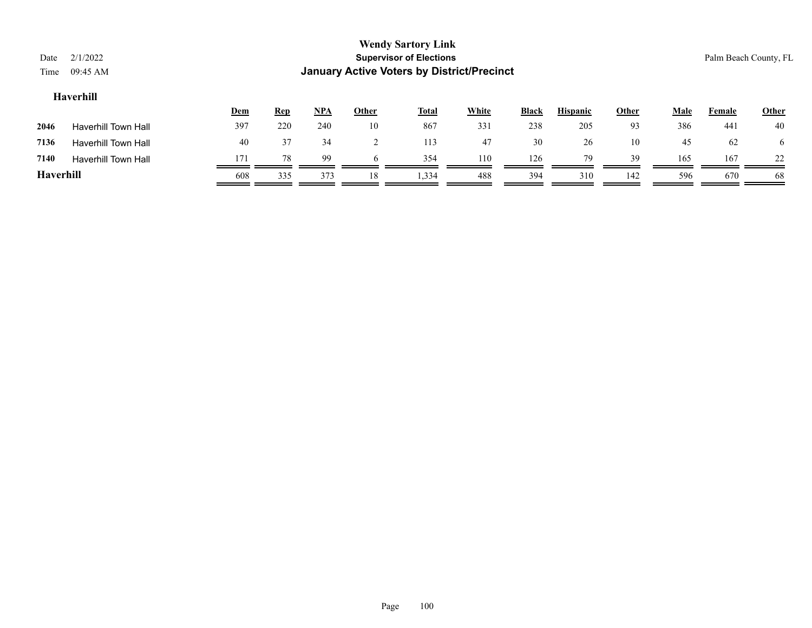| Date<br>Time | 2/1/2022<br>09:45 AM       |     |            |            |              | <b>Wendy Sartory Link</b><br><b>Supervisor of Elections</b><br><b>January Active Voters by District/Precinct</b> |              |              |                 |       |             | Palm Beach County, FL |              |
|--------------|----------------------------|-----|------------|------------|--------------|------------------------------------------------------------------------------------------------------------------|--------------|--------------|-----------------|-------|-------------|-----------------------|--------------|
| Haverhill    |                            |     |            |            |              |                                                                                                                  |              |              |                 |       |             |                       |              |
|              |                            | Dem | <b>Rep</b> | <u>NPA</u> | <b>Other</b> | <b>Total</b>                                                                                                     | <b>White</b> | <b>Black</b> | <b>Hispanic</b> | Other | <b>Male</b> | Female                | <b>Other</b> |
| 2046         | <b>Haverhill Town Hall</b> | 397 | 220        | 240        | 10           | 867                                                                                                              | 331          | 238          | 205             | 93    | 386         | 441                   | 40           |
| 7136         | <b>Haverhill Town Hall</b> | 40  | 37         | 34         |              | 113                                                                                                              | 47           | 30           | 26              | 10    | 45          | 62                    | $\sigma$     |
| 7140         | <b>Haverhill Town Hall</b> | 171 | 78         | 99         | 6            | 354                                                                                                              | 110          | 126          | 79              | 39    | 165         | 167                   | 22           |
| Haverhill    |                            | 608 | 335        | 373        | 18           | 1,334                                                                                                            | 488          | 394          | 310             | 142   | 596         | 670                   | 68           |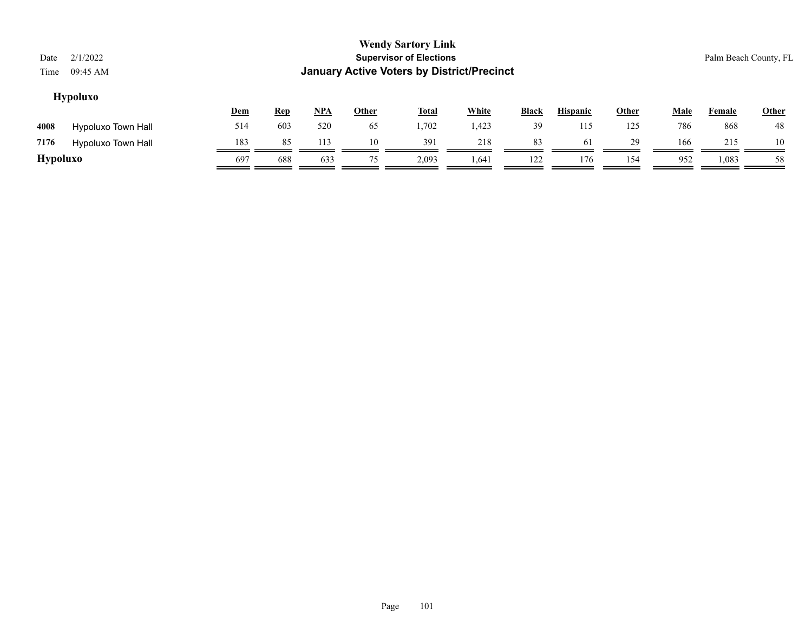| Date<br>Time    | 2/1/2022<br>09:45 AM      |     |            |            |       | <b>Wendy Sartory Link</b><br><b>Supervisor of Elections</b><br><b>January Active Voters by District/Precinct</b> |              |              |                 |              |             |               | Palm Beach County, FL |
|-----------------|---------------------------|-----|------------|------------|-------|------------------------------------------------------------------------------------------------------------------|--------------|--------------|-----------------|--------------|-------------|---------------|-----------------------|
|                 | <b>Hypoluxo</b>           | Dem | <b>Rep</b> | <u>NPA</u> | Other | <b>Total</b>                                                                                                     | <b>White</b> | <b>Black</b> | <b>Hispanic</b> | <b>Other</b> | <b>Male</b> | <b>Female</b> | Other                 |
| 4008            | Hypoluxo Town Hall        | 514 | 603        | 520        | 65    | 1,702                                                                                                            | 1,423        | 39           | 115             | 125          | 786         | 868           | 48                    |
| 7176            | <b>Hypoluxo Town Hall</b> | 183 | 85         | 113        | 10    | 391                                                                                                              | 218          | 83           | 61              | 29           | 166         | 215           | 10                    |
| <b>Hypoluxo</b> |                           | 697 | 688        | 633        | 75    | 2,093                                                                                                            | 1,641        | 122          | 176             | 154          | 952         | 1,083         | 58                    |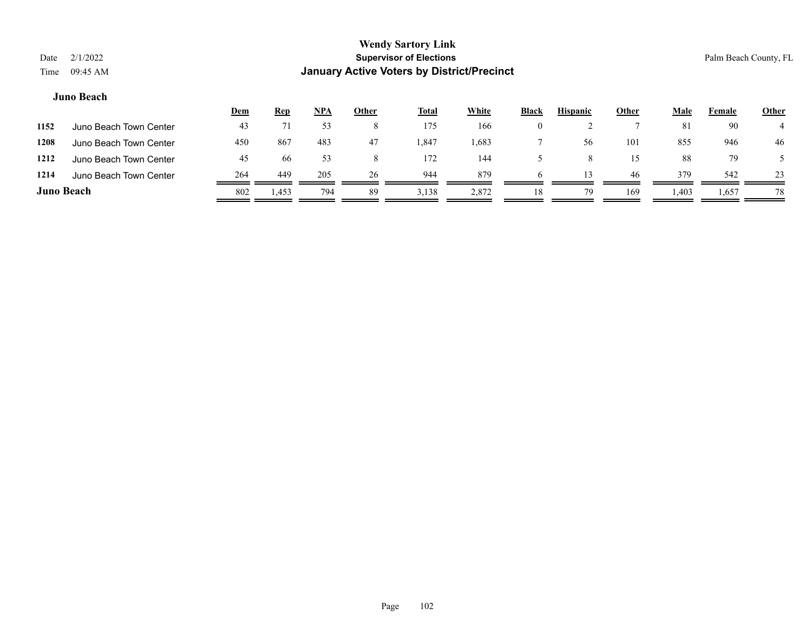|            |                        | <u>Dem</u> | <b>Rep</b> | <u>NPA</u> | <u>Other</u> | <u>Total</u> | White | <b>Black</b> | <b>Hispanic</b> | <b>Other</b> | Male | Female | <b>Other</b> |
|------------|------------------------|------------|------------|------------|--------------|--------------|-------|--------------|-----------------|--------------|------|--------|--------------|
| 1152       | Juno Beach Town Center | 43         |            | 53         |              | 175          | 166   | $_{0}$       |                 |              | 81   | 90     |              |
| 1208       | Juno Beach Town Center | 450        | 867        | 483        | 47           | . 847        | .683  |              | 56              | 101          | 855  | 946    | 46           |
| 1212       | Juno Beach Town Center | 45         | 66         | 53         |              | 172          | 144   |              |                 | 15           | 88   | 79     |              |
| 1214       | Juno Beach Town Center | 264        | 449        | 205        | 26           | 944          | 879   | h            |                 | 46           | 379  | 542    | 23           |
| Juno Beach |                        | 802        | 1,453      | 794        | 89           | 3,138        | 2,872 | 18           | 79              | 169          | .403 | 1,657  | 78           |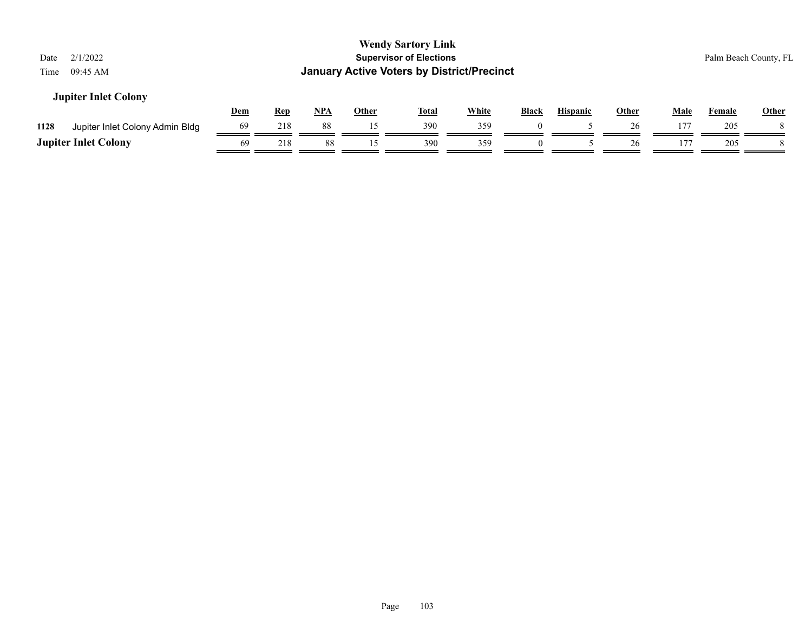| 2/1/2022<br>Date<br>09:45 AM<br>Time    |            |            |            |              | <b>Wendy Sartory Link</b><br><b>Supervisor of Elections</b><br><b>January Active Voters by District/Precinct</b> |              |              |                 |              |             |               | Palm Beach County, FL |
|-----------------------------------------|------------|------------|------------|--------------|------------------------------------------------------------------------------------------------------------------|--------------|--------------|-----------------|--------------|-------------|---------------|-----------------------|
| <b>Jupiter Inlet Colony</b>             | <u>Dem</u> | <u>Rep</u> | <u>NPA</u> | <b>Other</b> | <u>Total</u>                                                                                                     | <b>White</b> | <b>Black</b> | <b>Hispanic</b> | <b>Other</b> | <b>Male</b> | <b>Female</b> | <b>Other</b>          |
| 1128<br>Jupiter Inlet Colony Admin Bldg | 69         | 218        | 88         | 15           | 390                                                                                                              | 359          |              |                 | 26           | 177         | 205           |                       |
| <b>Jupiter Inlet Colony</b>             | 69         | 218        | 88         | 15           | 390                                                                                                              | 359          | $\theta$     |                 | 26           | 177         | 205           |                       |
|                                         |            |            |            |              |                                                                                                                  |              |              |                 |              |             |               |                       |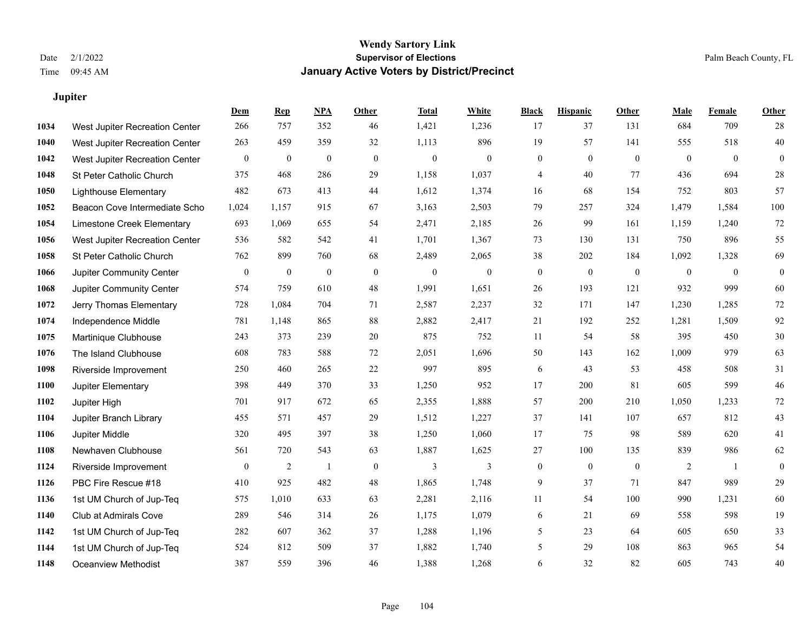**Dem Rep NPA Other Total White Black Hispanic Other Male Female Other**

# **Jupiter**

| 1034 | West Jupiter Recreation Center  | 266              | 757              | 352              | 46           | 1,421            | 1,236          | 17               | 37               | 131          | 684            | 709            | $28\,$           |
|------|---------------------------------|------------------|------------------|------------------|--------------|------------------|----------------|------------------|------------------|--------------|----------------|----------------|------------------|
| 1040 | West Jupiter Recreation Center  | 263              | 459              | 359              | 32           | 1,113            | 896            | 19               | 57               | 141          | 555            | 518            | 40               |
| 1042 | West Jupiter Recreation Center  | $\boldsymbol{0}$ | $\boldsymbol{0}$ | $\boldsymbol{0}$ | $\mathbf{0}$ | $\boldsymbol{0}$ | $\mathbf{0}$   | $\boldsymbol{0}$ | $\boldsymbol{0}$ | $\mathbf{0}$ | $\overline{0}$ | $\overline{0}$ | $\boldsymbol{0}$ |
| 1048 | St Peter Catholic Church        | 375              | 468              | 286              | 29           | 1,158            | 1,037          | $\overline{4}$   | 40               | 77           | 436            | 694            | 28               |
| 1050 | <b>Lighthouse Elementary</b>    | 482              | 673              | 413              | 44           | 1,612            | 1,374          | 16               | 68               | 154          | 752            | 803            | 57               |
| 1052 | Beacon Cove Intermediate Scho   | 1,024            | 1,157            | 915              | 67           | 3,163            | 2,503          | 79               | 257              | 324          | 1,479          | 1,584          | $100\,$          |
| 1054 | Limestone Creek Elementary      | 693              | 1,069            | 655              | 54           | 2,471            | 2,185          | 26               | 99               | 161          | 1,159          | 1,240          | $72\,$           |
| 1056 | West Jupiter Recreation Center  | 536              | 582              | 542              | 41           | 1,701            | 1,367          | 73               | 130              | 131          | 750            | 896            | 55               |
| 1058 | St Peter Catholic Church        | 762              | 899              | 760              | 68           | 2,489            | 2,065          | 38               | 202              | 184          | 1,092          | 1,328          | 69               |
| 1066 | <b>Jupiter Community Center</b> | $\boldsymbol{0}$ | $\boldsymbol{0}$ | $\boldsymbol{0}$ | $\mathbf{0}$ | $\boldsymbol{0}$ | $\overline{0}$ | $\boldsymbol{0}$ | $\mathbf{0}$     | $\mathbf{0}$ | $\overline{0}$ | $\overline{0}$ | $\mathbf{0}$     |
| 1068 | Jupiter Community Center        | 574              | 759              | 610              | 48           | 1,991            | 1,651          | 26               | 193              | 121          | 932            | 999            | 60               |
| 1072 | Jerry Thomas Elementary         | 728              | 1,084            | 704              | 71           | 2,587            | 2,237          | 32               | 171              | 147          | 1,230          | 1,285          | $72\,$           |
| 1074 | Independence Middle             | 781              | 1,148            | 865              | 88           | 2,882            | 2,417          | 21               | 192              | 252          | 1,281          | 1,509          | 92               |
| 1075 | Martinique Clubhouse            | 243              | 373              | 239              | 20           | 875              | 752            | 11               | 54               | 58           | 395            | 450            | $30\,$           |
| 1076 | The Island Clubhouse            | 608              | 783              | 588              | 72           | 2,051            | 1,696          | 50               | 143              | 162          | 1,009          | 979            | 63               |
| 1098 | Riverside Improvement           | 250              | 460              | 265              | 22           | 997              | 895            | 6                | 43               | 53           | 458            | 508            | 31               |
| 1100 | Jupiter Elementary              | 398              | 449              | 370              | 33           | 1,250            | 952            | 17               | 200              | 81           | 605            | 599            | 46               |
| 1102 | Jupiter High                    | 701              | 917              | 672              | 65           | 2,355            | 1,888          | 57               | 200              | 210          | 1,050          | 1,233          | $72\,$           |
| 1104 | Jupiter Branch Library          | 455              | 571              | 457              | 29           | 1,512            | 1,227          | 37               | 141              | 107          | 657            | 812            | 43               |
| 1106 | Jupiter Middle                  | 320              | 495              | 397              | 38           | 1,250            | 1,060          | 17               | 75               | 98           | 589            | 620            | 41               |
| 1108 | Newhaven Clubhouse              | 561              | 720              | 543              | 63           | 1,887            | 1,625          | 27               | 100              | 135          | 839            | 986            | 62               |
| 1124 | Riverside Improvement           | $\mathbf{0}$     | $\overline{c}$   | -1               | $\mathbf{0}$ | 3                | $\mathbf{3}$   | $\boldsymbol{0}$ | $\mathbf{0}$     | $\mathbf{0}$ | 2              | $\overline{1}$ | $\mathbf{0}$     |
| 1126 | PBC Fire Rescue #18             | 410              | 925              | 482              | 48           | 1,865            | 1,748          | 9                | 37               | 71           | 847            | 989            | 29               |
| 1136 | 1st UM Church of Jup-Teq        | 575              | 1,010            | 633              | 63           | 2,281            | 2,116          | 11               | 54               | 100          | 990            | 1,231          | 60               |
| 1140 | Club at Admirals Cove           | 289              | 546              | 314              | 26           | 1,175            | 1,079          | 6                | 21               | 69           | 558            | 598            | 19               |
| 1142 | 1st UM Church of Jup-Teq        | 282              | 607              | 362              | 37           | 1,288            | 1,196          | 5                | 23               | 64           | 605            | 650            | 33               |
| 1144 | 1st UM Church of Jup-Teq        | 524              | 812              | 509              | 37           | 1,882            | 1,740          | 5                | 29               | 108          | 863            | 965            | 54               |
| 1148 | <b>Oceanview Methodist</b>      | 387              | 559              | 396              | 46           | 1,388            | 1,268          | 6                | 32               | 82           | 605            | 743            | $40\,$           |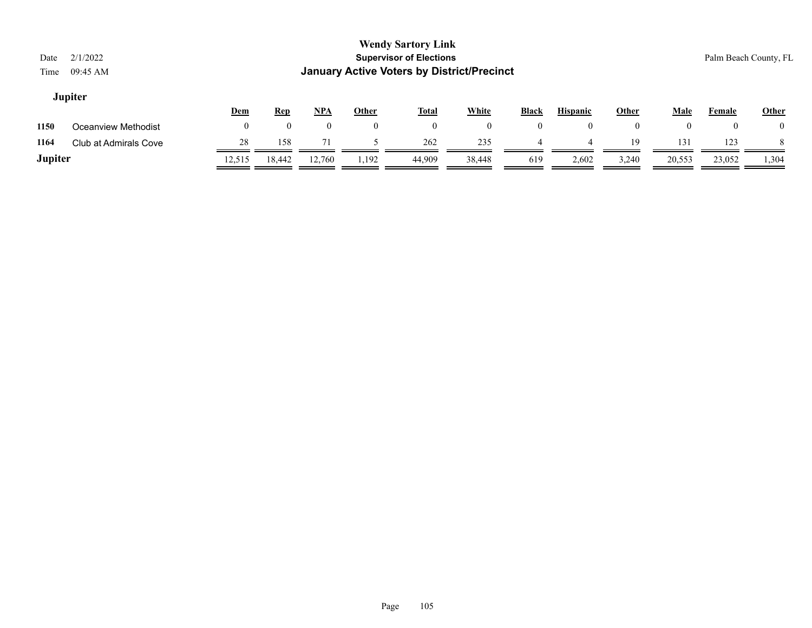| Date<br>Time | 2/1/2022<br>09:45 AM  |     |            |            |                | <b>Wendy Sartory Link</b><br><b>Supervisor of Elections</b><br><b>January Active Voters by District/Precinct</b> |              |              |                 |                    |      |          | Palm Beach County, FL |
|--------------|-----------------------|-----|------------|------------|----------------|------------------------------------------------------------------------------------------------------------------|--------------|--------------|-----------------|--------------------|------|----------|-----------------------|
|              | <b>Jupiter</b>        | Dem | <b>Rep</b> | <u>NPA</u> | <b>Other</b>   | <b>Total</b>                                                                                                     | <b>White</b> | <b>Black</b> | <b>Hispanic</b> | <b>Other</b>       | Male | Female   | <b>Other</b>          |
| 1150         | Oceanview Methodist   | 0   | $\Omega$   | $\theta$   | $\overline{0}$ | $\overline{0}$                                                                                                   | $\bf{0}$     | $\bf{0}$     | $\theta$        | $\left( 0 \right)$ | 0    | $\theta$ | $_{0}$                |
| 1164         | Club at Admirals Cove | 28  | 158        | 71         |                | 262                                                                                                              | 235          | 4            | 4               | 19                 | 131  | 123      |                       |
| ____         |                       |     |            |            |                |                                                                                                                  |              |              |                 |                    |      |          |                       |

**Jupiter** 12,515 18,442 12,760 1,192 44,909 38,448 619 2,602 3,240 20,553 23,052 1,304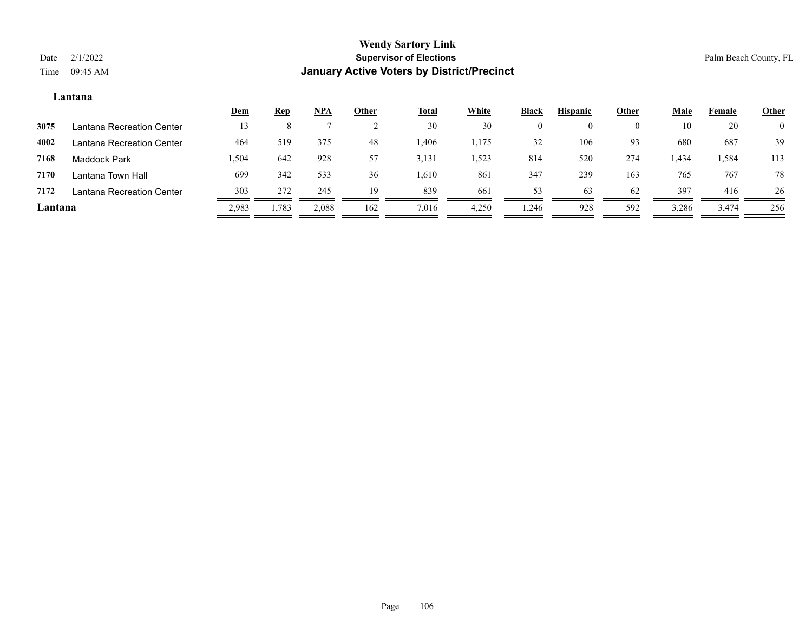## **Lantana**

|         |                           | <u>Dem</u> | <u>Rep</u> | <u>NPA</u> | Other | <b>Total</b> | White | <b>Black</b> | <b>Hispanic</b> | Other    | Male  | Female   | <b>Other</b>   |
|---------|---------------------------|------------|------------|------------|-------|--------------|-------|--------------|-----------------|----------|-------|----------|----------------|
| 3075    | Lantana Recreation Center |            |            |            |       | 30           | 30    |              |                 | $\theta$ | 10    | 20       | $\overline{0}$ |
| 4002    | Lantana Recreation Center | 464        | 519        | 375        | 48    | ,406         | 1,175 | 32           | 106             | 93       | 680   | 687      | 39             |
| 7168    | <b>Maddock Park</b>       | 1,504      | 642        | 928        | 57    | 3,131        | 1,523 | 814          | 520             | 274      | 434ء  | ۔ 584، ، | 113            |
| 7170    | Lantana Town Hall         | 699        | 342        | 533        | 36    | 1,610        | 861   | 347          | 239             | 163      | 765   | 767      | 78             |
| 7172    | Lantana Recreation Center | 303        | 272        | 245        | 19    | 839          | 661   | 53           | 63              | 62       | 397   | 416      | 26             |
| Lantana |                           | 2,983      | 1,783      | 2,088      | 162   | 7,016        | 4,250 | 1,246        | 928             | 592      | 3,286 | 3,474    | 256            |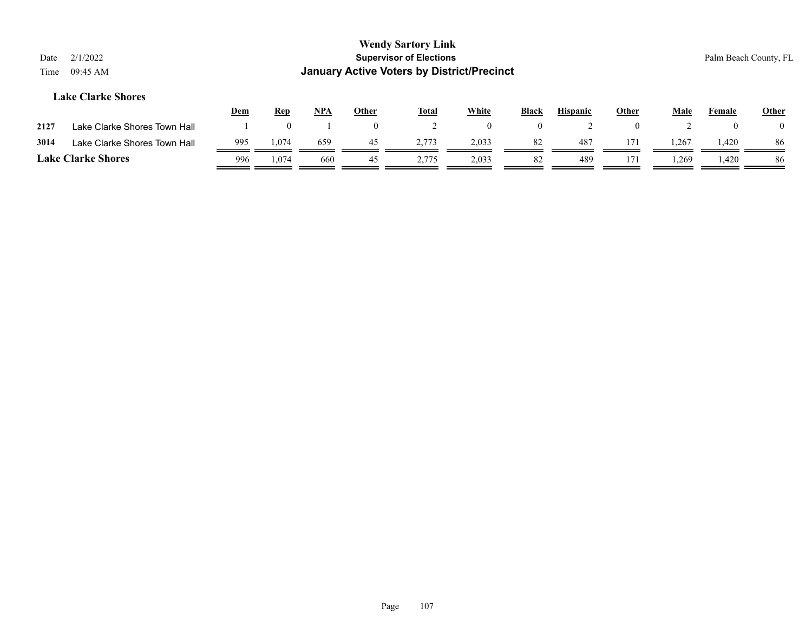| Date<br>Time              | 2/1/2022<br>09:45 AM         |            |            |            |                | <b>Wendy Sartory Link</b><br><b>Supervisor of Elections</b> | <b>January Active Voters by District/Precinct</b> |              |                 |       |             |        | Palm Beach County, FL |
|---------------------------|------------------------------|------------|------------|------------|----------------|-------------------------------------------------------------|---------------------------------------------------|--------------|-----------------|-------|-------------|--------|-----------------------|
|                           | <b>Lake Clarke Shores</b>    | <b>Dem</b> | <b>Rep</b> | <u>NPA</u> | <b>Other</b>   | <b>Total</b>                                                | <b>White</b>                                      | <b>Black</b> | <b>Hispanic</b> | Other | <u>Male</u> | Female | <b>Other</b>          |
| 2127                      | Lake Clarke Shores Town Hall |            | $\theta$   |            | $\overline{0}$ |                                                             | $\theta$                                          | $\theta$     |                 |       |             | 0      |                       |
| 3014                      | Lake Clarke Shores Town Hall | 995        | 1,074      | 659        | 45             | 2,773                                                       | 2,033                                             | 82           | 487             | 171   | 1,267       | 1,420  | 86                    |
| <b>Lake Clarke Shores</b> |                              | 996        | 1.074      | 660        | 45             | 2.775                                                       | 2,033                                             | 82           | 489             | 171   | 1,269       | 1,420  | 86                    |

Page 107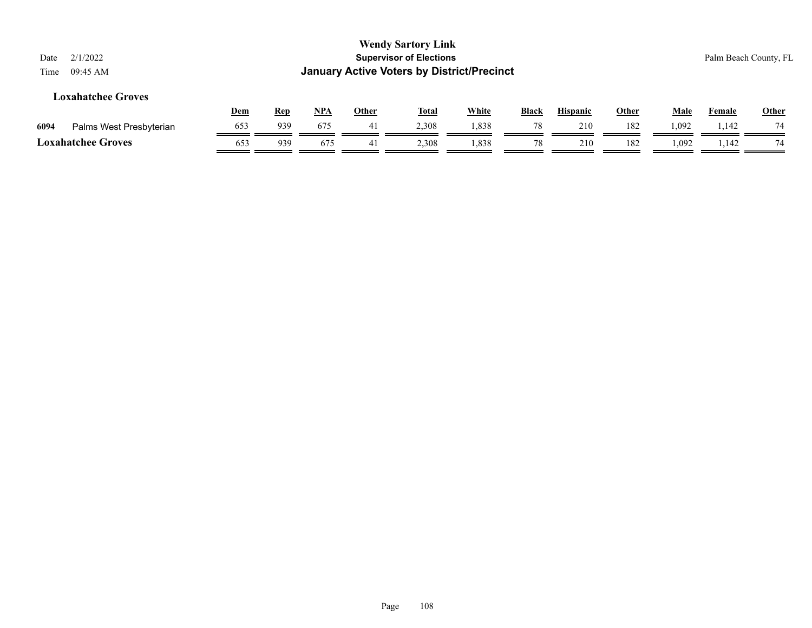| Date<br>Time | 2/1/2022<br>09:45 AM      |     |            |            |              | <b>Wendy Sartory Link</b><br><b>Supervisor of Elections</b><br><b>January Active Voters by District/Precinct</b> |              |       |                 |              |       |        | Palm Beach County, FL |
|--------------|---------------------------|-----|------------|------------|--------------|------------------------------------------------------------------------------------------------------------------|--------------|-------|-----------------|--------------|-------|--------|-----------------------|
|              | Loxahatchee Groves        | Dem | <b>Rep</b> | <u>NPA</u> | <b>Other</b> | <u>Total</u>                                                                                                     | <b>White</b> | Black | <b>Hispanic</b> | <b>Other</b> | Male  | Female | Other                 |
| 6094         | Palms West Presbyterian   | 653 | 939        | 675        | -41          | 2,308                                                                                                            | 1,838        | 78    | 210             | 182          | 1,092 | 1.142  | 74                    |
|              | <b>Loxahatchee Groves</b> | 653 | 939        | 675        | 41           | 2,308                                                                                                            | 1,838        | 78    | 210             | 182          | 1,092 | 1,142  | 74                    |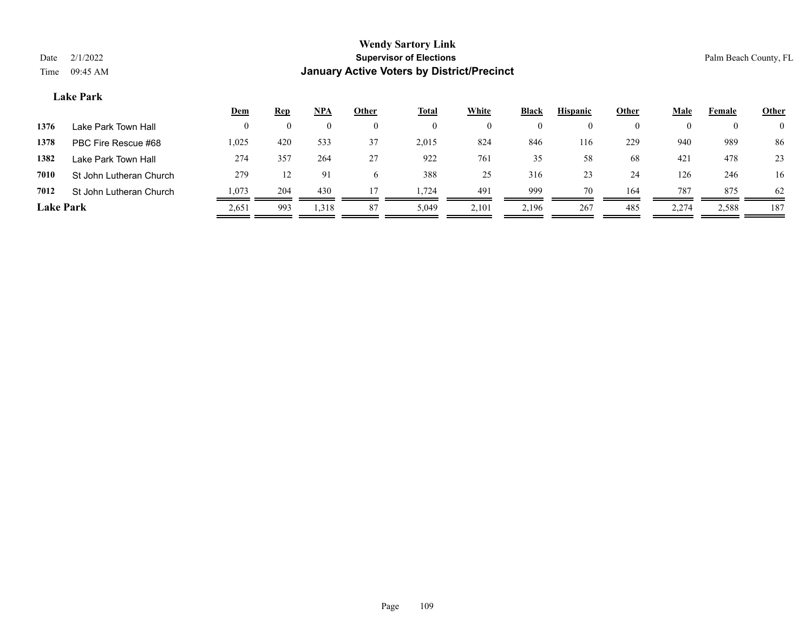## **Lake Park**

|                  |                         | <u>Dem</u> | <u>Rep</u>         | <u>NPA</u> | <b>Other</b>   | <b>Total</b> | <b>White</b> | <b>Black</b> | <b>Hispanic</b> | Other | <u>Male</u> | Female   | <b>Other</b>   |
|------------------|-------------------------|------------|--------------------|------------|----------------|--------------|--------------|--------------|-----------------|-------|-------------|----------|----------------|
| 1376             | Lake Park Town Hall     | $\theta$   | $\left( 0 \right)$ | $\theta$   | $\overline{0}$ | $\bf{0}$     | 0            | 0            | $\left($        |       |             | $\bf{0}$ | $\overline{0}$ |
| 1378             | PBC Fire Rescue #68     | 1,025      | 420                | 533        | 37             | 2,015        | 824          | 846          | 116             | 229   | 940         | 989      | 86             |
| 1382             | Lake Park Town Hall     | 274        | 357                | 264        | 27             | 922          | 761          | 35           | 58              | 68    | 421         | 478      | 23             |
| 7010             | St John Lutheran Church | 279        |                    | 91         | <sub>0</sub>   | 388          | 25           | 316          | 23              | 24    | 126         | 246      | 16             |
| 7012             | St John Lutheran Church | 1,073      | 204                | 430        |                | 1.724        | 491          | 999          | 70              | 164   | 787         | 875      | 62             |
| <b>Lake Park</b> |                         | 2,651      | 993                | 1,318      | 87             | 5,049        | 2,101        | 2,196        | 267             | 485   | 2,274       | 2,588    | 187            |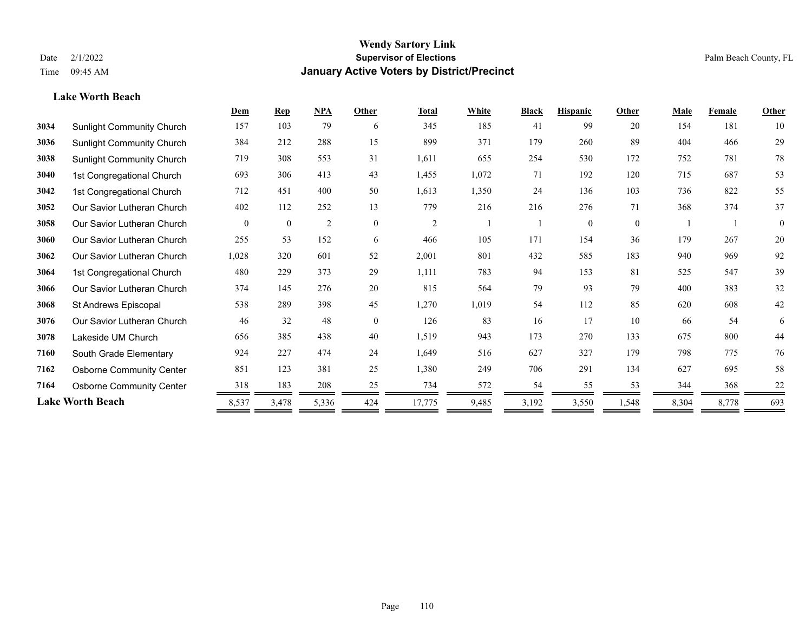**Lake Worth Beach**

#### **Wendy Sartory Link** Date 2/1/2022 **Supervisor of Elections** Palm Beach County, FL Time 09:45 AM **January Active Voters by District/Precinct**

## **Dem Rep NPA Other Total White Black Hispanic Other Male Female Other** Sunlight Community Church 157 103 79 6 345 185 41 99 20 154 181 10 Sunlight Community Church 384 212 288 15 899 371 179 260 89 404 466 29 Sunlight Community Church 719 308 553 31 1,611 655 254 530 172 752 781 78 1st Congregational Church 693 306 413 43 1,455 1,072 71 192 120 715 687 53 1st Congregational Church 712 451 400 50 1,613 1,350 24 136 103 736 822 55 Our Savior Lutheran Church 402 112 252 13 779 216 216 276 71 368 374 37 Our Savior Lutheran Church 0 0 0 2 0 0 2 1 1 0 0 0 1 1 0 Our Savior Lutheran Church 255 53 152 6 466 105 171 154 36 179 267 20 Our Savior Lutheran Church 1,028 320 601 52 2,001 801 432 585 183 940 969 92 1st Congregational Church 480 229 373 29 1,111 783 94 153 81 525 547 39 Our Savior Lutheran Church 374 145 276 20 815 564 79 93 79 400 383 32 St Andrews Episcopal 538 289 398 45 1,270 1,019 54 112 85 620 608 42 Our Savior Lutheran Church 46 32 48 0 126 83 16 17 10 66 54 6 Lakeside UM Church 656 385 438 40 1,519 943 173 270 133 675 800 44 South Grade Elementary 924 227 474 24 1,649 516 627 327 179 798 775 76 Osborne Community Center 851 123 381 25 1,380 249 706 291 134 627 695 58

**7164** Osborne Community Center  $\frac{318}{200} = \frac{183}{208} = \frac{208}{25} = \frac{734}{25} = \frac{572}{25} = \frac{54}{25} = \frac{55}{25} = \frac{53}{25} = \frac{344}{25} = \frac{368}{25} = \frac{22}{25} = \frac{53}{25} = \frac{53}{25} = \frac{53}{25} = \frac{53}{25} = \frac{53}{25} = \frac{53}{25} = \frac{53}{25} =$ **Lake Worth Beach** 8,537 3,478 5,336 424 17,775 9,485 3,192 3,550 1,548 8,304 8,778 693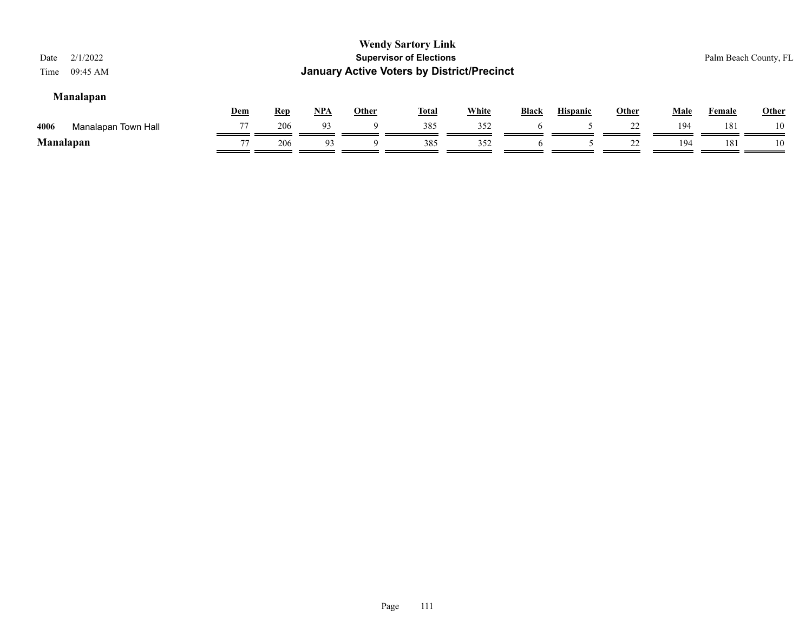| Date<br>Time | 2/1/2022<br>09:45 AM |            |            |       |              | <b>Wendy Sartory Link</b><br><b>Supervisor of Elections</b><br><b>January Active Voters by District/Precinct</b> |              |              |                 |              |      |        | Palm Beach County, FL |
|--------------|----------------------|------------|------------|-------|--------------|------------------------------------------------------------------------------------------------------------------|--------------|--------------|-----------------|--------------|------|--------|-----------------------|
|              | <b>Manalapan</b>     | <u>Dem</u> | <b>Rep</b> | $NPA$ | <b>Other</b> | <b>Total</b>                                                                                                     | <b>White</b> | <b>Black</b> | <b>Hispanic</b> | <b>Other</b> | Male | Female | <b>Other</b>          |
| 4006         | Manalapan Town Hall  | 77         | 206        | 93    | Q            | 385                                                                                                              | 352          | <sub>0</sub> |                 | 22           | 194  | 181    | 10                    |
|              | <b>Manalapan</b>     | 77         | 206        | 93    |              | 385                                                                                                              | 352          |              |                 | 22           | 194  | 181    | 10                    |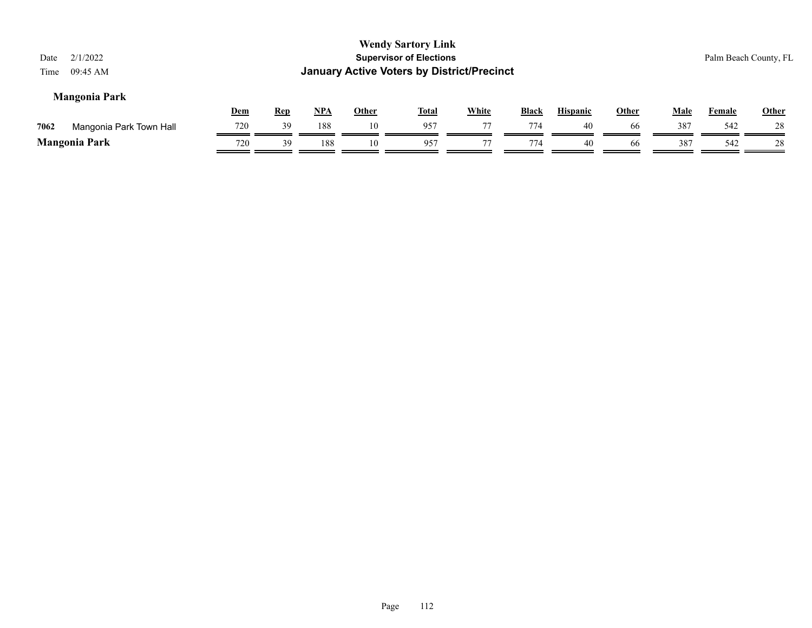| 2/1/2022<br>Date<br>09:45 AM<br>Time |            |            |     |       | <b>Wendy Sartory Link</b><br><b>Supervisor of Elections</b><br><b>January Active Voters by District/Precinct</b> |              |       |                 |              |             |               | Palm Beach County, FL |
|--------------------------------------|------------|------------|-----|-------|------------------------------------------------------------------------------------------------------------------|--------------|-------|-----------------|--------------|-------------|---------------|-----------------------|
| <b>Mangonia Park</b>                 | <u>Dem</u> | <u>Rep</u> | NPA | Other | <b>Total</b>                                                                                                     | <b>White</b> | Black | <b>Hispanic</b> | <u>Other</u> | <u>Male</u> | <b>Female</b> | <b>Other</b>          |
| 7062<br>Mangonia Park Town Hall      | 720        | 39         | 188 | 10    | 957                                                                                                              | 77           | 774   | 40              | -66          | 387         | 542           | 28                    |
| <b>Mangonia Park</b>                 | 720        | 39         | 188 | 10    | 957                                                                                                              | 77           | 774   | 40              | 66           | 387         | 542           | 28                    |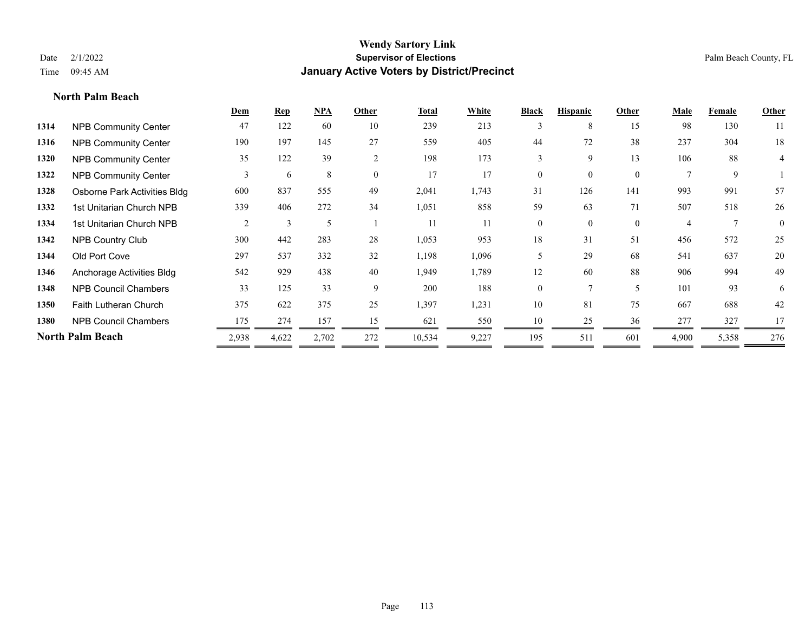**North Palm Beach**

#### **Wendy Sartory Link** Date 2/1/2022 **Supervisor of Elections** Palm Beach County, FL Time 09:45 AM **January Active Voters by District/Precinct**

 Anchorage Activities Bldg 542 929 438 40 1,949 1,789 12 60 88 906 994 49 NPB Council Chambers 33 125 33 9 200 188 0 7 5 101 93 6 Faith Lutheran Church 375 622 375 25 1,397 1,231 10 81 75 667 688 42 NPB Council Chambers  $\frac{175}{2} \frac{274}{2} \frac{157}{2} \frac{15}{2} \frac{15}{2} \frac{621}{2} \frac{550}{2} \frac{10}{2} \frac{10}{2} \frac{25}{2} \frac{36}{2} \frac{277}{2} \frac{327}{2} \frac{17}{2} \frac{17}{2} \frac{17}{2} \frac{17}{2} \frac{17}{2} \frac{17}{2} \frac{17}{2} \frac{17}{2} \frac{17}{2} \frac{17}{2} \$ **North Palm Beach** 2,938 4,622 2,702 272 10,534 9,227 195 511 601 4,900 5,358 276

## **Dem Rep NPA Other Total White Black Hispanic Other Male Female Other 1314** NPB Community Center 47 122 60 10 239 213 3 8 15 98 130 11 **1316** NPB Community Center 190 197 145 27 559 405 44 72 38 237 304 18 **1320** NPB Community Center 35 122 39 2 198 173 3 9 13 106 88 4 **1322** NPB Community Center 3 6 8 0 17 17 0 0 0 7 9 1 **1328** Osborne Park Activities Bldg 600 837 555 49 2,041 1,743 31 126 141 993 991 57 **1332** 1st Unitarian Church NPB 339 406 272 34 1,051 858 59 63 71 507 518 26 1334 1st Unitarian Church NPB 2 3 5 1 11 11 0 0 0 4 7 0 **1342** NPB Country Club 300 442 283 28 1,053 953 18 31 51 456 572 25 **1344** Old Port Cove 297 537 332 32 1,198 1,096 5 29 68 541 637 20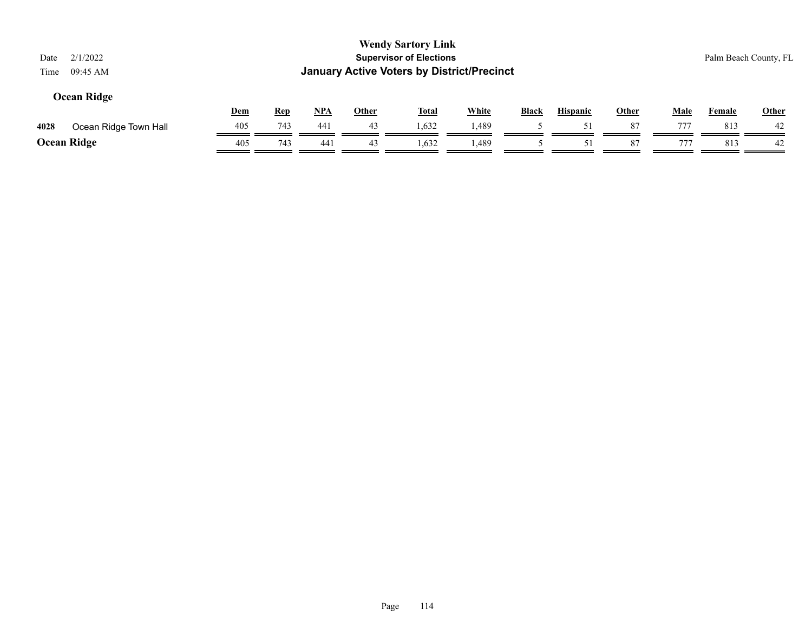| Date<br>Time | 2/1/2022<br>09:45 AM  |     |            |            |              | <b>Wendy Sartory Link</b><br><b>Supervisor of Elections</b><br><b>January Active Voters by District/Precinct</b> |              |              |                 |              |             |               | Palm Beach County, FL |
|--------------|-----------------------|-----|------------|------------|--------------|------------------------------------------------------------------------------------------------------------------|--------------|--------------|-----------------|--------------|-------------|---------------|-----------------------|
|              | <b>Ocean Ridge</b>    | Dem | <u>Rep</u> | <b>NPA</b> | <u>Other</u> | <u>Total</u>                                                                                                     | <b>White</b> | <b>Black</b> | <b>Hispanic</b> | <b>Other</b> | <u>Male</u> | <b>Female</b> | Other                 |
| 4028         | Ocean Ridge Town Hall | 405 | 743        | 441        | 43           | 1,632                                                                                                            | 1,489        |              | 51              | 87           | 777         | 813           | 42                    |
|              | <b>Ocean Ridge</b>    | 405 | 743        | 441        | 43           | 1,632                                                                                                            | 1,489        |              |                 | 87           | 777         | 813           | 42                    |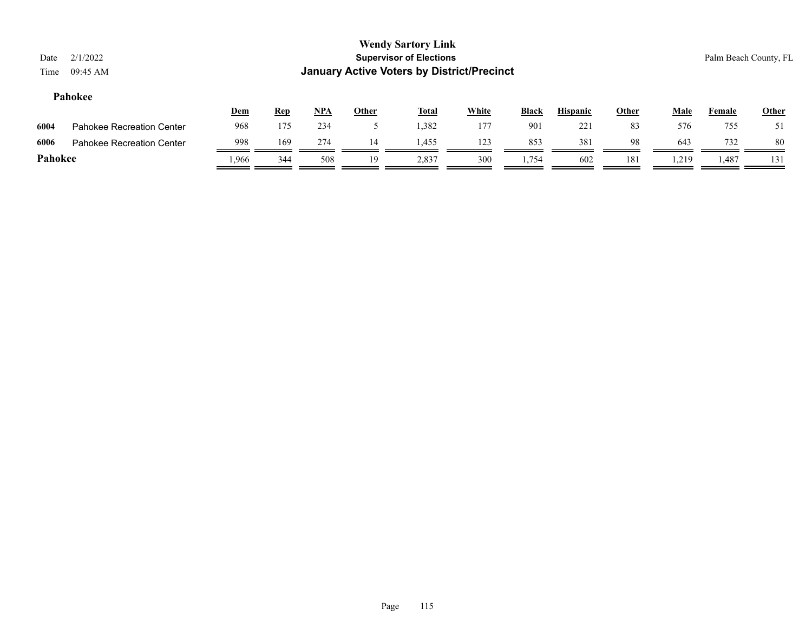| Date<br>Time | 2/1/2022<br>09:45 AM             |       |            |       |              | <b>Wendy Sartory Link</b><br><b>Supervisor of Elections</b><br><b>January Active Voters by District/Precinct</b> |              |              |                 |              |             |               | Palm Beach County, FL |
|--------------|----------------------------------|-------|------------|-------|--------------|------------------------------------------------------------------------------------------------------------------|--------------|--------------|-----------------|--------------|-------------|---------------|-----------------------|
|              | Pahokee                          | Dem   | <u>Rep</u> | $NPA$ | <u>Other</u> | <u>Total</u>                                                                                                     | <b>White</b> | <b>Black</b> | <b>Hispanic</b> | <b>Other</b> | <b>Male</b> | <b>Female</b> | <b>Other</b>          |
| 6004         | <b>Pahokee Recreation Center</b> | 968   | 175        | 234   |              | 1,382                                                                                                            | 177          | 901          | 221             | 83           | 576         | 755           | 51                    |
| 6006         | Pahokee Recreation Center        | 998   | 169        | 274   | 14           | 1,455                                                                                                            | 123          | 853          | 381             | 98           | 643         | 732           | 80                    |
| Pahokee      |                                  | 1,966 | 344        | 508   | 19           | 2,837                                                                                                            | 300          | 1,754        | 602             | 181          | .219        | 1,487         | 131                   |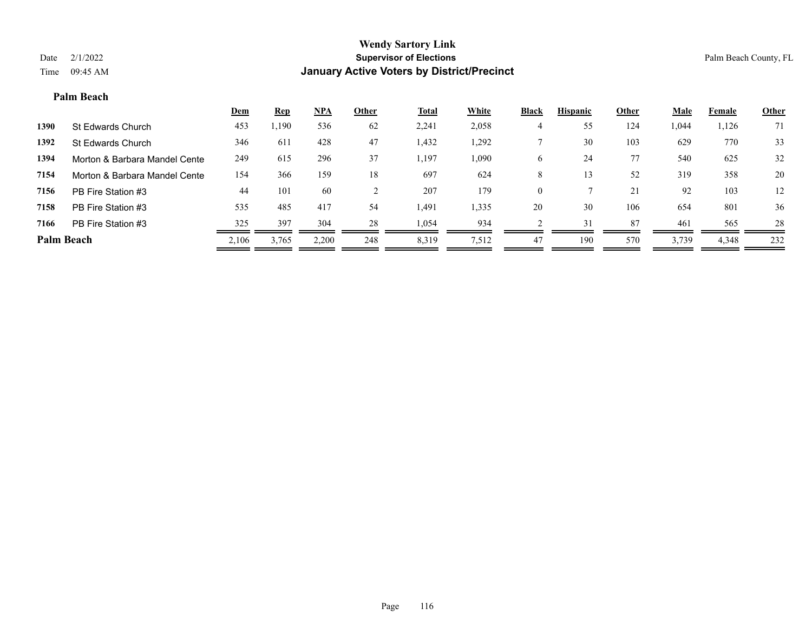#### **Palm Beach**

|            |                               | <b>Dem</b> | <b>Rep</b> | $NPA$ | Other | <u>Total</u> | White | <b>Black</b> | <b>Hispanic</b> | Other | Male  | Female | <b>Other</b> |
|------------|-------------------------------|------------|------------|-------|-------|--------------|-------|--------------|-----------------|-------|-------|--------|--------------|
| 1390       | St Edwards Church             | 453        | 1,190      | 536   | 62    | 2,241        | 2,058 |              | 55              | 124   | 1,044 | 1,126  | 71           |
| 1392       | St Edwards Church             | 346        | 611        | 428   | 47    | 1,432        | 1,292 |              | 30              | 103   | 629   | 770    | 33           |
| 1394       | Morton & Barbara Mandel Cente | 249        | 615        | 296   | 37    | 1,197        | 1,090 | 6            | 24              | 77    | 540   | 625    | 32           |
| 7154       | Morton & Barbara Mandel Cente | 154        | 366        | 159   | 18    | 697          | 624   | 8            | 13              | 52    | 319   | 358    | 20           |
| 7156       | PB Fire Station #3            | 44         | 101        | -60   |       | 207          | 179   | $\Omega$     |                 | 21    | 92    | 103    | 12           |
| 7158       | PB Fire Station #3            | 535        | 485        | 417   | 54    | 1,491        | 1,335 | 20           | 30              | 106   | 654   | 801    | 36           |
| 7166       | PB Fire Station #3            | 325        | 397        | 304   | 28    | 1,054        | 934   |              | 31              | 87    | 461   | 565    | 28           |
| Palm Beach |                               | 2,106      | 3,765      | 2,200 | 248   | 8,319        | 7,512 | 47           | 190             | 570   | 3,739 | 4,348  | 232          |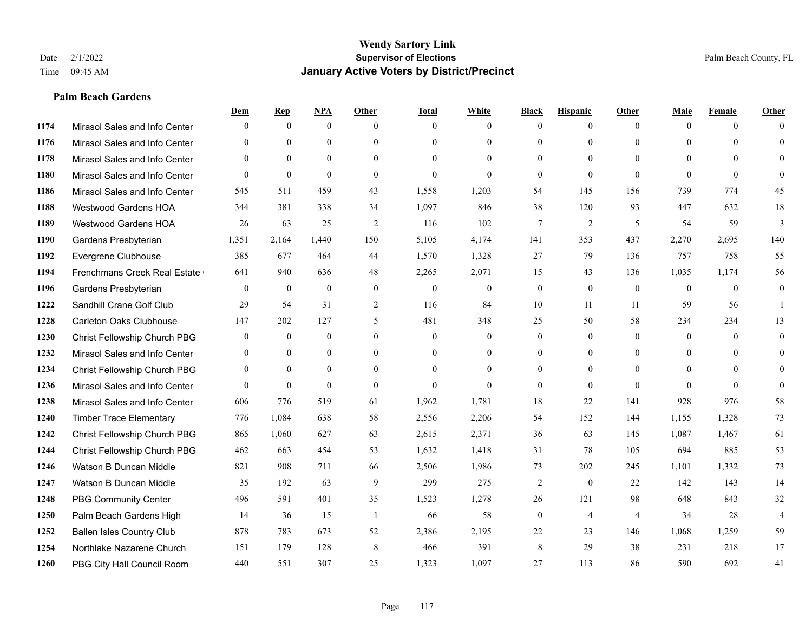#### **Palm Beach Gardens**

|      |                                  | Dem              | <b>Rep</b>       | NPA          | <b>Other</b>     | <b>Total</b>     | <b>White</b>     | <b>Black</b>   | <b>Hispanic</b> | <b>Other</b>   | <b>Male</b>    | <b>Female</b> | <b>Other</b>   |
|------|----------------------------------|------------------|------------------|--------------|------------------|------------------|------------------|----------------|-----------------|----------------|----------------|---------------|----------------|
| 1174 | Mirasol Sales and Info Center    | $\Omega$         | $\mathbf{0}$     | $\mathbf{0}$ | $\theta$         | $\theta$         | $\overline{0}$   | $\Omega$       | $\theta$        | $\theta$       | $\theta$       | $\theta$      | $\Omega$       |
| 1176 | Mirasol Sales and Info Center    | $\Omega$         | $\theta$         | $\theta$     | $\Omega$         | $\Omega$         | $\overline{0}$   | $\theta$       | $\Omega$        | $\theta$       | $\Omega$       | $\Omega$      | $\Omega$       |
| 1178 | Mirasol Sales and Info Center    | $\Omega$         | $\mathbf{0}$     | $\theta$     | $\theta$         | $\Omega$         | $\theta$         | $\theta$       | $\theta$        | $\theta$       | $\theta$       | $\Omega$      | $\theta$       |
| 1180 | Mirasol Sales and Info Center    | $\Omega$         | $\theta$         | $\theta$     | $\theta$         | $\mathbf{0}$     | $\theta$         | $\mathbf{0}$   | $\overline{0}$  | $\Omega$       | $\Omega$       | $\theta$      | $\Omega$       |
| 1186 | Mirasol Sales and Info Center    | 545              | 511              | 459          | 43               | 1,558            | 1,203            | 54             | 145             | 156            | 739            | 774           | 45             |
| 1188 | <b>Westwood Gardens HOA</b>      | 344              | 381              | 338          | 34               | 1,097            | 846              | 38             | 120             | 93             | 447            | 632           | 18             |
| 1189 | Westwood Gardens HOA             | 26               | 63               | 25           | 2                | 116              | 102              | 7              | $\overline{c}$  | 5              | 54             | 59            | 3              |
| 1190 | Gardens Presbyterian             | 1,351            | 2,164            | 1,440        | 150              | 5,105            | 4,174            | 141            | 353             | 437            | 2,270          | 2,695         | 140            |
| 1192 | Evergrene Clubhouse              | 385              | 677              | 464          | 44               | 1,570            | 1,328            | 27             | 79              | 136            | 757            | 758           | 55             |
| 1194 | Frenchmans Creek Real Estate     | 641              | 940              | 636          | 48               | 2,265            | 2,071            | 15             | 43              | 136            | 1,035          | 1,174         | 56             |
| 1196 | Gardens Presbyterian             | $\theta$         | $\mathbf{0}$     | $\theta$     | $\theta$         | $\theta$         | $\overline{0}$   | $\mathbf{0}$   | $\theta$        | $\theta$       | $\theta$       | $\theta$      | $\overline{0}$ |
| 1222 | Sandhill Crane Golf Club         | 29               | 54               | 31           | 2                | 116              | 84               | 10             | 11              | 11             | 59             | 56            |                |
| 1228 | Carleton Oaks Clubhouse          | 147              | 202              | 127          | 5                | 481              | 348              | 25             | 50              | 58             | 234            | 234           | 13             |
| 1230 | Christ Fellowship Church PBG     | $\boldsymbol{0}$ | $\boldsymbol{0}$ | $\mathbf{0}$ | $\boldsymbol{0}$ | $\boldsymbol{0}$ | $\boldsymbol{0}$ | $\overline{0}$ | $\overline{0}$  | $\mathbf{0}$   | $\overline{0}$ | $\mathbf{0}$  | $\overline{0}$ |
| 1232 | Mirasol Sales and Info Center    | $\theta$         | $\mathbf{0}$     | $\mathbf{0}$ | $\theta$         | $\theta$         | $\overline{0}$   | $\overline{0}$ | $\overline{0}$  | $\theta$       | $\theta$       | $\Omega$      | $\overline{0}$ |
| 1234 | Christ Fellowship Church PBG     | $\Omega$         | $\theta$         | $\theta$     | $\theta$         | $\theta$         | $\theta$         | $\theta$       | $\Omega$        | $\theta$       | $\Omega$       | $\Omega$      | $\theta$       |
| 1236 | Mirasol Sales and Info Center    | $\Omega$         | $\mathbf{0}$     | $\mathbf{0}$ | $\theta$         | $\mathbf{0}$     | $\theta$         | $\overline{0}$ | $\overline{0}$  | $\theta$       | $\theta$       | $\theta$      | $\Omega$       |
| 1238 | Mirasol Sales and Info Center    | 606              | 776              | 519          | 61               | 1,962            | 1,781            | 18             | 22              | 141            | 928            | 976           | 58             |
| 1240 | <b>Timber Trace Elementary</b>   | 776              | 1,084            | 638          | 58               | 2,556            | 2,206            | 54             | 152             | 144            | 1,155          | 1,328         | 73             |
| 1242 | Christ Fellowship Church PBG     | 865              | 1,060            | 627          | 63               | 2,615            | 2,371            | 36             | 63              | 145            | 1,087          | 1,467         | 61             |
| 1244 | Christ Fellowship Church PBG     | 462              | 663              | 454          | 53               | 1,632            | 1,418            | 31             | 78              | 105            | 694            | 885           | 53             |
| 1246 | Watson B Duncan Middle           | 821              | 908              | 711          | 66               | 2,506            | 1,986            | 73             | 202             | 245            | 1,101          | 1,332         | 73             |
| 1247 | Watson B Duncan Middle           | 35               | 192              | 63           | 9                | 299              | 275              | $\overline{c}$ | $\overline{0}$  | 22             | 142            | 143           | 14             |
| 1248 | <b>PBG Community Center</b>      | 496              | 591              | 401          | 35               | 1,523            | 1,278            | 26             | 121             | 98             | 648            | 843           | 32             |
| 1250 | Palm Beach Gardens High          | 14               | 36               | 15           | $\overline{1}$   | 66               | 58               | $\mathbf{0}$   | $\overline{4}$  | $\overline{4}$ | 34             | 28            | $\overline{4}$ |
| 1252 | <b>Ballen Isles Country Club</b> | 878              | 783              | 673          | 52               | 2,386            | 2,195            | 22             | 23              | 146            | 1,068          | 1,259         | 59             |
| 1254 | Northlake Nazarene Church        | 151              | 179              | 128          | 8                | 466              | 391              | 8              | 29              | 38             | 231            | 218           | 17             |
| 1260 | PBG City Hall Council Room       | 440              | 551              | 307          | 25               | 1,323            | 1,097            | 27             | 113             | 86             | 590            | 692           | 41             |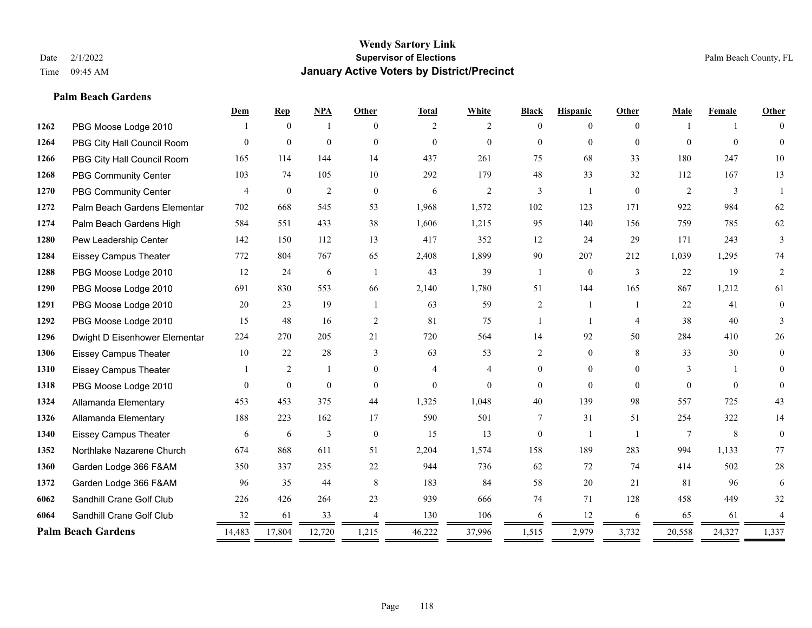#### **Palm Beach Gardens**

|      |                               | Dem            | <b>Rep</b>       | NPA            | <b>Other</b>   | <b>Total</b> | White          | <b>Black</b>   | <b>Hispanic</b> | Other          | <b>Male</b> | Female   | Other          |
|------|-------------------------------|----------------|------------------|----------------|----------------|--------------|----------------|----------------|-----------------|----------------|-------------|----------|----------------|
| 1262 | PBG Moose Lodge 2010          |                | $\theta$         | -1             | $\Omega$       | 2            | $\overline{2}$ | $\Omega$       | $\theta$        | $\Omega$       |             |          | $\Omega$       |
| 1264 | PBG City Hall Council Room    | $\Omega$       | $\mathbf{0}$     | $\mathbf{0}$   | $\Omega$       | $\mathbf{0}$ | $\overline{0}$ | $\Omega$       | $\mathbf{0}$    | $\Omega$       | $\Omega$    | $\theta$ | $\theta$       |
| 1266 | PBG City Hall Council Room    | 165            | 114              | 144            | 14             | 437          | 261            | 75             | 68              | 33             | 180         | 247      | 10             |
| 1268 | PBG Community Center          | 103            | 74               | 105            | 10             | 292          | 179            | 48             | 33              | 32             | 112         | 167      | 13             |
| 1270 | PBG Community Center          | $\overline{4}$ | $\boldsymbol{0}$ | $\mathfrak{2}$ | $\mathbf{0}$   | 6            | 2              | 3              | $\overline{1}$  | $\mathbf{0}$   | 2           | 3        |                |
| 1272 | Palm Beach Gardens Elementar  | 702            | 668              | 545            | 53             | 1,968        | 1,572          | 102            | 123             | 171            | 922         | 984      | 62             |
| 1274 | Palm Beach Gardens High       | 584            | 551              | 433            | 38             | 1,606        | 1,215          | 95             | 140             | 156            | 759         | 785      | 62             |
| 1280 | Pew Leadership Center         | 142            | 150              | 112            | 13             | 417          | 352            | 12             | 24              | 29             | 171         | 243      | $\overline{3}$ |
| 1284 | <b>Eissey Campus Theater</b>  | 772            | 804              | 767            | 65             | 2,408        | 1,899          | 90             | 207             | 212            | 1,039       | 1,295    | 74             |
| 1288 | PBG Moose Lodge 2010          | 12             | 24               | 6              | $\overline{1}$ | 43           | 39             | $\overline{1}$ | $\mathbf{0}$    | 3              | 22          | 19       | 2              |
| 1290 | PBG Moose Lodge 2010          | 691            | 830              | 553            | 66             | 2,140        | 1,780          | 51             | 144             | 165            | 867         | 1,212    | 61             |
| 1291 | PBG Moose Lodge 2010          | 20             | 23               | 19             |                | 63           | 59             | $\overline{c}$ |                 |                | 22          | 41       | $\mathbf{0}$   |
| 1292 | PBG Moose Lodge 2010          | 15             | 48               | 16             | 2              | 81           | 75             |                | $\overline{1}$  | $\overline{4}$ | 38          | 40       | 3              |
| 1296 | Dwight D Eisenhower Elementar | 224            | 270              | 205            | 21             | 720          | 564            | 14             | 92              | 50             | 284         | 410      | $26\,$         |
| 1306 | <b>Eissey Campus Theater</b>  | 10             | 22               | 28             | 3              | 63           | 53             | 2              | $\mathbf{0}$    | 8              | 33          | 30       | $\overline{0}$ |
| 1310 | <b>Eissey Campus Theater</b>  |                | $\overline{c}$   | -1             | $\theta$       | 4            | 4              | $\overline{0}$ | $\mathbf{0}$    | $\theta$       | 3           |          | $\Omega$       |
| 1318 | PBG Moose Lodge 2010          | $\Omega$       | $\mathbf{0}$     | $\theta$       | $\theta$       | $\mathbf{0}$ | $\theta$       | $\Omega$       | $\theta$        | $\Omega$       | $\theta$    | $\Omega$ | $\Omega$       |
| 1324 | Allamanda Elementary          | 453            | 453              | 375            | 44             | 1,325        | 1,048          | 40             | 139             | 98             | 557         | 725      | 43             |
| 1326 | Allamanda Elementary          | 188            | 223              | 162            | 17             | 590          | 501            | $\tau$         | 31              | 51             | 254         | 322      | 14             |
| 1340 | <b>Eissey Campus Theater</b>  | 6              | 6                | 3              | $\theta$       | 15           | 13             | $\overline{0}$ | $\mathbf{1}$    | $\overline{1}$ | 7           | 8        | $\mathbf{0}$   |
| 1352 | Northlake Nazarene Church     | 674            | 868              | 611            | 51             | 2,204        | 1,574          | 158            | 189             | 283            | 994         | 1,133    | 77             |
| 1360 | Garden Lodge 366 F&AM         | 350            | 337              | 235            | 22             | 944          | 736            | 62             | 72              | 74             | 414         | 502      | $28\,$         |
| 1372 | Garden Lodge 366 F&AM         | 96             | 35               | 44             | 8              | 183          | 84             | 58             | 20              | 21             | 81          | 96       | 6              |
| 6062 | Sandhill Crane Golf Club      | 226            | 426              | 264            | 23             | 939          | 666            | 74             | 71              | 128            | 458         | 449      | 32             |
| 6064 | Sandhill Crane Golf Club      | 32             | 61               | 33             | $\overline{4}$ | 130          | 106            | 6              | 12              | 6              | 65          | 61       | 4              |
|      | <b>Palm Beach Gardens</b>     | 14,483         | 17,804           | 12,720         | 1,215          | 46,222       | 37,996         | 1,515          | 2,979           | 3,732          | 20,558      | 24,327   | 1,337          |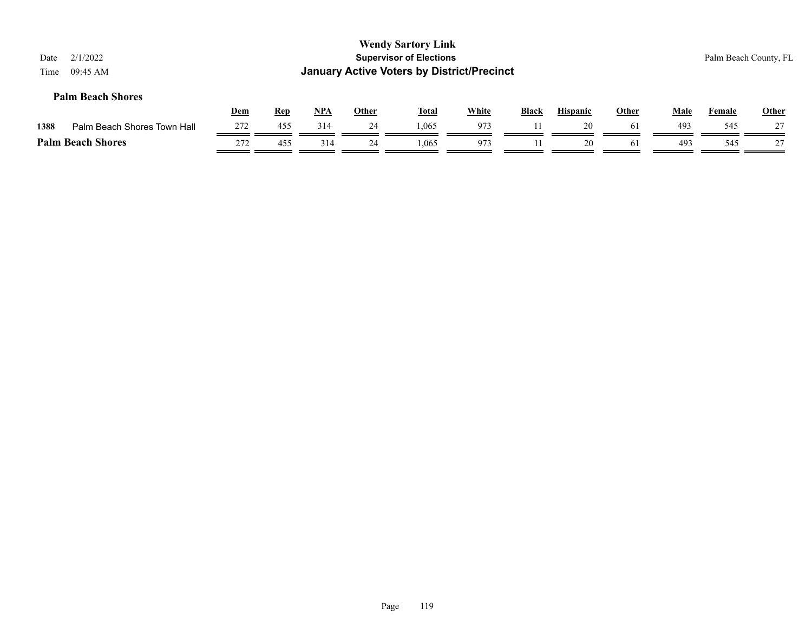| 2/1/2022<br>Date<br>09:45 AM<br>Time |            |            |       |              | <b>Wendy Sartory Link</b><br><b>Supervisor of Elections</b><br><b>January Active Voters by District/Precinct</b> |              |              |                 |              |             |        | Palm Beach County, FL |
|--------------------------------------|------------|------------|-------|--------------|------------------------------------------------------------------------------------------------------------------|--------------|--------------|-----------------|--------------|-------------|--------|-----------------------|
| <b>Palm Beach Shores</b>             | <b>Dem</b> | <u>Rep</u> | $NPA$ | <b>Other</b> | <u>Total</u>                                                                                                     | <b>White</b> | <b>Black</b> | <b>Hispanic</b> | <b>Other</b> | <b>Male</b> | Female | <b>Other</b>          |
| 1388<br>Palm Beach Shores Town Hall  | 272        | 455        | 314   | 24           | 1.065                                                                                                            | 973          |              | 20              | 61           | 493         | 545    | 27                    |
| <b>Palm Beach Shores</b>             | 272        | 455        | 314   | 24           | 1.065                                                                                                            | 973          |              | 20              | 61           | 493         | 545    | 27                    |
|                                      |            |            |       |              |                                                                                                                  |              |              |                 |              |             |        |                       |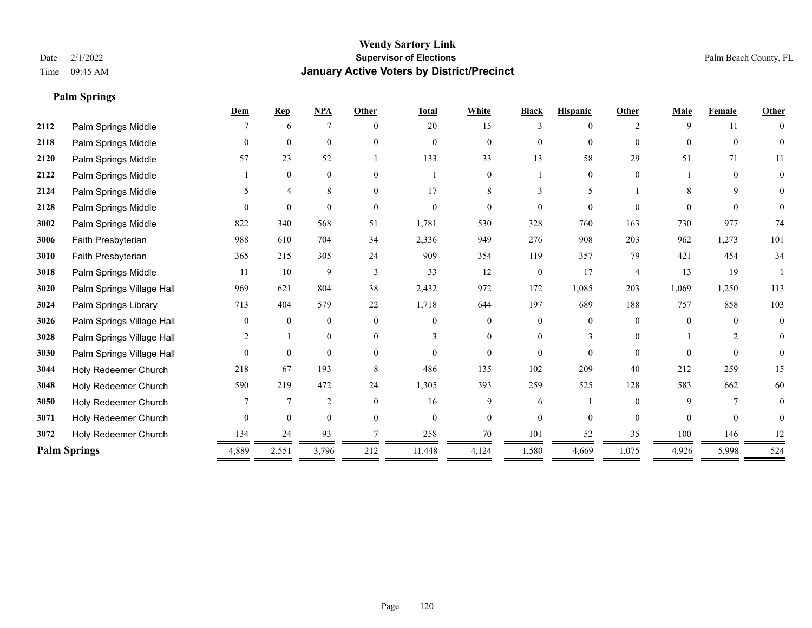**Palm Springs**

#### **Wendy Sartory Link** Date 2/1/2022 **Supervisor of Elections** Palm Beach County, FL Time 09:45 AM **January Active Voters by District/Precinct**

## **Dem Rep NPA Other Total White Black Hispanic Other Male Female Other 2112** Palm Springs Middle  $\begin{array}{cccccccc} 7 & 6 & 7 & 0 & 20 & 15 & 3 & 0 & 2 & 9 & 11 & 0 \end{array}$  Palm Springs Middle 0 0 0 0 0 0 0 0 0 0 0 0 Palm Springs Middle 57 23 52 1 133 33 13 58 29 51 71 11 Palm Springs Middle 1 0 0 0 1 0 1 0 0 1 0 0 **2124** Palm Springs Middle  $\begin{array}{cccccccc} 5 & 4 & 8 & 0 & 17 & 8 & 3 & 5 & 1 & 8 & 9 & 0 \end{array}$  Palm Springs Middle 0 0 0 0 0 0 0 0 0 0 0 0 Palm Springs Middle 822 340 568 51 1,781 530 328 760 163 730 977 74 Faith Presbyterian 988 610 704 34 2,336 949 276 908 203 962 1,273 101 Faith Presbyterian 365 215 305 24 909 354 119 357 79 421 454 34 Palm Springs Middle 1 11 10 9 3 33 12 0 17 4 13 19 1 Palm Springs Village Hall 969 621 804 38 2,432 972 172 1,085 203 1,069 1,250 113 Palm Springs Library 713 404 579 22 1,718 644 197 689 188 757 858 103 **3026** Palm Springs Village Hall  $\begin{pmatrix} 0 & 0 & 0 & 0 \\ 0 & 0 & 0 & 0 \\ 0 & 0 & 0 & 0 \end{pmatrix}$  Palm Springs Village Hall 2 1 0 0 3 0 0 3 0 1 2 0 Palm Springs Village Hall 0 0 0 0 0 0 0 0 0 0 0 0 Holy Redeemer Church 218 67 193 8 486 135 102 209 40 212 259 15 Holy Redeemer Church 590 219 472 24 1,305 393 259 525 128 583 662 60 Holy Redeemer Church **7** 7 7 2 0 16 9 6 1 0 9 7 0 Holy Redeemer Church 0 0 0 0 0 0 0 0 0 0 0 0 Holy Redeemer Church 134 24 93 7 258 70 101 52 35 100 146 12 **Palm Springs** 2,551 4,889 2,551 3,796 212 11,448 4,124 1,580 4,669 1,075 4,926 5,998 524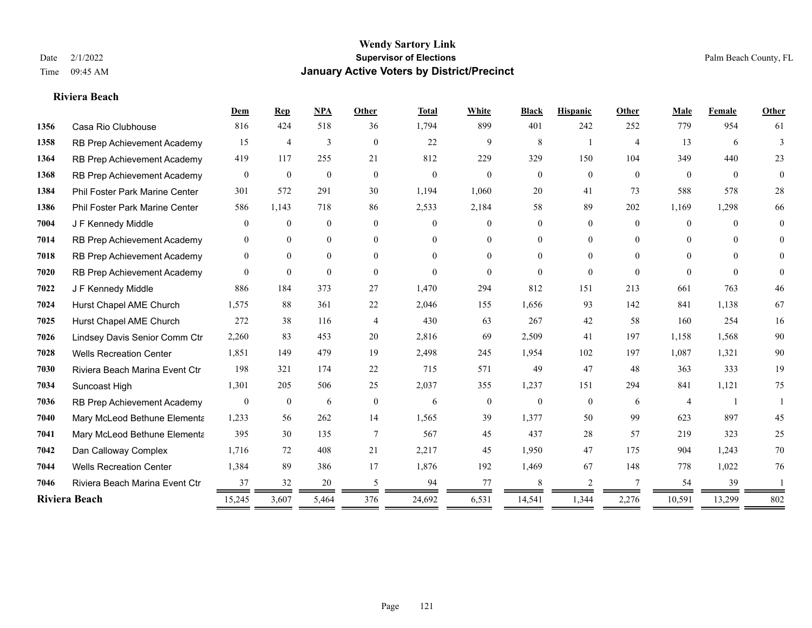#### **Riviera Beach**

|      |                                | Dem              | Rep              | NPA          | <b>Other</b>   | <b>Total</b> | White            | <b>Black</b>   | <b>Hispanic</b> | Other          | Male           | Female   | Other          |
|------|--------------------------------|------------------|------------------|--------------|----------------|--------------|------------------|----------------|-----------------|----------------|----------------|----------|----------------|
| 1356 | Casa Rio Clubhouse             | 816              | 424              | 518          | 36             | 1,794        | 899              | 401            | 242             | 252            | 779            | 954      | 61             |
| 1358 | RB Prep Achievement Academy    | 15               | 4                | 3            | $\overline{0}$ | 22           | 9                | 8              |                 | $\overline{4}$ | 13             | 6        | 3              |
| 1364 | RB Prep Achievement Academy    | 419              | 117              | 255          | 21             | 812          | 229              | 329            | 150             | 104            | 349            | 440      | 23             |
| 1368 | RB Prep Achievement Academy    | $\mathbf{0}$     | $\mathbf{0}$     | $\mathbf{0}$ | $\overline{0}$ | $\theta$     | $\overline{0}$   | $\mathbf{0}$   | $\overline{0}$  | $\mathbf{0}$   | $\overline{0}$ | $\theta$ | $\overline{0}$ |
| 1384 | Phil Foster Park Marine Center | 301              | 572              | 291          | 30             | 1,194        | 1,060            | 20             | 41              | 73             | 588            | 578      | 28             |
| 1386 | Phil Foster Park Marine Center | 586              | 1,143            | 718          | 86             | 2,533        | 2,184            | 58             | 89              | 202            | 1,169          | 1,298    | 66             |
| 7004 | J F Kennedy Middle             | $\mathbf{0}$     | $\mathbf{0}$     | $\mathbf{0}$ | $\overline{0}$ | $\Omega$     | $\overline{0}$   | $\overline{0}$ | $\overline{0}$  | $\Omega$       | $\overline{0}$ | $\Omega$ | $\theta$       |
| 7014 | RB Prep Achievement Academy    | $\mathbf{0}$     | $\theta$         | $\mathbf{0}$ | $\overline{0}$ | $\Omega$     | $\overline{0}$   | 0              | $\overline{0}$  | $\Omega$       | $\theta$       | $\Omega$ | $\theta$       |
| 7018 | RB Prep Achievement Academy    | $\mathbf{0}$     | $\overline{0}$   | $\mathbf{0}$ | $\Omega$       | $\Omega$     | $\overline{0}$   | $\Omega$       | $\overline{0}$  | $\Omega$       | $\Omega$       | $\Omega$ | $\Omega$       |
| 7020 | RB Prep Achievement Academy    | $\theta$         | $\theta$         | $\theta$     | $\theta$       | $\Omega$     | $\theta$         | $\Omega$       | $\Omega$        | $\theta$       | $\Omega$       | $\theta$ | $\theta$       |
| 7022 | J F Kennedy Middle             | 886              | 184              | 373          | 27             | 1,470        | 294              | 812            | 151             | 213            | 661            | 763      | 46             |
| 7024 | Hurst Chapel AME Church        | 1,575            | 88               | 361          | 22             | 2,046        | 155              | 1,656          | 93              | 142            | 841            | 1,138    | 67             |
| 7025 | Hurst Chapel AME Church        | 272              | 38               | 116          | $\overline{4}$ | 430          | 63               | 267            | 42              | 58             | 160            | 254      | 16             |
| 7026 | Lindsey Davis Senior Comm Ctr  | 2,260            | 83               | 453          | 20             | 2,816        | 69               | 2,509          | 41              | 197            | 1,158          | 1,568    | $90\,$         |
| 7028 | <b>Wells Recreation Center</b> | 1,851            | 149              | 479          | 19             | 2,498        | 245              | 1,954          | 102             | 197            | 1,087          | 1,321    | 90             |
| 7030 | Riviera Beach Marina Event Ctr | 198              | 321              | 174          | 22             | 715          | 571              | 49             | 47              | 48             | 363            | 333      | 19             |
| 7034 | Suncoast High                  | 1,301            | 205              | 506          | 25             | 2,037        | 355              | 1,237          | 151             | 294            | 841            | 1,121    | 75             |
| 7036 | RB Prep Achievement Academy    | $\boldsymbol{0}$ | $\boldsymbol{0}$ | 6            | $\mathbf{0}$   | 6            | $\boldsymbol{0}$ | $\overline{0}$ | $\mathbf{0}$    | 6              | $\overline{4}$ |          |                |
| 7040 | Mary McLeod Bethune Elementa   | 1,233            | 56               | 262          | 14             | 1,565        | 39               | 1,377          | 50              | 99             | 623            | 897      | 45             |
| 7041 | Mary McLeod Bethune Elementa   | 395              | 30               | 135          | $\overline{7}$ | 567          | 45               | 437            | 28              | 57             | 219            | 323      | 25             |
| 7042 | Dan Calloway Complex           | 1,716            | 72               | 408          | 21             | 2,217        | 45               | 1,950          | 47              | 175            | 904            | 1,243    | 70             |
| 7044 | <b>Wells Recreation Center</b> | 1,384            | 89               | 386          | 17             | 1,876        | 192              | 1,469          | 67              | 148            | 778            | 1,022    | 76             |
| 7046 | Riviera Beach Marina Event Ctr | 37               | 32               | 20           | 5              | 94           | 77               | 8              | 2               | 7              | 54             | 39       |                |
|      | Riviera Beach                  | 15,245           | 3,607            | 5,464        | 376            | 24,692       | 6,531            | 14,541         | 1,344           | 2,276          | 10,591         | 13,299   | 802            |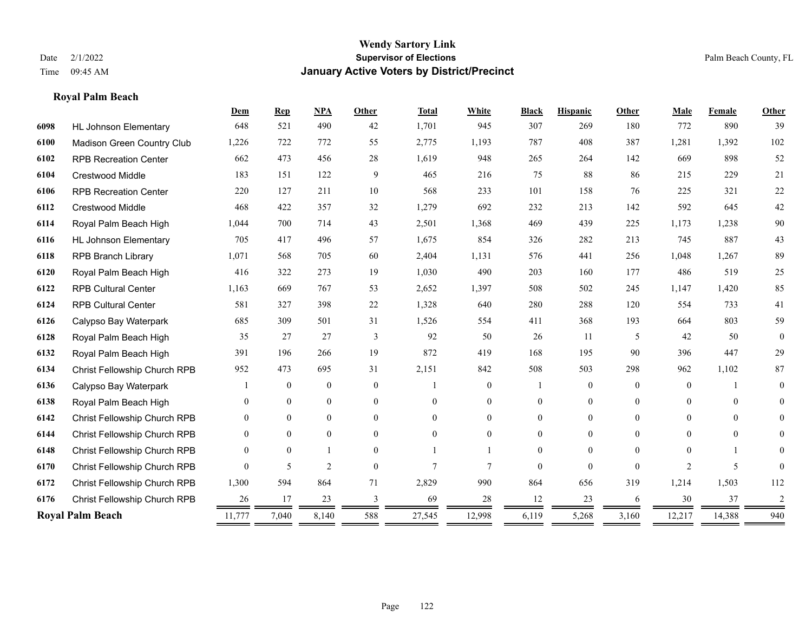## **Royal Palm Beach**

|      |                                     | Dem      | <b>Rep</b>     | NPA            | <b>Other</b> | <b>Total</b>   | White          | <b>Black</b> | <b>Hispanic</b> | <b>Other</b> | Male           | Female   | Other        |
|------|-------------------------------------|----------|----------------|----------------|--------------|----------------|----------------|--------------|-----------------|--------------|----------------|----------|--------------|
| 6098 | <b>HL Johnson Elementary</b>        | 648      | 521            | 490            | 42           | 1,701          | 945            | 307          | 269             | 180          | 772            | 890      | 39           |
| 6100 | Madison Green Country Club          | 1,226    | 722            | 772            | 55           | 2,775          | 1,193          | 787          | 408             | 387          | 1,281          | 1,392    | 102          |
| 6102 | <b>RPB Recreation Center</b>        | 662      | 473            | 456            | 28           | 1,619          | 948            | 265          | 264             | 142          | 669            | 898      | 52           |
| 6104 | <b>Crestwood Middle</b>             | 183      | 151            | 122            | 9            | 465            | 216            | 75           | 88              | 86           | 215            | 229      | 21           |
| 6106 | <b>RPB Recreation Center</b>        | 220      | 127            | 211            | 10           | 568            | 233            | 101          | 158             | 76           | 225            | 321      | 22           |
| 6112 | <b>Crestwood Middle</b>             | 468      | 422            | 357            | 32           | 1,279          | 692            | 232          | 213             | 142          | 592            | 645      | $42\,$       |
| 6114 | Royal Palm Beach High               | 1.044    | 700            | 714            | 43           | 2,501          | 1,368          | 469          | 439             | 225          | 1,173          | 1,238    | $90\,$       |
| 6116 | <b>HL Johnson Elementary</b>        | 705      | 417            | 496            | 57           | 1,675          | 854            | 326          | 282             | 213          | 745            | 887      | 43           |
| 6118 | <b>RPB Branch Library</b>           | 1,071    | 568            | 705            | 60           | 2,404          | 1,131          | 576          | 441             | 256          | 1,048          | 1,267    | 89           |
| 6120 | Royal Palm Beach High               | 416      | 322            | 273            | 19           | 1,030          | 490            | 203          | 160             | 177          | 486            | 519      | 25           |
| 6122 | <b>RPB Cultural Center</b>          | 1,163    | 669            | 767            | 53           | 2,652          | 1,397          | 508          | 502             | 245          | 1,147          | 1,420    | 85           |
| 6124 | <b>RPB Cultural Center</b>          | 581      | 327            | 398            | 22           | 1,328          | 640            | 280          | 288             | 120          | 554            | 733      | 41           |
| 6126 | Calypso Bay Waterpark               | 685      | 309            | 501            | 31           | 1,526          | 554            | 411          | 368             | 193          | 664            | 803      | 59           |
| 6128 | Royal Palm Beach High               | 35       | 27             | 27             | 3            | 92             | 50             | 26           | 11              | 5            | 42             | 50       | $\mathbf{0}$ |
| 6132 | Royal Palm Beach High               | 391      | 196            | 266            | 19           | 872            | 419            | 168          | 195             | 90           | 396            | 447      | 29           |
| 6134 | <b>Christ Fellowship Church RPB</b> | 952      | 473            | 695            | 31           | 2,151          | 842            | 508          | 503             | 298          | 962            | 1,102    | 87           |
| 6136 | Calypso Bay Waterpark               |          | $\overline{0}$ | $\mathbf{0}$   | $\theta$     |                | $\overline{0}$ |              | $\overline{0}$  | $\theta$     | $\theta$       |          | $\theta$     |
| 6138 | Royal Palm Beach High               | $\Omega$ | $\theta$       | $\mathbf{0}$   | $\theta$     | $\Omega$       | $\overline{0}$ | 0            | $\overline{0}$  | $\Omega$     | $\theta$       | $\Omega$ | 0            |
| 6142 | Christ Fellowship Church RPB        | $\Omega$ | $\theta$       | $\theta$       | $\theta$     | $\Omega$       | $\Omega$       | 0            | $\Omega$        | $\theta$     | $\Omega$       | $\Omega$ | $\theta$     |
| 6144 | Christ Fellowship Church RPB        | $\theta$ | $\theta$       | $\theta$       | $\Omega$     | $\Omega$       | $\Omega$       | 0            | $\Omega$        | $\Omega$     | $\Omega$       | $\theta$ | 0            |
| 6148 | Christ Fellowship Church RPB        | $\theta$ | $\theta$       |                | $\theta$     |                |                | 0            | $\theta$        | $\Omega$     | $\Omega$       |          | 0            |
| 6170 | Christ Fellowship Church RPB        | $\Omega$ | 5              | $\overline{2}$ | $\theta$     | $\overline{7}$ | 7              | $\Omega$     | $\theta$        | $\Omega$     | $\overline{c}$ | 5        |              |
| 6172 | Christ Fellowship Church RPB        | 1,300    | 594            | 864            | 71           | 2,829          | 990            | 864          | 656             | 319          | 1,214          | 1,503    | 112          |
| 6176 | Christ Fellowship Church RPB        | 26       | 17             | 23             | 3            | 69             | 28             | 12           | 23              | 6            | 30             | 37       | 2            |
|      | <b>Royal Palm Beach</b>             | 11,777   | 7,040          | 8,140          | 588          | 27,545         | 12,998         | 6,119        | 5,268           | 3,160        | 12,217         | 14,388   | 940          |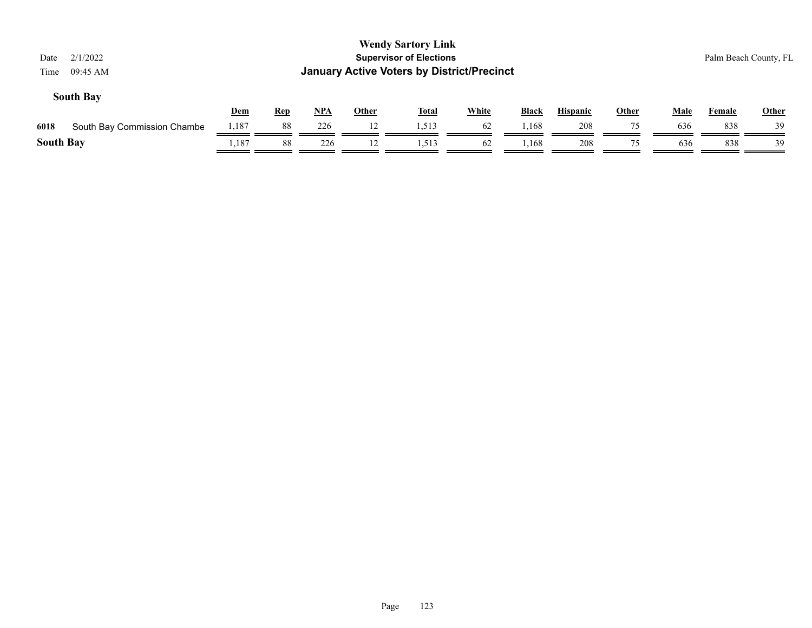| 2/1/2022<br>Date<br>09:45 AM<br>Time |            |            |     |              | <b>Wendy Sartory Link</b><br><b>Supervisor of Elections</b><br><b>January Active Voters by District/Precinct</b> |              |       |                 |              |             | Palm Beach County, FL |              |
|--------------------------------------|------------|------------|-----|--------------|------------------------------------------------------------------------------------------------------------------|--------------|-------|-----------------|--------------|-------------|-----------------------|--------------|
| <b>South Bay</b>                     | <b>Dem</b> | <b>Rep</b> | NPA | <b>Other</b> | <u>Total</u>                                                                                                     | <b>White</b> | Black | <b>Hispanic</b> | <b>Other</b> | <b>Male</b> | Female                | <b>Other</b> |
| 6018<br>South Bay Commission Chambe  | 1,187      | 88         | 226 | 12           | 1,513                                                                                                            | 62           | 1,168 | 208             | 75           | 636         | 838                   | 39           |
| <b>South Bay</b>                     | 1,187      | 88         | 226 | 12           | 1,513                                                                                                            | 62           | 1,168 | 208             | 75           | 636         | 838                   | 39           |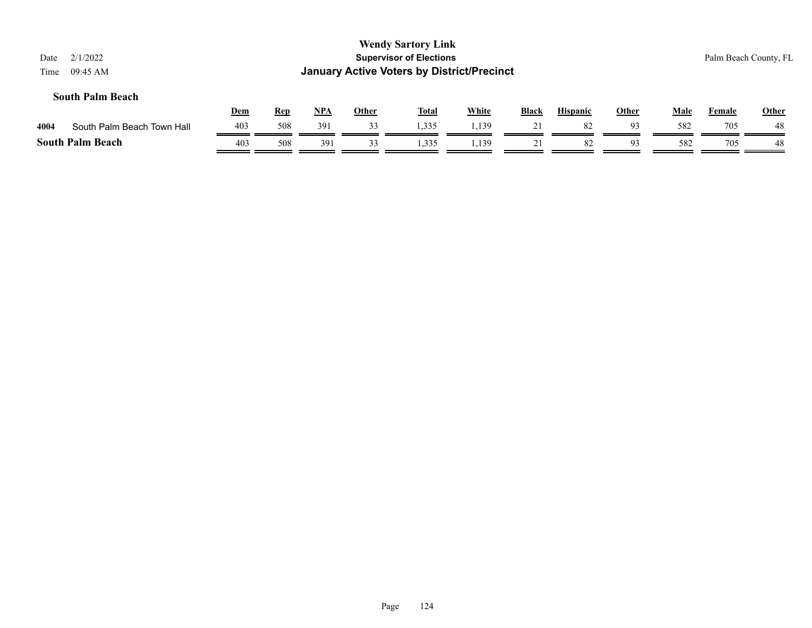| 2/1/2022<br>Date<br>09:45 AM<br>Time |            |            |            |              | <b>Wendy Sartory Link</b><br><b>Supervisor of Elections</b><br><b>January Active Voters by District/Precinct</b> |              |              |                 |              |             |               | Palm Beach County, FL |
|--------------------------------------|------------|------------|------------|--------------|------------------------------------------------------------------------------------------------------------------|--------------|--------------|-----------------|--------------|-------------|---------------|-----------------------|
| <b>South Palm Beach</b>              | <u>Dem</u> | <b>Rep</b> | <u>NPA</u> | <b>Other</b> | <b>Total</b>                                                                                                     | <b>White</b> | <b>Black</b> | <b>Hispanic</b> | <b>Other</b> | <b>Male</b> | <b>Female</b> | <b>Other</b>          |
| South Palm Beach Town Hall<br>4004   | 403        | 508        | 391        | 33           | 1,335                                                                                                            | 1,139        | 21           | 82              | 93           | 582         | 705           | 48                    |
| <b>South Palm Beach</b>              | 403        | 508        | 391        | 33           | 1,335                                                                                                            | 1,139        | 21           | 82              | 93           | 582         | 705           | 48                    |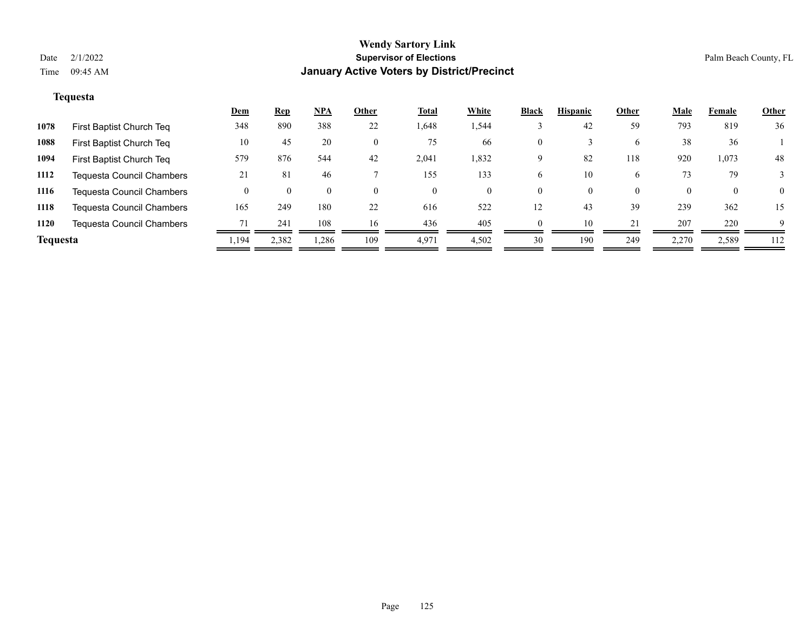## **Tequesta**

|                 |                                  | <u>Dem</u> | <u>Rep</u> | $NPA$ | Other | <u>Total</u> | White    | <b>Black</b> | <b>Hispanic</b> | Other    | <b>Male</b> | Female       | <b>Other</b> |
|-----------------|----------------------------------|------------|------------|-------|-------|--------------|----------|--------------|-----------------|----------|-------------|--------------|--------------|
| 1078            | First Baptist Church Teq         | 348        | 890        | 388   | 22    | 1,648        | 1,544    |              | 42              | 59       | 793         | 819          | 36           |
| 1088            | First Baptist Church Teq         | 10         | 45         | 20    |       | 75           | 66       | $\mathbf{0}$ |                 | 6        | 38          | 36           |              |
| 1094            | First Baptist Church Teq         | 579        | 876        | 544   | 42    | 2,041        | 1,832    | 9            | 82              | 118      | 920         | 1,073        | 48           |
| 1112            | <b>Tequesta Council Chambers</b> | 21         | 81         | 46    |       | 155          | 133      | 6            | 10              | 6        | 73          | 79           |              |
| 1116            | <b>Tequesta Council Chambers</b> |            |            |       |       | $\Omega$     | $\left($ | $\Omega$     | $\Omega$        | $\theta$ |             | $\mathbf{0}$ | $\Omega$     |
| 1118            | <b>Tequesta Council Chambers</b> | 165        | 249        | 180   | 22    | 616          | 522      | 12           | 43              | 39       | 239         | 362          | 15           |
| 1120            | <b>Tequesta Council Chambers</b> | 71         | 241        | 108   | 16    | 436          | 405      | $\Omega$     | 10              | 21       | 207         | 220          | 9            |
| <b>Tequesta</b> |                                  | . 194ء     | 2,382      | 1,286 | 109   | 4,971        | 4,502    | 30           | 190             | 249      | 2,270       | 2,589        | 112          |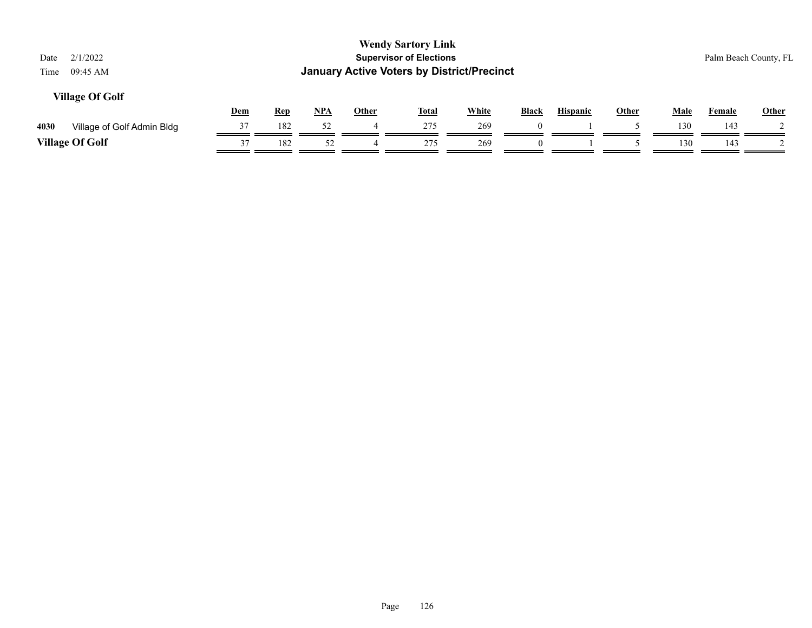| 2/1/2022<br>Date<br>09:45 AM<br>Time |     |            |       |              | <b>Wendy Sartory Link</b><br><b>Supervisor of Elections</b><br><b>January Active Voters by District/Precinct</b> |              |              |                 |       |             |        | Palm Beach County, FL |
|--------------------------------------|-----|------------|-------|--------------|------------------------------------------------------------------------------------------------------------------|--------------|--------------|-----------------|-------|-------------|--------|-----------------------|
| <b>Village Of Golf</b>               | Dem | <b>Rep</b> | $NPA$ | <b>Other</b> | <u>Total</u>                                                                                                     | <b>White</b> | <b>Black</b> | <b>Hispanic</b> | Other | <b>Male</b> | Female | Other                 |
| 4030<br>Village of Golf Admin Bldg   | 37  | 182        | 52    |              | 275                                                                                                              | 269          |              |                 |       | 130         | 143    |                       |
| <b>Village Of Golf</b>               | 37  | 182        | 52    |              | 275                                                                                                              | 269          | $\theta$     |                 |       | 130         | 143    |                       |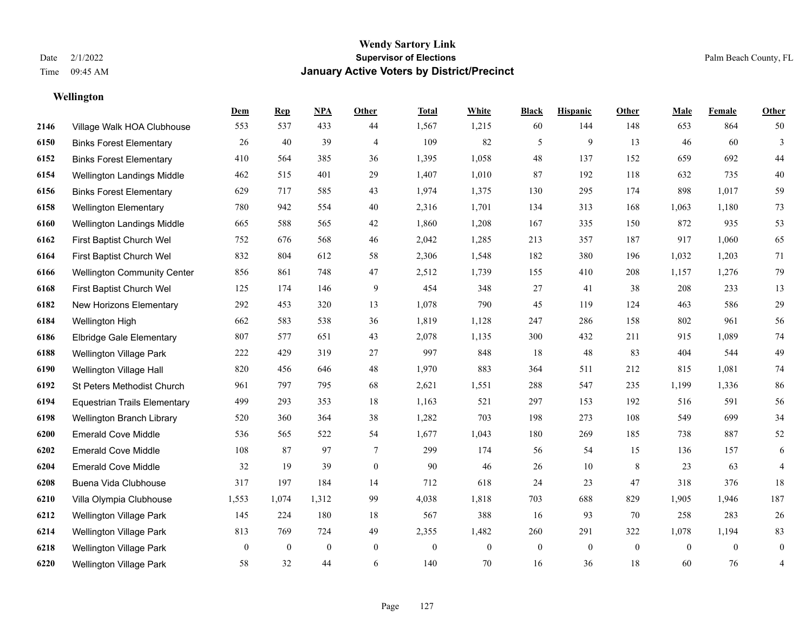**Wellington**

#### **Wendy Sartory Link** Date 2/1/2022 **Supervisor of Elections** Palm Beach County, FL Time 09:45 AM **January Active Voters by District/Precinct**

Village Walk HOA Clubhouse 553 537 433 44 1,567 1,215 60 144 148 653 864 50

**Dem Rep NPA Other Total White Black Hispanic Other Male Female Other**

## Binks Forest Elementary 26 40 39 4 109 82 5 9 13 46 60 3 Binks Forest Elementary 410 564 385 36 1,395 1,058 48 137 152 659 692 44 Wellington Landings Middle 462 515 401 29 1,407 1,010 87 192 118 632 735 40 Binks Forest Elementary 629 717 585 43 1,974 1,375 130 295 174 898 1,017 59 Wellington Elementary 780 942 554 40 2,316 1,701 134 313 168 1,063 1,180 73 Wellington Landings Middle 665 588 565 42 1,860 1,208 167 335 150 872 935 53 First Baptist Church Wel 752 676 568 46 2,042 1,285 213 357 187 917 1,060 65 First Baptist Church Wel 832 804 612 58 2,306 1,548 182 380 196 1,032 1,203 71 Wellington Community Center 856 861 748 47 2,512 1,739 155 410 208 1,157 1,276 79 First Baptist Church Wel 125 174 146 9 454 348 27 41 38 208 233 13 New Horizons Elementary 292 453 320 13 1,078 790 45 119 124 463 586 29 Wellington High 662 583 538 36 1,819 1,128 247 286 158 802 961 56 Elbridge Gale Elementary 807 577 651 43 2,078 1,135 300 432 211 915 1,089 74 Wellington Village Park 222 429 319 27 997 848 18 48 83 404 544 49 Wellington Village Hall 820 456 646 48 1,970 883 364 511 212 815 1,081 74 St Peters Methodist Church 961 797 795 68 2,621 1,551 288 547 235 1,199 1,336 86 Equestrian Trails Elementary 499 293 353 18 1,163 521 297 153 192 516 591 56 Wellington Branch Library 520 360 364 38 1,282 703 198 273 108 549 699 34 Emerald Cove Middle 536 565 522 54 1,677 1,043 180 269 185 738 887 52 Emerald Cove Middle 108 87 97 7 299 174 56 54 15 136 157 6 Emerald Cove Middle 32 19 39 0 90 46 26 10 8 23 63 4 Buena Vida Clubhouse 317 197 184 14 712 618 24 23 47 318 376 18

 Villa Olympia Clubhouse 1,553 1,074 1,312 99 4,038 1,818 703 688 829 1,905 1,946 187 Wellington Village Park 145 224 180 18 567 388 16 93 70 258 283 26 Wellington Village Park 813 769 724 49 2,355 1,482 260 291 322 1,078 1,194 83 Wellington Village Park 0 0 0 0 0 0 0 0 0 0 0 0 Wellington Village Park 58 32 44 6 140 70 16 36 18 60 76 4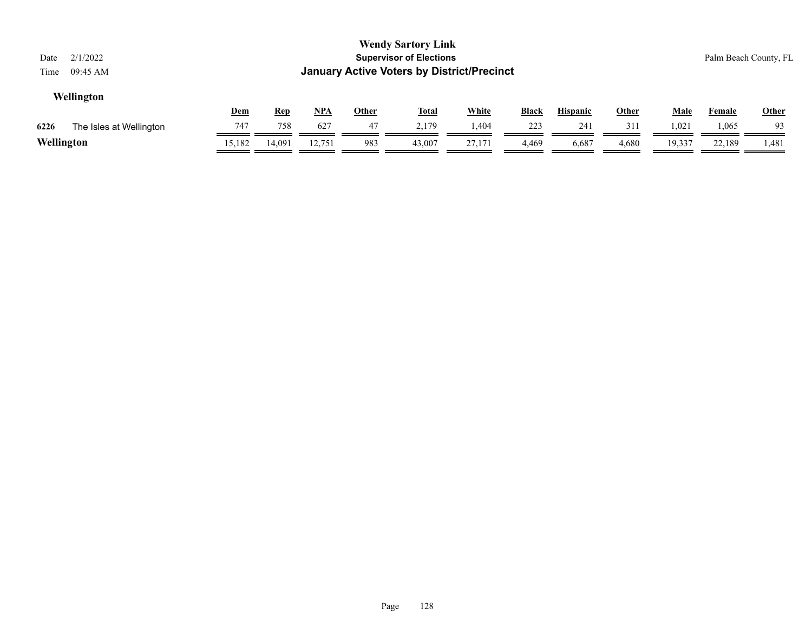| Date<br>Time | 2/1/2022<br>09:45 AM    |            |            |            |              | <b>Wendy Sartory Link</b><br><b>Supervisor of Elections</b><br><b>January Active Voters by District/Precinct</b> |              |              |                 |              |             |               | Palm Beach County, FL |
|--------------|-------------------------|------------|------------|------------|--------------|------------------------------------------------------------------------------------------------------------------|--------------|--------------|-----------------|--------------|-------------|---------------|-----------------------|
|              | Wellington              | <u>Dem</u> | <u>Rep</u> | <u>NPA</u> | <b>Other</b> | <u>Total</u>                                                                                                     | <b>White</b> | <b>Black</b> | <b>Hispanic</b> | <u>Other</u> | <u>Male</u> | <b>Female</b> | Other                 |
| 6226         | The Isles at Wellington | 747        | 758        | 627        | 47           | 2.179                                                                                                            | 1,404        | 223          | 241             | 311          | 1,021       | 1,065         | 93                    |
| Wellington   |                         | 15,182     | 14.091     | 12,751     | 983          | 43,007                                                                                                           | 27,171       | 4,469        | 6,687           | 4,680        | 19,337      | 22.189        | 1,481                 |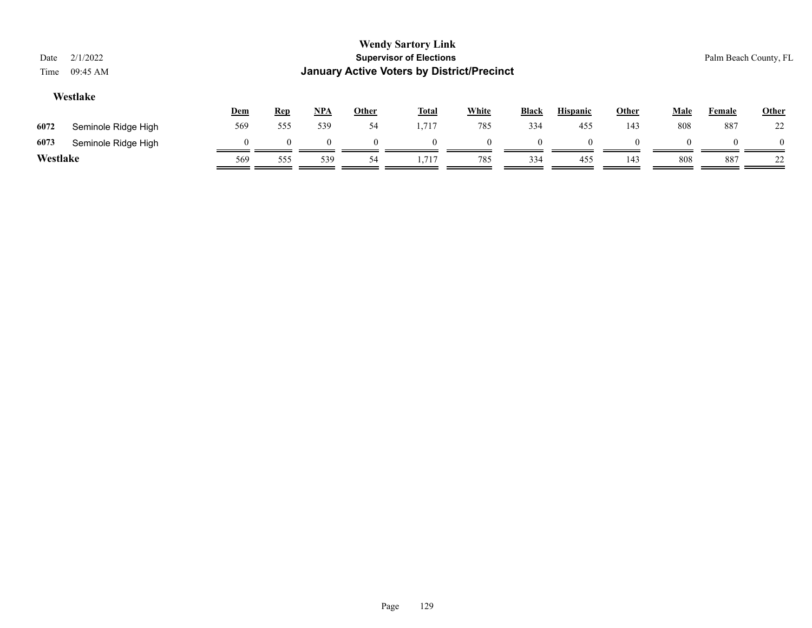| Date<br>Time | 2/1/2022<br>09:45 AM |          |            |            |              | <b>Wendy Sartory Link</b><br><b>Supervisor of Elections</b><br><b>January Active Voters by District/Precinct</b> |              |              |                 |       |             |        | Palm Beach County, FL |
|--------------|----------------------|----------|------------|------------|--------------|------------------------------------------------------------------------------------------------------------------|--------------|--------------|-----------------|-------|-------------|--------|-----------------------|
|              | Westlake             | Dem      | <b>Rep</b> | <u>NPA</u> | <u>Other</u> | <b>Total</b>                                                                                                     | <b>White</b> | <b>Black</b> | <b>Hispanic</b> | Other | <b>Male</b> | Female | <b>Other</b>          |
| 6072         | Seminole Ridge High  | 569      | 555        | 539        | 54           | 1,717                                                                                                            | 785          | 334          | 455             | 143   | 808         | 887    | 22                    |
| 6073         | Seminole Ridge High  | $\theta$ | $\Omega$   |            |              | $\theta$                                                                                                         | $\Omega$     |              | $\Omega$        |       | 0           |        | $\theta$              |
| Westlake     |                      | 569      | 555        | 539        | 54           | 1,717                                                                                                            | 785          | 334          | 455             | 143   | 808         | 887    | 22                    |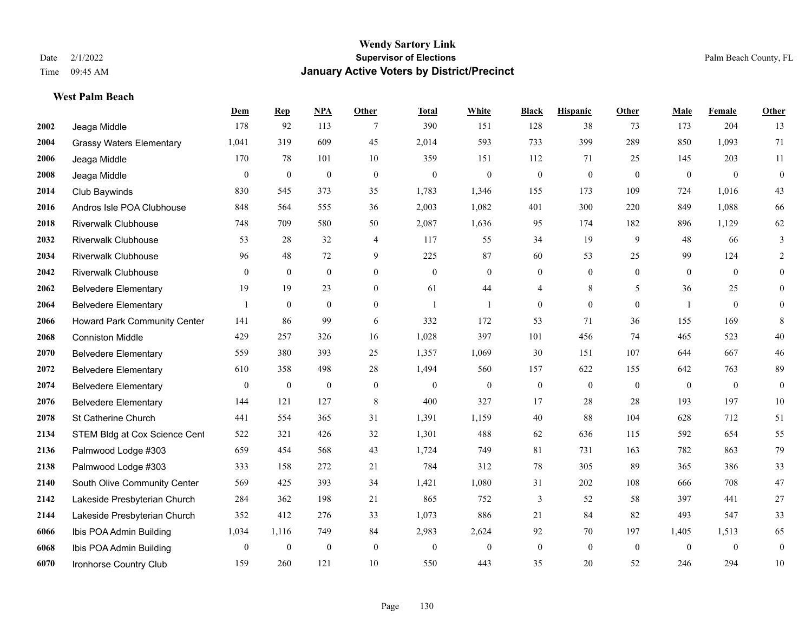**West Palm Beach**

#### **Wendy Sartory Link** Date 2/1/2022 **Supervisor of Elections** Palm Beach County, FL Time 09:45 AM **January Active Voters by District/Precinct**

## **Dem Rep NPA Other Total White Black Hispanic Other Male Female Other** Jeaga Middle 178 92 113 7 390 151 128 38 73 173 204 13 Grassy Waters Elementary 1,041 319 609 45 2,014 593 733 399 289 850 1,093 71 Jeaga Middle 170 78 101 10 359 151 112 71 25 145 203 11 Jeaga Middle 0 0 0 0 0 0 0 0 0 0 0 0 Club Baywinds 830 545 373 35 1,783 1,346 155 173 109 724 1,016 43 Andros Isle POA Clubhouse 848 564 555 36 2,003 1,082 401 300 220 849 1,088 66 Riverwalk Clubhouse 748 709 580 50 2,087 1,636 95 174 182 896 1,129 62 Riverwalk Clubhouse 53 28 32 4 117 55 34 19 9 48 66 3 Riverwalk Clubhouse 96 48 72 9 225 87 60 53 25 99 124 2 Riverwalk Clubhouse 0 0 0 0 0 0 0 0 0 0 0 0 Belvedere Elementary 19 19 23 0 61 44 4 8 5 36 25 0 Belvedere Elementary 1 0 0 0 1 1 0 0 0 1 0 0 Howard Park Community Center 141 86 99 6 332 172 53 71 36 155 169 8 Conniston Middle 429 257 326 16 1,028 397 101 456 74 465 523 40 Belvedere Elementary 559 380 393 25 1,357 1,069 30 151 107 644 667 46 Belvedere Elementary 610 358 498 28 1,494 560 157 622 155 642 763 89 Belvedere Elementary 0 0 0 0 0 0 0 0 0 0 0 0 Belvedere Elementary 144 121 127 8 400 327 17 28 28 193 197 10 St Catherine Church 441 554 365 31 1,391 1,159 40 88 104 628 712 51 2134 STEM Bldg at Cox Science Cent 522 321 426 32 1,301 488 62 636 115 592 654 55 Palmwood Lodge #303 659 454 568 43 1,724 749 81 731 163 782 863 79 Palmwood Lodge #303 333 158 272 21 784 312 78 305 89 365 386 33 South Olive Community Center 569 425 393 34 1,421 1,080 31 202 108 666 708 47 Lakeside Presbyterian Church 284 362 198 21 865 752 3 52 58 397 441 27 Lakeside Presbyterian Church 352 412 276 33 1,073 886 21 84 82 493 547 33 Ibis POA Admin Building 1,034 1,116 749 84 2,983 2,624 92 70 197 1,405 1,513 65 Ibis POA Admin Building 0 0 0 0 0 0 0 0 0 0 0 0

Ironhorse Country Club 159 260 121 10 550 443 35 20 52 246 294 10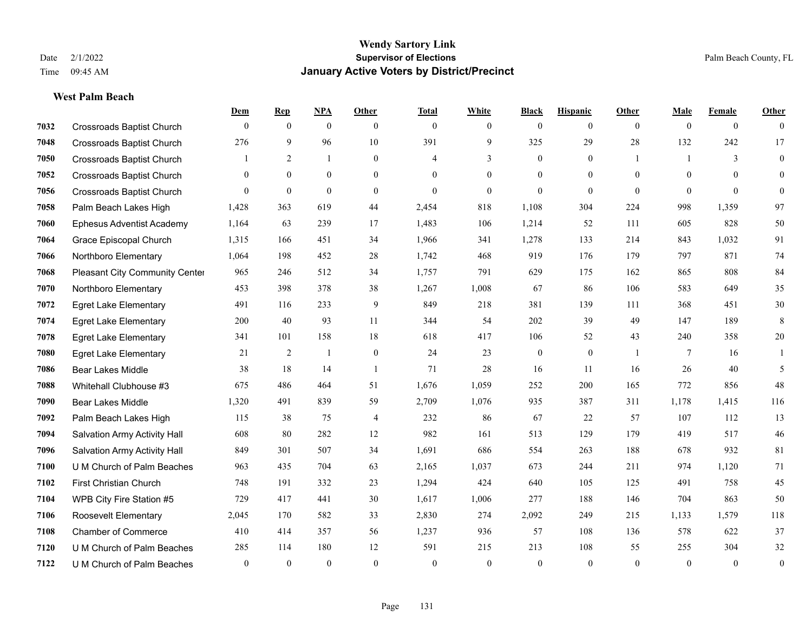**West Palm Beach**

#### **Wendy Sartory Link** Date 2/1/2022 **Supervisor of Elections** Palm Beach County, FL Time 09:45 AM **January Active Voters by District/Precinct**

## **Dem Rep NPA Other Total White Black Hispanic Other Male Female Other** Crossroads Baptist Church 0 0 0 0 0 0 0 0 0 0 0 0 Crossroads Baptist Church 276 9 96 10 391 9 325 29 28 132 242 17 Crossroads Baptist Church 1 2 1 0 4 3 0 1 1 3 0 Crossroads Baptist Church 0 0 0 0 0 0 0 0 0 0 0 0 Crossroads Baptist Church 0 0 0 0 0 0 0 0 0 0 0 0 Palm Beach Lakes High 1,428 363 619 44 2,454 818 1,108 304 224 998 1,359 97 Ephesus Adventist Academy 1,164 63 239 17 1,483 106 1,214 52 111 605 828 50 Grace Episcopal Church 1,315 166 451 34 1,966 341 1,278 133 214 843 1,032 91 Northboro Elementary 1,064 198 452 28 1,742 468 919 176 179 797 871 74 Pleasant City Community Center 965 246 512 34 1,757 791 629 175 162 865 808 84 Northboro Elementary 453 398 378 38 1,267 1,008 67 86 106 583 649 35 Egret Lake Elementary 491 116 233 9 849 218 381 139 111 368 451 30 Egret Lake Elementary 200 40 93 11 344 54 202 39 49 147 189 8 Egret Lake Elementary 341 101 158 18 618 417 106 52 43 240 358 20 Egret Lake Elementary 21 2 1 0 24 23 0 0 1 7 16 1 Bear Lakes Middle 38 18 14 1 71 28 16 11 16 26 40 5 Whitehall Clubhouse #3 675 486 464 51 1,676 1,059 252 200 165 772 856 48 Bear Lakes Middle 1,320 491 839 59 2,709 1,076 935 387 311 1,178 1,415 116 Palm Beach Lakes High 115 38 75 4 232 86 67 22 57 107 112 13 Salvation Army Activity Hall 608 80 282 12 982 161 513 129 179 419 517 46 Salvation Army Activity Hall 849 301 507 34 1,691 686 554 263 188 678 932 81 U M Church of Palm Beaches 963 435 704 63 2,165 1,037 673 244 211 974 1,120 71 First Christian Church 748 191 332 23 1,294 424 640 105 125 491 758 45 WPB City Fire Station #5 729 417 441 30 1,617 1,006 277 188 146 704 863 50 Roosevelt Elementary 2,045 170 582 33 2,830 274 2,092 249 215 1,133 1,579 118 Chamber of Commerce 410 414 357 56 1,237 936 57 108 136 578 622 37 U M Church of Palm Beaches 285 114 180 12 591 215 213 108 55 255 304 32 U M Church of Palm Beaches 0 0 0 0 0 0 0 0 0 0 0 0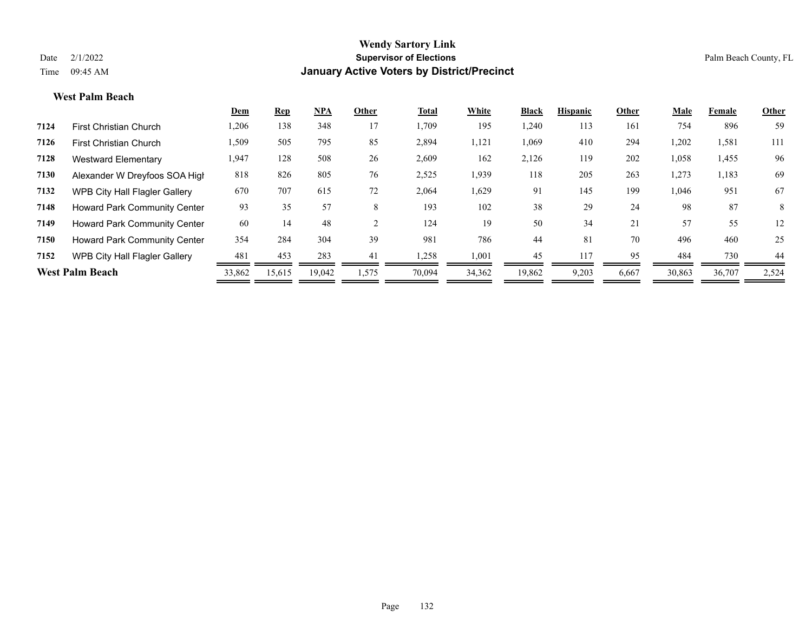#### **West Palm Beach**

|                                      | <u>Dem</u>             | <b>Rep</b> | <b>NPA</b> | Other | Total  | White  | <b>Black</b> | <b>Hispanic</b> | Other | Male   | Female | Other |
|--------------------------------------|------------------------|------------|------------|-------|--------|--------|--------------|-----------------|-------|--------|--------|-------|
| <b>First Christian Church</b>        | 1,206                  | 138        | 348        | 17    | 1,709  | 195    | ,240         | 113             | 161   | 754    | 896    | 59    |
| <b>First Christian Church</b>        | 1,509                  | 505        | 795        | 85    | 2,894  | 1,121  | 1,069        | 410             | 294   | 1,202  | 1,581  | 111   |
| Westward Elementary                  | 1,947                  | 128        | 508        | 26    | 2,609  | 162    | 2,126        | 119             | 202   | 1,058  | 1,455  | 96    |
| Alexander W Dreyfoos SOA High        | 818                    | 826        | 805        | 76    | 2,525  | 1,939  | 118          | 205             | 263   | 1,273  | 1,183  | 69    |
| <b>WPB City Hall Flagler Gallery</b> | 670                    | 707        | 615        | 72    | 2,064  | 1,629  | 91           | 145             | 199   | 1,046  | 951    | 67    |
| <b>Howard Park Community Center</b>  | 93                     | 35         | 57         | 8     | 193    | 102    | 38           | 29              | 24    | 98     | 87     | 8     |
| <b>Howard Park Community Center</b>  | 60                     | 14         | 48         |       | 124    | 19     | 50           | 34              | 21    | 57     | 55     | 12    |
| Howard Park Community Center         | 354                    | 284        | 304        | 39    | 981    | 786    | 44           | 81              | 70    | 496    | 460    | 25    |
| WPB City Hall Flagler Gallery        | 481                    | 453        | 283        | 41    | 1,258  | 1,001  | 45           | 117             | 95    | 484    | 730    | 44    |
|                                      | 33,862                 | 15,615     | 19,042     | 1,575 | 70,094 | 34,362 | 19,862       | 9,203           | 6,667 | 30,863 | 36,707 | 2,524 |
|                                      | <b>West Palm Beach</b> |            |            |       |        |        |              |                 |       |        |        |       |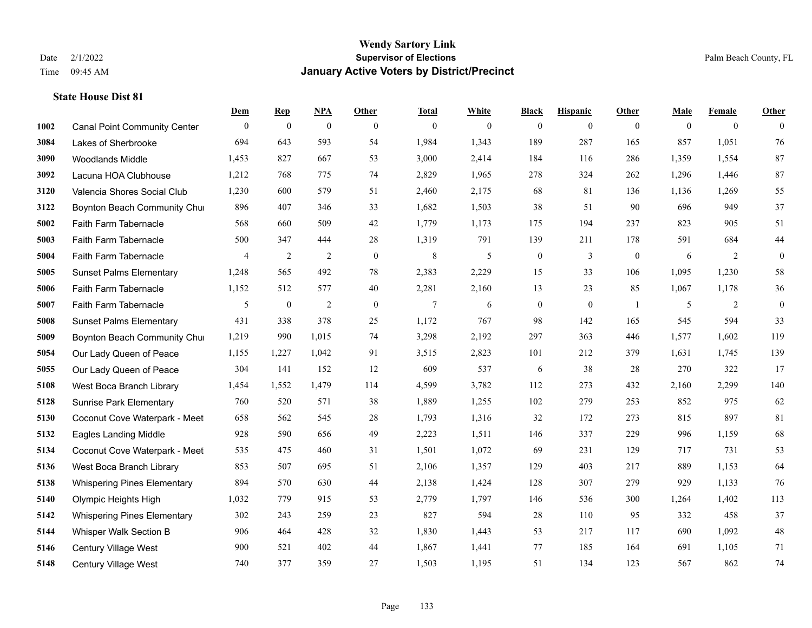|      |                                     | Dem            | <b>Rep</b>       | NPA              | <b>Other</b>   | <b>Total</b>   | <b>White</b> | <b>Black</b>     | <b>Hispanic</b> | Other            | <b>Male</b> | <b>Female</b>  | <b>Other</b>   |
|------|-------------------------------------|----------------|------------------|------------------|----------------|----------------|--------------|------------------|-----------------|------------------|-------------|----------------|----------------|
| 1002 | <b>Canal Point Community Center</b> | $\overline{0}$ | $\mathbf{0}$     | $\boldsymbol{0}$ | $\overline{0}$ | $\mathbf{0}$   | $\mathbf{0}$ | $\mathbf{0}$     | $\overline{0}$  | $\mathbf{0}$     | $\theta$    | $\overline{0}$ | $\theta$       |
| 3084 | Lakes of Sherbrooke                 | 694            | 643              | 593              | 54             | 1,984          | 1,343        | 189              | 287             | 165              | 857         | 1,051          | 76             |
| 3090 | Woodlands Middle                    | 1,453          | 827              | 667              | 53             | 3,000          | 2,414        | 184              | 116             | 286              | 1,359       | 1,554          | $87\,$         |
| 3092 | Lacuna HOA Clubhouse                | 1,212          | 768              | 775              | 74             | 2,829          | 1,965        | 278              | 324             | 262              | 1,296       | 1,446          | $87\,$         |
| 3120 | Valencia Shores Social Club         | 1,230          | 600              | 579              | 51             | 2,460          | 2,175        | 68               | 81              | 136              | 1,136       | 1,269          | 55             |
| 3122 | Boynton Beach Community Chur        | 896            | 407              | 346              | 33             | 1,682          | 1,503        | 38               | 51              | 90               | 696         | 949            | $37\,$         |
| 5002 | Faith Farm Tabernacle               | 568            | 660              | 509              | 42             | 1,779          | 1,173        | 175              | 194             | 237              | 823         | 905            | 51             |
| 5003 | Faith Farm Tabernacle               | 500            | 347              | 444              | 28             | 1,319          | 791          | 139              | 211             | 178              | 591         | 684            | $44\,$         |
| 5004 | Faith Farm Tabernacle               | $\overline{4}$ | $\sqrt{2}$       | $\overline{2}$   | $\mathbf{0}$   | $\,$ 8 $\,$    | 5            | $\boldsymbol{0}$ | 3               | $\boldsymbol{0}$ | 6           | $\overline{2}$ | $\overline{0}$ |
| 5005 | <b>Sunset Palms Elementary</b>      | 1,248          | 565              | 492              | 78             | 2,383          | 2,229        | 15               | 33              | 106              | 1,095       | 1,230          | 58             |
| 5006 | Faith Farm Tabernacle               | 1,152          | 512              | 577              | 40             | 2,281          | 2,160        | 13               | 23              | 85               | 1,067       | 1,178          | 36             |
| 5007 | Faith Farm Tabernacle               | 5              | $\boldsymbol{0}$ | $\overline{2}$   | $\mathbf{0}$   | $\overline{7}$ | 6            | $\boldsymbol{0}$ | $\mathbf{0}$    | $\overline{1}$   | 5           | $\overline{2}$ | $\theta$       |
| 5008 | <b>Sunset Palms Elementary</b>      | 431            | 338              | 378              | 25             | 1,172          | 767          | 98               | 142             | 165              | 545         | 594            | 33             |
| 5009 | Boynton Beach Community Chur        | 1,219          | 990              | 1,015            | 74             | 3,298          | 2,192        | 297              | 363             | 446              | 1,577       | 1,602          | 119            |
| 5054 | Our Lady Queen of Peace             | 1,155          | 1,227            | 1,042            | 91             | 3,515          | 2,823        | 101              | 212             | 379              | 1,631       | 1,745          | 139            |
| 5055 | Our Lady Queen of Peace             | 304            | 141              | 152              | 12             | 609            | 537          | 6                | 38              | 28               | 270         | 322            | 17             |
| 5108 | West Boca Branch Library            | 1,454          | 1,552            | 1,479            | 114            | 4,599          | 3,782        | 112              | 273             | 432              | 2,160       | 2,299          | 140            |
| 5128 | <b>Sunrise Park Elementary</b>      | 760            | 520              | 571              | 38             | 1,889          | 1,255        | 102              | 279             | 253              | 852         | 975            | 62             |
| 5130 | Coconut Cove Waterpark - Meet       | 658            | 562              | 545              | $28\,$         | 1,793          | 1,316        | 32               | 172             | 273              | 815         | 897            | 81             |
| 5132 | <b>Eagles Landing Middle</b>        | 928            | 590              | 656              | 49             | 2,223          | 1,511        | 146              | 337             | 229              | 996         | 1,159          | 68             |
| 5134 | Coconut Cove Waterpark - Meet       | 535            | 475              | 460              | 31             | 1,501          | 1,072        | 69               | 231             | 129              | 717         | 731            | 53             |
| 5136 | West Boca Branch Library            | 853            | 507              | 695              | 51             | 2,106          | 1,357        | 129              | 403             | 217              | 889         | 1,153          | 64             |
| 5138 | <b>Whispering Pines Elementary</b>  | 894            | 570              | 630              | 44             | 2,138          | 1,424        | 128              | 307             | 279              | 929         | 1,133          | 76             |
| 5140 | Olympic Heights High                | 1,032          | 779              | 915              | 53             | 2,779          | 1,797        | 146              | 536             | 300              | 1,264       | 1,402          | 113            |
| 5142 | <b>Whispering Pines Elementary</b>  | 302            | 243              | 259              | 23             | 827            | 594          | 28               | 110             | 95               | 332         | 458            | 37             |
| 5144 | Whisper Walk Section B              | 906            | 464              | 428              | 32             | 1,830          | 1,443        | 53               | 217             | 117              | 690         | 1,092          | $48\,$         |
| 5146 | Century Village West                | 900            | 521              | 402              | 44             | 1,867          | 1,441        | 77               | 185             | 164              | 691         | 1,105          | 71             |
| 5148 | <b>Century Village West</b>         | 740            | 377              | 359              | 27             | 1,503          | 1,195        | 51               | 134             | 123              | 567         | 862            | 74             |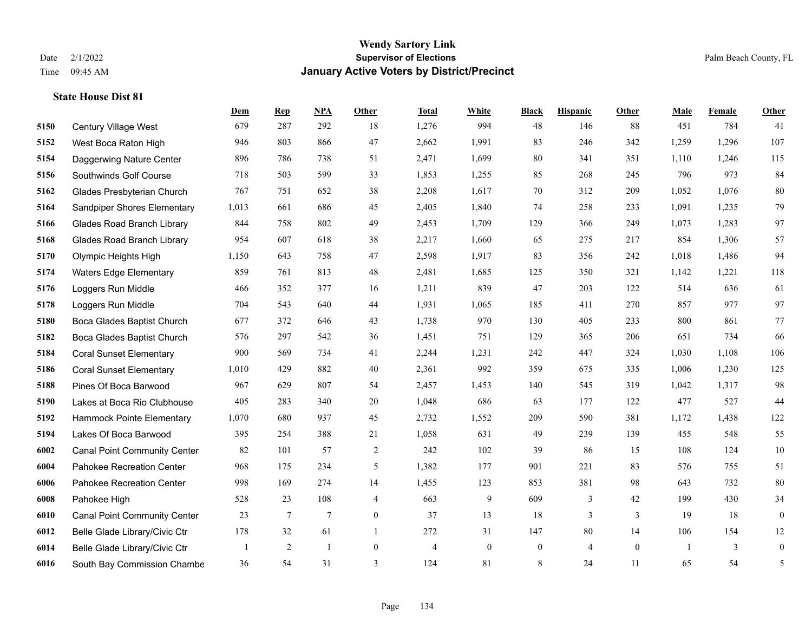|      |                                     | Dem   | <b>Rep</b>      | NPA            | <b>Other</b>   | <b>Total</b>   | <b>White</b>   | <b>Black</b>     | <b>Hispanic</b> | Other          | <b>Male</b> | <b>Female</b> | <b>Other</b>     |
|------|-------------------------------------|-------|-----------------|----------------|----------------|----------------|----------------|------------------|-----------------|----------------|-------------|---------------|------------------|
| 5150 | Century Village West                | 679   | 287             | 292            | 18             | 1,276          | 994            | 48               | 146             | 88             | 451         | 784           | 41               |
| 5152 | West Boca Raton High                | 946   | 803             | 866            | 47             | 2,662          | 1,991          | 83               | 246             | 342            | 1,259       | 1,296         | 107              |
| 5154 | Daggerwing Nature Center            | 896   | 786             | 738            | 51             | 2,471          | 1,699          | 80               | 341             | 351            | 1,110       | 1,246         | 115              |
| 5156 | Southwinds Golf Course              | 718   | 503             | 599            | 33             | 1,853          | 1,255          | 85               | 268             | 245            | 796         | 973           | 84               |
| 5162 | Glades Presbyterian Church          | 767   | 751             | 652            | 38             | 2,208          | 1,617          | 70               | 312             | 209            | 1,052       | 1.076         | 80               |
| 5164 | <b>Sandpiper Shores Elementary</b>  | 1,013 | 661             | 686            | 45             | 2,405          | 1,840          | 74               | 258             | 233            | 1,091       | 1,235         | 79               |
| 5166 | <b>Glades Road Branch Library</b>   | 844   | 758             | 802            | 49             | 2,453          | 1,709          | 129              | 366             | 249            | 1,073       | 1,283         | 97               |
| 5168 | <b>Glades Road Branch Library</b>   | 954   | 607             | 618            | 38             | 2,217          | 1,660          | 65               | 275             | 217            | 854         | 1,306         | 57               |
| 5170 | Olympic Heights High                | 1,150 | 643             | 758            | 47             | 2,598          | 1,917          | 83               | 356             | 242            | 1,018       | 1,486         | 94               |
| 5174 | <b>Waters Edge Elementary</b>       | 859   | 761             | 813            | 48             | 2,481          | 1,685          | 125              | 350             | 321            | 1,142       | 1,221         | 118              |
| 5176 | Loggers Run Middle                  | 466   | 352             | 377            | 16             | 1,211          | 839            | 47               | 203             | 122            | 514         | 636           | 61               |
| 5178 | Loggers Run Middle                  | 704   | 543             | 640            | 44             | 1,931          | 1,065          | 185              | 411             | 270            | 857         | 977           | 97               |
| 5180 | Boca Glades Baptist Church          | 677   | 372             | 646            | 43             | 1,738          | 970            | 130              | 405             | 233            | 800         | 861           | 77               |
| 5182 | Boca Glades Baptist Church          | 576   | 297             | 542            | 36             | 1,451          | 751            | 129              | 365             | 206            | 651         | 734           | 66               |
| 5184 | <b>Coral Sunset Elementary</b>      | 900   | 569             | 734            | 41             | 2,244          | 1,231          | 242              | 447             | 324            | 1,030       | 1,108         | 106              |
| 5186 | <b>Coral Sunset Elementary</b>      | 1,010 | 429             | 882            | 40             | 2,361          | 992            | 359              | 675             | 335            | 1,006       | 1,230         | 125              |
| 5188 | Pines Of Boca Barwood               | 967   | 629             | 807            | 54             | 2,457          | 1,453          | 140              | 545             | 319            | 1,042       | 1,317         | 98               |
| 5190 | Lakes at Boca Rio Clubhouse         | 405   | 283             | 340            | 20             | 1,048          | 686            | 63               | 177             | 122            | 477         | 527           | 44               |
| 5192 | Hammock Pointe Elementary           | 1,070 | 680             | 937            | 45             | 2,732          | 1,552          | 209              | 590             | 381            | 1,172       | 1,438         | 122              |
| 5194 | Lakes Of Boca Barwood               | 395   | 254             | 388            | 21             | 1,058          | 631            | 49               | 239             | 139            | 455         | 548           | 55               |
| 6002 | <b>Canal Point Community Center</b> | 82    | 101             | 57             | 2              | 242            | 102            | 39               | 86              | 15             | 108         | 124           | 10               |
| 6004 | Pahokee Recreation Center           | 968   | 175             | 234            | 5              | 1,382          | 177            | 901              | 221             | 83             | 576         | 755           | 51               |
| 6006 | Pahokee Recreation Center           | 998   | 169             | 274            | 14             | 1,455          | 123            | 853              | 381             | 98             | 643         | 732           | 80               |
| 6008 | Pahokee High                        | 528   | 23              | 108            | 4              | 663            | 9              | 609              | 3               | 42             | 199         | 430           | 34               |
| 6010 | <b>Canal Point Community Center</b> | 23    | $7\phantom{.0}$ | $\overline{7}$ | $\overline{0}$ | 37             | 13             | 18               | $\overline{3}$  | 3              | 19          | 18            | $\mathbf{0}$     |
| 6012 | Belle Glade Library/Civic Ctr       | 178   | 32              | 61             | -1             | 272            | 31             | 147              | 80              | 14             | 106         | 154           | 12               |
| 6014 | Belle Glade Library/Civic Ctr       |       | $\overline{2}$  | $\mathbf{1}$   | $\overline{0}$ | $\overline{4}$ | $\overline{0}$ | $\boldsymbol{0}$ | $\overline{4}$  | $\overline{0}$ | -1          | 3             | $\boldsymbol{0}$ |
| 6016 | South Bay Commission Chambe         | 36    | 54              | 31             | 3              | 124            | 81             | 8                | 24              | 11             | 65          | 54            | $\mathfrak{S}$   |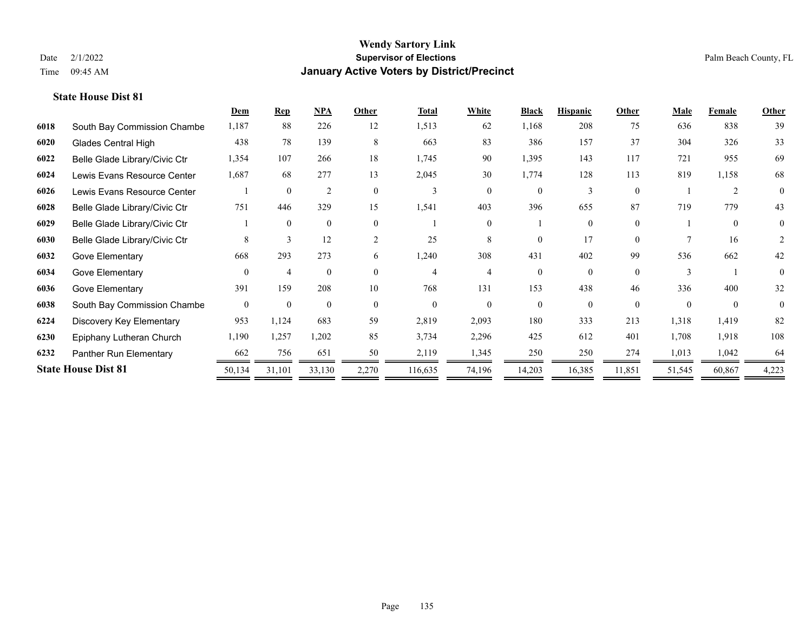|      |                               | Dem            | <b>Rep</b>     | NPA            | Other          | <b>Total</b> | <b>White</b> | <b>Black</b> | <b>Hispanic</b> | Other    | <b>Male</b> | Female   | <b>Other</b> |
|------|-------------------------------|----------------|----------------|----------------|----------------|--------------|--------------|--------------|-----------------|----------|-------------|----------|--------------|
| 6018 | South Bay Commission Chambe   | 1,187          | 88             | 226            | 12             | 1,513        | 62           | 1,168        | 208             | 75       | 636         | 838      | 39           |
| 6020 | <b>Glades Central High</b>    | 438            | 78             | 139            | 8              | 663          | 83           | 386          | 157             | 37       | 304         | 326      | 33           |
| 6022 | Belle Glade Library/Civic Ctr | 1,354          | 107            | 266            | 18             | 1,745        | 90           | 1,395        | 143             | 117      | 721         | 955      | 69           |
| 6024 | Lewis Evans Resource Center   | 1,687          | 68             | 277            | 13             | 2,045        | 30           | 1,774        | 128             | 113      | 819         | 1,158    | 68           |
| 6026 | Lewis Evans Resource Center   |                | $\theta$       | $\overline{2}$ | $\Omega$       | 3            | $\theta$     | $\Omega$     | $\mathbf{3}$    | $\theta$ |             | 2        | $\theta$     |
| 6028 | Belle Glade Library/Civic Ctr | 751            | 446            | 329            | 15             | 1,541        | 403          | 396          | 655             | 87       | 719         | 779      | 43           |
| 6029 | Belle Glade Library/Civic Ctr |                | $\theta$       | $\mathbf{0}$   | $\theta$       |              | $\Omega$     |              | $\Omega$        | $\theta$ |             | $\theta$ | 0            |
| 6030 | Belle Glade Library/Civic Ctr | 8              | 3              | 12             | $\overline{2}$ | 25           | 8            | $\Omega$     | 17              | $\Omega$ |             | 16       | 2            |
| 6032 | Gove Elementary               | 668            | 293            | 273            | 6              | 1,240        | 308          | 431          | 402             | 99       | 536         | 662      | 42           |
| 6034 | Gove Elementary               | $\Omega$       | $\overline{4}$ | $\theta$       | $\Omega$       | 4            |              | $\Omega$     | $\Omega$        | $\Omega$ |             |          | $\theta$     |
| 6036 | Gove Elementary               | 391            | 159            | 208            | 10             | 768          | 131          | 153          | 438             | 46       | 336         | 400      | 32           |
| 6038 | South Bay Commission Chambe   | $\overline{0}$ | $\mathbf{0}$   | $\mathbf{0}$   | $\Omega$       | $\theta$     | $\theta$     | $\Omega$     | $\Omega$        | $\theta$ | $\Omega$    | $\theta$ | $\theta$     |
| 6224 | Discovery Key Elementary      | 953            | 1,124          | 683            | 59             | 2,819        | 2,093        | 180          | 333             | 213      | 1,318       | 1,419    | 82           |
| 6230 | Epiphany Lutheran Church      | 1,190          | 1,257          | 1,202          | 85             | 3,734        | 2,296        | 425          | 612             | 401      | 1,708       | 1,918    | 108          |
| 6232 | Panther Run Elementary        | 662            | 756            | 651            | 50             | 2,119        | 1,345        | 250          | 250             | 274      | 1,013       | 1,042    | 64           |
|      | <b>State House Dist 81</b>    | 50,134         | 31,101         | 33,130         | 2,270          | 116,635      | 74,196       | 14,203       | 16,385          | 11,851   | 51,545      | 60,867   | 4,223        |
|      |                               |                |                |                |                |              |              |              |                 |          |             |          |              |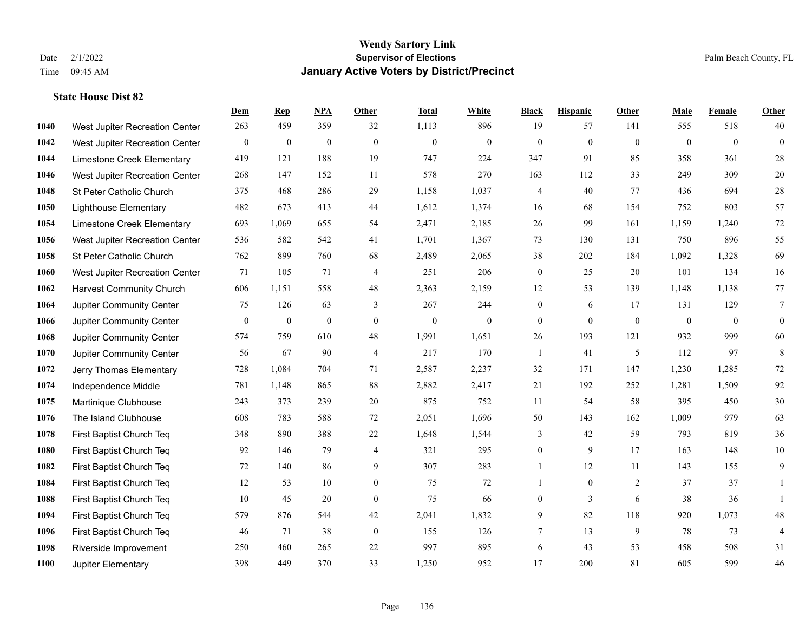|      |                                 | Dem          | <b>Rep</b>       | NPA          | <b>Other</b>   | <b>Total</b> | <b>White</b>     | <b>Black</b>   | <b>Hispanic</b> | Other        | <b>Male</b>    | <b>Female</b>  | <b>Other</b> |
|------|---------------------------------|--------------|------------------|--------------|----------------|--------------|------------------|----------------|-----------------|--------------|----------------|----------------|--------------|
| 1040 | West Jupiter Recreation Center  | 263          | 459              | 359          | 32             | 1,113        | 896              | 19             | 57              | 141          | 555            | 518            | 40           |
| 1042 | West Jupiter Recreation Center  | $\bf{0}$     | $\mathbf{0}$     | $\mathbf{0}$ | $\mathbf{0}$   | $\mathbf{0}$ | $\boldsymbol{0}$ | $\mathbf{0}$   | $\overline{0}$  | $\theta$     | $\overline{0}$ | $\overline{0}$ | $\mathbf{0}$ |
| 1044 | Limestone Creek Elementary      | 419          | 121              | 188          | 19             | 747          | 224              | 347            | 91              | 85           | 358            | 361            | 28           |
| 1046 | West Jupiter Recreation Center  | 268          | 147              | 152          | 11             | 578          | 270              | 163            | 112             | 33           | 249            | 309            | $20\,$       |
| 1048 | St Peter Catholic Church        | 375          | 468              | 286          | 29             | 1,158        | 1,037            | 4              | 40              | 77           | 436            | 694            | $28\,$       |
| 1050 | <b>Lighthouse Elementary</b>    | 482          | 673              | 413          | 44             | 1,612        | 1,374            | 16             | 68              | 154          | 752            | 803            | 57           |
| 1054 | Limestone Creek Elementary      | 693          | 1,069            | 655          | 54             | 2,471        | 2,185            | 26             | 99              | 161          | 1,159          | 1,240          | $72\,$       |
| 1056 | West Jupiter Recreation Center  | 536          | 582              | 542          | 41             | 1,701        | 1,367            | 73             | 130             | 131          | 750            | 896            | 55           |
| 1058 | St Peter Catholic Church        | 762          | 899              | 760          | 68             | 2,489        | 2,065            | 38             | 202             | 184          | 1,092          | 1,328          | 69           |
| 1060 | West Jupiter Recreation Center  | 71           | 105              | 71           | $\overline{4}$ | 251          | 206              | $\mathbf{0}$   | 25              | 20           | 101            | 134            | 16           |
| 1062 | <b>Harvest Community Church</b> | 606          | 1,151            | 558          | 48             | 2,363        | 2,159            | 12             | 53              | 139          | 1,148          | 1,138          | $77\,$       |
| 1064 | Jupiter Community Center        | 75           | 126              | 63           | 3              | 267          | 244              | $\mathbf{0}$   | 6               | 17           | 131            | 129            | $\tau$       |
| 1066 | Jupiter Community Center        | $\mathbf{0}$ | $\boldsymbol{0}$ | $\mathbf{0}$ | $\theta$       | $\mathbf{0}$ | $\mathbf{0}$     | $\mathbf{0}$   | $\mathbf{0}$    | $\mathbf{0}$ | $\mathbf{0}$   | $\mathbf{0}$   | $\mathbf{0}$ |
| 1068 | Jupiter Community Center        | 574          | 759              | 610          | 48             | 1,991        | 1,651            | $26\,$         | 193             | 121          | 932            | 999            | $60\,$       |
| 1070 | Jupiter Community Center        | 56           | 67               | 90           | $\overline{4}$ | 217          | 170              | 1              | 41              | 5            | 112            | 97             | 8            |
| 1072 | Jerry Thomas Elementary         | 728          | 1,084            | 704          | 71             | 2,587        | 2,237            | 32             | 171             | 147          | 1,230          | 1,285          | $72\,$       |
| 1074 | Independence Middle             | 781          | 1,148            | 865          | 88             | 2,882        | 2,417            | 21             | 192             | 252          | 1,281          | 1,509          | 92           |
| 1075 | Martinique Clubhouse            | 243          | 373              | 239          | 20             | 875          | 752              | 11             | 54              | 58           | 395            | 450            | $30\,$       |
| 1076 | The Island Clubhouse            | 608          | 783              | 588          | 72             | 2,051        | 1,696            | 50             | 143             | 162          | 1,009          | 979            | 63           |
| 1078 | First Baptist Church Teq        | 348          | 890              | 388          | 22             | 1,648        | 1,544            | 3              | 42              | 59           | 793            | 819            | 36           |
| 1080 | First Baptist Church Teq        | 92           | 146              | 79           | $\overline{4}$ | 321          | 295              | $\overline{0}$ | 9               | 17           | 163            | 148            | $10\,$       |
| 1082 | First Baptist Church Teq        | 72           | 140              | 86           | 9              | 307          | 283              | $\mathbf{1}$   | 12              | 11           | 143            | 155            | 9            |
| 1084 | First Baptist Church Teq        | 12           | 53               | 10           | $\mathbf{0}$   | 75           | 72               | 1              | $\overline{0}$  | 2            | 37             | 37             |              |
| 1088 | First Baptist Church Teq        | 10           | 45               | 20           | $\mathbf{0}$   | 75           | 66               | $\overline{0}$ | $\overline{3}$  | 6            | 38             | 36             |              |
| 1094 | First Baptist Church Teq        | 579          | 876              | 544          | 42             | 2,041        | 1,832            | 9              | 82              | 118          | 920            | 1,073          | $48\,$       |
| 1096 | First Baptist Church Teq        | 46           | 71               | 38           | $\mathbf{0}$   | 155          | 126              | 7              | 13              | 9            | 78             | 73             | 4            |
| 1098 | Riverside Improvement           | 250          | 460              | 265          | 22             | 997          | 895              | 6              | 43              | 53           | 458            | 508            | 31           |
| 1100 | Jupiter Elementary              | 398          | 449              | 370          | 33             | 1,250        | 952              | 17             | 200             | 81           | 605            | 599            | 46           |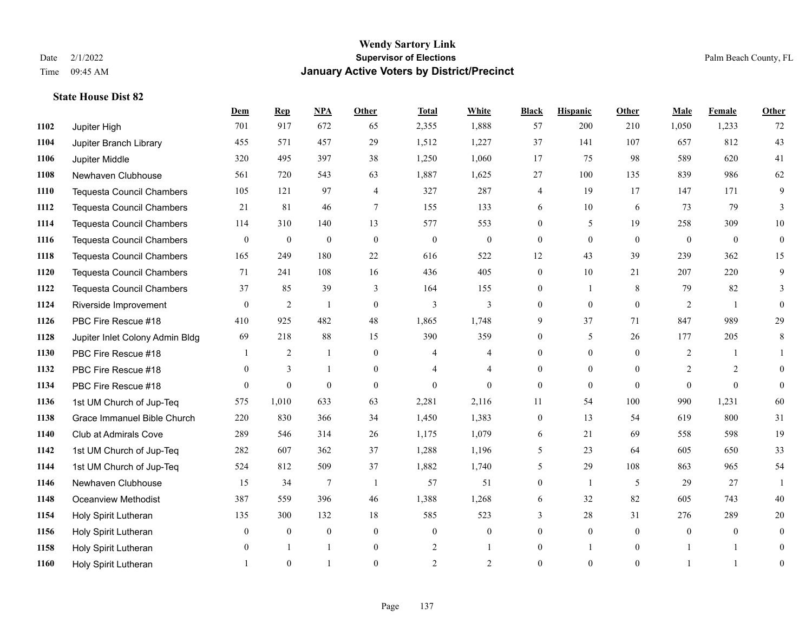|      |                                  | Dem          | <b>Rep</b>       | NPA              | <b>Other</b>   | <b>Total</b>   | <b>White</b>     | <b>Black</b>     | <b>Hispanic</b> | Other        | <b>Male</b>  | <b>Female</b> | <b>Other</b>   |
|------|----------------------------------|--------------|------------------|------------------|----------------|----------------|------------------|------------------|-----------------|--------------|--------------|---------------|----------------|
| 1102 | Jupiter High                     | 701          | 917              | 672              | 65             | 2,355          | 1,888            | 57               | 200             | 210          | 1,050        | 1,233         | 72             |
| 1104 | Jupiter Branch Library           | 455          | 571              | 457              | 29             | 1,512          | 1,227            | 37               | 141             | 107          | 657          | 812           | 43             |
| 1106 | Jupiter Middle                   | 320          | 495              | 397              | 38             | 1,250          | 1,060            | 17               | 75              | 98           | 589          | 620           | 41             |
| 1108 | Newhaven Clubhouse               | 561          | 720              | 543              | 63             | 1,887          | 1,625            | 27               | 100             | 135          | 839          | 986           | 62             |
| 1110 | <b>Tequesta Council Chambers</b> | 105          | 121              | 97               | $\overline{4}$ | 327            | 287              | 4                | 19              | 17           | 147          | 171           | 9              |
| 1112 | <b>Tequesta Council Chambers</b> | 21           | 81               | 46               | $\tau$         | 155            | 133              | 6                | 10              | 6            | 73           | 79            | 3              |
| 1114 | <b>Tequesta Council Chambers</b> | 114          | 310              | 140              | 13             | 577            | 553              | $\boldsymbol{0}$ | 5               | 19           | 258          | 309           | $10\,$         |
| 1116 | <b>Tequesta Council Chambers</b> | $\mathbf{0}$ | $\mathbf{0}$     | $\mathbf{0}$     | $\theta$       | $\mathbf{0}$   | $\mathbf{0}$     | $\overline{0}$   | $\theta$        | $\theta$     | $\mathbf{0}$ | $\theta$      | $\theta$       |
| 1118 | <b>Tequesta Council Chambers</b> | 165          | 249              | 180              | 22             | 616            | 522              | 12               | 43              | 39           | 239          | 362           | 15             |
| 1120 | <b>Tequesta Council Chambers</b> | 71           | 241              | 108              | 16             | 436            | 405              | 0                | 10              | 21           | 207          | 220           | 9              |
| 1122 | <b>Tequesta Council Chambers</b> | 37           | 85               | 39               | 3              | 164            | 155              | $\overline{0}$   | 1               | 8            | 79           | 82            | 3              |
| 1124 | Riverside Improvement            | $\mathbf{0}$ | $\overline{2}$   | 1                | $\mathbf{0}$   | 3              | 3                | $\overline{0}$   | $\overline{0}$  | $\mathbf{0}$ | 2            | -1            | $\theta$       |
| 1126 | PBC Fire Rescue #18              | 410          | 925              | 482              | 48             | 1,865          | 1,748            | 9                | 37              | 71           | 847          | 989           | 29             |
| 1128 | Jupiter Inlet Colony Admin Bldg  | 69           | 218              | 88               | 15             | 390            | 359              | $\boldsymbol{0}$ | 5               | 26           | 177          | 205           | 8              |
| 1130 | PBC Fire Rescue #18              |              | $\overline{c}$   | 1                | $\mathbf{0}$   | 4              | $\overline{4}$   | $\overline{0}$   | $\overline{0}$  | $\Omega$     | 2            |               |                |
| 1132 | PBC Fire Rescue #18              | $\theta$     | 3                | -1               | $\theta$       | 4              | $\overline{4}$   | $\overline{0}$   | $\overline{0}$  | $\Omega$     | 2            | 2             | $\Omega$       |
| 1134 | PBC Fire Rescue #18              | $\theta$     | $\theta$         | $\theta$         | $\mathbf{0}$   | $\theta$       | $\Omega$         | $\overline{0}$   | $\mathbf{0}$    | $\theta$     | $\theta$     | $\theta$      | $\theta$       |
| 1136 | 1st UM Church of Jup-Teq         | 575          | 1,010            | 633              | 63             | 2,281          | 2,116            | 11               | 54              | 100          | 990          | 1,231         | 60             |
| 1138 | Grace Immanuel Bible Church      | 220          | 830              | 366              | 34             | 1,450          | 1,383            | $\boldsymbol{0}$ | 13              | 54           | 619          | 800           | 31             |
| 1140 | <b>Club at Admirals Cove</b>     | 289          | 546              | 314              | 26             | 1,175          | 1,079            | 6                | 21              | 69           | 558          | 598           | 19             |
| 1142 | 1st UM Church of Jup-Teq         | 282          | 607              | 362              | 37             | 1,288          | 1,196            | 5                | 23              | 64           | 605          | 650           | 33             |
| 1144 | 1st UM Church of Jup-Teq         | 524          | 812              | 509              | 37             | 1,882          | 1,740            | 5                | 29              | 108          | 863          | 965           | 54             |
| 1146 | Newhaven Clubhouse               | 15           | 34               | $\overline{7}$   | $\overline{1}$ | 57             | 51               | $\overline{0}$   | 1               | 5            | 29           | 27            |                |
| 1148 | <b>Oceanview Methodist</b>       | 387          | 559              | 396              | 46             | 1,388          | 1,268            | 6                | 32              | 82           | 605          | 743           | $40\,$         |
| 1154 | Holy Spirit Lutheran             | 135          | 300              | 132              | 18             | 585            | 523              | 3                | 28              | 31           | 276          | 289           | 20             |
| 1156 | Holy Spirit Lutheran             | $\mathbf{0}$ | $\boldsymbol{0}$ | $\boldsymbol{0}$ | $\mathbf{0}$   | $\mathbf{0}$   | $\boldsymbol{0}$ | $\overline{0}$   | $\overline{0}$  | $\mathbf{0}$ | $\mathbf{0}$ | $\mathbf{0}$  | $\mathbf{0}$   |
| 1158 | Holy Spirit Lutheran             | $\theta$     |                  | $\mathbf{1}$     | $\mathbf{0}$   | $\overline{2}$ |                  | $\overline{0}$   |                 | $\mathbf{0}$ |              |               | $\theta$       |
| 1160 | Holy Spirit Lutheran             |              | $\theta$         |                  | $\theta$       | $\overline{2}$ | $\overline{2}$   | $\theta$         | $\theta$        | $\mathbf{0}$ |              |               | $\overline{0}$ |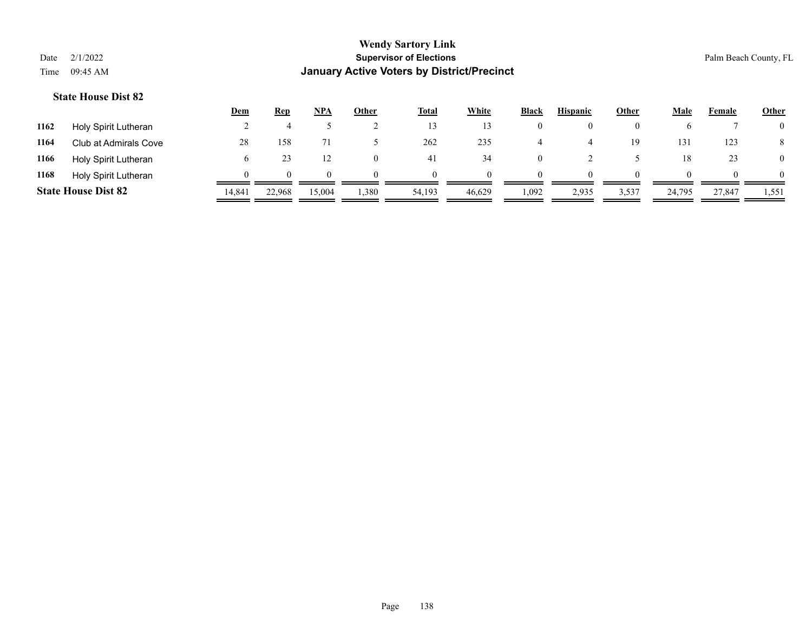|      |                            | <u>Dem</u> | <b>Rep</b> | NPA    | Other    | <u>Total</u> | <b>White</b> | <b>Black</b> | <b>Hispanic</b> | <u>Other</u> | Male   | Female   | <b>Other</b> |
|------|----------------------------|------------|------------|--------|----------|--------------|--------------|--------------|-----------------|--------------|--------|----------|--------------|
| 1162 | Holy Spirit Lutheran       |            |            |        |          |              |              |              |                 |              |        |          |              |
| 1164 | Club at Admirals Cove      | 28         | 158        |        |          | 262          | 235          |              |                 | 19           | 131    | 123      |              |
| 1166 | Holy Spirit Lutheran       |            |            |        |          | 41           | 34           |              |                 |              | 18     | 23       |              |
| 1168 | Holy Spirit Lutheran       |            | $^{\circ}$ |        | $\Omega$ |              | $\Omega$     | $^{\circ}$   |                 | $\theta$     |        | $\theta$ |              |
|      | <b>State House Dist 82</b> | 14.841     | 22,968     | 15,004 | 1,380    | 54,193       | 46,629       | 1,092        | 2,935           | 3,537        | 24,795 | 27,847   | 1,551        |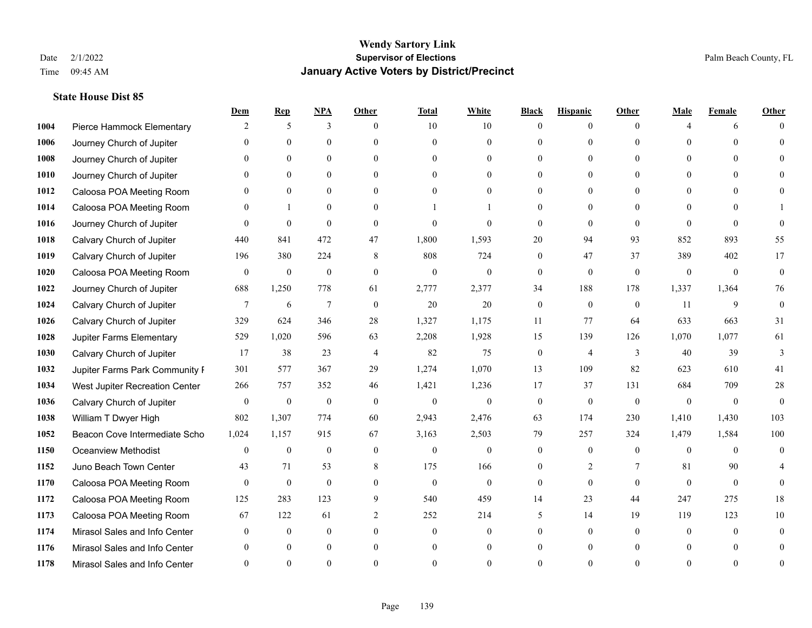|      |                                | Dem          | <b>Rep</b>       | $NPA$            | <b>Other</b>   | <b>Total</b>   | <b>White</b>   | <b>Black</b>     | <b>Hispanic</b>  | <b>Other</b> | <b>Male</b>  | <b>Female</b> | <b>Other</b>   |
|------|--------------------------------|--------------|------------------|------------------|----------------|----------------|----------------|------------------|------------------|--------------|--------------|---------------|----------------|
| 1004 | Pierce Hammock Elementary      | 2            | 5                | 3                | $\theta$       | 10             | 10             | $\Omega$         | $\overline{0}$   | $\theta$     | $\Delta$     | 6             |                |
| 1006 | Journey Church of Jupiter      |              | $\theta$         | $\theta$         | $\Omega$       | $\theta$       | $\overline{0}$ | $\Omega$         | $\overline{0}$   | $\Omega$     | $\Omega$     | $\Omega$      | $\Omega$       |
| 1008 | Journey Church of Jupiter      | $\Omega$     | $\theta$         | $\theta$         | $\Omega$       | $\Omega$       | $\Omega$       | $\Omega$         | $\Omega$         | $\Omega$     | $\Omega$     | $\Omega$      |                |
| 1010 | Journey Church of Jupiter      |              | $\mathbf{0}$     | $\overline{0}$   | $\overline{0}$ | $\mathbf{0}$   | $\overline{0}$ | 0                | $\overline{0}$   | $\theta$     | $\mathbf{0}$ | $\theta$      |                |
| 1012 | Caloosa POA Meeting Room       |              | $\mathbf{0}$     | $\mathbf{0}$     | $\theta$       | $\theta$       | $\overline{0}$ | 0                | $\overline{0}$   | $\Omega$     | $\theta$     | $\Omega$      | 0              |
| 1014 | Caloosa POA Meeting Room       |              | 1                | $\mathbf{0}$     | $\Omega$       |                |                | $\Omega$         | $\overline{0}$   | $\Omega$     | $\theta$     | $\Omega$      |                |
| 1016 | Journey Church of Jupiter      | $\Omega$     | $\theta$         | $\theta$         | $\theta$       | $\theta$       | $\theta$       | $\Omega$         | $\Omega$         | $\theta$     | $\Omega$     | $\Omega$      | $\Omega$       |
| 1018 | Calvary Church of Jupiter      | 440          | 841              | 472              | 47             | 1,800          | 1,593          | 20               | 94               | 93           | 852          | 893           | 55             |
| 1019 | Calvary Church of Jupiter      | 196          | 380              | 224              | 8              | 808            | 724            | $\mathbf{0}$     | 47               | 37           | 389          | 402           | 17             |
| 1020 | Caloosa POA Meeting Room       | $\mathbf{0}$ | $\mathbf{0}$     | $\mathbf{0}$     | $\mathbf{0}$   | $\mathbf{0}$   | $\overline{0}$ | $\overline{0}$   | $\overline{0}$   | $\theta$     | $\mathbf{0}$ | $\mathbf{0}$  | $\overline{0}$ |
| 1022 | Journey Church of Jupiter      | 688          | 1,250            | 778              | 61             | 2,777          | 2,377          | 34               | 188              | 178          | 1,337        | 1,364         | 76             |
| 1024 | Calvary Church of Jupiter      | 7            | 6                | $\boldsymbol{7}$ | $\mathbf{0}$   | $20\,$         | $20\,$         | $\boldsymbol{0}$ | $\boldsymbol{0}$ | $\mathbf{0}$ | 11           | 9             | $\mathbf{0}$   |
| 1026 | Calvary Church of Jupiter      | 329          | 624              | 346              | 28             | 1,327          | 1,175          | 11               | 77               | 64           | 633          | 663           | 31             |
| 1028 | Jupiter Farms Elementary       | 529          | 1,020            | 596              | 63             | 2,208          | 1,928          | 15               | 139              | 126          | 1,070        | 1,077         | 61             |
| 1030 | Calvary Church of Jupiter      | 17           | 38               | 23               | $\overline{4}$ | 82             | 75             | $\mathbf{0}$     | 4                | 3            | 40           | 39            | 3              |
| 1032 | Jupiter Farms Park Community I | 301          | 577              | 367              | 29             | 1,274          | 1,070          | 13               | 109              | 82           | 623          | 610           | 41             |
| 1034 | West Jupiter Recreation Center | 266          | 757              | 352              | 46             | 1,421          | 1,236          | 17               | 37               | 131          | 684          | 709           | 28             |
| 1036 | Calvary Church of Jupiter      | $\mathbf{0}$ | $\boldsymbol{0}$ | $\boldsymbol{0}$ | $\theta$       | $\overline{0}$ | $\overline{0}$ | $\boldsymbol{0}$ | $\overline{0}$   | $\theta$     | $\theta$     | $\theta$      | $\theta$       |
| 1038 | William T Dwyer High           | 802          | 1,307            | 774              | 60             | 2,943          | 2,476          | 63               | 174              | 230          | 1,410        | 1,430         | 103            |
| 1052 | Beacon Cove Intermediate Scho  | 1,024        | 1,157            | 915              | 67             | 3,163          | 2,503          | 79               | 257              | 324          | 1,479        | 1,584         | 100            |
| 1150 | <b>Oceanview Methodist</b>     | $\Omega$     | $\boldsymbol{0}$ | $\boldsymbol{0}$ | $\theta$       | $\mathbf{0}$   | $\overline{0}$ | $\mathbf{0}$     | $\overline{0}$   | $\theta$     | $\theta$     | $\Omega$      | $\mathbf{0}$   |
| 1152 | Juno Beach Town Center         | 43           | 71               | 53               | 8              | 175            | 166            | 0                | $\overline{2}$   | 7            | 81           | 90            |                |
| 1170 | Caloosa POA Meeting Room       | $\theta$     | $\mathbf{0}$     | $\mathbf{0}$     | $\theta$       | $\mathbf{0}$   | $\overline{0}$ | $\mathbf{0}$     | $\overline{0}$   | $\theta$     | $\theta$     | $\theta$      | $\Omega$       |
| 1172 | Caloosa POA Meeting Room       | 125          | 283              | 123              | 9              | 540            | 459            | 14               | 23               | 44           | 247          | 275           | 18             |
| 1173 | Caloosa POA Meeting Room       | 67           | 122              | 61               | 2              | 252            | 214            | 5                | 14               | 19           | 119          | 123           | 10             |
| 1174 | Mirasol Sales and Info Center  | $\Omega$     | $\mathbf{0}$     | $\mathbf{0}$     | $\theta$       | $\mathbf{0}$   | $\overline{0}$ | 0                | $\overline{0}$   | $\theta$     | $\theta$     | $\theta$      | $\mathbf{0}$   |
| 1176 | Mirasol Sales and Info Center  |              | $\Omega$         | $\theta$         | $\Omega$       | $\mathbf{0}$   | $\theta$       | 0                | $\Omega$         | $\theta$     | $\Omega$     | $\theta$      |                |
| 1178 | Mirasol Sales and Info Center  |              | $\Omega$         | $\Omega$         | $\Omega$       | $\Omega$       | 0              | $\Omega$         | $\Omega$         | $\Omega$     | $\Omega$     | $\Omega$      | $\theta$       |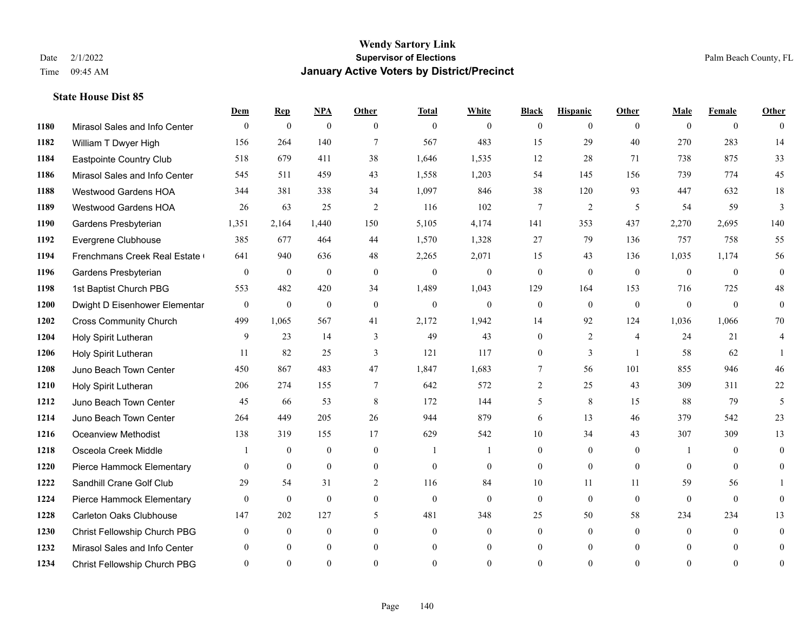|      |                                | Dem          | <b>Rep</b>       | $NPA$        | <b>Other</b>     | <b>Total</b>   | <b>White</b>   | <b>Black</b>     | <b>Hispanic</b> | Other          | <b>Male</b>    | <b>Female</b>  | <b>Other</b>   |
|------|--------------------------------|--------------|------------------|--------------|------------------|----------------|----------------|------------------|-----------------|----------------|----------------|----------------|----------------|
| 1180 | Mirasol Sales and Info Center  | $\mathbf{0}$ | $\boldsymbol{0}$ | $\mathbf{0}$ | $\theta$         | $\overline{0}$ | $\overline{0}$ | $\overline{0}$   | $\overline{0}$  | $\theta$       | $\theta$       | $\overline{0}$ | $\theta$       |
| 1182 | William T Dwyer High           | 156          | 264              | 140          | $\tau$           | 567            | 483            | 15               | 29              | 40             | 270            | 283            | 14             |
| 1184 | Eastpointe Country Club        | 518          | 679              | 411          | 38               | 1,646          | 1,535          | 12               | 28              | 71             | 738            | 875            | 33             |
| 1186 | Mirasol Sales and Info Center  | 545          | 511              | 459          | 43               | 1,558          | 1,203          | 54               | 145             | 156            | 739            | 774            | 45             |
| 1188 | Westwood Gardens HOA           | 344          | 381              | 338          | 34               | 1,097          | 846            | 38               | 120             | 93             | 447            | 632            | 18             |
| 1189 | <b>Westwood Gardens HOA</b>    | 26           | 63               | 25           | 2                | 116            | 102            | 7                | 2               | 5              | 54             | 59             | $\mathfrak{Z}$ |
| 1190 | Gardens Presbyterian           | 1,351        | 2,164            | 1,440        | 150              | 5,105          | 4,174          | 141              | 353             | 437            | 2,270          | 2,695          | 140            |
| 1192 | Evergrene Clubhouse            | 385          | 677              | 464          | 44               | 1,570          | 1,328          | 27               | 79              | 136            | 757            | 758            | 55             |
| 1194 | Frenchmans Creek Real Estate   | 641          | 940              | 636          | 48               | 2,265          | 2,071          | 15               | 43              | 136            | 1,035          | 1,174          | 56             |
| 1196 | Gardens Presbyterian           | $\mathbf{0}$ | $\mathbf{0}$     | $\mathbf{0}$ | $\mathbf{0}$     | $\mathbf{0}$   | $\overline{0}$ | $\mathbf{0}$     | $\mathbf{0}$    | $\theta$       | $\theta$       | $\mathbf{0}$   | $\mathbf{0}$   |
| 1198 | 1st Baptist Church PBG         | 553          | 482              | 420          | 34               | 1,489          | 1,043          | 129              | 164             | 153            | 716            | 725            | $48\,$         |
| 1200 | Dwight D Eisenhower Elementar  | $\mathbf{0}$ | $\mathbf{0}$     | $\mathbf{0}$ | $\mathbf{0}$     | $\overline{0}$ | $\overline{0}$ | $\boldsymbol{0}$ | $\mathbf{0}$    | $\mathbf{0}$   | $\mathbf{0}$   | $\theta$       | $\mathbf{0}$   |
| 1202 | <b>Cross Community Church</b>  | 499          | 1,065            | 567          | 41               | 2,172          | 1,942          | 14               | 92              | 124            | 1,036          | 1,066          | 70             |
| 1204 | Holy Spirit Lutheran           | 9            | 23               | 14           | 3                | 49             | 43             | $\boldsymbol{0}$ | $\overline{2}$  | $\overline{4}$ | 24             | 21             | $\overline{4}$ |
| 1206 | Holy Spirit Lutheran           | 11           | 82               | 25           | 3                | 121            | 117            | 0                | 3               | $\overline{1}$ | 58             | 62             |                |
| 1208 | Juno Beach Town Center         | 450          | 867              | 483          | 47               | 1,847          | 1,683          | 7                | 56              | 101            | 855            | 946            | 46             |
| 1210 | Holy Spirit Lutheran           | 206          | 274              | 155          | $\overline{7}$   | 642            | 572            | $\overline{2}$   | 25              | 43             | 309            | 311            | 22             |
| 1212 | Juno Beach Town Center         | 45           | 66               | 53           | 8                | 172            | 144            | 5                | 8               | 15             | 88             | 79             | 5              |
| 1214 | Juno Beach Town Center         | 264          | 449              | 205          | 26               | 944            | 879            | 6                | 13              | 46             | 379            | 542            | 23             |
| 1216 | <b>Oceanview Methodist</b>     | 138          | 319              | 155          | 17               | 629            | 542            | 10               | 34              | 43             | 307            | 309            | 13             |
| 1218 | Osceola Creek Middle           |              | $\theta$         | $\theta$     | $\theta$         | $\overline{1}$ |                | $\overline{0}$   | $\Omega$        | $\Omega$       | -1             | $\Omega$       | $\theta$       |
| 1220 | Pierce Hammock Elementary      | $\mathbf{0}$ | $\boldsymbol{0}$ | $\mathbf{0}$ | $\boldsymbol{0}$ | $\mathbf{0}$   | $\overline{0}$ | $\overline{0}$   | $\mathbf{0}$    | $\mathbf{0}$   | $\overline{0}$ | $\mathbf{0}$   | $\overline{0}$ |
| 1222 | Sandhill Crane Golf Club       | 29           | 54               | 31           | 2                | 116            | 84             | 10               | 11              | 11             | 59             | 56             |                |
| 1224 | Pierce Hammock Elementary      | $\theta$     | $\theta$         | $\mathbf{0}$ | $\theta$         | $\theta$       | $\overline{0}$ | $\mathbf{0}$     | $\mathbf{0}$    | $\theta$       | $\theta$       | $\theta$       | $\theta$       |
| 1228 | <b>Carleton Oaks Clubhouse</b> | 147          | 202              | 127          | $\mathfrak{H}$   | 481            | 348            | 25               | 50              | 58             | 234            | 234            | 13             |
| 1230 | Christ Fellowship Church PBG   | $\theta$     | $\mathbf{0}$     | $\mathbf{0}$ | $\theta$         | $\mathbf{0}$   | $\overline{0}$ | $\overline{0}$   | $\overline{0}$  | $\theta$       | $\theta$       | $\theta$       | $\mathbf{0}$   |
| 1232 | Mirasol Sales and Info Center  |              | $\Omega$         | $\theta$     | $\theta$         | $\mathbf{0}$   | $\theta$       | $\overline{0}$   | $\overline{0}$  | $\Omega$       | $\Omega$       | $\theta$       | $\mathbf{0}$   |
| 1234 | Christ Fellowship Church PBG   | $\Omega$     | $\Omega$         | $\theta$     | $\Omega$         | $\Omega$       | $\theta$       | $\theta$         | $\theta$        | $\Omega$       | $\Omega$       | $\Omega$       | $\mathbf{0}$   |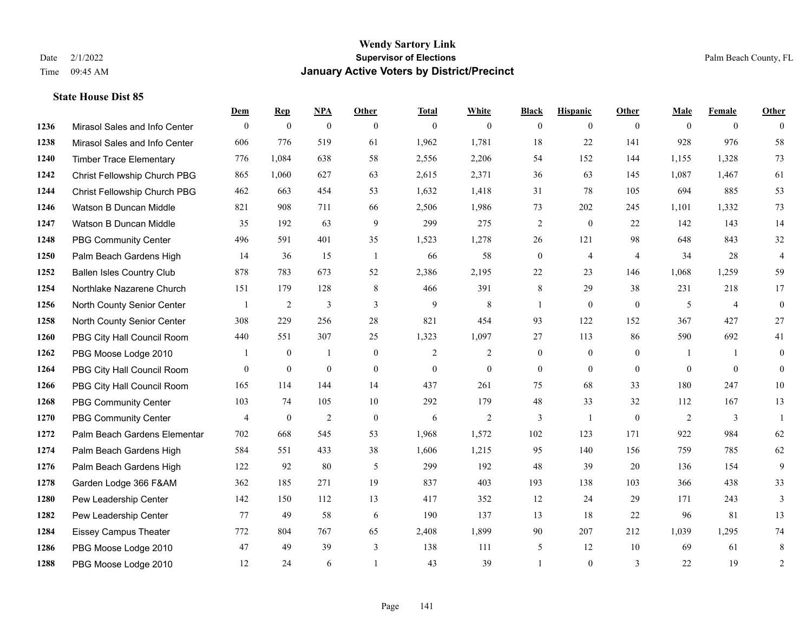|      |                                  | Dem            | <b>Rep</b>       | NPA              | <b>Other</b>   | <b>Total</b>     | <b>White</b>     | <b>Black</b>   | <b>Hispanic</b>  | Other          | <b>Male</b>    | <b>Female</b>  | <b>Other</b>   |
|------|----------------------------------|----------------|------------------|------------------|----------------|------------------|------------------|----------------|------------------|----------------|----------------|----------------|----------------|
| 1236 | Mirasol Sales and Info Center    | $\mathbf{0}$   | $\boldsymbol{0}$ | $\mathbf{0}$     | $\theta$       | $\mathbf{0}$     | $\mathbf{0}$     | $\theta$       | $\overline{0}$   | $\theta$       | $\theta$       | $\overline{0}$ | $\theta$       |
| 1238 | Mirasol Sales and Info Center    | 606            | 776              | 519              | 61             | 1,962            | 1,781            | 18             | 22               | 141            | 928            | 976            | 58             |
| 1240 | <b>Timber Trace Elementary</b>   | 776            | 1,084            | 638              | 58             | 2,556            | 2,206            | 54             | 152              | 144            | 1,155          | 1,328          | 73             |
| 1242 | Christ Fellowship Church PBG     | 865            | 1,060            | 627              | 63             | 2,615            | 2,371            | 36             | 63               | 145            | 1,087          | 1,467          | 61             |
| 1244 | Christ Fellowship Church PBG     | 462            | 663              | 454              | 53             | 1,632            | 1,418            | 31             | 78               | 105            | 694            | 885            | 53             |
| 1246 | Watson B Duncan Middle           | 821            | 908              | 711              | 66             | 2,506            | 1,986            | 73             | 202              | 245            | 1,101          | 1,332          | 73             |
| 1247 | Watson B Duncan Middle           | 35             | 192              | 63               | 9              | 299              | 275              | $\overline{2}$ | $\mathbf{0}$     | 22             | 142            | 143            | 14             |
| 1248 | <b>PBG Community Center</b>      | 496            | 591              | 401              | 35             | 1,523            | 1,278            | 26             | 121              | 98             | 648            | 843            | 32             |
| 1250 | Palm Beach Gardens High          | 14             | 36               | 15               | $\overline{1}$ | 66               | 58               | $\mathbf{0}$   | $\overline{4}$   | $\overline{4}$ | 34             | 28             | $\overline{4}$ |
| 1252 | <b>Ballen Isles Country Club</b> | 878            | 783              | 673              | 52             | 2,386            | 2,195            | $22\,$         | 23               | 146            | 1,068          | 1,259          | 59             |
| 1254 | Northlake Nazarene Church        | 151            | 179              | 128              | 8              | 466              | 391              | 8              | 29               | 38             | 231            | 218            | 17             |
| 1256 | North County Senior Center       | $\overline{1}$ | $\overline{c}$   | 3                | 3              | 9                | 8                | 1              | $\mathbf{0}$     | $\theta$       | 5              | $\overline{4}$ | $\mathbf{0}$   |
| 1258 | North County Senior Center       | 308            | 229              | 256              | $28\,$         | 821              | 454              | 93             | 122              | 152            | 367            | 427            | $27\,$         |
| 1260 | PBG City Hall Council Room       | 440            | 551              | 307              | 25             | 1,323            | 1,097            | 27             | 113              | 86             | 590            | 692            | 41             |
| 1262 | PBG Moose Lodge 2010             |                | $\mathbf{0}$     | 1                | $\theta$       | 2                | 2                | $\overline{0}$ | $\mathbf{0}$     | $\Omega$       | $\overline{1}$ |                | $\theta$       |
| 1264 | PBG City Hall Council Room       | $\mathbf{0}$   | $\boldsymbol{0}$ | $\boldsymbol{0}$ | $\mathbf{0}$   | $\boldsymbol{0}$ | $\boldsymbol{0}$ | $\overline{0}$ | $\boldsymbol{0}$ | $\overline{0}$ | $\theta$       | $\mathbf{0}$   | $\mathbf{0}$   |
| 1266 | PBG City Hall Council Room       | 165            | 114              | 144              | 14             | 437              | 261              | 75             | 68               | 33             | 180            | 247            | 10             |
| 1268 | PBG Community Center             | 103            | 74               | 105              | $10\,$         | 292              | 179              | $48\,$         | 33               | 32             | 112            | 167            | 13             |
| 1270 | <b>PBG Community Center</b>      | 4              | $\boldsymbol{0}$ | $\mathfrak{2}$   | $\mathbf{0}$   | 6                | $\mathbf{2}$     | 3              | 1                | $\mathbf{0}$   | 2              | 3              | $\overline{1}$ |
| 1272 | Palm Beach Gardens Elementar     | 702            | 668              | 545              | 53             | 1,968            | 1,572            | 102            | 123              | 171            | 922            | 984            | 62             |
| 1274 | Palm Beach Gardens High          | 584            | 551              | 433              | 38             | 1,606            | 1,215            | 95             | 140              | 156            | 759            | 785            | 62             |
| 1276 | Palm Beach Gardens High          | 122            | 92               | 80               | 5              | 299              | 192              | 48             | 39               | 20             | 136            | 154            | 9              |
| 1278 | Garden Lodge 366 F&AM            | 362            | 185              | 271              | 19             | 837              | 403              | 193            | 138              | 103            | 366            | 438            | 33             |
| 1280 | Pew Leadership Center            | 142            | 150              | 112              | 13             | 417              | 352              | 12             | 24               | 29             | 171            | 243            | 3              |
| 1282 | Pew Leadership Center            | 77             | 49               | 58               | 6              | 190              | 137              | 13             | 18               | 22             | 96             | 81             | 13             |
| 1284 | <b>Eissey Campus Theater</b>     | 772            | 804              | 767              | 65             | 2,408            | 1,899            | 90             | 207              | 212            | 1,039          | 1,295          | $74\,$         |
| 1286 | PBG Moose Lodge 2010             | 47             | 49               | 39               | 3              | 138              | 111              | 5              | 12               | 10             | 69             | 61             | 8              |
| 1288 | PBG Moose Lodge 2010             | 12             | 24               | 6                |                | 43               | 39               |                | $\theta$         | 3              | 22             | 19             | 2              |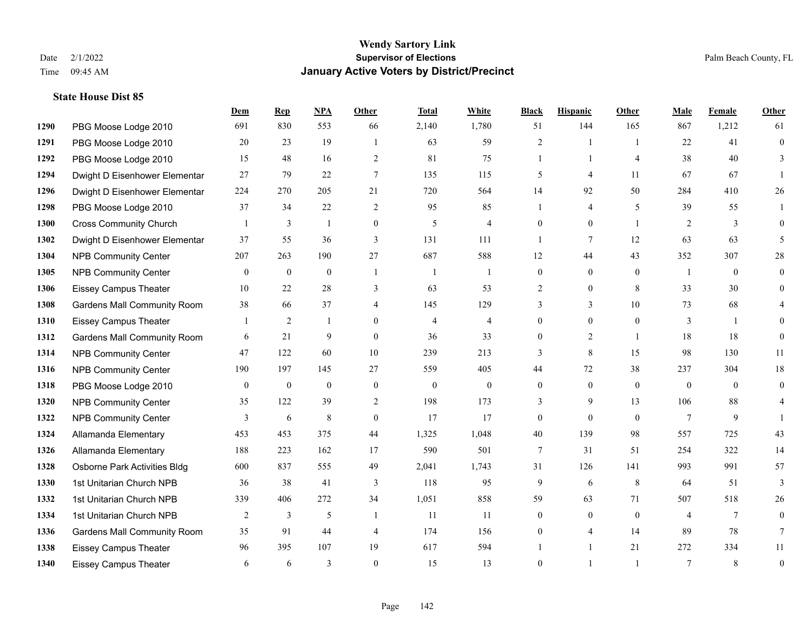**State House Dist 85**

#### **Wendy Sartory Link** Date 2/1/2022 **Supervisor of Elections** Palm Beach County, FL Time 09:45 AM **January Active Voters by District/Precinct**

PBG Moose Lodge 2010 691 830 553 66 2,140 1,780 51 144 165 867 1,212 61

**Dem Rep NPA Other Total White Black Hispanic Other Male Female Other**

# PBG Moose Lodge 2010 20 23 19 1 63 59 2 1 1 22 41 0 PBG Moose Lodge 2010 15 48 16 2 81 75 1 1 4 38 40 3 Dwight D Eisenhower Elementar 27 79 22 7 135 115 5 4 11 67 67 1 Dwight D Eisenhower Elementar 224 270 205 21 720 564 14 92 50 284 410 26 PBG Moose Lodge 2010 37 34 22 2 95 85 1 4 5 39 55 1 Cross Community Church 1 3 1 0 5 4 0 0 1 2 3 0 Dwight D Eisenhower Elementar 37 55 36 3 131 111 1 7 12 63 63 5 NPB Community Center 207 263 190 27 687 588 12 44 43 352 307 28 NPB Community Center 0 0 0 1 1 1 0 0 0 1 0 0 Eissey Campus Theater 10 22 28 3 63 53 2 0 8 33 30 0 Gardens Mall Community Room 38 66 37 4 145 129 3 3 10 73 68 4 Eissey Campus Theater 1 2 1 0 4 4 0 0 0 3 1 0 **1312 Gardens Mall Community Room** 6 21 9 0 36 33 0 2 1 18 18 0 NPB Community Center 47 122 60 10 239 213 3 8 15 98 130 11 NPB Community Center 190 197 145 27 559 405 44 72 38 237 304 18 PBG Moose Lodge 2010 0 0 0 0 0 0 0 0 0 0 0 0 NPB Community Center 35 122 39 2 198 173 3 9 13 106 88 4 **1322 NPB Community Center** 3 6 8 0 17 17 0 0 0 7 9 1

| 139      | 98             | 557 | 725 | 43             |
|----------|----------------|-----|-----|----------------|
| 31       | 51             | 254 | 322 | 14             |
| 126      | 141            | 993 | 991 | 57             |
| 6        | 8              | 64  | 51  | $\mathfrak{Z}$ |
| 63       | 71             | 507 | 518 | 26             |
| $\Omega$ | $\overline{0}$ |     |     | $\overline{0}$ |
|          | 14             |     | 78  |                |
|          | 21             | 272 | 334 | 11             |
|          |                |     | 8   | $\overline{0}$ |
|          |                |     | 89  |                |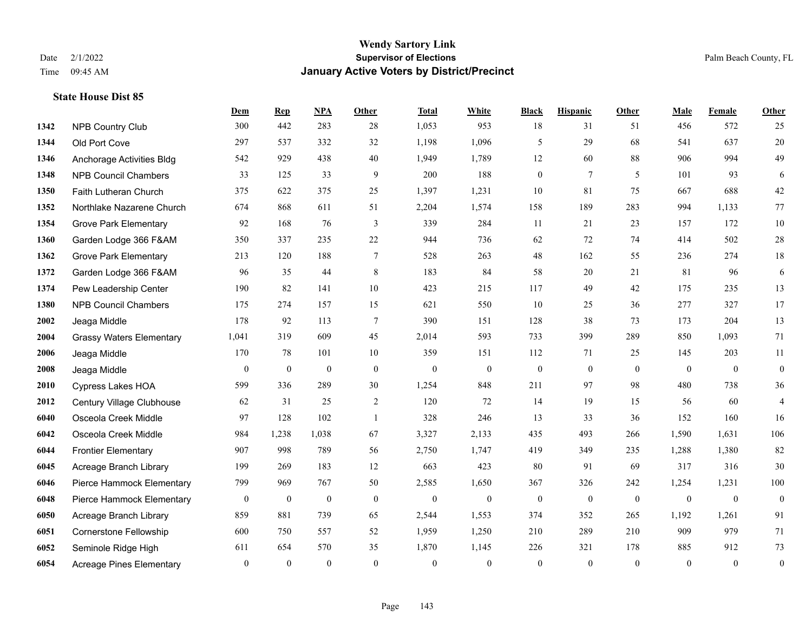|      |                                 | Dem              | <b>Rep</b>       | NPA              | Other            | <b>Total</b>     | <b>White</b>     | <b>Black</b>     | <b>Hispanic</b>  | <b>Other</b>     | <b>Male</b>      | Female           | <b>Other</b>     |
|------|---------------------------------|------------------|------------------|------------------|------------------|------------------|------------------|------------------|------------------|------------------|------------------|------------------|------------------|
| 1342 | NPB Country Club                | 300              | 442              | 283              | 28               | 1,053            | 953              | 18               | 31               | 51               | 456              | 572              | 25               |
| 1344 | Old Port Cove                   | 297              | 537              | 332              | 32               | 1,198            | 1,096            | 5                | 29               | 68               | 541              | 637              | $20\,$           |
| 1346 | Anchorage Activities Bldg       | 542              | 929              | 438              | 40               | 1,949            | 1,789            | 12               | 60               | 88               | 906              | 994              | 49               |
| 1348 | <b>NPB Council Chambers</b>     | 33               | 125              | 33               | 9                | 200              | 188              | $\boldsymbol{0}$ | $\tau$           | 5                | 101              | 93               | 6                |
| 1350 | Faith Lutheran Church           | 375              | 622              | 375              | 25               | 1,397            | 1,231            | 10               | 81               | 75               | 667              | 688              | $42\,$           |
| 1352 | Northlake Nazarene Church       | 674              | 868              | 611              | 51               | 2,204            | 1,574            | 158              | 189              | 283              | 994              | 1,133            | 77               |
| 1354 | <b>Grove Park Elementary</b>    | 92               | 168              | 76               | 3                | 339              | 284              | 11               | 21               | 23               | 157              | 172              | $10\,$           |
| 1360 | Garden Lodge 366 F&AM           | 350              | 337              | 235              | 22               | 944              | 736              | 62               | 72               | 74               | 414              | 502              | $28\,$           |
| 1362 | <b>Grove Park Elementary</b>    | 213              | 120              | 188              | $\tau$           | 528              | 263              | $48\,$           | 162              | 55               | 236              | 274              | $18\,$           |
| 1372 | Garden Lodge 366 F&AM           | 96               | 35               | 44               | 8                | 183              | 84               | 58               | 20               | 21               | 81               | 96               | 6                |
| 1374 | Pew Leadership Center           | 190              | 82               | 141              | $10\,$           | 423              | 215              | 117              | 49               | 42               | 175              | 235              | 13               |
| 1380 | <b>NPB Council Chambers</b>     | 175              | 274              | 157              | 15               | 621              | 550              | 10               | 25               | 36               | 277              | 327              | 17               |
| 2002 | Jeaga Middle                    | 178              | 92               | 113              | $\overline{7}$   | 390              | 151              | 128              | 38               | 73               | 173              | 204              | 13               |
| 2004 | <b>Grassy Waters Elementary</b> | 1,041            | 319              | 609              | 45               | 2,014            | 593              | 733              | 399              | 289              | 850              | 1,093            | 71               |
| 2006 | Jeaga Middle                    | 170              | 78               | 101              | 10               | 359              | 151              | 112              | 71               | 25               | 145              | 203              | $11\,$           |
| 2008 | Jeaga Middle                    | $\mathbf{0}$     | $\boldsymbol{0}$ | $\boldsymbol{0}$ | $\mathbf{0}$     | $\mathbf{0}$     | $\boldsymbol{0}$ | $\boldsymbol{0}$ | $\boldsymbol{0}$ | $\overline{0}$   | $\overline{0}$   | $\overline{0}$   | $\boldsymbol{0}$ |
| 2010 | Cypress Lakes HOA               | 599              | 336              | 289              | 30               | 1,254            | 848              | 211              | 97               | 98               | 480              | 738              | 36               |
| 2012 | Century Village Clubhouse       | 62               | 31               | 25               | 2                | 120              | 72               | 14               | 19               | 15               | 56               | 60               | 4                |
| 6040 | Osceola Creek Middle            | 97               | 128              | 102              | $\mathbf{1}$     | 328              | 246              | 13               | 33               | 36               | 152              | 160              | 16               |
| 6042 | Osceola Creek Middle            | 984              | 1,238            | 1,038            | 67               | 3,327            | 2,133            | 435              | 493              | 266              | 1,590            | 1,631            | 106              |
| 6044 | <b>Frontier Elementary</b>      | 907              | 998              | 789              | 56               | 2,750            | 1,747            | 419              | 349              | 235              | 1,288            | 1,380            | 82               |
| 6045 | Acreage Branch Library          | 199              | 269              | 183              | 12               | 663              | 423              | 80               | 91               | 69               | 317              | 316              | $30\,$           |
| 6046 | Pierce Hammock Elementary       | 799              | 969              | 767              | 50               | 2,585            | 1,650            | 367              | 326              | 242              | 1,254            | 1,231            | 100              |
| 6048 | Pierce Hammock Elementary       | $\boldsymbol{0}$ | $\boldsymbol{0}$ | $\boldsymbol{0}$ | $\boldsymbol{0}$ | $\boldsymbol{0}$ | $\boldsymbol{0}$ | $\boldsymbol{0}$ | $\boldsymbol{0}$ | $\boldsymbol{0}$ | $\boldsymbol{0}$ | $\boldsymbol{0}$ | $\mathbf{0}$     |
| 6050 | Acreage Branch Library          | 859              | 881              | 739              | 65               | 2,544            | 1,553            | 374              | 352              | 265              | 1,192            | 1,261            | 91               |
| 6051 | <b>Cornerstone Fellowship</b>   | 600              | 750              | 557              | 52               | 1,959            | 1,250            | 210              | 289              | 210              | 909              | 979              | 71               |
| 6052 | Seminole Ridge High             | 611              | 654              | 570              | 35               | 1,870            | 1,145            | 226              | 321              | 178              | 885              | 912              | 73               |
| 6054 | <b>Acreage Pines Elementary</b> | $\mathbf{0}$     | $\mathbf{0}$     | $\mathbf{0}$     | $\theta$         | $\mathbf{0}$     | $\overline{0}$   | $\mathbf{0}$     | $\overline{0}$   | $\theta$         | $\theta$         | $\overline{0}$   | $\boldsymbol{0}$ |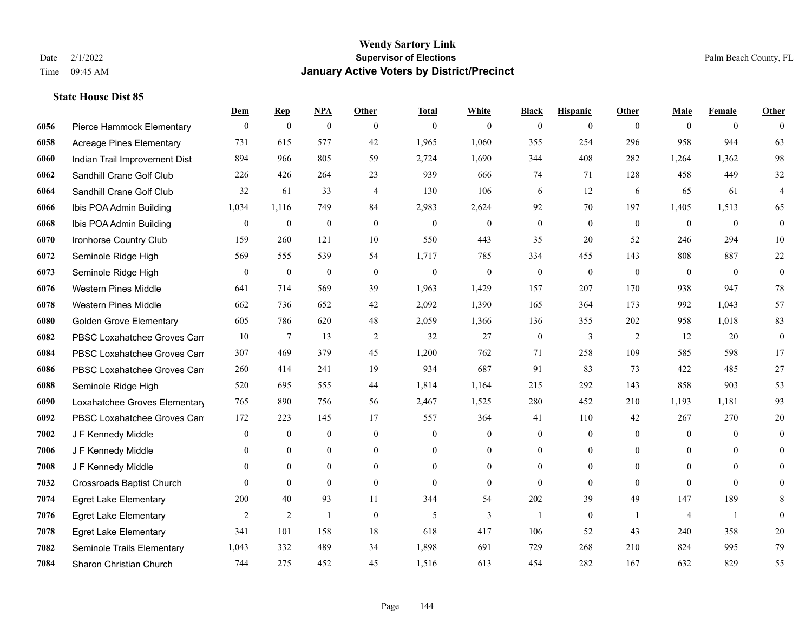**State House Dist 85**

#### **Wendy Sartory Link** Date 2/1/2022 **Supervisor of Elections** Palm Beach County, FL Time 09:45 AM **January Active Voters by District/Precinct**

**Dem Rep NPA Other Total White Black Hispanic Other Male Female Other**

## Pierce Hammock Elementary 0 0 0 0 0 0 0 0 0 0 0 0 Acreage Pines Elementary 731 615 577 42 1,965 1,060 355 254 296 958 944 63 Indian Trail Improvement Dist 894 966 805 59 2,724 1,690 344 408 282 1,264 1,362 98 Sandhill Crane Golf Club 226 426 264 23 939 666 74 71 128 458 449 32 Sandhill Crane Golf Club 32 61 33 4 130 106 6 12 6 65 61 4 Ibis POA Admin Building 1,034 1,116 749 84 2,983 2,624 92 70 197 1,405 1,513 65 Ibis POA Admin Building 0 0 0 0 0 0 0 0 0 0 0 0 Ironhorse Country Club 159 260 121 10 550 443 35 20 52 246 294 10 Seminole Ridge High 569 555 539 54 1,717 785 334 455 143 808 887 22 Seminole Ridge High 0 0 0 0 0 0 0 0 0 0 0 0 Western Pines Middle 641 714 569 39 1,963 1,429 157 207 170 938 947 78 Western Pines Middle 662 736 652 42 2,092 1,390 165 364 173 992 1,043 57 Golden Grove Elementary 605 786 620 48 2,059 1,366 136 355 202 958 1,018 83 **6082** PBSC Loxahatchee Groves Can 7  $13$  2  $32$  27 0  $3$  2  $12$  20 0 PBSC Loxahatchee Groves Campus 307 469 379 45 1,200 762 71 258 109 585 598 17 PBSC Loxahatchee Groves Campus 260 414 241 19 934 687 91 83 73 422 485 27 Seminole Ridge High 520 695 555 44 1,814 1,164 215 292 143 858 903 53 Loxahatchee Groves Elementary 765 890 756 56 2,467 1,525 280 452 210 1,193 1,181 93 PBSC Loxahatchee Groves Campus 172 223 145 17 557 364 41 110 42 267 270 20 J F Kennedy Middle 0 0 0 0 0 0 0 0 0 0 0 0 J F Kennedy Middle 0 0 0 0 0 0 0 0 0 0 0 0 J F Kennedy Middle 0 0 0 0 0 0 0 0 0 0 0 0 Crossroads Baptist Church 0 0 0 0 0 0 0 0 0 0 0 0 Egret Lake Elementary 200 40 93 11 344 54 202 39 49 147 189 8 Egret Lake Elementary 2 2 1 0 5 3 1 0 1 4 1 0 Egret Lake Elementary 341 101 158 18 618 417 106 52 43 240 358 20 Seminole Trails Elementary 1,043 332 489 34 1,898 691 729 268 210 824 995 79

Sharon Christian Church 744 275 452 45 1,516 613 454 282 167 632 829 55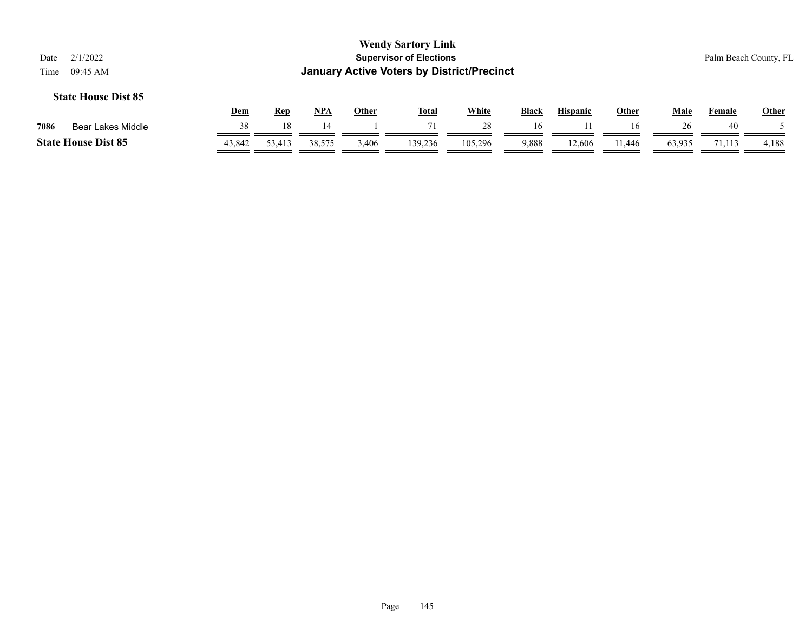|      |                            | Dem    | Rep    | NP <sub>A</sub> | Other | <b>Total</b> | White   | <b>Black</b> | <b>Hispanic</b> | Other  | Male   | Female | Other |
|------|----------------------------|--------|--------|-----------------|-------|--------------|---------|--------------|-----------------|--------|--------|--------|-------|
| 7086 | Bear Lakes Middle          |        |        |                 |       |              | 28      | 16           |                 | 16     |        | 40     |       |
|      | <b>State House Dist 85</b> | 43,842 | 53,413 | 38,575          | ,406  | 139.236      | 105.296 | 9,888        | 12,606          | .1.446 | 63.935 | '1.113 | 4,188 |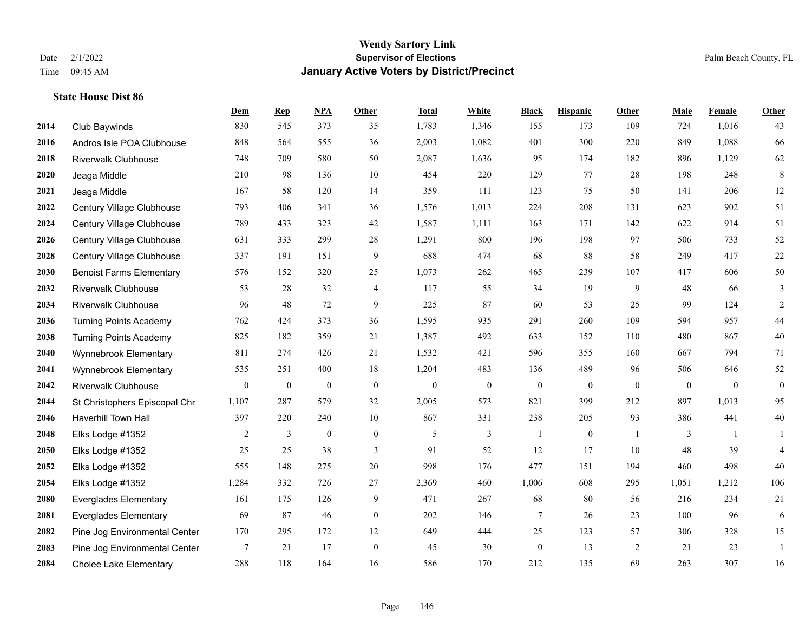|      |                                 | Dem              | <b>Rep</b>       | NPA              | <b>Other</b>     | <b>Total</b>     | <b>White</b>     | <b>Black</b>     | <b>Hispanic</b>  | <b>Other</b> | <b>Male</b>      | <b>Female</b> | <b>Other</b>     |
|------|---------------------------------|------------------|------------------|------------------|------------------|------------------|------------------|------------------|------------------|--------------|------------------|---------------|------------------|
| 2014 | Club Baywinds                   | 830              | 545              | 373              | 35               | 1,783            | 1,346            | 155              | 173              | 109          | 724              | 1,016         | 43               |
| 2016 | Andros Isle POA Clubhouse       | 848              | 564              | 555              | 36               | 2,003            | 1,082            | 401              | 300              | 220          | 849              | 1,088         | 66               |
| 2018 | <b>Riverwalk Clubhouse</b>      | 748              | 709              | 580              | 50               | 2,087            | 1,636            | 95               | 174              | 182          | 896              | 1,129         | 62               |
| 2020 | Jeaga Middle                    | 210              | 98               | 136              | 10               | 454              | 220              | 129              | 77               | 28           | 198              | 248           | $\,8\,$          |
| 2021 | Jeaga Middle                    | 167              | 58               | 120              | 14               | 359              | 111              | 123              | 75               | 50           | 141              | 206           | 12               |
| 2022 | Century Village Clubhouse       | 793              | 406              | 341              | 36               | 1,576            | 1,013            | 224              | 208              | 131          | 623              | 902           | 51               |
| 2024 | Century Village Clubhouse       | 789              | 433              | 323              | 42               | 1,587            | 1,111            | 163              | 171              | 142          | 622              | 914           | 51               |
| 2026 | Century Village Clubhouse       | 631              | 333              | 299              | 28               | 1,291            | 800              | 196              | 198              | 97           | 506              | 733           | 52               |
| 2028 | Century Village Clubhouse       | 337              | 191              | 151              | 9                | 688              | 474              | 68               | 88               | 58           | 249              | 417           | $22\,$           |
| 2030 | <b>Benoist Farms Elementary</b> | 576              | 152              | 320              | 25               | 1,073            | 262              | 465              | 239              | 107          | 417              | 606           | $50\,$           |
| 2032 | <b>Riverwalk Clubhouse</b>      | 53               | 28               | 32               | $\overline{4}$   | 117              | 55               | 34               | 19               | 9            | 48               | 66            | 3                |
| 2034 | <b>Riverwalk Clubhouse</b>      | 96               | 48               | 72               | 9                | 225              | 87               | 60               | 53               | 25           | 99               | 124           | 2                |
| 2036 | <b>Turning Points Academy</b>   | 762              | 424              | 373              | 36               | 1,595            | 935              | 291              | 260              | 109          | 594              | 957           | $44\,$           |
| 2038 | <b>Turning Points Academy</b>   | 825              | 182              | 359              | 21               | 1,387            | 492              | 633              | 152              | 110          | 480              | 867           | $40\,$           |
| 2040 | Wynnebrook Elementary           | 811              | 274              | 426              | 21               | 1,532            | 421              | 596              | 355              | 160          | 667              | 794           | 71               |
| 2041 | Wynnebrook Elementary           | 535              | 251              | 400              | 18               | 1,204            | 483              | 136              | 489              | 96           | 506              | 646           | 52               |
| 2042 | <b>Riverwalk Clubhouse</b>      | $\boldsymbol{0}$ | $\boldsymbol{0}$ | $\boldsymbol{0}$ | $\boldsymbol{0}$ | $\boldsymbol{0}$ | $\boldsymbol{0}$ | $\boldsymbol{0}$ | $\boldsymbol{0}$ | $\mathbf{0}$ | $\boldsymbol{0}$ | $\mathbf{0}$  | $\boldsymbol{0}$ |
| 2044 | St Christophers Episcopal Chr   | 1,107            | 287              | 579              | 32               | 2,005            | 573              | 821              | 399              | 212          | 897              | 1,013         | 95               |
| 2046 | <b>Haverhill Town Hall</b>      | 397              | 220              | 240              | 10               | 867              | 331              | 238              | 205              | 93           | 386              | 441           | 40               |
| 2048 | Elks Lodge #1352                | $\overline{2}$   | $\mathfrak{Z}$   | $\boldsymbol{0}$ | $\mathbf{0}$     | 5                | 3                | 1                | $\boldsymbol{0}$ | -1           | 3                | -1            | 1                |
| 2050 | Elks Lodge #1352                | 25               | 25               | 38               | 3                | 91               | 52               | 12               | 17               | 10           | 48               | 39            | $\overline{4}$   |
| 2052 | Elks Lodge #1352                | 555              | 148              | 275              | 20               | 998              | 176              | 477              | 151              | 194          | 460              | 498           | 40               |
| 2054 | Elks Lodge #1352                | 1,284            | 332              | 726              | 27               | 2,369            | 460              | 1,006            | 608              | 295          | 1,051            | 1,212         | 106              |
| 2080 | <b>Everglades Elementary</b>    | 161              | 175              | 126              | 9                | 471              | 267              | 68               | 80               | 56           | 216              | 234           | 21               |
| 2081 | <b>Everglades Elementary</b>    | 69               | 87               | 46               | $\overline{0}$   | 202              | 146              | $\tau$           | 26               | 23           | 100              | 96            | 6                |
| 2082 | Pine Jog Environmental Center   | 170              | 295              | 172              | 12               | 649              | 444              | 25               | 123              | 57           | 306              | 328           | 15               |
| 2083 | Pine Jog Environmental Center   | 7                | 21               | 17               | $\overline{0}$   | 45               | 30               | $\boldsymbol{0}$ | 13               | 2            | 21               | 23            | 1                |
| 2084 | <b>Cholee Lake Elementary</b>   | 288              | 118              | 164              | 16               | 586              | 170              | 212              | 135              | 69           | 263              | 307           | 16               |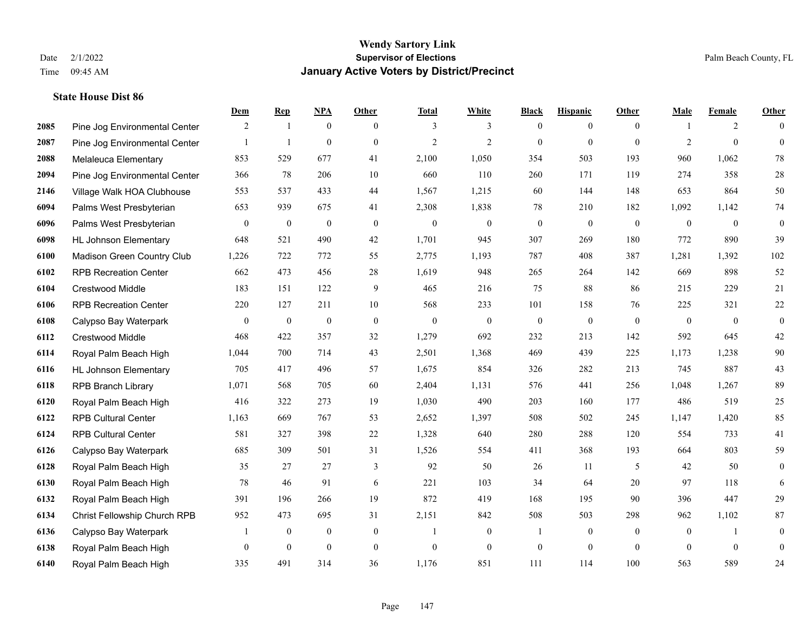|      |                               | Dem              | <b>Rep</b>       | NPA              | <b>Other</b> | <b>Total</b>     | <b>White</b>     | <b>Black</b>     | <b>Hispanic</b>  | <b>Other</b>   | <b>Male</b>    | <b>Female</b>  | <b>Other</b>     |
|------|-------------------------------|------------------|------------------|------------------|--------------|------------------|------------------|------------------|------------------|----------------|----------------|----------------|------------------|
| 2085 | Pine Jog Environmental Center | 2                | $\mathbf{1}$     | $\boldsymbol{0}$ | $\theta$     | 3                | 3                | $\overline{0}$   | $\overline{0}$   | $\theta$       | -1             | 2              | $\Omega$         |
| 2087 | Pine Jog Environmental Center |                  | $\mathbf{1}$     | $\mathbf{0}$     | $\theta$     | $\overline{2}$   | $\overline{2}$   | $\mathbf{0}$     | $\mathbf{0}$     | $\mathbf{0}$   | $\overline{2}$ | $\overline{0}$ | $\overline{0}$   |
| 2088 | Melaleuca Elementary          | 853              | 529              | 677              | 41           | 2,100            | 1,050            | 354              | 503              | 193            | 960            | 1,062          | 78               |
| 2094 | Pine Jog Environmental Center | 366              | 78               | 206              | 10           | 660              | 110              | 260              | 171              | 119            | 274            | 358            | $28\,$           |
| 2146 | Village Walk HOA Clubhouse    | 553              | 537              | 433              | 44           | 1,567            | 1,215            | 60               | 144              | 148            | 653            | 864            | 50               |
| 6094 | Palms West Presbyterian       | 653              | 939              | 675              | 41           | 2,308            | 1,838            | 78               | 210              | 182            | 1,092          | 1,142          | 74               |
| 6096 | Palms West Presbyterian       | $\boldsymbol{0}$ | $\boldsymbol{0}$ | $\boldsymbol{0}$ | $\mathbf{0}$ | $\boldsymbol{0}$ | $\boldsymbol{0}$ | $\boldsymbol{0}$ | $\boldsymbol{0}$ | $\mathbf{0}$   | $\overline{0}$ | $\overline{0}$ | $\boldsymbol{0}$ |
| 6098 | <b>HL Johnson Elementary</b>  | 648              | 521              | 490              | 42           | 1,701            | 945              | 307              | 269              | 180            | 772            | 890            | 39               |
| 6100 | Madison Green Country Club    | 1,226            | 722              | 772              | 55           | 2,775            | 1,193            | 787              | 408              | 387            | 1,281          | 1,392          | 102              |
| 6102 | <b>RPB Recreation Center</b>  | 662              | 473              | 456              | 28           | 1,619            | 948              | 265              | 264              | 142            | 669            | 898            | 52               |
| 6104 | <b>Crestwood Middle</b>       | 183              | 151              | 122              | 9            | 465              | 216              | 75               | 88               | 86             | 215            | 229            | 21               |
| 6106 | <b>RPB Recreation Center</b>  | 220              | 127              | 211              | 10           | 568              | 233              | 101              | 158              | 76             | 225            | 321            | 22               |
| 6108 | Calypso Bay Waterpark         | $\overline{0}$   | $\boldsymbol{0}$ | $\boldsymbol{0}$ | $\mathbf{0}$ | $\overline{0}$   | $\mathbf{0}$     | $\overline{0}$   | $\mathbf{0}$     | $\theta$       | $\mathbf{0}$   | $\theta$       | $\overline{0}$   |
| 6112 | Crestwood Middle              | 468              | 422              | 357              | 32           | 1,279            | 692              | 232              | 213              | 142            | 592            | 645            | $42\,$           |
| 6114 | Royal Palm Beach High         | 1,044            | 700              | 714              | 43           | 2,501            | 1,368            | 469              | 439              | 225            | 1,173          | 1,238          | 90               |
| 6116 | <b>HL Johnson Elementary</b>  | 705              | 417              | 496              | 57           | 1,675            | 854              | 326              | 282              | 213            | 745            | 887            | 43               |
| 6118 | <b>RPB Branch Library</b>     | 1,071            | 568              | 705              | 60           | 2,404            | 1,131            | 576              | 441              | 256            | 1,048          | 1,267          | 89               |
| 6120 | Royal Palm Beach High         | 416              | 322              | 273              | 19           | 1,030            | 490              | 203              | 160              | 177            | 486            | 519            | $25\,$           |
| 6122 | <b>RPB Cultural Center</b>    | 1,163            | 669              | 767              | 53           | 2,652            | 1,397            | 508              | 502              | 245            | 1,147          | 1,420          | 85               |
| 6124 | <b>RPB Cultural Center</b>    | 581              | 327              | 398              | 22           | 1,328            | 640              | 280              | 288              | 120            | 554            | 733            | 41               |
| 6126 | Calypso Bay Waterpark         | 685              | 309              | 501              | 31           | 1,526            | 554              | 411              | 368              | 193            | 664            | 803            | 59               |
| 6128 | Royal Palm Beach High         | 35               | 27               | 27               | 3            | 92               | 50               | 26               | 11               | 5              | 42             | 50             | $\overline{0}$   |
| 6130 | Royal Palm Beach High         | 78               | 46               | 91               | 6            | 221              | 103              | 34               | 64               | 20             | 97             | 118            | 6                |
| 6132 | Royal Palm Beach High         | 391              | 196              | 266              | 19           | 872              | 419              | 168              | 195              | 90             | 396            | 447            | 29               |
| 6134 | Christ Fellowship Church RPB  | 952              | 473              | 695              | 31           | 2,151            | 842              | 508              | 503              | 298            | 962            | 1,102          | $87\,$           |
| 6136 | Calypso Bay Waterpark         |                  | $\boldsymbol{0}$ | $\boldsymbol{0}$ | $\mathbf{0}$ | 1                | $\boldsymbol{0}$ | $\mathbf{1}$     | $\overline{0}$   | $\overline{0}$ | $\mathbf{0}$   | $\mathbf{1}$   | $\mathbf{0}$     |
| 6138 | Royal Palm Beach High         | $\overline{0}$   | $\mathbf{0}$     | $\mathbf{0}$     | $\mathbf{0}$ | $\theta$         | $\mathbf{0}$     | $\boldsymbol{0}$ | $\overline{0}$   | $\theta$       | $\theta$       | $\mathbf{0}$   | $\mathbf{0}$     |
| 6140 | Royal Palm Beach High         | 335              | 491              | 314              | 36           | 1,176            | 851              | 111              | 114              | 100            | 563            | 589            | 24               |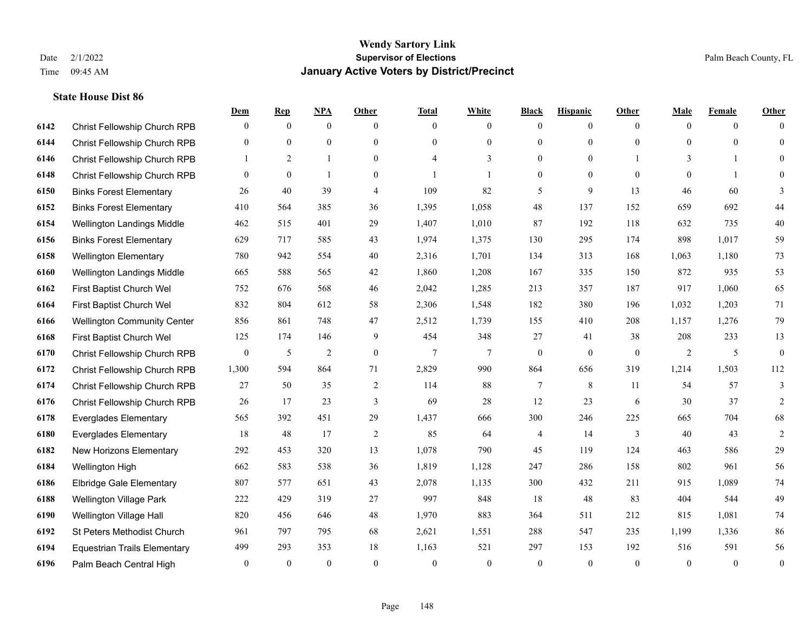|      |                                     | Dem              | <b>Rep</b>     | NPA            | Other            | <b>Total</b>             | <b>White</b> | <b>Black</b>     | <b>Hispanic</b> | <b>Other</b>   | <b>Male</b>  | <b>Female</b>  | <b>Other</b>     |
|------|-------------------------------------|------------------|----------------|----------------|------------------|--------------------------|--------------|------------------|-----------------|----------------|--------------|----------------|------------------|
| 6142 | Christ Fellowship Church RPB        | $\overline{0}$   | $\overline{0}$ | $\mathbf{0}$   | $\mathbf{0}$     | $\theta$                 | $\mathbf{0}$ | $\mathbf{0}$     | $\mathbf{0}$    | $\overline{0}$ | $\theta$     | $\overline{0}$ | $\Omega$         |
| 6144 | Christ Fellowship Church RPB        | $\overline{0}$   | $\mathbf{0}$   | $\mathbf{0}$   | $\mathbf{0}$     | $\theta$                 | $\mathbf{0}$ | $\mathbf{0}$     | $\overline{0}$  | $\Omega$       | $\theta$     | $\theta$       | $\overline{0}$   |
| 6146 | Christ Fellowship Church RPB        | $\mathbf{1}$     | 2              | $\mathbf{1}$   | $\Omega$         | $\boldsymbol{\varDelta}$ | 3            | $\theta$         | $\theta$        |                | 3            | $\mathbf{1}$   | $\Omega$         |
| 6148 | Christ Fellowship Church RPB        | $\overline{0}$   | $\mathbf{0}$   | $\mathbf{1}$   | $\boldsymbol{0}$ |                          | 1            | $\mathbf{0}$     | $\mathbf{0}$    | $\overline{0}$ | $\mathbf{0}$ | $\mathbf{1}$   | $\theta$         |
| 6150 | <b>Binks Forest Elementary</b>      | 26               | 40             | 39             | $\overline{4}$   | 109                      | 82           | 5                | 9               | 13             | 46           | 60             | 3                |
| 6152 | <b>Binks Forest Elementary</b>      | 410              | 564            | 385            | 36               | 1,395                    | 1,058        | 48               | 137             | 152            | 659          | 692            | 44               |
| 6154 | Wellington Landings Middle          | 462              | 515            | 401            | 29               | 1,407                    | 1,010        | 87               | 192             | 118            | 632          | 735            | 40               |
| 6156 | <b>Binks Forest Elementary</b>      | 629              | 717            | 585            | 43               | 1,974                    | 1,375        | 130              | 295             | 174            | 898          | 1,017          | 59               |
| 6158 | <b>Wellington Elementary</b>        | 780              | 942            | 554            | 40               | 2,316                    | 1,701        | 134              | 313             | 168            | 1,063        | 1,180          | 73               |
| 6160 | Wellington Landings Middle          | 665              | 588            | 565            | 42               | 1,860                    | 1,208        | 167              | 335             | 150            | 872          | 935            | 53               |
| 6162 | First Baptist Church Wel            | 752              | 676            | 568            | 46               | 2,042                    | 1,285        | 213              | 357             | 187            | 917          | 1,060          | 65               |
| 6164 | First Baptist Church Wel            | 832              | 804            | 612            | 58               | 2,306                    | 1,548        | 182              | 380             | 196            | 1,032        | 1,203          | 71               |
| 6166 | <b>Wellington Community Center</b>  | 856              | 861            | 748            | 47               | 2,512                    | 1,739        | 155              | 410             | 208            | 1,157        | 1,276          | 79               |
| 6168 | First Baptist Church Wel            | 125              | 174            | 146            | 9                | 454                      | 348          | 27               | 41              | 38             | 208          | 233            | 13               |
| 6170 | Christ Fellowship Church RPB        | $\boldsymbol{0}$ | 5              | $\overline{2}$ | $\boldsymbol{0}$ | $\tau$                   | 7            | $\boldsymbol{0}$ | $\mathbf{0}$    | $\mathbf{0}$   | 2            | 5              | $\boldsymbol{0}$ |
| 6172 | Christ Fellowship Church RPB        | 1,300            | 594            | 864            | 71               | 2,829                    | 990          | 864              | 656             | 319            | 1,214        | 1,503          | 112              |
| 6174 | Christ Fellowship Church RPB        | 27               | 50             | 35             | $\sqrt{2}$       | 114                      | 88           | $\tau$           | 8               | 11             | 54           | 57             | 3                |
| 6176 | Christ Fellowship Church RPB        | 26               | 17             | 23             | 3                | 69                       | 28           | 12               | 23              | 6              | 30           | 37             | $\overline{2}$   |
| 6178 | <b>Everglades Elementary</b>        | 565              | 392            | 451            | 29               | 1,437                    | 666          | 300              | 246             | 225            | 665          | 704            | 68               |
| 6180 | <b>Everglades Elementary</b>        | 18               | 48             | 17             | $\overline{2}$   | 85                       | 64           | 4                | 14              | 3              | 40           | 43             | $\mathfrak{2}$   |
| 6182 | New Horizons Elementary             | 292              | 453            | 320            | 13               | 1,078                    | 790          | 45               | 119             | 124            | 463          | 586            | 29               |
| 6184 | Wellington High                     | 662              | 583            | 538            | 36               | 1,819                    | 1,128        | 247              | 286             | 158            | 802          | 961            | 56               |
| 6186 | <b>Elbridge Gale Elementary</b>     | 807              | 577            | 651            | 43               | 2,078                    | 1,135        | 300              | 432             | 211            | 915          | 1,089          | 74               |
| 6188 | <b>Wellington Village Park</b>      | 222              | 429            | 319            | 27               | 997                      | 848          | 18               | 48              | 83             | 404          | 544            | 49               |
| 6190 | Wellington Village Hall             | 820              | 456            | 646            | 48               | 1,970                    | 883          | 364              | 511             | 212            | 815          | 1,081          | 74               |
| 6192 | St Peters Methodist Church          | 961              | 797            | 795            | 68               | 2,621                    | 1,551        | 288              | 547             | 235            | 1,199        | 1,336          | 86               |
| 6194 | <b>Equestrian Trails Elementary</b> | 499              | 293            | 353            | 18               | 1,163                    | 521          | 297              | 153             | 192            | 516          | 591            | 56               |
| 6196 | Palm Beach Central High             | $\overline{0}$   | $\mathbf{0}$   | $\mathbf{0}$   | $\theta$         | $\theta$                 | $\mathbf{0}$ | $\theta$         | $\theta$        | $\theta$       | $\theta$     | $\theta$       | $\boldsymbol{0}$ |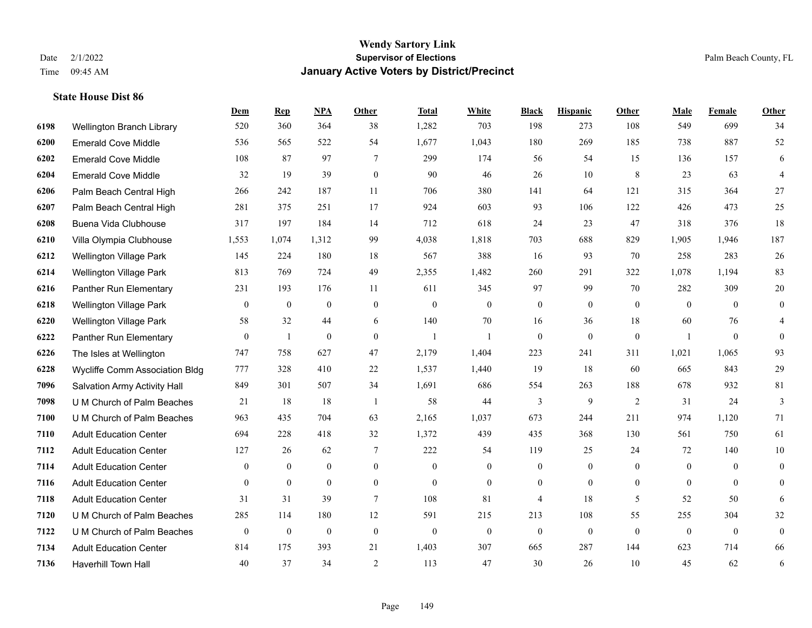|      |                                | Dem              | <b>Rep</b>       | NPA              | <b>Other</b>   | <b>Total</b>     | <b>White</b>     | <b>Black</b>     | <b>Hispanic</b>  | Other            | <b>Male</b>    | <b>Female</b>    | <b>Other</b>     |
|------|--------------------------------|------------------|------------------|------------------|----------------|------------------|------------------|------------------|------------------|------------------|----------------|------------------|------------------|
| 6198 | Wellington Branch Library      | 520              | 360              | 364              | 38             | 1,282            | 703              | 198              | 273              | 108              | 549            | 699              | 34               |
| 6200 | <b>Emerald Cove Middle</b>     | 536              | 565              | 522              | 54             | 1,677            | 1,043            | 180              | 269              | 185              | 738            | 887              | 52               |
| 6202 | <b>Emerald Cove Middle</b>     | 108              | 87               | 97               | 7              | 299              | 174              | 56               | 54               | 15               | 136            | 157              | 6                |
| 6204 | <b>Emerald Cove Middle</b>     | 32               | 19               | 39               | $\mathbf{0}$   | 90               | 46               | 26               | 10               | 8                | 23             | 63               | 4                |
| 6206 | Palm Beach Central High        | 266              | 242              | 187              | 11             | 706              | 380              | 141              | 64               | 121              | 315            | 364              | 27               |
| 6207 | Palm Beach Central High        | 281              | 375              | 251              | 17             | 924              | 603              | 93               | 106              | 122              | 426            | 473              | 25               |
| 6208 | Buena Vida Clubhouse           | 317              | 197              | 184              | 14             | 712              | 618              | 24               | 23               | 47               | 318            | 376              | 18               |
| 6210 | Villa Olympia Clubhouse        | 1,553            | 1,074            | 1,312            | 99             | 4,038            | 1,818            | 703              | 688              | 829              | 1,905          | 1,946            | 187              |
| 6212 | <b>Wellington Village Park</b> | 145              | 224              | 180              | 18             | 567              | 388              | 16               | 93               | 70               | 258            | 283              | $26\,$           |
| 6214 | <b>Wellington Village Park</b> | 813              | 769              | 724              | 49             | 2,355            | 1,482            | 260              | 291              | 322              | 1,078          | 1,194            | 83               |
| 6216 | Panther Run Elementary         | 231              | 193              | 176              | 11             | 611              | 345              | 97               | 99               | 70               | 282            | 309              | $20\,$           |
| 6218 | <b>Wellington Village Park</b> | $\mathbf{0}$     | $\boldsymbol{0}$ | $\theta$         | $\mathbf{0}$   | $\boldsymbol{0}$ | $\boldsymbol{0}$ | $\boldsymbol{0}$ | $\overline{0}$   | $\mathbf{0}$     | $\overline{0}$ | $\theta$         | $\overline{0}$   |
| 6220 | <b>Wellington Village Park</b> | 58               | 32               | 44               | 6              | 140              | 70               | 16               | 36               | 18               | 60             | 76               | 4                |
| 6222 | Panther Run Elementary         | $\boldsymbol{0}$ | 1                | $\boldsymbol{0}$ | $\mathbf{0}$   | $\mathbf{1}$     |                  | $\boldsymbol{0}$ | $\mathbf{0}$     | $\boldsymbol{0}$ | $\mathbf{1}$   | $\boldsymbol{0}$ | $\overline{0}$   |
| 6226 | The Isles at Wellington        | 747              | 758              | 627              | 47             | 2,179            | 1,404            | 223              | 241              | 311              | 1,021          | 1,065            | 93               |
| 6228 | Wycliffe Comm Association Bldg | 777              | 328              | 410              | 22             | 1,537            | 1,440            | 19               | 18               | 60               | 665            | 843              | 29               |
| 7096 | Salvation Army Activity Hall   | 849              | 301              | 507              | 34             | 1,691            | 686              | 554              | 263              | 188              | 678            | 932              | 81               |
| 7098 | U M Church of Palm Beaches     | 21               | 18               | 18               | $\overline{1}$ | 58               | 44               | 3                | 9                | 2                | 31             | 24               | 3                |
| 7100 | U M Church of Palm Beaches     | 963              | 435              | 704              | 63             | 2,165            | 1,037            | 673              | 244              | 211              | 974            | 1,120            | 71               |
| 7110 | <b>Adult Education Center</b>  | 694              | 228              | 418              | 32             | 1,372            | 439              | 435              | 368              | 130              | 561            | 750              | 61               |
| 7112 | <b>Adult Education Center</b>  | 127              | 26               | 62               | 7              | 222              | 54               | 119              | 25               | 24               | 72             | 140              | 10               |
| 7114 | <b>Adult Education Center</b>  | $\mathbf{0}$     | $\mathbf{0}$     | $\mathbf{0}$     | $\overline{0}$ | $\theta$         | $\overline{0}$   | $\overline{0}$   | $\mathbf{0}$     | $\mathbf{0}$     | $\overline{0}$ | $\theta$         | $\overline{0}$   |
| 7116 | <b>Adult Education Center</b>  | $\overline{0}$   | $\mathbf{0}$     | $\mathbf{0}$     | $\overline{0}$ | $\mathbf{0}$     | $\overline{0}$   | $\boldsymbol{0}$ | $\overline{0}$   | $\overline{0}$   | $\mathbf{0}$   | $\overline{0}$   | $\boldsymbol{0}$ |
| 7118 | <b>Adult Education Center</b>  | 31               | 31               | 39               | $\overline{7}$ | 108              | 81               | 4                | 18               | 5                | 52             | 50               | 6                |
| 7120 | U M Church of Palm Beaches     | 285              | 114              | 180              | 12             | 591              | 215              | 213              | 108              | 55               | 255            | 304              | 32               |
| 7122 | U M Church of Palm Beaches     | $\boldsymbol{0}$ | $\boldsymbol{0}$ | $\theta$         | $\mathbf{0}$   | $\theta$         | $\boldsymbol{0}$ | $\mathbf{0}$     | $\boldsymbol{0}$ | $\theta$         | $\mathbf{0}$   | $\overline{0}$   | $\boldsymbol{0}$ |
| 7134 | <b>Adult Education Center</b>  | 814              | 175              | 393              | 21             | 1,403            | 307              | 665              | 287              | 144              | 623            | 714              | 66               |
| 7136 | <b>Haverhill Town Hall</b>     | 40               | 37               | 34               | 2              | 113              | 47               | 30               | 26               | 10               | 45             | 62               | 6                |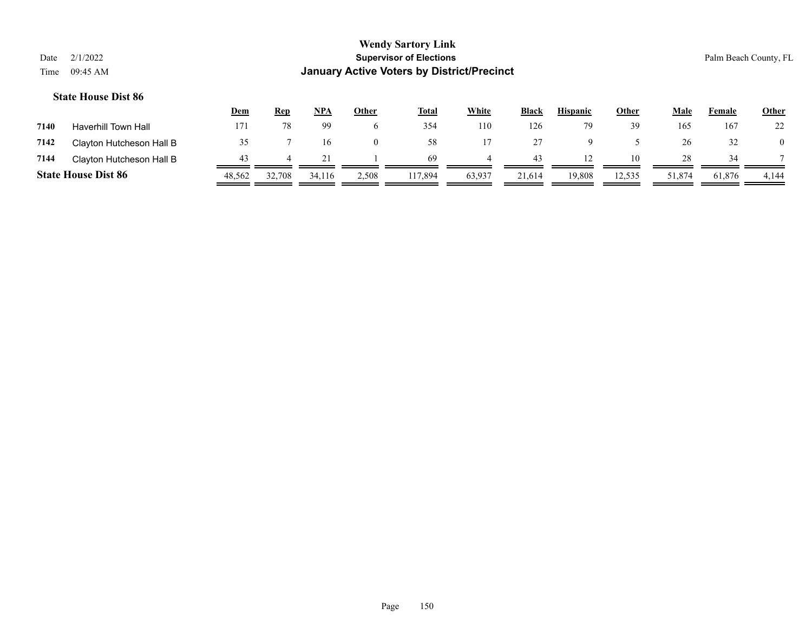|      |                            | <u>Dem</u> | Rep    | <b>NPA</b> | <u>Other</u> | <b>Total</b> | White  | <b>Black</b> | <b>Hispanic</b> | Other  | Male   | Female | <b>Other</b> |
|------|----------------------------|------------|--------|------------|--------------|--------------|--------|--------------|-----------------|--------|--------|--------|--------------|
| 7140 | <b>Haverhill Town Hall</b> | 171        | 78     | 99         | <sub>0</sub> | 354          | 110    | 126          |                 | 39     | 165    | 167    | 22           |
| 7142 | Clayton Hutcheson Hall B   |            |        | l 6        | $\Omega$     | 58           |        |              |                 |        | 26     | 32     |              |
| 7144 | Clayton Hutcheson Hall B   | 43         |        |            |              | -69          |        | 43           |                 | 10     | 28     | 34     |              |
|      | <b>State House Dist 86</b> | 48,562     | 32,708 | 34.116     | 2,508        | 117,894      | 63,937 | 21,614       | 19,808          | 12,535 | 51,874 | 61,876 | 4,144        |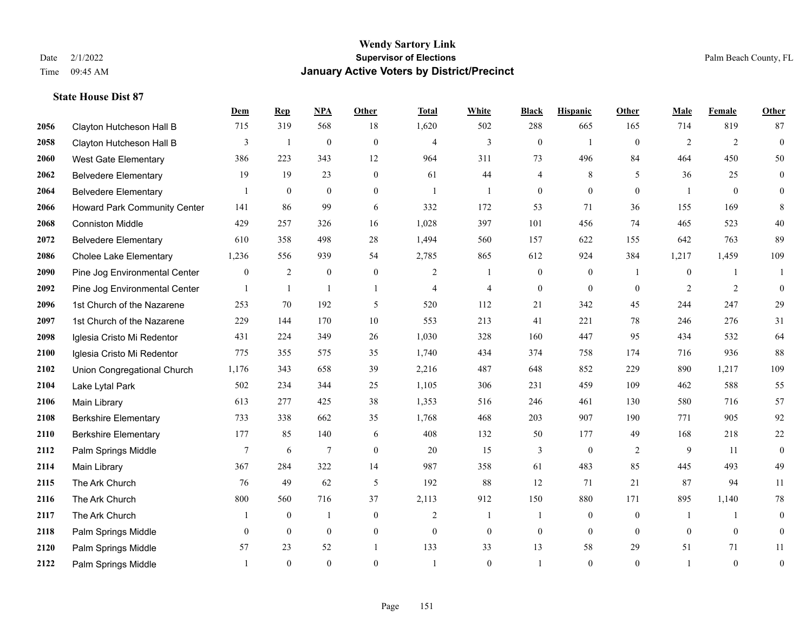|      |                               | Dem          | <b>Rep</b>   | NPA              | <b>Other</b>   | <b>Total</b>   | <b>White</b>   | <b>Black</b>     | <b>Hispanic</b> | <b>Other</b>   | <b>Male</b>  | Female       | Other            |
|------|-------------------------------|--------------|--------------|------------------|----------------|----------------|----------------|------------------|-----------------|----------------|--------------|--------------|------------------|
| 2056 | Clayton Hutcheson Hall B      | 715          | 319          | 568              | 18             | 1,620          | 502            | 288              | 665             | 165            | 714          | 819          | 87               |
| 2058 | Clayton Hutcheson Hall B      | 3            | $\mathbf{1}$ | $\mathbf{0}$     | $\mathbf{0}$   | $\overline{4}$ | 3              | $\mathbf{0}$     | $\mathbf{1}$    | $\theta$       | 2            | 2            | $\mathbf{0}$     |
| 2060 | West Gate Elementary          | 386          | 223          | 343              | 12             | 964            | 311            | 73               | 496             | 84             | 464          | 450          | 50               |
| 2062 | <b>Belvedere Elementary</b>   | 19           | 19           | 23               | $\overline{0}$ | 61             | 44             | 4                | $\,$ 8 $\,$     | 5              | 36           | 25           | $\boldsymbol{0}$ |
| 2064 | <b>Belvedere Elementary</b>   |              | $\mathbf{0}$ | $\theta$         | $\Omega$       | $\mathbf{1}$   | $\mathbf{1}$   | $\mathbf{0}$     | $\theta$        | $\Omega$       |              | $\theta$     | $\overline{0}$   |
| 2066 | Howard Park Community Center  | 141          | 86           | 99               | 6              | 332            | 172            | 53               | 71              | 36             | 155          | 169          | 8                |
| 2068 | <b>Conniston Middle</b>       | 429          | 257          | 326              | 16             | 1,028          | 397            | 101              | 456             | 74             | 465          | 523          | 40               |
| 2072 | <b>Belvedere Elementary</b>   | 610          | 358          | 498              | 28             | 1,494          | 560            | 157              | 622             | 155            | 642          | 763          | 89               |
| 2086 | <b>Cholee Lake Elementary</b> | 1,236        | 556          | 939              | 54             | 2,785          | 865            | 612              | 924             | 384            | 1,217        | 1,459        | 109              |
| 2090 | Pine Jog Environmental Center | $\mathbf{0}$ | 2            | $\boldsymbol{0}$ | $\overline{0}$ | 2              | $\mathbf{1}$   | $\boldsymbol{0}$ | $\mathbf{0}$    | $\overline{1}$ | $\mathbf{0}$ | $\mathbf{1}$ | 1                |
| 2092 | Pine Jog Environmental Center |              | $\mathbf{1}$ | $\mathbf{1}$     | $\mathbf{1}$   | $\overline{4}$ | $\overline{4}$ | $\mathbf{0}$     | $\theta$        | $\theta$       | 2            | 2            | $\mathbf{0}$     |
| 2096 | 1st Church of the Nazarene    | 253          | 70           | 192              | 5              | 520            | 112            | 21               | 342             | 45             | 244          | 247          | 29               |
| 2097 | 1st Church of the Nazarene    | 229          | 144          | 170              | 10             | 553            | 213            | 41               | 221             | 78             | 246          | 276          | 31               |
| 2098 | Iglesia Cristo Mi Redentor    | 431          | 224          | 349              | 26             | 1,030          | 328            | 160              | 447             | 95             | 434          | 532          | 64               |
| 2100 | Iglesia Cristo Mi Redentor    | 775          | 355          | 575              | 35             | 1,740          | 434            | 374              | 758             | 174            | 716          | 936          | 88               |
| 2102 | Union Congregational Church   | 1,176        | 343          | 658              | 39             | 2,216          | 487            | 648              | 852             | 229            | 890          | 1,217        | 109              |
| 2104 | Lake Lytal Park               | 502          | 234          | 344              | 25             | 1,105          | 306            | 231              | 459             | 109            | 462          | 588          | 55               |
| 2106 | Main Library                  | 613          | 277          | 425              | 38             | 1,353          | 516            | 246              | 461             | 130            | 580          | 716          | 57               |
| 2108 | <b>Berkshire Elementary</b>   | 733          | 338          | 662              | 35             | 1,768          | 468            | 203              | 907             | 190            | 771          | 905          | 92               |
| 2110 | <b>Berkshire Elementary</b>   | 177          | 85           | 140              | 6              | 408            | 132            | 50               | 177             | 49             | 168          | 218          | $22\,$           |
| 2112 | Palm Springs Middle           | 7            | 6            | $\overline{7}$   | $\Omega$       | 20             | 15             | 3                | $\mathbf{0}$    | 2              | 9            | 11           | $\mathbf{0}$     |
| 2114 | Main Library                  | 367          | 284          | 322              | 14             | 987            | 358            | 61               | 483             | 85             | 445          | 493          | 49               |
| 2115 | The Ark Church                | 76           | 49           | 62               | 5              | 192            | 88             | 12               | 71              | 21             | 87           | 94           | $11\,$           |
| 2116 | The Ark Church                | 800          | 560          | 716              | 37             | 2,113          | 912            | 150              | 880             | 171            | 895          | 1,140        | $78\,$           |
| 2117 | The Ark Church                |              | $\mathbf{0}$ | $\mathbf{1}$     | $\overline{0}$ | $\overline{2}$ | $\mathbf{1}$   | 1                | $\mathbf{0}$    | $\theta$       |              | $\mathbf{1}$ | $\mathbf{0}$     |
| 2118 | Palm Springs Middle           | $\theta$     | $\mathbf{0}$ | $\mathbf{0}$     | $\overline{0}$ | $\theta$       | $\mathbf{0}$   | $\boldsymbol{0}$ | $\mathbf{0}$    | $\theta$       | $\theta$     | $\theta$     | $\boldsymbol{0}$ |
| 2120 | Palm Springs Middle           | 57           | 23           | 52               | $\overline{1}$ | 133            | 33             | 13               | 58              | 29             | 51           | 71           | 11               |
| 2122 | Palm Springs Middle           |              | $\theta$     | $\theta$         | $\Omega$       |                | $\Omega$       |                  | $\theta$        | $\theta$       |              | $\theta$     | $\boldsymbol{0}$ |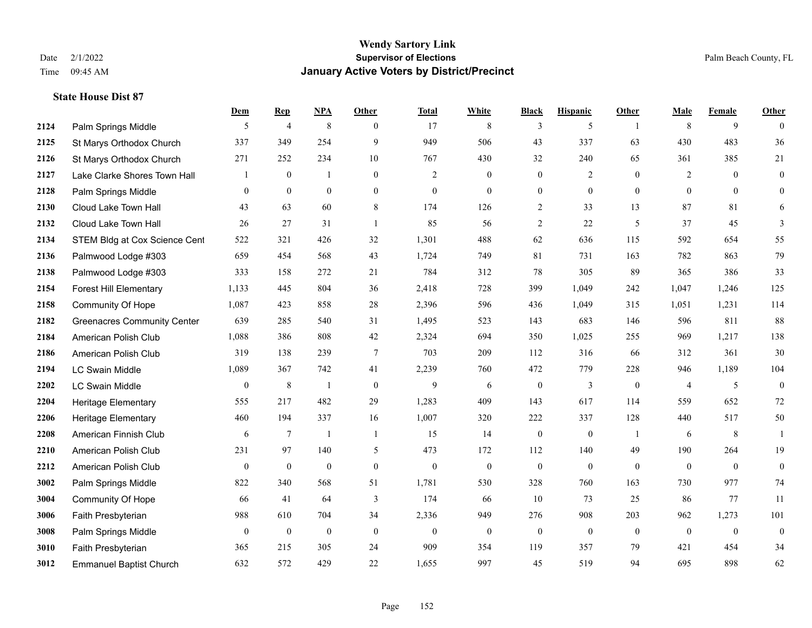|      |                                    | Dem              | <b>Rep</b>       | NPA              | <b>Other</b>     | <b>Total</b>     | <b>White</b>     | <b>Black</b>     | <b>Hispanic</b>  | <b>Other</b>   | <b>Male</b>    | <b>Female</b>  | <b>Other</b>     |
|------|------------------------------------|------------------|------------------|------------------|------------------|------------------|------------------|------------------|------------------|----------------|----------------|----------------|------------------|
| 2124 | Palm Springs Middle                | 5                | $\overline{4}$   | 8                | $\theta$         | 17               | 8                | 3                | 5                | $\overline{1}$ | 8              | 9              | $\Omega$         |
| 2125 | St Marys Orthodox Church           | 337              | 349              | 254              | 9                | 949              | 506              | 43               | 337              | 63             | 430            | 483            | 36               |
| 2126 | St Marys Orthodox Church           | 271              | 252              | 234              | 10               | 767              | 430              | 32               | 240              | 65             | 361            | 385            | 21               |
| 2127 | Lake Clarke Shores Town Hall       |                  | $\boldsymbol{0}$ |                  | $\mathbf{0}$     | $\overline{2}$   | $\boldsymbol{0}$ | $\boldsymbol{0}$ | $\overline{c}$   | $\mathbf{0}$   | $\overline{c}$ | $\mathbf{0}$   | $\overline{0}$   |
| 2128 | Palm Springs Middle                | $\theta$         | $\mathbf{0}$     | $\mathbf{0}$     | $\theta$         | $\theta$         | $\mathbf{0}$     | $\mathbf{0}$     | $\mathbf{0}$     | $\theta$       | $\theta$       | $\theta$       | $\boldsymbol{0}$ |
| 2130 | Cloud Lake Town Hall               | 43               | 63               | 60               | 8                | 174              | 126              | $\overline{2}$   | 33               | 13             | 87             | 81             | 6                |
| 2132 | Cloud Lake Town Hall               | 26               | 27               | 31               | $\mathbf{1}$     | 85               | 56               | $\overline{c}$   | 22               | 5              | 37             | 45             | $\overline{3}$   |
| 2134 | STEM Bldg at Cox Science Cent      | 522              | 321              | 426              | 32               | 1,301            | 488              | 62               | 636              | 115            | 592            | 654            | 55               |
| 2136 | Palmwood Lodge #303                | 659              | 454              | 568              | 43               | 1,724            | 749              | 81               | 731              | 163            | 782            | 863            | 79               |
| 2138 | Palmwood Lodge #303                | 333              | 158              | 272              | 21               | 784              | 312              | 78               | 305              | 89             | 365            | 386            | 33               |
| 2154 | <b>Forest Hill Elementary</b>      | 1,133            | 445              | 804              | 36               | 2,418            | 728              | 399              | 1,049            | 242            | 1,047          | 1,246          | 125              |
| 2158 | Community Of Hope                  | 1,087            | 423              | 858              | 28               | 2,396            | 596              | 436              | 1,049            | 315            | 1,051          | 1,231          | 114              |
| 2182 | <b>Greenacres Community Center</b> | 639              | 285              | 540              | 31               | 1,495            | 523              | 143              | 683              | 146            | 596            | 811            | 88               |
| 2184 | American Polish Club               | 1,088            | 386              | 808              | $42\,$           | 2,324            | 694              | 350              | 1,025            | 255            | 969            | 1,217          | 138              |
| 2186 | American Polish Club               | 319              | 138              | 239              | 7                | 703              | 209              | 112              | 316              | 66             | 312            | 361            | 30               |
| 2194 | LC Swain Middle                    | 1,089            | 367              | 742              | 41               | 2,239            | 760              | 472              | 779              | 228            | 946            | 1,189          | 104              |
| 2202 | LC Swain Middle                    | $\boldsymbol{0}$ | $\,$ 8 $\,$      | $\overline{1}$   | $\boldsymbol{0}$ | 9                | 6                | $\boldsymbol{0}$ | 3                | $\mathbf{0}$   | $\overline{4}$ | 5              | $\boldsymbol{0}$ |
| 2204 | <b>Heritage Elementary</b>         | 555              | 217              | 482              | 29               | 1,283            | 409              | 143              | 617              | 114            | 559            | 652            | 72               |
| 2206 | Heritage Elementary                | 460              | 194              | 337              | 16               | 1,007            | 320              | 222              | 337              | 128            | 440            | 517            | 50               |
| 2208 | American Finnish Club              | 6                | $\tau$           | $\overline{1}$   | -1               | 15               | 14               | $\boldsymbol{0}$ | $\boldsymbol{0}$ | -1             | 6              | 8              | -1               |
| 2210 | American Polish Club               | 231              | 97               | 140              | 5                | 473              | 172              | 112              | 140              | 49             | 190            | 264            | 19               |
| 2212 | American Polish Club               | $\bf{0}$         | $\boldsymbol{0}$ | $\mathbf{0}$     | $\mathbf{0}$     | $\boldsymbol{0}$ | $\mathbf{0}$     | $\mathbf{0}$     | $\mathbf{0}$     | $\mathbf{0}$   | $\mathbf{0}$   | $\overline{0}$ | $\overline{0}$   |
| 3002 | Palm Springs Middle                | 822              | 340              | 568              | 51               | 1,781            | 530              | 328              | 760              | 163            | 730            | 977            | 74               |
| 3004 | Community Of Hope                  | 66               | 41               | 64               | 3                | 174              | 66               | 10               | 73               | 25             | 86             | 77             | 11               |
| 3006 | Faith Presbyterian                 | 988              | 610              | 704              | 34               | 2,336            | 949              | 276              | 908              | 203            | 962            | 1,273          | 101              |
| 3008 | Palm Springs Middle                | $\mathbf{0}$     | $\boldsymbol{0}$ | $\boldsymbol{0}$ | $\mathbf{0}$     | $\theta$         | $\boldsymbol{0}$ | $\boldsymbol{0}$ | $\boldsymbol{0}$ | $\overline{0}$ | $\mathbf{0}$   | $\overline{0}$ | $\boldsymbol{0}$ |
| 3010 | Faith Presbyterian                 | 365              | 215              | 305              | 24               | 909              | 354              | 119              | 357              | 79             | 421            | 454            | 34               |
| 3012 | <b>Emmanuel Baptist Church</b>     | 632              | 572              | 429              | 22               | 1,655            | 997              | 45               | 519              | 94             | 695            | 898            | 62               |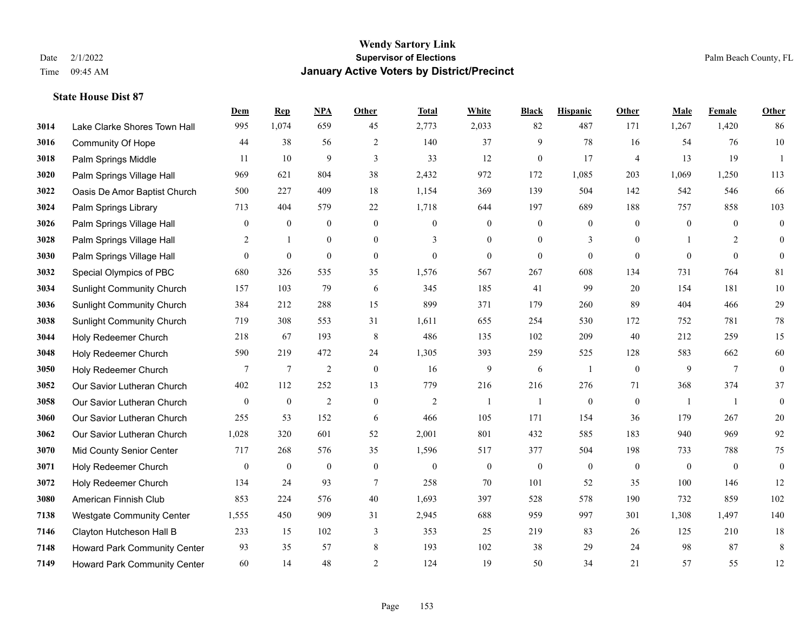|      |                                  | Dem              | <b>Rep</b>       | NPA              | <b>Other</b>     | <b>Total</b>     | <b>White</b>     | <b>Black</b>     | <b>Hispanic</b>  | <b>Other</b>   | <b>Male</b>      | <b>Female</b>   | <b>Other</b>     |
|------|----------------------------------|------------------|------------------|------------------|------------------|------------------|------------------|------------------|------------------|----------------|------------------|-----------------|------------------|
| 3014 | Lake Clarke Shores Town Hall     | 995              | 1,074            | 659              | 45               | 2,773            | 2,033            | 82               | 487              | 171            | 1,267            | 1,420           | 86               |
| 3016 | <b>Community Of Hope</b>         | 44               | 38               | 56               | 2                | 140              | 37               | 9                | 78               | 16             | 54               | 76              | $10\,$           |
| 3018 | Palm Springs Middle              | 11               | 10               | 9                | 3                | 33               | 12               | $\mathbf{0}$     | 17               | $\overline{4}$ | 13               | 19              | $\overline{1}$   |
| 3020 | Palm Springs Village Hall        | 969              | 621              | 804              | 38               | 2,432            | 972              | 172              | 1,085            | 203            | 1,069            | 1,250           | 113              |
| 3022 | Oasis De Amor Baptist Church     | 500              | 227              | 409              | 18               | 1,154            | 369              | 139              | 504              | 142            | 542              | 546             | 66               |
| 3024 | Palm Springs Library             | 713              | 404              | 579              | 22               | 1,718            | 644              | 197              | 689              | 188            | 757              | 858             | 103              |
| 3026 | Palm Springs Village Hall        | $\mathbf{0}$     | $\boldsymbol{0}$ | $\boldsymbol{0}$ | $\boldsymbol{0}$ | $\boldsymbol{0}$ | $\boldsymbol{0}$ | $\boldsymbol{0}$ | $\boldsymbol{0}$ | $\mathbf{0}$   | $\boldsymbol{0}$ | $\mathbf{0}$    | $\boldsymbol{0}$ |
| 3028 | Palm Springs Village Hall        | 2                | $\mathbf{1}$     | $\overline{0}$   | $\overline{0}$   | 3                | $\overline{0}$   | $\mathbf{0}$     | 3                | $\theta$       |                  | $\overline{2}$  | $\mathbf{0}$     |
| 3030 | Palm Springs Village Hall        | $\overline{0}$   | $\boldsymbol{0}$ | $\mathbf{0}$     | $\overline{0}$   | $\boldsymbol{0}$ | $\mathbf{0}$     | $\boldsymbol{0}$ | $\mathbf{0}$     | $\mathbf{0}$   | $\mathbf{0}$     | $\mathbf{0}$    | $\mathbf{0}$     |
| 3032 | Special Olympics of PBC          | 680              | 326              | 535              | 35               | 1,576            | 567              | 267              | 608              | 134            | 731              | 764             | 81               |
| 3034 | <b>Sunlight Community Church</b> | 157              | 103              | 79               | 6                | 345              | 185              | 41               | 99               | 20             | 154              | 181             | $10\,$           |
| 3036 | <b>Sunlight Community Church</b> | 384              | 212              | 288              | 15               | 899              | 371              | 179              | 260              | 89             | 404              | 466             | $29\,$           |
| 3038 | <b>Sunlight Community Church</b> | 719              | 308              | 553              | 31               | 1,611            | 655              | 254              | 530              | 172            | 752              | 781             | $78\,$           |
| 3044 | Holy Redeemer Church             | 218              | 67               | 193              | 8                | 486              | 135              | 102              | 209              | 40             | 212              | 259             | 15               |
| 3048 | Holy Redeemer Church             | 590              | 219              | 472              | 24               | 1,305            | 393              | 259              | 525              | 128            | 583              | 662             | 60               |
| 3050 | Holy Redeemer Church             | 7                | 7                | $\overline{2}$   | $\boldsymbol{0}$ | 16               | 9                | 6                | 1                | $\mathbf{0}$   | 9                | $7\phantom{.0}$ | $\boldsymbol{0}$ |
| 3052 | Our Savior Lutheran Church       | 402              | 112              | 252              | 13               | 779              | 216              | 216              | 276              | 71             | 368              | 374             | 37               |
| 3058 | Our Savior Lutheran Church       | $\mathbf{0}$     | $\bf{0}$         | $\overline{2}$   | $\boldsymbol{0}$ | $\overline{c}$   | $\mathbf{1}$     | 1                | $\boldsymbol{0}$ | $\overline{0}$ | -1               | -1              | $\boldsymbol{0}$ |
| 3060 | Our Savior Lutheran Church       | 255              | 53               | 152              | 6                | 466              | 105              | 171              | 154              | 36             | 179              | 267             | $20\,$           |
| 3062 | Our Savior Lutheran Church       | 1,028            | 320              | 601              | 52               | 2,001            | 801              | 432              | 585              | 183            | 940              | 969             | 92               |
| 3070 | Mid County Senior Center         | 717              | 268              | 576              | 35               | 1,596            | 517              | 377              | 504              | 198            | 733              | 788             | 75               |
| 3071 | Holy Redeemer Church             | $\boldsymbol{0}$ | $\bf{0}$         | $\boldsymbol{0}$ | $\boldsymbol{0}$ | $\boldsymbol{0}$ | $\boldsymbol{0}$ | $\boldsymbol{0}$ | $\boldsymbol{0}$ | $\mathbf{0}$   | $\mathbf{0}$     | $\mathbf{0}$    | $\boldsymbol{0}$ |
| 3072 | Holy Redeemer Church             | 134              | 24               | 93               | $\tau$           | 258              | 70               | 101              | 52               | 35             | 100              | 146             | 12               |
| 3080 | American Finnish Club            | 853              | 224              | 576              | 40               | 1,693            | 397              | 528              | 578              | 190            | 732              | 859             | 102              |
| 7138 | <b>Westgate Community Center</b> | 1,555            | 450              | 909              | 31               | 2,945            | 688              | 959              | 997              | 301            | 1,308            | 1,497           | 140              |
| 7146 | Clayton Hutcheson Hall B         | 233              | 15               | 102              | 3                | 353              | 25               | 219              | 83               | 26             | 125              | 210             | 18               |
| 7148 | Howard Park Community Center     | 93               | 35               | 57               | 8                | 193              | 102              | 38               | 29               | 24             | 98               | 87              | $\,8\,$          |
| 7149 | Howard Park Community Center     | 60               | 14               | 48               | $\overline{2}$   | 124              | 19               | 50               | 34               | 21             | 57               | 55              | 12               |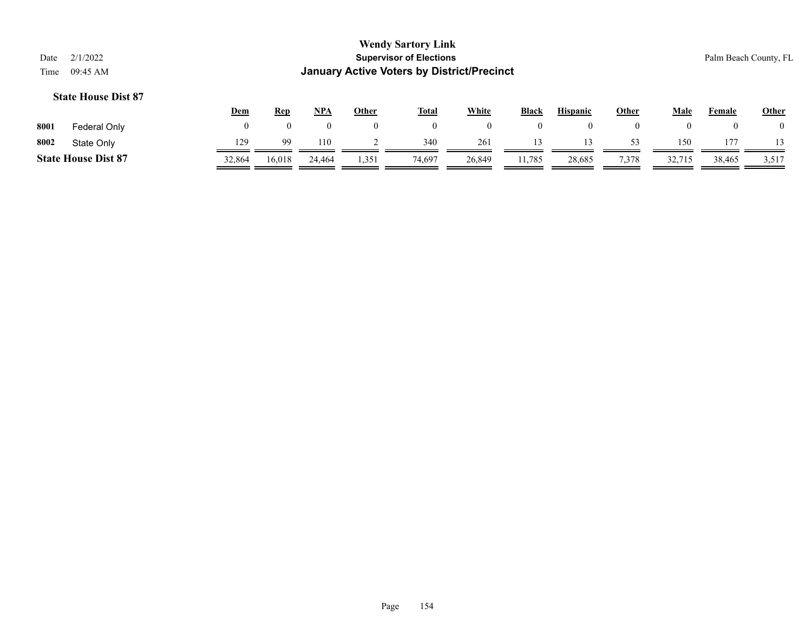| Date<br>Time                                                                                                                                                    | 2/1/2022<br>09:45 AM       |              |                |                |              | <b>Wendy Sartory Link</b><br><b>Supervisor of Elections</b><br><b>January Active Voters by District/Precinct</b> |              |                |              |                |                |          | Palm Beach County, FL |
|-----------------------------------------------------------------------------------------------------------------------------------------------------------------|----------------------------|--------------|----------------|----------------|--------------|------------------------------------------------------------------------------------------------------------------|--------------|----------------|--------------|----------------|----------------|----------|-----------------------|
| <b>State House Dist 87</b><br><b>White</b><br>$NPA$<br><b>Hispanic</b><br>Male<br>Dem<br><b>Other</b><br>Black<br>Other<br>Female<br><b>Rep</b><br><u>Total</u> |                            |              |                |                |              |                                                                                                                  |              |                |              |                |                |          |                       |
| 8001                                                                                                                                                            | Federal Only               | $\mathbf{0}$ | $\overline{0}$ | $\overline{0}$ | $\mathbf{0}$ | $\overline{0}$                                                                                                   | $\mathbf{0}$ | $\overline{0}$ | $\mathbf{0}$ | $\overline{0}$ | $\overline{0}$ | $\theta$ |                       |
| 8002                                                                                                                                                            | State Only                 | 129          | 99             | 110            |              | 340                                                                                                              | 261          | 13             | 13           | 53             | 150            | 177      |                       |
|                                                                                                                                                                 | <b>State House Dist 87</b> | 32,864       | 16.018         | 24,464         | 1,351        | 74,697                                                                                                           | 26.849       | 11.785         | 28,685       | 7,378          | 32,715         | 38,465   | 3,517                 |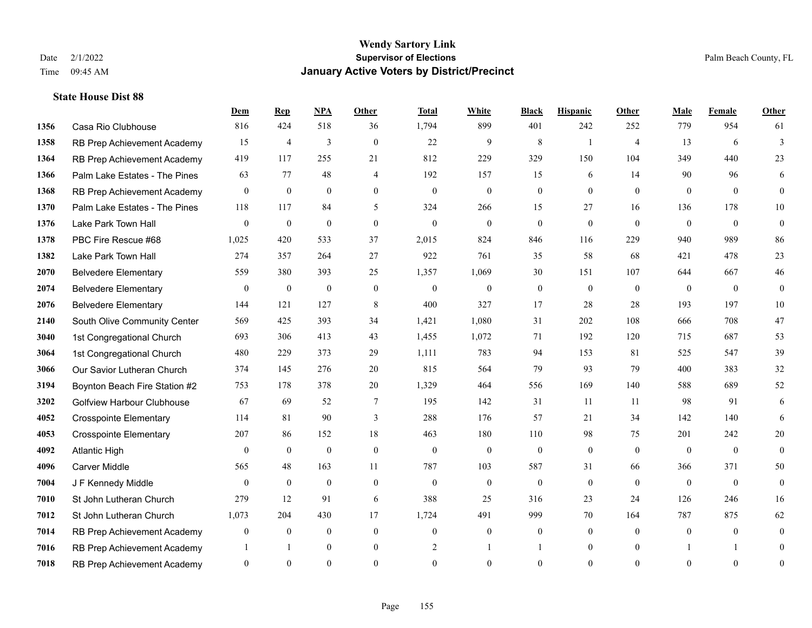**State House Dist 88**

#### **Wendy Sartory Link** Date 2/1/2022 **Supervisor of Elections** Palm Beach County, FL Time 09:45 AM **January Active Voters by District/Precinct**

Casa Rio Clubhouse 816 424 518 36 1,794 899 401 242 252 779 954 61

**Dem Rep NPA Other Total White Black Hispanic Other Male Female Other**

# RB Prep Achievement Academy 15 4 3 0 22 9 8 1 4 13 6 3 RB Prep Achievement Academy 419 117 255 21 812 229 329 150 104 349 440 23 Palm Lake Estates - The Pines 63 77 48 4 192 157 15 6 14 90 96 6 RB Prep Achievement Academy 0 0 0 0 0 0 0 0 0 0 0 0 Palm Lake Estates - The Pines 118 117 84 5 324 266 15 27 16 136 178 10 Lake Park Town Hall 0 0 0 0 0 0 0 0 0 0 0 0 PBC Fire Rescue #68 1,025 420 533 37 2,015 824 846 116 229 940 989 86 Lake Park Town Hall 274 357 264 27 922 761 35 58 68 421 478 23 Belvedere Elementary 559 380 393 25 1,357 1,069 30 151 107 644 667 46 Belvedere Elementary 0 0 0 0 0 0 0 0 0 0 0 0 Belvedere Elementary 144 121 127 8 400 327 17 28 28 193 197 10 South Olive Community Center 569 425 393 34 1,421 1,080 31 202 108 666 708 47 1st Congregational Church 693 306 413 43 1,455 1,072 71 192 120 715 687 53 1st Congregational Church 480 229 373 29 1,111 783 94 153 81 525 547 39 Our Savior Lutheran Church 374 145 276 20 815 564 79 93 79 400 383 32 Boynton Beach Fire Station #2 753 178 378 20 1,329 464 556 169 140 588 689 52 Golfview Harbour Clubhouse 67 69 52 7 195 142 31 11 11 98 91 6 Crosspointe Elementary 114 81 90 3 288 176 57 21 34 142 140 6 Crosspointe Elementary 207 86 152 18 463 180 110 98 75 201 242 20 Atlantic High 0 0 0 0 0 0 0 0 0 0 0 0 Carver Middle 565 48 163 11 787 103 587 31 66 366 371 50 J F Kennedy Middle 0 0 0 0 0 0 0 0 0 0 0 0 St John Lutheran Church 279 12 91 6 388 25 316 23 24 126 246 16

 St John Lutheran Church 1,073 204 430 17 1,724 491 999 70 164 787 875 62 RB Prep Achievement Academy 0 0 0 0 0 0 0 0 0 0 0 0 RB Prep Achievement Academy 1 1 0 0 0 2 1 1 0 1 0 0 1 1 0 RB Prep Achievement Academy 0 0 0 0 0 0 0 0 0 0 0 0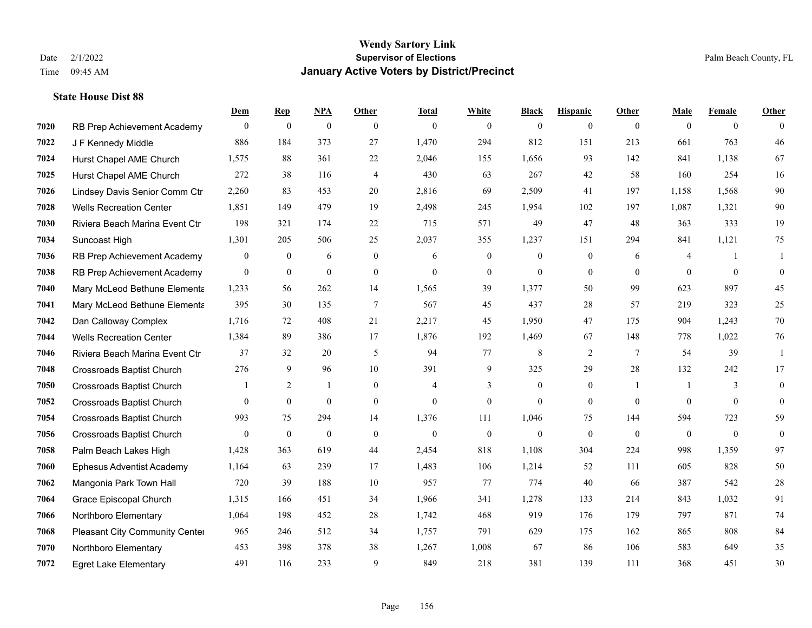|      |                                  | Dem            | <b>Rep</b>       | NPA              | <b>Other</b>   | <b>Total</b> | <b>White</b>   | <b>Black</b>     | <b>Hispanic</b> | <b>Other</b>    | <b>Male</b>    | <b>Female</b>  | <b>Other</b>     |
|------|----------------------------------|----------------|------------------|------------------|----------------|--------------|----------------|------------------|-----------------|-----------------|----------------|----------------|------------------|
| 7020 | RB Prep Achievement Academy      | $\mathbf{0}$   | $\mathbf{0}$     | $\boldsymbol{0}$ | $\theta$       | $\mathbf{0}$ | $\overline{0}$ | $\mathbf{0}$     | $\overline{0}$  | $\theta$        | $\mathbf{0}$   | $\overline{0}$ | $\Omega$         |
| 7022 | J F Kennedy Middle               | 886            | 184              | 373              | 27             | 1,470        | 294            | 812              | 151             | 213             | 661            | 763            | 46               |
| 7024 | Hurst Chapel AME Church          | 1,575          | 88               | 361              | 22             | 2,046        | 155            | 1,656            | 93              | 142             | 841            | 1,138          | 67               |
| 7025 | Hurst Chapel AME Church          | 272            | 38               | 116              | $\overline{4}$ | 430          | 63             | 267              | 42              | 58              | 160            | 254            | 16               |
| 7026 | Lindsey Davis Senior Comm Ctr    | 2,260          | 83               | 453              | 20             | 2,816        | 69             | 2,509            | 41              | 197             | 1,158          | 1,568          | $90\,$           |
| 7028 | <b>Wells Recreation Center</b>   | 1,851          | 149              | 479              | 19             | 2,498        | 245            | 1,954            | 102             | 197             | 1,087          | 1,321          | $90\,$           |
| 7030 | Riviera Beach Marina Event Ctr   | 198            | 321              | 174              | 22             | 715          | 571            | 49               | 47              | 48              | 363            | 333            | 19               |
| 7034 | Suncoast High                    | 1,301          | 205              | 506              | 25             | 2,037        | 355            | 1,237            | 151             | 294             | 841            | 1,121          | 75               |
| 7036 | RB Prep Achievement Academy      | $\mathbf{0}$   | $\boldsymbol{0}$ | 6                | $\mathbf{0}$   | 6            | $\overline{0}$ | $\mathbf{0}$     | $\mathbf{0}$    | 6               | $\overline{4}$ | $\mathbf{1}$   | $\mathbf{1}$     |
| 7038 | RB Prep Achievement Academy      | $\mathbf{0}$   | $\mathbf{0}$     | $\mathbf{0}$     | $\mathbf{0}$   | $\mathbf{0}$ | $\mathbf{0}$   | $\mathbf{0}$     | $\mathbf{0}$    | $\overline{0}$  | $\overline{0}$ | $\mathbf{0}$   | $\boldsymbol{0}$ |
| 7040 | Mary McLeod Bethune Elementa     | 1,233          | 56               | 262              | 14             | 1,565        | 39             | 1.377            | 50              | 99              | 623            | 897            | 45               |
| 7041 | Mary McLeod Bethune Elementa     | 395            | 30               | 135              | $\tau$         | 567          | 45             | 437              | 28              | 57              | 219            | 323            | 25               |
| 7042 | Dan Calloway Complex             | 1,716          | 72               | 408              | 21             | 2,217        | 45             | 1,950            | 47              | 175             | 904            | 1,243          | $70\,$           |
| 7044 | <b>Wells Recreation Center</b>   | 1,384          | 89               | 386              | 17             | 1,876        | 192            | 1,469            | 67              | 148             | 778            | 1,022          | 76               |
| 7046 | Riviera Beach Marina Event Ctr   | 37             | 32               | 20               | 5              | 94           | 77             | 8                | 2               | $7\phantom{.0}$ | 54             | 39             | $\mathbf{1}$     |
| 7048 | <b>Crossroads Baptist Church</b> | 276            | 9                | 96               | 10             | 391          | 9              | 325              | 29              | 28              | 132            | 242            | 17               |
| 7050 | <b>Crossroads Baptist Church</b> |                | 2                | 1                | $\mathbf{0}$   | 4            | 3              | $\boldsymbol{0}$ | $\mathbf{0}$    | $\overline{1}$  | -1             | 3              | $\mathbf{0}$     |
| 7052 | <b>Crossroads Baptist Church</b> | $\theta$       | $\overline{0}$   | $\mathbf{0}$     | $\theta$       | $\theta$     | $\overline{0}$ | $\theta$         | $\theta$        | $\theta$        | $\theta$       | $\theta$       | $\mathbf{0}$     |
| 7054 | Crossroads Baptist Church        | 993            | 75               | 294              | 14             | 1,376        | 111            | 1,046            | 75              | 144             | 594            | 723            | 59               |
| 7056 | <b>Crossroads Baptist Church</b> | $\overline{0}$ | $\mathbf{0}$     | $\mathbf{0}$     | $\mathbf{0}$   | $\theta$     | $\overline{0}$ | $\mathbf{0}$     | $\mathbf{0}$    | $\theta$        | $\mathbf{0}$   | $\theta$       | $\boldsymbol{0}$ |
| 7058 | Palm Beach Lakes High            | 1,428          | 363              | 619              | 44             | 2,454        | 818            | 1,108            | 304             | 224             | 998            | 1,359          | 97               |
| 7060 | <b>Ephesus Adventist Academy</b> | 1,164          | 63               | 239              | 17             | 1,483        | 106            | 1,214            | 52              | 111             | 605            | 828            | $50\,$           |
| 7062 | Mangonia Park Town Hall          | 720            | 39               | 188              | 10             | 957          | 77             | 774              | 40              | 66              | 387            | 542            | $28\,$           |
| 7064 | Grace Episcopal Church           | 1,315          | 166              | 451              | 34             | 1,966        | 341            | 1,278            | 133             | 214             | 843            | 1,032          | 91               |
| 7066 | Northboro Elementary             | 1,064          | 198              | 452              | 28             | 1,742        | 468            | 919              | 176             | 179             | 797            | 871            | 74               |
| 7068 | Pleasant City Community Center   | 965            | 246              | 512              | 34             | 1,757        | 791            | 629              | 175             | 162             | 865            | 808            | 84               |
| 7070 | Northboro Elementary             | 453            | 398              | 378              | 38             | 1,267        | 1,008          | 67               | 86              | 106             | 583            | 649            | 35               |
| 7072 | <b>Egret Lake Elementary</b>     | 491            | 116              | 233              | 9              | 849          | 218            | 381              | 139             | 111             | 368            | 451            | 30               |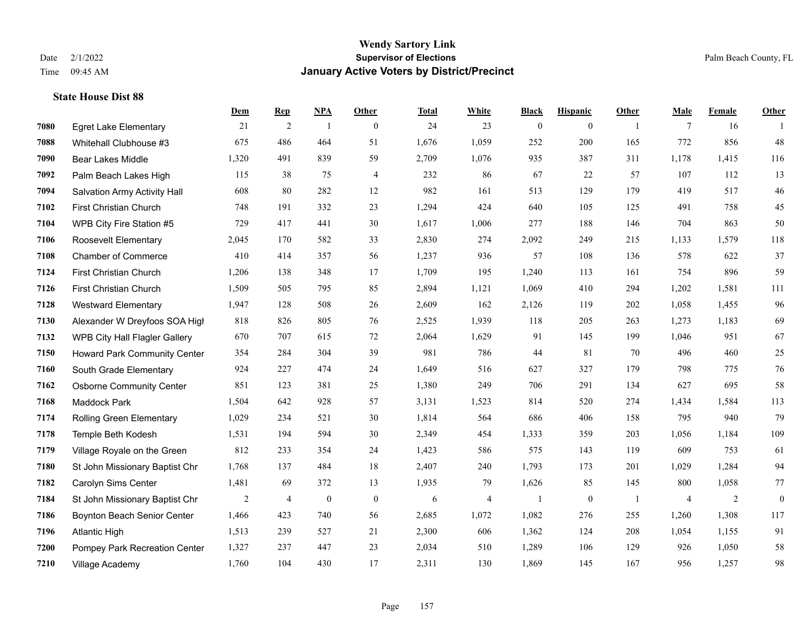|      |                                     | Dem   | <b>Rep</b>     | NPA              | <b>Other</b>   | <b>Total</b> | <b>White</b> | <b>Black</b>   | <b>Hispanic</b> | <b>Other</b>   | <b>Male</b> | Female | <b>Other</b>     |
|------|-------------------------------------|-------|----------------|------------------|----------------|--------------|--------------|----------------|-----------------|----------------|-------------|--------|------------------|
| 7080 | <b>Egret Lake Elementary</b>        | 21    | 2              | $\overline{1}$   | $\mathbf{0}$   | 24           | 23           | $\mathbf{0}$   | $\overline{0}$  | $\overline{1}$ | 7           | 16     | -1               |
| 7088 | Whitehall Clubhouse #3              | 675   | 486            | 464              | 51             | 1,676        | 1,059        | 252            | 200             | 165            | 772         | 856    | 48               |
| 7090 | <b>Bear Lakes Middle</b>            | 1,320 | 491            | 839              | 59             | 2,709        | 1,076        | 935            | 387             | 311            | 1,178       | 1,415  | 116              |
| 7092 | Palm Beach Lakes High               | 115   | 38             | 75               | $\overline{4}$ | 232          | 86           | 67             | 22              | 57             | 107         | 112    | 13               |
| 7094 | Salvation Army Activity Hall        | 608   | 80             | 282              | 12             | 982          | 161          | 513            | 129             | 179            | 419         | 517    | $46\,$           |
| 7102 | First Christian Church              | 748   | 191            | 332              | 23             | 1,294        | 424          | 640            | 105             | 125            | 491         | 758    | 45               |
| 7104 | WPB City Fire Station #5            | 729   | 417            | 441              | 30             | 1,617        | 1,006        | 277            | 188             | 146            | 704         | 863    | 50               |
| 7106 | Roosevelt Elementary                | 2,045 | 170            | 582              | 33             | 2,830        | 274          | 2,092          | 249             | 215            | 1,133       | 1,579  | 118              |
| 7108 | <b>Chamber of Commerce</b>          | 410   | 414            | 357              | 56             | 1,237        | 936          | 57             | 108             | 136            | 578         | 622    | 37               |
| 7124 | First Christian Church              | 1,206 | 138            | 348              | 17             | 1,709        | 195          | 1,240          | 113             | 161            | 754         | 896    | 59               |
| 7126 | First Christian Church              | 1,509 | 505            | 795              | 85             | 2,894        | 1,121        | 1,069          | 410             | 294            | 1,202       | 1,581  | 111              |
| 7128 | <b>Westward Elementary</b>          | 1,947 | 128            | 508              | 26             | 2,609        | 162          | 2,126          | 119             | 202            | 1.058       | 1,455  | 96               |
| 7130 | Alexander W Dreyfoos SOA High       | 818   | 826            | 805              | 76             | 2,525        | 1,939        | 118            | 205             | 263            | 1,273       | 1,183  | 69               |
| 7132 | WPB City Hall Flagler Gallery       | 670   | 707            | 615              | 72             | 2,064        | 1,629        | 91             | 145             | 199            | 1,046       | 951    | 67               |
| 7150 | <b>Howard Park Community Center</b> | 354   | 284            | 304              | 39             | 981          | 786          | 44             | 81              | 70             | 496         | 460    | $25\,$           |
| 7160 | South Grade Elementary              | 924   | 227            | 474              | 24             | 1,649        | 516          | 627            | 327             | 179            | 798         | 775    | 76               |
| 7162 | <b>Osborne Community Center</b>     | 851   | 123            | 381              | 25             | 1,380        | 249          | 706            | 291             | 134            | 627         | 695    | 58               |
| 7168 | Maddock Park                        | 1,504 | 642            | 928              | 57             | 3,131        | 1,523        | 814            | 520             | 274            | 1,434       | 1,584  | 113              |
| 7174 | <b>Rolling Green Elementary</b>     | 1,029 | 234            | 521              | 30             | 1,814        | 564          | 686            | 406             | 158            | 795         | 940    | 79               |
| 7178 | Temple Beth Kodesh                  | 1,531 | 194            | 594              | 30             | 2,349        | 454          | 1,333          | 359             | 203            | 1,056       | 1,184  | 109              |
| 7179 | Village Royale on the Green         | 812   | 233            | 354              | 24             | 1,423        | 586          | 575            | 143             | 119            | 609         | 753    | 61               |
| 7180 | St John Missionary Baptist Chr      | 1,768 | 137            | 484              | 18             | 2,407        | 240          | 1,793          | 173             | 201            | 1,029       | 1,284  | 94               |
| 7182 | Carolyn Sims Center                 | 1,481 | 69             | 372              | 13             | 1,935        | 79           | 1,626          | 85              | 145            | 800         | 1,058  | $77\,$           |
| 7184 | St John Missionary Baptist Chr      | 2     | $\overline{4}$ | $\boldsymbol{0}$ | $\mathbf{0}$   | 6            | 4            | $\overline{1}$ | $\bf{0}$        | -1             | 4           | 2      | $\boldsymbol{0}$ |
| 7186 | Boynton Beach Senior Center         | 1,466 | 423            | 740              | 56             | 2,685        | 1,072        | 1,082          | 276             | 255            | 1,260       | 1,308  | 117              |
| 7196 | <b>Atlantic High</b>                | 1,513 | 239            | 527              | 21             | 2,300        | 606          | 1,362          | 124             | 208            | 1,054       | 1,155  | 91               |
| 7200 | Pompey Park Recreation Center       | 1,327 | 237            | 447              | 23             | 2,034        | 510          | 1,289          | 106             | 129            | 926         | 1,050  | 58               |
| 7210 | Village Academy                     | 1,760 | 104            | 430              | 17             | 2,311        | 130          | 1,869          | 145             | 167            | 956         | 1,257  | 98               |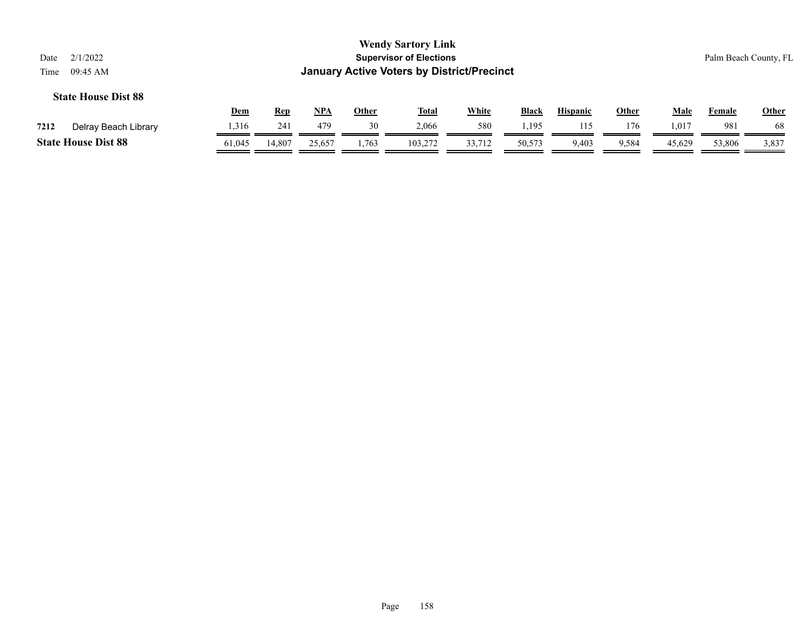|                            | <b>Wendy Sartory Link</b>                  |                       |
|----------------------------|--------------------------------------------|-----------------------|
| Date 2/1/2022              | <b>Supervisor of Elections</b>             | Palm Beach County, FL |
| Time $09:45 \text{ AM}$    | January Active Voters by District/Precinct |                       |
| <b>State House Dist 88</b> |                                            |                       |

|      |                            | <u>Dem</u> | <b>Rep</b> | NPA    | Other | <b>Total</b> | <b>White</b> | <b>Black</b> | <b>Hispanic</b> | Other | Male           | Female | <b>Other</b> |
|------|----------------------------|------------|------------|--------|-------|--------------|--------------|--------------|-----------------|-------|----------------|--------|--------------|
| 7212 | Delray Beach Library       | .316       | 241        | 479    | 30    | 2,066        | 580          | 195          |                 | 176   | $1.01^{\circ}$ | 981    | 68           |
|      | <b>State House Dist 88</b> | 61,045     | 14,807     | 25,657 | 1,763 | 103,272      | 33,712       | 50,573       | 403.            | 9,584 | 45,629         | 53,806 | 3,837        |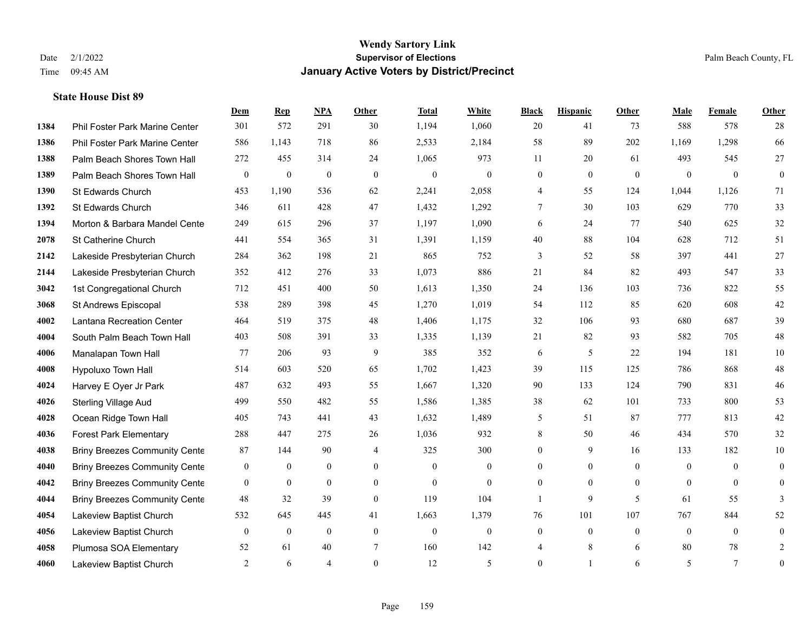|      |                                      | Dem              | <b>Rep</b>       | NPA              | Other          | <b>Total</b>     | <b>White</b>     | <b>Black</b>     | <b>Hispanic</b> | Other        | <b>Male</b>    | <b>Female</b>  | <b>Other</b>     |
|------|--------------------------------------|------------------|------------------|------------------|----------------|------------------|------------------|------------------|-----------------|--------------|----------------|----------------|------------------|
| 1384 | Phil Foster Park Marine Center       | 301              | 572              | 291              | 30             | 1,194            | 1,060            | 20               | 41              | 73           | 588            | 578            | 28               |
| 1386 | Phil Foster Park Marine Center       | 586              | 1,143            | 718              | 86             | 2,533            | 2,184            | 58               | 89              | 202          | 1,169          | 1,298          | 66               |
| 1388 | Palm Beach Shores Town Hall          | 272              | 455              | 314              | 24             | 1,065            | 973              | 11               | 20              | 61           | 493            | 545            | 27               |
| 1389 | Palm Beach Shores Town Hall          | $\mathbf{0}$     | $\mathbf{0}$     | $\boldsymbol{0}$ | $\mathbf{0}$   | $\mathbf{0}$     | $\mathbf{0}$     | $\boldsymbol{0}$ | $\overline{0}$  | $\mathbf{0}$ | $\overline{0}$ | $\mathbf{0}$   | $\mathbf{0}$     |
| 1390 | St Edwards Church                    | 453              | 1,190            | 536              | 62             | 2,241            | 2,058            | 4                | 55              | 124          | 1,044          | 1,126          | 71               |
| 1392 | St Edwards Church                    | 346              | 611              | 428              | 47             | 1,432            | 1,292            | 7                | 30              | 103          | 629            | 770            | 33               |
| 1394 | Morton & Barbara Mandel Cente        | 249              | 615              | 296              | 37             | 1,197            | 1,090            | 6                | 24              | 77           | 540            | 625            | 32               |
| 2078 | St Catherine Church                  | 441              | 554              | 365              | 31             | 1,391            | 1,159            | 40               | 88              | 104          | 628            | 712            | 51               |
| 2142 | Lakeside Presbyterian Church         | 284              | 362              | 198              | 21             | 865              | 752              | 3                | 52              | 58           | 397            | 441            | 27               |
| 2144 | Lakeside Presbyterian Church         | 352              | 412              | 276              | 33             | 1,073            | 886              | 21               | 84              | 82           | 493            | 547            | 33               |
| 3042 | 1st Congregational Church            | 712              | 451              | 400              | 50             | 1,613            | 1,350            | 24               | 136             | 103          | 736            | 822            | 55               |
| 3068 | St Andrews Episcopal                 | 538              | 289              | 398              | 45             | 1,270            | 1,019            | 54               | 112             | 85           | 620            | 608            | $42\,$           |
| 4002 | Lantana Recreation Center            | 464              | 519              | 375              | 48             | 1,406            | 1,175            | 32               | 106             | 93           | 680            | 687            | 39               |
| 4004 | South Palm Beach Town Hall           | 403              | 508              | 391              | 33             | 1,335            | 1,139            | 21               | 82              | 93           | 582            | 705            | $48\,$           |
| 4006 | Manalapan Town Hall                  | 77               | 206              | 93               | 9              | 385              | 352              | 6                | 5               | 22           | 194            | 181            | $10\,$           |
| 4008 | Hypoluxo Town Hall                   | 514              | 603              | 520              | 65             | 1,702            | 1,423            | 39               | 115             | 125          | 786            | 868            | $48\,$           |
| 4024 | Harvey E Oyer Jr Park                | 487              | 632              | 493              | 55             | 1,667            | 1,320            | 90               | 133             | 124          | 790            | 831            | $46\,$           |
| 4026 | <b>Sterling Village Aud</b>          | 499              | 550              | 482              | 55             | 1,586            | 1,385            | 38               | 62              | 101          | 733            | 800            | 53               |
| 4028 | Ocean Ridge Town Hall                | 405              | 743              | 441              | 43             | 1,632            | 1,489            | 5                | 51              | 87           | 777            | 813            | $42\,$           |
| 4036 | <b>Forest Park Elementary</b>        | 288              | 447              | 275              | 26             | 1,036            | 932              | 8                | 50              | 46           | 434            | 570            | 32               |
| 4038 | <b>Briny Breezes Community Cente</b> | 87               | 144              | 90               | $\overline{4}$ | 325              | 300              | $\overline{0}$   | 9               | 16           | 133            | 182            | 10               |
| 4040 | <b>Briny Breezes Community Cente</b> | $\boldsymbol{0}$ | $\mathbf{0}$     | $\mathbf{0}$     | $\overline{0}$ | $\overline{0}$   | $\boldsymbol{0}$ | $\overline{0}$   | $\mathbf{0}$    | $\theta$     | $\overline{0}$ | $\theta$       | $\mathbf{0}$     |
| 4042 | <b>Briny Breezes Community Cente</b> | $\mathbf{0}$     | $\mathbf{0}$     | $\mathbf{0}$     | $\theta$       | $\mathbf{0}$     | $\theta$         | $\overline{0}$   | $\overline{0}$  | $\theta$     | $\theta$       | $\theta$       | $\mathbf{0}$     |
| 4044 | <b>Briny Breezes Community Cente</b> | 48               | 32               | 39               | $\mathbf{0}$   | 119              | 104              | 1                | 9               | 5            | 61             | 55             | 3                |
| 4054 | Lakeview Baptist Church              | 532              | 645              | 445              | 41             | 1,663            | 1,379            | 76               | 101             | 107          | 767            | 844            | 52               |
| 4056 | Lakeview Baptist Church              | $\boldsymbol{0}$ | $\boldsymbol{0}$ | $\boldsymbol{0}$ | $\mathbf{0}$   | $\boldsymbol{0}$ | $\boldsymbol{0}$ | $\boldsymbol{0}$ | $\mathbf{0}$    | $\mathbf{0}$ | $\overline{0}$ | $\overline{0}$ | $\boldsymbol{0}$ |
| 4058 | Plumosa SOA Elementary               | 52               | 61               | 40               | $\tau$         | 160              | 142              | 4                | 8               | 6            | 80             | 78             | $\overline{2}$   |
| 4060 | Lakeview Baptist Church              | 2                | 6                | $\overline{4}$   | $\theta$       | 12               | 5                | $\overline{0}$   | 1               | 6            | 5              | $\tau$         | $\boldsymbol{0}$ |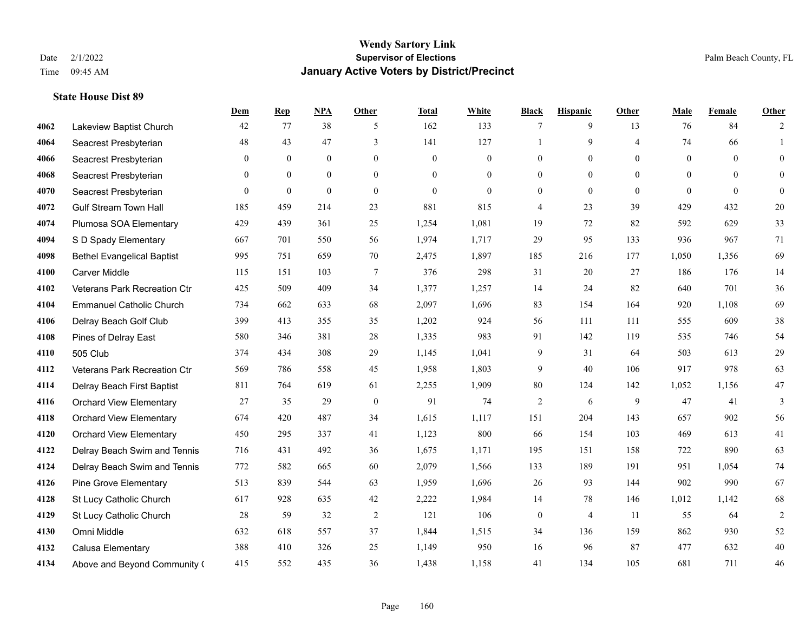**State House Dist 89**

## **Wendy Sartory Link** Date 2/1/2022 **Supervisor of Elections** Palm Beach County, FL Time 09:45 AM **January Active Voters by District/Precinct**

|      |                                   | Dem          | $\mathbf{Rep}$   | <b>NPA</b>       | Other          | <b>Total</b>     | White          | <b>Black</b>     | <b>Hispanic</b> | Other          | Male           | Female         | Other            |
|------|-----------------------------------|--------------|------------------|------------------|----------------|------------------|----------------|------------------|-----------------|----------------|----------------|----------------|------------------|
| 4062 | Lakeview Baptist Church           | 42           | 77               | 38               | 5              | 162              | 133            | 7                | 9               | 13             | 76             | 84             | $\overline{2}$   |
| 4064 | Seacrest Presbyterian             | 48           | 43               | 47               | $\overline{3}$ | 141              | 127            |                  | 9               | $\overline{4}$ | 74             | 66             | $\mathbf{1}$     |
| 4066 | Seacrest Presbyterian             | $\mathbf{0}$ | $\boldsymbol{0}$ | $\boldsymbol{0}$ | $\mathbf{0}$   | $\boldsymbol{0}$ | $\mathbf{0}$   | $\mathbf{0}$     | $\overline{0}$  | $\mathbf{0}$   | $\mathbf{0}$   | $\overline{0}$ | $\boldsymbol{0}$ |
| 4068 | Seacrest Presbyterian             | $\theta$     | $\mathbf{0}$     | $\overline{0}$   | $\theta$       | $\Omega$         | $\overline{0}$ | $\mathbf{0}$     | $\mathbf{0}$    | $\theta$       | $\overline{0}$ | $\theta$       | $\mathbf{0}$     |
| 4070 | Seacrest Presbyterian             | $\theta$     | $\theta$         | $\theta$         | $\mathbf{0}$   | $\Omega$         | $\Omega$       | $\mathbf{0}$     | $\theta$        | $\theta$       | $\Omega$       | $\Omega$       | $\overline{0}$   |
| 4072 | <b>Gulf Stream Town Hall</b>      | 185          | 459              | 214              | 23             | 881              | 815            | 4                | 23              | 39             | 429            | 432            | 20               |
| 4074 | Plumosa SOA Elementary            | 429          | 439              | 361              | 25             | 1,254            | 1,081          | 19               | 72              | 82             | 592            | 629            | 33               |
| 4094 | S D Spady Elementary              | 667          | 701              | 550              | 56             | 1,974            | 1,717          | 29               | 95              | 133            | 936            | 967            | 71               |
| 4098 | <b>Bethel Evangelical Baptist</b> | 995          | 751              | 659              | 70             | 2,475            | 1,897          | 185              | 216             | 177            | 1,050          | 1,356          | 69               |
| 4100 | <b>Carver Middle</b>              | 115          | 151              | 103              | $\tau$         | 376              | 298            | 31               | 20              | 27             | 186            | 176            | 14               |
| 4102 | Veterans Park Recreation Ctr      | 425          | 509              | 409              | 34             | 1,377            | 1,257          | 14               | 24              | 82             | 640            | 701            | 36               |
| 4104 | <b>Emmanuel Catholic Church</b>   | 734          | 662              | 633              | 68             | 2,097            | 1,696          | 83               | 154             | 164            | 920            | 1,108          | 69               |
| 4106 | Delray Beach Golf Club            | 399          | 413              | 355              | 35             | 1,202            | 924            | 56               | 111             | 111            | 555            | 609            | 38               |
| 4108 | Pines of Delray East              | 580          | 346              | 381              | 28             | 1,335            | 983            | 91               | 142             | 119            | 535            | 746            | 54               |
| 4110 | 505 Club                          | 374          | 434              | 308              | 29             | 1,145            | 1,041          | 9                | 31              | 64             | 503            | 613            | 29               |
| 4112 | Veterans Park Recreation Ctr      | 569          | 786              | 558              | 45             | 1,958            | 1,803          | 9                | 40              | 106            | 917            | 978            | 63               |
| 4114 | Delray Beach First Baptist        | 811          | 764              | 619              | 61             | 2,255            | 1,909          | 80               | 124             | 142            | 1,052          | 1,156          | 47               |
| 4116 | <b>Orchard View Elementary</b>    | 27           | 35               | 29               | $\mathbf{0}$   | 91               | 74             | $\overline{2}$   | 6               | 9              | 47             | 41             | 3                |
| 4118 | <b>Orchard View Elementary</b>    | 674          | 420              | 487              | 34             | 1,615            | 1,117          | 151              | 204             | 143            | 657            | 902            | 56               |
| 4120 | <b>Orchard View Elementary</b>    | 450          | 295              | 337              | 41             | 1,123            | 800            | 66               | 154             | 103            | 469            | 613            | 41               |
| 4122 | Delray Beach Swim and Tennis      | 716          | 431              | 492              | 36             | 1,675            | 1,171          | 195              | 151             | 158            | 722            | 890            | 63               |
| 4124 | Delray Beach Swim and Tennis      | 772          | 582              | 665              | 60             | 2,079            | 1,566          | 133              | 189             | 191            | 951            | 1,054          | 74               |
| 4126 | Pine Grove Elementary             | 513          | 839              | 544              | 63             | 1,959            | 1,696          | 26               | 93              | 144            | 902            | 990            | 67               |
| 4128 | St Lucy Catholic Church           | 617          | 928              | 635              | 42             | 2,222            | 1,984          | 14               | 78              | 146            | 1,012          | 1,142          | 68               |
| 4129 | St Lucy Catholic Church           | 28           | 59               | 32               | $\sqrt{2}$     | 121              | 106            | $\boldsymbol{0}$ | 4               | 11             | 55             | 64             | $\sqrt{2}$       |
| 4130 | Omni Middle                       | 632          | 618              | 557              | 37             | 1,844            | 1,515          | 34               | 136             | 159            | 862            | 930            | 52               |
| 4132 | Calusa Elementary                 | 388          | 410              | 326              | 25             | 1,149            | 950            | 16               | 96              | 87             | 477            | 632            | $40\,$           |
| 4134 | Above and Beyond Community (      | 415          | 552              | 435              | 36             | 1,438            | 1,158          | 41               | 134             | 105            | 681            | 711            | 46               |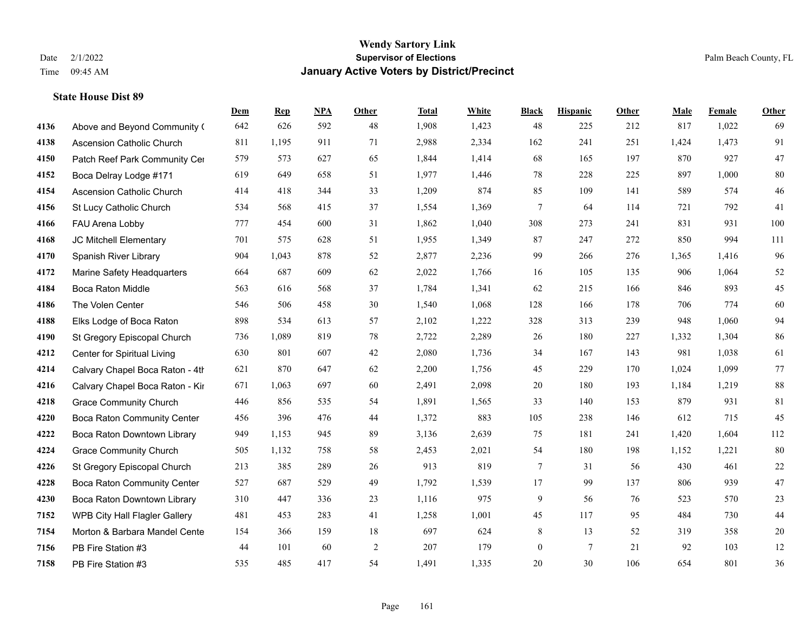|      |                                  | Dem | <b>Rep</b> | NPA | <b>Other</b> | <b>Total</b> | <b>White</b> | <b>Black</b>     | <b>Hispanic</b> | <b>Other</b> | <b>Male</b> | <b>Female</b> | <b>Other</b> |
|------|----------------------------------|-----|------------|-----|--------------|--------------|--------------|------------------|-----------------|--------------|-------------|---------------|--------------|
| 4136 | Above and Beyond Community (     | 642 | 626        | 592 | 48           | 1,908        | 1,423        | 48               | 225             | 212          | 817         | 1,022         | 69           |
| 4138 | <b>Ascension Catholic Church</b> | 811 | 1,195      | 911 | 71           | 2,988        | 2,334        | 162              | 241             | 251          | 1,424       | 1,473         | 91           |
| 4150 | Patch Reef Park Community Cer    | 579 | 573        | 627 | 65           | 1,844        | 1,414        | 68               | 165             | 197          | 870         | 927           | $47\,$       |
| 4152 | Boca Delray Lodge #171           | 619 | 649        | 658 | 51           | 1,977        | 1,446        | 78               | 228             | 225          | 897         | 1,000         | 80           |
| 4154 | Ascension Catholic Church        | 414 | 418        | 344 | 33           | 1,209        | 874          | 85               | 109             | 141          | 589         | 574           | 46           |
| 4156 | St Lucy Catholic Church          | 534 | 568        | 415 | 37           | 1,554        | 1,369        | 7                | 64              | 114          | 721         | 792           | 41           |
| 4166 | FAU Arena Lobby                  | 777 | 454        | 600 | 31           | 1,862        | 1,040        | 308              | 273             | 241          | 831         | 931           | 100          |
| 4168 | JC Mitchell Elementary           | 701 | 575        | 628 | 51           | 1,955        | 1,349        | 87               | 247             | 272          | 850         | 994           | 111          |
| 4170 | Spanish River Library            | 904 | 1,043      | 878 | 52           | 2,877        | 2,236        | 99               | 266             | 276          | 1,365       | 1,416         | 96           |
| 4172 | Marine Safety Headquarters       | 664 | 687        | 609 | 62           | 2,022        | 1,766        | 16               | 105             | 135          | 906         | 1,064         | 52           |
| 4184 | Boca Raton Middle                | 563 | 616        | 568 | 37           | 1,784        | 1,341        | 62               | 215             | 166          | 846         | 893           | 45           |
| 4186 | The Volen Center                 | 546 | 506        | 458 | 30           | 1,540        | 1,068        | 128              | 166             | 178          | 706         | 774           | 60           |
| 4188 | Elks Lodge of Boca Raton         | 898 | 534        | 613 | 57           | 2,102        | 1,222        | 328              | 313             | 239          | 948         | 1,060         | 94           |
| 4190 | St Gregory Episcopal Church      | 736 | 1,089      | 819 | 78           | 2,722        | 2,289        | 26               | 180             | 227          | 1,332       | 1,304         | 86           |
| 4212 | Center for Spiritual Living      | 630 | 801        | 607 | 42           | 2,080        | 1,736        | 34               | 167             | 143          | 981         | 1,038         | 61           |
| 4214 | Calvary Chapel Boca Raton - 4th  | 621 | 870        | 647 | 62           | 2,200        | 1,756        | 45               | 229             | 170          | 1,024       | 1,099         | 77           |
| 4216 | Calvary Chapel Boca Raton - Kir  | 671 | 1,063      | 697 | 60           | 2,491        | 2,098        | $20\,$           | 180             | 193          | 1,184       | 1,219         | 88           |
| 4218 | <b>Grace Community Church</b>    | 446 | 856        | 535 | 54           | 1,891        | 1,565        | 33               | 140             | 153          | 879         | 931           | 81           |
| 4220 | Boca Raton Community Center      | 456 | 396        | 476 | 44           | 1,372        | 883          | 105              | 238             | 146          | 612         | 715           | 45           |
| 4222 | Boca Raton Downtown Library      | 949 | 1,153      | 945 | 89           | 3,136        | 2,639        | 75               | 181             | 241          | 1,420       | 1,604         | 112          |
| 4224 | <b>Grace Community Church</b>    | 505 | 1,132      | 758 | 58           | 2,453        | 2,021        | 54               | 180             | 198          | 1,152       | 1,221         | 80           |
| 4226 | St Gregory Episcopal Church      | 213 | 385        | 289 | 26           | 913          | 819          | $\tau$           | 31              | 56           | 430         | 461           | $22\,$       |
| 4228 | Boca Raton Community Center      | 527 | 687        | 529 | 49           | 1,792        | 1,539        | $17\,$           | 99              | 137          | 806         | 939           | 47           |
| 4230 | Boca Raton Downtown Library      | 310 | 447        | 336 | 23           | 1,116        | 975          | 9                | 56              | 76           | 523         | 570           | 23           |
| 7152 | WPB City Hall Flagler Gallery    | 481 | 453        | 283 | 41           | 1,258        | 1,001        | 45               | 117             | 95           | 484         | 730           | 44           |
| 7154 | Morton & Barbara Mandel Cente    | 154 | 366        | 159 | 18           | 697          | 624          | 8                | 13              | 52           | 319         | 358           | $20\,$       |
| 7156 | PB Fire Station #3               | 44  | 101        | 60  | $\sqrt{2}$   | 207          | 179          | $\boldsymbol{0}$ | $7\overline{ }$ | 21           | 92          | 103           | 12           |
| 7158 | PB Fire Station #3               | 535 | 485        | 417 | 54           | 1,491        | 1,335        | 20               | 30              | 106          | 654         | 801           | 36           |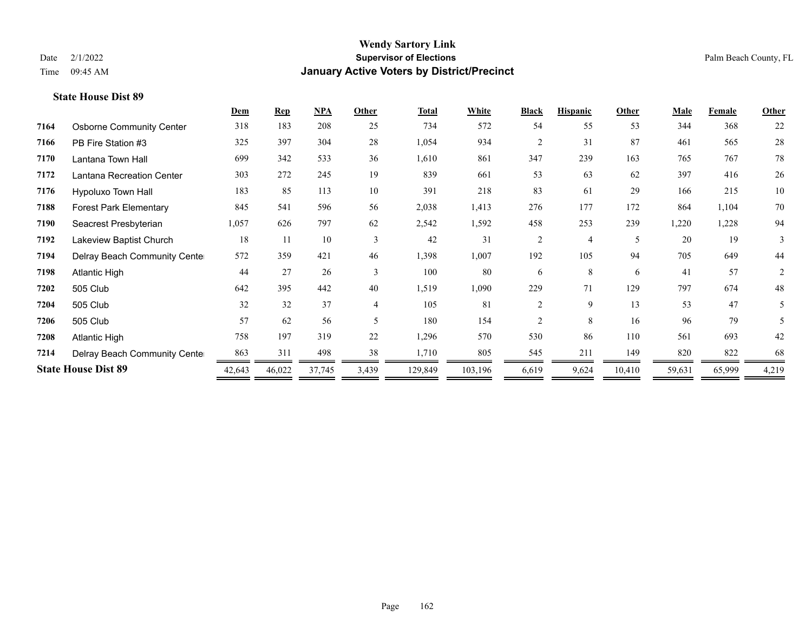| 22<br>368                                            |
|------------------------------------------------------|
| 28<br>565                                            |
| 78<br>767                                            |
| 26<br>416                                            |
| $10\,$<br>215                                        |
| $70\,$<br>1,104                                      |
| 94<br>1,228                                          |
| 19<br>3                                              |
| 44                                                   |
| $\overline{2}$                                       |
| 48                                                   |
| 5                                                    |
| 5                                                    |
| 42                                                   |
| 68                                                   |
| 4,219                                                |
| 649<br>57<br>674<br>47<br>79<br>693<br>822<br>65,999 |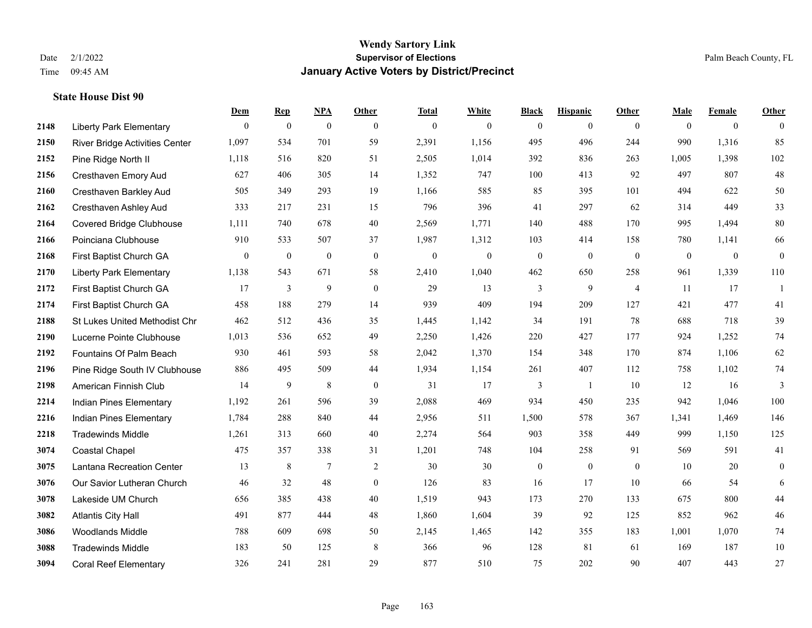**State House Dist 90**

## **Wendy Sartory Link** Date 2/1/2022 **Supervisor of Elections** Palm Beach County, FL Time 09:45 AM **January Active Voters by District/Precinct**

|      |                                 | Dem            | <b>Rep</b> | <u>NPA</u>       | Other        | <b>Total</b>     | White            | <b>Black</b>     | <b>Hispanic</b>  | Other          | Male         | Female       | Other            |
|------|---------------------------------|----------------|------------|------------------|--------------|------------------|------------------|------------------|------------------|----------------|--------------|--------------|------------------|
| 2148 | <b>Liberty Park Elementary</b>  | $\theta$       | $\bf{0}$   | $\mathbf{0}$     | $\theta$     | $\mathbf{0}$     | $\mathbf{0}$     | $\mathbf{0}$     | $\mathbf{0}$     | $\theta$       | $\theta$     | $\mathbf{0}$ | $\mathbf{0}$     |
| 2150 | River Bridge Activities Center  | 1,097          | 534        | 701              | 59           | 2,391            | 1,156            | 495              | 496              | 244            | 990          | 1,316        | 85               |
| 2152 | Pine Ridge North II             | 1,118          | 516        | 820              | 51           | 2,505            | 1,014            | 392              | 836              | 263            | 1,005        | 1,398        | 102              |
| 2156 | Cresthaven Emory Aud            | 627            | 406        | 305              | 14           | 1,352            | 747              | 100              | 413              | 92             | 497          | 807          | 48               |
| 2160 | Cresthaven Barkley Aud          | 505            | 349        | 293              | 19           | 1,166            | 585              | 85               | 395              | 101            | 494          | 622          | 50               |
| 2162 | <b>Cresthaven Ashley Aud</b>    | 333            | 217        | 231              | 15           | 796              | 396              | 41               | 297              | 62             | 314          | 449          | 33               |
| 2164 | <b>Covered Bridge Clubhouse</b> | 1,111          | 740        | 678              | 40           | 2,569            | 1,771            | 140              | 488              | 170            | 995          | 1,494        | $80\,$           |
| 2166 | Poinciana Clubhouse             | 910            | 533        | 507              | 37           | 1,987            | 1,312            | 103              | 414              | 158            | 780          | 1,141        | 66               |
| 2168 | First Baptist Church GA         | $\overline{0}$ | $\bf{0}$   | $\boldsymbol{0}$ | $\mathbf{0}$ | $\boldsymbol{0}$ | $\boldsymbol{0}$ | $\bf{0}$         | $\mathbf{0}$     | $\mathbf{0}$   | $\mathbf{0}$ | $\mathbf{0}$ | $\boldsymbol{0}$ |
| 2170 | <b>Liberty Park Elementary</b>  | 1,138          | 543        | 671              | 58           | 2,410            | 1,040            | 462              | 650              | 258            | 961          | 1,339        | 110              |
| 2172 | First Baptist Church GA         | 17             | 3          | 9                | $\mathbf{0}$ | 29               | 13               | 3                | 9                | $\overline{4}$ | 11           | 17           | 1                |
| 2174 | First Baptist Church GA         | 458            | 188        | 279              | 14           | 939              | 409              | 194              | 209              | 127            | 421          | 477          | 41               |
| 2188 | St Lukes United Methodist Chr   | 462            | 512        | 436              | 35           | 1,445            | 1,142            | 34               | 191              | 78             | 688          | 718          | 39               |
| 2190 | Lucerne Pointe Clubhouse        | 1,013          | 536        | 652              | 49           | 2,250            | 1,426            | 220              | 427              | 177            | 924          | 1,252        | 74               |
| 2192 | Fountains Of Palm Beach         | 930            | 461        | 593              | 58           | 2,042            | 1,370            | 154              | 348              | 170            | 874          | 1,106        | 62               |
| 2196 | Pine Ridge South IV Clubhouse   | 886            | 495        | 509              | 44           | 1,934            | 1,154            | 261              | 407              | 112            | 758          | 1,102        | 74               |
| 2198 | American Finnish Club           | 14             | 9          | $\,$ 8 $\,$      | $\mathbf{0}$ | 31               | 17               | 3                | $\mathbf{1}$     | 10             | 12           | 16           | $\overline{3}$   |
| 2214 | Indian Pines Elementary         | 1,192          | 261        | 596              | 39           | 2,088            | 469              | 934              | 450              | 235            | 942          | 1,046        | 100              |
| 2216 | Indian Pines Elementary         | 1,784          | 288        | 840              | 44           | 2,956            | 511              | 1,500            | 578              | 367            | 1,341        | 1,469        | 146              |
| 2218 | <b>Tradewinds Middle</b>        | 1,261          | 313        | 660              | 40           | 2,274            | 564              | 903              | 358              | 449            | 999          | 1,150        | 125              |
| 3074 | Coastal Chapel                  | 475            | 357        | 338              | 31           | 1,201            | 748              | 104              | 258              | 91             | 569          | 591          | 41               |
| 3075 | Lantana Recreation Center       | 13             | 8          | 7                | 2            | 30               | 30               | $\boldsymbol{0}$ | $\boldsymbol{0}$ | $\overline{0}$ | 10           | 20           | $\boldsymbol{0}$ |
| 3076 | Our Savior Lutheran Church      | 46             | 32         | 48               | $\mathbf{0}$ | 126              | 83               | 16               | 17               | 10             | 66           | 54           | 6                |
| 3078 | Lakeside UM Church              | 656            | 385        | 438              | 40           | 1,519            | 943              | 173              | 270              | 133            | 675          | 800          | 44               |
| 3082 | <b>Atlantis City Hall</b>       | 491            | 877        | 444              | 48           | 1,860            | 1,604            | 39               | 92               | 125            | 852          | 962          | 46               |
| 3086 | <b>Woodlands Middle</b>         | 788            | 609        | 698              | 50           | 2,145            | 1,465            | 142              | 355              | 183            | 1,001        | 1,070        | 74               |
| 3088 | <b>Tradewinds Middle</b>        | 183            | 50         | 125              | 8            | 366              | 96               | 128              | 81               | 61             | 169          | 187          | 10               |
| 3094 | <b>Coral Reef Elementary</b>    | 326            | 241        | 281              | 29           | 877              | 510              | 75               | 202              | 90             | 407          | 443          | 27               |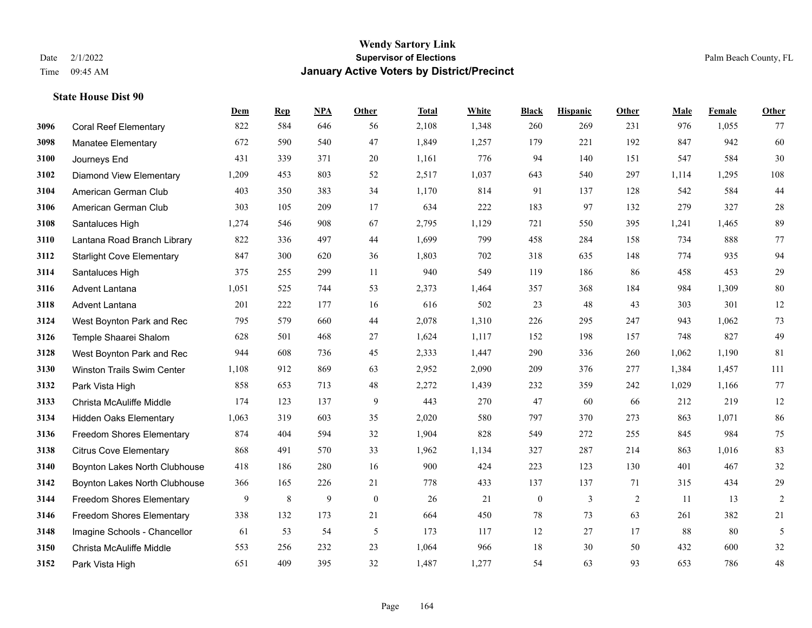|      |                                   | Dem   | <b>Rep</b> | NPA            | <b>Other</b>     | <b>Total</b> | White | <b>Black</b>     | <b>Hispanic</b> | Other | <b>Male</b> | Female | <b>Other</b> |
|------|-----------------------------------|-------|------------|----------------|------------------|--------------|-------|------------------|-----------------|-------|-------------|--------|--------------|
| 3096 | <b>Coral Reef Elementary</b>      | 822   | 584        | 646            | 56               | 2,108        | 1,348 | 260              | 269             | 231   | 976         | 1,055  | 77           |
| 3098 | <b>Manatee Elementary</b>         | 672   | 590        | 540            | 47               | 1,849        | 1,257 | 179              | 221             | 192   | 847         | 942    | 60           |
| 3100 | Journeys End                      | 431   | 339        | 371            | 20               | 1,161        | 776   | 94               | 140             | 151   | 547         | 584    | $30\,$       |
| 3102 | <b>Diamond View Elementary</b>    | 1,209 | 453        | 803            | 52               | 2,517        | 1,037 | 643              | 540             | 297   | 1,114       | 1,295  | 108          |
| 3104 | American German Club              | 403   | 350        | 383            | 34               | 1,170        | 814   | 91               | 137             | 128   | 542         | 584    | 44           |
| 3106 | American German Club              | 303   | 105        | 209            | 17               | 634          | 222   | 183              | 97              | 132   | 279         | 327    | $28\,$       |
| 3108 | Santaluces High                   | 1,274 | 546        | 908            | 67               | 2,795        | 1,129 | 721              | 550             | 395   | 1,241       | 1,465  | 89           |
| 3110 | Lantana Road Branch Library       | 822   | 336        | 497            | 44               | 1,699        | 799   | 458              | 284             | 158   | 734         | 888    | 77           |
| 3112 | <b>Starlight Cove Elementary</b>  | 847   | 300        | 620            | 36               | 1,803        | 702   | 318              | 635             | 148   | 774         | 935    | 94           |
| 3114 | Santaluces High                   | 375   | 255        | 299            | 11               | 940          | 549   | 119              | 186             | 86    | 458         | 453    | 29           |
| 3116 | Advent Lantana                    | 1,051 | 525        | 744            | 53               | 2,373        | 1,464 | 357              | 368             | 184   | 984         | 1,309  | 80           |
| 3118 | <b>Advent Lantana</b>             | 201   | 222        | 177            | 16               | 616          | 502   | 23               | 48              | 43    | 303         | 301    | 12           |
| 3124 | West Boynton Park and Rec         | 795   | 579        | 660            | 44               | 2,078        | 1,310 | 226              | 295             | 247   | 943         | 1,062  | 73           |
| 3126 | Temple Shaarei Shalom             | 628   | 501        | 468            | 27               | 1,624        | 1,117 | 152              | 198             | 157   | 748         | 827    | 49           |
| 3128 | West Boynton Park and Rec         | 944   | 608        | 736            | 45               | 2,333        | 1,447 | 290              | 336             | 260   | 1,062       | 1.190  | 81           |
| 3130 | <b>Winston Trails Swim Center</b> | 1,108 | 912        | 869            | 63               | 2,952        | 2,090 | 209              | 376             | 277   | 1,384       | 1,457  | 111          |
| 3132 | Park Vista High                   | 858   | 653        | 713            | 48               | 2,272        | 1,439 | 232              | 359             | 242   | 1,029       | 1,166  | 77           |
| 3133 | Christa McAuliffe Middle          | 174   | 123        | 137            | 9                | 443          | 270   | 47               | 60              | 66    | 212         | 219    | $12\,$       |
| 3134 | <b>Hidden Oaks Elementary</b>     | 1,063 | 319        | 603            | 35               | 2,020        | 580   | 797              | 370             | 273   | 863         | 1,071  | 86           |
| 3136 | Freedom Shores Elementary         | 874   | 404        | 594            | 32               | 1,904        | 828   | 549              | 272             | 255   | 845         | 984    | 75           |
| 3138 | <b>Citrus Cove Elementary</b>     | 868   | 491        | 570            | 33               | 1,962        | 1,134 | 327              | 287             | 214   | 863         | 1,016  | 83           |
| 3140 | Boynton Lakes North Clubhouse     | 418   | 186        | 280            | 16               | 900          | 424   | 223              | 123             | 130   | 401         | 467    | 32           |
| 3142 | Boynton Lakes North Clubhouse     | 366   | 165        | 226            | 21               | 778          | 433   | 137              | 137             | 71    | 315         | 434    | $29\,$       |
| 3144 | <b>Freedom Shores Elementary</b>  | 9     | $\,8\,$    | $\overline{9}$ | $\boldsymbol{0}$ | 26           | 21    | $\boldsymbol{0}$ | 3               | 2     | 11          | 13     | $\sqrt{2}$   |
| 3146 | <b>Freedom Shores Elementary</b>  | 338   | 132        | 173            | 21               | 664          | 450   | 78               | 73              | 63    | 261         | 382    | 21           |
| 3148 | Imagine Schools - Chancellor      | 61    | 53         | 54             | 5                | 173          | 117   | 12               | 27              | 17    | 88          | 80     | 5            |
| 3150 | Christa McAuliffe Middle          | 553   | 256        | 232            | 23               | 1,064        | 966   | 18               | 30              | 50    | 432         | 600    | $32\,$       |
| 3152 | Park Vista High                   | 651   | 409        | 395            | 32               | 1,487        | 1,277 | 54               | 63              | 93    | 653         | 786    | $48\,$       |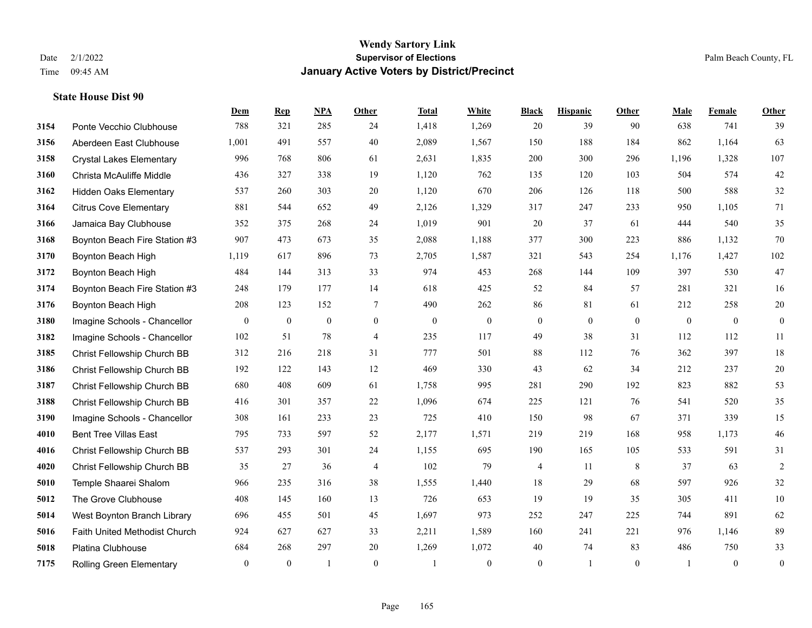|      |                                 | Dem            | <b>Rep</b>   | NPA              | <b>Other</b>   | <b>Total</b> | White            | <b>Black</b>     | <b>Hispanic</b> | <b>Other</b> | <b>Male</b>  | Female       | <b>Other</b>     |
|------|---------------------------------|----------------|--------------|------------------|----------------|--------------|------------------|------------------|-----------------|--------------|--------------|--------------|------------------|
| 3154 | Ponte Vecchio Clubhouse         | 788            | 321          | 285              | 24             | 1,418        | 1,269            | 20               | 39              | 90           | 638          | 741          | 39               |
| 3156 | Aberdeen East Clubhouse         | 1,001          | 491          | 557              | 40             | 2,089        | 1,567            | 150              | 188             | 184          | 862          | 1,164        | 63               |
| 3158 | <b>Crystal Lakes Elementary</b> | 996            | 768          | 806              | 61             | 2,631        | 1,835            | 200              | 300             | 296          | 1,196        | 1,328        | 107              |
| 3160 | Christa McAuliffe Middle        | 436            | 327          | 338              | 19             | 1,120        | 762              | 135              | 120             | 103          | 504          | 574          | $42\,$           |
| 3162 | <b>Hidden Oaks Elementary</b>   | 537            | 260          | 303              | 20             | 1,120        | 670              | 206              | 126             | 118          | 500          | 588          | $32\,$           |
| 3164 | <b>Citrus Cove Elementary</b>   | 881            | 544          | 652              | 49             | 2,126        | 1,329            | 317              | 247             | 233          | 950          | 1,105        | 71               |
| 3166 | Jamaica Bay Clubhouse           | 352            | 375          | 268              | 24             | 1,019        | 901              | 20               | 37              | 61           | 444          | 540          | 35               |
| 3168 | Boynton Beach Fire Station #3   | 907            | 473          | 673              | 35             | 2,088        | 1,188            | 377              | 300             | 223          | 886          | 1,132        | 70               |
| 3170 | Boynton Beach High              | 1,119          | 617          | 896              | 73             | 2,705        | 1,587            | 321              | 543             | 254          | 1,176        | 1,427        | 102              |
| 3172 | Boynton Beach High              | 484            | 144          | 313              | 33             | 974          | 453              | 268              | 144             | 109          | 397          | 530          | 47               |
| 3174 | Boynton Beach Fire Station #3   | 248            | 179          | 177              | 14             | 618          | 425              | 52               | 84              | 57           | 281          | 321          | 16               |
| 3176 | Boynton Beach High              | 208            | 123          | 152              | $\tau$         | 490          | 262              | 86               | 81              | 61           | 212          | 258          | $20\,$           |
| 3180 | Imagine Schools - Chancellor    | $\overline{0}$ | $\bf{0}$     | $\boldsymbol{0}$ | $\overline{0}$ | $\mathbf{0}$ | $\boldsymbol{0}$ | $\boldsymbol{0}$ | $\mathbf{0}$    | $\theta$     | $\mathbf{0}$ | $\mathbf{0}$ | $\boldsymbol{0}$ |
| 3182 | Imagine Schools - Chancellor    | 102            | 51           | 78               | $\overline{4}$ | 235          | 117              | 49               | 38              | 31           | 112          | 112          | $11\,$           |
| 3185 | Christ Fellowship Church BB     | 312            | 216          | 218              | 31             | 777          | 501              | 88               | 112             | 76           | 362          | 397          | $18\,$           |
| 3186 | Christ Fellowship Church BB     | 192            | 122          | 143              | 12             | 469          | 330              | 43               | 62              | 34           | 212          | 237          | $20\,$           |
| 3187 | Christ Fellowship Church BB     | 680            | 408          | 609              | 61             | 1,758        | 995              | 281              | 290             | 192          | 823          | 882          | 53               |
| 3188 | Christ Fellowship Church BB     | 416            | 301          | 357              | 22             | 1,096        | 674              | 225              | 121             | 76           | 541          | 520          | 35               |
| 3190 | Imagine Schools - Chancellor    | 308            | 161          | 233              | 23             | 725          | 410              | 150              | 98              | 67           | 371          | 339          | 15               |
| 4010 | <b>Bent Tree Villas East</b>    | 795            | 733          | 597              | 52             | 2,177        | 1,571            | 219              | 219             | 168          | 958          | 1,173        | $46\,$           |
| 4016 | Christ Fellowship Church BB     | 537            | 293          | 301              | 24             | 1,155        | 695              | 190              | 165             | 105          | 533          | 591          | 31               |
| 4020 | Christ Fellowship Church BB     | 35             | 27           | 36               | 4              | 102          | 79               | 4                | 11              | 8            | 37           | 63           | $\sqrt{2}$       |
| 5010 | Temple Shaarei Shalom           | 966            | 235          | 316              | 38             | 1,555        | 1,440            | 18               | 29              | 68           | 597          | 926          | 32               |
| 5012 | The Grove Clubhouse             | 408            | 145          | 160              | 13             | 726          | 653              | 19               | 19              | 35           | 305          | 411          | $10\,$           |
| 5014 | West Boynton Branch Library     | 696            | 455          | 501              | 45             | 1,697        | 973              | 252              | 247             | 225          | 744          | 891          | 62               |
| 5016 | Faith United Methodist Church   | 924            | 627          | 627              | 33             | 2,211        | 1,589            | 160              | 241             | 221          | 976          | 1,146        | 89               |
| 5018 | Platina Clubhouse               | 684            | 268          | 297              | 20             | 1,269        | 1,072            | 40               | 74              | 83           | 486          | 750          | 33               |
| 7175 | <b>Rolling Green Elementary</b> | $\mathbf{0}$   | $\mathbf{0}$ | $\overline{1}$   | $\theta$       |              | $\overline{0}$   | $\boldsymbol{0}$ | $\mathbf{1}$    | $\theta$     |              | $\mathbf{0}$ | $\boldsymbol{0}$ |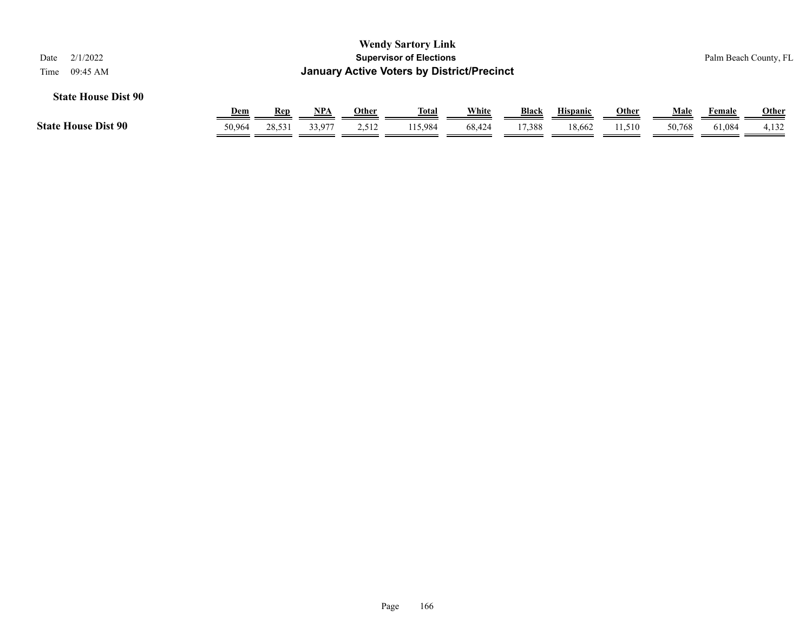| <b>Wendy Sartory Link</b><br><b>Supervisor of Elections</b><br>2/1/2022<br>Date<br><b>January Active Voters by District/Precinct</b><br>09:45 AM<br>Time   |        |        |        |       |         |        |        |        |        |        |              | Palm Beach County, FL |
|------------------------------------------------------------------------------------------------------------------------------------------------------------|--------|--------|--------|-------|---------|--------|--------|--------|--------|--------|--------------|-----------------------|
| <b>State House Dist 90</b><br>White<br>Dem<br><u>NPA</u><br><b>Black</b><br><b>Hispanic</b><br><b>Other</b><br>Male<br>Other<br><u>Total</u><br><b>Rep</b> |        |        |        |       |         |        |        |        |        | Female | <b>Other</b> |                       |
| <b>State House Dist 90</b>                                                                                                                                 | 50.964 | 28,531 | 33,977 | 2,512 | 115.984 | 68,424 | 17,388 | 18,662 | 11,510 | 50,768 | 61,084       | 4,132                 |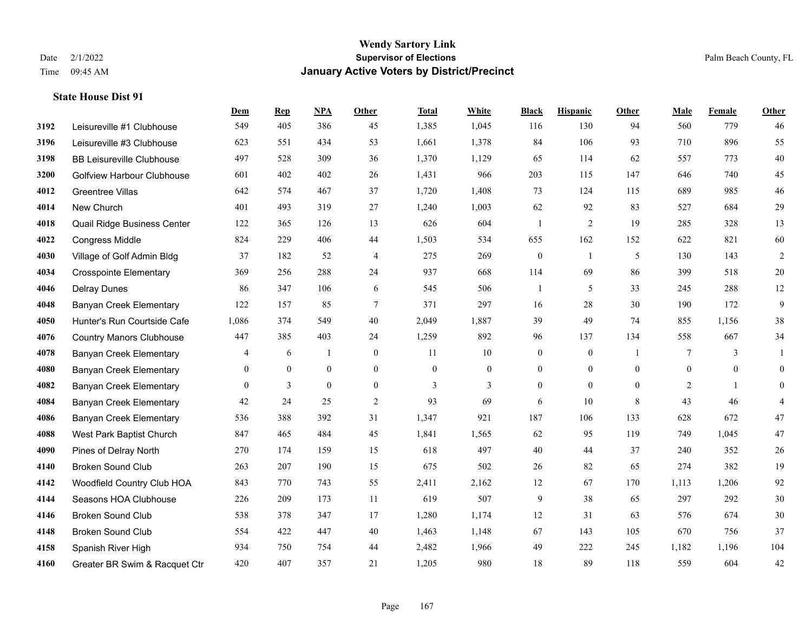**State House Dist 91**

## **Wendy Sartory Link** Date 2/1/2022 **Supervisor of Elections** Palm Beach County, FL Time 09:45 AM **January Active Voters by District/Precinct**

|      |                                   | Dem      | <b>Rep</b>   | <b>NPA</b>     | Other            | <b>Total</b>   | White          | <b>Black</b>     | <b>Hispanic</b>  | Other          | Male     | Female       | Other          |
|------|-----------------------------------|----------|--------------|----------------|------------------|----------------|----------------|------------------|------------------|----------------|----------|--------------|----------------|
| 3192 | Leisureville #1 Clubhouse         | 549      | 405          | 386            | 45               | 1,385          | 1,045          | 116              | 130              | 94             | 560      | 779          | 46             |
| 3196 | Leisureville #3 Clubhouse         | 623      | 551          | 434            | 53               | 1,661          | 1,378          | 84               | 106              | 93             | 710      | 896          | 55             |
| 3198 | <b>BB Leisureville Clubhouse</b>  | 497      | 528          | 309            | 36               | 1,370          | 1,129          | 65               | 114              | 62             | 557      | 773          | 40             |
| 3200 | <b>Golfview Harbour Clubhouse</b> | 601      | 402          | 402            | 26               | 1,431          | 966            | 203              | 115              | 147            | 646      | 740          | 45             |
| 4012 | <b>Greentree Villas</b>           | 642      | 574          | 467            | 37               | 1,720          | 1,408          | 73               | 124              | 115            | 689      | 985          | 46             |
| 4014 | New Church                        | 401      | 493          | 319            | 27               | 1,240          | 1,003          | 62               | 92               | 83             | 527      | 684          | 29             |
| 4018 | Quail Ridge Business Center       | 122      | 365          | 126            | 13               | 626            | 604            | -1               | $\overline{2}$   | 19             | 285      | 328          | 13             |
| 4022 | <b>Congress Middle</b>            | 824      | 229          | 406            | 44               | 1,503          | 534            | 655              | 162              | 152            | 622      | 821          | 60             |
| 4030 | Village of Golf Admin Bldg        | 37       | 182          | 52             | 4                | 275            | 269            | $\boldsymbol{0}$ | 1                | 5              | 130      | 143          | $\overline{2}$ |
| 4034 | <b>Crosspointe Elementary</b>     | 369      | 256          | 288            | 24               | 937            | 668            | 114              | 69               | 86             | 399      | 518          | 20             |
| 4046 | <b>Delray Dunes</b>               | 86       | 347          | 106            | 6                | 545            | 506            | $\mathbf{1}$     | 5                | 33             | 245      | 288          | 12             |
| 4048 | <b>Banyan Creek Elementary</b>    | 122      | 157          | 85             | 7                | 371            | 297            | 16               | 28               | 30             | 190      | 172          | 9              |
| 4050 | Hunter's Run Courtside Cafe       | 1,086    | 374          | 549            | 40               | 2,049          | 1,887          | 39               | 49               | 74             | 855      | 1,156        | $38\,$         |
| 4076 | <b>Country Manors Clubhouse</b>   | 447      | 385          | 403            | 24               | 1,259          | 892            | 96               | 137              | 134            | 558      | 667          | 34             |
| 4078 | <b>Banyan Creek Elementary</b>    | 4        | 6            | $\mathbf{1}$   | $\boldsymbol{0}$ | 11             | 10             | $\boldsymbol{0}$ | $\boldsymbol{0}$ | $\overline{1}$ | $\tau$   | 3            | $\mathbf{1}$   |
| 4080 | <b>Banyan Creek Elementary</b>    | $\theta$ | $\mathbf{0}$ | $\overline{0}$ | $\theta$         | $\overline{0}$ | $\overline{0}$ | $\overline{0}$   | $\mathbf{0}$     | $\theta$       | $\theta$ | $\theta$     | $\overline{0}$ |
| 4082 | <b>Banyan Creek Elementary</b>    | $\theta$ | 3            | $\overline{0}$ | $\mathbf{0}$     | 3              | 3              | $\overline{0}$   | $\theta$         | $\theta$       | 2        | $\mathbf{1}$ | $\theta$       |
| 4084 | <b>Banyan Creek Elementary</b>    | 42       | 24           | 25             | 2                | 93             | 69             | 6                | 10               | 8              | 43       | 46           | $\overline{4}$ |
| 4086 | <b>Banyan Creek Elementary</b>    | 536      | 388          | 392            | 31               | 1,347          | 921            | 187              | 106              | 133            | 628      | 672          | 47             |
| 4088 | West Park Baptist Church          | 847      | 465          | 484            | 45               | 1,841          | 1,565          | 62               | 95               | 119            | 749      | 1,045        | 47             |
| 4090 | Pines of Delray North             | 270      | 174          | 159            | 15               | 618            | 497            | 40               | 44               | 37             | 240      | 352          | $26\,$         |
| 4140 | <b>Broken Sound Club</b>          | 263      | 207          | 190            | 15               | 675            | 502            | $26\,$           | 82               | 65             | 274      | 382          | 19             |
| 4142 | Woodfield Country Club HOA        | 843      | 770          | 743            | 55               | 2,411          | 2,162          | 12               | 67               | 170            | 1,113    | 1,206        | 92             |
| 4144 | Seasons HOA Clubhouse             | 226      | 209          | 173            | 11               | 619            | 507            | 9                | 38               | 65             | 297      | 292          | $30\,$         |
| 4146 | <b>Broken Sound Club</b>          | 538      | 378          | 347            | 17               | 1,280          | 1,174          | 12               | 31               | 63             | 576      | 674          | $30\,$         |
| 4148 | <b>Broken Sound Club</b>          | 554      | 422          | 447            | 40               | 1,463          | 1,148          | 67               | 143              | 105            | 670      | 756          | 37             |
| 4158 | Spanish River High                | 934      | 750          | 754            | 44               | 2,482          | 1,966          | 49               | 222              | 245            | 1,182    | 1,196        | 104            |
| 4160 | Greater BR Swim & Racquet Ctr     | 420      | 407          | 357            | 21               | 1,205          | 980            | 18               | 89               | 118            | 559      | 604          | 42             |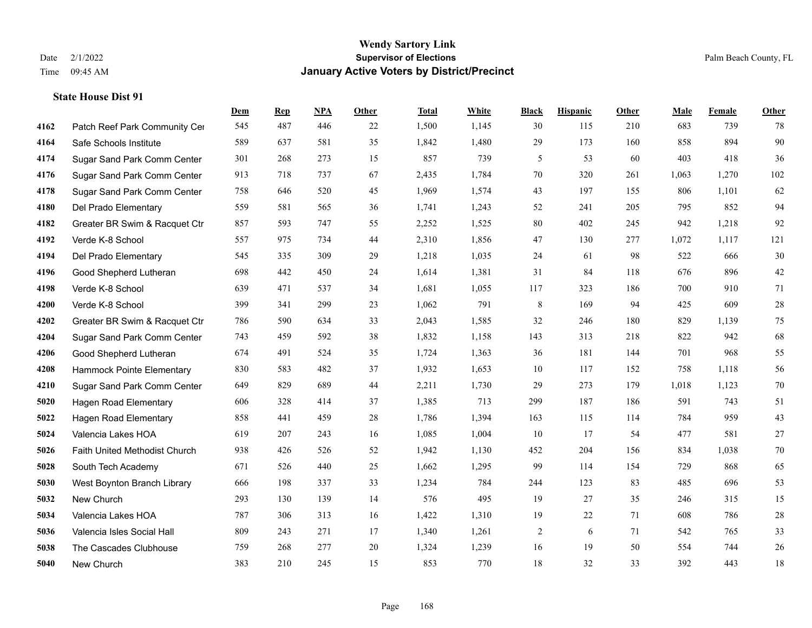|      |                               | Dem | <b>Rep</b> | NPA | <b>Other</b> | <b>Total</b> | White | <b>Black</b> | <b>Hispanic</b> | Other | <b>Male</b> | <b>Female</b> | <b>Other</b> |
|------|-------------------------------|-----|------------|-----|--------------|--------------|-------|--------------|-----------------|-------|-------------|---------------|--------------|
| 4162 | Patch Reef Park Community Cer | 545 | 487        | 446 | 22           | 1,500        | 1,145 | 30           | 115             | 210   | 683         | 739           | 78           |
| 4164 | Safe Schools Institute        | 589 | 637        | 581 | 35           | 1,842        | 1,480 | 29           | 173             | 160   | 858         | 894           | 90           |
| 4174 | Sugar Sand Park Comm Center   | 301 | 268        | 273 | 15           | 857          | 739   | 5            | 53              | 60    | 403         | 418           | 36           |
| 4176 | Sugar Sand Park Comm Center   | 913 | 718        | 737 | 67           | 2,435        | 1,784 | 70           | 320             | 261   | 1,063       | 1,270         | 102          |
| 4178 | Sugar Sand Park Comm Center   | 758 | 646        | 520 | 45           | 1,969        | 1,574 | 43           | 197             | 155   | 806         | 1,101         | 62           |
| 4180 | Del Prado Elementary          | 559 | 581        | 565 | 36           | 1,741        | 1,243 | 52           | 241             | 205   | 795         | 852           | 94           |
| 4182 | Greater BR Swim & Racquet Ctr | 857 | 593        | 747 | 55           | 2,252        | 1,525 | 80           | 402             | 245   | 942         | 1,218         | 92           |
| 4192 | Verde K-8 School              | 557 | 975        | 734 | 44           | 2,310        | 1,856 | 47           | 130             | 277   | 1,072       | 1,117         | 121          |
| 4194 | Del Prado Elementary          | 545 | 335        | 309 | 29           | 1,218        | 1,035 | 24           | 61              | 98    | 522         | 666           | $30\,$       |
| 4196 | Good Shepherd Lutheran        | 698 | 442        | 450 | 24           | 1,614        | 1,381 | 31           | 84              | 118   | 676         | 896           | $42\,$       |
| 4198 | Verde K-8 School              | 639 | 471        | 537 | 34           | 1,681        | 1,055 | 117          | 323             | 186   | 700         | 910           | 71           |
| 4200 | Verde K-8 School              | 399 | 341        | 299 | 23           | 1,062        | 791   | 8            | 169             | 94    | 425         | 609           | $28\,$       |
| 4202 | Greater BR Swim & Racquet Ctr | 786 | 590        | 634 | 33           | 2,043        | 1,585 | 32           | 246             | 180   | 829         | 1,139         | 75           |
| 4204 | Sugar Sand Park Comm Center   | 743 | 459        | 592 | 38           | 1,832        | 1,158 | 143          | 313             | 218   | 822         | 942           | 68           |
| 4206 | Good Shepherd Lutheran        | 674 | 491        | 524 | 35           | 1,724        | 1,363 | 36           | 181             | 144   | 701         | 968           | 55           |
| 4208 | Hammock Pointe Elementary     | 830 | 583        | 482 | 37           | 1,932        | 1,653 | 10           | 117             | 152   | 758         | 1,118         | 56           |
| 4210 | Sugar Sand Park Comm Center   | 649 | 829        | 689 | 44           | 2,211        | 1,730 | 29           | 273             | 179   | 1,018       | 1,123         | $70\,$       |
| 5020 | <b>Hagen Road Elementary</b>  | 606 | 328        | 414 | 37           | 1,385        | 713   | 299          | 187             | 186   | 591         | 743           | 51           |
| 5022 | <b>Hagen Road Elementary</b>  | 858 | 441        | 459 | 28           | 1,786        | 1,394 | 163          | 115             | 114   | 784         | 959           | 43           |
| 5024 | Valencia Lakes HOA            | 619 | 207        | 243 | 16           | 1,085        | 1,004 | 10           | 17              | 54    | 477         | 581           | $27\,$       |
| 5026 | Faith United Methodist Church | 938 | 426        | 526 | 52           | 1,942        | 1,130 | 452          | 204             | 156   | 834         | 1,038         | $70\,$       |
| 5028 | South Tech Academy            | 671 | 526        | 440 | 25           | 1,662        | 1,295 | 99           | 114             | 154   | 729         | 868           | 65           |
| 5030 | West Boynton Branch Library   | 666 | 198        | 337 | 33           | 1,234        | 784   | 244          | 123             | 83    | 485         | 696           | 53           |
| 5032 | New Church                    | 293 | 130        | 139 | 14           | 576          | 495   | 19           | 27              | 35    | 246         | 315           | 15           |
| 5034 | Valencia Lakes HOA            | 787 | 306        | 313 | 16           | 1,422        | 1,310 | 19           | 22              | 71    | 608         | 786           | $28\,$       |
| 5036 | Valencia Isles Social Hall    | 809 | 243        | 271 | 17           | 1,340        | 1,261 | 2            | 6               | 71    | 542         | 765           | 33           |
| 5038 | The Cascades Clubhouse        | 759 | 268        | 277 | 20           | 1,324        | 1,239 | 16           | 19              | 50    | 554         | 744           | $26\,$       |
| 5040 | New Church                    | 383 | 210        | 245 | 15           | 853          | 770   | 18           | 32              | 33    | 392         | 443           | 18           |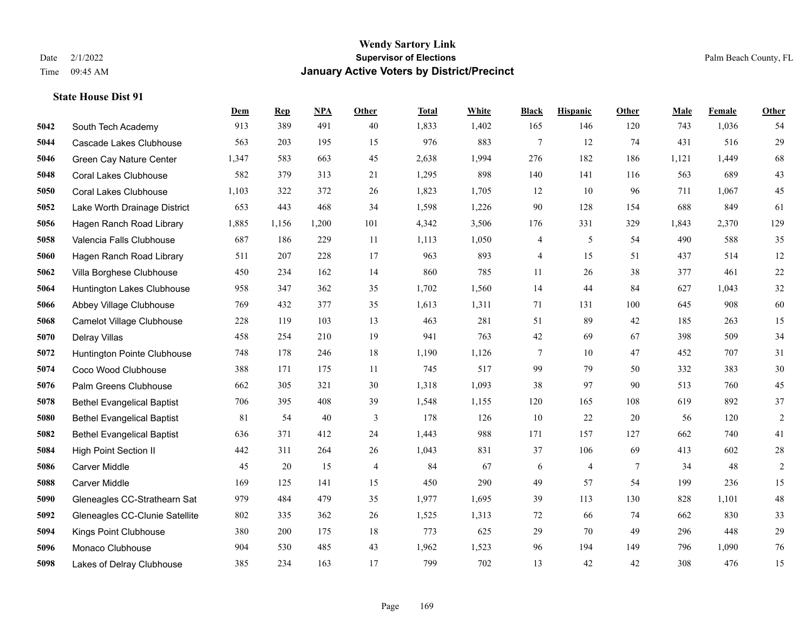**State House Dist 91**

## **Wendy Sartory Link** Date 2/1/2022 **Supervisor of Elections** Palm Beach County, FL Time 09:45 AM **January Active Voters by District/Precinct**

|      |                                   | Dem    | <b>Rep</b> | <b>NPA</b> | Other          | <b>Total</b> | White | <b>Black</b>             | <b>Hispanic</b> | Other  | Male  | Female | Other       |
|------|-----------------------------------|--------|------------|------------|----------------|--------------|-------|--------------------------|-----------------|--------|-------|--------|-------------|
| 5042 | South Tech Academy                | 913    | 389        | 491        | 40             | 1,833        | 1,402 | 165                      | 146             | 120    | 743   | 1,036  | 54          |
| 5044 | Cascade Lakes Clubhouse           | 563    | 203        | 195        | 15             | 976          | 883   | 7                        | 12              | 74     | 431   | 516    | 29          |
| 5046 | Green Cay Nature Center           | 1,347  | 583        | 663        | 45             | 2,638        | 1,994 | 276                      | 182             | 186    | 1,121 | 1,449  | 68          |
| 5048 | <b>Coral Lakes Clubhouse</b>      | 582    | 379        | 313        | 21             | 1,295        | 898   | 140                      | 141             | 116    | 563   | 689    | 43          |
| 5050 | <b>Coral Lakes Clubhouse</b>      | 1,103  | 322        | 372        | 26             | 1,823        | 1,705 | 12                       | 10              | 96     | 711   | 1,067  | 45          |
| 5052 | Lake Worth Drainage District      | 653    | 443        | 468        | 34             | 1,598        | 1,226 | $90\,$                   | 128             | 154    | 688   | 849    | 61          |
| 5056 | Hagen Ranch Road Library          | 1,885  | 1,156      | 1,200      | 101            | 4,342        | 3,506 | 176                      | 331             | 329    | 1,843 | 2,370  | 129         |
| 5058 | Valencia Falls Clubhouse          | 687    | 186        | 229        | 11             | 1,113        | 1,050 | $\overline{\mathcal{A}}$ | 5               | 54     | 490   | 588    | 35          |
| 5060 | Hagen Ranch Road Library          | 511    | 207        | 228        | 17             | 963          | 893   | 4                        | 15              | 51     | 437   | 514    | $12\,$      |
| 5062 | Villa Borghese Clubhouse          | 450    | 234        | 162        | 14             | 860          | 785   | 11                       | 26              | 38     | 377   | 461    | 22          |
| 5064 | Huntington Lakes Clubhouse        | 958    | 347        | 362        | 35             | 1,702        | 1,560 | 14                       | 44              | 84     | 627   | 1.043  | 32          |
| 5066 | Abbey Village Clubhouse           | 769    | 432        | 377        | 35             | 1,613        | 1,311 | 71                       | 131             | 100    | 645   | 908    | 60          |
| 5068 | Camelot Village Clubhouse         | 228    | 119        | 103        | 13             | 463          | 281   | 51                       | 89              | 42     | 185   | 263    | 15          |
| 5070 | <b>Delray Villas</b>              | 458    | 254        | 210        | 19             | 941          | 763   | 42                       | 69              | 67     | 398   | 509    | 34          |
| 5072 | Huntington Pointe Clubhouse       | 748    | 178        | 246        | 18             | 1,190        | 1,126 | 7                        | 10              | 47     | 452   | 707    | 31          |
| 5074 | Coco Wood Clubhouse               | 388    | 171        | 175        | 11             | 745          | 517   | 99                       | 79              | 50     | 332   | 383    | 30          |
| 5076 | Palm Greens Clubhouse             | 662    | 305        | 321        | 30             | 1,318        | 1,093 | 38                       | 97              | 90     | 513   | 760    | 45          |
| 5078 | <b>Bethel Evangelical Baptist</b> | 706    | 395        | 408        | 39             | 1,548        | 1,155 | 120                      | 165             | 108    | 619   | 892    | 37          |
| 5080 | <b>Bethel Evangelical Baptist</b> | $81\,$ | 54         | 40         | $\mathfrak{Z}$ | 178          | 126   | 10                       | 22              | 20     | 56    | 120    | $\sqrt{2}$  |
| 5082 | <b>Bethel Evangelical Baptist</b> | 636    | 371        | 412        | 24             | 1,443        | 988   | 171                      | 157             | 127    | 662   | 740    | 41          |
| 5084 | <b>High Point Section II</b>      | 442    | 311        | 264        | 26             | 1,043        | 831   | 37                       | 106             | 69     | 413   | 602    | $28\,$      |
| 5086 | Carver Middle                     | 45     | 20         | 15         | $\overline{4}$ | 84           | 67    | 6                        | $\overline{4}$  | $\tau$ | 34    | 48     | $\sqrt{2}$  |
| 5088 | <b>Carver Middle</b>              | 169    | 125        | 141        | 15             | 450          | 290   | 49                       | 57              | 54     | 199   | 236    | 15          |
| 5090 | Gleneagles CC-Strathearn Sat      | 979    | 484        | 479        | 35             | 1,977        | 1,695 | 39                       | 113             | 130    | 828   | 1,101  | $\sqrt{48}$ |
| 5092 | Gleneagles CC-Clunie Satellite    | 802    | 335        | 362        | $26\,$         | 1,525        | 1,313 | 72                       | 66              | 74     | 662   | 830    | 33          |
| 5094 | Kings Point Clubhouse             | 380    | 200        | 175        | 18             | 773          | 625   | 29                       | 70              | 49     | 296   | 448    | 29          |
| 5096 | Monaco Clubhouse                  | 904    | 530        | 485        | 43             | 1,962        | 1,523 | 96                       | 194             | 149    | 796   | 1,090  | $76\,$      |
| 5098 | Lakes of Delray Clubhouse         | 385    | 234        | 163        | 17             | 799          | 702   | 13                       | 42              | 42     | 308   | 476    | 15          |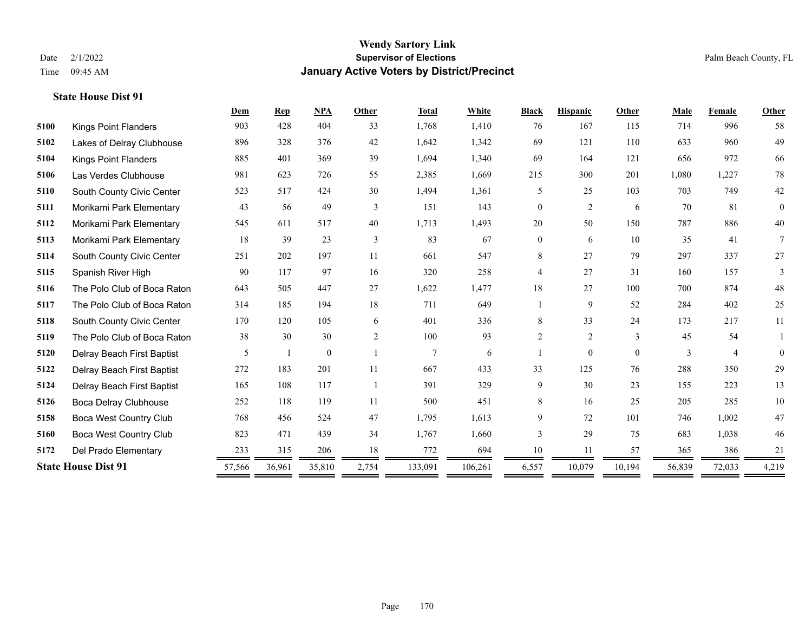|                             | Dem                        | <b>Rep</b> | <b>NPA</b>   | Other          | <b>Total</b>   | White   | <b>Black</b>   | <b>Hispanic</b> | Other    | Male         | Female         | Other           |
|-----------------------------|----------------------------|------------|--------------|----------------|----------------|---------|----------------|-----------------|----------|--------------|----------------|-----------------|
| <b>Kings Point Flanders</b> | 903                        | 428        | 404          | 33             | 1,768          | 1,410   | 76             | 167             | 115      | 714          | 996            | 58              |
| Lakes of Delray Clubhouse   | 896                        | 328        | 376          | 42             | 1,642          | 1,342   | 69             | 121             | 110      | 633          | 960            | 49              |
| <b>Kings Point Flanders</b> | 885                        | 401        | 369          | 39             | 1,694          | 1,340   | 69             | 164             | 121      | 656          | 972            | 66              |
| Las Verdes Clubhouse        | 981                        | 623        | 726          | 55             | 2,385          | 1,669   | 215            | 300             | 201      | 1,080        | 1,227          | 78              |
| South County Civic Center   | 523                        | 517        | 424          | 30             | 1,494          | 1,361   | 5              | 25              | 103      | 703          | 749            | 42              |
| Morikami Park Elementary    | 43                         | 56         | 49           | 3              | 151            | 143     | $\overline{0}$ | $\overline{c}$  | 6        | 70           | 81             | $\overline{0}$  |
| Morikami Park Elementary    | 545                        | 611        | 517          | 40             | 1,713          | 1,493   | 20             | 50              | 150      | 787          | 886            | 40              |
| Morikami Park Elementary    | 18                         | 39         | 23           | 3              | 83             | 67      | $\overline{0}$ | 6               | 10       | 35           | 41             | $7\phantom{.0}$ |
| South County Civic Center   | 251                        | 202        | 197          | 11             | 661            | 547     | 8              | 27              | 79       | 297          | 337            | 27              |
| Spanish River High          | 90                         | 117        | 97           | 16             | 320            | 258     | 4              | 27              | 31       | 160          | 157            | 3               |
| The Polo Club of Boca Raton | 643                        | 505        | 447          | 27             | 1,622          | 1,477   | 18             | 27              | 100      | 700          | 874            | 48              |
| The Polo Club of Boca Raton | 314                        | 185        | 194          | 18             | 711            | 649     |                | 9               | 52       | 284          | 402            | 25              |
| South County Civic Center   | 170                        | 120        | 105          | 6              | 401            | 336     | 8              | 33              | 24       | 173          | 217            | 11              |
| The Polo Club of Boca Raton | 38                         | 30         | 30           | $\overline{2}$ | 100            | 93      | $\overline{2}$ | $\overline{c}$  | 3        | 45           | 54             |                 |
| Delray Beach First Baptist  | 5                          |            | $\mathbf{0}$ |                | $\overline{7}$ | 6       |                | $\overline{0}$  | $\theta$ | $\mathbf{3}$ | $\overline{4}$ | $\overline{0}$  |
| Delray Beach First Baptist  | 272                        | 183        | 201          | 11             | 667            | 433     | 33             | 125             | 76       | 288          | 350            | 29              |
| Delray Beach First Baptist  | 165                        | 108        | 117          | $\overline{1}$ | 391            | 329     | 9              | 30              | 23       | 155          | 223            | 13              |
| Boca Delray Clubhouse       | 252                        | 118        | 119          | 11             | 500            | 451     | 8              | 16              | 25       | 205          | 285            | 10              |
| Boca West Country Club      | 768                        | 456        | 524          | 47             | 1,795          | 1,613   | 9              | 72              | 101      | 746          | 1,002          | 47              |
| Boca West Country Club      | 823                        | 471        | 439          | 34             | 1,767          | 1,660   | 3              | 29              | 75       | 683          | 1,038          | 46              |
| Del Prado Elementary        | 233                        | 315        | 206          | 18             | 772            | 694     | 10             | 11              | 57       | 365          | 386            | 21              |
|                             | 57,566                     | 36,961     | 35,810       | 2,754          | 133,091        | 106,261 | 6,557          | 10,079          | 10,194   | 56,839       | 72,033         | 4,219           |
|                             | <b>State House Dist 91</b> |            |              |                |                |         |                |                 |          |              |                |                 |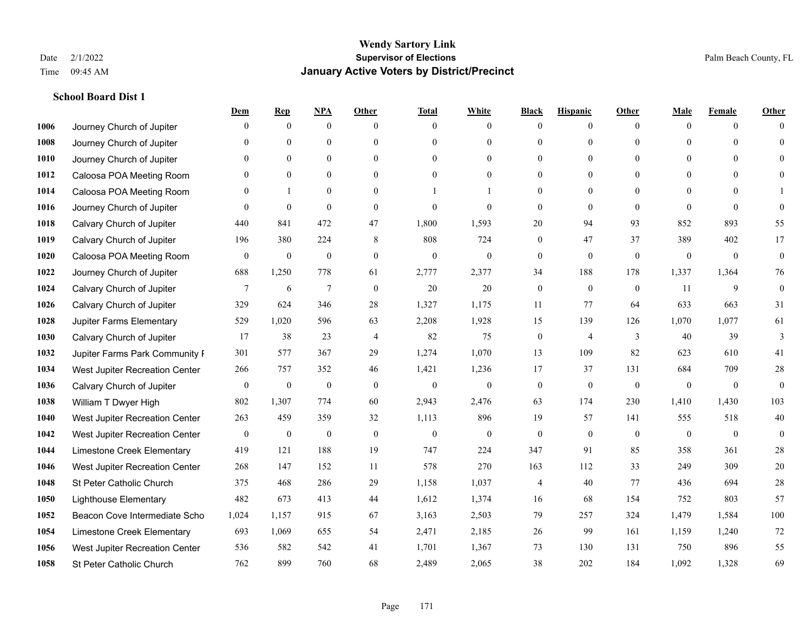|      |                                | Dem              | <b>Rep</b>       | NPA              | <b>Other</b>   | <b>Total</b>     | <b>White</b>     | <b>Black</b>     | <b>Hispanic</b> | <b>Other</b>   | <b>Male</b>  | <b>Female</b> | <b>Other</b> |
|------|--------------------------------|------------------|------------------|------------------|----------------|------------------|------------------|------------------|-----------------|----------------|--------------|---------------|--------------|
| 1006 | Journey Church of Jupiter      | $\theta$         | $\mathbf{0}$     | $\boldsymbol{0}$ | $\Omega$       | $\Omega$         | $\overline{0}$   | $\mathbf{0}$     | $\mathbf{0}$    | $\theta$       | $\theta$     | $\theta$      | $\Omega$     |
| 1008 | Journey Church of Jupiter      | $\theta$         | $\theta$         | $\mathbf{0}$     | $\theta$       | $\Omega$         | $\overline{0}$   | $\theta$         | $\mathbf{0}$    | $\Omega$       | $\theta$     | $\Omega$      | $\theta$     |
| 1010 | Journey Church of Jupiter      | 0                | $\theta$         | $\theta$         | $\Omega$       | $\Omega$         | $\Omega$         | $\Omega$         | $\theta$        | $\Omega$       | $\Omega$     | $\Omega$      | $\Omega$     |
| 1012 | Caloosa POA Meeting Room       | 0                | $\mathbf{0}$     | $\mathbf{0}$     | $\overline{0}$ | $\theta$         | $\overline{0}$   | $\overline{0}$   | $\mathbf{0}$    | $\theta$       | $\mathbf{0}$ | $\mathbf{0}$  | $\Omega$     |
| 1014 | Caloosa POA Meeting Room       | 0                |                  | $\mathbf{0}$     | $\theta$       |                  |                  | $\overline{0}$   | $\mathbf{0}$    | $\theta$       | $\theta$     | $\Omega$      |              |
| 1016 | Journey Church of Jupiter      | $\Omega$         | $\mathbf{0}$     | $\mathbf{0}$     | $\theta$       | $\theta$         | $\theta$         | $\mathbf{0}$     | $\mathbf{0}$    | $\theta$       | $\theta$     | $\theta$      | $\theta$     |
| 1018 | Calvary Church of Jupiter      | 440              | 841              | 472              | 47             | 1,800            | 1,593            | $20\,$           | 94              | 93             | 852          | 893           | 55           |
| 1019 | Calvary Church of Jupiter      | 196              | 380              | 224              | 8              | 808              | 724              | $\overline{0}$   | 47              | 37             | 389          | 402           | 17           |
| 1020 | Caloosa POA Meeting Room       | $\mathbf{0}$     | $\boldsymbol{0}$ | $\boldsymbol{0}$ | $\mathbf{0}$   | $\boldsymbol{0}$ | $\boldsymbol{0}$ | $\boldsymbol{0}$ | $\mathbf{0}$    | $\mathbf{0}$   | $\mathbf{0}$ | $\mathbf{0}$  | $\mathbf{0}$ |
| 1022 | Journey Church of Jupiter      | 688              | 1,250            | 778              | 61             | 2,777            | 2,377            | 34               | 188             | 178            | 1,337        | 1,364         | 76           |
| 1024 | Calvary Church of Jupiter      | 7                | 6                | $\tau$           | $\theta$       | 20               | 20               | $\boldsymbol{0}$ | $\mathbf{0}$    | $\overline{0}$ | 11           | 9             | $\mathbf{0}$ |
| 1026 | Calvary Church of Jupiter      | 329              | 624              | 346              | 28             | 1,327            | 1,175            | 11               | 77              | 64             | 633          | 663           | 31           |
| 1028 | Jupiter Farms Elementary       | 529              | 1,020            | 596              | 63             | 2,208            | 1,928            | 15               | 139             | 126            | 1,070        | 1,077         | 61           |
| 1030 | Calvary Church of Jupiter      | 17               | 38               | 23               | $\overline{4}$ | 82               | 75               | $\boldsymbol{0}$ | 4               | 3              | 40           | 39            | 3            |
| 1032 | Jupiter Farms Park Community F | 301              | 577              | 367              | 29             | 1,274            | 1,070            | 13               | 109             | 82             | 623          | 610           | 41           |
| 1034 | West Jupiter Recreation Center | 266              | 757              | 352              | 46             | 1,421            | 1,236            | 17               | 37              | 131            | 684          | 709           | 28           |
| 1036 | Calvary Church of Jupiter      | $\overline{0}$   | $\boldsymbol{0}$ | $\mathbf{0}$     | $\mathbf{0}$   | $\mathbf{0}$     | $\overline{0}$   | $\boldsymbol{0}$ | $\mathbf{0}$    | $\theta$       | $\mathbf{0}$ | $\mathbf{0}$  | $\theta$     |
| 1038 | William T Dwyer High           | 802              | 1,307            | 774              | 60             | 2,943            | 2,476            | 63               | 174             | 230            | 1,410        | 1,430         | 103          |
| 1040 | West Jupiter Recreation Center | 263              | 459              | 359              | 32             | 1,113            | 896              | 19               | 57              | 141            | 555          | 518           | 40           |
| 1042 | West Jupiter Recreation Center | $\boldsymbol{0}$ | $\mathbf{0}$     | $\mathbf{0}$     | $\mathbf{0}$   | $\theta$         | $\mathbf{0}$     | $\mathbf{0}$     | $\mathbf{0}$    | $\theta$       | $\theta$     | $\theta$      | $\mathbf{0}$ |
| 1044 | Limestone Creek Elementary     | 419              | 121              | 188              | 19             | 747              | 224              | 347              | 91              | 85             | 358          | 361           | 28           |
| 1046 | West Jupiter Recreation Center | 268              | 147              | 152              | 11             | 578              | 270              | 163              | 112             | 33             | 249          | 309           | 20           |
| 1048 | St Peter Catholic Church       | 375              | 468              | 286              | 29             | 1,158            | 1,037            | 4                | 40              | 77             | 436          | 694           | $28\,$       |
| 1050 | <b>Lighthouse Elementary</b>   | 482              | 673              | 413              | 44             | 1,612            | 1,374            | 16               | 68              | 154            | 752          | 803           | 57           |
| 1052 | Beacon Cove Intermediate Scho  | 1,024            | 1,157            | 915              | 67             | 3,163            | 2,503            | 79               | 257             | 324            | 1,479        | 1,584         | 100          |
| 1054 | Limestone Creek Elementary     | 693              | 1,069            | 655              | 54             | 2,471            | 2,185            | 26               | 99              | 161            | 1,159        | 1,240         | 72           |
| 1056 | West Jupiter Recreation Center | 536              | 582              | 542              | 41             | 1,701            | 1,367            | 73               | 130             | 131            | 750          | 896           | 55           |
| 1058 | St Peter Catholic Church       | 762              | 899              | 760              | 68             | 2,489            | 2,065            | 38               | 202             | 184            | 1,092        | 1,328         | 69           |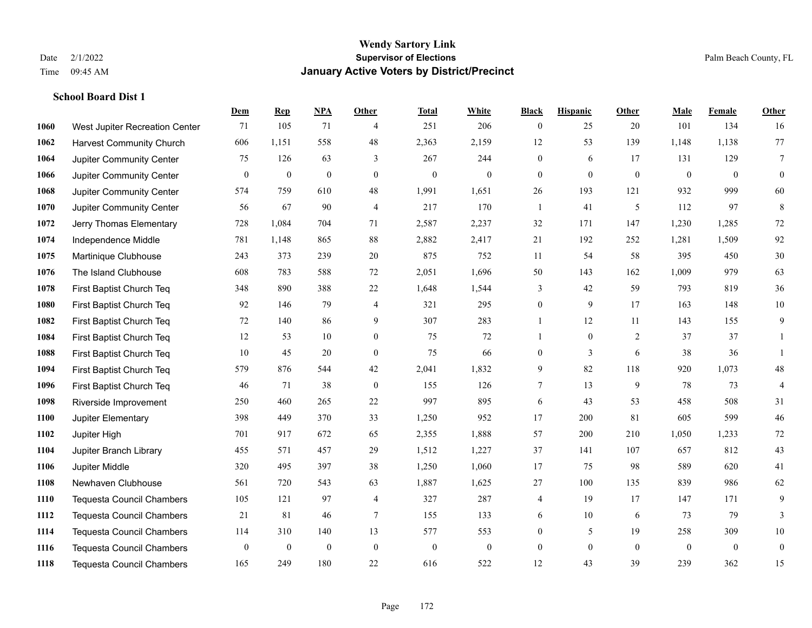|      |                                  | Dem          | <b>Rep</b>       | NPA          | <b>Other</b>     | <b>Total</b>     | <b>White</b>     | <b>Black</b>     | <b>Hispanic</b> | Other          | <b>Male</b>  | <b>Female</b> | <b>Other</b>   |
|------|----------------------------------|--------------|------------------|--------------|------------------|------------------|------------------|------------------|-----------------|----------------|--------------|---------------|----------------|
| 1060 | West Jupiter Recreation Center   | 71           | 105              | 71           | $\overline{4}$   | 251              | 206              | $\overline{0}$   | 25              | 20             | 101          | 134           | 16             |
| 1062 | <b>Harvest Community Church</b>  | 606          | 1,151            | 558          | 48               | 2,363            | 2,159            | 12               | 53              | 139            | 1,148        | 1,138         | 77             |
| 1064 | Jupiter Community Center         | 75           | 126              | 63           | 3                | 267              | 244              | $\overline{0}$   | 6               | 17             | 131          | 129           | $\tau$         |
| 1066 | Jupiter Community Center         | $\mathbf{0}$ | $\boldsymbol{0}$ | $\mathbf{0}$ | $\mathbf{0}$     | $\boldsymbol{0}$ | $\mathbf{0}$     | $\mathbf{0}$     | $\mathbf{0}$    | $\mathbf{0}$   | $\mathbf{0}$ | $\mathbf{0}$  | $\mathbf{0}$   |
| 1068 | Jupiter Community Center         | 574          | 759              | 610          | 48               | 1,991            | 1,651            | 26               | 193             | 121            | 932          | 999           | 60             |
| 1070 | Jupiter Community Center         | 56           | 67               | 90           | $\overline{4}$   | 217              | 170              | 1                | 41              | 5              | 112          | 97            | 8              |
| 1072 | Jerry Thomas Elementary          | 728          | 1,084            | 704          | 71               | 2,587            | 2,237            | 32               | 171             | 147            | 1,230        | 1,285         | $72\,$         |
| 1074 | Independence Middle              | 781          | 1,148            | 865          | 88               | 2,882            | 2,417            | 21               | 192             | 252            | 1,281        | 1,509         | 92             |
| 1075 | Martinique Clubhouse             | 243          | 373              | 239          | $20\,$           | 875              | 752              | 11               | 54              | 58             | 395          | 450           | $30\,$         |
| 1076 | The Island Clubhouse             | 608          | 783              | 588          | $72\,$           | 2,051            | 1,696            | 50               | 143             | 162            | 1,009        | 979           | 63             |
| 1078 | First Baptist Church Teq         | 348          | 890              | 388          | $22\,$           | 1,648            | 1,544            | 3                | 42              | 59             | 793          | 819           | 36             |
| 1080 | First Baptist Church Teq         | 92           | 146              | 79           | $\overline{4}$   | 321              | 295              | $\boldsymbol{0}$ | 9               | 17             | 163          | 148           | $10\,$         |
| 1082 | First Baptist Church Teq         | 72           | 140              | 86           | 9                | 307              | 283              | $\mathbf{1}$     | 12              | 11             | 143          | 155           | 9              |
| 1084 | First Baptist Church Teq         | 12           | 53               | 10           | $\boldsymbol{0}$ | 75               | 72               |                  | $\overline{0}$  | $\overline{2}$ | 37           | 37            | 1              |
| 1088 | First Baptist Church Teq         | 10           | 45               | 20           | $\theta$         | 75               | 66               | $\overline{0}$   | 3               | 6              | 38           | 36            |                |
| 1094 | First Baptist Church Teq         | 579          | 876              | 544          | 42               | 2,041            | 1,832            | 9                | 82              | 118            | 920          | 1,073         | $48\,$         |
| 1096 | First Baptist Church Teq         | 46           | 71               | 38           | $\mathbf{0}$     | 155              | 126              | 7                | 13              | 9              | 78           | 73            | $\overline{4}$ |
| 1098 | Riverside Improvement            | 250          | 460              | 265          | $22\,$           | 997              | 895              | 6                | 43              | 53             | 458          | 508           | 31             |
| 1100 | Jupiter Elementary               | 398          | 449              | 370          | 33               | 1,250            | 952              | 17               | 200             | 81             | 605          | 599           | $46\,$         |
| 1102 | Jupiter High                     | 701          | 917              | 672          | 65               | 2,355            | 1,888            | 57               | 200             | 210            | 1,050        | 1,233         | $72\,$         |
| 1104 | Jupiter Branch Library           | 455          | 571              | 457          | 29               | 1,512            | 1,227            | 37               | 141             | 107            | 657          | 812           | 43             |
| 1106 | Jupiter Middle                   | 320          | 495              | 397          | 38               | 1,250            | 1,060            | 17               | 75              | 98             | 589          | 620           | 41             |
| 1108 | Newhaven Clubhouse               | 561          | 720              | 543          | 63               | 1,887            | 1,625            | 27               | 100             | 135            | 839          | 986           | 62             |
| 1110 | <b>Tequesta Council Chambers</b> | 105          | 121              | 97           | $\overline{4}$   | 327              | 287              | 4                | 19              | 17             | 147          | 171           | 9              |
| 1112 | <b>Tequesta Council Chambers</b> | 21           | 81               | 46           | $\tau$           | 155              | 133              | 6                | 10              | 6              | 73           | 79            | $\overline{3}$ |
| 1114 | <b>Tequesta Council Chambers</b> | 114          | 310              | 140          | 13               | 577              | 553              | $\boldsymbol{0}$ | 5               | 19             | 258          | 309           | $10\,$         |
| 1116 | <b>Tequesta Council Chambers</b> | $\mathbf{0}$ | $\boldsymbol{0}$ | $\mathbf{0}$ | $\mathbf{0}$     | $\boldsymbol{0}$ | $\boldsymbol{0}$ | $\boldsymbol{0}$ | $\overline{0}$  | $\mathbf{0}$   | $\mathbf{0}$ | $\mathbf{0}$  | $\bf{0}$       |
| 1118 | <b>Tequesta Council Chambers</b> | 165          | 249              | 180          | 22               | 616              | 522              | 12               | 43              | 39             | 239          | 362           | 15             |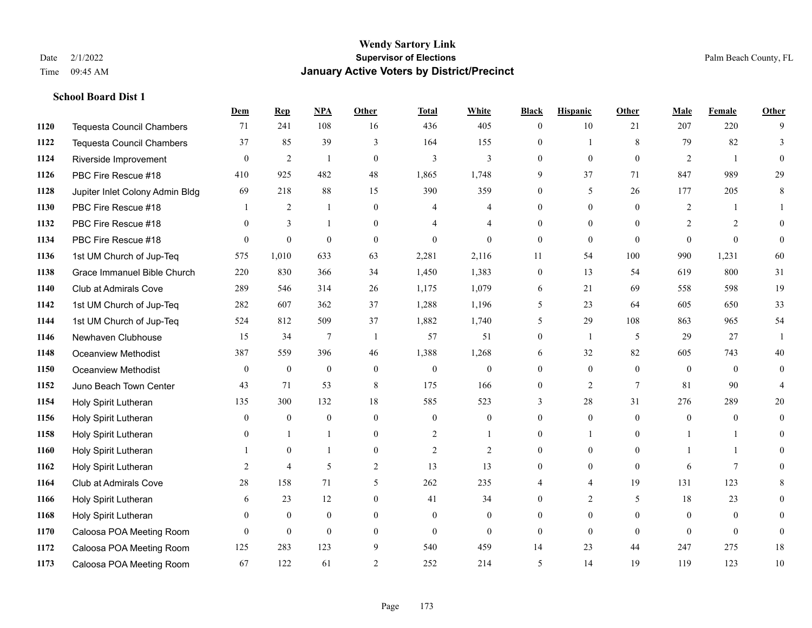|      |                                  | Dem          | <b>Rep</b>       | NPA              | <b>Other</b>   | <b>Total</b>     | <b>White</b>   | <b>Black</b>     | <b>Hispanic</b> | <b>Other</b> | <b>Male</b>  | <b>Female</b>  | <b>Other</b>   |
|------|----------------------------------|--------------|------------------|------------------|----------------|------------------|----------------|------------------|-----------------|--------------|--------------|----------------|----------------|
| 1120 | <b>Tequesta Council Chambers</b> | 71           | 241              | 108              | 16             | 436              | 405            | $\overline{0}$   | 10              | 21           | 207          | 220            | 9              |
| 1122 | <b>Tequesta Council Chambers</b> | 37           | 85               | 39               | 3              | 164              | 155            | $\overline{0}$   | 1               | 8            | 79           | 82             | 3              |
| 1124 | Riverside Improvement            | $\theta$     | $\overline{2}$   | $\overline{1}$   | $\theta$       | $\overline{3}$   | 3              | $\Omega$         | $\Omega$        | $\Omega$     | 2            | $\mathbf{1}$   | $\Omega$       |
| 1126 | PBC Fire Rescue #18              | 410          | 925              | 482              | 48             | 1,865            | 1,748          | 9                | 37              | 71           | 847          | 989            | 29             |
| 1128 | Jupiter Inlet Colony Admin Bldg  | 69           | 218              | 88               | 15             | 390              | 359            | 0                | 5               | 26           | 177          | 205            | 8              |
| 1130 | PBC Fire Rescue #18              |              | 2                | $\mathbf{1}$     | $\mathbf{0}$   | 4                | 4              | 0                | $\overline{0}$  | $\theta$     | 2            |                |                |
| 1132 | PBC Fire Rescue #18              | $\theta$     | 3                | $\overline{1}$   | $\theta$       | 4                | 4              | 0                | $\Omega$        | $\Omega$     | 2            | 2              | $\theta$       |
| 1134 | PBC Fire Rescue #18              | $\theta$     | $\boldsymbol{0}$ | $\mathbf{0}$     | $\theta$       | $\theta$         | $\theta$       | $\overline{0}$   | $\overline{0}$  | $\theta$     | $\Omega$     | $\theta$       | $\theta$       |
| 1136 | 1st UM Church of Jup-Teq         | 575          | 1,010            | 633              | 63             | 2,281            | 2,116          | 11               | 54              | 100          | 990          | 1,231          | 60             |
| 1138 | Grace Immanuel Bible Church      | 220          | 830              | 366              | 34             | 1,450            | 1,383          | $\overline{0}$   | 13              | 54           | 619          | 800            | 31             |
| 1140 | Club at Admirals Cove            | 289          | 546              | 314              | 26             | 1,175            | 1,079          | 6                | 21              | 69           | 558          | 598            | 19             |
| 1142 | 1st UM Church of Jup-Teq         | 282          | 607              | 362              | 37             | 1,288            | 1,196          | 5                | 23              | 64           | 605          | 650            | 33             |
| 1144 | 1st UM Church of Jup-Teq         | 524          | 812              | 509              | 37             | 1,882            | 1,740          | 5                | 29              | 108          | 863          | 965            | 54             |
| 1146 | Newhaven Clubhouse               | 15           | 34               | $\tau$           | $\overline{1}$ | 57               | 51             | $\mathbf{0}$     | 1               | 5            | 29           | 27             |                |
| 1148 | Oceanview Methodist              | 387          | 559              | 396              | 46             | 1,388            | 1,268          | 6                | 32              | 82           | 605          | 743            | 40             |
| 1150 | Oceanview Methodist              | $\mathbf{0}$ | $\boldsymbol{0}$ | $\boldsymbol{0}$ | $\overline{0}$ | $\boldsymbol{0}$ | $\mathbf{0}$   | $\overline{0}$   | $\overline{0}$  | $\theta$     | $\mathbf{0}$ | $\mathbf{0}$   | $\mathbf{0}$   |
| 1152 | Juno Beach Town Center           | 43           | 71               | 53               | 8              | 175              | 166            | $\boldsymbol{0}$ | $\overline{2}$  | $\tau$       | 81           | 90             | $\overline{4}$ |
| 1154 | Holy Spirit Lutheran             | 135          | 300              | 132              | 18             | 585              | 523            | 3                | 28              | 31           | 276          | 289            | 20             |
| 1156 | Holy Spirit Lutheran             | $\mathbf{0}$ | $\overline{0}$   | $\mathbf{0}$     | $\theta$       | $\mathbf{0}$     | $\overline{0}$ | $\Omega$         | $\overline{0}$  | $\Omega$     | $\theta$     | $\theta$       | $\theta$       |
| 1158 | Holy Spirit Lutheran             | $\Omega$     | $\overline{1}$   |                  | $\theta$       | $\overline{c}$   |                | $\Omega$         |                 | $\Omega$     |              |                | $\Omega$       |
| 1160 | Holy Spirit Lutheran             |              | $\mathbf{0}$     |                  | $\theta$       | 2                | 2              | $\overline{0}$   | $\overline{0}$  | $\theta$     |              |                | 0              |
| 1162 | Holy Spirit Lutheran             | 2            | $\overline{4}$   | 5                | $\overline{c}$ | 13               | 13             | 0                | $\overline{0}$  | $\theta$     | 6            | 7              | 0              |
| 1164 | <b>Club at Admirals Cove</b>     | 28           | 158              | 71               | 5              | 262              | 235            | 4                | 4               | 19           | 131          | 123            | 8              |
| 1166 | Holy Spirit Lutheran             | 6            | 23               | 12               | $\theta$       | 41               | 34             | $\theta$         | $\overline{2}$  | 5            | 18           | 23             | $\Omega$       |
| 1168 | Holy Spirit Lutheran             | $\mathbf{0}$ | $\boldsymbol{0}$ | $\mathbf{0}$     | $\overline{0}$ | $\mathbf{0}$     | $\overline{0}$ | $\theta$         | $\overline{0}$  | $\theta$     | $\mathbf{0}$ | $\overline{0}$ | $\theta$       |
| 1170 | Caloosa POA Meeting Room         | $\theta$     | $\mathbf{0}$     | $\mathbf{0}$     | $\theta$       | $\theta$         | $\overline{0}$ | 0                | $\theta$        | $\theta$     | $\theta$     | $\theta$       | $\mathbf{0}$   |
| 1172 | Caloosa POA Meeting Room         | 125          | 283              | 123              | 9              | 540              | 459            | 14               | 23              | 44           | 247          | 275            | 18             |
| 1173 | Caloosa POA Meeting Room         | 67           | 122              | 61               | $\overline{c}$ | 252              | 214            | 5                | 14              | 19           | 119          | 123            | 10             |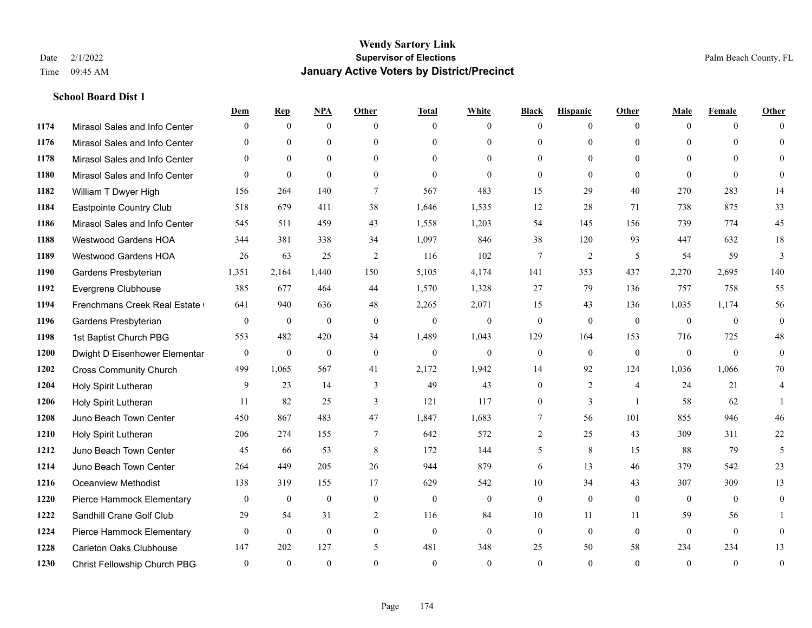|      |                                | Dem          | <b>Rep</b>       | NPA          | <b>Other</b> | <b>Total</b> | <b>White</b>   | <b>Black</b>     | <b>Hispanic</b> | <b>Other</b>   | <b>Male</b>  | <b>Female</b> | <b>Other</b>     |
|------|--------------------------------|--------------|------------------|--------------|--------------|--------------|----------------|------------------|-----------------|----------------|--------------|---------------|------------------|
| 1174 | Mirasol Sales and Info Center  | $\Omega$     | $\mathbf{0}$     | $\mathbf{0}$ | $\theta$     | $\theta$     | $\theta$       | $\Omega$         | $\mathbf{0}$    | $\theta$       | $\theta$     | $\theta$      | $\Omega$         |
| 1176 | Mirasol Sales and Info Center  | $\Omega$     | $\theta$         | $\theta$     | $\Omega$     | $\Omega$     | $\theta$       | $\Omega$         | $\theta$        | $\Omega$       | $\theta$     | $\Omega$      | $\theta$         |
| 1178 | Mirasol Sales and Info Center  | $\theta$     | $\theta$         | $\theta$     | $\theta$     | $\Omega$     | $\theta$       | $\Omega$         | $\theta$        | $\Omega$       | $\theta$     | $\Omega$      | $\Omega$         |
| 1180 | Mirasol Sales and Info Center  | $\theta$     | $\theta$         | $\theta$     | $\theta$     | $\theta$     | $\theta$       | $\overline{0}$   | $\theta$        | $\theta$       | $\theta$     | $\theta$      | $\Omega$         |
| 1182 | William T Dwyer High           | 156          | 264              | 140          | $\tau$       | 567          | 483            | 15               | 29              | 40             | 270          | 283           | 14               |
| 1184 | Eastpointe Country Club        | 518          | 679              | 411          | 38           | 1,646        | 1,535          | 12               | 28              | 71             | 738          | 875           | 33               |
| 1186 | Mirasol Sales and Info Center  | 545          | 511              | 459          | 43           | 1,558        | 1,203          | 54               | 145             | 156            | 739          | 774           | 45               |
| 1188 | <b>Westwood Gardens HOA</b>    | 344          | 381              | 338          | 34           | 1,097        | 846            | 38               | 120             | 93             | 447          | 632           | 18               |
| 1189 | <b>Westwood Gardens HOA</b>    | 26           | 63               | 25           | 2            | 116          | 102            | $\overline{7}$   | $\overline{2}$  | 5              | 54           | 59            | 3                |
| 1190 | Gardens Presbyterian           | 1,351        | 2,164            | 1,440        | 150          | 5,105        | 4,174          | 141              | 353             | 437            | 2,270        | 2,695         | 140              |
| 1192 | Evergrene Clubhouse            | 385          | 677              | 464          | 44           | 1,570        | 1,328          | 27               | 79              | 136            | 757          | 758           | 55               |
| 1194 | Frenchmans Creek Real Estate   | 641          | 940              | 636          | 48           | 2,265        | 2,071          | 15               | 43              | 136            | 1,035        | 1,174         | 56               |
| 1196 | Gardens Presbyterian           | $\mathbf{0}$ | $\boldsymbol{0}$ | $\mathbf{0}$ | $\theta$     | $\mathbf{0}$ | $\overline{0}$ | $\boldsymbol{0}$ | $\mathbf{0}$    | $\mathbf{0}$   | $\mathbf{0}$ | $\mathbf{0}$  | $\boldsymbol{0}$ |
| 1198 | 1st Baptist Church PBG         | 553          | 482              | 420          | 34           | 1,489        | 1,043          | 129              | 164             | 153            | 716          | 725           | 48               |
| 1200 | Dwight D Eisenhower Elementar  | $\theta$     | $\mathbf{0}$     | $\mathbf{0}$ | $\theta$     | $\mathbf{0}$ | $\overline{0}$ | $\mathbf{0}$     | $\theta$        | $\theta$       | $\theta$     | $\theta$      | $\mathbf{0}$     |
| 1202 | <b>Cross Community Church</b>  | 499          | 1,065            | 567          | 41           | 2,172        | 1,942          | 14               | 92              | 124            | 1,036        | 1,066         | 70               |
| 1204 | Holy Spirit Lutheran           | 9            | 23               | 14           | 3            | 49           | 43             | $\overline{0}$   | 2               | $\overline{4}$ | 24           | 21            | 4                |
| 1206 | Holy Spirit Lutheran           | 11           | 82               | 25           | 3            | 121          | 117            | $\overline{0}$   | 3               |                | 58           | 62            |                  |
| 1208 | Juno Beach Town Center         | 450          | 867              | 483          | 47           | 1,847        | 1,683          | 7                | 56              | 101            | 855          | 946           | 46               |
| 1210 | Holy Spirit Lutheran           | 206          | 274              | 155          | $\tau$       | 642          | 572            | 2                | 25              | 43             | 309          | 311           | $22\,$           |
| 1212 | Juno Beach Town Center         | 45           | 66               | 53           | 8            | 172          | 144            | 5                | 8               | 15             | 88           | 79            | 5                |
| 1214 | Juno Beach Town Center         | 264          | 449              | 205          | 26           | 944          | 879            | 6                | 13              | 46             | 379          | 542           | 23               |
| 1216 | <b>Oceanview Methodist</b>     | 138          | 319              | 155          | 17           | 629          | 542            | 10               | 34              | 43             | 307          | 309           | 13               |
| 1220 | Pierce Hammock Elementary      | $\theta$     | $\mathbf{0}$     | $\mathbf{0}$ | $\mathbf{0}$ | $\mathbf{0}$ | $\overline{0}$ | $\overline{0}$   | $\overline{0}$  | $\theta$       | $\theta$     | $\theta$      | $\mathbf{0}$     |
| 1222 | Sandhill Crane Golf Club       | 29           | 54               | 31           | 2            | 116          | 84             | 10               | 11              | 11             | 59           | 56            |                  |
| 1224 | Pierce Hammock Elementary      | $\theta$     | $\mathbf{0}$     | $\mathbf{0}$ | $\theta$     | $\mathbf{0}$ | $\overline{0}$ | $\overline{0}$   | $\mathbf{0}$    | $\theta$       | $\theta$     | $\theta$      | $\mathbf{0}$     |
| 1228 | <b>Carleton Oaks Clubhouse</b> | 147          | 202              | 127          | 5            | 481          | 348            | 25               | 50              | 58             | 234          | 234           | 13               |
| 1230 | Christ Fellowship Church PBG   | $\theta$     | $\theta$         | $\theta$     | $\theta$     | $\theta$     | $\theta$       | $\theta$         | $\theta$        | $\theta$       | $\theta$     | $\Omega$      | $\boldsymbol{0}$ |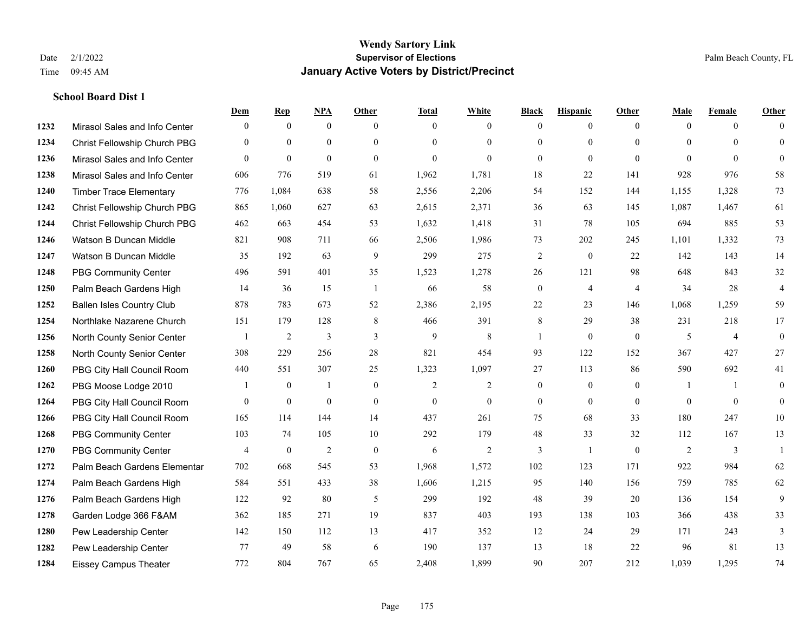|      |                                  | Dem            | <b>Rep</b>       | NPA              | <b>Other</b> | <b>Total</b>   | <b>White</b>   | <b>Black</b>     | <b>Hispanic</b>  | <b>Other</b>   | <b>Male</b>    | <b>Female</b>  | <b>Other</b>     |
|------|----------------------------------|----------------|------------------|------------------|--------------|----------------|----------------|------------------|------------------|----------------|----------------|----------------|------------------|
| 1232 | Mirasol Sales and Info Center    | $\mathbf{0}$   | $\mathbf{0}$     | $\boldsymbol{0}$ | $\theta$     | $\Omega$       | $\overline{0}$ | $\mathbf{0}$     | $\mathbf{0}$     | $\theta$       | $\mathbf{0}$   | $\overline{0}$ | $\Omega$         |
| 1234 | Christ Fellowship Church PBG     | $\theta$       | $\mathbf{0}$     | $\mathbf{0}$     | $\Omega$     | $\Omega$       | $\overline{0}$ | $\theta$         | $\mathbf{0}$     | $\Omega$       | $\theta$       | $\Omega$       | $\mathbf{0}$     |
| 1236 | Mirasol Sales and Info Center    | $\Omega$       | $\mathbf{0}$     | $\theta$         | $\Omega$     | $\theta$       | $\Omega$       | $\theta$         | $\theta$         | $\Omega$       | $\Omega$       | $\Omega$       | $\Omega$         |
| 1238 | Mirasol Sales and Info Center    | 606            | 776              | 519              | 61           | 1,962          | 1,781          | 18               | 22               | 141            | 928            | 976            | 58               |
| 1240 | <b>Timber Trace Elementary</b>   | 776            | 1,084            | 638              | 58           | 2,556          | 2,206          | 54               | 152              | 144            | 1,155          | 1,328          | 73               |
| 1242 | Christ Fellowship Church PBG     | 865            | 1,060            | 627              | 63           | 2,615          | 2,371          | 36               | 63               | 145            | 1,087          | 1,467          | 61               |
| 1244 | Christ Fellowship Church PBG     | 462            | 663              | 454              | 53           | 1,632          | 1,418          | 31               | 78               | 105            | 694            | 885            | 53               |
| 1246 | Watson B Duncan Middle           | 821            | 908              | 711              | 66           | 2,506          | 1,986          | 73               | 202              | 245            | 1,101          | 1,332          | 73               |
| 1247 | Watson B Duncan Middle           | 35             | 192              | 63               | 9            | 299            | 275            | 2                | $\boldsymbol{0}$ | 22             | 142            | 143            | 14               |
| 1248 | <b>PBG Community Center</b>      | 496            | 591              | 401              | 35           | 1,523          | 1,278          | 26               | 121              | 98             | 648            | 843            | 32               |
| 1250 | Palm Beach Gardens High          | 14             | 36               | 15               | -1           | 66             | 58             | $\boldsymbol{0}$ | 4                | $\overline{4}$ | 34             | 28             | $\overline{4}$   |
| 1252 | <b>Ballen Isles Country Club</b> | 878            | 783              | 673              | 52           | 2,386          | 2,195          | 22               | 23               | 146            | 1,068          | 1,259          | 59               |
| 1254 | Northlake Nazarene Church        | 151            | 179              | 128              | 8            | 466            | 391            | 8                | 29               | 38             | 231            | 218            | 17               |
| 1256 | North County Senior Center       |                | $\overline{c}$   | $\mathfrak{Z}$   | 3            | $\mathbf{9}$   | $\,$ 8 $\,$    | 1                | $\boldsymbol{0}$ | $\overline{0}$ | 5              | $\overline{4}$ | $\boldsymbol{0}$ |
| 1258 | North County Senior Center       | 308            | 229              | 256              | 28           | 821            | 454            | 93               | 122              | 152            | 367            | 427            | 27               |
| 1260 | PBG City Hall Council Room       | 440            | 551              | 307              | 25           | 1,323          | 1,097          | 27               | 113              | 86             | 590            | 692            | 41               |
| 1262 | PBG Moose Lodge 2010             |                | $\boldsymbol{0}$ |                  | $\mathbf{0}$ | $\overline{c}$ | $\overline{c}$ | $\boldsymbol{0}$ | $\mathbf{0}$     | $\overline{0}$ | $\overline{1}$ | $\mathbf{1}$   | $\mathbf{0}$     |
| 1264 | PBG City Hall Council Room       | $\theta$       | $\boldsymbol{0}$ | $\boldsymbol{0}$ | $\mathbf{0}$ | $\mathbf{0}$   | $\overline{0}$ | $\mathbf{0}$     | $\overline{0}$   | $\overline{0}$ | $\overline{0}$ | $\overline{0}$ | $\mathbf{0}$     |
| 1266 | PBG City Hall Council Room       | 165            | 114              | 144              | 14           | 437            | 261            | 75               | 68               | 33             | 180            | 247            | 10               |
| 1268 | <b>PBG Community Center</b>      | 103            | 74               | 105              | 10           | 292            | 179            | 48               | 33               | 32             | 112            | 167            | 13               |
| 1270 | <b>PBG Community Center</b>      | $\overline{4}$ | $\mathbf{0}$     | $\overline{2}$   | $\theta$     | 6              | $\overline{2}$ | 3                | $\mathbf{1}$     | $\Omega$       | 2              | 3              | $\mathbf{1}$     |
| 1272 | Palm Beach Gardens Elementar     | 702            | 668              | 545              | 53           | 1,968          | 1,572          | 102              | 123              | 171            | 922            | 984            | 62               |
| 1274 | Palm Beach Gardens High          | 584            | 551              | 433              | 38           | 1,606          | 1,215          | 95               | 140              | 156            | 759            | 785            | 62               |
| 1276 | Palm Beach Gardens High          | 122            | 92               | 80               | 5            | 299            | 192            | 48               | 39               | 20             | 136            | 154            | 9                |
| 1278 | Garden Lodge 366 F&AM            | 362            | 185              | 271              | 19           | 837            | 403            | 193              | 138              | 103            | 366            | 438            | 33               |
| 1280 | Pew Leadership Center            | 142            | 150              | 112              | 13           | 417            | 352            | 12               | 24               | 29             | 171            | 243            | 3                |
| 1282 | Pew Leadership Center            | 77             | 49               | 58               | 6            | 190            | 137            | 13               | 18               | 22             | 96             | 81             | 13               |
| 1284 | <b>Eissey Campus Theater</b>     | 772            | 804              | 767              | 65           | 2,408          | 1,899          | 90               | 207              | 212            | 1,039          | 1,295          | 74               |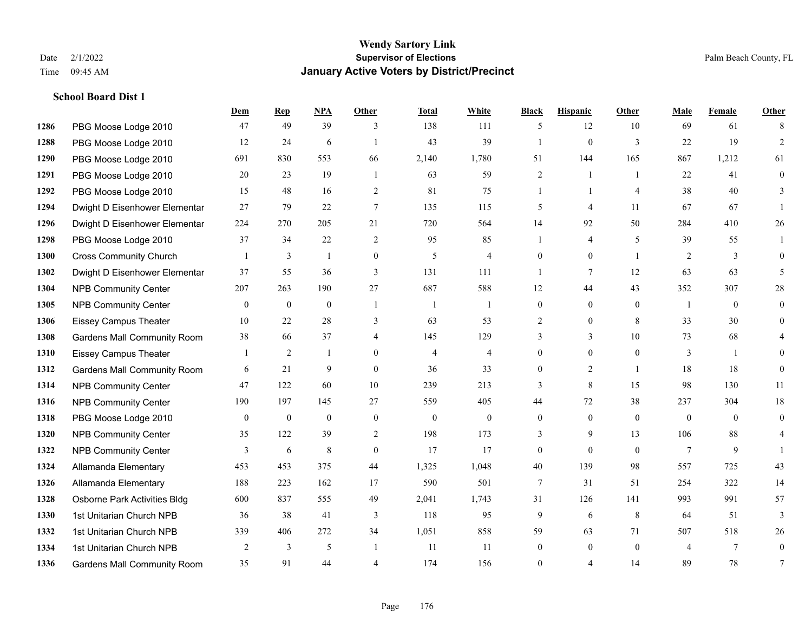|      |                                    | Dem          | <b>Rep</b>       | NPA              | <b>Other</b>     | <b>Total</b>     | <b>White</b>     | <b>Black</b>   | <b>Hispanic</b>  | Other          | <b>Male</b>     | <b>Female</b> | <b>Other</b>   |
|------|------------------------------------|--------------|------------------|------------------|------------------|------------------|------------------|----------------|------------------|----------------|-----------------|---------------|----------------|
| 1286 | PBG Moose Lodge 2010               | 47           | 49               | 39               | 3                | 138              | 111              | 5              | 12               | 10             | 69              | 61            | 8              |
| 1288 | PBG Moose Lodge 2010               | 12           | 24               | 6                |                  | 43               | 39               | 1              | $\boldsymbol{0}$ | 3              | 22              | 19            | $\overline{2}$ |
| 1290 | PBG Moose Lodge 2010               | 691          | 830              | 553              | 66               | 2,140            | 1,780            | 51             | 144              | 165            | 867             | 1,212         | 61             |
| 1291 | PBG Moose Lodge 2010               | 20           | 23               | 19               | $\overline{1}$   | 63               | 59               | $\overline{c}$ | $\mathbf{1}$     | $\overline{1}$ | 22              | 41            | $\mathbf{0}$   |
| 1292 | PBG Moose Lodge 2010               | 15           | 48               | 16               | 2                | 81               | 75               | 1              | $\mathbf{1}$     | $\overline{4}$ | 38              | 40            | 3              |
| 1294 | Dwight D Eisenhower Elementar      | 27           | 79               | 22               | $\overline{7}$   | 135              | 115              | 5              | 4                | 11             | 67              | 67            |                |
| 1296 | Dwight D Eisenhower Elementar      | 224          | 270              | 205              | 21               | 720              | 564              | 14             | 92               | 50             | 284             | 410           | $26\,$         |
| 1298 | PBG Moose Lodge 2010               | 37           | 34               | 22               | 2                | 95               | 85               | $\mathbf{1}$   | 4                | 5              | 39              | 55            |                |
| 1300 | <b>Cross Community Church</b>      |              | 3                | $\mathbf{1}$     | $\mathbf{0}$     | 5                | $\overline{4}$   | $\Omega$       | $\overline{0}$   | $\overline{1}$ | 2               | 3             | $\Omega$       |
| 1302 | Dwight D Eisenhower Elementar      | 37           | 55               | 36               | 3                | 131              | 111              | $\mathbf{1}$   | 7                | 12             | 63              | 63            | 5              |
| 1304 | <b>NPB Community Center</b>        | 207          | 263              | 190              | 27               | 687              | 588              | 12             | 44               | 43             | 352             | 307           | 28             |
| 1305 | <b>NPB Community Center</b>        | $\mathbf{0}$ | $\mathbf{0}$     | $\mathbf{0}$     | $\overline{1}$   | -1               | $\mathbf{1}$     | $\overline{0}$ | $\overline{0}$   | $\theta$       | -1              | $\theta$      | $\mathbf{0}$   |
| 1306 | <b>Eissey Campus Theater</b>       | 10           | 22               | 28               | 3                | 63               | 53               | 2              | $\overline{0}$   | 8              | 33              | 30            | $\theta$       |
| 1308 | Gardens Mall Community Room        | 38           | 66               | 37               | $\overline{4}$   | 145              | 129              | 3              | 3                | 10             | 73              | 68            |                |
| 1310 | <b>Eissey Campus Theater</b>       |              | 2                | 1                | $\theta$         | $\overline{4}$   | $\overline{4}$   | $\overline{0}$ | $\overline{0}$   | $\theta$       | 3               |               | 0              |
| 1312 | <b>Gardens Mall Community Room</b> | 6            | 21               | 9                | $\theta$         | 36               | 33               | $\overline{0}$ | $\overline{2}$   | $\overline{1}$ | 18              | 18            | $\theta$       |
| 1314 | <b>NPB Community Center</b>        | 47           | 122              | 60               | 10               | 239              | 213              | 3              | 8                | 15             | 98              | 130           | 11             |
| 1316 | <b>NPB Community Center</b>        | 190          | 197              | 145              | 27               | 559              | 405              | 44             | 72               | 38             | 237             | 304           | 18             |
| 1318 | PBG Moose Lodge 2010               | $\mathbf{0}$ | $\boldsymbol{0}$ | $\boldsymbol{0}$ | $\boldsymbol{0}$ | $\boldsymbol{0}$ | $\boldsymbol{0}$ | $\overline{0}$ | $\overline{0}$   | $\mathbf{0}$   | $\mathbf{0}$    | $\mathbf{0}$  | $\overline{0}$ |
| 1320 | <b>NPB Community Center</b>        | 35           | 122              | 39               | 2                | 198              | 173              | 3              | 9                | 13             | 106             | 88            | $\overline{4}$ |
| 1322 | <b>NPB Community Center</b>        | 3            | 6                | 8                | $\theta$         | 17               | 17               | $\mathbf{0}$   | $\theta$         | $\Omega$       | $7\phantom{.0}$ | 9             |                |
| 1324 | Allamanda Elementary               | 453          | 453              | 375              | 44               | 1,325            | 1,048            | 40             | 139              | 98             | 557             | 725           | 43             |
| 1326 | Allamanda Elementary               | 188          | 223              | 162              | 17               | 590              | 501              | 7              | 31               | 51             | 254             | 322           | 14             |
| 1328 | Osborne Park Activities Bldg       | 600          | 837              | 555              | 49               | 2,041            | 1,743            | 31             | 126              | 141            | 993             | 991           | 57             |
| 1330 | 1st Unitarian Church NPB           | 36           | 38               | 41               | 3                | 118              | 95               | 9              | 6                | 8              | 64              | 51            | 3              |
| 1332 | 1st Unitarian Church NPB           | 339          | 406              | 272              | 34               | 1,051            | 858              | 59             | 63               | 71             | 507             | 518           | $26\,$         |
| 1334 | 1st Unitarian Church NPB           | 2            | 3                | 5                | $\overline{1}$   | 11               | 11               | $\overline{0}$ | $\mathbf{0}$     | $\theta$       | 4               | 7             | $\mathbf{0}$   |
| 1336 | <b>Gardens Mall Community Room</b> | 35           | 91               | 44               | $\Delta$         | 174              | 156              | $\overline{0}$ | 4                | 14             | 89              | 78            | 7              |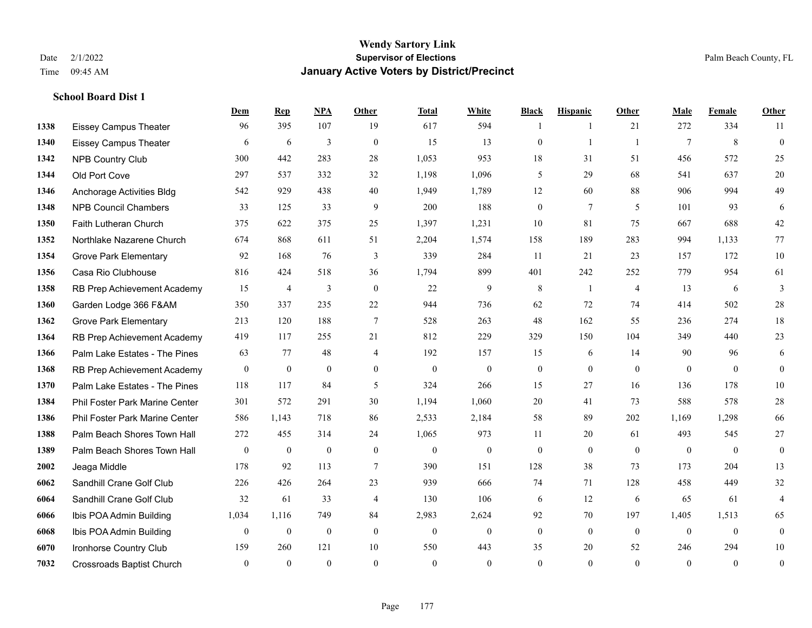**School Board Dist 1**

#### **Wendy Sartory Link** Date 2/1/2022 **Supervisor of Elections** Palm Beach County, FL Time 09:45 AM **January Active Voters by District/Precinct**

**Dem Rep NPA Other Total White Black Hispanic Other Male Female Other**

# Eissey Campus Theater 96 395 107 19 617 594 1 1 21 272 334 11 Eissey Campus Theater 6 6 6 3 0 15 13 0 1 1 7 8 0 NPB Country Club 300 442 283 28 1,053 953 18 31 51 456 572 25 Old Port Cove 297 537 332 32 1,198 1,096 5 29 68 541 637 20 Anchorage Activities Bldg 542 929 438 40 1,949 1,789 12 60 88 906 994 49 NPB Council Chambers 33 125 33 9 200 188 0 7 5 101 93 6 Faith Lutheran Church 375 622 375 25 1,397 1,231 10 81 75 667 688 42 Northlake Nazarene Church 674 868 611 51 2,204 1,574 158 189 283 994 1,133 77 Grove Park Elementary 92 168 76 3 339 284 11 21 23 157 172 10 Casa Rio Clubhouse 816 424 518 36 1,794 899 401 242 252 779 954 61 RB Prep Achievement Academy 15 4 3 0 22 9 8 1 4 13 6 3 Garden Lodge 366 F&AM 350 337 235 22 944 736 62 72 74 414 502 28 Grove Park Elementary 213 120 188 7 528 263 48 162 55 236 274 18 RB Prep Achievement Academy 419 117 255 21 812 229 329 150 104 349 440 23 Palm Lake Estates - The Pines 63 77 48 4 192 157 15 6 14 90 96 6 RB Prep Achievement Academy 0 0 0 0 0 0 0 0 0 0 0 0 Palm Lake Estates - The Pines 118 117 84 5 324 266 15 27 16 136 178 10 Phil Foster Park Marine Center 301 572 291 30 1,194 1,060 20 41 73 588 578 28 Phil Foster Park Marine Center 586 1,143 718 86 2,533 2,184 58 89 202 1,169 1,298 66 Palm Beach Shores Town Hall 272 455 314 24 1,065 973 11 20 61 493 545 27 Palm Beach Shores Town Hall 0 0 0 0 0 0 0 0 0 0 0 0 Jeaga Middle 178 92 113 7 390 151 128 38 73 173 204 13 Sandhill Crane Golf Club 226 426 264 23 939 666 74 71 128 458 449 32 Sandhill Crane Golf Club 32 61 33 4 130 106 6 12 6 65 61 4 Ibis POA Admin Building 1,034 1,116 749 84 2,983 2,624 92 70 197 1,405 1,513 65 Ibis POA Admin Building 0 0 0 0 0 0 0 0 0 0 0 0 Ironhorse Country Club 159 260 121 10 550 443 35 20 52 246 294 10

Crossroads Baptist Church 0 0 0 0 0 0 0 0 0 0 0 0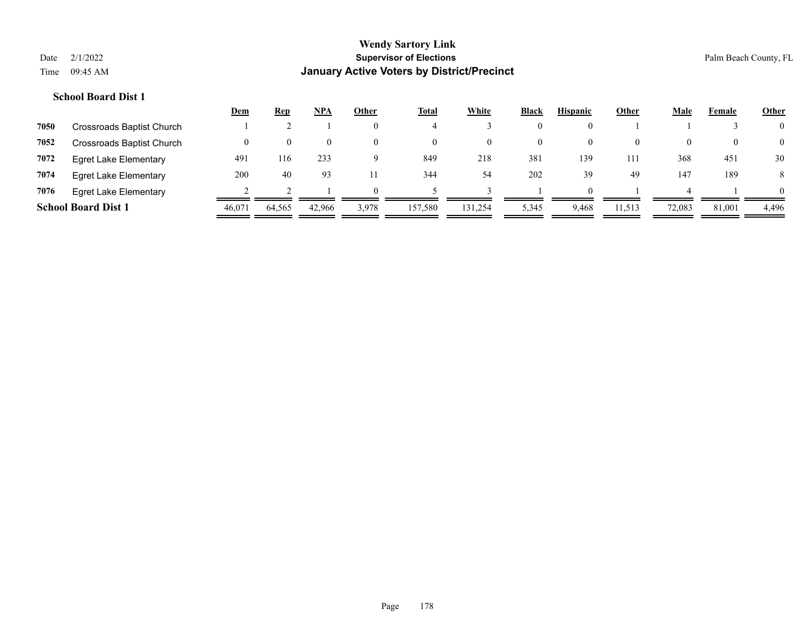|      |                              | <u>Dem</u> | <u>Rep</u> | <u>NPA</u> | Other    | <b>Total</b> | White   | <b>Black</b> | <b>Hispanic</b> | Other    | Male   | Female | <b>Other</b>   |
|------|------------------------------|------------|------------|------------|----------|--------------|---------|--------------|-----------------|----------|--------|--------|----------------|
| 7050 | Crossroads Baptist Church    |            |            |            | $\theta$ |              |         | 0            |                 |          |        |        | $\overline{0}$ |
| 7052 | Crossroads Baptist Church    |            | $\theta$   | 0          | $\theta$ | $\theta$     |         | 0            | $\bf{0}$        | $\theta$ |        |        | $\overline{0}$ |
| 7072 | <b>Egret Lake Elementary</b> | 491        | 116        | 233        | 9        | 849          | 218     | 381          | 139             | 111      | 368    | 451    | 30             |
| 7074 | <b>Egret Lake Elementary</b> | 200        | 40         | 93         |          | 344          | 54      | 202          | 39              | 49       | 147    | 189    | 8              |
| 7076 | <b>Egret Lake Elementary</b> |            |            |            | $\Omega$ |              |         |              | $\Omega$        |          |        |        | $\theta$       |
|      | <b>School Board Dist 1</b>   | 46,071     | 64,565     | 42,966     | 3,978    | 157,580      | 131,254 | 5,345        | 9,468           | 11,513   | 72,083 | 81,001 | 4,496          |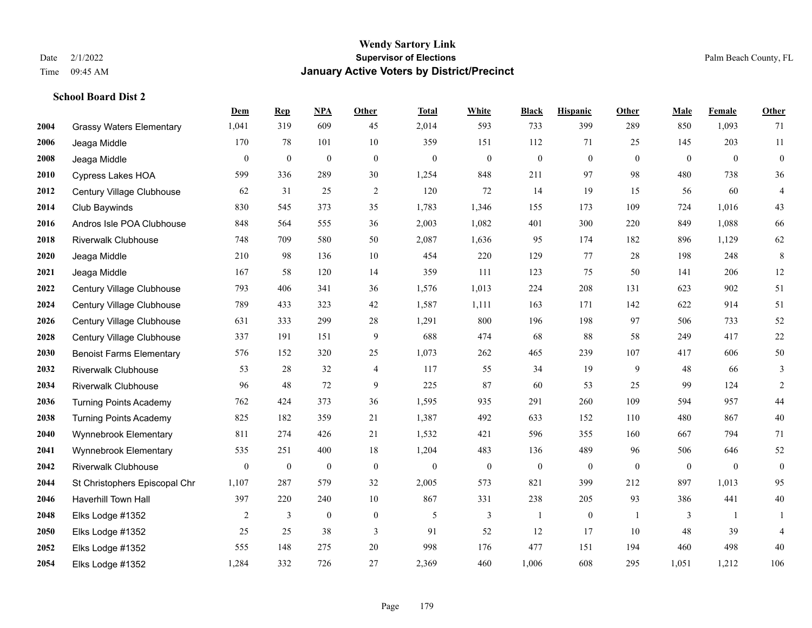|      |                                 | Dem          | <b>Rep</b>       | NPA              | <b>Other</b>   | <b>Total</b>     | <b>White</b>     | <b>Black</b>     | <b>Hispanic</b>  | <b>Other</b>   | <b>Male</b>    | Female         | Other            |
|------|---------------------------------|--------------|------------------|------------------|----------------|------------------|------------------|------------------|------------------|----------------|----------------|----------------|------------------|
| 2004 | <b>Grassy Waters Elementary</b> | 1,041        | 319              | 609              | 45             | 2,014            | 593              | 733              | 399              | 289            | 850            | 1,093          | 71               |
| 2006 | Jeaga Middle                    | 170          | 78               | 101              | $10\,$         | 359              | 151              | 112              | 71               | 25             | 145            | 203            | $11\,$           |
| 2008 | Jeaga Middle                    | $\mathbf{0}$ | $\boldsymbol{0}$ | $\boldsymbol{0}$ | $\mathbf{0}$   | $\theta$         | $\boldsymbol{0}$ | $\boldsymbol{0}$ | $\boldsymbol{0}$ | $\overline{0}$ | $\overline{0}$ | $\overline{0}$ | $\boldsymbol{0}$ |
| 2010 | <b>Cypress Lakes HOA</b>        | 599          | 336              | 289              | 30             | 1,254            | 848              | 211              | 97               | 98             | 480            | 738            | 36               |
| 2012 | Century Village Clubhouse       | 62           | 31               | 25               | 2              | 120              | 72               | 14               | 19               | 15             | 56             | 60             | $\overline{4}$   |
| 2014 | Club Baywinds                   | 830          | 545              | 373              | 35             | 1,783            | 1,346            | 155              | 173              | 109            | 724            | 1,016          | 43               |
| 2016 | Andros Isle POA Clubhouse       | 848          | 564              | 555              | 36             | 2,003            | 1,082            | 401              | 300              | 220            | 849            | 1,088          | 66               |
| 2018 | <b>Riverwalk Clubhouse</b>      | 748          | 709              | 580              | 50             | 2,087            | 1,636            | 95               | 174              | 182            | 896            | 1,129          | 62               |
| 2020 | Jeaga Middle                    | 210          | 98               | 136              | 10             | 454              | 220              | 129              | 77               | 28             | 198            | 248            | $\,8\,$          |
| 2021 | Jeaga Middle                    | 167          | 58               | 120              | 14             | 359              | 111              | 123              | 75               | 50             | 141            | 206            | $12\,$           |
| 2022 | Century Village Clubhouse       | 793          | 406              | 341              | 36             | 1,576            | 1,013            | 224              | 208              | 131            | 623            | 902            | 51               |
| 2024 | Century Village Clubhouse       | 789          | 433              | 323              | 42             | 1,587            | 1,111            | 163              | 171              | 142            | 622            | 914            | 51               |
| 2026 | Century Village Clubhouse       | 631          | 333              | 299              | 28             | 1,291            | 800              | 196              | 198              | 97             | 506            | 733            | $52\,$           |
| 2028 | Century Village Clubhouse       | 337          | 191              | 151              | $\overline{9}$ | 688              | 474              | 68               | 88               | 58             | 249            | 417            | $22\,$           |
| 2030 | <b>Benoist Farms Elementary</b> | 576          | 152              | 320              | 25             | 1,073            | 262              | 465              | 239              | 107            | 417            | 606            | $50\,$           |
| 2032 | <b>Riverwalk Clubhouse</b>      | 53           | 28               | 32               | $\overline{4}$ | 117              | 55               | 34               | 19               | 9              | 48             | 66             | 3                |
| 2034 | <b>Riverwalk Clubhouse</b>      | 96           | 48               | 72               | 9              | 225              | 87               | 60               | 53               | 25             | 99             | 124            | $\overline{c}$   |
| 2036 | <b>Turning Points Academy</b>   | 762          | 424              | 373              | 36             | 1,595            | 935              | 291              | 260              | 109            | 594            | 957            | $44\,$           |
| 2038 | <b>Turning Points Academy</b>   | 825          | 182              | 359              | 21             | 1,387            | 492              | 633              | 152              | 110            | 480            | 867            | $40\,$           |
| 2040 | Wynnebrook Elementary           | 811          | 274              | 426              | 21             | 1,532            | 421              | 596              | 355              | 160            | 667            | 794            | 71               |
| 2041 | Wynnebrook Elementary           | 535          | 251              | 400              | 18             | 1,204            | 483              | 136              | 489              | 96             | 506            | 646            | $52\,$           |
| 2042 | <b>Riverwalk Clubhouse</b>      | $\mathbf{0}$ | $\boldsymbol{0}$ | $\boldsymbol{0}$ | $\mathbf{0}$   | $\boldsymbol{0}$ | $\boldsymbol{0}$ | $\boldsymbol{0}$ | $\boldsymbol{0}$ | $\overline{0}$ | $\mathbf{0}$   | $\mathbf{0}$   | $\boldsymbol{0}$ |
| 2044 | St Christophers Episcopal Chr   | 1,107        | 287              | 579              | 32             | 2,005            | 573              | 821              | 399              | 212            | 897            | 1,013          | 95               |
| 2046 | <b>Haverhill Town Hall</b>      | 397          | 220              | 240              | $10\,$         | 867              | 331              | 238              | 205              | 93             | 386            | 441            | $40\,$           |
| 2048 | Elks Lodge #1352                | 2            | 3                | $\mathbf{0}$     | $\mathbf{0}$   | 5                | 3                | 1                | $\boldsymbol{0}$ | -1             | 3              | -1             | 1                |
| 2050 | Elks Lodge #1352                | 25           | 25               | 38               | 3              | 91               | 52               | 12               | 17               | 10             | 48             | 39             | $\overline{4}$   |
| 2052 | Elks Lodge #1352                | 555          | 148              | 275              | 20             | 998              | 176              | 477              | 151              | 194            | 460            | 498            | $40\,$           |
| 2054 | Elks Lodge #1352                | 1,284        | 332              | 726              | 27             | 2,369            | 460              | 1,006            | 608              | 295            | 1,051          | 1,212          | 106              |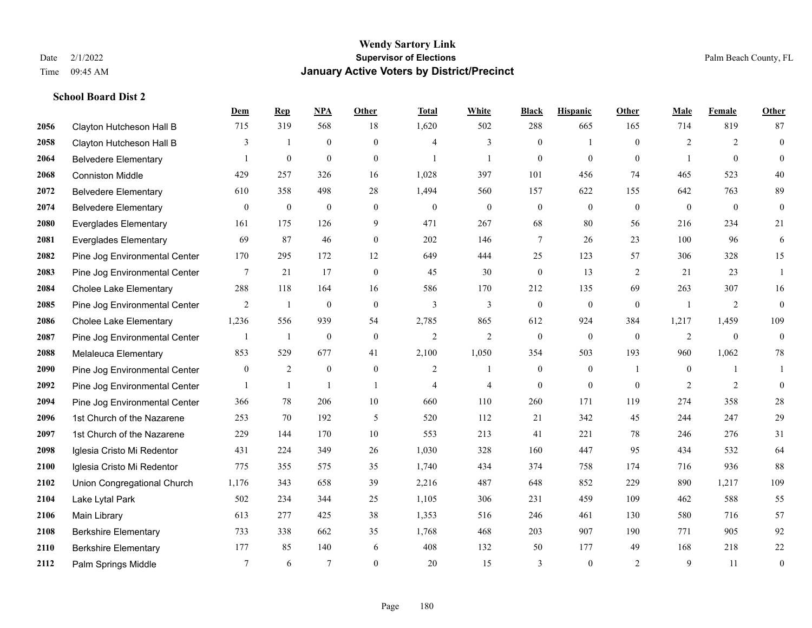|      |                               | Dem              | <b>Rep</b>       | NPA              | <b>Other</b>   | <b>Total</b>     | <b>White</b>     | <b>Black</b>     | <b>Hispanic</b>  | Other          | <b>Male</b>    | Female         | <b>Other</b>     |
|------|-------------------------------|------------------|------------------|------------------|----------------|------------------|------------------|------------------|------------------|----------------|----------------|----------------|------------------|
| 2056 | Clayton Hutcheson Hall B      | 715              | 319              | 568              | 18             | 1,620            | 502              | 288              | 665              | 165            | 714            | 819            | 87               |
| 2058 | Clayton Hutcheson Hall B      | 3                | $\overline{1}$   | $\boldsymbol{0}$ | $\overline{0}$ | $\overline{4}$   | 3                | $\boldsymbol{0}$ | $\mathbf{1}$     | $\mathbf{0}$   | $\overline{2}$ | 2              | $\boldsymbol{0}$ |
| 2064 | <b>Belvedere Elementary</b>   | -1               | $\boldsymbol{0}$ | $\mathbf{0}$     | $\overline{0}$ | $\mathbf{1}$     | $\mathbf{1}$     | $\mathbf{0}$     | $\mathbf{0}$     | $\theta$       | 1              | $\theta$       | $\mathbf{0}$     |
| 2068 | <b>Conniston Middle</b>       | 429              | 257              | 326              | 16             | 1,028            | 397              | 101              | 456              | 74             | 465            | 523            | 40               |
| 2072 | <b>Belvedere Elementary</b>   | 610              | 358              | 498              | 28             | 1,494            | 560              | 157              | 622              | 155            | 642            | 763            | 89               |
| 2074 | <b>Belvedere Elementary</b>   | $\boldsymbol{0}$ | $\bf{0}$         | $\boldsymbol{0}$ | $\overline{0}$ | $\boldsymbol{0}$ | $\boldsymbol{0}$ | $\boldsymbol{0}$ | $\mathbf{0}$     | $\mathbf{0}$   | $\mathbf{0}$   | $\overline{0}$ | $\mathbf{0}$     |
| 2080 | <b>Everglades Elementary</b>  | 161              | 175              | 126              | 9              | 471              | 267              | 68               | 80               | 56             | 216            | 234            | 21               |
| 2081 | <b>Everglades Elementary</b>  | 69               | 87               | 46               | $\Omega$       | 202              | 146              | $\tau$           | 26               | 23             | 100            | 96             | 6                |
| 2082 | Pine Jog Environmental Center | 170              | 295              | 172              | 12             | 649              | 444              | 25               | 123              | 57             | 306            | 328            | 15               |
| 2083 | Pine Jog Environmental Center | 7                | 21               | 17               | $\mathbf{0}$   | 45               | 30               | $\boldsymbol{0}$ | 13               | 2              | 21             | 23             | 1                |
| 2084 | <b>Cholee Lake Elementary</b> | 288              | 118              | 164              | 16             | 586              | 170              | 212              | 135              | 69             | 263            | 307            | 16               |
| 2085 | Pine Jog Environmental Center | 2                | -1               | $\mathbf{0}$     | $\overline{0}$ | 3                | 3                | $\boldsymbol{0}$ | $\mathbf{0}$     | $\overline{0}$ | $\overline{1}$ | 2              | $\boldsymbol{0}$ |
| 2086 | <b>Cholee Lake Elementary</b> | 1,236            | 556              | 939              | 54             | 2,785            | 865              | 612              | 924              | 384            | 1,217          | 1,459          | 109              |
| 2087 | Pine Jog Environmental Center | 1                | $\mathbf{1}$     | $\boldsymbol{0}$ | $\mathbf{0}$   | $\mathfrak{2}$   | $\overline{2}$   | $\boldsymbol{0}$ | $\boldsymbol{0}$ | $\mathbf{0}$   | $\overline{2}$ | $\mathbf{0}$   | $\boldsymbol{0}$ |
| 2088 | Melaleuca Elementary          | 853              | 529              | 677              | 41             | 2,100            | 1,050            | 354              | 503              | 193            | 960            | 1,062          | 78               |
| 2090 | Pine Jog Environmental Center | $\overline{0}$   | $\overline{2}$   | $\mathbf{0}$     | $\mathbf{0}$   | 2                | $\mathbf{1}$     | $\mathbf{0}$     | $\mathbf{0}$     | $\overline{1}$ | $\overline{0}$ |                | $\mathbf{1}$     |
| 2092 | Pine Jog Environmental Center | -1               | 1                | $\mathbf{1}$     | $\overline{1}$ | $\overline{4}$   | $\overline{4}$   | $\mathbf{0}$     | $\mathbf{0}$     | $\theta$       | 2              | 2              | $\mathbf{0}$     |
| 2094 | Pine Jog Environmental Center | 366              | 78               | 206              | 10             | 660              | 110              | 260              | 171              | 119            | 274            | 358            | $28\,$           |
| 2096 | 1st Church of the Nazarene    | 253              | 70               | 192              | 5              | 520              | 112              | 21               | 342              | 45             | 244            | 247            | $29\,$           |
| 2097 | 1st Church of the Nazarene    | 229              | 144              | 170              | 10             | 553              | 213              | 41               | 221              | 78             | 246            | 276            | 31               |
| 2098 | Iglesia Cristo Mi Redentor    | 431              | 224              | 349              | 26             | 1,030            | 328              | 160              | 447              | 95             | 434            | 532            | 64               |
| 2100 | Iglesia Cristo Mi Redentor    | 775              | 355              | 575              | 35             | 1,740            | 434              | 374              | 758              | 174            | 716            | 936            | 88               |
| 2102 | Union Congregational Church   | 1,176            | 343              | 658              | 39             | 2,216            | 487              | 648              | 852              | 229            | 890            | 1,217          | 109              |
| 2104 | Lake Lytal Park               | 502              | 234              | 344              | 25             | 1,105            | 306              | 231              | 459              | 109            | 462            | 588            | 55               |
| 2106 | Main Library                  | 613              | 277              | 425              | 38             | 1,353            | 516              | 246              | 461              | 130            | 580            | 716            | 57               |
| 2108 | <b>Berkshire Elementary</b>   | 733              | 338              | 662              | 35             | 1,768            | 468              | 203              | 907              | 190            | 771            | 905            | 92               |
| 2110 | <b>Berkshire Elementary</b>   | 177              | 85               | 140              | 6              | 408              | 132              | 50               | 177              | 49             | 168            | 218            | $22\,$           |
| 2112 | Palm Springs Middle           | $7\phantom{.0}$  | 6                | $\overline{7}$   | $\Omega$       | 20               | 15               | 3                | $\mathbf{0}$     | 2              | 9              | 11             | $\boldsymbol{0}$ |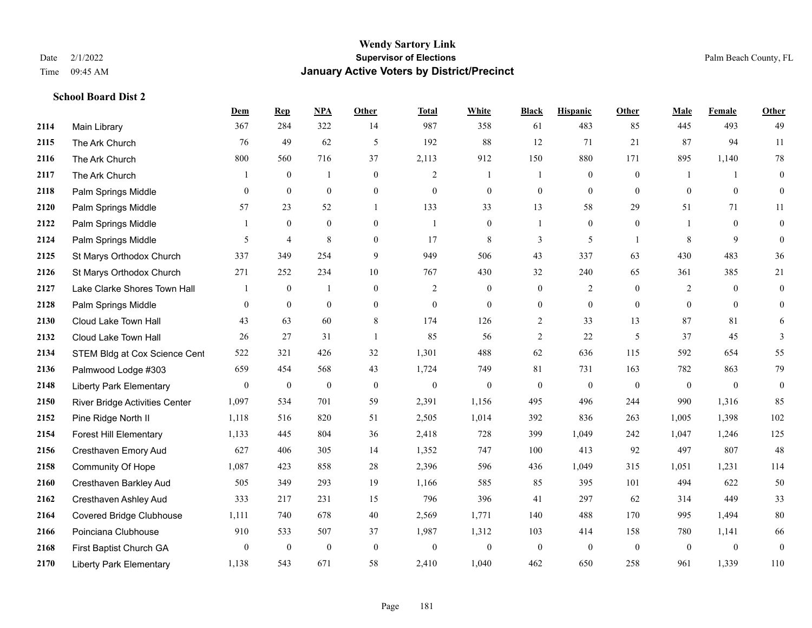|      |                                 | Dem              | <b>Rep</b>     | NPA              | Other            | <b>Total</b>   | <b>White</b>     | <b>Black</b>     | <b>Hispanic</b>  | <b>Other</b>   | <b>Male</b>    | <b>Female</b>  | <b>Other</b>     |
|------|---------------------------------|------------------|----------------|------------------|------------------|----------------|------------------|------------------|------------------|----------------|----------------|----------------|------------------|
| 2114 | Main Library                    | 367              | 284            | 322              | 14               | 987            | 358              | 61               | 483              | 85             | 445            | 493            | 49               |
| 2115 | The Ark Church                  | 76               | 49             | 62               | $\mathfrak{H}$   | 192            | 88               | 12               | 71               | 21             | 87             | 94             | $11\,$           |
| 2116 | The Ark Church                  | 800              | 560            | 716              | 37               | 2,113          | 912              | 150              | 880              | 171            | 895            | 1,140          | $78\,$           |
| 2117 | The Ark Church                  |                  | $\mathbf{0}$   | $\mathbf{1}$     | $\mathbf{0}$     | $\overline{2}$ | 1                |                  | $\mathbf{0}$     | $\mathbf{0}$   |                | $\mathbf{1}$   | $\mathbf{0}$     |
| 2118 | Palm Springs Middle             | $\overline{0}$   | $\mathbf{0}$   | $\mathbf{0}$     | $\overline{0}$   | $\mathbf{0}$   | $\boldsymbol{0}$ | $\boldsymbol{0}$ | $\overline{0}$   | $\overline{0}$ | $\mathbf{0}$   | $\overline{0}$ | $\boldsymbol{0}$ |
| 2120 | Palm Springs Middle             | 57               | 23             | 52               | $\mathbf{1}$     | 133            | 33               | 13               | 58               | 29             | 51             | 71             | 11               |
| 2122 | Palm Springs Middle             | 1                | $\mathbf{0}$   | $\mathbf{0}$     | $\boldsymbol{0}$ | $\overline{1}$ | $\boldsymbol{0}$ |                  | $\boldsymbol{0}$ | $\overline{0}$ |                | $\mathbf{0}$   | $\boldsymbol{0}$ |
| 2124 | Palm Springs Middle             | 5                | 4              | 8                | $\overline{0}$   | 17             | 8                | 3                | 5                | $\overline{1}$ | 8              | 9              | $\mathbf{0}$     |
| 2125 | St Marys Orthodox Church        | 337              | 349            | 254              | 9                | 949            | 506              | 43               | 337              | 63             | 430            | 483            | 36               |
| 2126 | St Marys Orthodox Church        | 271              | 252            | 234              | 10               | 767            | 430              | 32               | 240              | 65             | 361            | 385            | 21               |
| 2127 | Lake Clarke Shores Town Hall    | 1                | $\overline{0}$ | $\overline{1}$   | $\mathbf{0}$     | 2              | $\mathbf{0}$     | $\mathbf{0}$     | $\overline{c}$   | $\theta$       | $\overline{2}$ | $\overline{0}$ | $\mathbf{0}$     |
| 2128 | Palm Springs Middle             | $\overline{0}$   | $\overline{0}$ | $\mathbf{0}$     | $\overline{0}$   | $\mathbf{0}$   | $\mathbf{0}$     | $\boldsymbol{0}$ | $\boldsymbol{0}$ | $\overline{0}$ | $\mathbf{0}$   | $\theta$       | $\mathbf{0}$     |
| 2130 | Cloud Lake Town Hall            | 43               | 63             | 60               | 8                | 174            | 126              | $\overline{c}$   | 33               | 13             | 87             | 81             | 6                |
| 2132 | Cloud Lake Town Hall            | 26               | 27             | 31               | $\mathbf{1}$     | 85             | 56               | $\sqrt{2}$       | 22               | 5              | 37             | 45             | 3                |
| 2134 | STEM Bldg at Cox Science Cent   | 522              | 321            | 426              | 32               | 1,301          | 488              | 62               | 636              | 115            | 592            | 654            | 55               |
| 2136 | Palmwood Lodge #303             | 659              | 454            | 568              | 43               | 1,724          | 749              | 81               | 731              | 163            | 782            | 863            | 79               |
| 2148 | <b>Liberty Park Elementary</b>  | $\boldsymbol{0}$ | $\mathbf{0}$   | $\boldsymbol{0}$ | $\boldsymbol{0}$ | $\theta$       | $\boldsymbol{0}$ | $\mathbf{0}$     | $\mathbf{0}$     | $\overline{0}$ | $\mathbf{0}$   | $\overline{0}$ | $\boldsymbol{0}$ |
| 2150 | River Bridge Activities Center  | 1,097            | 534            | 701              | 59               | 2,391          | 1,156            | 495              | 496              | 244            | 990            | 1,316          | 85               |
| 2152 | Pine Ridge North II             | 1,118            | 516            | 820              | 51               | 2,505          | 1,014            | 392              | 836              | 263            | 1,005          | 1,398          | 102              |
| 2154 | <b>Forest Hill Elementary</b>   | 1,133            | 445            | 804              | 36               | 2,418          | 728              | 399              | 1,049            | 242            | 1,047          | 1,246          | 125              |
| 2156 | Cresthaven Emory Aud            | 627              | 406            | 305              | 14               | 1,352          | 747              | 100              | 413              | 92             | 497            | 807            | 48               |
| 2158 | Community Of Hope               | 1,087            | 423            | 858              | 28               | 2,396          | 596              | 436              | 1,049            | 315            | 1,051          | 1,231          | 114              |
| 2160 | Cresthaven Barkley Aud          | 505              | 349            | 293              | 19               | 1,166          | 585              | 85               | 395              | 101            | 494            | 622            | 50               |
| 2162 | Cresthaven Ashley Aud           | 333              | 217            | 231              | 15               | 796            | 396              | 41               | 297              | 62             | 314            | 449            | 33               |
| 2164 | <b>Covered Bridge Clubhouse</b> | 1,111            | 740            | 678              | 40               | 2,569          | 1,771            | 140              | 488              | 170            | 995            | 1,494          | $80\,$           |
| 2166 | Poinciana Clubhouse             | 910              | 533            | 507              | 37               | 1,987          | 1,312            | 103              | 414              | 158            | 780            | 1,141          | 66               |
| 2168 | First Baptist Church GA         | $\boldsymbol{0}$ | $\mathbf{0}$   | $\boldsymbol{0}$ | $\boldsymbol{0}$ | $\theta$       | $\boldsymbol{0}$ | $\boldsymbol{0}$ | $\mathbf{0}$     | $\mathbf{0}$   | $\mathbf{0}$   | $\overline{0}$ | $\boldsymbol{0}$ |
| 2170 | <b>Liberty Park Elementary</b>  | 1,138            | 543            | 671              | 58               | 2,410          | 1,040            | 462              | 650              | 258            | 961            | 1,339          | 110              |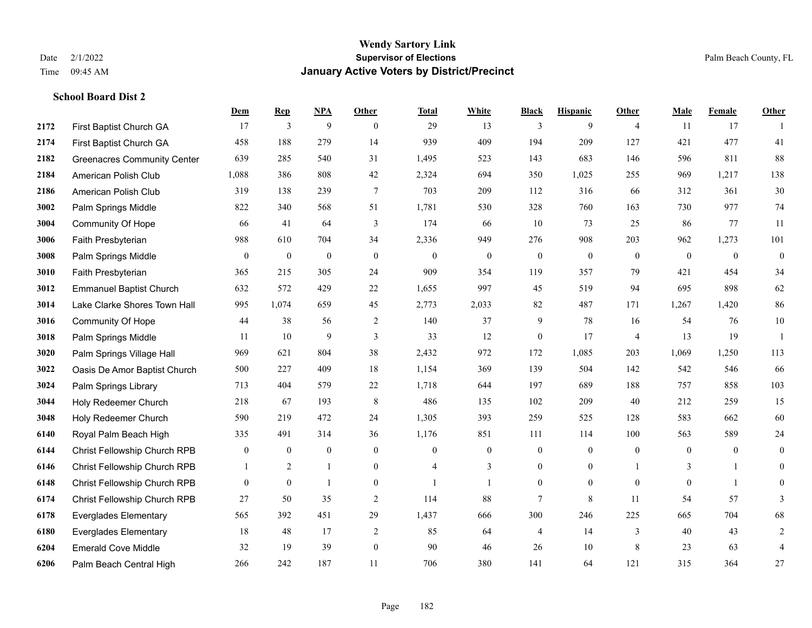|      |                                    | Dem              | <b>Rep</b>       | NPA              | <b>Other</b>     | <b>Total</b>   | <b>White</b>     | <b>Black</b>     | <b>Hispanic</b> | <b>Other</b>   | <b>Male</b>  | Female         | <b>Other</b>     |
|------|------------------------------------|------------------|------------------|------------------|------------------|----------------|------------------|------------------|-----------------|----------------|--------------|----------------|------------------|
| 2172 | First Baptist Church GA            | 17               | $\mathfrak{Z}$   | 9                | $\Omega$         | 29             | 13               | 3                | 9               | $\overline{4}$ | 11           | 17             |                  |
| 2174 | First Baptist Church GA            | 458              | 188              | 279              | 14               | 939            | 409              | 194              | 209             | 127            | 421          | 477            | 41               |
| 2182 | <b>Greenacres Community Center</b> | 639              | 285              | 540              | 31               | 1,495          | 523              | 143              | 683             | 146            | 596          | 811            | 88               |
| 2184 | American Polish Club               | 1,088            | 386              | 808              | 42               | 2,324          | 694              | 350              | 1,025           | 255            | 969          | 1,217          | 138              |
| 2186 | American Polish Club               | 319              | 138              | 239              | $\tau$           | 703            | 209              | 112              | 316             | 66             | 312          | 361            | 30               |
| 3002 | Palm Springs Middle                | 822              | 340              | 568              | 51               | 1,781          | 530              | 328              | 760             | 163            | 730          | 977            | 74               |
| 3004 | Community Of Hope                  | 66               | 41               | 64               | 3                | 174            | 66               | 10               | 73              | 25             | 86           | 77             | 11               |
| 3006 | Faith Presbyterian                 | 988              | 610              | 704              | 34               | 2,336          | 949              | 276              | 908             | 203            | 962          | 1,273          | 101              |
| 3008 | Palm Springs Middle                | $\overline{0}$   | $\boldsymbol{0}$ | $\boldsymbol{0}$ | $\boldsymbol{0}$ | $\mathbf{0}$   | $\boldsymbol{0}$ | $\boldsymbol{0}$ | $\bf{0}$        | $\mathbf{0}$   | $\mathbf{0}$ | $\mathbf{0}$   | $\mathbf{0}$     |
| 3010 | Faith Presbyterian                 | 365              | 215              | 305              | 24               | 909            | 354              | 119              | 357             | 79             | 421          | 454            | 34               |
| 3012 | <b>Emmanuel Baptist Church</b>     | 632              | 572              | 429              | 22               | 1,655          | 997              | 45               | 519             | 94             | 695          | 898            | 62               |
| 3014 | Lake Clarke Shores Town Hall       | 995              | 1,074            | 659              | 45               | 2,773          | 2,033            | 82               | 487             | 171            | 1,267        | 1,420          | 86               |
| 3016 | Community Of Hope                  | 44               | 38               | 56               | $\overline{2}$   | 140            | 37               | 9                | 78              | 16             | 54           | 76             | $10\,$           |
| 3018 | Palm Springs Middle                | 11               | 10               | $\overline{9}$   | $\mathfrak{Z}$   | 33             | 12               | $\boldsymbol{0}$ | 17              | $\overline{4}$ | 13           | 19             | -1               |
| 3020 | Palm Springs Village Hall          | 969              | 621              | 804              | 38               | 2,432          | 972              | 172              | 1,085           | 203            | 1,069        | 1,250          | 113              |
| 3022 | Oasis De Amor Baptist Church       | 500              | 227              | 409              | 18               | 1,154          | 369              | 139              | 504             | 142            | 542          | 546            | 66               |
| 3024 | Palm Springs Library               | 713              | 404              | 579              | $22\,$           | 1,718          | 644              | 197              | 689             | 188            | 757          | 858            | 103              |
| 3044 | Holy Redeemer Church               | 218              | 67               | 193              | 8                | 486            | 135              | 102              | 209             | 40             | 212          | 259            | 15               |
| 3048 | Holy Redeemer Church               | 590              | 219              | 472              | 24               | 1,305          | 393              | 259              | 525             | 128            | 583          | 662            | 60               |
| 6140 | Royal Palm Beach High              | 335              | 491              | 314              | 36               | 1,176          | 851              | 111              | 114             | 100            | 563          | 589            | 24               |
| 6144 | Christ Fellowship Church RPB       | $\boldsymbol{0}$ | $\boldsymbol{0}$ | $\mathbf{0}$     | $\overline{0}$   | $\theta$       | $\boldsymbol{0}$ | $\boldsymbol{0}$ | $\mathbf{0}$    | $\mathbf{0}$   | $\mathbf{0}$ | $\overline{0}$ | $\overline{0}$   |
| 6146 | Christ Fellowship Church RPB       |                  | 2                | $\mathbf{1}$     | $\overline{0}$   | $\overline{4}$ | 3                | $\overline{0}$   | $\mathbf{0}$    |                | 3            | $\mathbf{1}$   | $\overline{0}$   |
| 6148 | Christ Fellowship Church RPB       | $\overline{0}$   | $\boldsymbol{0}$ | -1               | $\overline{0}$   |                | 1                | $\mathbf{0}$     | $\mathbf{0}$    | $\mathbf{0}$   | $\mathbf{0}$ | -1             | $\boldsymbol{0}$ |
| 6174 | Christ Fellowship Church RPB       | 27               | 50               | 35               | $\overline{2}$   | 114            | 88               | $\overline{7}$   | 8               | 11             | 54           | 57             | 3                |
| 6178 | <b>Everglades Elementary</b>       | 565              | 392              | 451              | 29               | 1,437          | 666              | 300              | 246             | 225            | 665          | 704            | 68               |
| 6180 | <b>Everglades Elementary</b>       | 18               | 48               | 17               | 2                | 85             | 64               | 4                | 14              | 3              | 40           | 43             | 2                |
| 6204 | <b>Emerald Cove Middle</b>         | 32               | 19               | 39               | $\boldsymbol{0}$ | 90             | 46               | 26               | 10              | 8              | 23           | 63             | 4                |
| 6206 | Palm Beach Central High            | 266              | 242              | 187              | 11               | 706            | 380              | 141              | 64              | 121            | 315          | 364            | 27               |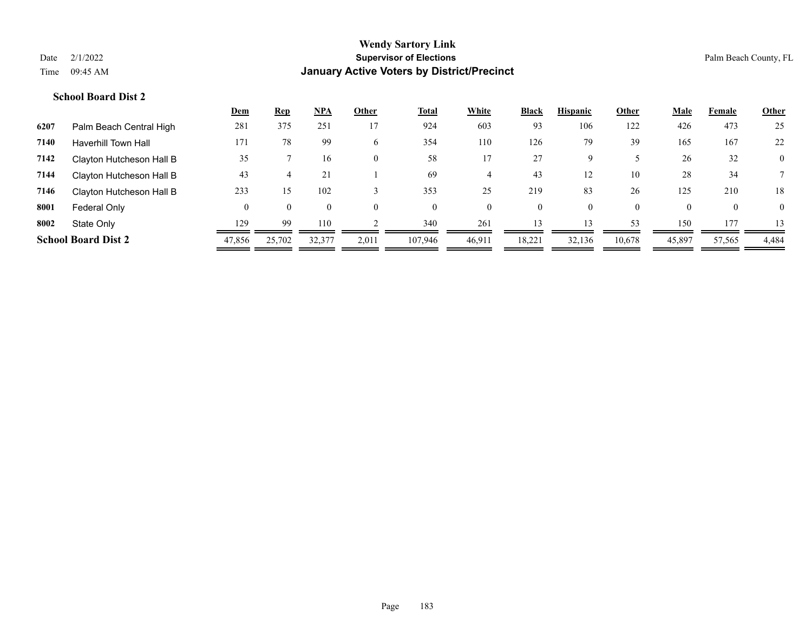|      |                            | Dem    | <b>Rep</b> | <b>NPA</b>   | Other    | <b>Total</b> | White    | <b>Black</b> | <b>Hispanic</b> | Other    | <b>Male</b> | Female       | <b>Other</b>   |
|------|----------------------------|--------|------------|--------------|----------|--------------|----------|--------------|-----------------|----------|-------------|--------------|----------------|
| 6207 | Palm Beach Central High    | 281    | 375        | 251          | 17       | 924          | 603      | 93           | 106             | 122      | 426         | 473          | 25             |
| 7140 | <b>Haverhill Town Hall</b> | 171    | 78         | 99           | 6        | 354          | 110      | 126          | 79              | 39       | 165         | 167          | 22             |
| 7142 | Clayton Hutcheson Hall B   | 35     |            | 16           | $\Omega$ | 58           | 17       | 27           | Q               |          | 26          | 32           | $\overline{0}$ |
| 7144 | Clayton Hutcheson Hall B   | 43     |            | 21           |          | 69           |          | 43           | 12              | 10       | 28          | 34           |                |
| 7146 | Clayton Hutcheson Hall B   | 233    | 15         | 102          |          | 353          | 25       | 219          | 83              | 26       | 125         | 210          | 18             |
| 8001 | Federal Only               | 0      | $\Omega$   | $\mathbf{0}$ | $\Omega$ | $\theta$     | $\theta$ | $\mathbf{0}$ |                 | $\Omega$ | $\Omega$    | $\mathbf{0}$ | $\Omega$       |
| 8002 | State Only                 | 129    | 99         | 110          |          | 340          | 261      | 13           | 13              | 53       | 150         | 177          | 13             |
|      | <b>School Board Dist 2</b> | 47,856 | 25,702     | 32,377       | 2,011    | 107.946      | 46,911   | 18,221       | 32,136          | 10,678   | 45,897      | 57,565       | 4,484          |
|      |                            |        |            |              |          |              |          |              |                 |          |             |              |                |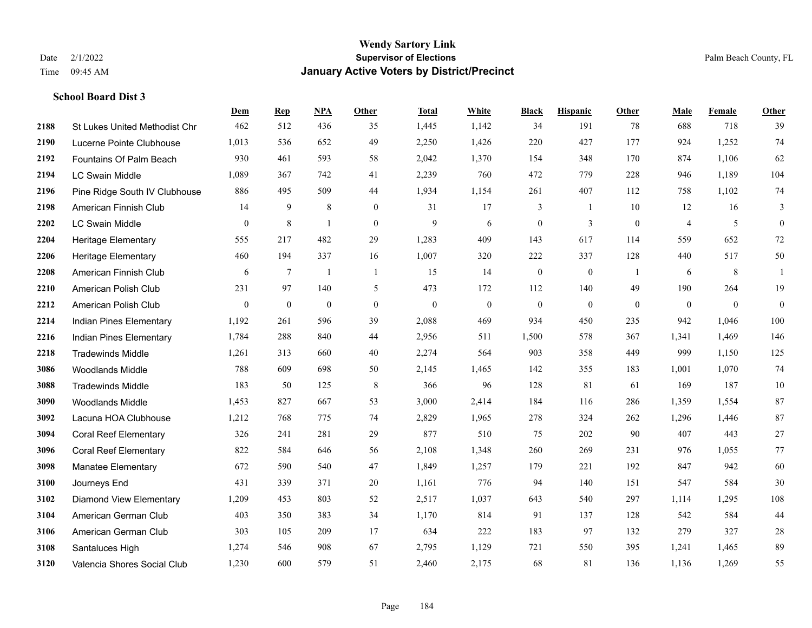|      |                                | Dem              | <b>Rep</b>       | <b>NPA</b>   | <b>Other</b>     | <b>Total</b> | White        | <b>Black</b>     | <b>Hispanic</b> | Other          | Male           | Female          | Other            |
|------|--------------------------------|------------------|------------------|--------------|------------------|--------------|--------------|------------------|-----------------|----------------|----------------|-----------------|------------------|
| 2188 | St Lukes United Methodist Chr  | 462              | 512              | 436          | 35               | 1,445        | 1,142        | 34               | 191             | 78             | 688            | 718             | 39               |
| 2190 | Lucerne Pointe Clubhouse       | 1,013            | 536              | 652          | 49               | 2,250        | 1,426        | 220              | 427             | 177            | 924            | 1,252           | 74               |
| 2192 | Fountains Of Palm Beach        | 930              | 461              | 593          | 58               | 2,042        | 1,370        | 154              | 348             | 170            | 874            | 1,106           | 62               |
| 2194 | <b>LC Swain Middle</b>         | 1,089            | 367              | 742          | 41               | 2,239        | 760          | 472              | 779             | 228            | 946            | 1,189           | 104              |
| 2196 | Pine Ridge South IV Clubhouse  | 886              | 495              | 509          | 44               | 1,934        | 1,154        | 261              | 407             | 112            | 758            | 1,102           | 74               |
| 2198 | American Finnish Club          | 14               | 9                | 8            | $\overline{0}$   | 31           | 17           | 3                | -1              | 10             | 12             | 16              | 3                |
| 2202 | <b>LC Swain Middle</b>         | $\boldsymbol{0}$ | 8                | $\mathbf{1}$ | $\boldsymbol{0}$ | 9            | 6            | $\boldsymbol{0}$ | 3               | $\overline{0}$ | $\overline{4}$ | 5               | $\boldsymbol{0}$ |
| 2204 | Heritage Elementary            | 555              | 217              | 482          | 29               | 1,283        | 409          | 143              | 617             | 114            | 559            | 652             | 72               |
| 2206 | <b>Heritage Elementary</b>     | 460              | 194              | 337          | 16               | 1,007        | 320          | 222              | 337             | 128            | 440            | 517             | 50               |
| 2208 | American Finnish Club          | 6                | $\tau$           | $\mathbf{1}$ | $\mathbf{1}$     | 15           | 14           | $\boldsymbol{0}$ | $\mathbf{0}$    | -1             | 6              | $8\phantom{.0}$ | $\mathbf{1}$     |
| 2210 | American Polish Club           | 231              | 97               | 140          | 5                | 473          | 172          | 112              | 140             | 49             | 190            | 264             | 19               |
| 2212 | American Polish Club           | $\boldsymbol{0}$ | $\boldsymbol{0}$ | $\mathbf{0}$ | $\mathbf{0}$     | $\mathbf{0}$ | $\mathbf{0}$ | $\mathbf{0}$     | $\mathbf{0}$    | $\theta$       | $\overline{0}$ | $\overline{0}$  | $\theta$         |
| 2214 | Indian Pines Elementary        | 1,192            | 261              | 596          | 39               | 2,088        | 469          | 934              | 450             | 235            | 942            | 1,046           | 100              |
| 2216 | Indian Pines Elementary        | 1,784            | 288              | 840          | 44               | 2,956        | 511          | 1,500            | 578             | 367            | 1,341          | 1,469           | 146              |
| 2218 | <b>Tradewinds Middle</b>       | 1,261            | 313              | 660          | 40               | 2,274        | 564          | 903              | 358             | 449            | 999            | 1,150           | 125              |
| 3086 | <b>Woodlands Middle</b>        | 788              | 609              | 698          | 50               | 2,145        | 1,465        | 142              | 355             | 183            | 1,001          | 1,070           | 74               |
| 3088 | <b>Tradewinds Middle</b>       | 183              | 50               | 125          | $\,8\,$          | 366          | 96           | 128              | 81              | 61             | 169            | 187             | $10\,$           |
| 3090 | <b>Woodlands Middle</b>        | 1,453            | 827              | 667          | 53               | 3,000        | 2,414        | 184              | 116             | 286            | 1,359          | 1,554           | 87               |
| 3092 | Lacuna HOA Clubhouse           | 1,212            | 768              | 775          | 74               | 2,829        | 1,965        | 278              | 324             | 262            | 1,296          | 1,446           | 87               |
| 3094 | <b>Coral Reef Elementary</b>   | 326              | 241              | 281          | 29               | 877          | 510          | 75               | 202             | 90             | 407            | 443             | $27\,$           |
| 3096 | <b>Coral Reef Elementary</b>   | 822              | 584              | 646          | 56               | 2,108        | 1,348        | 260              | 269             | 231            | 976            | 1.055           | 77               |
| 3098 | Manatee Elementary             | 672              | 590              | 540          | 47               | 1,849        | 1,257        | 179              | 221             | 192            | 847            | 942             | 60               |
| 3100 | Journeys End                   | 431              | 339              | 371          | 20               | 1,161        | 776          | 94               | 140             | 151            | 547            | 584             | 30               |
| 3102 | <b>Diamond View Elementary</b> | 1,209            | 453              | 803          | 52               | 2,517        | 1,037        | 643              | 540             | 297            | 1,114          | 1,295           | 108              |
| 3104 | American German Club           | 403              | 350              | 383          | 34               | 1,170        | 814          | 91               | 137             | 128            | 542            | 584             | 44               |
| 3106 | American German Club           | 303              | 105              | 209          | 17               | 634          | 222          | 183              | 97              | 132            | 279            | 327             | $28\,$           |
| 3108 | Santaluces High                | 1,274            | 546              | 908          | 67               | 2,795        | 1,129        | 721              | 550             | 395            | 1,241          | 1,465           | 89               |
| 3120 | Valencia Shores Social Club    | 1,230            | 600              | 579          | 51               | 2,460        | 2,175        | 68               | 81              | 136            | 1,136          | 1,269           | 55               |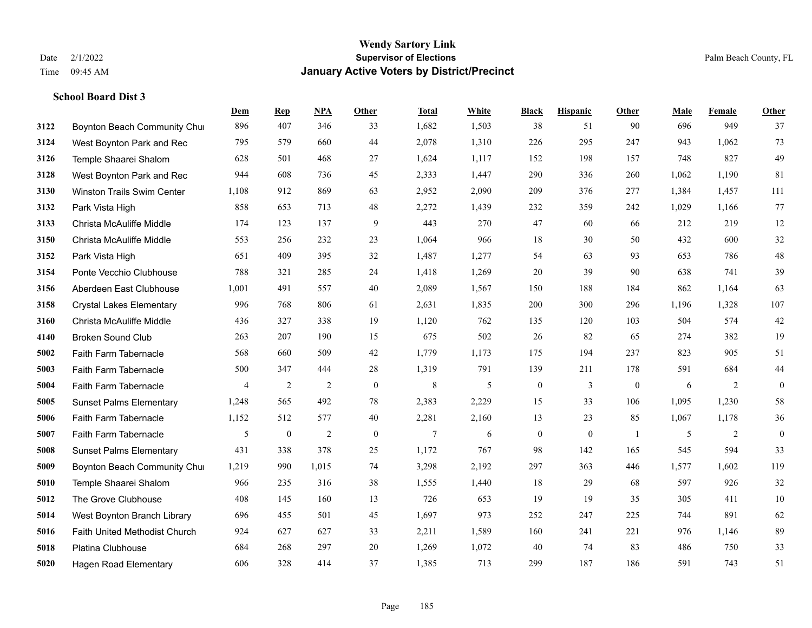|      |                                   | Dem            | <b>Rep</b>       | NPA            | <b>Other</b>     | <b>Total</b>   | White | <b>Black</b>     | <b>Hispanic</b>  | <b>Other</b> | <b>Male</b> | Female         | <b>Other</b>     |
|------|-----------------------------------|----------------|------------------|----------------|------------------|----------------|-------|------------------|------------------|--------------|-------------|----------------|------------------|
| 3122 | Boynton Beach Community Chur      | 896            | 407              | 346            | 33               | 1,682          | 1,503 | 38               | 51               | 90           | 696         | 949            | 37               |
| 3124 | West Boynton Park and Rec         | 795            | 579              | 660            | 44               | 2,078          | 1,310 | 226              | 295              | 247          | 943         | 1.062          | 73               |
| 3126 | Temple Shaarei Shalom             | 628            | 501              | 468            | 27               | 1,624          | 1,117 | 152              | 198              | 157          | 748         | 827            | 49               |
| 3128 | West Boynton Park and Rec         | 944            | 608              | 736            | 45               | 2,333          | 1,447 | 290              | 336              | 260          | 1,062       | 1,190          | 81               |
| 3130 | <b>Winston Trails Swim Center</b> | 1,108          | 912              | 869            | 63               | 2,952          | 2,090 | 209              | 376              | 277          | 1,384       | 1,457          | 111              |
| 3132 | Park Vista High                   | 858            | 653              | 713            | 48               | 2,272          | 1,439 | 232              | 359              | 242          | 1,029       | 1,166          | 77               |
| 3133 | Christa McAuliffe Middle          | 174            | 123              | 137            | 9                | 443            | 270   | 47               | 60               | 66           | 212         | 219            | 12               |
| 3150 | Christa McAuliffe Middle          | 553            | 256              | 232            | 23               | 1,064          | 966   | 18               | 30               | 50           | 432         | 600            | 32               |
| 3152 | Park Vista High                   | 651            | 409              | 395            | 32               | 1,487          | 1,277 | 54               | 63               | 93           | 653         | 786            | $48\,$           |
| 3154 | Ponte Vecchio Clubhouse           | 788            | 321              | 285            | 24               | 1,418          | 1,269 | 20               | 39               | 90           | 638         | 741            | 39               |
| 3156 | Aberdeen East Clubhouse           | 1,001          | 491              | 557            | 40               | 2,089          | 1,567 | 150              | 188              | 184          | 862         | 1,164          | 63               |
| 3158 | <b>Crystal Lakes Elementary</b>   | 996            | 768              | 806            | 61               | 2,631          | 1,835 | 200              | 300              | 296          | 1,196       | 1,328          | 107              |
| 3160 | Christa McAuliffe Middle          | 436            | 327              | 338            | 19               | 1,120          | 762   | 135              | 120              | 103          | 504         | 574            | 42               |
| 4140 | <b>Broken Sound Club</b>          | 263            | 207              | 190            | 15               | 675            | 502   | 26               | 82               | 65           | 274         | 382            | 19               |
| 5002 | Faith Farm Tabernacle             | 568            | 660              | 509            | 42               | 1,779          | 1,173 | 175              | 194              | 237          | 823         | 905            | 51               |
| 5003 | Faith Farm Tabernacle             | 500            | 347              | 444            | 28               | 1,319          | 791   | 139              | 211              | 178          | 591         | 684            | $44\,$           |
| 5004 | Faith Farm Tabernacle             | $\overline{4}$ | 2                | $\overline{2}$ | $\boldsymbol{0}$ | $\,8\,$        | 5     | $\boldsymbol{0}$ | $\mathfrak{Z}$   | $\mathbf{0}$ | 6           | 2              | $\boldsymbol{0}$ |
| 5005 | <b>Sunset Palms Elementary</b>    | 1,248          | 565              | 492            | 78               | 2,383          | 2,229 | 15               | 33               | 106          | 1,095       | 1,230          | 58               |
| 5006 | Faith Farm Tabernacle             | 1,152          | 512              | 577            | 40               | 2,281          | 2,160 | 13               | 23               | 85           | 1,067       | 1,178          | 36               |
| 5007 | Faith Farm Tabernacle             | 5              | $\boldsymbol{0}$ | $\overline{2}$ | $\mathbf{0}$     | $\overline{7}$ | 6     | $\boldsymbol{0}$ | $\boldsymbol{0}$ | -1           | 5           | $\overline{2}$ | $\boldsymbol{0}$ |
| 5008 | <b>Sunset Palms Elementary</b>    | 431            | 338              | 378            | 25               | 1,172          | 767   | 98               | 142              | 165          | 545         | 594            | 33               |
| 5009 | Boynton Beach Community Chur      | 1,219          | 990              | 1,015          | 74               | 3,298          | 2,192 | 297              | 363              | 446          | 1,577       | 1,602          | 119              |
| 5010 | Temple Shaarei Shalom             | 966            | 235              | 316            | 38               | 1,555          | 1,440 | 18               | 29               | 68           | 597         | 926            | 32               |
| 5012 | The Grove Clubhouse               | 408            | 145              | 160            | 13               | 726            | 653   | 19               | 19               | 35           | 305         | 411            | $10\,$           |
| 5014 | West Boynton Branch Library       | 696            | 455              | 501            | 45               | 1,697          | 973   | 252              | 247              | 225          | 744         | 891            | 62               |
| 5016 | Faith United Methodist Church     | 924            | 627              | 627            | 33               | 2,211          | 1,589 | 160              | 241              | 221          | 976         | 1,146          | 89               |
| 5018 | <b>Platina Clubhouse</b>          | 684            | 268              | 297            | 20               | 1,269          | 1,072 | 40               | 74               | 83           | 486         | 750            | 33               |
| 5020 | Hagen Road Elementary             | 606            | 328              | 414            | 37               | 1,385          | 713   | 299              | 187              | 186          | 591         | 743            | 51               |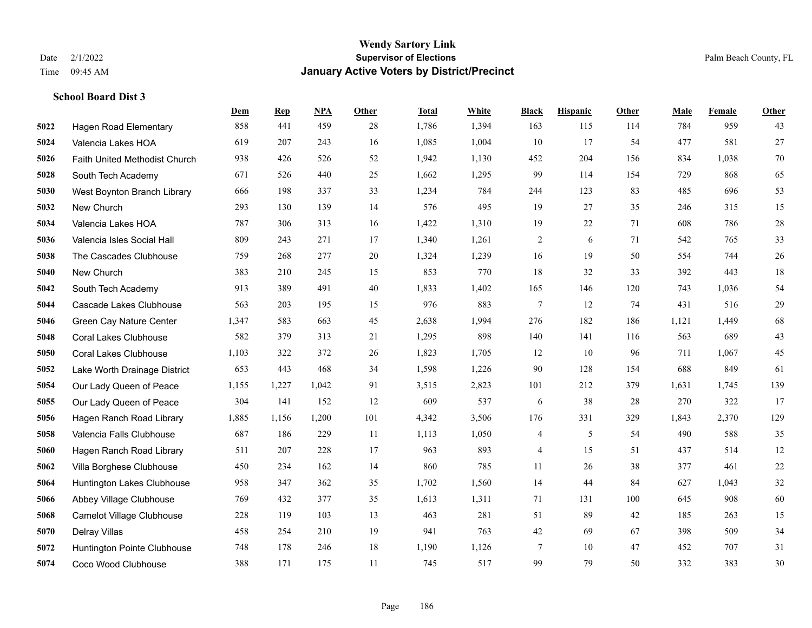**School Board Dist 3**

## **Wendy Sartory Link** Date 2/1/2022 **Supervisor of Elections** Palm Beach County, FL Time 09:45 AM **January Active Voters by District/Precinct**

|      |                               | Dem   | <b>Rep</b> | <u>NPA</u> | Other | <b>Total</b> | White | <b>Black</b>             | <b>Hispanic</b> | Other | Male  | Female | Other  |
|------|-------------------------------|-------|------------|------------|-------|--------------|-------|--------------------------|-----------------|-------|-------|--------|--------|
| 5022 | <b>Hagen Road Elementary</b>  | 858   | 441        | 459        | 28    | 1,786        | 1,394 | 163                      | 115             | 114   | 784   | 959    | 43     |
| 5024 | Valencia Lakes HOA            | 619   | 207        | 243        | 16    | 1,085        | 1,004 | 10                       | 17              | 54    | 477   | 581    | $27\,$ |
| 5026 | Faith United Methodist Church | 938   | 426        | 526        | 52    | 1,942        | 1,130 | 452                      | 204             | 156   | 834   | 1.038  | $70\,$ |
| 5028 | South Tech Academy            | 671   | 526        | 440        | 25    | 1,662        | 1,295 | 99                       | 114             | 154   | 729   | 868    | 65     |
| 5030 | West Boynton Branch Library   | 666   | 198        | 337        | 33    | 1,234        | 784   | 244                      | 123             | 83    | 485   | 696    | 53     |
| 5032 | New Church                    | 293   | 130        | 139        | 14    | 576          | 495   | 19                       | 27              | 35    | 246   | 315    | 15     |
| 5034 | Valencia Lakes HOA            | 787   | 306        | 313        | 16    | 1,422        | 1,310 | 19                       | 22              | 71    | 608   | 786    | $28\,$ |
| 5036 | Valencia Isles Social Hall    | 809   | 243        | 271        | 17    | 1,340        | 1,261 | $\overline{c}$           | 6               | 71    | 542   | 765    | 33     |
| 5038 | The Cascades Clubhouse        | 759   | 268        | 277        | 20    | 1,324        | 1,239 | 16                       | 19              | 50    | 554   | 744    | $26\,$ |
| 5040 | New Church                    | 383   | 210        | 245        | 15    | 853          | 770   | 18                       | 32              | 33    | 392   | 443    | 18     |
| 5042 | South Tech Academy            | 913   | 389        | 491        | 40    | 1,833        | 1,402 | 165                      | 146             | 120   | 743   | 1,036  | 54     |
| 5044 | Cascade Lakes Clubhouse       | 563   | 203        | 195        | 15    | 976          | 883   | $\overline{7}$           | 12              | 74    | 431   | 516    | $29\,$ |
| 5046 | Green Cay Nature Center       | 1,347 | 583        | 663        | 45    | 2,638        | 1,994 | 276                      | 182             | 186   | 1,121 | 1,449  | 68     |
| 5048 | <b>Coral Lakes Clubhouse</b>  | 582   | 379        | 313        | 21    | 1,295        | 898   | 140                      | 141             | 116   | 563   | 689    | $43$   |
| 5050 | <b>Coral Lakes Clubhouse</b>  | 1,103 | 322        | 372        | 26    | 1,823        | 1,705 | 12                       | 10              | 96    | 711   | 1,067  | 45     |
| 5052 | Lake Worth Drainage District  | 653   | 443        | 468        | 34    | 1,598        | 1,226 | 90                       | 128             | 154   | 688   | 849    | 61     |
| 5054 | Our Lady Queen of Peace       | 1,155 | 1,227      | 1,042      | 91    | 3,515        | 2,823 | 101                      | 212             | 379   | 1,631 | 1,745  | 139    |
| 5055 | Our Lady Queen of Peace       | 304   | 141        | 152        | 12    | 609          | 537   | 6                        | 38              | 28    | 270   | 322    | 17     |
| 5056 | Hagen Ranch Road Library      | 1,885 | 1,156      | 1,200      | 101   | 4,342        | 3,506 | 176                      | 331             | 329   | 1,843 | 2,370  | 129    |
| 5058 | Valencia Falls Clubhouse      | 687   | 186        | 229        | 11    | 1,113        | 1,050 | $\overline{\mathcal{A}}$ | 5               | 54    | 490   | 588    | 35     |
| 5060 | Hagen Ranch Road Library      | 511   | 207        | 228        | 17    | 963          | 893   | $\overline{\mathcal{A}}$ | 15              | 51    | 437   | 514    | $12\,$ |
| 5062 | Villa Borghese Clubhouse      | 450   | 234        | 162        | 14    | 860          | 785   | 11                       | 26              | 38    | 377   | 461    | $22\,$ |
| 5064 | Huntington Lakes Clubhouse    | 958   | 347        | 362        | 35    | 1,702        | 1,560 | 14                       | 44              | 84    | 627   | 1,043  | $32\,$ |
| 5066 | Abbey Village Clubhouse       | 769   | 432        | 377        | 35    | 1,613        | 1,311 | 71                       | 131             | 100   | 645   | 908    | 60     |
| 5068 | Camelot Village Clubhouse     | 228   | 119        | 103        | 13    | 463          | 281   | 51                       | 89              | 42    | 185   | 263    | 15     |
| 5070 | Delray Villas                 | 458   | 254        | 210        | 19    | 941          | 763   | 42                       | 69              | 67    | 398   | 509    | 34     |
| 5072 | Huntington Pointe Clubhouse   | 748   | 178        | 246        | 18    | 1,190        | 1,126 | $7\phantom{.0}$          | 10              | 47    | 452   | 707    | 31     |
| 5074 | Coco Wood Clubhouse           | 388   | 171        | 175        | 11    | 745          | 517   | 99                       | 79              | 50    | 332   | 383    | 30     |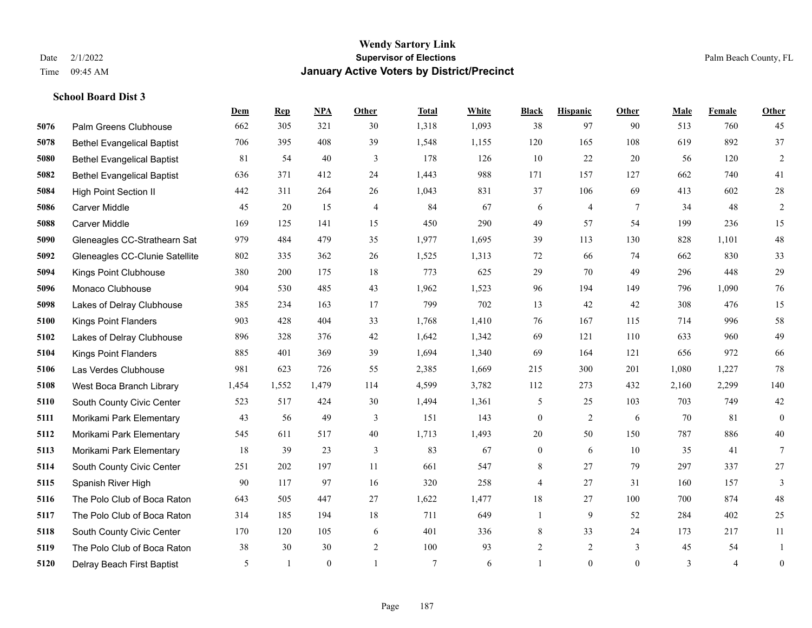|      |                                   | Dem   | <b>Rep</b>   | NPA          | <b>Other</b> | <b>Total</b> | <b>White</b> | <b>Black</b>     | <b>Hispanic</b> | <b>Other</b> | <b>Male</b> | Female         | <b>Other</b>     |
|------|-----------------------------------|-------|--------------|--------------|--------------|--------------|--------------|------------------|-----------------|--------------|-------------|----------------|------------------|
| 5076 | Palm Greens Clubhouse             | 662   | 305          | 321          | 30           | 1,318        | 1,093        | 38               | 97              | 90           | 513         | 760            | 45               |
| 5078 | <b>Bethel Evangelical Baptist</b> | 706   | 395          | 408          | 39           | 1,548        | 1,155        | 120              | 165             | 108          | 619         | 892            | 37               |
| 5080 | <b>Bethel Evangelical Baptist</b> | 81    | 54           | 40           | 3            | 178          | 126          | 10               | 22              | 20           | 56          | 120            | $\overline{c}$   |
| 5082 | <b>Bethel Evangelical Baptist</b> | 636   | 371          | 412          | 24           | 1,443        | 988          | 171              | 157             | 127          | 662         | 740            | 41               |
| 5084 | <b>High Point Section II</b>      | 442   | 311          | 264          | 26           | 1,043        | 831          | 37               | 106             | 69           | 413         | 602            | $28\,$           |
| 5086 | <b>Carver Middle</b>              | 45    | 20           | 15           | 4            | 84           | 67           | 6                | $\overline{4}$  | 7            | 34          | 48             | $\overline{c}$   |
| 5088 | Carver Middle                     | 169   | 125          | 141          | 15           | 450          | 290          | 49               | 57              | 54           | 199         | 236            | 15               |
| 5090 | Gleneagles CC-Strathearn Sat      | 979   | 484          | 479          | 35           | 1,977        | 1,695        | 39               | 113             | 130          | 828         | 1,101          | $48\,$           |
| 5092 | Gleneagles CC-Clunie Satellite    | 802   | 335          | 362          | 26           | 1,525        | 1,313        | 72               | 66              | 74           | 662         | 830            | 33               |
| 5094 | Kings Point Clubhouse             | 380   | 200          | 175          | 18           | 773          | 625          | 29               | 70              | 49           | 296         | 448            | 29               |
| 5096 | Monaco Clubhouse                  | 904   | 530          | 485          | 43           | 1,962        | 1,523        | 96               | 194             | 149          | 796         | 1,090          | 76               |
| 5098 | Lakes of Delray Clubhouse         | 385   | 234          | 163          | 17           | 799          | 702          | 13               | 42              | 42           | 308         | 476            | 15               |
| 5100 | <b>Kings Point Flanders</b>       | 903   | 428          | 404          | 33           | 1,768        | 1,410        | 76               | 167             | 115          | 714         | 996            | $58\,$           |
| 5102 | Lakes of Delray Clubhouse         | 896   | 328          | 376          | 42           | 1,642        | 1,342        | 69               | 121             | 110          | 633         | 960            | 49               |
| 5104 | <b>Kings Point Flanders</b>       | 885   | 401          | 369          | 39           | 1,694        | 1,340        | 69               | 164             | 121          | 656         | 972            | 66               |
| 5106 | Las Verdes Clubhouse              | 981   | 623          | 726          | 55           | 2,385        | 1,669        | 215              | 300             | 201          | 1,080       | 1,227          | $78\,$           |
| 5108 | West Boca Branch Library          | 1,454 | 1,552        | 1,479        | 114          | 4,599        | 3,782        | 112              | 273             | 432          | 2,160       | 2,299          | 140              |
| 5110 | South County Civic Center         | 523   | 517          | 424          | 30           | 1,494        | 1,361        | 5                | 25              | 103          | 703         | 749            | $42\,$           |
| 5111 | Morikami Park Elementary          | 43    | 56           | 49           | 3            | 151          | 143          | $\boldsymbol{0}$ | $\overline{2}$  | 6            | 70          | 81             | $\mathbf{0}$     |
| 5112 | Morikami Park Elementary          | 545   | 611          | 517          | $40\,$       | 1,713        | 1,493        | $20\,$           | 50              | 150          | 787         | 886            | $40\,$           |
| 5113 | Morikami Park Elementary          | 18    | 39           | 23           | 3            | 83           | 67           | $\boldsymbol{0}$ | 6               | 10           | 35          | 41             | $\tau$           |
| 5114 | South County Civic Center         | 251   | 202          | 197          | 11           | 661          | 547          | 8                | 27              | 79           | 297         | 337            | 27               |
| 5115 | Spanish River High                | 90    | 117          | 97           | 16           | 320          | 258          | 4                | 27              | 31           | 160         | 157            | 3                |
| 5116 | The Polo Club of Boca Raton       | 643   | 505          | 447          | 27           | 1,622        | 1,477        | 18               | 27              | 100          | 700         | 874            | $48\,$           |
| 5117 | The Polo Club of Boca Raton       | 314   | 185          | 194          | 18           | 711          | 649          | $\mathbf{1}$     | 9               | 52           | 284         | 402            | 25               |
| 5118 | South County Civic Center         | 170   | 120          | 105          | 6            | 401          | 336          | 8                | 33              | 24           | 173         | 217            | 11               |
| 5119 | The Polo Club of Boca Raton       | 38    | 30           | 30           | $\sqrt{2}$   | 100          | 93           | $\overline{c}$   | $\overline{c}$  | 3            | 45          | 54             | 1                |
| 5120 | Delray Beach First Baptist        | 5     | $\mathbf{1}$ | $\mathbf{0}$ |              | $\tau$       | 6            | $\mathbf{1}$     | $\theta$        | $\mathbf{0}$ | 3           | $\overline{4}$ | $\boldsymbol{0}$ |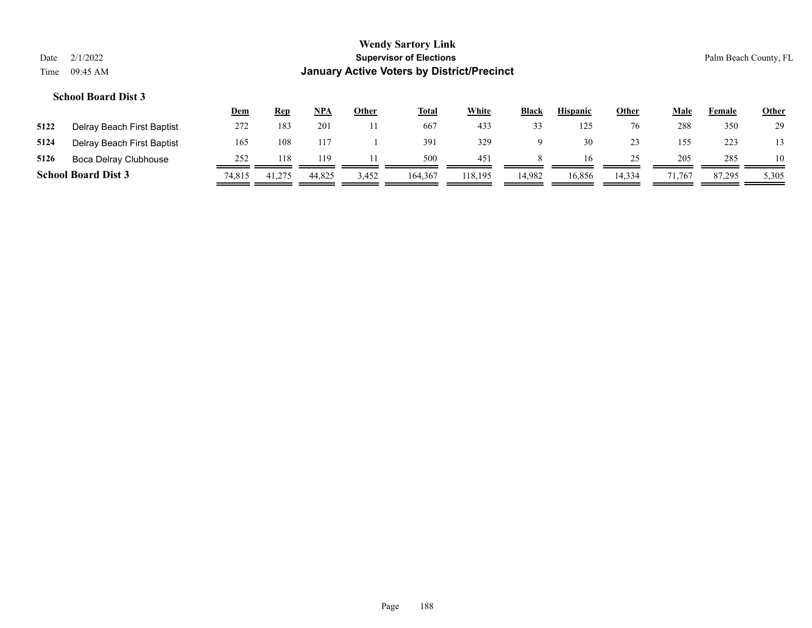|      |                            | <u>Dem</u> | Rep    | NPA    | Other | <b>Total</b> | <b>White</b> | <b>Black</b> | <b>Hispanic</b> | <b>Other</b> | Male   | Female | <b>Other</b> |
|------|----------------------------|------------|--------|--------|-------|--------------|--------------|--------------|-----------------|--------------|--------|--------|--------------|
| 5122 | Delray Beach First Baptist | 272        | 183    | 201    |       | 667          | 433          | 33           |                 | 76           | 288    | 350    | 29           |
| 5124 | Delray Beach First Baptist | 165        | 108    | 117    |       | 391          | 329          | Q            | 30              | 23           | 155    | 223    | 13           |
| 5126 | Boca Delray Clubhouse      | 252        | 118    | 119    |       | 500          | 451          | 8            | 16              | 25           | 205    | 285    | 10           |
|      | <b>School Board Dist 3</b> | 74,815     | 41,275 | 44,825 | 3,452 | 164,367      | 118.195      | 14.982       | 16,856          | 14,334       | 71.767 | 87.295 | 5,305        |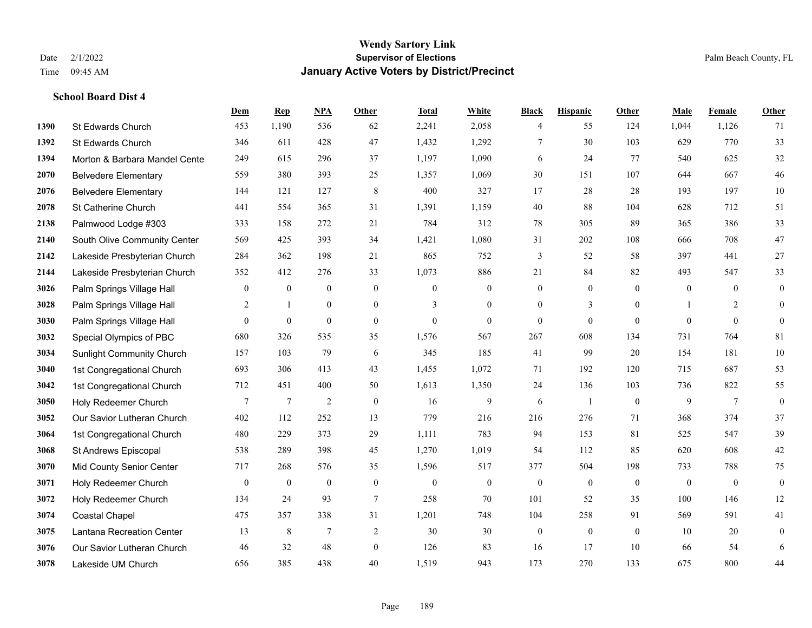|      |                                  | <b>Dem</b>     | <b>Rep</b>       | NPA            | <b>Other</b>   | <b>Total</b> | White          | <b>Black</b>     | <b>Hispanic</b>  | Other          | <b>Male</b>    | Female          | <b>Other</b>     |
|------|----------------------------------|----------------|------------------|----------------|----------------|--------------|----------------|------------------|------------------|----------------|----------------|-----------------|------------------|
| 1390 | St Edwards Church                | 453            | 1,190            | 536            | 62             | 2,241        | 2,058          | 4                | 55               | 124            | 1,044          | 1,126           | 71               |
| 1392 | St Edwards Church                | 346            | 611              | 428            | 47             | 1,432        | 1,292          | $\overline{7}$   | 30               | 103            | 629            | 770             | 33               |
| 1394 | Morton & Barbara Mandel Cente    | 249            | 615              | 296            | 37             | 1,197        | 1,090          | 6                | 24               | 77             | 540            | 625             | $32\,$           |
| 2070 | <b>Belvedere Elementary</b>      | 559            | 380              | 393            | 25             | 1,357        | 1,069          | 30               | 151              | 107            | 644            | 667             | $46\,$           |
| 2076 | <b>Belvedere Elementary</b>      | 144            | 121              | 127            | 8              | 400          | 327            | 17               | 28               | 28             | 193            | 197             | $10\,$           |
| 2078 | St Catherine Church              | 441            | 554              | 365            | 31             | 1,391        | 1,159          | 40               | 88               | 104            | 628            | 712             | 51               |
| 2138 | Palmwood Lodge #303              | 333            | 158              | 272            | 21             | 784          | 312            | 78               | 305              | 89             | 365            | 386             | 33               |
| 2140 | South Olive Community Center     | 569            | 425              | 393            | 34             | 1,421        | 1,080          | 31               | 202              | 108            | 666            | 708             | $47\,$           |
| 2142 | Lakeside Presbyterian Church     | 284            | 362              | 198            | 21             | 865          | 752            | 3                | 52               | 58             | 397            | 441             | 27               |
| 2144 | Lakeside Presbyterian Church     | 352            | 412              | 276            | 33             | 1,073        | 886            | 21               | 84               | 82             | 493            | 547             | 33               |
| 3026 | Palm Springs Village Hall        | $\overline{0}$ | $\mathbf{0}$     | $\mathbf{0}$   | $\mathbf{0}$   | $\mathbf{0}$ | $\overline{0}$ | $\mathbf{0}$     | $\overline{0}$   | $\theta$       | $\mathbf{0}$   | $\overline{0}$  | $\boldsymbol{0}$ |
| 3028 | Palm Springs Village Hall        | $\overline{2}$ | $\mathbf{1}$     | $\mathbf{0}$   | $\mathbf{0}$   | 3            | $\overline{0}$ | $\boldsymbol{0}$ | 3                | $\overline{0}$ |                | 2               | $\boldsymbol{0}$ |
| 3030 | Palm Springs Village Hall        | $\overline{0}$ | $\boldsymbol{0}$ | $\mathbf{0}$   | $\theta$       | $\theta$     | $\overline{0}$ | $\mathbf{0}$     | $\mathbf{0}$     | $\theta$       | $\theta$       | $\theta$        | $\mathbf{0}$     |
| 3032 | Special Olympics of PBC          | 680            | 326              | 535            | 35             | 1,576        | 567            | 267              | 608              | 134            | 731            | 764             | 81               |
| 3034 | <b>Sunlight Community Church</b> | 157            | 103              | 79             | 6              | 345          | 185            | 41               | 99               | 20             | 154            | 181             | $10\,$           |
| 3040 | 1st Congregational Church        | 693            | 306              | 413            | 43             | 1,455        | 1,072          | 71               | 192              | 120            | 715            | 687             | 53               |
| 3042 | 1st Congregational Church        | 712            | 451              | 400            | 50             | 1,613        | 1,350          | 24               | 136              | 103            | 736            | 822             | 55               |
| 3050 | Holy Redeemer Church             | 7              | $7\phantom{.0}$  | $\overline{2}$ | $\mathbf{0}$   | 16           | 9              | 6                | $\mathbf{1}$     | $\theta$       | 9              | $7\phantom{.0}$ | $\boldsymbol{0}$ |
| 3052 | Our Savior Lutheran Church       | 402            | 112              | 252            | 13             | 779          | 216            | 216              | 276              | 71             | 368            | 374             | 37               |
| 3064 | 1st Congregational Church        | 480            | 229              | 373            | 29             | 1,111        | 783            | 94               | 153              | 81             | 525            | 547             | 39               |
| 3068 | St Andrews Episcopal             | 538            | 289              | 398            | 45             | 1,270        | 1,019          | 54               | 112              | 85             | 620            | 608             | 42               |
| 3070 | Mid County Senior Center         | 717            | 268              | 576            | 35             | 1,596        | 517            | 377              | 504              | 198            | 733            | 788             | 75               |
| 3071 | Holy Redeemer Church             | $\overline{0}$ | $\mathbf{0}$     | $\mathbf{0}$   | $\mathbf{0}$   | $\theta$     | $\mathbf{0}$   | $\boldsymbol{0}$ | $\mathbf{0}$     | $\theta$       | $\overline{0}$ | $\mathbf{0}$    | $\boldsymbol{0}$ |
| 3072 | Holy Redeemer Church             | 134            | 24               | 93             | 7              | 258          | 70             | 101              | 52               | 35             | 100            | 146             | 12               |
| 3074 | Coastal Chapel                   | 475            | 357              | 338            | 31             | 1,201        | 748            | 104              | 258              | 91             | 569            | 591             | 41               |
| 3075 | Lantana Recreation Center        | 13             | $8\phantom{.0}$  | $\overline{7}$ | $\sqrt{2}$     | 30           | 30             | $\boldsymbol{0}$ | $\boldsymbol{0}$ | $\mathbf{0}$   | 10             | 20              | $\boldsymbol{0}$ |
| 3076 | Our Savior Lutheran Church       | 46             | 32               | 48             | $\overline{0}$ | 126          | 83             | 16               | 17               | 10             | 66             | 54              | 6                |
| 3078 | Lakeside UM Church               | 656            | 385              | 438            | 40             | 1,519        | 943            | 173              | 270              | 133            | 675            | 800             | $44\,$           |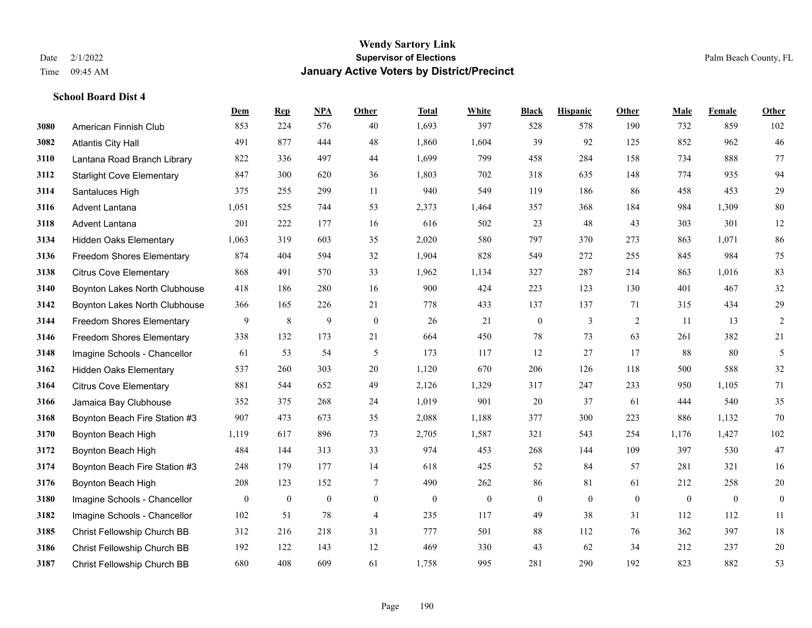**School Board Dist 4**

## **Wendy Sartory Link** Date 2/1/2022 **Supervisor of Elections** Palm Beach County, FL Time 09:45 AM **January Active Voters by District/Precinct**

|      |                                  | Dem          | <b>Rep</b>       | NPA            | Other          | <b>Total</b> | White        | <b>Black</b>     | <b>Hispanic</b> | Other    | Male         | Female       | Other          |
|------|----------------------------------|--------------|------------------|----------------|----------------|--------------|--------------|------------------|-----------------|----------|--------------|--------------|----------------|
| 3080 | American Finnish Club            | 853          | 224              | 576            | 40             | 1,693        | 397          | 528              | 578             | 190      | 732          | 859          | 102            |
| 3082 | <b>Atlantis City Hall</b>        | 491          | 877              | 444            | 48             | 1,860        | 1,604        | 39               | 92              | 125      | 852          | 962          | $46\,$         |
| 3110 | Lantana Road Branch Library      | 822          | 336              | 497            | 44             | 1,699        | 799          | 458              | 284             | 158      | 734          | 888          | $77\,$         |
| 3112 | <b>Starlight Cove Elementary</b> | 847          | 300              | 620            | 36             | 1,803        | 702          | 318              | 635             | 148      | 774          | 935          | 94             |
| 3114 | Santaluces High                  | 375          | 255              | 299            | 11             | 940          | 549          | 119              | 186             | 86       | 458          | 453          | 29             |
| 3116 | Advent Lantana                   | 1,051        | 525              | 744            | 53             | 2,373        | 1,464        | 357              | 368             | 184      | 984          | 1,309        | $80\,$         |
| 3118 | Advent Lantana                   | 201          | 222              | 177            | 16             | 616          | 502          | 23               | 48              | 43       | 303          | 301          | 12             |
| 3134 | <b>Hidden Oaks Elementary</b>    | 1,063        | 319              | 603            | 35             | 2,020        | 580          | 797              | 370             | 273      | 863          | 1,071        | 86             |
| 3136 | Freedom Shores Elementary        | 874          | 404              | 594            | 32             | 1,904        | 828          | 549              | 272             | 255      | 845          | 984          | $75\,$         |
| 3138 | <b>Citrus Cove Elementary</b>    | 868          | 491              | 570            | 33             | 1,962        | 1,134        | 327              | 287             | 214      | 863          | 1,016        | 83             |
| 3140 | Boynton Lakes North Clubhouse    | 418          | 186              | 280            | 16             | 900          | 424          | 223              | 123             | 130      | 401          | 467          | $32\,$         |
| 3142 | Boynton Lakes North Clubhouse    | 366          | 165              | 226            | 21             | 778          | 433          | 137              | 137             | 71       | 315          | 434          | 29             |
| 3144 | Freedom Shores Elementary        | 9            | 8                | 9              | $\mathbf{0}$   | 26           | 21           | $\boldsymbol{0}$ | 3               | 2        | 11           | 13           | $\overline{2}$ |
| 3146 | <b>Freedom Shores Elementary</b> | 338          | 132              | 173            | 21             | 664          | 450          | 78               | 73              | 63       | 261          | 382          | 21             |
| 3148 | Imagine Schools - Chancellor     | 61           | 53               | 54             | 5              | 173          | 117          | 12               | 27              | 17       | 88           | 80           | 5              |
| 3162 | <b>Hidden Oaks Elementary</b>    | 537          | 260              | 303            | 20             | 1,120        | 670          | 206              | 126             | 118      | 500          | 588          | $32\,$         |
| 3164 | <b>Citrus Cove Elementary</b>    | 881          | 544              | 652            | 49             | 2,126        | 1,329        | 317              | 247             | 233      | 950          | 1.105        | 71             |
| 3166 | Jamaica Bay Clubhouse            | 352          | 375              | 268            | 24             | 1,019        | 901          | 20               | 37              | 61       | 444          | 540          | 35             |
| 3168 | Boynton Beach Fire Station #3    | 907          | 473              | 673            | 35             | 2,088        | 1,188        | 377              | 300             | 223      | 886          | 1,132        | $70\,$         |
| 3170 | Boynton Beach High               | 1,119        | 617              | 896            | 73             | 2,705        | 1,587        | 321              | 543             | 254      | 1,176        | 1,427        | 102            |
| 3172 | Boynton Beach High               | 484          | 144              | 313            | 33             | 974          | 453          | 268              | 144             | 109      | 397          | 530          | 47             |
| 3174 | Boynton Beach Fire Station #3    | 248          | 179              | 177            | 14             | 618          | 425          | 52               | 84              | 57       | 281          | 321          | 16             |
| 3176 | Boynton Beach High               | 208          | 123              | 152            | 7              | 490          | 262          | 86               | 81              | 61       | 212          | 258          | 20             |
| 3180 | Imagine Schools - Chancellor     | $\mathbf{0}$ | $\boldsymbol{0}$ | $\overline{0}$ | $\overline{0}$ | $\mathbf{0}$ | $\mathbf{0}$ | $\boldsymbol{0}$ | $\overline{0}$  | $\theta$ | $\mathbf{0}$ | $\mathbf{0}$ | $\mathbf{0}$   |
| 3182 | Imagine Schools - Chancellor     | 102          | 51               | 78             | $\overline{4}$ | 235          | 117          | 49               | 38              | 31       | 112          | 112          | 11             |
| 3185 | Christ Fellowship Church BB      | 312          | 216              | 218            | 31             | 777          | 501          | 88               | 112             | 76       | 362          | 397          | 18             |
| 3186 | Christ Fellowship Church BB      | 192          | 122              | 143            | 12             | 469          | 330          | 43               | 62              | 34       | 212          | 237          | $20\,$         |
| 3187 | Christ Fellowship Church BB      | 680          | 408              | 609            | 61             | 1,758        | 995          | 281              | 290             | 192      | 823          | 882          | 53             |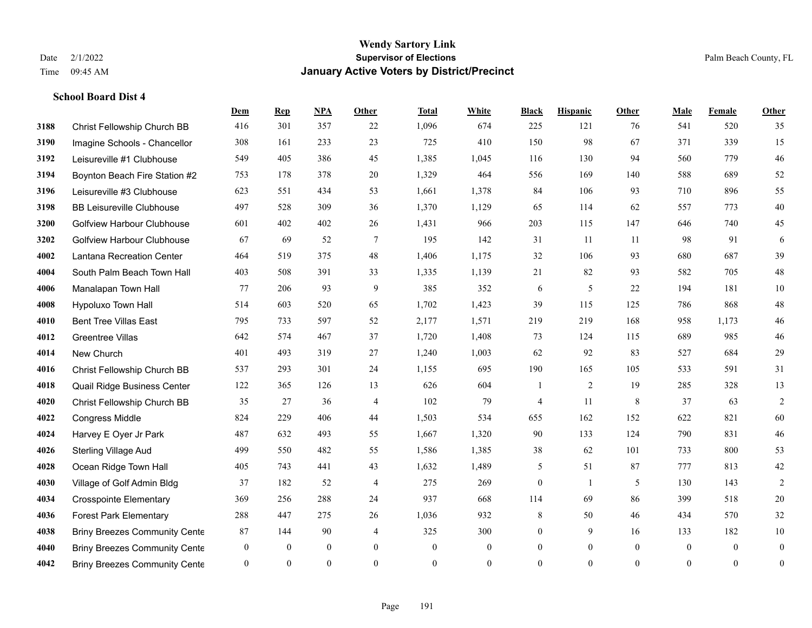|      |                                      | Dem            | <b>Rep</b> | NPA              | <b>Other</b>     | <b>Total</b> | <b>White</b>     | <b>Black</b>     | <b>Hispanic</b> | <b>Other</b>   | <b>Male</b>    | Female         | <b>Other</b>     |
|------|--------------------------------------|----------------|------------|------------------|------------------|--------------|------------------|------------------|-----------------|----------------|----------------|----------------|------------------|
| 3188 | Christ Fellowship Church BB          | 416            | 301        | 357              | 22               | 1,096        | 674              | 225              | 121             | 76             | 541            | 520            | 35               |
| 3190 | Imagine Schools - Chancellor         | 308            | 161        | 233              | 23               | 725          | 410              | 150              | 98              | 67             | 371            | 339            | 15               |
| 3192 | Leisureville #1 Clubhouse            | 549            | 405        | 386              | 45               | 1,385        | 1,045            | 116              | 130             | 94             | 560            | 779            | $46\,$           |
| 3194 | Boynton Beach Fire Station #2        | 753            | 178        | 378              | 20               | 1,329        | 464              | 556              | 169             | 140            | 588            | 689            | 52               |
| 3196 | Leisureville #3 Clubhouse            | 623            | 551        | 434              | 53               | 1,661        | 1,378            | 84               | 106             | 93             | 710            | 896            | 55               |
| 3198 | <b>BB Leisureville Clubhouse</b>     | 497            | 528        | 309              | 36               | 1,370        | 1,129            | 65               | 114             | 62             | 557            | 773            | $40\,$           |
| 3200 | <b>Golfview Harbour Clubhouse</b>    | 601            | 402        | 402              | 26               | 1,431        | 966              | 203              | 115             | 147            | 646            | 740            | 45               |
| 3202 | <b>Golfview Harbour Clubhouse</b>    | 67             | 69         | 52               | $\tau$           | 195          | 142              | 31               | 11              | 11             | 98             | 91             | 6                |
| 4002 | Lantana Recreation Center            | 464            | 519        | 375              | 48               | 1,406        | 1,175            | 32               | 106             | 93             | 680            | 687            | 39               |
| 4004 | South Palm Beach Town Hall           | 403            | 508        | 391              | 33               | 1,335        | 1,139            | 21               | 82              | 93             | 582            | 705            | $48\,$           |
| 4006 | Manalapan Town Hall                  | 77             | 206        | 93               | 9                | 385          | 352              | 6                | 5               | 22             | 194            | 181            | $10\,$           |
| 4008 | Hypoluxo Town Hall                   | 514            | 603        | 520              | 65               | 1,702        | 1,423            | 39               | 115             | 125            | 786            | 868            | $48\,$           |
| 4010 | <b>Bent Tree Villas East</b>         | 795            | 733        | 597              | 52               | 2,177        | 1,571            | 219              | 219             | 168            | 958            | 1,173          | $46\,$           |
| 4012 | <b>Greentree Villas</b>              | 642            | 574        | 467              | 37               | 1,720        | 1,408            | 73               | 124             | 115            | 689            | 985            | $46\,$           |
| 4014 | New Church                           | 401            | 493        | 319              | 27               | 1,240        | 1,003            | 62               | 92              | 83             | 527            | 684            | 29               |
| 4016 | Christ Fellowship Church BB          | 537            | 293        | 301              | 24               | 1,155        | 695              | 190              | 165             | 105            | 533            | 591            | 31               |
| 4018 | Quail Ridge Business Center          | 122            | 365        | 126              | 13               | 626          | 604              | 1                | $\overline{2}$  | 19             | 285            | 328            | 13               |
| 4020 | Christ Fellowship Church BB          | 35             | 27         | 36               | $\overline{4}$   | 102          | 79               | $\overline{4}$   | 11              | 8              | 37             | 63             | $\sqrt{2}$       |
| 4022 | <b>Congress Middle</b>               | 824            | 229        | 406              | 44               | 1,503        | 534              | 655              | 162             | 152            | 622            | 821            | 60               |
| 4024 | Harvey E Oyer Jr Park                | 487            | 632        | 493              | 55               | 1,667        | 1,320            | 90               | 133             | 124            | 790            | 831            | $46\,$           |
| 4026 | <b>Sterling Village Aud</b>          | 499            | 550        | 482              | 55               | 1,586        | 1,385            | 38               | 62              | 101            | 733            | 800            | 53               |
| 4028 | Ocean Ridge Town Hall                | 405            | 743        | 441              | 43               | 1,632        | 1,489            | 5                | 51              | 87             | 777            | 813            | $42\,$           |
| 4030 | Village of Golf Admin Bldg           | 37             | 182        | 52               | $\overline{4}$   | 275          | 269              | $\boldsymbol{0}$ | $\mathbf{1}$    | 5              | 130            | 143            | $\overline{2}$   |
| 4034 | <b>Crosspointe Elementary</b>        | 369            | 256        | 288              | 24               | 937          | 668              | 114              | 69              | 86             | 399            | 518            | $20\,$           |
| 4036 | <b>Forest Park Elementary</b>        | 288            | 447        | 275              | 26               | 1,036        | 932              | 8                | 50              | 46             | 434            | 570            | 32               |
| 4038 | <b>Briny Breezes Community Cente</b> | 87             | 144        | 90               | 4                | 325          | 300              | $\boldsymbol{0}$ | 9               | 16             | 133            | 182            | $10\,$           |
| 4040 | <b>Briny Breezes Community Cente</b> | $\mathbf{0}$   | $\theta$   | $\boldsymbol{0}$ | $\boldsymbol{0}$ | $\mathbf{0}$ | $\boldsymbol{0}$ | $\boldsymbol{0}$ | $\mathbf{0}$    | $\overline{0}$ | $\overline{0}$ | $\overline{0}$ | $\boldsymbol{0}$ |
| 4042 | <b>Briny Breezes Community Cente</b> | $\overline{0}$ | $\theta$   | $\mathbf{0}$     | $\Omega$         | $\mathbf{0}$ | $\overline{0}$   | $\mathbf{0}$     | $\theta$        | $\theta$       | $\theta$       | $\mathbf{0}$   | $\boldsymbol{0}$ |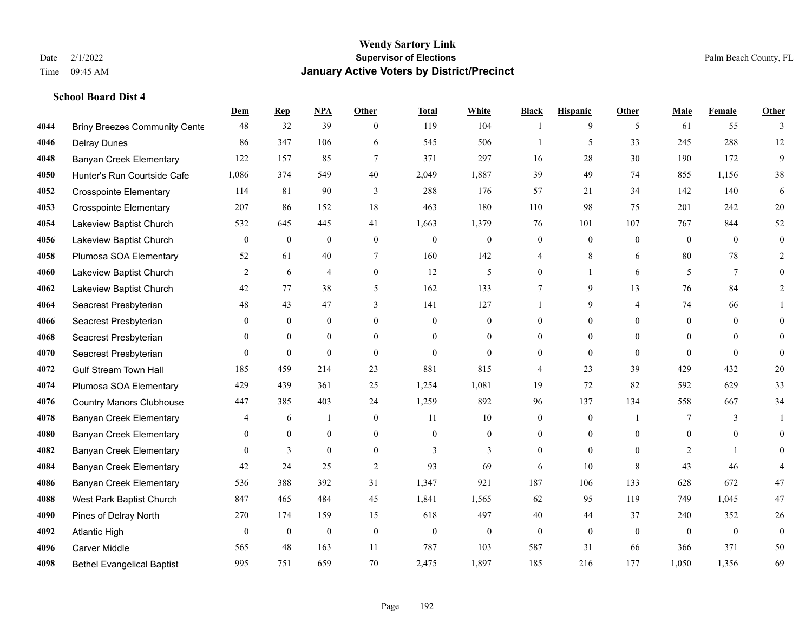|      |                                      | Dem            | <b>Rep</b>       | NPA              | <b>Other</b>   | <b>Total</b> | <b>White</b>     | <b>Black</b>     | <b>Hispanic</b>  | <b>Other</b>   | <b>Male</b>    | <b>Female</b> | <b>Other</b>     |
|------|--------------------------------------|----------------|------------------|------------------|----------------|--------------|------------------|------------------|------------------|----------------|----------------|---------------|------------------|
| 4044 | <b>Briny Breezes Community Cente</b> | 48             | 32               | 39               | $\theta$       | 119          | 104              | 1                | 9                | 5              | 61             | 55            | 3                |
| 4046 | <b>Delray Dunes</b>                  | 86             | 347              | 106              | 6              | 545          | 506              |                  | 5                | 33             | 245            | 288           | 12               |
| 4048 | <b>Banyan Creek Elementary</b>       | 122            | 157              | 85               | $\tau$         | 371          | 297              | 16               | 28               | 30             | 190            | 172           | 9                |
| 4050 | Hunter's Run Courtside Cafe          | 1,086          | 374              | 549              | 40             | 2,049        | 1,887            | 39               | 49               | 74             | 855            | 1,156         | 38               |
| 4052 | <b>Crosspointe Elementary</b>        | 114            | 81               | 90               | 3              | 288          | 176              | 57               | 21               | 34             | 142            | 140           | 6                |
| 4053 | <b>Crosspointe Elementary</b>        | 207            | 86               | 152              | 18             | 463          | 180              | 110              | 98               | 75             | 201            | 242           | $20\,$           |
| 4054 | Lakeview Baptist Church              | 532            | 645              | 445              | 41             | 1,663        | 1,379            | 76               | 101              | 107            | 767            | 844           | 52               |
| 4056 | Lakeview Baptist Church              | $\overline{0}$ | $\mathbf{0}$     | $\overline{0}$   | $\Omega$       | $\theta$     | $\overline{0}$   | $\mathbf{0}$     | $\mathbf{0}$     | $\theta$       | $\theta$       | $\theta$      | $\mathbf{0}$     |
| 4058 | Plumosa SOA Elementary               | 52             | 61               | 40               | 7              | 160          | 142              | $\overline{4}$   | 8                | 6              | 80             | 78            | $\overline{2}$   |
| 4060 | Lakeview Baptist Church              | 2              | 6                | 4                | $\overline{0}$ | 12           | 5                | $\overline{0}$   | $\mathbf{1}$     | 6              | 5              | 7             | $\theta$         |
| 4062 | Lakeview Baptist Church              | 42             | 77               | 38               | 5              | 162          | 133              | $7\phantom{.0}$  | 9                | 13             | 76             | 84            | 2                |
| 4064 | Seacrest Presbyterian                | 48             | 43               | 47               | 3              | 141          | 127              | $\mathbf{1}$     | 9                | $\overline{4}$ | 74             | 66            |                  |
| 4066 | Seacrest Presbyterian                | $\mathbf{0}$   | $\overline{0}$   | $\mathbf{0}$     | $\overline{0}$ | $\theta$     | $\boldsymbol{0}$ | $\mathbf{0}$     | $\mathbf{0}$     | $\Omega$       | $\overline{0}$ | $\theta$      | $\theta$         |
| 4068 | Seacrest Presbyterian                | 0              | $\mathbf{0}$     | $\overline{0}$   | $\overline{0}$ | $\theta$     | $\overline{0}$   | $\boldsymbol{0}$ | $\mathbf{0}$     | $\theta$       | $\overline{0}$ | $\theta$      | $\theta$         |
| 4070 | Seacrest Presbyterian                | $\overline{0}$ | $\mathbf{0}$     | $\theta$         | $\Omega$       | $\theta$     | $\overline{0}$   | $\mathbf{0}$     | $\theta$         | $\theta$       | $\Omega$       | $\Omega$      | $\theta$         |
| 4072 | <b>Gulf Stream Town Hall</b>         | 185            | 459              | 214              | 23             | 881          | 815              | 4                | 23               | 39             | 429            | 432           | $20\,$           |
| 4074 | Plumosa SOA Elementary               | 429            | 439              | 361              | 25             | 1,254        | 1,081            | 19               | 72               | 82             | 592            | 629           | 33               |
| 4076 | <b>Country Manors Clubhouse</b>      | 447            | 385              | 403              | 24             | 1,259        | 892              | 96               | 137              | 134            | 558            | 667           | 34               |
| 4078 | <b>Banyan Creek Elementary</b>       | 4              | 6                | 1                | $\mathbf{0}$   | 11           | $10\,$           | $\boldsymbol{0}$ | $\boldsymbol{0}$ |                | 7              | 3             |                  |
| 4080 | <b>Banyan Creek Elementary</b>       | $\mathbf{0}$   | $\mathbf{0}$     | $\mathbf{0}$     | $\overline{0}$ | $\mathbf{0}$ | $\mathbf{0}$     | $\boldsymbol{0}$ | $\mathbf{0}$     | $\theta$       | $\overline{0}$ | $\theta$      | $\theta$         |
| 4082 | <b>Banyan Creek Elementary</b>       | $\Omega$       | 3                | $\theta$         | $\Omega$       | 3            | 3                | $\mathbf{0}$     | $\theta$         | $\Omega$       | 2              |               | $\Omega$         |
| 4084 | <b>Banyan Creek Elementary</b>       | $42\,$         | 24               | 25               | $\mathfrak{2}$ | 93           | 69               | 6                | 10               | 8              | 43             | 46            |                  |
| 4086 | <b>Banyan Creek Elementary</b>       | 536            | 388              | 392              | 31             | 1,347        | 921              | 187              | 106              | 133            | 628            | 672           | $47\,$           |
| 4088 | West Park Baptist Church             | 847            | 465              | 484              | 45             | 1,841        | 1,565            | 62               | 95               | 119            | 749            | 1,045         | $47\,$           |
| 4090 | Pines of Delray North                | 270            | 174              | 159              | 15             | 618          | 497              | 40               | 44               | 37             | 240            | 352           | 26               |
| 4092 | <b>Atlantic High</b>                 | $\mathbf{0}$   | $\boldsymbol{0}$ | $\boldsymbol{0}$ | $\mathbf{0}$   | $\mathbf{0}$ | $\boldsymbol{0}$ | $\mathbf{0}$     | $\mathbf{0}$     | $\theta$       | $\theta$       | $\mathbf{0}$  | $\boldsymbol{0}$ |
| 4096 | Carver Middle                        | 565            | 48               | 163              | 11             | 787          | 103              | 587              | 31               | 66             | 366            | 371           | 50               |
| 4098 | <b>Bethel Evangelical Baptist</b>    | 995            | 751              | 659              | 70             | 2,475        | 1,897            | 185              | 216              | 177            | 1,050          | 1,356         | 69               |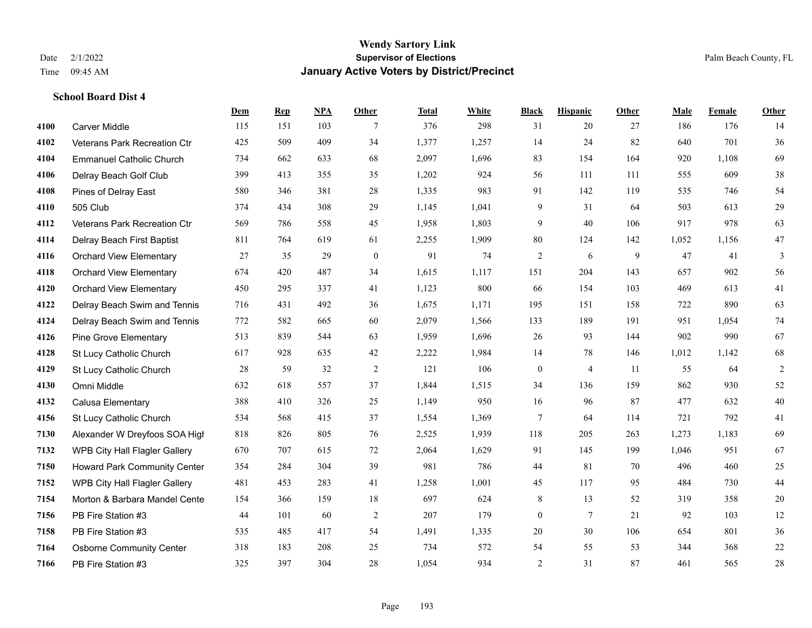**School Board Dist 4**

#### **Wendy Sartory Link** Date 2/1/2022 **Supervisor of Elections** Palm Beach County, FL Time 09:45 AM **January Active Voters by District/Precinct**

# **Dem Rep NPA Other Total White Black Hispanic Other Male Female Other** Carver Middle 115 151 103 7 376 298 31 20 27 186 176 14 Veterans Park Recreation Ctr 425 509 409 34 1,377 1,257 14 24 82 640 701 36 Emmanuel Catholic Church 734 662 633 68 2,097 1,696 83 154 164 920 1,108 69 Delray Beach Golf Club 399 413 355 35 1,202 924 56 111 111 555 609 38 Pines of Delray East 580 346 381 28 1,335 983 91 142 119 535 746 54 505 Club 374 434 308 29 1,145 1,041 9 31 64 503 613 29 Veterans Park Recreation Ctr 569 786 558 45 1,958 1,803 9 40 106 917 978 63 Delray Beach First Baptist 811 764 619 61 2,255 1,909 80 124 142 1,052 1,156 47 Orchard View Elementary 27 35 29 0 91 74 2 6 9 47 41 3 Orchard View Elementary 674 420 487 34 1,615 1,117 151 204 143 657 902 56 Orchard View Elementary 450 295 337 41 1,123 800 66 154 103 469 613 41 Delray Beach Swim and Tennis 716 431 492 36 1,675 1,171 195 151 158 722 890 63 Delray Beach Swim and Tennis 772 582 665 60 2,079 1,566 133 189 191 951 1,054 74 Pine Grove Elementary 513 839 544 63 1,959 1,696 26 93 144 902 990 67 St Lucy Catholic Church 617 928 635 42 2,222 1,984 14 78 146 1,012 1,142 68 St Lucy Catholic Church 28 59 32 2 121 106 0 4 11 55 64 2 Omni Middle 632 618 557 37 1,844 1,515 34 136 159 862 930 52 Calusa Elementary 388 410 326 25 1,149 950 16 96 87 477 632 40 St Lucy Catholic Church 534 568 415 37 1,554 1,369 7 64 114 721 792 41 Alexander W Dreyfoos SOA High 818 826 805 76 2,525 1,939 118 205 263 1,273 1,183 69 WPB City Hall Flagler Gallery 670 707 615 72 2,064 1,629 91 145 199 1,046 951 67 Howard Park Community Center 354 284 304 39 981 786 44 81 70 496 460 25 WPB City Hall Flagler Gallery 481 453 283 41 1,258 1,001 45 117 95 484 730 44 Morton & Barbara Mandel Center 154 366 159 18 697 624 8 13 52 319 358 20 PB Fire Station #3 44 101 60 2 207 179 0 7 21 92 103 12 PB Fire Station #3 535 485 417 54 1,491 1,335 20 30 106 654 801 36 Osborne Community Center 318 183 208 25 734 572 54 55 53 344 368 22 PB Fire Station #3 325 397 304 28 1,054 934 2 31 87 461 565 28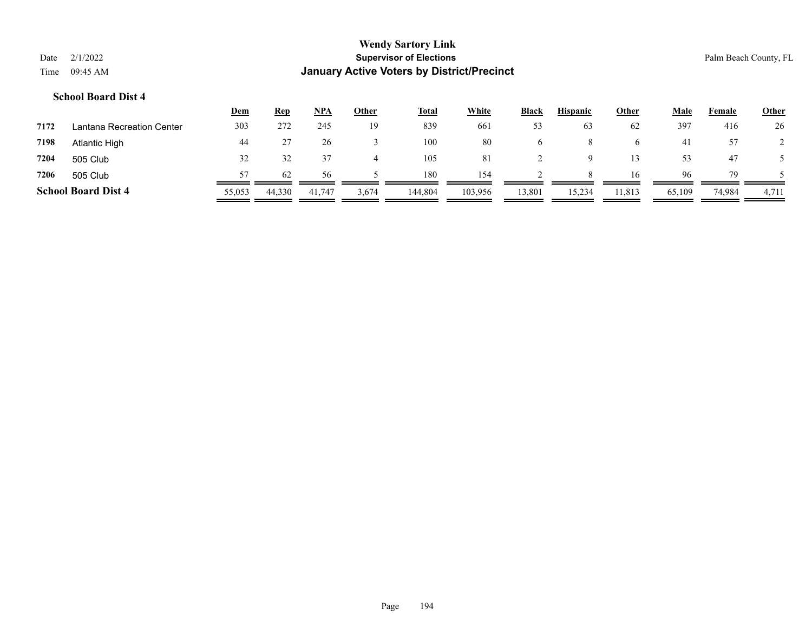|      |          | <b>Wendy Sartory Link</b>                  |
|------|----------|--------------------------------------------|
| Date | 2/1/2022 | <b>Supervisor of Elections</b>             |
| Time | 09:45 AM | January Active Voters by District/Precinct |

Palm Beach County, FL

|      |                            | <u>Dem</u> | <b>Rep</b> | <b>NPA</b> | <b>Other</b> | <b>Total</b> | <b>White</b> | <b>Black</b> | <b>Hispanic</b> | <b>Other</b> | <b>Male</b> | Female | <b>Other</b> |
|------|----------------------------|------------|------------|------------|--------------|--------------|--------------|--------------|-----------------|--------------|-------------|--------|--------------|
| 7172 | Lantana Recreation Center  | 303        | 272        | 245        | 19           | 839          | 661          | 53           | 63              | 62           | 397         | 416    | 26           |
| 7198 | Atlantic High              | 44         |            | 26         |              | 100          | 80           | $\sigma$     | 8               |              | 41          | 57     |              |
| 7204 | 505 Club                   | 32         |            |            |              | 105          | 81           |              | a               |              | 53          | 47     |              |
| 7206 | 505 Club                   | 57         | 62         | 56         |              | 180          | 154          |              | 8               | 16           | 96          | 79     |              |
|      | <b>School Board Dist 4</b> | 55,053     | 44,330     | 41,747     | 3,674        | 144,804      | 103,956      | 13,801       | 15,234          | 11,813       | 65,109      | 74,984 | 4,711        |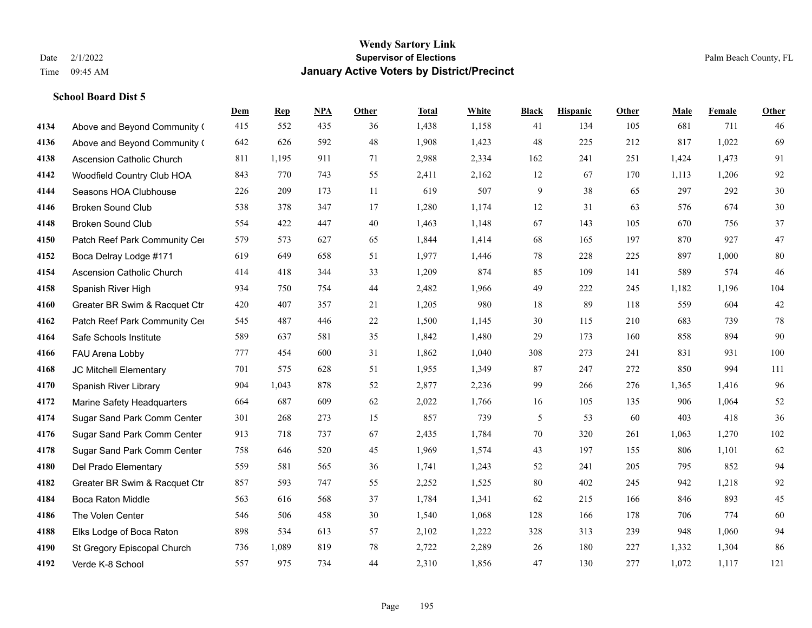|      |                                  | Dem | <b>Rep</b> | NPA | <b>Other</b> | <b>Total</b> | <b>White</b> | <b>Black</b> | <b>Hispanic</b> | <b>Other</b> | <b>Male</b> | <b>Female</b> | <b>Other</b> |
|------|----------------------------------|-----|------------|-----|--------------|--------------|--------------|--------------|-----------------|--------------|-------------|---------------|--------------|
| 4134 | Above and Beyond Community (     | 415 | 552        | 435 | 36           | 1,438        | 1,158        | 41           | 134             | 105          | 681         | 711           | 46           |
| 4136 | Above and Beyond Community (     | 642 | 626        | 592 | 48           | 1,908        | 1,423        | 48           | 225             | 212          | 817         | 1,022         | 69           |
| 4138 | <b>Ascension Catholic Church</b> | 811 | 1,195      | 911 | 71           | 2,988        | 2,334        | 162          | 241             | 251          | 1,424       | 1,473         | 91           |
| 4142 | Woodfield Country Club HOA       | 843 | 770        | 743 | 55           | 2,411        | 2,162        | 12           | 67              | 170          | 1,113       | 1,206         | 92           |
| 4144 | Seasons HOA Clubhouse            | 226 | 209        | 173 | 11           | 619          | 507          | 9            | 38              | 65           | 297         | 292           | $30\,$       |
| 4146 | <b>Broken Sound Club</b>         | 538 | 378        | 347 | 17           | 1,280        | 1,174        | 12           | 31              | 63           | 576         | 674           | $30\,$       |
| 4148 | Broken Sound Club                | 554 | 422        | 447 | 40           | 1,463        | 1,148        | 67           | 143             | 105          | 670         | 756           | 37           |
| 4150 | Patch Reef Park Community Cer    | 579 | 573        | 627 | 65           | 1,844        | 1,414        | 68           | 165             | 197          | 870         | 927           | 47           |
| 4152 | Boca Delray Lodge #171           | 619 | 649        | 658 | 51           | 1,977        | 1,446        | 78           | 228             | 225          | 897         | 1,000         | 80           |
| 4154 | <b>Ascension Catholic Church</b> | 414 | 418        | 344 | 33           | 1,209        | 874          | 85           | 109             | 141          | 589         | 574           | 46           |
| 4158 | Spanish River High               | 934 | 750        | 754 | 44           | 2,482        | 1,966        | 49           | 222             | 245          | 1,182       | 1,196         | 104          |
| 4160 | Greater BR Swim & Racquet Ctr    | 420 | 407        | 357 | 21           | 1,205        | 980          | 18           | 89              | 118          | 559         | 604           | $42\,$       |
| 4162 | Patch Reef Park Community Cer    | 545 | 487        | 446 | $22\,$       | 1,500        | 1,145        | 30           | 115             | 210          | 683         | 739           | $78\,$       |
| 4164 | Safe Schools Institute           | 589 | 637        | 581 | 35           | 1,842        | 1,480        | 29           | 173             | 160          | 858         | 894           | 90           |
| 4166 | FAU Arena Lobby                  | 777 | 454        | 600 | 31           | 1,862        | 1,040        | 308          | 273             | 241          | 831         | 931           | 100          |
| 4168 | JC Mitchell Elementary           | 701 | 575        | 628 | 51           | 1,955        | 1,349        | 87           | 247             | 272          | 850         | 994           | 111          |
| 4170 | Spanish River Library            | 904 | 1,043      | 878 | 52           | 2,877        | 2,236        | 99           | 266             | 276          | 1,365       | 1,416         | 96           |
| 4172 | Marine Safety Headquarters       | 664 | 687        | 609 | 62           | 2,022        | 1,766        | 16           | 105             | 135          | 906         | 1,064         | 52           |
| 4174 | Sugar Sand Park Comm Center      | 301 | 268        | 273 | 15           | 857          | 739          | 5            | 53              | 60           | 403         | 418           | 36           |
| 4176 | Sugar Sand Park Comm Center      | 913 | 718        | 737 | 67           | 2,435        | 1,784        | 70           | 320             | 261          | 1,063       | 1,270         | 102          |
| 4178 | Sugar Sand Park Comm Center      | 758 | 646        | 520 | 45           | 1,969        | 1,574        | 43           | 197             | 155          | 806         | 1,101         | 62           |
| 4180 | Del Prado Elementary             | 559 | 581        | 565 | 36           | 1,741        | 1,243        | 52           | 241             | 205          | 795         | 852           | 94           |
| 4182 | Greater BR Swim & Racquet Ctr    | 857 | 593        | 747 | 55           | 2,252        | 1,525        | 80           | 402             | 245          | 942         | 1,218         | 92           |
| 4184 | <b>Boca Raton Middle</b>         | 563 | 616        | 568 | 37           | 1,784        | 1,341        | 62           | 215             | 166          | 846         | 893           | 45           |
| 4186 | The Volen Center                 | 546 | 506        | 458 | 30           | 1,540        | 1,068        | 128          | 166             | 178          | 706         | 774           | 60           |
| 4188 | Elks Lodge of Boca Raton         | 898 | 534        | 613 | 57           | 2,102        | 1,222        | 328          | 313             | 239          | 948         | 1,060         | 94           |
| 4190 | St Gregory Episcopal Church      | 736 | 1,089      | 819 | 78           | 2,722        | 2,289        | 26           | 180             | 227          | 1,332       | 1,304         | 86           |
| 4192 | Verde K-8 School                 | 557 | 975        | 734 | 44           | 2,310        | 1,856        | 47           | 130             | 277          | 1,072       | 1,117         | 121          |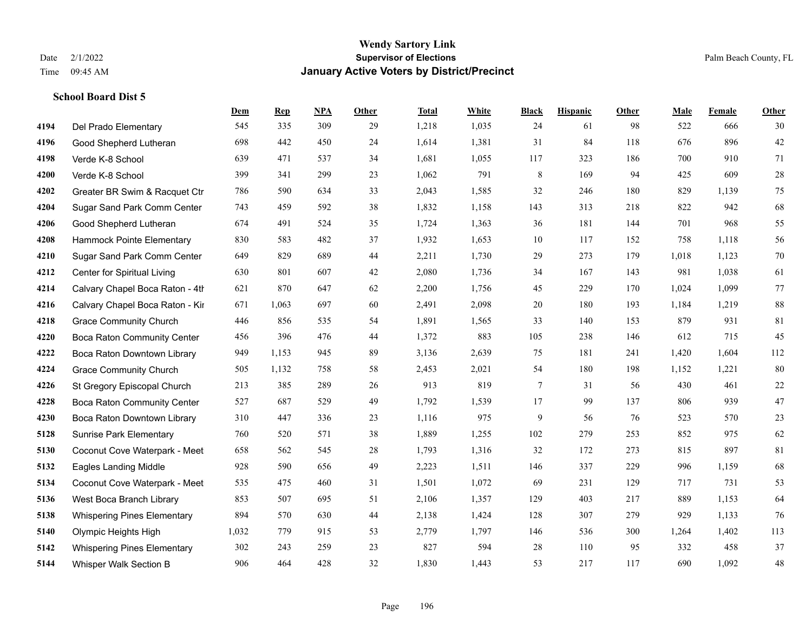|      |                                    | Dem   | <b>Rep</b> | NPA | <b>Other</b> | <b>Total</b> | <b>White</b> | <b>Black</b> | <b>Hispanic</b> | <b>Other</b> | <b>Male</b> | Female | <b>Other</b> |
|------|------------------------------------|-------|------------|-----|--------------|--------------|--------------|--------------|-----------------|--------------|-------------|--------|--------------|
| 4194 | Del Prado Elementary               | 545   | 335        | 309 | 29           | 1,218        | 1,035        | 24           | 61              | 98           | 522         | 666    | 30           |
| 4196 | Good Shepherd Lutheran             | 698   | 442        | 450 | 24           | 1,614        | 1,381        | 31           | 84              | 118          | 676         | 896    | $42\,$       |
| 4198 | Verde K-8 School                   | 639   | 471        | 537 | 34           | 1,681        | 1,055        | 117          | 323             | 186          | 700         | 910    | 71           |
| 4200 | Verde K-8 School                   | 399   | 341        | 299 | 23           | 1,062        | 791          | $\,8\,$      | 169             | 94           | 425         | 609    | $28\,$       |
| 4202 | Greater BR Swim & Racquet Ctr      | 786   | 590        | 634 | 33           | 2,043        | 1,585        | 32           | 246             | 180          | 829         | 1.139  | 75           |
| 4204 | Sugar Sand Park Comm Center        | 743   | 459        | 592 | 38           | 1,832        | 1,158        | 143          | 313             | 218          | 822         | 942    | 68           |
| 4206 | Good Shepherd Lutheran             | 674   | 491        | 524 | 35           | 1,724        | 1,363        | 36           | 181             | 144          | 701         | 968    | 55           |
| 4208 | Hammock Pointe Elementary          | 830   | 583        | 482 | 37           | 1,932        | 1,653        | 10           | 117             | 152          | 758         | 1,118  | 56           |
| 4210 | Sugar Sand Park Comm Center        | 649   | 829        | 689 | 44           | 2,211        | 1,730        | 29           | 273             | 179          | 1,018       | 1,123  | $70\,$       |
| 4212 | Center for Spiritual Living        | 630   | 801        | 607 | 42           | 2,080        | 1,736        | 34           | 167             | 143          | 981         | 1,038  | 61           |
| 4214 | Calvary Chapel Boca Raton - 4th    | 621   | 870        | 647 | 62           | 2,200        | 1,756        | 45           | 229             | 170          | 1,024       | 1,099  | 77           |
| 4216 | Calvary Chapel Boca Raton - Kir    | 671   | 1,063      | 697 | 60           | 2,491        | 2,098        | $20\,$       | 180             | 193          | 1,184       | 1,219  | $88\,$       |
| 4218 | <b>Grace Community Church</b>      | 446   | 856        | 535 | 54           | 1,891        | 1,565        | 33           | 140             | 153          | 879         | 931    | 81           |
| 4220 | <b>Boca Raton Community Center</b> | 456   | 396        | 476 | 44           | 1,372        | 883          | 105          | 238             | 146          | 612         | 715    | 45           |
| 4222 | Boca Raton Downtown Library        | 949   | 1,153      | 945 | 89           | 3,136        | 2,639        | 75           | 181             | 241          | 1,420       | 1,604  | 112          |
| 4224 | <b>Grace Community Church</b>      | 505   | 1,132      | 758 | 58           | 2,453        | 2,021        | 54           | 180             | 198          | 1,152       | 1,221  | 80           |
| 4226 | St Gregory Episcopal Church        | 213   | 385        | 289 | 26           | 913          | 819          | 7            | 31              | 56           | 430         | 461    | $22\,$       |
| 4228 | <b>Boca Raton Community Center</b> | 527   | 687        | 529 | 49           | 1,792        | 1,539        | 17           | 99              | 137          | 806         | 939    | $47\,$       |
| 4230 | Boca Raton Downtown Library        | 310   | 447        | 336 | 23           | 1,116        | 975          | 9            | 56              | 76           | 523         | 570    | 23           |
| 5128 | <b>Sunrise Park Elementary</b>     | 760   | 520        | 571 | 38           | 1,889        | 1,255        | 102          | 279             | 253          | 852         | 975    | 62           |
| 5130 | Coconut Cove Waterpark - Meet      | 658   | 562        | 545 | 28           | 1,793        | 1,316        | 32           | 172             | 273          | 815         | 897    | 81           |
| 5132 | <b>Eagles Landing Middle</b>       | 928   | 590        | 656 | 49           | 2,223        | 1,511        | 146          | 337             | 229          | 996         | 1,159  | 68           |
| 5134 | Coconut Cove Waterpark - Meet      | 535   | 475        | 460 | 31           | 1,501        | 1,072        | 69           | 231             | 129          | 717         | 731    | 53           |
| 5136 | West Boca Branch Library           | 853   | 507        | 695 | 51           | 2,106        | 1,357        | 129          | 403             | 217          | 889         | 1,153  | 64           |
| 5138 | <b>Whispering Pines Elementary</b> | 894   | 570        | 630 | 44           | 2,138        | 1,424        | 128          | 307             | 279          | 929         | 1,133  | 76           |
| 5140 | Olympic Heights High               | 1,032 | 779        | 915 | 53           | 2,779        | 1,797        | 146          | 536             | 300          | 1,264       | 1,402  | 113          |
| 5142 | <b>Whispering Pines Elementary</b> | 302   | 243        | 259 | 23           | 827          | 594          | 28           | 110             | 95           | 332         | 458    | 37           |
| 5144 | Whisper Walk Section B             | 906   | 464        | 428 | 32           | 1,830        | 1,443        | 53           | 217             | 117          | 690         | 1,092  | $48\,$       |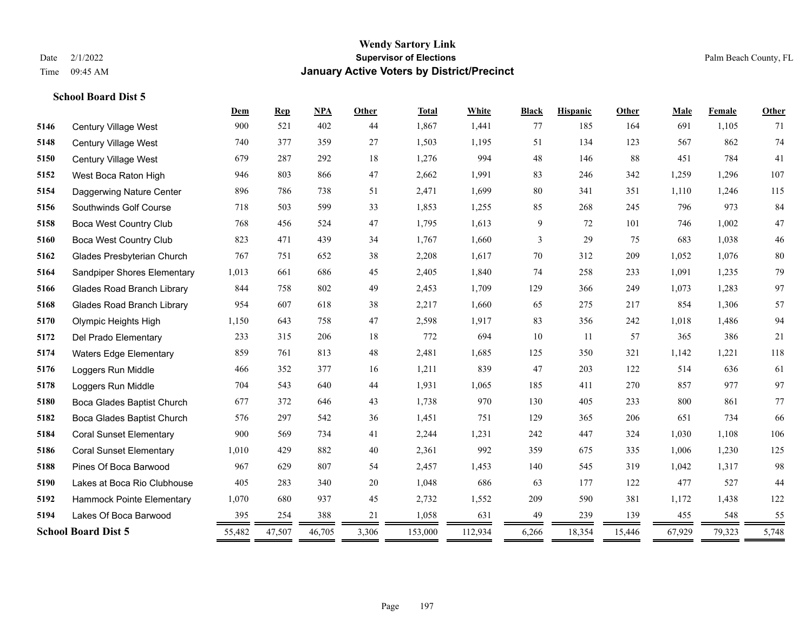|      |                                   | Dem    | <b>Rep</b> | NPA    | Other | <b>Total</b> | White   | <b>Black</b> | <b>Hispanic</b> | Other  | Male   | Female | Other  |
|------|-----------------------------------|--------|------------|--------|-------|--------------|---------|--------------|-----------------|--------|--------|--------|--------|
| 5146 | <b>Century Village West</b>       | 900    | 521        | 402    | 44    | 1,867        | 1,441   | 77           | 185             | 164    | 691    | 1,105  | 71     |
| 5148 | Century Village West              | 740    | 377        | 359    | 27    | 1,503        | 1,195   | 51           | 134             | 123    | 567    | 862    | 74     |
| 5150 | Century Village West              | 679    | 287        | 292    | 18    | 1,276        | 994     | 48           | 146             | 88     | 451    | 784    | 41     |
| 5152 | West Boca Raton High              | 946    | 803        | 866    | 47    | 2,662        | 1,991   | 83           | 246             | 342    | 1,259  | 1,296  | 107    |
| 5154 | Daggerwing Nature Center          | 896    | 786        | 738    | 51    | 2,471        | 1,699   | 80           | 341             | 351    | 1,110  | 1,246  | 115    |
| 5156 | Southwinds Golf Course            | 718    | 503        | 599    | 33    | 1,853        | 1,255   | 85           | 268             | 245    | 796    | 973    | 84     |
| 5158 | <b>Boca West Country Club</b>     | 768    | 456        | 524    | 47    | 1,795        | 1,613   | 9            | 72              | 101    | 746    | 1,002  | $47\,$ |
| 5160 | <b>Boca West Country Club</b>     | 823    | 471        | 439    | 34    | 1,767        | 1,660   | 3            | 29              | 75     | 683    | 1,038  | $46\,$ |
| 5162 | Glades Presbyterian Church        | 767    | 751        | 652    | 38    | 2,208        | 1,617   | 70           | 312             | 209    | 1,052  | 1,076  | 80     |
| 5164 | Sandpiper Shores Elementary       | 1,013  | 661        | 686    | 45    | 2,405        | 1,840   | 74           | 258             | 233    | 1,091  | 1,235  | 79     |
| 5166 | <b>Glades Road Branch Library</b> | 844    | 758        | 802    | 49    | 2,453        | 1,709   | 129          | 366             | 249    | 1,073  | 1,283  | 97     |
| 5168 | <b>Glades Road Branch Library</b> | 954    | 607        | 618    | 38    | 2,217        | 1,660   | 65           | 275             | 217    | 854    | 1,306  | 57     |
| 5170 | Olympic Heights High              | 1,150  | 643        | 758    | 47    | 2,598        | 1,917   | 83           | 356             | 242    | 1,018  | 1,486  | 94     |
| 5172 | Del Prado Elementary              | 233    | 315        | 206    | 18    | 772          | 694     | 10           | 11              | 57     | 365    | 386    | $21\,$ |
| 5174 | <b>Waters Edge Elementary</b>     | 859    | 761        | 813    | 48    | 2,481        | 1,685   | 125          | 350             | 321    | 1,142  | 1,221  | 118    |
| 5176 | Loggers Run Middle                | 466    | 352        | 377    | 16    | 1,211        | 839     | 47           | 203             | 122    | 514    | 636    | 61     |
| 5178 | Loggers Run Middle                | 704    | 543        | 640    | 44    | 1,931        | 1,065   | 185          | 411             | 270    | 857    | 977    | 97     |
| 5180 | Boca Glades Baptist Church        | 677    | 372        | 646    | 43    | 1,738        | 970     | 130          | 405             | 233    | 800    | 861    | 77     |
| 5182 | Boca Glades Baptist Church        | 576    | 297        | 542    | 36    | 1,451        | 751     | 129          | 365             | 206    | 651    | 734    | 66     |
| 5184 | <b>Coral Sunset Elementary</b>    | 900    | 569        | 734    | 41    | 2,244        | 1,231   | 242          | 447             | 324    | 1,030  | 1,108  | 106    |
| 5186 | <b>Coral Sunset Elementary</b>    | 1,010  | 429        | 882    | 40    | 2,361        | 992     | 359          | 675             | 335    | 1,006  | 1,230  | 125    |
| 5188 | Pines Of Boca Barwood             | 967    | 629        | 807    | 54    | 2,457        | 1,453   | 140          | 545             | 319    | 1,042  | 1,317  | 98     |
| 5190 | Lakes at Boca Rio Clubhouse       | 405    | 283        | 340    | 20    | 1,048        | 686     | 63           | 177             | 122    | 477    | 527    | 44     |
| 5192 | Hammock Pointe Elementary         | 1,070  | 680        | 937    | 45    | 2,732        | 1,552   | 209          | 590             | 381    | 1,172  | 1,438  | 122    |
| 5194 | Lakes Of Boca Barwood             | 395    | 254        | 388    | 21    | 1,058        | 631     | 49           | 239             | 139    | 455    | 548    | 55     |
|      | <b>School Board Dist 5</b>        | 55,482 | 47,507     | 46,705 | 3,306 | 153,000      | 112,934 | 6,266        | 18,354          | 15,446 | 67,929 | 79,323 | 5,748  |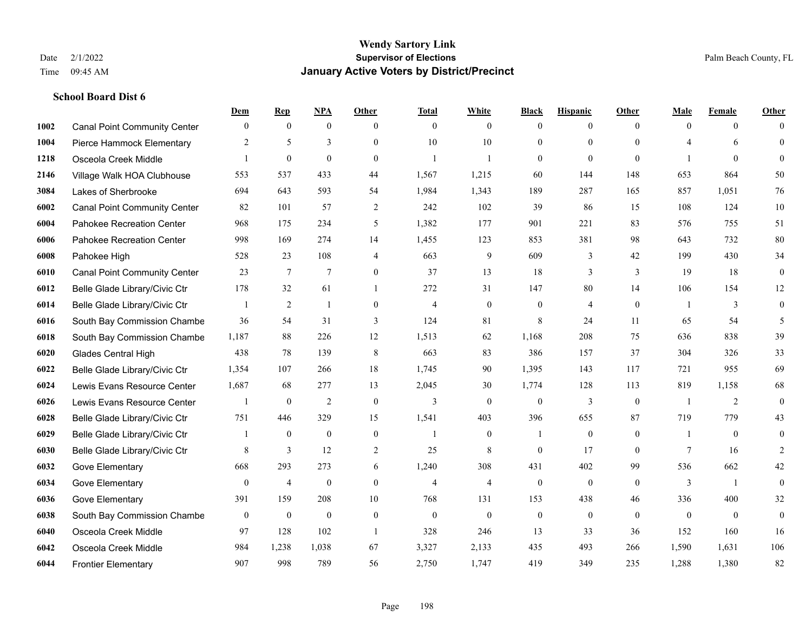|      |                                     | Dem          | <b>Rep</b>       | NPA              | <b>Other</b>   | <b>Total</b>   | <b>White</b>   | <b>Black</b>     | <b>Hispanic</b> | <b>Other</b> | <b>Male</b>    | <b>Female</b>  | <b>Other</b>     |
|------|-------------------------------------|--------------|------------------|------------------|----------------|----------------|----------------|------------------|-----------------|--------------|----------------|----------------|------------------|
| 1002 | <b>Canal Point Community Center</b> | $\mathbf{0}$ | $\mathbf{0}$     | $\mathbf{0}$     | $\theta$       | $\theta$       | $\overline{0}$ | $\mathbf{0}$     | $\overline{0}$  | $\theta$     | $\mathbf{0}$   | $\overline{0}$ | $\Omega$         |
| 1004 | Pierce Hammock Elementary           | 2            | 5                | $\overline{3}$   | $\Omega$       | 10             | 10             | $\mathbf{0}$     | $\mathbf{0}$    | $\Omega$     | 4              | 6              | $\mathbf{0}$     |
| 1218 | Osceola Creek Middle                | $\mathbf{1}$ | $\boldsymbol{0}$ | $\mathbf{0}$     | $\Omega$       | $\mathbf{1}$   | $\mathbf{1}$   | $\mathbf{0}$     | $\mathbf{0}$    | $\theta$     |                | $\theta$       | $\theta$         |
| 2146 | Village Walk HOA Clubhouse          | 553          | 537              | 433              | 44             | 1,567          | 1,215          | 60               | 144             | 148          | 653            | 864            | 50               |
| 3084 | Lakes of Sherbrooke                 | 694          | 643              | 593              | 54             | 1,984          | 1,343          | 189              | 287             | 165          | 857            | 1.051          | 76               |
| 6002 | <b>Canal Point Community Center</b> | 82           | 101              | 57               | $\overline{2}$ | 242            | 102            | 39               | 86              | 15           | 108            | 124            | $10\,$           |
| 6004 | Pahokee Recreation Center           | 968          | 175              | 234              | 5              | 1,382          | 177            | 901              | 221             | 83           | 576            | 755            | 51               |
| 6006 | Pahokee Recreation Center           | 998          | 169              | 274              | 14             | 1,455          | 123            | 853              | 381             | 98           | 643            | 732            | $80\,$           |
| 6008 | Pahokee High                        | 528          | 23               | 108              | $\overline{4}$ | 663            | 9              | 609              | 3               | 42           | 199            | 430            | 34               |
| 6010 | <b>Canal Point Community Center</b> | 23           | $\tau$           | $\overline{7}$   | $\overline{0}$ | 37             | 13             | 18               | 3               | 3            | 19             | 18             | $\boldsymbol{0}$ |
| 6012 | Belle Glade Library/Civic Ctr       | 178          | 32               | 61               | $\mathbf{1}$   | 272            | 31             | 147              | 80              | 14           | 106            | 154            | 12               |
| 6014 | Belle Glade Library/Civic Ctr       |              | $\overline{2}$   | $\mathbf{1}$     | $\Omega$       | $\overline{4}$ | $\mathbf{0}$   | $\mathbf{0}$     | $\overline{4}$  | $\theta$     | $\overline{1}$ | 3              | $\boldsymbol{0}$ |
| 6016 | South Bay Commission Chambe         | 36           | 54               | 31               | 3              | 124            | 81             | 8                | 24              | 11           | 65             | 54             | 5                |
| 6018 | South Bay Commission Chambe         | 1,187        | 88               | 226              | 12             | 1,513          | 62             | 1,168            | 208             | 75           | 636            | 838            | 39               |
| 6020 | <b>Glades Central High</b>          | 438          | 78               | 139              | 8              | 663            | 83             | 386              | 157             | 37           | 304            | 326            | 33               |
| 6022 | Belle Glade Library/Civic Ctr       | 1,354        | 107              | 266              | 18             | 1,745          | 90             | 1,395            | 143             | 117          | 721            | 955            | 69               |
| 6024 | Lewis Evans Resource Center         | 1,687        | 68               | 277              | 13             | 2,045          | 30             | 1,774            | 128             | 113          | 819            | 1,158          | 68               |
| 6026 | Lewis Evans Resource Center         | 1            | $\boldsymbol{0}$ | 2                | $\theta$       | 3              | $\overline{0}$ | $\mathbf{0}$     | 3               | $\theta$     |                | 2              | $\mathbf{0}$     |
| 6028 | Belle Glade Library/Civic Ctr       | 751          | 446              | 329              | 15             | 1,541          | 403            | 396              | 655             | 87           | 719            | 779            | 43               |
| 6029 | Belle Glade Library/Civic Ctr       | 1            | $\mathbf{0}$     | $\mathbf{0}$     | $\mathbf{0}$   | -1             | $\overline{0}$ | 1                | $\mathbf{0}$    | $\theta$     | -1             | $\theta$       | $\boldsymbol{0}$ |
| 6030 | Belle Glade Library/Civic Ctr       | 8            | 3                | 12               | 2              | 25             | 8              | $\mathbf{0}$     | 17              | $\theta$     | 7              | 16             | 2                |
| 6032 | Gove Elementary                     | 668          | 293              | 273              | 6              | 1,240          | 308            | 431              | 402             | 99           | 536            | 662            | 42               |
| 6034 | Gove Elementary                     | $\mathbf{0}$ | $\overline{4}$   | $\boldsymbol{0}$ | $\overline{0}$ | $\overline{4}$ | 4              | $\boldsymbol{0}$ | $\mathbf{0}$    | $\theta$     | 3              | $\overline{1}$ | $\mathbf{0}$     |
| 6036 | Gove Elementary                     | 391          | 159              | 208              | 10             | 768            | 131            | 153              | 438             | 46           | 336            | 400            | $32\,$           |
| 6038 | South Bay Commission Chambe         | $\mathbf{0}$ | $\mathbf{0}$     | $\overline{0}$   | $\overline{0}$ | $\theta$       | $\mathbf{0}$   | $\mathbf{0}$     | $\mathbf{0}$    | $\Omega$     | $\theta$       | $\theta$       | $\mathbf{0}$     |
| 6040 | Osceola Creek Middle                | 97           | 128              | 102              | $\overline{1}$ | 328            | 246            | 13               | 33              | 36           | 152            | 160            | 16               |
| 6042 | Osceola Creek Middle                | 984          | 1,238            | 1,038            | 67             | 3,327          | 2,133          | 435              | 493             | 266          | 1,590          | 1,631          | 106              |
| 6044 | <b>Frontier Elementary</b>          | 907          | 998              | 789              | 56             | 2,750          | 1,747          | 419              | 349             | 235          | 1,288          | 1,380          | 82               |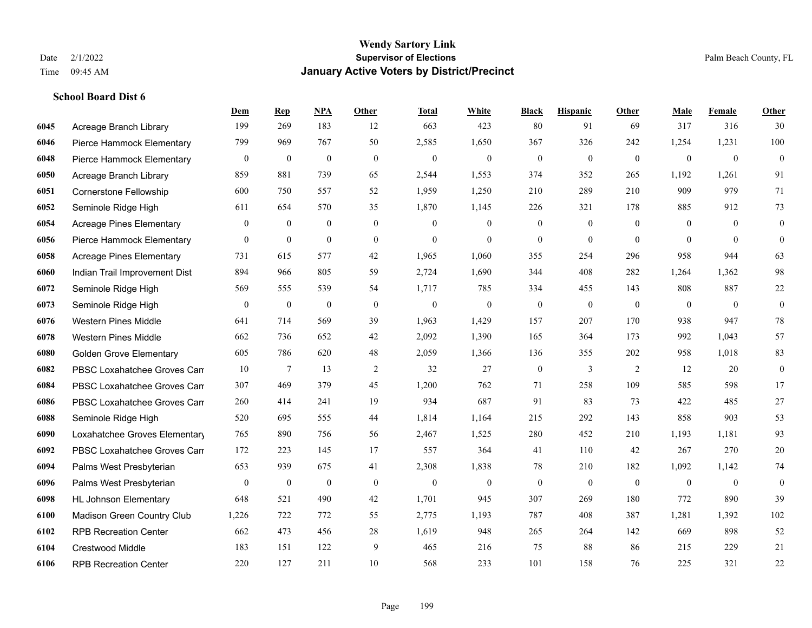|      |                                 | Dem              | <b>Rep</b>   | NPA              | Other            | <b>Total</b> | <b>White</b>     | <b>Black</b>     | <b>Hispanic</b>  | <b>Other</b> | <b>Male</b>      | Female         | <b>Other</b>     |
|------|---------------------------------|------------------|--------------|------------------|------------------|--------------|------------------|------------------|------------------|--------------|------------------|----------------|------------------|
| 6045 | Acreage Branch Library          | 199              | 269          | 183              | 12               | 663          | 423              | 80               | 91               | 69           | 317              | 316            | 30               |
| 6046 | Pierce Hammock Elementary       | 799              | 969          | 767              | 50               | 2,585        | 1,650            | 367              | 326              | 242          | 1,254            | 1,231          | 100              |
| 6048 | Pierce Hammock Elementary       | $\mathbf{0}$     | $\mathbf{0}$ | $\mathbf{0}$     | $\mathbf{0}$     | $\mathbf{0}$ | $\boldsymbol{0}$ | $\boldsymbol{0}$ | $\mathbf{0}$     | $\mathbf{0}$ | $\mathbf{0}$     | $\mathbf{0}$   | $\mathbf{0}$     |
| 6050 | Acreage Branch Library          | 859              | 881          | 739              | 65               | 2,544        | 1,553            | 374              | 352              | 265          | 1,192            | 1,261          | 91               |
| 6051 | <b>Cornerstone Fellowship</b>   | 600              | 750          | 557              | 52               | 1,959        | 1,250            | 210              | 289              | 210          | 909              | 979            | 71               |
| 6052 | Seminole Ridge High             | 611              | 654          | 570              | 35               | 1,870        | 1,145            | 226              | 321              | 178          | 885              | 912            | 73               |
| 6054 | <b>Acreage Pines Elementary</b> | $\boldsymbol{0}$ | $\bf{0}$     | $\boldsymbol{0}$ | $\boldsymbol{0}$ | $\mathbf{0}$ | $\boldsymbol{0}$ | $\boldsymbol{0}$ | $\boldsymbol{0}$ | $\mathbf{0}$ | $\boldsymbol{0}$ | $\theta$       | $\boldsymbol{0}$ |
| 6056 | Pierce Hammock Elementary       | $\overline{0}$   | $\mathbf{0}$ | $\mathbf{0}$     | $\mathbf{0}$     | $\theta$     | $\mathbf{0}$     | $\overline{0}$   | $\overline{0}$   | $\theta$     | $\theta$         | $\theta$       | $\overline{0}$   |
| 6058 | <b>Acreage Pines Elementary</b> | 731              | 615          | 577              | 42               | 1,965        | 1,060            | 355              | 254              | 296          | 958              | 944            | 63               |
| 6060 | Indian Trail Improvement Dist   | 894              | 966          | 805              | 59               | 2,724        | 1,690            | 344              | 408              | 282          | 1,264            | 1,362          | 98               |
| 6072 | Seminole Ridge High             | 569              | 555          | 539              | 54               | 1,717        | 785              | 334              | 455              | 143          | 808              | 887            | 22               |
| 6073 | Seminole Ridge High             | $\mathbf{0}$     | $\mathbf{0}$ | $\mathbf{0}$     | $\boldsymbol{0}$ | $\mathbf{0}$ | $\boldsymbol{0}$ | $\boldsymbol{0}$ | $\boldsymbol{0}$ | $\mathbf{0}$ | $\mathbf{0}$     | $\overline{0}$ | $\boldsymbol{0}$ |
| 6076 | <b>Western Pines Middle</b>     | 641              | 714          | 569              | 39               | 1,963        | 1,429            | 157              | 207              | 170          | 938              | 947            | 78               |
| 6078 | <b>Western Pines Middle</b>     | 662              | 736          | 652              | 42               | 2,092        | 1,390            | 165              | 364              | 173          | 992              | 1,043          | 57               |
| 6080 | <b>Golden Grove Elementary</b>  | 605              | 786          | 620              | 48               | 2,059        | 1,366            | 136              | 355              | 202          | 958              | 1,018          | 83               |
| 6082 | PBSC Loxahatchee Groves Can     | 10               | $\tau$       | 13               | 2                | 32           | 27               | $\boldsymbol{0}$ | 3                | 2            | 12               | 20             | $\boldsymbol{0}$ |
| 6084 | PBSC Loxahatchee Groves Can     | 307              | 469          | 379              | 45               | 1,200        | 762              | 71               | 258              | 109          | 585              | 598            | 17               |
| 6086 | PBSC Loxahatchee Groves Can     | 260              | 414          | 241              | 19               | 934          | 687              | 91               | 83               | 73           | 422              | 485            | 27               |
| 6088 | Seminole Ridge High             | 520              | 695          | 555              | 44               | 1,814        | 1,164            | 215              | 292              | 143          | 858              | 903            | 53               |
| 6090 | Loxahatchee Groves Elementary   | 765              | 890          | 756              | 56               | 2,467        | 1,525            | 280              | 452              | 210          | 1,193            | 1,181          | 93               |
| 6092 | PBSC Loxahatchee Groves Can     | 172              | 223          | 145              | 17               | 557          | 364              | 41               | 110              | 42           | 267              | 270            | 20               |
| 6094 | Palms West Presbyterian         | 653              | 939          | 675              | 41               | 2,308        | 1,838            | 78               | 210              | 182          | 1,092            | 1,142          | 74               |
| 6096 | Palms West Presbyterian         | $\overline{0}$   | $\mathbf{0}$ | $\mathbf{0}$     | $\theta$         | $\mathbf{0}$ | $\mathbf{0}$     | $\boldsymbol{0}$ | $\mathbf{0}$     | $\theta$     | $\overline{0}$   | $\mathbf{0}$   | $\boldsymbol{0}$ |
| 6098 | <b>HL Johnson Elementary</b>    | 648              | 521          | 490              | 42               | 1,701        | 945              | 307              | 269              | 180          | 772              | 890            | 39               |
| 6100 | Madison Green Country Club      | 1,226            | 722          | 772              | 55               | 2,775        | 1,193            | 787              | 408              | 387          | 1,281            | 1,392          | 102              |
| 6102 | <b>RPB Recreation Center</b>    | 662              | 473          | 456              | $28\,$           | 1,619        | 948              | 265              | 264              | 142          | 669              | 898            | 52               |
| 6104 | <b>Crestwood Middle</b>         | 183              | 151          | 122              | 9                | 465          | 216              | 75               | 88               | 86           | 215              | 229            | 21               |
| 6106 | <b>RPB Recreation Center</b>    | 220              | 127          | 211              | 10               | 568          | 233              | 101              | 158              | 76           | 225              | 321            | 22               |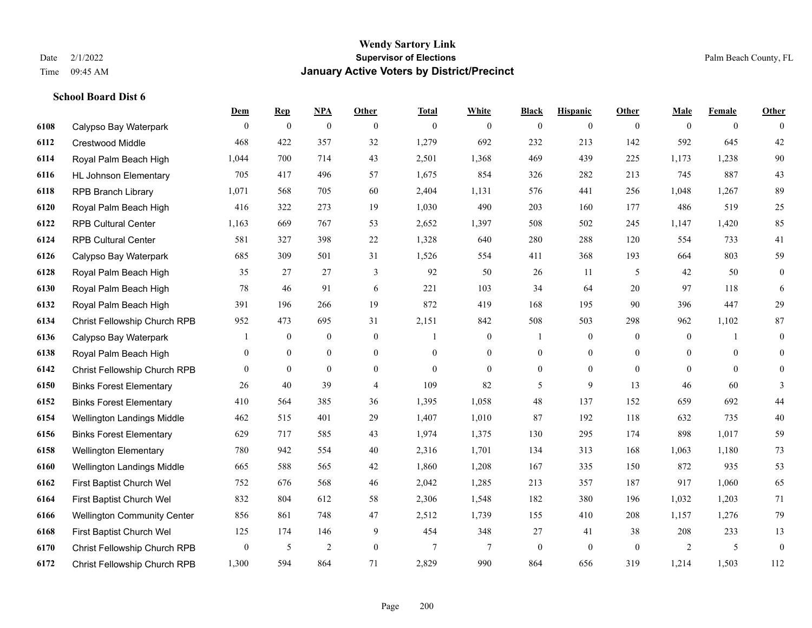**School Board Dist 6**

## **Wendy Sartory Link** Date 2/1/2022 **Supervisor of Elections** Palm Beach County, FL Time 09:45 AM **January Active Voters by District/Precinct**

|      |                                    | Dem          | <b>Rep</b>     | NPA              | Other          | <b>Total</b> | White          | <b>Black</b>   | <b>Hispanic</b>  | <b>Other</b>   | Male           | Female         | Other          |
|------|------------------------------------|--------------|----------------|------------------|----------------|--------------|----------------|----------------|------------------|----------------|----------------|----------------|----------------|
| 6108 | Calypso Bay Waterpark              | $\theta$     | $\mathbf{0}$   | $\mathbf{0}$     | $\theta$       | $\mathbf{0}$ | $\overline{0}$ | $\mathbf{0}$   | $\overline{0}$   | $\theta$       | $\theta$       | $\overline{0}$ | $\theta$       |
| 6112 | <b>Crestwood Middle</b>            | 468          | 422            | 357              | 32             | 1,279        | 692            | 232            | 213              | 142            | 592            | 645            | 42             |
| 6114 | Royal Palm Beach High              | 1,044        | 700            | 714              | 43             | 2,501        | 1,368          | 469            | 439              | 225            | 1,173          | 1,238          | $90\,$         |
| 6116 | <b>HL Johnson Elementary</b>       | 705          | 417            | 496              | 57             | 1,675        | 854            | 326            | 282              | 213            | 745            | 887            | 43             |
| 6118 | <b>RPB Branch Library</b>          | 1,071        | 568            | 705              | 60             | 2,404        | 1,131          | 576            | 441              | 256            | 1,048          | 1,267          | 89             |
| 6120 | Royal Palm Beach High              | 416          | 322            | 273              | 19             | 1,030        | 490            | 203            | 160              | 177            | 486            | 519            | $25\,$         |
| 6122 | <b>RPB Cultural Center</b>         | 1,163        | 669            | 767              | 53             | 2,652        | 1,397          | 508            | 502              | 245            | 1,147          | 1,420          | 85             |
| 6124 | <b>RPB Cultural Center</b>         | 581          | 327            | 398              | 22             | 1,328        | 640            | 280            | 288              | 120            | 554            | 733            | 41             |
| 6126 | Calypso Bay Waterpark              | 685          | 309            | 501              | 31             | 1,526        | 554            | 411            | 368              | 193            | 664            | 803            | 59             |
| 6128 | Royal Palm Beach High              | 35           | 27             | 27               | 3              | 92           | 50             | 26             | 11               | 5              | 42             | 50             | $\overline{0}$ |
| 6130 | Royal Palm Beach High              | $78\,$       | 46             | 91               | 6              | 221          | 103            | 34             | 64               | 20             | 97             | 118            | 6              |
| 6132 | Royal Palm Beach High              | 391          | 196            | 266              | 19             | 872          | 419            | 168            | 195              | 90             | 396            | 447            | 29             |
| 6134 | Christ Fellowship Church RPB       | 952          | 473            | 695              | 31             | 2,151        | 842            | 508            | 503              | 298            | 962            | 1,102          | 87             |
| 6136 | Calypso Bay Waterpark              |              | $\overline{0}$ | $\boldsymbol{0}$ | $\mathbf{0}$   | $\mathbf{1}$ | $\overline{0}$ |                | $\boldsymbol{0}$ | $\theta$       | $\overline{0}$ |                | $\mathbf{0}$   |
| 6138 | Royal Palm Beach High              | $\mathbf{0}$ | $\overline{0}$ | $\boldsymbol{0}$ | $\mathbf{0}$   | $\mathbf{0}$ | $\overline{0}$ | $\overline{0}$ | $\boldsymbol{0}$ | $\overline{0}$ | $\mathbf{0}$   | $\theta$       | $\overline{0}$ |
| 6142 | Christ Fellowship Church RPB       | $\Omega$     | $\overline{0}$ | $\overline{0}$   | $\theta$       | $\theta$     | $\overline{0}$ | $\overline{0}$ | $\overline{0}$   | $\theta$       | $\Omega$       | $\theta$       | $\overline{0}$ |
| 6150 | <b>Binks Forest Elementary</b>     | 26           | 40             | 39               | $\overline{4}$ | 109          | 82             | 5              | 9                | 13             | 46             | 60             | 3              |
| 6152 | <b>Binks Forest Elementary</b>     | 410          | 564            | 385              | 36             | 1,395        | 1,058          | 48             | 137              | 152            | 659            | 692            | $44$           |
| 6154 | Wellington Landings Middle         | 462          | 515            | 401              | 29             | 1,407        | 1,010          | 87             | 192              | 118            | 632            | 735            | $40\,$         |
| 6156 | <b>Binks Forest Elementary</b>     | 629          | 717            | 585              | 43             | 1,974        | 1,375          | 130            | 295              | 174            | 898            | 1,017          | 59             |
| 6158 | <b>Wellington Elementary</b>       | 780          | 942            | 554              | 40             | 2,316        | 1,701          | 134            | 313              | 168            | 1,063          | 1,180          | 73             |
| 6160 | Wellington Landings Middle         | 665          | 588            | 565              | 42             | 1,860        | 1,208          | 167            | 335              | 150            | 872            | 935            | 53             |
| 6162 | First Baptist Church Wel           | 752          | 676            | 568              | 46             | 2,042        | 1,285          | 213            | 357              | 187            | 917            | 1,060          | 65             |
| 6164 | First Baptist Church Wel           | 832          | 804            | 612              | 58             | 2,306        | 1,548          | 182            | 380              | 196            | 1,032          | 1,203          | 71             |
| 6166 | <b>Wellington Community Center</b> | 856          | 861            | 748              | 47             | 2,512        | 1,739          | 155            | 410              | 208            | 1,157          | 1,276          | 79             |
| 6168 | First Baptist Church Wel           | 125          | 174            | 146              | 9              | 454          | 348            | 27             | 41               | 38             | 208            | 233            | 13             |
| 6170 | Christ Fellowship Church RPB       | $\theta$     | 5              | $\overline{2}$   | $\Omega$       | $\tau$       | $\tau$         | $\mathbf{0}$   | $\Omega$         | $\theta$       | 2              | 5              | $\mathbf{0}$   |
| 6172 | Christ Fellowship Church RPB       | 1,300        | 594            | 864              | 71             | 2,829        | 990            | 864            | 656              | 319            | 1,214          | 1.503          | 112            |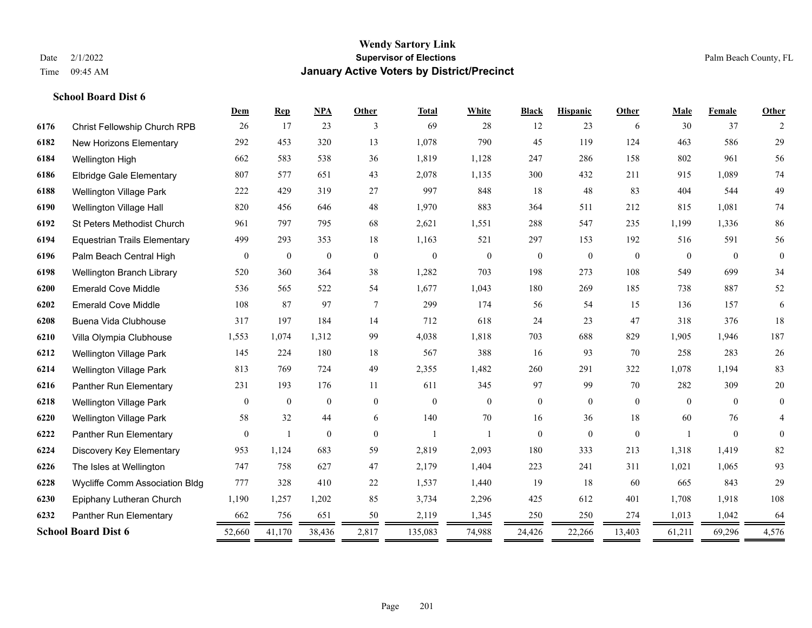|      |                                     | Dem              | <b>Rep</b>       | <b>NPA</b>       | <b>Other</b>   | <b>Total</b> | White          | <b>Black</b>     | <b>Hispanic</b> | <b>Other</b>   | Male           | <b>Female</b> | Other        |
|------|-------------------------------------|------------------|------------------|------------------|----------------|--------------|----------------|------------------|-----------------|----------------|----------------|---------------|--------------|
| 6176 | <b>Christ Fellowship Church RPB</b> | 26               | 17               | 23               | 3              | 69           | 28             | 12               | 23              | 6              | 30             | 37            | 2            |
| 6182 | <b>New Horizons Elementary</b>      | 292              | 453              | 320              | 13             | 1,078        | 790            | 45               | 119             | 124            | 463            | 586           | 29           |
| 6184 | Wellington High                     | 662              | 583              | 538              | 36             | 1,819        | 1,128          | 247              | 286             | 158            | 802            | 961           | 56           |
| 6186 | <b>Elbridge Gale Elementary</b>     | 807              | 577              | 651              | 43             | 2,078        | 1,135          | 300              | 432             | 211            | 915            | 1,089         | $74\,$       |
| 6188 | <b>Wellington Village Park</b>      | 222              | 429              | 319              | 27             | 997          | 848            | 18               | 48              | 83             | 404            | 544           | 49           |
| 6190 | Wellington Village Hall             | 820              | 456              | 646              | 48             | 1,970        | 883            | 364              | 511             | 212            | 815            | 1,081         | 74           |
| 6192 | <b>St Peters Methodist Church</b>   | 961              | 797              | 795              | 68             | 2,621        | 1,551          | 288              | 547             | 235            | 1,199          | 1,336         | 86           |
| 6194 | <b>Equestrian Trails Elementary</b> | 499              | 293              | 353              | 18             | 1,163        | 521            | 297              | 153             | 192            | 516            | 591           | 56           |
| 6196 | Palm Beach Central High             | $\boldsymbol{0}$ | $\boldsymbol{0}$ | $\boldsymbol{0}$ | $\mathbf{0}$   | $\mathbf{0}$ | $\overline{0}$ | $\boldsymbol{0}$ | $\overline{0}$  | $\theta$       | $\theta$       | $\theta$      | $\theta$     |
| 6198 | Wellington Branch Library           | 520              | 360              | 364              | 38             | 1,282        | 703            | 198              | 273             | 108            | 549            | 699           | 34           |
| 6200 | <b>Emerald Cove Middle</b>          | 536              | 565              | 522              | 54             | 1,677        | 1,043          | 180              | 269             | 185            | 738            | 887           | 52           |
| 6202 | <b>Emerald Cove Middle</b>          | 108              | 87               | 97               | 7              | 299          | 174            | 56               | 54              | 15             | 136            | 157           | 6            |
| 6208 | Buena Vida Clubhouse                | 317              | 197              | 184              | 14             | 712          | 618            | 24               | 23              | 47             | 318            | 376           | 18           |
| 6210 | Villa Olympia Clubhouse             | 1,553            | 1,074            | 1,312            | 99             | 4,038        | 1,818          | 703              | 688             | 829            | 1,905          | 1,946         | 187          |
| 6212 | <b>Wellington Village Park</b>      | 145              | 224              | 180              | 18             | 567          | 388            | 16               | 93              | 70             | 258            | 283           | $26\,$       |
| 6214 | Wellington Village Park             | 813              | 769              | 724              | 49             | 2,355        | 1,482          | 260              | 291             | 322            | 1,078          | 1,194         | 83           |
| 6216 | Panther Run Elementary              | 231              | 193              | 176              | 11             | 611          | 345            | 97               | 99              | 70             | 282            | 309           | $20\,$       |
| 6218 | <b>Wellington Village Park</b>      | $\overline{0}$   | $\mathbf{0}$     | $\mathbf{0}$     | $\overline{0}$ | $\mathbf{0}$ | $\overline{0}$ | $\boldsymbol{0}$ | $\overline{0}$  | $\overline{0}$ | $\theta$       | $\theta$      | $\mathbf{0}$ |
| 6220 | <b>Wellington Village Park</b>      | 58               | 32               | 44               | 6              | 140          | 70             | 16               | 36              | 18             | 60             | 76            | 4            |
| 6222 | Panther Run Elementary              | $\mathbf{0}$     | $\overline{1}$   | $\mathbf{0}$     | $\theta$       | $\mathbf{1}$ |                | $\overline{0}$   | $\overline{0}$  | $\mathbf{0}$   | $\blacksquare$ | $\theta$      | $\Omega$     |
| 6224 | Discovery Key Elementary            | 953              | 1,124            | 683              | 59             | 2,819        | 2,093          | 180              | 333             | 213            | 1,318          | 1,419         | 82           |
| 6226 | The Isles at Wellington             | 747              | 758              | 627              | 47             | 2,179        | 1,404          | 223              | 241             | 311            | 1,021          | 1,065         | 93           |
| 6228 | Wycliffe Comm Association Bldg      | 777              | 328              | 410              | 22             | 1,537        | 1,440          | 19               | 18              | 60             | 665            | 843           | 29           |
| 6230 | Epiphany Lutheran Church            | 1,190            | 1,257            | 1,202            | 85             | 3,734        | 2,296          | 425              | 612             | 401            | 1,708          | 1,918         | 108          |
| 6232 | Panther Run Elementary              | 662              | 756              | 651              | 50             | 2,119        | 1,345          | 250              | 250             | 274            | 1,013          | 1,042         | 64           |
|      | <b>School Board Dist 6</b>          | 52,660<br>==     | 41,170           | 38,436           | 2,817<br>=     | 135,083      | 74,988         | 24,426           | 22,266          | 13,403         | 61,211         | 69,296        | 4,576<br>$=$ |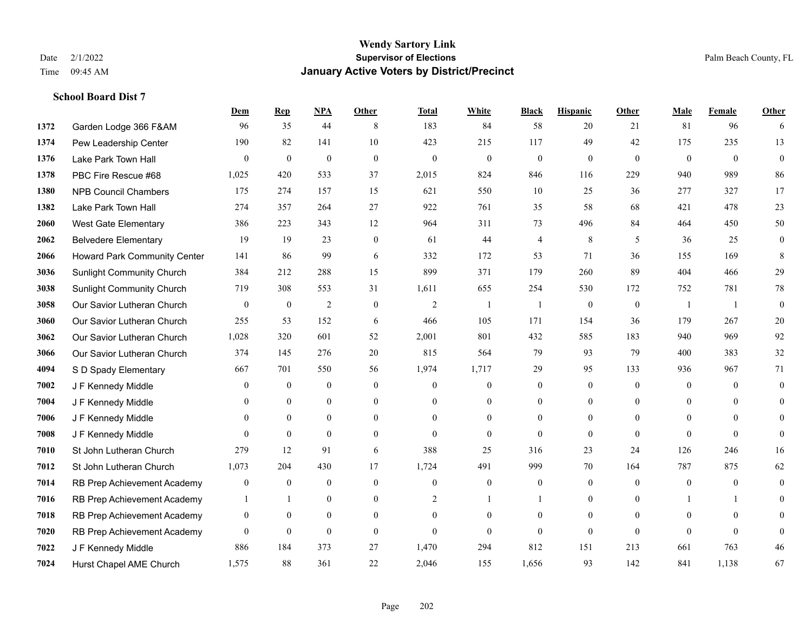**School Board Dist 7**

#### **Wendy Sartory Link** Date 2/1/2022 **Supervisor of Elections** Palm Beach County, FL Time 09:45 AM **January Active Voters by District/Precinct**

# **Dem Rep NPA Other Total White Black Hispanic Other Male Female Other** Garden Lodge 366 F&AM 96 35 44 8 183 84 58 20 21 81 96 6 Pew Leadership Center 190 82 141 10 423 215 117 49 42 175 235 13 Lake Park Town Hall 0 0 0 0 0 0 0 0 0 0 0 0 PBC Fire Rescue #68 1,025 420 533 37 2,015 824 846 116 229 940 989 86 NPB Council Chambers 175 274 157 15 621 550 10 25 36 277 327 17 Lake Park Town Hall 274 357 264 27 922 761 35 58 68 421 478 23 West Gate Elementary 386 223 343 12 964 311 73 496 84 464 450 50 Belvedere Elementary 19 19 23 0 61 44 4 8 5 36 25 0 Howard Park Community Center 141 86 99 6 332 172 53 71 36 155 169 8 Sunlight Community Church 384 212 288 15 899 371 179 260 89 404 466 29 Sunlight Community Church 719 308 553 31 1,611 655 254 530 172 752 781 78 Our Savior Lutheran Church 0 0 0 2 0 0 2 1 1 0 0 0 1 1 0 Our Savior Lutheran Church 255 53 152 6 466 105 171 154 36 179 267 20 Our Savior Lutheran Church 1,028 320 601 52 2,001 801 432 585 183 940 969 92 Our Savior Lutheran Church 374 145 276 20 815 564 79 93 79 400 383 32 S D Spady Elementary 667 701 550 56 1,974 1,717 29 95 133 936 967 71 **7002 J F Kennedy Middle 0 0 0 0 0 0 0 0 0** 0 **7004 J F Kennedy Middle 0 0 0 0 0 0 0 0 0** 0 J F Kennedy Middle 0 0 0 0 0 0 0 0 0 0 J F Kennedy Middle 0 0 0 0 0 0 0 0 0 0 St John Lutheran Church 279 12 91 6 388 25 316 23 24 126 246 16 St John Lutheran Church 1,073 204 430 17 1,724 491 999 70 164 787 875 62 RB Prep Achievement Academy 0 0 0 0 0 0 0 0 0 0 0 0 RB Prep Achievement Academy 1 1 0 0 0 2 1 1 0 0 0 1 1 0 RB Prep Achievement Academy 0 0 0 0 0 0 0 0 0 0 0 0 RB Prep Achievement Academy 0 0 0 0 0 0 0 0 0 0 0 0 J F Kennedy Middle 886 184 373 27 1,470 294 812 151 213 661 763 46 Hurst Chapel AME Church 1,575 88 361 22 2,046 155 1,656 93 142 841 1,138 67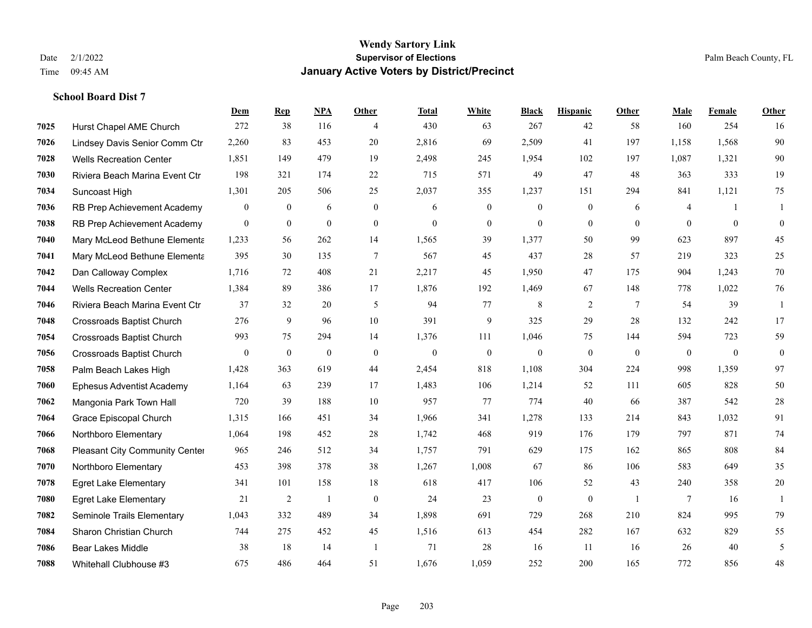|      |                                  | Dem            | <b>Rep</b>       | NPA              | <b>Other</b>   | Total        | <b>White</b> | <b>Black</b>     | <b>Hispanic</b>  | Other          | <b>Male</b>    | Female         | <b>Other</b>     |
|------|----------------------------------|----------------|------------------|------------------|----------------|--------------|--------------|------------------|------------------|----------------|----------------|----------------|------------------|
| 7025 | Hurst Chapel AME Church          | 272            | 38               | 116              | 4              | 430          | 63           | 267              | 42               | 58             | 160            | 254            | 16               |
| 7026 | Lindsey Davis Senior Comm Ctr    | 2,260          | 83               | 453              | 20             | 2,816        | 69           | 2,509            | 41               | 197            | 1,158          | 1,568          | 90               |
| 7028 | <b>Wells Recreation Center</b>   | 1,851          | 149              | 479              | 19             | 2,498        | 245          | 1,954            | 102              | 197            | 1,087          | 1,321          | 90               |
| 7030 | Riviera Beach Marina Event Ctr   | 198            | 321              | 174              | 22             | 715          | 571          | 49               | 47               | 48             | 363            | 333            | 19               |
| 7034 | Suncoast High                    | 1,301          | 205              | 506              | 25             | 2,037        | 355          | 1,237            | 151              | 294            | 841            | 1,121          | 75               |
| 7036 | RB Prep Achievement Academy      | $\mathbf{0}$   | $\boldsymbol{0}$ | 6                | $\overline{0}$ | 6            | $\mathbf{0}$ | $\boldsymbol{0}$ | $\boldsymbol{0}$ | 6              | 4              | $\overline{1}$ | -1               |
| 7038 | RB Prep Achievement Academy      | $\overline{0}$ | $\overline{0}$   | $\mathbf{0}$     | $\mathbf{0}$   | $\mathbf{0}$ | $\mathbf{0}$ | $\mathbf{0}$     | $\overline{0}$   | $\theta$       | $\theta$       | $\overline{0}$ | $\boldsymbol{0}$ |
| 7040 | Mary McLeod Bethune Elementa     | 1,233          | 56               | 262              | 14             | 1,565        | 39           | 1.377            | 50               | 99             | 623            | 897            | 45               |
| 7041 | Mary McLeod Bethune Elementa     | 395            | 30               | 135              | $\overline{7}$ | 567          | 45           | 437              | 28               | 57             | 219            | 323            | 25               |
| 7042 | Dan Calloway Complex             | 1,716          | 72               | 408              | 21             | 2,217        | 45           | 1,950            | 47               | 175            | 904            | 1,243          | 70               |
| 7044 | <b>Wells Recreation Center</b>   | 1,384          | 89               | 386              | 17             | 1,876        | 192          | 1,469            | 67               | 148            | 778            | 1.022          | 76               |
| 7046 | Riviera Beach Marina Event Ctr   | 37             | 32               | 20               | 5              | 94           | 77           | 8                | $\overline{2}$   | $\tau$         | 54             | 39             | 1                |
| 7048 | <b>Crossroads Baptist Church</b> | 276            | 9                | 96               | 10             | 391          | 9            | 325              | 29               | 28             | 132            | 242            | 17               |
| 7054 | <b>Crossroads Baptist Church</b> | 993            | 75               | 294              | 14             | 1,376        | 111          | 1,046            | 75               | 144            | 594            | 723            | 59               |
| 7056 | <b>Crossroads Baptist Church</b> | $\mathbf{0}$   | $\boldsymbol{0}$ | $\boldsymbol{0}$ | $\theta$       | $\mathbf{0}$ | $\mathbf{0}$ | $\mathbf{0}$     | $\mathbf{0}$     | $\overline{0}$ | $\overline{0}$ | $\overline{0}$ | $\boldsymbol{0}$ |
| 7058 | Palm Beach Lakes High            | 1,428          | 363              | 619              | 44             | 2,454        | 818          | 1,108            | 304              | 224            | 998            | 1,359          | 97               |
| 7060 | <b>Ephesus Adventist Academy</b> | 1,164          | 63               | 239              | 17             | 1,483        | 106          | 1,214            | 52               | 111            | 605            | 828            | 50               |
| 7062 | Mangonia Park Town Hall          | 720            | 39               | 188              | 10             | 957          | 77           | 774              | 40               | 66             | 387            | 542            | 28               |
| 7064 | Grace Episcopal Church           | 1,315          | 166              | 451              | 34             | 1,966        | 341          | 1,278            | 133              | 214            | 843            | 1,032          | 91               |
| 7066 | Northboro Elementary             | 1,064          | 198              | 452              | 28             | 1,742        | 468          | 919              | 176              | 179            | 797            | 871            | 74               |
| 7068 | Pleasant City Community Center   | 965            | 246              | 512              | 34             | 1,757        | 791          | 629              | 175              | 162            | 865            | 808            | 84               |
| 7070 | Northboro Elementary             | 453            | 398              | 378              | 38             | 1,267        | 1,008        | 67               | 86               | 106            | 583            | 649            | 35               |
| 7078 | <b>Egret Lake Elementary</b>     | 341            | 101              | 158              | 18             | 618          | 417          | 106              | 52               | 43             | 240            | 358            | $20\,$           |
| 7080 | <b>Egret Lake Elementary</b>     | 21             | 2                | $\mathbf{1}$     | $\overline{0}$ | 24           | 23           | $\boldsymbol{0}$ | $\overline{0}$   | $\overline{1}$ | 7              | 16             | $\mathbf{1}$     |
| 7082 | Seminole Trails Elementary       | 1.043          | 332              | 489              | 34             | 1,898        | 691          | 729              | 268              | 210            | 824            | 995            | 79               |
| 7084 | Sharon Christian Church          | 744            | 275              | 452              | 45             | 1,516        | 613          | 454              | 282              | 167            | 632            | 829            | 55               |
| 7086 | <b>Bear Lakes Middle</b>         | 38             | 18               | 14               | -1             | 71           | 28           | 16               | 11               | 16             | 26             | 40             | 5                |
| 7088 | Whitehall Clubhouse #3           | 675            | 486              | 464              | 51             | 1,676        | 1,059        | 252              | 200              | 165            | 772            | 856            | 48               |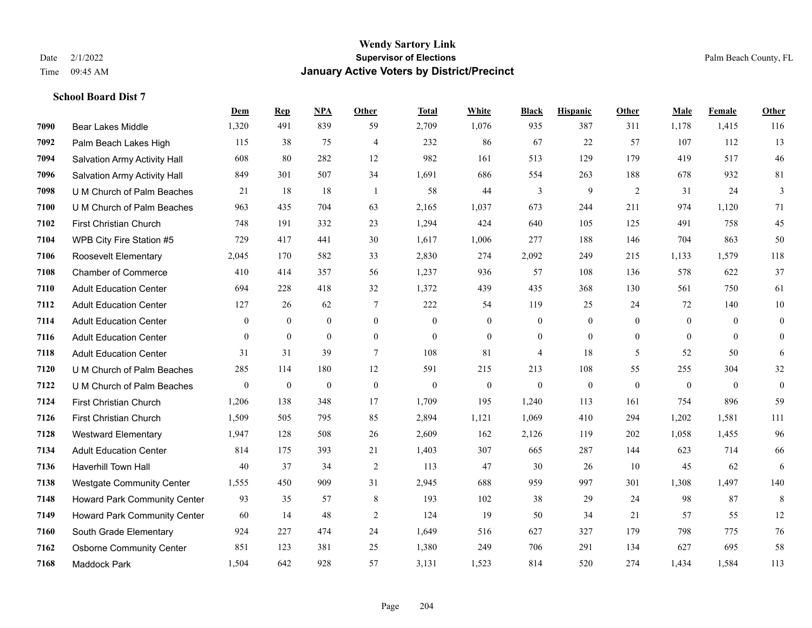|      |                                     | Dem            | <b>Rep</b>     | NPA            | <b>Other</b>   | <b>Total</b>     | White            | <b>Black</b>     | <b>Hispanic</b>  | <b>Other</b>     | <b>Male</b>  | Female       | <b>Other</b>     |
|------|-------------------------------------|----------------|----------------|----------------|----------------|------------------|------------------|------------------|------------------|------------------|--------------|--------------|------------------|
| 7090 | Bear Lakes Middle                   | 1,320          | 491            | 839            | 59             | 2,709            | 1,076            | 935              | 387              | 311              | 1,178        | 1,415        | 116              |
| 7092 | Palm Beach Lakes High               | 115            | 38             | 75             | $\overline{4}$ | 232              | 86               | 67               | 22               | 57               | 107          | 112          | 13               |
| 7094 | <b>Salvation Army Activity Hall</b> | 608            | 80             | 282            | 12             | 982              | 161              | 513              | 129              | 179              | 419          | 517          | 46               |
| 7096 | Salvation Army Activity Hall        | 849            | 301            | 507            | 34             | 1,691            | 686              | 554              | 263              | 188              | 678          | 932          | 81               |
| 7098 | U M Church of Palm Beaches          | 21             | 18             | 18             | $\overline{1}$ | 58               | 44               | 3                | 9                | 2                | 31           | 24           | $\mathfrak{Z}$   |
| 7100 | U M Church of Palm Beaches          | 963            | 435            | 704            | 63             | 2,165            | 1,037            | 673              | 244              | 211              | 974          | 1,120        | 71               |
| 7102 | First Christian Church              | 748            | 191            | 332            | 23             | 1,294            | 424              | 640              | 105              | 125              | 491          | 758          | 45               |
| 7104 | WPB City Fire Station #5            | 729            | 417            | 441            | 30             | 1,617            | 1,006            | 277              | 188              | 146              | 704          | 863          | 50               |
| 7106 | Roosevelt Elementary                | 2,045          | 170            | 582            | 33             | 2,830            | 274              | 2,092            | 249              | 215              | 1,133        | 1,579        | 118              |
| 7108 | <b>Chamber of Commerce</b>          | 410            | 414            | 357            | 56             | 1,237            | 936              | 57               | 108              | 136              | 578          | 622          | 37               |
| 7110 | <b>Adult Education Center</b>       | 694            | 228            | 418            | 32             | 1,372            | 439              | 435              | 368              | 130              | 561          | 750          | 61               |
| 7112 | <b>Adult Education Center</b>       | 127            | 26             | 62             | $\tau$         | 222              | 54               | 119              | 25               | 24               | 72           | 140          | $10\,$           |
| 7114 | <b>Adult Education Center</b>       | $\mathbf{0}$   | $\overline{0}$ | $\overline{0}$ | $\mathbf{0}$   | $\mathbf{0}$     | $\overline{0}$   | $\boldsymbol{0}$ | $\mathbf{0}$     | $\theta$         | $\theta$     | $\theta$     | $\boldsymbol{0}$ |
| 7116 | <b>Adult Education Center</b>       | $\overline{0}$ | $\mathbf{0}$   | $\overline{0}$ | $\mathbf{0}$   | $\boldsymbol{0}$ | $\boldsymbol{0}$ | $\boldsymbol{0}$ | $\boldsymbol{0}$ | $\boldsymbol{0}$ | $\mathbf{0}$ | $\mathbf{0}$ | $\boldsymbol{0}$ |
| 7118 | <b>Adult Education Center</b>       | 31             | 31             | 39             | $\tau$         | 108              | 81               | $\overline{4}$   | 18               | 5                | 52           | 50           | 6                |
| 7120 | U M Church of Palm Beaches          | 285            | 114            | 180            | 12             | 591              | 215              | 213              | 108              | 55               | 255          | 304          | $32\,$           |
| 7122 | U M Church of Palm Beaches          | $\mathbf{0}$   | $\mathbf{0}$   | $\overline{0}$ | $\mathbf{0}$   | $\mathbf{0}$     | $\mathbf{0}$     | $\mathbf{0}$     | $\mathbf{0}$     | $\theta$         | $\theta$     | $\theta$     | $\mathbf{0}$     |
| 7124 | <b>First Christian Church</b>       | 1,206          | 138            | 348            | 17             | 1,709            | 195              | 1,240            | 113              | 161              | 754          | 896          | 59               |
| 7126 | First Christian Church              | 1,509          | 505            | 795            | 85             | 2,894            | 1,121            | 1,069            | 410              | 294              | 1,202        | 1,581        | 111              |
| 7128 | <b>Westward Elementary</b>          | 1,947          | 128            | 508            | 26             | 2,609            | 162              | 2,126            | 119              | 202              | 1,058        | 1,455        | 96               |
| 7134 | <b>Adult Education Center</b>       | 814            | 175            | 393            | 21             | 1,403            | 307              | 665              | 287              | 144              | 623          | 714          | 66               |
| 7136 | Haverhill Town Hall                 | 40             | 37             | 34             | $\overline{2}$ | 113              | 47               | 30               | 26               | 10               | 45           | 62           | 6                |
| 7138 | <b>Westgate Community Center</b>    | 1,555          | 450            | 909            | 31             | 2,945            | 688              | 959              | 997              | 301              | 1,308        | 1,497        | 140              |
| 7148 | Howard Park Community Center        | 93             | 35             | 57             | 8              | 193              | 102              | 38               | 29               | 24               | 98           | 87           | 8                |
| 7149 | Howard Park Community Center        | 60             | 14             | 48             | $\sqrt{2}$     | 124              | 19               | 50               | 34               | 21               | 57           | 55           | $12\,$           |
| 7160 | South Grade Elementary              | 924            | 227            | 474            | 24             | 1,649            | 516              | 627              | 327              | 179              | 798          | 775          | 76               |
| 7162 | <b>Osborne Community Center</b>     | 851            | 123            | 381            | 25             | 1,380            | 249              | 706              | 291              | 134              | 627          | 695          | 58               |
| 7168 | <b>Maddock Park</b>                 | 1,504          | 642            | 928            | 57             | 3,131            | 1,523            | 814              | 520              | 274              | 1,434        | 1,584        | 113              |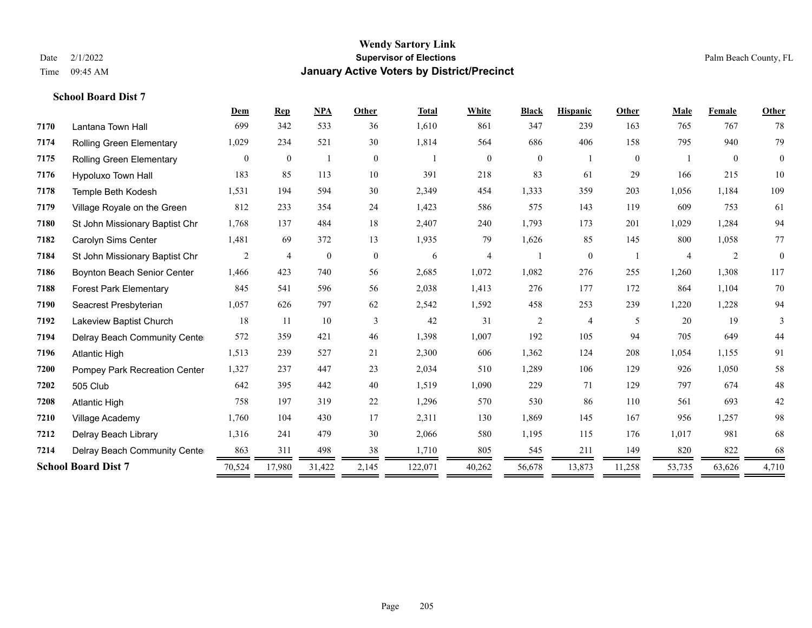|      |                                 | Dem          | <b>Rep</b>     | <b>NPA</b>   | Other          | <b>Total</b> | White          | <b>Black</b>   | <b>Hispanic</b> | Other          | Male           | Female         | Other        |
|------|---------------------------------|--------------|----------------|--------------|----------------|--------------|----------------|----------------|-----------------|----------------|----------------|----------------|--------------|
| 7170 | Lantana Town Hall               | 699          | 342            | 533          | 36             | 1,610        | 861            | 347            | 239             | 163            | 765            | 767            | 78           |
| 7174 | <b>Rolling Green Elementary</b> | 1,029        | 234            | 521          | 30             | 1,814        | 564            | 686            | 406             | 158            | 795            | 940            | 79           |
| 7175 | <b>Rolling Green Elementary</b> | $\mathbf{0}$ | $\mathbf{0}$   |              | $\overline{0}$ |              | $\overline{0}$ | $\overline{0}$ |                 | $\overline{0}$ |                | $\overline{0}$ | $\mathbf{0}$ |
| 7176 | Hypoluxo Town Hall              | 183          | 85             | 113          | 10             | 391          | 218            | 83             | 61              | 29             | 166            | 215            | 10           |
| 7178 | Temple Beth Kodesh              | 1,531        | 194            | 594          | 30             | 2,349        | 454            | 1,333          | 359             | 203            | 1,056          | 1,184          | 109          |
| 7179 | Village Royale on the Green     | 812          | 233            | 354          | 24             | 1,423        | 586            | 575            | 143             | 119            | 609            | 753            | 61           |
| 7180 | St John Missionary Baptist Chr  | 1,768        | 137            | 484          | 18             | 2,407        | 240            | 1,793          | 173             | 201            | 1,029          | 1,284          | 94           |
| 7182 | Carolyn Sims Center             | 1,481        | 69             | 372          | 13             | 1,935        | 79             | 1,626          | 85              | 145            | 800            | 1,058          | 77           |
| 7184 | St John Missionary Baptist Chr  | 2            | $\overline{4}$ | $\mathbf{0}$ | $\overline{0}$ | 6            | 4              |                | $\overline{0}$  |                | $\overline{4}$ | 2              | $\mathbf{0}$ |
| 7186 | Boynton Beach Senior Center     | 1,466        | 423            | 740          | 56             | 2,685        | 1,072          | 1,082          | 276             | 255            | 1,260          | 1,308          | 117          |
| 7188 | <b>Forest Park Elementary</b>   | 845          | 541            | 596          | 56             | 2,038        | 1,413          | 276            | 177             | 172            | 864            | 1,104          | 70           |
| 7190 | Seacrest Presbyterian           | 1,057        | 626            | 797          | 62             | 2,542        | 1,592          | 458            | 253             | 239            | 1,220          | 1,228          | 94           |
| 7192 | Lakeview Baptist Church         | 18           | 11             | 10           | 3              | 42           | 31             | $\overline{c}$ | 4               | 5              | 20             | 19             | 3            |
| 7194 | Delray Beach Community Cente    | 572          | 359            | 421          | 46             | 1,398        | 1,007          | 192            | 105             | 94             | 705            | 649            | 44           |
| 7196 | <b>Atlantic High</b>            | 1,513        | 239            | 527          | 21             | 2,300        | 606            | 1,362          | 124             | 208            | 1,054          | 1,155          | 91           |
| 7200 | Pompey Park Recreation Center   | 1,327        | 237            | 447          | 23             | 2,034        | 510            | 1,289          | 106             | 129            | 926            | 1,050          | 58           |
| 7202 | 505 Club                        | 642          | 395            | 442          | 40             | 1,519        | 1,090          | 229            | 71              | 129            | 797            | 674            | 48           |
| 7208 | <b>Atlantic High</b>            | 758          | 197            | 319          | 22             | 1,296        | 570            | 530            | 86              | 110            | 561            | 693            | 42           |
| 7210 | Village Academy                 | 1,760        | 104            | 430          | 17             | 2,311        | 130            | 1,869          | 145             | 167            | 956            | 1,257          | 98           |
| 7212 | Delray Beach Library            | 1,316        | 241            | 479          | 30             | 2,066        | 580            | 1,195          | 115             | 176            | 1,017          | 981            | 68           |
| 7214 | Delray Beach Community Cente    | 863          | 311            | 498          | 38             | 1,710        | 805            | 545            | 211             | 149            | 820            | 822            | 68           |
|      | <b>School Board Dist 7</b>      | 70,524       | 17,980         | 31,422       | 2,145          | 122,071      | 40,262         | 56,678         | 13,873          | 11,258         | 53,735         | 63,626         | 4,710        |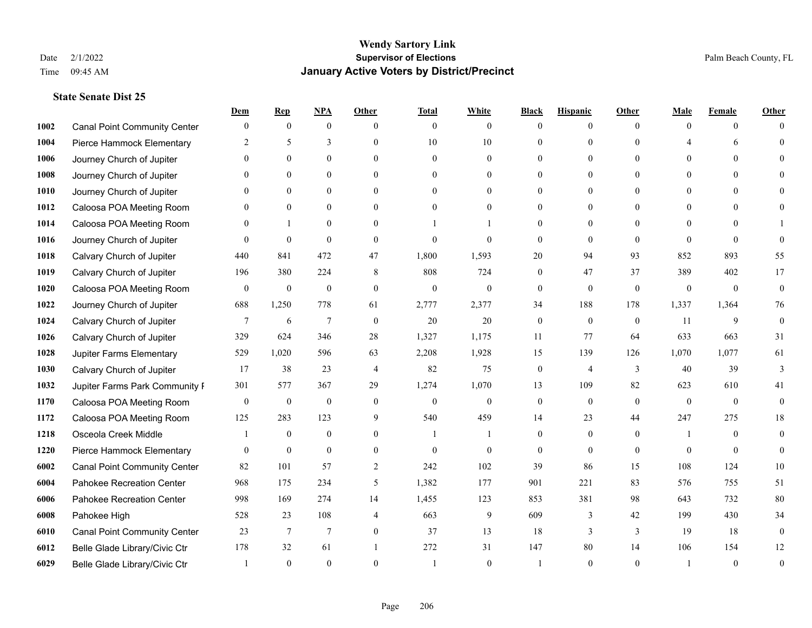|      |                                     | Dem              | <b>Rep</b>       | NPA              | <b>Other</b>   | <b>Total</b> | <b>White</b>     | <b>Black</b>   | <b>Hispanic</b> | <b>Other</b> | <b>Male</b>  | <b>Female</b>  | <b>Other</b>     |
|------|-------------------------------------|------------------|------------------|------------------|----------------|--------------|------------------|----------------|-----------------|--------------|--------------|----------------|------------------|
| 1002 | <b>Canal Point Community Center</b> | $\mathbf{0}$     | $\mathbf{0}$     | $\mathbf{0}$     | $\Omega$       | $\theta$     | $\overline{0}$   | $\theta$       | $\mathbf{0}$    | $\Omega$     | $\theta$     | $\theta$       | $\Omega$         |
| 1004 | Pierce Hammock Elementary           | 2                | 5                | 3                | $\Omega$       | 10           | 10               | $\theta$       | $\mathbf{0}$    | $\Omega$     |              | 6              | $\Omega$         |
| 1006 | Journey Church of Jupiter           | $\Omega$         | $\theta$         | $\theta$         | $\Omega$       | $\Omega$     | $\Omega$         | $\Omega$       | $\theta$        | $\Omega$     | $\Omega$     | $\Omega$       |                  |
| 1008 | Journey Church of Jupiter           |                  | $\mathbf{0}$     | $\mathbf{0}$     | $\mathbf{0}$   | $\theta$     | $\overline{0}$   | $\overline{0}$ | $\mathbf{0}$    | $\Omega$     | $\theta$     | $\theta$       |                  |
| 1010 | Journey Church of Jupiter           | 0                | $\theta$         | $\mathbf{0}$     | $\Omega$       | $\Omega$     | $\overline{0}$   | $\Omega$       | $\theta$        | $\Omega$     | $\theta$     | $\Omega$       | $\Omega$         |
| 1012 | Caloosa POA Meeting Room            |                  | $\mathbf{0}$     | $\mathbf{0}$     | $\Omega$       | $\theta$     | $\mathbf{0}$     | $\Omega$       | $\mathbf{0}$    | $\Omega$     | $\theta$     | $\Omega$       |                  |
| 1014 | Caloosa POA Meeting Room            | $\Omega$         | $\mathbf{1}$     | $\mathbf{0}$     | $\theta$       |              |                  | $\overline{0}$ | $\mathbf{0}$    | $\theta$     | $\theta$     | $\theta$       |                  |
| 1016 | Journey Church of Jupiter           | $\Omega$         | $\mathbf{0}$     | $\theta$         | $\Omega$       | $\theta$     | $\theta$         | $\theta$       | $\theta$        | $\Omega$     | $\Omega$     | $\Omega$       | $\Omega$         |
| 1018 | Calvary Church of Jupiter           | 440              | 841              | 472              | 47             | 1,800        | 1,593            | 20             | 94              | 93           | 852          | 893            | 55               |
| 1019 | Calvary Church of Jupiter           | 196              | 380              | 224              | 8              | 808          | 724              | $\mathbf{0}$   | 47              | 37           | 389          | 402            | 17               |
| 1020 | Caloosa POA Meeting Room            | $\mathbf{0}$     | $\boldsymbol{0}$ | $\boldsymbol{0}$ | $\theta$       | $\mathbf{0}$ | $\mathbf{0}$     | $\mathbf{0}$   | $\mathbf{0}$    | $\theta$     | $\mathbf{0}$ | $\overline{0}$ | $\mathbf{0}$     |
| 1022 | Journey Church of Jupiter           | 688              | 1,250            | 778              | 61             | 2,777        | 2,377            | 34             | 188             | 178          | 1,337        | 1,364          | 76               |
| 1024 | Calvary Church of Jupiter           | 7                | 6                | $\overline{7}$   | $\theta$       | 20           | 20               | $\mathbf{0}$   | $\mathbf{0}$    | $\theta$     | 11           | 9              | $\mathbf{0}$     |
| 1026 | Calvary Church of Jupiter           | 329              | 624              | 346              | 28             | 1,327        | 1,175            | 11             | 77              | 64           | 633          | 663            | 31               |
| 1028 | Jupiter Farms Elementary            | 529              | 1,020            | 596              | 63             | 2,208        | 1,928            | 15             | 139             | 126          | 1,070        | 1,077          | 61               |
| 1030 | Calvary Church of Jupiter           | 17               | 38               | 23               | $\overline{4}$ | 82           | 75               | $\mathbf{0}$   | $\overline{4}$  | 3            | 40           | 39             | 3                |
| 1032 | Jupiter Farms Park Community I      | 301              | 577              | 367              | 29             | 1,274        | 1,070            | 13             | 109             | 82           | 623          | 610            | 41               |
| 1170 | Caloosa POA Meeting Room            | $\boldsymbol{0}$ | $\boldsymbol{0}$ | $\boldsymbol{0}$ | $\mathbf{0}$   | $\mathbf{0}$ | $\boldsymbol{0}$ | $\mathbf{0}$   | $\mathbf{0}$    | $\theta$     | $\theta$     | $\theta$       | $\mathbf{0}$     |
| 1172 | Caloosa POA Meeting Room            | 125              | 283              | 123              | 9              | 540          | 459              | 14             | 23              | 44           | 247          | 275            | 18               |
| 1218 | Osceola Creek Middle                |                  | $\theta$         | $\mathbf{0}$     | $\theta$       | $\mathbf{1}$ |                  | $\mathbf{0}$   | $\mathbf{0}$    | $\theta$     | -1           | $\theta$       | $\theta$         |
| 1220 | Pierce Hammock Elementary           | $\theta$         | $\theta$         | $\theta$         | $\Omega$       | $\theta$     | $\theta$         | $\theta$       | $\theta$        | $\Omega$     | $\Omega$     | $\Omega$       | $\theta$         |
| 6002 | <b>Canal Point Community Center</b> | 82               | 101              | 57               | $\overline{2}$ | 242          | 102              | 39             | 86              | 15           | 108          | 124            | $10\,$           |
| 6004 | Pahokee Recreation Center           | 968              | 175              | 234              | 5              | 1,382        | 177              | 901            | 221             | 83           | 576          | 755            | 51               |
| 6006 | Pahokee Recreation Center           | 998              | 169              | 274              | 14             | 1,455        | 123              | 853            | 381             | 98           | 643          | 732            | 80               |
| 6008 | Pahokee High                        | 528              | 23               | 108              | $\overline{4}$ | 663          | 9                | 609            | 3               | 42           | 199          | 430            | 34               |
| 6010 | <b>Canal Point Community Center</b> | 23               | 7                | $7\phantom{.0}$  | $\mathbf{0}$   | 37           | 13               | 18             | 3               | 3            | 19           | 18             | $\boldsymbol{0}$ |
| 6012 | Belle Glade Library/Civic Ctr       | 178              | 32               | 61               |                | 272          | 31               | 147            | 80              | 14           | 106          | 154            | 12               |
| 6029 | Belle Glade Library/Civic Ctr       |                  | $\Omega$         | $\Omega$         | $\Omega$       |              | $\theta$         |                | $\Omega$        | $\Omega$     |              | $\Omega$       | $\theta$         |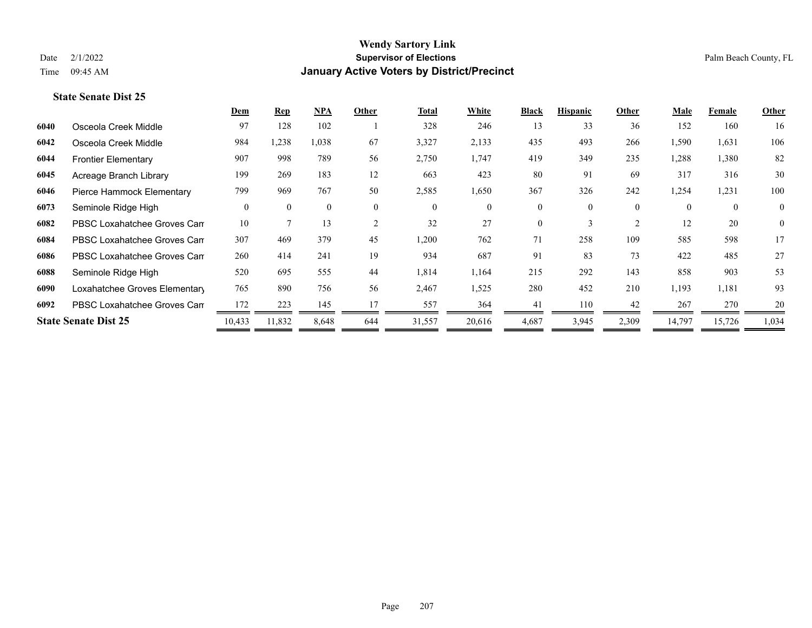|      |                               | Dem      | Rep      | NPA          | Other          | <b>Total</b> | White    | <b>Black</b> | <b>Hispanic</b> | Other          | Male     | Female         | Other          |
|------|-------------------------------|----------|----------|--------------|----------------|--------------|----------|--------------|-----------------|----------------|----------|----------------|----------------|
| 6040 | Osceola Creek Middle          | 97       | 128      | 102          |                | 328          | 246      | 13           | 33              | 36             | 152      | 160            | 16             |
| 6042 | Osceola Creek Middle          | 984      | 1,238    | 1,038        | 67             | 3,327        | 2,133    | 435          | 493             | 266            | 1,590    | 1,631          | 106            |
| 6044 | <b>Frontier Elementary</b>    | 907      | 998      | 789          | 56             | 2,750        | 1,747    | 419          | 349             | 235            | 1,288    | 1,380          | 82             |
| 6045 | Acreage Branch Library        | 199      | 269      | 183          | 12             | 663          | 423      | 80           | 91              | 69             | 317      | 316            | 30             |
| 6046 | Pierce Hammock Elementary     | 799      | 969      | 767          | 50             | 2,585        | 1,650    | 367          | 326             | 242            | 1,254    | 1,231          | 100            |
| 6073 | Seminole Ridge High           | $\theta$ | $\Omega$ | $\mathbf{0}$ | $\overline{0}$ | $\mathbf{0}$ | $\theta$ | 0            | 0               | $\theta$       | $\theta$ | $\overline{0}$ | $\overline{0}$ |
| 6082 | PBSC Loxahatchee Groves Can   | 10       |          | 13           | 2              | 32           | 27       | $\Omega$     | 3               | $\overline{2}$ | 12       | 20             | $\overline{0}$ |
| 6084 | PBSC Loxahatchee Groves Can   | 307      | 469      | 379          | 45             | 1,200        | 762      | 71           | 258             | 109            | 585      | 598            | 17             |
| 6086 | PBSC Loxahatchee Groves Can   | 260      | 414      | 241          | 19             | 934          | 687      | 91           | 83              | 73             | 422      | 485            | 27             |
| 6088 | Seminole Ridge High           | 520      | 695      | 555          | 44             | 1,814        | 1,164    | 215          | 292             | 143            | 858      | 903            | 53             |
| 6090 | Loxahatchee Groves Elementary | 765      | 890      | 756          | 56             | 2,467        | 1,525    | 280          | 452             | 210            | 1,193    | 1,181          | 93             |
| 6092 | PBSC Loxahatchee Groves Can   | 172      | 223      | 145          | 17             | 557          | 364      | 41           | 110             | 42             | 267      | 270            | 20             |
|      | <b>State Senate Dist 25</b>   | 10,433   | 11,832   | 8,648        | 644            | 31,557       | 20,616   | 4,687        | 3,945           | 2,309          | 14,797   | 15,726         | 1,034          |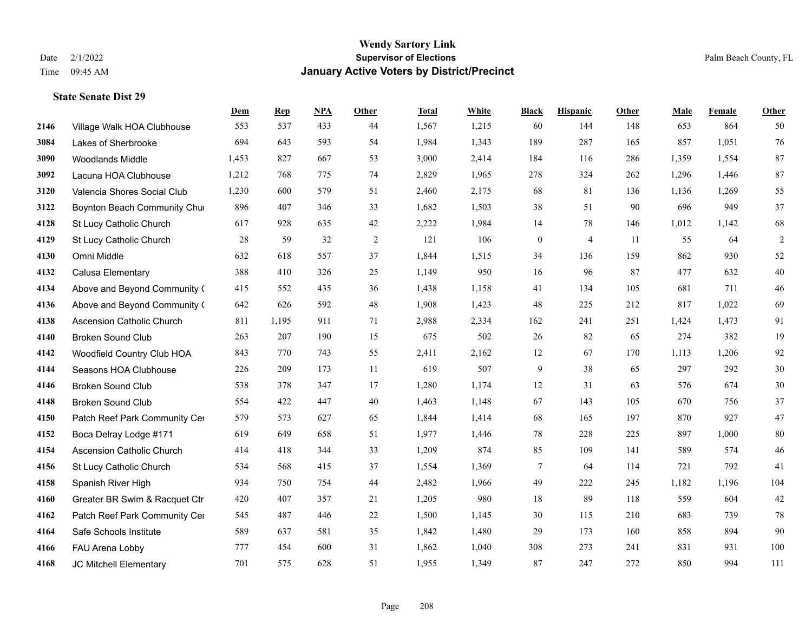|      |                                  | Dem   | <b>Rep</b> | NPA | <b>Other</b> | <b>Total</b> | <b>White</b> | <b>Black</b>   | <b>Hispanic</b> | Other | <b>Male</b> | <b>Female</b> | Other          |
|------|----------------------------------|-------|------------|-----|--------------|--------------|--------------|----------------|-----------------|-------|-------------|---------------|----------------|
| 2146 | Village Walk HOA Clubhouse       | 553   | 537        | 433 | 44           | 1,567        | 1,215        | 60             | 144             | 148   | 653         | 864           | 50             |
| 3084 | Lakes of Sherbrooke              | 694   | 643        | 593 | 54           | 1,984        | 1,343        | 189            | 287             | 165   | 857         | 1,051         | $76\,$         |
| 3090 | <b>Woodlands Middle</b>          | 1,453 | 827        | 667 | 53           | 3,000        | 2,414        | 184            | 116             | 286   | 1,359       | 1,554         | 87             |
| 3092 | Lacuna HOA Clubhouse             | 1,212 | 768        | 775 | 74           | 2,829        | 1,965        | 278            | 324             | 262   | 1,296       | 1,446         | 87             |
| 3120 | Valencia Shores Social Club      | 1,230 | 600        | 579 | 51           | 2,460        | 2,175        | 68             | 81              | 136   | 1,136       | 1,269         | 55             |
| 3122 | Boynton Beach Community Chur     | 896   | 407        | 346 | 33           | 1,682        | 1,503        | 38             | 51              | 90    | 696         | 949           | 37             |
| 4128 | St Lucy Catholic Church          | 617   | 928        | 635 | $42\,$       | 2,222        | 1,984        | 14             | 78              | 146   | 1,012       | 1,142         | 68             |
| 4129 | St Lucy Catholic Church          | 28    | 59         | 32  | 2            | 121          | 106          | $\overline{0}$ | 4               | -11   | 55          | 64            | $\overline{2}$ |
| 4130 | Omni Middle                      | 632   | 618        | 557 | 37           | 1,844        | 1,515        | 34             | 136             | 159   | 862         | 930           | 52             |
| 4132 | Calusa Elementary                | 388   | 410        | 326 | 25           | 1,149        | 950          | 16             | 96              | 87    | 477         | 632           | $40\,$         |
| 4134 | Above and Beyond Community (     | 415   | 552        | 435 | 36           | 1,438        | 1,158        | 41             | 134             | 105   | 681         | 711           | $46\,$         |
| 4136 | Above and Beyond Community (     | 642   | 626        | 592 | 48           | 1,908        | 1,423        | 48             | 225             | 212   | 817         | 1,022         | 69             |
| 4138 | <b>Ascension Catholic Church</b> | 811   | 1,195      | 911 | 71           | 2,988        | 2,334        | 162            | 241             | 251   | 1,424       | 1,473         | 91             |
| 4140 | <b>Broken Sound Club</b>         | 263   | 207        | 190 | 15           | 675          | 502          | 26             | 82              | 65    | 274         | 382           | 19             |
| 4142 | Woodfield Country Club HOA       | 843   | 770        | 743 | 55           | 2,411        | 2,162        | 12             | 67              | 170   | 1,113       | 1,206         | 92             |
| 4144 | Seasons HOA Clubhouse            | 226   | 209        | 173 | 11           | 619          | 507          | 9              | 38              | 65    | 297         | 292           | 30             |
| 4146 | <b>Broken Sound Club</b>         | 538   | 378        | 347 | 17           | 1,280        | 1,174        | 12             | 31              | 63    | 576         | 674           | $30\,$         |
| 4148 | <b>Broken Sound Club</b>         | 554   | 422        | 447 | 40           | 1,463        | 1,148        | 67             | 143             | 105   | 670         | 756           | 37             |
| 4150 | Patch Reef Park Community Cer    | 579   | 573        | 627 | 65           | 1,844        | 1,414        | 68             | 165             | 197   | 870         | 927           | 47             |
| 4152 | Boca Delray Lodge #171           | 619   | 649        | 658 | 51           | 1,977        | 1,446        | 78             | 228             | 225   | 897         | 1,000         | 80             |
| 4154 | <b>Ascension Catholic Church</b> | 414   | 418        | 344 | 33           | 1,209        | 874          | 85             | 109             | 141   | 589         | 574           | 46             |
| 4156 | St Lucy Catholic Church          | 534   | 568        | 415 | 37           | 1,554        | 1,369        | 7              | 64              | 114   | 721         | 792           | 41             |
| 4158 | Spanish River High               | 934   | 750        | 754 | 44           | 2,482        | 1,966        | 49             | 222             | 245   | 1,182       | 1,196         | 104            |
| 4160 | Greater BR Swim & Racquet Ctr    | 420   | 407        | 357 | 21           | 1,205        | 980          | 18             | 89              | 118   | 559         | 604           | $42\,$         |
| 4162 | Patch Reef Park Community Cer    | 545   | 487        | 446 | 22           | 1,500        | 1,145        | 30             | 115             | 210   | 683         | 739           | 78             |
| 4164 | Safe Schools Institute           | 589   | 637        | 581 | 35           | 1,842        | 1,480        | 29             | 173             | 160   | 858         | 894           | 90             |
| 4166 | FAU Arena Lobby                  | 777   | 454        | 600 | 31           | 1,862        | 1,040        | 308            | 273             | 241   | 831         | 931           | 100            |
| 4168 | JC Mitchell Elementary           | 701   | 575        | 628 | 51           | 1,955        | 1,349        | 87             | 247             | 272   | 850         | 994           | 111            |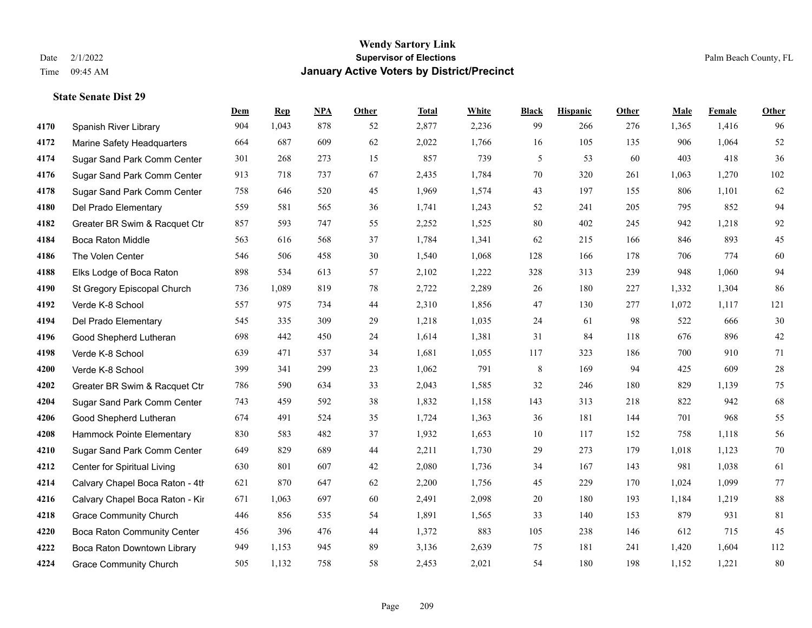|      |                                    | Dem | <b>Rep</b> | NPA | <b>Other</b> | <b>Total</b> | <b>White</b> | <b>Black</b> | <b>Hispanic</b> | <b>Other</b> | <b>Male</b> | <b>Female</b> | <b>Other</b> |
|------|------------------------------------|-----|------------|-----|--------------|--------------|--------------|--------------|-----------------|--------------|-------------|---------------|--------------|
| 4170 | Spanish River Library              | 904 | 1,043      | 878 | 52           | 2,877        | 2,236        | 99           | 266             | 276          | 1,365       | 1,416         | 96           |
| 4172 | Marine Safety Headquarters         | 664 | 687        | 609 | 62           | 2,022        | 1,766        | 16           | 105             | 135          | 906         | 1,064         | 52           |
| 4174 | Sugar Sand Park Comm Center        | 301 | 268        | 273 | 15           | 857          | 739          | 5            | 53              | 60           | 403         | 418           | 36           |
| 4176 | Sugar Sand Park Comm Center        | 913 | 718        | 737 | 67           | 2,435        | 1,784        | 70           | 320             | 261          | 1,063       | 1,270         | 102          |
| 4178 | Sugar Sand Park Comm Center        | 758 | 646        | 520 | 45           | 1,969        | 1,574        | 43           | 197             | 155          | 806         | 1,101         | 62           |
| 4180 | Del Prado Elementary               | 559 | 581        | 565 | 36           | 1,741        | 1,243        | 52           | 241             | 205          | 795         | 852           | 94           |
| 4182 | Greater BR Swim & Racquet Ctr      | 857 | 593        | 747 | 55           | 2,252        | 1,525        | 80           | 402             | 245          | 942         | 1,218         | 92           |
| 4184 | Boca Raton Middle                  | 563 | 616        | 568 | 37           | 1,784        | 1,341        | 62           | 215             | 166          | 846         | 893           | 45           |
| 4186 | The Volen Center                   | 546 | 506        | 458 | 30           | 1,540        | 1,068        | 128          | 166             | 178          | 706         | 774           | 60           |
| 4188 | Elks Lodge of Boca Raton           | 898 | 534        | 613 | 57           | 2,102        | 1,222        | 328          | 313             | 239          | 948         | 1,060         | 94           |
| 4190 | St Gregory Episcopal Church        | 736 | 1,089      | 819 | 78           | 2,722        | 2,289        | 26           | 180             | 227          | 1,332       | 1,304         | 86           |
| 4192 | Verde K-8 School                   | 557 | 975        | 734 | 44           | 2,310        | 1,856        | 47           | 130             | 277          | 1,072       | 1,117         | 121          |
| 4194 | Del Prado Elementary               | 545 | 335        | 309 | 29           | 1,218        | 1,035        | 24           | 61              | 98           | 522         | 666           | $30\,$       |
| 4196 | Good Shepherd Lutheran             | 698 | 442        | 450 | 24           | 1,614        | 1,381        | 31           | 84              | 118          | 676         | 896           | $42\,$       |
| 4198 | Verde K-8 School                   | 639 | 471        | 537 | 34           | 1,681        | 1,055        | 117          | 323             | 186          | 700         | 910           | 71           |
| 4200 | Verde K-8 School                   | 399 | 341        | 299 | 23           | 1,062        | 791          | 8            | 169             | 94           | 425         | 609           | $28\,$       |
| 4202 | Greater BR Swim & Racquet Ctr      | 786 | 590        | 634 | 33           | 2,043        | 1,585        | 32           | 246             | 180          | 829         | 1,139         | 75           |
| 4204 | Sugar Sand Park Comm Center        | 743 | 459        | 592 | 38           | 1,832        | 1,158        | 143          | 313             | 218          | 822         | 942           | 68           |
| 4206 | Good Shepherd Lutheran             | 674 | 491        | 524 | 35           | 1,724        | 1,363        | 36           | 181             | 144          | 701         | 968           | 55           |
| 4208 | Hammock Pointe Elementary          | 830 | 583        | 482 | 37           | 1,932        | 1,653        | 10           | 117             | 152          | 758         | 1,118         | 56           |
| 4210 | Sugar Sand Park Comm Center        | 649 | 829        | 689 | 44           | 2,211        | 1,730        | 29           | 273             | 179          | 1,018       | 1,123         | $70\,$       |
| 4212 | Center for Spiritual Living        | 630 | 801        | 607 | 42           | 2,080        | 1,736        | 34           | 167             | 143          | 981         | 1,038         | 61           |
| 4214 | Calvary Chapel Boca Raton - 4th    | 621 | 870        | 647 | 62           | 2,200        | 1,756        | 45           | 229             | 170          | 1,024       | 1,099         | 77           |
| 4216 | Calvary Chapel Boca Raton - Kir    | 671 | 1,063      | 697 | 60           | 2,491        | 2,098        | $20\,$       | 180             | 193          | 1,184       | 1,219         | $88\,$       |
| 4218 | <b>Grace Community Church</b>      | 446 | 856        | 535 | 54           | 1,891        | 1,565        | 33           | 140             | 153          | 879         | 931           | 81           |
| 4220 | <b>Boca Raton Community Center</b> | 456 | 396        | 476 | 44           | 1,372        | 883          | 105          | 238             | 146          | 612         | 715           | 45           |
| 4222 | Boca Raton Downtown Library        | 949 | 1,153      | 945 | 89           | 3,136        | 2,639        | 75           | 181             | 241          | 1,420       | 1,604         | 112          |
| 4224 | <b>Grace Community Church</b>      | 505 | 1,132      | 758 | 58           | 2,453        | 2,021        | 54           | 180             | 198          | 1,152       | 1,221         | 80           |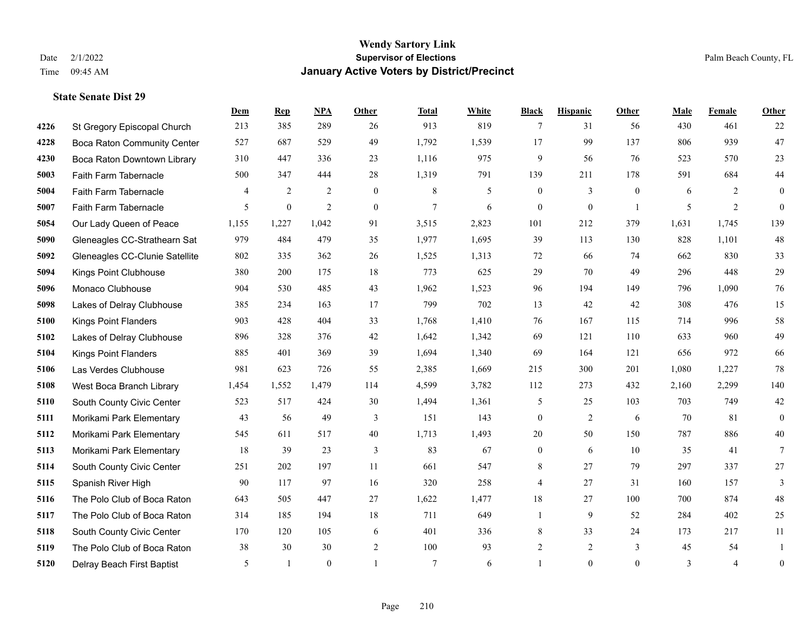|      |                                    | Dem            | <b>Rep</b>   | NPA            | <b>Other</b>   | <b>Total</b>    | <b>White</b> | <b>Black</b>     | <b>Hispanic</b>  | <b>Other</b>   | <b>Male</b> | Female         | <b>Other</b>     |
|------|------------------------------------|----------------|--------------|----------------|----------------|-----------------|--------------|------------------|------------------|----------------|-------------|----------------|------------------|
| 4226 | St Gregory Episcopal Church        | 213            | 385          | 289            | 26             | 913             | 819          | 7                | 31               | 56             | 430         | 461            | 22               |
| 4228 | <b>Boca Raton Community Center</b> | 527            | 687          | 529            | 49             | 1,792           | 1,539        | 17               | 99               | 137            | 806         | 939            | 47               |
| 4230 | Boca Raton Downtown Library        | 310            | 447          | 336            | 23             | 1,116           | 975          | 9                | 56               | 76             | 523         | 570            | 23               |
| 5003 | Faith Farm Tabernacle              | 500            | 347          | 444            | 28             | 1,319           | 791          | 139              | 211              | 178            | 591         | 684            | 44               |
| 5004 | Faith Farm Tabernacle              | $\overline{4}$ | 2            | $\overline{2}$ | $\theta$       | 8               | 5            | $\mathbf{0}$     | 3                | $\theta$       | 6           | 2              | $\overline{0}$   |
| 5007 | Faith Farm Tabernacle              | 5              | $\mathbf{0}$ | $\overline{2}$ | $\mathbf{0}$   | $7\phantom{.0}$ | 6            | $\boldsymbol{0}$ | $\boldsymbol{0}$ | $\overline{1}$ | 5           | 2              | $\overline{0}$   |
| 5054 | Our Lady Queen of Peace            | 1,155          | 1,227        | 1,042          | 91             | 3,515           | 2,823        | 101              | 212              | 379            | 1,631       | 1,745          | 139              |
| 5090 | Gleneagles CC-Strathearn Sat       | 979            | 484          | 479            | 35             | 1,977           | 1,695        | 39               | 113              | 130            | 828         | 1,101          | 48               |
| 5092 | Gleneagles CC-Clunie Satellite     | 802            | 335          | 362            | $26\,$         | 1,525           | 1,313        | $72\,$           | 66               | 74             | 662         | 830            | 33               |
| 5094 | <b>Kings Point Clubhouse</b>       | 380            | 200          | 175            | 18             | 773             | 625          | 29               | 70               | 49             | 296         | 448            | 29               |
| 5096 | Monaco Clubhouse                   | 904            | 530          | 485            | 43             | 1,962           | 1,523        | 96               | 194              | 149            | 796         | 1,090          | $76\,$           |
| 5098 | Lakes of Delray Clubhouse          | 385            | 234          | 163            | 17             | 799             | 702          | 13               | 42               | 42             | 308         | 476            | 15               |
| 5100 | <b>Kings Point Flanders</b>        | 903            | 428          | 404            | 33             | 1,768           | 1,410        | 76               | 167              | 115            | 714         | 996            | 58               |
| 5102 | Lakes of Delray Clubhouse          | 896            | 328          | 376            | $42\,$         | 1,642           | 1,342        | 69               | 121              | 110            | 633         | 960            | 49               |
| 5104 | <b>Kings Point Flanders</b>        | 885            | 401          | 369            | 39             | 1,694           | 1,340        | 69               | 164              | 121            | 656         | 972            | 66               |
| 5106 | Las Verdes Clubhouse               | 981            | 623          | 726            | 55             | 2,385           | 1,669        | 215              | 300              | 201            | 1,080       | 1,227          | 78               |
| 5108 | West Boca Branch Library           | 1,454          | 1,552        | 1,479          | 114            | 4,599           | 3,782        | 112              | 273              | 432            | 2,160       | 2,299          | 140              |
| 5110 | South County Civic Center          | 523            | 517          | 424            | 30             | 1,494           | 1,361        | 5                | 25               | 103            | 703         | 749            | $42\,$           |
| 5111 | Morikami Park Elementary           | 43             | 56           | 49             | 3              | 151             | 143          | $\boldsymbol{0}$ | $\overline{c}$   | 6              | 70          | 81             | $\overline{0}$   |
| 5112 | Morikami Park Elementary           | 545            | 611          | 517            | $40\,$         | 1,713           | 1,493        | 20               | 50               | 150            | 787         | 886            | $40\,$           |
| 5113 | Morikami Park Elementary           | 18             | 39           | 23             | 3              | 83              | 67           | $\boldsymbol{0}$ | 6                | 10             | 35          | 41             | $7\overline{ }$  |
| 5114 | South County Civic Center          | 251            | 202          | 197            | 11             | 661             | 547          | 8                | 27               | 79             | 297         | 337            | 27               |
| 5115 | Spanish River High                 | 90             | 117          | 97             | 16             | 320             | 258          | 4                | 27               | 31             | 160         | 157            | 3                |
| 5116 | The Polo Club of Boca Raton        | 643            | 505          | 447            | 27             | 1,622           | 1,477        | 18               | 27               | 100            | 700         | 874            | 48               |
| 5117 | The Polo Club of Boca Raton        | 314            | 185          | 194            | 18             | 711             | 649          | $\mathbf{1}$     | 9                | 52             | 284         | 402            | 25               |
| 5118 | South County Civic Center          | 170            | 120          | 105            | 6              | 401             | 336          | 8                | 33               | 24             | 173         | 217            | 11               |
| 5119 | The Polo Club of Boca Raton        | 38             | 30           | 30             | $\overline{2}$ | 100             | 93           | $\overline{c}$   | $\overline{c}$   | 3              | 45          | 54             | -1               |
| 5120 | Delray Beach First Baptist         | 5              | $\mathbf{1}$ | $\theta$       |                | $\overline{7}$  | 6            |                  | $\Omega$         | $\mathbf{0}$   | 3           | $\overline{4}$ | $\boldsymbol{0}$ |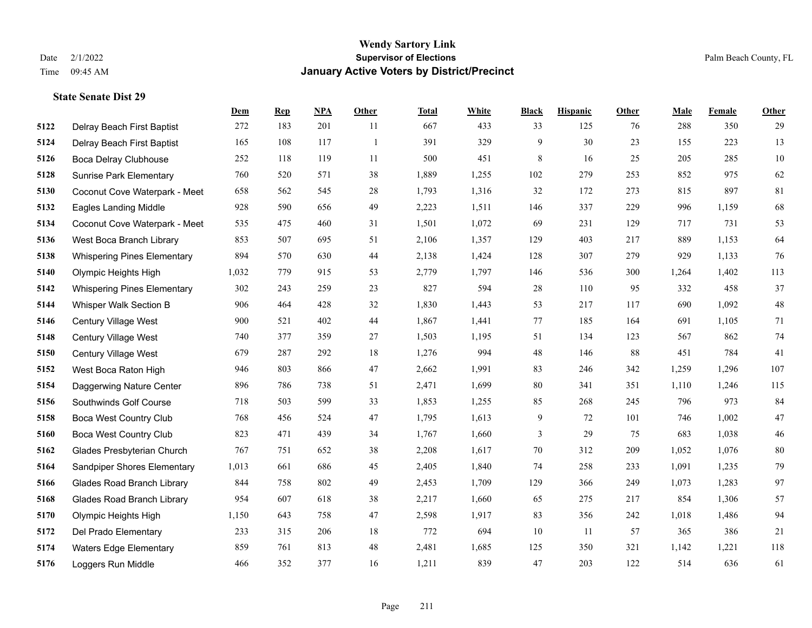**State Senate Dist 29**

## **Wendy Sartory Link** Date 2/1/2022 **Supervisor of Elections** Palm Beach County, FL Time 09:45 AM **January Active Voters by District/Precinct**

|      |                                    | Dem   | <b>Rep</b> | <b>NPA</b> | Other | <b>Total</b> | White | <b>Black</b> | <b>Hispanic</b> | Other | Male  | Female | Other  |
|------|------------------------------------|-------|------------|------------|-------|--------------|-------|--------------|-----------------|-------|-------|--------|--------|
| 5122 | Delray Beach First Baptist         | 272   | 183        | 201        | 11    | 667          | 433   | 33           | 125             | 76    | 288   | 350    | 29     |
| 5124 | Delray Beach First Baptist         | 165   | 108        | 117        | -1    | 391          | 329   | 9            | 30              | 23    | 155   | 223    | 13     |
| 5126 | Boca Delray Clubhouse              | 252   | 118        | 119        | -11   | 500          | 451   | 8            | 16              | 25    | 205   | 285    | $10\,$ |
| 5128 | <b>Sunrise Park Elementary</b>     | 760   | 520        | 571        | 38    | 1,889        | 1,255 | 102          | 279             | 253   | 852   | 975    | 62     |
| 5130 | Coconut Cove Waterpark - Meet      | 658   | 562        | 545        | 28    | 1,793        | 1,316 | 32           | 172             | 273   | 815   | 897    | 81     |
| 5132 | <b>Eagles Landing Middle</b>       | 928   | 590        | 656        | 49    | 2,223        | 1,511 | 146          | 337             | 229   | 996   | 1,159  | 68     |
| 5134 | Coconut Cove Waterpark - Meet      | 535   | 475        | 460        | 31    | 1,501        | 1,072 | 69           | 231             | 129   | 717   | 731    | 53     |
| 5136 | West Boca Branch Library           | 853   | 507        | 695        | 51    | 2,106        | 1,357 | 129          | 403             | 217   | 889   | 1,153  | 64     |
| 5138 | <b>Whispering Pines Elementary</b> | 894   | 570        | 630        | 44    | 2,138        | 1,424 | 128          | 307             | 279   | 929   | 1,133  | 76     |
| 5140 | Olympic Heights High               | 1,032 | 779        | 915        | 53    | 2,779        | 1,797 | 146          | 536             | 300   | 1,264 | 1,402  | 113    |
| 5142 | <b>Whispering Pines Elementary</b> | 302   | 243        | 259        | 23    | 827          | 594   | 28           | 110             | 95    | 332   | 458    | 37     |
| 5144 | Whisper Walk Section B             | 906   | 464        | 428        | 32    | 1,830        | 1,443 | 53           | 217             | 117   | 690   | 1,092  | $48\,$ |
| 5146 | Century Village West               | 900   | 521        | 402        | 44    | 1,867        | 1,441 | 77           | 185             | 164   | 691   | 1,105  | 71     |
| 5148 | Century Village West               | 740   | 377        | 359        | 27    | 1,503        | 1,195 | 51           | 134             | 123   | 567   | 862    | 74     |
| 5150 | <b>Century Village West</b>        | 679   | 287        | 292        | 18    | 1,276        | 994   | 48           | 146             | 88    | 451   | 784    | 41     |
| 5152 | West Boca Raton High               | 946   | 803        | 866        | 47    | 2,662        | 1,991 | 83           | 246             | 342   | 1,259 | 1,296  | 107    |
| 5154 | Daggerwing Nature Center           | 896   | 786        | 738        | 51    | 2,471        | 1,699 | 80           | 341             | 351   | 1,110 | 1,246  | 115    |
| 5156 | Southwinds Golf Course             | 718   | 503        | 599        | 33    | 1,853        | 1,255 | 85           | 268             | 245   | 796   | 973    | 84     |
| 5158 | <b>Boca West Country Club</b>      | 768   | 456        | 524        | 47    | 1,795        | 1,613 | 9            | 72              | 101   | 746   | 1,002  | 47     |
| 5160 | <b>Boca West Country Club</b>      | 823   | 471        | 439        | 34    | 1,767        | 1,660 | 3            | 29              | 75    | 683   | 1,038  | 46     |
| 5162 | Glades Presbyterian Church         | 767   | 751        | 652        | 38    | 2,208        | 1,617 | $70\,$       | 312             | 209   | 1,052 | 1,076  | $80\,$ |
| 5164 | Sandpiper Shores Elementary        | 1,013 | 661        | 686        | 45    | 2,405        | 1,840 | 74           | 258             | 233   | 1,091 | 1,235  | 79     |
| 5166 | <b>Glades Road Branch Library</b>  | 844   | 758        | 802        | 49    | 2,453        | 1,709 | 129          | 366             | 249   | 1,073 | 1,283  | 97     |
| 5168 | <b>Glades Road Branch Library</b>  | 954   | 607        | 618        | 38    | 2,217        | 1,660 | 65           | 275             | 217   | 854   | 1,306  | 57     |
| 5170 | Olympic Heights High               | 1,150 | 643        | 758        | 47    | 2,598        | 1,917 | 83           | 356             | 242   | 1,018 | 1,486  | 94     |
| 5172 | Del Prado Elementary               | 233   | 315        | 206        | 18    | 772          | 694   | 10           | 11              | 57    | 365   | 386    | 21     |
| 5174 | <b>Waters Edge Elementary</b>      | 859   | 761        | 813        | 48    | 2,481        | 1,685 | 125          | 350             | 321   | 1,142 | 1,221  | 118    |
| 5176 | Loggers Run Middle                 | 466   | 352        | 377        | 16    | 1,211        | 839   | 47           | 203             | 122   | 514   | 636    | 61     |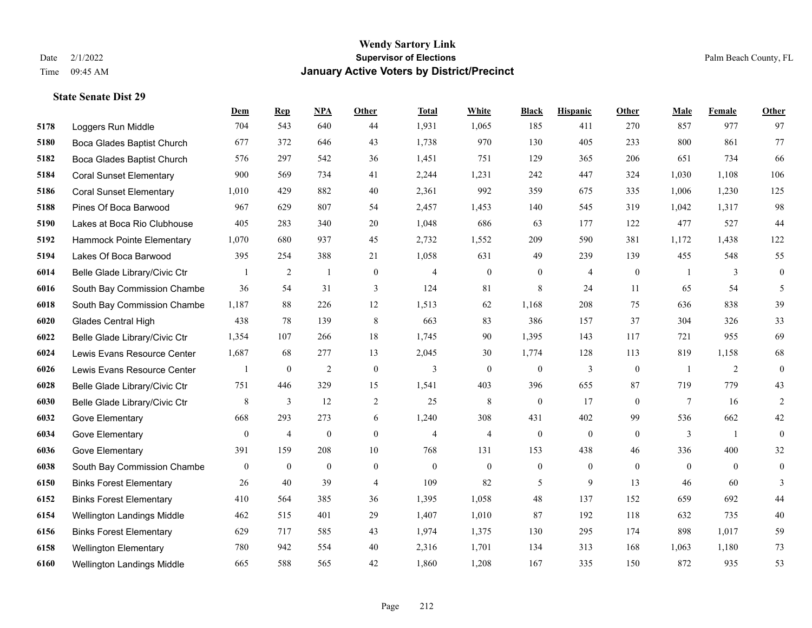**State Senate Dist 29**

## **Wendy Sartory Link** Date 2/1/2022 Palm Beach County, FL Time 09:45 AM **January Active Voters by District/Precinct**

|      |                                | Dem            | <b>Rep</b>       | <b>NPA</b>   | Other            | <b>Total</b>             | White          | <b>Black</b>     | <b>Hispanic</b> | <b>Other</b>   | <b>Male</b> | Female         | Other          |
|------|--------------------------------|----------------|------------------|--------------|------------------|--------------------------|----------------|------------------|-----------------|----------------|-------------|----------------|----------------|
| 5178 | Loggers Run Middle             | 704            | 543              | 640          | 44               | 1,931                    | 1,065          | 185              | 411             | 270            | 857         | 977            | 97             |
| 5180 | Boca Glades Baptist Church     | 677            | 372              | 646          | 43               | 1,738                    | 970            | 130              | 405             | 233            | 800         | 861            | 77             |
| 5182 | Boca Glades Baptist Church     | 576            | 297              | 542          | 36               | 1,451                    | 751            | 129              | 365             | 206            | 651         | 734            | 66             |
| 5184 | <b>Coral Sunset Elementary</b> | 900            | 569              | 734          | 41               | 2,244                    | 1,231          | 242              | 447             | 324            | 1,030       | 1,108          | 106            |
| 5186 | <b>Coral Sunset Elementary</b> | 1,010          | 429              | 882          | 40               | 2,361                    | 992            | 359              | 675             | 335            | 1,006       | 1,230          | 125            |
| 5188 | Pines Of Boca Barwood          | 967            | 629              | 807          | 54               | 2,457                    | 1,453          | 140              | 545             | 319            | 1,042       | 1,317          | 98             |
| 5190 | Lakes at Boca Rio Clubhouse    | 405            | 283              | 340          | 20               | 1,048                    | 686            | 63               | 177             | 122            | 477         | 527            | 44             |
| 5192 | Hammock Pointe Elementary      | 1,070          | 680              | 937          | 45               | 2,732                    | 1,552          | 209              | 590             | 381            | 1,172       | 1.438          | 122            |
| 5194 | Lakes Of Boca Barwood          | 395            | 254              | 388          | 21               | 1,058                    | 631            | 49               | 239             | 139            | 455         | 548            | 55             |
| 6014 | Belle Glade Library/Civic Ctr  | $\overline{1}$ | 2                | -1           | $\boldsymbol{0}$ | $\overline{\mathcal{L}}$ | $\mathbf{0}$   | $\boldsymbol{0}$ | $\overline{4}$  | $\mathbf{0}$   | -1          | 3              | $\mathbf{0}$   |
| 6016 | South Bay Commission Chambe    | 36             | 54               | 31           | 3                | 124                      | 81             | $\,8\,$          | 24              | 11             | 65          | 54             | 5              |
| 6018 | South Bay Commission Chambe    | 1,187          | 88               | 226          | 12               | 1,513                    | 62             | 1,168            | 208             | 75             | 636         | 838            | 39             |
| 6020 | Glades Central High            | 438            | 78               | 139          | 8                | 663                      | 83             | 386              | 157             | 37             | 304         | 326            | 33             |
| 6022 | Belle Glade Library/Civic Ctr  | 1,354          | 107              | 266          | 18               | 1,745                    | 90             | 1,395            | 143             | 117            | 721         | 955            | 69             |
| 6024 | Lewis Evans Resource Center    | 1,687          | 68               | 277          | 13               | 2,045                    | 30             | 1,774            | 128             | 113            | 819         | 1,158          | 68             |
| 6026 | Lewis Evans Resource Center    |                | $\boldsymbol{0}$ | 2            | $\mathbf{0}$     | 3                        | $\overline{0}$ | $\mathbf{0}$     | 3               | $\overline{0}$ |             | $\overline{2}$ | $\mathbf{0}$   |
| 6028 | Belle Glade Library/Civic Ctr  | 751            | 446              | 329          | 15               | 1,541                    | 403            | 396              | 655             | 87             | 719         | 779            | 43             |
| 6030 | Belle Glade Library/Civic Ctr  | 8              | 3                | 12           | $\overline{2}$   | 25                       | 8              | $\boldsymbol{0}$ | 17              | $\mathbf{0}$   | 7           | 16             | $\mathfrak{2}$ |
| 6032 | Gove Elementary                | 668            | 293              | 273          | 6                | 1,240                    | 308            | 431              | 402             | 99             | 536         | 662            | 42             |
| 6034 | Gove Elementary                | $\overline{0}$ | 4                | $\mathbf{0}$ | $\mathbf{0}$     | 4                        | $\overline{4}$ | $\boldsymbol{0}$ | $\mathbf{0}$    | $\overline{0}$ | 3           | $\overline{1}$ | $\mathbf{0}$   |
| 6036 | Gove Elementary                | 391            | 159              | 208          | 10               | 768                      | 131            | 153              | 438             | 46             | 336         | 400            | $32\,$         |
| 6038 | South Bay Commission Chambe    | $\overline{0}$ | $\mathbf{0}$     | $\mathbf{0}$ | $\theta$         | $\mathbf{0}$             | $\mathbf{0}$   | $\overline{0}$   | $\mathbf{0}$    | $\theta$       | $\theta$    | $\theta$       | $\overline{0}$ |
| 6150 | <b>Binks Forest Elementary</b> | 26             | 40               | 39           | $\overline{4}$   | 109                      | 82             | 5                | 9               | 13             | 46          | 60             | 3              |
| 6152 | <b>Binks Forest Elementary</b> | 410            | 564              | 385          | 36               | 1,395                    | 1,058          | 48               | 137             | 152            | 659         | 692            | 44             |
| 6154 | Wellington Landings Middle     | 462            | 515              | 401          | 29               | 1,407                    | 1,010          | 87               | 192             | 118            | 632         | 735            | 40             |
| 6156 | <b>Binks Forest Elementary</b> | 629            | 717              | 585          | 43               | 1,974                    | 1,375          | 130              | 295             | 174            | 898         | 1,017          | 59             |
| 6158 | <b>Wellington Elementary</b>   | 780            | 942              | 554          | 40               | 2,316                    | 1,701          | 134              | 313             | 168            | 1,063       | 1,180          | 73             |
| 6160 | Wellington Landings Middle     | 665            | 588              | 565          | 42               | 1,860                    | 1,208          | 167              | 335             | 150            | 872         | 935            | 53             |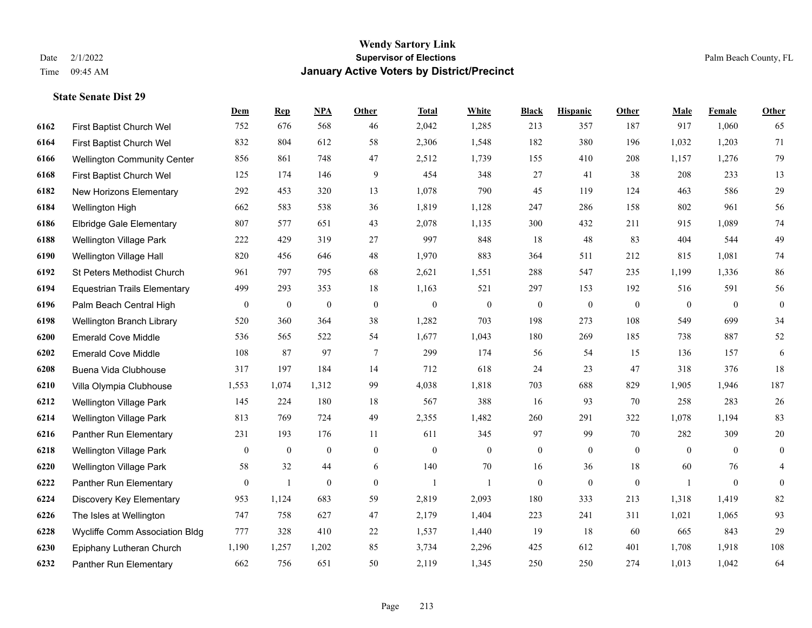|      |                                     | Dem              | <b>Rep</b>       | NPA              | <b>Other</b>   | <b>Total</b> | <b>White</b>   | <b>Black</b>     | <b>Hispanic</b> | <b>Other</b> | <b>Male</b>    | <b>Female</b>  | <b>Other</b>     |
|------|-------------------------------------|------------------|------------------|------------------|----------------|--------------|----------------|------------------|-----------------|--------------|----------------|----------------|------------------|
| 6162 | First Baptist Church Wel            | 752              | 676              | 568              | 46             | 2,042        | 1,285          | 213              | 357             | 187          | 917            | 1,060          | 65               |
| 6164 | First Baptist Church Wel            | 832              | 804              | 612              | 58             | 2,306        | 1,548          | 182              | 380             | 196          | 1,032          | 1,203          | 71               |
| 6166 | <b>Wellington Community Center</b>  | 856              | 861              | 748              | 47             | 2,512        | 1,739          | 155              | 410             | 208          | 1,157          | 1,276          | 79               |
| 6168 | First Baptist Church Wel            | 125              | 174              | 146              | 9              | 454          | 348            | 27               | 41              | 38           | 208            | 233            | 13               |
| 6182 | New Horizons Elementary             | 292              | 453              | 320              | 13             | 1,078        | 790            | 45               | 119             | 124          | 463            | 586            | $29\,$           |
| 6184 | Wellington High                     | 662              | 583              | 538              | 36             | 1,819        | 1,128          | 247              | 286             | 158          | 802            | 961            | 56               |
| 6186 | <b>Elbridge Gale Elementary</b>     | 807              | 577              | 651              | 43             | 2,078        | 1,135          | 300              | 432             | 211          | 915            | 1,089          | 74               |
| 6188 | <b>Wellington Village Park</b>      | 222              | 429              | 319              | 27             | 997          | 848            | 18               | 48              | 83           | 404            | 544            | 49               |
| 6190 | Wellington Village Hall             | 820              | 456              | 646              | 48             | 1,970        | 883            | 364              | 511             | 212          | 815            | 1,081          | 74               |
| 6192 | St Peters Methodist Church          | 961              | 797              | 795              | 68             | 2,621        | 1,551          | 288              | 547             | 235          | 1,199          | 1,336          | 86               |
| 6194 | <b>Equestrian Trails Elementary</b> | 499              | 293              | 353              | 18             | 1,163        | 521            | 297              | 153             | 192          | 516            | 591            | 56               |
| 6196 | Palm Beach Central High             | $\boldsymbol{0}$ | $\boldsymbol{0}$ | $\mathbf{0}$     | $\mathbf{0}$   | $\mathbf{0}$ | $\mathbf{0}$   | $\overline{0}$   | $\mathbf{0}$    | $\mathbf{0}$ | $\overline{0}$ | $\theta$       | $\boldsymbol{0}$ |
| 6198 | Wellington Branch Library           | 520              | 360              | 364              | 38             | 1,282        | 703            | 198              | 273             | 108          | 549            | 699            | 34               |
| 6200 | <b>Emerald Cove Middle</b>          | 536              | 565              | 522              | 54             | 1,677        | 1,043          | 180              | 269             | 185          | 738            | 887            | 52               |
| 6202 | <b>Emerald Cove Middle</b>          | 108              | 87               | 97               | $\tau$         | 299          | 174            | 56               | 54              | 15           | 136            | 157            | 6                |
| 6208 | Buena Vida Clubhouse                | 317              | 197              | 184              | 14             | 712          | 618            | 24               | 23              | 47           | 318            | 376            | $18\,$           |
| 6210 | Villa Olympia Clubhouse             | 1,553            | 1,074            | 1,312            | 99             | 4,038        | 1,818          | 703              | 688             | 829          | 1,905          | 1,946          | 187              |
| 6212 | <b>Wellington Village Park</b>      | 145              | 224              | 180              | 18             | 567          | 388            | 16               | 93              | 70           | 258            | 283            | 26               |
| 6214 | Wellington Village Park             | 813              | 769              | 724              | 49             | 2,355        | 1,482          | 260              | 291             | 322          | 1,078          | 1,194          | 83               |
| 6216 | Panther Run Elementary              | 231              | 193              | 176              | 11             | 611          | 345            | 97               | 99              | 70           | 282            | 309            | 20               |
| 6218 | <b>Wellington Village Park</b>      | $\mathbf{0}$     | $\mathbf{0}$     | $\mathbf{0}$     | $\overline{0}$ | $\mathbf{0}$ | $\overline{0}$ | $\overline{0}$   | $\overline{0}$  | $\theta$     | $\theta$       | $\theta$       | $\boldsymbol{0}$ |
| 6220 | Wellington Village Park             | 58               | 32               | 44               | 6              | 140          | $70\,$         | 16               | 36              | $18\,$       | 60             | 76             | 4                |
| 6222 | Panther Run Elementary              | $\overline{0}$   | 1                | $\boldsymbol{0}$ | $\overline{0}$ | 1            | 1              | $\boldsymbol{0}$ | $\overline{0}$  | $\mathbf{0}$ | $\mathbf{1}$   | $\overline{0}$ | $\overline{0}$   |
| 6224 | Discovery Key Elementary            | 953              | 1,124            | 683              | 59             | 2,819        | 2,093          | 180              | 333             | 213          | 1,318          | 1,419          | $82\,$           |
| 6226 | The Isles at Wellington             | 747              | 758              | 627              | 47             | 2,179        | 1,404          | 223              | 241             | 311          | 1,021          | 1,065          | 93               |
| 6228 | Wycliffe Comm Association Bldg      | 777              | 328              | 410              | 22             | 1,537        | 1,440          | 19               | 18              | 60           | 665            | 843            | 29               |
| 6230 | Epiphany Lutheran Church            | 1,190            | 1,257            | 1,202            | 85             | 3,734        | 2,296          | 425              | 612             | 401          | 1,708          | 1,918          | 108              |
| 6232 | Panther Run Elementary              | 662              | 756              | 651              | 50             | 2,119        | 1,345          | 250              | 250             | 274          | 1,013          | 1,042          | 64               |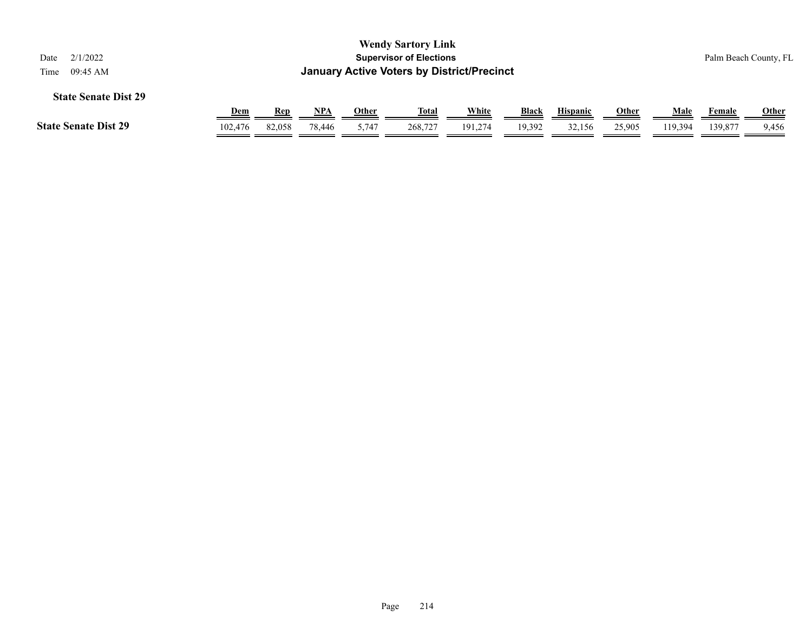| 2/1/2022<br>Date                    | <b>Wendy Sartory Link</b><br><b>Supervisor of Elections</b><br>Palm Beach County, FL<br><b>January Active Voters by District/Precinct</b><br>09:45 AM |            |        |              |              |         |              |                 |              |         |               |              |  |  |
|-------------------------------------|-------------------------------------------------------------------------------------------------------------------------------------------------------|------------|--------|--------------|--------------|---------|--------------|-----------------|--------------|---------|---------------|--------------|--|--|
| Time<br><b>State Senate Dist 29</b> |                                                                                                                                                       |            |        |              |              |         |              |                 |              |         |               |              |  |  |
|                                     | <u>Dem</u>                                                                                                                                            | <u>Rep</u> | NPA    | <b>Other</b> | <u>Total</u> | White   | <b>Black</b> | <b>Hispanic</b> | <u>Other</u> | Male    | <u>Female</u> | <b>Other</b> |  |  |
| <b>State Senate Dist 29</b>         | 102,476                                                                                                                                               | 82,058     | 78,446 | 5,747        | 268,727      | 191.274 | 19,392       | 32,156          | 25,905       | 119.394 | 139,877       | 9,456        |  |  |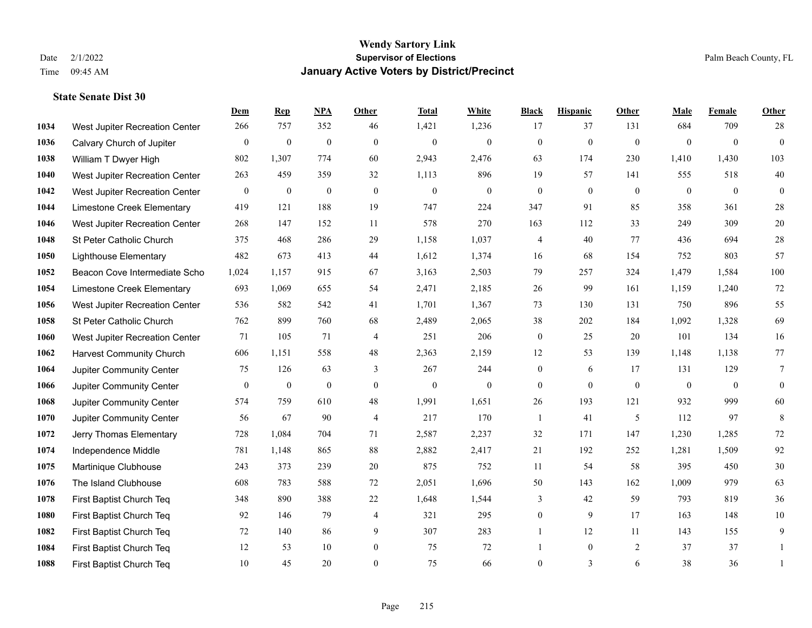|      |                                 | Dem          | <b>Rep</b>       | NPA              | <b>Other</b>     | <b>Total</b>     | <b>White</b>     | <b>Black</b>     | <b>Hispanic</b> | Other          | <b>Male</b>    | Female         | <b>Other</b>     |
|------|---------------------------------|--------------|------------------|------------------|------------------|------------------|------------------|------------------|-----------------|----------------|----------------|----------------|------------------|
| 1034 | West Jupiter Recreation Center  | 266          | 757              | 352              | 46               | 1,421            | 1,236            | 17               | 37              | 131            | 684            | 709            | 28               |
| 1036 | Calvary Church of Jupiter       | $\mathbf{0}$ | $\mathbf{0}$     | $\mathbf{0}$     | $\mathbf{0}$     | $\mathbf{0}$     | $\overline{0}$   | $\mathbf{0}$     | $\mathbf{0}$    | $\mathbf{0}$   | $\mathbf{0}$   | $\overline{0}$ | $\overline{0}$   |
| 1038 | William T Dwyer High            | 802          | 1,307            | 774              | 60               | 2,943            | 2,476            | 63               | 174             | 230            | 1,410          | 1,430          | 103              |
| 1040 | West Jupiter Recreation Center  | 263          | 459              | 359              | 32               | 1,113            | 896              | 19               | 57              | 141            | 555            | 518            | $40\,$           |
| 1042 | West Jupiter Recreation Center  | $\mathbf{0}$ | $\mathbf{0}$     | $\mathbf{0}$     | $\theta$         | $\mathbf{0}$     | $\overline{0}$   | $\overline{0}$   | $\theta$        | $\Omega$       | $\theta$       | $\theta$       | $\overline{0}$   |
| 1044 | Limestone Creek Elementary      | 419          | 121              | 188              | 19               | 747              | 224              | 347              | 91              | 85             | 358            | 361            | $28\,$           |
| 1046 | West Jupiter Recreation Center  | 268          | 147              | 152              | 11               | 578              | 270              | 163              | 112             | 33             | 249            | 309            | $20\,$           |
| 1048 | St Peter Catholic Church        | 375          | 468              | 286              | 29               | 1,158            | 1,037            | 4                | 40              | 77             | 436            | 694            | $28\,$           |
| 1050 | <b>Lighthouse Elementary</b>    | 482          | 673              | 413              | $44\,$           | 1,612            | 1,374            | 16               | 68              | 154            | 752            | 803            | 57               |
| 1052 | Beacon Cove Intermediate Scho   | 1,024        | 1,157            | 915              | 67               | 3,163            | 2,503            | 79               | 257             | 324            | 1,479          | 1,584          | 100              |
| 1054 | Limestone Creek Elementary      | 693          | 1,069            | 655              | 54               | 2,471            | 2,185            | 26               | 99              | 161            | 1,159          | 1,240          | $72\,$           |
| 1056 | West Jupiter Recreation Center  | 536          | 582              | 542              | 41               | 1,701            | 1,367            | 73               | 130             | 131            | 750            | 896            | 55               |
| 1058 | St Peter Catholic Church        | 762          | 899              | 760              | 68               | 2,489            | 2,065            | 38               | 202             | 184            | 1,092          | 1,328          | 69               |
| 1060 | West Jupiter Recreation Center  | 71           | 105              | 71               | $\overline{4}$   | 251              | 206              | $\boldsymbol{0}$ | 25              | 20             | 101            | 134            | 16               |
| 1062 | <b>Harvest Community Church</b> | 606          | 1,151            | 558              | 48               | 2,363            | 2,159            | 12               | 53              | 139            | 1,148          | 1,138          | 77               |
| 1064 | Jupiter Community Center        | 75           | 126              | 63               | 3                | 267              | 244              | $\overline{0}$   | 6               | 17             | 131            | 129            | $\tau$           |
| 1066 | Jupiter Community Center        | $\mathbf{0}$ | $\boldsymbol{0}$ | $\boldsymbol{0}$ | $\boldsymbol{0}$ | $\boldsymbol{0}$ | $\boldsymbol{0}$ | $\overline{0}$   | $\overline{0}$  | $\mathbf{0}$   | $\overline{0}$ | $\overline{0}$ | $\boldsymbol{0}$ |
| 1068 | Jupiter Community Center        | 574          | 759              | 610              | 48               | 1,991            | 1,651            | 26               | 193             | 121            | 932            | 999            | 60               |
| 1070 | Jupiter Community Center        | 56           | 67               | 90               | $\overline{4}$   | 217              | 170              | $\mathbf{1}$     | 41              | 5              | 112            | 97             | 8                |
| 1072 | Jerry Thomas Elementary         | 728          | 1,084            | 704              | 71               | 2,587            | 2,237            | 32               | 171             | 147            | 1,230          | 1,285          | $72\,$           |
| 1074 | Independence Middle             | 781          | 1,148            | 865              | 88               | 2,882            | 2,417            | 21               | 192             | 252            | 1,281          | 1,509          | 92               |
| 1075 | Martinique Clubhouse            | 243          | 373              | 239              | 20               | 875              | 752              | 11               | 54              | 58             | 395            | 450            | 30               |
| 1076 | The Island Clubhouse            | 608          | 783              | 588              | 72               | 2,051            | 1,696            | 50               | 143             | 162            | 1,009          | 979            | 63               |
| 1078 | First Baptist Church Teq        | 348          | 890              | 388              | 22               | 1,648            | 1,544            | 3                | 42              | 59             | 793            | 819            | 36               |
| 1080 | First Baptist Church Teq        | 92           | 146              | 79               | $\overline{4}$   | 321              | 295              | $\overline{0}$   | 9               | 17             | 163            | 148            | $10\,$           |
| 1082 | First Baptist Church Teq        | 72           | 140              | 86               | 9                | 307              | 283              | 1                | 12              | 11             | 143            | 155            | 9                |
| 1084 | First Baptist Church Teq        | 12           | 53               | 10               | $\boldsymbol{0}$ | 75               | 72               |                  | $\overline{0}$  | $\overline{2}$ | 37             | 37             | 1                |
| 1088 | First Baptist Church Teq        | 10           | 45               | 20               | $\theta$         | 75               | 66               | $\overline{0}$   | 3               | 6              | 38             | 36             | 1                |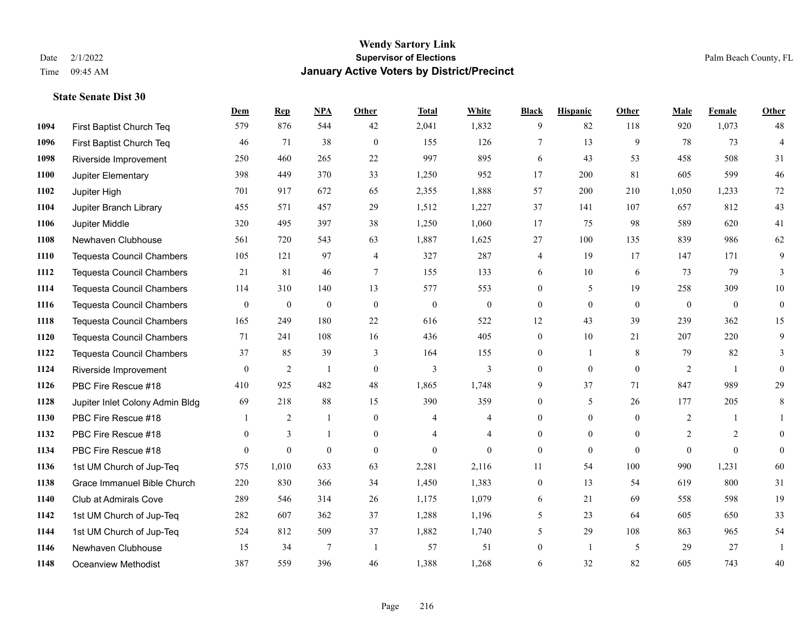|      |                                  | Dem            | <b>Rep</b>     | NPA            | <b>Other</b>     | <b>Total</b>   | White            | <b>Black</b>     | <b>Hispanic</b>  | Other        | <b>Male</b>    | Female         | <b>Other</b>     |
|------|----------------------------------|----------------|----------------|----------------|------------------|----------------|------------------|------------------|------------------|--------------|----------------|----------------|------------------|
| 1094 | First Baptist Church Teq         | 579            | 876            | 544            | 42               | 2,041          | 1,832            | 9                | 82               | 118          | 920            | 1,073          | 48               |
| 1096 | First Baptist Church Teq         | 46             | 71             | 38             | $\mathbf{0}$     | 155            | 126              | $\overline{7}$   | 13               | 9            | 78             | 73             | $\overline{4}$   |
| 1098 | Riverside Improvement            | 250            | 460            | 265            | 22               | 997            | 895              | 6                | 43               | 53           | 458            | 508            | 31               |
| 1100 | Jupiter Elementary               | 398            | 449            | 370            | 33               | 1,250          | 952              | 17               | 200              | 81           | 605            | 599            | $46\,$           |
| 1102 | Jupiter High                     | 701            | 917            | 672            | 65               | 2,355          | 1,888            | 57               | 200              | 210          | 1,050          | 1,233          | 72               |
| 1104 | Jupiter Branch Library           | 455            | 571            | 457            | 29               | 1,512          | 1,227            | 37               | 141              | 107          | 657            | 812            | 43               |
| 1106 | Jupiter Middle                   | 320            | 495            | 397            | 38               | 1,250          | 1,060            | 17               | 75               | 98           | 589            | 620            | 41               |
| 1108 | Newhaven Clubhouse               | 561            | 720            | 543            | 63               | 1,887          | 1,625            | 27               | 100              | 135          | 839            | 986            | 62               |
| 1110 | <b>Tequesta Council Chambers</b> | 105            | 121            | 97             | $\overline{4}$   | 327            | 287              | 4                | 19               | 17           | 147            | 171            | 9                |
| 1112 | <b>Tequesta Council Chambers</b> | 21             | 81             | 46             | $\tau$           | 155            | 133              | 6                | 10               | 6            | 73             | 79             | 3                |
| 1114 | Tequesta Council Chambers        | 114            | 310            | 140            | 13               | 577            | 553              | $\overline{0}$   | 5                | 19           | 258            | 309            | 10               |
| 1116 | <b>Tequesta Council Chambers</b> | $\mathbf{0}$   | $\bf{0}$       | $\mathbf{0}$   | $\mathbf{0}$     | $\mathbf{0}$   | $\boldsymbol{0}$ | $\boldsymbol{0}$ | $\mathbf{0}$     | $\theta$     | $\mathbf{0}$   | $\overline{0}$ | $\boldsymbol{0}$ |
| 1118 | Tequesta Council Chambers        | 165            | 249            | 180            | 22               | 616            | 522              | 12               | 43               | 39           | 239            | 362            | 15               |
| 1120 | Tequesta Council Chambers        | 71             | 241            | 108            | 16               | 436            | 405              | $\boldsymbol{0}$ | 10               | 21           | 207            | 220            | 9                |
| 1122 | <b>Tequesta Council Chambers</b> | 37             | 85             | 39             | 3                | 164            | 155              | $\mathbf{0}$     | $\mathbf{1}$     | 8            | 79             | 82             | 3                |
| 1124 | Riverside Improvement            | $\overline{0}$ | $\overline{2}$ | $\mathbf{1}$   | $\overline{0}$   | 3              | 3                | $\mathbf{0}$     | $\mathbf{0}$     | $\theta$     | $\overline{2}$ | -1             | $\mathbf{0}$     |
| 1126 | PBC Fire Rescue #18              | 410            | 925            | 482            | 48               | 1,865          | 1,748            | 9                | 37               | 71           | 847            | 989            | 29               |
| 1128 | Jupiter Inlet Colony Admin Bldg  | 69             | 218            | 88             | 15               | 390            | 359              | $\overline{0}$   | 5                | 26           | 177            | 205            | 8                |
| 1130 | PBC Fire Rescue #18              | 1              | $\overline{2}$ | 1              | $\boldsymbol{0}$ | 4              | $\overline{4}$   | $\overline{0}$   | $\boldsymbol{0}$ | $\mathbf{0}$ | $\overline{c}$ | 1              | $\mathbf{1}$     |
| 1132 | PBC Fire Rescue #18              | $\overline{0}$ | 3              | $\mathbf{1}$   | $\overline{0}$   | $\overline{4}$ | $\overline{4}$   | $\mathbf{0}$     | $\mathbf{0}$     | $\theta$     | 2              | 2              | $\mathbf{0}$     |
| 1134 | PBC Fire Rescue #18              | $\Omega$       | $\theta$       | $\theta$       | $\Omega$         | $\theta$       | $\Omega$         | $\mathbf{0}$     | $\theta$         | $\Omega$     | $\Omega$       | $\theta$       | $\mathbf{0}$     |
| 1136 | 1st UM Church of Jup-Teq         | 575            | 1,010          | 633            | 63               | 2,281          | 2,116            | 11               | 54               | 100          | 990            | 1,231          | 60               |
| 1138 | Grace Immanuel Bible Church      | 220            | 830            | 366            | 34               | 1,450          | 1,383            | $\boldsymbol{0}$ | 13               | 54           | 619            | 800            | 31               |
| 1140 | Club at Admirals Cove            | 289            | 546            | 314            | 26               | 1,175          | 1,079            | 6                | 21               | 69           | 558            | 598            | 19               |
| 1142 | 1st UM Church of Jup-Teq         | 282            | 607            | 362            | 37               | 1,288          | 1,196            | 5                | 23               | 64           | 605            | 650            | 33               |
| 1144 | 1st UM Church of Jup-Teq         | 524            | 812            | 509            | 37               | 1,882          | 1,740            | 5                | 29               | 108          | 863            | 965            | 54               |
| 1146 | Newhaven Clubhouse               | 15             | 34             | $\overline{7}$ | $\overline{1}$   | 57             | 51               | $\boldsymbol{0}$ | $\mathbf{1}$     | 5            | 29             | 27             | 1                |
| 1148 | <b>Oceanview Methodist</b>       | 387            | 559            | 396            | 46               | 1,388          | 1,268            | 6                | 32               | 82           | 605            | 743            | 40               |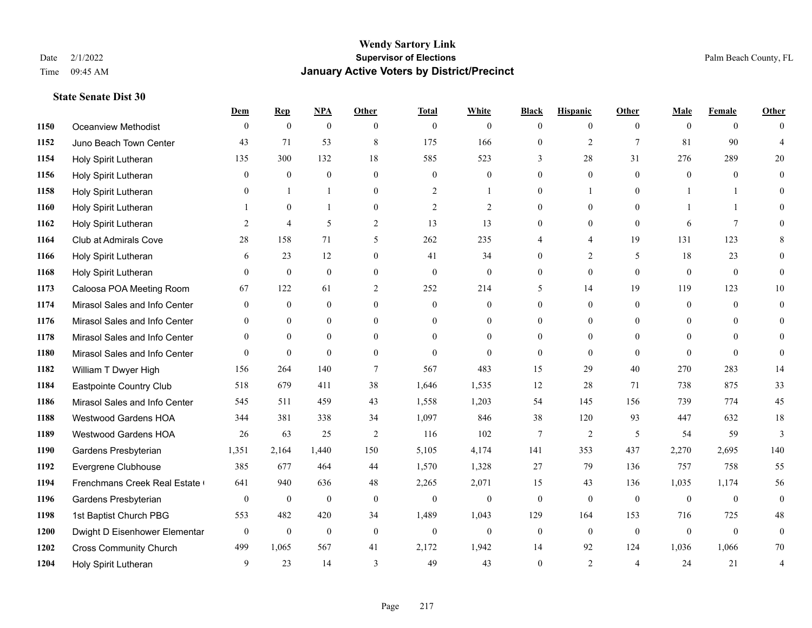### **Wendy Sartory Link** Date 2/1/2022 **Supervisor of Elections** Palm Beach County, FL Time 09:45 AM **January Active Voters by District/Precinct**

|      |                               | Dem          | <b>Rep</b>     | <b>NPA</b>     | Other          | <b>Total</b>   | White          | <b>Black</b> | <b>Hispanic</b> | Other          | Male           | Female         | Other                    |
|------|-------------------------------|--------------|----------------|----------------|----------------|----------------|----------------|--------------|-----------------|----------------|----------------|----------------|--------------------------|
| 1150 | Oceanview Methodist           | $\Omega$     | $\theta$       | $\mathbf{0}$   | $\Omega$       | $\theta$       | $\Omega$       | $\theta$     | $\theta$        | $\theta$       | $\theta$       | $\theta$       | $\Omega$                 |
| 1152 | Juno Beach Town Center        | 43           | 71             | 53             | 8              | 175            | 166            | $\mathbf{0}$ | $\mathfrak{2}$  | $\overline{7}$ | 81             | 90             | $\boldsymbol{\varDelta}$ |
| 1154 | Holy Spirit Lutheran          | 135          | 300            | 132            | $18\,$         | 585            | 523            | 3            | 28              | 31             | 276            | 289            | 20                       |
| 1156 | Holy Spirit Lutheran          | $\theta$     | $\mathbf{0}$   | $\mathbf{0}$   | $\theta$       | $\mathbf{0}$   | $\overline{0}$ | $\mathbf{0}$ | $\mathbf{0}$    | $\theta$       | $\theta$       | $\overline{0}$ | $\theta$                 |
| 1158 | Holy Spirit Lutheran          | $\Omega$     | $\mathbf{1}$   | $\mathbf{1}$   | $\Omega$       | 2              | 1              | $\theta$     | $\mathbf{1}$    | $\theta$       | $\mathbf{1}$   | $\mathbf{1}$   | $\Omega$                 |
| 1160 | Holy Spirit Lutheran          |              | $\mathbf{0}$   | $\mathbf{1}$   | $\overline{0}$ | $\mathfrak{2}$ | $\overline{2}$ | $\mathbf{0}$ | $\overline{0}$  | $\theta$       | $\mathbf{1}$   | $\mathbf{1}$   | $\theta$                 |
| 1162 | Holy Spirit Lutheran          | 2            | $\overline{4}$ | 5              | $\overline{2}$ | 13             | 13             | $\mathbf{0}$ | $\mathbf{0}$    | $\theta$       | 6              | $\overline{7}$ | $\Omega$                 |
| 1164 | Club at Admirals Cove         | 28           | 158            | 71             | 5              | 262            | 235            | 4            | $\overline{4}$  | 19             | 131            | 123            | 8                        |
| 1166 | Holy Spirit Lutheran          | 6            | 23             | 12             | $\theta$       | 41             | 34             | $\theta$     | $\overline{2}$  | 5              | 18             | 23             | $\theta$                 |
| 1168 | Holy Spirit Lutheran          | $\theta$     | $\mathbf{0}$   | $\overline{0}$ | $\mathbf{0}$   | $\mathbf{0}$   | $\overline{0}$ | $\mathbf{0}$ | $\mathbf{0}$    | $\mathbf{0}$   | $\mathbf{0}$   | $\mathbf{0}$   | $\theta$                 |
| 1173 | Caloosa POA Meeting Room      | 67           | 122            | 61             | 2              | 252            | 214            | 5            | 14              | 19             | 119            | 123            | 10                       |
| 1174 | Mirasol Sales and Info Center | $\mathbf{0}$ | $\mathbf{0}$   | $\mathbf{0}$   | $\mathbf{0}$   | $\overline{0}$ | $\overline{0}$ | $\mathbf{0}$ | $\mathbf{0}$    | $\theta$       | $\theta$       | $\Omega$       | $\theta$                 |
| 1176 | Mirasol Sales and Info Center | 0            | $\mathbf{0}$   | $\overline{0}$ | $\mathbf{0}$   | $\theta$       | $\overline{0}$ | $\mathbf{0}$ | $\mathbf{0}$    | $\theta$       | $\overline{0}$ | $\theta$       | $\theta$                 |
| 1178 | Mirasol Sales and Info Center | $\Omega$     | $\Omega$       | $\Omega$       | $\Omega$       | $\Omega$       | $\theta$       | $\theta$     | $\theta$        | $\theta$       | $\Omega$       | $\Omega$       | $\Omega$                 |
| 1180 | Mirasol Sales and Info Center | $\theta$     | $\mathbf{0}$   | $\theta$       | $\theta$       | $\theta$       | $\theta$       | $\theta$     | $\theta$        | $\theta$       | $\theta$       | $\theta$       | $\theta$                 |
| 1182 | William T Dwyer High          | 156          | 264            | 140            | $\tau$         | 567            | 483            | 15           | 29              | 40             | 270            | 283            | 14                       |
| 1184 | Eastpointe Country Club       | 518          | 679            | 411            | 38             | 1,646          | 1,535          | 12           | 28              | 71             | 738            | 875            | 33                       |
| 1186 | Mirasol Sales and Info Center | 545          | 511            | 459            | 43             | 1,558          | 1,203          | 54           | 145             | 156            | 739            | 774            | 45                       |
| 1188 | Westwood Gardens HOA          | 344          | 381            | 338            | 34             | 1,097          | 846            | 38           | 120             | 93             | 447            | 632            | 18                       |
| 1189 | Westwood Gardens HOA          | 26           | 63             | 25             | 2              | 116            | 102            | 7            | $\mathfrak{2}$  | 5              | 54             | 59             | 3                        |
| 1190 | Gardens Presbyterian          | 1,351        | 2,164          | 1,440          | 150            | 5,105          | 4,174          | 141          | 353             | 437            | 2,270          | 2,695          | 140                      |
| 1192 | Evergrene Clubhouse           | 385          | 677            | 464            | 44             | 1,570          | 1,328          | 27           | 79              | 136            | 757            | 758            | 55                       |
| 1194 | Frenchmans Creek Real Estate  | 641          | 940            | 636            | 48             | 2,265          | 2,071          | 15           | 43              | 136            | 1,035          | 1,174          | 56                       |
| 1196 | Gardens Presbyterian          | $\mathbf{0}$ | $\mathbf{0}$   | $\mathbf{0}$   | $\mathbf{0}$   | $\mathbf{0}$   | $\overline{0}$ | $\mathbf{0}$ | $\mathbf{0}$    | $\theta$       | $\mathbf{0}$   | $\mathbf{0}$   | $\mathbf{0}$             |
| 1198 | 1st Baptist Church PBG        | 553          | 482            | 420            | 34             | 1,489          | 1,043          | 129          | 164             | 153            | 716            | 725            | 48                       |
| 1200 | Dwight D Eisenhower Elementar | $\mathbf{0}$ | $\mathbf{0}$   | $\mathbf{0}$   | $\mathbf{0}$   | $\overline{0}$ | $\overline{0}$ | $\mathbf{0}$ | $\mathbf{0}$    | $\theta$       | $\mathbf{0}$   | $\mathbf{0}$   | $\mathbf{0}$             |
| 1202 | <b>Cross Community Church</b> | 499          | 1,065          | 567            | 41             | 2,172          | 1,942          | 14           | 92              | 124            | 1,036          | 1,066          | 70                       |
| 1204 | Holy Spirit Lutheran          | 9            | 23             | 14             | 3              | 49             | 43             | $\theta$     | $\overline{2}$  | $\overline{4}$ | 24             | 21             | $\overline{4}$           |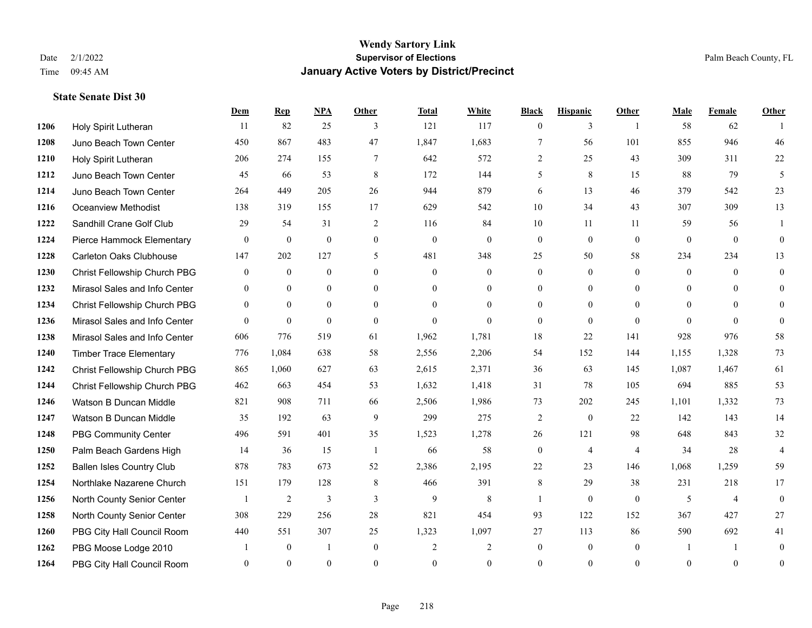### **Wendy Sartory Link** Date 2/1/2022 **Supervisor of Elections** Palm Beach County, FL Time 09:45 AM **January Active Voters by District/Precinct**

|      |                                  | Dem            | <b>Rep</b>     | NPA            | Other          | <b>Total</b>   | White          | <b>Black</b>     | <b>Hispanic</b> | Other          | <b>Male</b>    | Female         | <b>Other</b>   |
|------|----------------------------------|----------------|----------------|----------------|----------------|----------------|----------------|------------------|-----------------|----------------|----------------|----------------|----------------|
| 1206 | Holy Spirit Lutheran             | 11             | 82             | 25             | 3              | 121            | 117            | $\overline{0}$   | 3               | $\overline{1}$ | 58             | 62             | $\mathbf{1}$   |
| 1208 | Juno Beach Town Center           | 450            | 867            | 483            | 47             | 1,847          | 1,683          | 7                | 56              | 101            | 855            | 946            | 46             |
| 1210 | Holy Spirit Lutheran             | 206            | 274            | 155            | $\overline{7}$ | 642            | 572            | 2                | 25              | 43             | 309            | 311            | 22             |
| 1212 | Juno Beach Town Center           | 45             | 66             | 53             | 8              | 172            | 144            | 5                | 8               | 15             | 88             | 79             | 5              |
| 1214 | Juno Beach Town Center           | 264            | 449            | 205            | 26             | 944            | 879            | 6                | 13              | 46             | 379            | 542            | 23             |
| 1216 | Oceanview Methodist              | 138            | 319            | 155            | 17             | 629            | 542            | 10               | 34              | 43             | 307            | 309            | 13             |
| 1222 | Sandhill Crane Golf Club         | 29             | 54             | 31             | 2              | 116            | 84             | $10\,$           | 11              | 11             | 59             | 56             | 1              |
| 1224 | Pierce Hammock Elementary        | $\overline{0}$ | $\mathbf{0}$   | $\mathbf{0}$   | $\mathbf{0}$   | $\mathbf{0}$   | $\overline{0}$ | $\overline{0}$   | $\theta$        | $\theta$       | $\theta$       | $\theta$       | $\theta$       |
| 1228 | <b>Carleton Oaks Clubhouse</b>   | 147            | 202            | 127            | 5              | 481            | 348            | 25               | 50              | 58             | 234            | 234            | 13             |
| 1230 | Christ Fellowship Church PBG     | $\overline{0}$ | $\mathbf{0}$   | $\overline{0}$ | $\mathbf{0}$   | $\overline{0}$ | $\overline{0}$ | $\overline{0}$   | $\overline{0}$  | $\overline{0}$ | $\overline{0}$ | $\theta$       | $\theta$       |
| 1232 | Mirasol Sales and Info Center    | $\theta$       | $\overline{0}$ | $\overline{0}$ | $\theta$       | $\theta$       | $\overline{0}$ | $\overline{0}$   | $\theta$        | $\theta$       | $\theta$       | $\Omega$       | $\mathbf{0}$   |
| 1234 | Christ Fellowship Church PBG     | $\theta$       | $\overline{0}$ | $\overline{0}$ | $\theta$       | $\Omega$       | $\overline{0}$ | $\overline{0}$   | $\mathbf{0}$    | $\Omega$       | $\theta$       | $\theta$       | $\theta$       |
| 1236 | Mirasol Sales and Info Center    | $\Omega$       | $\Omega$       | $\theta$       | $\theta$       | $\theta$       | $\Omega$       | $\overline{0}$   | $\theta$        | $\Omega$       | $\Omega$       | $\Omega$       | $\theta$       |
| 1238 | Mirasol Sales and Info Center    | 606            | 776            | 519            | 61             | 1,962          | 1,781          | 18               | 22              | 141            | 928            | 976            | 58             |
| 1240 | <b>Timber Trace Elementary</b>   | 776            | 1,084          | 638            | 58             | 2,556          | 2,206          | 54               | 152             | 144            | 1,155          | 1,328          | 73             |
| 1242 | Christ Fellowship Church PBG     | 865            | 1,060          | 627            | 63             | 2,615          | 2,371          | 36               | 63              | 145            | 1,087          | 1,467          | 61             |
| 1244 | Christ Fellowship Church PBG     | 462            | 663            | 454            | 53             | 1,632          | 1,418          | 31               | 78              | 105            | 694            | 885            | 53             |
| 1246 | Watson B Duncan Middle           | 821            | 908            | 711            | 66             | 2,506          | 1,986          | 73               | 202             | 245            | 1,101          | 1,332          | 73             |
| 1247 | Watson B Duncan Middle           | 35             | 192            | 63             | 9              | 299            | 275            | $\overline{c}$   | $\mathbf{0}$    | 22             | 142            | 143            | 14             |
| 1248 | <b>PBG Community Center</b>      | 496            | 591            | 401            | 35             | 1,523          | 1,278          | 26               | 121             | 98             | 648            | 843            | 32             |
| 1250 | Palm Beach Gardens High          | 14             | 36             | 15             | $\mathbf{1}$   | 66             | 58             | $\boldsymbol{0}$ | $\overline{4}$  | $\overline{4}$ | 34             | 28             | $\overline{4}$ |
| 1252 | <b>Ballen Isles Country Club</b> | 878            | 783            | 673            | 52             | 2,386          | 2,195          | 22               | 23              | 146            | 1,068          | 1,259          | 59             |
| 1254 | Northlake Nazarene Church        | 151            | 179            | 128            | 8              | 466            | 391            | 8                | 29              | 38             | 231            | 218            | 17             |
| 1256 | North County Senior Center       | -1             | 2              | 3              | 3              | 9              | 8              |                  | $\mathbf{0}$    | $\theta$       | 5              | $\overline{4}$ | $\mathbf{0}$   |
| 1258 | North County Senior Center       | 308            | 229            | 256            | 28             | 821            | 454            | 93               | 122             | 152            | 367            | 427            | 27             |
| 1260 | PBG City Hall Council Room       | 440            | 551            | 307            | 25             | 1,323          | 1,097          | 27               | 113             | 86             | 590            | 692            | 41             |
| 1262 | PBG Moose Lodge 2010             |                | $\overline{0}$ |                | $\theta$       | 2              | 2              | $\Omega$         | $\theta$        | $\Omega$       |                | $\overline{1}$ | $\theta$       |
| 1264 | PBG City Hall Council Room       | $\theta$       | $\theta$       | $\theta$       | $\theta$       | $\theta$       | $\Omega$       | $\theta$         | $\theta$        | $\Omega$       | $\Omega$       | $\theta$       | $\mathbf{0}$   |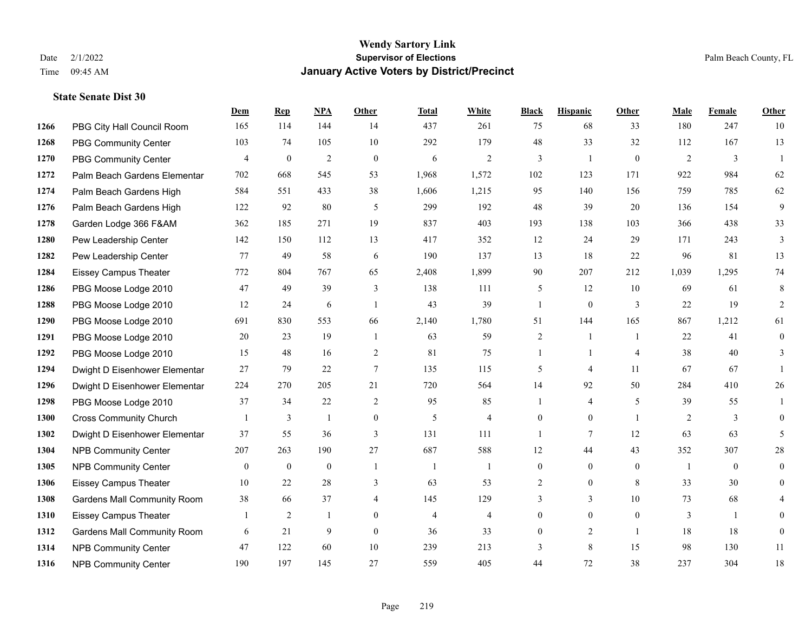|      |                                    | Dem              | <b>Rep</b>       | NPA              | <b>Other</b>   | <b>Total</b>   | <b>White</b>   | <b>Black</b>     | <b>Hispanic</b>  | <b>Other</b>     | <b>Male</b>    | <b>Female</b>    | <b>Other</b>   |
|------|------------------------------------|------------------|------------------|------------------|----------------|----------------|----------------|------------------|------------------|------------------|----------------|------------------|----------------|
| 1266 | PBG City Hall Council Room         | 165              | 114              | 144              | 14             | 437            | 261            | 75               | 68               | 33               | 180            | 247              | 10             |
| 1268 | <b>PBG Community Center</b>        | 103              | 74               | 105              | 10             | 292            | 179            | 48               | 33               | 32               | 112            | 167              | 13             |
| 1270 | <b>PBG Community Center</b>        | 4                | $\boldsymbol{0}$ | $\sqrt{2}$       | $\mathbf{0}$   | 6              | $\overline{2}$ | 3                | 1                | $\mathbf{0}$     | 2              | $\mathfrak{Z}$   | $\overline{1}$ |
| 1272 | Palm Beach Gardens Elementar       | 702              | 668              | 545              | 53             | 1,968          | 1,572          | 102              | 123              | 171              | 922            | 984              | 62             |
| 1274 | Palm Beach Gardens High            | 584              | 551              | 433              | 38             | 1,606          | 1,215          | 95               | 140              | 156              | 759            | 785              | 62             |
| 1276 | Palm Beach Gardens High            | 122              | 92               | 80               | 5              | 299            | 192            | $48\,$           | 39               | 20               | 136            | 154              | 9              |
| 1278 | Garden Lodge 366 F&AM              | 362              | 185              | 271              | 19             | 837            | 403            | 193              | 138              | 103              | 366            | 438              | 33             |
| 1280 | Pew Leadership Center              | 142              | 150              | 112              | 13             | 417            | 352            | 12               | 24               | 29               | 171            | 243              | $\overline{3}$ |
| 1282 | Pew Leadership Center              | 77               | 49               | 58               | 6              | 190            | 137            | 13               | 18               | 22               | 96             | 81               | 13             |
| 1284 | <b>Eissey Campus Theater</b>       | 772              | 804              | 767              | 65             | 2,408          | 1,899          | 90               | 207              | 212              | 1,039          | 1,295            | 74             |
| 1286 | PBG Moose Lodge 2010               | 47               | 49               | 39               | 3              | 138            | 111            | 5                | 12               | 10               | 69             | 61               | 8              |
| 1288 | PBG Moose Lodge 2010               | 12               | 24               | 6                | $\overline{1}$ | 43             | 39             | $\mathbf{1}$     | $\overline{0}$   | 3                | 22             | 19               | 2              |
| 1290 | PBG Moose Lodge 2010               | 691              | 830              | 553              | 66             | 2,140          | 1,780          | 51               | 144              | 165              | 867            | 1,212            | 61             |
| 1291 | PBG Moose Lodge 2010               | 20               | 23               | 19               | -1             | 63             | 59             | $\overline{2}$   | 1                | $\overline{1}$   | 22             | 41               | $\mathbf{0}$   |
| 1292 | PBG Moose Lodge 2010               | 15               | 48               | 16               | $\overline{2}$ | 81             | 75             | 1                | 1                | $\overline{4}$   | 38             | 40               | 3              |
| 1294 | Dwight D Eisenhower Elementar      | 27               | 79               | 22               | $\tau$         | 135            | 115            | 5                | 4                | 11               | 67             | 67               | 1              |
| 1296 | Dwight D Eisenhower Elementar      | 224              | 270              | 205              | 21             | 720            | 564            | 14               | 92               | 50               | 284            | 410              | 26             |
| 1298 | PBG Moose Lodge 2010               | 37               | 34               | 22               | 2              | 95             | 85             | -1               | $\overline{4}$   | 5                | 39             | 55               |                |
| 1300 | <b>Cross Community Church</b>      |                  | 3                | $\mathbf{1}$     | $\mathbf{0}$   | 5              | $\overline{4}$ | $\overline{0}$   | $\overline{0}$   | $\overline{1}$   | $\overline{2}$ | $\mathfrak{Z}$   | $\overline{0}$ |
| 1302 | Dwight D Eisenhower Elementar      | 37               | 55               | 36               | 3              | 131            | 111            | 1                | $7\overline{ }$  | 12               | 63             | 63               | 5              |
| 1304 | <b>NPB Community Center</b>        | 207              | 263              | 190              | 27             | 687            | 588            | 12               | 44               | 43               | 352            | 307              | $28\,$         |
| 1305 | <b>NPB Community Center</b>        | $\boldsymbol{0}$ | $\boldsymbol{0}$ | $\boldsymbol{0}$ | $\mathbf{1}$   | $\mathbf{1}$   | 1              | $\boldsymbol{0}$ | $\boldsymbol{0}$ | $\boldsymbol{0}$ | -1             | $\boldsymbol{0}$ | $\overline{0}$ |
| 1306 | <b>Eissey Campus Theater</b>       | 10               | 22               | 28               | 3              | 63             | 53             | 2                | $\mathbf{0}$     | 8                | 33             | 30               | $\mathbf{0}$   |
| 1308 | <b>Gardens Mall Community Room</b> | 38               | 66               | 37               | $\overline{4}$ | 145            | 129            | 3                | 3                | 10               | 73             | 68               | 4              |
| 1310 | <b>Eissey Campus Theater</b>       | $\mathbf{1}$     | $\overline{2}$   | $\mathbf{1}$     | $\theta$       | $\overline{4}$ | 4              | $\overline{0}$   | $\overline{0}$   | $\theta$         | 3              | $\mathbf{1}$     | $\Omega$       |
| 1312 | <b>Gardens Mall Community Room</b> | 6                | 21               | 9                | $\overline{0}$ | 36             | 33             | $\overline{0}$   | $\overline{2}$   | $\overline{1}$   | 18             | 18               | $\mathbf{0}$   |
| 1314 | <b>NPB Community Center</b>        | 47               | 122              | 60               | 10             | 239            | 213            | 3                | 8                | 15               | 98             | 130              | 11             |
| 1316 | <b>NPB Community Center</b>        | 190              | 197              | 145              | 27             | 559            | 405            | 44               | 72               | 38               | 237            | 304              | $18\,$         |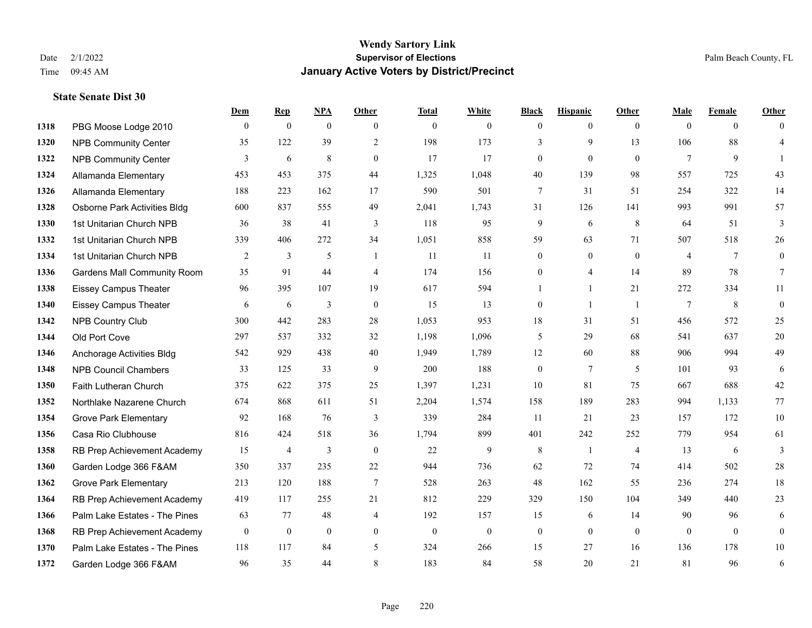### **Wendy Sartory Link** Date 2/1/2022 **Supervisor of Elections** Palm Beach County, FL Time 09:45 AM **January Active Voters by District/Precinct**

|      |                                    | Dem          | $\mathbf{Rep}$ | <b>NPA</b>     | Other            | <b>Total</b> | White        | <b>Black</b>     | <b>Hispanic</b> | Other          | Male           | Female         | Other          |
|------|------------------------------------|--------------|----------------|----------------|------------------|--------------|--------------|------------------|-----------------|----------------|----------------|----------------|----------------|
| 1318 | PBG Moose Lodge 2010               | $\theta$     | $\mathbf{0}$   | $\mathbf{0}$   | $\theta$         | $\theta$     | $\Omega$     | $\mathbf{0}$     | $\Omega$        | $\theta$       | $\theta$       | $\theta$       | $\theta$       |
| 1320 | <b>NPB Community Center</b>        | 35           | 122            | 39             | 2                | 198          | 173          | 3                | 9               | 13             | 106            | 88             | $\overline{4}$ |
| 1322 | <b>NPB Community Center</b>        | 3            | 6              | 8              | $\overline{0}$   | 17           | 17           | $\mathbf{0}$     | $\mathbf{0}$    | $\theta$       | $\tau$         | 9              | -1             |
| 1324 | Allamanda Elementary               | 453          | 453            | 375            | 44               | 1,325        | 1,048        | 40               | 139             | 98             | 557            | 725            | 43             |
| 1326 | Allamanda Elementary               | 188          | 223            | 162            | 17               | 590          | 501          | 7                | 31              | 51             | 254            | 322            | 14             |
| 1328 | Osborne Park Activities Bldg       | 600          | 837            | 555            | 49               | 2,041        | 1,743        | 31               | 126             | 141            | 993            | 991            | 57             |
| 1330 | 1st Unitarian Church NPB           | 36           | 38             | 41             | 3                | 118          | 95           | 9                | 6               | 8              | 64             | 51             | 3              |
| 1332 | 1st Unitarian Church NPB           | 339          | 406            | 272            | 34               | 1,051        | 858          | 59               | 63              | 71             | 507            | 518            | 26             |
| 1334 | 1st Unitarian Church NPB           | 2            | 3              | 5              | $\overline{1}$   | 11           | 11           | $\mathbf{0}$     | $\mathbf{0}$    | $\theta$       | $\overline{4}$ | 7              | $\mathbf{0}$   |
| 1336 | <b>Gardens Mall Community Room</b> | 35           | 91             | 44             | $\overline{4}$   | 174          | 156          | $\boldsymbol{0}$ | $\overline{4}$  | 14             | 89             | 78             | $\tau$         |
| 1338 | <b>Eissey Campus Theater</b>       | 96           | 395            | 107            | 19               | 617          | 594          | 1                | $\mathbf{1}$    | 21             | 272            | 334            | 11             |
| 1340 | <b>Eissey Campus Theater</b>       | 6            | 6              | 3              | $\mathbf{0}$     | 15           | 13           | $\mathbf{0}$     | $\mathbf{1}$    | $\overline{1}$ | 7              | 8              | $\overline{0}$ |
| 1342 | <b>NPB Country Club</b>            | 300          | 442            | 283            | 28               | 1,053        | 953          | 18               | 31              | 51             | 456            | 572            | 25             |
| 1344 | Old Port Cove                      | 297          | 537            | 332            | 32               | 1,198        | 1,096        | 5                | 29              | 68             | 541            | 637            | 20             |
| 1346 | Anchorage Activities Bldg          | 542          | 929            | 438            | 40               | 1,949        | 1,789        | 12               | 60              | 88             | 906            | 994            | 49             |
| 1348 | <b>NPB Council Chambers</b>        | 33           | 125            | 33             | 9                | 200          | 188          | $\boldsymbol{0}$ | $\tau$          | -5             | 101            | 93             | 6              |
| 1350 | Faith Lutheran Church              | 375          | 622            | 375            | 25               | 1,397        | 1,231        | 10               | 81              | 75             | 667            | 688            | 42             |
| 1352 | Northlake Nazarene Church          | 674          | 868            | 611            | 51               | 2,204        | 1,574        | 158              | 189             | 283            | 994            | 1,133          | 77             |
| 1354 | <b>Grove Park Elementary</b>       | 92           | 168            | 76             | 3                | 339          | 284          | 11               | 21              | 23             | 157            | 172            | $10\,$         |
| 1356 | Casa Rio Clubhouse                 | 816          | 424            | 518            | 36               | 1,794        | 899          | 401              | 242             | 252            | 779            | 954            | 61             |
| 1358 | RB Prep Achievement Academy        | 15           | 4              | 3              | $\mathbf{0}$     | 22           | 9            | 8                | 1               | $\overline{4}$ | 13             | 6              | 3              |
| 1360 | Garden Lodge 366 F&AM              | 350          | 337            | 235            | 22               | 944          | 736          | 62               | 72              | 74             | 414            | 502            | 28             |
| 1362 | <b>Grove Park Elementary</b>       | 213          | 120            | 188            | $\boldsymbol{7}$ | 528          | 263          | 48               | 162             | 55             | 236            | 274            | 18             |
| 1364 | RB Prep Achievement Academy        | 419          | 117            | 255            | 21               | 812          | 229          | 329              | 150             | 104            | 349            | 440            | 23             |
| 1366 | Palm Lake Estates - The Pines      | 63           | 77             | 48             | $\overline{4}$   | 192          | 157          | 15               | 6               | 14             | 90             | 96             | 6              |
| 1368 | RB Prep Achievement Academy        | $\mathbf{0}$ | $\mathbf{0}$   | $\overline{0}$ | $\mathbf{0}$     | $\mathbf{0}$ | $\mathbf{0}$ | $\boldsymbol{0}$ | $\mathbf{0}$    | $\overline{0}$ | $\mathbf{0}$   | $\overline{0}$ | $\mathbf{0}$   |
| 1370 | Palm Lake Estates - The Pines      | 118          | 117            | 84             | 5                | 324          | 266          | 15               | 27              | 16             | 136            | 178            | $10\,$         |
| 1372 | Garden Lodge 366 F&AM              | 96           | 35             | 44             | 8                | 183          | 84           | 58               | 20              | 21             | 81             | 96             | 6              |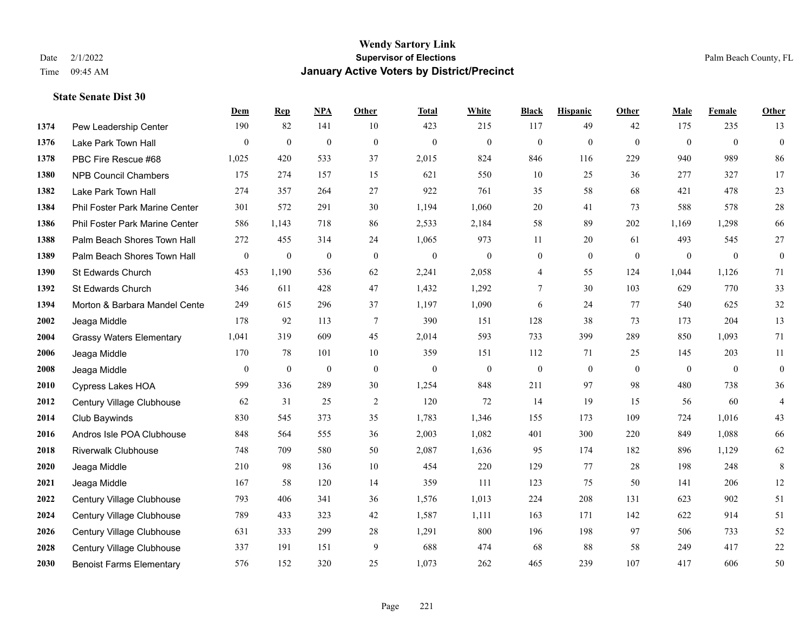#### **Wendy Sartory Link** Date 2/1/2022 **Supervisor of Elections** Palm Beach County, FL Time 09:45 AM **January Active Voters by District/Precinct**

# **Dem Rep NPA Other Total White Black Hispanic Other Male Female Other** Pew Leadership Center 190 82 141 10 423 215 117 49 42 175 235 13 Lake Park Town Hall 0 0 0 0 0 0 0 0 0 0 0 0 PBC Fire Rescue #68 1,025 420 533 37 2,015 824 846 116 229 940 989 86 NPB Council Chambers 175 274 157 15 621 550 10 25 36 277 327 17 Lake Park Town Hall 274 357 264 27 922 761 35 58 68 421 478 23 Phil Foster Park Marine Center 301 572 291 30 1,194 1,060 20 41 73 588 578 28 Phil Foster Park Marine Center 586 1,143 718 86 2,533 2,184 58 89 202 1,169 1,298 66 Palm Beach Shores Town Hall 272 455 314 24 1,065 973 11 20 61 493 545 27 Palm Beach Shores Town Hall 0 0 0 0 0 0 0 0 0 0 0 0 St Edwards Church 453 1,190 536 62 2,241 2,058 4 55 124 1,044 1,126 71 St Edwards Church 346 611 428 47 1,432 1,292 7 30 103 629 770 33 **1394 Morton & Barbara Mandel Cente** 249 615 296 37 1,197 1,090 6 24 77 540 625 32 Jeaga Middle 178 92 113 7 390 151 128 38 73 173 204 13 Grassy Waters Elementary 1,041 319 609 45 2,014 593 733 399 289 850 1,093 71 Jeaga Middle 170 78 101 10 359 151 112 71 25 145 203 11 Jeaga Middle 0 0 0 0 0 0 0 0 0 0 0 0 Cypress Lakes HOA 599 336 289 30 1,254 848 211 97 98 480 738 36 Century Village Clubhouse 62 31 25 2 120 72 14 19 15 56 60 4 Club Baywinds 830 545 373 35 1,783 1,346 155 173 109 724 1,016 43 Andros Isle POA Clubhouse 848 564 555 36 2,003 1,082 401 300 220 849 1,088 66 Riverwalk Clubhouse 748 709 580 50 2,087 1,636 95 174 182 896 1,129 62 Jeaga Middle 210 98 136 10 454 220 129 77 28 198 248 8 Jeaga Middle 167 58 120 14 359 111 123 75 50 141 206 12 Century Village Clubhouse 793 406 341 36 1,576 1,013 224 208 131 623 902 51 Century Village Clubhouse 789 433 323 42 1,587 1,111 163 171 142 622 914 51 Century Village Clubhouse 631 333 299 28 1,291 800 196 198 97 506 733 52 Century Village Clubhouse 337 191 151 9 688 474 68 88 58 249 417 22 Benoist Farms Elementary 576 152 320 25 1,073 262 465 239 107 417 606 50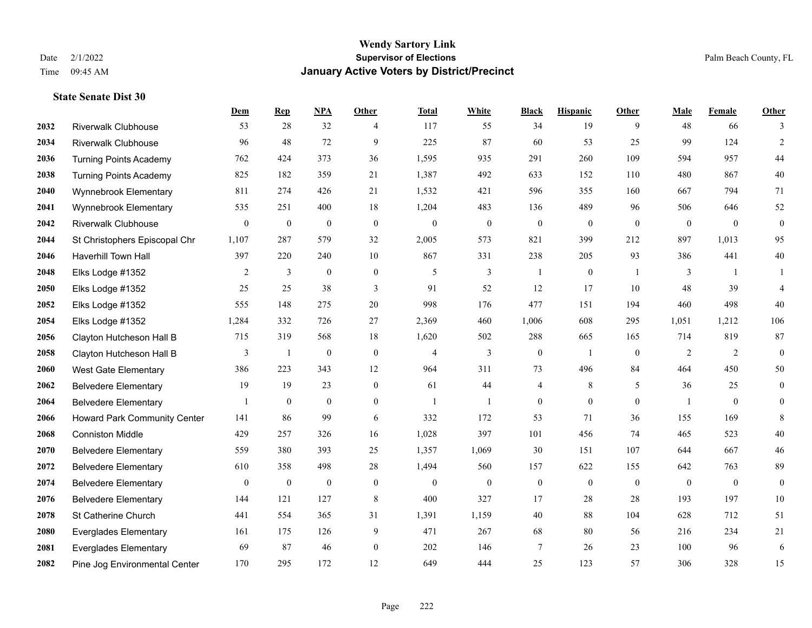|      |                               | Dem              | <b>Rep</b>       | NPA              | <b>Other</b>     | <b>Total</b>   | <b>White</b>     | <b>Black</b>     | <b>Hispanic</b>  | <b>Other</b>   | <b>Male</b>  | Female         | <b>Other</b>     |
|------|-------------------------------|------------------|------------------|------------------|------------------|----------------|------------------|------------------|------------------|----------------|--------------|----------------|------------------|
| 2032 | <b>Riverwalk Clubhouse</b>    | 53               | 28               | 32               | 4                | 117            | 55               | 34               | 19               | 9              | 48           | 66             | 3                |
| 2034 | <b>Riverwalk Clubhouse</b>    | 96               | 48               | 72               | 9                | 225            | 87               | 60               | 53               | 25             | 99           | 124            | $\overline{2}$   |
| 2036 | <b>Turning Points Academy</b> | 762              | 424              | 373              | 36               | 1,595          | 935              | 291              | 260              | 109            | 594          | 957            | $44\,$           |
| 2038 | <b>Turning Points Academy</b> | 825              | 182              | 359              | 21               | 1,387          | 492              | 633              | 152              | 110            | 480          | 867            | $40\,$           |
| 2040 | Wynnebrook Elementary         | 811              | 274              | 426              | 21               | 1,532          | 421              | 596              | 355              | 160            | 667          | 794            | 71               |
| 2041 | Wynnebrook Elementary         | 535              | 251              | 400              | 18               | 1,204          | 483              | 136              | 489              | 96             | 506          | 646            | $52\,$           |
| 2042 | <b>Riverwalk Clubhouse</b>    | $\mathbf{0}$     | $\bf{0}$         | $\boldsymbol{0}$ | $\boldsymbol{0}$ | $\mathbf{0}$   | $\boldsymbol{0}$ | $\boldsymbol{0}$ | $\boldsymbol{0}$ | $\overline{0}$ | $\mathbf{0}$ | $\overline{0}$ | $\boldsymbol{0}$ |
| 2044 | St Christophers Episcopal Chr | 1,107            | 287              | 579              | 32               | 2,005          | 573              | 821              | 399              | 212            | 897          | 1,013          | 95               |
| 2046 | <b>Haverhill Town Hall</b>    | 397              | 220              | 240              | 10               | 867            | 331              | 238              | 205              | 93             | 386          | 441            | 40               |
| 2048 | Elks Lodge #1352              | 2                | 3                | $\boldsymbol{0}$ | $\mathbf{0}$     | 5              | 3                | 1                | $\boldsymbol{0}$ | -1             | 3            | $\overline{1}$ | 1                |
| 2050 | Elks Lodge #1352              | 25               | 25               | 38               | 3                | 91             | 52               | 12               | 17               | 10             | 48           | 39             | $\overline{4}$   |
| 2052 | Elks Lodge #1352              | 555              | 148              | 275              | 20               | 998            | 176              | 477              | 151              | 194            | 460          | 498            | 40               |
| 2054 | Elks Lodge #1352              | 1,284            | 332              | 726              | 27               | 2,369          | 460              | 1,006            | 608              | 295            | 1,051        | 1,212          | 106              |
| 2056 | Clayton Hutcheson Hall B      | 715              | 319              | 568              | 18               | 1,620          | 502              | 288              | 665              | 165            | 714          | 819            | 87               |
| 2058 | Clayton Hutcheson Hall B      | 3                | $\mathbf{1}$     | $\boldsymbol{0}$ | $\theta$         | $\overline{4}$ | $\overline{3}$   | $\boldsymbol{0}$ | $\mathbf{1}$     | $\theta$       | 2            | 2              | $\mathbf{0}$     |
| 2060 | West Gate Elementary          | 386              | 223              | 343              | 12               | 964            | 311              | 73               | 496              | 84             | 464          | 450            | 50               |
| 2062 | <b>Belvedere Elementary</b>   | 19               | 19               | 23               | $\overline{0}$   | 61             | 44               | 4                | $\,8\,$          | 5              | 36           | 25             | $\mathbf{0}$     |
| 2064 | <b>Belvedere Elementary</b>   |                  | $\mathbf{0}$     | $\mathbf{0}$     | $\overline{0}$   | $\mathbf{1}$   | $\mathbf{1}$     | $\boldsymbol{0}$ | $\mathbf{0}$     | $\theta$       |              | $\theta$       | $\overline{0}$   |
| 2066 | Howard Park Community Center  | 141              | 86               | 99               | 6                | 332            | 172              | 53               | 71               | 36             | 155          | 169            | 8                |
| 2068 | <b>Conniston Middle</b>       | 429              | 257              | 326              | 16               | 1,028          | 397              | 101              | 456              | 74             | 465          | 523            | 40               |
| 2070 | <b>Belvedere Elementary</b>   | 559              | 380              | 393              | 25               | 1,357          | 1,069            | 30               | 151              | 107            | 644          | 667            | $46\,$           |
| 2072 | <b>Belvedere Elementary</b>   | 610              | 358              | 498              | 28               | 1,494          | 560              | 157              | 622              | 155            | 642          | 763            | 89               |
| 2074 | <b>Belvedere Elementary</b>   | $\boldsymbol{0}$ | $\boldsymbol{0}$ | $\boldsymbol{0}$ | $\boldsymbol{0}$ | $\mathbf{0}$   | $\boldsymbol{0}$ | $\boldsymbol{0}$ | $\boldsymbol{0}$ | $\overline{0}$ | $\mathbf{0}$ | $\overline{0}$ | $\boldsymbol{0}$ |
| 2076 | <b>Belvedere Elementary</b>   | 144              | 121              | 127              | 8                | 400            | 327              | 17               | 28               | 28             | 193          | 197            | 10               |
| 2078 | St Catherine Church           | 441              | 554              | 365              | 31               | 1,391          | 1,159            | 40               | 88               | 104            | 628          | 712            | 51               |
| 2080 | <b>Everglades Elementary</b>  | 161              | 175              | 126              | 9                | 471            | 267              | 68               | 80               | 56             | 216          | 234            | 21               |
| 2081 | <b>Everglades Elementary</b>  | 69               | 87               | 46               | $\overline{0}$   | 202            | 146              | 7                | 26               | 23             | 100          | 96             | 6                |
| 2082 | Pine Jog Environmental Center | 170              | 295              | 172              | 12               | 649            | 444              | 25               | 123              | 57             | 306          | 328            | 15               |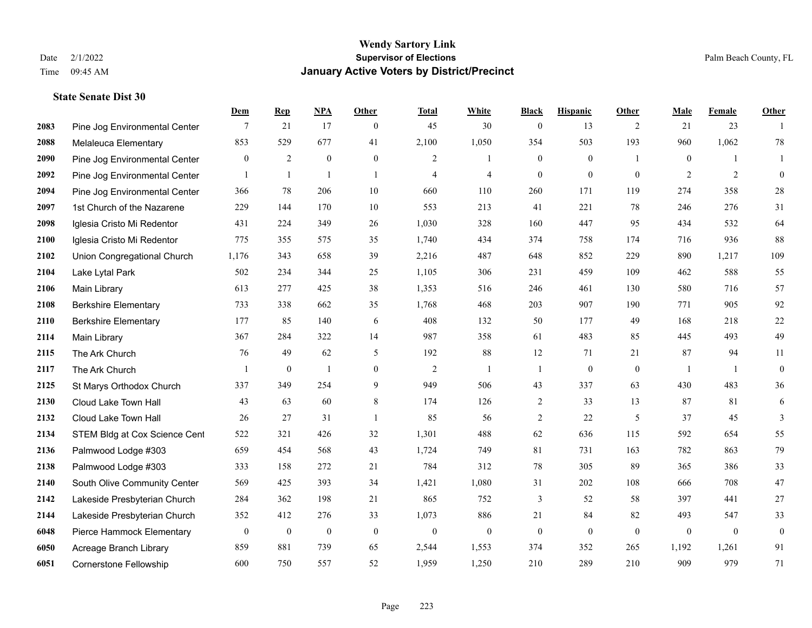|      |                               | Dem              | <b>Rep</b>       | NPA              | <b>Other</b>     | <b>Total</b>   | <b>White</b>     | <b>Black</b>     | <b>Hispanic</b>  | <b>Other</b>   | <b>Male</b>      | <b>Female</b>  | <b>Other</b>     |
|------|-------------------------------|------------------|------------------|------------------|------------------|----------------|------------------|------------------|------------------|----------------|------------------|----------------|------------------|
| 2083 | Pine Jog Environmental Center | 7                | 21               | 17               | $\overline{0}$   | 45             | 30               | $\boldsymbol{0}$ | 13               | 2              | 21               | 23             | $\mathbf{1}$     |
| 2088 | Melaleuca Elementary          | 853              | 529              | 677              | 41               | 2,100          | 1,050            | 354              | 503              | 193            | 960              | 1,062          | 78               |
| 2090 | Pine Jog Environmental Center | $\overline{0}$   | $\overline{c}$   | $\boldsymbol{0}$ | $\overline{0}$   | 2              | $\mathbf{1}$     | $\boldsymbol{0}$ | $\boldsymbol{0}$ | $\overline{1}$ | $\overline{0}$   | $\mathbf{1}$   | $\mathbf{1}$     |
| 2092 | Pine Jog Environmental Center | $\mathbf{1}$     | $\mathbf{1}$     | $\overline{1}$   | $\mathbf{1}$     | $\overline{4}$ | $\overline{4}$   | $\boldsymbol{0}$ | $\mathbf{0}$     | $\mathbf{0}$   | $\overline{2}$   | $\overline{2}$ | $\mathbf{0}$     |
| 2094 | Pine Jog Environmental Center | 366              | 78               | 206              | $10\,$           | 660            | 110              | 260              | 171              | 119            | 274              | 358            | $28\,$           |
| 2097 | 1st Church of the Nazarene    | 229              | 144              | 170              | 10               | 553            | 213              | 41               | 221              | 78             | 246              | 276            | 31               |
| 2098 | Iglesia Cristo Mi Redentor    | 431              | 224              | 349              | 26               | 1,030          | 328              | 160              | 447              | 95             | 434              | 532            | 64               |
| 2100 | Iglesia Cristo Mi Redentor    | 775              | 355              | 575              | 35               | 1,740          | 434              | 374              | 758              | 174            | 716              | 936            | 88               |
| 2102 | Union Congregational Church   | 1,176            | 343              | 658              | 39               | 2,216          | 487              | 648              | 852              | 229            | 890              | 1,217          | 109              |
| 2104 | Lake Lytal Park               | 502              | 234              | 344              | 25               | 1,105          | 306              | 231              | 459              | 109            | 462              | 588            | 55               |
| 2106 | Main Library                  | 613              | 277              | 425              | 38               | 1,353          | 516              | 246              | 461              | 130            | 580              | 716            | 57               |
| 2108 | <b>Berkshire Elementary</b>   | 733              | 338              | 662              | 35               | 1,768          | 468              | 203              | 907              | 190            | 771              | 905            | 92               |
| 2110 | <b>Berkshire Elementary</b>   | 177              | 85               | 140              | 6                | 408            | 132              | 50               | 177              | 49             | 168              | 218            | $22\,$           |
| 2114 | Main Library                  | 367              | 284              | 322              | 14               | 987            | 358              | 61               | 483              | 85             | 445              | 493            | 49               |
| 2115 | The Ark Church                | 76               | 49               | 62               | 5                | 192            | 88               | 12               | 71               | 21             | 87               | 94             | 11               |
| 2117 | The Ark Church                | 1                | $\boldsymbol{0}$ | $\overline{1}$   | $\boldsymbol{0}$ | 2              | 1                | 1                | $\boldsymbol{0}$ | $\mathbf{0}$   | -1               | -1             | $\boldsymbol{0}$ |
| 2125 | St Marys Orthodox Church      | 337              | 349              | 254              | 9                | 949            | 506              | 43               | 337              | 63             | 430              | 483            | 36               |
| 2130 | Cloud Lake Town Hall          | 43               | 63               | 60               | $\,$ 8 $\,$      | 174            | 126              | $\sqrt{2}$       | 33               | 13             | 87               | 81             | $\sqrt{6}$       |
| 2132 | Cloud Lake Town Hall          | 26               | 27               | 31               | -1               | 85             | 56               | $\overline{c}$   | 22               | 5              | 37               | 45             | $\mathfrak{Z}$   |
| 2134 | STEM Bldg at Cox Science Cent | 522              | 321              | 426              | 32               | 1,301          | 488              | 62               | 636              | 115            | 592              | 654            | 55               |
| 2136 | Palmwood Lodge #303           | 659              | 454              | 568              | 43               | 1,724          | 749              | 81               | 731              | 163            | 782              | 863            | 79               |
| 2138 | Palmwood Lodge #303           | 333              | 158              | 272              | 21               | 784            | 312              | 78               | 305              | 89             | 365              | 386            | 33               |
| 2140 | South Olive Community Center  | 569              | 425              | 393              | 34               | 1,421          | 1,080            | 31               | 202              | 108            | 666              | 708            | 47               |
| 2142 | Lakeside Presbyterian Church  | 284              | 362              | 198              | 21               | 865            | 752              | 3                | 52               | 58             | 397              | 441            | $27\,$           |
| 2144 | Lakeside Presbyterian Church  | 352              | 412              | 276              | 33               | 1,073          | 886              | 21               | 84               | 82             | 493              | 547            | 33               |
| 6048 | Pierce Hammock Elementary     | $\boldsymbol{0}$ | $\boldsymbol{0}$ | $\boldsymbol{0}$ | $\boldsymbol{0}$ | $\mathbf{0}$   | $\boldsymbol{0}$ | $\boldsymbol{0}$ | $\boldsymbol{0}$ | $\mathbf{0}$   | $\boldsymbol{0}$ | $\mathbf{0}$   | $\boldsymbol{0}$ |
| 6050 | Acreage Branch Library        | 859              | 881              | 739              | 65               | 2,544          | 1,553            | 374              | 352              | 265            | 1,192            | 1,261          | 91               |
| 6051 | Cornerstone Fellowship        | 600              | 750              | 557              | 52               | 1,959          | 1,250            | 210              | 289              | 210            | 909              | 979            | 71               |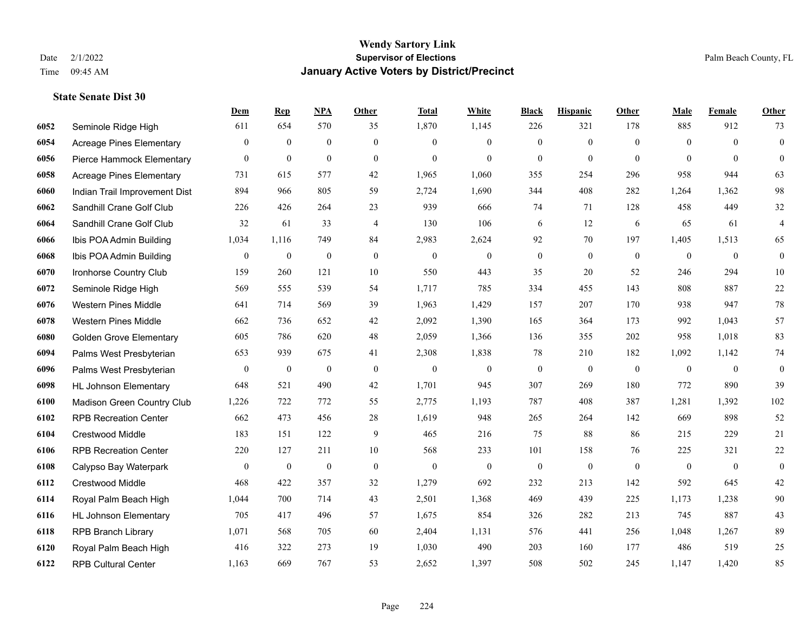#### **Wendy Sartory Link** Date 2/1/2022 **Supervisor of Elections** Palm Beach County, FL Time 09:45 AM **January Active Voters by District/Precinct**

# **Dem Rep NPA Other Total White Black Hispanic Other Male Female Other** Seminole Ridge High 611 654 570 35 1,870 1,145 226 321 178 885 912 73 Acreage Pines Elementary 0 0 0 0 0 0 0 0 0 0 0 0 Pierce Hammock Elementary 0 0 0 0 0 0 0 0 0 0 0 0 Acreage Pines Elementary 731 615 577 42 1,965 1,060 355 254 296 958 944 63 Indian Trail Improvement Dist 894 966 805 59 2,724 1,690 344 408 282 1,264 1,362 98 Sandhill Crane Golf Club 226 426 264 23 939 666 74 71 128 458 449 32 Sandhill Crane Golf Club 32 61 33 4 130 106 6 12 6 65 61 4 Ibis POA Admin Building 1,034 1,116 749 84 2,983 2,624 92 70 197 1,405 1,513 65 Ibis POA Admin Building 0 0 0 0 0 0 0 0 0 0 0 0 Ironhorse Country Club 159 260 121 10 550 443 35 20 52 246 294 10 Seminole Ridge High 569 555 539 54 1,717 785 334 455 143 808 887 22 Western Pines Middle 641 714 569 39 1,963 1,429 157 207 170 938 947 78 Western Pines Middle 662 736 652 42 2,092 1,390 165 364 173 992 1,043 57 Golden Grove Elementary 605 786 620 48 2,059 1,366 136 355 202 958 1,018 83 Palms West Presbyterian 653 939 675 41 2,308 1,838 78 210 182 1,092 1,142 74 Palms West Presbyterian 0 0 0 0 0 0 0 0 0 0 0 0 HL Johnson Elementary 648 521 490 42 1,701 945 307 269 180 772 890 39 Madison Green Country Club 1,226 722 772 55 2,775 1,193 787 408 387 1,281 1,392 102 RPB Recreation Center 662 473 456 28 1,619 948 265 264 142 669 898 52 Crestwood Middle 183 151 122 9 465 216 75 88 86 215 229 21 RPB Recreation Center 220 127 211 10 568 233 101 158 76 225 321 22 Calypso Bay Waterpark 0 0 0 0 0 0 0 0 0 0 0 0 Crestwood Middle 468 422 357 32 1,279 692 232 213 142 592 645 42 Royal Palm Beach High 1,044 700 714 43 2,501 1,368 469 439 225 1,173 1,238 90 HL Johnson Elementary 705 417 496 57 1,675 854 326 282 213 745 887 43 RPB Branch Library 1,071 568 705 60 2,404 1,131 576 441 256 1,048 1,267 89 Royal Palm Beach High 416 322 273 19 1,030 490 203 160 177 486 519 25

RPB Cultural Center 1,163 669 767 53 2,652 1,397 508 502 245 1,147 1,420 85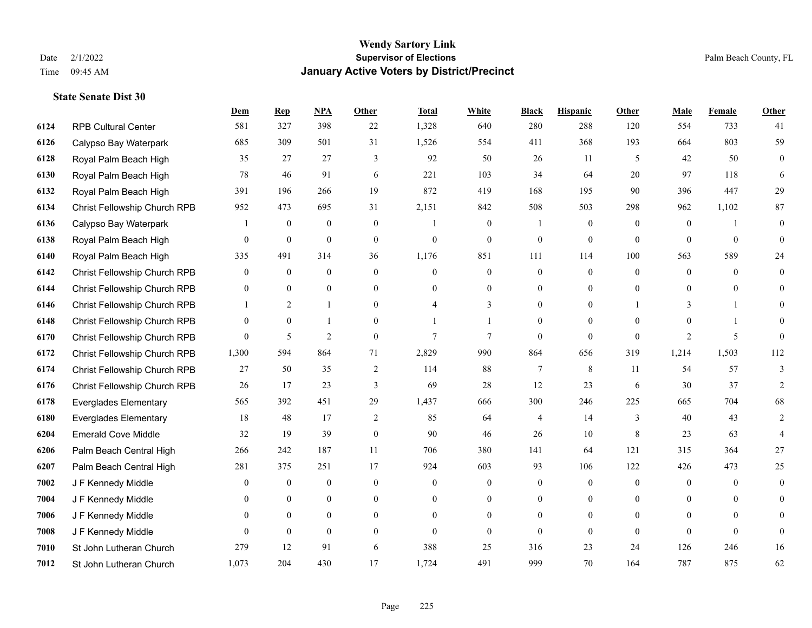|      |                              | <b>Dem</b>     | <b>Rep</b>       | NPA              | <b>Other</b>   | <b>Total</b>             | <b>White</b>     | <b>Black</b>   | <b>Hispanic</b>  | <b>Other</b> | <b>Male</b>      | Female         | <b>Other</b>   |
|------|------------------------------|----------------|------------------|------------------|----------------|--------------------------|------------------|----------------|------------------|--------------|------------------|----------------|----------------|
| 6124 | <b>RPB Cultural Center</b>   | 581            | 327              | 398              | 22             | 1,328                    | 640              | 280            | 288              | 120          | 554              | 733            | 41             |
| 6126 | Calypso Bay Waterpark        | 685            | 309              | 501              | 31             | 1,526                    | 554              | 411            | 368              | 193          | 664              | 803            | 59             |
| 6128 | Royal Palm Beach High        | 35             | 27               | 27               | 3              | 92                       | 50               | 26             | 11               | 5            | 42               | 50             | $\overline{0}$ |
| 6130 | Royal Palm Beach High        | 78             | 46               | 91               | 6              | 221                      | 103              | 34             | 64               | 20           | 97               | 118            | 6              |
| 6132 | Royal Palm Beach High        | 391            | 196              | 266              | 19             | 872                      | 419              | 168            | 195              | 90           | 396              | 447            | 29             |
| 6134 | Christ Fellowship Church RPB | 952            | 473              | 695              | 31             | 2,151                    | 842              | 508            | 503              | 298          | 962              | 1,102          | 87             |
| 6136 | Calypso Bay Waterpark        | 1              | $\boldsymbol{0}$ | $\boldsymbol{0}$ | $\overline{0}$ |                          | $\boldsymbol{0}$ |                | $\boldsymbol{0}$ | $\mathbf{0}$ | $\boldsymbol{0}$ | $\mathbf{1}$   | $\overline{0}$ |
| 6138 | Royal Palm Beach High        | 0              | $\mathbf{0}$     | $\mathbf{0}$     | $\Omega$       | $\theta$                 | $\overline{0}$   | $\mathbf{0}$   | $\mathbf{0}$     | $\theta$     | $\theta$         | $\theta$       | $\Omega$       |
| 6140 | Royal Palm Beach High        | 335            | 491              | 314              | 36             | 1,176                    | 851              | 111            | 114              | 100          | 563              | 589            | 24             |
| 6142 | Christ Fellowship Church RPB | $\overline{0}$ | $\mathbf{0}$     | $\mathbf{0}$     | $\Omega$       | $\theta$                 | $\overline{0}$   | $\overline{0}$ | $\mathbf{0}$     | $\theta$     | $\mathbf{0}$     | $\theta$       | $\overline{0}$ |
| 6144 | Christ Fellowship Church RPB | 0              | $\mathbf{0}$     | $\overline{0}$   | $\overline{0}$ | $\theta$                 | $\overline{0}$   | $\mathbf{0}$   | $\mathbf{0}$     | $\theta$     | $\overline{0}$   | $\overline{0}$ | $\theta$       |
| 6146 | Christ Fellowship Church RPB |                | 2                | $\mathbf{1}$     | $\Omega$       | $\boldsymbol{\varDelta}$ | 3                | $\theta$       | $\mathbf{0}$     |              | 3                |                | 0              |
| 6148 | Christ Fellowship Church RPB | 0              | $\mathbf{0}$     | 1                | $\Omega$       |                          |                  | $\theta$       | $\theta$         | $\Omega$     | $\Omega$         |                | $\theta$       |
| 6170 | Christ Fellowship Church RPB | $\overline{0}$ | 5                | $\overline{2}$   | $\overline{0}$ | 7                        | $\overline{7}$   | $\mathbf{0}$   | $\mathbf{0}$     | $\mathbf{0}$ | 2                | 5              | $\Omega$       |
| 6172 | Christ Fellowship Church RPB | 1,300          | 594              | 864              | 71             | 2,829                    | 990              | 864            | 656              | 319          | 1,214            | 1,503          | 112            |
| 6174 | Christ Fellowship Church RPB | 27             | 50               | 35               | 2              | 114                      | 88               | $\tau$         | 8                | -11          | 54               | 57             | 3              |
| 6176 | Christ Fellowship Church RPB | 26             | 17               | 23               | 3              | 69                       | 28               | 12             | 23               | 6            | 30               | 37             | $\overline{2}$ |
| 6178 | <b>Everglades Elementary</b> | 565            | 392              | 451              | 29             | 1,437                    | 666              | 300            | 246              | 225          | 665              | 704            | 68             |
| 6180 | <b>Everglades Elementary</b> | 18             | 48               | 17               | $\overline{2}$ | 85                       | 64               | 4              | 14               | 3            | 40               | 43             | 2              |
| 6204 | <b>Emerald Cove Middle</b>   | 32             | 19               | 39               | $\overline{0}$ | 90                       | 46               | 26             | 10               | 8            | 23               | 63             | 4              |
| 6206 | Palm Beach Central High      | 266            | 242              | 187              | 11             | 706                      | 380              | 141            | 64               | 121          | 315              | 364            | 27             |
| 6207 | Palm Beach Central High      | 281            | 375              | 251              | 17             | 924                      | 603              | 93             | 106              | 122          | 426              | 473            | 25             |
| 7002 | J F Kennedy Middle           | 0              | $\boldsymbol{0}$ | $\mathbf{0}$     | $\overline{0}$ | $\theta$                 | $\boldsymbol{0}$ | $\overline{0}$ | $\mathbf{0}$     | $\theta$     | $\mathbf{0}$     | $\theta$       | $\overline{0}$ |
| 7004 | J F Kennedy Middle           | 0              | $\overline{0}$   | $\overline{0}$   | $\Omega$       | $\theta$                 | $\overline{0}$   | $\mathbf{0}$   | $\mathbf{0}$     | $\theta$     | $\theta$         | $\Omega$       | $\Omega$       |
| 7006 | J F Kennedy Middle           | $\overline{0}$ | $\overline{0}$   | $\boldsymbol{0}$ | $\overline{0}$ | $\Omega$                 | $\boldsymbol{0}$ | $\overline{0}$ | $\mathbf{0}$     | $\theta$     | $\overline{0}$   | $\Omega$       | $\Omega$       |
| 7008 | J F Kennedy Middle           | 0              | $\mathbf{0}$     | $\mathbf{0}$     | $\theta$       | $\theta$                 | $\overline{0}$   | $\Omega$       | $\mathbf{0}$     | $\theta$     | $\theta$         | $\theta$       | $\mathbf{0}$   |
| 7010 | St John Lutheran Church      | 279            | 12               | 91               | 6              | 388                      | 25               | 316            | 23               | 24           | 126              | 246            | 16             |
| 7012 | St John Lutheran Church      | 1,073          | 204              | 430              | 17             | 1,724                    | 491              | 999            | 70               | 164          | 787              | 875            | 62             |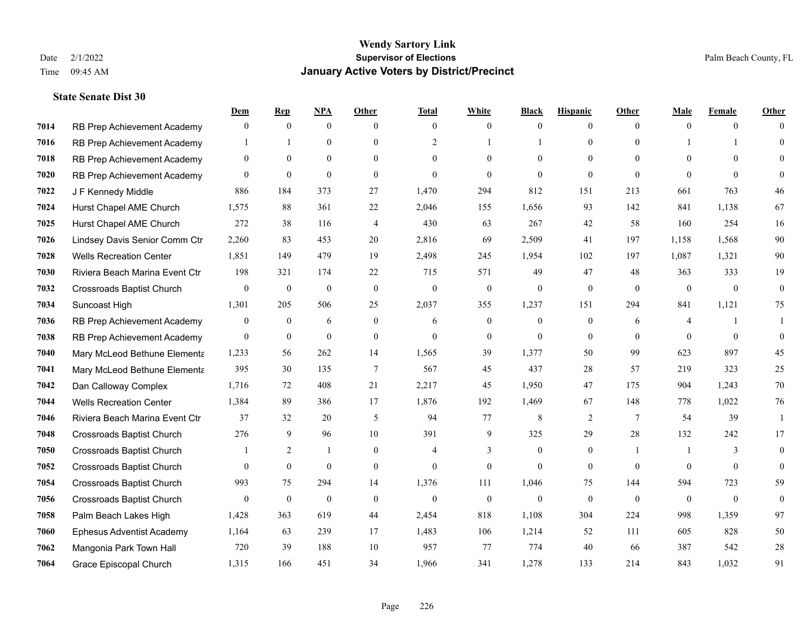|      |                                  | Dem            | <b>Rep</b>       | NPA              | <b>Other</b>   | <b>Total</b>             | <b>White</b>     | <b>Black</b> | <b>Hispanic</b> | <b>Other</b>   | <b>Male</b>    | <b>Female</b>  | <b>Other</b> |
|------|----------------------------------|----------------|------------------|------------------|----------------|--------------------------|------------------|--------------|-----------------|----------------|----------------|----------------|--------------|
| 7014 | RB Prep Achievement Academy      | $\mathbf{0}$   | $\mathbf{0}$     | $\overline{0}$   | $\theta$       | $\theta$                 | $\mathbf{0}$     | $\theta$     | $\mathbf{0}$    | $\theta$       | $\theta$       | $\theta$       | $\Omega$     |
| 7016 | RB Prep Achievement Academy      |                |                  | $\theta$         | $\Omega$       | 2                        |                  |              | $\theta$        | $\Omega$       |                |                | $\theta$     |
| 7018 | RB Prep Achievement Academy      | $\Omega$       | $\theta$         | $\theta$         | $\Omega$       | $\Omega$                 | $\Omega$         | $\Omega$     | $\Omega$        | $\Omega$       | $\Omega$       | $\Omega$       | $\Omega$     |
| 7020 | RB Prep Achievement Academy      | $\mathbf{0}$   | $\mathbf{0}$     | $\mathbf{0}$     | $\overline{0}$ | $\theta$                 | $\Omega$         | $\theta$     | $\mathbf{0}$    | $\theta$       | $\theta$       | $\theta$       | $\Omega$     |
| 7022 | J F Kennedy Middle               | 886            | 184              | 373              | 27             | 1,470                    | 294              | 812          | 151             | 213            | 661            | 763            | 46           |
| 7024 | Hurst Chapel AME Church          | 1,575          | 88               | 361              | 22             | 2,046                    | 155              | 1,656        | 93              | 142            | 841            | 1,138          | 67           |
| 7025 | Hurst Chapel AME Church          | 272            | 38               | 116              | 4              | 430                      | 63               | 267          | 42              | 58             | 160            | 254            | 16           |
| 7026 | Lindsey Davis Senior Comm Ctr    | 2,260          | 83               | 453              | 20             | 2,816                    | 69               | 2,509        | 41              | 197            | 1,158          | 1,568          | 90           |
| 7028 | <b>Wells Recreation Center</b>   | 1,851          | 149              | 479              | 19             | 2,498                    | 245              | 1,954        | 102             | 197            | 1,087          | 1,321          | 90           |
| 7030 | Riviera Beach Marina Event Ctr   | 198            | 321              | 174              | 22             | 715                      | 571              | 49           | 47              | 48             | 363            | 333            | 19           |
| 7032 | <b>Crossroads Baptist Church</b> | $\mathbf{0}$   | $\boldsymbol{0}$ | $\boldsymbol{0}$ | $\mathbf{0}$   | $\mathbf{0}$             | $\boldsymbol{0}$ | $\mathbf{0}$ | $\mathbf{0}$    | $\theta$       | $\overline{0}$ | $\overline{0}$ | $\mathbf{0}$ |
| 7034 | Suncoast High                    | 1,301          | 205              | 506              | 25             | 2,037                    | 355              | 1,237        | 151             | 294            | 841            | 1,121          | 75           |
| 7036 | RB Prep Achievement Academy      | $\mathbf{0}$   | $\overline{0}$   | 6                | $\overline{0}$ | 6                        | $\mathbf{0}$     | $\mathbf{0}$ | $\mathbf{0}$    | 6              | 4              |                | 1            |
| 7038 | RB Prep Achievement Academy      | $\mathbf{0}$   | $\boldsymbol{0}$ | $\mathbf{0}$     | $\overline{0}$ | $\theta$                 | $\boldsymbol{0}$ | $\mathbf{0}$ | $\mathbf{0}$    | $\Omega$       | $\theta$       | $\theta$       | $\theta$     |
| 7040 | Mary McLeod Bethune Elementa     | 1,233          | 56               | 262              | 14             | 1,565                    | 39               | 1,377        | 50              | 99             | 623            | 897            | 45           |
| 7041 | Mary McLeod Bethune Elementa     | 395            | 30               | 135              | 7              | 567                      | 45               | 437          | 28              | 57             | 219            | 323            | 25           |
| 7042 | Dan Calloway Complex             | 1,716          | 72               | 408              | 21             | 2,217                    | 45               | 1,950        | 47              | 175            | 904            | 1.243          | 70           |
| 7044 | <b>Wells Recreation Center</b>   | 1,384          | 89               | 386              | 17             | 1,876                    | 192              | 1,469        | 67              | 148            | 778            | 1,022          | 76           |
| 7046 | Riviera Beach Marina Event Ctr   | 37             | 32               | 20               | 5              | 94                       | 77               | 8            | 2               | 7              | 54             | 39             | -1           |
| 7048 | <b>Crossroads Baptist Church</b> | 276            | 9                | 96               | 10             | 391                      | 9                | 325          | 29              | 28             | 132            | 242            | 17           |
| 7050 | <b>Crossroads Baptist Church</b> |                | 2                | $\mathbf{1}$     | $\Omega$       | $\boldsymbol{\varDelta}$ | 3                | $\Omega$     | $\theta$        | $\overline{1}$ |                | $\mathcal{F}$  | $\theta$     |
| 7052 | <b>Crossroads Baptist Church</b> | $\overline{0}$ | $\boldsymbol{0}$ | $\mathbf{0}$     | $\overline{0}$ | $\theta$                 | $\mathbf{0}$     | $\mathbf{0}$ | $\mathbf{0}$    | $\overline{0}$ | $\overline{0}$ | $\mathbf{0}$   | $\theta$     |
| 7054 | <b>Crossroads Baptist Church</b> | 993            | 75               | 294              | 14             | 1,376                    | 111              | 1,046        | 75              | 144            | 594            | 723            | 59           |
| 7056 | <b>Crossroads Baptist Church</b> | $\mathbf{0}$   | $\mathbf{0}$     | $\mathbf{0}$     | $\theta$       | $\theta$                 | $\mathbf{0}$     | $\theta$     | $\theta$        | $\Omega$       | $\mathbf{0}$   | $\theta$       | $\theta$     |
| 7058 | Palm Beach Lakes High            | 1,428          | 363              | 619              | 44             | 2,454                    | 818              | 1,108        | 304             | 224            | 998            | 1,359          | 97           |
| 7060 | <b>Ephesus Adventist Academy</b> | 1,164          | 63               | 239              | 17             | 1,483                    | 106              | 1,214        | 52              | 111            | 605            | 828            | 50           |
| 7062 | Mangonia Park Town Hall          | 720            | 39               | 188              | 10             | 957                      | 77               | 774          | 40              | 66             | 387            | 542            | 28           |
| 7064 | Grace Episcopal Church           | 1,315          | 166              | 451              | 34             | 1,966                    | 341              | 1,278        | 133             | 214            | 843            | 1,032          | 91           |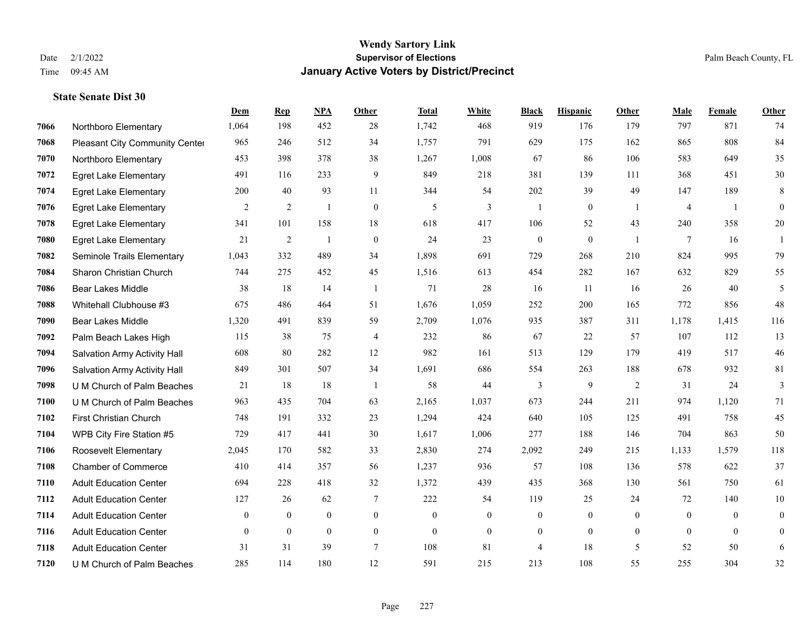#### **Wendy Sartory Link** Date 2/1/2022 **Supervisor of Elections** Palm Beach County, FL Time 09:45 AM **January Active Voters by District/Precinct**

# **Dem Rep NPA Other Total White Black Hispanic Other Male Female Other** Northboro Elementary 1,064 198 452 28 1,742 468 919 176 179 797 871 74 Pleasant City Community Center 965 246 512 34 1,757 791 629 175 162 865 808 84 Northboro Elementary 453 398 378 38 1,267 1,008 67 86 106 583 649 35 Egret Lake Elementary 491 116 233 9 849 218 381 139 111 368 451 30 Egret Lake Elementary 200 40 93 11 344 54 202 39 49 147 189 8 Egret Lake Elementary 2 2 1 0 5 3 1 0 1 4 1 0 Egret Lake Elementary 341 101 158 18 618 417 106 52 43 240 358 20 Egret Lake Elementary 21 2 1 0 24 23 0 0 1 7 16 1 Seminole Trails Elementary 1,043 332 489 34 1,898 691 729 268 210 824 995 79 Sharon Christian Church 744 275 452 45 1,516 613 454 282 167 632 829 55 Bear Lakes Middle 38 18 14 1 71 28 16 11 16 26 40 5 Whitehall Clubhouse #3 675 486 464 51 1,676 1,059 252 200 165 772 856 48 Bear Lakes Middle 1,320 491 839 59 2,709 1,076 935 387 311 1,178 1,415 116 Palm Beach Lakes High 115 38 75 4 232 86 67 22 57 107 112 13 Salvation Army Activity Hall 608 80 282 12 982 161 513 129 179 419 517 46 Salvation Army Activity Hall 849 301 507 34 1,691 686 554 263 188 678 932 81 U M Church of Palm Beaches 21 18 18 1 58 44 3 9 2 31 24 3 U M Church of Palm Beaches 963 435 704 63 2,165 1,037 673 244 211 974 1,120 71 First Christian Church 748 191 332 23 1,294 424 640 105 125 491 758 45 WPB City Fire Station #5 729 417 441 30 1,617 1,006 277 188 146 704 863 50 Roosevelt Elementary 2,045 170 582 33 2,830 274 2,092 249 215 1,133 1,579 118 Chamber of Commerce 410 414 357 56 1,237 936 57 108 136 578 622 37 Adult Education Center 694 228 418 32 1,372 439 435 368 130 561 750 61 Adult Education Center 127 26 62 7 222 54 119 25 24 72 140 10 Adult Education Center 0 0 0 0 0 0 0 0 0 0 0 0 Adult Education Center 0 0 0 0 0 0 0 0 0 0 0 0 Adult Education Center 31 31 39 7 108 81 4 18 5 52 50 6

U M Church of Palm Beaches 285 114 180 12 591 215 213 108 55 255 304 32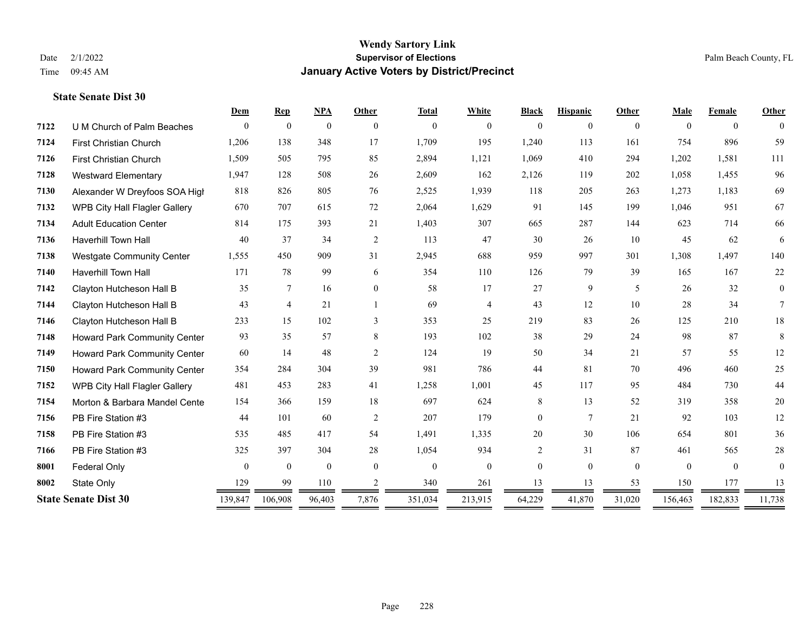|      |                                     | Dem            | <b>Rep</b>     | NPA          | Other          | <b>Total</b> | White          | <b>Black</b>   | <b>Hispanic</b> | Other        | Male         | Female   | Other          |
|------|-------------------------------------|----------------|----------------|--------------|----------------|--------------|----------------|----------------|-----------------|--------------|--------------|----------|----------------|
| 7122 | U M Church of Palm Beaches          | $\Omega$       | $\mathbf{0}$   | $\mathbf{0}$ | $\theta$       | $\mathbf{0}$ | $\theta$       | $\overline{0}$ | 0               | $\Omega$     | $\Omega$     | $\theta$ | $\Omega$       |
| 7124 | First Christian Church              | 1,206          | 138            | 348          | 17             | 1,709        | 195            | 1,240          | 113             | 161          | 754          | 896      | 59             |
| 7126 | <b>First Christian Church</b>       | 1,509          | 505            | 795          | 85             | 2,894        | 1,121          | 1,069          | 410             | 294          | 1,202        | 1,581    | 111            |
| 7128 | <b>Westward Elementary</b>          | 1,947          | 128            | 508          | 26             | 2,609        | 162            | 2,126          | 119             | 202          | 1,058        | 1,455    | 96             |
| 7130 | Alexander W Dreyfoos SOA High       | 818            | 826            | 805          | 76             | 2,525        | 1,939          | 118            | 205             | 263          | 1,273        | 1,183    | 69             |
| 7132 | WPB City Hall Flagler Gallery       | 670            | 707            | 615          | 72             | 2,064        | 1,629          | 91             | 145             | 199          | 1.046        | 951      | 67             |
| 7134 | <b>Adult Education Center</b>       | 814            | 175            | 393          | 21             | 1,403        | 307            | 665            | 287             | 144          | 623          | 714      | 66             |
| 7136 | Haverhill Town Hall                 | 40             | 37             | 34           | 2              | 113          | 47             | 30             | 26              | 10           | 45           | 62       | 6              |
| 7138 | <b>Westgate Community Center</b>    | 1,555          | 450            | 909          | 31             | 2,945        | 688            | 959            | 997             | 301          | 1,308        | 1,497    | 140            |
| 7140 | <b>Haverhill Town Hall</b>          | 171            | 78             | 99           | 6              | 354          | 110            | 126            | 79              | 39           | 165          | 167      | $22\,$         |
| 7142 | Clayton Hutcheson Hall B            | 35             | 7              | 16           | $\overline{0}$ | 58           | 17             | 27             | 9               | 5            | 26           | 32       | $\overline{0}$ |
| 7144 | Clayton Hutcheson Hall B            | 43             | $\overline{4}$ | 21           |                | 69           | $\overline{4}$ | 43             | 12              | 10           | 28           | 34       | $\tau$         |
| 7146 | Clayton Hutcheson Hall B            | 233            | 15             | 102          | 3              | 353          | 25             | 219            | 83              | 26           | 125          | 210      | 18             |
| 7148 | Howard Park Community Center        | 93             | 35             | 57           | 8              | 193          | 102            | 38             | 29              | 24           | 98           | 87       | 8              |
| 7149 | <b>Howard Park Community Center</b> | 60             | 14             | 48           | 2              | 124          | 19             | 50             | 34              | 21           | 57           | 55       | 12             |
| 7150 | <b>Howard Park Community Center</b> | 354            | 284            | 304          | 39             | 981          | 786            | 44             | 81              | 70           | 496          | 460      | 25             |
| 7152 | WPB City Hall Flagler Gallery       | 481            | 453            | 283          | 41             | 1,258        | 1,001          | 45             | 117             | 95           | 484          | 730      | 44             |
| 7154 | Morton & Barbara Mandel Cente       | 154            | 366            | 159          | 18             | 697          | 624            | 8              | 13              | 52           | 319          | 358      | 20             |
| 7156 | PB Fire Station #3                  | 44             | 101            | 60           | 2              | 207          | 179            | $\overline{0}$ | $7\phantom{.0}$ | 21           | 92           | 103      | 12             |
| 7158 | PB Fire Station #3                  | 535            | 485            | 417          | 54             | 1,491        | 1,335          | 20             | 30              | 106          | 654          | 801      | 36             |
| 7166 | PB Fire Station #3                  | 325            | 397            | 304          | 28             | 1,054        | 934            | 2              | 31              | 87           | 461          | 565      | 28             |
| 8001 | <b>Federal Only</b>                 | $\overline{0}$ | $\mathbf{0}$   | $\mathbf{0}$ | $\theta$       | $\mathbf{0}$ | $\mathbf{0}$   | $\overline{0}$ | $\Omega$        | $\mathbf{0}$ | $\mathbf{0}$ | $\theta$ | $\theta$       |
| 8002 | State Only                          | 129            | 99             | 110          | 2              | 340          | 261            | 13             | 13              | 53           | 150          | 177      | 13             |
|      | <b>State Senate Dist 30</b>         | 139,847        | 106,908        | 96,403       | 7,876          | 351,034      | 213,915        | 64,229         | 41,870          | 31,020       | 156,463      | 182,833  | 11,738         |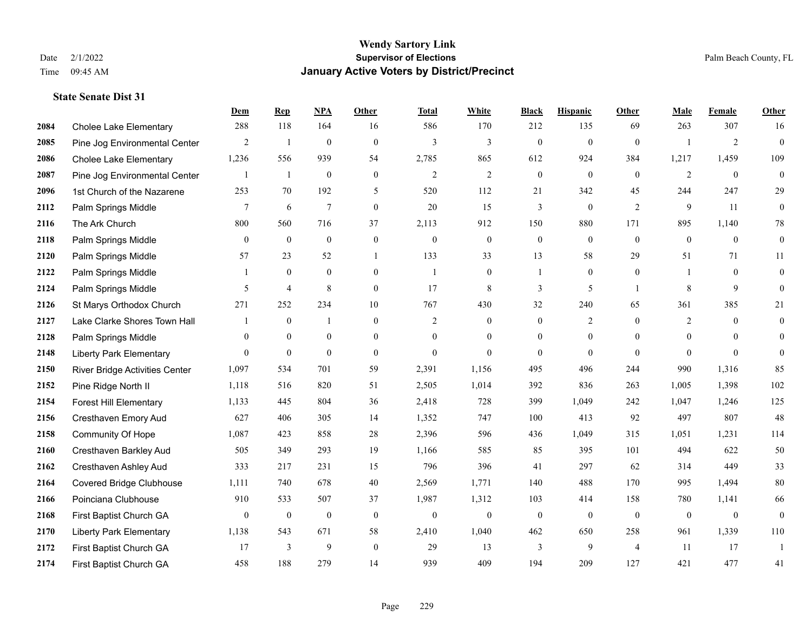|      |                                 | Dem            | <b>Rep</b>     | NPA              | <b>Other</b>     | <b>Total</b>   | <b>White</b>     | <b>Black</b>     | <b>Hispanic</b>  | <b>Other</b>   | <b>Male</b>    | <b>Female</b>  | <b>Other</b>     |
|------|---------------------------------|----------------|----------------|------------------|------------------|----------------|------------------|------------------|------------------|----------------|----------------|----------------|------------------|
| 2084 | <b>Cholee Lake Elementary</b>   | 288            | 118            | 164              | 16               | 586            | 170              | 212              | 135              | 69             | 263            | 307            | 16               |
| 2085 | Pine Jog Environmental Center   | $\overline{2}$ | -1             | $\mathbf{0}$     | $\mathbf{0}$     | 3              | $\overline{3}$   | $\mathbf{0}$     | $\mathbf{0}$     | $\theta$       |                | $\overline{2}$ | $\mathbf{0}$     |
| 2086 | <b>Cholee Lake Elementary</b>   | 1,236          | 556            | 939              | 54               | 2,785          | 865              | 612              | 924              | 384            | 1,217          | 1,459          | 109              |
| 2087 | Pine Jog Environmental Center   | 1              | $\mathbf{1}$   | $\boldsymbol{0}$ | $\boldsymbol{0}$ | $\overline{2}$ | $\mathfrak{2}$   | $\boldsymbol{0}$ | $\mathbf{0}$     | $\mathbf{0}$   | $\overline{2}$ | $\mathbf{0}$   | $\mathbf{0}$     |
| 2096 | 1st Church of the Nazarene      | 253            | 70             | 192              | 5                | 520            | 112              | 21               | 342              | 45             | 244            | 247            | 29               |
| 2112 | Palm Springs Middle             | 7              | 6              | $\overline{7}$   | $\boldsymbol{0}$ | 20             | 15               | 3                | $\boldsymbol{0}$ | 2              | 9              | 11             | $\boldsymbol{0}$ |
| 2116 | The Ark Church                  | 800            | 560            | 716              | 37               | 2,113          | 912              | 150              | 880              | 171            | 895            | 1,140          | 78               |
| 2118 | Palm Springs Middle             | $\theta$       | $\theta$       | $\theta$         | $\theta$         | $\theta$       | $\mathbf{0}$     | $\mathbf{0}$     | $\theta$         | $\theta$       | $\theta$       | $\theta$       | $\boldsymbol{0}$ |
| 2120 | Palm Springs Middle             | 57             | 23             | 52               |                  | 133            | 33               | 13               | 58               | 29             | 51             | 71             | 11               |
| 2122 | Palm Springs Middle             | 1              | $\overline{0}$ | $\mathbf{0}$     | $\overline{0}$   | $\overline{1}$ | $\mathbf{0}$     |                  | $\overline{0}$   | $\theta$       |                | $\theta$       | $\mathbf{0}$     |
| 2124 | Palm Springs Middle             | 5              | $\overline{4}$ | 8                | $\mathbf{0}$     | 17             | 8                | 3                | 5                | $\overline{1}$ | 8              | 9              | $\theta$         |
| 2126 | St Marys Orthodox Church        | 271            | 252            | 234              | 10               | 767            | 430              | 32               | 240              | 65             | 361            | 385            | 21               |
| 2127 | Lake Clarke Shores Town Hall    | 1              | $\mathbf{0}$   | $\mathbf{1}$     | $\mathbf{0}$     | $\overline{2}$ | $\mathbf{0}$     | $\mathbf{0}$     | $\overline{2}$   | $\Omega$       | 2              | $\theta$       | $\overline{0}$   |
| 2128 | Palm Springs Middle             | $\overline{0}$ | $\mathbf{0}$   | $\boldsymbol{0}$ | $\boldsymbol{0}$ | $\theta$       | $\boldsymbol{0}$ | $\boldsymbol{0}$ | $\boldsymbol{0}$ | $\mathbf{0}$   | $\mathbf{0}$   | $\mathbf{0}$   | $\mathbf{0}$     |
| 2148 | <b>Liberty Park Elementary</b>  | $\overline{0}$ | $\bf{0}$       | $\mathbf{0}$     | $\mathbf{0}$     | $\theta$       | $\Omega$         | $\mathbf{0}$     | $\mathbf{0}$     | $\theta$       | $\theta$       | $\theta$       | $\theta$         |
| 2150 | River Bridge Activities Center  | 1,097          | 534            | 701              | 59               | 2,391          | 1,156            | 495              | 496              | 244            | 990            | 1,316          | 85               |
| 2152 | Pine Ridge North II             | 1,118          | 516            | 820              | 51               | 2,505          | 1,014            | 392              | 836              | 263            | 1,005          | 1,398          | 102              |
| 2154 | <b>Forest Hill Elementary</b>   | 1,133          | 445            | 804              | 36               | 2,418          | 728              | 399              | 1,049            | 242            | 1,047          | 1,246          | 125              |
| 2156 | Cresthaven Emory Aud            | 627            | 406            | 305              | 14               | 1,352          | 747              | 100              | 413              | 92             | 497            | 807            | 48               |
| 2158 | Community Of Hope               | 1,087          | 423            | 858              | 28               | 2,396          | 596              | 436              | 1,049            | 315            | 1,051          | 1,231          | 114              |
| 2160 | Cresthaven Barkley Aud          | 505            | 349            | 293              | 19               | 1,166          | 585              | 85               | 395              | 101            | 494            | 622            | 50               |
| 2162 | Cresthaven Ashley Aud           | 333            | 217            | 231              | 15               | 796            | 396              | 41               | 297              | 62             | 314            | 449            | 33               |
| 2164 | <b>Covered Bridge Clubhouse</b> | 1,111          | 740            | 678              | 40               | 2,569          | 1,771            | 140              | 488              | 170            | 995            | 1,494          | $80\,$           |
| 2166 | Poinciana Clubhouse             | 910            | 533            | 507              | 37               | 1,987          | 1,312            | 103              | 414              | 158            | 780            | 1,141          | 66               |
| 2168 | First Baptist Church GA         | $\overline{0}$ | $\mathbf{0}$   | $\overline{0}$   | $\mathbf{0}$     | $\mathbf{0}$   | $\boldsymbol{0}$ | $\mathbf{0}$     | $\mathbf{0}$     | $\theta$       | $\theta$       | $\theta$       | $\mathbf{0}$     |
| 2170 | <b>Liberty Park Elementary</b>  | 1,138          | 543            | 671              | 58               | 2,410          | 1,040            | 462              | 650              | 258            | 961            | 1,339          | 110              |
| 2172 | First Baptist Church GA         | 17             | 3              | 9                | $\mathbf{0}$     | 29             | 13               | 3                | 9                | $\overline{4}$ | 11             | 17             | $\overline{1}$   |
| 2174 | First Baptist Church GA         | 458            | 188            | 279              | 14               | 939            | 409              | 194              | 209              | 127            | 421            | 477            | 41               |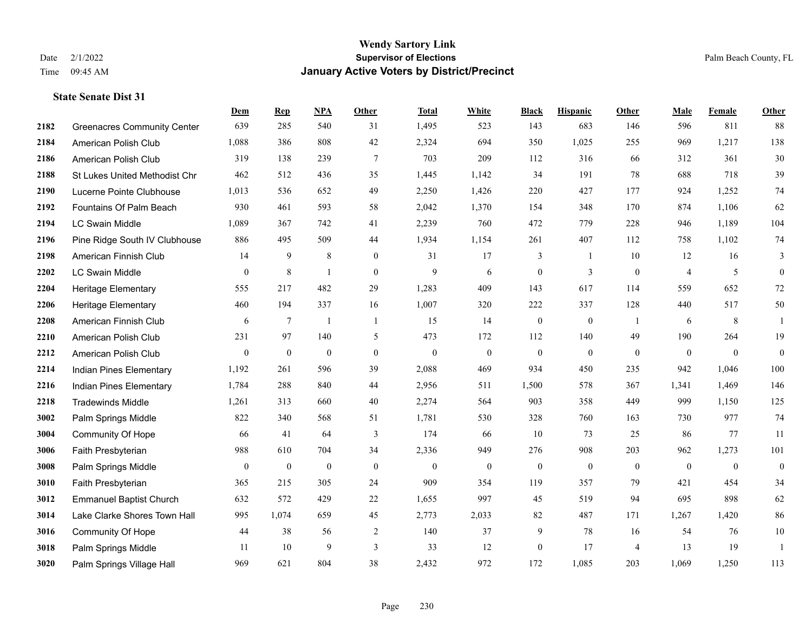|      |                                    | Dem            | <b>Rep</b>       | NPA              | <b>Other</b>     | <b>Total</b> | <b>White</b>     | <b>Black</b>     | <b>Hispanic</b>  | Other          | <b>Male</b>    | <b>Female</b> | <b>Other</b>     |
|------|------------------------------------|----------------|------------------|------------------|------------------|--------------|------------------|------------------|------------------|----------------|----------------|---------------|------------------|
| 2182 | <b>Greenacres Community Center</b> | 639            | 285              | 540              | 31               | 1,495        | 523              | 143              | 683              | 146            | 596            | 811           | 88               |
| 2184 | American Polish Club               | 1,088          | 386              | 808              | 42               | 2,324        | 694              | 350              | 1,025            | 255            | 969            | 1,217         | 138              |
| 2186 | American Polish Club               | 319            | 138              | 239              | $\overline{7}$   | 703          | 209              | 112              | 316              | 66             | 312            | 361           | 30               |
| 2188 | St Lukes United Methodist Chr      | 462            | 512              | 436              | 35               | 1,445        | 1,142            | 34               | 191              | 78             | 688            | 718           | 39               |
| 2190 | Lucerne Pointe Clubhouse           | 1,013          | 536              | 652              | 49               | 2,250        | 1,426            | 220              | 427              | 177            | 924            | 1,252         | 74               |
| 2192 | Fountains Of Palm Beach            | 930            | 461              | 593              | 58               | 2,042        | 1,370            | 154              | 348              | 170            | 874            | 1,106         | 62               |
| 2194 | <b>LC Swain Middle</b>             | 1,089          | 367              | 742              | 41               | 2,239        | 760              | 472              | 779              | 228            | 946            | 1,189         | 104              |
| 2196 | Pine Ridge South IV Clubhouse      | 886            | 495              | 509              | 44               | 1,934        | 1,154            | 261              | 407              | 112            | 758            | 1,102         | 74               |
| 2198 | American Finnish Club              | 14             | 9                | 8                | $\boldsymbol{0}$ | 31           | 17               | 3                | 1                | 10             | 12             | 16            | 3                |
| 2202 | <b>LC Swain Middle</b>             | $\mathbf{0}$   | 8                | $\overline{1}$   | $\mathbf{0}$     | 9            | 6                | $\boldsymbol{0}$ | 3                | $\mathbf{0}$   | $\overline{4}$ | 5             | $\boldsymbol{0}$ |
| 2204 | <b>Heritage Elementary</b>         | 555            | 217              | 482              | 29               | 1,283        | 409              | 143              | 617              | 114            | 559            | 652           | $72\,$           |
| 2206 | <b>Heritage Elementary</b>         | 460            | 194              | 337              | 16               | 1,007        | 320              | 222              | 337              | 128            | 440            | 517           | 50               |
| 2208 | American Finnish Club              | 6              | $\tau$           | $\overline{1}$   | $\mathbf{1}$     | 15           | 14               | $\boldsymbol{0}$ | $\mathbf{0}$     | -1             | 6              | 8             | $\mathbf{1}$     |
| 2210 | American Polish Club               | 231            | 97               | 140              | 5                | 473          | 172              | 112              | 140              | 49             | 190            | 264           | 19               |
| 2212 | American Polish Club               | $\overline{0}$ | $\bf{0}$         | $\boldsymbol{0}$ | $\mathbf{0}$     | $\mathbf{0}$ | $\boldsymbol{0}$ | $\boldsymbol{0}$ | $\boldsymbol{0}$ | $\overline{0}$ | $\mathbf{0}$   | $\mathbf{0}$  | $\boldsymbol{0}$ |
| 2214 | Indian Pines Elementary            | 1,192          | 261              | 596              | 39               | 2,088        | 469              | 934              | 450              | 235            | 942            | 1,046         | 100              |
| 2216 | Indian Pines Elementary            | 1,784          | 288              | 840              | 44               | 2,956        | 511              | 1,500            | 578              | 367            | 1,341          | 1,469         | 146              |
| 2218 | <b>Tradewinds Middle</b>           | 1,261          | 313              | 660              | 40               | 2,274        | 564              | 903              | 358              | 449            | 999            | 1,150         | 125              |
| 3002 | Palm Springs Middle                | 822            | 340              | 568              | 51               | 1,781        | 530              | 328              | 760              | 163            | 730            | 977           | 74               |
| 3004 | <b>Community Of Hope</b>           | 66             | 41               | 64               | 3                | 174          | 66               | 10               | 73               | 25             | 86             | 77            | 11               |
| 3006 | Faith Presbyterian                 | 988            | 610              | 704              | 34               | 2,336        | 949              | 276              | 908              | 203            | 962            | 1,273         | 101              |
| 3008 | Palm Springs Middle                | $\mathbf{0}$   | $\boldsymbol{0}$ | $\boldsymbol{0}$ | $\boldsymbol{0}$ | $\mathbf{0}$ | $\boldsymbol{0}$ | $\boldsymbol{0}$ | $\boldsymbol{0}$ | $\mathbf{0}$   | $\mathbf{0}$   | $\mathbf{0}$  | $\boldsymbol{0}$ |
| 3010 | Faith Presbyterian                 | 365            | 215              | 305              | 24               | 909          | 354              | 119              | 357              | 79             | 421            | 454           | 34               |
| 3012 | <b>Emmanuel Baptist Church</b>     | 632            | 572              | 429              | 22               | 1,655        | 997              | 45               | 519              | 94             | 695            | 898           | 62               |
| 3014 | Lake Clarke Shores Town Hall       | 995            | 1,074            | 659              | 45               | 2,773        | 2,033            | 82               | 487              | 171            | 1,267          | 1,420         | 86               |
| 3016 | <b>Community Of Hope</b>           | 44             | 38               | 56               | $\overline{2}$   | 140          | 37               | 9                | 78               | 16             | 54             | 76            | $10\,$           |
| 3018 | Palm Springs Middle                | 11             | 10               | 9                | 3                | 33           | 12               | $\boldsymbol{0}$ | 17               | $\overline{4}$ | 13             | 19            | $\mathbf{1}$     |
| 3020 | Palm Springs Village Hall          | 969            | 621              | 804              | 38               | 2,432        | 972              | 172              | 1,085            | 203            | 1,069          | 1,250         | 113              |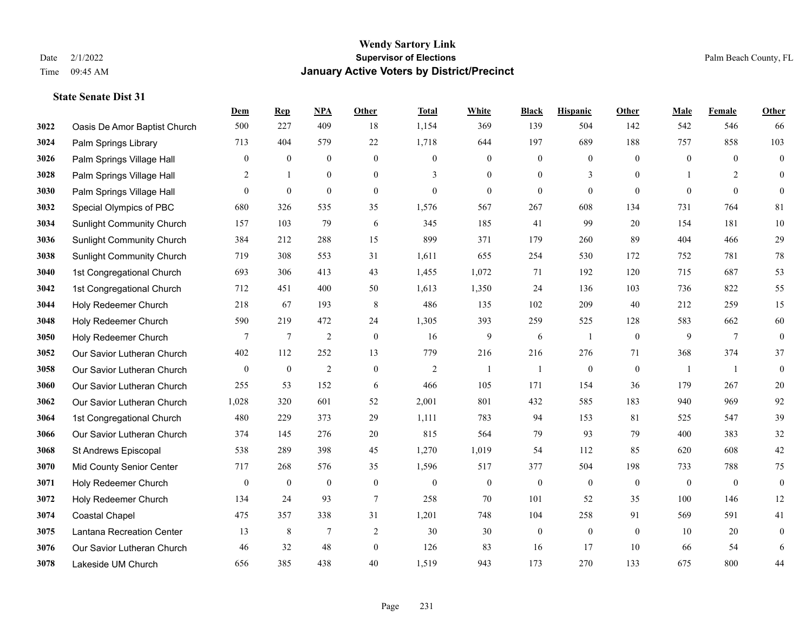|      |                                  | Dem              | <b>Rep</b>     | NPA              | <b>Other</b>     | <b>Total</b>   | <b>White</b>     | <b>Black</b>     | <b>Hispanic</b>  | <b>Other</b>   | <b>Male</b>    | Female         | <b>Other</b>     |
|------|----------------------------------|------------------|----------------|------------------|------------------|----------------|------------------|------------------|------------------|----------------|----------------|----------------|------------------|
| 3022 | Oasis De Amor Baptist Church     | 500              | 227            | 409              | 18               | 1,154          | 369              | 139              | 504              | 142            | 542            | 546            | 66               |
| 3024 | Palm Springs Library             | 713              | 404            | 579              | 22               | 1,718          | 644              | 197              | 689              | 188            | 757            | 858            | 103              |
| 3026 | Palm Springs Village Hall        | $\mathbf{0}$     | $\mathbf{0}$   | $\mathbf{0}$     | $\mathbf{0}$     | $\theta$       | $\overline{0}$   | $\mathbf{0}$     | $\mathbf{0}$     | $\theta$       | $\mathbf{0}$   | $\theta$       | $\boldsymbol{0}$ |
| 3028 | Palm Springs Village Hall        | $\overline{2}$   | 1              | $\boldsymbol{0}$ | $\boldsymbol{0}$ | 3              | $\boldsymbol{0}$ | $\boldsymbol{0}$ | 3                | $\overline{0}$ |                | 2              | $\mathbf{0}$     |
| 3030 | Palm Springs Village Hall        | $\overline{0}$   | $\mathbf{0}$   | $\mathbf{0}$     | $\overline{0}$   | $\mathbf{0}$   | $\overline{0}$   | $\boldsymbol{0}$ | $\mathbf{0}$     | $\theta$       | $\theta$       | $\theta$       | $\mathbf{0}$     |
| 3032 | Special Olympics of PBC          | 680              | 326            | 535              | 35               | 1,576          | 567              | 267              | 608              | 134            | 731            | 764            | 81               |
| 3034 | <b>Sunlight Community Church</b> | 157              | 103            | 79               | 6                | 345            | 185              | 41               | 99               | 20             | 154            | 181            | $10\,$           |
| 3036 | <b>Sunlight Community Church</b> | 384              | 212            | 288              | 15               | 899            | 371              | 179              | 260              | 89             | 404            | 466            | 29               |
| 3038 | <b>Sunlight Community Church</b> | 719              | 308            | 553              | 31               | 1,611          | 655              | 254              | 530              | 172            | 752            | 781            | $78\,$           |
| 3040 | 1st Congregational Church        | 693              | 306            | 413              | 43               | 1,455          | 1,072            | 71               | 192              | 120            | 715            | 687            | 53               |
| 3042 | 1st Congregational Church        | 712              | 451            | 400              | 50               | 1,613          | 1,350            | 24               | 136              | 103            | 736            | 822            | 55               |
| 3044 | Holy Redeemer Church             | 218              | 67             | 193              | 8                | 486            | 135              | 102              | 209              | 40             | 212            | 259            | 15               |
| 3048 | Holy Redeemer Church             | 590              | 219            | 472              | 24               | 1,305          | 393              | 259              | 525              | 128            | 583            | 662            | 60               |
| 3050 | Holy Redeemer Church             | 7                | $\overline{7}$ | $\sqrt{2}$       | $\boldsymbol{0}$ | 16             | 9                | $\sqrt{6}$       | 1                | $\mathbf{0}$   | 9              | $\tau$         | $\boldsymbol{0}$ |
| 3052 | Our Savior Lutheran Church       | 402              | 112            | 252              | 13               | 779            | 216              | 216              | 276              | 71             | 368            | 374            | 37               |
| 3058 | Our Savior Lutheran Church       | $\mathbf{0}$     | $\bf{0}$       | $\overline{2}$   | $\mathbf{0}$     | $\overline{2}$ | -1               | 1                | $\boldsymbol{0}$ | $\mathbf{0}$   | $\overline{1}$ | -1             | $\boldsymbol{0}$ |
| 3060 | Our Savior Lutheran Church       | 255              | 53             | 152              | 6                | 466            | 105              | 171              | 154              | 36             | 179            | 267            | $20\,$           |
| 3062 | Our Savior Lutheran Church       | 1,028            | 320            | 601              | 52               | 2,001          | 801              | 432              | 585              | 183            | 940            | 969            | 92               |
| 3064 | 1st Congregational Church        | 480              | 229            | 373              | 29               | 1,111          | 783              | 94               | 153              | 81             | 525            | 547            | 39               |
| 3066 | Our Savior Lutheran Church       | 374              | 145            | 276              | 20               | 815            | 564              | 79               | 93               | 79             | 400            | 383            | $32\,$           |
| 3068 | St Andrews Episcopal             | 538              | 289            | 398              | 45               | 1,270          | 1,019            | 54               | 112              | 85             | 620            | 608            | 42               |
| 3070 | Mid County Senior Center         | 717              | 268            | 576              | 35               | 1,596          | 517              | 377              | 504              | 198            | 733            | 788            | 75               |
| 3071 | Holy Redeemer Church             | $\boldsymbol{0}$ | $\bf{0}$       | $\boldsymbol{0}$ | $\boldsymbol{0}$ | $\mathbf{0}$   | $\mathbf{0}$     | $\overline{0}$   | $\boldsymbol{0}$ | $\overline{0}$ | $\mathbf{0}$   | $\overline{0}$ | $\boldsymbol{0}$ |
| 3072 | Holy Redeemer Church             | 134              | 24             | 93               | $\overline{7}$   | 258            | 70               | 101              | 52               | 35             | 100            | 146            | 12               |
| 3074 | <b>Coastal Chapel</b>            | 475              | 357            | 338              | 31               | 1,201          | 748              | 104              | 258              | 91             | 569            | 591            | 41               |
| 3075 | Lantana Recreation Center        | 13               | 8              | $\overline{7}$   | $\overline{2}$   | 30             | 30               | $\boldsymbol{0}$ | $\mathbf{0}$     | $\overline{0}$ | 10             | 20             | $\boldsymbol{0}$ |
| 3076 | Our Savior Lutheran Church       | 46               | 32             | 48               | $\overline{0}$   | 126            | 83               | 16               | 17               | 10             | 66             | 54             | 6                |
| 3078 | Lakeside UM Church               | 656              | 385            | 438              | 40               | 1,519          | 943              | 173              | 270              | 133            | 675            | 800            | 44               |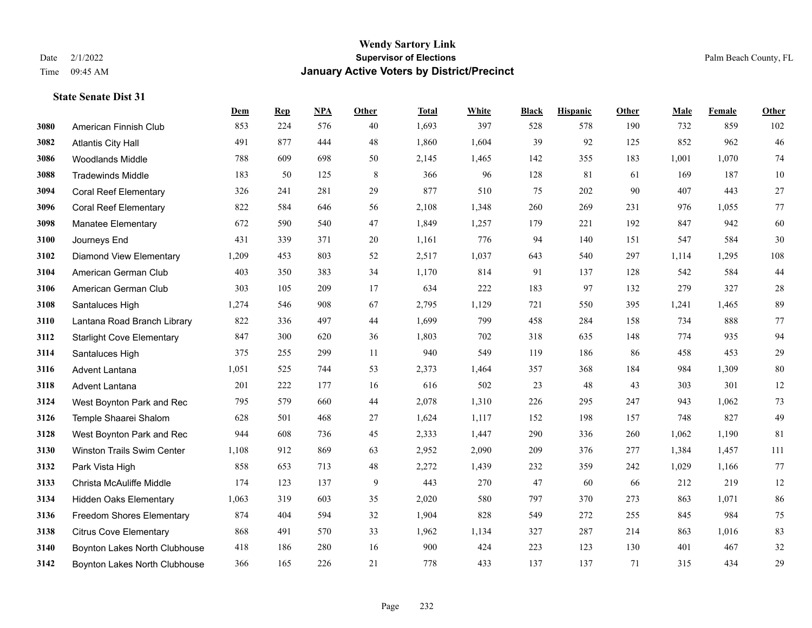|      |                                  | Dem   | <b>Rep</b> | NPA | <b>Other</b> | <b>Total</b> | <b>White</b> | <b>Black</b> | <b>Hispanic</b> | <b>Other</b> | <b>Male</b> | Female | <b>Other</b> |
|------|----------------------------------|-------|------------|-----|--------------|--------------|--------------|--------------|-----------------|--------------|-------------|--------|--------------|
| 3080 | American Finnish Club            | 853   | 224        | 576 | 40           | 1,693        | 397          | 528          | 578             | 190          | 732         | 859    | 102          |
| 3082 | <b>Atlantis City Hall</b>        | 491   | 877        | 444 | 48           | 1,860        | 1,604        | 39           | 92              | 125          | 852         | 962    | $46\,$       |
| 3086 | <b>Woodlands Middle</b>          | 788   | 609        | 698 | 50           | 2,145        | 1,465        | 142          | 355             | 183          | 1,001       | 1,070  | 74           |
| 3088 | <b>Tradewinds Middle</b>         | 183   | 50         | 125 | $\,8\,$      | 366          | 96           | 128          | 81              | 61           | 169         | 187    | $10\,$       |
| 3094 | <b>Coral Reef Elementary</b>     | 326   | 241        | 281 | 29           | 877          | 510          | 75           | 202             | 90           | 407         | 443    | $27\,$       |
| 3096 | <b>Coral Reef Elementary</b>     | 822   | 584        | 646 | 56           | 2,108        | 1,348        | 260          | 269             | 231          | 976         | 1,055  | 77           |
| 3098 | Manatee Elementary               | 672   | 590        | 540 | 47           | 1,849        | 1,257        | 179          | 221             | 192          | 847         | 942    | 60           |
| 3100 | Journeys End                     | 431   | 339        | 371 | 20           | 1,161        | 776          | 94           | 140             | 151          | 547         | 584    | 30           |
| 3102 | <b>Diamond View Elementary</b>   | 1,209 | 453        | 803 | 52           | 2,517        | 1,037        | 643          | 540             | 297          | 1,114       | 1,295  | 108          |
| 3104 | American German Club             | 403   | 350        | 383 | 34           | 1,170        | 814          | 91           | 137             | 128          | 542         | 584    | 44           |
| 3106 | American German Club             | 303   | 105        | 209 | 17           | 634          | 222          | 183          | 97              | 132          | 279         | 327    | $28\,$       |
| 3108 | Santaluces High                  | 1,274 | 546        | 908 | 67           | 2,795        | 1,129        | 721          | 550             | 395          | 1,241       | 1.465  | 89           |
| 3110 | Lantana Road Branch Library      | 822   | 336        | 497 | 44           | 1,699        | 799          | 458          | 284             | 158          | 734         | 888    | $77\,$       |
| 3112 | <b>Starlight Cove Elementary</b> | 847   | 300        | 620 | 36           | 1,803        | 702          | 318          | 635             | 148          | 774         | 935    | 94           |
| 3114 | Santaluces High                  | 375   | 255        | 299 | 11           | 940          | 549          | 119          | 186             | 86           | 458         | 453    | 29           |
| 3116 | <b>Advent Lantana</b>            | 1,051 | 525        | 744 | 53           | 2,373        | 1,464        | 357          | 368             | 184          | 984         | 1,309  | $80\,$       |
| 3118 | Advent Lantana                   | 201   | 222        | 177 | 16           | 616          | 502          | 23           | 48              | 43           | 303         | 301    | $12\,$       |
| 3124 | West Boynton Park and Rec        | 795   | 579        | 660 | 44           | 2,078        | 1,310        | 226          | 295             | 247          | 943         | 1,062  | 73           |
| 3126 | Temple Shaarei Shalom            | 628   | 501        | 468 | 27           | 1,624        | 1,117        | 152          | 198             | 157          | 748         | 827    | 49           |
| 3128 | West Boynton Park and Rec        | 944   | 608        | 736 | 45           | 2,333        | 1,447        | 290          | 336             | 260          | 1,062       | 1,190  | 81           |
| 3130 | Winston Trails Swim Center       | 1,108 | 912        | 869 | 63           | 2,952        | 2,090        | 209          | 376             | 277          | 1,384       | 1,457  | 111          |
| 3132 | Park Vista High                  | 858   | 653        | 713 | 48           | 2,272        | 1,439        | 232          | 359             | 242          | 1,029       | 1,166  | 77           |
| 3133 | Christa McAuliffe Middle         | 174   | 123        | 137 | 9            | 443          | 270          | 47           | 60              | 66           | 212         | 219    | 12           |
| 3134 | <b>Hidden Oaks Elementary</b>    | 1,063 | 319        | 603 | 35           | 2,020        | 580          | 797          | 370             | 273          | 863         | 1,071  | $86\,$       |
| 3136 | Freedom Shores Elementary        | 874   | 404        | 594 | 32           | 1,904        | 828          | 549          | 272             | 255          | 845         | 984    | 75           |
| 3138 | <b>Citrus Cove Elementary</b>    | 868   | 491        | 570 | 33           | 1,962        | 1,134        | 327          | 287             | 214          | 863         | 1,016  | 83           |
| 3140 | Boynton Lakes North Clubhouse    | 418   | 186        | 280 | 16           | 900          | 424          | 223          | 123             | 130          | 401         | 467    | 32           |
| 3142 | Boynton Lakes North Clubhouse    | 366   | 165        | 226 | 21           | 778          | 433          | 137          | 137             | 71           | 315         | 434    | 29           |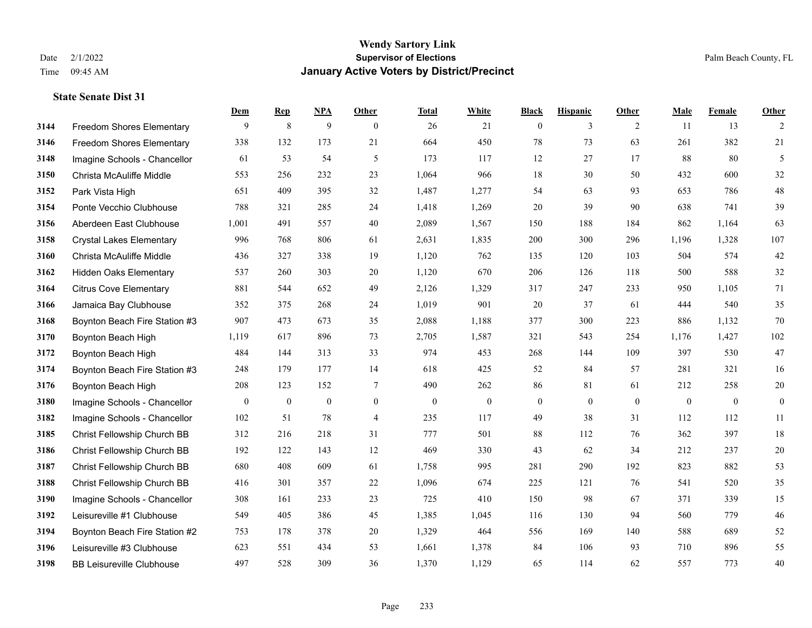|      |                                  | Dem          | <b>Rep</b>   | NPA          | <b>Other</b>   | <b>Total</b> | <b>White</b> | <b>Black</b>     | <b>Hispanic</b> | <b>Other</b> | <b>Male</b> | Female       | <b>Other</b>     |
|------|----------------------------------|--------------|--------------|--------------|----------------|--------------|--------------|------------------|-----------------|--------------|-------------|--------------|------------------|
| 3144 | Freedom Shores Elementary        | 9            | 8            | 9            | $\overline{0}$ | 26           | 21           | $\mathbf{0}$     | 3               | 2            | 11          | 13           | 2                |
| 3146 | <b>Freedom Shores Elementary</b> | 338          | 132          | 173          | 21             | 664          | 450          | 78               | 73              | 63           | 261         | 382          | 21               |
| 3148 | Imagine Schools - Chancellor     | 61           | 53           | 54           | 5              | 173          | 117          | 12               | 27              | 17           | 88          | 80           | 5                |
| 3150 | Christa McAuliffe Middle         | 553          | 256          | 232          | 23             | 1,064        | 966          | 18               | 30              | 50           | 432         | 600          | 32               |
| 3152 | Park Vista High                  | 651          | 409          | 395          | 32             | 1,487        | 1,277        | 54               | 63              | 93           | 653         | 786          | $48\,$           |
| 3154 | Ponte Vecchio Clubhouse          | 788          | 321          | 285          | 24             | 1,418        | 1,269        | 20               | 39              | 90           | 638         | 741          | 39               |
| 3156 | Aberdeen East Clubhouse          | 1,001        | 491          | 557          | 40             | 2,089        | 1,567        | 150              | 188             | 184          | 862         | 1,164        | 63               |
| 3158 | <b>Crystal Lakes Elementary</b>  | 996          | 768          | 806          | 61             | 2,631        | 1,835        | 200              | 300             | 296          | 1,196       | 1,328        | 107              |
| 3160 | Christa McAuliffe Middle         | 436          | 327          | 338          | 19             | 1,120        | 762          | 135              | 120             | 103          | 504         | 574          | 42               |
| 3162 | <b>Hidden Oaks Elementary</b>    | 537          | 260          | 303          | 20             | 1,120        | 670          | 206              | 126             | 118          | 500         | 588          | $32\,$           |
| 3164 | <b>Citrus Cove Elementary</b>    | 881          | 544          | 652          | 49             | 2,126        | 1,329        | 317              | 247             | 233          | 950         | 1,105        | 71               |
| 3166 | Jamaica Bay Clubhouse            | 352          | 375          | 268          | 24             | 1,019        | 901          | 20               | 37              | 61           | 444         | 540          | 35               |
| 3168 | Boynton Beach Fire Station #3    | 907          | 473          | 673          | 35             | 2,088        | 1,188        | 377              | 300             | 223          | 886         | 1,132        | $70\,$           |
| 3170 | Boynton Beach High               | 1,119        | 617          | 896          | 73             | 2,705        | 1,587        | 321              | 543             | 254          | 1,176       | 1,427        | 102              |
| 3172 | Boynton Beach High               | 484          | 144          | 313          | 33             | 974          | 453          | 268              | 144             | 109          | 397         | 530          | 47               |
| 3174 | Boynton Beach Fire Station #3    | 248          | 179          | 177          | 14             | 618          | 425          | 52               | 84              | 57           | 281         | 321          | 16               |
| 3176 | Boynton Beach High               | 208          | 123          | 152          | $\tau$         | 490          | 262          | 86               | 81              | 61           | 212         | 258          | $20\,$           |
| 3180 | Imagine Schools - Chancellor     | $\mathbf{0}$ | $\mathbf{0}$ | $\mathbf{0}$ | $\overline{0}$ | $\mathbf{0}$ | $\mathbf{0}$ | $\boldsymbol{0}$ | $\mathbf{0}$    | $\theta$     | $\theta$    | $\mathbf{0}$ | $\boldsymbol{0}$ |
| 3182 | Imagine Schools - Chancellor     | 102          | 51           | 78           | $\overline{4}$ | 235          | 117          | 49               | 38              | 31           | 112         | 112          | 11               |
| 3185 | Christ Fellowship Church BB      | 312          | 216          | 218          | 31             | 777          | 501          | 88               | 112             | 76           | 362         | 397          | 18               |
| 3186 | Christ Fellowship Church BB      | 192          | 122          | 143          | 12             | 469          | 330          | 43               | 62              | 34           | 212         | 237          | 20               |
| 3187 | Christ Fellowship Church BB      | 680          | 408          | 609          | 61             | 1,758        | 995          | 281              | 290             | 192          | 823         | 882          | 53               |
| 3188 | Christ Fellowship Church BB      | 416          | 301          | 357          | 22             | 1,096        | 674          | 225              | 121             | 76           | 541         | 520          | 35               |
| 3190 | Imagine Schools - Chancellor     | 308          | 161          | 233          | 23             | 725          | 410          | 150              | 98              | 67           | 371         | 339          | 15               |
| 3192 | Leisureville #1 Clubhouse        | 549          | 405          | 386          | 45             | 1,385        | 1,045        | 116              | 130             | 94           | 560         | 779          | $46\,$           |
| 3194 | Boynton Beach Fire Station #2    | 753          | 178          | 378          | 20             | 1,329        | 464          | 556              | 169             | 140          | 588         | 689          | 52               |
| 3196 | Leisureville #3 Clubhouse        | 623          | 551          | 434          | 53             | 1,661        | 1,378        | 84               | 106             | 93           | 710         | 896          | 55               |
| 3198 | <b>BB Leisureville Clubhouse</b> | 497          | 528          | 309          | 36             | 1,370        | 1,129        | 65               | 114             | 62           | 557         | 773          | 40               |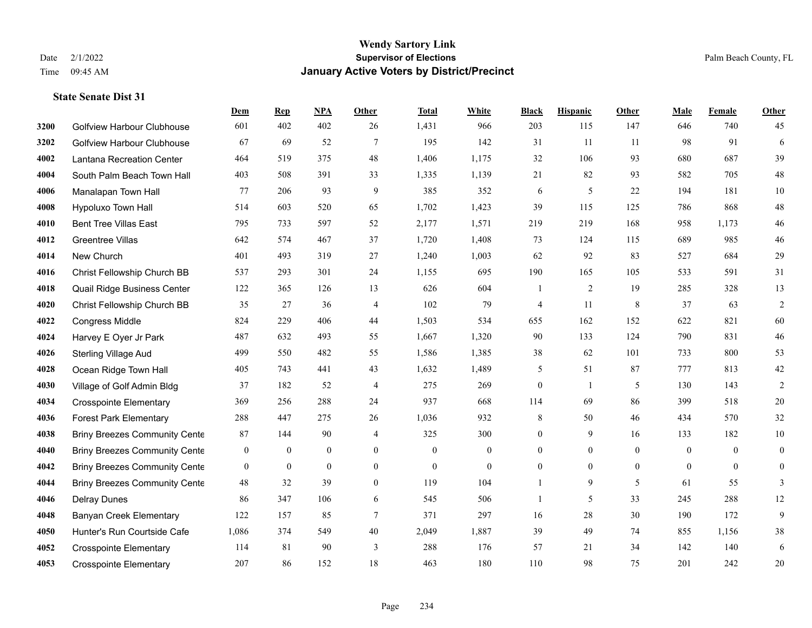|      |                                      | Dem              | <b>Rep</b>       | NPA              | <b>Other</b>     | <b>Total</b>     | <b>White</b>   | <b>Black</b>     | <b>Hispanic</b> | <b>Other</b> | <b>Male</b>  | <b>Female</b>  | <b>Other</b>   |
|------|--------------------------------------|------------------|------------------|------------------|------------------|------------------|----------------|------------------|-----------------|--------------|--------------|----------------|----------------|
| 3200 | Golfview Harbour Clubhouse           | 601              | 402              | 402              | 26               | 1,431            | 966            | 203              | 115             | 147          | 646          | 740            | 45             |
| 3202 | <b>Golfview Harbour Clubhouse</b>    | 67               | 69               | 52               | $\tau$           | 195              | 142            | 31               | 11              | 11           | 98           | 91             | 6              |
| 4002 | Lantana Recreation Center            | 464              | 519              | 375              | 48               | 1,406            | 1,175          | 32               | 106             | 93           | 680          | 687            | 39             |
| 4004 | South Palm Beach Town Hall           | 403              | 508              | 391              | 33               | 1,335            | 1,139          | 21               | 82              | 93           | 582          | 705            | $48\,$         |
| 4006 | Manalapan Town Hall                  | 77               | 206              | 93               | 9                | 385              | 352            | 6                | 5               | 22           | 194          | 181            | $10\,$         |
| 4008 | Hypoluxo Town Hall                   | 514              | 603              | 520              | 65               | 1,702            | 1,423          | 39               | 115             | 125          | 786          | 868            | $48\,$         |
| 4010 | <b>Bent Tree Villas East</b>         | 795              | 733              | 597              | 52               | 2,177            | 1,571          | 219              | 219             | 168          | 958          | 1,173          | $46\,$         |
| 4012 | <b>Greentree Villas</b>              | 642              | 574              | 467              | 37               | 1,720            | 1,408          | 73               | 124             | 115          | 689          | 985            | $46\,$         |
| 4014 | New Church                           | 401              | 493              | 319              | 27               | 1,240            | 1,003          | 62               | 92              | 83           | 527          | 684            | $29\,$         |
| 4016 | Christ Fellowship Church BB          | 537              | 293              | 301              | 24               | 1,155            | 695            | 190              | 165             | 105          | 533          | 591            | 31             |
| 4018 | Quail Ridge Business Center          | 122              | 365              | 126              | 13               | 626              | 604            | 1                | 2               | 19           | 285          | 328            | 13             |
| 4020 | Christ Fellowship Church BB          | 35               | 27               | 36               | 4                | 102              | 79             | 4                | 11              | 8            | 37           | 63             | $\overline{2}$ |
| 4022 | Congress Middle                      | 824              | 229              | 406              | 44               | 1,503            | 534            | 655              | 162             | 152          | 622          | 821            | 60             |
| 4024 | Harvey E Oyer Jr Park                | 487              | 632              | 493              | 55               | 1,667            | 1,320          | 90               | 133             | 124          | 790          | 831            | $46\,$         |
| 4026 | <b>Sterling Village Aud</b>          | 499              | 550              | 482              | 55               | 1,586            | 1,385          | 38               | 62              | 101          | 733          | 800            | 53             |
| 4028 | Ocean Ridge Town Hall                | 405              | 743              | 441              | 43               | 1,632            | 1,489          | 5                | 51              | 87           | 777          | 813            | $42\,$         |
| 4030 | Village of Golf Admin Bldg           | 37               | 182              | 52               | $\overline{4}$   | 275              | 269            | $\overline{0}$   | 1               | 5            | 130          | 143            | 2              |
| 4034 | <b>Crosspointe Elementary</b>        | 369              | 256              | 288              | 24               | 937              | 668            | 114              | 69              | 86           | 399          | 518            | $20\,$         |
| 4036 | <b>Forest Park Elementary</b>        | 288              | 447              | 275              | 26               | 1,036            | 932            | 8                | 50              | 46           | 434          | 570            | 32             |
| 4038 | <b>Briny Breezes Community Cente</b> | 87               | 144              | 90               | 4                | 325              | 300            | $\overline{0}$   | 9               | 16           | 133          | 182            | $10\,$         |
| 4040 | <b>Briny Breezes Community Cente</b> | $\overline{0}$   | $\mathbf{0}$     | $\mathbf{0}$     | $\theta$         | $\Omega$         | $\overline{0}$ | $\overline{0}$   | $\overline{0}$  | $\theta$     | $\theta$     | $\theta$       | $\mathbf{0}$   |
| 4042 | <b>Briny Breezes Community Cente</b> | $\boldsymbol{0}$ | $\boldsymbol{0}$ | $\boldsymbol{0}$ | $\boldsymbol{0}$ | $\boldsymbol{0}$ | $\mathbf{0}$   | $\boldsymbol{0}$ | $\overline{0}$  | $\mathbf{0}$ | $\mathbf{0}$ | $\overline{0}$ | $\overline{0}$ |
| 4044 | <b>Briny Breezes Community Cente</b> | 48               | 32               | 39               | $\overline{0}$   | 119              | 104            |                  | 9               | 5            | 61           | 55             | 3              |
| 4046 | <b>Delray Dunes</b>                  | 86               | 347              | 106              | 6                | 545              | 506            | 1                | 5               | 33           | 245          | 288            | 12             |
| 4048 | <b>Banyan Creek Elementary</b>       | 122              | 157              | 85               | $\tau$           | 371              | 297            | 16               | $28\,$          | 30           | 190          | 172            | 9              |
| 4050 | Hunter's Run Courtside Cafe          | 1,086            | 374              | 549              | 40               | 2,049            | 1,887          | 39               | 49              | 74           | 855          | 1,156          | $38\,$         |
| 4052 | <b>Crosspointe Elementary</b>        | 114              | 81               | 90               | 3                | 288              | 176            | 57               | 21              | 34           | 142          | 140            | 6              |
| 4053 | <b>Crosspointe Elementary</b>        | 207              | 86               | 152              | 18               | 463              | 180            | 110              | 98              | 75           | 201          | 242            | 20             |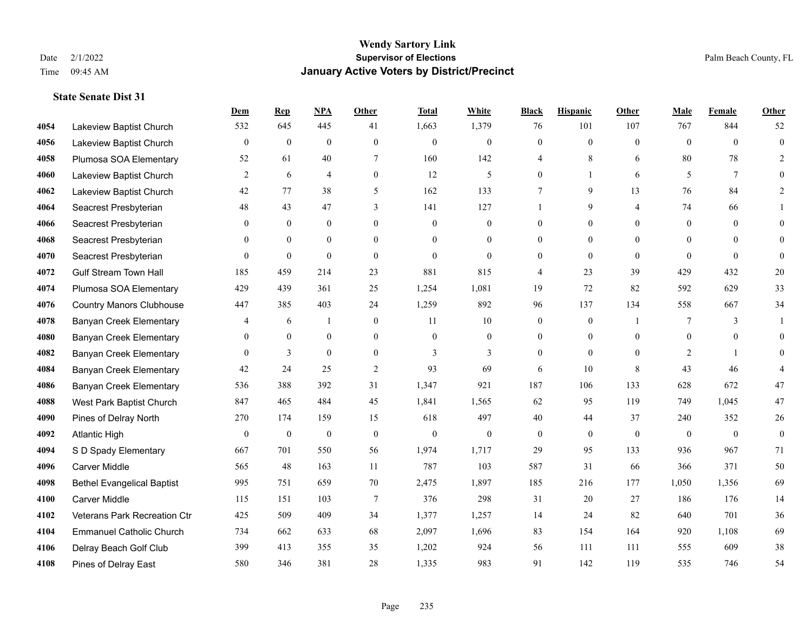#### **Wendy Sartory Link** Date 2/1/2022 **Supervisor of Elections** Palm Beach County, FL Time 09:45 AM **January Active Voters by District/Precinct**

## **Dem Rep NPA Other Total White Black Hispanic Other Male Female Other** Lakeview Baptist Church 532 645 445 41 1,663 1,379 76 101 107 767 844 52 Lakeview Baptist Church 0 0 0 0 0 0 0 0 0 0 0 0 Plumosa SOA Elementary 52 61 40 7 160 142 4 8 6 80 78 2 Lakeview Baptist Church  $\begin{array}{ccccccccccccc}\n2 & 6 & 4 & 0 & 12 & 5 & 0 & 1 & 6 & 5 & 7 & 0\n\end{array}$  Lakeview Baptist Church 42 77 38 5 162 133 7 9 13 76 84 2 Seacrest Presbyterian **48** 43 47 3 141 127 1 9 4 74 66 1 Seacrest Presbyterian 0 0 0 0 0 0 0 0 0 0 0 0 Seacrest Presbyterian 0 0 0 0 0 0 0 0 0 0 0 0 Seacrest Presbyterian 0 0 0 0 0 0 0 0 0 0 0 0 Gulf Stream Town Hall 185 459 214 23 881 815 4 23 39 429 432 20 Plumosa SOA Elementary 429 439 361 25 1,254 1,081 19 72 82 592 629 33 Country Manors Clubhouse 447 385 403 24 1,259 892 96 137 134 558 667 34 **4078 Banyan Creek Elementary 4 6 1 0 11 10 0 0 1 7 3 1**  Banyan Creek Elementary 0 0 0 0 0 0 0 0 0 0 0 0 **4082 Banyan Creek Elementary 0 3 0 0 3 3 3 0 0 0 2 1 0**  Banyan Creek Elementary 42 24 25 2 93 69 6 10 8 43 46 4 Banyan Creek Elementary 536 388 392 31 1,347 921 187 106 133 628 672 47 West Park Baptist Church 847 465 484 45 1,841 1,565 62 95 119 749 1,045 47 Pines of Delray North 270 174 159 15 618 497 40 44 37 240 352 26 Atlantic High 0 0 0 0 0 0 0 0 0 0 0 0 S D Spady Elementary 667 701 550 56 1,974 1,717 29 95 133 936 967 71 Carver Middle 565 48 163 11 787 103 587 31 66 366 371 50 Bethel Evangelical Baptist 995 751 659 70 2,475 1,897 185 216 177 1,050 1,356 69 Carver Middle 115 151 103 7 376 298 31 20 27 186 176 14 Veterans Park Recreation Ctr 425 509 409 34 1,377 1,257 14 24 82 640 701 36 Emmanuel Catholic Church 734 662 633 68 2,097 1,696 83 154 164 920 1,108 69 Delray Beach Golf Club 399 413 355 35 1,202 924 56 111 111 555 609 38 Pines of Delray East 580 346 381 28 1,335 983 91 142 119 535 746 54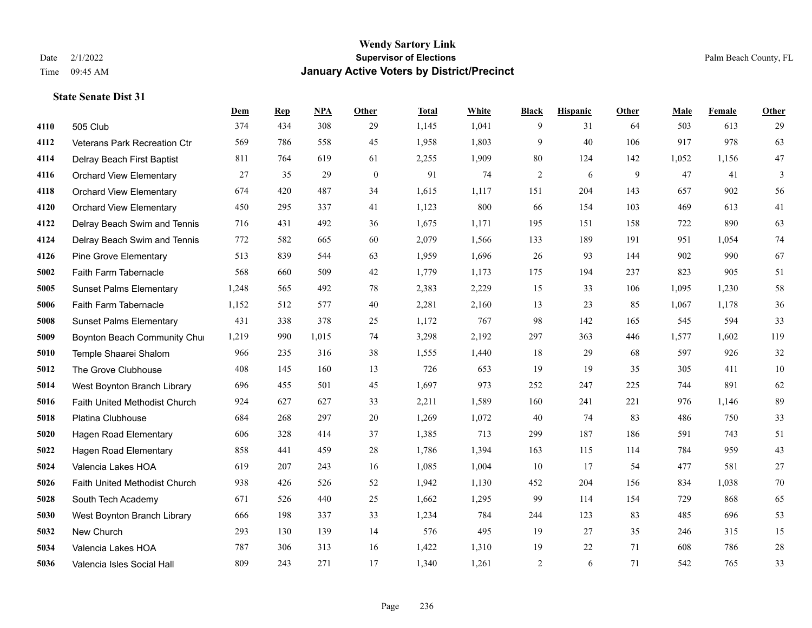|      |                                | Dem   | <b>Rep</b> | NPA   | <b>Other</b> | <b>Total</b> | White | <b>Black</b>   | <b>Hispanic</b> | Other | <b>Male</b> | Female | <b>Other</b> |
|------|--------------------------------|-------|------------|-------|--------------|--------------|-------|----------------|-----------------|-------|-------------|--------|--------------|
| 4110 | 505 Club                       | 374   | 434        | 308   | 29           | 1,145        | 1,041 | 9              | 31              | 64    | 503         | 613    | 29           |
| 4112 | Veterans Park Recreation Ctr   | 569   | 786        | 558   | 45           | 1,958        | 1,803 | 9              | 40              | 106   | 917         | 978    | 63           |
| 4114 | Delray Beach First Baptist     | 811   | 764        | 619   | 61           | 2,255        | 1,909 | 80             | 124             | 142   | 1,052       | 1,156  | $47\,$       |
| 4116 | <b>Orchard View Elementary</b> | 27    | 35         | 29    | $\mathbf{0}$ | 91           | 74    | $\mathfrak{2}$ | 6               | 9     | 47          | 41     | 3            |
| 4118 | <b>Orchard View Elementary</b> | 674   | 420        | 487   | 34           | 1,615        | 1,117 | 151            | 204             | 143   | 657         | 902    | 56           |
| 4120 | <b>Orchard View Elementary</b> | 450   | 295        | 337   | 41           | 1,123        | 800   | 66             | 154             | 103   | 469         | 613    | 41           |
| 4122 | Delray Beach Swim and Tennis   | 716   | 431        | 492   | 36           | 1,675        | 1,171 | 195            | 151             | 158   | 722         | 890    | 63           |
| 4124 | Delray Beach Swim and Tennis   | 772   | 582        | 665   | 60           | 2,079        | 1,566 | 133            | 189             | 191   | 951         | 1,054  | $74\,$       |
| 4126 | <b>Pine Grove Elementary</b>   | 513   | 839        | 544   | 63           | 1,959        | 1,696 | 26             | 93              | 144   | 902         | 990    | 67           |
| 5002 | Faith Farm Tabernacle          | 568   | 660        | 509   | 42           | 1,779        | 1,173 | 175            | 194             | 237   | 823         | 905    | 51           |
| 5005 | <b>Sunset Palms Elementary</b> | 1,248 | 565        | 492   | 78           | 2,383        | 2,229 | 15             | 33              | 106   | 1,095       | 1,230  | 58           |
| 5006 | Faith Farm Tabernacle          | 1,152 | 512        | 577   | 40           | 2,281        | 2,160 | 13             | 23              | 85    | 1,067       | 1,178  | 36           |
| 5008 | <b>Sunset Palms Elementary</b> | 431   | 338        | 378   | 25           | 1,172        | 767   | 98             | 142             | 165   | 545         | 594    | 33           |
| 5009 | Boynton Beach Community Chur   | 1,219 | 990        | 1,015 | 74           | 3,298        | 2,192 | 297            | 363             | 446   | 1,577       | 1,602  | 119          |
| 5010 | Temple Shaarei Shalom          | 966   | 235        | 316   | 38           | 1,555        | 1,440 | 18             | 29              | 68    | 597         | 926    | $32\,$       |
| 5012 | The Grove Clubhouse            | 408   | 145        | 160   | 13           | 726          | 653   | 19             | 19              | 35    | 305         | 411    | $10\,$       |
| 5014 | West Boynton Branch Library    | 696   | 455        | 501   | 45           | 1,697        | 973   | 252            | 247             | 225   | 744         | 891    | 62           |
| 5016 | Faith United Methodist Church  | 924   | 627        | 627   | 33           | 2,211        | 1,589 | 160            | 241             | 221   | 976         | 1,146  | 89           |
| 5018 | Platina Clubhouse              | 684   | 268        | 297   | 20           | 1,269        | 1,072 | 40             | 74              | 83    | 486         | 750    | 33           |
| 5020 | <b>Hagen Road Elementary</b>   | 606   | 328        | 414   | 37           | 1,385        | 713   | 299            | 187             | 186   | 591         | 743    | 51           |
| 5022 | <b>Hagen Road Elementary</b>   | 858   | 441        | 459   | 28           | 1,786        | 1,394 | 163            | 115             | 114   | 784         | 959    | 43           |
| 5024 | Valencia Lakes HOA             | 619   | 207        | 243   | 16           | 1,085        | 1,004 | 10             | 17              | 54    | 477         | 581    | $27\,$       |
| 5026 | Faith United Methodist Church  | 938   | 426        | 526   | 52           | 1,942        | 1,130 | 452            | 204             | 156   | 834         | 1,038  | $70\,$       |
| 5028 | South Tech Academy             | 671   | 526        | 440   | 25           | 1,662        | 1,295 | 99             | 114             | 154   | 729         | 868    | 65           |
| 5030 | West Boynton Branch Library    | 666   | 198        | 337   | 33           | 1,234        | 784   | 244            | 123             | 83    | 485         | 696    | 53           |
| 5032 | New Church                     | 293   | 130        | 139   | 14           | 576          | 495   | 19             | 27              | 35    | 246         | 315    | 15           |
| 5034 | Valencia Lakes HOA             | 787   | 306        | 313   | 16           | 1,422        | 1,310 | 19             | 22              | 71    | 608         | 786    | $28\,$       |
| 5036 | Valencia Isles Social Hall     | 809   | 243        | 271   | 17           | 1,340        | 1,261 | $\overline{c}$ | 6               | 71    | 542         | 765    | 33           |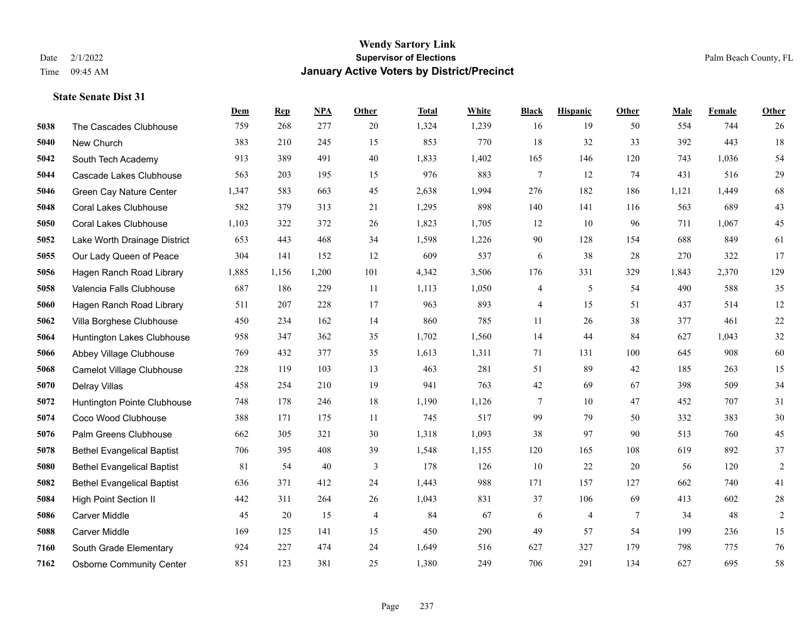### **Wendy Sartory Link** Date 2/1/2022 Palm Beach County, FL Time 09:45 AM **January Active Voters by District/Precinct**

|      |                                   | Dem   | <b>Rep</b> | NPA   | Other          | <b>Total</b> | White | <b>Black</b>    | <b>Hispanic</b> | Other          | Male  | Female | Other      |
|------|-----------------------------------|-------|------------|-------|----------------|--------------|-------|-----------------|-----------------|----------------|-------|--------|------------|
| 5038 | The Cascades Clubhouse            | 759   | 268        | 277   | 20             | 1,324        | 1,239 | 16              | 19              | 50             | 554   | 744    | 26         |
| 5040 | New Church                        | 383   | 210        | 245   | 15             | 853          | 770   | 18              | 32              | 33             | 392   | 443    | 18         |
| 5042 | South Tech Academy                | 913   | 389        | 491   | 40             | 1,833        | 1,402 | 165             | 146             | 120            | 743   | 1,036  | 54         |
| 5044 | Cascade Lakes Clubhouse           | 563   | 203        | 195   | 15             | 976          | 883   | $\tau$          | 12              | 74             | 431   | 516    | 29         |
| 5046 | Green Cay Nature Center           | 1,347 | 583        | 663   | 45             | 2,638        | 1,994 | 276             | 182             | 186            | 1,121 | 1,449  | 68         |
| 5048 | <b>Coral Lakes Clubhouse</b>      | 582   | 379        | 313   | 21             | 1,295        | 898   | 140             | 141             | 116            | 563   | 689    | 43         |
| 5050 | <b>Coral Lakes Clubhouse</b>      | 1,103 | 322        | 372   | 26             | 1,823        | 1,705 | 12              | 10              | 96             | 711   | 1,067  | 45         |
| 5052 | Lake Worth Drainage District      | 653   | 443        | 468   | 34             | 1,598        | 1,226 | 90              | 128             | 154            | 688   | 849    | 61         |
| 5055 | Our Lady Queen of Peace           | 304   | 141        | 152   | 12             | 609          | 537   | 6               | 38              | 28             | 270   | 322    | 17         |
| 5056 | Hagen Ranch Road Library          | 1,885 | 1,156      | 1,200 | 101            | 4,342        | 3,506 | 176             | 331             | 329            | 1,843 | 2,370  | 129        |
| 5058 | Valencia Falls Clubhouse          | 687   | 186        | 229   | 11             | 1,113        | 1,050 | 4               | 5               | 54             | 490   | 588    | 35         |
| 5060 | Hagen Ranch Road Library          | 511   | 207        | 228   | 17             | 963          | 893   | 4               | 15              | 51             | 437   | 514    | 12         |
| 5062 | Villa Borghese Clubhouse          | 450   | 234        | 162   | 14             | 860          | 785   | 11              | 26              | 38             | 377   | 461    | 22         |
| 5064 | Huntington Lakes Clubhouse        | 958   | 347        | 362   | 35             | 1,702        | 1,560 | 14              | 44              | 84             | 627   | 1,043  | $32\,$     |
| 5066 | Abbey Village Clubhouse           | 769   | 432        | 377   | 35             | 1,613        | 1,311 | 71              | 131             | 100            | 645   | 908    | 60         |
| 5068 | Camelot Village Clubhouse         | 228   | 119        | 103   | 13             | 463          | 281   | 51              | 89              | 42             | 185   | 263    | 15         |
| 5070 | Delray Villas                     | 458   | 254        | 210   | 19             | 941          | 763   | $42\,$          | 69              | 67             | 398   | 509    | 34         |
| 5072 | Huntington Pointe Clubhouse       | 748   | 178        | 246   | 18             | 1,190        | 1,126 | $7\phantom{.0}$ | 10              | 47             | 452   | 707    | 31         |
| 5074 | Coco Wood Clubhouse               | 388   | 171        | 175   | 11             | 745          | 517   | 99              | 79              | 50             | 332   | 383    | $30\,$     |
| 5076 | Palm Greens Clubhouse             | 662   | 305        | 321   | 30             | 1,318        | 1,093 | 38              | 97              | 90             | 513   | 760    | 45         |
| 5078 | <b>Bethel Evangelical Baptist</b> | 706   | 395        | 408   | 39             | 1,548        | 1,155 | 120             | 165             | 108            | 619   | 892    | 37         |
| 5080 | <b>Bethel Evangelical Baptist</b> | 81    | 54         | 40    | 3              | 178          | 126   | 10              | 22              | 20             | 56    | 120    | $\sqrt{2}$ |
| 5082 | <b>Bethel Evangelical Baptist</b> | 636   | 371        | 412   | 24             | 1,443        | 988   | 171             | 157             | 127            | 662   | 740    | 41         |
| 5084 | High Point Section II             | 442   | 311        | 264   | 26             | 1,043        | 831   | 37              | 106             | 69             | 413   | 602    | $28\,$     |
| 5086 | <b>Carver Middle</b>              | 45    | 20         | 15    | $\overline{4}$ | 84           | 67    | 6               | 4               | $\overline{7}$ | 34    | 48     | $\sqrt{2}$ |
| 5088 | <b>Carver Middle</b>              | 169   | 125        | 141   | 15             | 450          | 290   | 49              | 57              | 54             | 199   | 236    | 15         |
| 7160 | South Grade Elementary            | 924   | 227        | 474   | 24             | 1,649        | 516   | 627             | 327             | 179            | 798   | 775    | 76         |
| 7162 | <b>Osborne Community Center</b>   | 851   | 123        | 381   | 25             | 1,380        | 249   | 706             | 291             | 134            | 627   | 695    | 58         |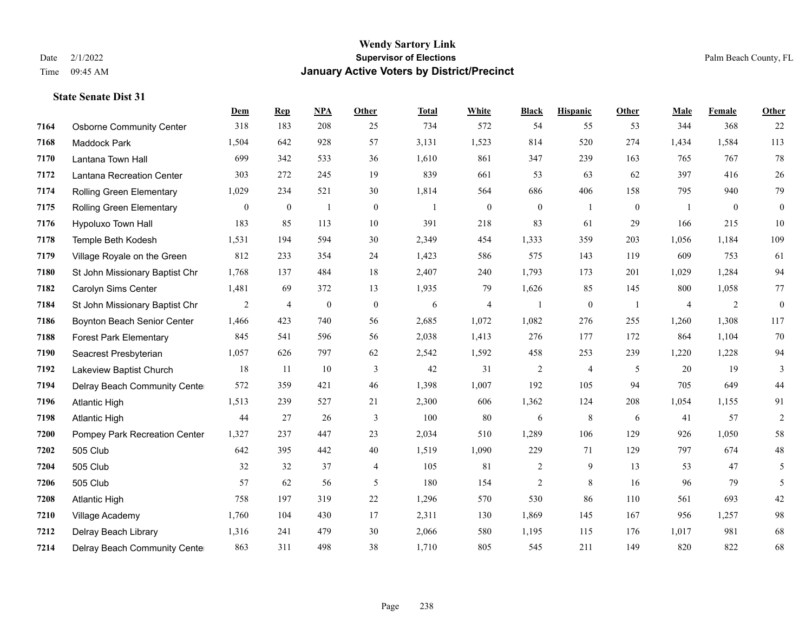#### **Wendy Sartory Link** Date 2/1/2022 **Supervisor of Elections** Palm Beach County, FL Time 09:45 AM **January Active Voters by District/Precinct**

## **Dem Rep NPA Other Total White Black Hispanic Other Male Female Other** Osborne Community Center 318 183 208 25 734 572 54 55 53 344 368 22 Maddock Park 1,504 642 928 57 3,131 1,523 814 520 274 1,434 1,584 113 Lantana Town Hall 699 342 533 36 1,610 861 347 239 163 765 767 78 Lantana Recreation Center 303 272 245 19 839 661 53 63 62 397 416 26 Rolling Green Elementary 1,029 234 521 30 1,814 564 686 406 158 795 940 79 Rolling Green Elementary 0 0 1 0 1 0 0 1 0 1 0 0 Hypoluxo Town Hall 183 85 113 10 391 218 83 61 29 166 215 10 Temple Beth Kodesh 1,531 194 594 30 2,349 454 1,333 359 203 1,056 1,184 109 Village Royale on the Green 812 233 354 24 1,423 586 575 143 119 609 753 61 St John Missionary Baptist Chr 1,768 137 484 18 2,407 240 1,793 173 201 1,029 1,284 94 Carolyn Sims Center 1,481 69 372 13 1,935 79 1,626 85 145 800 1,058 77 St John Missionary Baptist Chr 2 4 0 0 6 4 1 0 1 4 2 0 Boynton Beach Senior Center 1,466 423 740 56 2,685 1,072 1,082 276 255 1,260 1,308 117 Forest Park Elementary 845 541 596 56 2,038 1,413 276 177 172 864 1,104 70 Seacrest Presbyterian 1,057 626 797 62 2,542 1,592 458 253 239 1,220 1,228 94 Lakeview Baptist Church 18 11 10 3 42 31 2 4 5 20 19 3 Delray Beach Community Center 572 359 421 46 1,398 1,007 192 105 94 705 649 44 Atlantic High 1,513 239 527 21 2,300 606 1,362 124 208 1,054 1,155 91 Atlantic High 44 27 26 3 100 80 6 8 6 41 57 2 Pompey Park Recreation Center 1,327 237 447 23 2,034 510 1,289 106 129 926 1,050 58 505 Club 642 395 442 40 1,519 1,090 229 71 129 797 674 48 505 Club 32 32 37 4 105 81 2 9 13 53 47 5 505 Club 57 62 56 5 180 154 2 8 16 96 79 5 Atlantic High 758 197 319 22 1,296 570 530 86 110 561 693 42 Village Academy 1,760 104 430 17 2,311 130 1,869 145 167 956 1,257 98 Delray Beach Library 1,316 241 479 30 2,066 580 1,195 115 176 1,017 981 68 Delray Beach Community Center 863 311 498 38 1,710 805 545 211 149 820 822 68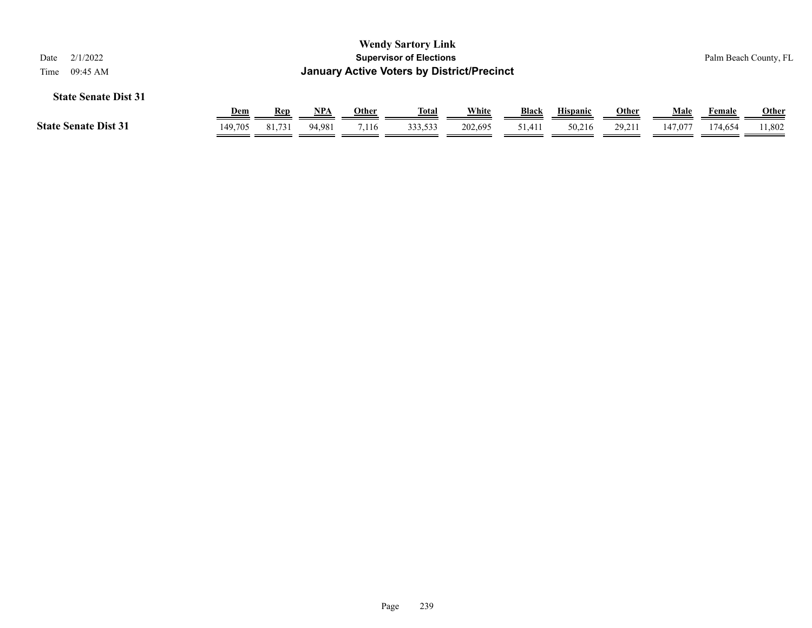| 2/1/2022<br>Date<br>09:45 AM<br>Time                                                                                                                                         |         |        |        |       | <b>Wendy Sartory Link</b><br><b>Supervisor of Elections</b><br><b>January Active Voters by District/Precinct</b> |         |        |        |        |         |         | Palm Beach County, FL  |
|------------------------------------------------------------------------------------------------------------------------------------------------------------------------------|---------|--------|--------|-------|------------------------------------------------------------------------------------------------------------------|---------|--------|--------|--------|---------|---------|------------------------|
| <b>State Senate Dist 31</b><br>White<br><b>Black</b><br>Male<br><u>NPA</u><br><b>Other</b><br><u>Total</u><br><b>Hispanic</b><br><u>Other</u><br><u>Dem</u><br>Rep<br>Female |         |        |        |       |                                                                                                                  |         |        |        |        |         |         |                        |
| <b>State Senate Dist 31</b>                                                                                                                                                  | 149,705 | 81,731 | 94.981 | 7.116 | 333,533                                                                                                          | 202.695 | 51,411 | 50,216 | 29.211 | 147,077 | 174.654 | <b>Other</b><br>11,802 |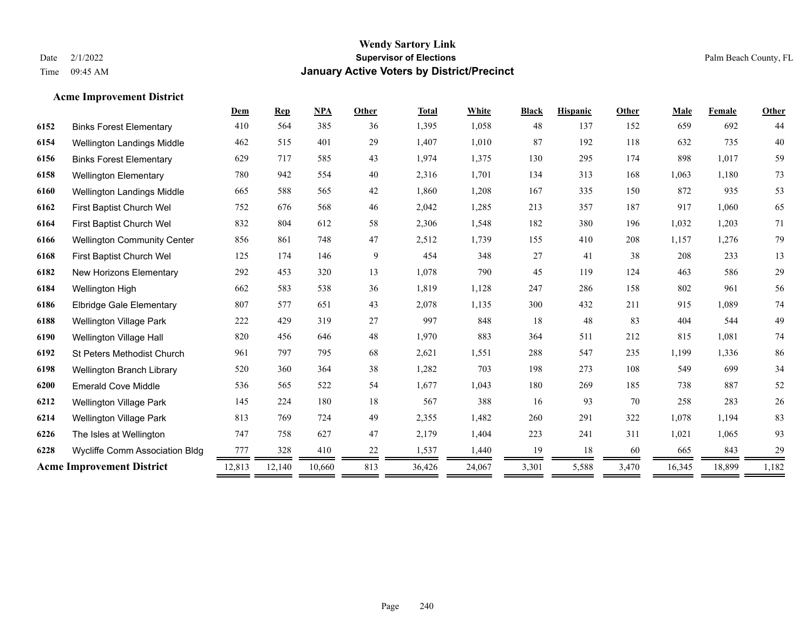### **Acme Improvement District**

|                                    | Dem    | <b>Rep</b> | <b>NPA</b> | <b>Other</b> | <b>Total</b> | White  | <b>Black</b> | <b>Hispanic</b> | Other | Male   | Female | Other  |
|------------------------------------|--------|------------|------------|--------------|--------------|--------|--------------|-----------------|-------|--------|--------|--------|
| <b>Binks Forest Elementary</b>     | 410    | 564        | 385        | 36           | 1,395        | 1,058  | 48           | 137             | 152   | 659    | 692    | 44     |
| <b>Wellington Landings Middle</b>  | 462    | 515        | 401        | 29           | 1,407        | 1,010  | 87           | 192             | 118   | 632    | 735    | 40     |
| <b>Binks Forest Elementary</b>     | 629    | 717        | 585        | 43           | 1,974        | 1,375  | 130          | 295             | 174   | 898    | 1,017  | 59     |
| <b>Wellington Elementary</b>       | 780    | 942        | 554        | 40           | 2,316        | 1,701  | 134          | 313             | 168   | 1,063  | 1,180  | 73     |
| Wellington Landings Middle         | 665    | 588        | 565        | 42           | 1,860        | 1,208  | 167          | 335             | 150   | 872    | 935    | 53     |
| First Baptist Church Wel           | 752    | 676        | 568        | 46           | 2,042        | 1,285  | 213          | 357             | 187   | 917    | 1,060  | 65     |
| First Baptist Church Wel           | 832    | 804        | 612        | 58           | 2,306        | 1,548  | 182          | 380             | 196   | 1,032  | 1,203  | 71     |
| <b>Wellington Community Center</b> | 856    | 861        | 748        | 47           | 2,512        | 1,739  | 155          | 410             | 208   | 1,157  | 1,276  | 79     |
| First Baptist Church Wel           | 125    | 174        | 146        | 9            | 454          | 348    | 27           | 41              | 38    | 208    | 233    | 13     |
| New Horizons Elementary            | 292    | 453        | 320        | 13           | 1,078        | 790    | 45           | 119             | 124   | 463    | 586    | 29     |
| Wellington High                    | 662    | 583        | 538        | 36           | 1,819        | 1,128  | 247          | 286             | 158   | 802    | 961    | 56     |
| <b>Elbridge Gale Elementary</b>    | 807    | 577        | 651        | 43           | 2,078        | 1,135  | 300          | 432             | 211   | 915    | 1,089  | 74     |
| <b>Wellington Village Park</b>     | 222    | 429        | 319        | $27\,$       | 997          | 848    | 18           | 48              | 83    | 404    | 544    | 49     |
| Wellington Village Hall            | 820    | 456        | 646        | 48           | 1,970        | 883    | 364          | 511             | 212   | 815    | 1,081  | 74     |
| St Peters Methodist Church         | 961    | 797        | 795        | 68           | 2,621        | 1,551  | 288          | 547             | 235   | 1,199  | 1,336  | 86     |
| Wellington Branch Library          | 520    | 360        | 364        | 38           | 1,282        | 703    | 198          | 273             | 108   | 549    | 699    | 34     |
| <b>Emerald Cove Middle</b>         | 536    | 565        | 522        | 54           | 1,677        | 1,043  | 180          | 269             | 185   | 738    | 887    | 52     |
| <b>Wellington Village Park</b>     | 145    | 224        | 180        | 18           | 567          | 388    | 16           | 93              | 70    | 258    | 283    | $26\,$ |
| <b>Wellington Village Park</b>     | 813    | 769        | 724        | 49           | 2,355        | 1,482  | 260          | 291             | 322   | 1,078  | 1,194  | 83     |
| The Isles at Wellington            | 747    | 758        | 627        | 47           | 2,179        | 1,404  | 223          | 241             | 311   | 1,021  | 1,065  | 93     |
| Wycliffe Comm Association Bldg     | 777    | 328        | 410        | 22           | 1,537        | 1,440  | 19           | 18              | 60    | 665    | 843    | 29     |
| <b>Acme Improvement District</b>   | 12,813 | 12,140     | 10,660     | 813          | 36,426       | 24,067 | 3,301        | 5,588           | 3,470 | 16,345 | 18,899 | 1,182  |
|                                    |        |            |            |              |              |        |              |                 |       |        |        |        |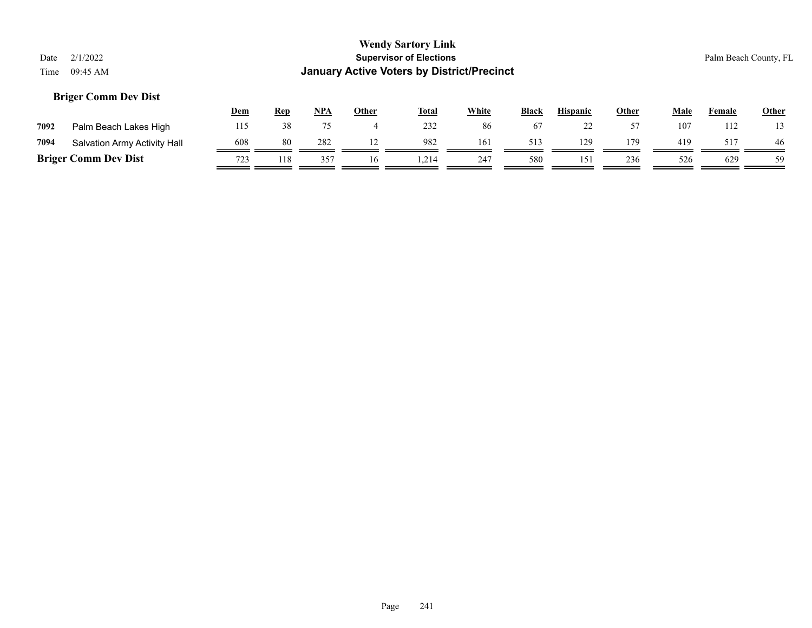### **Briger Comm Dev Dist**

|      |                              | Dem | <b>Rep</b> | <u>NPA</u> | Other | <b>Total</b> | White | <b>Black</b> | <b>Hispanic</b> | Other | Male | Female | <b>Other</b> |
|------|------------------------------|-----|------------|------------|-------|--------------|-------|--------------|-----------------|-------|------|--------|--------------|
| 7092 | Palm Beach Lakes High        | 115 | 38         |            |       | 232          | 86    |              | --              |       | 107  | 12     |              |
| 7094 | Salvation Army Activity Hall | 608 | 80         | 282        |       | 982          | 161   | 513          | 129             | 179   | 419  | 517    | 46           |
|      | <b>Briger Comm Dev Dist</b>  | 723 | 118        | 357        | 16    | .214         | 247   | 580          | 151             | 236   | 526  | 629    | 59           |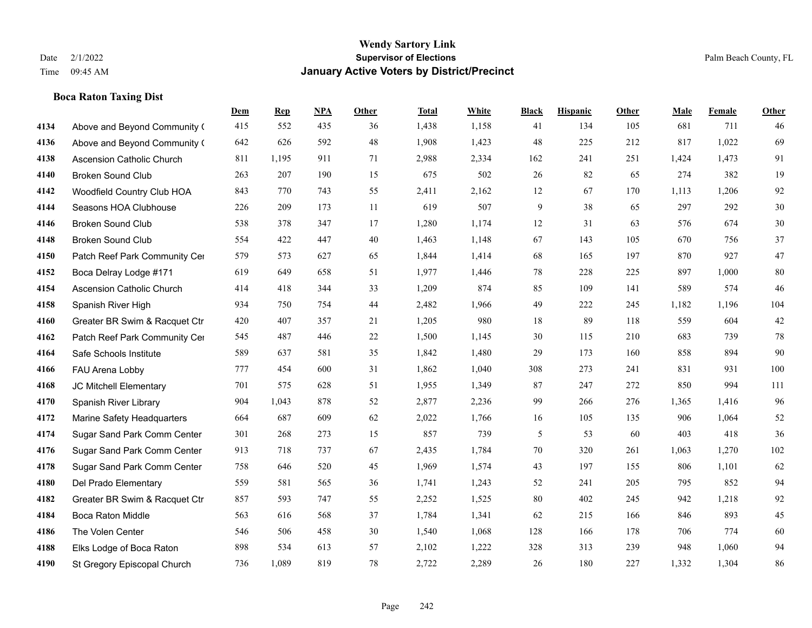### **Boca Raton Taxing Dist**

|      |                                  | Dem | <b>Rep</b> | NPA | <b>Other</b> | <b>Total</b> | White | <b>Black</b> | <b>Hispanic</b> | <b>Other</b> | <b>Male</b> | <b>Female</b> | <b>Other</b> |
|------|----------------------------------|-----|------------|-----|--------------|--------------|-------|--------------|-----------------|--------------|-------------|---------------|--------------|
| 4134 | Above and Beyond Community (     | 415 | 552        | 435 | 36           | 1,438        | 1,158 | 41           | 134             | 105          | 681         | 711           | 46           |
| 4136 | Above and Beyond Community (     | 642 | 626        | 592 | 48           | 1,908        | 1,423 | 48           | 225             | 212          | 817         | 1,022         | 69           |
| 4138 | <b>Ascension Catholic Church</b> | 811 | 1,195      | 911 | 71           | 2,988        | 2,334 | 162          | 241             | 251          | 1,424       | 1,473         | 91           |
| 4140 | <b>Broken Sound Club</b>         | 263 | 207        | 190 | 15           | 675          | 502   | 26           | 82              | 65           | 274         | 382           | 19           |
| 4142 | Woodfield Country Club HOA       | 843 | 770        | 743 | 55           | 2,411        | 2,162 | 12           | 67              | 170          | 1,113       | 1,206         | 92           |
| 4144 | Seasons HOA Clubhouse            | 226 | 209        | 173 | 11           | 619          | 507   | 9            | 38              | 65           | 297         | 292           | 30           |
| 4146 | <b>Broken Sound Club</b>         | 538 | 378        | 347 | 17           | 1,280        | 1,174 | 12           | 31              | 63           | 576         | 674           | 30           |
| 4148 | <b>Broken Sound Club</b>         | 554 | 422        | 447 | 40           | 1,463        | 1,148 | 67           | 143             | 105          | 670         | 756           | 37           |
| 4150 | Patch Reef Park Community Cer    | 579 | 573        | 627 | 65           | 1,844        | 1,414 | 68           | 165             | 197          | 870         | 927           | $47\,$       |
| 4152 | Boca Delray Lodge #171           | 619 | 649        | 658 | 51           | 1,977        | 1,446 | 78           | 228             | 225          | 897         | 1,000         | $80\,$       |
| 4154 | <b>Ascension Catholic Church</b> | 414 | 418        | 344 | 33           | 1,209        | 874   | 85           | 109             | 141          | 589         | 574           | 46           |
| 4158 | Spanish River High               | 934 | 750        | 754 | 44           | 2,482        | 1,966 | 49           | 222             | 245          | 1,182       | 1,196         | 104          |
| 4160 | Greater BR Swim & Racquet Ctr    | 420 | 407        | 357 | 21           | 1,205        | 980   | 18           | 89              | 118          | 559         | 604           | $42\,$       |
| 4162 | Patch Reef Park Community Cer    | 545 | 487        | 446 | $22\,$       | 1,500        | 1,145 | 30           | 115             | 210          | 683         | 739           | 78           |
| 4164 | Safe Schools Institute           | 589 | 637        | 581 | 35           | 1,842        | 1,480 | 29           | 173             | 160          | 858         | 894           | 90           |
| 4166 | FAU Arena Lobby                  | 777 | 454        | 600 | 31           | 1,862        | 1,040 | 308          | 273             | 241          | 831         | 931           | 100          |
| 4168 | JC Mitchell Elementary           | 701 | 575        | 628 | 51           | 1,955        | 1,349 | 87           | 247             | 272          | 850         | 994           | 111          |
| 4170 | Spanish River Library            | 904 | 1,043      | 878 | 52           | 2,877        | 2,236 | 99           | 266             | 276          | 1,365       | 1,416         | 96           |
| 4172 | Marine Safety Headquarters       | 664 | 687        | 609 | 62           | 2,022        | 1,766 | 16           | 105             | 135          | 906         | 1,064         | 52           |
| 4174 | Sugar Sand Park Comm Center      | 301 | 268        | 273 | 15           | 857          | 739   | $\sqrt{5}$   | 53              | 60           | 403         | 418           | 36           |
| 4176 | Sugar Sand Park Comm Center      | 913 | 718        | 737 | 67           | 2,435        | 1,784 | 70           | 320             | 261          | 1,063       | 1,270         | 102          |
| 4178 | Sugar Sand Park Comm Center      | 758 | 646        | 520 | 45           | 1,969        | 1,574 | 43           | 197             | 155          | 806         | 1,101         | 62           |
| 4180 | Del Prado Elementary             | 559 | 581        | 565 | 36           | 1,741        | 1,243 | 52           | 241             | 205          | 795         | 852           | 94           |
| 4182 | Greater BR Swim & Racquet Ctr    | 857 | 593        | 747 | 55           | 2,252        | 1,525 | 80           | 402             | 245          | 942         | 1,218         | 92           |
| 4184 | <b>Boca Raton Middle</b>         | 563 | 616        | 568 | 37           | 1,784        | 1,341 | 62           | 215             | 166          | 846         | 893           | 45           |
| 4186 | The Volen Center                 | 546 | 506        | 458 | 30           | 1,540        | 1,068 | 128          | 166             | 178          | 706         | 774           | 60           |
| 4188 | Elks Lodge of Boca Raton         | 898 | 534        | 613 | 57           | 2,102        | 1,222 | 328          | 313             | 239          | 948         | 1,060         | 94           |
| 4190 | St Gregory Episcopal Church      | 736 | 1,089      | 819 | 78           | 2,722        | 2,289 | 26           | 180             | 227          | 1,332       | 1,304         | 86           |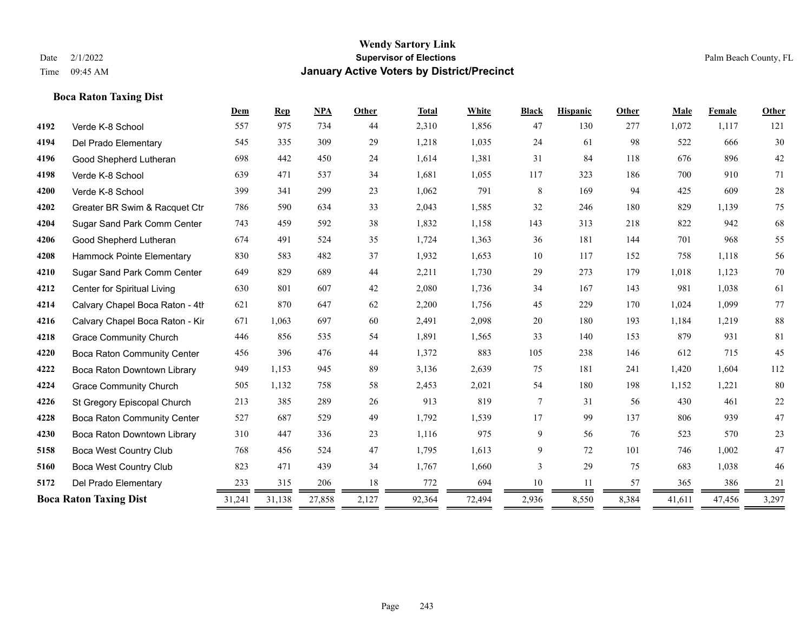|      | <b>Boca Raton Taxing Dist</b>      |        |                |            |        |              |        |              |                 |       |        |        |        |
|------|------------------------------------|--------|----------------|------------|--------|--------------|--------|--------------|-----------------|-------|--------|--------|--------|
|      |                                    | Dem    | $\mathbf{Rep}$ | <b>NPA</b> | Other  | <b>Total</b> | White  | <b>Black</b> | <b>Hispanic</b> | Other | Male   | Female | Other  |
| 4192 | Verde K-8 School                   | 557    | 975            | 734        | 44     | 2,310        | 1,856  | 47           | 130             | 277   | 1,072  | 1,117  | 121    |
| 4194 | Del Prado Elementary               | 545    | 335            | 309        | 29     | 1,218        | 1,035  | 24           | 61              | 98    | 522    | 666    | 30     |
| 4196 | Good Shepherd Lutheran             | 698    | 442            | 450        | 24     | 1,614        | 1,381  | 31           | 84              | 118   | 676    | 896    | $42\,$ |
| 4198 | Verde K-8 School                   | 639    | 471            | 537        | 34     | 1,681        | 1,055  | 117          | 323             | 186   | 700    | 910    | 71     |
| 4200 | Verde K-8 School                   | 399    | 341            | 299        | 23     | 1,062        | 791    | $8\,$        | 169             | 94    | 425    | 609    | $28\,$ |
| 4202 | Greater BR Swim & Racquet Ctr      | 786    | 590            | 634        | 33     | 2,043        | 1,585  | 32           | 246             | 180   | 829    | 1,139  | 75     |
| 4204 | Sugar Sand Park Comm Center        | 743    | 459            | 592        | 38     | 1,832        | 1,158  | 143          | 313             | 218   | 822    | 942    | 68     |
| 4206 | Good Shepherd Lutheran             | 674    | 491            | 524        | 35     | 1,724        | 1,363  | 36           | 181             | 144   | 701    | 968    | 55     |
| 4208 | Hammock Pointe Elementary          | 830    | 583            | 482        | 37     | 1,932        | 1,653  | 10           | 117             | 152   | 758    | 1,118  | 56     |
| 4210 | Sugar Sand Park Comm Center        | 649    | 829            | 689        | $44\,$ | 2,211        | 1,730  | 29           | 273             | 179   | 1,018  | 1,123  | $70\,$ |
| 4212 | Center for Spiritual Living        | 630    | 801            | 607        | 42     | 2,080        | 1,736  | 34           | 167             | 143   | 981    | 1,038  | 61     |
| 4214 | Calvary Chapel Boca Raton - 4th    | 621    | 870            | 647        | 62     | 2,200        | 1,756  | 45           | 229             | 170   | 1,024  | 1,099  | 77     |
| 4216 | Calvary Chapel Boca Raton - Kir    | 671    | 1,063          | 697        | 60     | 2,491        | 2,098  | $20\,$       | 180             | 193   | 1,184  | 1,219  | 88     |
| 4218 | <b>Grace Community Church</b>      | 446    | 856            | 535        | 54     | 1,891        | 1,565  | 33           | 140             | 153   | 879    | 931    | 81     |
| 4220 | <b>Boca Raton Community Center</b> | 456    | 396            | 476        | 44     | 1,372        | 883    | 105          | 238             | 146   | 612    | 715    | 45     |
| 4222 | Boca Raton Downtown Library        | 949    | 1,153          | 945        | 89     | 3,136        | 2,639  | 75           | 181             | 241   | 1,420  | 1,604  | 112    |
| 4224 | <b>Grace Community Church</b>      | 505    | 1,132          | 758        | 58     | 2,453        | 2,021  | 54           | 180             | 198   | 1,152  | 1,221  | 80     |
| 4226 | St Gregory Episcopal Church        | 213    | 385            | 289        | 26     | 913          | 819    | $\tau$       | 31              | 56    | 430    | 461    | $22\,$ |
| 4228 | <b>Boca Raton Community Center</b> | 527    | 687            | 529        | 49     | 1,792        | 1,539  | 17           | 99              | 137   | 806    | 939    | 47     |
| 4230 | Boca Raton Downtown Library        | 310    | 447            | 336        | 23     | 1,116        | 975    | 9            | 56              | 76    | 523    | 570    | $23\,$ |
| 5158 | Boca West Country Club             | 768    | 456            | 524        | 47     | 1,795        | 1,613  | 9            | 72              | 101   | 746    | 1,002  | $47\,$ |
| 5160 | Boca West Country Club             | 823    | 471            | 439        | 34     | 1,767        | 1,660  | 3            | 29              | 75    | 683    | 1,038  | $46\,$ |
| 5172 | Del Prado Elementary               | 233    | 315            | 206        | 18     | 772          | 694    | 10           | 11              | 57    | 365    | 386    | 21     |
|      | <b>Boca Raton Taxing Dist</b>      | 31,241 | 31,138         | 27,858     | 2,127  | 92,364       | 72,494 | 2,936        | 8,550           | 8,384 | 41,611 | 47,456 | 3,297  |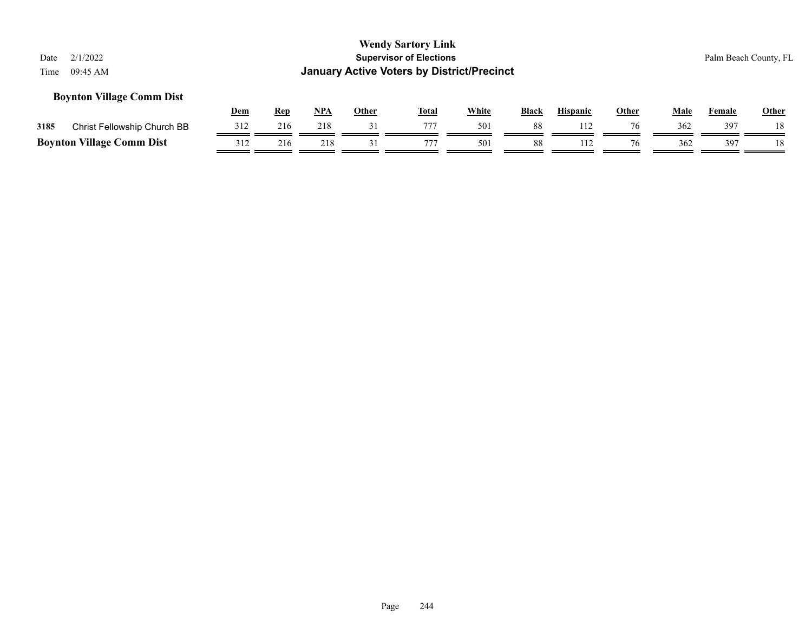### **Boynton Village Comm Dist**

|      |                                  | Dem | Rep | NPA | Other | <b>Total</b> | White | <b>Black</b> | <b>Hispanic</b> | Other | Male | Female | <b>Other</b> |
|------|----------------------------------|-----|-----|-----|-------|--------------|-------|--------------|-----------------|-------|------|--------|--------------|
| 3185 | Christ Fellowship Church BB      | 312 | 216 | 218 |       |              | 501   | 88           |                 | 76    | 362  | 397    | 18           |
|      | <b>Boynton Village Comm Dist</b> |     | 216 | 218 |       |              | 501   | 88           |                 | 76    | 362  | 397    | 18           |

#### Page 244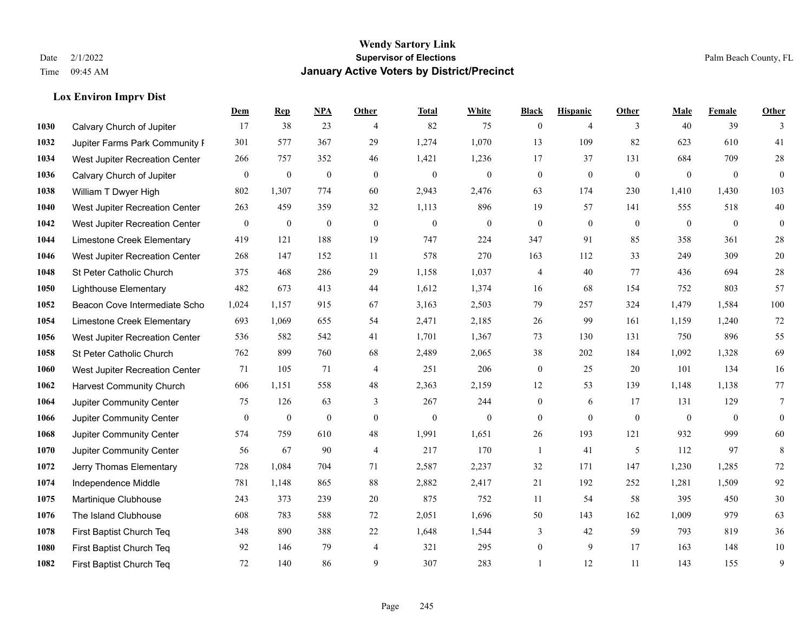**Lox Environ Imprv Dist**

#### **Wendy Sartory Link** Date 2/1/2022 **Supervisor of Elections** Palm Beach County, FL Time 09:45 AM **January Active Voters by District/Precinct**

## **Dem Rep NPA Other Total White Black Hispanic Other Male Female Other** Calvary Church of Jupiter 17 38 23 4 82 75 0 4 3 40 39 3 Jupiter Farms Park Community F 301 577 367 29 1,274 1,070 13 109 82 623 610 41 West Jupiter Recreation Center 266 757 352 46 1,421 1,236 17 37 131 684 709 28 Calvary Church of Jupiter 0 0 0 0 0 0 0 0 0 0 0 0 William T Dwyer High 802 1,307 774 60 2,943 2,476 63 174 230 1,410 1,430 103 West Jupiter Recreation Center 263 459 359 32 1,113 896 19 57 141 555 518 40 West Jupiter Recreation Center 0 0 0 0 0 0 0 0 0 0 0 0 Limestone Creek Elementary 419 121 188 19 747 224 347 91 85 358 361 28 West Jupiter Recreation Center 268 147 152 11 578 270 163 112 33 249 309 20 St Peter Catholic Church 375 468 286 29 1,158 1,037 4 40 77 436 694 28 Lighthouse Elementary 482 673 413 44 1,612 1,374 16 68 154 752 803 57 Beacon Cove Intermediate School 1,024 1,157 915 67 3,163 2,503 79 257 324 1,479 1,584 100 Limestone Creek Elementary 693 1,069 655 54 2,471 2,185 26 99 161 1,159 1,240 72 West Jupiter Recreation Center 536 582 542 41 1,701 1,367 73 130 131 750 896 55 St Peter Catholic Church 762 899 760 68 2,489 2,065 38 202 184 1,092 1,328 69 West Jupiter Recreation Center 71 105 71 4 251 206 0 25 20 101 134 16 Harvest Community Church 606 1,151 558 48 2,363 2,159 12 53 139 1,148 1,138 77 Jupiter Community Center  $\begin{array}{cccc} 75 & 126 & 63 & 3 & 267 & 244 & 0 & 6 & 17 & 131 & 129 & 7 \end{array}$  Jupiter Community Center 0 0 0 0 0 0 0 0 0 0 0 0 Jupiter Community Center 574 759 610 48 1,991 1,651 26 193 121 932 999 60 Jupiter Community Center 56 67 90 4 217 170 1 41 5 112 97 8 Jerry Thomas Elementary 728 1,084 704 71 2,587 2,237 32 171 147 1,230 1,285 72 Independence Middle 781 1,148 865 88 2,882 2,417 21 192 252 1,281 1,509 92 Martinique Clubhouse 243 373 239 20 875 752 11 54 58 395 450 30 The Island Clubhouse 608 783 588 72 2,051 1,696 50 143 162 1,009 979 63 First Baptist Church Teq 348 890 388 22 1,648 1,544 3 42 59 793 819 36 First Baptist Church Teq 92 146 79 4 321 295 0 9 17 163 148 10 First Baptist Church Teq 72 140 86 9 307 283 1 12 11 143 155 9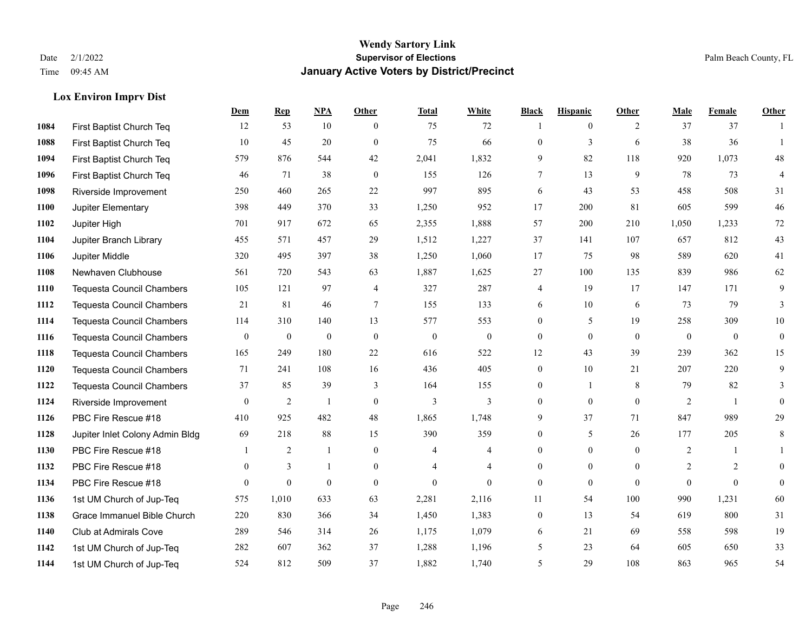### **Lox Environ Imprv Dist**

|      |                                  | Dem              | <b>Rep</b>       | NPA              | <b>Other</b>     | <b>Total</b>     | <b>White</b>     | <b>Black</b>     | <b>Hispanic</b>  | <b>Other</b> | <b>Male</b>      | <b>Female</b>  | <b>Other</b>     |
|------|----------------------------------|------------------|------------------|------------------|------------------|------------------|------------------|------------------|------------------|--------------|------------------|----------------|------------------|
| 1084 | First Baptist Church Teq         | 12               | 53               | 10               | $\theta$         | 75               | 72               |                  | $\overline{0}$   | 2            | 37               | 37             |                  |
| 1088 | First Baptist Church Teq         | 10               | 45               | 20               | $\theta$         | 75               | 66               | $\overline{0}$   | $\overline{3}$   | 6            | 38               | 36             | $\overline{1}$   |
| 1094 | First Baptist Church Teq         | 579              | 876              | 544              | 42               | 2,041            | 1,832            | 9                | 82               | 118          | 920              | 1,073          | 48               |
| 1096 | First Baptist Church Teq         | 46               | 71               | 38               | $\mathbf{0}$     | 155              | 126              | 7                | 13               | 9            | 78               | 73             | 4                |
| 1098 | Riverside Improvement            | 250              | 460              | 265              | 22               | 997              | 895              | 6                | 43               | 53           | 458              | 508            | 31               |
| 1100 | Jupiter Elementary               | 398              | 449              | 370              | 33               | 1,250            | 952              | 17               | 200              | 81           | 605              | 599            | 46               |
| 1102 | Jupiter High                     | 701              | 917              | 672              | 65               | 2,355            | 1,888            | 57               | 200              | 210          | 1,050            | 1,233          | 72               |
| 1104 | Jupiter Branch Library           | 455              | 571              | 457              | 29               | 1,512            | 1,227            | 37               | 141              | 107          | 657              | 812            | 43               |
| 1106 | Jupiter Middle                   | 320              | 495              | 397              | 38               | 1,250            | 1,060            | 17               | 75               | 98           | 589              | 620            | 41               |
| 1108 | Newhaven Clubhouse               | 561              | 720              | 543              | 63               | 1,887            | 1,625            | 27               | 100              | 135          | 839              | 986            | 62               |
| 1110 | <b>Tequesta Council Chambers</b> | 105              | 121              | 97               | $\overline{4}$   | 327              | 287              | 4                | 19               | 17           | 147              | 171            | 9                |
| 1112 | <b>Tequesta Council Chambers</b> | 21               | 81               | 46               | 7                | 155              | 133              | 6                | 10               | 6            | 73               | 79             | 3                |
| 1114 | <b>Tequesta Council Chambers</b> | 114              | 310              | 140              | 13               | 577              | 553              | $\overline{0}$   | 5                | 19           | 258              | 309            | 10               |
| 1116 | Tequesta Council Chambers        | $\boldsymbol{0}$ | $\boldsymbol{0}$ | $\boldsymbol{0}$ | $\boldsymbol{0}$ | $\boldsymbol{0}$ | $\boldsymbol{0}$ | $\boldsymbol{0}$ | $\boldsymbol{0}$ | $\mathbf{0}$ | $\boldsymbol{0}$ | $\mathbf{0}$   | $\boldsymbol{0}$ |
| 1118 | <b>Tequesta Council Chambers</b> | 165              | 249              | 180              | 22               | 616              | 522              | 12               | 43               | 39           | 239              | 362            | 15               |
| 1120 | <b>Tequesta Council Chambers</b> | 71               | 241              | 108              | 16               | 436              | 405              | $\overline{0}$   | 10               | 21           | 207              | 220            | 9                |
| 1122 | <b>Tequesta Council Chambers</b> | 37               | 85               | 39               | 3                | 164              | 155              | $\boldsymbol{0}$ | $\mathbf{1}$     | 8            | 79               | 82             | 3                |
| 1124 | Riverside Improvement            | $\overline{0}$   | 2                |                  | $\mathbf{0}$     | 3                | 3                | $\overline{0}$   | $\overline{0}$   | $\mathbf{0}$ | 2                | $\overline{1}$ | $\overline{0}$   |
| 1126 | PBC Fire Rescue #18              | 410              | 925              | 482              | 48               | 1,865            | 1,748            | 9                | 37               | 71           | 847              | 989            | 29               |
| 1128 | Jupiter Inlet Colony Admin Bldg  | 69               | 218              | 88               | 15               | 390              | 359              | $\boldsymbol{0}$ | 5                | 26           | 177              | 205            | 8                |
| 1130 | PBC Fire Rescue #18              |                  | $\overline{2}$   | $\mathbf{1}$     | $\theta$         | 4                | 4                | $\overline{0}$   | $\Omega$         | $\theta$     | 2                | $\mathbf{1}$   | $\mathbf{1}$     |
| 1132 | PBC Fire Rescue #18              | $\overline{0}$   | 3                |                  | $\mathbf{0}$     | $\overline{4}$   | $\overline{4}$   | $\overline{0}$   | $\mathbf{0}$     | $\theta$     | 2                | 2              | $\overline{0}$   |
| 1134 | PBC Fire Rescue #18              | $\mathbf{0}$     | $\boldsymbol{0}$ | $\mathbf{0}$     | $\overline{0}$   | $\boldsymbol{0}$ | $\mathbf{0}$     | $\overline{0}$   | $\overline{0}$   | $\theta$     | $\overline{0}$   | $\mathbf{0}$   | $\overline{0}$   |
| 1136 | 1st UM Church of Jup-Teq         | 575              | 1,010            | 633              | 63               | 2,281            | 2,116            | 11               | 54               | 100          | 990              | 1,231          | 60               |
| 1138 | Grace Immanuel Bible Church      | 220              | 830              | 366              | 34               | 1,450            | 1,383            | $\overline{0}$   | 13               | 54           | 619              | 800            | 31               |
| 1140 | Club at Admirals Cove            | 289              | 546              | 314              | 26               | 1,175            | 1,079            | 6                | 21               | 69           | 558              | 598            | 19               |
| 1142 | 1st UM Church of Jup-Teq         | 282              | 607              | 362              | 37               | 1,288            | 1,196            | 5                | 23               | 64           | 605              | 650            | 33               |
| 1144 | 1st UM Church of Jup-Teq         | 524              | 812              | 509              | 37               | 1,882            | 1,740            | 5                | 29               | 108          | 863              | 965            | 54               |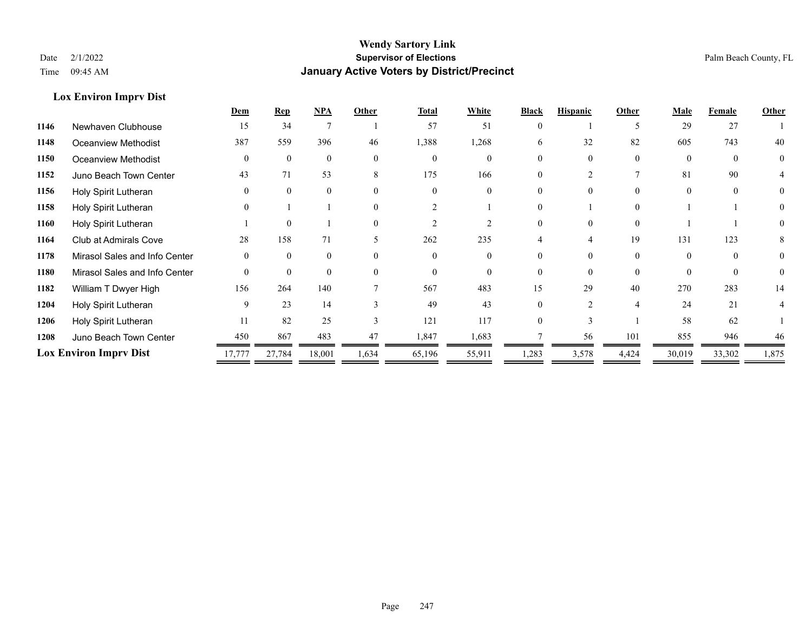**Lox Environ Imprv Dist**

### **Wendy Sartory Link** Date 2/1/2022 **Supervisor of Elections** Palm Beach County, FL Time 09:45 AM **January Active Voters by District/Precinct**

|      |                               | Dem            | <b>Rep</b>     | <b>NPA</b>   | Other        | <b>Total</b> | White    | <b>Black</b> | <b>Hispanic</b> | Other          | Male     | Female   | Other |
|------|-------------------------------|----------------|----------------|--------------|--------------|--------------|----------|--------------|-----------------|----------------|----------|----------|-------|
| 1146 | Newhaven Clubhouse            | 15             | 34             |              |              | 57           | 51       | $\Omega$     |                 | 5              | 29       | 27       |       |
| 1148 | Oceanview Methodist           | 387            | 559            | 396          | 46           | 1,388        | 1,268    | 6            | 32              | 82             | 605      | 743      | 40    |
| 1150 | Oceanview Methodist           | $\theta$       | $\theta$       | $\theta$     | $\theta$     | $\theta$     | $\theta$ |              | $\theta$        | $\Omega$       | $\Omega$ | $\theta$ | 0     |
| 1152 | Juno Beach Town Center        | 43             | 71             | 53           | 8            | 175          | 166      |              |                 |                | 81       | 90       |       |
| 1156 | Holy Spirit Lutheran          | $\Omega$       | $\Omega$       | $\Omega$     | $\Omega$     | $\Omega$     |          |              |                 |                |          | $\Omega$ | 0     |
| 1158 | Holy Spirit Lutheran          | $\theta$       |                |              | $\Omega$     |              |          |              |                 | $\Omega$       |          |          |       |
| 1160 | Holy Spirit Lutheran          |                | $\theta$       |              | $\Omega$     |              |          |              | $\Omega$        | $\Omega$       |          |          | 0     |
| 1164 | Club at Admirals Cove         | 28             | 158            | 71           |              | 262          | 235      |              |                 | 19             | 131      | 123      | 8     |
| 1178 | Mirasol Sales and Info Center | $\overline{0}$ | $\overline{0}$ | $\mathbf{0}$ | $\theta$     | $\theta$     |          |              |                 | $\Omega$       |          |          | 0     |
| 1180 | Mirasol Sales and Info Center | $\theta$       | $\theta$       | $\Omega$     | $\Omega$     | $\Omega$     | $\Omega$ |              | $\Omega$        | $\Omega$       | $\Omega$ | $\Omega$ | 0     |
| 1182 | William T Dwyer High          | 156            | 264            | 140          |              | 567          | 483      | 15           | 29              | 40             | 270      | 283      | 14    |
| 1204 | Holy Spirit Lutheran          | 9              | 23             | 14           |              | 49           | 43       |              |                 | $\overline{4}$ | 24       | 21       |       |
| 1206 | Holy Spirit Lutheran          | 11             | 82             | 25           | $\mathbf{3}$ | 121          | 117      |              |                 |                | 58       | 62       |       |
| 1208 | Juno Beach Town Center        | 450            | 867            | 483          | 47           | 1,847        | 1,683    |              | 56              | 101            | 855      | 946      | 46    |
|      | <b>Lox Environ Imprv Dist</b> | 17,777         | 27,784         | 18,001       | 1,634        | 65,196       | 55,911   | 1,283        | 3,578           | 4,424          | 30,019   | 33,302   | 1,875 |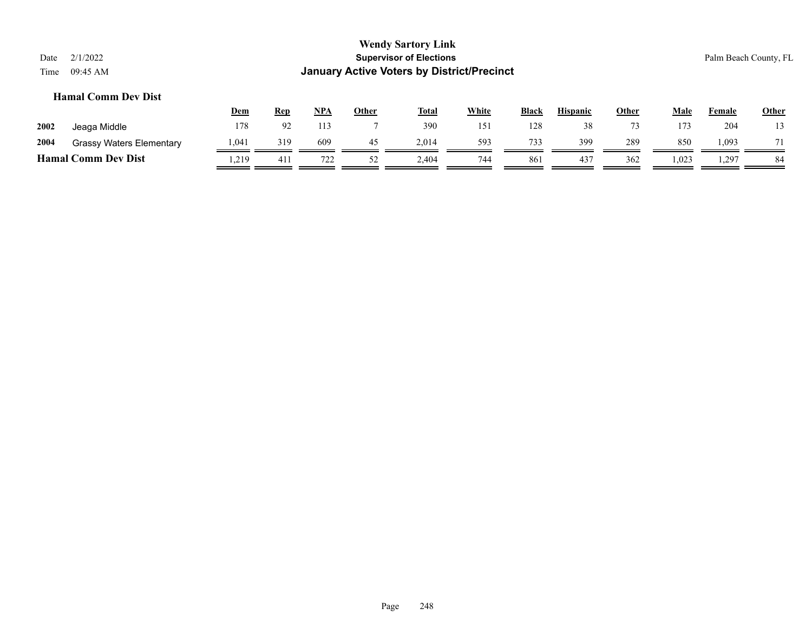## **Hamal Comm Dev Dist**

|      |                                 | <u>Dem</u> | Rep            | NPA | Other | <b>Total</b> | <u>White</u> | <b>Black</b> | <b>Hispanic</b> | <u>Other</u> | Male  | Female | <b>Other</b> |
|------|---------------------------------|------------|----------------|-----|-------|--------------|--------------|--------------|-----------------|--------------|-------|--------|--------------|
| 2002 | Jeaga Middle                    | 178        | Q <sub>2</sub> | 113 |       | 390          | 151          | 128          | 38              | $\mathbf{z}$ | 173   | 204    | 13           |
| 2004 | <b>Grassy Waters Elementary</b> | 1.041      | 319            | 609 | 45    | 2.014        | 593          | 733          | 399             | 289          | 850   | 1,093  |              |
|      | <b>Hamal Comm Dev Dist</b>      | .219       | 411            | 722 | ے ر   | 2,404        | 744          | 861          | 437             | 362          | 1,023 | 1,297  | 84           |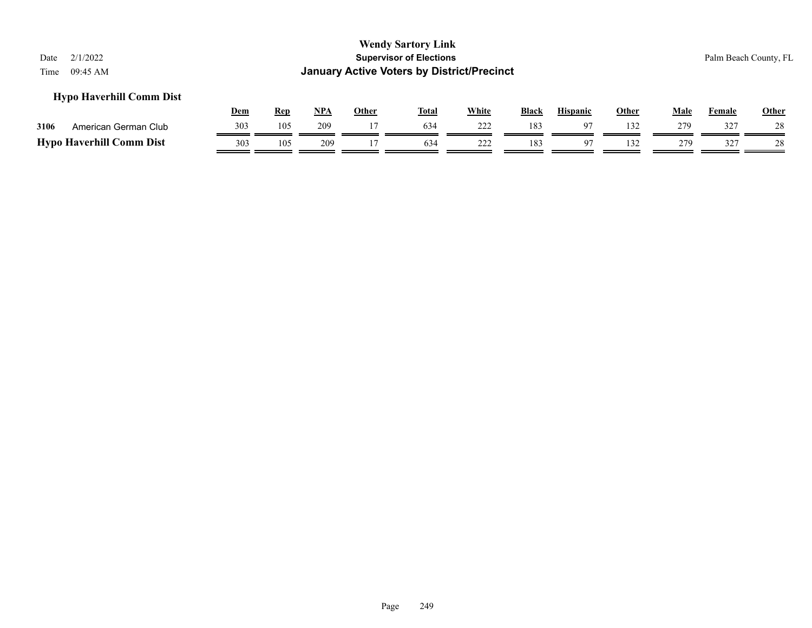### **Hypo Haverhill Comm Dist**

|      |                                 | Dem | Ren | NPA | Other | <b>Total</b> | White      | Black | <b>Hispanic</b> | Other | Male       | Female | <b>Other</b> |
|------|---------------------------------|-----|-----|-----|-------|--------------|------------|-------|-----------------|-------|------------|--------|--------------|
| 3106 | American German Club            | 303 | 105 | 209 |       | 634          | 222<br>∸∸∸ | 183   |                 | 132   | 279        | 327    |              |
|      | <b>Hypo Haverhill Comm Dist</b> | 303 | 105 | 209 |       | 634          | 222        | 183   | $\Omega$        | 132   | 270<br>- 1 | 327    |              |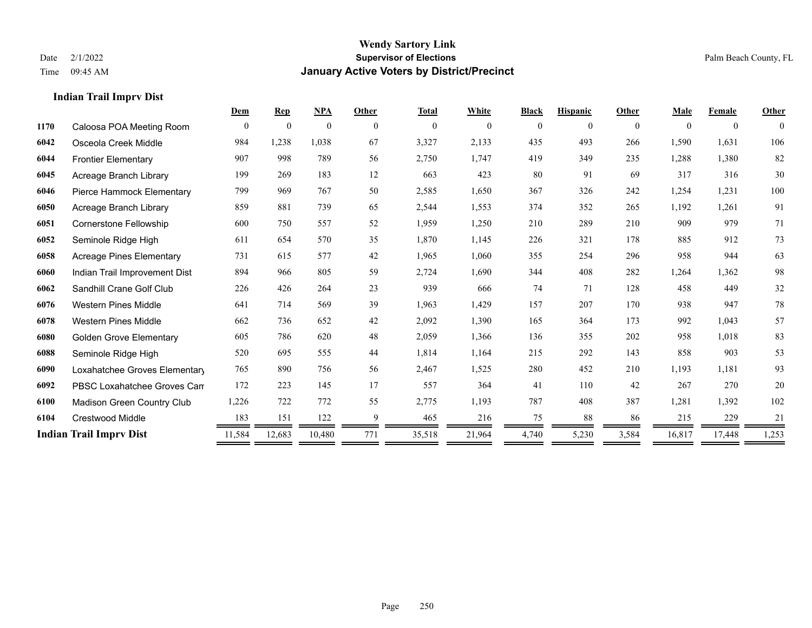**Indian Trail Imprv Dist**

#### **Wendy Sartory Link** Date 2/1/2022 **Supervisor of Elections** Palm Beach County, FL Time 09:45 AM **January Active Voters by District/Precinct**

**Dem Rep NPA Other Total White Black Hispanic Other Male Female Other**

## Caloosa POA Meeting Room 0 0 0 0 0 0 0 0 0 0 0 0 Osceola Creek Middle 984 1,238 1,038 67 3,327 2,133 435 493 266 1,590 1,631 106 Frontier Elementary 907 998 789 56 2,750 1,747 419 349 235 1,288 1,380 82 Acreage Branch Library 199 269 183 12 663 423 80 91 69 317 316 30 Pierce Hammock Elementary 799 969 767 50 2,585 1,650 367 326 242 1,254 1,231 100 Acreage Branch Library 859 881 739 65 2,544 1,553 374 352 265 1,192 1,261 91 Cornerstone Fellowship 600 750 557 52 1,959 1,250 210 289 210 909 979 71 Seminole Ridge High 611 654 570 35 1,870 1,145 226 321 178 885 912 73 Acreage Pines Elementary 731 615 577 42 1,965 1,060 355 254 296 958 944 63 Indian Trail Improvement Dist 894 966 805 59 2,724 1,690 344 408 282 1,264 1,362 98 Sandhill Crane Golf Club 226 426 264 23 939 666 74 71 128 458 449 32 Western Pines Middle 641 714 569 39 1,963 1,429 157 207 170 938 947 78 Western Pines Middle 662 736 652 42 2,092 1,390 165 364 173 992 1,043 57

Page 250

 Golden Grove Elementary 605 786 620 48 2,059 1,366 136 355 202 958 1,018 83 Seminole Ridge High 520 695 555 44 1,814 1,164 215 292 143 858 903 53 Loxahatchee Groves Elementary 765 890 756 56 2,467 1,525 280 452 210 1,193 1,181 93 PBSC Loxahatchee Groves Campus 172 223 145 17 557 364 41 110 42 267 270 20 Madison Green Country Club 1,226 722 772 55 2,775 1,193 787 408 387 1,281 1,392 102 Crestwood Middle 183 151 122 9 465 216 75 88 86 215 229 21 **Indian Trail Imprv Dist** 11,584 12,683 10,480 771 35,518 21,964 4,740 5,230 3,584 16,817 17,448 1,253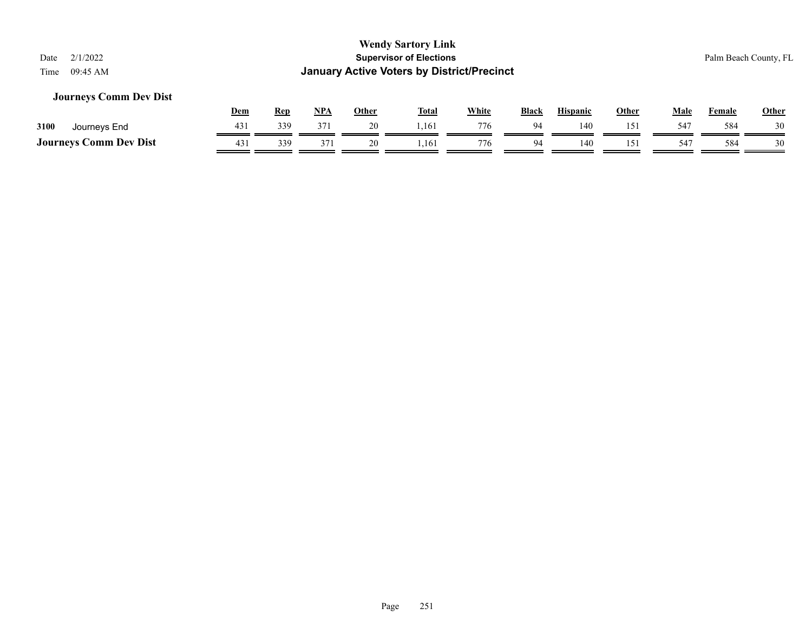### **Journeys Comm Dev Dist**

|                               | <u>Dem</u> | Rep | <b>NPA</b>      | Other | <b>Total</b> | White | <b>Black</b> | <b>Hispanic</b> | Other | Male | Female | Other |
|-------------------------------|------------|-----|-----------------|-------|--------------|-------|--------------|-----------------|-------|------|--------|-------|
| 3100<br>Journeys End          | 431        | 339 | 371             |       | .161         | 776   | -94          | 140             | 151   | 547  | 584    | 30    |
| <b>Journeys Comm Dev Dist</b> | 431        | 339 | 37 <sub>1</sub> | 20    | 1,161        | 776   | -94          | .40             | 151   | -541 | 584    |       |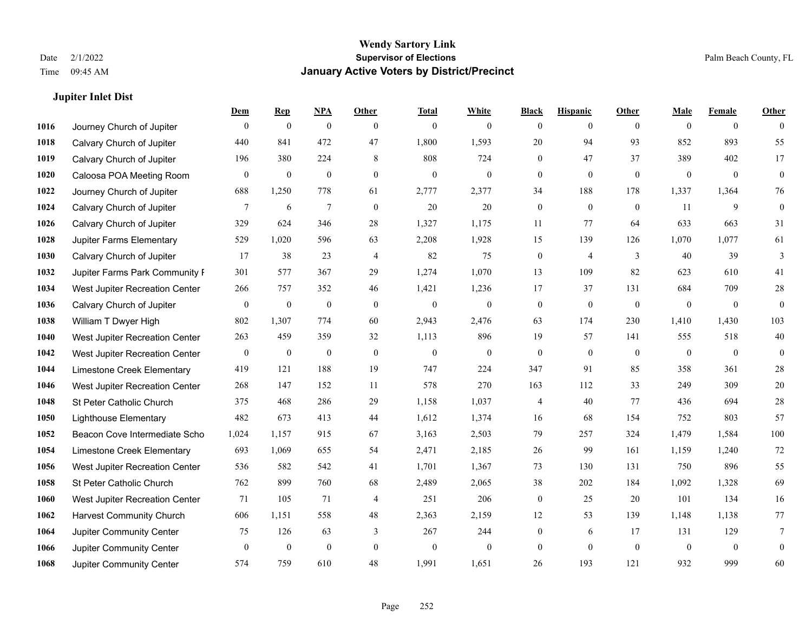**Jupiter Inlet Dist**

#### **Wendy Sartory Link** Date 2/1/2022 **Supervisor of Elections** Palm Beach County, FL Time 09:45 AM **January Active Voters by District/Precinct**

## **Dem Rep NPA Other Total White Black Hispanic Other Male Female Other** Journey Church of Jupiter 0 0 0 0 0 0 0 0 0 0 0 0 Calvary Church of Jupiter 440 841 472 47 1,800 1,593 20 94 93 852 893 55 Calvary Church of Jupiter 196 380 224 8 808 724 0 47 37 389 402 17 Caloosa POA Meeting Room 0 0 0 0 0 0 0 0 0 0 0 0 Journey Church of Jupiter 688 1,250 778 61 2,777 2,377 34 188 178 1,337 1,364 76 Calvary Church of Jupiter  $\begin{array}{cccccccc} 7 & 6 & 7 & 0 & 20 & 20 & 0 & 0 & 0 & 11 & 9 & 0 \end{array}$  Calvary Church of Jupiter 329 624 346 28 1,327 1,175 11 77 64 633 663 31 Jupiter Farms Elementary 529 1,020 596 63 2,208 1,928 15 139 126 1,070 1,077 61 **1030 Calvary Church of Jupiter** 17 38 23 4 82 75 0 4 3 40 39 3 Jupiter Farms Park Community Pavilion 301 577 367 29 1,274 1,070 13 109 82 623 610 41 West Jupiter Recreation Center 266 757 352 46 1,421 1,236 17 37 131 684 709 28 Calvary Church of Jupiter 0 0 0 0 0 0 0 0 0 0 0 0 William T Dwyer High 802 1,307 774 60 2,943 2,476 63 174 230 1,410 1,430 103 West Jupiter Recreation Center 263 459 359 32 1,113 896 19 57 141 555 518 40 West Jupiter Recreation Center 0 0 0 0 0 0 0 0 0 0 0 0 Limestone Creek Elementary 419 121 188 19 747 224 347 91 85 358 361 28 West Jupiter Recreation Center 268 147 152 11 578 270 163 112 33 249 309 20 St Peter Catholic Church 375 468 286 29 1,158 1,037 4 40 77 436 694 28 Lighthouse Elementary 482 673 413 44 1,612 1,374 16 68 154 752 803 57 Beacon Cove Intermediate School 1,024 1,157 915 67 3,163 2,503 79 257 324 1,479 1,584 100 Limestone Creek Elementary 693 1,069 655 54 2,471 2,185 26 99 161 1,159 1,240 72 West Jupiter Recreation Center 536 582 542 41 1,701 1,367 73 130 131 750 896 55 St Peter Catholic Church 762 899 760 68 2,489 2,065 38 202 184 1,092 1,328 69 West Jupiter Recreation Center 71 105 71 4 251 206 0 25 20 101 134 16 Harvest Community Church 606 1,151 558 48 2,363 2,159 12 53 139 1,148 1,138 77 Jupiter Community Center  $\begin{array}{cccc} 75 & 126 & 63 & 3 & 267 & 244 & 0 & 6 & 17 & 131 & 129 & 7 \end{array}$  Jupiter Community Center 0 0 0 0 0 0 0 0 0 0 0 0 Jupiter Community Center 574 759 610 48 1,991 1,651 26 193 121 932 999 60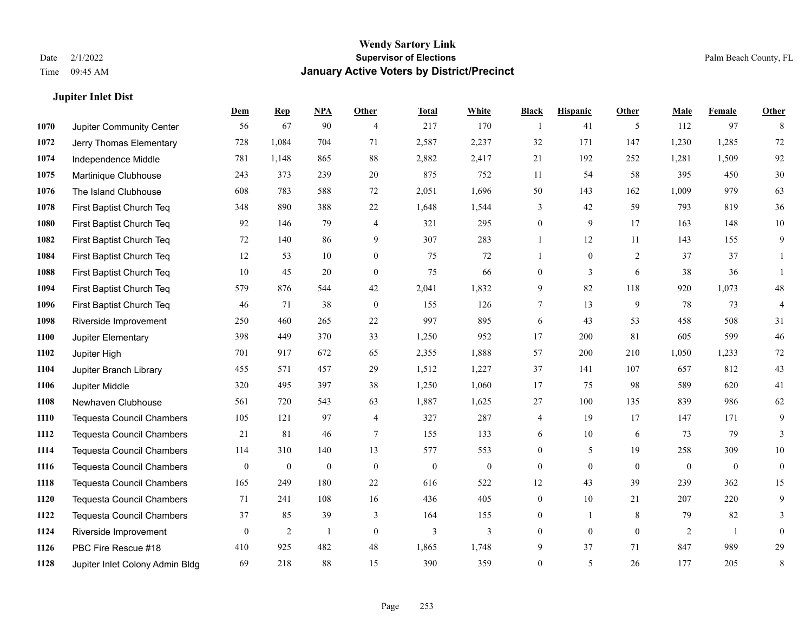**Jupiter Inlet Dist**

### **Wendy Sartory Link** Date 2/1/2022 **Supervisor of Elections** Palm Beach County, FL Time 09:45 AM **January Active Voters by District/Precinct**

|      |                                  | Dem              | <b>Rep</b>     | NPA              | Other            | <b>Total</b> | White            | <b>Black</b>     | <b>Hispanic</b>  | Other          | <b>Male</b>    | <b>Female</b>  | <b>Other</b>     |
|------|----------------------------------|------------------|----------------|------------------|------------------|--------------|------------------|------------------|------------------|----------------|----------------|----------------|------------------|
| 1070 | Jupiter Community Center         | 56               | 67             | 90               | $\overline{4}$   | 217          | 170              | $\overline{1}$   | 41               | 5              | 112            | 97             | 8                |
| 1072 | Jerry Thomas Elementary          | 728              | 1,084          | 704              | 71               | 2,587        | 2,237            | 32               | 171              | 147            | 1,230          | 1,285          | 72               |
| 1074 | Independence Middle              | 781              | 1,148          | 865              | 88               | 2,882        | 2,417            | 21               | 192              | 252            | 1,281          | 1,509          | 92               |
| 1075 | Martinique Clubhouse             | 243              | 373            | 239              | 20               | 875          | 752              | 11               | 54               | 58             | 395            | 450            | $30\,$           |
| 1076 | The Island Clubhouse             | 608              | 783            | 588              | 72               | 2,051        | 1,696            | 50               | 143              | 162            | 1,009          | 979            | 63               |
| 1078 | First Baptist Church Teq         | 348              | 890            | 388              | 22               | 1,648        | 1,544            | 3                | 42               | 59             | 793            | 819            | 36               |
| 1080 | First Baptist Church Teq         | 92               | 146            | 79               | $\overline{4}$   | 321          | 295              | $\boldsymbol{0}$ | 9                | 17             | 163            | 148            | $10\,$           |
| 1082 | First Baptist Church Teq         | 72               | 140            | 86               | 9                | 307          | 283              | 1                | 12               | 11             | 143            | 155            | 9                |
| 1084 | First Baptist Church Teq         | 12               | 53             | 10               | $\mathbf{0}$     | 75           | 72               | $\mathbf{1}$     | $\boldsymbol{0}$ | $\overline{2}$ | 37             | 37             | 1                |
| 1088 | First Baptist Church Teq         | 10               | 45             | 20               | $\mathbf{0}$     | 75           | 66               | $\boldsymbol{0}$ | 3                | 6              | 38             | 36             |                  |
| 1094 | First Baptist Church Teq         | 579              | 876            | 544              | 42               | 2,041        | 1,832            | 9                | 82               | 118            | 920            | 1,073          | 48               |
| 1096 | First Baptist Church Teq         | 46               | 71             | 38               | $\boldsymbol{0}$ | 155          | 126              | 7                | 13               | 9              | 78             | 73             | 4                |
| 1098 | Riverside Improvement            | 250              | 460            | 265              | 22               | 997          | 895              | 6                | 43               | 53             | 458            | 508            | 31               |
| 1100 | Jupiter Elementary               | 398              | 449            | 370              | 33               | 1,250        | 952              | 17               | 200              | 81             | 605            | 599            | 46               |
| 1102 | Jupiter High                     | 701              | 917            | 672              | 65               | 2,355        | 1,888            | 57               | 200              | 210            | 1,050          | 1,233          | 72               |
| 1104 | Jupiter Branch Library           | 455              | 571            | 457              | 29               | 1,512        | 1,227            | 37               | 141              | 107            | 657            | 812            | 43               |
| 1106 | Jupiter Middle                   | 320              | 495            | 397              | 38               | 1,250        | 1,060            | 17               | 75               | 98             | 589            | 620            | 41               |
| 1108 | Newhaven Clubhouse               | 561              | 720            | 543              | 63               | 1,887        | 1,625            | 27               | 100              | 135            | 839            | 986            | 62               |
| 1110 | <b>Tequesta Council Chambers</b> | 105              | 121            | 97               | $\overline{4}$   | 327          | 287              | 4                | 19               | 17             | 147            | 171            | 9                |
| 1112 | <b>Tequesta Council Chambers</b> | 21               | 81             | 46               | 7                | 155          | 133              | 6                | 10               | 6              | 73             | 79             | 3                |
| 1114 | <b>Tequesta Council Chambers</b> | 114              | 310            | 140              | 13               | 577          | 553              | $\boldsymbol{0}$ | 5                | 19             | 258            | 309            | $10\,$           |
| 1116 | <b>Tequesta Council Chambers</b> | $\boldsymbol{0}$ | $\mathbf{0}$   | $\boldsymbol{0}$ | $\mathbf{0}$     | $\mathbf{0}$ | $\boldsymbol{0}$ | $\overline{0}$   | $\mathbf{0}$     | $\overline{0}$ | $\mathbf{0}$   | $\overline{0}$ | $\boldsymbol{0}$ |
| 1118 | <b>Tequesta Council Chambers</b> | 165              | 249            | 180              | 22               | 616          | 522              | 12               | 43               | 39             | 239            | 362            | 15               |
| 1120 | Tequesta Council Chambers        | 71               | 241            | 108              | 16               | 436          | 405              | $\boldsymbol{0}$ | 10               | 21             | 207            | 220            | 9                |
| 1122 | <b>Tequesta Council Chambers</b> | 37               | 85             | 39               | 3                | 164          | 155              | $\boldsymbol{0}$ | $\mathbf{1}$     | 8              | 79             | 82             | 3                |
| 1124 | Riverside Improvement            | $\mathbf{0}$     | $\overline{2}$ | 1                | $\mathbf{0}$     | 3            | 3                | $\boldsymbol{0}$ | $\mathbf{0}$     | $\mathbf{0}$   | $\overline{2}$ | -1             | $\mathbf{0}$     |
| 1126 | PBC Fire Rescue #18              | 410              | 925            | 482              | 48               | 1,865        | 1,748            | 9                | 37               | 71             | 847            | 989            | 29               |
| 1128 | Jupiter Inlet Colony Admin Bldg  | 69               | 218            | 88               | 15               | 390          | 359              | $\overline{0}$   | 5                | 26             | 177            | 205            | $\,$ 8 $\,$      |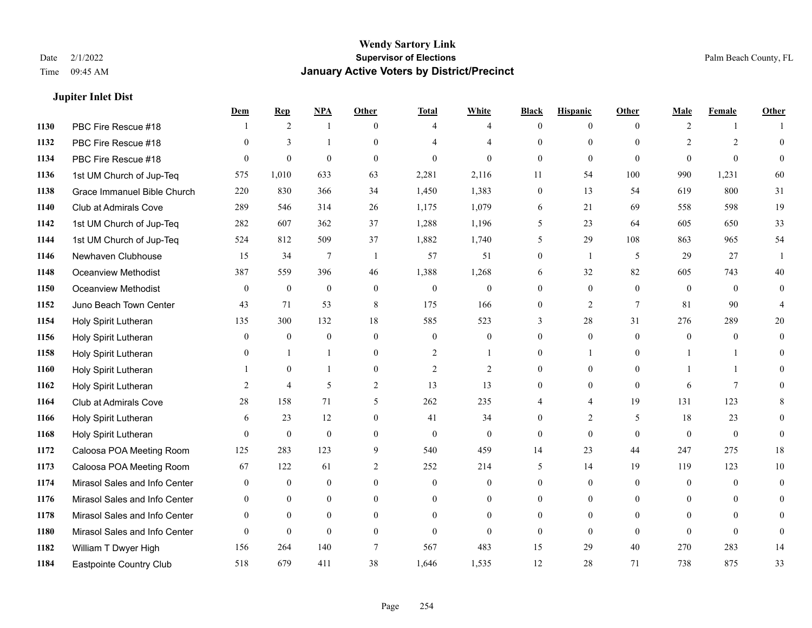### **Jupiter Inlet Dist**

|      |                               | Dem            | <b>Rep</b>       | NPA              | <b>Other</b>   | <b>Total</b>     | <b>White</b>     | <b>Black</b>     | <b>Hispanic</b> | <b>Other</b>    | <b>Male</b>      | <b>Female</b>  | <b>Other</b>   |
|------|-------------------------------|----------------|------------------|------------------|----------------|------------------|------------------|------------------|-----------------|-----------------|------------------|----------------|----------------|
| 1130 | PBC Fire Rescue #18           |                | 2                | 1                | $\theta$       | $\overline{4}$   | $\overline{4}$   | $\mathbf{0}$     | $\overline{0}$  | $\theta$        | $\overline{2}$   | $\mathbf{1}$   |                |
| 1132 | PBC Fire Rescue #18           | $\theta$       | 3                | $\mathbf{1}$     | $\Omega$       |                  | $\overline{4}$   | $\theta$         | $\mathbf{0}$    | $\Omega$        | $\overline{2}$   | $\overline{2}$ | $\theta$       |
| 1134 | PBC Fire Rescue #18           | $\Omega$       | $\boldsymbol{0}$ | $\theta$         | $\Omega$       | $\theta$         | $\Omega$         | $\Omega$         | $\theta$        | $\Omega$        | $\Omega$         | $\Omega$       | $\Omega$       |
| 1136 | 1st UM Church of Jup-Teq      | 575            | 1,010            | 633              | 63             | 2,281            | 2,116            | 11               | 54              | 100             | 990              | 1,231          | 60             |
| 1138 | Grace Immanuel Bible Church   | 220            | 830              | 366              | 34             | 1,450            | 1,383            | $\mathbf{0}$     | 13              | 54              | 619              | 800            | 31             |
| 1140 | Club at Admirals Cove         | 289            | 546              | 314              | 26             | 1,175            | 1,079            | 6                | 21              | 69              | 558              | 598            | 19             |
| 1142 | 1st UM Church of Jup-Teq      | 282            | 607              | 362              | 37             | 1,288            | 1,196            | 5                | 23              | 64              | 605              | 650            | 33             |
| 1144 | 1st UM Church of Jup-Teq      | 524            | 812              | 509              | 37             | 1,882            | 1,740            | 5                | 29              | 108             | 863              | 965            | 54             |
| 1146 | Newhaven Clubhouse            | 15             | 34               | 7                | -1             | 57               | 51               | $\boldsymbol{0}$ | $\mathbf{1}$    | 5               | 29               | 27             |                |
| 1148 | <b>Oceanview Methodist</b>    | 387            | 559              | 396              | 46             | 1,388            | 1,268            | 6                | 32              | 82              | 605              | 743            | 40             |
| 1150 | <b>Oceanview Methodist</b>    | $\mathbf{0}$   | $\mathbf{0}$     | $\mathbf{0}$     | $\theta$       | $\mathbf{0}$     | $\overline{0}$   | $\mathbf{0}$     | $\mathbf{0}$    | $\theta$        | $\overline{0}$   | $\theta$       | $\mathbf{0}$   |
| 1152 | Juno Beach Town Center        | 43             | 71               | 53               | 8              | 175              | 166              | $\mathbf{0}$     | $\overline{2}$  | $7\phantom{.0}$ | 81               | 90             | 4              |
| 1154 | Holy Spirit Lutheran          | 135            | 300              | 132              | 18             | 585              | 523              | 3                | 28              | 31              | 276              | 289            | 20             |
| 1156 | Holy Spirit Lutheran          | $\mathbf{0}$   | $\boldsymbol{0}$ | $\boldsymbol{0}$ | $\mathbf{0}$   | $\boldsymbol{0}$ | $\boldsymbol{0}$ | $\boldsymbol{0}$ | $\mathbf{0}$    | $\mathbf{0}$    | $\boldsymbol{0}$ | $\bf{0}$       | $\overline{0}$ |
| 1158 | Holy Spirit Lutheran          | $\Omega$       | -1               | 1                | $\mathbf{0}$   | $\overline{2}$   | 1                | $\mathbf{0}$     | 1               | $\Omega$        |                  |                | $\Omega$       |
| 1160 | Holy Spirit Lutheran          |                | $\theta$         | 1                | $\theta$       | $\overline{2}$   | $\overline{2}$   | $\theta$         | $\theta$        | $\Omega$        | $\mathbf{1}$     | $\mathbf{1}$   | 0              |
| 1162 | Holy Spirit Lutheran          | $\overline{2}$ | $\overline{4}$   | 5                | $\mathfrak{2}$ | 13               | 13               | $\mathbf{0}$     | $\mathbf{0}$    | $\theta$        | 6                | $\tau$         |                |
| 1164 | Club at Admirals Cove         | 28             | 158              | 71               | 5              | 262              | 235              | 4                | 4               | 19              | 131              | 123            | 8              |
| 1166 | Holy Spirit Lutheran          | 6              | 23               | 12               | $\overline{0}$ | 41               | 34               | $\overline{0}$   | 2               | 5               | 18               | 23             | $\overline{0}$ |
| 1168 | Holy Spirit Lutheran          | $\theta$       | $\mathbf{0}$     | $\theta$         | $\theta$       | $\mathbf{0}$     | $\mathbf{0}$     | $\mathbf{0}$     | $\theta$        | $\theta$        | $\theta$         | $\theta$       | $\theta$       |
| 1172 | Caloosa POA Meeting Room      | 125            | 283              | 123              | 9              | 540              | 459              | 14               | 23              | 44              | 247              | 275            | 18             |
| 1173 | Caloosa POA Meeting Room      | 67             | 122              | 61               | $\overline{c}$ | 252              | 214              | 5                | 14              | 19              | 119              | 123            | 10             |
| 1174 | Mirasol Sales and Info Center | $\mathbf{0}$   | $\mathbf{0}$     | $\mathbf{0}$     | $\overline{0}$ | $\mathbf{0}$     | $\boldsymbol{0}$ | $\mathbf{0}$     | $\mathbf{0}$    | $\theta$        | $\mathbf{0}$     | $\theta$       | $\mathbf{0}$   |
| 1176 | Mirasol Sales and Info Center | $\theta$       | $\theta$         | $\theta$         | $\theta$       | $\theta$         | $\overline{0}$   | $\theta$         | $\theta$        | $\theta$        | $\theta$         | $\theta$       | $\theta$       |
| 1178 | Mirasol Sales and Info Center | $\overline{0}$ | $\mathbf{0}$     | $\mathbf{0}$     | $\Omega$       | $\theta$         | $\boldsymbol{0}$ | $\overline{0}$   | $\mathbf{0}$    | $\theta$        | $\mathbf{0}$     | $\Omega$       | $\Omega$       |
| 1180 | Mirasol Sales and Info Center | $\theta$       | $\mathbf{0}$     | $\mathbf{0}$     | $\theta$       | $\theta$         | $\mathbf{0}$     | $\theta$         | $\mathbf{0}$    | $\theta$        | $\theta$         | $\theta$       | $\overline{0}$ |
| 1182 | William T Dwyer High          | 156            | 264              | 140              | 7              | 567              | 483              | 15               | 29              | 40              | 270              | 283            | 14             |
| 1184 | Eastpointe Country Club       | 518            | 679              | 411              | 38             | 1,646            | 1,535            | 12               | 28              | 71              | 738              | 875            | 33             |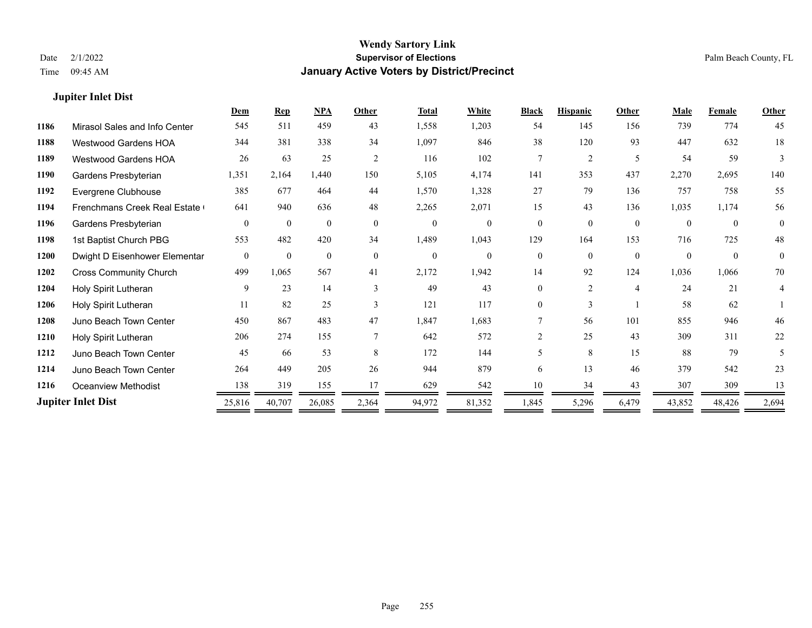### **Jupiter Inlet Dist**

|      |                                     | Dem      | <b>Rep</b>   | NPA          | Other    | <b>Total</b> | White          | <b>Black</b>   | <b>Hispanic</b> | Other          | Male     | <b>Female</b> | <b>Other</b>       |
|------|-------------------------------------|----------|--------------|--------------|----------|--------------|----------------|----------------|-----------------|----------------|----------|---------------|--------------------|
| 1186 | Mirasol Sales and Info Center       | 545      | 511          | 459          | 43       | 1,558        | 1,203          | 54             | 145             | 156            | 739      | 774           | 45                 |
| 1188 | <b>Westwood Gardens HOA</b>         | 344      | 381          | 338          | 34       | 1,097        | 846            | 38             | 120             | 93             | 447      | 632           | 18                 |
| 1189 | <b>Westwood Gardens HOA</b>         | 26       | 63           | 25           | 2        | 116          | 102            | 7              | 2               | 5              | 54       | 59            | 3                  |
| 1190 | Gardens Presbyterian                | 1,351    | 2,164        | 1,440        | 150      | 5,105        | 4,174          | 141            | 353             | 437            | 2,270    | 2,695         | 140                |
| 1192 | Evergrene Clubhouse                 | 385      | 677          | 464          | 44       | 1,570        | 1,328          | 27             | 79              | 136            | 757      | 758           | 55                 |
| 1194 | <b>Frenchmans Creek Real Estate</b> | 641      | 940          | 636          | 48       | 2,265        | 2,071          | 15             | 43              | 136            | 1,035    | 1,174         | 56                 |
| 1196 | Gardens Presbyterian                | $\theta$ | $\mathbf{0}$ | $\mathbf{0}$ | $\theta$ | $\mathbf{0}$ | $\overline{0}$ | $\overline{0}$ | $\Omega$        | $\theta$       | $\theta$ | $\theta$      | $\overline{0}$     |
| 1198 | 1st Baptist Church PBG              | 553      | 482          | 420          | 34       | 1,489        | 1,043          | 129            | 164             | 153            | 716      | 725           | 48                 |
| 1200 | Dwight D Eisenhower Elementar       | $\theta$ | $\theta$     | $\theta$     | $\theta$ | $\mathbf{0}$ | $\Omega$       | $\Omega$       | $\Omega$        | $\theta$       | $\theta$ | $\theta$      | $\mathbf{0}$       |
| 1202 | <b>Cross Community Church</b>       | 499      | 1,065        | 567          | 41       | 2,172        | 1,942          | 14             | 92              | 124            | 1,036    | 1,066         | 70                 |
| 1204 | Holy Spirit Lutheran                | 9        | 23           | 14           | 3        | 49           | 43             | 0              | $\overline{2}$  | $\overline{4}$ | 24       | 21            | 4                  |
| 1206 | Holy Spirit Lutheran                | 11       | 82           | 25           | 3        | 121          | 117            | $\Omega$       | 3               |                | 58       | 62            |                    |
| 1208 | Juno Beach Town Center              | 450      | 867          | 483          | 47       | 1,847        | 1,683          |                | 56              | 101            | 855      | 946           | 46                 |
| 1210 | Holy Spirit Lutheran                | 206      | 274          | 155          |          | 642          | 572            | $\mathfrak{D}$ | 25              | 43             | 309      | 311           | 22                 |
| 1212 | Juno Beach Town Center              | 45       | 66           | 53           | 8        | 172          | 144            | 5.             | 8               | 15             | 88       | 79            | 5                  |
| 1214 | Juno Beach Town Center              | 264      | 449          | 205          | 26       | 944          | 879            | 6              | 13              | 46             | 379      | 542           | 23                 |
| 1216 | <b>Oceanview Methodist</b>          | 138      | 319          | 155          | 17       | 629          | 542            | 10             | 34              | 43             | 307      | 309           | 13                 |
|      | <b>Jupiter Inlet Dist</b>           | 25,816   | 40,707       | 26,085       | 2,364    | 94,972       | 81,352         | 1,845          | 5,296           | 6,479          | 43,852   | 48,426        | 2,694<br>$\, = \,$ |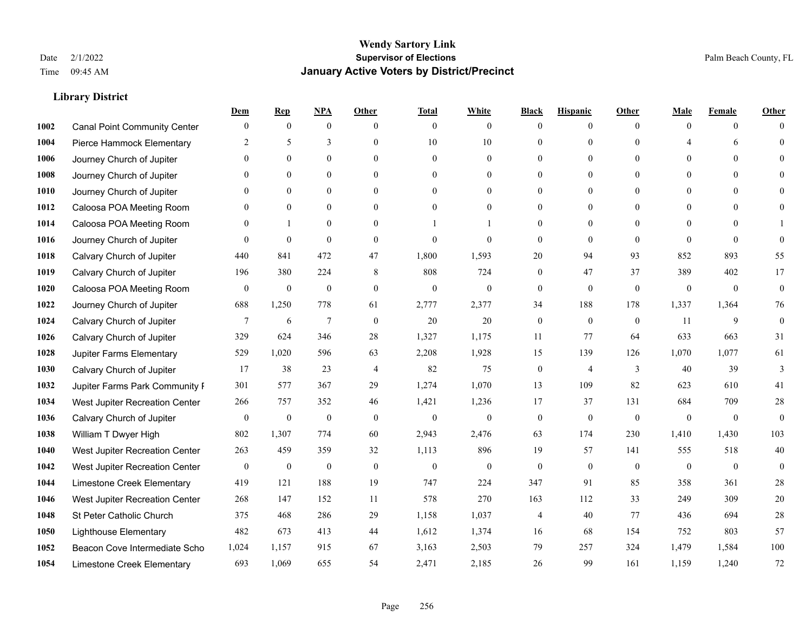|      |                                     | Dem              | <b>Rep</b>       | NPA              | <b>Other</b>   | <b>Total</b>     | <b>White</b>   | <b>Black</b>     | <b>Hispanic</b>  | <b>Other</b>   | <b>Male</b>  | <b>Female</b> | <b>Other</b>     |
|------|-------------------------------------|------------------|------------------|------------------|----------------|------------------|----------------|------------------|------------------|----------------|--------------|---------------|------------------|
| 1002 | <b>Canal Point Community Center</b> | $\mathbf{0}$     | $\mathbf{0}$     | $\boldsymbol{0}$ | $\theta$       | $\mathbf{0}$     | $\overline{0}$ | $\mathbf{0}$     | $\boldsymbol{0}$ | $\theta$       | $\theta$     | $\theta$      | $\Omega$         |
| 1004 | Pierce Hammock Elementary           | 2                | 5                | 3                | $\theta$       | 10               | 10             | $\overline{0}$   | $\mathbf{0}$     | $\Omega$       | 4            | 6             | $\theta$         |
| 1006 | Journey Church of Jupiter           | $\Omega$         | $\theta$         | $\theta$         | $\Omega$       | $\theta$         | $\overline{0}$ | $\Omega$         | $\theta$         | $\Omega$       | $\Omega$     | $\Omega$      | $\Omega$         |
| 1008 | Journey Church of Jupiter           | $\overline{0}$   | $\mathbf{0}$     | $\mathbf{0}$     | $\overline{0}$ | $\theta$         | $\overline{0}$ | $\overline{0}$   | $\mathbf{0}$     | $\theta$       | $\mathbf{0}$ | $\mathbf{0}$  |                  |
| 1010 | Journey Church of Jupiter           | 0                | $\mathbf{0}$     | $\mathbf{0}$     | $\theta$       | $\Omega$         | $\overline{0}$ | $\overline{0}$   | $\mathbf{0}$     | $\theta$       | $\theta$     | $\theta$      | $\Omega$         |
| 1012 | Caloosa POA Meeting Room            | 0                | $\mathbf{0}$     | $\mathbf{0}$     | $\theta$       | $\Omega$         | $\mathbf{0}$   | $\overline{0}$   | $\mathbf{0}$     | $\Omega$       | $\theta$     | $\Omega$      | $\mathbf{0}$     |
| 1014 | Caloosa POA Meeting Room            | $\theta$         | $\mathbf{1}$     | $\theta$         | $\theta$       |                  | 1              | $\overline{0}$   | $\mathbf{0}$     | $\theta$       | $\theta$     | $\Omega$      |                  |
| 1016 | Journey Church of Jupiter           | $\theta$         | $\mathbf{0}$     | $\mathbf{0}$     | $\theta$       | $\theta$         | $\mathbf{0}$   | $\mathbf{0}$     | $\mathbf{0}$     | $\theta$       | $\Omega$     | $\theta$      | $\theta$         |
| 1018 | Calvary Church of Jupiter           | 440              | 841              | 472              | 47             | 1,800            | 1,593          | 20               | 94               | 93             | 852          | 893           | 55               |
| 1019 | Calvary Church of Jupiter           | 196              | 380              | 224              | 8              | 808              | 724            | $\overline{0}$   | 47               | 37             | 389          | 402           | 17               |
| 1020 | Caloosa POA Meeting Room            | $\mathbf{0}$     | $\mathbf{0}$     | $\mathbf{0}$     | $\theta$       | $\mathbf{0}$     | $\mathbf{0}$   | $\mathbf{0}$     | $\mathbf{0}$     | $\theta$       | $\theta$     | $\theta$      | $\mathbf{0}$     |
| 1022 | Journey Church of Jupiter           | 688              | 1,250            | 778              | 61             | 2,777            | 2,377          | 34               | 188              | 178            | 1,337        | 1,364         | 76               |
| 1024 | Calvary Church of Jupiter           | 7                | 6                | $\overline{7}$   | $\mathbf{0}$   | 20               | 20             | $\boldsymbol{0}$ | $\mathbf{0}$     | $\overline{0}$ | 11           | 9             | $\boldsymbol{0}$ |
| 1026 | Calvary Church of Jupiter           | 329              | 624              | 346              | 28             | 1,327            | 1,175          | 11               | 77               | 64             | 633          | 663           | 31               |
| 1028 | Jupiter Farms Elementary            | 529              | 1,020            | 596              | 63             | 2,208            | 1,928          | 15               | 139              | 126            | 1,070        | 1,077         | 61               |
| 1030 | Calvary Church of Jupiter           | 17               | 38               | 23               | $\overline{4}$ | 82               | 75             | $\boldsymbol{0}$ | 4                | 3              | 40           | 39            | 3                |
| 1032 | Jupiter Farms Park Community I      | 301              | 577              | 367              | 29             | 1,274            | 1,070          | 13               | 109              | 82             | 623          | 610           | 41               |
| 1034 | West Jupiter Recreation Center      | 266              | 757              | 352              | 46             | 1,421            | 1,236          | 17               | 37               | 131            | 684          | 709           | 28               |
| 1036 | Calvary Church of Jupiter           | $\boldsymbol{0}$ | $\boldsymbol{0}$ | $\mathbf{0}$     | $\theta$       | $\mathbf{0}$     | $\overline{0}$ | $\mathbf{0}$     | $\mathbf{0}$     | $\theta$       | $\theta$     | $\mathbf{0}$  | $\mathbf{0}$     |
| 1038 | William T Dwyer High                | 802              | 1,307            | 774              | 60             | 2,943            | 2,476          | 63               | 174              | 230            | 1,410        | 1,430         | 103              |
| 1040 | West Jupiter Recreation Center      | 263              | 459              | 359              | 32             | 1,113            | 896            | 19               | 57               | 141            | 555          | 518           | 40               |
| 1042 | West Jupiter Recreation Center      | $\boldsymbol{0}$ | $\boldsymbol{0}$ | $\boldsymbol{0}$ | $\mathbf{0}$   | $\boldsymbol{0}$ | $\mathbf{0}$   | $\boldsymbol{0}$ | $\mathbf{0}$     | $\overline{0}$ | $\mathbf{0}$ | $\mathbf{0}$  | $\mathbf{0}$     |
| 1044 | Limestone Creek Elementary          | 419              | 121              | 188              | 19             | 747              | 224            | 347              | 91               | 85             | 358          | 361           | 28               |
| 1046 | West Jupiter Recreation Center      | 268              | 147              | 152              | 11             | 578              | 270            | 163              | 112              | 33             | 249          | 309           | 20               |
| 1048 | St Peter Catholic Church            | 375              | 468              | 286              | 29             | 1,158            | 1,037          | 4                | 40               | 77             | 436          | 694           | $28\,$           |
| 1050 | <b>Lighthouse Elementary</b>        | 482              | 673              | 413              | 44             | 1,612            | 1,374          | 16               | 68               | 154            | 752          | 803           | 57               |
| 1052 | Beacon Cove Intermediate Scho       | 1,024            | 1,157            | 915              | 67             | 3,163            | 2,503          | 79               | 257              | 324            | 1,479        | 1,584         | $100\,$          |
| 1054 | Limestone Creek Elementary          | 693              | 1,069            | 655              | 54             | 2,471            | 2,185          | 26               | 99               | 161            | 1.159        | 1,240         | 72               |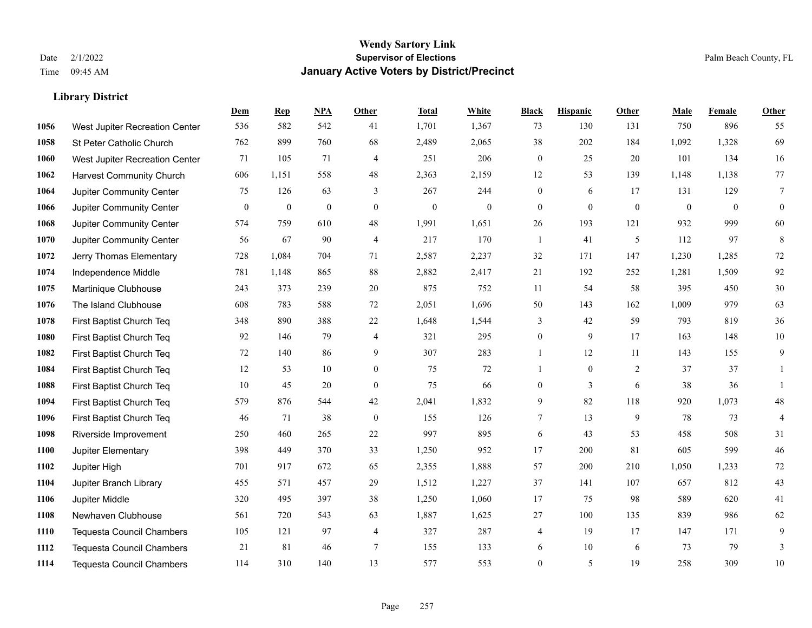|      |                                  | Dem          | <b>Rep</b>       | NPA              | <b>Other</b>   | <b>Total</b>     | <b>White</b> | <b>Black</b>     | <b>Hispanic</b> | <b>Other</b> | <b>Male</b>      | <b>Female</b> | Other            |
|------|----------------------------------|--------------|------------------|------------------|----------------|------------------|--------------|------------------|-----------------|--------------|------------------|---------------|------------------|
| 1056 | West Jupiter Recreation Center   | 536          | 582              | 542              | 41             | 1,701            | 1,367        | 73               | 130             | 131          | 750              | 896           | 55               |
| 1058 | St Peter Catholic Church         | 762          | 899              | 760              | 68             | 2,489            | 2,065        | 38               | 202             | 184          | 1,092            | 1,328         | 69               |
| 1060 | West Jupiter Recreation Center   | 71           | 105              | 71               | $\overline{4}$ | 251              | 206          | $\mathbf{0}$     | 25              | 20           | 101              | 134           | 16               |
| 1062 | <b>Harvest Community Church</b>  | 606          | 1,151            | 558              | 48             | 2,363            | 2,159        | 12               | 53              | 139          | 1,148            | 1,138         | 77               |
| 1064 | Jupiter Community Center         | 75           | 126              | 63               | 3              | 267              | 244          | $\mathbf{0}$     | 6               | 17           | 131              | 129           | $\overline{7}$   |
| 1066 | Jupiter Community Center         | $\mathbf{0}$ | $\boldsymbol{0}$ | $\boldsymbol{0}$ | $\mathbf{0}$   | $\boldsymbol{0}$ | $\mathbf{0}$ | $\mathbf{0}$     | $\mathbf{0}$    | $\mathbf{0}$ | $\boldsymbol{0}$ | $\mathbf{0}$  | $\boldsymbol{0}$ |
| 1068 | Jupiter Community Center         | 574          | 759              | 610              | 48             | 1,991            | 1,651        | 26               | 193             | 121          | 932              | 999           | 60               |
| 1070 | Jupiter Community Center         | 56           | 67               | 90               | $\overline{4}$ | 217              | 170          | $\mathbf{1}$     | 41              | 5            | 112              | 97            | $\,8\,$          |
| 1072 | Jerry Thomas Elementary          | 728          | 1,084            | 704              | 71             | 2,587            | 2,237        | 32               | 171             | 147          | 1,230            | 1,285         | 72               |
| 1074 | Independence Middle              | 781          | 1,148            | 865              | 88             | 2,882            | 2,417        | 21               | 192             | 252          | 1,281            | 1,509         | 92               |
| 1075 | Martinique Clubhouse             | 243          | 373              | 239              | 20             | 875              | 752          | 11               | 54              | 58           | 395              | 450           | $30\,$           |
| 1076 | The Island Clubhouse             | 608          | 783              | 588              | 72             | 2,051            | 1,696        | 50               | 143             | 162          | 1,009            | 979           | 63               |
| 1078 | First Baptist Church Teq         | 348          | 890              | 388              | $22\,$         | 1,648            | 1,544        | 3                | 42              | 59           | 793              | 819           | 36               |
| 1080 | First Baptist Church Teq         | 92           | 146              | 79               | $\overline{4}$ | 321              | 295          | $\boldsymbol{0}$ | 9               | 17           | 163              | 148           | $10\,$           |
| 1082 | First Baptist Church Teq         | 72           | 140              | 86               | 9              | 307              | 283          | 1                | 12              | 11           | 143              | 155           | 9                |
| 1084 | First Baptist Church Teq         | 12           | 53               | 10               | $\overline{0}$ | 75               | 72           | $\mathbf{1}$     | $\mathbf{0}$    | 2            | 37               | 37            | 1                |
| 1088 | First Baptist Church Teq         | 10           | 45               | 20               | $\mathbf{0}$   | 75               | 66           | $\boldsymbol{0}$ | 3               | 6            | 38               | 36            | $\mathbf{1}$     |
| 1094 | First Baptist Church Teq         | 579          | 876              | 544              | 42             | 2,041            | 1,832        | 9                | 82              | 118          | 920              | 1,073         | $48\,$           |
| 1096 | First Baptist Church Teq         | 46           | 71               | 38               | $\mathbf{0}$   | 155              | 126          | 7                | 13              | 9            | 78               | 73            | $\overline{4}$   |
| 1098 | Riverside Improvement            | 250          | 460              | 265              | $22\,$         | 997              | 895          | 6                | 43              | 53           | 458              | 508           | 31               |
| 1100 | Jupiter Elementary               | 398          | 449              | 370              | 33             | 1,250            | 952          | 17               | 200             | 81           | 605              | 599           | $46\,$           |
| 1102 | Jupiter High                     | 701          | 917              | 672              | 65             | 2,355            | 1,888        | 57               | 200             | 210          | 1,050            | 1,233         | $72\,$           |
| 1104 | Jupiter Branch Library           | 455          | 571              | 457              | 29             | 1,512            | 1,227        | 37               | 141             | 107          | 657              | 812           | 43               |
| 1106 | Jupiter Middle                   | 320          | 495              | 397              | 38             | 1,250            | 1,060        | 17               | 75              | 98           | 589              | 620           | 41               |
| 1108 | Newhaven Clubhouse               | 561          | 720              | 543              | 63             | 1,887            | 1,625        | 27               | 100             | 135          | 839              | 986           | 62               |
| 1110 | <b>Tequesta Council Chambers</b> | 105          | 121              | 97               | $\overline{4}$ | 327              | 287          | 4                | 19              | 17           | 147              | 171           | 9                |
| 1112 | <b>Tequesta Council Chambers</b> | 21           | 81               | 46               | $\overline{7}$ | 155              | 133          | 6                | 10              | 6            | 73               | 79            | 3                |
| 1114 | <b>Tequesta Council Chambers</b> | 114          | 310              | 140              | 13             | 577              | 553          | $\mathbf{0}$     | 5               | 19           | 258              | 309           | $10\,$           |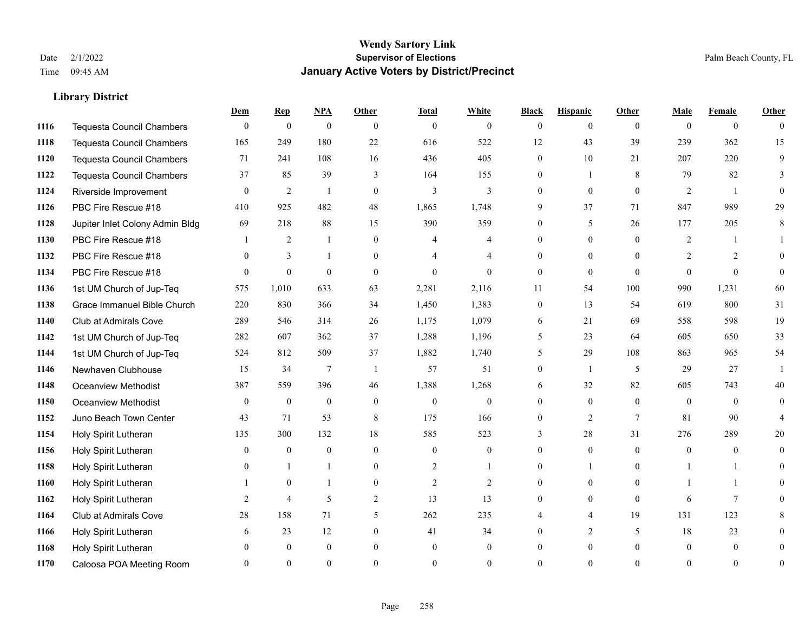|      |                                  | Dem          | <b>Rep</b>       | $NPA$            | <b>Other</b>   | <b>Total</b>     | <b>White</b>     | <b>Black</b>     | <b>Hispanic</b> | <b>Other</b> | <b>Male</b>    | <b>Female</b>  | Other          |
|------|----------------------------------|--------------|------------------|------------------|----------------|------------------|------------------|------------------|-----------------|--------------|----------------|----------------|----------------|
| 1116 | <b>Tequesta Council Chambers</b> | $\mathbf{0}$ | $\boldsymbol{0}$ | $\mathbf{0}$     | $\theta$       | $\overline{0}$   | $\overline{0}$   | $\overline{0}$   | $\overline{0}$  | $\theta$     | $\theta$       | $\overline{0}$ | $\theta$       |
| 1118 | <b>Tequesta Council Chambers</b> | 165          | 249              | 180              | 22             | 616              | 522              | 12               | 43              | 39           | 239            | 362            | 15             |
| 1120 | <b>Tequesta Council Chambers</b> | 71           | 241              | 108              | 16             | 436              | 405              | $\overline{0}$   | 10              | 21           | 207            | 220            | 9              |
| 1122 | Tequesta Council Chambers        | 37           | 85               | 39               | 3              | 164              | 155              | 0                | 1               | 8            | 79             | 82             | 3              |
| 1124 | Riverside Improvement            | $\theta$     | $\overline{2}$   | 1                | $\overline{0}$ | 3                | 3                | $\Omega$         | $\theta$        | $\theta$     | 2              | $\overline{1}$ | $\Omega$       |
| 1126 | PBC Fire Rescue #18              | 410          | 925              | 482              | 48             | 1,865            | 1,748            | 9                | 37              | 71           | 847            | 989            | 29             |
| 1128 | Jupiter Inlet Colony Admin Bldg  | 69           | 218              | 88               | 15             | 390              | 359              | $\overline{0}$   | 5               | 26           | 177            | 205            | 8              |
| 1130 | PBC Fire Rescue #18              |              | $\overline{2}$   | $\mathbf{1}$     | $\theta$       | 4                | 4                | $\Omega$         | $\theta$        | $\Omega$     | 2              |                |                |
| 1132 | PBC Fire Rescue #18              | $\theta$     | 3                | $\mathbf{1}$     | $\mathbf{0}$   |                  | $\overline{4}$   | $\overline{0}$   | $\overline{0}$  | $\Omega$     | $\overline{2}$ | 2              | $\Omega$       |
| 1134 | PBC Fire Rescue #18              | $\Omega$     | $\theta$         | $\theta$         | $\theta$       | $\Omega$         | $\theta$         | $\overline{0}$   | $\mathbf{0}$    | $\theta$     | $\Omega$       | $\theta$       | $\theta$       |
| 1136 | 1st UM Church of Jup-Teq         | 575          | 1,010            | 633              | 63             | 2,281            | 2,116            | 11               | 54              | 100          | 990            | 1,231          | 60             |
| 1138 | Grace Immanuel Bible Church      | 220          | 830              | 366              | 34             | 1,450            | 1,383            | $\boldsymbol{0}$ | 13              | 54           | 619            | 800            | 31             |
| 1140 | Club at Admirals Cove            | 289          | 546              | 314              | 26             | 1,175            | 1,079            | 6                | 21              | 69           | 558            | 598            | 19             |
| 1142 | 1st UM Church of Jup-Teq         | 282          | 607              | 362              | 37             | 1,288            | 1,196            | 5                | 23              | 64           | 605            | 650            | 33             |
| 1144 | 1st UM Church of Jup-Teq         | 524          | 812              | 509              | 37             | 1,882            | 1,740            | 5                | 29              | 108          | 863            | 965            | 54             |
| 1146 | Newhaven Clubhouse               | 15           | 34               | $\overline{7}$   | $\overline{1}$ | 57               | 51               | $\overline{0}$   | $\mathbf{1}$    | 5            | 29             | 27             | -1             |
| 1148 | <b>Oceanview Methodist</b>       | 387          | 559              | 396              | 46             | 1,388            | 1,268            | 6                | 32              | 82           | 605            | 743            | 40             |
| 1150 | <b>Oceanview Methodist</b>       | $\theta$     | $\boldsymbol{0}$ | $\boldsymbol{0}$ | $\overline{0}$ | $\boldsymbol{0}$ | $\boldsymbol{0}$ | 0                | $\overline{0}$  | $\theta$     | $\theta$       | $\theta$       | $\theta$       |
| 1152 | Juno Beach Town Center           | 43           | 71               | 53               | 8              | 175              | 166              | $\overline{0}$   | 2               | $\tau$       | 81             | 90             |                |
| 1154 | Holy Spirit Lutheran             | 135          | 300              | 132              | 18             | 585              | 523              | 3                | 28              | 31           | 276            | 289            | 20             |
| 1156 | Holy Spirit Lutheran             | $\Omega$     | $\theta$         | $\mathbf{0}$     | $\Omega$       | $\theta$         | $\theta$         | $\Omega$         | $\Omega$        | $\Omega$     | $\Omega$       | $\theta$       | $\Omega$       |
| 1158 | Holy Spirit Lutheran             |              |                  | 1                | $\mathbf{0}$   | $\overline{2}$   | 1                | 0                | 1               | $\Omega$     |                |                | 0              |
| 1160 | Holy Spirit Lutheran             |              | $\mathbf{0}$     | -1               | $\overline{0}$ | $\overline{2}$   | $\overline{2}$   | 0                | $\overline{0}$  | $\theta$     |                |                | 0              |
| 1162 | Holy Spirit Lutheran             | 2            | $\overline{4}$   | 5                | 2              | 13               | 13               | $\Omega$         | $\overline{0}$  | $\theta$     | 6              | $\overline{7}$ | 0              |
| 1164 | Club at Admirals Cove            | 28           | 158              | 71               | 5              | 262              | 235              |                  | 4               | 19           | 131            | 123            | 8              |
| 1166 | Holy Spirit Lutheran             | 6            | 23               | 12               | $\overline{0}$ | 41               | 34               | 0                | $\overline{2}$  | 5            | 18             | 23             | 0              |
| 1168 | Holy Spirit Lutheran             |              | $\mathbf{0}$     | $\mathbf{0}$     | $\theta$       | $\mathbf{0}$     | $\overline{0}$   | 0                | $\overline{0}$  | $\Omega$     | $\theta$       | $\mathbf{0}$   | 0              |
| 1170 | Caloosa POA Meeting Room         |              | $\Omega$         | $\theta$         | $\Omega$       | $\Omega$         | $\theta$         | $\Omega$         | $\Omega$        | $\Omega$     | $\Omega$       | $\Omega$       | $\overline{0}$ |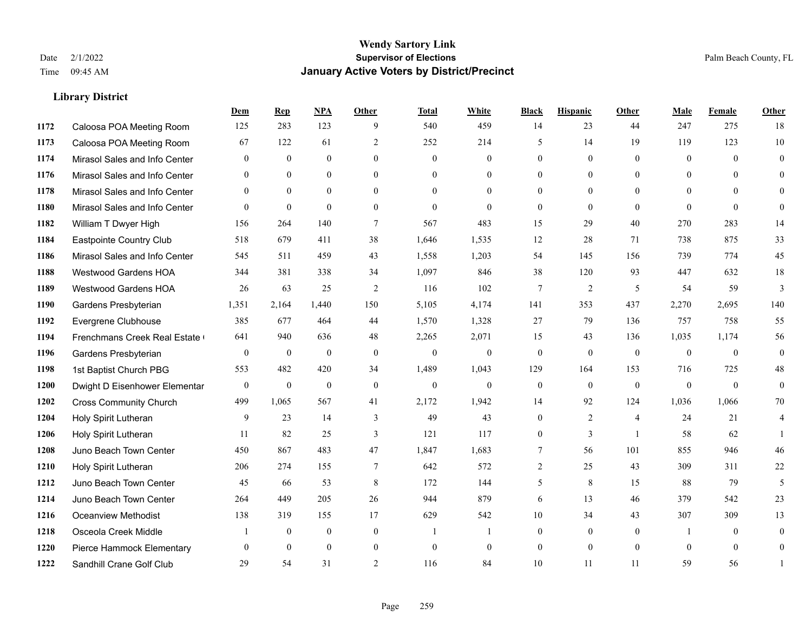|      |                               | Dem          | <b>Rep</b>   | NPA          | <b>Other</b>    | <b>Total</b>   | <b>White</b>   | <b>Black</b>     | <b>Hispanic</b> | Other          | <b>Male</b>  | <b>Female</b>  | <b>Other</b>   |
|------|-------------------------------|--------------|--------------|--------------|-----------------|----------------|----------------|------------------|-----------------|----------------|--------------|----------------|----------------|
| 1172 | Caloosa POA Meeting Room      | 125          | 283          | 123          | 9               | 540            | 459            | 14               | 23              | 44             | 247          | 275            | 18             |
| 1173 | Caloosa POA Meeting Room      | 67           | 122          | 61           | 2               | 252            | 214            | 5                | 14              | 19             | 119          | 123            | 10             |
| 1174 | Mirasol Sales and Info Center | $\mathbf{0}$ | $\mathbf{0}$ | $\mathbf{0}$ | $\theta$        | $\overline{0}$ | $\overline{0}$ | $\overline{0}$   | $\mathbf{0}$    | $\Omega$       | $\mathbf{0}$ | $\theta$       | $\mathbf{0}$   |
| 1176 | Mirasol Sales and Info Center | $\mathbf{0}$ | $\mathbf{0}$ | $\mathbf{0}$ | $\mathbf{0}$    | $\mathbf{0}$   | $\overline{0}$ | $\overline{0}$   | $\overline{0}$  | $\mathbf{0}$   | $\mathbf{0}$ | $\overline{0}$ | $\theta$       |
| 1178 | Mirasol Sales and Info Center | $\theta$     | $\theta$     | $\theta$     | $\theta$        | $\Omega$       | $\theta$       | $\Omega$         | $\Omega$        | $\Omega$       | $\theta$     | $\Omega$       | $\theta$       |
| 1180 | Mirasol Sales and Info Center | $\theta$     | $\mathbf{0}$ | $\mathbf{0}$ | $\mathbf{0}$    | $\mathbf{0}$   | $\overline{0}$ | $\overline{0}$   | $\mathbf{0}$    | $\theta$       | $\theta$     | $\mathbf{0}$   | $\theta$       |
| 1182 | William T Dwyer High          | 156          | 264          | 140          | $\tau$          | 567            | 483            | 15               | 29              | 40             | 270          | 283            | 14             |
| 1184 | Eastpointe Country Club       | 518          | 679          | 411          | 38              | 1,646          | 1,535          | 12               | 28              | 71             | 738          | 875            | 33             |
| 1186 | Mirasol Sales and Info Center | 545          | 511          | 459          | 43              | 1,558          | 1,203          | 54               | 145             | 156            | 739          | 774            | 45             |
| 1188 | <b>Westwood Gardens HOA</b>   | 344          | 381          | 338          | 34              | 1,097          | 846            | 38               | 120             | 93             | 447          | 632            | $18\,$         |
| 1189 | <b>Westwood Gardens HOA</b>   | 26           | 63           | 25           | 2               | 116            | 102            | $\tau$           | 2               | 5              | 54           | 59             | 3              |
| 1190 | Gardens Presbyterian          | 1,351        | 2,164        | 1,440        | 150             | 5,105          | 4,174          | 141              | 353             | 437            | 2,270        | 2,695          | 140            |
| 1192 | Evergrene Clubhouse           | 385          | 677          | 464          | 44              | 1,570          | 1,328          | 27               | 79              | 136            | 757          | 758            | 55             |
| 1194 | Frenchmans Creek Real Estate  | 641          | 940          | 636          | 48              | 2,265          | 2,071          | 15               | 43              | 136            | 1,035        | 1,174          | 56             |
| 1196 | Gardens Presbyterian          | $\mathbf{0}$ | $\mathbf{0}$ | $\mathbf{0}$ | $\theta$        | $\mathbf{0}$   | $\overline{0}$ | $\mathbf{0}$     | $\mathbf{0}$    | $\theta$       | $\theta$     | $\theta$       | $\mathbf{0}$   |
| 1198 | 1st Baptist Church PBG        | 553          | 482          | 420          | 34              | 1,489          | 1,043          | 129              | 164             | 153            | 716          | 725            | 48             |
| 1200 | Dwight D Eisenhower Elementar | $\mathbf{0}$ | $\mathbf{0}$ | $\mathbf{0}$ | $\mathbf{0}$    | $\mathbf{0}$   | $\overline{0}$ | $\mathbf{0}$     | $\mathbf{0}$    | $\theta$       | $\mathbf{0}$ | $\mathbf{0}$   | $\mathbf{0}$   |
| 1202 | <b>Cross Community Church</b> | 499          | 1.065        | 567          | 41              | 2,172          | 1,942          | 14               | 92              | 124            | 1,036        | 1.066          | 70             |
| 1204 | Holy Spirit Lutheran          | 9            | 23           | 14           | $\mathfrak{Z}$  | 49             | 43             | $\boldsymbol{0}$ | $\overline{c}$  | $\overline{4}$ | 24           | 21             | $\overline{4}$ |
| 1206 | Holy Spirit Lutheran          | 11           | 82           | 25           | 3               | 121            | 117            | $\overline{0}$   | 3               | $\overline{1}$ | 58           | 62             |                |
| 1208 | Juno Beach Town Center        | 450          | 867          | 483          | 47              | 1,847          | 1,683          | 7                | 56              | 101            | 855          | 946            | 46             |
| 1210 | Holy Spirit Lutheran          | 206          | 274          | 155          | $7\phantom{.0}$ | 642            | 572            | $\overline{c}$   | 25              | 43             | 309          | 311            | $22\,$         |
| 1212 | Juno Beach Town Center        | 45           | 66           | 53           | 8               | 172            | 144            | 5                | 8               | 15             | 88           | 79             | 5              |
| 1214 | Juno Beach Town Center        | 264          | 449          | 205          | 26              | 944            | 879            | 6                | 13              | 46             | 379          | 542            | 23             |
| 1216 | <b>Oceanview Methodist</b>    | 138          | 319          | 155          | 17              | 629            | 542            | 10               | 34              | 43             | 307          | 309            | 13             |
| 1218 | Osceola Creek Middle          |              | $\mathbf{0}$ | $\mathbf{0}$ | $\mathbf{0}$    | $\overline{1}$ | $\mathbf{1}$   | $\overline{0}$   | $\overline{0}$  | $\theta$       | -1           | $\overline{0}$ | $\mathbf{0}$   |
| 1220 | Pierce Hammock Elementary     | $\theta$     | $\theta$     | $\theta$     | $\mathbf{0}$    | $\mathbf{0}$   | $\overline{0}$ | $\overline{0}$   | $\theta$        | $\overline{0}$ | $\theta$     | $\theta$       | $\mathbf{0}$   |
| 1222 | Sandhill Crane Golf Club      | 29           | 54           | 31           | 2               | 116            | 84             | 10               | 11              | 11             | 59           | 56             |                |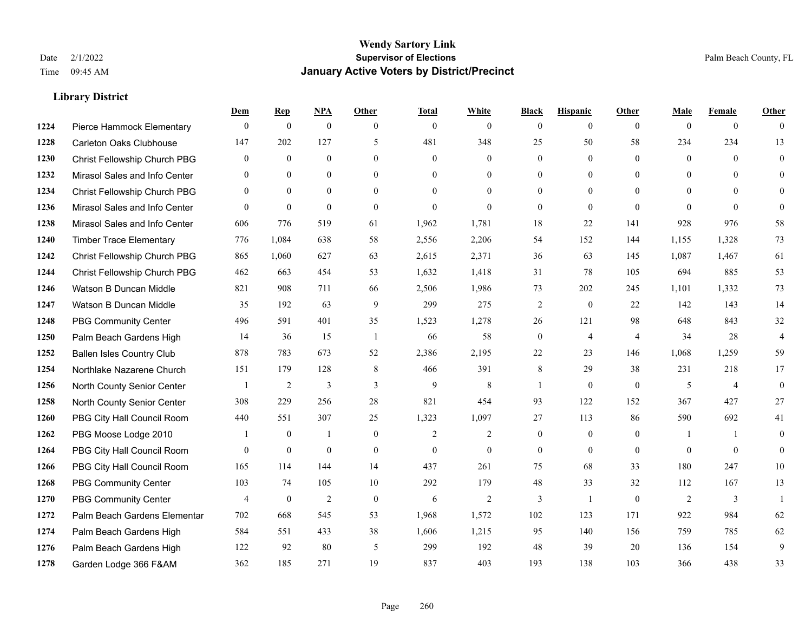|      |                                  | Dem            | <b>Rep</b>     | NPA              | <b>Other</b>   | <b>Total</b>   | <b>White</b>   | <b>Black</b>     | <b>Hispanic</b>  | <b>Other</b>   | <b>Male</b>  | <b>Female</b>  | <b>Other</b>   |
|------|----------------------------------|----------------|----------------|------------------|----------------|----------------|----------------|------------------|------------------|----------------|--------------|----------------|----------------|
| 1224 | Pierce Hammock Elementary        | $\mathbf{0}$   | $\theta$       | $\boldsymbol{0}$ | $\theta$       | $\mathbf{0}$   | $\overline{0}$ | $\mathbf{0}$     | $\mathbf{0}$     | $\theta$       | $\theta$     | $\overline{0}$ | $\Omega$       |
| 1228 | Carleton Oaks Clubhouse          | 147            | 202            | 127              | 5              | 481            | 348            | 25               | 50               | 58             | 234          | 234            | 13             |
| 1230 | Christ Fellowship Church PBG     | $\theta$       | $\theta$       | $\theta$         | $\Omega$       | $\theta$       | $\Omega$       | $\theta$         | $\theta$         | $\Omega$       | $\Omega$     | $\Omega$       | $\theta$       |
| 1232 | Mirasol Sales and Info Center    | $\mathbf{0}$   | $\mathbf{0}$   | $\mathbf{0}$     | $\overline{0}$ | $\mathbf{0}$   | $\overline{0}$ | $\boldsymbol{0}$ | $\boldsymbol{0}$ | $\overline{0}$ | $\mathbf{0}$ | $\Omega$       | $\Omega$       |
| 1234 | Christ Fellowship Church PBG     | $\theta$       | $\theta$       | $\Omega$         | $\theta$       | $\Omega$       | $\Omega$       | $\mathbf{0}$     | $\mathbf{0}$     | $\theta$       | $\theta$     | $\theta$       | $\theta$       |
| 1236 | Mirasol Sales and Info Center    | $\Omega$       | $\mathbf{0}$   | $\mathbf{0}$     | $\Omega$       | $\theta$       | $\theta$       | $\mathbf{0}$     | $\theta$         | $\Omega$       | $\Omega$     | $\theta$       | $\theta$       |
| 1238 | Mirasol Sales and Info Center    | 606            | 776            | 519              | 61             | 1,962          | 1,781          | 18               | 22               | 141            | 928          | 976            | 58             |
| 1240 | <b>Timber Trace Elementary</b>   | 776            | 1,084          | 638              | 58             | 2,556          | 2,206          | 54               | 152              | 144            | 1,155        | 1,328          | 73             |
| 1242 | Christ Fellowship Church PBG     | 865            | 1,060          | 627              | 63             | 2,615          | 2,371          | 36               | 63               | 145            | 1,087        | 1,467          | 61             |
| 1244 | Christ Fellowship Church PBG     | 462            | 663            | 454              | 53             | 1,632          | 1,418          | 31               | 78               | 105            | 694          | 885            | 53             |
| 1246 | Watson B Duncan Middle           | 821            | 908            | 711              | 66             | 2,506          | 1,986          | 73               | 202              | 245            | 1,101        | 1,332          | 73             |
| 1247 | Watson B Duncan Middle           | 35             | 192            | 63               | 9              | 299            | 275            | $\overline{c}$   | $\mathbf{0}$     | 22             | 142          | 143            | 14             |
| 1248 | <b>PBG Community Center</b>      | 496            | 591            | 401              | 35             | 1,523          | 1,278          | 26               | 121              | 98             | 648          | 843            | 32             |
| 1250 | Palm Beach Gardens High          | 14             | 36             | 15               | -1             | 66             | 58             | $\boldsymbol{0}$ | $\overline{4}$   | $\overline{4}$ | 34           | 28             | $\overline{4}$ |
| 1252 | <b>Ballen Isles Country Club</b> | 878            | 783            | 673              | 52             | 2,386          | 2,195          | 22               | 23               | 146            | 1,068        | 1,259          | 59             |
| 1254 | Northlake Nazarene Church        | 151            | 179            | 128              | 8              | 466            | 391            | 8                | 29               | 38             | 231          | 218            | 17             |
| 1256 | North County Senior Center       |                | $\overline{2}$ | 3                | 3              | 9              | 8              | 1                | $\mathbf{0}$     | $\theta$       | 5            | $\overline{4}$ | $\theta$       |
| 1258 | North County Senior Center       | 308            | 229            | 256              | 28             | 821            | 454            | 93               | 122              | 152            | 367          | 427            | 27             |
| 1260 | PBG City Hall Council Room       | 440            | 551            | 307              | 25             | 1,323          | 1,097          | 27               | 113              | 86             | 590          | 692            | 41             |
| 1262 | PBG Moose Lodge 2010             |                | $\mathbf{0}$   | 1                | $\mathbf{0}$   | $\overline{2}$ | $\overline{2}$ | $\mathbf{0}$     | $\mathbf{0}$     | $\theta$       |              | $\mathbf{1}$   | $\theta$       |
| 1264 | PBG City Hall Council Room       | $\Omega$       | $\mathbf{0}$   | $\theta$         | $\Omega$       | $\theta$       | $\Omega$       | $\mathbf{0}$     | $\theta$         | $\theta$       | $\Omega$     | $\theta$       | $\theta$       |
| 1266 | PBG City Hall Council Room       | 165            | 114            | 144              | 14             | 437            | 261            | 75               | 68               | 33             | 180          | 247            | 10             |
| 1268 | <b>PBG Community Center</b>      | 103            | 74             | 105              | 10             | 292            | 179            | 48               | 33               | 32             | 112          | 167            | 13             |
| 1270 | <b>PBG Community Center</b>      | $\overline{4}$ | $\mathbf{0}$   | 2                | $\theta$       | 6              | $\overline{2}$ | 3                | $\mathbf{1}$     | $\theta$       | 2            | 3              |                |
| 1272 | Palm Beach Gardens Elementar     | 702            | 668            | 545              | 53             | 1,968          | 1,572          | 102              | 123              | 171            | 922          | 984            | 62             |
| 1274 | Palm Beach Gardens High          | 584            | 551            | 433              | 38             | 1,606          | 1,215          | 95               | 140              | 156            | 759          | 785            | 62             |
| 1276 | Palm Beach Gardens High          | 122            | 92             | 80               | 5              | 299            | 192            | 48               | 39               | 20             | 136          | 154            | 9              |
| 1278 | Garden Lodge 366 F&AM            | 362            | 185            | 271              | 19             | 837            | 403            | 193              | 138              | 103            | 366          | 438            | 33             |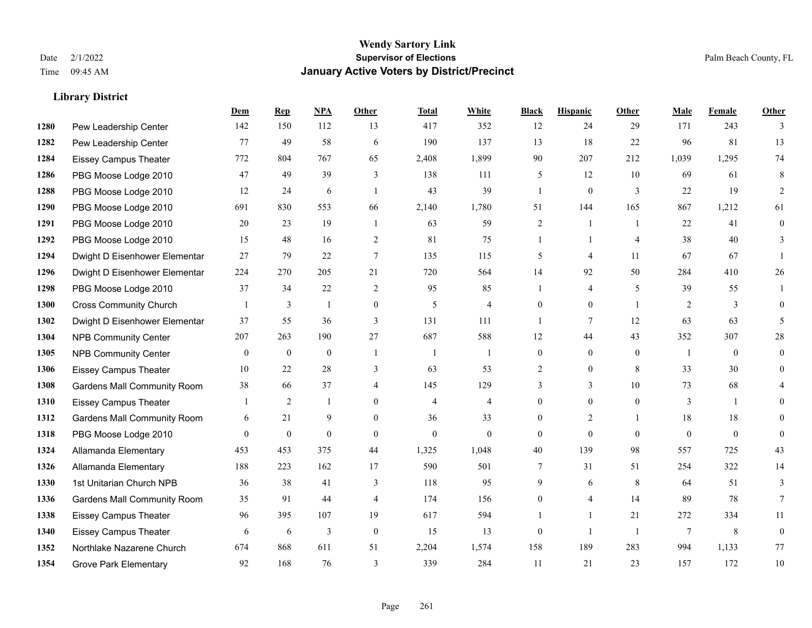**Library District**

#### **Wendy Sartory Link** Date 2/1/2022 **Supervisor of Elections** Palm Beach County, FL Time 09:45 AM **January Active Voters by District/Precinct**

# **Dem Rep NPA Other Total White Black Hispanic Other Male Female Other** Pew Leadership Center 142 150 112 13 417 352 12 24 29 171 243 3 Pew Leadership Center 77 49 58 6 190 137 13 18 22 96 81 13 Eissey Campus Theater 772 804 767 65 2,408 1,899 90 207 212 1,039 1,295 74 PBG Moose Lodge 2010 47 49 39 3 138 111 5 12 10 69 61 8 PBG Moose Lodge 2010 12 24 6 1 43 39 1 0 3 22 19 2 PBG Moose Lodge 2010 691 830 553 66 2,140 1,780 51 144 165 867 1,212 61 PBG Moose Lodge 2010 20 23 19 1 63 59 2 1 1 22 41 0 PBG Moose Lodge 2010 15 48 16 2 81 75 1 1 4 38 40 3 Dwight D Eisenhower Elementar 27 79 22 7 135 115 5 4 11 67 67 1 Dwight D Eisenhower Elementar 224 270 205 21 720 564 14 92 50 284 410 26 PBG Moose Lodge 2010 37 34 22 2 95 85 1 4 5 39 55 1 Cross Community Church 1 3 1 0 5 4 0 0 1 2 3 0 Dwight D Eisenhower Elementar 37 55 36 3 131 111 1 7 12 63 63 5 NPB Community Center 207 263 190 27 687 588 12 44 43 352 307 28 NPB Community Center 0 0 0 1 1 1 0 0 0 1 0 0 Eissey Campus Theater 10 22 28 3 63 53 2 0 8 33 30 0 Gardens Mall Community Room 38 66 37 4 145 129 3 3 10 73 68 4 Eissey Campus Theater 1 2 1 0 4 4 0 0 0 3 1 0 **1312 Gardens Mall Community Room** 6 21 9 0 36 33 0 2 1 18 18 0 PBG Moose Lodge 2010 0 0 0 0 0 0 0 0 0 0 0 0 Allamanda Elementary 453 453 375 44 1,325 1,048 40 139 98 557 725 43 Allamanda Elementary 188 223 162 17 590 501 7 31 51 254 322 14 1st Unitarian Church NPB 36 38 41 3 118 95 9 6 8 64 51 3 Gardens Mall Community Room 35 91 44 4 174 156 0 4 14 89 78 7 Eissey Campus Theater 96 395 107 19 617 594 1 1 21 272 334 11 Eissey Campus Theater 6 6 6 3 0 15 13 0 1 1 7 8 0 Northlake Nazarene Church 674 868 611 51 2,204 1,574 158 189 283 994 1,133 77 Grove Park Elementary 92 168 76 3 339 284 11 21 23 157 172 10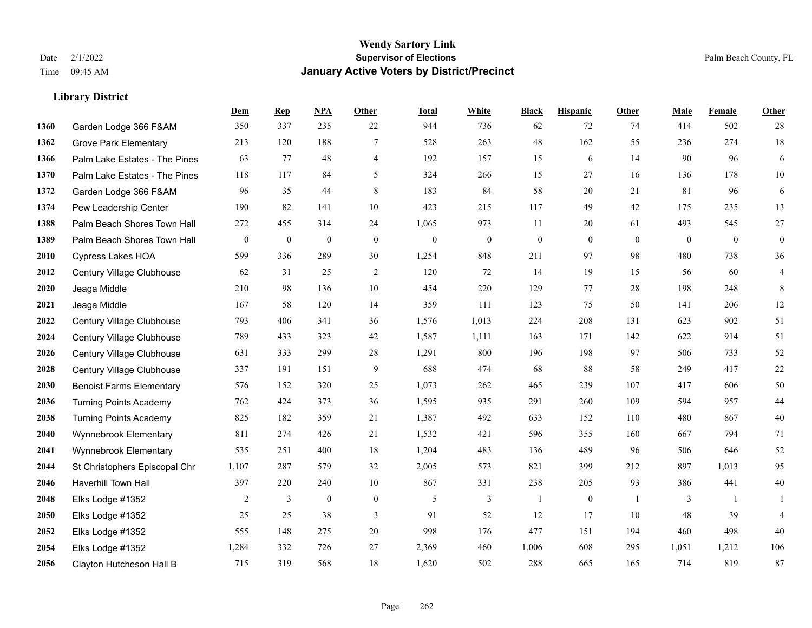**Library District**

#### **Wendy Sartory Link** Date 2/1/2022 **Supervisor of Elections** Palm Beach County, FL Time 09:45 AM **January Active Voters by District/Precinct**

# **Dem Rep NPA Other Total White Black Hispanic Other Male Female Other** Garden Lodge 366 F&AM 350 337 235 22 944 736 62 72 74 414 502 28 Grove Park Elementary 213 120 188 7 528 263 48 162 55 236 274 18 Palm Lake Estates - The Pines 63 77 48 4 192 157 15 6 14 90 96 6 Palm Lake Estates - The Pines 118 117 84 5 324 266 15 27 16 136 178 10 Garden Lodge 366 F&AM 96 35 44 8 183 84 58 20 21 81 96 6 Pew Leadership Center 190 82 141 10 423 215 117 49 42 175 235 13 Palm Beach Shores Town Hall 272 455 314 24 1,065 973 11 20 61 493 545 27 Palm Beach Shores Town Hall 0 0 0 0 0 0 0 0 0 0 0 0 Cypress Lakes HOA 599 336 289 30 1,254 848 211 97 98 480 738 36 Century Village Clubhouse 62 31 25 2 120 72 14 19 15 56 60 4 Jeaga Middle 210 98 136 10 454 220 129 77 28 198 248 8 Jeaga Middle 167 58 120 14 359 111 123 75 50 141 206 12 Century Village Clubhouse 793 406 341 36 1,576 1,013 224 208 131 623 902 51 Century Village Clubhouse 789 433 323 42 1,587 1,111 163 171 142 622 914 51 Century Village Clubhouse 631 333 299 28 1,291 800 196 198 97 506 733 52 Century Village Clubhouse 337 191 151 9 688 474 68 88 58 249 417 22 Benoist Farms Elementary 576 152 320 25 1,073 262 465 239 107 417 606 50 Turning Points Academy 762 424 373 36 1,595 935 291 260 109 594 957 44 Turning Points Academy 825 182 359 21 1,387 492 633 152 110 480 867 40 Wynnebrook Elementary 811 274 426 21 1,532 421 596 355 160 667 794 71 Wynnebrook Elementary 535 251 400 18 1,204 483 136 489 96 506 646 52 St Christophers Episcopal Chr 1,107 287 579 32 2,005 573 821 399 212 897 1,013 95 Haverhill Town Hall 397 220 240 10 867 331 238 205 93 386 441 40 Elks Lodge #1352 2 3 0 0 5 3 1 0 1 3 1 1 Elks Lodge #1352 25 25 38 3 91 52 12 17 10 48 39 4 Elks Lodge #1352 555 148 275 20 998 176 477 151 194 460 498 40 Elks Lodge #1352 1,284 332 726 27 2,369 460 1,006 608 295 1,051 1,212 106 Clayton Hutcheson Hall B 715 319 568 18 1,620 502 288 665 165 714 819 87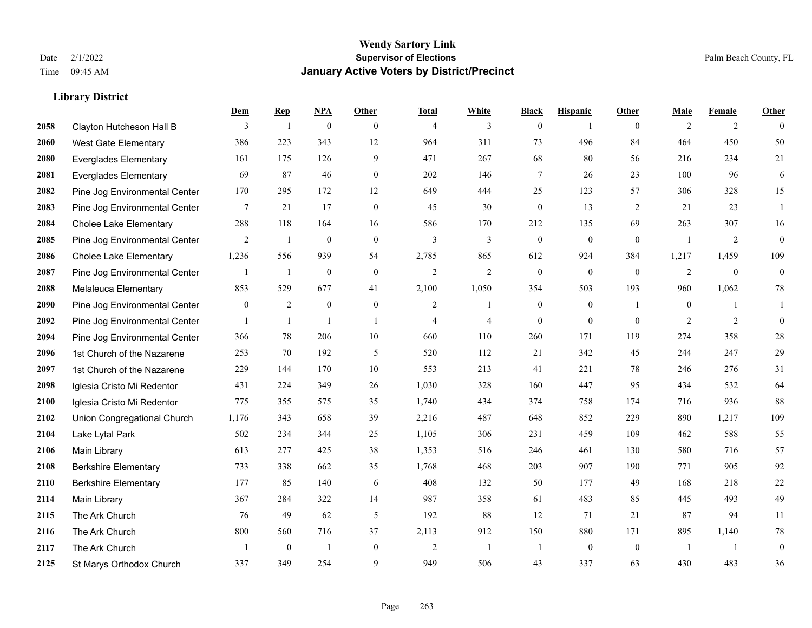|      |                               | Dem              | <b>Rep</b>       | NPA              | <b>Other</b>   | <b>Total</b>   | <b>White</b>   | <b>Black</b>     | <b>Hispanic</b>  | <b>Other</b>   | <b>Male</b>    | <b>Female</b>  | <b>Other</b>     |
|------|-------------------------------|------------------|------------------|------------------|----------------|----------------|----------------|------------------|------------------|----------------|----------------|----------------|------------------|
| 2058 | Clayton Hutcheson Hall B      | 3                | $\overline{1}$   | $\boldsymbol{0}$ | $\theta$       | $\overline{4}$ | 3              | $\overline{0}$   | $\mathbf{1}$     | $\theta$       | 2              | 2              | $\Omega$         |
| 2060 | <b>West Gate Elementary</b>   | 386              | 223              | 343              | 12             | 964            | 311            | 73               | 496              | 84             | 464            | 450            | 50               |
| 2080 | <b>Everglades Elementary</b>  | 161              | 175              | 126              | 9              | 471            | 267            | 68               | 80               | 56             | 216            | 234            | 21               |
| 2081 | Everglades Elementary         | 69               | 87               | 46               | $\mathbf{0}$   | 202            | 146            | 7                | 26               | 23             | 100            | 96             | 6                |
| 2082 | Pine Jog Environmental Center | 170              | 295              | 172              | 12             | 649            | 444            | 25               | 123              | 57             | 306            | 328            | 15               |
| 2083 | Pine Jog Environmental Center | 7                | 21               | 17               | $\overline{0}$ | 45             | 30             | $\boldsymbol{0}$ | 13               | 2              | 21             | 23             | $\overline{1}$   |
| 2084 | <b>Cholee Lake Elementary</b> | 288              | 118              | 164              | 16             | 586            | 170            | 212              | 135              | 69             | 263            | 307            | 16               |
| 2085 | Pine Jog Environmental Center | 2                | -1               | $\theta$         | $\theta$       | 3              | $\overline{3}$ | $\overline{0}$   | $\overline{0}$   | $\theta$       | $\overline{1}$ | 2              | $\overline{0}$   |
| 2086 | <b>Cholee Lake Elementary</b> | 1,236            | 556              | 939              | 54             | 2,785          | 865            | 612              | 924              | 384            | 1,217          | 1,459          | 109              |
| 2087 | Pine Jog Environmental Center |                  | 1                | $\boldsymbol{0}$ | $\mathbf{0}$   | $\overline{2}$ | $\overline{c}$ | $\boldsymbol{0}$ | $\boldsymbol{0}$ | $\mathbf{0}$   | 2              | $\overline{0}$ | $\mathbf{0}$     |
| 2088 | Melaleuca Elementary          | 853              | 529              | 677              | 41             | 2,100          | 1,050          | 354              | 503              | 193            | 960            | 1,062          | $78\,$           |
| 2090 | Pine Jog Environmental Center | $\boldsymbol{0}$ | 2                | $\mathbf{0}$     | $\mathbf{0}$   | $\overline{2}$ | 1              | $\boldsymbol{0}$ | $\overline{0}$   | $\overline{1}$ | $\mathbf{0}$   | $\mathbf{1}$   | -1               |
| 2092 | Pine Jog Environmental Center |                  | 1                | $\mathbf{1}$     | $\overline{1}$ | $\overline{4}$ | $\overline{4}$ | $\overline{0}$   | $\mathbf{0}$     | $\theta$       | 2              | 2              | $\overline{0}$   |
| 2094 | Pine Jog Environmental Center | 366              | 78               | 206              | 10             | 660            | 110            | 260              | 171              | 119            | 274            | 358            | $28\,$           |
| 2096 | 1st Church of the Nazarene    | 253              | 70               | 192              | 5              | 520            | 112            | 21               | 342              | 45             | 244            | 247            | 29               |
| 2097 | 1st Church of the Nazarene    | 229              | 144              | 170              | 10             | 553            | 213            | 41               | 221              | 78             | 246            | 276            | 31               |
| 2098 | Iglesia Cristo Mi Redentor    | 431              | 224              | 349              | 26             | 1,030          | 328            | 160              | 447              | 95             | 434            | 532            | 64               |
| 2100 | Iglesia Cristo Mi Redentor    | 775              | 355              | 575              | 35             | 1,740          | 434            | 374              | 758              | 174            | 716            | 936            | 88               |
| 2102 | Union Congregational Church   | 1,176            | 343              | 658              | 39             | 2,216          | 487            | 648              | 852              | 229            | 890            | 1,217          | 109              |
| 2104 | Lake Lytal Park               | 502              | 234              | 344              | 25             | 1,105          | 306            | 231              | 459              | 109            | 462            | 588            | 55               |
| 2106 | <b>Main Library</b>           | 613              | 277              | 425              | 38             | 1,353          | 516            | 246              | 461              | 130            | 580            | 716            | 57               |
| 2108 | <b>Berkshire Elementary</b>   | 733              | 338              | 662              | 35             | 1,768          | 468            | 203              | 907              | 190            | 771            | 905            | 92               |
| 2110 | <b>Berkshire Elementary</b>   | 177              | 85               | 140              | 6              | 408            | 132            | 50               | 177              | 49             | 168            | 218            | 22               |
| 2114 | Main Library                  | 367              | 284              | 322              | 14             | 987            | 358            | 61               | 483              | 85             | 445            | 493            | 49               |
| 2115 | The Ark Church                | 76               | 49               | 62               | 5              | 192            | 88             | 12               | 71               | 21             | 87             | 94             | 11               |
| 2116 | The Ark Church                | 800              | 560              | 716              | 37             | 2,113          | 912            | 150              | 880              | 171            | 895            | 1,140          | $78\,$           |
| 2117 | The Ark Church                |                  | $\boldsymbol{0}$ | $\mathbf{1}$     | $\mathbf{0}$   | $\overline{2}$ | $\mathbf{1}$   | $\overline{1}$   | $\overline{0}$   | $\mathbf{0}$   | $\overline{1}$ | $\overline{1}$ | $\boldsymbol{0}$ |
| 2125 | St Marys Orthodox Church      | 337              | 349              | 254              | 9              | 949            | 506            | 43               | 337              | 63             | 430            | 483            | 36               |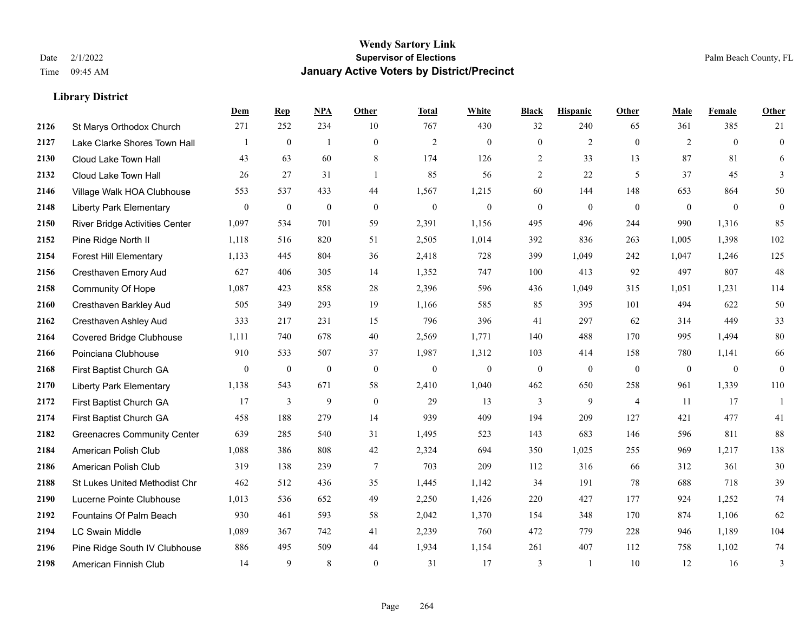|      |                                       | Dem          | <b>Rep</b>       | NPA              | <b>Other</b>   | <b>Total</b>   | <b>White</b>     | <b>Black</b>     | <b>Hispanic</b>  | <b>Other</b>   | <b>Male</b>  | Female       | <b>Other</b>     |
|------|---------------------------------------|--------------|------------------|------------------|----------------|----------------|------------------|------------------|------------------|----------------|--------------|--------------|------------------|
| 2126 | St Marys Orthodox Church              | 271          | 252              | 234              | 10             | 767            | 430              | 32               | 240              | 65             | 361          | 385          | 21               |
| 2127 | Lake Clarke Shores Town Hall          |              | $\mathbf{0}$     | $\mathbf{1}$     | $\overline{0}$ | $\overline{2}$ | $\overline{0}$   | $\mathbf{0}$     | $\overline{2}$   | $\theta$       | 2            | $\theta$     | $\mathbf{0}$     |
| 2130 | Cloud Lake Town Hall                  | 43           | 63               | 60               | 8              | 174            | 126              | 2                | 33               | 13             | 87           | 81           | 6                |
| 2132 | Cloud Lake Town Hall                  | 26           | 27               | 31               | $\mathbf{1}$   | 85             | 56               | $\overline{c}$   | 22               | 5              | 37           | 45           | 3                |
| 2146 | Village Walk HOA Clubhouse            | 553          | 537              | 433              | 44             | 1,567          | 1,215            | 60               | 144              | 148            | 653          | 864          | 50               |
| 2148 | <b>Liberty Park Elementary</b>        | $\mathbf{0}$ | $\boldsymbol{0}$ | $\boldsymbol{0}$ | $\mathbf{0}$   | $\mathbf{0}$   | $\boldsymbol{0}$ | $\boldsymbol{0}$ | $\boldsymbol{0}$ | $\overline{0}$ | $\mathbf{0}$ | $\mathbf{0}$ | $\boldsymbol{0}$ |
| 2150 | <b>River Bridge Activities Center</b> | 1,097        | 534              | 701              | 59             | 2,391          | 1,156            | 495              | 496              | 244            | 990          | 1,316        | 85               |
| 2152 | Pine Ridge North II                   | 1,118        | 516              | 820              | 51             | 2,505          | 1,014            | 392              | 836              | 263            | 1,005        | 1,398        | 102              |
| 2154 | <b>Forest Hill Elementary</b>         | 1,133        | 445              | 804              | 36             | 2,418          | 728              | 399              | 1,049            | 242            | 1,047        | 1,246        | 125              |
| 2156 | Cresthaven Emory Aud                  | 627          | 406              | 305              | 14             | 1,352          | 747              | 100              | 413              | 92             | 497          | 807          | 48               |
| 2158 | Community Of Hope                     | 1,087        | 423              | 858              | 28             | 2,396          | 596              | 436              | 1,049            | 315            | 1,051        | 1,231        | 114              |
| 2160 | Cresthaven Barkley Aud                | 505          | 349              | 293              | 19             | 1,166          | 585              | 85               | 395              | 101            | 494          | 622          | $50\,$           |
| 2162 | Cresthaven Ashley Aud                 | 333          | 217              | 231              | 15             | 796            | 396              | 41               | 297              | 62             | 314          | 449          | 33               |
| 2164 | Covered Bridge Clubhouse              | 1,111        | 740              | 678              | 40             | 2,569          | 1,771            | 140              | 488              | 170            | 995          | 1,494        | $80\,$           |
| 2166 | Poinciana Clubhouse                   | 910          | 533              | 507              | 37             | 1,987          | 1,312            | 103              | 414              | 158            | 780          | 1,141        | 66               |
| 2168 | First Baptist Church GA               | $\mathbf{0}$ | $\boldsymbol{0}$ | $\boldsymbol{0}$ | $\mathbf{0}$   | $\mathbf{0}$   | $\boldsymbol{0}$ | $\boldsymbol{0}$ | $\mathbf{0}$     | $\mathbf{0}$   | $\mathbf{0}$ | $\mathbf{0}$ | $\mathbf{0}$     |
| 2170 | <b>Liberty Park Elementary</b>        | 1,138        | 543              | 671              | 58             | 2,410          | 1,040            | 462              | 650              | 258            | 961          | 1,339        | 110              |
| 2172 | First Baptist Church GA               | 17           | 3                | 9                | $\mathbf{0}$   | 29             | 13               | 3                | 9                | $\overline{4}$ | 11           | 17           | $\mathbf{1}$     |
| 2174 | First Baptist Church GA               | 458          | 188              | 279              | 14             | 939            | 409              | 194              | 209              | 127            | 421          | 477          | 41               |
| 2182 | <b>Greenacres Community Center</b>    | 639          | 285              | 540              | 31             | 1,495          | 523              | 143              | 683              | 146            | 596          | 811          | 88               |
| 2184 | American Polish Club                  | 1,088        | 386              | 808              | 42             | 2,324          | 694              | 350              | 1,025            | 255            | 969          | 1,217        | 138              |
| 2186 | American Polish Club                  | 319          | 138              | 239              | $\overline{7}$ | 703            | 209              | 112              | 316              | 66             | 312          | 361          | 30               |
| 2188 | St Lukes United Methodist Chr         | 462          | 512              | 436              | 35             | 1,445          | 1,142            | 34               | 191              | 78             | 688          | 718          | 39               |
| 2190 | Lucerne Pointe Clubhouse              | 1,013        | 536              | 652              | 49             | 2,250          | 1,426            | 220              | 427              | 177            | 924          | 1,252        | $74\,$           |
| 2192 | Fountains Of Palm Beach               | 930          | 461              | 593              | 58             | 2,042          | 1,370            | 154              | 348              | 170            | 874          | 1,106        | 62               |
| 2194 | <b>LC Swain Middle</b>                | 1,089        | 367              | 742              | 41             | 2,239          | 760              | 472              | 779              | 228            | 946          | 1,189        | 104              |
| 2196 | Pine Ridge South IV Clubhouse         | 886          | 495              | 509              | 44             | 1,934          | 1,154            | 261              | 407              | 112            | 758          | 1,102        | 74               |
| 2198 | American Finnish Club                 | 14           | 9                | 8                | $\theta$       | 31             | 17               | 3                | 1                | 10             | 12           | 16           | 3                |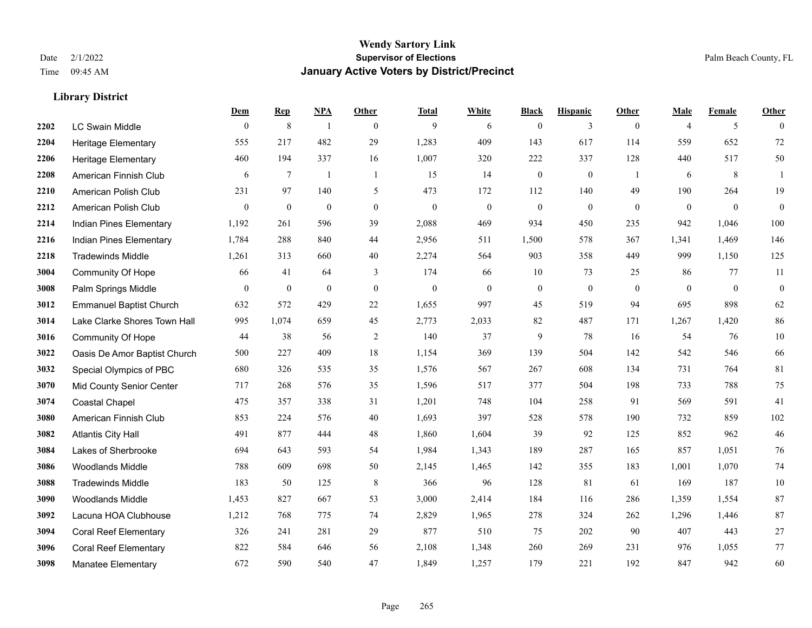|      |                                | Dem          | <b>Rep</b>       | NPA              | <b>Other</b>     | <b>Total</b>     | <b>White</b>     | <b>Black</b>     | <b>Hispanic</b>  | <b>Other</b>   | <b>Male</b>    | <b>Female</b> | <b>Other</b>     |
|------|--------------------------------|--------------|------------------|------------------|------------------|------------------|------------------|------------------|------------------|----------------|----------------|---------------|------------------|
| 2202 | <b>LC Swain Middle</b>         | $\mathbf{0}$ | $\,$ 8 $\,$      | $\overline{1}$   | $\mathbf{0}$     | 9                | 6                | $\mathbf{0}$     | 3                | $\overline{0}$ | $\overline{4}$ | 5             | $\theta$         |
| 2204 | Heritage Elementary            | 555          | 217              | 482              | 29               | 1,283            | 409              | 143              | 617              | 114            | 559            | 652           | 72               |
| 2206 | <b>Heritage Elementary</b>     | 460          | 194              | 337              | 16               | 1,007            | 320              | 222              | 337              | 128            | 440            | 517           | 50               |
| 2208 | American Finnish Club          | 6            | $\tau$           | -1               | -1               | 15               | 14               | $\boldsymbol{0}$ | $\bf{0}$         | -1             | 6              | 8             | 1                |
| 2210 | American Polish Club           | 231          | 97               | 140              | 5                | 473              | 172              | 112              | 140              | 49             | 190            | 264           | 19               |
| 2212 | American Polish Club           | $\mathbf{0}$ | $\boldsymbol{0}$ | $\boldsymbol{0}$ | $\boldsymbol{0}$ | $\boldsymbol{0}$ | $\boldsymbol{0}$ | $\boldsymbol{0}$ | $\boldsymbol{0}$ | $\mathbf{0}$   | $\mathbf{0}$   | $\mathbf{0}$  | $\boldsymbol{0}$ |
| 2214 | Indian Pines Elementary        | 1,192        | 261              | 596              | 39               | 2,088            | 469              | 934              | 450              | 235            | 942            | 1,046         | 100              |
| 2216 | Indian Pines Elementary        | 1,784        | 288              | 840              | 44               | 2,956            | 511              | 1,500            | 578              | 367            | 1,341          | 1,469         | 146              |
| 2218 | <b>Tradewinds Middle</b>       | 1,261        | 313              | 660              | 40               | 2,274            | 564              | 903              | 358              | 449            | 999            | 1,150         | 125              |
| 3004 | <b>Community Of Hope</b>       | 66           | 41               | 64               | 3                | 174              | 66               | 10               | 73               | 25             | 86             | 77            | 11               |
| 3008 | Palm Springs Middle            | $\mathbf{0}$ | $\mathbf{0}$     | $\mathbf{0}$     | $\mathbf{0}$     | $\theta$         | $\overline{0}$   | $\boldsymbol{0}$ | $\mathbf{0}$     | $\theta$       | $\mathbf{0}$   | $\mathbf{0}$  | $\boldsymbol{0}$ |
| 3012 | <b>Emmanuel Baptist Church</b> | 632          | 572              | 429              | 22               | 1,655            | 997              | 45               | 519              | 94             | 695            | 898           | 62               |
| 3014 | Lake Clarke Shores Town Hall   | 995          | 1,074            | 659              | 45               | 2,773            | 2,033            | 82               | 487              | 171            | 1,267          | 1,420         | 86               |
| 3016 | <b>Community Of Hope</b>       | 44           | 38               | 56               | $\overline{2}$   | 140              | 37               | 9                | 78               | 16             | 54             | 76            | $10\,$           |
| 3022 | Oasis De Amor Baptist Church   | 500          | 227              | 409              | 18               | 1,154            | 369              | 139              | 504              | 142            | 542            | 546           | 66               |
| 3032 | Special Olympics of PBC        | 680          | 326              | 535              | 35               | 1,576            | 567              | 267              | 608              | 134            | 731            | 764           | 81               |
| 3070 | Mid County Senior Center       | 717          | 268              | 576              | 35               | 1,596            | 517              | 377              | 504              | 198            | 733            | 788           | 75               |
| 3074 | <b>Coastal Chapel</b>          | 475          | 357              | 338              | 31               | 1,201            | 748              | 104              | 258              | 91             | 569            | 591           | 41               |
| 3080 | American Finnish Club          | 853          | 224              | 576              | $40\,$           | 1,693            | 397              | 528              | 578              | 190            | 732            | 859           | 102              |
| 3082 | <b>Atlantis City Hall</b>      | 491          | 877              | 444              | 48               | 1,860            | 1,604            | 39               | 92               | 125            | 852            | 962           | 46               |
| 3084 | Lakes of Sherbrooke            | 694          | 643              | 593              | 54               | 1,984            | 1,343            | 189              | 287              | 165            | 857            | 1,051         | 76               |
| 3086 | Woodlands Middle               | 788          | 609              | 698              | 50               | 2,145            | 1,465            | 142              | 355              | 183            | 1,001          | 1,070         | $74\,$           |
| 3088 | <b>Tradewinds Middle</b>       | 183          | 50               | 125              | 8                | 366              | 96               | 128              | 81               | 61             | 169            | 187           | $10\,$           |
| 3090 | <b>Woodlands Middle</b>        | 1,453        | 827              | 667              | 53               | 3,000            | 2,414            | 184              | 116              | 286            | 1,359          | 1,554         | 87               |
| 3092 | Lacuna HOA Clubhouse           | 1,212        | 768              | 775              | 74               | 2,829            | 1,965            | 278              | 324              | 262            | 1,296          | 1,446         | 87               |
| 3094 | <b>Coral Reef Elementary</b>   | 326          | 241              | 281              | 29               | 877              | 510              | 75               | 202              | 90             | 407            | 443           | $27\,$           |
| 3096 | <b>Coral Reef Elementary</b>   | 822          | 584              | 646              | 56               | 2,108            | 1,348            | 260              | 269              | 231            | 976            | 1,055         | $77\,$           |
| 3098 | <b>Manatee Elementary</b>      | 672          | 590              | 540              | 47               | 1,849            | 1,257            | 179              | 221              | 192            | 847            | 942           | 60               |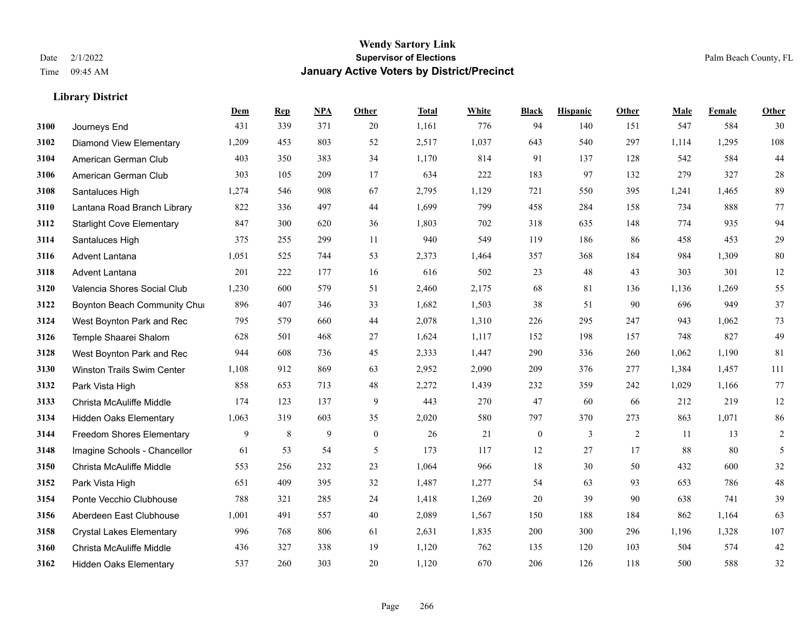**Library District**

### **Wendy Sartory Link** Date 2/1/2022 **Supervisor of Elections** Palm Beach County, FL Time 09:45 AM **January Active Voters by District/Precinct**

|      |                                   | Dem   | <b>Rep</b> | NPA | <b>Other</b>     | <b>Total</b> | White | <b>Black</b>     | <b>Hispanic</b> | <b>Other</b> | Male  | Female | Other          |
|------|-----------------------------------|-------|------------|-----|------------------|--------------|-------|------------------|-----------------|--------------|-------|--------|----------------|
| 3100 | Journeys End                      | 431   | 339        | 371 | 20               | 1,161        | 776   | 94               | 140             | 151          | 547   | 584    | 30             |
| 3102 | <b>Diamond View Elementary</b>    | 1,209 | 453        | 803 | 52               | 2,517        | 1,037 | 643              | 540             | 297          | 1,114 | 1,295  | 108            |
| 3104 | American German Club              | 403   | 350        | 383 | 34               | 1,170        | 814   | 91               | 137             | 128          | 542   | 584    | 44             |
| 3106 | American German Club              | 303   | 105        | 209 | 17               | 634          | 222   | 183              | 97              | 132          | 279   | 327    | $28\,$         |
| 3108 | Santaluces High                   | 1,274 | 546        | 908 | 67               | 2,795        | 1,129 | 721              | 550             | 395          | 1,241 | 1,465  | 89             |
| 3110 | Lantana Road Branch Library       | 822   | 336        | 497 | 44               | 1,699        | 799   | 458              | 284             | 158          | 734   | 888    | 77             |
| 3112 | <b>Starlight Cove Elementary</b>  | 847   | 300        | 620 | 36               | 1,803        | 702   | 318              | 635             | 148          | 774   | 935    | 94             |
| 3114 | Santaluces High                   | 375   | 255        | 299 | 11               | 940          | 549   | 119              | 186             | 86           | 458   | 453    | 29             |
| 3116 | <b>Advent Lantana</b>             | 1,051 | 525        | 744 | 53               | 2,373        | 1,464 | 357              | 368             | 184          | 984   | 1,309  | $80\,$         |
| 3118 | <b>Advent Lantana</b>             | 201   | 222        | 177 | 16               | 616          | 502   | 23               | 48              | 43           | 303   | 301    | 12             |
| 3120 | Valencia Shores Social Club       | 1,230 | 600        | 579 | 51               | 2,460        | 2,175 | 68               | 81              | 136          | 1,136 | 1,269  | 55             |
| 3122 | Boynton Beach Community Chur      | 896   | 407        | 346 | 33               | 1,682        | 1,503 | 38               | 51              | 90           | 696   | 949    | 37             |
| 3124 | West Boynton Park and Rec         | 795   | 579        | 660 | 44               | 2,078        | 1,310 | 226              | 295             | 247          | 943   | 1,062  | 73             |
| 3126 | Temple Shaarei Shalom             | 628   | 501        | 468 | 27               | 1,624        | 1,117 | 152              | 198             | 157          | 748   | 827    | 49             |
| 3128 | West Boynton Park and Rec         | 944   | 608        | 736 | 45               | 2,333        | 1,447 | 290              | 336             | 260          | 1,062 | 1,190  | 81             |
| 3130 | <b>Winston Trails Swim Center</b> | 1,108 | 912        | 869 | 63               | 2,952        | 2,090 | 209              | 376             | 277          | 1,384 | 1,457  | 111            |
| 3132 | Park Vista High                   | 858   | 653        | 713 | 48               | 2,272        | 1,439 | 232              | 359             | 242          | 1,029 | 1,166  | 77             |
| 3133 | Christa McAuliffe Middle          | 174   | 123        | 137 | 9                | 443          | 270   | 47               | 60              | 66           | 212   | 219    | $12\,$         |
| 3134 | Hidden Oaks Elementary            | 1,063 | 319        | 603 | 35               | 2,020        | 580   | 797              | 370             | 273          | 863   | 1,071  | 86             |
| 3144 | <b>Freedom Shores Elementary</b>  | 9     | 8          | 9   | $\boldsymbol{0}$ | 26           | 21    | $\boldsymbol{0}$ | $\mathfrak{Z}$  | 2            | 11    | 13     | 2              |
| 3148 | Imagine Schools - Chancellor      | 61    | 53         | 54  | 5                | 173          | 117   | 12               | 27              | 17           | 88    | 80     | $\mathfrak{H}$ |
| 3150 | Christa McAuliffe Middle          | 553   | 256        | 232 | 23               | 1,064        | 966   | 18               | 30              | 50           | 432   | 600    | 32             |
| 3152 | Park Vista High                   | 651   | 409        | 395 | 32               | 1,487        | 1,277 | 54               | 63              | 93           | 653   | 786    | 48             |
| 3154 | Ponte Vecchio Clubhouse           | 788   | 321        | 285 | 24               | 1,418        | 1,269 | 20               | 39              | 90           | 638   | 741    | 39             |
| 3156 | Aberdeen East Clubhouse           | 1,001 | 491        | 557 | 40               | 2,089        | 1,567 | 150              | 188             | 184          | 862   | 1,164  | 63             |
| 3158 | <b>Crystal Lakes Elementary</b>   | 996   | 768        | 806 | 61               | 2,631        | 1,835 | 200              | 300             | 296          | 1,196 | 1,328  | 107            |
| 3160 | Christa McAuliffe Middle          | 436   | 327        | 338 | 19               | 1,120        | 762   | 135              | 120             | 103          | 504   | 574    | $42\,$         |
| 3162 | <b>Hidden Oaks Elementary</b>     | 537   | 260        | 303 | 20               | 1,120        | 670   | 206              | 126             | 118          | 500   | 588    | 32             |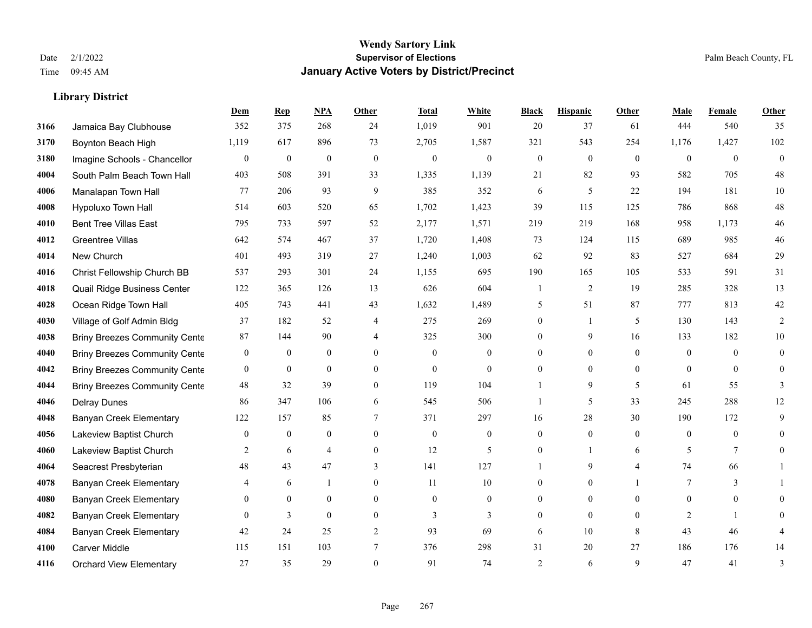|      |                                      | Dem              | <b>Rep</b>       | NPA            | <b>Other</b>     | <b>Total</b> | <b>White</b>   | <b>Black</b>   | <b>Hispanic</b>  | <b>Other</b>   | <b>Male</b>    | <b>Female</b>   | <b>Other</b>   |
|------|--------------------------------------|------------------|------------------|----------------|------------------|--------------|----------------|----------------|------------------|----------------|----------------|-----------------|----------------|
| 3166 | Jamaica Bay Clubhouse                | 352              | 375              | 268            | 24               | 1,019        | 901            | 20             | 37               | 61             | 444            | 540             | 35             |
| 3170 | Boynton Beach High                   | 1,119            | 617              | 896            | 73               | 2,705        | 1,587          | 321            | 543              | 254            | 1,176          | 1,427           | 102            |
| 3180 | Imagine Schools - Chancellor         | $\theta$         | $\boldsymbol{0}$ | $\mathbf{0}$   | $\mathbf{0}$     | $\mathbf{0}$ | $\mathbf{0}$   | $\mathbf{0}$   | $\mathbf{0}$     | $\theta$       | $\theta$       | $\theta$        | $\theta$       |
| 4004 | South Palm Beach Town Hall           | 403              | 508              | 391            | 33               | 1,335        | 1,139          | 21             | 82               | 93             | 582            | 705             | 48             |
| 4006 | Manalapan Town Hall                  | 77               | 206              | 93             | 9                | 385          | 352            | 6              | 5                | 22             | 194            | 181             | $10\,$         |
| 4008 | Hypoluxo Town Hall                   | 514              | 603              | 520            | 65               | 1,702        | 1,423          | 39             | 115              | 125            | 786            | 868             | $48\,$         |
| 4010 | <b>Bent Tree Villas East</b>         | 795              | 733              | 597            | 52               | 2,177        | 1,571          | 219            | 219              | 168            | 958            | 1,173           | $46\,$         |
| 4012 | <b>Greentree Villas</b>              | 642              | 574              | 467            | 37               | 1,720        | 1,408          | 73             | 124              | 115            | 689            | 985             | $46\,$         |
| 4014 | New Church                           | 401              | 493              | 319            | 27               | 1,240        | 1,003          | 62             | 92               | 83             | 527            | 684             | 29             |
| 4016 | Christ Fellowship Church BB          | 537              | 293              | 301            | 24               | 1,155        | 695            | 190            | 165              | 105            | 533            | 591             | 31             |
| 4018 | Quail Ridge Business Center          | 122              | 365              | 126            | 13               | 626          | 604            | 1              | 2                | 19             | 285            | 328             | 13             |
| 4028 | Ocean Ridge Town Hall                | 405              | 743              | 441            | 43               | 1,632        | 1,489          | 5              | 51               | 87             | 777            | 813             | $42\,$         |
| 4030 | Village of Golf Admin Bldg           | 37               | 182              | 52             | $\overline{4}$   | 275          | 269            | $\overline{0}$ | 1                | 5              | 130            | 143             | 2              |
| 4038 | <b>Briny Breezes Community Cente</b> | 87               | 144              | 90             | 4                | 325          | 300            | 0              | 9                | 16             | 133            | 182             | $10\,$         |
| 4040 | <b>Briny Breezes Community Cente</b> | $\boldsymbol{0}$ | $\mathbf{0}$     | $\mathbf{0}$   | $\overline{0}$   | $\mathbf{0}$ | $\overline{0}$ | $\theta$       | $\overline{0}$   | $\theta$       | $\overline{0}$ | $\theta$        | $\overline{0}$ |
| 4042 | <b>Briny Breezes Community Cente</b> | $\overline{0}$   | $\mathbf{0}$     | $\mathbf{0}$   | $\theta$         | $\mathbf{0}$ | $\overline{0}$ | $\theta$       | $\Omega$         | $\theta$       | $\theta$       | $\theta$        | $\theta$       |
| 4044 | <b>Briny Breezes Community Cente</b> | 48               | 32               | 39             | $\overline{0}$   | 119          | 104            |                | 9                | 5              | 61             | 55              | 3              |
| 4046 | <b>Delray Dunes</b>                  | 86               | 347              | 106            | 6                | 545          | 506            |                | 5                | 33             | 245            | 288             | 12             |
| 4048 | <b>Banyan Creek Elementary</b>       | 122              | 157              | 85             | 7                | 371          | 297            | 16             | 28               | 30             | 190            | 172             | 9              |
| 4056 | Lakeview Baptist Church              | $\theta$         | $\mathbf{0}$     | $\mathbf{0}$   | $\mathbf{0}$     | $\theta$     | $\overline{0}$ | $\mathbf{0}$   | $\overline{0}$   | $\theta$       | $\overline{0}$ | $\mathbf{0}$    | $\theta$       |
| 4060 | Lakeview Baptist Church              | 2                | 6                | $\overline{4}$ | $\Omega$         | 12           | 5              | $\theta$       | 1                | 6              | 5              | $7\phantom{.0}$ | $\theta$       |
| 4064 | Seacrest Presbyterian                | 48               | 43               | 47             | 3                | 141          | 127            |                | 9                | $\overline{4}$ | 74             | 66              |                |
| 4078 | <b>Banyan Creek Elementary</b>       | 4                | 6                | $\mathbf{1}$   | $\mathbf{0}$     | 11           | 10             | $\theta$       | $\overline{0}$   |                | 7              | 3               |                |
| 4080 | <b>Banyan Creek Elementary</b>       | $\theta$         | $\theta$         | $\mathbf{0}$   | $\theta$         | $\mathbf{0}$ | $\overline{0}$ | $\overline{0}$ | $\overline{0}$   | $\theta$       | $\theta$       | $\mathbf{0}$    | $\Omega$       |
| 4082 | <b>Banyan Creek Elementary</b>       | $\mathbf{0}$     | $\mathfrak{Z}$   | $\mathbf{0}$   | $\boldsymbol{0}$ | 3            | 3              | $\overline{0}$ | $\boldsymbol{0}$ | $\mathbf{0}$   | $\overline{2}$ |                 | $\Omega$       |
| 4084 | <b>Banyan Creek Elementary</b>       | 42               | 24               | 25             | 2                | 93           | 69             | 6              | 10               | 8              | 43             | 46              |                |
| 4100 | <b>Carver Middle</b>                 | 115              | 151              | 103            | 7                | 376          | 298            | 31             | 20               | 27             | 186            | 176             | 14             |
| 4116 | <b>Orchard View Elementary</b>       | 27               | 35               | 29             | $\theta$         | 91           | 74             | $\overline{2}$ | 6                | $\mathbf{Q}$   | 47             | 41              | 3              |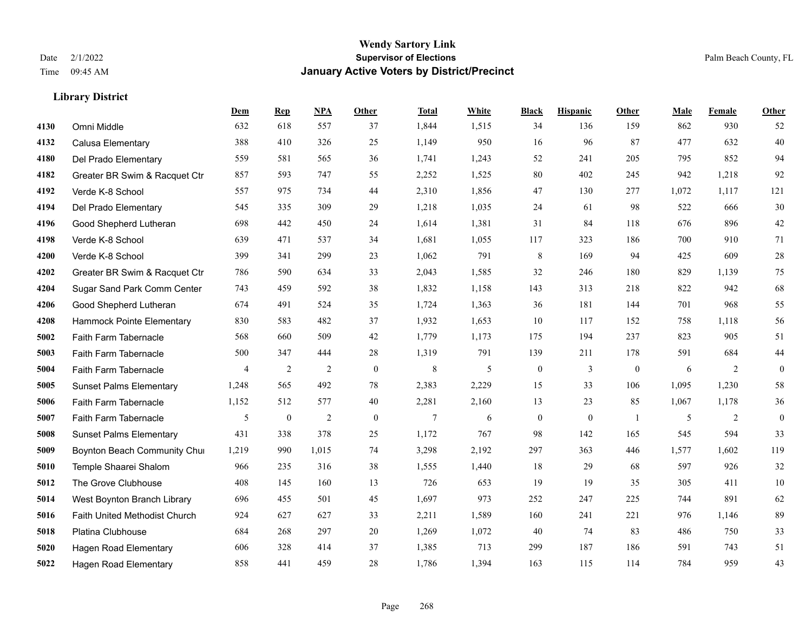|      |                                | Dem            | <b>Rep</b>     | NPA            | <b>Other</b>   | <b>Total</b> | White | <b>Black</b>     | <b>Hispanic</b> | <b>Other</b>   | <b>Male</b> | Female | <b>Other</b>     |
|------|--------------------------------|----------------|----------------|----------------|----------------|--------------|-------|------------------|-----------------|----------------|-------------|--------|------------------|
| 4130 | Omni Middle                    | 632            | 618            | 557            | 37             | 1,844        | 1,515 | 34               | 136             | 159            | 862         | 930    | 52               |
| 4132 | Calusa Elementary              | 388            | 410            | 326            | 25             | 1,149        | 950   | 16               | 96              | 87             | 477         | 632    | 40               |
| 4180 | Del Prado Elementary           | 559            | 581            | 565            | 36             | 1,741        | 1,243 | 52               | 241             | 205            | 795         | 852    | 94               |
| 4182 | Greater BR Swim & Racquet Ctr  | 857            | 593            | 747            | 55             | 2,252        | 1,525 | 80               | 402             | 245            | 942         | 1,218  | 92               |
| 4192 | Verde K-8 School               | 557            | 975            | 734            | 44             | 2,310        | 1,856 | 47               | 130             | 277            | 1,072       | 1,117  | 121              |
| 4194 | Del Prado Elementary           | 545            | 335            | 309            | 29             | 1,218        | 1,035 | 24               | 61              | 98             | 522         | 666    | $30\,$           |
| 4196 | Good Shepherd Lutheran         | 698            | 442            | 450            | 24             | 1,614        | 1,381 | 31               | 84              | 118            | 676         | 896    | $42\,$           |
| 4198 | Verde K-8 School               | 639            | 471            | 537            | 34             | 1,681        | 1,055 | 117              | 323             | 186            | 700         | 910    | 71               |
| 4200 | Verde K-8 School               | 399            | 341            | 299            | 23             | 1,062        | 791   | 8                | 169             | 94             | 425         | 609    | $28\,$           |
| 4202 | Greater BR Swim & Racquet Ctr  | 786            | 590            | 634            | 33             | 2,043        | 1,585 | 32               | 246             | 180            | 829         | 1,139  | 75               |
| 4204 | Sugar Sand Park Comm Center    | 743            | 459            | 592            | 38             | 1,832        | 1,158 | 143              | 313             | 218            | 822         | 942    | 68               |
| 4206 | Good Shepherd Lutheran         | 674            | 491            | 524            | 35             | 1,724        | 1,363 | 36               | 181             | 144            | 701         | 968    | 55               |
| 4208 | Hammock Pointe Elementary      | 830            | 583            | 482            | 37             | 1,932        | 1,653 | 10               | 117             | 152            | 758         | 1,118  | 56               |
| 5002 | Faith Farm Tabernacle          | 568            | 660            | 509            | 42             | 1,779        | 1,173 | 175              | 194             | 237            | 823         | 905    | 51               |
| 5003 | Faith Farm Tabernacle          | 500            | 347            | 444            | 28             | 1,319        | 791   | 139              | 211             | 178            | 591         | 684    | $44\,$           |
| 5004 | Faith Farm Tabernacle          | $\overline{4}$ | $\overline{2}$ | $\overline{2}$ | $\overline{0}$ | $\,8\,$      | 5     | $\boldsymbol{0}$ | 3               | $\mathbf{0}$   | 6           | 2      | $\boldsymbol{0}$ |
| 5005 | <b>Sunset Palms Elementary</b> | 1,248          | 565            | 492            | 78             | 2,383        | 2,229 | 15               | 33              | 106            | 1,095       | 1,230  | 58               |
| 5006 | Faith Farm Tabernacle          | 1,152          | 512            | 577            | 40             | 2,281        | 2,160 | 13               | 23              | 85             | 1,067       | 1,178  | $36\,$           |
| 5007 | Faith Farm Tabernacle          | 5              | $\bf{0}$       | $\overline{2}$ | $\overline{0}$ | $\tau$       | 6     | $\boldsymbol{0}$ | $\mathbf{0}$    | $\overline{1}$ | 5           | 2      | $\mathbf{0}$     |
| 5008 | <b>Sunset Palms Elementary</b> | 431            | 338            | 378            | 25             | 1,172        | 767   | 98               | 142             | 165            | 545         | 594    | 33               |
| 5009 | Boynton Beach Community Chur   | 1,219          | 990            | 1,015          | 74             | 3,298        | 2,192 | 297              | 363             | 446            | 1,577       | 1,602  | 119              |
| 5010 | Temple Shaarei Shalom          | 966            | 235            | 316            | 38             | 1,555        | 1,440 | 18               | 29              | 68             | 597         | 926    | 32               |
| 5012 | The Grove Clubhouse            | 408            | 145            | 160            | 13             | 726          | 653   | 19               | 19              | 35             | 305         | 411    | $10\,$           |
| 5014 | West Boynton Branch Library    | 696            | 455            | 501            | 45             | 1,697        | 973   | 252              | 247             | 225            | 744         | 891    | 62               |
| 5016 | Faith United Methodist Church  | 924            | 627            | 627            | 33             | 2,211        | 1,589 | 160              | 241             | 221            | 976         | 1.146  | 89               |
| 5018 | Platina Clubhouse              | 684            | 268            | 297            | $20\,$         | 1,269        | 1,072 | 40               | 74              | 83             | 486         | 750    | 33               |
| 5020 | <b>Hagen Road Elementary</b>   | 606            | 328            | 414            | 37             | 1,385        | 713   | 299              | 187             | 186            | 591         | 743    | 51               |
| 5022 | <b>Hagen Road Elementary</b>   | 858            | 441            | 459            | 28             | 1,786        | 1,394 | 163              | 115             | 114            | 784         | 959    | 43               |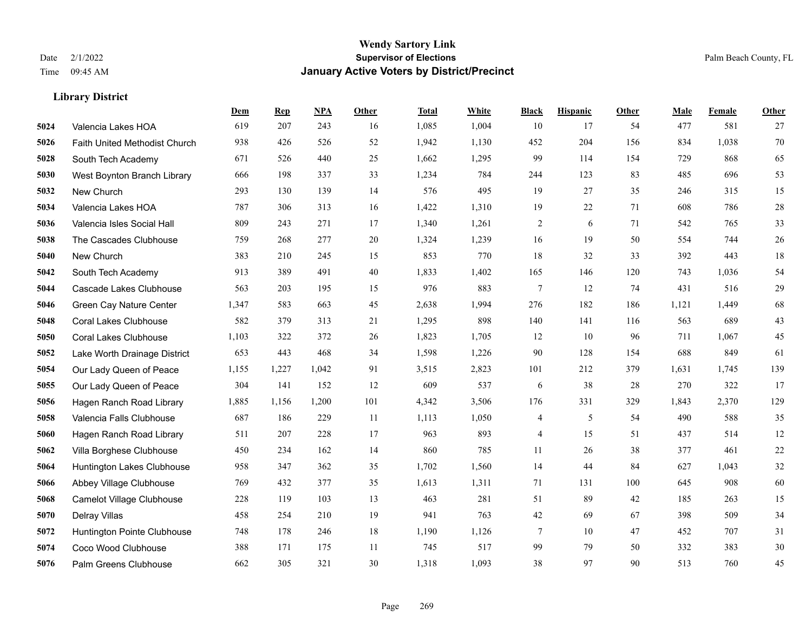|      |                               | Dem   | <b>Rep</b> | NPA   | <b>Other</b> | <b>Total</b> | White | <b>Black</b>   | <b>Hispanic</b> | <b>Other</b> | <b>Male</b> | Female | <b>Other</b> |
|------|-------------------------------|-------|------------|-------|--------------|--------------|-------|----------------|-----------------|--------------|-------------|--------|--------------|
| 5024 | Valencia Lakes HOA            | 619   | 207        | 243   | 16           | 1,085        | 1,004 | 10             | 17              | 54           | 477         | 581    | 27           |
| 5026 | Faith United Methodist Church | 938   | 426        | 526   | 52           | 1,942        | 1,130 | 452            | 204             | 156          | 834         | 1,038  | 70           |
| 5028 | South Tech Academy            | 671   | 526        | 440   | 25           | 1,662        | 1,295 | 99             | 114             | 154          | 729         | 868    | 65           |
| 5030 | West Boynton Branch Library   | 666   | 198        | 337   | 33           | 1,234        | 784   | 244            | 123             | 83           | 485         | 696    | 53           |
| 5032 | New Church                    | 293   | 130        | 139   | 14           | 576          | 495   | 19             | 27              | 35           | 246         | 315    | 15           |
| 5034 | Valencia Lakes HOA            | 787   | 306        | 313   | 16           | 1,422        | 1,310 | 19             | 22              | 71           | 608         | 786    | $28\,$       |
| 5036 | Valencia Isles Social Hall    | 809   | 243        | 271   | 17           | 1,340        | 1,261 | $\sqrt{2}$     | 6               | 71           | 542         | 765    | 33           |
| 5038 | The Cascades Clubhouse        | 759   | 268        | 277   | 20           | 1,324        | 1,239 | 16             | 19              | 50           | 554         | 744    | 26           |
| 5040 | New Church                    | 383   | 210        | 245   | 15           | 853          | 770   | 18             | 32              | 33           | 392         | 443    | $18\,$       |
| 5042 | South Tech Academy            | 913   | 389        | 491   | 40           | 1,833        | 1,402 | 165            | 146             | 120          | 743         | 1,036  | 54           |
| 5044 | Cascade Lakes Clubhouse       | 563   | 203        | 195   | 15           | 976          | 883   | $\tau$         | 12              | 74           | 431         | 516    | 29           |
| 5046 | Green Cay Nature Center       | 1,347 | 583        | 663   | 45           | 2,638        | 1,994 | 276            | 182             | 186          | 1,121       | 1,449  | 68           |
| 5048 | <b>Coral Lakes Clubhouse</b>  | 582   | 379        | 313   | 21           | 1,295        | 898   | 140            | 141             | 116          | 563         | 689    | $43\,$       |
| 5050 | <b>Coral Lakes Clubhouse</b>  | 1,103 | 322        | 372   | 26           | 1,823        | 1,705 | 12             | 10              | 96           | 711         | 1,067  | 45           |
| 5052 | Lake Worth Drainage District  | 653   | 443        | 468   | 34           | 1,598        | 1,226 | 90             | 128             | 154          | 688         | 849    | 61           |
| 5054 | Our Lady Queen of Peace       | 1,155 | 1,227      | 1,042 | 91           | 3,515        | 2,823 | 101            | 212             | 379          | 1,631       | 1,745  | 139          |
| 5055 | Our Lady Queen of Peace       | 304   | 141        | 152   | 12           | 609          | 537   | 6              | 38              | 28           | 270         | 322    | 17           |
| 5056 | Hagen Ranch Road Library      | 1,885 | 1,156      | 1,200 | 101          | 4,342        | 3,506 | 176            | 331             | 329          | 1,843       | 2,370  | 129          |
| 5058 | Valencia Falls Clubhouse      | 687   | 186        | 229   | 11           | 1,113        | 1,050 | 4              | 5               | 54           | 490         | 588    | 35           |
| 5060 | Hagen Ranch Road Library      | 511   | 207        | 228   | 17           | 963          | 893   | $\overline{4}$ | 15              | 51           | 437         | 514    | 12           |
| 5062 | Villa Borghese Clubhouse      | 450   | 234        | 162   | 14           | 860          | 785   | 11             | 26              | 38           | 377         | 461    | $22\,$       |
| 5064 | Huntington Lakes Clubhouse    | 958   | 347        | 362   | 35           | 1,702        | 1,560 | 14             | 44              | 84           | 627         | 1,043  | 32           |
| 5066 | Abbey Village Clubhouse       | 769   | 432        | 377   | 35           | 1,613        | 1,311 | 71             | 131             | 100          | 645         | 908    | 60           |
| 5068 | Camelot Village Clubhouse     | 228   | 119        | 103   | 13           | 463          | 281   | 51             | 89              | 42           | 185         | 263    | 15           |
| 5070 | Delray Villas                 | 458   | 254        | 210   | 19           | 941          | 763   | 42             | 69              | 67           | 398         | 509    | 34           |
| 5072 | Huntington Pointe Clubhouse   | 748   | 178        | 246   | 18           | 1,190        | 1,126 | 7              | 10              | 47           | 452         | 707    | 31           |
| 5074 | Coco Wood Clubhouse           | 388   | 171        | 175   | 11           | 745          | 517   | 99             | 79              | 50           | 332         | 383    | $30\,$       |
| 5076 | Palm Greens Clubhouse         | 662   | 305        | 321   | 30           | 1,318        | 1,093 | 38             | 97              | 90           | 513         | 760    | 45           |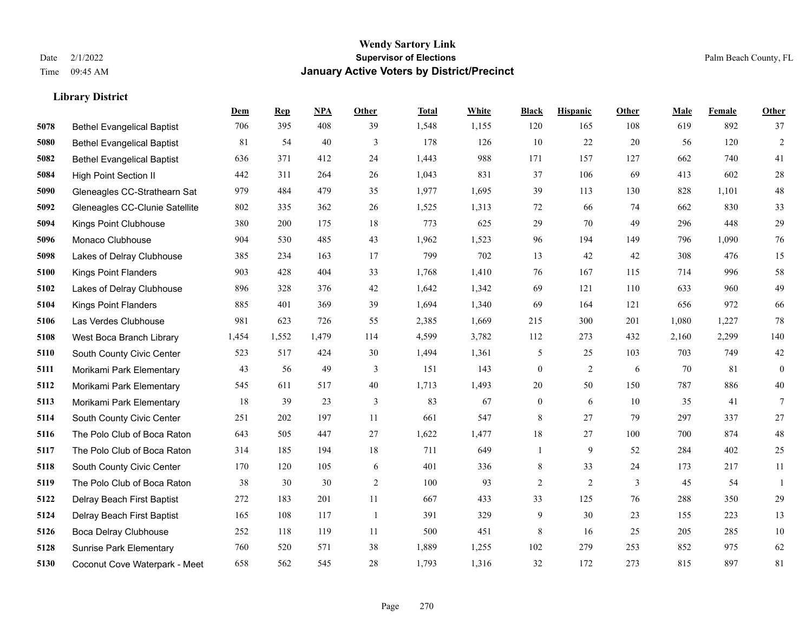**Library District**

#### **Wendy Sartory Link** Date 2/1/2022 **Supervisor of Elections** Palm Beach County, FL Time 09:45 AM **January Active Voters by District/Precinct**

# **Dem Rep NPA Other Total White Black Hispanic Other Male Female Other** Bethel Evangelical Baptist 706 395 408 39 1,548 1,155 120 165 108 619 892 37 Bethel Evangelical Baptist 81 54 40 3 178 126 10 22 20 56 120 2 Bethel Evangelical Baptist 636 371 412 24 1,443 988 171 157 127 662 740 41 High Point Section II 442 311 264 26 1,043 831 37 106 69 413 602 28 Gleneagles CC-Strathearn Sat 979 484 479 35 1,977 1,695 39 113 130 828 1,101 48 Gleneagles CC-Clunie Satellite 802 335 362 26 1,525 1,313 72 66 74 662 830 33 Kings Point Clubhouse 380 200 175 18 773 625 29 70 49 296 448 29 Monaco Clubhouse 904 530 485 43 1,962 1,523 96 194 149 796 1,090 76 Lakes of Delray Clubhouse 385 234 163 17 799 702 13 42 42 308 476 15 Kings Point Flanders 903 428 404 33 1,768 1,410 76 167 115 714 996 58 Lakes of Delray Clubhouse 896 328 376 42 1,642 1,342 69 121 110 633 960 49 Kings Point Flanders 885 401 369 39 1,694 1,340 69 164 121 656 972 66 Las Verdes Clubhouse 981 623 726 55 2,385 1,669 215 300 201 1,080 1,227 78 West Boca Branch Library 1,454 1,552 1,479 114 4,599 3,782 112 273 432 2,160 2,299 140 South County Civic Center 523 517 424 30 1,494 1,361 5 25 103 703 749 42 Morikami Park Elementary 43 56 49 3 151 143 0 2 6 70 81 0 Morikami Park Elementary 545 611 517 40 1,713 1,493 20 50 150 787 886 40 Morikami Park Elementary 18 39 23 3 83 67 0 6 10 35 41 7 South County Civic Center 251 202 197 11 661 547 8 27 79 297 337 27 The Polo Club of Boca Raton 643 505 447 27 1,622 1,477 18 27 100 700 874 48 The Polo Club of Boca Raton 314 185 194 18 711 649 1 9 52 284 402 25 South County Civic Center 170 120 105 6 401 336 8 33 24 173 217 11 The Polo Club of Boca Raton 38 30 30 2 100 93 2 2 3 45 54 1 Delray Beach First Baptist 272 183 201 11 667 433 33 125 76 288 350 29 Delray Beach First Baptist 165 108 117 1 391 329 9 30 23 155 223 13 Boca Delray Clubhouse 252 118 119 11 500 451 8 16 25 205 285 10 Sunrise Park Elementary 760 520 571 38 1,889 1,255 102 279 253 852 975 62 Coconut Cove Waterpark - Meet 658 562 545 28 1,793 1,316 32 172 273 815 897 81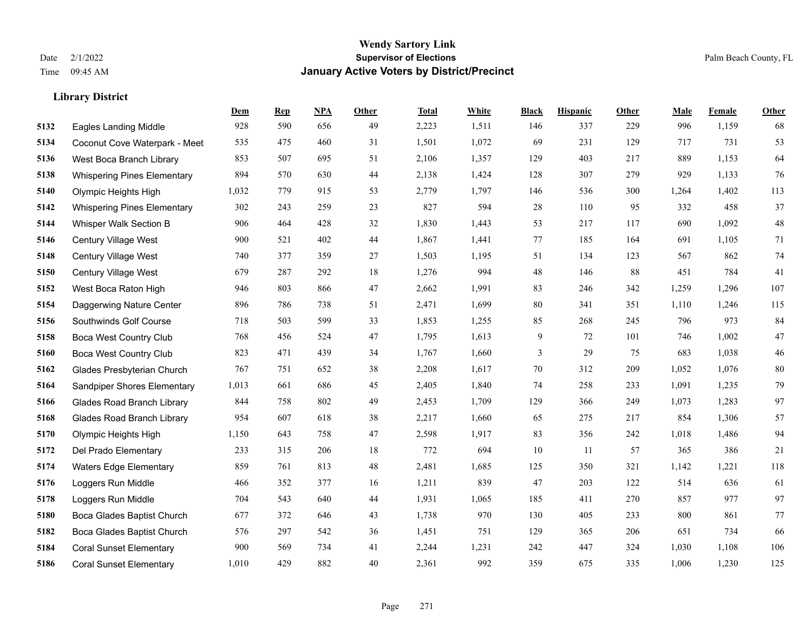|      |                                    | Dem   | <b>Rep</b> | NPA | <b>Other</b> | <b>Total</b> | <b>White</b> | <b>Black</b> | <b>Hispanic</b> | <b>Other</b> | <b>Male</b> | <b>Female</b> | <b>Other</b> |
|------|------------------------------------|-------|------------|-----|--------------|--------------|--------------|--------------|-----------------|--------------|-------------|---------------|--------------|
| 5132 | <b>Eagles Landing Middle</b>       | 928   | 590        | 656 | 49           | 2,223        | 1,511        | 146          | 337             | 229          | 996         | 1,159         | 68           |
| 5134 | Coconut Cove Waterpark - Meet      | 535   | 475        | 460 | 31           | 1,501        | 1,072        | 69           | 231             | 129          | 717         | 731           | 53           |
| 5136 | West Boca Branch Library           | 853   | 507        | 695 | 51           | 2,106        | 1,357        | 129          | 403             | 217          | 889         | 1,153         | 64           |
| 5138 | <b>Whispering Pines Elementary</b> | 894   | 570        | 630 | 44           | 2,138        | 1,424        | 128          | 307             | 279          | 929         | 1,133         | 76           |
| 5140 | Olympic Heights High               | 1,032 | 779        | 915 | 53           | 2,779        | 1,797        | 146          | 536             | 300          | 1,264       | 1.402         | 113          |
| 5142 | <b>Whispering Pines Elementary</b> | 302   | 243        | 259 | 23           | 827          | 594          | 28           | 110             | 95           | 332         | 458           | 37           |
| 5144 | Whisper Walk Section B             | 906   | 464        | 428 | 32           | 1,830        | 1,443        | 53           | 217             | 117          | 690         | 1,092         | 48           |
| 5146 | <b>Century Village West</b>        | 900   | 521        | 402 | 44           | 1,867        | 1,441        | 77           | 185             | 164          | 691         | 1,105         | 71           |
| 5148 | Century Village West               | 740   | 377        | 359 | 27           | 1,503        | 1,195        | 51           | 134             | 123          | 567         | 862           | 74           |
| 5150 | Century Village West               | 679   | 287        | 292 | 18           | 1,276        | 994          | 48           | 146             | 88           | 451         | 784           | 41           |
| 5152 | West Boca Raton High               | 946   | 803        | 866 | 47           | 2,662        | 1,991        | 83           | 246             | 342          | 1,259       | 1,296         | 107          |
| 5154 | Daggerwing Nature Center           | 896   | 786        | 738 | 51           | 2,471        | 1,699        | 80           | 341             | 351          | 1,110       | 1,246         | 115          |
| 5156 | Southwinds Golf Course             | 718   | 503        | 599 | 33           | 1,853        | 1,255        | 85           | 268             | 245          | 796         | 973           | 84           |
| 5158 | <b>Boca West Country Club</b>      | 768   | 456        | 524 | 47           | 1,795        | 1,613        | 9            | 72              | 101          | 746         | 1,002         | 47           |
| 5160 | <b>Boca West Country Club</b>      | 823   | 471        | 439 | 34           | 1,767        | 1,660        | 3            | 29              | 75           | 683         | 1,038         | $46\,$       |
| 5162 | Glades Presbyterian Church         | 767   | 751        | 652 | 38           | 2,208        | 1,617        | 70           | 312             | 209          | 1,052       | 1,076         | 80           |
| 5164 | Sandpiper Shores Elementary        | 1,013 | 661        | 686 | 45           | 2,405        | 1,840        | 74           | 258             | 233          | 1,091       | 1,235         | 79           |
| 5166 | <b>Glades Road Branch Library</b>  | 844   | 758        | 802 | 49           | 2,453        | 1,709        | 129          | 366             | 249          | 1,073       | 1,283         | 97           |
| 5168 | <b>Glades Road Branch Library</b>  | 954   | 607        | 618 | 38           | 2,217        | 1,660        | 65           | 275             | 217          | 854         | 1,306         | 57           |
| 5170 | Olympic Heights High               | 1,150 | 643        | 758 | 47           | 2,598        | 1,917        | 83           | 356             | 242          | 1,018       | 1,486         | 94           |
| 5172 | Del Prado Elementary               | 233   | 315        | 206 | 18           | 772          | 694          | 10           | 11              | 57           | 365         | 386           | 21           |
| 5174 | <b>Waters Edge Elementary</b>      | 859   | 761        | 813 | 48           | 2,481        | 1,685        | 125          | 350             | 321          | 1,142       | 1,221         | 118          |
| 5176 | Loggers Run Middle                 | 466   | 352        | 377 | 16           | 1,211        | 839          | 47           | 203             | 122          | 514         | 636           | 61           |
| 5178 | Loggers Run Middle                 | 704   | 543        | 640 | 44           | 1,931        | 1,065        | 185          | 411             | 270          | 857         | 977           | 97           |
| 5180 | Boca Glades Baptist Church         | 677   | 372        | 646 | 43           | 1,738        | 970          | 130          | 405             | 233          | 800         | 861           | 77           |
| 5182 | Boca Glades Baptist Church         | 576   | 297        | 542 | 36           | 1,451        | 751          | 129          | 365             | 206          | 651         | 734           | 66           |
| 5184 | <b>Coral Sunset Elementary</b>     | 900   | 569        | 734 | 41           | 2,244        | 1,231        | 242          | 447             | 324          | 1,030       | 1,108         | 106          |
| 5186 | <b>Coral Sunset Elementary</b>     | 1,010 | 429        | 882 | 40           | 2,361        | 992          | 359          | 675             | 335          | 1,006       | 1,230         | 125          |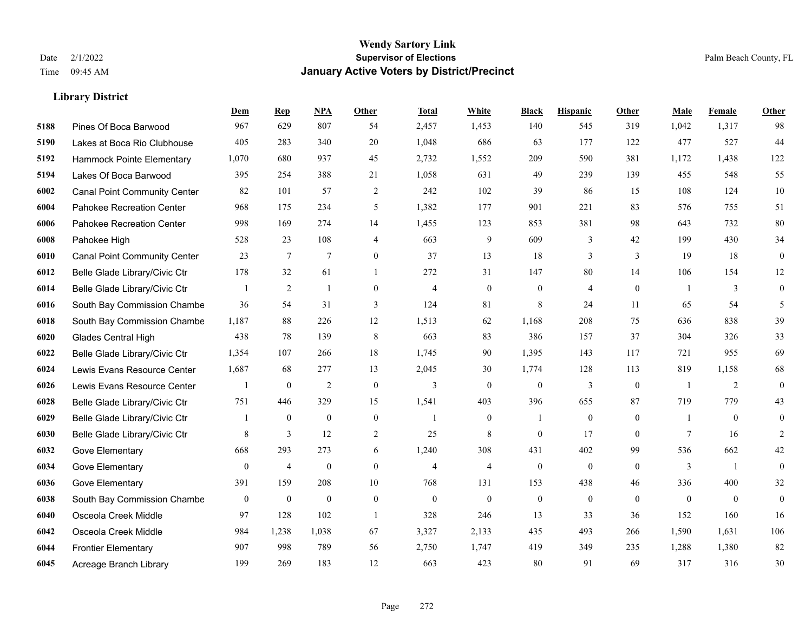|      |                                     | Dem          | <b>Rep</b>       | NPA              | <b>Other</b>   | <b>Total</b>   | <b>White</b>     | <b>Black</b>     | <b>Hispanic</b>  | Other          | <b>Male</b>    | Female         | Other            |
|------|-------------------------------------|--------------|------------------|------------------|----------------|----------------|------------------|------------------|------------------|----------------|----------------|----------------|------------------|
| 5188 | Pines Of Boca Barwood               | 967          | 629              | 807              | 54             | 2,457          | 1,453            | 140              | 545              | 319            | 1,042          | 1,317          | 98               |
| 5190 | Lakes at Boca Rio Clubhouse         | 405          | 283              | 340              | 20             | 1,048          | 686              | 63               | 177              | 122            | 477            | 527            | 44               |
| 5192 | Hammock Pointe Elementary           | 1,070        | 680              | 937              | 45             | 2,732          | 1,552            | 209              | 590              | 381            | 1,172          | 1,438          | 122              |
| 5194 | Lakes Of Boca Barwood               | 395          | 254              | 388              | 21             | 1,058          | 631              | 49               | 239              | 139            | 455            | 548            | 55               |
| 6002 | <b>Canal Point Community Center</b> | 82           | 101              | 57               | 2              | 242            | 102              | 39               | 86               | 15             | 108            | 124            | $10\,$           |
| 6004 | Pahokee Recreation Center           | 968          | 175              | 234              | 5              | 1,382          | 177              | 901              | 221              | 83             | 576            | 755            | 51               |
| 6006 | Pahokee Recreation Center           | 998          | 169              | 274              | 14             | 1,455          | 123              | 853              | 381              | 98             | 643            | 732            | 80               |
| 6008 | Pahokee High                        | 528          | 23               | 108              | $\overline{4}$ | 663            | 9                | 609              | 3                | 42             | 199            | 430            | 34               |
| 6010 | <b>Canal Point Community Center</b> | 23           | $\tau$           | 7                | $\overline{0}$ | 37             | 13               | 18               | 3                | $\overline{3}$ | 19             | 18             | $\boldsymbol{0}$ |
| 6012 | Belle Glade Library/Civic Ctr       | 178          | 32               | 61               | $\mathbf{1}$   | 272            | 31               | 147              | 80               | 14             | 106            | 154            | 12               |
| 6014 | Belle Glade Library/Civic Ctr       |              | 2                | $\mathbf{1}$     | $\mathbf{0}$   | $\overline{4}$ | $\overline{0}$   | $\boldsymbol{0}$ | 4                | $\mathbf{0}$   | $\overline{1}$ | 3              | $\overline{0}$   |
| 6016 | South Bay Commission Chambe         | 36           | 54               | 31               | 3              | 124            | 81               | 8                | 24               | 11             | 65             | 54             | 5                |
| 6018 | South Bay Commission Chambe         | 1,187        | 88               | 226              | 12             | 1,513          | 62               | 1.168            | 208              | 75             | 636            | 838            | 39               |
| 6020 | Glades Central High                 | 438          | 78               | 139              | $\,8\,$        | 663            | 83               | 386              | 157              | 37             | 304            | 326            | 33               |
| 6022 | Belle Glade Library/Civic Ctr       | 1,354        | 107              | 266              | 18             | 1,745          | 90               | 1,395            | 143              | 117            | 721            | 955            | 69               |
| 6024 | Lewis Evans Resource Center         | 1,687        | 68               | 277              | 13             | 2,045          | 30               | 1,774            | 128              | 113            | 819            | 1,158          | 68               |
| 6026 | Lewis Evans Resource Center         |              | $\mathbf{0}$     | $\overline{2}$   | $\mathbf{0}$   | $\overline{3}$ | $\theta$         | $\mathbf{0}$     | 3                | $\mathbf{0}$   | $\overline{1}$ | 2              | $\overline{0}$   |
| 6028 | Belle Glade Library/Civic Ctr       | 751          | 446              | 329              | 15             | 1,541          | 403              | 396              | 655              | 87             | 719            | 779            | 43               |
| 6029 | Belle Glade Library/Civic Ctr       |              | $\boldsymbol{0}$ | $\theta$         | $\mathbf{0}$   | -1             | $\boldsymbol{0}$ | $\mathbf{1}$     | $\overline{0}$   | $\mathbf{0}$   | -1             | $\overline{0}$ | $\mathbf{0}$     |
| 6030 | Belle Glade Library/Civic Ctr       | 8            | 3                | 12               | $\overline{2}$ | 25             | 8                | $\Omega$         | 17               | $\theta$       | $\tau$         | 16             | 2                |
| 6032 | Gove Elementary                     | 668          | 293              | 273              | 6              | 1,240          | 308              | 431              | 402              | 99             | 536            | 662            | 42               |
| 6034 | Gove Elementary                     | $\bf{0}$     | $\overline{4}$   | $\boldsymbol{0}$ | $\mathbf{0}$   | $\overline{4}$ | $\overline{4}$   | $\boldsymbol{0}$ | $\boldsymbol{0}$ | $\mathbf{0}$   | 3              | -1             | $\overline{0}$   |
| 6036 | Gove Elementary                     | 391          | 159              | 208              | 10             | 768            | 131              | 153              | 438              | 46             | 336            | 400            | $32\,$           |
| 6038 | South Bay Commission Chambe         | $\mathbf{0}$ | $\mathbf{0}$     | $\mathbf{0}$     | $\theta$       | $\mathbf{0}$   | $\mathbf{0}$     | $\mathbf{0}$     | $\overline{0}$   | $\theta$       | $\theta$       | $\theta$       | $\mathbf{0}$     |
| 6040 | Osceola Creek Middle                | 97           | 128              | 102              | -1             | 328            | 246              | 13               | 33               | 36             | 152            | 160            | 16               |
| 6042 | Osceola Creek Middle                | 984          | 1,238            | 1,038            | 67             | 3,327          | 2,133            | 435              | 493              | 266            | 1,590          | 1,631          | 106              |
| 6044 | <b>Frontier Elementary</b>          | 907          | 998              | 789              | 56             | 2,750          | 1,747            | 419              | 349              | 235            | 1,288          | 1,380          | 82               |
| 6045 | Acreage Branch Library              | 199          | 269              | 183              | 12             | 663            | 423              | 80               | 91               | 69             | 317            | 316            | 30               |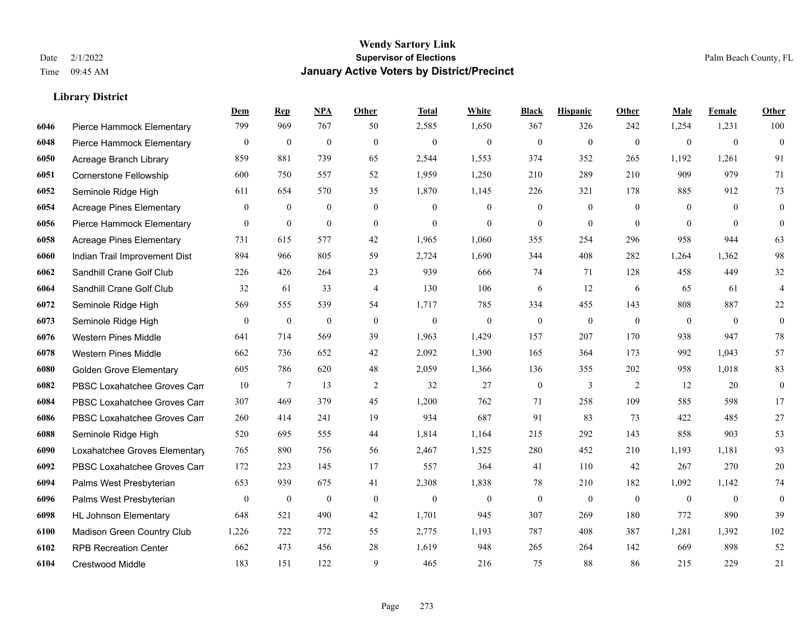|      |                                 | Dem          | <b>Rep</b>       | NPA              | <b>Other</b>   | <b>Total</b> | White            | <b>Black</b>     | <b>Hispanic</b>  | Other          | <b>Male</b>    | Female       | <b>Other</b>     |
|------|---------------------------------|--------------|------------------|------------------|----------------|--------------|------------------|------------------|------------------|----------------|----------------|--------------|------------------|
| 6046 | Pierce Hammock Elementary       | 799          | 969              | 767              | 50             | 2,585        | 1,650            | 367              | 326              | 242            | 1,254          | 1,231        | 100              |
| 6048 | Pierce Hammock Elementary       | $\bf{0}$     | $\mathbf{0}$     | $\mathbf{0}$     | $\theta$       | $\mathbf{0}$ | $\mathbf{0}$     | $\mathbf{0}$     | $\mathbf{0}$     | $\mathbf{0}$   | $\overline{0}$ | $\mathbf{0}$ | $\mathbf{0}$     |
| 6050 | Acreage Branch Library          | 859          | 881              | 739              | 65             | 2,544        | 1,553            | 374              | 352              | 265            | 1,192          | 1,261        | 91               |
| 6051 | Cornerstone Fellowship          | 600          | 750              | 557              | 52             | 1,959        | 1,250            | 210              | 289              | 210            | 909            | 979          | 71               |
| 6052 | Seminole Ridge High             | 611          | 654              | 570              | 35             | 1,870        | 1,145            | 226              | 321              | 178            | 885            | 912          | 73               |
| 6054 | <b>Acreage Pines Elementary</b> | $\mathbf{0}$ | $\bf{0}$         | $\boldsymbol{0}$ | $\overline{0}$ | $\mathbf{0}$ | $\boldsymbol{0}$ | $\boldsymbol{0}$ | $\boldsymbol{0}$ | $\overline{0}$ | $\mathbf{0}$   | $\mathbf{0}$ | $\boldsymbol{0}$ |
| 6056 | Pierce Hammock Elementary       | $\mathbf{0}$ | $\mathbf{0}$     | $\mathbf{0}$     | $\mathbf{0}$   | $\mathbf{0}$ | $\overline{0}$   | $\mathbf{0}$     | $\mathbf{0}$     | $\theta$       | $\theta$       | $\theta$     | $\mathbf{0}$     |
| 6058 | <b>Acreage Pines Elementary</b> | 731          | 615              | 577              | 42             | 1,965        | 1,060            | 355              | 254              | 296            | 958            | 944          | 63               |
| 6060 | Indian Trail Improvement Dist   | 894          | 966              | 805              | 59             | 2,724        | 1,690            | 344              | 408              | 282            | 1,264          | 1,362        | 98               |
| 6062 | Sandhill Crane Golf Club        | 226          | 426              | 264              | 23             | 939          | 666              | 74               | 71               | 128            | 458            | 449          | 32               |
| 6064 | Sandhill Crane Golf Club        | 32           | 61               | 33               | $\overline{4}$ | 130          | 106              | 6                | 12               | 6              | 65             | 61           | $\overline{4}$   |
| 6072 | Seminole Ridge High             | 569          | 555              | 539              | 54             | 1,717        | 785              | 334              | 455              | 143            | 808            | 887          | $22\,$           |
| 6073 | Seminole Ridge High             | $\mathbf{0}$ | $\boldsymbol{0}$ | $\mathbf{0}$     | $\mathbf{0}$   | $\mathbf{0}$ | $\overline{0}$   | $\mathbf{0}$     | $\mathbf{0}$     | $\theta$       | $\mathbf{0}$   | $\mathbf{0}$ | $\mathbf{0}$     |
| 6076 | <b>Western Pines Middle</b>     | 641          | 714              | 569              | 39             | 1,963        | 1,429            | 157              | 207              | 170            | 938            | 947          | 78               |
| 6078 | <b>Western Pines Middle</b>     | 662          | 736              | 652              | 42             | 2,092        | 1,390            | 165              | 364              | 173            | 992            | 1,043        | 57               |
| 6080 | <b>Golden Grove Elementary</b>  | 605          | 786              | 620              | 48             | 2,059        | 1,366            | 136              | 355              | 202            | 958            | 1,018        | 83               |
| 6082 | PBSC Loxahatchee Groves Can     | 10           | $\overline{7}$   | 13               | 2              | 32           | 27               | $\boldsymbol{0}$ | $\mathfrak{Z}$   | 2              | 12             | 20           | $\boldsymbol{0}$ |
| 6084 | PBSC Loxahatchee Groves Can     | 307          | 469              | 379              | 45             | 1,200        | 762              | 71               | 258              | 109            | 585            | 598          | 17               |
| 6086 | PBSC Loxahatchee Groves Can     | 260          | 414              | 241              | 19             | 934          | 687              | 91               | 83               | 73             | 422            | 485          | 27               |
| 6088 | Seminole Ridge High             | 520          | 695              | 555              | 44             | 1,814        | 1,164            | 215              | 292              | 143            | 858            | 903          | 53               |
| 6090 | Loxahatchee Groves Elementary   | 765          | 890              | 756              | 56             | 2,467        | 1,525            | 280              | 452              | 210            | 1,193          | 1,181        | 93               |
| 6092 | PBSC Loxahatchee Groves Can     | 172          | 223              | 145              | 17             | 557          | 364              | 41               | 110              | 42             | 267            | 270          | $20\,$           |
| 6094 | Palms West Presbyterian         | 653          | 939              | 675              | 41             | 2,308        | 1,838            | 78               | 210              | 182            | 1,092          | 1,142        | 74               |
| 6096 | Palms West Presbyterian         | $\mathbf{0}$ | $\bf{0}$         | $\boldsymbol{0}$ | $\theta$       | $\mathbf{0}$ | $\mathbf{0}$     | $\boldsymbol{0}$ | $\mathbf{0}$     | $\mathbf{0}$   | $\overline{0}$ | $\mathbf{0}$ | $\mathbf{0}$     |
| 6098 | <b>HL Johnson Elementary</b>    | 648          | 521              | 490              | 42             | 1,701        | 945              | 307              | 269              | 180            | 772            | 890          | 39               |
| 6100 | Madison Green Country Club      | 1,226        | 722              | 772              | 55             | 2,775        | 1,193            | 787              | 408              | 387            | 1,281          | 1,392        | $102\,$          |
| 6102 | <b>RPB Recreation Center</b>    | 662          | 473              | 456              | 28             | 1,619        | 948              | 265              | 264              | 142            | 669            | 898          | 52               |
| 6104 | <b>Crestwood Middle</b>         | 183          | 151              | 122              | 9              | 465          | 216              | 75               | 88               | 86             | 215            | 229          | 21               |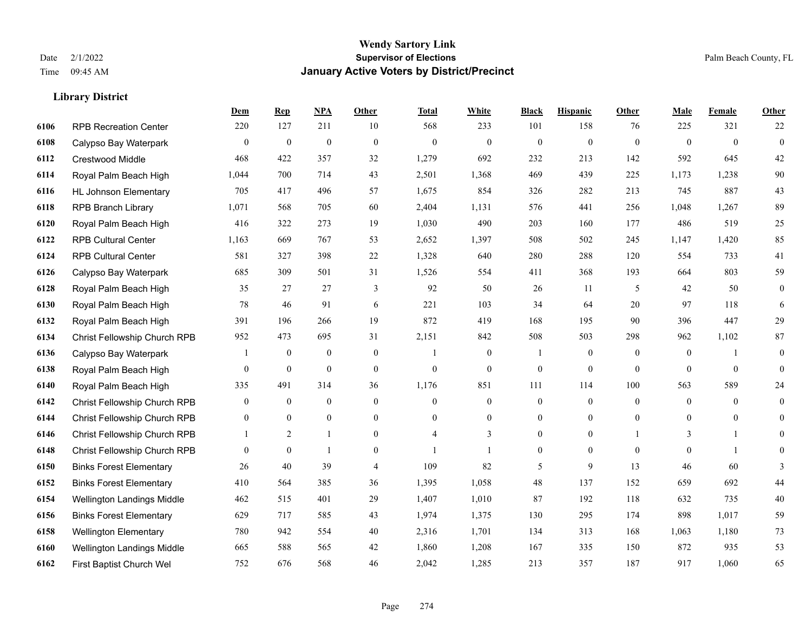**Library District**

#### **Wendy Sartory Link** Date 2/1/2022 **Supervisor of Elections** Palm Beach County, FL Time 09:45 AM **January Active Voters by District/Precinct**

# **Dem Rep NPA Other Total White Black Hispanic Other Male Female Other** RPB Recreation Center 220 127 211 10 568 233 101 158 76 225 321 22 Calypso Bay Waterpark 0 0 0 0 0 0 0 0 0 0 0 0 Crestwood Middle 468 422 357 32 1,279 692 232 213 142 592 645 42 Royal Palm Beach High 1,044 700 714 43 2,501 1,368 469 439 225 1,173 1,238 90 HL Johnson Elementary 705 417 496 57 1,675 854 326 282 213 745 887 43 RPB Branch Library 1,071 568 705 60 2,404 1,131 576 441 256 1,048 1,267 89 Royal Palm Beach High 416 322 273 19 1,030 490 203 160 177 486 519 25 RPB Cultural Center 1,163 669 767 53 2,652 1,397 508 502 245 1,147 1,420 85 RPB Cultural Center 581 327 398 22 1,328 640 280 288 120 554 733 41 Calypso Bay Waterpark 685 309 501 31 1,526 554 411 368 193 664 803 59 Royal Palm Beach High 35 27 27 3 92 50 26 11 5 42 50 0 Royal Palm Beach High 78 46 91 6 221 103 34 64 20 97 118 6 Royal Palm Beach High 391 196 266 19 872 419 168 195 90 396 447 29 Christ Fellowship Church RPB 952 473 695 31 2,151 842 508 503 298 962 1,102 87 Calypso Bay Waterpark 1 0 0 0 1 0 1 0 0 0 1 0 Royal Palm Beach High 0 0 0 0 0 0 0 0 0 0 0 0 Royal Palm Beach High 335 491 314 36 1,176 851 111 114 100 563 589 24 Christ Fellowship Church RPB 0 0 0 0 0 0 0 0 0 0 0 0 Christ Fellowship Church RPB 0 0 0 0 0 0 0 0 0 0 0 0 Christ Fellowship Church RPB 1 2 1 0 4 3 0 0 1 3 1 0 Christ Fellowship Church RPB 0 0 1 0 1 1 0 0 0 0 1 0 Binks Forest Elementary 26 40 39 4 109 82 5 9 13 46 60 3 Binks Forest Elementary 410 564 385 36 1,395 1,058 48 137 152 659 692 44 Wellington Landings Middle 462 515 401 29 1,407 1,010 87 192 118 632 735 40 Binks Forest Elementary 629 717 585 43 1,974 1,375 130 295 174 898 1,017 59 Wellington Elementary 780 942 554 40 2,316 1,701 134 313 168 1,063 1,180 73 Wellington Landings Middle 665 588 565 42 1,860 1,208 167 335 150 872 935 53 First Baptist Church Wel 752 676 568 46 2,042 1,285 213 357 187 917 1,060 65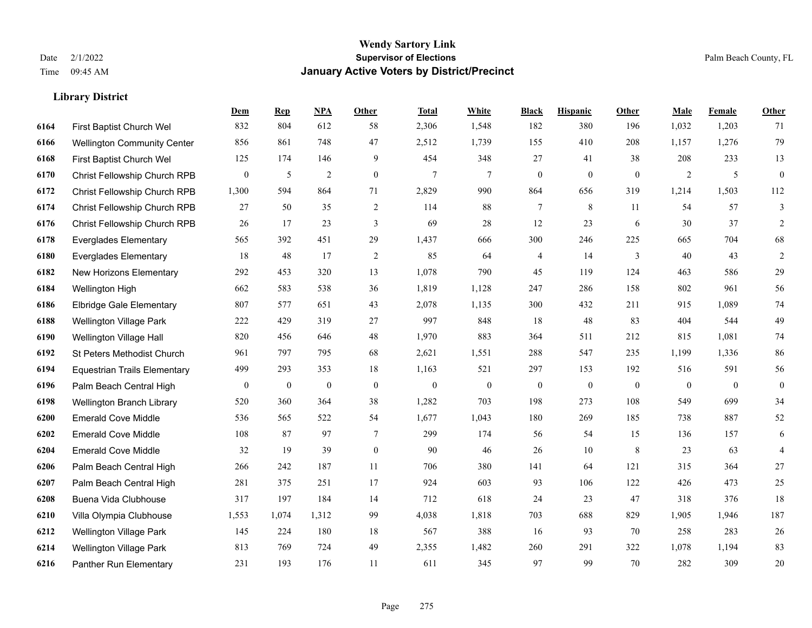**Library District**

#### **Wendy Sartory Link** Date 2/1/2022 **Supervisor of Elections** Palm Beach County, FL Time 09:45 AM **January Active Voters by District/Precinct**

# **Dem Rep NPA Other Total White Black Hispanic Other Male Female Other** First Baptist Church Wel 832 804 612 58 2,306 1,548 182 380 196 1,032 1,203 71 Wellington Community Center 856 861 748 47 2,512 1,739 155 410 208 1,157 1,276 79 First Baptist Church Wel 125 174 146 9 454 348 27 41 38 208 233 13 Christ Fellowship Church RPB 0 5 2 0 7 7 0 0 0 2 5 0 Christ Fellowship Church RPB 1,300 594 864 71 2,829 990 864 656 319 1,214 1,503 112 Christ Fellowship Church RPB 27 50 35 2 114 88 7 8 11 54 57 3 Christ Fellowship Church RPB 26 17 23 3 69 28 12 23 6 30 37 2 Everglades Elementary 565 392 451 29 1,437 666 300 246 225 665 704 68 Everglades Elementary 18 48 17 2 85 64 4 14 3 40 43 2 New Horizons Elementary 292 453 320 13 1,078 790 45 119 124 463 586 29 Wellington High 662 583 538 36 1,819 1,128 247 286 158 802 961 56 Elbridge Gale Elementary 807 577 651 43 2,078 1,135 300 432 211 915 1,089 74 Wellington Village Park 222 429 319 27 997 848 18 48 83 404 544 49 Wellington Village Hall 820 456 646 48 1,970 883 364 511 212 815 1,081 74 St Peters Methodist Church 961 797 795 68 2,621 1,551 288 547 235 1,199 1,336 86 Equestrian Trails Elementary 499 293 353 18 1,163 521 297 153 192 516 591 56 Palm Beach Central High 0 0 0 0 0 0 0 0 0 0 0 0 Wellington Branch Library 520 360 364 38 1,282 703 198 273 108 549 699 34 Emerald Cove Middle 536 565 522 54 1,677 1,043 180 269 185 738 887 52 Emerald Cove Middle 108 87 97 7 299 174 56 54 15 136 157 6 Emerald Cove Middle 32 19 39 0 90 46 26 10 8 23 63 4 Palm Beach Central High 266 242 187 11 706 380 141 64 121 315 364 27 Palm Beach Central High 281 375 251 17 924 603 93 106 122 426 473 25 Buena Vida Clubhouse 317 197 184 14 712 618 24 23 47 318 376 18 Villa Olympia Clubhouse 1,553 1,074 1,312 99 4,038 1,818 703 688 829 1,905 1,946 187 Wellington Village Park 145 224 180 18 567 388 16 93 70 258 283 26 Wellington Village Park 813 769 724 49 2,355 1,482 260 291 322 1,078 1,194 83 Panther Run Elementary 231 193 176 11 611 345 97 99 70 282 309 20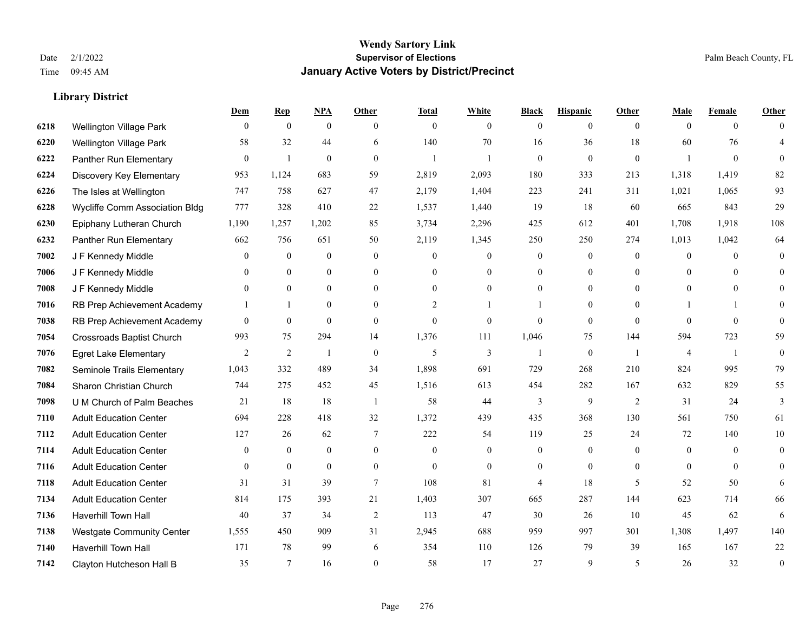|      |                                  | Dem            | <b>Rep</b>       | NPA              | <b>Other</b>     | <b>Total</b>   | <b>White</b>   | <b>Black</b>     | <b>Hispanic</b>  | <b>Other</b>   | <b>Male</b>    | <b>Female</b>  | <b>Other</b>     |
|------|----------------------------------|----------------|------------------|------------------|------------------|----------------|----------------|------------------|------------------|----------------|----------------|----------------|------------------|
| 6218 | Wellington Village Park          | $\mathbf{0}$   | $\mathbf{0}$     | $\boldsymbol{0}$ | $\theta$         | $\mathbf{0}$   | $\overline{0}$ | $\overline{0}$   | $\overline{0}$   | $\theta$       | $\theta$       | $\overline{0}$ | $\Omega$         |
| 6220 | <b>Wellington Village Park</b>   | 58             | 32               | 44               | 6                | 140            | 70             | 16               | 36               | 18             | 60             | 76             | 4                |
| 6222 | Panther Run Elementary           | $\mathbf{0}$   | $\mathbf{1}$     | $\mathbf{0}$     | $\theta$         | $\mathbf{1}$   |                | $\mathbf{0}$     | $\boldsymbol{0}$ | $\mathbf{0}$   | $\overline{1}$ | $\mathbf{0}$   | $\theta$         |
| 6224 | Discovery Key Elementary         | 953            | 1,124            | 683              | 59               | 2,819          | 2,093          | 180              | 333              | 213            | 1,318          | 1,419          | 82               |
| 6226 | The Isles at Wellington          | 747            | 758              | 627              | 47               | 2,179          | 1,404          | 223              | 241              | 311            | 1,021          | 1,065          | 93               |
| 6228 | Wycliffe Comm Association Bldg   | 777            | 328              | 410              | $22\,$           | 1,537          | 1,440          | 19               | 18               | 60             | 665            | 843            | 29               |
| 6230 | Epiphany Lutheran Church         | 1,190          | 1,257            | 1,202            | 85               | 3,734          | 2,296          | 425              | 612              | 401            | 1,708          | 1,918          | 108              |
| 6232 | Panther Run Elementary           | 662            | 756              | 651              | 50               | 2,119          | 1,345          | 250              | 250              | 274            | 1,013          | 1,042          | 64               |
| 7002 | J F Kennedy Middle               | $\theta$       | $\overline{0}$   | $\mathbf{0}$     | $\mathbf{0}$     | $\theta$       | $\overline{0}$ | $\mathbf{0}$     | $\overline{0}$   | $\theta$       | $\mathbf{0}$   | $\theta$       | $\theta$         |
| 7006 | J F Kennedy Middle               | $\overline{0}$ | $\overline{0}$   | $\boldsymbol{0}$ | $\mathbf{0}$     | $\Omega$       | 0              | $\boldsymbol{0}$ | $\mathbf{0}$     | $\theta$       | $\overline{0}$ | $\theta$       | $\overline{0}$   |
| 7008 | J F Kennedy Middle               | $\theta$       | $\theta$         | $\mathbf{0}$     | $\theta$         | $\theta$       | $\overline{0}$ | $\overline{0}$   | $\overline{0}$   | $\theta$       | $\theta$       | $\theta$       | $\Omega$         |
| 7016 | RB Prep Achievement Academy      |                | $\mathbf{1}$     | $\theta$         | $\theta$         | $\overline{c}$ |                |                  | $\Omega$         | $\Omega$       |                |                | $\Omega$         |
| 7038 | RB Prep Achievement Academy      | $\overline{0}$ | $\mathbf{0}$     | $\mathbf{0}$     | $\theta$         | $\mathbf{0}$   | $\overline{0}$ | $\Omega$         | $\overline{0}$   | $\theta$       | $\theta$       | $\mathbf{0}$   | $\theta$         |
| 7054 | <b>Crossroads Baptist Church</b> | 993            | 75               | 294              | 14               | 1,376          | 111            | 1,046            | 75               | 144            | 594            | 723            | 59               |
| 7076 | <b>Egret Lake Elementary</b>     | 2              | 2                | -1               | $\theta$         | 5              | $\overline{3}$ |                  | $\mathbf{0}$     | $\overline{1}$ | 4              | $\overline{1}$ | $\mathbf{0}$     |
| 7082 | Seminole Trails Elementary       | 1,043          | 332              | 489              | 34               | 1,898          | 691            | 729              | 268              | 210            | 824            | 995            | 79               |
| 7084 | Sharon Christian Church          | 744            | 275              | 452              | 45               | 1,516          | 613            | 454              | 282              | 167            | 632            | 829            | 55               |
| 7098 | U M Church of Palm Beaches       | 21             | 18               | 18               | $\overline{1}$   | 58             | 44             | 3                | 9                | 2              | 31             | 24             | 3                |
| 7110 | <b>Adult Education Center</b>    | 694            | 228              | 418              | 32               | 1,372          | 439            | 435              | 368              | 130            | 561            | 750            | 61               |
| 7112 | <b>Adult Education Center</b>    | 127            | 26               | 62               | 7                | 222            | 54             | 119              | 25               | 24             | 72             | 140            | 10               |
| 7114 | <b>Adult Education Center</b>    | $\theta$       | $\theta$         | $\theta$         | $\theta$         | $\theta$       | $\Omega$       | $\theta$         | $\Omega$         | $\Omega$       | $\Omega$       | $\Omega$       | $\theta$         |
| 7116 | <b>Adult Education Center</b>    | $\mathbf{0}$   | $\boldsymbol{0}$ | $\mathbf{0}$     | $\boldsymbol{0}$ | $\overline{0}$ | $\overline{0}$ | $\overline{0}$   | $\overline{0}$   | $\mathbf{0}$   | $\mathbf{0}$   | $\mathbf{0}$   | $\theta$         |
| 7118 | <b>Adult Education Center</b>    | 31             | 31               | 39               | 7                | 108            | 81             | 4                | 18               | 5              | 52             | 50             | 6                |
| 7134 | <b>Adult Education Center</b>    | 814            | 175              | 393              | 21               | 1,403          | 307            | 665              | 287              | 144            | 623            | 714            | 66               |
| 7136 | <b>Haverhill Town Hall</b>       | 40             | 37               | 34               | 2                | 113            | 47             | 30               | 26               | 10             | 45             | 62             | 6                |
| 7138 | <b>Westgate Community Center</b> | 1,555          | 450              | 909              | 31               | 2,945          | 688            | 959              | 997              | 301            | 1,308          | 1,497          | 140              |
| 7140 | Haverhill Town Hall              | 171            | 78               | 99               | 6                | 354            | 110            | 126              | 79               | 39             | 165            | 167            | 22               |
| 7142 | Clayton Hutcheson Hall B         | 35             | $\tau$           | 16               | $\theta$         | 58             | 17             | 27               | 9                | 5              | 26             | 32             | $\boldsymbol{0}$ |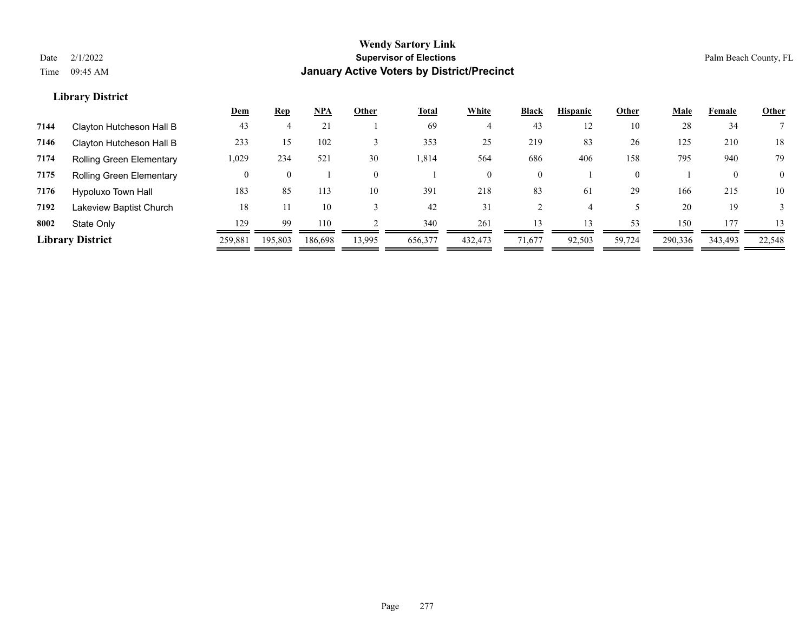|      |                                 | <u>Dem</u> | <u>Rep</u> | NPA     | Other    | <b>Total</b> | <b>White</b> | Black        | <b>Hispanic</b> | Other    | <u>Male</u> | Female       | <b>Other</b> |
|------|---------------------------------|------------|------------|---------|----------|--------------|--------------|--------------|-----------------|----------|-------------|--------------|--------------|
| 7144 | Clayton Hutcheson Hall B        | 43         |            | 21      |          | 69           | 4            | 43           | 12              | 10       | 28          | 34           |              |
| 7146 | Clayton Hutcheson Hall B        | 233        | 15         | 102     |          | 353          | 25           | 219          | 83              | 26       | 125         | 210          | 18           |
| 7174 | <b>Rolling Green Elementary</b> | 1,029      | 234        | 521     | 30       | 814.ا        | 564          | 686          | 406             | 158      | 795         | 940          | 79           |
| 7175 | <b>Rolling Green Elementary</b> |            |            |         | $\Omega$ |              | $\theta$     | $\mathbf{0}$ |                 | $\Omega$ |             | $\mathbf{0}$ | $\Omega$     |
| 7176 | Hypoluxo Town Hall              | 183        | 85         | 113     | 10       | 391          | 218          | 83           | 61              | 29       | 166         | 215          | 10           |
| 7192 | Lakeview Baptist Church         | 18         |            | 10      |          | 42           | 31           |              |                 |          | 20          | 19           |              |
| 8002 | State Only                      | 129        | 99         | 110     |          | 340          | 261          | 13           | 13              | 53       | 150         | 177          | 13           |
|      | <b>Library District</b>         | 259,881    | 195,803    | 186,698 | 13,995   | 656,377      | 432,473      | 71,677       | 92,503          | 59,724   | 290,336     | 343,493      | 22,548       |
|      |                                 |            |            |         |          |              |              |              |                 |          |             |              |              |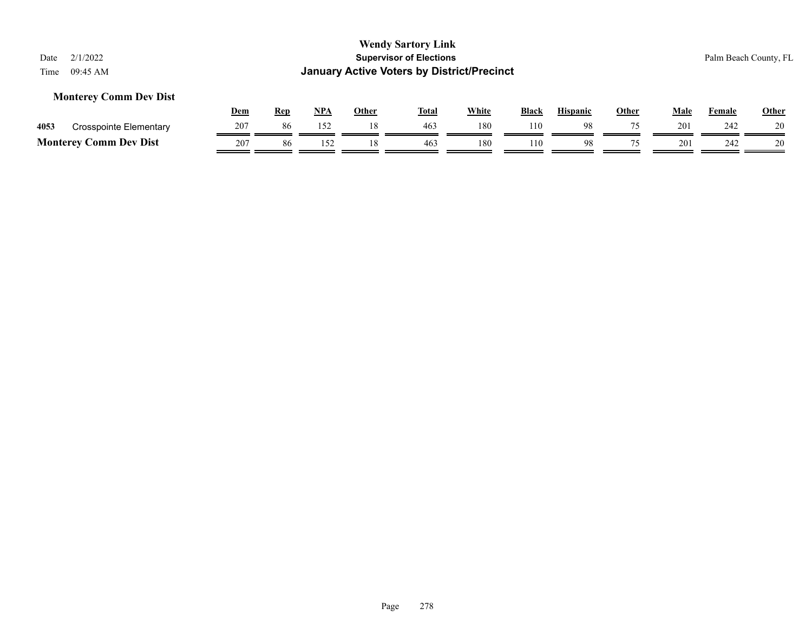### **Monterey Comm Dev Dist**

|      |                               | Dem | Rep | NPA | Other | <b>Total</b> | <b>White</b> | <b>Black</b> | <b>Hispanic</b> | Other | Male | Female | <b>Other</b> |
|------|-------------------------------|-----|-----|-----|-------|--------------|--------------|--------------|-----------------|-------|------|--------|--------------|
| 4053 | Crosspointe Elementary        | 207 | 86  | 152 |       | 463          | 180          | 110          | 98              |       | 201  | 242    | 20           |
|      | <b>Monterey Comm Dev Dist</b> | 207 | 86  |     |       | 463          | 180          | 110          | 98              |       | 201  | 242    | 20           |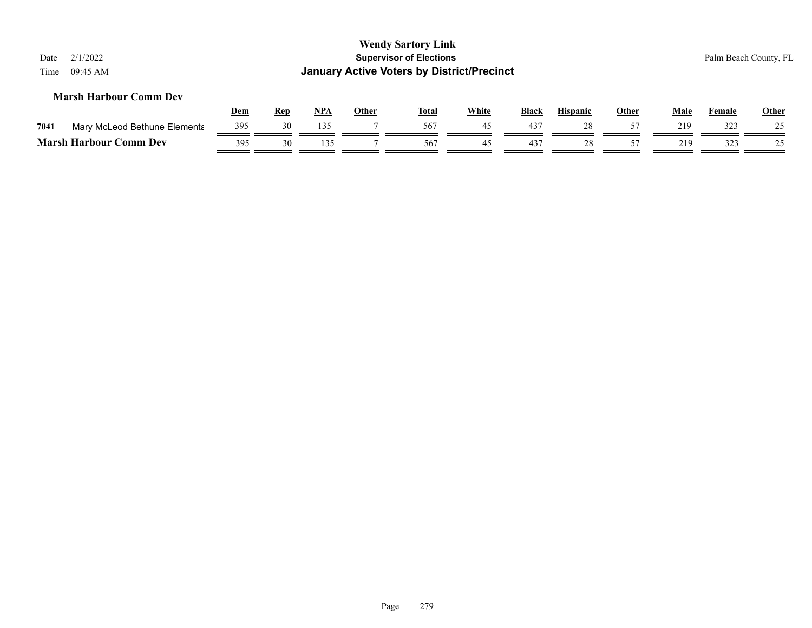| 2/1/2022<br>Date<br>09:45 AM<br>Time |            |            |       |              | <b>Wendy Sartory Link</b><br><b>Supervisor of Elections</b><br><b>January Active Voters by District/Precinct</b> |              |              |                 |              |      |        | Palm Beach County, FL |
|--------------------------------------|------------|------------|-------|--------------|------------------------------------------------------------------------------------------------------------------|--------------|--------------|-----------------|--------------|------|--------|-----------------------|
| <b>Marsh Harbour Comm Dev</b>        | <b>Dem</b> | <b>Rep</b> | $NPA$ | <b>Other</b> | <u>Total</u>                                                                                                     | <b>White</b> | <b>Black</b> | <b>Hispanic</b> | <u>Other</u> | Male | Female | <b>Other</b>          |
| 7041<br>Mary McLeod Bethune Elementa | 395        | 30         | 135   |              | 567                                                                                                              | 45           | 437          | 28              | 57           | 219  | 323    | 25                    |
| <b>Marsh Harbour Comm Dev</b>        | 395        | 30         | 135   |              | 567                                                                                                              | 45           | 437          | 28              | 57           | 219  | 323    | 25                    |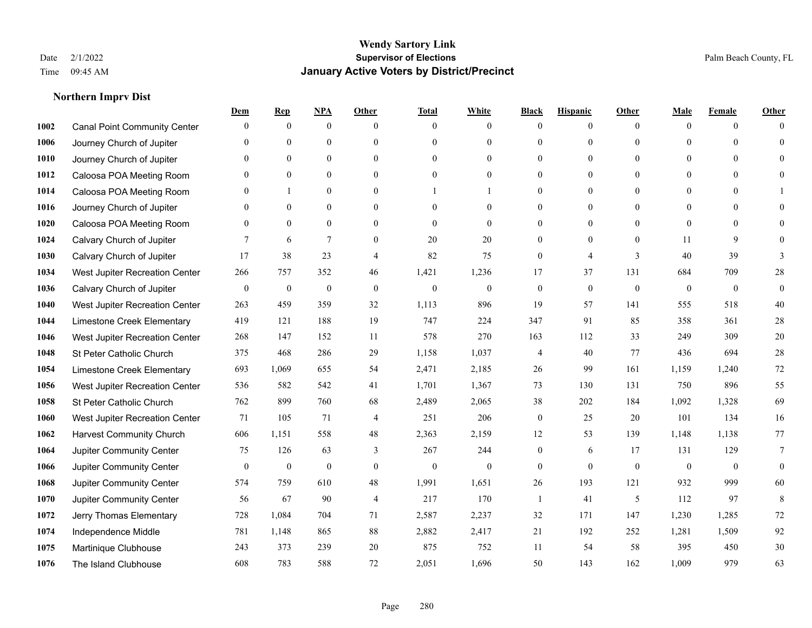|      |                                     | Dem              | <b>Rep</b>       | NPA              | <b>Other</b>     | <b>Total</b>     | <b>White</b>     | <b>Black</b>     | <b>Hispanic</b>  | <b>Other</b> | Male           | <b>Female</b>  | <b>Other</b> |
|------|-------------------------------------|------------------|------------------|------------------|------------------|------------------|------------------|------------------|------------------|--------------|----------------|----------------|--------------|
| 1002 | <b>Canal Point Community Center</b> | $\mathbf{0}$     | $\mathbf{0}$     | $\mathbf{0}$     | $\theta$         | $\theta$         | $\overline{0}$   | $\Omega$         | $\overline{0}$   | $\theta$     | $\mathbf{0}$   | $\overline{0}$ | $\Omega$     |
| 1006 | Journey Church of Jupiter           | $\Omega$         | $\mathbf{0}$     | $\mathbf{0}$     | $\theta$         | $\theta$         | $\overline{0}$   | $\theta$         | $\overline{0}$   | $\Omega$     | $\Omega$       | $\Omega$       | $\theta$     |
| 1010 | Journey Church of Jupiter           | $\Omega$         | $\theta$         | $\theta$         | $\Omega$         | $\Omega$         | $\theta$         | $\Omega$         | $\Omega$         | $\Omega$     | $\Omega$       | $\Omega$       | $\Omega$     |
| 1012 | Caloosa POA Meeting Room            | $\mathbf{0}$     | $\mathbf{0}$     | $\mathbf{0}$     | $\mathbf{0}$     | $\boldsymbol{0}$ | $\overline{0}$   | $\theta$         | $\overline{0}$   | $\theta$     | $\mathbf{0}$   | $\overline{0}$ | $\theta$     |
| 1014 | Caloosa POA Meeting Room            | $\Omega$         | 1                | $\mathbf{0}$     | $\theta$         |                  |                  | 0                | $\overline{0}$   | $\theta$     | $\theta$       | $\theta$       |              |
| 1016 | Journey Church of Jupiter           | $\mathbf{0}$     | $\mathbf{0}$     | $\mathbf{0}$     | $\theta$         | $\theta$         | $\overline{0}$   | $\theta$         | $\overline{0}$   | $\Omega$     | $\overline{0}$ | $\theta$       | $\Omega$     |
| 1020 | Caloosa POA Meeting Room            | $\mathbf{0}$     | $\mathbf{0}$     | $\mathbf{0}$     | $\mathbf{0}$     | $\mathbf{0}$     | $\overline{0}$   | $\theta$         | $\boldsymbol{0}$ | $\mathbf{0}$ | $\overline{0}$ | $\Omega$       | $\theta$     |
| 1024 | Calvary Church of Jupiter           | 7                | 6                | $\overline{7}$   | $\theta$         | 20               | 20               | $\overline{0}$   | $\overline{0}$   | $\theta$     | 11             | 9              | $\Omega$     |
| 1030 | Calvary Church of Jupiter           | 17               | 38               | 23               | $\overline{4}$   | 82               | 75               | $\overline{0}$   | 4                | 3            | 40             | 39             | 3            |
| 1034 | West Jupiter Recreation Center      | 266              | 757              | 352              | 46               | 1,421            | 1,236            | 17               | 37               | 131          | 684            | 709            | 28           |
| 1036 | Calvary Church of Jupiter           | $\boldsymbol{0}$ | $\boldsymbol{0}$ | $\boldsymbol{0}$ | $\mathbf{0}$     | $\mathbf{0}$     | $\overline{0}$   | $\boldsymbol{0}$ | $\overline{0}$   | $\mathbf{0}$ | $\mathbf{0}$   | $\overline{0}$ | $\mathbf{0}$ |
| 1040 | West Jupiter Recreation Center      | 263              | 459              | 359              | 32               | 1,113            | 896              | 19               | 57               | 141          | 555            | 518            | 40           |
| 1044 | Limestone Creek Elementary          | 419              | 121              | 188              | 19               | 747              | 224              | 347              | 91               | 85           | 358            | 361            | $28\,$       |
| 1046 | West Jupiter Recreation Center      | 268              | 147              | 152              | 11               | 578              | 270              | 163              | 112              | 33           | 249            | 309            | $20\,$       |
| 1048 | St Peter Catholic Church            | 375              | 468              | 286              | 29               | 1,158            | 1,037            | 4                | 40               | 77           | 436            | 694            | $28\,$       |
| 1054 | Limestone Creek Elementary          | 693              | 1,069            | 655              | 54               | 2,471            | 2,185            | 26               | 99               | 161          | 1,159          | 1,240          | $72\,$       |
| 1056 | West Jupiter Recreation Center      | 536              | 582              | 542              | 41               | 1,701            | 1,367            | 73               | 130              | 131          | 750            | 896            | 55           |
| 1058 | St Peter Catholic Church            | 762              | 899              | 760              | 68               | 2,489            | 2,065            | 38               | 202              | 184          | 1,092          | 1,328          | 69           |
| 1060 | West Jupiter Recreation Center      | 71               | 105              | 71               | $\overline{4}$   | 251              | 206              | $\overline{0}$   | 25               | 20           | 101            | 134            | 16           |
| 1062 | <b>Harvest Community Church</b>     | 606              | 1,151            | 558              | 48               | 2,363            | 2,159            | 12               | 53               | 139          | 1,148          | 1,138          | 77           |
| 1064 | <b>Jupiter Community Center</b>     | 75               | 126              | 63               | 3                | 267              | 244              | $\overline{0}$   | 6                | 17           | 131            | 129            | $\tau$       |
| 1066 | Jupiter Community Center            | $\boldsymbol{0}$ | $\boldsymbol{0}$ | $\boldsymbol{0}$ | $\boldsymbol{0}$ | $\boldsymbol{0}$ | $\boldsymbol{0}$ | $\overline{0}$   | $\mathbf{0}$     | $\mathbf{0}$ | $\mathbf{0}$   | $\overline{0}$ | $\mathbf{0}$ |
| 1068 | Jupiter Community Center            | 574              | 759              | 610              | 48               | 1,991            | 1,651            | 26               | 193              | 121          | 932            | 999            | 60           |
| 1070 | Jupiter Community Center            | 56               | 67               | 90               | $\overline{4}$   | 217              | 170              | $\mathbf{1}$     | 41               | 5            | 112            | 97             | 8            |
| 1072 | Jerry Thomas Elementary             | 728              | 1,084            | 704              | 71               | 2,587            | 2,237            | 32               | 171              | 147          | 1,230          | 1,285          | $72\,$       |
| 1074 | Independence Middle                 | 781              | 1,148            | 865              | 88               | 2,882            | 2,417            | 21               | 192              | 252          | 1,281          | 1,509          | 92           |
| 1075 | Martinique Clubhouse                | 243              | 373              | 239              | 20               | 875              | 752              | 11               | 54               | 58           | 395            | 450            | $30\,$       |
| 1076 | The Island Clubhouse                | 608              | 783              | 588              | 72               | 2,051            | 1,696            | 50               | 143              | 162          | 1,009          | 979            | 63           |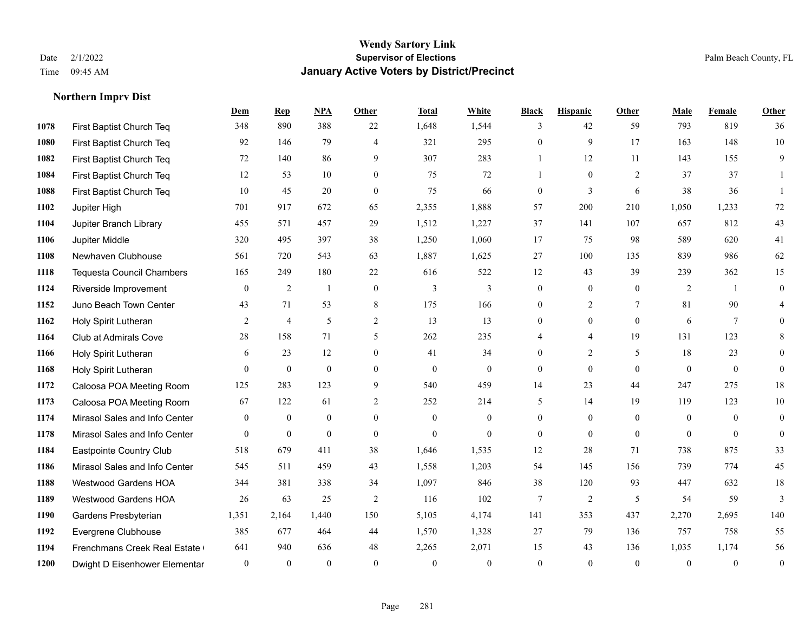|      |                                  | Dem              | <b>Rep</b>       | NPA              | <b>Other</b>   | <b>Total</b>   | White            | <b>Black</b>     | <b>Hispanic</b>  | <b>Other</b>   | <b>Male</b>      | Female         | Other            |
|------|----------------------------------|------------------|------------------|------------------|----------------|----------------|------------------|------------------|------------------|----------------|------------------|----------------|------------------|
| 1078 | First Baptist Church Teq         | 348              | 890              | 388              | 22             | 1,648          | 1,544            | 3                | 42               | 59             | 793              | 819            | 36               |
| 1080 | First Baptist Church Teq         | 92               | 146              | 79               | $\overline{4}$ | 321            | 295              | $\boldsymbol{0}$ | 9                | 17             | 163              | 148            | $10\,$           |
| 1082 | First Baptist Church Teq         | 72               | 140              | 86               | 9              | 307            | 283              | $\mathbf{1}$     | 12               | 11             | 143              | 155            | 9                |
| 1084 | First Baptist Church Teq         | 12               | 53               | 10               | $\mathbf{0}$   | 75             | 72               | $\mathbf{1}$     | $\mathbf{0}$     | 2              | 37               | 37             | 1                |
| 1088 | First Baptist Church Teq         | 10               | 45               | 20               | $\mathbf{0}$   | 75             | 66               | $\mathbf{0}$     | 3                | 6              | 38               | 36             | 1                |
| 1102 | Jupiter High                     | 701              | 917              | 672              | 65             | 2,355          | 1,888            | 57               | 200              | 210            | 1,050            | 1,233          | 72               |
| 1104 | Jupiter Branch Library           | 455              | 571              | 457              | 29             | 1,512          | 1,227            | 37               | 141              | 107            | 657              | 812            | 43               |
| 1106 | Jupiter Middle                   | 320              | 495              | 397              | 38             | 1,250          | 1,060            | 17               | 75               | 98             | 589              | 620            | 41               |
| 1108 | Newhaven Clubhouse               | 561              | 720              | 543              | 63             | 1,887          | 1,625            | 27               | 100              | 135            | 839              | 986            | 62               |
| 1118 | <b>Tequesta Council Chambers</b> | 165              | 249              | 180              | 22             | 616            | 522              | 12               | 43               | 39             | 239              | 362            | 15               |
| 1124 | Riverside Improvement            | $\mathbf{0}$     | 2                | 1                | $\mathbf{0}$   | 3              | 3                | $\mathbf{0}$     | $\mathbf{0}$     | $\mathbf{0}$   | 2                | $\overline{1}$ | $\mathbf{0}$     |
| 1152 | Juno Beach Town Center           | 43               | 71               | 53               | 8              | 175            | 166              | $\boldsymbol{0}$ | $\overline{2}$   | $\tau$         | 81               | 90             | 4                |
| 1162 | Holy Spirit Lutheran             | 2                | $\overline{4}$   | 5                | 2              | 13             | 13               | $\mathbf{0}$     | $\theta$         | $\theta$       | 6                | $\tau$         | $\theta$         |
| 1164 | Club at Admirals Cove            | 28               | 158              | 71               | 5              | 262            | 235              | 4                | 4                | 19             | 131              | 123            | 8                |
| 1166 | Holy Spirit Lutheran             | 6                | 23               | 12               | $\mathbf{0}$   | 41             | 34               | $\overline{0}$   | 2                | 5              | 18               | 23             | $\mathbf{0}$     |
| 1168 | Holy Spirit Lutheran             | $\mathbf{0}$     | $\mathbf{0}$     | $\mathbf{0}$     | $\overline{0}$ | $\mathbf{0}$   | $\mathbf{0}$     | $\mathbf{0}$     | $\mathbf{0}$     | $\theta$       | $\mathbf{0}$     | $\mathbf{0}$   | $\mathbf{0}$     |
| 1172 | Caloosa POA Meeting Room         | 125              | 283              | 123              | 9              | 540            | 459              | 14               | 23               | 44             | 247              | 275            | $18\,$           |
| 1173 | Caloosa POA Meeting Room         | 67               | 122              | 61               | 2              | 252            | 214              | 5                | 14               | 19             | 119              | 123            | $10\,$           |
| 1174 | Mirasol Sales and Info Center    | $\boldsymbol{0}$ | $\boldsymbol{0}$ | $\boldsymbol{0}$ | $\mathbf{0}$   | $\overline{0}$ | $\boldsymbol{0}$ | $\boldsymbol{0}$ | $\boldsymbol{0}$ | $\overline{0}$ | $\boldsymbol{0}$ | $\mathbf{0}$   | $\boldsymbol{0}$ |
| 1178 | Mirasol Sales and Info Center    | $\theta$         | $\mathbf{0}$     | $\mathbf{0}$     | $\theta$       | $\theta$       | $\mathbf{0}$     | $\mathbf{0}$     | $\mathbf{0}$     | $\theta$       | $\theta$         | $\theta$       | $\mathbf{0}$     |
| 1184 | Eastpointe Country Club          | 518              | 679              | 411              | 38             | 1,646          | 1,535            | 12               | 28               | 71             | 738              | 875            | 33               |
| 1186 | Mirasol Sales and Info Center    | 545              | 511              | 459              | 43             | 1,558          | 1,203            | 54               | 145              | 156            | 739              | 774            | 45               |
| 1188 | <b>Westwood Gardens HOA</b>      | 344              | 381              | 338              | 34             | 1,097          | 846              | 38               | 120              | 93             | 447              | 632            | $18\,$           |
| 1189 | <b>Westwood Gardens HOA</b>      | 26               | 63               | 25               | 2              | 116            | 102              | 7                | $\overline{2}$   | 5              | 54               | 59             | 3                |
| 1190 | Gardens Presbyterian             | 1,351            | 2,164            | 1,440            | 150            | 5,105          | 4,174            | 141              | 353              | 437            | 2,270            | 2,695          | 140              |
| 1192 | Evergrene Clubhouse              | 385              | 677              | 464              | 44             | 1,570          | 1,328            | 27               | 79               | 136            | 757              | 758            | 55               |
| 1194 | Frenchmans Creek Real Estate     | 641              | 940              | 636              | 48             | 2,265          | 2,071            | 15               | 43               | 136            | 1,035            | 1,174          | 56               |
| 1200 | Dwight D Eisenhower Elementar    | $\boldsymbol{0}$ | $\mathbf{0}$     | $\mathbf{0}$     | $\Omega$       | $\theta$       | $\mathbf{0}$     | $\mathbf{0}$     | $\theta$         | $\mathbf{0}$   | $\theta$         | $\mathbf{0}$   | $\boldsymbol{0}$ |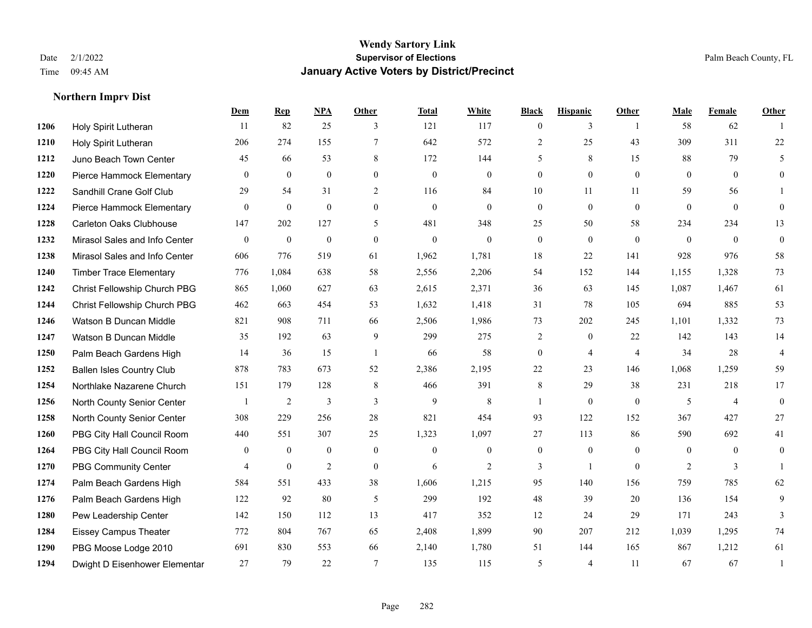|      |                                  | Dem            | <b>Rep</b>   | NPA            | <b>Other</b>     | <b>Total</b>     | <b>White</b> | <b>Black</b>     | <b>Hispanic</b>  | Other          | <b>Male</b>    | <b>Female</b>  | <b>Other</b>   |
|------|----------------------------------|----------------|--------------|----------------|------------------|------------------|--------------|------------------|------------------|----------------|----------------|----------------|----------------|
| 1206 | Holy Spirit Lutheran             | 11             | 82           | 25             | 3                | 121              | 117          | $\overline{0}$   | 3                | $\overline{1}$ | 58             | 62             |                |
| 1210 | Holy Spirit Lutheran             | 206            | 274          | 155            | $\overline{7}$   | 642              | 572          | $\overline{2}$   | 25               | 43             | 309            | 311            | $22\,$         |
| 1212 | Juno Beach Town Center           | 45             | 66           | 53             | 8                | 172              | 144          | 5                | 8                | 15             | 88             | 79             | 5              |
| 1220 | Pierce Hammock Elementary        | $\mathbf{0}$   | $\mathbf{0}$ | $\mathbf{0}$   | $\boldsymbol{0}$ | $\boldsymbol{0}$ | $\mathbf{0}$ | $\overline{0}$   | $\mathbf{0}$     | $\mathbf{0}$   | $\overline{0}$ | $\overline{0}$ | $\overline{0}$ |
| 1222 | Sandhill Crane Golf Club         | 29             | 54           | 31             | 2                | 116              | 84           | 10               | 11               | 11             | 59             | 56             |                |
| 1224 | Pierce Hammock Elementary        | $\mathbf{0}$   | $\mathbf{0}$ | $\overline{0}$ | $\mathbf{0}$     | $\mathbf{0}$     | $\mathbf{0}$ | $\boldsymbol{0}$ | $\boldsymbol{0}$ | $\mathbf{0}$   | $\overline{0}$ | $\overline{0}$ | $\theta$       |
| 1228 | Carleton Oaks Clubhouse          | 147            | 202          | 127            | 5                | 481              | 348          | 25               | 50               | 58             | 234            | 234            | 13             |
| 1232 | Mirasol Sales and Info Center    | $\theta$       | $\theta$     | $\mathbf{0}$   | $\Omega$         | $\theta$         | $\theta$     | $\Omega$         | $\theta$         | $\Omega$       | $\Omega$       | $\Omega$       | $\theta$       |
| 1238 | Mirasol Sales and Info Center    | 606            | 776          | 519            | 61               | 1,962            | 1,781        | 18               | 22               | 141            | 928            | 976            | 58             |
| 1240 | <b>Timber Trace Elementary</b>   | 776            | 1,084        | 638            | 58               | 2,556            | 2,206        | 54               | 152              | 144            | 1,155          | 1,328          | 73             |
| 1242 | Christ Fellowship Church PBG     | 865            | 1,060        | 627            | 63               | 2,615            | 2,371        | 36               | 63               | 145            | 1,087          | 1,467          | 61             |
| 1244 | Christ Fellowship Church PBG     | 462            | 663          | 454            | 53               | 1,632            | 1,418        | 31               | 78               | 105            | 694            | 885            | 53             |
| 1246 | Watson B Duncan Middle           | 821            | 908          | 711            | 66               | 2,506            | 1,986        | 73               | 202              | 245            | 1,101          | 1,332          | 73             |
| 1247 | Watson B Duncan Middle           | 35             | 192          | 63             | 9                | 299              | 275          | 2                | $\bf{0}$         | 22             | 142            | 143            | 14             |
| 1250 | Palm Beach Gardens High          | 14             | 36           | 15             | $\overline{1}$   | 66               | 58           | $\boldsymbol{0}$ | $\overline{4}$   | $\overline{4}$ | 34             | 28             | $\overline{4}$ |
| 1252 | <b>Ballen Isles Country Club</b> | 878            | 783          | 673            | 52               | 2,386            | 2,195        | 22               | 23               | 146            | 1,068          | 1,259          | 59             |
| 1254 | Northlake Nazarene Church        | 151            | 179          | 128            | $\,8\,$          | 466              | 391          | 8                | 29               | 38             | 231            | 218            | 17             |
| 1256 | North County Senior Center       | $\overline{1}$ | 2            | 3              | 3                | 9                | 8            | 1                | $\overline{0}$   | $\mathbf{0}$   | 5              | $\overline{4}$ | $\mathbf{0}$   |
| 1258 | North County Senior Center       | 308            | 229          | 256            | 28               | 821              | 454          | 93               | 122              | 152            | 367            | 427            | 27             |
| 1260 | PBG City Hall Council Room       | 440            | 551          | 307            | 25               | 1,323            | 1,097        | 27               | 113              | 86             | 590            | 692            | 41             |
| 1264 | PBG City Hall Council Room       | $\mathbf{0}$   | $\mathbf{0}$ | $\mathbf{0}$   | $\theta$         | $\mathbf{0}$     | $\theta$     | $\overline{0}$   | $\overline{0}$   | $\theta$       | $\theta$       | $\theta$       | $\theta$       |
| 1270 | <b>PBG Community Center</b>      | 4              | $\mathbf{0}$ | $\overline{2}$ | $\mathbf{0}$     | 6                | 2            | 3                | $\mathbf{1}$     | $\theta$       | 2              | 3              |                |
| 1274 | Palm Beach Gardens High          | 584            | 551          | 433            | 38               | 1,606            | 1,215        | 95               | 140              | 156            | 759            | 785            | 62             |
| 1276 | Palm Beach Gardens High          | 122            | 92           | 80             | 5                | 299              | 192          | 48               | 39               | 20             | 136            | 154            | 9              |
| 1280 | Pew Leadership Center            | 142            | 150          | 112            | 13               | 417              | 352          | 12               | 24               | 29             | 171            | 243            | 3              |
| 1284 | <b>Eissey Campus Theater</b>     | 772            | 804          | 767            | 65               | 2,408            | 1,899        | 90               | 207              | 212            | 1,039          | 1,295          | 74             |
| 1290 | PBG Moose Lodge 2010             | 691            | 830          | 553            | 66               | 2,140            | 1,780        | 51               | 144              | 165            | 867            | 1,212          | 61             |
| 1294 | Dwight D Eisenhower Elementar    | 27             | 79           | 22             | $\overline{7}$   | 135              | 115          | 5                | $\overline{4}$   | 11             | 67             | 67             |                |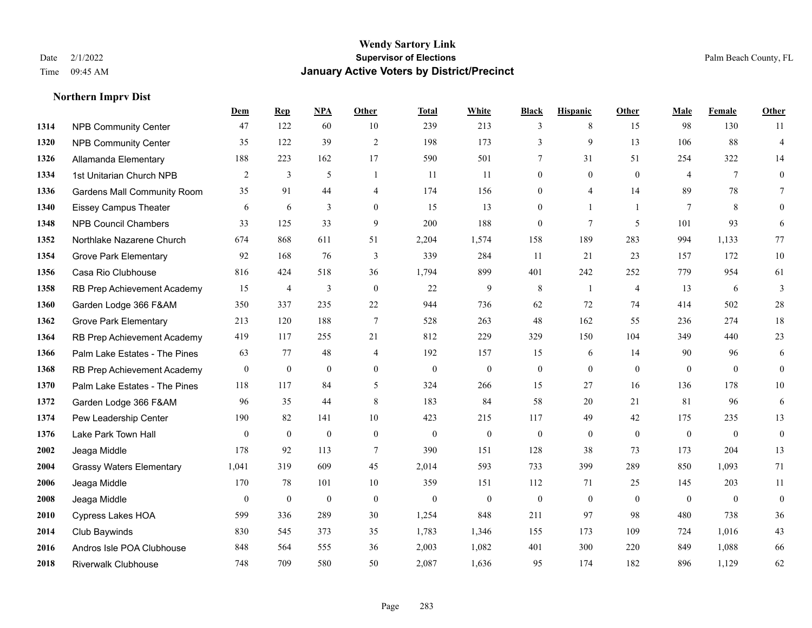|      |                                    | Dem          | <b>Rep</b>       | NPA              | <b>Other</b>   | <b>Total</b>     | <b>White</b>     | <b>Black</b>     | <b>Hispanic</b>  | <b>Other</b>   | <b>Male</b>    | Female       | <b>Other</b>     |
|------|------------------------------------|--------------|------------------|------------------|----------------|------------------|------------------|------------------|------------------|----------------|----------------|--------------|------------------|
| 1314 | <b>NPB Community Center</b>        | 47           | 122              | 60               | 10             | 239              | 213              | 3                | 8                | 15             | 98             | 130          | 11               |
| 1320 | <b>NPB Community Center</b>        | 35           | 122              | 39               | 2              | 198              | 173              | 3                | 9                | 13             | 106            | 88           | $\overline{4}$   |
| 1326 | Allamanda Elementary               | 188          | 223              | 162              | 17             | 590              | 501              | 7                | 31               | 51             | 254            | 322          | 14               |
| 1334 | 1st Unitarian Church NPB           | 2            | 3                | 5                | -1             | 11               | 11               | $\boldsymbol{0}$ | $\mathbf{0}$     | $\overline{0}$ | $\overline{4}$ | $\tau$       | $\mathbf{0}$     |
| 1336 | <b>Gardens Mall Community Room</b> | 35           | 91               | 44               | $\overline{4}$ | 174              | 156              | $\overline{0}$   | $\overline{4}$   | 14             | 89             | 78           | $\tau$           |
| 1340 | <b>Eissey Campus Theater</b>       | 6            | 6                | 3                | $\mathbf{0}$   | 15               | 13               | $\mathbf{0}$     | $\mathbf{1}$     | $\overline{1}$ | 7              | 8            | $\mathbf{0}$     |
| 1348 | <b>NPB Council Chambers</b>        | 33           | 125              | 33               | 9              | 200              | 188              | $\mathbf{0}$     | $7\phantom{.0}$  | 5              | 101            | 93           | 6                |
| 1352 | Northlake Nazarene Church          | 674          | 868              | 611              | 51             | 2,204            | 1,574            | 158              | 189              | 283            | 994            | 1,133        | 77               |
| 1354 | <b>Grove Park Elementary</b>       | 92           | 168              | 76               | 3              | 339              | 284              | 11               | 21               | 23             | 157            | 172          | $10\,$           |
| 1356 | Casa Rio Clubhouse                 | 816          | 424              | 518              | 36             | 1,794            | 899              | 401              | 242              | 252            | 779            | 954          | 61               |
| 1358 | RB Prep Achievement Academy        | 15           | $\overline{4}$   | 3                | $\theta$       | 22               | 9                | 8                | $\mathbf{1}$     | $\overline{4}$ | 13             | 6            | $\overline{3}$   |
| 1360 | Garden Lodge 366 F&AM              | 350          | 337              | 235              | 22             | 944              | 736              | 62               | 72               | 74             | 414            | 502          | $28\,$           |
| 1362 | <b>Grove Park Elementary</b>       | 213          | 120              | 188              | $\tau$         | 528              | 263              | 48               | 162              | 55             | 236            | 274          | 18               |
| 1364 | RB Prep Achievement Academy        | 419          | 117              | 255              | 21             | 812              | 229              | 329              | 150              | 104            | 349            | 440          | 23               |
| 1366 | Palm Lake Estates - The Pines      | 63           | 77               | 48               | $\overline{4}$ | 192              | 157              | 15               | 6                | 14             | 90             | 96           | 6                |
| 1368 | RB Prep Achievement Academy        | $\mathbf{0}$ | $\mathbf{0}$     | $\mathbf{0}$     | $\overline{0}$ | $\mathbf{0}$     | $\mathbf{0}$     | $\boldsymbol{0}$ | $\mathbf{0}$     | $\theta$       | $\mathbf{0}$   | $\mathbf{0}$ | $\mathbf{0}$     |
| 1370 | Palm Lake Estates - The Pines      | 118          | 117              | 84               | 5              | 324              | 266              | 15               | 27               | 16             | 136            | 178          | $10\,$           |
| 1372 | Garden Lodge 366 F&AM              | 96           | 35               | 44               | 8              | 183              | 84               | 58               | 20               | 21             | 81             | 96           | 6                |
| 1374 | Pew Leadership Center              | 190          | 82               | 141              | 10             | 423              | 215              | 117              | 49               | 42             | 175            | 235          | 13               |
| 1376 | Lake Park Town Hall                | $\mathbf{0}$ | $\boldsymbol{0}$ | $\mathbf{0}$     | $\mathbf{0}$   | $\boldsymbol{0}$ | $\boldsymbol{0}$ | $\boldsymbol{0}$ | $\boldsymbol{0}$ | $\mathbf{0}$   | $\mathbf{0}$   | $\mathbf{0}$ | $\boldsymbol{0}$ |
| 2002 | Jeaga Middle                       | 178          | 92               | 113              | 7              | 390              | 151              | 128              | 38               | 73             | 173            | 204          | 13               |
| 2004 | <b>Grassy Waters Elementary</b>    | 1,041        | 319              | 609              | 45             | 2,014            | 593              | 733              | 399              | 289            | 850            | 1,093        | 71               |
| 2006 | Jeaga Middle                       | 170          | 78               | 101              | 10             | 359              | 151              | 112              | 71               | 25             | 145            | 203          | 11               |
| 2008 | Jeaga Middle                       | $\mathbf{0}$ | $\mathbf{0}$     | $\boldsymbol{0}$ | $\mathbf{0}$   | $\mathbf{0}$     | $\boldsymbol{0}$ | $\bf{0}$         | $\overline{0}$   | $\theta$       | $\mathbf{0}$   | $\mathbf{0}$ | $\boldsymbol{0}$ |
| 2010 | Cypress Lakes HOA                  | 599          | 336              | 289              | 30             | 1,254            | 848              | 211              | 97               | 98             | 480            | 738          | 36               |
| 2014 | Club Baywinds                      | 830          | 545              | 373              | 35             | 1,783            | 1,346            | 155              | 173              | 109            | 724            | 1,016        | 43               |
| 2016 | Andros Isle POA Clubhouse          | 848          | 564              | 555              | 36             | 2,003            | 1,082            | 401              | 300              | 220            | 849            | 1,088        | 66               |
| 2018 | <b>Riverwalk Clubhouse</b>         | 748          | 709              | 580              | 50             | 2,087            | 1,636            | 95               | 174              | 182            | 896            | 1,129        | 62               |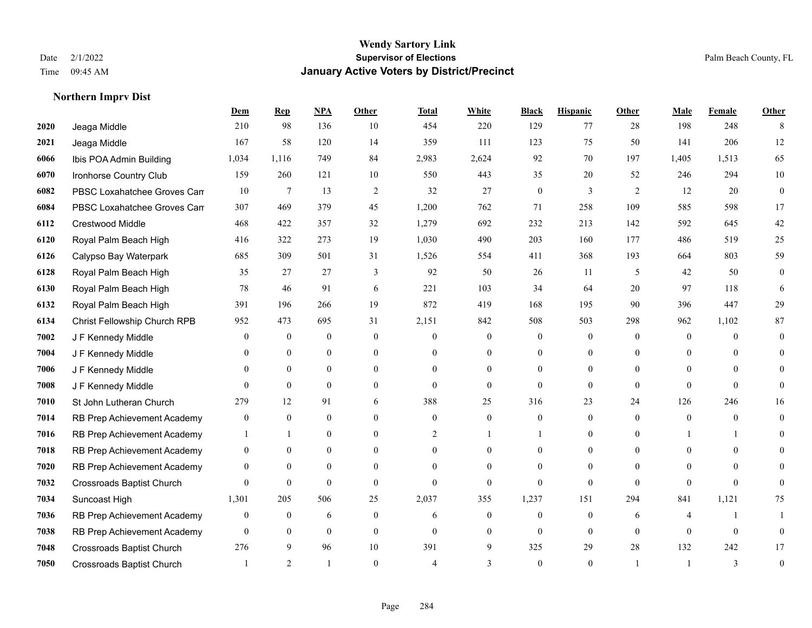|      |                                  | <b>Dem</b>     | <b>Rep</b>       | NPA              | <b>Other</b>     | <b>Total</b> | <b>White</b>     | <b>Black</b>     | <b>Hispanic</b>  | <b>Other</b> | <b>Male</b>      | Female         | <b>Other</b>     |
|------|----------------------------------|----------------|------------------|------------------|------------------|--------------|------------------|------------------|------------------|--------------|------------------|----------------|------------------|
| 2020 | Jeaga Middle                     | 210            | 98               | 136              | 10               | 454          | 220              | 129              | 77               | 28           | 198              | 248            | 8                |
| 2021 | Jeaga Middle                     | 167            | 58               | 120              | 14               | 359          | 111              | 123              | 75               | 50           | 141              | 206            | 12               |
| 6066 | Ibis POA Admin Building          | 1,034          | 1,116            | 749              | 84               | 2,983        | 2,624            | 92               | 70               | 197          | 1,405            | 1,513          | 65               |
| 6070 | Ironhorse Country Club           | 159            | 260              | 121              | 10               | 550          | 443              | 35               | 20               | 52           | 246              | 294            | 10               |
| 6082 | PBSC Loxahatchee Groves Can      | 10             | $\tau$           | 13               | $\overline{2}$   | 32           | 27               | $\mathbf{0}$     | 3                | 2            | 12               | 20             | $\overline{0}$   |
| 6084 | PBSC Loxahatchee Groves Can      | 307            | 469              | 379              | 45               | 1,200        | 762              | 71               | 258              | 109          | 585              | 598            | 17               |
| 6112 | Crestwood Middle                 | 468            | 422              | 357              | 32               | 1,279        | 692              | 232              | 213              | 142          | 592              | 645            | 42               |
| 6120 | Royal Palm Beach High            | 416            | 322              | 273              | 19               | 1,030        | 490              | 203              | 160              | 177          | 486              | 519            | 25               |
| 6126 | Calypso Bay Waterpark            | 685            | 309              | 501              | 31               | 1,526        | 554              | 411              | 368              | 193          | 664              | 803            | 59               |
| 6128 | Royal Palm Beach High            | 35             | 27               | 27               | 3                | 92           | 50               | 26               | 11               | 5            | 42               | 50             | $\boldsymbol{0}$ |
| 6130 | Royal Palm Beach High            | 78             | 46               | 91               | 6                | 221          | 103              | 34               | 64               | 20           | 97               | 118            | 6                |
| 6132 | Royal Palm Beach High            | 391            | 196              | 266              | 19               | 872          | 419              | 168              | 195              | 90           | 396              | 447            | 29               |
| 6134 | Christ Fellowship Church RPB     | 952            | 473              | 695              | 31               | 2,151        | 842              | 508              | 503              | 298          | 962              | 1,102          | $87\,$           |
| 7002 | J F Kennedy Middle               | 0              | $\boldsymbol{0}$ | $\boldsymbol{0}$ | $\boldsymbol{0}$ | $\mathbf{0}$ | $\boldsymbol{0}$ | $\boldsymbol{0}$ | $\boldsymbol{0}$ | $\mathbf{0}$ | $\boldsymbol{0}$ | $\overline{0}$ | $\mathbf{0}$     |
| 7004 | J F Kennedy Middle               | 0              | $\mathbf{0}$     | $\overline{0}$   | $\theta$         | $\Omega$     | $\overline{0}$   | $\overline{0}$   | $\overline{0}$   | $\Omega$     | $\theta$         | $\Omega$       | $\theta$         |
| 7006 | J F Kennedy Middle               | 0              | $\theta$         | $\overline{0}$   | $\theta$         | $\Omega$     | $\overline{0}$   | $\Omega$         | $\theta$         | $\Omega$     | $\Omega$         | $\Omega$       | 0                |
| 7008 | J F Kennedy Middle               | $\overline{0}$ | $\overline{0}$   | $\mathbf{0}$     | $\overline{0}$   | $\mathbf{0}$ | $\overline{0}$   | $\mathbf{0}$     | $\mathbf{0}$     | $\mathbf{0}$ | $\mathbf{0}$     | $\theta$       | $\Omega$         |
| 7010 | St John Lutheran Church          | 279            | 12               | 91               | 6                | 388          | 25               | 316              | 23               | 24           | 126              | 246            | 16               |
| 7014 | RB Prep Achievement Academy      | 0              | $\mathbf{0}$     | $\overline{0}$   | $\theta$         | $\theta$     | $\boldsymbol{0}$ | $\overline{0}$   | $\mathbf{0}$     | $\theta$     | $\mathbf{0}$     | $\mathbf{0}$   | $\theta$         |
| 7016 | RB Prep Achievement Academy      | 1              | 1                | $\mathbf{0}$     | $\overline{0}$   | 2            |                  |                  | $\mathbf{0}$     | $\Omega$     |                  |                | 0                |
| 7018 | RB Prep Achievement Academy      | 0              | $\theta$         | $\overline{0}$   | $\theta$         | $\theta$     | $\overline{0}$   | $\theta$         | $\theta$         | $\theta$     | $\theta$         | $\theta$       | $\Omega$         |
| 7020 | RB Prep Achievement Academy      | $\overline{0}$ | $\mathbf{0}$     | $\overline{0}$   | $\theta$         |              | $\theta$         | $\theta$         | $\theta$         | $\Omega$     | $\theta$         | $\Omega$       | $\Omega$         |
| 7032 | Crossroads Baptist Church        | 0              | $\boldsymbol{0}$ | $\mathbf{0}$     | $\theta$         | $\theta$     | $\overline{0}$   | $\theta$         | $\mathbf{0}$     | $\theta$     | $\theta$         | $\theta$       | $\overline{0}$   |
| 7034 | Suncoast High                    | 1,301          | 205              | 506              | 25               | 2,037        | 355              | 1,237            | 151              | 294          | 841              | 1,121          | 75               |
| 7036 | RB Prep Achievement Academy      | $\overline{0}$ | $\mathbf{0}$     | 6                | $\Omega$         | 6            | $\overline{0}$   | $\mathbf{0}$     | $\theta$         | 6            | 4                | $\mathbf{1}$   |                  |
| 7038 | RB Prep Achievement Academy      | 0              | $\overline{0}$   | $\mathbf{0}$     | $\theta$         | $\Omega$     | $\overline{0}$   | $\theta$         | $\theta$         | $\Omega$     | $\theta$         | $\theta$       | $\mathbf{0}$     |
| 7048 | Crossroads Baptist Church        | 276            | 9                | 96               | 10               | 391          | 9                | 325              | 29               | 28           | 132              | 242            | 17               |
| 7050 | <b>Crossroads Baptist Church</b> |                | 2                |                  | $\Omega$         |              | 3                | $\theta$         | $\Omega$         |              |                  | $\mathbf{3}$   | $\mathbf{0}$     |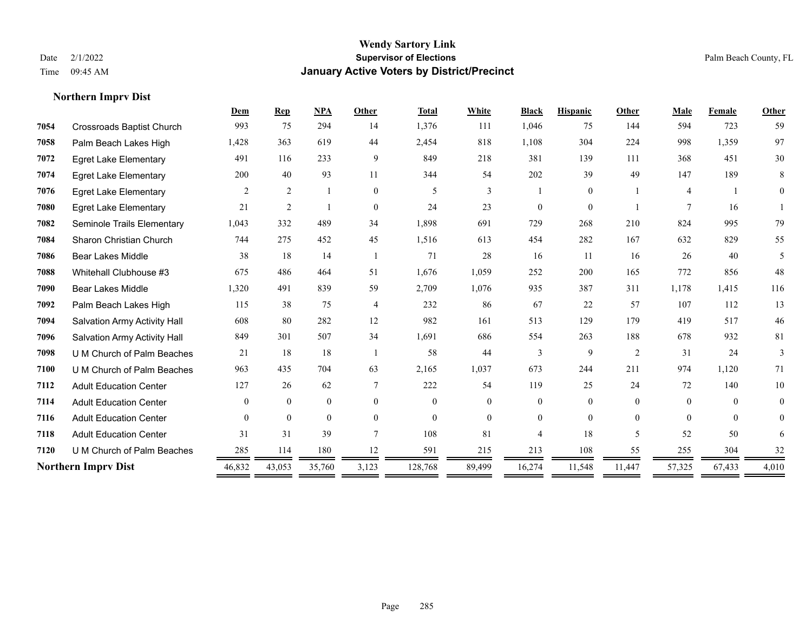**Northern Imprv Dist**

#### **Wendy Sartory Link** Date 2/1/2022 **Supervisor of Elections** Palm Beach County, FL Time 09:45 AM **January Active Voters by District/Precinct**

# **Dem Rep NPA Other Total White Black Hispanic Other Male Female Other** Crossroads Baptist Church 993 75 294 14 1,376 111 1,046 75 144 594 723 59 Palm Beach Lakes High 1,428 363 619 44 2,454 818 1,108 304 224 998 1,359 97 Egret Lake Elementary 491 116 233 9 849 218 381 139 111 368 451 30 Egret Lake Elementary 200 40 93 11 344 54 202 39 49 147 189 8 Egret Lake Elementary 2 2 1 0 5 3 1 0 1 4 1 0 Egret Lake Elementary 21 2 1 0 24 23 0 0 1 7 16 1 Seminole Trails Elementary 1,043 332 489 34 1,898 691 729 268 210 824 995 79 Sharon Christian Church 744 275 452 45 1,516 613 454 282 167 632 829 55 Bear Lakes Middle 38 18 14 1 71 28 16 11 16 26 40 5 Whitehall Clubhouse #3 675 486 464 51 1,676 1,059 252 200 165 772 856 48 Bear Lakes Middle 1,320 491 839 59 2,709 1,076 935 387 311 1,178 1,415 116 Palm Beach Lakes High 115 38 75 4 232 86 67 22 57 107 112 13 Salvation Army Activity Hall 608 80 282 12 982 161 513 129 179 419 517 46 Salvation Army Activity Hall 849 301 507 34 1,691 686 554 263 188 678 932 81 U M Church of Palm Beaches 21 18 18 1 58 44 3 9 2 31 24 3 U M Church of Palm Beaches 963 435 704 63 2,165 1,037 673 244 211 974 1,120 71 Adult Education Center 127 26 62 7 222 54 119 25 24 72 140 10 Adult Education Center 0 0 0 0 0 0 0 0 0 0 0 0 Adult Education Center 0 0 0 0 0 0 0 0 0 0 0 0 Adult Education Center 31 31 39 7 108 81 4 18 5 52 50 6 **7120** U M Church of Palm Beaches  $\frac{285}{\sqrt{36}} = \frac{114}{\sqrt{36}} = \frac{180}{\sqrt{36}} = \frac{12}{\sqrt{36}} = \frac{591}{\sqrt{36}} = \frac{215}{\sqrt{36}} = \frac{213}{\sqrt{36}} = \frac{108}{\sqrt{36}} = \frac{55}{\sqrt{36}} = \frac{255}{\sqrt{36}} = \frac{304}{\sqrt{36}} = \frac{325}{\sqrt{36}} = \frac{125}{\sqrt{36}} = \frac{215$ **Northern Imprv Dist 46,832** 43,053 35,760 3,123 128,768 89,499 16,274 11,548 11,447 57,325 67,433 4,010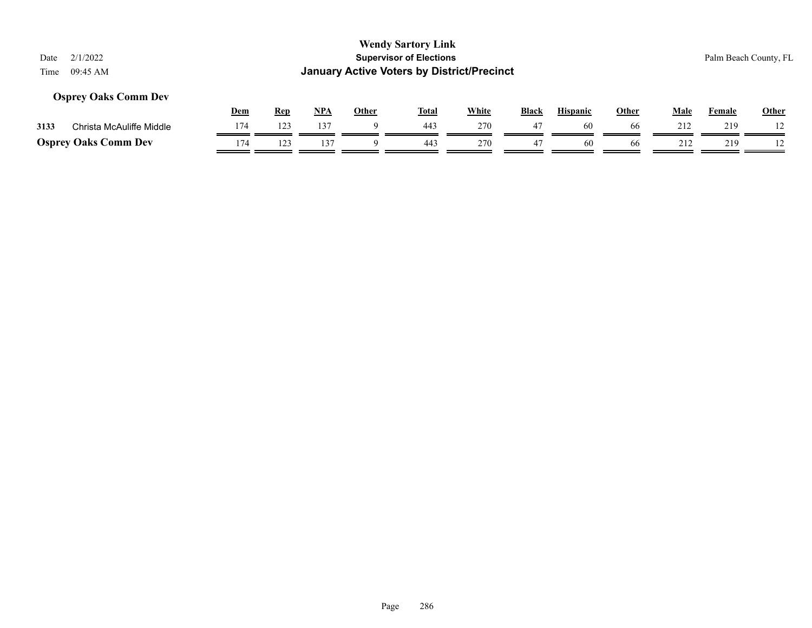## **Osprey Oaks Comm Dev**

|      |                             | Dem | <b>Rep</b> | <b>NPA</b> | Other | Tota. | White | <b>Black</b> | <b>Hispanic</b> | Other | Male | Female | <b>Other</b> |
|------|-----------------------------|-----|------------|------------|-------|-------|-------|--------------|-----------------|-------|------|--------|--------------|
| 3133 | Christa McAuliffe Middle    |     | 123        | 137        |       | 443   | 270   | 4.           |                 | 66    |      | 219    |              |
|      | <b>Osprey Oaks Comm Dev</b> | 174 |            |            |       | 443   | 270   | 4            | 60              | 66    |      | 219    |              |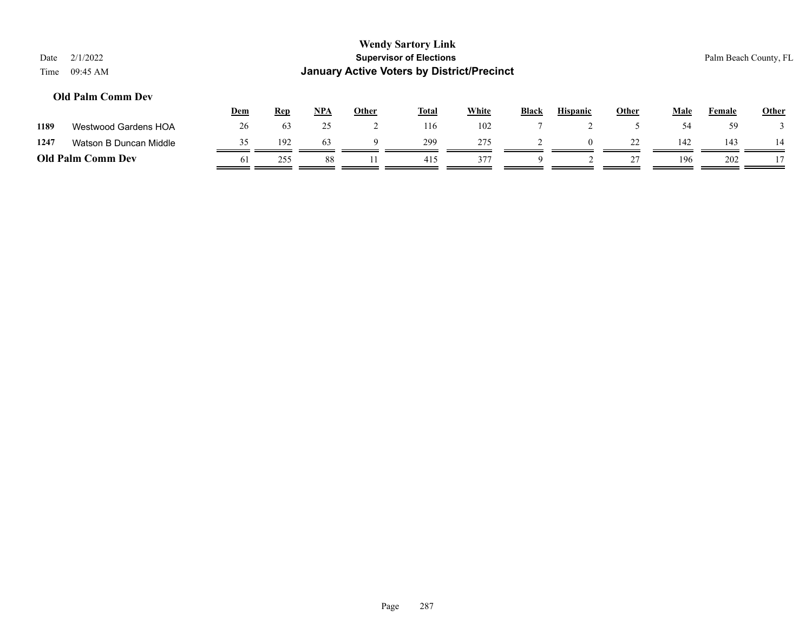| Date<br>Time | 2/1/2022<br>09:45 AM     |     |            |            |              | <b>Wendy Sartory Link</b><br><b>Supervisor of Elections</b><br><b>January Active Voters by District/Precinct</b> |              |              |                 |              |             |        | Palm Beach County, FL |
|--------------|--------------------------|-----|------------|------------|--------------|------------------------------------------------------------------------------------------------------------------|--------------|--------------|-----------------|--------------|-------------|--------|-----------------------|
|              | <b>Old Palm Comm Dev</b> | Dem | <b>Rep</b> | <b>NPA</b> | <b>Other</b> | <b>Total</b>                                                                                                     | <b>White</b> | <b>Black</b> | <b>Hispanic</b> | <b>Other</b> | <u>Male</u> | Female | <b>Other</b>          |
| 1189         | Westwood Gardens HOA     | 26  | 63         | 25         | ∠            | 116                                                                                                              | 102          |              |                 |              | 54          | 59     |                       |
| 1247         | Watson B Duncan Middle   | 35  | 192        | 63         | Q            | 299                                                                                                              | 275          |              | $\theta$        | 22           | 142         | 143    | 14                    |
|              | <b>Old Palm Comm Dev</b> | 61  | 255        | 88         |              | 415                                                                                                              | 377          | 9            |                 | 27           | 196         | 202    |                       |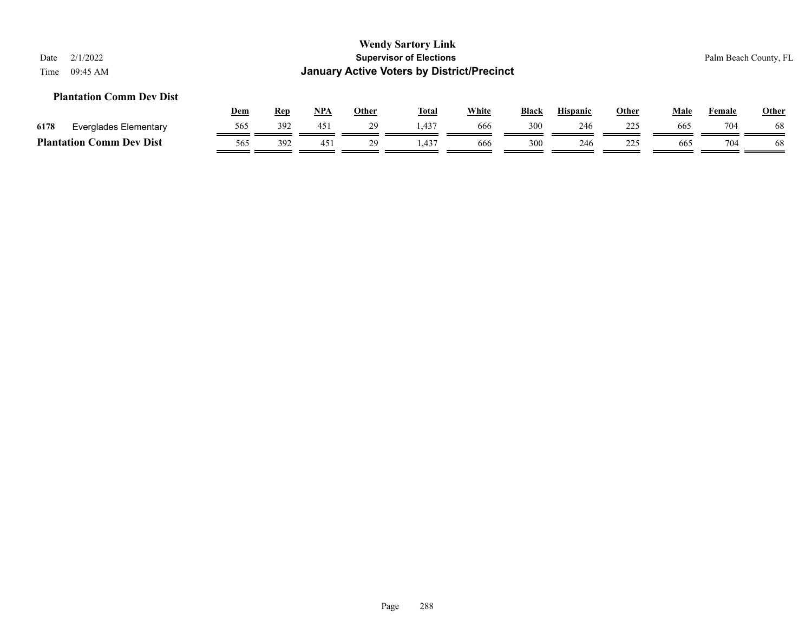## **Plantation Comm Dev Dist**

|      |                                    | <u>Dem</u> | Rep | <b>NPA</b> | Other | <b>Total</b> | White | <b>Black</b> | <b>Hispanic</b> | Other      | Male | Female | <b>Other</b> |
|------|------------------------------------|------------|-----|------------|-------|--------------|-------|--------------|-----------------|------------|------|--------|--------------|
| 6178 | Everglades Elementary              | 565        | 392 | 451        |       | $.43-$       | 666   | 300          | 246             | つつら        | 665  | 704    | 68           |
|      | <b>Comm Dev Dist</b><br>Plantation | 565        | 392 | 45.        |       | .437         | 666   | 300          | 246             | 225<br>22. | 665  | 704    | 68           |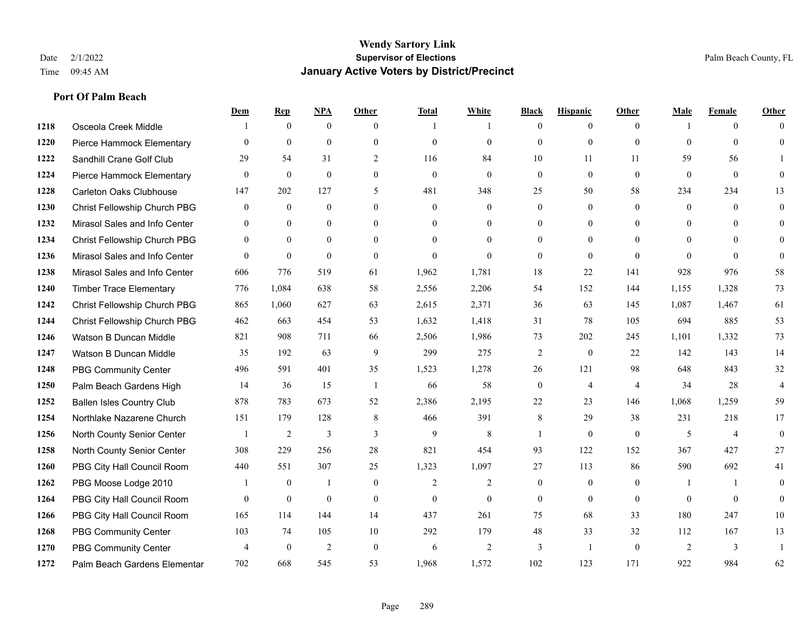|      |                                  | Dem            | <b>Rep</b>       | NPA              | <b>Other</b>   | <b>Total</b>   | <b>White</b>   | <b>Black</b>     | <b>Hispanic</b> | <b>Other</b>   | <b>Male</b>    | <b>Female</b>  | <b>Other</b>   |
|------|----------------------------------|----------------|------------------|------------------|----------------|----------------|----------------|------------------|-----------------|----------------|----------------|----------------|----------------|
| 1218 | Osceola Creek Middle             |                | $\mathbf{0}$     | $\boldsymbol{0}$ | $\theta$       |                | 1              | $\overline{0}$   | $\overline{0}$  | $\theta$       |                | $\overline{0}$ | $\Omega$       |
| 1220 | Pierce Hammock Elementary        | $\theta$       | $\mathbf{0}$     | $\mathbf{0}$     | $\theta$       | $\theta$       | $\overline{0}$ | $\mathbf{0}$     | $\mathbf{0}$    | $\theta$       | $\theta$       | $\theta$       | $\theta$       |
| 1222 | Sandhill Crane Golf Club         | 29             | 54               | 31               | 2              | 116            | 84             | 10               | 11              | 11             | 59             | 56             |                |
| 1224 | Pierce Hammock Elementary        | $\mathbf{0}$   | $\theta$         | $\theta$         | $\overline{0}$ | $\theta$       | $\Omega$       | $\mathbf{0}$     | $\theta$        | $\theta$       | $\theta$       | $\mathbf{0}$   | $\Omega$       |
| 1228 | <b>Carleton Oaks Clubhouse</b>   | 147            | 202              | 127              | 5              | 481            | 348            | 25               | 50              | 58             | 234            | 234            | 13             |
| 1230 | Christ Fellowship Church PBG     | $\bf{0}$       | $\boldsymbol{0}$ | $\boldsymbol{0}$ | $\theta$       | $\mathbf{0}$   | $\mathbf{0}$   | $\mathbf{0}$     | $\mathbf{0}$    | $\theta$       | $\overline{0}$ | $\theta$       | $\mathbf{0}$   |
| 1232 | Mirasol Sales and Info Center    | $\mathbf{0}$   | $\mathbf{0}$     | $\mathbf{0}$     | $\theta$       | $\theta$       | $\overline{0}$ | $\mathbf{0}$     | $\mathbf{0}$    | $\theta$       | $\theta$       | $\theta$       | $\Omega$       |
| 1234 | Christ Fellowship Church PBG     | $\theta$       | $\theta$         | $\theta$         | $\Omega$       | $\Omega$       | $\overline{0}$ | $\theta$         | $\theta$        | $\Omega$       | $\Omega$       | $\Omega$       | $\Omega$       |
| 1236 | Mirasol Sales and Info Center    | $\Omega$       | $\mathbf{0}$     | $\mathbf{0}$     | $\theta$       | $\theta$       | $\theta$       | $\theta$         | $\theta$        | $\theta$       | $\Omega$       | $\Omega$       | $\Omega$       |
| 1238 | Mirasol Sales and Info Center    | 606            | 776              | 519              | 61             | 1,962          | 1,781          | 18               | 22              | 141            | 928            | 976            | 58             |
| 1240 | <b>Timber Trace Elementary</b>   | 776            | 1,084            | 638              | 58             | 2,556          | 2,206          | 54               | 152             | 144            | 1,155          | 1,328          | 73             |
| 1242 | Christ Fellowship Church PBG     | 865            | 1,060            | 627              | 63             | 2,615          | 2,371          | 36               | 63              | 145            | 1,087          | 1,467          | 61             |
| 1244 | Christ Fellowship Church PBG     | 462            | 663              | 454              | 53             | 1,632          | 1,418          | 31               | 78              | 105            | 694            | 885            | 53             |
| 1246 | Watson B Duncan Middle           | 821            | 908              | 711              | 66             | 2,506          | 1,986          | 73               | 202             | 245            | 1,101          | 1,332          | 73             |
| 1247 | Watson B Duncan Middle           | 35             | 192              | 63               | 9              | 299            | 275            | $\sqrt{2}$       | $\mathbf{0}$    | 22             | 142            | 143            | 14             |
| 1248 | <b>PBG Community Center</b>      | 496            | 591              | 401              | 35             | 1,523          | 1,278          | 26               | 121             | 98             | 648            | 843            | 32             |
| 1250 | Palm Beach Gardens High          | 14             | 36               | 15               | -1             | 66             | 58             | $\boldsymbol{0}$ | $\overline{4}$  | $\overline{4}$ | 34             | 28             | $\overline{4}$ |
| 1252 | <b>Ballen Isles Country Club</b> | 878            | 783              | 673              | 52             | 2,386          | 2,195          | 22               | 23              | 146            | 1,068          | 1,259          | 59             |
| 1254 | Northlake Nazarene Church        | 151            | 179              | 128              | 8              | 466            | 391            | 8                | 29              | 38             | 231            | 218            | 17             |
| 1256 | North County Senior Center       |                | $\overline{2}$   | $\mathfrak{Z}$   | 3              | 9              | 8              | $\mathbf{1}$     | $\mathbf{0}$    | $\overline{0}$ | 5              | $\overline{4}$ | $\mathbf{0}$   |
| 1258 | North County Senior Center       | 308            | 229              | 256              | 28             | 821            | 454            | 93               | 122             | 152            | 367            | 427            | 27             |
| 1260 | PBG City Hall Council Room       | 440            | 551              | 307              | 25             | 1,323          | 1,097          | 27               | 113             | 86             | 590            | 692            | 41             |
| 1262 | PBG Moose Lodge 2010             |                | $\boldsymbol{0}$ | 1                | $\mathbf{0}$   | $\overline{2}$ | 2              | $\mathbf{0}$     | $\mathbf{0}$    | $\mathbf{0}$   | -1             | $\mathbf{1}$   | $\mathbf{0}$   |
| 1264 | PBG City Hall Council Room       | $\Omega$       | $\mathbf{0}$     | $\mathbf{0}$     | $\theta$       | $\mathbf{0}$   | $\overline{0}$ | $\mathbf{0}$     | $\theta$        | $\theta$       | $\theta$       | $\theta$       | $\theta$       |
| 1266 | PBG City Hall Council Room       | 165            | 114              | 144              | 14             | 437            | 261            | 75               | 68              | 33             | 180            | 247            | 10             |
| 1268 | <b>PBG Community Center</b>      | 103            | 74               | 105              | 10             | 292            | 179            | 48               | 33              | 32             | 112            | 167            | 13             |
| 1270 | <b>PBG Community Center</b>      | $\overline{4}$ | $\theta$         | $\overline{c}$   | $\theta$       | 6              | $\overline{c}$ | 3                | $\mathbf{1}$    | $\theta$       | 2              | 3              |                |
| 1272 | Palm Beach Gardens Elementar     | 702            | 668              | 545              | 53             | 1,968          | 1,572          | 102              | 123             | 171            | 922            | 984            | 62             |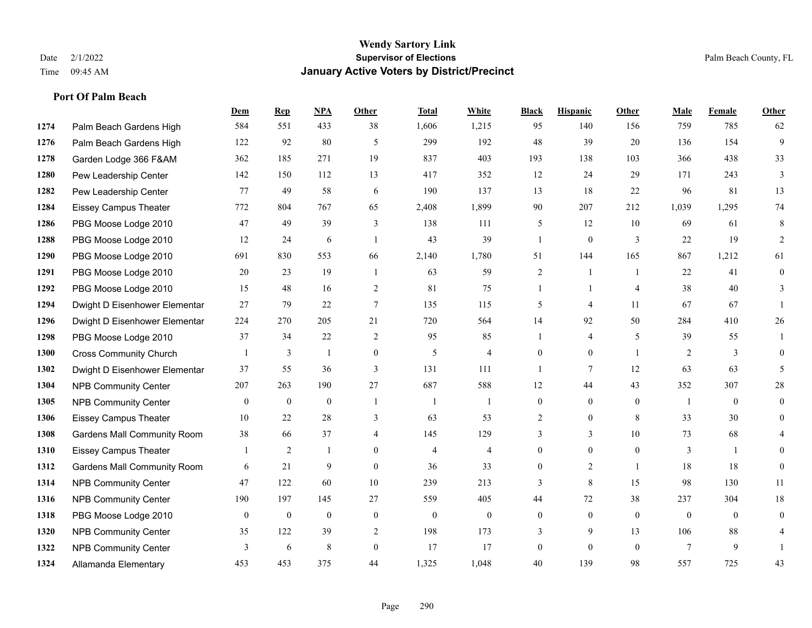|      |                                    | Dem          | <b>Rep</b>       | NPA              | <b>Other</b>    | <b>Total</b>   | <b>White</b>     | <b>Black</b>     | <b>Hispanic</b> | <b>Other</b>   | <b>Male</b>  | <b>Female</b>  | <b>Other</b>     |
|------|------------------------------------|--------------|------------------|------------------|-----------------|----------------|------------------|------------------|-----------------|----------------|--------------|----------------|------------------|
| 1274 | Palm Beach Gardens High            | 584          | 551              | 433              | 38              | 1,606          | 1,215            | 95               | 140             | 156            | 759          | 785            | 62               |
| 1276 | Palm Beach Gardens High            | 122          | 92               | 80               | 5               | 299            | 192              | 48               | 39              | 20             | 136          | 154            | 9                |
| 1278 | Garden Lodge 366 F&AM              | 362          | 185              | 271              | 19              | 837            | 403              | 193              | 138             | 103            | 366          | 438            | 33               |
| 1280 | Pew Leadership Center              | 142          | 150              | 112              | 13              | 417            | 352              | 12               | 24              | 29             | 171          | 243            | 3                |
| 1282 | Pew Leadership Center              | 77           | 49               | 58               | 6               | 190            | 137              | 13               | 18              | 22             | 96           | 81             | 13               |
| 1284 | <b>Eissey Campus Theater</b>       | 772          | 804              | 767              | 65              | 2,408          | 1,899            | 90               | 207             | 212            | 1,039        | 1,295          | 74               |
| 1286 | PBG Moose Lodge 2010               | 47           | 49               | 39               | 3               | 138            | 111              | 5                | 12              | 10             | 69           | 61             | 8                |
| 1288 | PBG Moose Lodge 2010               | 12           | 24               | 6                | $\overline{1}$  | 43             | 39               | $\mathbf{1}$     | $\mathbf{0}$    | 3              | 22           | 19             | $\overline{2}$   |
| 1290 | PBG Moose Lodge 2010               | 691          | 830              | 553              | 66              | 2,140          | 1,780            | 51               | 144             | 165            | 867          | 1,212          | 61               |
| 1291 | PBG Moose Lodge 2010               | 20           | 23               | 19               | -1              | 63             | 59               | $\overline{2}$   | 1               | $\overline{1}$ | 22           | 41             | $\boldsymbol{0}$ |
| 1292 | PBG Moose Lodge 2010               | 15           | 48               | 16               | 2               | 81             | 75               | $\mathbf{1}$     | $\mathbf{1}$    | $\overline{4}$ | 38           | 40             | 3                |
| 1294 | Dwight D Eisenhower Elementar      | 27           | 79               | 22               | $7\phantom{.0}$ | 135            | 115              | 5                | $\overline{4}$  | 11             | 67           | 67             |                  |
| 1296 | Dwight D Eisenhower Elementar      | 224          | 270              | 205              | 21              | 720            | 564              | 14               | 92              | 50             | 284          | 410            | 26               |
| 1298 | PBG Moose Lodge 2010               | 37           | 34               | 22               | 2               | 95             | 85               | 1                | 4               | 5              | 39           | 55             | 1                |
| 1300 | <b>Cross Community Church</b>      |              | 3                | $\mathbf{1}$     | $\overline{0}$  | 5              | $\overline{4}$   | $\mathbf{0}$     | $\mathbf{0}$    | $\overline{1}$ | 2            | 3              | $\theta$         |
| 1302 | Dwight D Eisenhower Elementar      | 37           | 55               | 36               | 3               | 131            | 111              | $\mathbf{1}$     | 7               | 12             | 63           | 63             | 5                |
| 1304 | <b>NPB Community Center</b>        | 207          | 263              | 190              | 27              | 687            | 588              | 12               | 44              | 43             | 352          | 307            | $28\,$           |
| 1305 | <b>NPB Community Center</b>        | $\mathbf{0}$ | $\mathbf{0}$     | $\mathbf{0}$     | $\overline{1}$  | $\overline{1}$ | 1                | $\mathbf{0}$     | $\mathbf{0}$    | $\theta$       | -1           | $\theta$       | $\mathbf{0}$     |
| 1306 | <b>Eissey Campus Theater</b>       | 10           | 22               | 28               | 3               | 63             | 53               | $\overline{2}$   | $\mathbf{0}$    | 8              | 33           | 30             | $\overline{0}$   |
| 1308 | <b>Gardens Mall Community Room</b> | 38           | 66               | 37               | 4               | 145            | 129              | 3                | 3               | 10             | 73           | 68             | 4                |
| 1310 | <b>Eissey Campus Theater</b>       |              | 2                | -1               | $\theta$        | $\overline{4}$ | $\overline{4}$   | $\overline{0}$   | $\mathbf{0}$    | $\theta$       | 3            | $\mathbf{1}$   | $\theta$         |
| 1312 | <b>Gardens Mall Community Room</b> | 6            | 21               | 9                | $\overline{0}$  | 36             | 33               | 0                | $\overline{c}$  | $\overline{1}$ | 18           | 18             | $\mathbf{0}$     |
| 1314 | <b>NPB Community Center</b>        | 47           | 122              | 60               | 10              | 239            | 213              | 3                | 8               | 15             | 98           | 130            | 11               |
| 1316 | <b>NPB Community Center</b>        | 190          | 197              | 145              | 27              | 559            | 405              | 44               | 72              | 38             | 237          | 304            | 18               |
| 1318 | PBG Moose Lodge 2010               | $\mathbf{0}$ | $\boldsymbol{0}$ | $\boldsymbol{0}$ | $\mathbf{0}$    | $\theta$       | $\boldsymbol{0}$ | $\boldsymbol{0}$ | $\mathbf{0}$    | $\mathbf{0}$   | $\mathbf{0}$ | $\overline{0}$ | $\mathbf{0}$     |
| 1320 | <b>NPB Community Center</b>        | 35           | 122              | 39               | 2               | 198            | 173              | 3                | 9               | 13             | 106          | 88             | 4                |
| 1322 | <b>NPB Community Center</b>        | 3            | 6                | 8                | $\theta$        | 17             | 17               | $\mathbf{0}$     | $\theta$        | $\theta$       | $\tau$       | 9              |                  |
| 1324 | Allamanda Elementary               | 453          | 453              | 375              | 44              | 1,325          | 1,048            | 40               | 139             | 98             | 557          | 725            | 43               |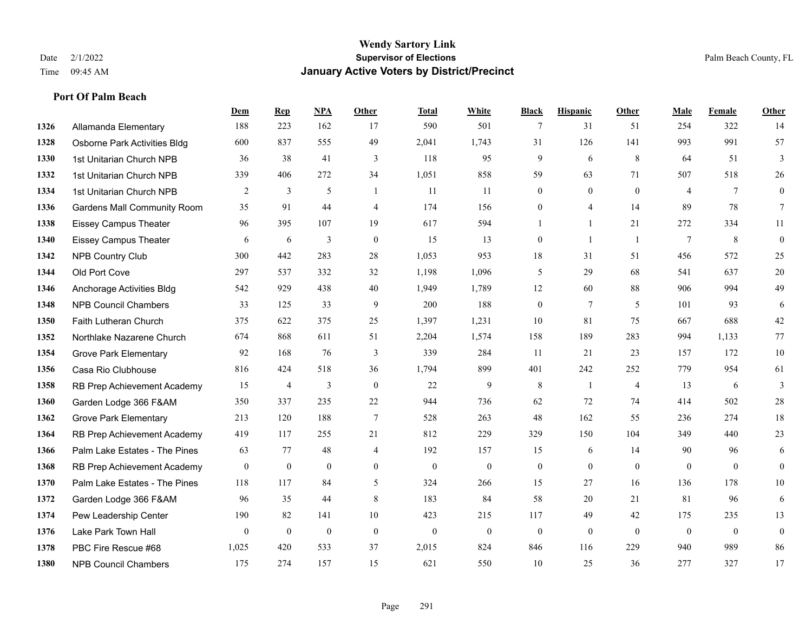### **Wendy Sartory Link** Date 2/1/2022 **Supervisor of Elections** Palm Beach County, FL Time 09:45 AM **January Active Voters by District/Precinct**

|      |                                     | Dem            | <b>Rep</b>     | <b>NPA</b>   | <b>Other</b>   | <b>Total</b> | White            | <b>Black</b>     | <b>Hispanic</b> | Other          | <b>Male</b>    | Female         | Other          |
|------|-------------------------------------|----------------|----------------|--------------|----------------|--------------|------------------|------------------|-----------------|----------------|----------------|----------------|----------------|
| 1326 | Allamanda Elementary                | 188            | 223            | 162          | 17             | 590          | 501              | 7                | 31              | 51             | 254            | 322            | 14             |
| 1328 | <b>Osborne Park Activities Bldg</b> | 600            | 837            | 555          | 49             | 2,041        | 1,743            | 31               | 126             | 141            | 993            | 991            | 57             |
| 1330 | 1st Unitarian Church NPB            | 36             | 38             | 41           | 3              | 118          | 95               | 9                | 6               | 8              | 64             | 51             | 3              |
| 1332 | 1st Unitarian Church NPB            | 339            | 406            | 272          | 34             | 1,051        | 858              | 59               | 63              | 71             | 507            | 518            | 26             |
| 1334 | 1st Unitarian Church NPB            | 2              | 3              | 5            | $\mathbf{1}$   | 11           | 11               | $\overline{0}$   | $\mathbf{0}$    | $\theta$       | $\overline{4}$ | $\overline{7}$ | $\overline{0}$ |
| 1336 | <b>Gardens Mall Community Room</b>  | 35             | 91             | 44           | $\overline{4}$ | 174          | 156              | $\boldsymbol{0}$ | $\overline{4}$  | 14             | 89             | 78             | $\tau$         |
| 1338 | <b>Eissey Campus Theater</b>        | 96             | 395            | 107          | 19             | 617          | 594              | 1                | $\mathbf{1}$    | 21             | 272            | 334            | 11             |
| 1340 | <b>Eissey Campus Theater</b>        | 6              | 6              | 3            | $\mathbf{0}$   | 15           | 13               | $\overline{0}$   | $\mathbf{1}$    | $\overline{1}$ | $\tau$         | 8              | $\mathbf{0}$   |
| 1342 | <b>NPB Country Club</b>             | 300            | 442            | 283          | 28             | 1,053        | 953              | 18               | 31              | 51             | 456            | 572            | 25             |
| 1344 | Old Port Cove                       | 297            | 537            | 332          | 32             | 1,198        | 1,096            | 5                | 29              | 68             | 541            | 637            | 20             |
| 1346 | Anchorage Activities Bldg           | 542            | 929            | 438          | 40             | 1,949        | 1,789            | 12               | 60              | 88             | 906            | 994            | 49             |
| 1348 | <b>NPB Council Chambers</b>         | 33             | 125            | 33           | 9              | 200          | 188              | $\boldsymbol{0}$ | $7\phantom{.0}$ | 5              | 101            | 93             | 6              |
| 1350 | Faith Lutheran Church               | 375            | 622            | 375          | 25             | 1,397        | 1,231            | 10               | 81              | 75             | 667            | 688            | 42             |
| 1352 | Northlake Nazarene Church           | 674            | 868            | 611          | 51             | 2,204        | 1,574            | 158              | 189             | 283            | 994            | 1,133          | 77             |
| 1354 | <b>Grove Park Elementary</b>        | 92             | 168            | 76           | 3              | 339          | 284              | 11               | 21              | 23             | 157            | 172            | 10             |
| 1356 | Casa Rio Clubhouse                  | 816            | 424            | 518          | 36             | 1,794        | 899              | 401              | 242             | 252            | 779            | 954            | 61             |
| 1358 | RB Prep Achievement Academy         | 15             | $\overline{4}$ | 3            | $\mathbf{0}$   | 22           | 9                | $\,8\,$          | $\overline{1}$  | $\overline{4}$ | 13             | 6              | 3              |
| 1360 | Garden Lodge 366 F&AM               | 350            | 337            | 235          | 22             | 944          | 736              | 62               | 72              | 74             | 414            | 502            | 28             |
| 1362 | <b>Grove Park Elementary</b>        | 213            | 120            | 188          | $\tau$         | 528          | 263              | 48               | 162             | 55             | 236            | 274            | 18             |
| 1364 | RB Prep Achievement Academy         | 419            | 117            | 255          | 21             | 812          | 229              | 329              | 150             | 104            | 349            | 440            | 23             |
| 1366 | Palm Lake Estates - The Pines       | 63             | 77             | 48           | $\overline{4}$ | 192          | 157              | 15               | 6               | 14             | 90             | 96             | 6              |
| 1368 | RB Prep Achievement Academy         | $\mathbf{0}$   | $\mathbf{0}$   | $\mathbf{0}$ | $\theta$       | $\mathbf{0}$ | $\mathbf{0}$     | $\overline{0}$   | $\mathbf{0}$    | $\theta$       | $\theta$       | $\theta$       | $\overline{0}$ |
| 1370 | Palm Lake Estates - The Pines       | 118            | 117            | 84           | 5              | 324          | 266              | 15               | 27              | 16             | 136            | 178            | 10             |
| 1372 | Garden Lodge 366 F&AM               | 96             | 35             | 44           | 8              | 183          | 84               | 58               | 20              | 21             | 81             | 96             | 6              |
| 1374 | Pew Leadership Center               | 190            | 82             | 141          | 10             | 423          | 215              | 117              | 49              | 42             | 175            | 235            | 13             |
| 1376 | Lake Park Town Hall                 | $\overline{0}$ | $\mathbf{0}$   | $\mathbf{0}$ | $\mathbf{0}$   | $\mathbf{0}$ | $\boldsymbol{0}$ | $\boldsymbol{0}$ | $\mathbf{0}$    | $\mathbf{0}$   | $\mathbf{0}$   | $\mathbf{0}$   | $\mathbf{0}$   |
| 1378 | PBC Fire Rescue #68                 | 1,025          | 420            | 533          | 37             | 2,015        | 824              | 846              | 116             | 229            | 940            | 989            | 86             |
| 1380 | <b>NPB Council Chambers</b>         | 175            | 274            | 157          | 15             | 621          | 550              | 10               | 25              | 36             | 277            | 327            | 17             |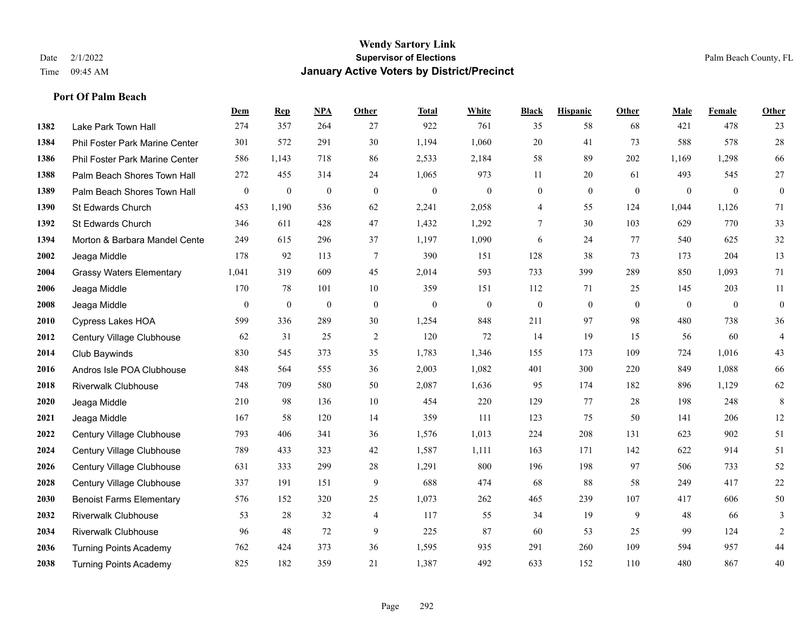#### **Wendy Sartory Link** Date 2/1/2022 **Supervisor of Elections** Palm Beach County, FL Time 09:45 AM **January Active Voters by District/Precinct**

# **Dem Rep NPA Other Total White Black Hispanic Other Male Female Other** Lake Park Town Hall 274 357 264 27 922 761 35 58 68 421 478 23 Phil Foster Park Marine Center 301 572 291 30 1,194 1,060 20 41 73 588 578 28 Phil Foster Park Marine Center 586 1,143 718 86 2,533 2,184 58 89 202 1,169 1,298 66 Palm Beach Shores Town Hall 272 455 314 24 1,065 973 11 20 61 493 545 27 Palm Beach Shores Town Hall 0 0 0 0 0 0 0 0 0 0 0 0 St Edwards Church 453 1,190 536 62 2,241 2,058 4 55 124 1,044 1,126 71 St Edwards Church 346 611 428 47 1,432 1,292 7 30 103 629 770 33 Morton & Barbara Mandel Center 249 615 296 37 1,197 1,090 6 24 77 540 625 32 Jeaga Middle 178 92 113 7 390 151 128 38 73 173 204 13 Grassy Waters Elementary 1,041 319 609 45 2,014 593 733 399 289 850 1,093 71 Jeaga Middle 170 78 101 10 359 151 112 71 25 145 203 11 Jeaga Middle 0 0 0 0 0 0 0 0 0 0 0 0 Cypress Lakes HOA 599 336 289 30 1,254 848 211 97 98 480 738 36 Century Village Clubhouse 62 31 25 2 120 72 14 19 15 56 60 4 Club Baywinds 830 545 373 35 1,783 1,346 155 173 109 724 1,016 43 Andros Isle POA Clubhouse 848 564 555 36 2,003 1,082 401 300 220 849 1,088 66 Riverwalk Clubhouse 748 709 580 50 2,087 1,636 95 174 182 896 1,129 62 Jeaga Middle 210 98 136 10 454 220 129 77 28 198 248 8 Jeaga Middle 167 58 120 14 359 111 123 75 50 141 206 12 Century Village Clubhouse 793 406 341 36 1,576 1,013 224 208 131 623 902 51 Century Village Clubhouse 789 433 323 42 1,587 1,111 163 171 142 622 914 51 Century Village Clubhouse 631 333 299 28 1,291 800 196 198 97 506 733 52 Century Village Clubhouse 337 191 151 9 688 474 68 88 58 249 417 22 Benoist Farms Elementary 576 152 320 25 1,073 262 465 239 107 417 606 50 Riverwalk Clubhouse 53 28 32 4 117 55 34 19 9 48 66 3 Riverwalk Clubhouse 96 48 72 9 225 87 60 53 25 99 124 2 Turning Points Academy 762 424 373 36 1,595 935 291 260 109 594 957 44 Turning Points Academy 825 182 359 21 1,387 492 633 152 110 480 867 40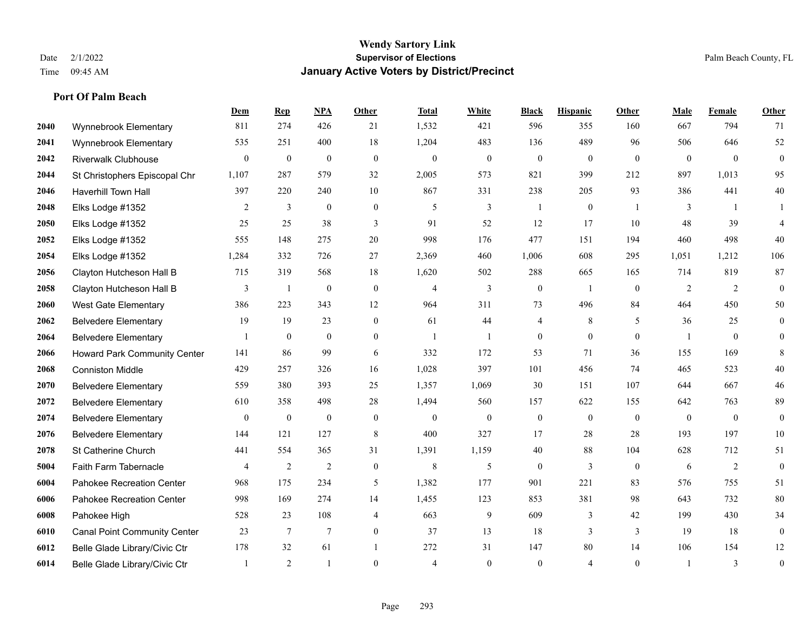#### **Wendy Sartory Link** Date 2/1/2022 **Supervisor of Elections** Palm Beach County, FL Time 09:45 AM **January Active Voters by District/Precinct**

# **Dem Rep NPA Other Total White Black Hispanic Other Male Female Other** Wynnebrook Elementary 811 274 426 21 1,532 421 596 355 160 667 794 71 Wynnebrook Elementary 535 251 400 18 1,204 483 136 489 96 506 646 52 Riverwalk Clubhouse 0 0 0 0 0 0 0 0 0 0 0 0 St Christophers Episcopal Chr 1,107 287 579 32 2,005 573 821 399 212 897 1,013 95 Haverhill Town Hall 397 220 240 10 867 331 238 205 93 386 441 40 Elks Lodge #1352 2 3 0 0 5 3 1 0 1 3 1 1 Elks Lodge #1352 25 25 38 3 91 52 12 17 10 48 39 4 Elks Lodge #1352 555 148 275 20 998 176 477 151 194 460 498 40 Elks Lodge #1352 1,284 332 726 27 2,369 460 1,006 608 295 1,051 1,212 106 Clayton Hutcheson Hall B 715 319 568 18 1,620 502 288 665 165 714 819 87 Clayton Hutcheson Hall B 3 1 0 0 4 3 0 1 0 2 2 0 West Gate Elementary 386 223 343 12 964 311 73 496 84 464 450 50 Belvedere Elementary 19 19 23 0 61 44 4 8 5 36 25 0 Belvedere Elementary 1 0 0 0 1 1 0 0 0 1 0 0 Howard Park Community Center 141 86 99 6 332 172 53 71 36 155 169 8 Conniston Middle 429 257 326 16 1,028 397 101 456 74 465 523 40 Belvedere Elementary 559 380 393 25 1,357 1,069 30 151 107 644 667 46 Belvedere Elementary 610 358 498 28 1,494 560 157 622 155 642 763 89 Belvedere Elementary 0 0 0 0 0 0 0 0 0 0 0 0 Belvedere Elementary 144 121 127 8 400 327 17 28 28 193 197 10 St Catherine Church 441 554 365 31 1,391 1,159 40 88 104 628 712 51 Faith Farm Tabernacle 4 2 2 0 8 5 0 3 0 6 2 0 Pahokee Recreation Center 968 175 234 5 1,382 177 901 221 83 576 755 51 Pahokee Recreation Center 998 169 274 14 1,455 123 853 381 98 643 732 80 Pahokee High 528 23 108 4 663 9 609 3 42 199 430 34 Canal Point Community Center 23 7 7 0 37 13 18 3 3 19 18 0 Belle Glade Library/Civic Ctr 178 32 61 1 272 31 147 80 14 106 154 12 Belle Glade Library/Civic Ctr 1 2 1 0 4 0 0 4 0 1 3 0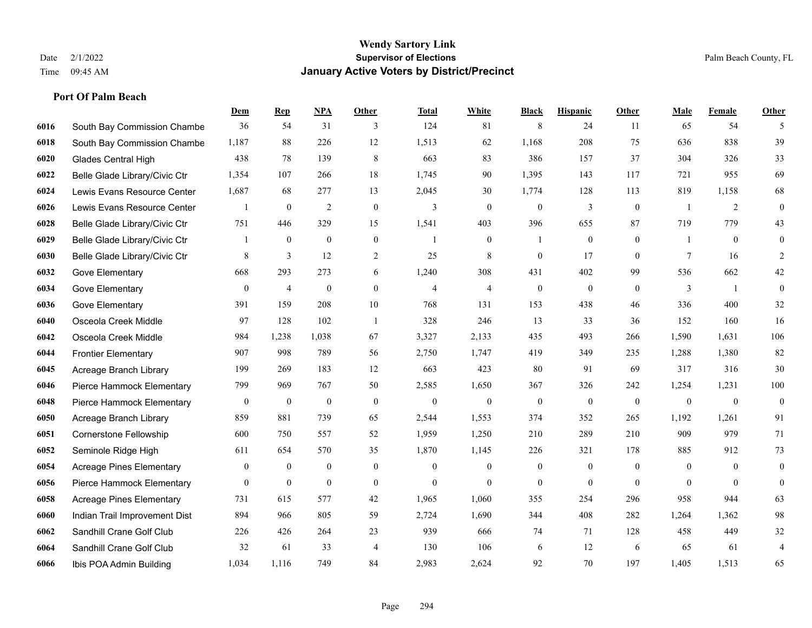|      |                                 | Dem              | <b>Rep</b>       | NPA              | <b>Other</b>     | <b>Total</b>   | <b>White</b>     | <b>Black</b>     | <b>Hispanic</b>  | <b>Other</b> | <b>Male</b>  | <b>Female</b>  | <b>Other</b>     |
|------|---------------------------------|------------------|------------------|------------------|------------------|----------------|------------------|------------------|------------------|--------------|--------------|----------------|------------------|
| 6016 | South Bay Commission Chambe     | 36               | 54               | 31               | 3                | 124            | 81               | 8                | 24               | 11           | 65           | 54             | 5                |
| 6018 | South Bay Commission Chambe     | 1,187            | 88               | 226              | 12               | 1,513          | 62               | 1,168            | 208              | 75           | 636          | 838            | 39               |
| 6020 | Glades Central High             | 438              | 78               | 139              | 8                | 663            | 83               | 386              | 157              | 37           | 304          | 326            | 33               |
| 6022 | Belle Glade Library/Civic Ctr   | 1,354            | 107              | 266              | 18               | 1,745          | 90               | 1,395            | 143              | 117          | 721          | 955            | 69               |
| 6024 | Lewis Evans Resource Center     | 1,687            | 68               | 277              | 13               | 2,045          | 30               | 1,774            | 128              | 113          | 819          | 1,158          | 68               |
| 6026 | Lewis Evans Resource Center     |                  | $\boldsymbol{0}$ | $\overline{2}$   | $\boldsymbol{0}$ | 3              | $\boldsymbol{0}$ | $\boldsymbol{0}$ | $\mathfrak{Z}$   | $\mathbf{0}$ | -1           | $\overline{2}$ | $\boldsymbol{0}$ |
| 6028 | Belle Glade Library/Civic Ctr   | 751              | 446              | 329              | 15               | 1,541          | 403              | 396              | 655              | 87           | 719          | 779            | 43               |
| 6029 | Belle Glade Library/Civic Ctr   | 1                | $\mathbf{0}$     | $\mathbf{0}$     | $\theta$         | $\overline{1}$ | $\overline{0}$   | $\mathbf{1}$     | $\mathbf{0}$     | $\Omega$     | 1            | $\theta$       | $\mathbf{0}$     |
| 6030 | Belle Glade Library/Civic Ctr   | 8                | $\overline{3}$   | 12               | $\sqrt{2}$       | 25             | 8                | $\boldsymbol{0}$ | 17               | $\theta$     | $\tau$       | 16             | 2                |
| 6032 | Gove Elementary                 | 668              | 293              | 273              | 6                | 1,240          | 308              | 431              | 402              | 99           | 536          | 662            | $42\,$           |
| 6034 | Gove Elementary                 | $\overline{0}$   | $\overline{4}$   | $\boldsymbol{0}$ | $\overline{0}$   | $\overline{4}$ | $\overline{4}$   | $\mathbf{0}$     | $\mathbf{0}$     | $\theta$     | 3            | $\overline{1}$ | $\mathbf{0}$     |
| 6036 | Gove Elementary                 | 391              | 159              | 208              | 10               | 768            | 131              | 153              | 438              | 46           | 336          | 400            | 32               |
| 6040 | Osceola Creek Middle            | 97               | 128              | 102              | -1               | 328            | 246              | 13               | 33               | 36           | 152          | 160            | 16               |
| 6042 | Osceola Creek Middle            | 984              | 1,238            | 1,038            | 67               | 3,327          | 2,133            | 435              | 493              | 266          | 1,590        | 1,631          | 106              |
| 6044 | <b>Frontier Elementary</b>      | 907              | 998              | 789              | 56               | 2,750          | 1,747            | 419              | 349              | 235          | 1,288        | 1,380          | 82               |
| 6045 | Acreage Branch Library          | 199              | 269              | 183              | 12               | 663            | 423              | 80               | 91               | 69           | 317          | 316            | 30               |
| 6046 | Pierce Hammock Elementary       | 799              | 969              | 767              | 50               | 2,585          | 1,650            | 367              | 326              | 242          | 1,254        | 1,231          | 100              |
| 6048 | Pierce Hammock Elementary       | $\boldsymbol{0}$ | $\mathbf{0}$     | $\mathbf{0}$     | $\mathbf{0}$     | $\mathbf{0}$   | $\mathbf{0}$     | $\mathbf{0}$     | $\mathbf{0}$     | $\mathbf{0}$ | $\mathbf{0}$ | $\mathbf{0}$   | $\mathbf{0}$     |
| 6050 | Acreage Branch Library          | 859              | 881              | 739              | 65               | 2,544          | 1,553            | 374              | 352              | 265          | 1,192        | 1,261          | 91               |
| 6051 | Cornerstone Fellowship          | 600              | 750              | 557              | 52               | 1,959          | 1,250            | 210              | 289              | 210          | 909          | 979            | 71               |
| 6052 | Seminole Ridge High             | 611              | 654              | 570              | 35               | 1,870          | 1,145            | 226              | 321              | 178          | 885          | 912            | 73               |
| 6054 | <b>Acreage Pines Elementary</b> | $\boldsymbol{0}$ | $\boldsymbol{0}$ | $\boldsymbol{0}$ | $\boldsymbol{0}$ | $\mathbf{0}$   | $\boldsymbol{0}$ | $\boldsymbol{0}$ | $\boldsymbol{0}$ | $\mathbf{0}$ | $\mathbf{0}$ | $\mathbf{0}$   | $\boldsymbol{0}$ |
| 6056 | Pierce Hammock Elementary       | $\overline{0}$   | $\mathbf{0}$     | $\boldsymbol{0}$ | $\mathbf{0}$     | $\mathbf{0}$   | $\overline{0}$   | $\mathbf{0}$     | $\mathbf{0}$     | $\theta$     | $\theta$     | $\theta$       | $\boldsymbol{0}$ |
| 6058 | <b>Acreage Pines Elementary</b> | 731              | 615              | 577              | 42               | 1,965          | 1,060            | 355              | 254              | 296          | 958          | 944            | 63               |
| 6060 | Indian Trail Improvement Dist   | 894              | 966              | 805              | 59               | 2,724          | 1,690            | 344              | 408              | 282          | 1,264        | 1.362          | 98               |
| 6062 | Sandhill Crane Golf Club        | 226              | 426              | 264              | 23               | 939            | 666              | 74               | 71               | 128          | 458          | 449            | 32               |
| 6064 | Sandhill Crane Golf Club        | 32               | 61               | 33               | $\overline{4}$   | 130            | 106              | 6                | 12               | 6            | 65           | 61             | $\overline{4}$   |
| 6066 | Ibis POA Admin Building         | 1,034            | 1,116            | 749              | 84               | 2,983          | 2,624            | 92               | 70               | 197          | 1,405        | 1,513          | 65               |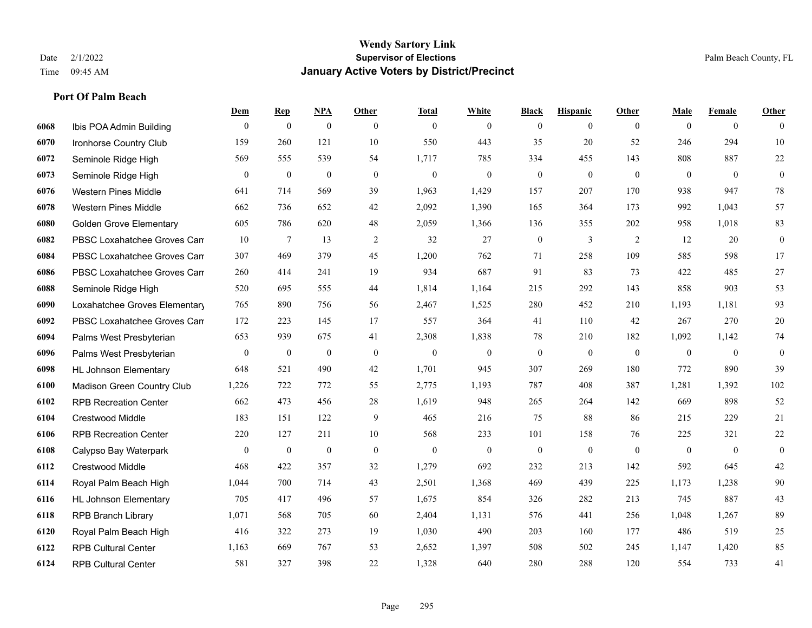|      |                                | Dem              | <b>Rep</b>       | NPA              | <b>Other</b>   | <b>Total</b> | <b>White</b>     | <b>Black</b>     | <b>Hispanic</b> | <b>Other</b>   | <b>Male</b>  | <b>Female</b>  | <b>Other</b>     |
|------|--------------------------------|------------------|------------------|------------------|----------------|--------------|------------------|------------------|-----------------|----------------|--------------|----------------|------------------|
| 6068 | Ibis POA Admin Building        | $\overline{0}$   | $\mathbf{0}$     | $\boldsymbol{0}$ | $\theta$       | $\theta$     | $\overline{0}$   | $\mathbf{0}$     | $\mathbf{0}$    | $\theta$       | $\mathbf{0}$ | $\overline{0}$ | $\theta$         |
| 6070 | Ironhorse Country Club         | 159              | 260              | 121              | 10             | 550          | 443              | 35               | 20              | 52             | 246          | 294            | 10               |
| 6072 | Seminole Ridge High            | 569              | 555              | 539              | 54             | 1,717        | 785              | 334              | 455             | 143            | 808          | 887            | $22\,$           |
| 6073 | Seminole Ridge High            | $\boldsymbol{0}$ | $\boldsymbol{0}$ | $\boldsymbol{0}$ | $\mathbf{0}$   | $\theta$     | $\boldsymbol{0}$ | $\boldsymbol{0}$ | $\mathbf{0}$    | $\mathbf{0}$   | $\mathbf{0}$ | $\mathbf{0}$   | $\boldsymbol{0}$ |
| 6076 | <b>Western Pines Middle</b>    | 641              | 714              | 569              | 39             | 1.963        | 1,429            | 157              | 207             | 170            | 938          | 947            | $78\,$           |
| 6078 | <b>Western Pines Middle</b>    | 662              | 736              | 652              | 42             | 2,092        | 1,390            | 165              | 364             | 173            | 992          | 1,043          | 57               |
| 6080 | <b>Golden Grove Elementary</b> | 605              | 786              | 620              | 48             | 2,059        | 1,366            | 136              | 355             | 202            | 958          | 1,018          | 83               |
| 6082 | PBSC Loxahatchee Groves Can    | 10               | $\tau$           | 13               | 2              | 32           | 27               | $\mathbf{0}$     | 3               | 2              | 12           | 20             | $\boldsymbol{0}$ |
| 6084 | PBSC Loxahatchee Groves Can    | 307              | 469              | 379              | 45             | 1,200        | 762              | 71               | 258             | 109            | 585          | 598            | 17               |
| 6086 | PBSC Loxahatchee Groves Can    | 260              | 414              | 241              | 19             | 934          | 687              | 91               | 83              | 73             | 422          | 485            | 27               |
| 6088 | Seminole Ridge High            | 520              | 695              | 555              | 44             | 1,814        | 1,164            | 215              | 292             | 143            | 858          | 903            | 53               |
| 6090 | Loxahatchee Groves Elementary  | 765              | 890              | 756              | 56             | 2,467        | 1,525            | 280              | 452             | 210            | 1,193        | 1,181          | 93               |
| 6092 | PBSC Loxahatchee Groves Can    | 172              | 223              | 145              | 17             | 557          | 364              | 41               | 110             | 42             | 267          | 270            | $20\,$           |
| 6094 | Palms West Presbyterian        | 653              | 939              | 675              | 41             | 2,308        | 1,838            | 78               | 210             | 182            | 1,092        | 1,142          | $74\,$           |
| 6096 | Palms West Presbyterian        | $\boldsymbol{0}$ | $\boldsymbol{0}$ | $\boldsymbol{0}$ | $\mathbf{0}$   | $\theta$     | $\boldsymbol{0}$ | $\boldsymbol{0}$ | $\mathbf{0}$    | $\overline{0}$ | $\mathbf{0}$ | $\overline{0}$ | $\boldsymbol{0}$ |
| 6098 | <b>HL Johnson Elementary</b>   | 648              | 521              | 490              | 42             | 1,701        | 945              | 307              | 269             | 180            | 772          | 890            | 39               |
| 6100 | Madison Green Country Club     | 1,226            | 722              | 772              | 55             | 2,775        | 1,193            | 787              | 408             | 387            | 1,281        | 1,392          | 102              |
| 6102 | <b>RPB Recreation Center</b>   | 662              | 473              | 456              | 28             | 1,619        | 948              | 265              | 264             | 142            | 669          | 898            | 52               |
| 6104 | <b>Crestwood Middle</b>        | 183              | 151              | 122              | 9              | 465          | 216              | 75               | 88              | 86             | 215          | 229            | 21               |
| 6106 | <b>RPB Recreation Center</b>   | 220              | 127              | 211              | 10             | 568          | 233              | 101              | 158             | 76             | 225          | 321            | $22\,$           |
| 6108 | Calypso Bay Waterpark          | $\overline{0}$   | $\boldsymbol{0}$ | $\boldsymbol{0}$ | $\overline{0}$ | $\theta$     | $\mathbf{0}$     | $\mathbf{0}$     | $\mathbf{0}$    | $\theta$       | $\theta$     | $\theta$       | $\mathbf{0}$     |
| 6112 | Crestwood Middle               | 468              | 422              | 357              | 32             | 1,279        | 692              | 232              | 213             | 142            | 592          | 645            | $42\,$           |
| 6114 | Royal Palm Beach High          | 1,044            | 700              | 714              | 43             | 2,501        | 1,368            | 469              | 439             | 225            | 1,173        | 1,238          | $90\,$           |
| 6116 | <b>HL Johnson Elementary</b>   | 705              | 417              | 496              | 57             | 1,675        | 854              | 326              | 282             | 213            | 745          | 887            | 43               |
| 6118 | <b>RPB Branch Library</b>      | 1,071            | 568              | 705              | 60             | 2,404        | 1,131            | 576              | 441             | 256            | 1.048        | 1,267          | 89               |
| 6120 | Royal Palm Beach High          | 416              | 322              | 273              | 19             | 1,030        | 490              | 203              | 160             | 177            | 486          | 519            | $25\,$           |
| 6122 | <b>RPB Cultural Center</b>     | 1,163            | 669              | 767              | 53             | 2,652        | 1,397            | 508              | 502             | 245            | 1,147        | 1,420          | 85               |
| 6124 | <b>RPB Cultural Center</b>     | 581              | 327              | 398              | 22             | 1,328        | 640              | 280              | 288             | 120            | 554          | 733            | 41               |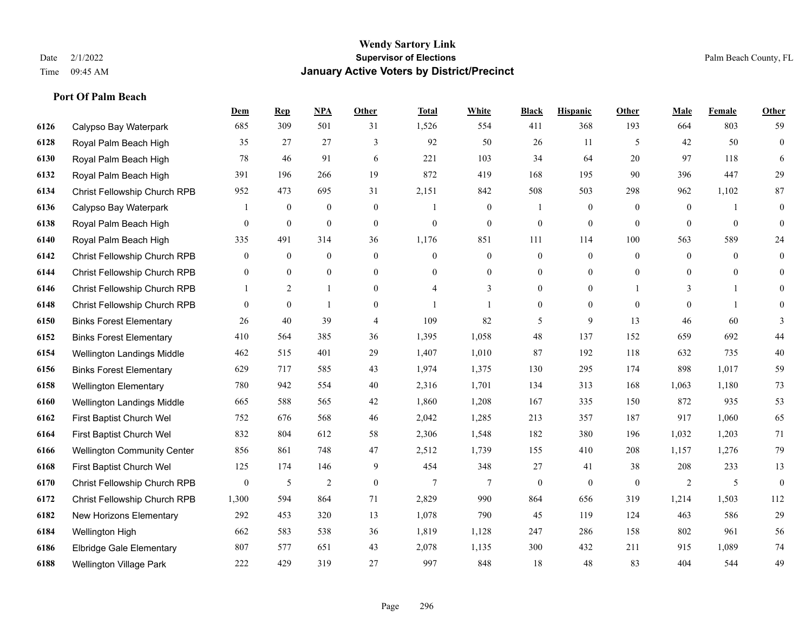|      |                                    | <b>Dem</b>       | <b>Rep</b>       | NPA              | <b>Other</b>   | <b>Total</b>     | <b>White</b>     | <b>Black</b>     | <b>Hispanic</b>  | <b>Other</b>   | <b>Male</b>    | <b>Female</b>  | <b>Other</b>     |
|------|------------------------------------|------------------|------------------|------------------|----------------|------------------|------------------|------------------|------------------|----------------|----------------|----------------|------------------|
| 6126 | Calypso Bay Waterpark              | 685              | 309              | 501              | 31             | 1,526            | 554              | 411              | 368              | 193            | 664            | 803            | 59               |
| 6128 | Royal Palm Beach High              | 35               | 27               | 27               | 3              | 92               | 50               | 26               | 11               | 5              | 42             | 50             | $\boldsymbol{0}$ |
| 6130 | Royal Palm Beach High              | 78               | 46               | 91               | 6              | 221              | 103              | 34               | 64               | 20             | 97             | 118            | 6                |
| 6132 | Royal Palm Beach High              | 391              | 196              | 266              | 19             | 872              | 419              | 168              | 195              | 90             | 396            | 447            | 29               |
| 6134 | Christ Fellowship Church RPB       | 952              | 473              | 695              | 31             | 2,151            | 842              | 508              | 503              | 298            | 962            | 1,102          | 87               |
| 6136 | Calypso Bay Waterpark              |                  | $\boldsymbol{0}$ | $\boldsymbol{0}$ | $\mathbf{0}$   |                  | $\boldsymbol{0}$ |                  | $\boldsymbol{0}$ | $\overline{0}$ | $\overline{0}$ |                | $\mathbf{0}$     |
| 6138 | Royal Palm Beach High              | $\boldsymbol{0}$ | $\boldsymbol{0}$ | $\boldsymbol{0}$ | $\mathbf{0}$   | $\boldsymbol{0}$ | $\boldsymbol{0}$ | $\boldsymbol{0}$ | $\mathbf{0}$     | $\overline{0}$ | $\mathbf{0}$   | $\overline{0}$ | $\boldsymbol{0}$ |
| 6140 | Royal Palm Beach High              | 335              | 491              | 314              | 36             | 1,176            | 851              | 111              | 114              | 100            | 563            | 589            | 24               |
| 6142 | Christ Fellowship Church RPB       | $\overline{0}$   | $\mathbf{0}$     | $\mathbf{0}$     | $\mathbf{0}$   | $\Omega$         | $\overline{0}$   | $\mathbf{0}$     | $\mathbf{0}$     | $\mathbf{0}$   | $\mathbf{0}$   | $\theta$       | $\mathbf{0}$     |
| 6144 | Christ Fellowship Church RPB       | $\mathbf{0}$     | $\boldsymbol{0}$ | $\boldsymbol{0}$ | $\mathbf{0}$   | $\theta$         | $\boldsymbol{0}$ | $\boldsymbol{0}$ | $\mathbf{0}$     | $\overline{0}$ | $\overline{0}$ | $\overline{0}$ | $\overline{0}$   |
| 6146 | Christ Fellowship Church RPB       |                  | 2                | 1                | $\overline{0}$ | $\overline{4}$   | 3                | $\mathbf{0}$     | $\mathbf{0}$     |                | 3              | $\mathbf{1}$   | $\Omega$         |
| 6148 | Christ Fellowship Church RPB       | $\mathbf{0}$     | $\mathbf{0}$     | $\mathbf{1}$     | $\overline{0}$ |                  | 1                | $\boldsymbol{0}$ | $\mathbf{0}$     | $\overline{0}$ | $\overline{0}$ | $\overline{1}$ | $\mathbf{0}$     |
| 6150 | <b>Binks Forest Elementary</b>     | 26               | 40               | 39               | $\overline{4}$ | 109              | 82               | 5                | 9                | 13             | 46             | 60             | 3                |
| 6152 | <b>Binks Forest Elementary</b>     | 410              | 564              | 385              | 36             | 1,395            | 1,058            | $48\,$           | 137              | 152            | 659            | 692            | 44               |
| 6154 | Wellington Landings Middle         | 462              | 515              | 401              | 29             | 1,407            | 1,010            | 87               | 192              | 118            | 632            | 735            | 40               |
| 6156 | <b>Binks Forest Elementary</b>     | 629              | 717              | 585              | 43             | 1,974            | 1,375            | 130              | 295              | 174            | 898            | 1,017          | 59               |
| 6158 | <b>Wellington Elementary</b>       | 780              | 942              | 554              | 40             | 2,316            | 1,701            | 134              | 313              | 168            | 1,063          | 1,180          | 73               |
| 6160 | Wellington Landings Middle         | 665              | 588              | 565              | 42             | 1,860            | 1,208            | 167              | 335              | 150            | 872            | 935            | 53               |
| 6162 | First Baptist Church Wel           | 752              | 676              | 568              | 46             | 2,042            | 1,285            | 213              | 357              | 187            | 917            | 1,060          | 65               |
| 6164 | First Baptist Church Wel           | 832              | 804              | 612              | 58             | 2,306            | 1,548            | 182              | 380              | 196            | 1,032          | 1,203          | 71               |
| 6166 | <b>Wellington Community Center</b> | 856              | 861              | 748              | 47             | 2,512            | 1,739            | 155              | 410              | 208            | 1,157          | 1,276          | 79               |
| 6168 | First Baptist Church Wel           | 125              | 174              | 146              | 9              | 454              | 348              | 27               | 41               | 38             | 208            | 233            | 13               |
| 6170 | Christ Fellowship Church RPB       | $\overline{0}$   | 5                | $\overline{2}$   | $\mathbf{0}$   | $\overline{7}$   | $\overline{7}$   | $\mathbf{0}$     | $\mathbf{0}$     | $\theta$       | 2              | 5              | $\mathbf{0}$     |
| 6172 | Christ Fellowship Church RPB       | 1,300            | 594              | 864              | 71             | 2,829            | 990              | 864              | 656              | 319            | 1,214          | 1,503          | 112              |
| 6182 | New Horizons Elementary            | 292              | 453              | 320              | 13             | 1,078            | 790              | 45               | 119              | 124            | 463            | 586            | 29               |
| 6184 | Wellington High                    | 662              | 583              | 538              | 36             | 1,819            | 1,128            | 247              | 286              | 158            | 802            | 961            | 56               |
| 6186 | Elbridge Gale Elementary           | 807              | 577              | 651              | 43             | 2,078            | 1,135            | 300              | 432              | 211            | 915            | 1,089          | 74               |
| 6188 | Wellington Village Park            | 222              | 429              | 319              | 27             | 997              | 848              | 18               | 48               | 83             | 404            | 544            | 49               |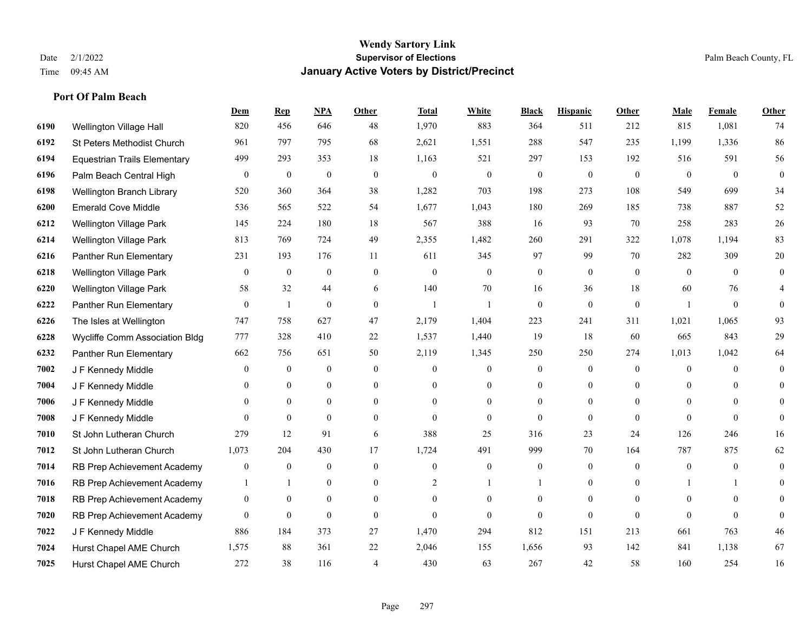#### **Wendy Sartory Link** Date 2/1/2022 **Supervisor of Elections** Palm Beach County, FL Time 09:45 AM **January Active Voters by District/Precinct**

# **Dem Rep NPA Other Total White Black Hispanic Other Male Female Other** Wellington Village Hall 820 456 646 48 1,970 883 364 511 212 815 1,081 74 St Peters Methodist Church 961 797 795 68 2,621 1,551 288 547 235 1,199 1,336 86 Equestrian Trails Elementary 499 293 353 18 1,163 521 297 153 192 516 591 56 Palm Beach Central High 0 0 0 0 0 0 0 0 0 0 0 0 Wellington Branch Library 520 360 364 38 1,282 703 198 273 108 549 699 34 Emerald Cove Middle 536 565 522 54 1,677 1,043 180 269 185 738 887 52 Wellington Village Park 145 224 180 18 567 388 16 93 70 258 283 26 Wellington Village Park 813 769 724 49 2,355 1,482 260 291 322 1,078 1,194 83 Panther Run Elementary 231 193 176 11 611 345 97 99 70 282 309 20 Wellington Village Park 0 0 0 0 0 0 0 0 0 0 0 0 Wellington Village Park 58 32 44 6 140 70 16 36 18 60 76 4 Panther Run Elementary 0 1 0 0 1 1 0 0 0 1 0 0 The Isles at Wellington 747 758 627 47 2,179 1,404 223 241 311 1,021 1,065 93 Wycliffe Comm Association Bldg 777 328 410 22 1,537 1,440 19 18 60 665 843 29 Panther Run Elementary 662 756 651 50 2,119 1,345 250 250 274 1,013 1,042 64 J F Kennedy Middle 0 0 0 0 0 0 0 0 0 0 **7004 J F Kennedy Middle 0 0 0 0 0 0 0 0 0** 0 J F Kennedy Middle 0 0 0 0 0 0 0 0 0 0 J F Kennedy Middle 0 0 0 0 0 0 0 0 0 0 St John Lutheran Church 279 12 91 6 388 25 316 23 24 126 246 16 St John Lutheran Church 1,073 204 430 17 1,724 491 999 70 164 787 875 62 RB Prep Achievement Academy 0 0 0 0 0 0 0 0 0 0 0 0 RB Prep Achievement Academy 1 1 0 0 0 2 1 1 0 1 0 0 1 1 0 RB Prep Achievement Academy 0 0 0 0 0 0 0 0 0 0 0 0 RB Prep Achievement Academy 0 0 0 0 0 0 0 0 0 0 0 0 J F Kennedy Middle 886 184 373 27 1,470 294 812 151 213 661 763 46 Hurst Chapel AME Church 1,575 88 361 22 2,046 155 1,656 93 142 841 1,138 67 Hurst Chapel AME Church 272 38 116 4 430 63 267 42 58 160 254 16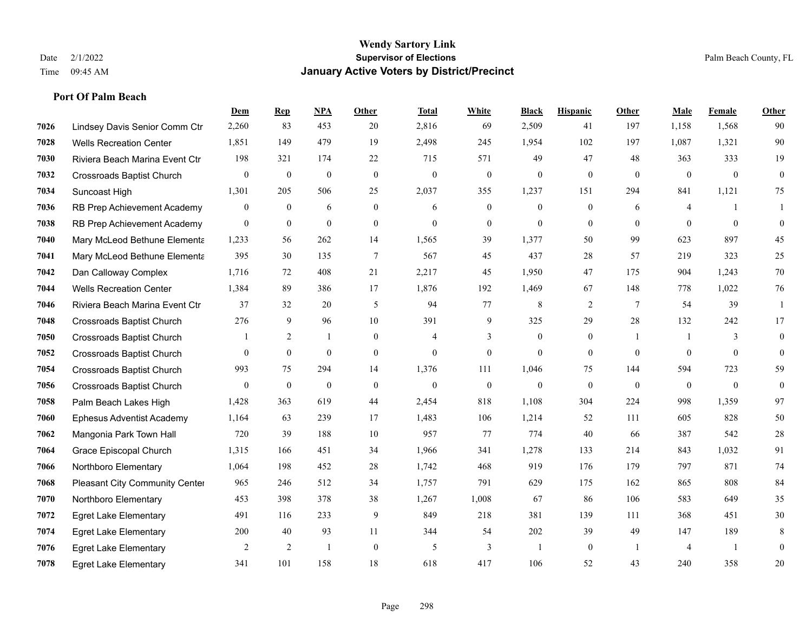|      |                                       | Dem            | <b>Rep</b>       | NPA              | <b>Other</b>     | <b>Total</b>     | <b>White</b>     | <b>Black</b>     | <b>Hispanic</b>  | Other           | <b>Male</b>    | <b>Female</b>  | <b>Other</b>     |
|------|---------------------------------------|----------------|------------------|------------------|------------------|------------------|------------------|------------------|------------------|-----------------|----------------|----------------|------------------|
| 7026 | Lindsey Davis Senior Comm Ctr         | 2,260          | 83               | 453              | 20               | 2,816            | 69               | 2,509            | 41               | 197             | 1,158          | 1,568          | 90               |
| 7028 | <b>Wells Recreation Center</b>        | 1,851          | 149              | 479              | 19               | 2,498            | 245              | 1,954            | 102              | 197             | 1.087          | 1,321          | 90               |
| 7030 | Riviera Beach Marina Event Ctr        | 198            | 321              | 174              | $22\,$           | 715              | 571              | 49               | 47               | 48              | 363            | 333            | 19               |
| 7032 | <b>Crossroads Baptist Church</b>      | $\overline{0}$ | $\boldsymbol{0}$ | $\boldsymbol{0}$ | $\mathbf{0}$     | $\boldsymbol{0}$ | $\boldsymbol{0}$ | $\boldsymbol{0}$ | $\mathbf{0}$     | $\mathbf{0}$    | $\mathbf{0}$   | $\mathbf{0}$   | $\overline{0}$   |
| 7034 | Suncoast High                         | 1,301          | 205              | 506              | 25               | 2,037            | 355              | 1,237            | 151              | 294             | 841            | 1,121          | 75               |
| 7036 | RB Prep Achievement Academy           | 0              | $\mathbf{0}$     | 6                | $\boldsymbol{0}$ | 6                | $\boldsymbol{0}$ | $\boldsymbol{0}$ | $\boldsymbol{0}$ | 6               | 4              |                |                  |
| 7038 | RB Prep Achievement Academy           | $\overline{0}$ | $\overline{0}$   | $\mathbf{0}$     | $\overline{0}$   | $\mathbf{0}$     | $\boldsymbol{0}$ | $\mathbf{0}$     | $\mathbf{0}$     | $\overline{0}$  | $\mathbf{0}$   | $\mathbf{0}$   | $\boldsymbol{0}$ |
| 7040 | Mary McLeod Bethune Elementa          | 1,233          | 56               | 262              | 14               | 1,565            | 39               | 1,377            | 50               | 99              | 623            | 897            | 45               |
| 7041 | Mary McLeod Bethune Elementa          | 395            | 30               | 135              | $\overline{7}$   | 567              | 45               | 437              | 28               | 57              | 219            | 323            | 25               |
| 7042 | Dan Calloway Complex                  | 1,716          | 72               | 408              | 21               | 2,217            | 45               | 1,950            | 47               | 175             | 904            | 1,243          | 70               |
| 7044 | <b>Wells Recreation Center</b>        | 1,384          | 89               | 386              | 17               | 1,876            | 192              | 1,469            | 67               | 148             | 778            | 1,022          | 76               |
| 7046 | Riviera Beach Marina Event Ctr        | 37             | 32               | 20               | 5                | 94               | 77               | 8                | 2                | $7\phantom{.0}$ | 54             | 39             | $\mathbf{1}$     |
| 7048 | Crossroads Baptist Church             | 276            | 9                | 96               | 10               | 391              | 9                | 325              | 29               | 28              | 132            | 242            | 17               |
| 7050 | <b>Crossroads Baptist Church</b>      |                | 2                | $\mathbf{1}$     | $\overline{0}$   | 4                | 3                | $\boldsymbol{0}$ | $\mathbf{0}$     | $\overline{1}$  | -1             | 3              | $\overline{0}$   |
| 7052 | <b>Crossroads Baptist Church</b>      | 0              | $\overline{0}$   | $\mathbf{0}$     | $\Omega$         | $\theta$         | $\overline{0}$   | $\mathbf{0}$     | $\mathbf{0}$     | $\theta$        | $\theta$       | $\theta$       | $\mathbf{0}$     |
| 7054 | Crossroads Baptist Church             | 993            | 75               | 294              | 14               | 1,376            | 111              | 1,046            | 75               | 144             | 594            | 723            | 59               |
| 7056 | Crossroads Baptist Church             | $\overline{0}$ | $\mathbf{0}$     | $\boldsymbol{0}$ | $\mathbf{0}$     | $\mathbf{0}$     | $\overline{0}$   | $\mathbf{0}$     | $\mathbf{0}$     | $\mathbf{0}$    | $\mathbf{0}$   | $\mathbf{0}$   | $\mathbf{0}$     |
| 7058 | Palm Beach Lakes High                 | 1,428          | 363              | 619              | 44               | 2,454            | 818              | 1.108            | 304              | 224             | 998            | 1,359          | 97               |
| 7060 | <b>Ephesus Adventist Academy</b>      | 1,164          | 63               | 239              | 17               | 1,483            | 106              | 1,214            | 52               | 111             | 605            | 828            | 50               |
| 7062 | Mangonia Park Town Hall               | 720            | 39               | 188              | 10               | 957              | 77               | 774              | 40               | 66              | 387            | 542            | 28               |
| 7064 | Grace Episcopal Church                | 1,315          | 166              | 451              | 34               | 1,966            | 341              | 1,278            | 133              | 214             | 843            | 1,032          | 91               |
| 7066 | Northboro Elementary                  | 1,064          | 198              | 452              | 28               | 1,742            | 468              | 919              | 176              | 179             | 797            | 871            | 74               |
| 7068 | <b>Pleasant City Community Center</b> | 965            | 246              | 512              | 34               | 1,757            | 791              | 629              | 175              | 162             | 865            | 808            | 84               |
| 7070 | Northboro Elementary                  | 453            | 398              | 378              | 38               | 1,267            | 1,008            | 67               | 86               | 106             | 583            | 649            | 35               |
| 7072 | <b>Egret Lake Elementary</b>          | 491            | 116              | 233              | 9                | 849              | 218              | 381              | 139              | 111             | 368            | 451            | 30               |
| 7074 | <b>Egret Lake Elementary</b>          | 200            | 40               | 93               | 11               | 344              | 54               | 202              | 39               | 49              | 147            | 189            | 8                |
| 7076 | <b>Egret Lake Elementary</b>          | 2              | 2                | $\mathbf{1}$     | $\overline{0}$   | 5                | 3                | 1                | $\mathbf{0}$     | $\overline{1}$  | $\overline{4}$ | $\overline{1}$ | $\mathbf{0}$     |
| 7078 | <b>Egret Lake Elementary</b>          | 341            | 101              | 158              | 18               | 618              | 417              | 106              | 52               | 43              | 240            | 358            | 20               |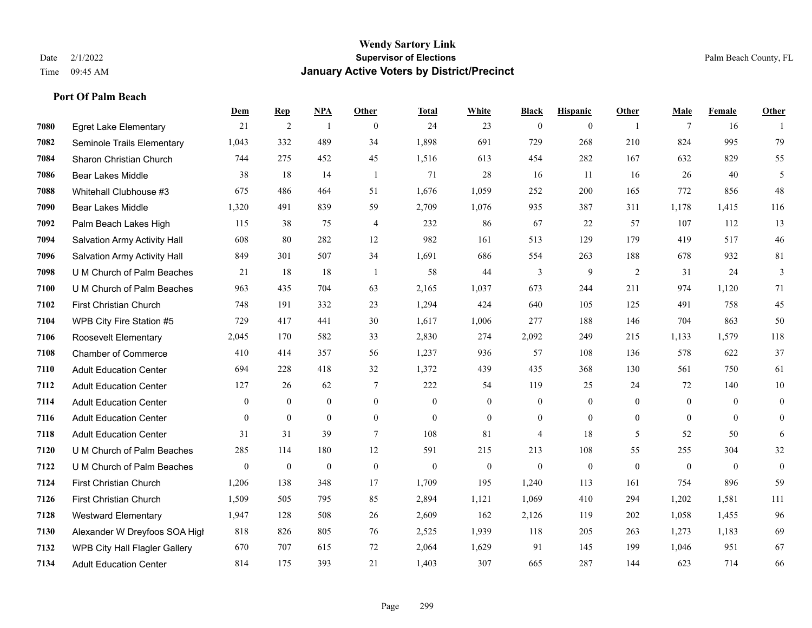|      |                                     | Dem            | <b>Rep</b>       | NPA          | <b>Other</b>   | <b>Total</b>     | <b>White</b>   | <b>Black</b>   | <b>Hispanic</b> | <b>Other</b>   | <b>Male</b>    | Female       | <b>Other</b>   |
|------|-------------------------------------|----------------|------------------|--------------|----------------|------------------|----------------|----------------|-----------------|----------------|----------------|--------------|----------------|
| 7080 | <b>Egret Lake Elementary</b>        | 21             | 2                | -1           | $\theta$       | 24               | 23             | $\overline{0}$ | $\overline{0}$  | $\overline{1}$ | 7              | 16           |                |
| 7082 | Seminole Trails Elementary          | 1,043          | 332              | 489          | 34             | 1,898            | 691            | 729            | 268             | 210            | 824            | 995          | 79             |
| 7084 | Sharon Christian Church             | 744            | 275              | 452          | 45             | 1,516            | 613            | 454            | 282             | 167            | 632            | 829          | 55             |
| 7086 | <b>Bear Lakes Middle</b>            | 38             | 18               | 14           | -1             | 71               | 28             | 16             | 11              | 16             | 26             | 40           | 5              |
| 7088 | Whitehall Clubhouse #3              | 675            | 486              | 464          | 51             | 1.676            | 1,059          | 252            | 200             | 165            | 772            | 856          | 48             |
| 7090 | <b>Bear Lakes Middle</b>            | 1,320          | 491              | 839          | 59             | 2,709            | 1,076          | 935            | 387             | 311            | 1,178          | 1,415        | 116            |
| 7092 | Palm Beach Lakes High               | 115            | 38               | 75           | $\overline{4}$ | 232              | 86             | 67             | 22              | 57             | 107            | 112          | 13             |
| 7094 | <b>Salvation Army Activity Hall</b> | 608            | 80               | 282          | 12             | 982              | 161            | 513            | 129             | 179            | 419            | 517          | 46             |
| 7096 | Salvation Army Activity Hall        | 849            | 301              | 507          | 34             | 1,691            | 686            | 554            | 263             | 188            | 678            | 932          | 81             |
| 7098 | U M Church of Palm Beaches          | 21             | 18               | 18           | -1             | 58               | 44             | 3              | 9               | 2              | 31             | 24           | 3              |
| 7100 | U M Church of Palm Beaches          | 963            | 435              | 704          | 63             | 2,165            | 1,037          | 673            | 244             | 211            | 974            | 1,120        | 71             |
| 7102 | First Christian Church              | 748            | 191              | 332          | 23             | 1,294            | 424            | 640            | 105             | 125            | 491            | 758          | 45             |
| 7104 | WPB City Fire Station #5            | 729            | 417              | 441          | 30             | 1,617            | 1,006          | 277            | 188             | 146            | 704            | 863          | 50             |
| 7106 | Roosevelt Elementary                | 2,045          | 170              | 582          | 33             | 2,830            | 274            | 2,092          | 249             | 215            | 1,133          | 1,579        | 118            |
| 7108 | <b>Chamber of Commerce</b>          | 410            | 414              | 357          | 56             | 1,237            | 936            | 57             | 108             | 136            | 578            | 622          | 37             |
| 7110 | <b>Adult Education Center</b>       | 694            | 228              | 418          | 32             | 1,372            | 439            | 435            | 368             | 130            | 561            | 750          | 61             |
| 7112 | <b>Adult Education Center</b>       | 127            | 26               | 62           | $\tau$         | 222              | 54             | 119            | 25              | 24             | 72             | 140          | $10\,$         |
| 7114 | <b>Adult Education Center</b>       | $\overline{0}$ | $\overline{0}$   | $\mathbf{0}$ | $\overline{0}$ | $\mathbf{0}$     | $\overline{0}$ | $\overline{0}$ | $\overline{0}$  | $\theta$       | $\overline{0}$ | $\theta$     | $\overline{0}$ |
| 7116 | <b>Adult Education Center</b>       | $\mathbf{0}$   | $\mathbf{0}$     | $\mathbf{0}$ | $\overline{0}$ | $\mathbf{0}$     | $\mathbf{0}$   | $\overline{0}$ | $\overline{0}$  | $\overline{0}$ | $\theta$       | $\mathbf{0}$ | $\overline{0}$ |
| 7118 | <b>Adult Education Center</b>       | 31             | 31               | 39           | $\tau$         | 108              | 81             | 4              | 18              | 5              | 52             | 50           | 6              |
| 7120 | U M Church of Palm Beaches          | 285            | 114              | 180          | 12             | 591              | 215            | 213            | 108             | 55             | 255            | 304          | $32\,$         |
| 7122 | U M Church of Palm Beaches          | $\bf{0}$       | $\boldsymbol{0}$ | $\theta$     | $\mathbf{0}$   | $\boldsymbol{0}$ | $\mathbf{0}$   | $\mathbf{0}$   | $\mathbf{0}$    | $\overline{0}$ | $\mathbf{0}$   | $\mathbf{0}$ | $\overline{0}$ |
| 7124 | First Christian Church              | 1,206          | 138              | 348          | 17             | 1,709            | 195            | 1,240          | 113             | 161            | 754            | 896          | 59             |
| 7126 | First Christian Church              | 1,509          | 505              | 795          | 85             | 2,894            | 1,121          | 1,069          | 410             | 294            | 1,202          | 1,581        | 111            |
| 7128 | <b>Westward Elementary</b>          | 1,947          | 128              | 508          | 26             | 2,609            | 162            | 2,126          | 119             | 202            | 1.058          | 1,455        | 96             |
| 7130 | Alexander W Dreyfoos SOA High       | 818            | 826              | 805          | 76             | 2,525            | 1,939          | 118            | 205             | 263            | 1,273          | 1,183        | 69             |
| 7132 | WPB City Hall Flagler Gallery       | 670            | 707              | 615          | 72             | 2,064            | 1,629          | 91             | 145             | 199            | 1,046          | 951          | 67             |
| 7134 | <b>Adult Education Center</b>       | 814            | 175              | 393          | 21             | 1,403            | 307            | 665            | 287             | 144            | 623            | 714          | 66             |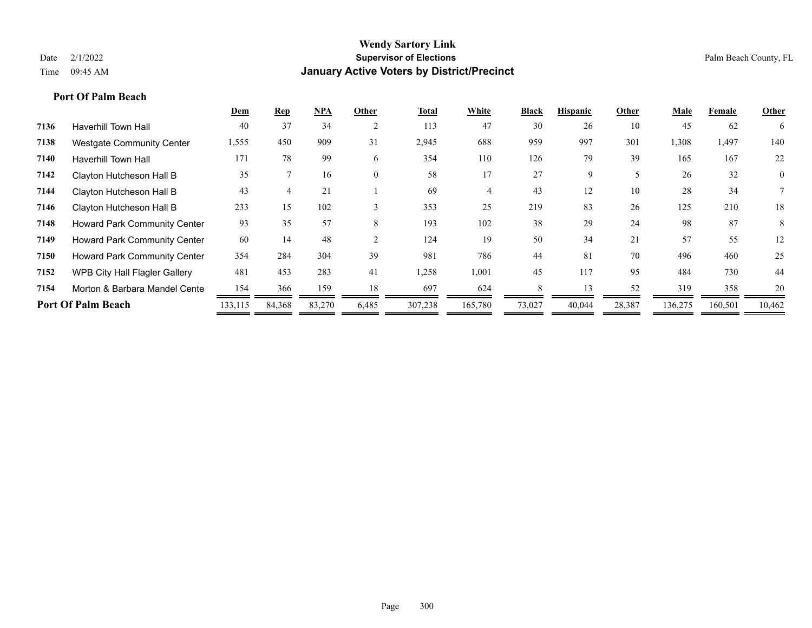|                                     | Dem     | <b>Rep</b> | $NPA$  | Other          | Total   | White   | <b>Black</b> | <b>Hispanic</b> | Other  | Male    | Female  | Other          |
|-------------------------------------|---------|------------|--------|----------------|---------|---------|--------------|-----------------|--------|---------|---------|----------------|
| <b>Haverhill Town Hall</b>          | 40      | 37         | 34     | $\overline{2}$ | 113     | 47      | 30           | 26              | 10     | 45      | 62      | 6              |
| <b>Westgate Community Center</b>    | 1,555   | 450        | 909    | 31             | 2,945   | 688     | 959          | 997             | 301    | 1,308   | 1,497   | 140            |
| <b>Haverhill Town Hall</b>          | 171     | 78         | 99     | 6              | 354     | 110     | 126          | 79              | 39     | 165     | 167     | 22             |
| Clayton Hutcheson Hall B            | 35      |            | 16     | $\theta$       | 58      | 17      | 27           | 9               | 5      | 26      | 32      | $\overline{0}$ |
| Clayton Hutcheson Hall B            | 43      |            | 21     |                | 69      |         | 43           | 12              | 10     | 28      | 34      |                |
| Clayton Hutcheson Hall B            | 233     | 15         | 102    |                | 353     | 25      | 219          | 83              | 26     | 125     | 210     | 18             |
| <b>Howard Park Community Center</b> | 93      | 35         | 57     | 8              | 193     | 102     | 38           | 29              | 24     | 98      | 87      | 8              |
| Howard Park Community Center        | 60      | 14         | 48     |                | 124     | 19      | 50           | 34              | 21     | 57      | 55      | 12             |
| <b>Howard Park Community Center</b> | 354     | 284        | 304    | 39             | 981     | 786     | 44           | 81              | 70     | 496     | 460     | 25             |
| WPB City Hall Flagler Gallery       | 481     | 453        | 283    | 41             | 1,258   | 1,001   | 45           | 117             | 95     | 484     | 730     | 44             |
| Morton & Barbara Mandel Cente       | 154     | 366        | 159    | 18             | 697     | 624     |              | 13              | 52     | 319     | 358     | 20             |
| <b>Port Of Palm Beach</b>           | 133,115 | 84,368     | 83,270 | 6,485          | 307,238 | 165,780 | 73,027       | 40,044          | 28,387 | 136,275 | 160,501 | 10,462         |
|                                     |         |            |        |                |         |         |              |                 |        |         |         |                |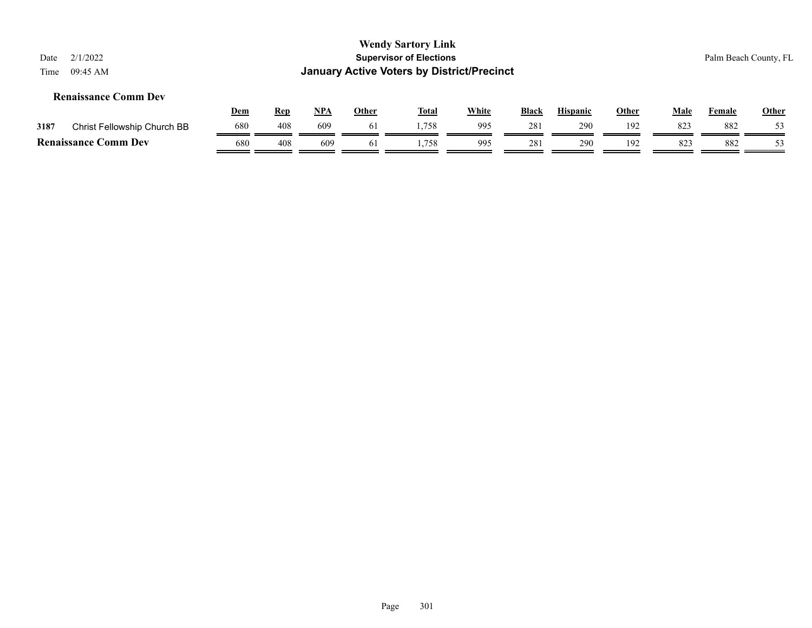| Date<br>Time                                                                                                                                                                               | 2/1/2022<br>09:45 AM        |     |     |     |    | <b>Wendy Sartory Link</b><br><b>Supervisor of Elections</b><br><b>January Active Voters by District/Precinct</b> |     |     |     |     |     |     | Palm Beach County, FL |
|--------------------------------------------------------------------------------------------------------------------------------------------------------------------------------------------|-----------------------------|-----|-----|-----|----|------------------------------------------------------------------------------------------------------------------|-----|-----|-----|-----|-----|-----|-----------------------|
| <b>Renaissance Comm Dev</b><br><u>White</u><br><b>Total</b><br><u>NPA</u><br><b>Hispanic</b><br><b>Other</b><br><b>Black</b><br><b>Other</b><br><u>Dem</u><br>Male<br>Female<br><b>Rep</b> |                             |     |     |     |    |                                                                                                                  |     |     |     |     |     |     | Other                 |
| 3187                                                                                                                                                                                       | Christ Fellowship Church BB | 680 | 408 | 609 | 61 | 1,758                                                                                                            | 995 | 281 | 290 | 192 | 823 | 882 | 53                    |
|                                                                                                                                                                                            | <b>Renaissance Comm Dev</b> | 680 | 408 | 609 | 61 | 1.758                                                                                                            | 995 | 281 | 290 | 192 | 823 | 882 | 53                    |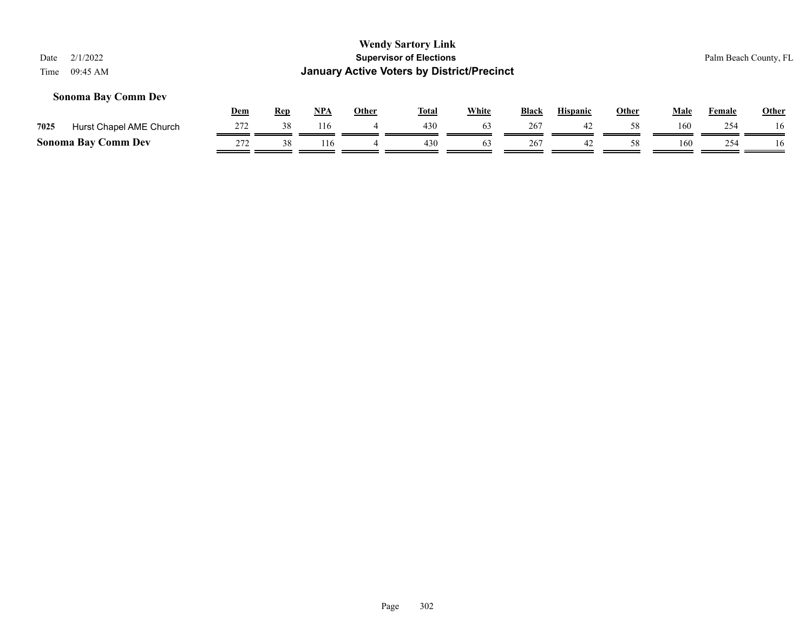### **Sonoma Bay Comm Dev**

|      |                            | Dem | Rep | NP/ | Other | <b>Total</b> | <b>White</b> | Black | <b>Hispanic</b> | Other | Male | Female | <b>Other</b> |
|------|----------------------------|-----|-----|-----|-------|--------------|--------------|-------|-----------------|-------|------|--------|--------------|
| 7025 | Hurst Chapel AME Church    |     |     | .16 |       | 430          |              | 267   |                 |       | 160  | 254    | l 6          |
|      | <b>Sonoma Bay Comm Dev</b> | 272 |     | 116 |       | 430          |              | 267   | 42              |       | 160  | 254    |              |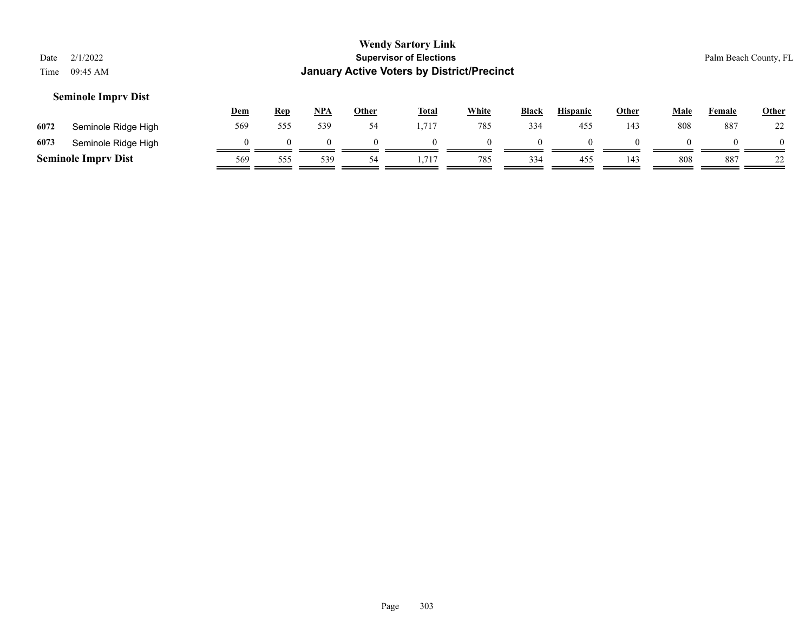| Date<br>Time | 2/1/2022<br>09:45 AM       |            |            |            |          | <b>Wendy Sartory Link</b><br><b>Supervisor of Elections</b><br><b>January Active Voters by District/Precinct</b> |              |              |                 |          |             |               | Palm Beach County, FL |
|--------------|----------------------------|------------|------------|------------|----------|------------------------------------------------------------------------------------------------------------------|--------------|--------------|-----------------|----------|-------------|---------------|-----------------------|
|              | <b>Seminole Imprv Dist</b> | <b>Dem</b> | <b>Rep</b> | <u>NPA</u> | Other    | <b>Total</b>                                                                                                     | <b>White</b> | <b>Black</b> | <b>Hispanic</b> | Other    | <u>Male</u> | <b>Female</b> | Other                 |
| 6072         | Seminole Ridge High        | 569        | 555        | 539        | 54       | 1,717                                                                                                            | 785          | 334          | 455             | 143      | 808         | 887           | 22                    |
| 6073         | Seminole Ridge High        | O          | $\Omega$   |            | $\Omega$ | $\Omega$                                                                                                         | $\theta$     | $\Omega$     | $\theta$        | $\Omega$ |             |               | $\Omega$              |
|              | <b>Seminole Imprv Dist</b> | 569        | 555        | 539        | 54       | 1,717                                                                                                            | 785          | 334          | 455             | 143      | 808         | 887           | 22                    |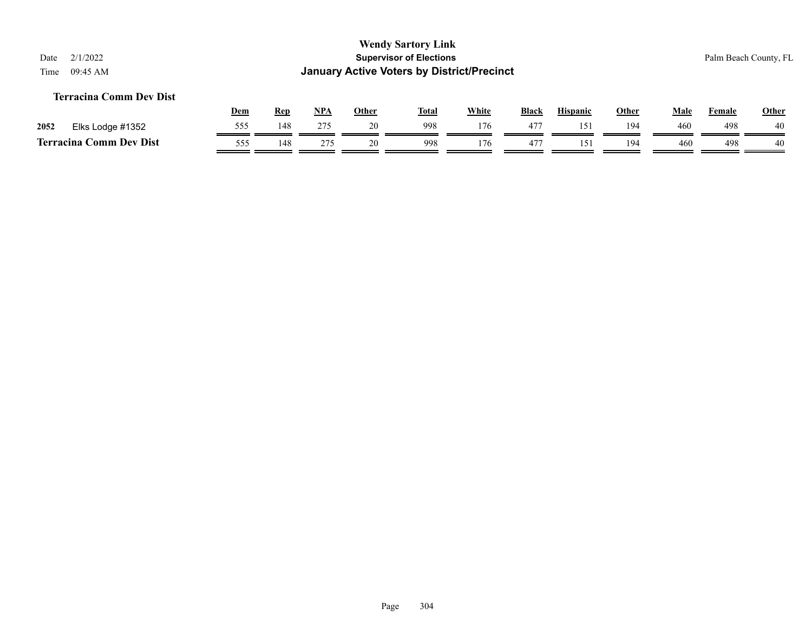### **Terracina Comm Dev Dist**

|      |                              | <u>Dem</u> | <b>Rep</b> | <b>NPA</b> | Other | Tota. | White | Black        | <b>Hispanic</b> | Other | Male | Female | Other |
|------|------------------------------|------------|------------|------------|-------|-------|-------|--------------|-----------------|-------|------|--------|-------|
| 2052 | Elks Lodge #1352             | 555        | 148        | 275        | 20    | 998   | 176   | 477          | 151             | 194   | 460  | 498    | 40    |
|      | Comm Dev Dist<br>Terracina ( | 555        | 148        | 275        | 20    | 998   | 176   | $47^{\circ}$ | ۱۲,             | 194   | 460  | 498    | 40    |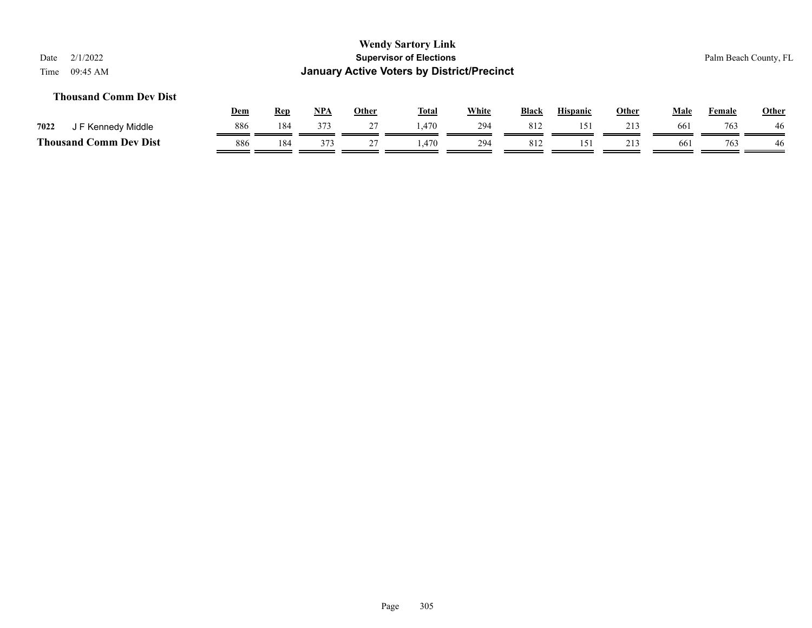# **Thousand Comm Dev Dist**

|                             | <u>Dem</u> | Rep | <b>NPA</b> | Other | <b>Total</b> | <b>White</b> | <b>Black</b> | <b>Hispanic</b> | Other | Male | Female | <b>Other</b> |
|-----------------------------|------------|-----|------------|-------|--------------|--------------|--------------|-----------------|-------|------|--------|--------------|
| 7022<br>F Kennedy Middle    | 886        | 184 | 373        |       | 1.470        | 294          | 812          | 15.             |       | 66   | 763    | 46           |
| Thousand (<br>Comm Dev Dist | 886        | 184 | 27         |       | .470         | 294          | -812         |                 | 213   | 661  | 763    | 46           |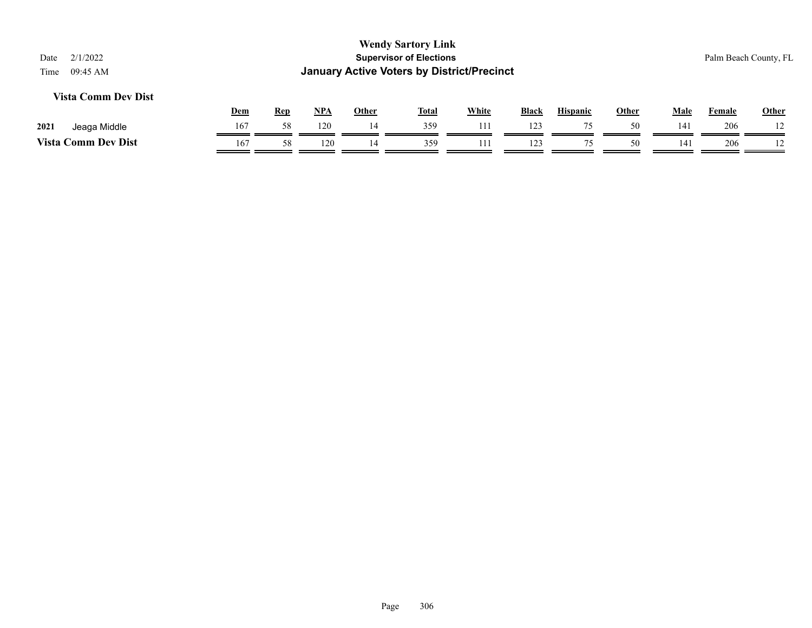### **Vista Comm Dev Dist**

|                          | <b>Dem</b> | Rep | <b>NPA</b> | Other | <b>Total</b> | White | <b>Black</b>    | <b>Hispanic</b> | Other | Male | Female | Other          |
|--------------------------|------------|-----|------------|-------|--------------|-------|-----------------|-----------------|-------|------|--------|----------------|
| 2021<br>Middle<br>Jeaga  | 167        |     | 120        |       | 359          |       | 123             |                 | 50    | 141  | 206    |                |
| Vista C<br>Comm Dev Dist | 167        |     | 120        |       | 359          |       | 12 <sup>2</sup> |                 | 50    | 141  | 206    | $\overline{1}$ |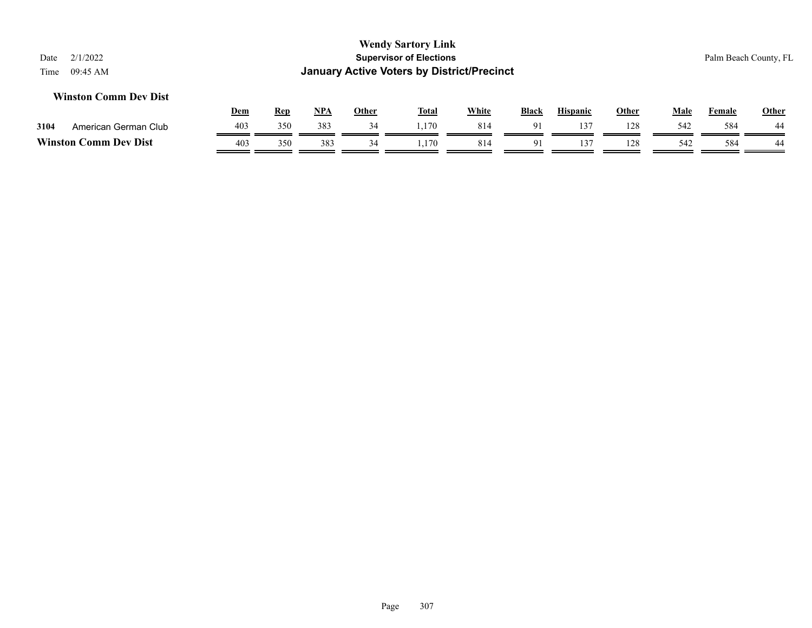#### **Winston Comm Dev Dist**

|         |                      | <u>Dem</u> | Rep | <b>NPA</b> | Other | <b>Total</b> | White | <b>Black</b>           | <b>Hispanic</b> | Other | Male | Female | <b>Other</b> |
|---------|----------------------|------------|-----|------------|-------|--------------|-------|------------------------|-----------------|-------|------|--------|--------------|
| 3104    | American German Club | 403        | 350 | 383        |       | ,170         | 814   | $\Omega$ <sup>-1</sup> | $\sim$          | 128   | 542  | 584    | 44           |
| Winston | Comm Dev Dist        | 403        | 350 | 383        | 34    | . . 170      | 814   |                        |                 | 128   | 542  | 584    | 44           |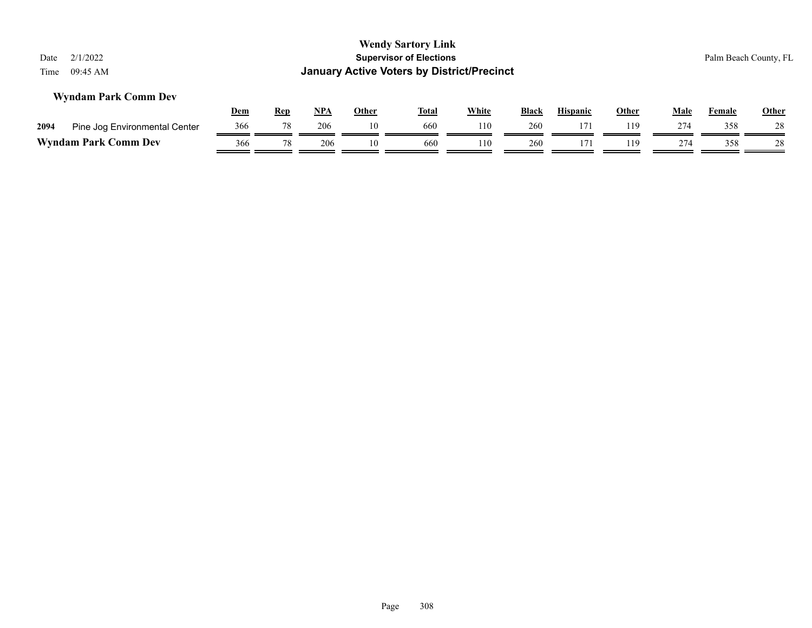| <b>Wendy Sartory Link</b><br><b>Supervisor of Elections</b><br>2/1/2022<br>Palm Beach County, FL<br>Date<br><b>January Active Voters by District/Precinct</b><br>09:45 AM<br>Time |             |        |       |    |     |     |     |     |     |     |     |    |  |
|-----------------------------------------------------------------------------------------------------------------------------------------------------------------------------------|-------------|--------|-------|----|-----|-----|-----|-----|-----|-----|-----|----|--|
| <b>Wyndam Park Comm Dev</b>                                                                                                                                                       | <u>Male</u> | Female | Other |    |     |     |     |     |     |     |     |    |  |
| Pine Jog Environmental Center<br>2094                                                                                                                                             | 366         | 78     | 206   | 10 | 660 | 110 | 260 | 171 | 119 | 274 | 358 | 28 |  |
| <b>Wyndam Park Comm Dev</b>                                                                                                                                                       | 366         | 78     | 206   | 10 | 660 | 110 | 260 | 171 | 119 | 274 | 358 | 28 |  |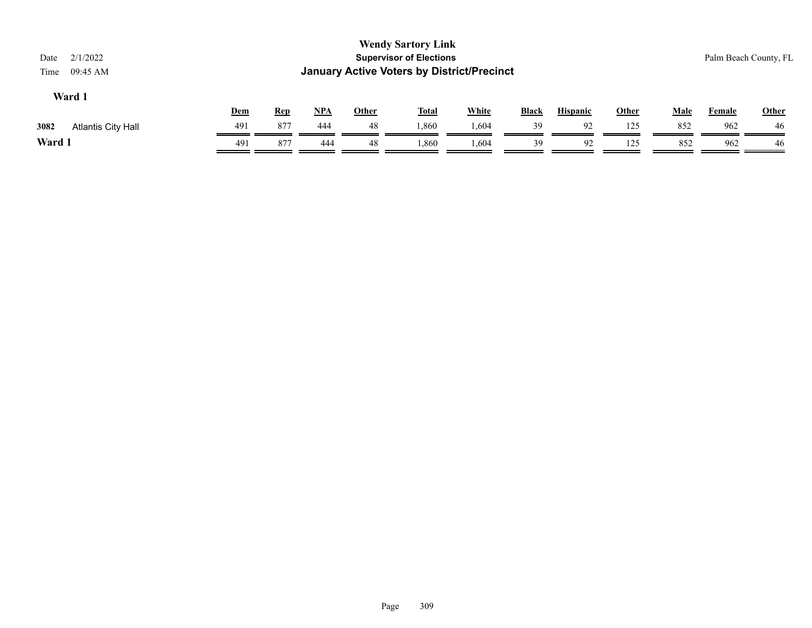| 2/1/2022<br>Date<br>09:45 AM<br>Time |     |            |            |              | <b>Wendy Sartory Link</b><br><b>Supervisor of Elections</b><br><b>January Active Voters by District/Precinct</b> |              |              |                 |       |             |               | Palm Beach County, FL |
|--------------------------------------|-----|------------|------------|--------------|------------------------------------------------------------------------------------------------------------------|--------------|--------------|-----------------|-------|-------------|---------------|-----------------------|
| Ward 1                               | Dem | <b>Rep</b> | <u>NPA</u> | <b>Other</b> | <b>Total</b>                                                                                                     | <b>White</b> | <b>Black</b> | <b>Hispanic</b> | Other | <b>Male</b> | <b>Female</b> | Other                 |
| 3082<br><b>Atlantis City Hall</b>    | 491 | 877        | 444        | 48           | 1,860                                                                                                            | 1,604        | 39           | 92              | 125   | 852         | 962           | 46                    |
| Ward 1                               | 491 | 877        | 444        | 48           | 1,860                                                                                                            | 1,604        | 39           | 92              | 125   | 852         | 962           | 46                    |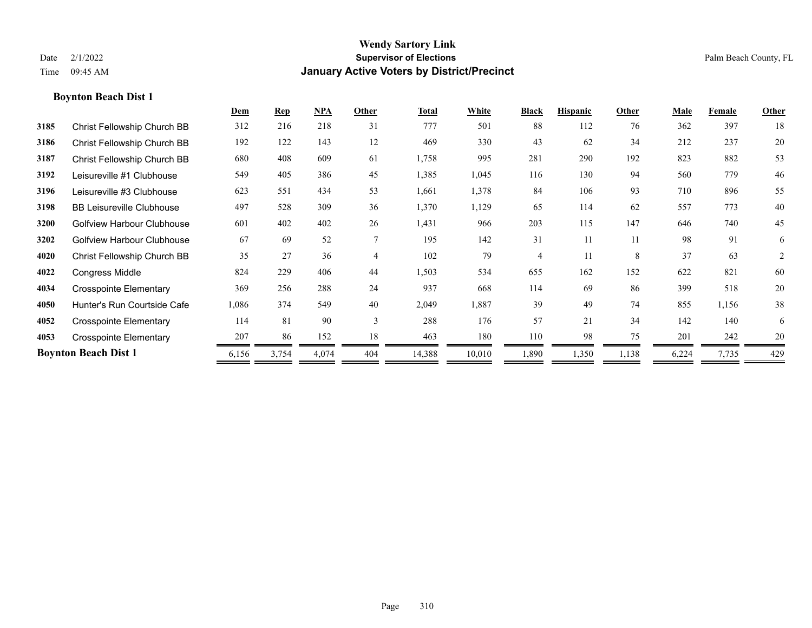### **Boynton Beach Dist 1**

|      |                                   | Dem   | <b>Rep</b> | NPA   | Other          | <b>Total</b> | White  | <b>Black</b>   | <b>Hispanic</b> | Other | Male  | Female | Other          |
|------|-----------------------------------|-------|------------|-------|----------------|--------------|--------|----------------|-----------------|-------|-------|--------|----------------|
| 3185 | Christ Fellowship Church BB       | 312   | 216        | 218   | 31             | 777          | 501    | 88             | 112             | 76    | 362   | 397    | 18             |
| 3186 | Christ Fellowship Church BB       | 192   | 122        | 143   | 12             | 469          | 330    | 43             | 62              | 34    | 212   | 237    | 20             |
| 3187 | Christ Fellowship Church BB       | 680   | 408        | 609   | 61             | 1,758        | 995    | 281            | 290             | 192   | 823   | 882    | 53             |
| 3192 | Leisureville #1 Clubhouse         | 549   | 405        | 386   | 45             | 1,385        | 1,045  | 116            | 130             | 94    | 560   | 779    | 46             |
| 3196 | Leisureville #3 Clubhouse         | 623   | 551        | 434   | 53             | 1,661        | 1,378  | 84             | 106             | 93    | 710   | 896    | 55             |
| 3198 | <b>BB Leisureville Clubhouse</b>  | 497   | 528        | 309   | 36             | 1,370        | 1,129  | 65             | 114             | 62    | 557   | 773    | 40             |
| 3200 | <b>Golfview Harbour Clubhouse</b> | 601   | 402        | 402   | 26             | 1,431        | 966    | 203            | 115             | 147   | 646   | 740    | 45             |
| 3202 | <b>Golfview Harbour Clubhouse</b> | 67    | 69         | 52    |                | 195          | 142    | 31             | 11              | 11    | 98    | 91     | 6              |
| 4020 | Christ Fellowship Church BB       | 35    | 27         | 36    | $\overline{4}$ | 102          | 79     | $\overline{4}$ | 11              | 8     | 37    | 63     | $\overline{2}$ |
| 4022 | Congress Middle                   | 824   | 229        | 406   | 44             | 1,503        | 534    | 655            | 162             | 152   | 622   | 821    | 60             |
| 4034 | <b>Crosspointe Elementary</b>     | 369   | 256        | 288   | 24             | 937          | 668    | 114            | 69              | 86    | 399   | 518    | 20             |
| 4050 | Hunter's Run Courtside Cafe       | 1,086 | 374        | 549   | 40             | 2,049        | 1,887  | 39             | 49              | 74    | 855   | 1,156  | 38             |
| 4052 | <b>Crosspointe Elementary</b>     | 114   | 81         | 90    | 3              | 288          | 176    | 57             | 21              | 34    | 142   | 140    | 6              |
| 4053 | <b>Crosspointe Elementary</b>     | 207   | 86         | 152   | 18             | 463          | 180    | 110            | 98              | 75    | 201   | 242    | 20             |
|      | <b>Boynton Beach Dist 1</b>       | 6,156 | 3,754      | 4,074 | 404            | 14,388       | 10,010 | 1,890          | 1,350           | 1,138 | 6,224 | 7,735  | 429            |
|      |                                   |       |            |       |                |              |        |                |                 |       |       |        |                |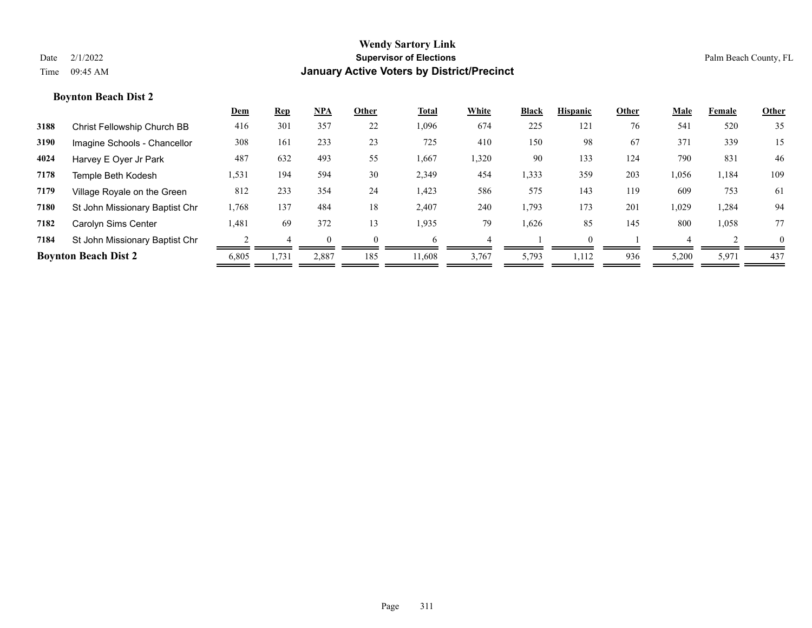### **Boynton Beach Dist 2**

|      |                                | <b>Dem</b> | Rep   | $NPA$ | Other    | Total  | White | <b>Black</b> | <b>Hispanic</b> | Other | Male  | Female | Other    |
|------|--------------------------------|------------|-------|-------|----------|--------|-------|--------------|-----------------|-------|-------|--------|----------|
| 3188 | Christ Fellowship Church BB    | 416        | 301   | 357   | 22       | 1,096  | 674   | 225          | 121             | 76    | 541   | 520    | 35       |
| 3190 | Imagine Schools - Chancellor   | 308        | 161   | 233   | 23       | 725    | 410   | 150          | 98              | 67    | 371   | 339    | 15       |
| 4024 | Harvey E Oyer Jr Park          | 487        | 632   | 493   | 55       | 1,667  | 1,320 | 90           | 133             | 124   | 790   | 831    | 46       |
| 7178 | Temple Beth Kodesh             | 1,531      | 194   | 594   | 30       | 2,349  | 454   | 1,333        | 359             | 203   | 1,056 | 1,184  | 109      |
| 7179 | Village Royale on the Green    | 812        | 233   | 354   | 24       | 1,423  | 586   | 575          | 143             | 119   | 609   | 753    | 61       |
| 7180 | St John Missionary Baptist Chr | 1,768      | 137   | 484   | 18       | 2,407  | 240   | 1,793        | 173             | 201   | 1,029 | 1,284  | 94       |
| 7182 | Carolyn Sims Center            | 1,481      | 69    | 372   | 13       | 1,935  | 79    | 1,626        | 85              | 145   | 800   | 1,058  | 77       |
| 7184 | St John Missionary Baptist Chr |            |       |       | $\Omega$ | h      |       |              | $\Omega$        |       |       |        | $\theta$ |
|      | <b>Boynton Beach Dist 2</b>    | 6,805      | 1,731 | 2,887 | 185      | 11,608 | 3,767 | 5,793        | 1.112           | 936   | 5,200 | 5,971  | 437      |
|      |                                |            |       |       |          |        |       |              |                 |       |       |        |          |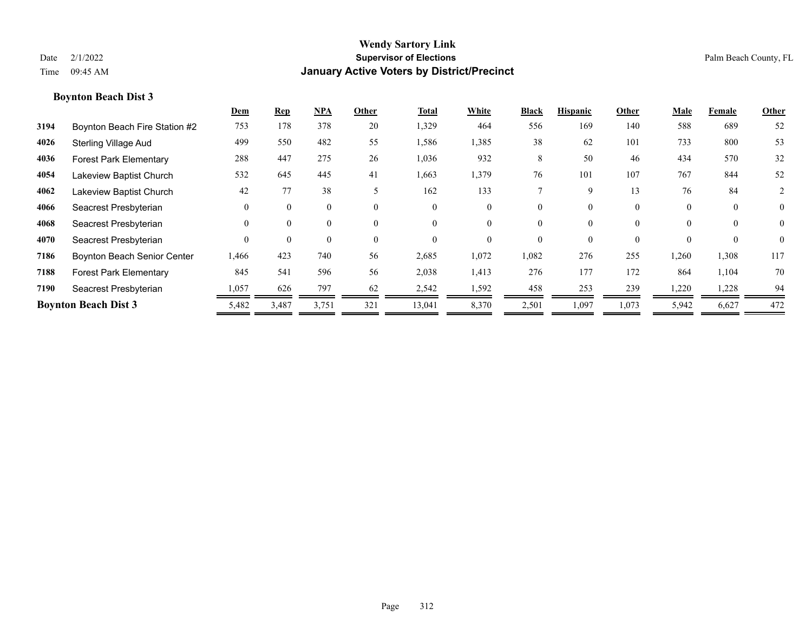### **Boynton Beach Dist 3**

|      |                               | Dem      | <b>Rep</b> | $NPA$    | Other                    | Total    | White    | <b>Black</b> | <b>Hispanic</b> | Other    | Male     | Female   | Other          |
|------|-------------------------------|----------|------------|----------|--------------------------|----------|----------|--------------|-----------------|----------|----------|----------|----------------|
| 3194 | Boynton Beach Fire Station #2 | 753      | 178        | 378      | 20                       | 1,329    | 464      | 556          | 169             | 140      | 588      | 689      | 52             |
| 4026 | <b>Sterling Village Aud</b>   | 499      | 550        | 482      | 55                       | 1,586    | 1,385    | 38           | 62              | 101      | 733      | 800      | 53             |
| 4036 | <b>Forest Park Elementary</b> | 288      | 447        | 275      | 26                       | 1,036    | 932      | 8            | 50              | 46       | 434      | 570      | 32             |
| 4054 | Lakeview Baptist Church       | 532      | 645        | 445      | 41                       | 1,663    | 1,379    | 76           | 101             | 107      | 767      | 844      | 52             |
| 4062 | Lakeview Baptist Church       | 42       | 77         | 38       | $\overline{\mathcal{L}}$ | 162      | 133      |              | 9               | 13       | 76       | 84       | 2              |
| 4066 | Seacrest Presbyterian         | $\theta$ | $\theta$   | 0        | $\theta$                 | $\theta$ | $\Omega$ | $\theta$     | $\theta$        | $\theta$ | $\theta$ | $\theta$ | $\overline{0}$ |
| 4068 | Seacrest Presbyterian         | $\theta$ | $\theta$   | 0        | $\theta$                 | $\theta$ |          | $\Omega$     | $\theta$        | $\Omega$ | $\theta$ | $\theta$ | $\overline{0}$ |
| 4070 | Seacrest Presbyterian         | $\theta$ | $\theta$   | $\Omega$ | $\theta$                 | $\theta$ |          | $\Omega$     | $\Omega$        | $\theta$ | $\Omega$ | $\Omega$ | $\theta$       |
| 7186 | Boynton Beach Senior Center   | 1,466    | 423        | 740      | 56                       | 2,685    | 1,072    | 1,082        | 276             | 255      | 1,260    | 1,308    | 117            |
| 7188 | <b>Forest Park Elementary</b> | 845      | 541        | 596      | 56                       | 2,038    | 1,413    | 276          | 177             | 172      | 864      | 1,104    | 70             |
| 7190 | Seacrest Presbyterian         | 1,057    | 626        | 797      | 62                       | 2,542    | 1,592    | 458          | 253             | 239      | 1,220    | 1,228    | 94             |
|      | <b>Boynton Beach Dist 3</b>   | 5,482    | 3,487      | 3,751    | 321                      | 13,041   | 8,370    | 2,501        | 1,097           | 1,073    | 5,942    | 6,627    | 472            |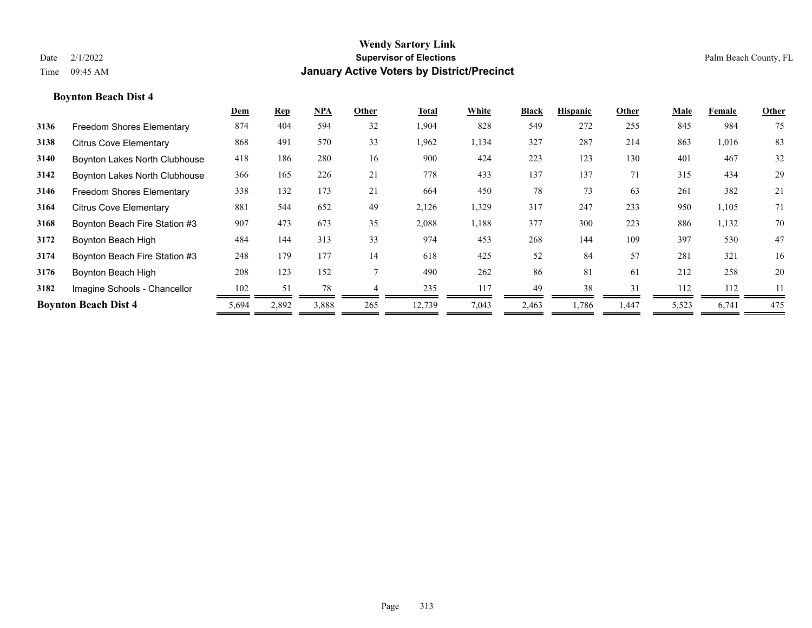|      |                                  | Dem   | <b>Rep</b> | NPA   | Other | Total  | White | Black | <b>Hispanic</b> | Other | Male  | Female | Other |
|------|----------------------------------|-------|------------|-------|-------|--------|-------|-------|-----------------|-------|-------|--------|-------|
| 3136 | <b>Freedom Shores Elementary</b> | 874   | 404        | 594   | 32    | 1,904  | 828   | 549   | 272             | 255   | 845   | 984    | 75    |
| 3138 | <b>Citrus Cove Elementary</b>    | 868   | 491        | 570   | 33    | 1,962  | 1,134 | 327   | 287             | 214   | 863   | 1,016  | 83    |
| 3140 | Boynton Lakes North Clubhouse    | 418   | 186        | 280   | 16    | 900    | 424   | 223   | 123             | 130   | 401   | 467    | 32    |
| 3142 | Boynton Lakes North Clubhouse    | 366   | 165        | 226   | 21    | 778    | 433   | 137   | 137             | 71    | 315   | 434    | 29    |
| 3146 | <b>Freedom Shores Elementary</b> | 338   | 132        | 173   | 21    | 664    | 450   | 78    | 73              | 63    | 261   | 382    | 21    |
| 3164 | <b>Citrus Cove Elementary</b>    | 881   | 544        | 652   | 49    | 2,126  | 1,329 | 317   | 247             | 233   | 950   | 1,105  | 71    |
| 3168 | Boynton Beach Fire Station #3    | 907   | 473        | 673   | 35    | 2,088  | 1,188 | 377   | 300             | 223   | 886   | 1,132  | 70    |
| 3172 | Boynton Beach High               | 484   | 144        | 313   | 33    | 974    | 453   | 268   | 144             | 109   | 397   | 530    | 47    |
| 3174 | Boynton Beach Fire Station #3    | 248   | 179        | 177   | 14    | 618    | 425   | 52    | 84              | 57    | 281   | 321    | 16    |
| 3176 | Boynton Beach High               | 208   | 123        | 152   |       | 490    | 262   | 86    | 81              | 61    | 212   | 258    | 20    |
| 3182 | Imagine Schools - Chancellor     | 102   | 51         | 78    |       | 235    | 117   | 49    | 38              | 31    | 112   | 112    | 11    |
|      | <b>Boynton Beach Dist 4</b>      | 5,694 | 2,892      | 3,888 | 265   | 12,739 | 7,043 | 2,463 | 1,786           | 1,447 | 5,523 | 6,741  | 475   |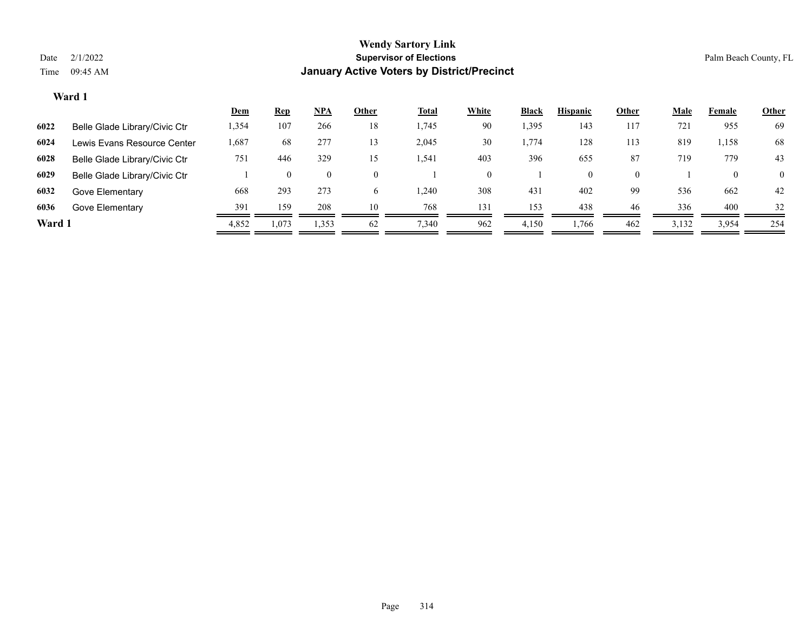|        |                               | <u>Dem</u> | <u>Rep</u> | NPA            | Other    | <b>Total</b> | <b>White</b> | <b>Black</b> | <b>Hispanic</b> | Other    | <b>Male</b> | Female | <b>Other</b>   |
|--------|-------------------------------|------------|------------|----------------|----------|--------------|--------------|--------------|-----------------|----------|-------------|--------|----------------|
| 6022   | Belle Glade Library/Civic Ctr | 1,354      | 107        | 266            | 18       | 1,745        | 90           | 1,395        | 143             | 117      | 721         | 955    | 69             |
| 6024   | Lewis Evans Resource Center   | .687       | 68         | 277            | 13       | 2,045        | 30           | 1,774        | 128             | 113      | 819         | 1,158  | 68             |
| 6028   | Belle Glade Library/Civic Ctr | 751        | 446        | 329            | 15       | 1,541        | 403          | 396          | 655             | 87       | 719         | 779    | 43             |
| 6029   | Belle Glade Library/Civic Ctr |            | $\theta$   | $\overline{0}$ | $\Omega$ |              |              |              | $\overline{0}$  | $\Omega$ |             |        | $\overline{0}$ |
| 6032   | Gove Elementary               | 668        | 293        | 273            | 6        | 1.240        | 308          | 431          | 402             | 99       | 536         | 662    | 42             |
| 6036   | Gove Elementary               | 391        | 159        | 208            | 10       | 768          | 131          | 153          | 438             | 46       | 336         | 400    | 32             |
| Ward 1 |                               | 4,852      | 1,073      | 1,353          | 62       | 7,340        | 962          | 4,150        | 1,766           | 462      | 3,132       | 3,954  | 254            |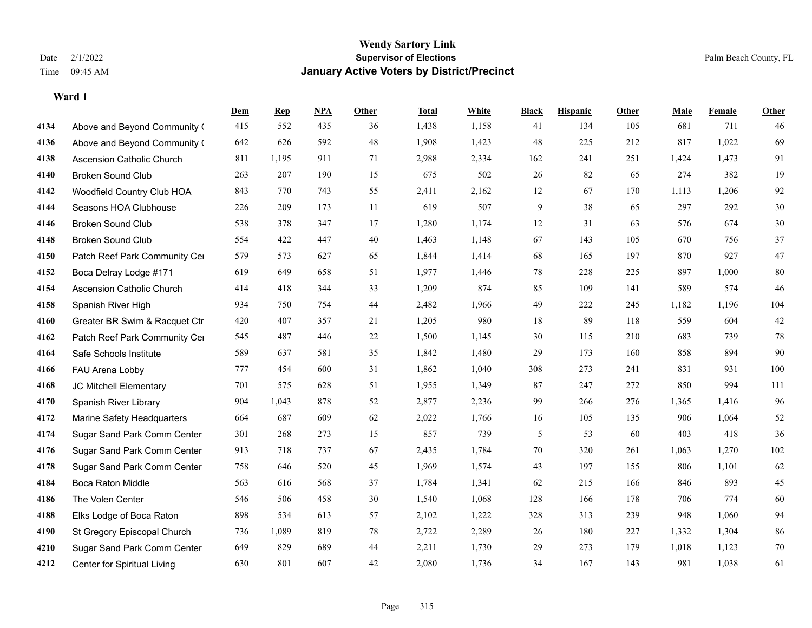|      |                                  | Dem | <b>Rep</b> | NPA | <b>Other</b> | <b>Total</b> | <b>White</b> | <b>Black</b> | <b>Hispanic</b> | <b>Other</b> | <b>Male</b> | <b>Female</b> | <b>Other</b> |
|------|----------------------------------|-----|------------|-----|--------------|--------------|--------------|--------------|-----------------|--------------|-------------|---------------|--------------|
| 4134 | Above and Beyond Community (     | 415 | 552        | 435 | 36           | 1,438        | 1,158        | 41           | 134             | 105          | 681         | 711           | 46           |
| 4136 | Above and Beyond Community (     | 642 | 626        | 592 | 48           | 1,908        | 1,423        | 48           | 225             | 212          | 817         | 1,022         | 69           |
| 4138 | <b>Ascension Catholic Church</b> | 811 | 1,195      | 911 | 71           | 2,988        | 2,334        | 162          | 241             | 251          | 1,424       | 1,473         | 91           |
| 4140 | <b>Broken Sound Club</b>         | 263 | 207        | 190 | 15           | 675          | 502          | 26           | 82              | 65           | 274         | 382           | 19           |
| 4142 | Woodfield Country Club HOA       | 843 | 770        | 743 | 55           | 2,411        | 2,162        | 12           | 67              | 170          | 1,113       | 1,206         | 92           |
| 4144 | Seasons HOA Clubhouse            | 226 | 209        | 173 | 11           | 619          | 507          | 9            | 38              | 65           | 297         | 292           | $30\,$       |
| 4146 | <b>Broken Sound Club</b>         | 538 | 378        | 347 | 17           | 1,280        | 1,174        | 12           | 31              | 63           | 576         | 674           | $30\,$       |
| 4148 | <b>Broken Sound Club</b>         | 554 | 422        | 447 | 40           | 1,463        | 1,148        | 67           | 143             | 105          | 670         | 756           | 37           |
| 4150 | Patch Reef Park Community Cer    | 579 | 573        | 627 | 65           | 1,844        | 1,414        | 68           | 165             | 197          | 870         | 927           | $47\,$       |
| 4152 | Boca Delray Lodge #171           | 619 | 649        | 658 | 51           | 1,977        | 1,446        | 78           | 228             | 225          | 897         | 1,000         | 80           |
| 4154 | Ascension Catholic Church        | 414 | 418        | 344 | 33           | 1,209        | 874          | 85           | 109             | 141          | 589         | 574           | 46           |
| 4158 | Spanish River High               | 934 | 750        | 754 | 44           | 2,482        | 1,966        | 49           | 222             | 245          | 1,182       | 1,196         | 104          |
| 4160 | Greater BR Swim & Racquet Ctr    | 420 | 407        | 357 | 21           | 1,205        | 980          | 18           | 89              | 118          | 559         | 604           | $42\,$       |
| 4162 | Patch Reef Park Community Cer    | 545 | 487        | 446 | $22\,$       | 1,500        | 1,145        | $30\,$       | 115             | 210          | 683         | 739           | $78\,$       |
| 4164 | Safe Schools Institute           | 589 | 637        | 581 | 35           | 1,842        | 1,480        | 29           | 173             | 160          | 858         | 894           | 90           |
| 4166 | FAU Arena Lobby                  | 777 | 454        | 600 | 31           | 1,862        | 1,040        | 308          | 273             | 241          | 831         | 931           | 100          |
| 4168 | JC Mitchell Elementary           | 701 | 575        | 628 | 51           | 1,955        | 1,349        | 87           | 247             | 272          | 850         | 994           | $111\,$      |
| 4170 | Spanish River Library            | 904 | 1,043      | 878 | 52           | 2,877        | 2,236        | 99           | 266             | 276          | 1,365       | 1,416         | 96           |
| 4172 | Marine Safety Headquarters       | 664 | 687        | 609 | 62           | 2,022        | 1,766        | 16           | 105             | 135          | 906         | 1,064         | 52           |
| 4174 | Sugar Sand Park Comm Center      | 301 | 268        | 273 | 15           | 857          | 739          | 5            | 53              | 60           | 403         | 418           | 36           |
| 4176 | Sugar Sand Park Comm Center      | 913 | 718        | 737 | 67           | 2,435        | 1,784        | 70           | 320             | 261          | 1,063       | 1,270         | 102          |
| 4178 | Sugar Sand Park Comm Center      | 758 | 646        | 520 | 45           | 1,969        | 1,574        | 43           | 197             | 155          | 806         | 1,101         | 62           |
| 4184 | <b>Boca Raton Middle</b>         | 563 | 616        | 568 | 37           | 1,784        | 1,341        | 62           | 215             | 166          | 846         | 893           | $45\,$       |
| 4186 | The Volen Center                 | 546 | 506        | 458 | 30           | 1,540        | 1,068        | 128          | 166             | 178          | 706         | 774           | 60           |
| 4188 | Elks Lodge of Boca Raton         | 898 | 534        | 613 | 57           | 2,102        | 1,222        | 328          | 313             | 239          | 948         | 1,060         | 94           |
| 4190 | St Gregory Episcopal Church      | 736 | 1,089      | 819 | 78           | 2,722        | 2,289        | 26           | 180             | 227          | 1,332       | 1,304         | 86           |
| 4210 | Sugar Sand Park Comm Center      | 649 | 829        | 689 | 44           | 2,211        | 1,730        | 29           | 273             | 179          | 1,018       | 1,123         | 70           |
| 4212 | Center for Spiritual Living      | 630 | 801        | 607 | 42           | 2,080        | 1,736        | 34           | 167             | 143          | 981         | 1,038         | 61           |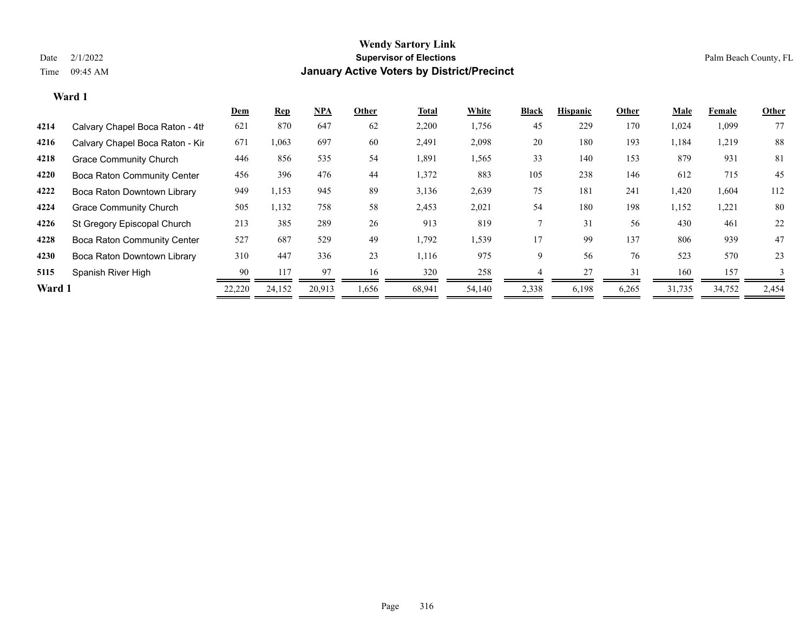|        |                                    | <b>Dem</b> | <b>Rep</b> | <u>NPA</u> | Other | Total  | White  | <b>Black</b> | <b>Hispanic</b> | Other | <u>Male</u> | Female | Other |
|--------|------------------------------------|------------|------------|------------|-------|--------|--------|--------------|-----------------|-------|-------------|--------|-------|
| 4214   | Calvary Chapel Boca Raton - 4th    | 621        | 870        | 647        | 62    | 2,200  | 1,756  | 45           | 229             | 170   | 1,024       | 1,099  | 77    |
| 4216   | Calvary Chapel Boca Raton - Kir    | 671        | 1,063      | 697        | 60    | 2,491  | 2,098  | 20           | 180             | 193   | 1,184       | 1,219  | 88    |
| 4218   | <b>Grace Community Church</b>      | 446        | 856        | 535        | 54    | 1,891  | 1,565  | 33           | 140             | 153   | 879         | 931    | 81    |
| 4220   | <b>Boca Raton Community Center</b> | 456        | 396        | 476        | 44    | 1,372  | 883    | 105          | 238             | 146   | 612         | 715    | 45    |
| 4222   | Boca Raton Downtown Library        | 949        | 1,153      | 945        | 89    | 3,136  | 2,639  | 75           | 181             | 241   | 1,420       | 1,604  | 112   |
| 4224   | <b>Grace Community Church</b>      | 505        | 1,132      | 758        | 58    | 2,453  | 2,021  | 54           | 180             | 198   | 1,152       | 1,221  | 80    |
| 4226   | St Gregory Episcopal Church        | 213        | 385        | 289        | 26    | 913    | 819    |              | 31              | 56    | 430         | 461    | 22    |
| 4228   | <b>Boca Raton Community Center</b> | 527        | 687        | 529        | 49    | 1,792  | 1,539  | 17           | 99              | 137   | 806         | 939    | 47    |
| 4230   | Boca Raton Downtown Library        | 310        | 447        | 336        | 23    | 1,116  | 975    | 9            | 56              | 76    | 523         | 570    | 23    |
| 5115   | Spanish River High                 | 90         | 117        | 97         | 16    | 320    | 258    |              | 27              | 31    | 160         | 157    |       |
| Ward 1 |                                    | 22,220     | 24,152     | 20,913     | 1,656 | 68,941 | 54,140 | 2,338        | 6,198           | 6,265 | 31,735      | 34,752 | 2,454 |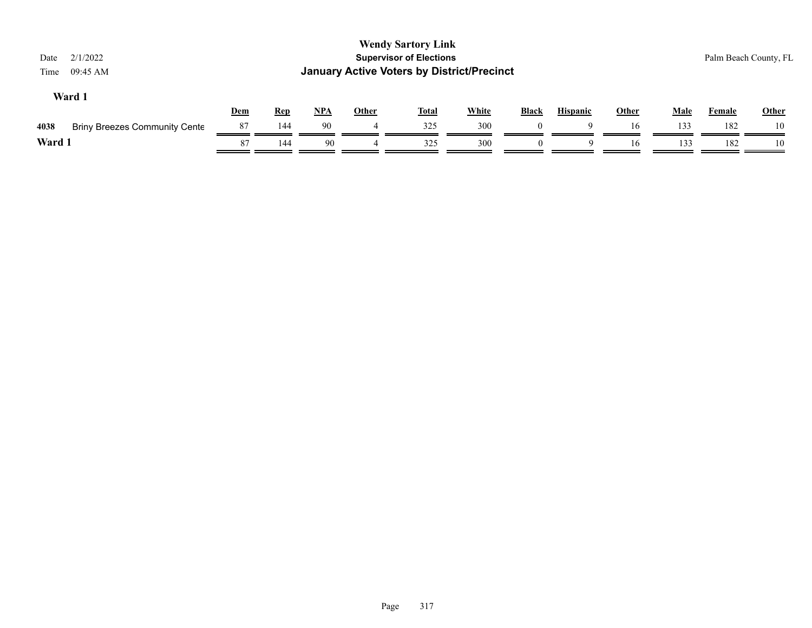| 2/1/2022<br>Date<br>09:45 AM<br>Time         |     |            |            |              | <b>Wendy Sartory Link</b><br><b>Supervisor of Elections</b><br><b>January Active Voters by District/Precinct</b> |              |              |                 |              |             |               | Palm Beach County, FL |
|----------------------------------------------|-----|------------|------------|--------------|------------------------------------------------------------------------------------------------------------------|--------------|--------------|-----------------|--------------|-------------|---------------|-----------------------|
| Ward 1                                       | Dem | <u>Rep</u> | <u>NPA</u> | <b>Other</b> | <b>Total</b>                                                                                                     | <b>White</b> | <b>Black</b> | <b>Hispanic</b> | <b>Other</b> | <b>Male</b> | <b>Female</b> | Other                 |
| 4038<br><b>Briny Breezes Community Cente</b> | 87  | 144        | 90         | 4            | 325                                                                                                              | 300          |              | $\Omega$        | 16           | 133         | 182           | 10                    |
| Ward 1                                       | 87  | 144        | 90         |              | 325                                                                                                              | 300          |              | 9               | 16           | 133         | 182           | 10                    |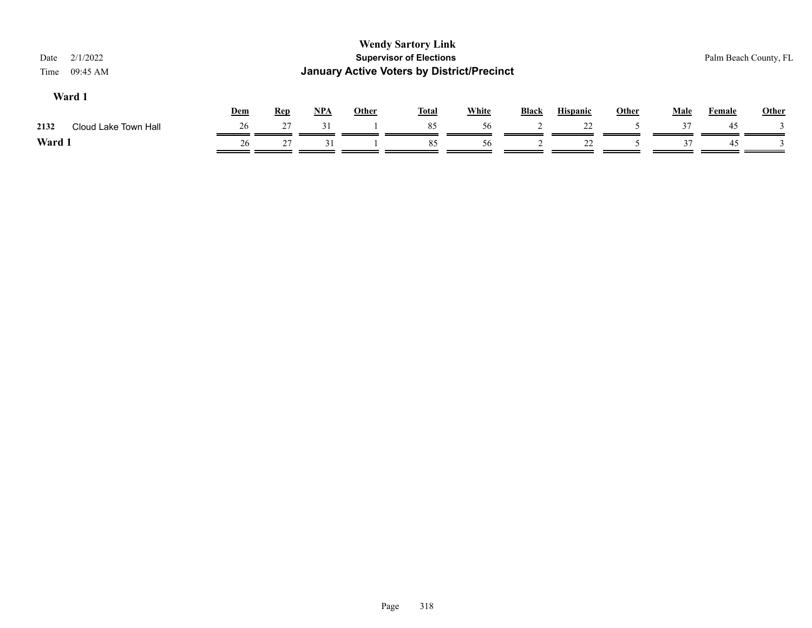| 2/1/2022<br>Date<br>09:45 AM<br>Time |     |            |       |              | <b>Wendy Sartory Link</b><br><b>Supervisor of Elections</b><br><b>January Active Voters by District/Precinct</b> |              |              |                 |       |             | Palm Beach County, FL |              |
|--------------------------------------|-----|------------|-------|--------------|------------------------------------------------------------------------------------------------------------------|--------------|--------------|-----------------|-------|-------------|-----------------------|--------------|
| Ward 1                               | Dem | <b>Rep</b> | $NPA$ | <u>Other</u> | <b>Total</b>                                                                                                     | <b>White</b> | <b>Black</b> | <b>Hispanic</b> | Other | <b>Male</b> | Female                | <b>Other</b> |
| Cloud Lake Town Hall<br>2132         | 26  | 27         | 31    |              | 85                                                                                                               | 56           |              | 22              |       | 37          | 45                    |              |
| Ward 1                               | 26  | 27         | 31    |              | 85                                                                                                               | 56           |              | 22              |       | 37          | -45                   |              |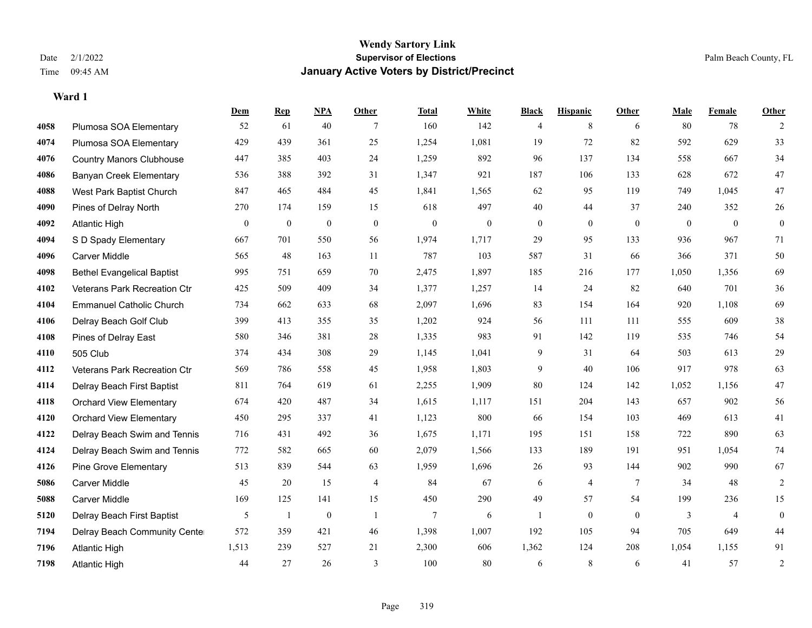**Ward 1**

### **Wendy Sartory Link** Date 2/1/2022 **Supervisor of Elections** Palm Beach County, FL Time 09:45 AM **January Active Voters by District/Precinct**

|      |                                   | <b>Dem</b>       | <b>Rep</b>       | NPA              | <b>Other</b>     | <b>Total</b>     | <b>White</b>     | <b>Black</b>     | <b>Hispanic</b>  | <b>Other</b>     | <b>Male</b>      | <b>Female</b>  | Other            |
|------|-----------------------------------|------------------|------------------|------------------|------------------|------------------|------------------|------------------|------------------|------------------|------------------|----------------|------------------|
| 4058 | Plumosa SOA Elementary            | 52               | 61               | 40               | 7                | 160              | 142              | 4                | 8                | 6                | 80               | 78             | $\overline{2}$   |
| 4074 | Plumosa SOA Elementary            | 429              | 439              | 361              | 25               | 1,254            | 1,081            | 19               | 72               | 82               | 592              | 629            | 33               |
| 4076 | <b>Country Manors Clubhouse</b>   | 447              | 385              | 403              | 24               | 1,259            | 892              | 96               | 137              | 134              | 558              | 667            | 34               |
| 4086 | <b>Banyan Creek Elementary</b>    | 536              | 388              | 392              | 31               | 1,347            | 921              | 187              | 106              | 133              | 628              | 672            | 47               |
| 4088 | West Park Baptist Church          | 847              | 465              | 484              | 45               | 1,841            | 1,565            | 62               | 95               | 119              | 749              | 1.045          | 47               |
| 4090 | Pines of Delray North             | 270              | 174              | 159              | 15               | 618              | 497              | 40               | 44               | 37               | 240              | 352            | 26               |
| 4092 | <b>Atlantic High</b>              | $\boldsymbol{0}$ | $\boldsymbol{0}$ | $\boldsymbol{0}$ | $\boldsymbol{0}$ | $\boldsymbol{0}$ | $\boldsymbol{0}$ | $\boldsymbol{0}$ | $\boldsymbol{0}$ | $\boldsymbol{0}$ | $\boldsymbol{0}$ | $\bf{0}$       | $\boldsymbol{0}$ |
| 4094 | S D Spady Elementary              | 667              | 701              | 550              | 56               | 1,974            | 1,717            | 29               | 95               | 133              | 936              | 967            | 71               |
| 4096 | <b>Carver Middle</b>              | 565              | 48               | 163              | 11               | 787              | 103              | 587              | 31               | 66               | 366              | 371            | 50               |
| 4098 | <b>Bethel Evangelical Baptist</b> | 995              | 751              | 659              | 70               | 2,475            | 1,897            | 185              | 216              | 177              | 1,050            | 1,356          | 69               |
| 4102 | Veterans Park Recreation Ctr      | 425              | 509              | 409              | 34               | 1,377            | 1,257            | 14               | 24               | 82               | 640              | 701            | $36\,$           |
| 4104 | <b>Emmanuel Catholic Church</b>   | 734              | 662              | 633              | 68               | 2,097            | 1,696            | 83               | 154              | 164              | 920              | 1,108          | 69               |
| 4106 | Delray Beach Golf Club            | 399              | 413              | 355              | 35               | 1,202            | 924              | 56               | 111              | 111              | 555              | 609            | $38\,$           |
| 4108 | Pines of Delray East              | 580              | 346              | 381              | $28\,$           | 1,335            | 983              | 91               | 142              | 119              | 535              | 746            | 54               |
| 4110 | 505 Club                          | 374              | 434              | 308              | 29               | 1,145            | 1,041            | 9                | 31               | 64               | 503              | 613            | 29               |
| 4112 | Veterans Park Recreation Ctr      | 569              | 786              | 558              | 45               | 1,958            | 1,803            | 9                | 40               | 106              | 917              | 978            | 63               |
| 4114 | Delray Beach First Baptist        | 811              | 764              | 619              | 61               | 2,255            | 1,909            | 80               | 124              | 142              | 1,052            | 1,156          | $47\,$           |
| 4118 | <b>Orchard View Elementary</b>    | 674              | 420              | 487              | 34               | 1,615            | 1,117            | 151              | 204              | 143              | 657              | 902            | 56               |
| 4120 | <b>Orchard View Elementary</b>    | 450              | 295              | 337              | 41               | 1,123            | 800              | 66               | 154              | 103              | 469              | 613            | 41               |
| 4122 | Delray Beach Swim and Tennis      | 716              | 431              | 492              | 36               | 1,675            | 1,171            | 195              | 151              | 158              | 722              | 890            | 63               |
| 4124 | Delray Beach Swim and Tennis      | 772              | 582              | 665              | 60               | 2,079            | 1,566            | 133              | 189              | 191              | 951              | 1,054          | 74               |
| 4126 | Pine Grove Elementary             | 513              | 839              | 544              | 63               | 1,959            | 1,696            | 26               | 93               | 144              | 902              | 990            | 67               |
| 5086 | <b>Carver Middle</b>              | 45               | 20               | 15               | $\overline{4}$   | 84               | 67               | 6                | 4                | $\overline{7}$   | 34               | 48             | 2                |
| 5088 | <b>Carver Middle</b>              | 169              | 125              | 141              | 15               | 450              | 290              | 49               | 57               | 54               | 199              | 236            | 15               |
| 5120 | Delray Beach First Baptist        | 5                | -1               | $\boldsymbol{0}$ | -1               | $\tau$           | 6                | $\mathbf{1}$     | $\theta$         | $\mathbf{0}$     | 3                | $\overline{4}$ | $\boldsymbol{0}$ |
| 7194 | Delray Beach Community Cente      | 572              | 359              | 421              | 46               | 1,398            | 1,007            | 192              | 105              | 94               | 705              | 649            | 44               |
| 7196 | <b>Atlantic High</b>              | 1,513            | 239              | 527              | 21               | 2,300            | 606              | 1,362            | 124              | 208              | 1,054            | 1,155          | 91               |
| 7198 | <b>Atlantic High</b>              | 44               | 27               | 26               | $\overline{3}$   | 100              | 80               | 6                | 8                | 6                | 41               | 57             | $\overline{2}$   |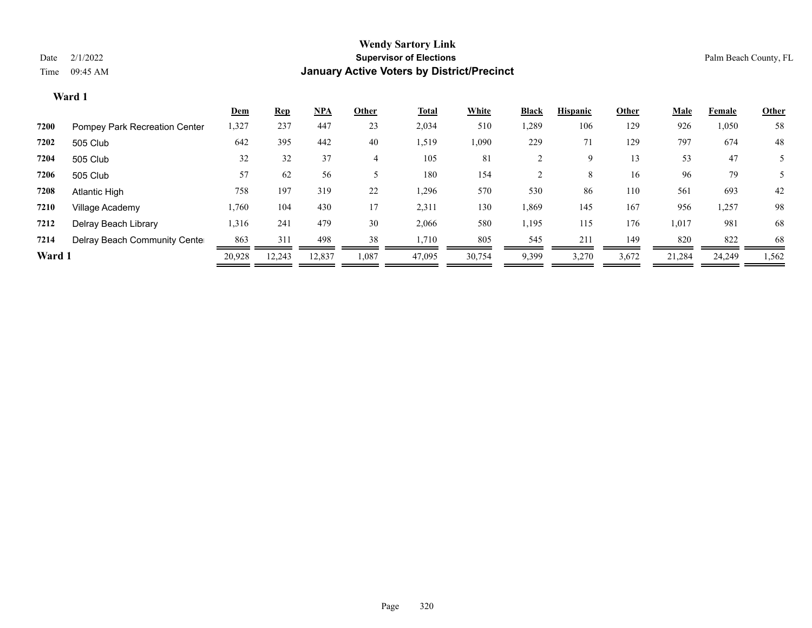|        |                               | Dem    | <b>Rep</b> | <u>NPA</u> | Other | <b>Total</b> | White  | <b>Black</b> | <b>Hispanic</b> | Other | <u>Male</u> | Female | <b>Other</b> |
|--------|-------------------------------|--------|------------|------------|-------|--------------|--------|--------------|-----------------|-------|-------------|--------|--------------|
| 7200   | Pompey Park Recreation Center | 1,327  | 237        | 447        | 23    | 2,034        | 510    | ,289         | 106             | 129   | 926         | 1,050  | 58           |
| 7202   | 505 Club                      | 642    | 395        | 442        | 40    | 1,519        | 1,090  | 229          | 71              | 129   | 797         | 674    | 48           |
| 7204   | 505 Club                      | 32     | 32         | 37         | 4     | 105          | 81     |              | 9               | 13    | 53          | 47     |              |
| 7206   | 505 Club                      | 57     | 62         | 56         |       | 180          | 154    |              | 8               | 16    | 96          | 79     |              |
| 7208   | Atlantic High                 | 758    | 197        | 319        | 22    | 1,296        | 570    | 530          | 86              | 110   | 561         | 693    | 42           |
| 7210   | Village Academy               | 1,760  | 104        | 430        | 17    | 2,311        | 130    | 1,869        | 145             | 167   | 956         | 1,257  | 98           |
| 7212   | Delray Beach Library          | 1,316  | 241        | 479        | 30    | 2,066        | 580    | 1,195        | 115             | 176   | 1,017       | 981    | 68           |
| 7214   | Delray Beach Community Cente  | 863    | 311        | 498        | 38    | 1,710        | 805    | 545          | 211             | 149   | 820         | 822    | 68           |
| Ward 1 |                               | 20,928 | 12,243     | 12,837     | 1,087 | 47,095       | 30,754 | 9,399        | 3,270           | 3,672 | 21,284      | 24,249 | 1,562        |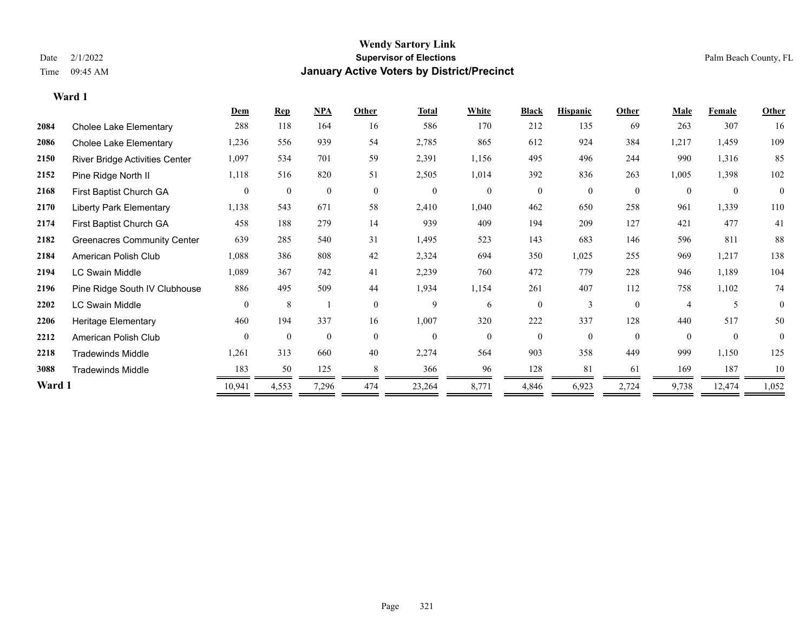**Ward 1**

### **Wendy Sartory Link** Date 2/1/2022 **Supervisor of Elections** Palm Beach County, FL Time 09:45 AM **January Active Voters by District/Precinct**

|        |                                       | Dem            | <b>Rep</b>   | <b>NPA</b>   | Other          | Total          | White        | <b>Black</b> | <b>Hispanic</b> | Other        | <b>Male</b>      | <b>Female</b> | Other    |  |
|--------|---------------------------------------|----------------|--------------|--------------|----------------|----------------|--------------|--------------|-----------------|--------------|------------------|---------------|----------|--|
| 2084   | Cholee Lake Elementary                | 288            | 118          | 164          | 16             | 586            | 170          | 212          | 135             | 69           | 263              | 307           | 16       |  |
| 2086   | Cholee Lake Elementary                | 1,236          | 556          | 939          | 54             | 2,785          | 865          | 612          | 924             | 384          | 1,217            | 1,459         | 109      |  |
| 2150   | <b>River Bridge Activities Center</b> | 1,097          | 534          | 701          | 59             | 2,391          | 1,156        | 495          | 496             | 244          | 990              | 1,316         | 85       |  |
| 2152   | Pine Ridge North II                   | 1,118          | 516          | 820          | 51             | 2,505          | 1,014        | 392          | 836             | 263          | 1,005            | 1,398         | 102      |  |
| 2168   | First Baptist Church GA               | $\mathbf{0}$   | $\mathbf{0}$ | $\mathbf{0}$ | $\overline{0}$ | $\overline{0}$ | $\mathbf{0}$ | $\mathbf{0}$ | $\bf{0}$        | $\mathbf{0}$ | $\boldsymbol{0}$ | $\theta$      | $\theta$ |  |
| 2170   | <b>Liberty Park Elementary</b>        | 1,138          | 543          | 671          | 58             | 2,410          | 1,040        | 462          | 650             | 258          | 961              | 1,339         | 110      |  |
| 2174   | First Baptist Church GA               | 458            | 188          | 279          | 14             | 939            | 409          | 194          | 209             | 127          | 421              | 477           | 41       |  |
| 2182   | <b>Greenacres Community Center</b>    | 639            | 285          | 540          | 31             | 1,495          | 523          | 143          | 683             | 146          | 596              | 811           | 88       |  |
| 2184   | American Polish Club                  | 1,088          | 386          | 808          | 42             | 2,324          | 694          | 350          | 1,025           | 255          | 969              | 1,217         | 138      |  |
| 2194   | LC Swain Middle                       | 1,089          | 367          | 742          | 41             | 2,239          | 760          | 472          | 779             | 228          | 946              | 1,189         | 104      |  |
| 2196   | Pine Ridge South IV Clubhouse         | 886            | 495          | 509          | 44             | 1,934          | 1,154        | 261          | 407             | 112          | 758              | 1,102         | 74       |  |
| 2202   | <b>LC Swain Middle</b>                | $\overline{0}$ | 8            |              | $\overline{0}$ | 9              | 6            | $\mathbf{0}$ | 3               | $\mathbf{0}$ | $\overline{4}$   | 5             | $\theta$ |  |
| 2206   | Heritage Elementary                   | 460            | 194          | 337          | 16             | 1,007          | 320          | 222          | 337             | 128          | 440              | 517           | 50       |  |
| 2212   | American Polish Club                  | $\theta$       | $\mathbf{0}$ | $\mathbf{0}$ | $\mathbf{0}$   | $\theta$       | $\mathbf{0}$ | $\theta$     | $\overline{0}$  | $\theta$     | $\theta$         | $\Omega$      | $\Omega$ |  |
| 2218   | <b>Tradewinds Middle</b>              | 1,261          | 313          | 660          | 40             | 2,274          | 564          | 903          | 358             | 449          | 999              | 1,150         | 125      |  |
| 3088   | <b>Tradewinds Middle</b>              | 183            | 50           | 125          | 8              | 366            | 96           | 128          | 81              | 61           | 169              | 187           | 10       |  |
| Ward 1 |                                       | 10,941         | 4,553        | 7,296        | 474            | 23,264         | 8,771        | 4,846        | 6,923           | 2,724        | 9,738            | 12,474        | 1,052    |  |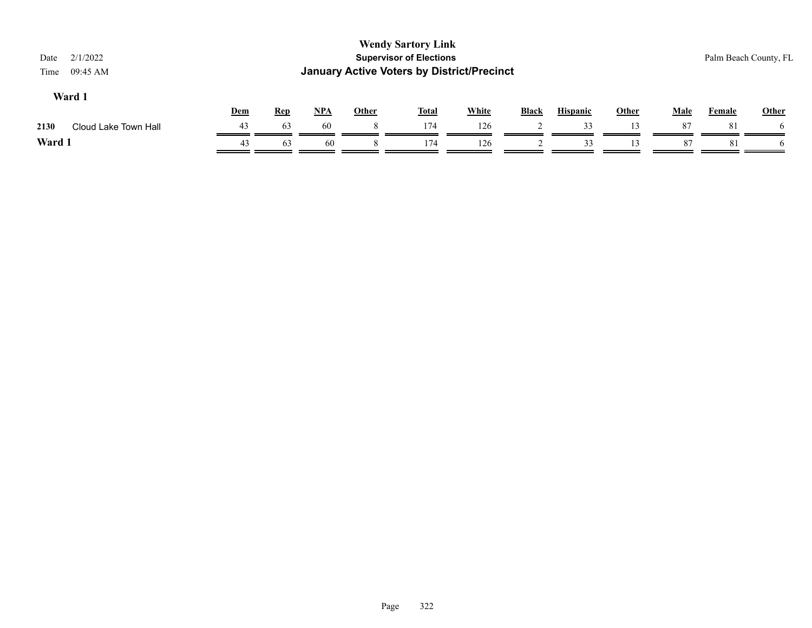| 2/1/2022<br>Date<br>09:45 AM<br>Time     |                            | <b>Wendy Sartory Link</b><br><b>Supervisor of Elections</b><br><b>January Active Voters by District/Precinct</b> |              |              |                 |              |             |        | Palm Beach County, FL |
|------------------------------------------|----------------------------|------------------------------------------------------------------------------------------------------------------|--------------|--------------|-----------------|--------------|-------------|--------|-----------------------|
| Ward 1<br>Dem<br><b>Rep</b>              | <u>NPA</u><br><b>Other</b> | <b>Total</b>                                                                                                     | <b>White</b> | <b>Black</b> | <b>Hispanic</b> | <b>Other</b> | <b>Male</b> | Female | Other                 |
| 43<br>63<br>2130<br>Cloud Lake Town Hall | 60                         | 174                                                                                                              | 126          |              | 33              | 13           | 87          | 81     | <sub>0</sub>          |
| Ward 1<br>43<br>63                       | 60                         | 174                                                                                                              | 126          |              | 33              | 3            | 87          | 81     | <sub>n</sub>          |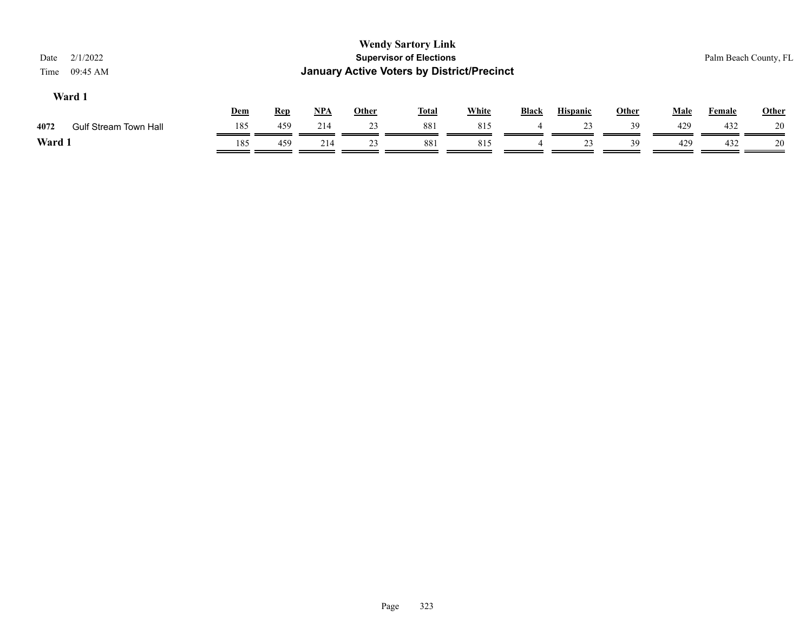| Date<br>Time | 2/1/2022<br>09:45 AM         |     |            |     |              | <b>Wendy Sartory Link</b><br><b>Supervisor of Elections</b><br><b>January Active Voters by District/Precinct</b> |              |              |                 |              |             | Palm Beach County, FL |              |
|--------------|------------------------------|-----|------------|-----|--------------|------------------------------------------------------------------------------------------------------------------|--------------|--------------|-----------------|--------------|-------------|-----------------------|--------------|
|              | Ward 1                       | Dem | <b>Rep</b> | NPA | <u>Other</u> | <b>Total</b>                                                                                                     | <b>White</b> | <b>Black</b> | <b>Hispanic</b> | <b>Other</b> | <b>Male</b> | Female                | <b>Other</b> |
| 4072         | <b>Gulf Stream Town Hall</b> | 185 | 459        | 214 | 23           | 881                                                                                                              | 815          | 4            | 23              | 39           | 429         | 432                   | 20           |
| Ward 1       |                              | 185 | 459        | 214 | 23           | 881                                                                                                              | 815          |              | 23              | 39           | 429         | 432                   | 20           |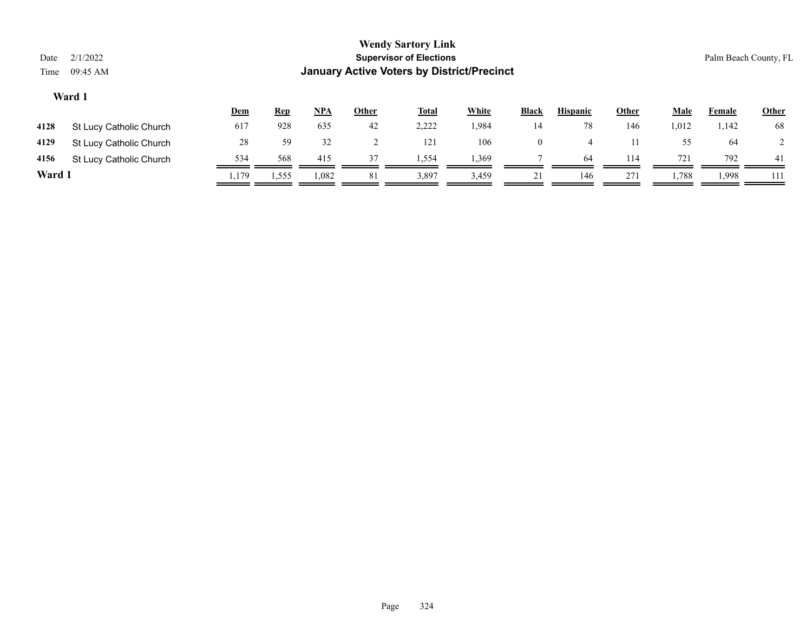| Date<br>Time | 2/1/2022<br>09:45 AM    |       |            |       |              | <b>Wendy Sartory Link</b><br><b>Supervisor of Elections</b><br><b>January Active Voters by District/Precinct</b> |              |                |                 |              |             | Palm Beach County, FL |                |
|--------------|-------------------------|-------|------------|-------|--------------|------------------------------------------------------------------------------------------------------------------|--------------|----------------|-----------------|--------------|-------------|-----------------------|----------------|
|              | Ward 1                  | Dem   | <b>Rep</b> | $NPA$ | <b>Other</b> | <b>Total</b>                                                                                                     | <b>White</b> | <b>Black</b>   | <b>Hispanic</b> | <b>Other</b> | <b>Male</b> | Female                | <b>Other</b>   |
| 4128         | St Lucy Catholic Church | 617   | 928        | 635   | 42           | 2,222                                                                                                            | 1,984        | 14             | 78              | 146          | 1,012       | 1,142                 | 68             |
| 4129         | St Lucy Catholic Church | 28    | 59         | 32    |              | 121                                                                                                              | 106          | $\overline{0}$ | 4               | 11           | 55          | -64                   | $\overline{2}$ |
| 4156         | St Lucy Catholic Church | 534   | 568        | 415   | 37           | 1,554                                                                                                            | 1,369        |                | 64              | 114          | 721         | 792                   | 41             |
| Ward 1       |                         | 1,179 | 1,555      | 1,082 | 81           | 3,897                                                                                                            | 3,459        | 21             | 146             | 271          | 1,788       | .998                  | 111            |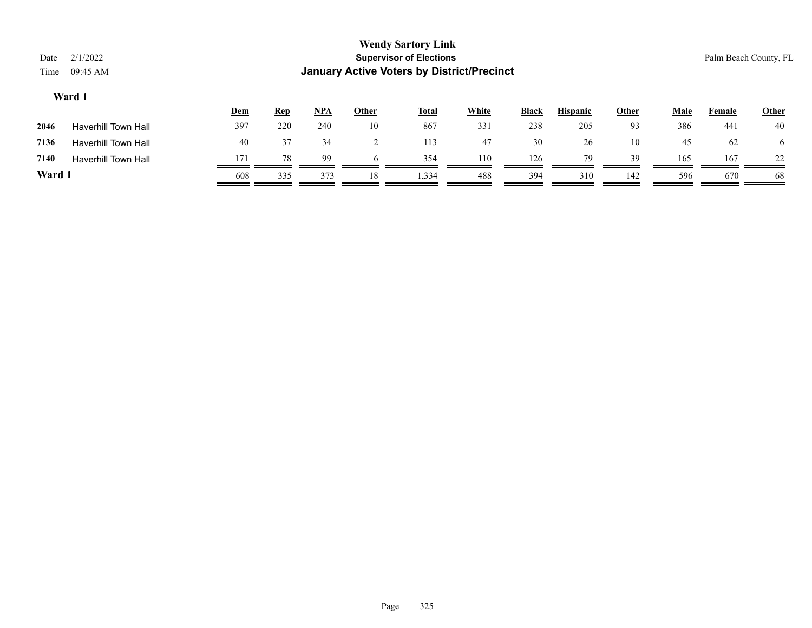| Date<br>Time | 2/1/2022<br>09:45 AM       |     |            |     |       | <b>Wendy Sartory Link</b><br><b>Supervisor of Elections</b><br><b>January Active Voters by District/Precinct</b> |              |       |                 |              |      |        | Palm Beach County, FL |
|--------------|----------------------------|-----|------------|-----|-------|------------------------------------------------------------------------------------------------------------------|--------------|-------|-----------------|--------------|------|--------|-----------------------|
|              | Ward 1                     | Dem | <b>Rep</b> | NPA | Other | <b>Total</b>                                                                                                     | <b>White</b> | Black | <b>Hispanic</b> | <b>Other</b> | Male | Female | <b>Other</b>          |
| 2046         | <b>Haverhill Town Hall</b> | 397 | 220        | 240 | 10    | 867                                                                                                              | 331          | 238   | 205             | 93           | 386  | 441    | 40                    |
| 7136         | <b>Haverhill Town Hall</b> | 40  | 37         | 34  |       | 113                                                                                                              | 47           | 30    | 26              | 10           | 45   | 62     | 6                     |
| 7140         | <b>Haverhill Town Hall</b> | 171 | 78         | 99  | 6     | 354                                                                                                              | 110          | 126   | 79              | 39           | 165  | 167    | 22                    |
| Ward 1       |                            | 608 | 335        | 373 | 18    | 1,334                                                                                                            | 488          | 394   | 310             | 142          | 596  | 670    | 68                    |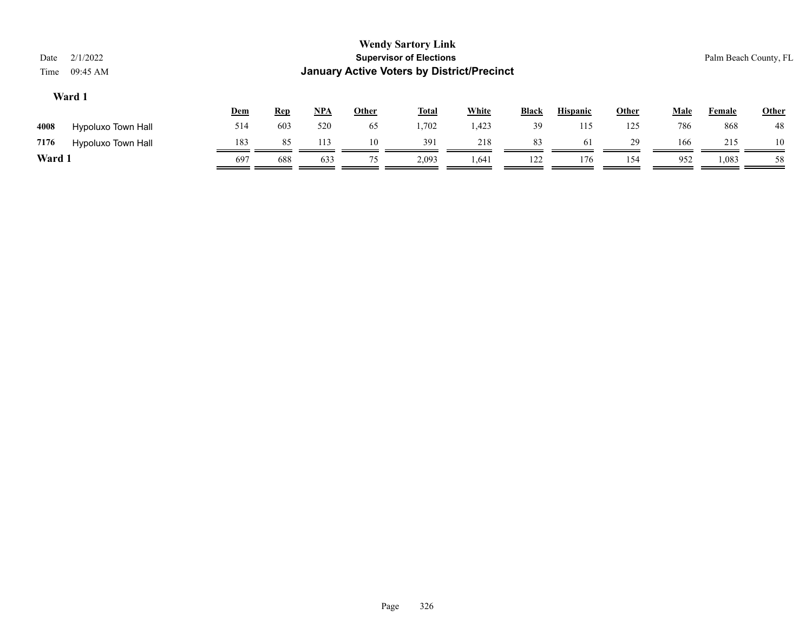| Date<br>Time | 2/1/2022<br>09:45 AM      |            |            |            |       | <b>Wendy Sartory Link</b><br><b>Supervisor of Elections</b><br><b>January Active Voters by District/Precinct</b> |              |              |                 |       |             |        | Palm Beach County, FL |
|--------------|---------------------------|------------|------------|------------|-------|------------------------------------------------------------------------------------------------------------------|--------------|--------------|-----------------|-------|-------------|--------|-----------------------|
|              | Ward 1                    | <b>Dem</b> | <b>Rep</b> | <u>NPA</u> | Other | <u>Total</u>                                                                                                     | <b>White</b> | <b>Black</b> | <b>Hispanic</b> | Other | <u>Male</u> | Female | Other                 |
| 4008         | <b>Hypoluxo Town Hall</b> | 514        | 603        | 520        | 65    | 1,702                                                                                                            | 1,423        | 39           | 115             | 125   | 786         | 868    | 48                    |
| 7176         | <b>Hypoluxo Town Hall</b> | 183        | 85         | 113        | 10    | 391                                                                                                              | 218          | 83           | 61              | 29    | 166         | 215    | 10                    |
| Ward 1       |                           | 697        | 688        | 633        | 75    | 2,093                                                                                                            | 1,64         | 122          | 176             | 154   | 952         | 1,083  | 58                    |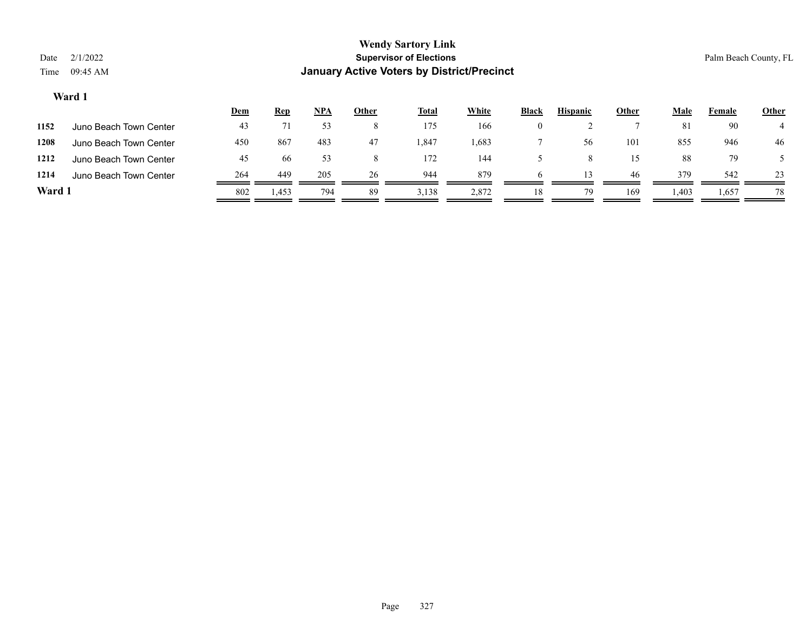## **Wendy Sartory Link** Date 2/1/2022 **Supervisor of Elections** Palm Beach County, FL Time 09:45 AM **January Active Voters by District/Precinct Dem Rep NPA Other Total White Black Hispanic Other Male Female Other Ward 1 1152** Juno Beach Town Center 43 71 53 8 175 166 0 2 7 81 90 4

**1208** Juno Beach Town Center 450 867 483 47 1,847 1,683 7 56 101 855 946 46 **1212** Juno Beach Town Center 45 66 53 8 172 144 5 8 15 88 79 5 1214 Juno Beach Town Center 264 449 205 26 944 879 6 13 46 379 542 23 **Ward 1** 802 1,453 794 89 3,138 2,872 18 79 169 1,403 1,657 78

 $\equiv$ 

-

=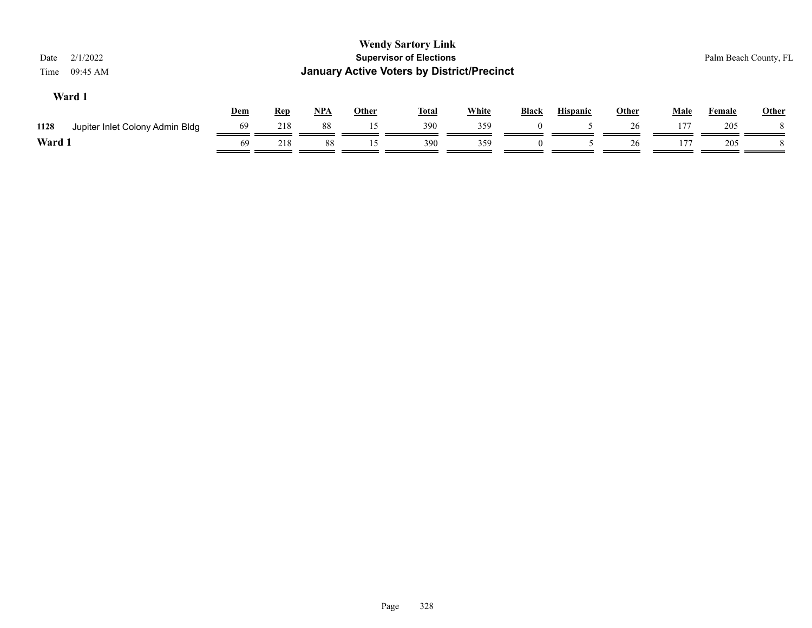| 2/1/2022<br>Date<br>09:45 AM<br>Time    |     |            |       |              | <b>Wendy Sartory Link</b><br><b>Supervisor of Elections</b><br><b>January Active Voters by District/Precinct</b> |              |          |                 |              |             | Palm Beach County, FL |              |
|-----------------------------------------|-----|------------|-------|--------------|------------------------------------------------------------------------------------------------------------------|--------------|----------|-----------------|--------------|-------------|-----------------------|--------------|
| Ward 1                                  | Dem | <b>Rep</b> | $NPA$ | <b>Other</b> | <b>Total</b>                                                                                                     | <b>White</b> | Black    | <b>Hispanic</b> | <b>Other</b> | <b>Male</b> | Female                | <b>Other</b> |
| 1128<br>Jupiter Inlet Colony Admin Bldg | 69  | 218        | 88    | 15           | 390                                                                                                              | 359          |          |                 | 26           | 177         | 205                   |              |
| Ward 1                                  | 69  | 218        | 88    | 15           | 390                                                                                                              | 359          | $\theta$ |                 | 26           | 177         | 205                   |              |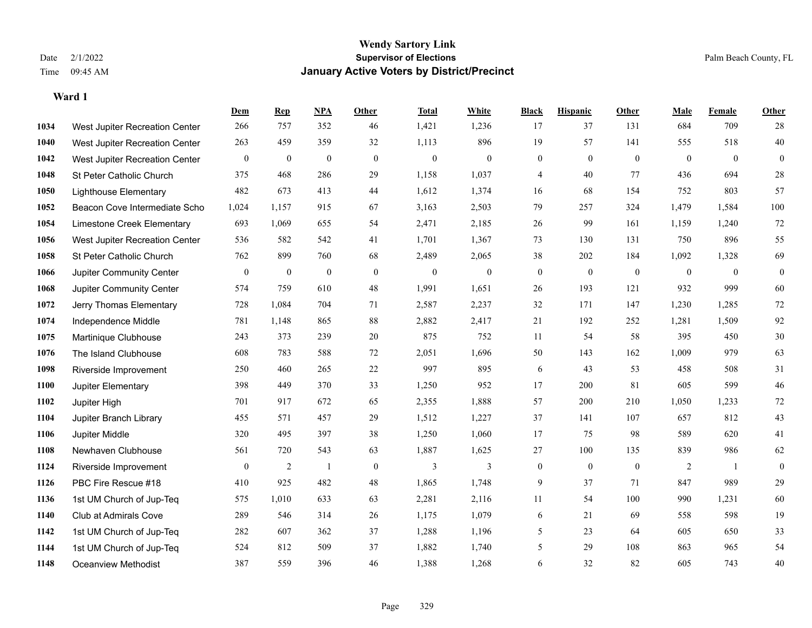|      |                                | Dem              | <b>Rep</b>       | NPA            | <b>Other</b>   | <b>Total</b> | <b>White</b>   | <b>Black</b>     | <b>Hispanic</b>  | <b>Other</b>     | <b>Male</b>  | <b>Female</b> | <b>Other</b>     |
|------|--------------------------------|------------------|------------------|----------------|----------------|--------------|----------------|------------------|------------------|------------------|--------------|---------------|------------------|
| 1034 | West Jupiter Recreation Center | 266              | 757              | 352            | 46             | 1,421        | 1,236          | 17               | 37               | 131              | 684          | 709           | 28               |
| 1040 | West Jupiter Recreation Center | 263              | 459              | 359            | 32             | 1,113        | 896            | 19               | 57               | 141              | 555          | 518           | 40               |
| 1042 | West Jupiter Recreation Center | $\mathbf{0}$     | $\boldsymbol{0}$ | $\overline{0}$ | $\overline{0}$ | $\mathbf{0}$ | $\overline{0}$ | $\mathbf{0}$     | $\theta$         | $\theta$         | $\mathbf{0}$ | $\theta$      | $\mathbf{0}$     |
| 1048 | St Peter Catholic Church       | 375              | 468              | 286            | 29             | 1,158        | 1,037          | 4                | 40               | 77               | 436          | 694           | $28\,$           |
| 1050 | <b>Lighthouse Elementary</b>   | 482              | 673              | 413            | 44             | 1,612        | 1,374          | 16               | 68               | 154              | 752          | 803           | 57               |
| 1052 | Beacon Cove Intermediate Scho  | 1,024            | 1,157            | 915            | 67             | 3,163        | 2,503          | 79               | 257              | 324              | 1,479        | 1,584         | 100              |
| 1054 | Limestone Creek Elementary     | 693              | 1,069            | 655            | 54             | 2,471        | 2,185          | $26\,$           | 99               | 161              | 1,159        | 1,240         | 72               |
| 1056 | West Jupiter Recreation Center | 536              | 582              | 542            | 41             | 1,701        | 1,367          | 73               | 130              | 131              | 750          | 896           | 55               |
| 1058 | St Peter Catholic Church       | 762              | 899              | 760            | 68             | 2,489        | 2,065          | 38               | 202              | 184              | 1,092        | 1,328         | 69               |
| 1066 | Jupiter Community Center       | $\boldsymbol{0}$ | $\boldsymbol{0}$ | $\mathbf{0}$   | $\mathbf{0}$   | $\theta$     | $\mathbf{0}$   | $\boldsymbol{0}$ | $\mathbf{0}$     | $\mathbf{0}$     | $\mathbf{0}$ | $\mathbf{0}$  | $\boldsymbol{0}$ |
| 1068 | Jupiter Community Center       | 574              | 759              | 610            | 48             | 1,991        | 1,651          | 26               | 193              | 121              | 932          | 999           | 60               |
| 1072 | Jerry Thomas Elementary        | 728              | 1,084            | 704            | 71             | 2,587        | 2,237          | 32               | 171              | 147              | 1,230        | 1,285         | $72\,$           |
| 1074 | Independence Middle            | 781              | 1,148            | 865            | 88             | 2,882        | 2,417          | 21               | 192              | 252              | 1,281        | 1,509         | 92               |
| 1075 | Martinique Clubhouse           | 243              | 373              | 239            | $20\,$         | 875          | 752            | 11               | 54               | 58               | 395          | 450           | $30\,$           |
| 1076 | The Island Clubhouse           | 608              | 783              | 588            | 72             | 2,051        | 1,696          | 50               | 143              | 162              | 1,009        | 979           | 63               |
| 1098 | Riverside Improvement          | 250              | 460              | 265            | $22\,$         | 997          | 895            | 6                | 43               | 53               | 458          | 508           | 31               |
| 1100 | Jupiter Elementary             | 398              | 449              | 370            | 33             | 1,250        | 952            | 17               | 200              | 81               | 605          | 599           | $46\,$           |
| 1102 | Jupiter High                   | 701              | 917              | 672            | 65             | 2,355        | 1,888          | 57               | 200              | 210              | 1,050        | 1,233         | $72\,$           |
| 1104 | Jupiter Branch Library         | 455              | 571              | 457            | 29             | 1,512        | 1,227          | 37               | 141              | 107              | 657          | 812           | $43\,$           |
| 1106 | Jupiter Middle                 | 320              | 495              | 397            | 38             | 1,250        | 1,060          | 17               | 75               | 98               | 589          | 620           | 41               |
| 1108 | Newhaven Clubhouse             | 561              | 720              | 543            | 63             | 1,887        | 1,625          | 27               | 100              | 135              | 839          | 986           | 62               |
| 1124 | Riverside Improvement          | $\bf{0}$         | $\overline{2}$   | $\mathbf{1}$   | $\mathbf{0}$   | 3            | 3              | $\boldsymbol{0}$ | $\boldsymbol{0}$ | $\boldsymbol{0}$ | 2            | -1            | $\boldsymbol{0}$ |
| 1126 | PBC Fire Rescue #18            | 410              | 925              | 482            | 48             | 1,865        | 1,748          | 9                | 37               | 71               | 847          | 989           | 29               |
| 1136 | 1st UM Church of Jup-Teq       | 575              | 1,010            | 633            | 63             | 2,281        | 2,116          | 11               | 54               | 100              | 990          | 1,231         | 60               |
| 1140 | Club at Admirals Cove          | 289              | 546              | 314            | 26             | 1,175        | 1,079          | 6                | 21               | 69               | 558          | 598           | 19               |
| 1142 | 1st UM Church of Jup-Teq       | 282              | 607              | 362            | 37             | 1,288        | 1,196          | 5                | 23               | 64               | 605          | 650           | 33               |
| 1144 | 1st UM Church of Jup-Teq       | 524              | 812              | 509            | 37             | 1,882        | 1,740          | 5                | 29               | 108              | 863          | 965           | 54               |
| 1148 | Oceanview Methodist            | 387              | 559              | 396            | 46             | 1,388        | 1,268          | 6                | 32               | 82               | 605          | 743           | 40               |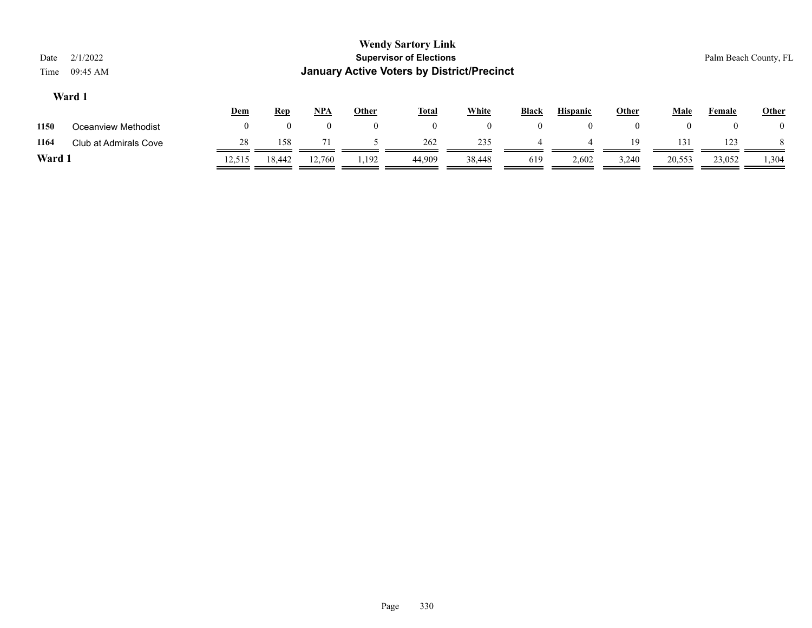| Date<br>Time | 2/1/2022<br>$09:45$ AM |            |                    |            |          | <b>Wendy Sartory Link</b><br><b>Supervisor of Elections</b><br><b>January Active Voters by District/Precinct</b> |        |              |                 |              |                |        | Palm Beach County, FL |
|--------------|------------------------|------------|--------------------|------------|----------|------------------------------------------------------------------------------------------------------------------|--------|--------------|-----------------|--------------|----------------|--------|-----------------------|
|              | Ward 1                 | <b>Dem</b> | <b>Rep</b>         | <b>NPA</b> | Other    | <u>Total</u>                                                                                                     | White  | <b>Black</b> | <b>Hispanic</b> | <b>Other</b> | Male           | Female | <b>Other</b>          |
| 1150         | Oceanview Methodist    | $\theta$   | $\left( 0 \right)$ |            | $\bf{0}$ | $\overline{0}$                                                                                                   |        |              | $\theta$        | $\mathbf{0}$ | $\overline{0}$ |        | $\theta$              |
| 1164         | Club at Admirals Cove  | 28         | 158                | 71         |          | 262                                                                                                              | 235    |              | 4               | 19           | 131            | 123    |                       |
| Ward 1       |                        | 12,515     | 18,442             | 12,760     | 1,192    | 44,909                                                                                                           | 38,448 | 619          | 2,602           | 3,240        | 20,553         | 23,052 | 1,304                 |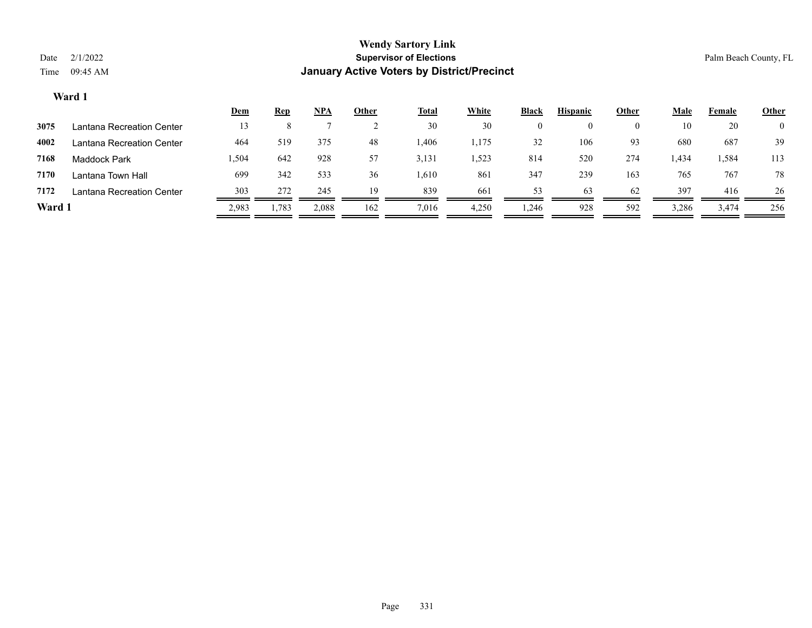|        |                           | <u>Dem</u> | <b>Rep</b> | NPA   | Other | <b>Total</b> | White | <b>Black</b> | <b>Hispanic</b> | Other | Male  | Female | <b>Other</b>   |
|--------|---------------------------|------------|------------|-------|-------|--------------|-------|--------------|-----------------|-------|-------|--------|----------------|
| 3075   | Lantana Recreation Center | 13         |            |       |       | 30           | 30    | 0            |                 |       | 10    | 20     | $\overline{0}$ |
| 4002   | Lantana Recreation Center | 464        | 519        | 375   | 48    | l.406        | 1,175 | 32           | 106             | 93    | 680   | 687    | 39             |
| 7168   | <b>Maddock Park</b>       | 504. ا     | 642        | 928   | 57    | 3,131        | 1,523 | 814          | 520             | 274   | 1,434 | 1,584  | 113            |
| 7170   | Lantana Town Hall         | 699        | 342        | 533   | 36    | 1,610        | 861   | 347          | 239             | 163   | 765   | 767    | 78             |
| 7172   | Lantana Recreation Center | 303        | 272        | 245   | 19    | 839          | 661   | 53           | 63              | 62    | 397   | 416    | 26             |
| Ward 1 |                           | 2,983      | 1,783      | 2,088 | 162   | 7,016        | 4,250 | 1,246        | 928             | 592   | 3,286 | 3,474  | 256            |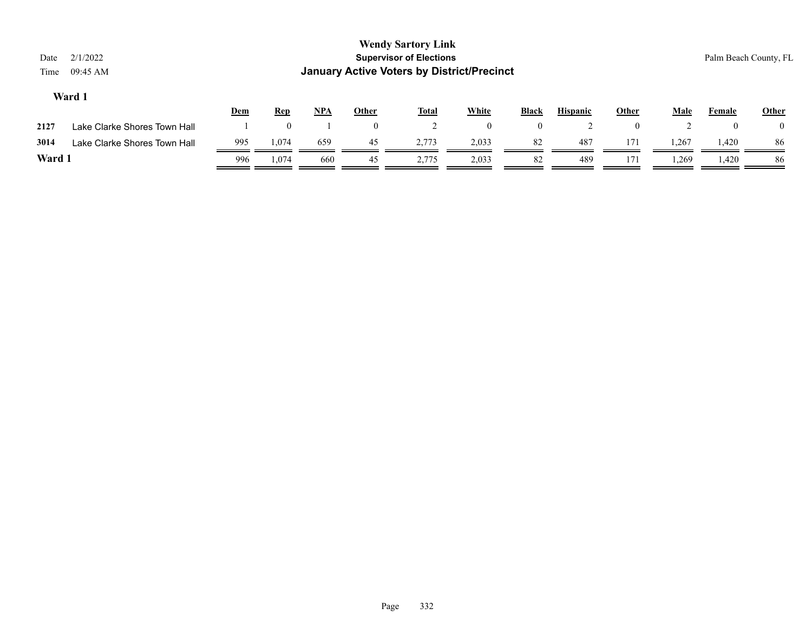| Date<br>Time | 2/1/2022<br>09:45 AM         |     |            |     |              | <b>Wendy Sartory Link</b><br><b>Supervisor of Elections</b><br><b>January Active Voters by District/Precinct</b> |              |                |                 |                |             | Palm Beach County, FL |              |
|--------------|------------------------------|-----|------------|-----|--------------|------------------------------------------------------------------------------------------------------------------|--------------|----------------|-----------------|----------------|-------------|-----------------------|--------------|
|              | Ward 1                       | Dem | <b>Rep</b> | NPA | <b>Other</b> | <b>Total</b>                                                                                                     | <b>White</b> | <b>Black</b>   | <b>Hispanic</b> | <b>Other</b>   | <b>Male</b> | Female                | <b>Other</b> |
| 2127         | Lake Clarke Shores Town Hall |     |            |     | $\theta$     |                                                                                                                  | $\bf{0}$     | $\overline{0}$ |                 | $\overline{0}$ |             | $\theta$              | $\theta$     |
| 3014         | Lake Clarke Shores Town Hall | 995 | 1,074      | 659 | 45           | 2,773                                                                                                            | 2,033        | 82             | 487             | 171            | 1,267       | 1,420                 | 86           |
| Ward 1       |                              | 996 | 1.074      | 660 | 45           | 2,775                                                                                                            | 2,033        | 82             | 489             | 171            | 1,269       | 1,420                 | 86           |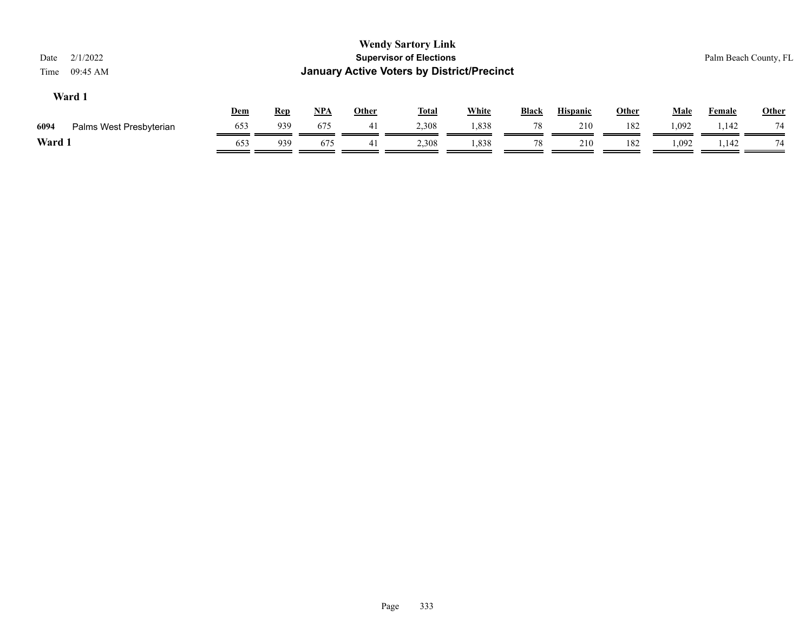| 2/1/2022<br>Date<br>09:45 AM<br>Time |     |            |       |              | <b>Wendy Sartory Link</b><br><b>Supervisor of Elections</b><br><b>January Active Voters by District/Precinct</b> |              |              |                 |       |             | Palm Beach County, FL |              |
|--------------------------------------|-----|------------|-------|--------------|------------------------------------------------------------------------------------------------------------------|--------------|--------------|-----------------|-------|-------------|-----------------------|--------------|
| Ward 1                               | Dem | <b>Rep</b> | $NPA$ | <b>Other</b> | <b>Total</b>                                                                                                     | <b>White</b> | <b>Black</b> | <b>Hispanic</b> | Other | <b>Male</b> | Female                | <b>Other</b> |
| 6094<br>Palms West Presbyterian      | 653 | 939        | 675   | 41           | 2,308                                                                                                            | 1,838        | 78           | 210             | 182   | 1,092       | 1,142                 | 74           |
| Ward 1                               | 653 | 939        | 675   | 41           | 2,308                                                                                                            | 1,838        | 78           | 210             | 182   | 1,092       | 1,142                 | 74           |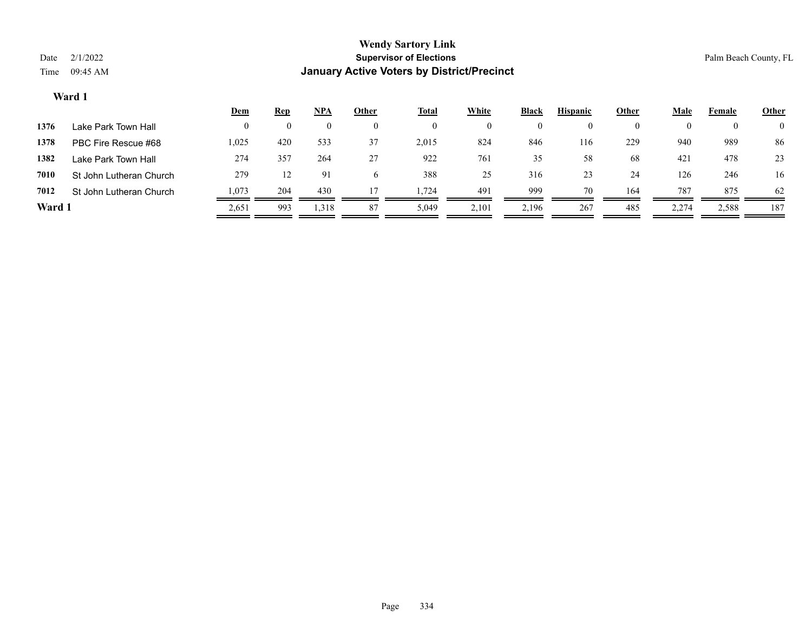|        |                         | <u>Dem</u> | <b>Rep</b> | NPA   | <u>Other</u> | <u>Total</u> | White    | <b>Black</b> | <b>Hispanic</b> | Other    | Male  | Female | <b>Other</b>   |
|--------|-------------------------|------------|------------|-------|--------------|--------------|----------|--------------|-----------------|----------|-------|--------|----------------|
| 1376   | Lake Park Town Hall     |            |            |       |              |              | $\left($ |              |                 | $\theta$ |       |        | $\overline{0}$ |
| 1378   | PBC Fire Rescue #68     | 1,025      | 420        | 533   | 37           | 2,015        | 824      | 846          | 116             | 229      | 940   | 989    | 86             |
| 1382   | Lake Park Town Hall     | 274        | 357        | 264   | 27           | 922          | 761      | 35           | 58              | 68       | 421   | 478    | 23             |
| 7010   | St John Lutheran Church | 279        |            | 91    |              | 388          | 25       | 316          | 23              | 24       | 126   | 246    | 16             |
| 7012   | St John Lutheran Church | 1,073      | 204        | 430   |              | 1.724        | 491      | 999          | 70              | 164      | 787   | 875    | 62             |
| Ward 1 |                         | 2,651      | 993        | 1,318 | 87           | 5,049        | 2,101    | 2,196        | 267             | 485      | 2,274 | 2,588  | 187            |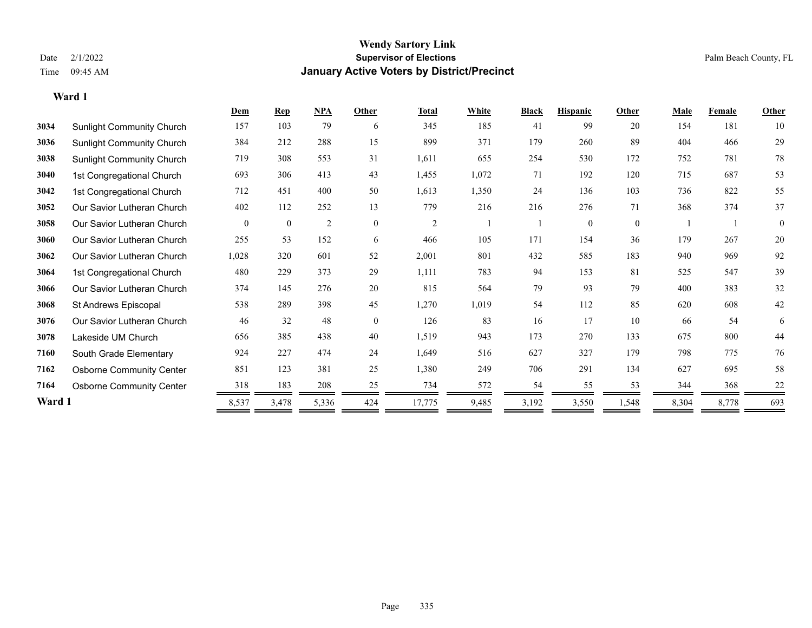### **Wendy Sartory Link** Date 2/1/2022 **Supervisor of Elections** Palm Beach County, FL Time 09:45 AM **January Active Voters by District/Precinct**

|        |                                  | Dem            | <b>Rep</b>   | NPA   | Other        | <b>Total</b>   | White | <b>Black</b> | <b>Hispanic</b> | Other          | <b>Male</b> | <b>Female</b> | Other    |
|--------|----------------------------------|----------------|--------------|-------|--------------|----------------|-------|--------------|-----------------|----------------|-------------|---------------|----------|
| 3034   | <b>Sunlight Community Church</b> | 157            | 103          | 79    | 6            | 345            | 185   | 41           | 99              | 20             | 154         | 181           | 10       |
| 3036   | <b>Sunlight Community Church</b> | 384            | 212          | 288   | 15           | 899            | 371   | 179          | 260             | 89             | 404         | 466           | 29       |
| 3038   | <b>Sunlight Community Church</b> | 719            | 308          | 553   | 31           | 1,611          | 655   | 254          | 530             | 172            | 752         | 781           | 78       |
| 3040   | 1st Congregational Church        | 693            | 306          | 413   | 43           | 1,455          | 1,072 | 71           | 192             | 120            | 715         | 687           | 53       |
| 3042   | 1st Congregational Church        | 712            | 451          | 400   | 50           | 1,613          | 1,350 | 24           | 136             | 103            | 736         | 822           | 55       |
| 3052   | Our Savior Lutheran Church       | 402            | 112          | 252   | 13           | 779            | 216   | 216          | 276             | 71             | 368         | 374           | 37       |
| 3058   | Our Savior Lutheran Church       | $\overline{0}$ | $\mathbf{0}$ | 2     | $\mathbf{0}$ | $\overline{2}$ |       |              | $\mathbf{0}$    | $\overline{0}$ |             |               | $\theta$ |
| 3060   | Our Savior Lutheran Church       | 255            | 53           | 152   | 6            | 466            | 105   | 171          | 154             | 36             | 179         | 267           | 20       |
| 3062   | Our Savior Lutheran Church       | 1,028          | 320          | 601   | 52           | 2,001          | 801   | 432          | 585             | 183            | 940         | 969           | 92       |
| 3064   | 1st Congregational Church        | 480            | 229          | 373   | 29           | 1,111          | 783   | 94           | 153             | 81             | 525         | 547           | 39       |
| 3066   | Our Savior Lutheran Church       | 374            | 145          | 276   | 20           | 815            | 564   | 79           | 93              | 79             | 400         | 383           | 32       |
| 3068   | St Andrews Episcopal             | 538            | 289          | 398   | 45           | 1,270          | 1,019 | 54           | 112             | 85             | 620         | 608           | 42       |
| 3076   | Our Savior Lutheran Church       | 46             | 32           | 48    | $\mathbf{0}$ | 126            | 83    | 16           | 17              | 10             | 66          | 54            | 6        |
| 3078   | Lakeside UM Church               | 656            | 385          | 438   | 40           | 1,519          | 943   | 173          | 270             | 133            | 675         | 800           | 44       |
| 7160   | South Grade Elementary           | 924            | 227          | 474   | 24           | 1,649          | 516   | 627          | 327             | 179            | 798         | 775           | 76       |
| 7162   | <b>Osborne Community Center</b>  | 851            | 123          | 381   | 25           | 1,380          | 249   | 706          | 291             | 134            | 627         | 695           | 58       |
| 7164   | <b>Osborne Community Center</b>  | 318            | 183          | 208   | 25           | 734            | 572   | 54           | 55              | 53             | 344         | 368           | 22       |
| Ward 1 |                                  | 8,537          | 3,478        | 5,336 | 424          | 17,775         | 9,485 | 3,192        | 3,550           | 1,548          | 8,304       | 8,778         | 693      |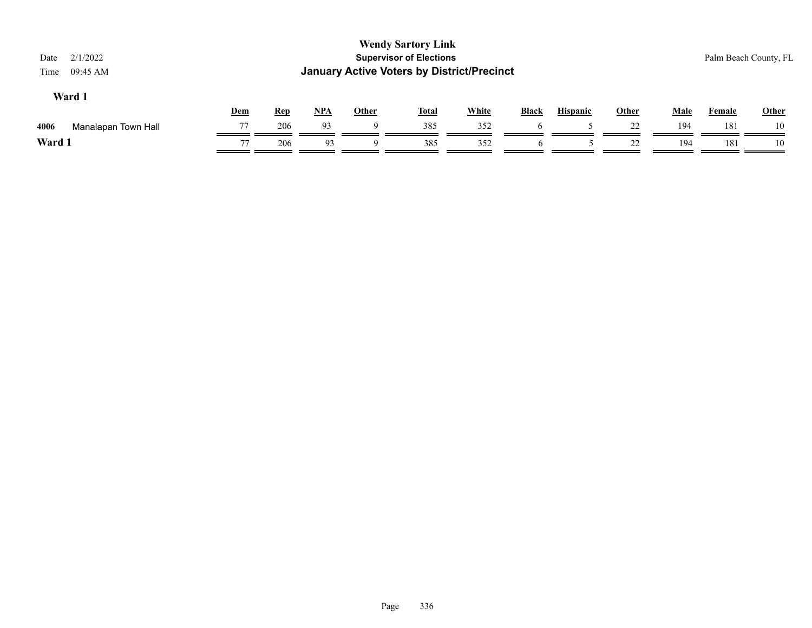| 2/1/2022<br>09:45 AM |                          |            |            |     |              |              |                                                                             |                                                   |    |             |               | Palm Beach County, FL |
|----------------------|--------------------------|------------|------------|-----|--------------|--------------|-----------------------------------------------------------------------------|---------------------------------------------------|----|-------------|---------------|-----------------------|
|                      |                          |            |            |     |              |              | Black                                                                       | <b>Hispanic</b>                                   |    | <b>Male</b> | <b>Female</b> | <b>Other</b>          |
| Manalapan Town Hall  | 77                       | 206        | 93         | 9   | 385          | 352          |                                                                             |                                                   | 22 | 194         | 181           | 10                    |
|                      | 77                       | 206        | 93         | 9   | 385          | 352          | $\sigma$                                                                    |                                                   | 22 | 194         | 181           | 10                    |
|                      | Time<br>Ward 1<br>Ward 1 | <b>Dem</b> | <b>Rep</b> | NPA | <b>Other</b> | <u>Total</u> | <b>Wendy Sartory Link</b><br><b>Supervisor of Elections</b><br><b>White</b> | <b>January Active Voters by District/Precinct</b> |    | Other       |               |                       |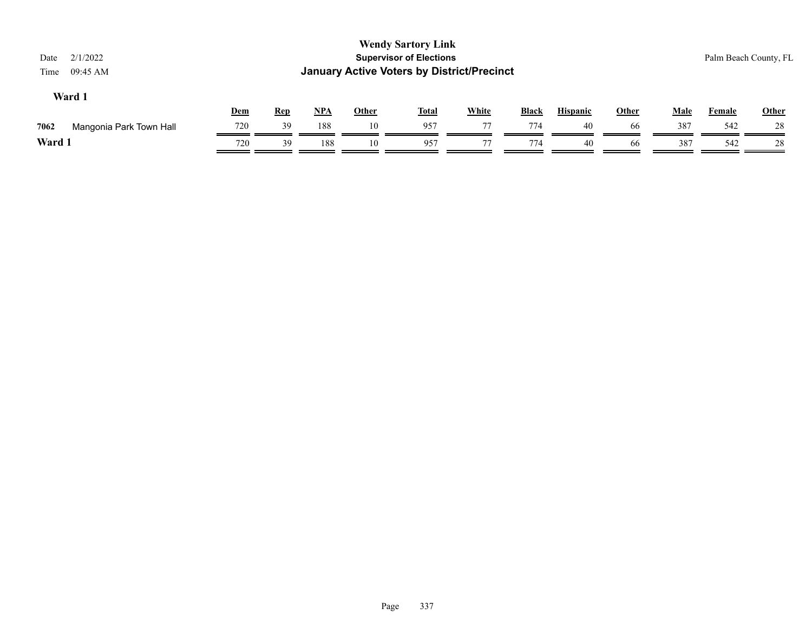| 2/1/2022<br>Date<br>09:45 AM<br>Time |     |            |       |              | <b>Wendy Sartory Link</b><br><b>Supervisor of Elections</b><br><b>January Active Voters by District/Precinct</b> |              |              |                 |              |             | Palm Beach County, FL |              |
|--------------------------------------|-----|------------|-------|--------------|------------------------------------------------------------------------------------------------------------------|--------------|--------------|-----------------|--------------|-------------|-----------------------|--------------|
| Ward 1                               | Dem | <b>Rep</b> | $NPA$ | <b>Other</b> | <b>Total</b>                                                                                                     | <b>White</b> | <b>Black</b> | <b>Hispanic</b> | <b>Other</b> | <b>Male</b> | Female                | <b>Other</b> |
| 7062<br>Mangonia Park Town Hall      | 720 | 39         | 188   | 10           | 957                                                                                                              | 77           | 774          | 40              | 66           | 387         | 542                   | 28           |
| Ward 1                               | 720 | 39         | 188   | 10           | 957                                                                                                              | 77           | 774          | 40              | 66           | 387         | 542                   | 28           |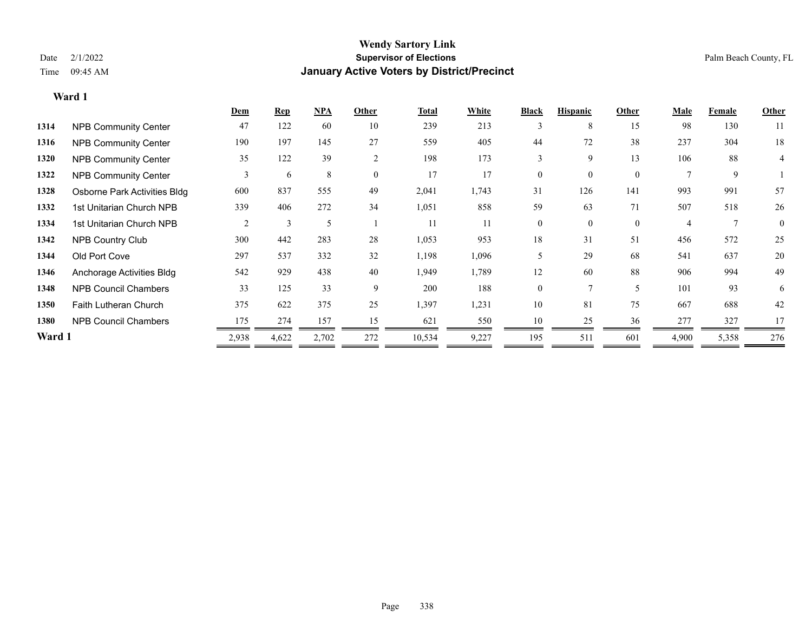|        |                              | Dem            | <b>Rep</b> | NPA   | Other          | Total  | White | <b>Black</b> | <b>Hispanic</b> | Other        | <b>Male</b>    | Female | <b>Other</b> |
|--------|------------------------------|----------------|------------|-------|----------------|--------|-------|--------------|-----------------|--------------|----------------|--------|--------------|
| 1314   | <b>NPB Community Center</b>  | 47             | 122        | 60    | 10             | 239    | 213   |              | 8               | 15           | 98             | 130    | 11           |
| 1316   | <b>NPB Community Center</b>  | 190            | 197        | 145   | 27             | 559    | 405   | 44           | 72              | 38           | 237            | 304    | 18           |
| 1320   | <b>NPB Community Center</b>  | 35             | 122        | 39    | $\overline{2}$ | 198    | 173   | 3            | 9               | 13           | 106            | 88     | 4            |
| 1322   | <b>NPB Community Center</b>  | 3              | 6          | 8     | $\theta$       | 17     | 17    | $\Omega$     | $\Omega$        | $\theta$     | $\mathbf{r}$   | 9      |              |
| 1328   | Osborne Park Activities Bldg | 600            | 837        | 555   | 49             | 2,041  | 1,743 | 31           | 126             | 141          | 993            | 991    | 57           |
| 1332   | 1st Unitarian Church NPB     | 339            | 406        | 272   | 34             | 1,051  | 858   | 59           | 63              | 71           | 507            | 518    | 26           |
| 1334   | 1st Unitarian Church NPB     | $\overline{2}$ | 3          | 5     |                | 11     | 11    | $\mathbf{0}$ | $\overline{0}$  | $\mathbf{0}$ | $\overline{4}$ |        | $\mathbf{0}$ |
| 1342   | NPB Country Club             | 300            | 442        | 283   | 28             | 1,053  | 953   | 18           | 31              | 51           | 456            | 572    | 25           |
| 1344   | Old Port Cove                | 297            | 537        | 332   | 32             | 1,198  | 1,096 | 5            | 29              | 68           | 541            | 637    | 20           |
| 1346   | Anchorage Activities Bldg    | 542            | 929        | 438   | 40             | 1,949  | 1,789 | 12           | 60              | 88           | 906            | 994    | 49           |
| 1348   | <b>NPB Council Chambers</b>  | 33             | 125        | 33    | 9              | 200    | 188   | $\mathbf{0}$ |                 | 5            | 101            | 93     | 6            |
| 1350   | Faith Lutheran Church        | 375            | 622        | 375   | 25             | 1,397  | 1,231 | 10           | 81              | 75           | 667            | 688    | 42           |
| 1380   | <b>NPB Council Chambers</b>  | 175            | 274        | 157   | 15             | 621    | 550   | 10           | 25              | 36           | 277            | 327    | 17           |
| Ward 1 |                              | 2,938          | 4,622      | 2,702 | 272            | 10,534 | 9,227 | 195          | 511             | 601          | 4,900          | 5,358  | 276          |
|        |                              |                |            |       |                |        |       |              |                 |              |                |        |              |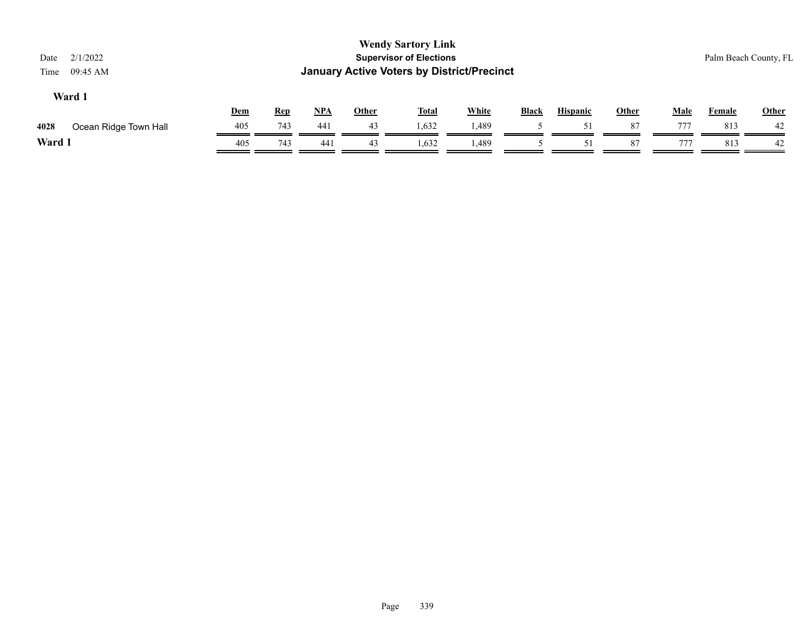| <b>Wendy Sartory Link</b><br><b>Supervisor of Elections</b><br>2/1/2022<br>Palm Beach County, FL<br>Date<br><b>January Active Voters by District/Precinct</b><br>09:45 AM<br>Time<br>Ward 1 |     |            |       |              |              |              |              |                 |       |             |        |              |
|---------------------------------------------------------------------------------------------------------------------------------------------------------------------------------------------|-----|------------|-------|--------------|--------------|--------------|--------------|-----------------|-------|-------------|--------|--------------|
|                                                                                                                                                                                             | Dem | <b>Rep</b> | $NPA$ | <b>Other</b> | <b>Total</b> | <b>White</b> | <b>Black</b> | <b>Hispanic</b> | Other | <b>Male</b> | Female | <b>Other</b> |
| 4028<br>Ocean Ridge Town Hall                                                                                                                                                               | 405 | 743        | 441   | 43           | 1,632        | 1,489        |              | 51              | 87    | 777         | 813    | 42           |
| Ward 1                                                                                                                                                                                      | 405 | 743        | 441   | 43           | 1,632        | 1,489        |              | 51              | 87    | 777         | 813    | 42           |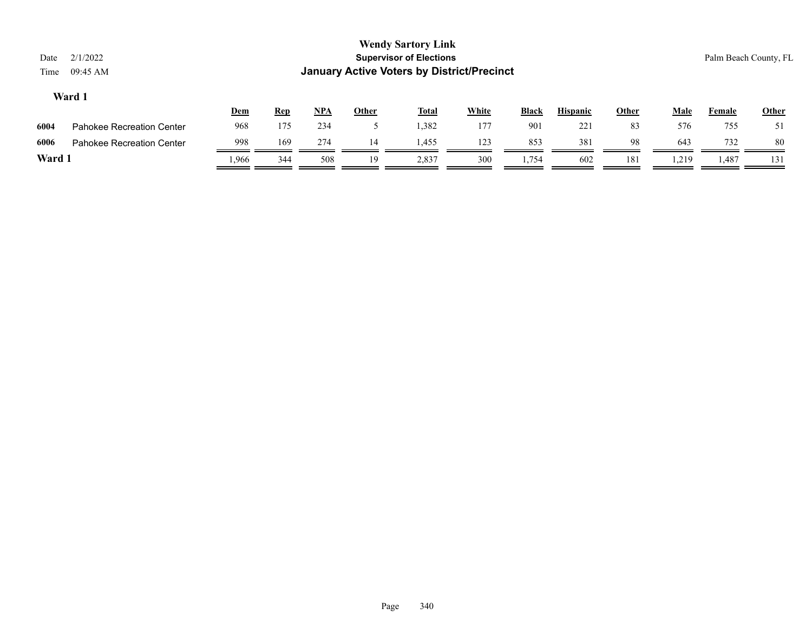| Date<br>Time | 2/1/2022<br>09:45 AM             |       |            |            |       | <b>Wendy Sartory Link</b><br><b>Supervisor of Elections</b><br><b>January Active Voters by District/Precinct</b> |              |              |                 |              |             | Palm Beach County, FL |              |
|--------------|----------------------------------|-------|------------|------------|-------|------------------------------------------------------------------------------------------------------------------|--------------|--------------|-----------------|--------------|-------------|-----------------------|--------------|
|              | Ward 1                           | Dem   | <b>Rep</b> | <u>NPA</u> | Other | <b>Total</b>                                                                                                     | <b>White</b> | <b>Black</b> | <b>Hispanic</b> | <b>Other</b> | <b>Male</b> | Female                | <b>Other</b> |
| 6004         | <b>Pahokee Recreation Center</b> | 968   | 175        | 234        |       | 1,382                                                                                                            | 177          | 901          | 221             | 83           | 576         | 755                   | 51           |
| 6006         | <b>Pahokee Recreation Center</b> | 998   | 169        | 274        | 14    | 1,455                                                                                                            | 123          | 853          | 381             | 98           | 643         | 732                   | -80          |
| Ward 1       |                                  | 1,966 | 344        | 508        | 19    | 2,837                                                                                                            | 300          | 1,754        | 602             | 181          | 1,219       | 1,487                 | 131          |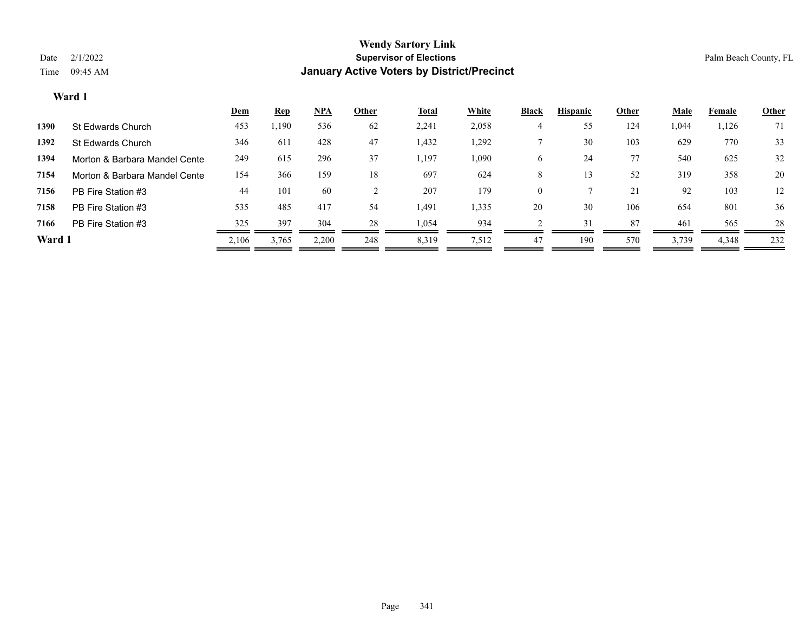|        |                               | <b>Dem</b> | <b>Rep</b> | <u>NPA</u> | Other | <b>Total</b> | <b>White</b> | <b>Black</b> | <b>Hispanic</b> | Other | <b>Male</b> | Female | <b>Other</b> |
|--------|-------------------------------|------------|------------|------------|-------|--------------|--------------|--------------|-----------------|-------|-------------|--------|--------------|
| 1390   | St Edwards Church             | 453        | 1,190      | 536        | 62    | 2,241        | 2,058        |              | 55              | 124   | 1,044       | 1,126  | 71           |
| 1392   | St Edwards Church             | 346        | 611        | 428        | 47    | 1,432        | 1,292        |              | 30              | 103   | 629         | 770    | 33           |
| 1394   | Morton & Barbara Mandel Cente | 249        | 615        | 296        | 37    | 1,197        | 1,090        | 6            | 24              | 77    | 540         | 625    | 32           |
| 7154   | Morton & Barbara Mandel Cente | 154        | 366        | 159        | 18    | 697          | 624          | 8            |                 | 52    | 319         | 358    | 20           |
| 7156   | PB Fire Station #3            | 44         | 101        | 60         |       | 207          | 179          | $\mathbf{0}$ |                 | 21    | 92          | 103    | 12           |
| 7158   | PB Fire Station #3            | 535        | 485        | 417        | 54    | 1,491        | 1,335        | 20           | 30              | 106   | 654         | 801    | 36           |
| 7166   | PB Fire Station #3            | 325        | 397        | 304        | 28    | 1,054        | 934          |              | 31              | 87    | 461         | 565    | 28           |
| Ward 1 |                               | 2,106      | 3.765      | 2,200      | 248   | 8,319        | 7,512        | 47           | 190             | 570   | 3,739       | 4,348  | 232          |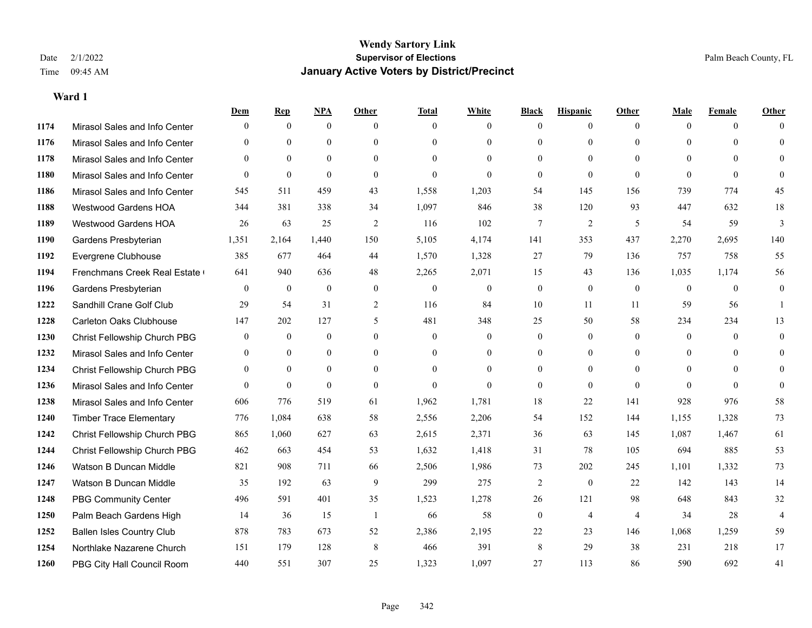|      |                                  | Dem            | <b>Rep</b>       | NPA          | <b>Other</b> | <b>Total</b>   | <b>White</b>   | <b>Black</b>     | <b>Hispanic</b> | <b>Other</b>   | <b>Male</b>  | <b>Female</b>  | <b>Other</b>   |
|------|----------------------------------|----------------|------------------|--------------|--------------|----------------|----------------|------------------|-----------------|----------------|--------------|----------------|----------------|
| 1174 | Mirasol Sales and Info Center    | $\Omega$       | $\mathbf{0}$     | $\mathbf{0}$ | $\Omega$     | $\Omega$       | $\overline{0}$ | $\mathbf{0}$     | $\overline{0}$  | $\theta$       | $\theta$     | $\theta$       | $\Omega$       |
| 1176 | Mirasol Sales and Info Center    | $\theta$       | $\theta$         | $\theta$     | $\theta$     | $\Omega$       | $\overline{0}$ | $\theta$         | $\mathbf{0}$    | $\Omega$       | $\theta$     | $\Omega$       | $\theta$       |
| 1178 | Mirasol Sales and Info Center    | $\Omega$       | $\theta$         | $\theta$     | $\Omega$     | $\Omega$       | $\Omega$       | $\Omega$         | $\theta$        | $\Omega$       | $\Omega$     | $\Omega$       | $\Omega$       |
| 1180 | Mirasol Sales and Info Center    | $\mathbf{0}$   | $\boldsymbol{0}$ | $\mathbf{0}$ | $\mathbf{0}$ | $\overline{0}$ | $\overline{0}$ | $\mathbf{0}$     | $\mathbf{0}$    | $\theta$       | $\theta$     | $\theta$       | $\Omega$       |
| 1186 | Mirasol Sales and Info Center    | 545            | 511              | 459          | 43           | 1,558          | 1,203          | 54               | 145             | 156            | 739          | 774            | 45             |
| 1188 | <b>Westwood Gardens HOA</b>      | 344            | 381              | 338          | 34           | 1,097          | 846            | 38               | 120             | 93             | 447          | 632            | $18\,$         |
| 1189 | Westwood Gardens HOA             | 26             | 63               | 25           | 2            | 116            | 102            | $7\phantom{.0}$  | $\overline{2}$  | 5              | 54           | 59             | $\overline{3}$ |
| 1190 | Gardens Presbyterian             | 1,351          | 2,164            | 1,440        | 150          | 5,105          | 4,174          | 141              | 353             | 437            | 2,270        | 2,695          | 140            |
| 1192 | Evergrene Clubhouse              | 385            | 677              | 464          | 44           | 1,570          | 1,328          | 27               | 79              | 136            | 757          | 758            | 55             |
| 1194 | Frenchmans Creek Real Estate     | 641            | 940              | 636          | 48           | 2,265          | 2,071          | 15               | 43              | 136            | 1,035        | 1,174          | 56             |
| 1196 | Gardens Presbyterian             | $\theta$       | $\mathbf{0}$     | $\theta$     | $\theta$     | $\mathbf{0}$   | $\overline{0}$ | $\mathbf{0}$     | $\theta$        | $\theta$       | $\theta$     | $\theta$       | $\mathbf{0}$   |
| 1222 | Sandhill Crane Golf Club         | 29             | 54               | 31           | 2            | 116            | 84             | 10               | 11              | 11             | 59           | 56             | $\mathbf{1}$   |
| 1228 | <b>Carleton Oaks Clubhouse</b>   | 147            | 202              | 127          | 5            | 481            | 348            | 25               | 50              | 58             | 234          | 234            | 13             |
| 1230 | Christ Fellowship Church PBG     | $\overline{0}$ | $\mathbf{0}$     | $\mathbf{0}$ | $\mathbf{0}$ | $\mathbf{0}$   | $\overline{0}$ | $\mathbf{0}$     | $\overline{0}$  | $\theta$       | $\mathbf{0}$ | $\overline{0}$ | $\mathbf{0}$   |
| 1232 | Mirasol Sales and Info Center    | $\theta$       | $\theta$         | $\theta$     | $\theta$     | $\theta$       | $\overline{0}$ | $\mathbf{0}$     | $\theta$        | $\Omega$       | $\Omega$     | $\Omega$       | $\theta$       |
| 1234 | Christ Fellowship Church PBG     | $\overline{0}$ | $\overline{0}$   | $\mathbf{0}$ | $\theta$     | $\theta$       | $\overline{0}$ | $\theta$         | $\mathbf{0}$    | $\theta$       | $\theta$     | $\Omega$       | $\theta$       |
| 1236 | Mirasol Sales and Info Center    | $\theta$       | $\mathbf{0}$     | $\mathbf{0}$ | $\theta$     | $\theta$       | $\Omega$       | $\mathbf{0}$     | $\mathbf{0}$    | $\theta$       | $\theta$     | $\theta$       | $\theta$       |
| 1238 | Mirasol Sales and Info Center    | 606            | 776              | 519          | 61           | 1,962          | 1,781          | 18               | 22              | 141            | 928          | 976            | 58             |
| 1240 | <b>Timber Trace Elementary</b>   | 776            | 1,084            | 638          | 58           | 2,556          | 2,206          | 54               | 152             | 144            | 1,155        | 1,328          | 73             |
| 1242 | Christ Fellowship Church PBG     | 865            | 1.060            | 627          | 63           | 2,615          | 2,371          | 36               | 63              | 145            | 1,087        | 1,467          | 61             |
| 1244 | Christ Fellowship Church PBG     | 462            | 663              | 454          | 53           | 1,632          | 1,418          | 31               | 78              | 105            | 694          | 885            | 53             |
| 1246 | Watson B Duncan Middle           | 821            | 908              | 711          | 66           | 2,506          | 1,986          | 73               | 202             | 245            | 1,101        | 1,332          | 73             |
| 1247 | Watson B Duncan Middle           | 35             | 192              | 63           | 9            | 299            | 275            | 2                | $\mathbf{0}$    | 22             | 142          | 143            | 14             |
| 1248 | <b>PBG Community Center</b>      | 496            | 591              | 401          | 35           | 1,523          | 1,278          | 26               | 121             | 98             | 648          | 843            | 32             |
| 1250 | Palm Beach Gardens High          | 14             | 36               | 15           | -1           | 66             | 58             | $\boldsymbol{0}$ | $\overline{4}$  | $\overline{4}$ | 34           | 28             | $\overline{4}$ |
| 1252 | <b>Ballen Isles Country Club</b> | 878            | 783              | 673          | 52           | 2,386          | 2,195          | 22               | 23              | 146            | 1,068        | 1,259          | 59             |
| 1254 | Northlake Nazarene Church        | 151            | 179              | 128          | 8            | 466            | 391            | 8                | 29              | 38             | 231          | 218            | 17             |
| 1260 | PBG City Hall Council Room       | 440            | 551              | 307          | 25           | 1,323          | 1,097          | 27               | 113             | 86             | 590          | 692            | 41             |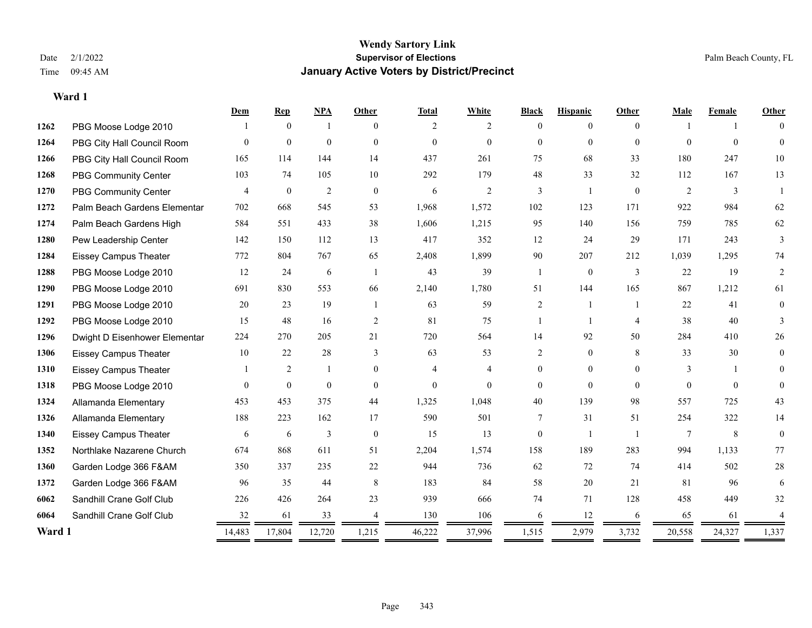|        |                               | Dem            | <b>Rep</b>     | NPA            | <b>Other</b>   | <b>Total</b>   | White          | <b>Black</b>   | <b>Hispanic</b> | Other          | Male           | Female   | Other    |
|--------|-------------------------------|----------------|----------------|----------------|----------------|----------------|----------------|----------------|-----------------|----------------|----------------|----------|----------|
| 1262   | PBG Moose Lodge 2010          |                | $\theta$       | -1             | $\Omega$       | 2              | 2              | $\theta$       | $\Omega$        | $\Omega$       |                |          | $\Omega$ |
| 1264   | PBG City Hall Council Room    | $\Omega$       | $\mathbf{0}$   | $\mathbf{0}$   | $\theta$       | $\overline{0}$ | $\overline{0}$ | $\overline{0}$ | $\overline{0}$  | $\theta$       | $\Omega$       | $\theta$ | $\Omega$ |
| 1266   | PBG City Hall Council Room    | 165            | 114            | 144            | 14             | 437            | 261            | 75             | 68              | 33             | 180            | 247      | 10       |
| 1268   | <b>PBG Community Center</b>   | 103            | 74             | 105            | 10             | 292            | 179            | 48             | 33              | 32             | 112            | 167      | 13       |
| 1270   | PBG Community Center          | $\overline{4}$ | $\mathbf{0}$   | $\overline{2}$ | $\theta$       | 6              | 2              | 3              | $\mathbf{1}$    | $\theta$       | 2              | 3        |          |
| 1272   | Palm Beach Gardens Elementar  | 702            | 668            | 545            | 53             | 1,968          | 1,572          | 102            | 123             | 171            | 922            | 984      | 62       |
| 1274   | Palm Beach Gardens High       | 584            | 551            | 433            | 38             | 1,606          | 1,215          | 95             | 140             | 156            | 759            | 785      | 62       |
| 1280   | Pew Leadership Center         | 142            | 150            | 112            | 13             | 417            | 352            | 12             | 24              | 29             | 171            | 243      | 3        |
| 1284   | <b>Eissey Campus Theater</b>  | 772            | 804            | 767            | 65             | 2,408          | 1,899          | 90             | 207             | 212            | 1,039          | 1,295    | 74       |
| 1288   | PBG Moose Lodge 2010          | 12             | 24             | 6              | $\overline{1}$ | 43             | 39             | $\mathbf{1}$   | $\mathbf{0}$    | 3              | 22             | 19       | 2        |
| 1290   | PBG Moose Lodge 2010          | 691            | 830            | 553            | 66             | 2,140          | 1,780          | 51             | 144             | 165            | 867            | 1,212    | 61       |
| 1291   | PBG Moose Lodge 2010          | 20             | 23             | 19             | $\overline{1}$ | 63             | 59             | $\overline{c}$ | 1               | $\overline{1}$ | 22             | 41       | $\theta$ |
| 1292   | PBG Moose Lodge 2010          | 15             | 48             | 16             | 2              | 81             | 75             |                | $\mathbf{1}$    | $\overline{4}$ | 38             | 40       | 3        |
| 1296   | Dwight D Eisenhower Elementar | 224            | 270            | 205            | 21             | 720            | 564            | 14             | 92              | 50             | 284            | 410      | 26       |
| 1306   | <b>Eissey Campus Theater</b>  | 10             | 22             | 28             | 3              | 63             | 53             | $\overline{2}$ | $\theta$        | 8              | 33             | 30       | $\theta$ |
| 1310   | <b>Eissey Campus Theater</b>  |                | $\overline{c}$ | $\mathbf{1}$   | $\mathbf{0}$   | $\overline{4}$ | $\overline{4}$ | $\overline{0}$ | $\overline{0}$  | $\theta$       | 3              |          | $\Omega$ |
| 1318   | PBG Moose Lodge 2010          | $\Omega$       | $\theta$       | $\theta$       | $\theta$       | $\Omega$       | $\theta$       | $\Omega$       | $\theta$        | $\Omega$       | $\Omega$       | $\Omega$ | $\Omega$ |
| 1324   | Allamanda Elementary          | 453            | 453            | 375            | 44             | 1,325          | 1,048          | 40             | 139             | 98             | 557            | 725      | 43       |
| 1326   | Allamanda Elementary          | 188            | 223            | 162            | 17             | 590            | 501            | 7              | 31              | 51             | 254            | 322      | 14       |
| 1340   | <b>Eissey Campus Theater</b>  | 6              | 6              | 3              | $\theta$       | 15             | 13             | $\theta$       |                 | $\overline{1}$ | $\overline{7}$ | 8        | $\theta$ |
| 1352   | Northlake Nazarene Church     | 674            | 868            | 611            | 51             | 2,204          | 1,574          | 158            | 189             | 283            | 994            | 1,133    | 77       |
| 1360   | Garden Lodge 366 F&AM         | 350            | 337            | 235            | 22             | 944            | 736            | 62             | 72              | 74             | 414            | 502      | $28\,$   |
| 1372   | Garden Lodge 366 F&AM         | 96             | 35             | 44             | 8              | 183            | 84             | 58             | 20              | 21             | 81             | 96       | 6        |
| 6062   | Sandhill Crane Golf Club      | 226            | 426            | 264            | 23             | 939            | 666            | 74             | 71              | 128            | 458            | 449      | 32       |
| 6064   | Sandhill Crane Golf Club      | 32             | 61             | 33             |                | 130            | 106            | 6              | 12              | 6              | 65             | 61       |          |
| Ward 1 |                               | 14,483         | 17,804         | 12,720         | 1,215<br>=     | 46,222         | 37,996         | 1,515<br>$=$   | 2,979<br>=      | 3,732          | 20,558         | 24,327   | 1,337    |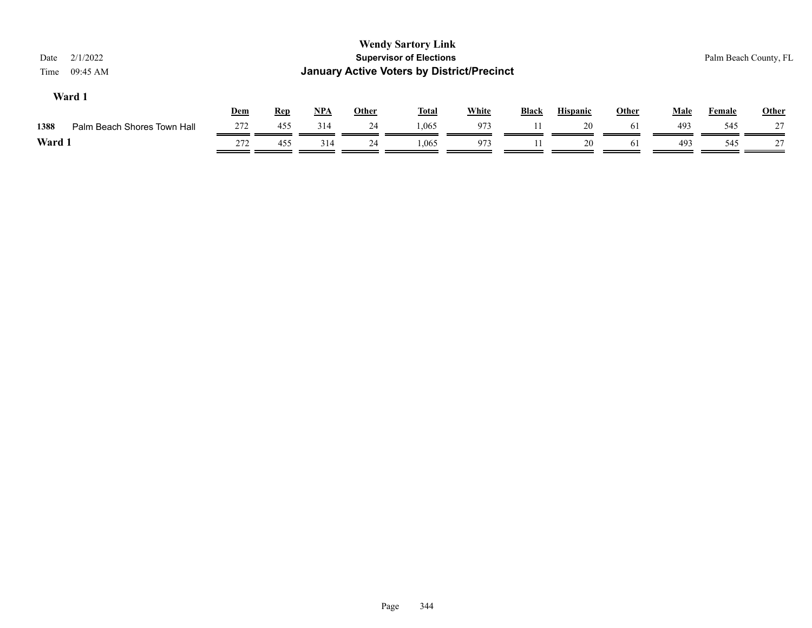| <b>Wendy Sartory Link</b><br><b>Supervisor of Elections</b><br>2/1/2022<br>Date<br><b>January Active Voters by District/Precinct</b><br>09:45 AM<br>Time<br>Ward 1 |                             |     |            |            |       |              |              |              |                 |       |      | Palm Beach County, FL |              |
|--------------------------------------------------------------------------------------------------------------------------------------------------------------------|-----------------------------|-----|------------|------------|-------|--------------|--------------|--------------|-----------------|-------|------|-----------------------|--------------|
|                                                                                                                                                                    |                             | Dem | <b>Rep</b> | <b>NPA</b> | Other | <u>Total</u> | <b>White</b> | <b>Black</b> | <b>Hispanic</b> | Other | Male | Female                | <b>Other</b> |
| 1388                                                                                                                                                               | Palm Beach Shores Town Hall | 272 | 455        | 314        | 24    | 1.065        | 973          |              | 20              | 61    | 493  | 545                   | 27           |
| Ward 1                                                                                                                                                             |                             | 272 | 455        | 314        | 24    | 1,065        | 973          |              | 20              | 61    | 493  | 545                   | 27           |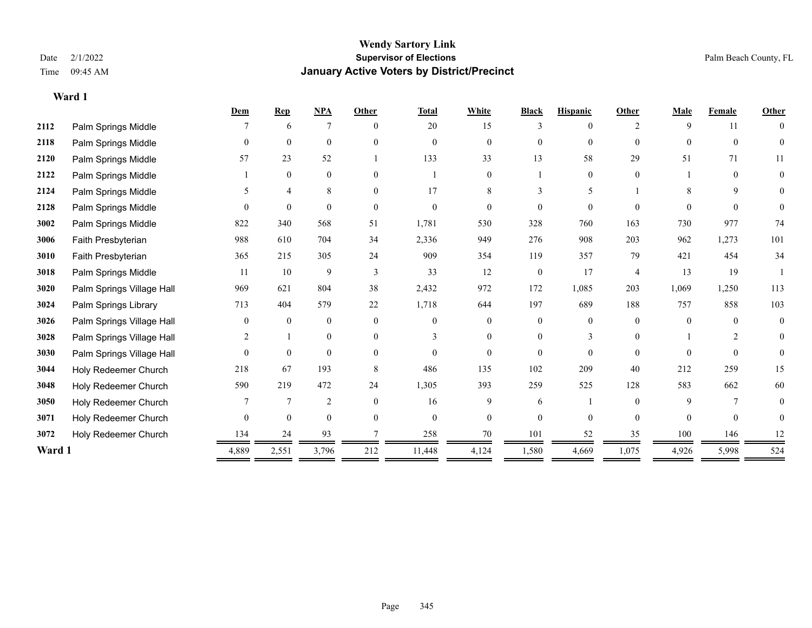### **Wendy Sartory Link** Date 2/1/2022 **Supervisor of Elections** Palm Beach County, FL Time 09:45 AM **January Active Voters by District/Precinct**

|        |                           | Dem      | <b>Rep</b>     | <b>NPA</b>     | Other    | <b>Total</b>   | White          | <b>Black</b>   | <b>Hispanic</b> | Other              | Male     | Female   | <b>Other</b>   |
|--------|---------------------------|----------|----------------|----------------|----------|----------------|----------------|----------------|-----------------|--------------------|----------|----------|----------------|
| 2112   | Palm Springs Middle       |          | 6              | 7              | $\theta$ | 20             | 15             | 3              | $\theta$        | $\mathfrak{D}_{1}$ | 9        | 11       | $\theta$       |
| 2118   | Palm Springs Middle       | $\theta$ | $\mathbf{0}$   | $\mathbf{0}$   | $\Omega$ | $\Omega$       | $\Omega$       | $\Omega$       | $\overline{0}$  | $\Omega$           | $\theta$ | $\theta$ | $\theta$       |
| 2120   | Palm Springs Middle       | 57       | 23             | 52             |          | 133            | 33             | 13             | 58              | 29                 | 51       | 71       | 11             |
| 2122   | Palm Springs Middle       |          | $\mathbf{0}$   | $\mathbf{0}$   | $\theta$ |                | $\theta$       |                | $\overline{0}$  | $\theta$           |          | $\theta$ | $\mathbf{0}$   |
| 2124   | Palm Springs Middle       |          | 4              | 8              | $\Omega$ | 17             | 8              | 3              | 5               |                    | 8        | 9        | $\overline{0}$ |
| 2128   | Palm Springs Middle       | $\Omega$ | $\theta$       | $\Omega$       | $\Omega$ | $\Omega$       | 0              | 0              | $\Omega$        | $\Omega$           | $\Omega$ | $\Omega$ | $\theta$       |
| 3002   | Palm Springs Middle       | 822      | 340            | 568            | 51       | 1,781          | 530            | 328            | 760             | 163                | 730      | 977      | 74             |
| 3006   | Faith Presbyterian        | 988      | 610            | 704            | 34       | 2,336          | 949            | 276            | 908             | 203                | 962      | 1,273    | 101            |
| 3010   | Faith Presbyterian        | 365      | 215            | 305            | 24       | 909            | 354            | 119            | 357             | 79                 | 421      | 454      | 34             |
| 3018   | Palm Springs Middle       | 11       | 10             | 9              | 3        | 33             | 12             | $\overline{0}$ | 17              | $\overline{4}$     | 13       | 19       |                |
| 3020   | Palm Springs Village Hall | 969      | 621            | 804            | 38       | 2,432          | 972            | 172            | 1,085           | 203                | 1,069    | 1,250    | 113            |
| 3024   | Palm Springs Library      | 713      | 404            | 579            | $22\,$   | 1,718          | 644            | 197            | 689             | 188                | 757      | 858      | 103            |
| 3026   | Palm Springs Village Hall | $\theta$ | $\theta$       | $\theta$       | $\theta$ | $\Omega$       | $\Omega$       | 0              | $\Omega$        | $\Omega$           | $\Omega$ | $\theta$ | $\mathbf{0}$   |
| 3028   | Palm Springs Village Hall | 2        |                | $\mathbf{0}$   | $\Omega$ | 3              | $\theta$       | 0              | 3               | $\Omega$           |          | 2        | $\overline{0}$ |
| 3030   | Palm Springs Village Hall | $\Omega$ | $\overline{0}$ | $\mathbf{0}$   | $\theta$ | $\Omega$       | $\theta$       | $\overline{0}$ | $\theta$        | $\Omega$           | $\Omega$ | $\Omega$ | $\Omega$       |
| 3044   | Holy Redeemer Church      | 218      | 67             | 193            | 8        | 486            | 135            | 102            | 209             | 40                 | 212      | 259      | 15             |
| 3048   | Holy Redeemer Church      | 590      | 219            | 472            | 24       | 1,305          | 393            | 259            | 525             | 128                | 583      | 662      | 60             |
| 3050   | Holy Redeemer Church      |          | $\overline{7}$ | $\overline{2}$ | $\Omega$ | 16             | 9              | 6              |                 | $\Omega$           | 9        |          | $\overline{0}$ |
| 3071   | Holy Redeemer Church      | $\theta$ | $\mathbf{0}$   | $\mathbf{0}$   | $\theta$ | $\overline{0}$ | $\overline{0}$ | $\overline{0}$ | $\overline{0}$  | $\theta$           | $\Omega$ | $\theta$ | $\overline{0}$ |
| 3072   | Holy Redeemer Church      | 134      | 24             | 93             |          | 258            | 70             | 101            | 52              | 35                 | 100      | 146      | 12             |
| Ward 1 |                           | 4,889    | 2,551          | 3,796          | 212      | 11,448         | 4,124          | 1,580          | 4,669           | 1,075              | 4,926    | 5,998    | 524            |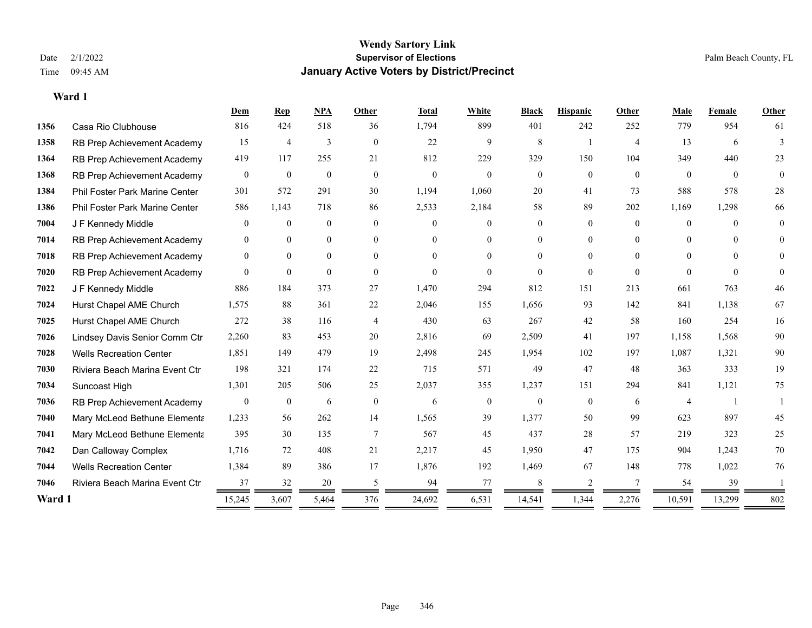|        |                                | Dem              | Rep              | <b>NPA</b>     | Other          | <b>Total</b> | White          | <b>Black</b>   | <b>Hispanic</b> | Other          | Male           | Female   | Other          |
|--------|--------------------------------|------------------|------------------|----------------|----------------|--------------|----------------|----------------|-----------------|----------------|----------------|----------|----------------|
| 1356   | Casa Rio Clubhouse             | 816              | 424              | 518            | 36             | 1,794        | 899            | 401            | 242             | 252            | 779            | 954      | 61             |
| 1358   | RB Prep Achievement Academy    | 15               | $\overline{4}$   | 3              | $\overline{0}$ | 22           | 9              | 8              | 1               | $\overline{4}$ | 13             | 6        | 3              |
| 1364   | RB Prep Achievement Academy    | 419              | 117              | 255            | 21             | 812          | 229            | 329            | 150             | 104            | 349            | 440      | 23             |
| 1368   | RB Prep Achievement Academy    | $\overline{0}$   | $\mathbf{0}$     | $\mathbf{0}$   | $\overline{0}$ | $\mathbf{0}$ | $\overline{0}$ | $\overline{0}$ | $\overline{0}$  | $\mathbf{0}$   | $\overline{0}$ | $\theta$ | $\overline{0}$ |
| 1384   | Phil Foster Park Marine Center | 301              | 572              | 291            | 30             | 1,194        | 1,060          | 20             | 41              | 73             | 588            | 578      | 28             |
| 1386   | Phil Foster Park Marine Center | 586              | 1,143            | 718            | 86             | 2,533        | 2,184          | 58             | 89              | 202            | 1,169          | 1,298    | 66             |
| 7004   | J F Kennedy Middle             | $\overline{0}$   | $\mathbf{0}$     | $\mathbf{0}$   | $\overline{0}$ | $\Omega$     | $\overline{0}$ | $\overline{0}$ | $\overline{0}$  | $\theta$       | $\overline{0}$ | $\theta$ | $\theta$       |
| 7014   | RB Prep Achievement Academy    | $\theta$         | $\mathbf{0}$     | $\mathbf{0}$   | $\theta$       | $\Omega$     | $\overline{0}$ | $\theta$       | $\overline{0}$  | $\Omega$       | $\theta$       | $\Omega$ | $\theta$       |
| 7018   | RB Prep Achievement Academy    | $\mathbf{0}$     | $\mathbf{0}$     | $\overline{0}$ | $\theta$       | $\Omega$     | $\overline{0}$ | $\Omega$       | $\overline{0}$  | $\Omega$       | $\theta$       | $\Omega$ | $\Omega$       |
| 7020   | RB Prep Achievement Academy    | $\Omega$         | $\mathbf{0}$     | $\theta$       | $\theta$       | $\Omega$     | $\Omega$       | $\theta$       | $\Omega$        | $\theta$       | $\theta$       | $\theta$ | $\theta$       |
| 7022   | J F Kennedy Middle             | 886              | 184              | 373            | 27             | 1,470        | 294            | 812            | 151             | 213            | 661            | 763      | 46             |
| 7024   | Hurst Chapel AME Church        | 1,575            | 88               | 361            | 22             | 2,046        | 155            | 1,656          | 93              | 142            | 841            | 1,138    | 67             |
| 7025   | Hurst Chapel AME Church        | 272              | 38               | 116            | $\overline{4}$ | 430          | 63             | 267            | 42              | 58             | 160            | 254      | 16             |
| 7026   | Lindsey Davis Senior Comm Ctr  | 2,260            | 83               | 453            | 20             | 2,816        | 69             | 2,509          | 41              | 197            | 1,158          | 1,568    | $90\,$         |
| 7028   | <b>Wells Recreation Center</b> | 1,851            | 149              | 479            | 19             | 2,498        | 245            | 1,954          | 102             | 197            | 1,087          | 1,321    | 90             |
| 7030   | Riviera Beach Marina Event Ctr | 198              | 321              | 174            | 22             | 715          | 571            | 49             | 47              | 48             | 363            | 333      | 19             |
| 7034   | Suncoast High                  | 1,301            | 205              | 506            | 25             | 2,037        | 355            | 1,237          | 151             | 294            | 841            | 1,121    | 75             |
| 7036   | RB Prep Achievement Academy    | $\boldsymbol{0}$ | $\boldsymbol{0}$ | 6              | $\mathbf{0}$   | 6            | $\mathbf{0}$   | $\mathbf{0}$   | $\mathbf{0}$    | 6              | $\overline{4}$ |          |                |
| 7040   | Mary McLeod Bethune Elementa   | 1,233            | 56               | 262            | 14             | 1,565        | 39             | 1,377          | 50              | 99             | 623            | 897      | 45             |
| 7041   | Mary McLeod Bethune Elementa   | 395              | 30               | 135            | $\overline{7}$ | 567          | 45             | 437            | 28              | 57             | 219            | 323      | 25             |
| 7042   | Dan Calloway Complex           | 1,716            | 72               | 408            | 21             | 2,217        | 45             | 1,950          | 47              | 175            | 904            | 1,243    | 70             |
| 7044   | <b>Wells Recreation Center</b> | 1,384            | 89               | 386            | 17             | 1,876        | 192            | 1,469          | 67              | 148            | 778            | 1,022    | 76             |
| 7046   | Riviera Beach Marina Event Ctr | 37               | 32               | 20             | 5              | 94           | 77             | 8              | 2               | 7              | 54             | 39       |                |
| Ward 1 |                                | 15,245           | 3,607            | 5,464          | 376            | 24,692       | 6,531          | 14,541         | 1,344           | 2,276          | 10,591         | 13,299   | 802            |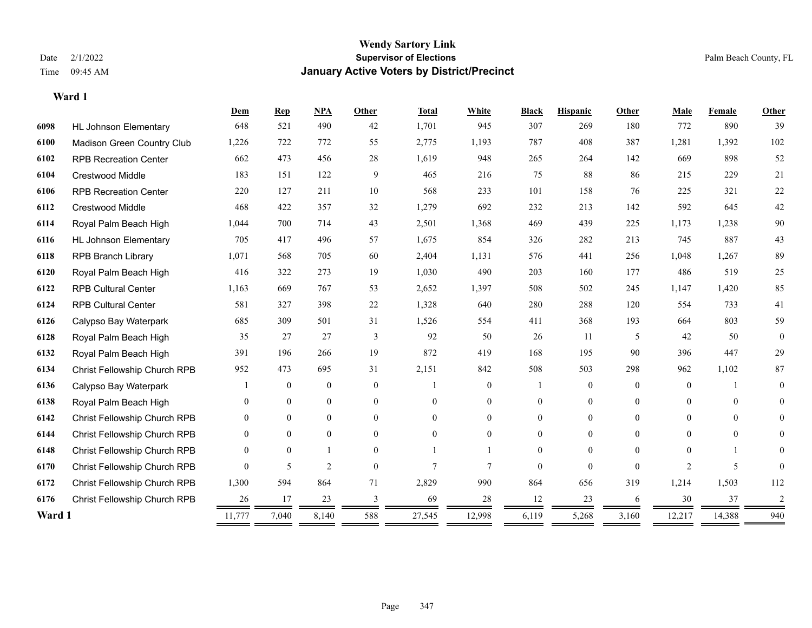### **Wendy Sartory Link** Date 2/1/2022 **Supervisor of Elections** Palm Beach County, FL Time 09:45 AM **January Active Voters by District/Precinct**

## **Dem Rep NPA Other Total White Black Hispanic Other Male Female Other** HL Johnson Elementary 648 521 490 42 1,701 945 307 269 180 772 890 39 Madison Green Country Club 1,226 722 772 55 2,775 1,193 787 408 387 1,281 1,392 102 RPB Recreation Center 662 473 456 28 1,619 948 265 264 142 669 898 52 Crestwood Middle 183 151 122 9 465 216 75 88 86 215 229 21 RPB Recreation Center 220 127 211 10 568 233 101 158 76 225 321 22 Crestwood Middle 468 422 357 32 1,279 692 232 213 142 592 645 42 Royal Palm Beach High 1,044 700 714 43 2,501 1,368 469 439 225 1,173 1,238 90 HL Johnson Elementary 705 417 496 57 1,675 854 326 282 213 745 887 43 RPB Branch Library 1,071 568 705 60 2,404 1,131 576 441 256 1,048 1,267 89 Royal Palm Beach High 416 322 273 19 1,030 490 203 160 177 486 519 25 RPB Cultural Center 1,163 669 767 53 2,652 1,397 508 502 245 1,147 1,420 85 RPB Cultural Center 581 327 398 22 1,328 640 280 288 120 554 733 41 Calypso Bay Waterpark 685 309 501 31 1,526 554 411 368 193 664 803 59 Royal Palm Beach High 35 27 27 3 92 50 26 11 5 42 50 0 Royal Palm Beach High 391 196 266 19 872 419 168 195 90 396 447 29 Christ Fellowship Church RPB 952 473 695 31 2,151 842 508 503 298 962 1,102 87 Calypso Bay Waterpark 1 0 0 0 1 0 1 0 0 0 1 0 Royal Palm Beach High 0 0 0 0 0 0 0 0 0 0 0 0 Christ Fellowship Church RPB 0 0 0 0 0 0 0 0 0 0 0 0 Christ Fellowship Church RPB 0 0 0 0 0 0 0 0 0 0 0 0 Christ Fellowship Church RPB 0 0 1 0 1 1 0 0 0 0 1 0 Christ Fellowship Church RPB 0 5 2 0 7 7 0 0 0 2 5 0 Christ Fellowship Church RPB 1,300 594 864 71 2,829 990 864 656 319 1,214 1,503 112 Christ Fellowship Church RPB 26 17 23 3 69 28 12 23 6 30 37 2 **Ward 1** 11,777 7,040 8,140 588 27,545 12,998 6,119 5,268 3,160 12,217 14,388 940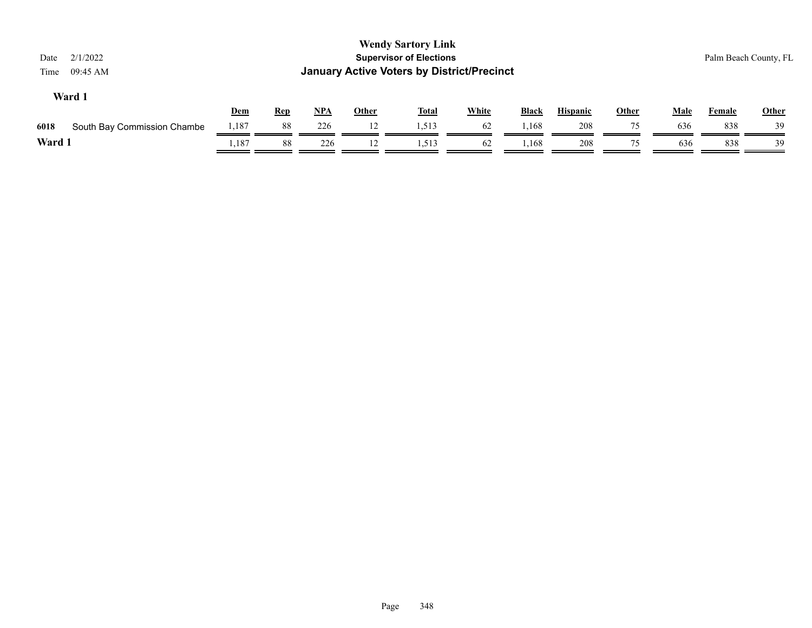| <b>Wendy Sartory Link</b><br><b>Supervisor of Elections</b><br>2/1/2022<br>Palm Beach County, FL<br>Date<br><b>January Active Voters by District/Precinct</b><br>09:45 AM<br>Time<br>Ward 1 |       |            |       |              |              |              |              |                 |              |             |        |              |
|---------------------------------------------------------------------------------------------------------------------------------------------------------------------------------------------|-------|------------|-------|--------------|--------------|--------------|--------------|-----------------|--------------|-------------|--------|--------------|
|                                                                                                                                                                                             | Dem   | <b>Rep</b> | $NPA$ | <b>Other</b> | <b>Total</b> | <b>White</b> | <b>Black</b> | <b>Hispanic</b> | <b>Other</b> | <b>Male</b> | Female | <b>Other</b> |
| South Bay Commission Chambe<br>6018                                                                                                                                                         | 1,187 | 88         | 226   | 12           | 1,513        | 62           | 1,168        | 208             | 75           | 636         | 838    | 39           |
| Ward 1                                                                                                                                                                                      | .,187 | 88         | 226   | 12           | 1,513        | 62           | 1,168        | 208             | 75           | 636         | 838    | 39           |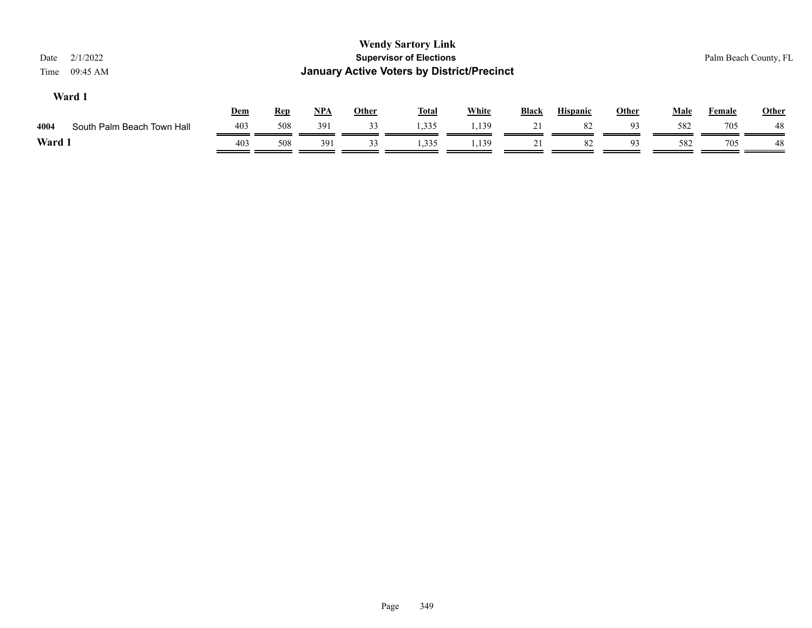| <b>Wendy Sartory Link</b><br><b>Supervisor of Elections</b><br>2/1/2022<br>Palm Beach County, FL<br>Date<br><b>January Active Voters by District/Precinct</b><br>09:45 AM<br>Time<br>Ward 1 |            |            |     |              |              |              |              |                 |       |             |               |              |
|---------------------------------------------------------------------------------------------------------------------------------------------------------------------------------------------|------------|------------|-----|--------------|--------------|--------------|--------------|-----------------|-------|-------------|---------------|--------------|
|                                                                                                                                                                                             | <b>Dem</b> | <b>Rep</b> | NPA | <u>Other</u> | <b>Total</b> | <b>White</b> | <b>Black</b> | <b>Hispanic</b> | Other | <b>Male</b> | <b>Female</b> | <b>Other</b> |
| 4004<br>South Palm Beach Town Hall                                                                                                                                                          | 403        | 508        | 391 | 33           | 1,335        | 1,139        | 21           | 82              | 93    | 582         | 705           | -48          |
| Ward 1                                                                                                                                                                                      | 403        | 508        | 391 | 33           | 1,335        | 1,139        | 21           | 82              | 93    | 582         | 705           | -48          |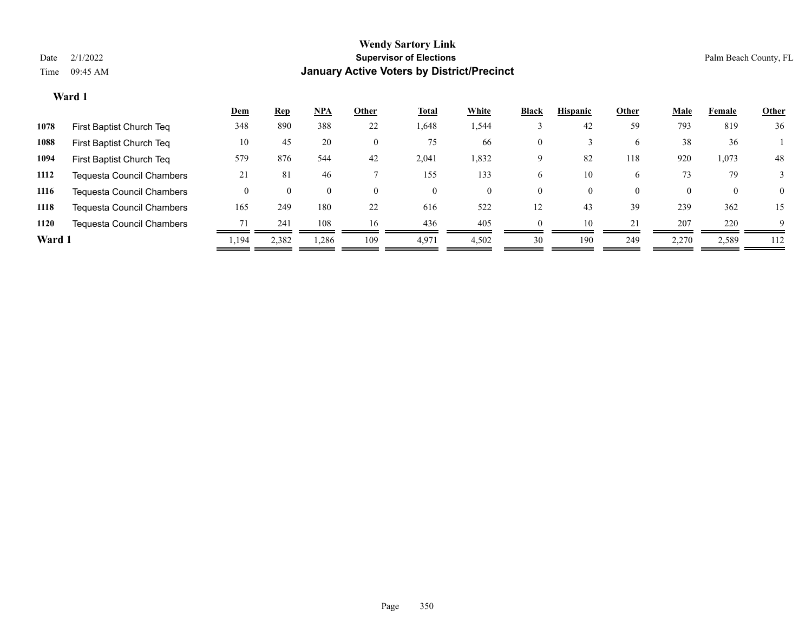|        |                                  | <u>Dem</u> | <b>Rep</b> | NPA      | Other    | <u>Total</u> | White | <b>Black</b> | <b>Hispanic</b> | Other              | <b>Male</b> | Female | <b>Other</b> |
|--------|----------------------------------|------------|------------|----------|----------|--------------|-------|--------------|-----------------|--------------------|-------------|--------|--------------|
| 1078   | First Baptist Church Teq         | 348        | 890        | 388      | 22       | 1,648        | 1,544 |              | 42              | 59                 | 793         | 819    | 36           |
| 1088   | First Baptist Church Teq         | 10         | 45         | 20       | 0        | 75           | 66    | $\mathbf{0}$ |                 | 6                  | 38          | 36     |              |
| 1094   | First Baptist Church Teq         | 579        | 876        | 544      | 42       | 2,041        | 1,832 | 9            | 82              | 118                | 920         | 1,073  | 48           |
| 1112   | Tequesta Council Chambers        | 21         | 81         | 46       |          | 155          | 133   | 6            | 10              | 6                  | 73          | 79     |              |
| 1116   | <b>Tequesta Council Chambers</b> |            |            | $\theta$ | $\theta$ | $\theta$     |       | $\theta$     | $\theta$        | $\left( 0 \right)$ |             | 0      | $\Omega$     |
| 1118   | <b>Tequesta Council Chambers</b> | 165        | 249        | 180      | 22       | 616          | 522   | 12           | 43              | 39                 | 239         | 362    | 15           |
| 1120   | <b>Tequesta Council Chambers</b> | 71         | 241        | 108      | 16       | 436          | 405   | $\theta$     | 10              | 21                 | 207         | 220    | $\mathbf Q$  |
| Ward 1 |                                  | .194       | 2,382      | 1,286    | 109      | 4,971        | 4,502 | 30           | 190             | 249                | 2,270       | 2,589  | 112          |
|        |                                  |            |            |          |          |              |       |              |                 |                    |             |        |              |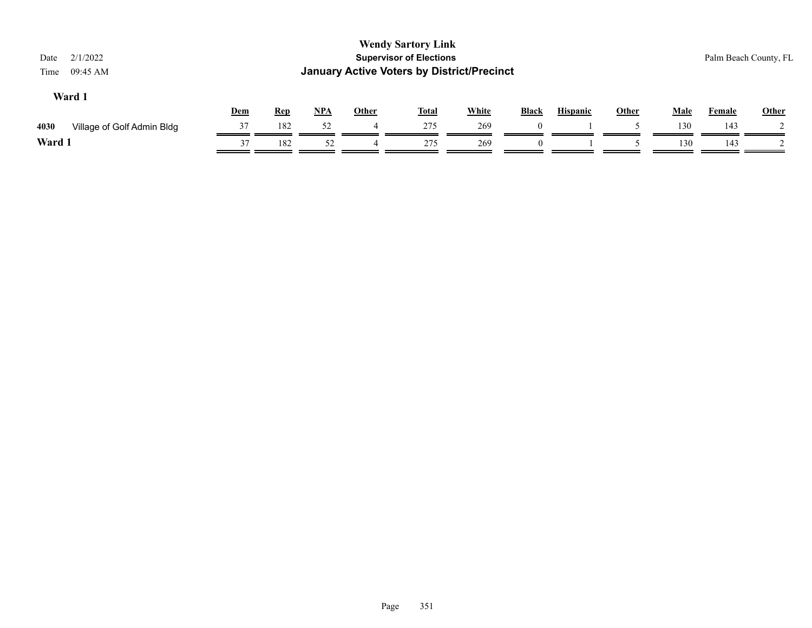| 2/1/2022<br>Date<br>09:45 AM<br>Time | <b>Wendy Sartory Link</b><br><b>Supervisor of Elections</b><br><b>January Active Voters by District/Precinct</b> |            |       |       |              |              |              |                 |              |             |               | Palm Beach County, FL |
|--------------------------------------|------------------------------------------------------------------------------------------------------------------|------------|-------|-------|--------------|--------------|--------------|-----------------|--------------|-------------|---------------|-----------------------|
| Ward 1                               | Dem                                                                                                              | <b>Rep</b> | $NPA$ | Other | <b>Total</b> | <b>White</b> | <b>Black</b> | <b>Hispanic</b> | <b>Other</b> | <b>Male</b> | <b>Female</b> | Other                 |
| 4030<br>Village of Golf Admin Bldg   | 37                                                                                                               | 182        | 52    |       | 275          | 269          | $\Omega$     |                 |              | 130         | 143           |                       |
| Ward 1                               | 37                                                                                                               | 182        | 52    | 4     | 275          | 269          |              |                 |              | 130         | 143           |                       |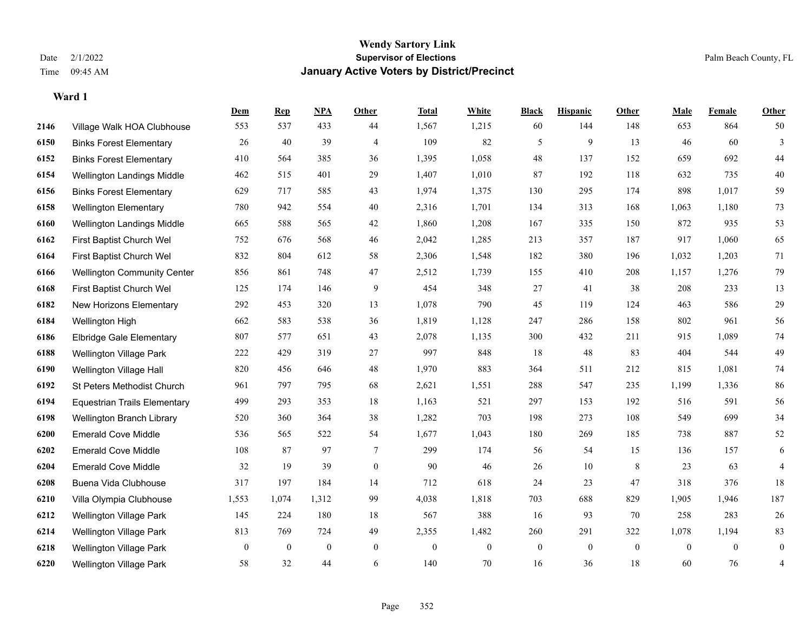|      |                                     | Dem          | <b>Rep</b>       | NPA              | <b>Other</b>   | <b>Total</b> | <b>White</b>   | <b>Black</b>     | <b>Hispanic</b> | Other        | <b>Male</b>    | Female       | <b>Other</b>   |
|------|-------------------------------------|--------------|------------------|------------------|----------------|--------------|----------------|------------------|-----------------|--------------|----------------|--------------|----------------|
| 2146 | Village Walk HOA Clubhouse          | 553          | 537              | 433              | 44             | 1,567        | 1,215          | 60               | 144             | 148          | 653            | 864          | 50             |
| 6150 | <b>Binks Forest Elementary</b>      | 26           | 40               | 39               | $\overline{4}$ | 109          | 82             | 5                | 9               | 13           | 46             | 60           | 3              |
| 6152 | <b>Binks Forest Elementary</b>      | 410          | 564              | 385              | 36             | 1,395        | 1,058          | 48               | 137             | 152          | 659            | 692          | 44             |
| 6154 | Wellington Landings Middle          | 462          | 515              | 401              | 29             | 1,407        | 1,010          | 87               | 192             | 118          | 632            | 735          | 40             |
| 6156 | <b>Binks Forest Elementary</b>      | 629          | 717              | 585              | 43             | 1,974        | 1,375          | 130              | 295             | 174          | 898            | 1,017        | 59             |
| 6158 | <b>Wellington Elementary</b>        | 780          | 942              | 554              | 40             | 2,316        | 1,701          | 134              | 313             | 168          | 1,063          | 1,180        | 73             |
| 6160 | Wellington Landings Middle          | 665          | 588              | 565              | 42             | 1,860        | 1,208          | 167              | 335             | 150          | 872            | 935          | 53             |
| 6162 | First Baptist Church Wel            | 752          | 676              | 568              | 46             | 2,042        | 1,285          | 213              | 357             | 187          | 917            | 1,060        | 65             |
| 6164 | First Baptist Church Wel            | 832          | 804              | 612              | 58             | 2,306        | 1,548          | 182              | 380             | 196          | 1,032          | 1,203        | 71             |
| 6166 | <b>Wellington Community Center</b>  | 856          | 861              | 748              | 47             | 2,512        | 1,739          | 155              | 410             | 208          | 1,157          | 1,276        | 79             |
| 6168 | First Baptist Church Wel            | 125          | 174              | 146              | 9              | 454          | 348            | 27               | 41              | 38           | 208            | 233          | 13             |
| 6182 | New Horizons Elementary             | 292          | 453              | 320              | 13             | 1,078        | 790            | 45               | 119             | 124          | 463            | 586          | $29\,$         |
| 6184 | Wellington High                     | 662          | 583              | 538              | 36             | 1,819        | 1,128          | 247              | 286             | 158          | 802            | 961          | 56             |
| 6186 | <b>Elbridge Gale Elementary</b>     | 807          | 577              | 651              | 43             | 2,078        | 1,135          | 300              | 432             | 211          | 915            | 1,089        | $74\,$         |
| 6188 | <b>Wellington Village Park</b>      | 222          | 429              | 319              | 27             | 997          | 848            | 18               | 48              | 83           | 404            | 544          | 49             |
| 6190 | Wellington Village Hall             | 820          | 456              | 646              | 48             | 1,970        | 883            | 364              | 511             | 212          | 815            | 1,081        | $74\,$         |
| 6192 | St Peters Methodist Church          | 961          | 797              | 795              | 68             | 2,621        | 1,551          | 288              | 547             | 235          | 1,199          | 1,336        | 86             |
| 6194 | <b>Equestrian Trails Elementary</b> | 499          | 293              | 353              | 18             | 1,163        | 521            | 297              | 153             | 192          | 516            | 591          | 56             |
| 6198 | Wellington Branch Library           | 520          | 360              | 364              | 38             | 1,282        | 703            | 198              | 273             | 108          | 549            | 699          | 34             |
| 6200 | <b>Emerald Cove Middle</b>          | 536          | 565              | 522              | 54             | 1,677        | 1,043          | 180              | 269             | 185          | 738            | 887          | 52             |
| 6202 | <b>Emerald Cove Middle</b>          | 108          | 87               | 97               | $\tau$         | 299          | 174            | 56               | 54              | 15           | 136            | 157          | 6              |
| 6204 | <b>Emerald Cove Middle</b>          | 32           | 19               | 39               | $\mathbf{0}$   | 90           | 46             | 26               | $10\,$          | 8            | 23             | 63           | $\overline{4}$ |
| 6208 | Buena Vida Clubhouse                | 317          | 197              | 184              | 14             | 712          | 618            | 24               | 23              | 47           | 318            | 376          | 18             |
| 6210 | Villa Olympia Clubhouse             | 1,553        | 1,074            | 1,312            | 99             | 4,038        | 1,818          | 703              | 688             | 829          | 1,905          | 1,946        | 187            |
| 6212 | Wellington Village Park             | 145          | 224              | 180              | 18             | 567          | 388            | 16               | 93              | 70           | 258            | 283          | $26\,$         |
| 6214 | Wellington Village Park             | 813          | 769              | 724              | 49             | 2,355        | 1,482          | 260              | 291             | 322          | 1,078          | 1,194        | 83             |
| 6218 | <b>Wellington Village Park</b>      | $\mathbf{0}$ | $\boldsymbol{0}$ | $\boldsymbol{0}$ | $\mathbf{0}$   | $\mathbf{0}$ | $\overline{0}$ | $\boldsymbol{0}$ | $\mathbf{0}$    | $\mathbf{0}$ | $\overline{0}$ | $\mathbf{0}$ | $\mathbf{0}$   |
| 6220 | <b>Wellington Village Park</b>      | 58           | 32               | 44               | 6              | 140          | 70             | 16               | 36              | 18           | 60             | 76           | 4              |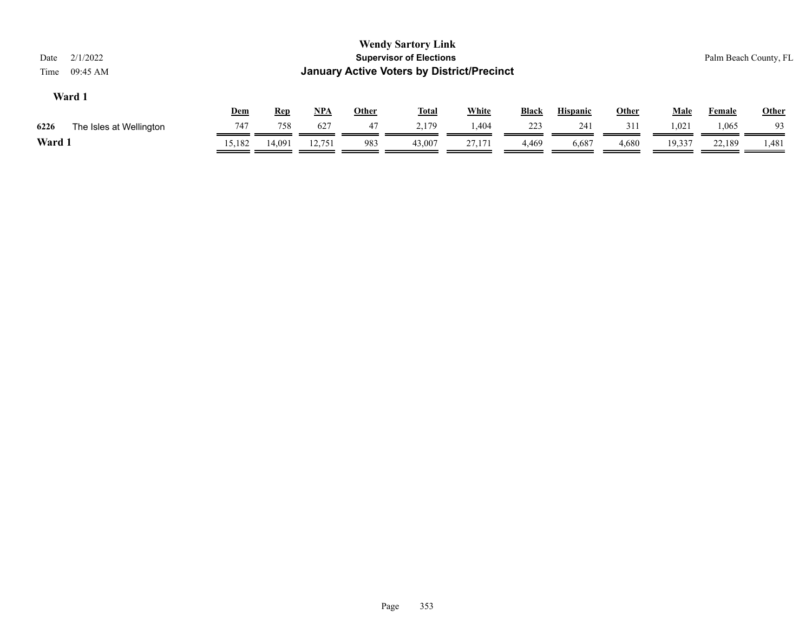| Date<br>Time | 2/1/2022<br>09:45 AM    |            |            |            |              | <b>Wendy Sartory Link</b><br><b>Supervisor of Elections</b><br><b>January Active Voters by District/Precinct</b> |              |              |                 |              |             |        | Palm Beach County, FL |
|--------------|-------------------------|------------|------------|------------|--------------|------------------------------------------------------------------------------------------------------------------|--------------|--------------|-----------------|--------------|-------------|--------|-----------------------|
|              | Ward 1                  | <u>Dem</u> | <u>Rep</u> | <u>NPA</u> | <b>Other</b> | <u>Total</u>                                                                                                     | <b>White</b> | <b>Black</b> | <b>Hispanic</b> | <b>Other</b> | <b>Male</b> | Female | <b>Other</b>          |
| 6226         | The Isles at Wellington | 747        | 758        | 627        | 47           | 2.179                                                                                                            | 1,404        | 223          | 241             | 311          | 1,021       | 1,065  | -93                   |
| Ward 1       |                         | 15,182     | 14,091     | 12.751     | 983          | 43,007                                                                                                           | 27,171       | 4,469        | 6,687           | 4,680        | 19,337      | 22,189 | 1,481                 |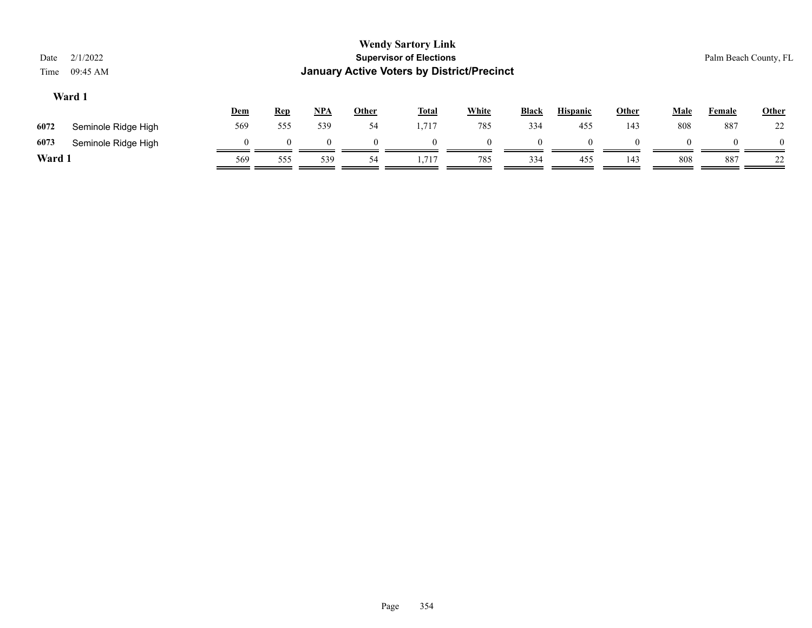| Date<br>Time | 2/1/2022<br>09:45 AM |            |            |     |              | <b>Wendy Sartory Link</b><br><b>Supervisor of Elections</b><br><b>January Active Voters by District/Precinct</b> |              |          |                 |       |              |        | Palm Beach County, FL |
|--------------|----------------------|------------|------------|-----|--------------|------------------------------------------------------------------------------------------------------------------|--------------|----------|-----------------|-------|--------------|--------|-----------------------|
|              | Ward 1               | <u>Dem</u> | <b>Rep</b> | NPA | <b>Other</b> | <b>Total</b>                                                                                                     | <b>White</b> | Black    | <b>Hispanic</b> | Other | <b>Male</b>  | Female | <b>Other</b>          |
| 6072         | Seminole Ridge High  | 569        | 555        | 539 | 54           | 1,717                                                                                                            | 785          | 334      | 455             | 143   | 808          | 887    | 22                    |
| 6073         | Seminole Ridge High  | $\Omega$   | $\Omega$   |     | $\Omega$     |                                                                                                                  | $\Omega$     | $\Omega$ |                 |       | $\mathbf{U}$ | ∩      | $\Omega$              |
| Ward 1       |                      | 569        | 555        | 539 | 54           | 1.717                                                                                                            | 785          | 334      | 455             | 143   | 808          | 887    | 22                    |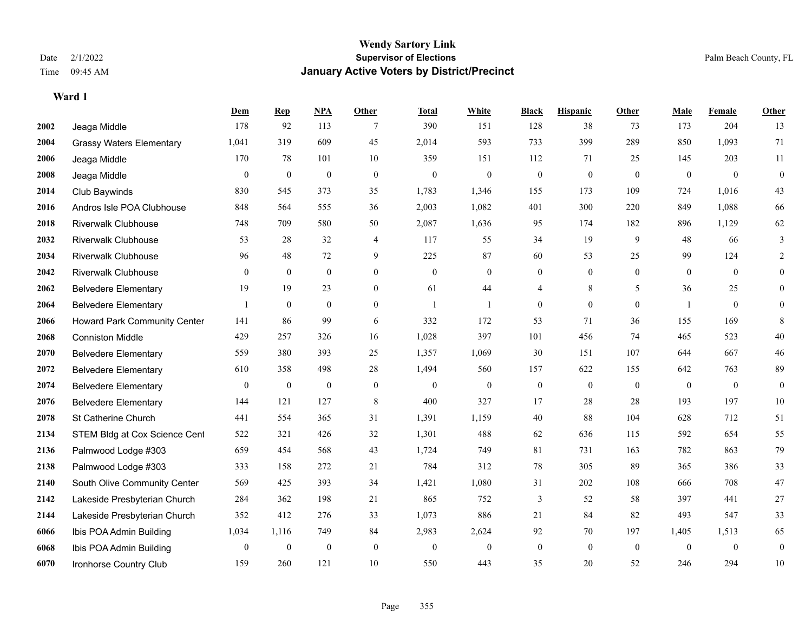### **Wendy Sartory Link** Date 2/1/2022 **Supervisor of Elections** Palm Beach County, FL Time 09:45 AM **January Active Voters by District/Precinct**

**Dem Rep NPA Other Total White Black Hispanic Other Male Female Other**

## Jeaga Middle 178 92 113 7 390 151 128 38 73 173 204 13 Grassy Waters Elementary 1,041 319 609 45 2,014 593 733 399 289 850 1,093 71 Jeaga Middle 170 78 101 10 359 151 112 71 25 145 203 11 Jeaga Middle 0 0 0 0 0 0 0 0 0 0 0 0 Club Baywinds 830 545 373 35 1,783 1,346 155 173 109 724 1,016 43 Andros Isle POA Clubhouse 848 564 555 36 2,003 1,082 401 300 220 849 1,088 66 Riverwalk Clubhouse 748 709 580 50 2,087 1,636 95 174 182 896 1,129 62 Riverwalk Clubhouse 53 28 32 4 117 55 34 19 9 48 66 3 Riverwalk Clubhouse 96 48 72 9 225 87 60 53 25 99 124 2 Riverwalk Clubhouse 0 0 0 0 0 0 0 0 0 0 0 0 Belvedere Elementary 19 19 23 0 61 44 4 8 5 36 25 0 Belvedere Elementary 1 0 0 0 1 1 0 0 0 1 0 0 Howard Park Community Center 141 86 99 6 332 172 53 71 36 155 169 8 Conniston Middle 429 257 326 16 1,028 397 101 456 74 465 523 40 Belvedere Elementary 559 380 393 25 1,357 1,069 30 151 107 644 667 46 Belvedere Elementary 610 358 498 28 1,494 560 157 622 155 642 763 89 Belvedere Elementary 0 0 0 0 0 0 0 0 0 0 0 0 Belvedere Elementary 144 121 127 8 400 327 17 28 28 193 197 10 St Catherine Church 441 554 365 31 1,391 1,159 40 88 104 628 712 51 2134 STEM Bldg at Cox Science Cent 522 321 426 32 1,301 488 62 636 115 592 654 55 Palmwood Lodge #303 659 454 568 43 1,724 749 81 731 163 782 863 79 Palmwood Lodge #303 333 158 272 21 784 312 78 305 89 365 386 33 South Olive Community Center 569 425 393 34 1,421 1,080 31 202 108 666 708 47 Lakeside Presbyterian Church 284 362 198 21 865 752 3 52 58 397 441 27 Lakeside Presbyterian Church 352 412 276 33 1,073 886 21 84 82 493 547 33 Ibis POA Admin Building 1,034 1,116 749 84 2,983 2,624 92 70 197 1,405 1,513 65

 Ibis POA Admin Building 0 0 0 0 0 0 0 0 0 0 0 0 Ironhorse Country Club 159 260 121 10 550 443 35 20 52 246 294 10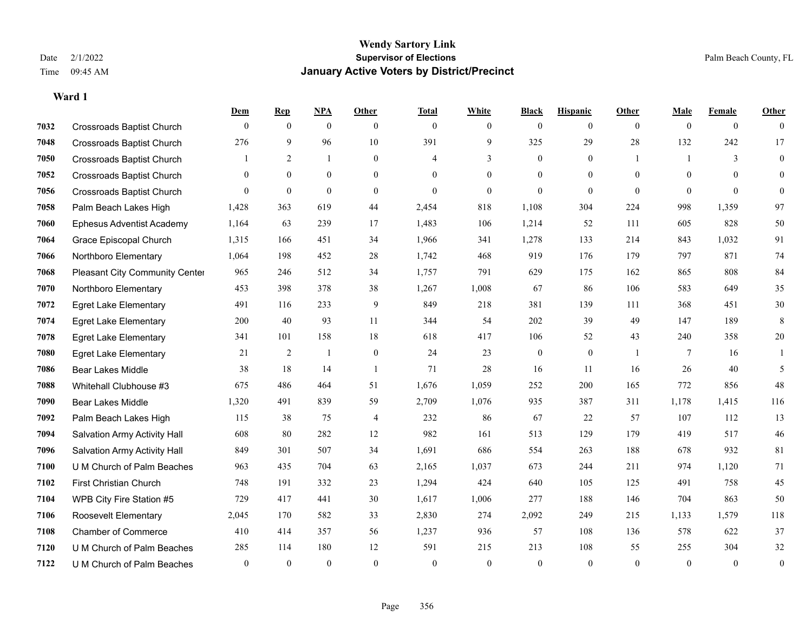|      |                                       | Dem            | <b>Rep</b>     | NPA              | <b>Other</b>   | <b>Total</b>   | <b>White</b>   | <b>Black</b>     | <b>Hispanic</b>  | <b>Other</b>   | <b>Male</b>    | <b>Female</b>  | <b>Other</b>     |
|------|---------------------------------------|----------------|----------------|------------------|----------------|----------------|----------------|------------------|------------------|----------------|----------------|----------------|------------------|
| 7032 | <b>Crossroads Baptist Church</b>      | $\mathbf{0}$   | $\mathbf{0}$   | $\mathbf{0}$     | $\overline{0}$ | $\mathbf{0}$   | $\overline{0}$ | $\mathbf{0}$     | $\overline{0}$   | $\overline{0}$ | $\theta$       | $\overline{0}$ | $\theta$         |
| 7048 | <b>Crossroads Baptist Church</b>      | 276            | 9              | 96               | 10             | 391            | 9              | 325              | 29               | 28             | 132            | 242            | 17               |
| 7050 | <b>Crossroads Baptist Church</b>      |                | 2              | $\mathbf{1}$     | $\Omega$       | $\overline{4}$ | 3              | $\theta$         | $\Omega$         | $\overline{1}$ | $\overline{1}$ | 3              | $\theta$         |
| 7052 | <b>Crossroads Baptist Church</b>      | $\overline{0}$ | $\overline{0}$ | $\boldsymbol{0}$ | $\overline{0}$ | $\theta$       | $\overline{0}$ | $\boldsymbol{0}$ | $\overline{0}$   | $\mathbf{0}$   | $\mathbf{0}$   | $\theta$       | $\overline{0}$   |
| 7056 | <b>Crossroads Baptist Church</b>      | $\theta$       | $\overline{0}$ | $\mathbf{0}$     | $\Omega$       | $\theta$       | $\overline{0}$ | $\mathbf{0}$     | $\overline{0}$   | $\theta$       | $\Omega$       | $\theta$       | $\theta$         |
| 7058 | Palm Beach Lakes High                 | 1,428          | 363            | 619              | 44             | 2,454          | 818            | 1,108            | 304              | 224            | 998            | 1,359          | 97               |
| 7060 | <b>Ephesus Adventist Academy</b>      | 1,164          | 63             | 239              | 17             | 1,483          | 106            | 1,214            | 52               | 111            | 605            | 828            | 50               |
| 7064 | Grace Episcopal Church                | 1,315          | 166            | 451              | 34             | 1,966          | 341            | 1,278            | 133              | 214            | 843            | 1,032          | 91               |
| 7066 | Northboro Elementary                  | 1,064          | 198            | 452              | 28             | 1,742          | 468            | 919              | 176              | 179            | 797            | 871            | $74\,$           |
| 7068 | <b>Pleasant City Community Center</b> | 965            | 246            | 512              | 34             | 1,757          | 791            | 629              | 175              | 162            | 865            | 808            | 84               |
| 7070 | Northboro Elementary                  | 453            | 398            | 378              | 38             | 1,267          | 1,008          | 67               | 86               | 106            | 583            | 649            | 35               |
| 7072 | <b>Egret Lake Elementary</b>          | 491            | 116            | 233              | 9              | 849            | 218            | 381              | 139              | 111            | 368            | 451            | $30\,$           |
| 7074 | <b>Egret Lake Elementary</b>          | 200            | 40             | 93               | 11             | 344            | 54             | 202              | 39               | 49             | 147            | 189            | 8                |
| 7078 | <b>Egret Lake Elementary</b>          | 341            | 101            | 158              | 18             | 618            | 417            | 106              | 52               | 43             | 240            | 358            | $20\,$           |
| 7080 | <b>Egret Lake Elementary</b>          | 21             | 2              | 1                | $\overline{0}$ | 24             | 23             | $\boldsymbol{0}$ | $\boldsymbol{0}$ |                | 7              | 16             |                  |
| 7086 | Bear Lakes Middle                     | 38             | 18             | 14               | $\overline{1}$ | 71             | 28             | 16               | 11               | 16             | 26             | 40             | 5                |
| 7088 | Whitehall Clubhouse #3                | 675            | 486            | 464              | 51             | 1,676          | 1,059          | 252              | 200              | 165            | 772            | 856            | 48               |
| 7090 | <b>Bear Lakes Middle</b>              | 1,320          | 491            | 839              | 59             | 2,709          | 1,076          | 935              | 387              | 311            | 1,178          | 1,415          | 116              |
| 7092 | Palm Beach Lakes High                 | 115            | 38             | 75               | 4              | 232            | 86             | 67               | 22               | 57             | 107            | 112            | 13               |
| 7094 | Salvation Army Activity Hall          | 608            | 80             | 282              | 12             | 982            | 161            | 513              | 129              | 179            | 419            | 517            | 46               |
| 7096 | Salvation Army Activity Hall          | 849            | 301            | 507              | 34             | 1,691          | 686            | 554              | 263              | 188            | 678            | 932            | 81               |
| 7100 | U M Church of Palm Beaches            | 963            | 435            | 704              | 63             | 2,165          | 1,037          | 673              | 244              | 211            | 974            | 1,120          | 71               |
| 7102 | <b>First Christian Church</b>         | 748            | 191            | 332              | 23             | 1,294          | 424            | 640              | 105              | 125            | 491            | 758            | 45               |
| 7104 | WPB City Fire Station #5              | 729            | 417            | 441              | 30             | 1,617          | 1,006          | 277              | 188              | 146            | 704            | 863            | 50               |
| 7106 | Roosevelt Elementary                  | 2,045          | 170            | 582              | 33             | 2,830          | 274            | 2,092            | 249              | 215            | 1,133          | 1,579          | 118              |
| 7108 | <b>Chamber of Commerce</b>            | 410            | 414            | 357              | 56             | 1,237          | 936            | 57               | 108              | 136            | 578            | 622            | 37               |
| 7120 | U M Church of Palm Beaches            | 285            | 114            | 180              | 12             | 591            | 215            | 213              | 108              | 55             | 255            | 304            | 32               |
| 7122 | U M Church of Palm Beaches            | $\mathbf{0}$   | $\theta$       | $\theta$         | $\theta$       | $\theta$       | $\theta$       | $\theta$         | $\theta$         | $\theta$       | $\theta$       | $\theta$       | $\boldsymbol{0}$ |